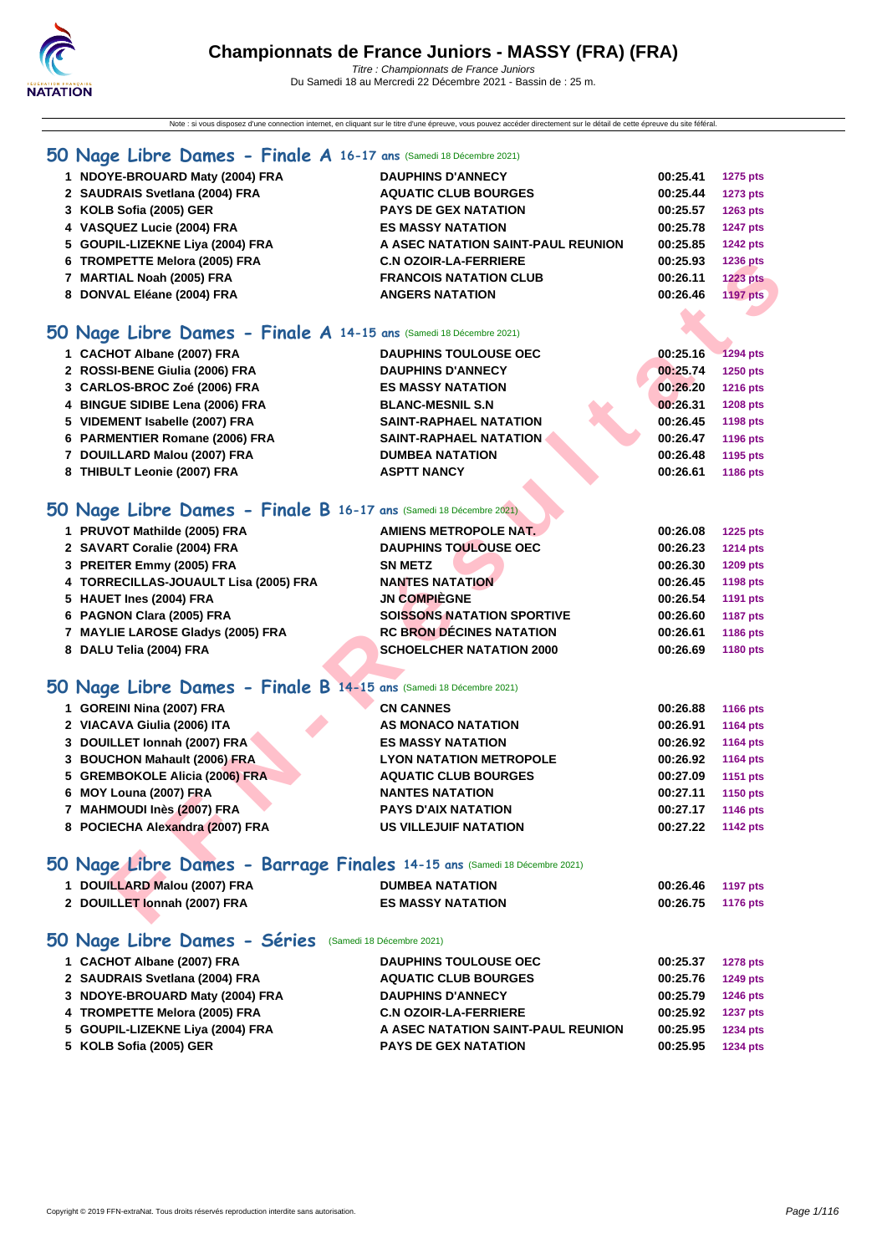Note : si vous disposez d'une connection internet, en cliquant sur le titre d'une épreuve, vous pouvez accéder directement sur le détail de cette épreuve du site féféral.

### **[50 Na](http://www.ffnatation.fr/webffn/index.php)ge Libre Dames - Finale A 16-17 ans** (Samedi 18 Décembre 2021)

| 1 NDOYE-BROUARD Maty (2004) FRA                                   | <b>DAUPHINS D'ANNECY</b>           | 00:25.41 | <b>1275 pts</b> |
|-------------------------------------------------------------------|------------------------------------|----------|-----------------|
| 2 SAUDRAIS Svetlana (2004) FRA                                    | <b>AQUATIC CLUB BOURGES</b>        | 00:25.44 | <b>1273 pts</b> |
| 3 KOLB Sofia (2005) GER                                           | <b>PAYS DE GEX NATATION</b>        | 00:25.57 | 1263 pts        |
| 4 VASQUEZ Lucie (2004) FRA                                        | <b>ES MASSY NATATION</b>           | 00:25.78 | <b>1247 pts</b> |
| 5 GOUPIL-LIZEKNE Liya (2004) FRA                                  | A ASEC NATATION SAINT-PAUL REUNION | 00:25.85 | <b>1242 pts</b> |
| 6 TROMPETTE Melora (2005) FRA                                     | <b>C.N OZOIR-LA-FERRIERE</b>       | 00:25.93 | 1236 pts        |
| 7 MARTIAL Noah (2005) FRA                                         | <b>FRANCOIS NATATION CLUB</b>      | 00:26.11 | <b>1223 pts</b> |
| 8 DONVAL Eléane (2004) FRA                                        | <b>ANGERS NATATION</b>             | 00:26.46 | <b>1197 pts</b> |
| O Nage Libre Dames - Finale A 14-15 ans (Samedi 18 Décembre 2021) |                                    |          |                 |

### **50 Nage Libre Dames - Finale A 14-15 ans** (Samedi 18 Décembre 2021)

| 6 TROMPETTE Melora (2005) FRA                                            | <b>C.N OZOIR-LA-FERRIERE</b>      | 00.25.93 | 1236 pts        |
|--------------------------------------------------------------------------|-----------------------------------|----------|-----------------|
| 7 MARTIAL Noah (2005) FRA                                                | <b>FRANCOIS NATATION CLUB</b>     | 00:26.11 | <b>1223 pts</b> |
| 8 DONVAL Eléane (2004) FRA                                               | <b>ANGERS NATATION</b>            | 00:26.46 | <b>1197 pts</b> |
|                                                                          |                                   |          |                 |
| O Nage Libre Dames - Finale A 14-15 ans (Samedi 18 Décembre 2021)        |                                   |          |                 |
| 1 CACHOT Albane (2007) FRA                                               | <b>DAUPHINS TOULOUSE OEC</b>      | 00:25.16 | 1294 pts        |
| 2 ROSSI-BENE Giulia (2006) FRA                                           | <b>DAUPHINS D'ANNECY</b>          | 00:25.74 | 1250 pts        |
| 3 CARLOS-BROC Zoé (2006) FRA                                             | <b>ES MASSY NATATION</b>          | 00:26.20 | <b>1216 pts</b> |
| 4 BINGUE SIDIBE Lena (2006) FRA                                          | <b>BLANC-MESNIL S.N</b>           | 00:26.31 | <b>1208 pts</b> |
| 5 VIDEMENT Isabelle (2007) FRA                                           | <b>SAINT-RAPHAEL NATATION</b>     | 00:26.45 | 1198 pts        |
| 6 PARMENTIER Romane (2006) FRA                                           | <b>SAINT-RAPHAEL NATATION</b>     | 00:26.47 | 1196 pts        |
| 7 DOUILLARD Malou (2007) FRA                                             | <b>DUMBEA NATATION</b>            | 00:26.48 | 1195 pts        |
| 8 THIBULT Leonie (2007) FRA                                              | <b>ASPTT NANCY</b>                | 00:26.61 | 1186 pts        |
|                                                                          |                                   |          |                 |
| O Nage Libre Dames - Finale B 16-17 ans (Samedi 18 Décembre 2021)        |                                   |          |                 |
| 1 PRUVOT Mathilde (2005) FRA                                             | <b>AMIENS METROPOLE NAT.</b>      | 00:26.08 | 1225 pts        |
| 2 SAVART Coralie (2004) FRA                                              | <b>DAUPHINS TOULOUSE OEC</b>      | 00:26.23 | <b>1214 pts</b> |
| 3 PREITER Emmy (2005) FRA                                                | <b>SN METZ</b>                    | 00:26.30 | 1209 pts        |
| 4 TORRECILLAS-JOUAULT Lisa (2005) FRA                                    | <b>NANTES NATATION</b>            | 00:26.45 | 1198 pts        |
| 5 HAUET Ines (2004) FRA                                                  | <b>JN COMPIÈGNE</b>               | 00:26.54 | 1191 pts        |
| 6 PAGNON Clara (2005) FRA                                                | <b>SOISSONS NATATION SPORTIVE</b> | 00:26.60 | <b>1187 pts</b> |
| 7 MAYLIE LAROSE Gladys (2005) FRA                                        | <b>RC BRON DÉCINES NATATION</b>   | 00:26.61 | 1186 pts        |
| 8 DALU Telia (2004) FRA                                                  | <b>SCHOELCHER NATATION 2000</b>   | 00:26.69 | 1180 pts        |
|                                                                          |                                   |          |                 |
| O Nage Libre Dames - Finale B 14-15 ans (Samedi 18 Décembre 2021)        |                                   |          |                 |
| 1 GOREINI Nina (2007) FRA                                                | <b>CN CANNES</b>                  | 00:26.88 | <b>1166 pts</b> |
| 2 VIACAVA Giulia (2006) ITA                                              | <b>AS MONACO NATATION</b>         | 00:26.91 | 1164 pts        |
| 3 DOUILLET Ionnah (2007) FRA                                             | <b>ES MASSY NATATION</b>          | 00:26.92 | 1164 pts        |
| 3 BOUCHON Mahault (2006) FRA                                             | <b>LYON NATATION METROPOLE</b>    | 00:26.92 | 1164 pts        |
| 5 GREMBOKOLE Alicia (2006) FRA                                           | <b>AQUATIC CLUB BOURGES</b>       | 00:27.09 | 1151 pts        |
| 6 MOY Louna (2007) FRA                                                   | <b>NANTES NATATION</b>            | 00:27.11 | 1150 pts        |
| 7 MAHMOUDI Inès (2007) FRA                                               | <b>PAYS D'AIX NATATION</b>        | 00:27.17 | 1146 pts        |
| 8 POCIECHA Alexandra (2007) FRA                                          | <b>US VILLEJUIF NATATION</b>      | 00:27.22 | <b>1142 pts</b> |
|                                                                          |                                   |          |                 |
| O Nage Libre Dames - Barrage Finales 14-15 ans (Samedi 18 Décembre 2021) |                                   |          |                 |
| 1 DOUILLARD Malou (2007) FRA                                             | <b>DUMBEA NATATION</b>            | 00:26.46 | <b>1197 pts</b> |
| 2 DOUILLET Ionnah (2007) FRA                                             | <b>ES MASSY NATATION</b>          | 00:26.75 | 1176 pts        |
|                                                                          |                                   |          |                 |

### **50 Nage Libre Dames - Finale B 16-17 ans** (Samedi 18 Décembre 2021)

| 1 PRUVOT Mathilde (2005) FRA          | <b>AMIENS METROPOLE NAT.</b>      | 00:26.08 | 1225 pts        |
|---------------------------------------|-----------------------------------|----------|-----------------|
| 2 SAVART Coralie (2004) FRA           | <b>DAUPHINS TOULOUSE OEC</b>      | 00:26.23 | <b>1214 pts</b> |
| 3 PREITER Emmy (2005) FRA             | <b>SN METZ</b>                    | 00:26.30 | <b>1209 pts</b> |
| 4 TORRECILLAS-JOUAULT Lisa (2005) FRA | <b>NANTES NATATION</b>            | 00:26.45 | 1198 pts        |
| 5 HAUET Ines (2004) FRA               | <b>JN COMPIÈGNE</b>               | 00:26.54 | 1191 pts        |
| 6 PAGNON Clara (2005) FRA             | <b>SOISSONS NATATION SPORTIVE</b> | 00:26.60 | <b>1187 pts</b> |
| 7 MAYLIE LAROSE Gladys (2005) FRA     | <b>RC BRON DÉCINES NATATION</b>   | 00:26.61 | 1186 pts        |
| 8 DALU Telia (2004) FRA               | <b>SCHOELCHER NATATION 2000</b>   | 00:26.69 | <b>1180 pts</b> |
|                                       |                                   |          |                 |

### **50 Nage Libre Dames - Finale B 14-15 ans** (Samedi 18 Décembre 2021)

| 1 GOREINI Nina (2007) FRA       | <b>CN CANNES</b>               | 00:26.88 | <b>1166 pts</b> |
|---------------------------------|--------------------------------|----------|-----------------|
| 2 VIACAVA Giulia (2006) ITA     | <b>AS MONACO NATATION</b>      | 00:26.91 | <b>1164 pts</b> |
| 3 DOUILLET Ionnah (2007) FRA    | <b>ES MASSY NATATION</b>       | 00:26.92 | 1164 pts        |
| 3 BOUCHON Mahault (2006) FRA    | <b>LYON NATATION METROPOLE</b> | 00:26.92 | 1164 pts        |
| 5 GREMBOKOLE Alicia (2006) FRA  | <b>AQUATIC CLUB BOURGES</b>    | 00:27.09 | 1151 pts        |
| 6 MOY Louna (2007) FRA          | <b>NANTES NATATION</b>         | 00:27.11 | 1150 pts        |
| 7 MAHMOUDI Inès (2007) FRA      | <b>PAYS D'AIX NATATION</b>     | 00:27.17 | <b>1146 pts</b> |
| 8 POCIECHA Alexandra (2007) FRA | <b>US VILLEJUIF NATATION</b>   | 00:27.22 | 1142 pts        |
|                                 |                                |          |                 |

### **50 Nage Libre Dames - Barrage Finales 14-15 ans** (Samedi 18 Décembre 2021)

| <b>DUMBEA NATATION</b>             | 00:26.46 | <b>1197 pts</b>                                                                          |
|------------------------------------|----------|------------------------------------------------------------------------------------------|
| <b>ES MASSY NATATION</b>           | 00:26.75 | <b>1176 pts</b>                                                                          |
| (Samedi 18 Décembre 2021)          |          |                                                                                          |
| <b>DAUPHINS TOULOUSE OEC</b>       | 00:25.37 | <b>1278 pts</b>                                                                          |
| <b>AQUATIC CLUB BOURGES</b>        | 00:25.76 | <b>1249 pts</b>                                                                          |
| <b>DAUPHINS D'ANNECY</b>           | 00:25.79 | 1246 pts                                                                                 |
| <b>C.N OZOIR-LA-FERRIERE</b>       | 00:25.92 | <b>1237 pts</b>                                                                          |
| A ASEC NATATION SAINT-PAUL REUNION | 00:25.95 | <b>1234 pts</b>                                                                          |
| <b>PAYS DE GEX NATATION</b>        | 00:25.95 | <b>1234 pts</b>                                                                          |
|                                    |          | <b>JU INGUE LIDI'S DUITIES - DUITIGUE I INGUES 14-13 GIS (Sanieur 16 Deceniule 2021)</b> |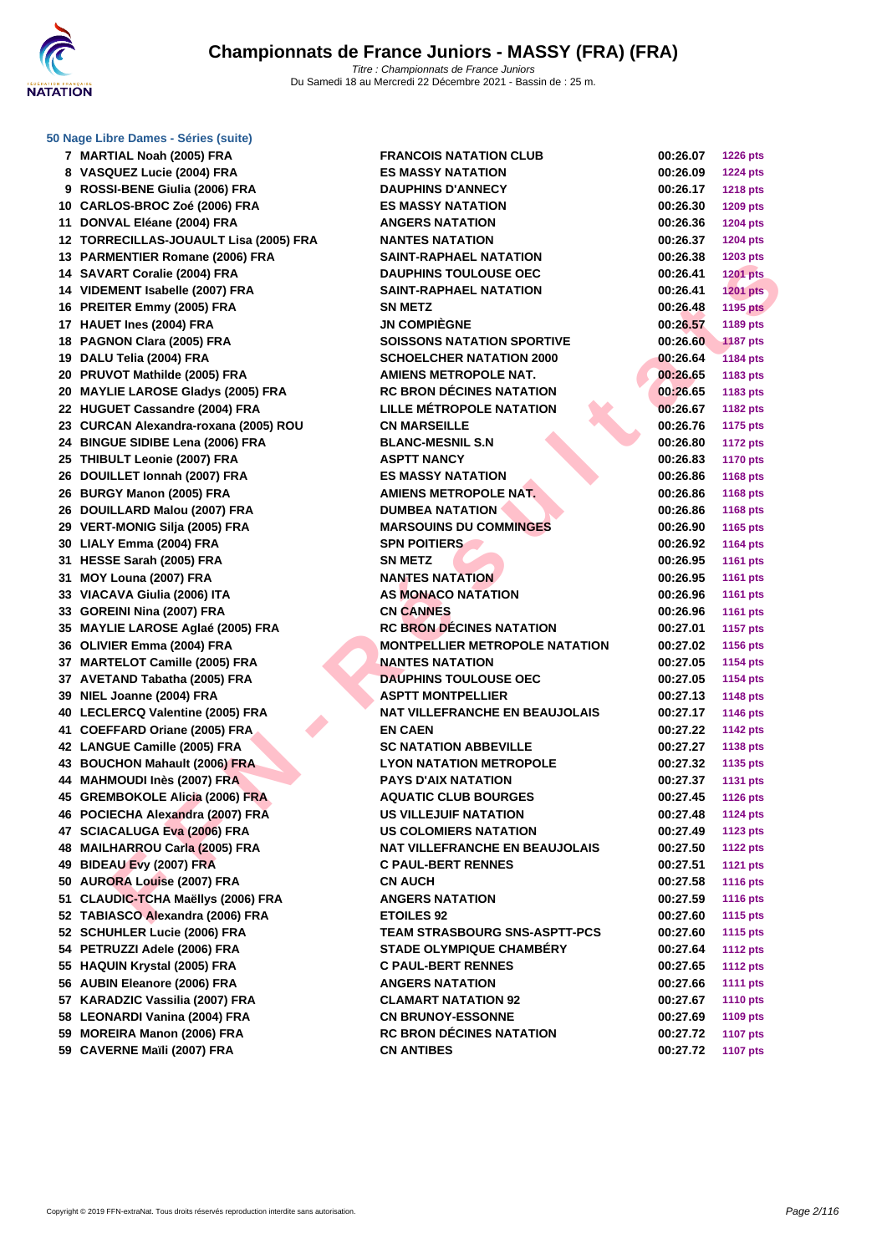

**[50 Nage L](http://www.ffnatation.fr/webffn/index.php)ibre Dames - Séries (suite)**

| 7        | MARTIAL Noah (2005) FRA                                          |
|----------|------------------------------------------------------------------|
| 8        | VASQUEZ Lucie (2004) FRA                                         |
| 9        | ROSSI-BENE Giulia (2006) FRA                                     |
|          | 10 CARLOS-BROC Zoé (2006) FRA                                    |
| 11       | DONVAL Eléane (2004) FRA                                         |
| 12       | TORRECILLAS-JOUAULT Lisa (2005) FR                               |
|          | 13 PARMENTIER Romane (2006) FRA                                  |
|          | 14 SAVART Coralie (2004) FRA                                     |
|          | 14 VIDEMENT Isabelle (2007) FRA                                  |
|          | 16 PREITER Emmy (2005) FRA                                       |
|          | 17 HAUET Ines (2004) FRA                                         |
| 18       | PAGNON Clara (2005) FRA                                          |
|          | 19 DALU Telia (2004) FRA                                         |
| 20       | PRUVOT Mathilde (2005) FRA                                       |
|          | 20 MAYLIE LAROSE Gladys (2005) FRA                               |
|          | 22 HUGUET Cassandre (2004) FRA                                   |
|          | 23 CURCAN Alexandra-roxana (2005) ROU                            |
|          | 24 BINGUE SIDIBE Lena (2006) FRA                                 |
|          | 25 THIBULT Leonie (2007) FRA                                     |
|          | 26 DOUILLET Ionnah (2007) FRA                                    |
|          | 26 BURGY Manon (2005) FRA                                        |
|          | 26 DOUILLARD Malou (2007) FRA                                    |
| 29       | <b>VERT-MONIG Silja (2005) FRA</b>                               |
| 30       | LIALY Emma (2004) FRA                                            |
| 31       | HESSE Sarah (2005) FRA                                           |
| 31       | MOY Louna (2007) FRA                                             |
| 33       | VIACAVA Giulia (2006) ITA                                        |
|          | 33 GOREINI Nina (2007) FRA                                       |
|          | 35 MAYLIE LAROSE Aglaé (2005) FRA                                |
|          | 36 OLIVIER Emma (2004) FRA                                       |
| 37       | <b>MARTELOT Camille (2005) FRA</b>                               |
| 37       | AVETAND Tabatha (2005) FRA                                       |
|          | 39 NIEL Joanne (2004) FRA                                        |
| 40       | LECLERCQ Valentine (2005) FRA                                    |
| 41       | <b>COEFFARD Oriane (2005) FRA</b>                                |
|          |                                                                  |
|          | 42 LANGUE Camille (2005) FRA<br>43 BOUCHON Mahault (2006) FRA    |
|          |                                                                  |
|          | 44 MAHMOUDI Inès (2007) FRA                                      |
| 46       | 45 GREMBOKOLE Alicia (2006) FRA<br>POCIECHA Alexandra (2007) FRA |
|          |                                                                  |
| 47<br>48 | <b>SCIACALUGA Eva (2006) FRA</b>                                 |
|          | MAILHARROU Carla (2005) FRA                                      |
|          | 49 BIDEAU Evy (2007) FRA                                         |
|          | 50 AURORA Louise (2007) FRA                                      |
|          | 51 CLAUDIC-TCHA Maëllys (2006) FRA                               |
|          | 52 TABIASCO Alexandra (2006) FRA                                 |
| 52       | <b>SCHUHLER Lucie (2006) FRA</b>                                 |
| 54       | PETRUZZI Adele (2006) FRA                                        |
| 55       | HAQUIN Krystal (2005) FRA                                        |
| 56       | <b>AUBIN Eleanore (2006) FRA</b>                                 |
|          | 57 KARADZIC Vassilia (2007) FRA                                  |
|          | 58 LEONARDI Vanina (2004) FRA                                    |
|          | 59 MOREIRA Manon (2006) FRA<br>59 CAVERNE Maili (2007) ERA       |
|          |                                                                  |

| 7 MARTIAL Noah (2005) FRA              | <b>FRANCOIS NATATION CLUB</b>                               | 00:26.07 | <b>1226 pts</b>                    |
|----------------------------------------|-------------------------------------------------------------|----------|------------------------------------|
| 8 VASQUEZ Lucie (2004) FRA             | <b>ES MASSY NATATION</b>                                    | 00:26.09 | <b>1224 pts</b>                    |
| 9 ROSSI-BENE Giulia (2006) FRA         | <b>DAUPHINS D'ANNECY</b>                                    | 00:26.17 | <b>1218 pts</b>                    |
| 10 CARLOS-BROC Zoé (2006) FRA          | <b>ES MASSY NATATION</b>                                    | 00:26.30 | 1209 pts                           |
| 11 DONVAL Eléane (2004) FRA            | <b>ANGERS NATATION</b>                                      | 00:26.36 | <b>1204 pts</b>                    |
| 12 TORRECILLAS-JOUAULT Lisa (2005) FRA | <b>NANTES NATATION</b>                                      | 00:26.37 | <b>1204 pts</b>                    |
| 13 PARMENTIER Romane (2006) FRA        | <b>SAINT-RAPHAEL NATATION</b>                               | 00:26.38 | 1203 pts                           |
| 14 SAVART Coralie (2004) FRA           | <b>DAUPHINS TOULOUSE OEC</b>                                | 00:26.41 | <b>1201 pts</b>                    |
| 14 VIDEMENT Isabelle (2007) FRA        | <b>SAINT-RAPHAEL NATATION</b>                               | 00:26.41 | <b>1201 pts</b>                    |
| 16 PREITER Emmy (2005) FRA             | <b>SN METZ</b>                                              | 00:26.48 | <b>1195 pts</b>                    |
| 17 HAUET Ines (2004) FRA               | <b>JN COMPIÈGNE</b>                                         | 00:26.57 | 1189 pts                           |
| 18 PAGNON Clara (2005) FRA             | <b>SOISSONS NATATION SPORTIVE</b>                           | 00:26.60 | <b>1187 pts</b>                    |
| 19 DALU Telia (2004) FRA               | <b>SCHOELCHER NATATION 2000</b>                             | 00:26.64 | 1184 pts                           |
| 20 PRUVOT Mathilde (2005) FRA          | <b>AMIENS METROPOLE NAT.</b>                                | 00:26.65 | 1183 pts                           |
| 20 MAYLIE LAROSE Gladys (2005) FRA     | <b>RC BRON DÉCINES NATATION</b>                             | 00:26.65 | 1183 pts                           |
| 22 HUGUET Cassandre (2004) FRA         | LILLE MÉTROPOLE NATATION                                    | 00:26.67 | 1182 pts                           |
| 23 CURCAN Alexandra-roxana (2005) ROU  | <b>CN MARSEILLE</b>                                         | 00:26.76 | <b>1175 pts</b>                    |
| 24 BINGUE SIDIBE Lena (2006) FRA       | <b>BLANC-MESNIL S.N</b>                                     | 00:26.80 | <b>1172 pts</b>                    |
| 25 THIBULT Leonie (2007) FRA           | <b>ASPTT NANCY</b>                                          | 00:26.83 | <b>1170 pts</b>                    |
| 26 DOUILLET Ionnah (2007) FRA          | <b>ES MASSY NATATION</b>                                    | 00:26.86 | <b>1168 pts</b>                    |
| 26 BURGY Manon (2005) FRA              | <b>AMIENS METROPOLE NAT.</b>                                | 00:26.86 | 1168 pts                           |
| 26 DOUILLARD Malou (2007) FRA          | <b>DUMBEA NATATION</b>                                      | 00:26.86 | 1168 pts                           |
| 29 VERT-MONIG Silja (2005) FRA         | <b>MARSOUINS DU COMMINGES</b>                               | 00:26.90 | 1165 pts                           |
| 30 LIALY Emma (2004) FRA               | <b>SPN POITIERS</b>                                         | 00:26.92 | <b>1164 pts</b>                    |
| 31 HESSE Sarah (2005) FRA              | <b>SN METZ</b>                                              | 00:26.95 | <b>1161 pts</b>                    |
| 31 MOY Louna (2007) FRA                | <b>NANTES NATATION</b>                                      | 00:26.95 | <b>1161 pts</b>                    |
| 33 VIACAVA Giulia (2006) ITA           | <b>AS MONACO NATATION</b>                                   | 00:26.96 | <b>1161 pts</b>                    |
| 33 GOREINI Nina (2007) FRA             | <b>CN CANNES</b>                                            | 00:26.96 |                                    |
| 35 MAYLIE LAROSE Aglaé (2005) FRA      | <b>RC BRON DECINES NATATION</b>                             | 00:27.01 | <b>1161 pts</b><br><b>1157 pts</b> |
| 36 OLIVIER Emma (2004) FRA             | <b>MONTPELLIER METROPOLE NATATION</b>                       | 00:27.02 | 1156 pts                           |
| 37 MARTELOT Camille (2005) FRA         | <b>NANTES NATATION</b>                                      | 00:27.05 | 1154 pts                           |
| 37 AVETAND Tabatha (2005) FRA          | <b>DAUPHINS TOULOUSE OEC</b>                                | 00:27.05 |                                    |
|                                        |                                                             |          | <b>1154 pts</b>                    |
| 39 NIEL Joanne (2004) FRA              | <b>ASPTT MONTPELLIER</b>                                    | 00:27.13 | <b>1148 pts</b>                    |
| 40 LECLERCQ Valentine (2005) FRA       | <b>NAT VILLEFRANCHE EN BEAUJOLAIS</b>                       | 00:27.17 | <b>1146 pts</b>                    |
| 41 COEFFARD Oriane (2005) FRA          | <b>EN CAEN</b><br><b>SC NATATION ABBEVILLE</b>              | 00:27.22 | <b>1142 pts</b>                    |
| 42 LANGUE Camille (2005) FRA           |                                                             | 00:27.27 | 1138 pts                           |
| 43 BOUCHON Mahault (2006) FRA          | <b>LYON NATATION METROPOLE</b>                              | 00:27.32 | 1135 pts                           |
| 44 MAHMOUDI Inès (2007) FRA            | <b>PAYS D'AIX NATATION</b>                                  | 00:27.37 | <b>1131 pts</b>                    |
| 45 GREMBOKOLE Alicia (2006) FRA        | <b>AQUATIC CLUB BOURGES</b><br><b>US VILLEJUIF NATATION</b> | 00:27.45 | <b>1126 pts</b>                    |
| 46 POCIECHA Alexandra (2007) FRA       |                                                             | 00:27.48 | <b>1124 pts</b>                    |
| 47 SCIACALUGA Eva (2006) FRA           | <b>US COLOMIERS NATATION</b>                                | 00:27.49 | <b>1123 pts</b>                    |
| 48 MAILHARROU Carla (2005) FRA         | <b>NAT VILLEFRANCHE EN BEAUJOLAIS</b>                       | 00:27.50 | <b>1122 pts</b>                    |
| 49 BIDEAU Evy (2007) FRA               | <b>C PAUL-BERT RENNES</b>                                   | 00:27.51 | <b>1121 pts</b>                    |
| 50 AURORA Louise (2007) FRA            | <b>CN AUCH</b>                                              | 00:27.58 | <b>1116 pts</b>                    |
| 51 CLAUDIC-TCHA Maëllys (2006) FRA     | <b>ANGERS NATATION</b>                                      | 00:27.59 | <b>1116 pts</b>                    |
| 52 TABIASCO Alexandra (2006) FRA       | <b>ETOILES 92</b>                                           | 00:27.60 | <b>1115 pts</b>                    |
| 52 SCHUHLER Lucie (2006) FRA           | <b>TEAM STRASBOURG SNS-ASPTT-PCS</b>                        | 00:27.60 | <b>1115 pts</b>                    |
| 54 PETRUZZI Adele (2006) FRA           | <b>STADE OLYMPIQUE CHAMBÉRY</b>                             | 00:27.64 | <b>1112 pts</b>                    |
| 55 HAQUIN Krystal (2005) FRA           | <b>C PAUL-BERT RENNES</b>                                   | 00:27.65 | <b>1112 pts</b>                    |
| 56 AUBIN Eleanore (2006) FRA           | <b>ANGERS NATATION</b>                                      | 00:27.66 | <b>1111 pts</b>                    |
| 57 KARADZIC Vassilia (2007) FRA        | <b>CLAMART NATATION 92</b>                                  | 00:27.67 | <b>1110 pts</b>                    |
| 58 LEONARDI Vanina (2004) FRA          | <b>CN BRUNOY-ESSONNE</b>                                    | 00:27.69 | 1109 pts                           |
| 59 MOREIRA Manon (2006) FRA            | <b>RC BRON DÉCINES NATATION</b>                             | 00:27.72 | <b>1107 pts</b>                    |
| 59 CAVERNE Maïli (2007) FRA            | <b>CN ANTIBES</b>                                           | 00:27.72 | <b>1107 pts</b>                    |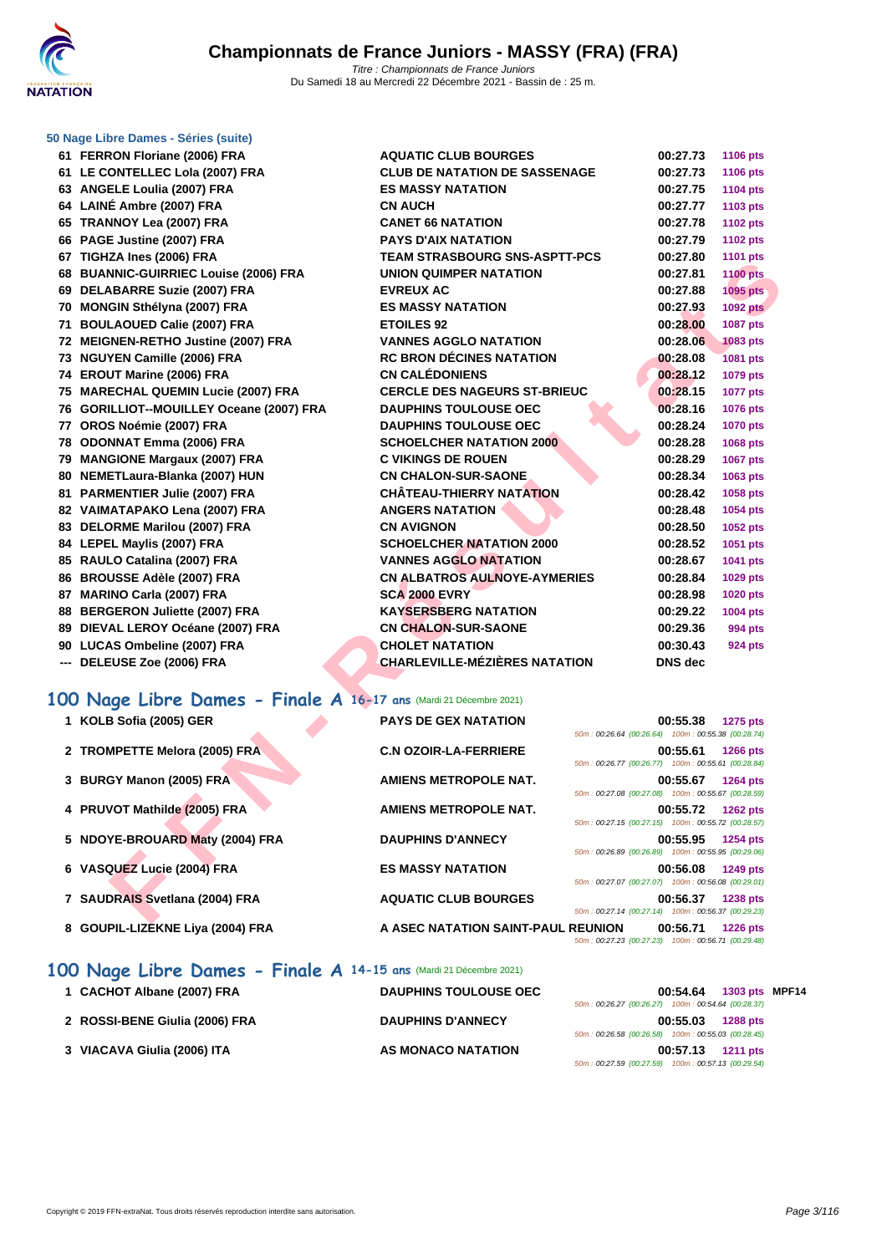

### **[50 Nage L](http://www.ffnatation.fr/webffn/index.php)ibre Dames - Séries (suite)**

**61 FERRON Floriane (2006) FRA ACURATIC BOURGES 61 LE CONTELLEC Lola (2007) FRA CLUB DE LOCAL DE LOCAL DE LOCAL DE LOCAL DE LOCAL DE LOCAL DE LOCAL DE LOCAL DE LOCAL DE LOCAL DE LOCAL DE LOCAL DE LOCAL DE LOCAL DE LOCAL DE LOCAL DE LOCAL DE LOCAL DE LOCAL DE LOCAL DE 63 ANGELE Loulia (2007) FRA ES 64 LAINÉ Ambre (2007) FRA CN 65 TRANNOY Lea (2007) FRA CANET 66 INCAPT 66 NATATION 66 PAGE Justine (2007) FRA PAYS DENSITY 67 TIGHZA Ines (2006) FRA TE 68 BUANNIC-GUIRRIEC Louise (2006) FRA** UN **69 DELABARRE Suzie (2007) FRA EVALUATE: 70 MONGIN Sthélyna (2007) FRA ES 71 BOULAOUED Calie (2007) FRA ET 72 MEIGNEN-RETHO Justine (2007) FRA** V/ **73 NGUYEN Camille (2006) FRA RC 74 EROUT Marine (2006) FRA CI 75 MARECHAL QUEMIN Lucie (2007) FRA CE 76 GORILLIOT--MOUILLEY Oceane (2007) FRA** DA **77 OROS Noémie (2007) FRA DAU DE 78 ODONNAT Emma (2006) FRA SCHOELCHER NATATION 2000 00:28.28 1068 pts 79 MANGIONE Margaux (2007) FRA C 80 NEMETLaura-Blanka (2007) HUN CN 81 PARMENTIER Julie (2007) FRA CH 82 VAIMATAPAKO Lena (2007) FRA ANGERS NATATION 00:28.48 1054 pts 83 DELORME Marilou (2007) FRA CN 84 LEPEL Maylis (2007) FRA SC 85 RAULO Catalina (2007) FRA VANNES AGGLO NATATION 86 BROUSSE Adèle (2007) FRA CN 87 MARINO Carla (2007) FRA** 2000 **SC 88 BERGERON** Juliette (2007) FRA **K 89 DIEVAL LEROY Océane (2007) FRA CN 90 LUCAS Ombeline (2007) FRA CHOLET INC. --- DELEUSE Zoe (2006) FRA CHARLEVILLE OF A CHARLEVILLE OF A CHARLEVILLE OF A CHARLEVILLE OF A CHARLEVILLE OF A CHARLEVILLE OF A CHARLEVILLE OF A CHARLEVILLE OF A CHARLEVILLE OF A CHARLEVILLE OF A CHARLEVILLE OF A CHA** 

| $\sim$ Danies Concertius                                      |                                      |                                                                            |
|---------------------------------------------------------------|--------------------------------------|----------------------------------------------------------------------------|
| RON Floriane (2006) FRA                                       | <b>AQUATIC CLUB BOURGES</b>          | 00:27.73<br>1106 pts                                                       |
| <b>ONTELLEC Lola (2007) FRA</b>                               | <b>CLUB DE NATATION DE SASSENAGE</b> | 00:27.73<br>1106 pts                                                       |
| ELE Loulia (2007) FRA                                         | <b>ES MASSY NATATION</b>             | 00:27.75<br>1104 pts                                                       |
| É Ambre (2007) FRA                                            | <b>CN AUCH</b>                       | 00:27.77<br>1103 pts                                                       |
| <b>NNOY Lea (2007) FRA</b>                                    | <b>CANET 66 NATATION</b>             | 00:27.78<br><b>1102 pts</b>                                                |
| E Justine (2007) FRA                                          | <b>PAYS D'AIX NATATION</b>           | 00:27.79<br><b>1102 pts</b>                                                |
| <b>ZA Ines (2006) FRA</b>                                     | <b>TEAM STRASBOURG SNS-ASPTT-PCS</b> | 00:27.80<br>1101 pts                                                       |
| <b>NNIC-GUIRRIEC Louise (2006) FRA</b>                        | UNION QUIMPER NATATION               | 00:27.81<br><b>1100 pts</b>                                                |
| <b>ABARRE Suzie (2007) FRA</b>                                | <b>EVREUX AC</b>                     | 00:27.88<br>1095 pts                                                       |
| GIN Sthélyna (2007) FRA                                       | <b>ES MASSY NATATION</b>             | 00:27.93<br><b>1092 pts</b>                                                |
| <b>LAOUED Calie (2007) FRA</b>                                | <b>ETOILES 92</b>                    | 00:28.00<br><b>1087 pts</b>                                                |
| NEN-RETHO Justine (2007) FRA                                  | <b>VANNES AGGLO NATATION</b>         | 00:28.06<br>1083 pts                                                       |
| YEN Camille (2006) FRA                                        | <b>RC BRON DÉCINES NATATION</b>      | 00:28.08<br><b>1081 pts</b>                                                |
| UT Marine (2006) FRA                                          | <b>CN CALÉDONIENS</b>                | 00:28.12<br>1079 pts                                                       |
| <b>ECHAL QUEMIN Lucie (2007) FRA</b>                          | <b>CERCLE DES NAGEURS ST-BRIEUC</b>  | 00:28.15<br>1077 pts                                                       |
| ILLIOT--MOUILLEY Oceane (2007) FRA                            | <b>DAUPHINS TOULOUSE OEC</b>         | 00:28.16<br>1076 pts                                                       |
| S Noémie (2007) FRA                                           | <b>DAUPHINS TOULOUSE OEC</b>         | 00:28.24<br><b>1070 pts</b>                                                |
| NNAT Emma (2006) FRA                                          | <b>SCHOELCHER NATATION 2000</b>      | 00:28.28<br>1068 pts                                                       |
| GIONE Margaux (2007) FRA                                      | <b>C VIKINGS DE ROUEN</b>            | 00:28.29<br><b>1067 pts</b>                                                |
| ETLaura-Blanka (2007) HUN                                     | <b>CN CHALON-SUR-SAONE</b>           | 00:28.34<br>1063 pts                                                       |
| <b>MENTIER Julie (2007) FRA</b>                               | <b>CHÂTEAU-THIERRY NATATION</b>      | 00:28.42<br>1058 pts                                                       |
| <b>IATAPAKO Lena (2007) FRA</b>                               | <b>ANGERS NATATION</b>               | 00:28.48<br>1054 pts                                                       |
| <b>DRME Marilou (2007) FRA</b>                                | <b>CN AVIGNON</b>                    | 00:28.50<br>1052 pts                                                       |
| EL Maylis (2007) FRA                                          | <b>SCHOELCHER NATATION 2000</b>      | 00:28.52<br>1051 pts                                                       |
| LO Catalina (2007) FRA                                        | <b>VANNES AGGLO NATATION</b>         | 00:28.67<br>1041 pts                                                       |
| USSE Adèle (2007) FRA                                         | <b>CN ALBATROS AULNOYE-AYMERIES</b>  | 00:28.84<br>1029 pts                                                       |
| INO Carla (2007) FRA                                          | <b>SCA 2000 EVRY</b>                 | 00:28.98<br><b>1020 pts</b>                                                |
| <b>GERON Juliette (2007) FRA</b>                              | <b>KAYSERSBERG NATATION</b>          | 00:29.22<br>1004 pts                                                       |
| AL LEROY Océane (2007) FRA                                    | <b>CN CHALON-SUR-SAONE</b>           | 00:29.36<br>994 pts                                                        |
| <b>AS Ombeline (2007) FRA</b>                                 | <b>CHOLET NATATION</b>               | 00:30.43<br><b>924 pts</b>                                                 |
| <b>EUSE Zoe (2006) FRA</b>                                    | <b>CHARLEVILLE-MÉZIÈRES NATATION</b> | <b>DNS</b> dec                                                             |
|                                                               |                                      |                                                                            |
| 1ge Libre Dames - Finale A 16-17 ans (Mardi 21 Décembre 2021) |                                      |                                                                            |
| B Sofia (2005) GER                                            | <b>PAYS DE GEX NATATION</b>          | 00:55.38<br><b>1275 pts</b>                                                |
|                                                               |                                      | 50m: 00:26.64 (00:26.64) 100m: 00:55.38 (00:28.74)                         |
| <b>MPETTE Melora (2005) FRA</b>                               | <b>C.N OZOIR-LA-FERRIERE</b>         | 00:55.61<br>1266 pts                                                       |
|                                                               |                                      | 50m: 00:26.77 (00:26.77) 100m: 00:55.61 (00:28.84)                         |
| GY Manon (2005) FRA                                           | <b>AMIENS METROPOLE NAT.</b>         | 00:55.67<br>1264 pts                                                       |
|                                                               |                                      | 50m: 00:27.08 (00:27.08) 100m: 00:55.67 (00:28.59)                         |
| VOT Mathil <mark>de (2005</mark> ) FRA                        | AMIENS METROPOLE NAT.                | 00:55.72 1262 pts<br>50m: 00:27.15 (00:27.15) 100m: 00:55.72 (00:28.57)    |
| YE-BROUARD Maty (2004) FRA                                    |                                      |                                                                            |
|                                                               | <b>DAUPHINS D'ANNECY</b>             | 00:55.95<br>1254 pts<br>50m: 00:26.89 (00:26.89) 100m: 00:55.95 (00:29.06) |
| QUEZ Lucie (2004) FRA                                         | <b>ES MASSY NATATION</b>             | 00:56.08<br>1249 pts                                                       |
|                                                               |                                      | 50m: 00:27.07 (00:27.07) 100m: 00:56.08 (00:29.01)                         |
| DRAIS Svetlana (2004) FRA                                     | <b>AQUATIC CLUB BOURGES</b>          | 00:56.37<br><b>1238 pts</b>                                                |
|                                                               |                                      | 50m: 00:27.14 (00:27.14) 100m: 00:56.37 (00:29.23)                         |
|                                                               |                                      |                                                                            |

### **100 Nage Libre Dames - Finale A 16-17 ans** (Mardi 21 Décembre 2021)

- 
- 
- 
- 
- 
- 
- 
- 

| 1 KOLB Sofia (2005) GER          | <b>PAYS DE GEX NATATION</b>        | 50m: 00:26.64 (00:26.64) 100m: 00:55.38 (00:28.74) | 00:55.38 | <b>1275 pts</b> |
|----------------------------------|------------------------------------|----------------------------------------------------|----------|-----------------|
| 2 TROMPETTE Melora (2005) FRA    | <b>C.N OZOIR-LA-FERRIERE</b>       | 50m: 00:26.77 (00:26.77) 100m: 00:55.61 (00:28.84) | 00:55.61 | <b>1266 pts</b> |
| 3 BURGY Manon (2005) FRA         | AMIENS METROPOLE NAT.              | 50m: 00:27.08 (00:27.08) 100m: 00:55.67 (00:28.59) | 00:55.67 | 1264 pts        |
| 4 PRUVOT Mathilde (2005) FRA     | <b>AMIENS METROPOLE NAT.</b>       | 50m: 00:27.15 (00:27.15) 100m: 00:55.72 (00:28.57) | 00:55.72 | <b>1262 pts</b> |
| 5 NDOYE-BROUARD Maty (2004) FRA  | <b>DAUPHINS D'ANNECY</b>           | 50m: 00:26.89 (00:26.89) 100m: 00:55.95 (00:29.06) | 00:55.95 | 1254 pts        |
| 6 VASQUEZ Lucie (2004) FRA       | <b>ES MASSY NATATION</b>           | 50m: 00:27.07 (00:27.07) 100m: 00:56.08 (00:29.01) | 00:56.08 | 1249 pts        |
| 7 SAUDRAIS Svetlana (2004) FRA   | <b>AQUATIC CLUB BOURGES</b>        | 50m: 00:27.14 (00:27.14) 100m: 00:56.37 (00:29.23) | 00:56.37 | <b>1238 pts</b> |
| 8 GOUPIL-LIZEKNE Liya (2004) FRA | A ASEC NATATION SAINT-PAUL REUNION | 50m: 00:27.23 (00:27.23) 100m: 00:56.71 (00:29.48) | 00:56.71 | <b>1226 pts</b> |

### **100 Nage Libre Dames - Finale A 14-15 ans** (Mardi 21 Décembre 2021)

| 1 CACHOT Albane (2007) FRA     | <b>DAUPHINS TOULOUSE OEC</b> | 1303 pts MPF14<br>00:54.64                         |
|--------------------------------|------------------------------|----------------------------------------------------|
|                                |                              | 50m: 00:26.27 (00:26.27) 100m: 00:54.64 (00:28.37) |
| 2 ROSSI-BENE Giulia (2006) FRA | <b>DAUPHINS D'ANNECY</b>     | 00:55.03<br><b>1288 pts</b>                        |
|                                |                              | 50m: 00:26.58 (00:26.58) 100m: 00:55.03 (00:28.45) |
| 3 VIACAVA Giulia (2006) ITA    | AS MONACO NATATION           | 00:57.13<br><b>1211 pts</b>                        |
|                                |                              | 50m: 00:27.59 (00:27.59) 100m: 00:57.13 (00:29.54) |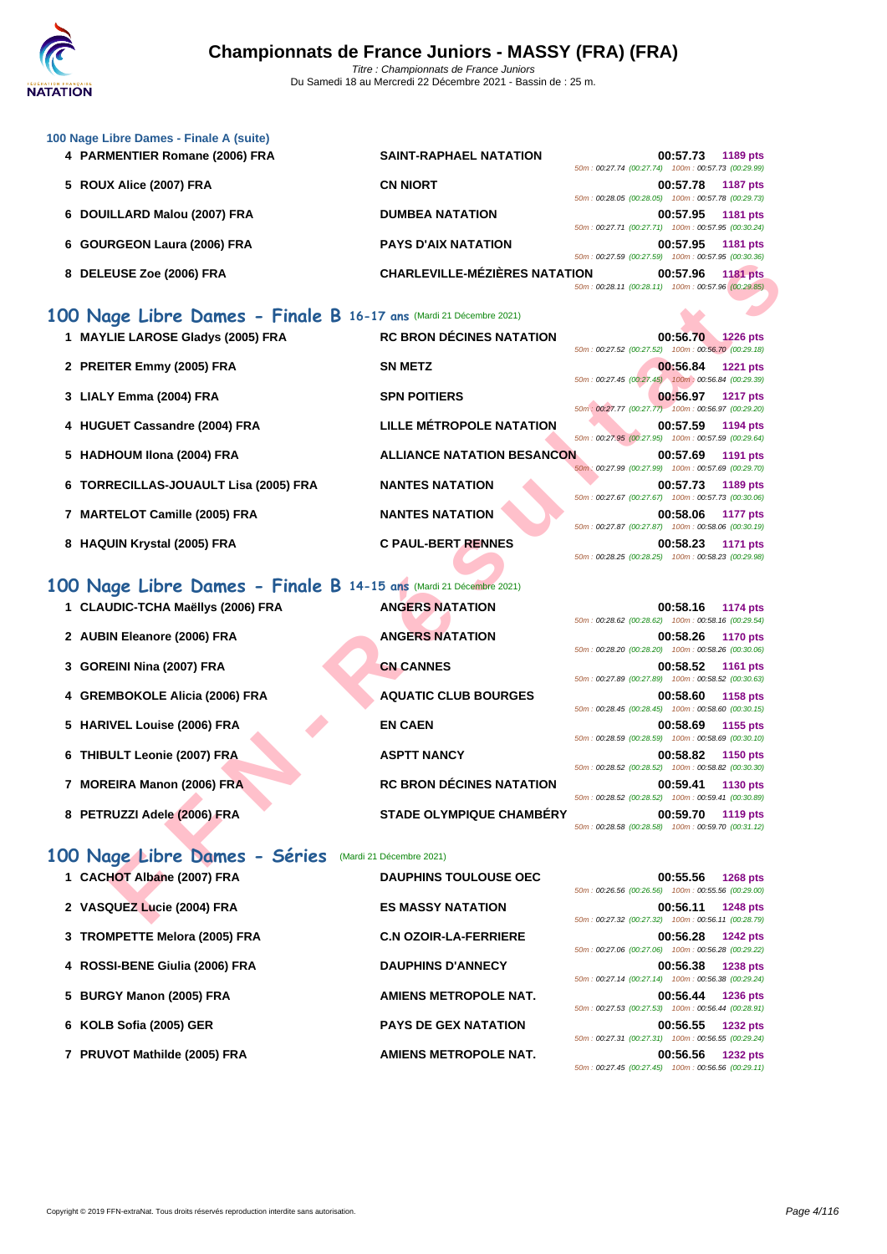| 100 Nage Libre Dames - Finale A (suite)<br>4 PARMENTIER Romane (2006) FRA | <b>SAINT-RAPHAEL NATATION</b>        | 00:57.73<br>1189 pts                                                                                                                    |
|---------------------------------------------------------------------------|--------------------------------------|-----------------------------------------------------------------------------------------------------------------------------------------|
| 5 ROUX Alice (2007) FRA                                                   | <b>CN NIORT</b>                      | 50m: 00:27.74 (00:27.74) 100m: 00:57.73 (00:29.99)<br>00:57.78<br><b>1187 pts</b>                                                       |
|                                                                           |                                      | 50m: 00:28.05 (00:28.05) 100m: 00:57.78 (00:29.73)                                                                                      |
| 6 DOUILLARD Malou (2007) FRA                                              | <b>DUMBEA NATATION</b>               | 00:57.95<br>1181 pts<br>50m: 00:27.71 (00:27.71) 100m: 00:57.95 (00:30.24)                                                              |
| 6 GOURGEON Laura (2006) FRA                                               | <b>PAYS D'AIX NATATION</b>           | 00:57.95<br>1181 pts<br>50m: 00:27.59 (00:27.59) 100m: 00:57.95 (00:30.36)                                                              |
| 8 DELEUSE Zoe (2006) FRA                                                  | <b>CHARLEVILLE-MÉZIÈRES NATATION</b> | 00:57.96<br><b>1181 pts</b><br>50m: 00:28.11 (00:28.11) 100m: 00:57.96 (00:29.85)                                                       |
| 100 Nage Libre Dames - Finale B 16-17 ans (Mardi 21 Décembre 2021)        |                                      |                                                                                                                                         |
| 1 MAYLIE LAROSE Gladys (2005) FRA                                         | <b>RC BRON DÉCINES NATATION</b>      | 00:56.70 1226 pts                                                                                                                       |
| 2 PREITER Emmy (2005) FRA                                                 | <b>SN METZ</b>                       | 50m : 00:27.52 (00:27.52) 100m : 00:56.70 (00:29.18)<br>00:56.84<br><b>1221 pts</b>                                                     |
| 3 LIALY Emma (2004) FRA                                                   | <b>SPN POITIERS</b>                  | 50m: 00:27.45 (00:27.45) 100m: 00:56.84 (00:29.39)<br>00:56.97<br><b>1217 pts</b>                                                       |
|                                                                           |                                      | 50m : 00:27.77 (00:27.77) 100m : 00:56.97 (00:29.20)                                                                                    |
| 4 HUGUET Cassandre (2004) FRA                                             | LILLE MÉTROPOLE NATATION             | 00:57.59<br>1194 pts<br>50m : 00:27.95 (00:27.95) 100m : 00:57.59 (00:29.64)                                                            |
| 5 HADHOUM Ilona (2004) FRA                                                | <b>ALLIANCE NATATION BESANCON</b>    | 00:57.69<br>1191 pts<br>50m: 00:27.99 (00:27.99) 100m: 00:57.69 (00:29.70)                                                              |
| 6 TORRECILLAS-JOUAULT Lisa (2005) FRA                                     | <b>NANTES NATATION</b>               | 00:57.73<br>1189 pts<br>50m: 00:27.67 (00:27.67) 100m: 00:57.73 (00:30.06)                                                              |
| 7 MARTELOT Camille (2005) FRA                                             | <b>NANTES NATATION</b>               | 00:58.06<br>1177 pts                                                                                                                    |
| 8 HAQUIN Krystal (2005) FRA                                               | <b>C PAUL-BERT RENNES</b>            | 50m: 00:27.87 (00:27.87) 100m: 00:58.06 (00:30.19)<br>00:58.23<br><b>1171 pts</b><br>50m: 00:28.25 (00:28.25) 100m: 00:58.23 (00:29.98) |
|                                                                           |                                      |                                                                                                                                         |
| 100 Nage Libre Dames - Finale B 14-15 ans (Mardi 21 Décembre 2021)        |                                      |                                                                                                                                         |
| 1 CLAUDIC-TCHA Maëllys (2006) FRA                                         | <b>ANGERS NATATION</b>               | 00:58.16<br>1174 pts<br>50m : 00:28.62 (00:28.62) 100m : 00:58.16 (00:29.54)                                                            |
| 2 AUBIN Eleanore (2006) FRA                                               | <b>ANGERS NATATION</b>               | 00:58.26<br><b>1170 pts</b><br>50m: 00:28.20 (00:28.20) 100m: 00:58.26 (00:30.06)                                                       |
| 3 GOREINI Nina (2007) FRA                                                 | <b>CN CANNES</b>                     | 00:58.52<br><b>1161 pts</b>                                                                                                             |
| 4 GREMBOKOLE Alicia (2006) FRA                                            | <b>AQUATIC CLUB BOURGES</b>          | 50m: 00:27.89 (00:27.89) 100m: 00:58.52 (00:30.63)<br>00:58.60<br><b>1158 pts</b>                                                       |
|                                                                           |                                      | 50m: 00:28.45 (00:28.45) 100m: 00:58.60 (00:30.15)                                                                                      |
| 5 HARIVEL Louise (2006) FRA                                               | <b>EN CAEN</b>                       | 00:58.69<br>1155 pts<br>50m: 00:28.59 (00:28.59) 100m: 00:58.69 (00:30.10)                                                              |
| 6 THIBULT Leonie (2007) FRA                                               | <b>ASPTT NANCY</b>                   | 00:58.82<br><b>1150 pts</b><br>50m: 00:28.52 (00:28.52) 100m: 00:58.82 (00:30.30)                                                       |
| 7 MOREIRA Manon (2006) FRA                                                | <b>RC BRON DÉCINES NATATION</b>      | 00:59.41<br><b>1130 pts</b>                                                                                                             |
|                                                                           |                                      | 50m: 00:28.52 (00:28.52) 100m: 00:59.41 (00:30.89)                                                                                      |
| 8 PETRUZZI Adele (2006) FRA                                               | <b>STADE OLYMPIQUE CHAMBERY</b>      | 00:59.70<br><b>1119 pts</b><br>50m: 00:28.58 (00:28.58) 100m: 00:59.70 (00:31.12)                                                       |
| 100 Nage Libre Dames - Séries                                             | (Mardi 21 Décembre 2021)             |                                                                                                                                         |
| 1 CACHOT Albane (2007) FRA                                                | <b>DAUPHINS TOULOUSE OEC</b>         | 00:55.56<br><b>1268 pts</b>                                                                                                             |
| 2 VASQUEZ Lucie (2004) FRA                                                | <b>ES MASSY NATATION</b>             | 50m: 00:26.56 (00:26.56) 100m: 00:55.56 (00:29.00)<br>00:56.11<br><b>1248 pts</b>                                                       |
|                                                                           |                                      | 50m: 00:27.32 (00:27.32) 100m: 00:56.11 (00:28.79)                                                                                      |

- **3** LIALY Emma (2004) FRA **SPN POITIERS**
- **4 HUGUET Cassandre (2004) FRA LILLE MÉTROPOLE NATATION 00:57.59 1194 pts**
- **5 HADHOUM IIona (2004) FRA ALLIANCE NATATION BESANC**
- **6 TORRECILLAS-JOUAULT Lisa (2005) FRA NANTES NATATION 00:57.73 1189 pts**
- **7 MARTELOT Camille (2005) FRA NANTES NATATION**
- 8 **HAQUIN Krystal (2005) FRA C PAUL-BERT RENNES**

### **100 Nage Libre Dames - Finale B 14-15 ans** (Mardi 21 Décembre 2021)

- **1 CLAUDIC-TCHA Maëllys (2006) FRA ANGERS NATATION**
- 2 **AUBIN Eleanore (2006) FRA ANGERS NATATION**
- **3 GOREINI Nina (2007) FRA CN CANNES**
- **4 GREMBOKOLE Alicia (2006) FRA AQUATIC CLUB BOURGES 00:58.60 1158 pts**
- **5 HARIVEL Louise (2006) FRA EN CAEN**
- **6 THIBULT Leonie (2007) FRA ASPTT NANCY**
- **7** MOREIRA Manon (2006) FRA **RC BRON DÉCINES NATATION**
- 8 **PETRUZZI Adele (2006) FRA STADE OLYMPIQUE CHAMBÉRY**

### **100 Nage Libre Dames - Séries** (Mardi 21 Décembre 2021)

| 1 CACHOT Albane (2007) FRA     | <b>DAUPHINS TOULOUSE OEC</b> | 00:55.56<br><b>1268 pts</b>                        |
|--------------------------------|------------------------------|----------------------------------------------------|
|                                |                              | 50m: 00:26.56 (00:26.56) 100m: 00:55.56 (00:29.00) |
| 2 VASQUEZ Lucie (2004) FRA     | <b>ES MASSY NATATION</b>     | 00:56.11<br><b>1248 pts</b>                        |
|                                |                              | 50m: 00:27.32 (00:27.32) 100m: 00:56.11 (00:28.79) |
| 3 TROMPETTE Melora (2005) FRA  | <b>C.N OZOIR-LA-FERRIERE</b> | 00:56.28<br><b>1242 pts</b>                        |
|                                |                              | 50m: 00:27.06 (00:27.06) 100m: 00:56.28 (00:29.22) |
| 4 ROSSI-BENE Giulia (2006) FRA | <b>DAUPHINS D'ANNECY</b>     | 00:56.38<br><b>1238 pts</b>                        |
|                                |                              | 50m: 00:27.14 (00:27.14) 100m: 00:56.38 (00:29.24) |
| 5 BURGY Manon (2005) FRA       | AMIENS METROPOLE NAT.        | 00:56.44<br><b>1236 pts</b>                        |
|                                |                              | 50m: 00:27.53 (00:27.53) 100m: 00:56.44 (00:28.91) |
| 6 KOLB Sofia (2005) GER        | <b>PAYS DE GEX NATATION</b>  | 00:56.55<br>1232 pts                               |
|                                |                              | 50m: 00:27.31 (00:27.31) 100m: 00:56.55 (00:29.24) |
| 7 PRUVOT Mathilde (2005) FRA   | <b>AMIENS METROPOLE NAT.</b> | 00:56.56<br><b>1232 pts</b>                        |

|                                                    | 00:56.97 1217 pts |
|----------------------------------------------------|-------------------|
| 50m: 00:27.77 (00:27.77) 100m: 00:56.97 (00:29.20) |                   |
|                                                    | 00:57.59 1194 pts |
| 50m: 00:27.95 (00:27.95) 100m: 00:57.59 (00:29.64) |                   |
|                                                    | 00:57.69 1191 pts |
| 50m: 00:27.99 (00:27.99) 100m: 00:57.69 (00:29.70) |                   |
|                                                    | 00:57.73 1189 pts |
| 50m: 00:27.67 (00:27.67) 100m: 00:57.73 (00:30.06) |                   |
|                                                    | 00:58.06 1177 pts |
| 50m: 00:27.87 (00:27.87) 100m: 00:58.06 (00:30.19) |                   |
|                                                    | 00:58.23 1171 pts |
| 50m: 00:28.25 (00:28.25) 100m: 00:58.23 (00:29.98) |                   |
|                                                    |                   |
|                                                    |                   |
|                                                    | 00:58.16 1174 pts |
| 50m: 00:28.62 (00:28.62) 100m: 00:58.16 (00:29.54) |                   |
|                                                    |                   |
| 50m: 00:28.20 (00:28.20) 100m: 00:58.26 (00:30.06) | 00:58.26 1170 pts |
|                                                    |                   |

| 50m: 00:28.20 (00:28.20) 100m: 00:58.26 (00:30.06)             |
|----------------------------------------------------------------|
| 00:58.52 1161 pts                                              |
| 50m: 00:27.89 (00:27.89) 100m: 00:58.52 (00:30.63)             |
| 00:58.60 1158 pts                                              |
| 50m: 00:28.45 (00:28.45) 100m: 00:58.60 (00:30.15)             |
| 00:58.69 1155 pts                                              |
| 50m: 00:28.59 (00:28.59) 100m: 00:58.69 (00:30.10)             |
| 00:58.82 1150 pts                                              |
| 50m: 00:28.52 (00:28.52) 100m: 00:58.82 (00:30.30)             |
| 00:59.41 1130 pts                                              |
| 50m: 00:28.52 (00:28.52) 100m: 00:59.41 (00:30.89)             |
| 00:59.70 1119 pts                                              |
| $50m \cdot 00.2858$ (00:28.58) $100m \cdot 00.5970$ (00:31.12) |

|                                                    | 00:55.56 1268 pts |  |
|----------------------------------------------------|-------------------|--|
| 50m: 00:26.56 (00:26.56) 100m: 00:55.56 (00:29.00) |                   |  |
|                                                    | 00:56.11 1248 pts |  |
| 50m: 00:27.32 (00:27.32) 100m: 00:56.11 (00:28.79) |                   |  |
|                                                    | 00:56.28 1242 pts |  |
| 50m: 00:27.06 (00:27.06) 100m: 00:56.28 (00:29.22) |                   |  |
|                                                    | 00:56.38 1238 pts |  |
| 50m: 00:27.14 (00:27.14) 100m: 00:56.38 (00:29.24) |                   |  |
|                                                    | 00:56.44 1236 pts |  |
| 50m: 00:27.53 (00:27.53) 100m: 00:56.44 (00:28.91) |                   |  |
|                                                    | 00:56.55 1232 pts |  |
| 50m: 00:27.31 (00:27.31) 100m: 00:56.55 (00:29.24) |                   |  |
|                                                    | 00:56.56 1232 pts |  |
| 50m: 00:27.45 (00:27.45) 100m: 00:56.56 (00:29.11) |                   |  |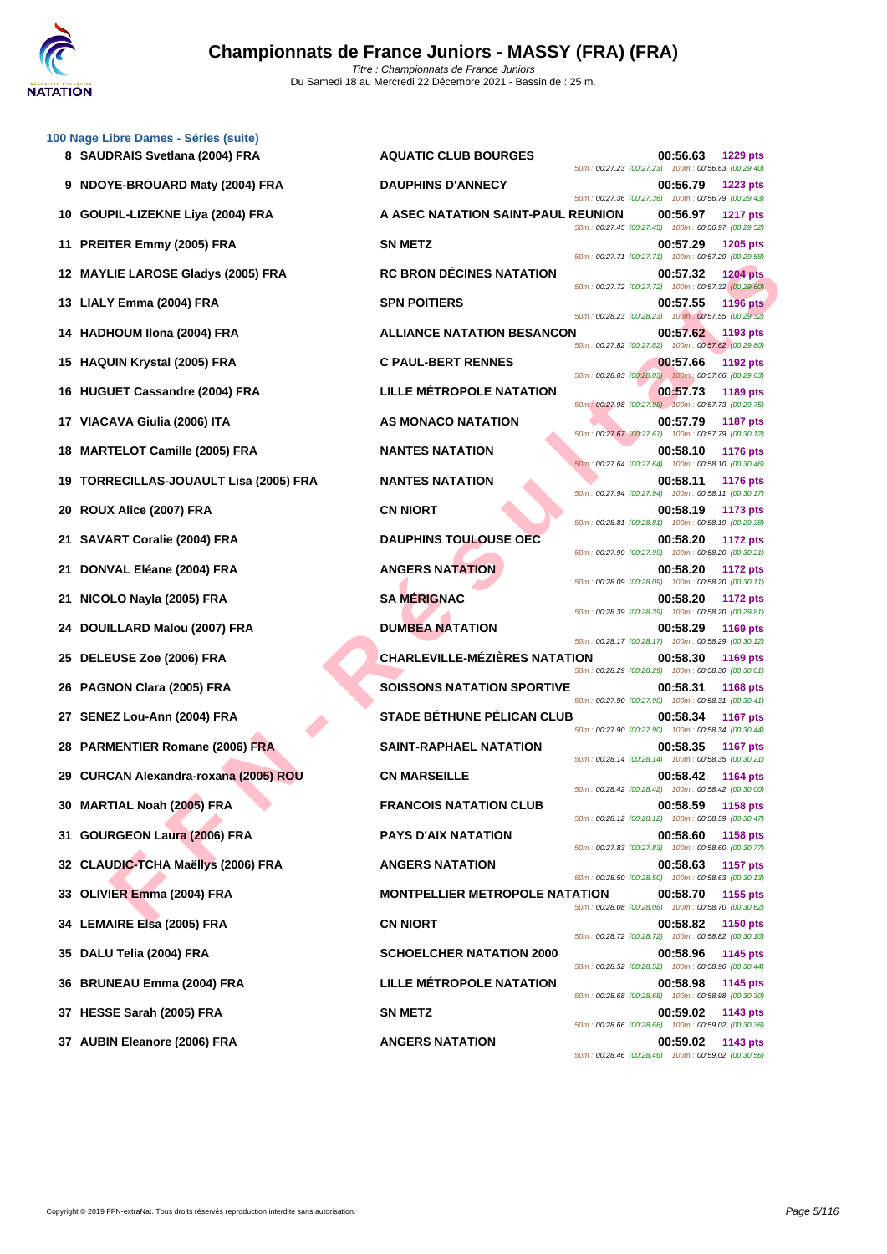

|    | 100 Nage Libre Dames - Séries (suite)<br>8 SAUDRAIS Svetlana (2004) FRA | <b>AQUATIC CLUB BOURGES</b>           | 00:56.63<br><b>1229 pts</b>                                                                                                             |
|----|-------------------------------------------------------------------------|---------------------------------------|-----------------------------------------------------------------------------------------------------------------------------------------|
|    | 9 NDOYE-BROUARD Maty (2004) FRA                                         | <b>DAUPHINS D'ANNECY</b>              | 50m: 00:27.23 (00:27.23) 100m: 00:56.63 (00:29.40)<br>00:56.79<br><b>1223 pts</b>                                                       |
|    | 10 GOUPIL-LIZEKNE Liya (2004) FRA                                       | A ASEC NATATION SAINT-PAUL REUNION    | 50m: 00:27.36 (00:27.36) 100m: 00:56.79 (00:29.43)<br>00:56.97<br><b>1217 pts</b><br>50m: 00:27.45 (00:27.45) 100m: 00:56.97 (00:29.52) |
|    | 11 PREITER Emmy (2005) FRA                                              | <b>SN METZ</b>                        | 00:57.29<br>1205 pts                                                                                                                    |
|    | 12 MAYLIE LAROSE Gladys (2005) FRA                                      | <b>RC BRON DÉCINES NATATION</b>       | 50m: 00:27.71 (00:27.71) 100m: 00:57.29 (00:29.58)<br>00:57.32<br><b>1204 pts</b><br>50m: 00:27.72 (00:27.72) 100m: 00:57.32 (00:29.60) |
|    | 13 LIALY Emma (2004) FRA                                                | <b>SPN POITIERS</b>                   | 00:57.55<br><b>1196 pts</b><br>50m: 00:28.23 (00:28.23) 100m: 00:57.55 (00:29.32)                                                       |
|    | 14 HADHOUM Ilona (2004) FRA                                             | <b>ALLIANCE NATATION BESANCON</b>     | 00:57.62<br>1193 pts<br>50m: 00:27.82 (00:27.82) 100m: 00:57.62 (00:29.80)                                                              |
|    | 15 HAQUIN Krystal (2005) FRA                                            | <b>C PAUL-BERT RENNES</b>             | 00:57.66<br>1192 pts<br>50m : 00:28.03 (00:28.03) 100m : 00:57.66 (00:29.63)                                                            |
| 16 | <b>HUGUET Cassandre (2004) FRA</b>                                      | LILLE MÉTROPOLE NATATION              | 00:57.73<br>1189 pts<br>50m: 00:27.98 (00:27.98) 100m: 00:57.73 (00:29.75)                                                              |
| 17 | VIACAVA Giulia (2006) ITA                                               | AS MONACO NATATION                    | 00:57.79<br><b>1187 pts</b><br>50m: 00:27.67 (00:27.67) 100m: 00:57.79 (00:30.12)                                                       |
|    | 18 MARTELOT Camille (2005) FRA                                          | <b>NANTES NATATION</b>                | 00:58.10<br><b>1176 pts</b><br>50m: 00:27.64 (00:27.64) 100m: 00:58.10 (00:30.46)                                                       |
| 19 | <b>TORRECILLAS-JOUAULT Lisa (2005) FRA</b>                              | <b>NANTES NATATION</b>                | 00:58.11<br><b>1176 pts</b><br>50m: 00:27.94 (00:27.94) 100m: 00:58.11 (00:30.17)                                                       |
| 20 | ROUX Alice (2007) FRA                                                   | <b>CN NIORT</b>                       | 00:58.19<br>1173 pts<br>50m: 00:28.81 (00:28.81) 100m: 00:58.19 (00:29.38)                                                              |
| 21 | <b>SAVART Coralie (2004) FRA</b>                                        | <b>DAUPHINS TOULOUSE OEC</b>          | 00:58.20<br><b>1172 pts</b><br>50m: 00:27.99 (00:27.99) 100m: 00:58.20 (00:30.21)                                                       |
| 21 | DONVAL Eléane (2004) FRA                                                | <b>ANGERS NATATION</b>                | 00:58.20<br>1172 pts<br>50m: 00:28.09 (00:28.09) 100m: 00:58.20 (00:30.11)                                                              |
| 21 | NICOLO Nayla (2005) FRA                                                 | <b>SA MÉRIGNAC</b>                    | 00:58.20<br>1172 pts<br>50m: 00:28.39 (00:28.39) 100m: 00:58.20 (00:29.81)                                                              |
| 24 | DOUILLARD Malou (2007) FRA                                              | <b>DUMBEA NATATION</b>                | 00:58.29<br><b>1169 pts</b><br>50m: 00:28.17 (00:28.17) 100m: 00:58.29 (00:30.12)                                                       |
| 25 | DELEUSE Zoe (2006) FRA                                                  | <b>CHARLEVILLE-MÉZIÈRES NATATION</b>  | 00:58.30<br>1169 pts<br>50m: 00:28.29 (00:28.29) 100m: 00:58.30 (00:30.01)                                                              |
| 26 | <b>PAGNON Clara (2005) FRA</b>                                          | <b>SOISSONS NATATION SPORTIVE</b>     | 00:58.31<br><b>1168 pts</b><br>50m: 00:27.90 (00:27.90) 100m: 00:58.31 (00:30.41)                                                       |
| 27 | SENEZ Lou-Ann (2004) FRA                                                | <b>STADE BÉTHUNE PÉLICAN CLUB</b>     | 00:58.34<br><b>1167 pts</b><br>50m: 00:27.90 (00:27.90) 100m: 00:58.34 (00:30.44)                                                       |
|    | 28 PARMENTIER Romane (2006) FRA                                         | <b>SAINT-RAPHAEL NATATION</b>         | 00:58.35<br><b>1167 pts</b><br>50m: 00:28.14 (00:28.14) 100m: 00:58.35 (00:30.21)                                                       |
|    | 29 CURCAN Alexandra-roxana (2005) ROU                                   | <b>CN MARSEILLE</b>                   | 00:58.42<br>1164 pts<br>50m: 00:28.42 (00:28.42) 100m: 00:58.42 (00:30.00)                                                              |
|    | 30 MARTIAL Noah (2005) FRA                                              | <b>FRANCOIS NATATION CLUB</b>         | 00:58.59<br><b>1158 pts</b><br>50m: 00:28.12 (00:28.12) 100m: 00:58.59 (00:30.47)                                                       |
| 31 | <b>GOURGEON Laura (2006) FRA</b>                                        | <b>PAYS D'AIX NATATION</b>            | 00:58.60<br><b>1158 pts</b><br>50m: 00:27.83 (00:27.83) 100m: 00:58.60 (00:30.77)                                                       |
|    | 32 CLAUDIC-TCHA Maëllys (2006) FRA                                      | <b>ANGERS NATATION</b>                | 00:58.63<br><b>1157 pts</b><br>50m: 00:28.50 (00:28.50) 100m: 00:58.63 (00:30.13)                                                       |
|    | 33 OLIVIER Emma (2004) FRA                                              | <b>MONTPELLIER METROPOLE NATATION</b> | 00:58.70<br>1155 pts<br>50m: 00:28.08 (00:28.08) 100m: 00:58.70 (00:30.62)                                                              |
|    | 34 LEMAIRE Elsa (2005) FRA                                              | <b>CN NIORT</b>                       | 00:58.82<br><b>1150 pts</b><br>50m: 00:28.72 (00:28.72) 100m: 00:58.82 (00:30.10)                                                       |
|    | 35 DALU Telia (2004) FRA                                                | <b>SCHOELCHER NATATION 2000</b>       | 00:58.96<br>1145 pts<br>50m: 00:28.52 (00:28.52) 100m: 00:58.96 (00:30.44)                                                              |
|    | 36 BRUNEAU Emma (2004) FRA                                              | <b>LILLE MÉTROPOLE NATATION</b>       | 00:58.98<br>1145 pts<br>50m: 00:28.68 (00:28.68) 100m: 00:58.98 (00:30.30)                                                              |
|    | 37 HESSE Sarah (2005) FRA                                               | <b>SN METZ</b>                        | 00:59.02<br>1143 pts<br>50m: 00:28.66 (00:28.66) 100m: 00:59.02 (00:30.36)                                                              |
|    | 37 AUBIN Eleanore (2006) FRA                                            | <b>ANGERS NATATION</b>                | 00:59.02 1143 pts                                                                                                                       |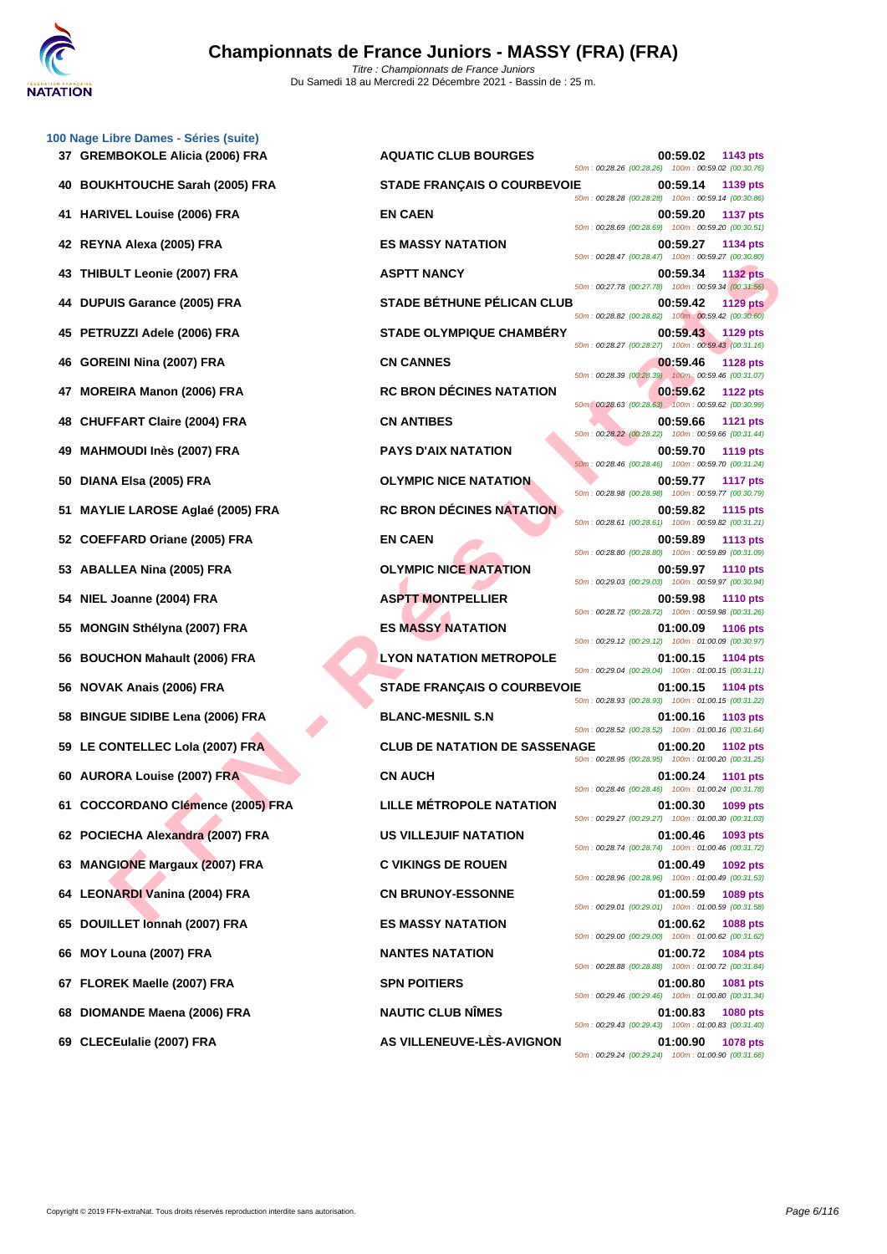

|    | 100 Nage Libre Dames - Séries (suite)<br>37 GREMBOKOLE Alicia (2006) FRA |
|----|--------------------------------------------------------------------------|
|    | 40 BOUKHTOUCHE Sarah (2005) FRA                                          |
|    | 41 HARIVEL Louise (2006) FRA                                             |
|    | 42 REYNA Alexa (2005) FRA                                                |
|    | 43 THIBULT Leonie (2007) FRA                                             |
|    | 44 DUPUIS Garance (2005) FRA                                             |
|    | 45 PETRUZZI Adele (2006) FRA                                             |
|    | 46 GOREINI Nina (2007) FRA                                               |
|    | 47 MOREIRA Manon (2006) FRA                                              |
|    | 48 CHUFFART Claire (2004) FRA                                            |
|    | 49 MAHMOUDI Inès (2007) FRA                                              |
|    | 50 DIANA Elsa (2005) FRA                                                 |
| 51 | <b>MAYLIE LAROSE Aglaé (2005) FRA</b>                                    |
|    | 52 COEFFARD Oriane (2005) FRA                                            |
|    | 53 ABALLEA Nina (2005) FRA                                               |
|    | 54 NIEL Joanne (2004) FRA                                                |
|    | 55 MONGIN Sthélyna (2007) FRA                                            |
|    | 56 BOUCHON Mahault (2006) FRA                                            |
|    | 56 NOVAK Anais (2006) FRA                                                |
|    | 58 BINGUE SIDIBE Lena (2006) FRA                                         |
|    | 59 LE CONTELLEC Lola (2007) FRA                                          |
|    | 60 AURORA Louise (2007) FRA                                              |
| 61 | <b>COCCORDANO Clémence (2005) FRA</b>                                    |
|    | 62 POCIECHA Alexandra (2007) FRA                                         |
|    | 63 MANGIONE Margaux (2007) FRA                                           |
|    | 64 LEONARDI Vanina (2004) FRA                                            |
|    | 65 DOUILLET Ionnah (2007) FRA                                            |
|    | 66 MOY Louna (2007) FRA                                                  |
|    | 67 FLOREK Maelle (2007) FRA                                              |
|    | 68 DIOMANDE Maena (2006) FRA                                             |
|    | 60 CLECEulatio (2007) EDA                                                |

| <b>AQUATIC CLUB BOURGES</b>          |  | 00:59.02 | 1143 pts<br>50m: 00:28.26 (00:28.26) 100m: 00:59.02 (00:30.76)          |
|--------------------------------------|--|----------|-------------------------------------------------------------------------|
| <b>STADE FRANÇAIS O COURBEVOIE</b>   |  | 00:59.14 | 1139 pts<br>50m: 00:28.28 (00:28.28) 100m: 00:59.14 (00:30.86)          |
| <b>EN CAEN</b>                       |  | 00:59.20 | <b>1137 pts</b><br>50m: 00:28.69 (00:28.69) 100m: 00:59.20 (00:30.51)   |
| <b>ES MASSY NATATION</b>             |  | 00:59.27 | 1134 pts<br>50m: 00:28.47 (00:28.47) 100m: 00:59.27 (00:30.80)          |
| <b>ASPTT NANCY</b>                   |  |          | 00:59.34 1132 pts<br>50m: 00:27.78 (00:27.78) 100m: 00:59.34 (00:31.56) |
| <b>STADE BÉTHUNE PÉLICAN CLUB</b>    |  | 00:59.42 | <b>1129 pts</b><br>50m: 00:28.82 (00:28.82) 100m: 00:59.42 (00:30.60)   |
| <b>STADE OLYMPIQUE CHAMBÉRY</b>      |  | 00:59.43 | 1129 pts<br>50m: 00:28.27 (00:28.27) 100m: 00:59.43 (00:31.16)          |
| <b>CN CANNES</b>                     |  | 00:59.46 | 1128 pts<br>50m : 00:28.39 (00:28.39) 100m : 00:59.46 (00:31.07)        |
| <b>RC BRON DECINES NATATION</b>      |  | 00:59.62 | <b>1122 pts</b><br>50m: 00:28.63 (00:28.63) 100m: 00:59.62 (00:30.99)   |
| <b>CN ANTIBES</b>                    |  | 00:59.66 | 1121 pts<br>50m : 00:28.22 (00:28.22) 100m : 00:59.66 (00:31.44)        |
| <b>PAYS D'AIX NATATION</b>           |  |          | 00:59.70 1119 pts<br>50m: 00:28.46 (00:28.46) 100m: 00:59.70 (00:31.24) |
| <b>OLYMPIC NICE NATATION</b>         |  |          | 00:59.77 1117 pts<br>50m: 00:28.98 (00:28.98) 100m: 00:59.77 (00:30.79) |
| <b>RC BRON DÉCINES NATATION</b>      |  | 00:59.82 | 1115 pts<br>50m: 00:28.61 (00:28.61) 100m: 00:59.82 (00:31.21)          |
| <b>EN CAEN</b>                       |  | 00:59.89 | <b>1113 pts</b><br>50m: 00:28.80 (00:28.80) 100m: 00:59.89 (00:31.09)   |
| <b>OLYMPIC NICE NATATION</b>         |  |          | 00:59.97 1110 pts<br>50m: 00:29.03 (00:29.03) 100m: 00:59.97 (00:30.94) |
| <b>ASPTT MONTPELLIER</b>             |  | 00:59.98 | 1110 pts<br>50m: 00:28.72 (00:28.72) 100m: 00:59.98 (00:31.26)          |
| <b>ES MASSY NATATION</b>             |  | 01:00.09 | 1106 pts<br>50m: 00:29.12 (00:29.12) 100m: 01:00.09 (00:30.97)          |
| <b>LYON NATATION METROPOLE</b>       |  | 01:00.15 | 1104 pts<br>50m: 00:29.04 (00:29.04) 100m: 01:00.15 (00:31.11)          |
| <b>STADE FRANÇAIS O COURBEVOIE</b>   |  | 01:00.15 | <b>1104 pts</b><br>50m: 00:28.93 (00:28.93) 100m: 01:00.15 (00:31.22)   |
| <b>BLANC-MESNIL S.N</b>              |  | 01:00.16 | 1103 pts<br>50m: 00:28.52 (00:28.52) 100m: 01:00.16 (00:31.64)          |
| <b>CLUB DE NATATION DE SASSENAGE</b> |  | 01:00.20 | <b>1102 pts</b><br>50m: 00:28.95 (00:28.95) 100m: 01:00.20 (00:31.25)   |
| <b>CN AUCH</b>                       |  | 01:00.24 | 1101 pts<br>50m: 00:28.46 (00:28.46) 100m: 01:00.24 (00:31.78)          |
| <b>LILLE MÉTROPOLE NATATION</b>      |  |          | 01:00.30 1099 pts<br>50m: 00:29.27 (00:29.27) 100m: 01:00.30 (00:31.03) |
| <b>US VILLEJUIF NATATION</b>         |  | 01:00.46 | 1093 pts<br>50m: 00:28.74 (00:28.74) 100m: 01:00.46 (00:31.72)          |
| <b>C VIKINGS DE ROUEN</b>            |  | 01:00.49 | 1092 pts<br>50m: 00:28.96 (00:28.96) 100m: 01:00.49 (00:31.53)          |
| <b>CN BRUNOY-ESSONNE</b>             |  | 01:00.59 | 1089 pts<br>50m: 00:29.01 (00:29.01) 100m: 01:00.59 (00:31.58)          |
| <b>ES MASSY NATATION</b>             |  | 01:00.62 | <b>1088 pts</b><br>50m: 00:29.00 (00:29.00) 100m: 01:00.62 (00:31.62)   |
| <b>NANTES NATATION</b>               |  | 01:00.72 | 1084 pts<br>50m: 00:28.88 (00:28.88) 100m: 01:00.72 (00:31.84)          |
| <b>SPN POITIERS</b>                  |  | 01:00.80 | 1081 pts<br>50m: 00:29.46 (00:29.46) 100m: 01:00.80 (00:31.34)          |
| <b>NAUTIC CLUB NIMES</b>             |  | 01:00.83 | 1080 pts<br>50m: 00:29.43 (00:29.43) 100m: 01:00.83 (00:31.40)          |
| <b>AS VILLENEUVE-LES-AVIGNON</b>     |  | 01:00.90 | 1078 pts                                                                |

ULT JOON FRA STADE BEHUMANCY<br>
IS GREATED (2005) FRA STADE BEHUMANCY SAN GOOD STADE TO COMPANY COLUMN CONTRAPT THE SAN ARE CONTRAPT TO CONTRA<br>
EIN NIA (2007) FRA STADE OF THANCE CHAMBERY SAN ARE CONTRAPT TO COMPANY COLUMN C m : 00:28.26 (00:28.26) 100m : 00:59.02 (00:30.76) **400:59.14 POICHERE STADE FRANÇAIS O COURBEVOIE 00:59.14 1139 pts** m : 00:28.28 (00:28.28) 100m : 00:59.14 (00:30.86) **41137 PM CAEN 41137 pts** m : 00:28.69 (00:28.69) 100m : 00:59.20 (00:30.51) **42 REYNA Alexa (2005) FRA ES MASSY NATATION 00:59.27 1134 pts** m: 00:28.47 (00:28.47) 100m: 00:59.27 (00:30.80) **43PTT NANCY 00:59.34 1132 pts** m : 00:27.78 (00:27.78) 100m : 00:59.34 (00:31.56) **444 BETHUNE PÉLICAN CLUB 00:59.42 1129 pts** m : 00:28.82 (00:28.82) 100m : 00:59.42 (00:30.60) **45 PETRUZZI Adele (2006) FRA STADE OLYMPIQUE CHAMBÉRY 00:59.43 1129 pts** m : 00:28.27 (00:28.27) 100m : 00:59.43 (00:31.16) **46 CN CANNES 00:59.46 1128 pts** m : 00:28.39 (00:28.39) 100m : 00:59.46 (00:31.07) **478 RC BRON DÉCINES NATATION 00:59.62 1122 pts**  $\frac{1}{100}$ :28.63 (00:28.63) 100m : 00:59.62 (00:30.99) **48 CN ANTIBES 00:59.66 1121 pts** m : 00:28.22 (00:28.22) 100m : 00:59.66 (00:31.44) **49 1119 PAYS D'AIX NATATION 1119 pts** n: 00:28.46 (00:28.46) 100m : 00:59.70 (00:31.24) **50 <b>DIANA ELSA (2005)** FRACE NATATION **COLYMPIC NICE NATATION 00:59.77 1117 pts** 50m : 00:28.98 (00:28.98) 100m : 00:59.77 (00:30.79) **51115 RC BRON DÉCINES NATATION 100:59.82 1115 pts** n : 00:28.61 (00:28.61) 100m : 00:59.82 (00:31.21) **52 COEFFACEN CAEN COEFF** m : 00:28.80 (00:28.80) 100m : 00:59.89 (00:31.09) **53.97 CLYMPIC NICE NATATION COLYMPIC NICE NATATION** m : 00:29.03 (00:29.03) 100m : 00:59.97 (00:30.94) **54 NIEL Joanne (2004) FRA ASPTT MONTPELLIER 00:59.98 1110 pts** m : 00:28.72 (00:28.72) 100m : 00:59.98 (00:31.26) **55 MASSY NATATION 01:00.09 1106 pts** m : 00:29.12 (00:29.12) 100m : 01:00.09 (00:30.97) **56 BOUCHON Mahault (2006) FRA LYON NATATION METROPOLE 01:00.15 1104 pts** m : 00:29.04 (00:29.04) 100m : 01:00.15 (00:31.11) **56 NOVAK Anais (2006) FRA STADE FRANÇAIS O COURBEVOIE 01:00.15 1104 pts** m : 00:28.93 (00:28.93) 100m : 01:00.15 (00:31.22) **58 BLANC-MESNIL S.N 01:00.16 1103 pts** m : 00:28.52 (00:28.52) 100m : 01:00.16 (00:31.64) **59 LE CONTELLEC Lola (2007) FRA CLUB DE NATATION DE SASSENAGE 01:00.20 1102 pts** n : 00:28.95 (00:28.95) 100m : 01:00.20 (00:31.25) **60 AURORA Louise (2007) FRA CN AUCH 01:00.24 1101 pts** m : 00:28.46 (00:28.46) 100m : 01:00.24 (00:31.78) **61 COCCORDANO Clémence (2005) FRA LILLE MÉTROPOLE NATATION 01:00.30 1099 pts** m: 00:29.27 (00:29.27) 100m: 01:00.30 (00:31.03) **62 POCIECHA Alexandra (2007) FRA US VILLEJUIF NATATION 01:00.46 1093 pts** m: 00:28.74 (00:28.74) 100m: 01:00.46 (00:31.72) **63 MANGIONE Margaux (2007) FRA C VIKINGS DE ROUEN 01:00.49 1092 pts** m: 00:28.96 (00:28.96) 100m: 01:00.49 (00:31.53) **64 LEONARDI Vanina (2004) FRA CN BRUNOY-ESSONNE 01:00.59 1089 pts** m : 00:29.01 (00:29.01) 100m : 01:00.59 (00:31.58) **65 DOUILLET Ionnah (2007) FRA ES MASSY NATATION 01:00.62 1088 pts** m: 00:29.00 (00:29.00) 100m: 01:00.62 (00:31.62) **61:00.72 1084 pts** m : 00:28.88 (00:28.88) 100m : 01:00.72 (00:31.84) **67 FLOREK Maelle (2007) FRA SPN POITIERS 01:00.80 1081 pts** m : 00:29.46 (00:29.46) 100m : 01:00.80 (00:31.34) **688 DIOMANDE MAUTIC CLUB NÎMES DIOMANDE MAES 01:00.83 1080 pts** m : 00:29.43 (00:29.43) 100m : 01:00.83 (00:31.40) **69 CLECEulalie (2007) FRA AS VILLENEUVE-LÈS-AVIGNON 01:00.90 1078 pts** 50m : 00:29.24 (00:29.24) 100m : 01:00.90 (00:31.66)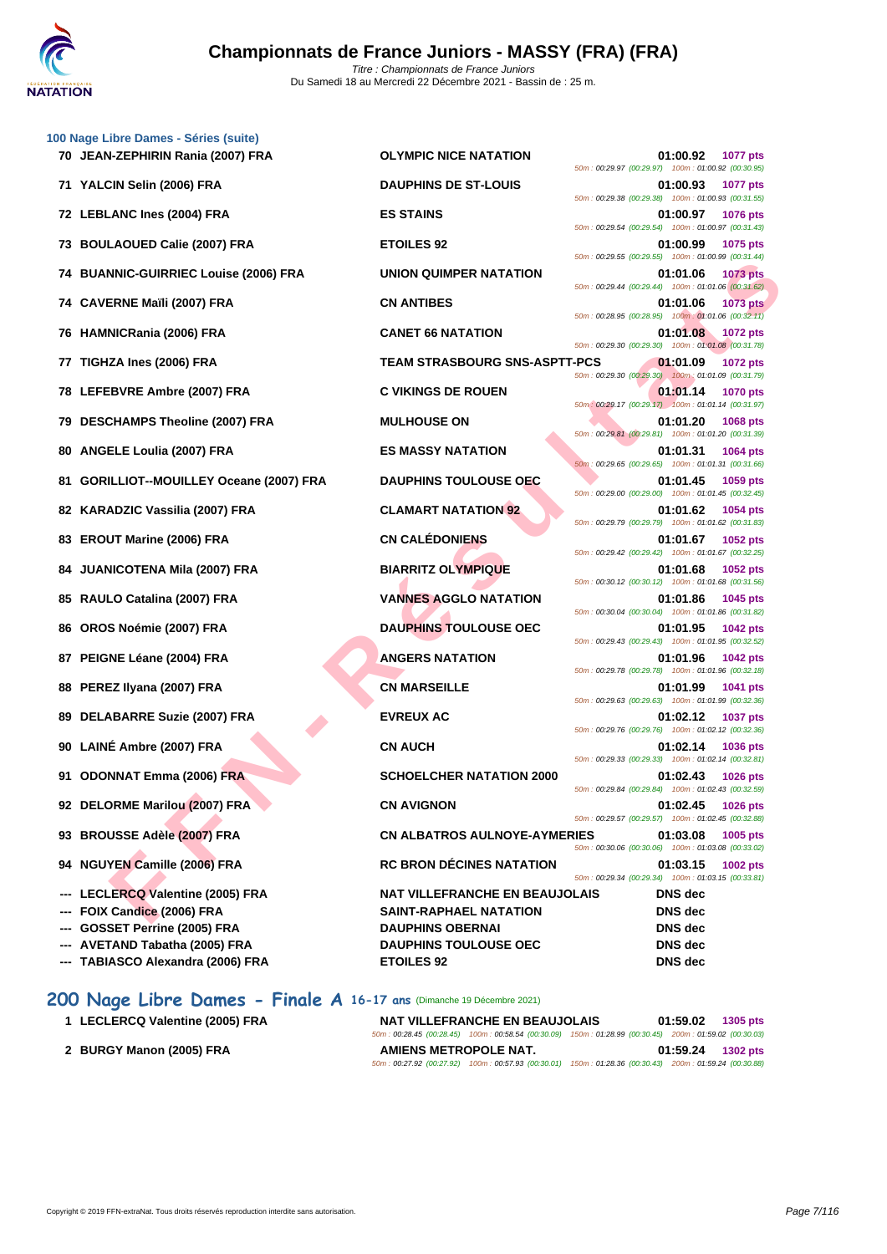

| 70 JEAN-ZEPHIRIN Rania (2007) FRA         | <b>OLYMPIC NICE NATATION</b>                                                                                                                                                                                                                                                                                                                                                                                                | 01:00.92<br>1077 pts                                                                |
|-------------------------------------------|-----------------------------------------------------------------------------------------------------------------------------------------------------------------------------------------------------------------------------------------------------------------------------------------------------------------------------------------------------------------------------------------------------------------------------|-------------------------------------------------------------------------------------|
|                                           |                                                                                                                                                                                                                                                                                                                                                                                                                             | 50m: 00:29.97 (00:29.97) 100m: 01:00.92 (00:30.95)                                  |
| 71 YALCIN Selin (2006) FRA                | <b>DAUPHINS DE ST-LOUIS</b>                                                                                                                                                                                                                                                                                                                                                                                                 | 01:00.93<br><b>1077 pts</b><br>50m: 00:29.38 (00:29.38) 100m: 01:00.93 (00:31.55)   |
|                                           | <b>ES STAINS</b>                                                                                                                                                                                                                                                                                                                                                                                                            | 01:00.97<br><b>1076 pts</b><br>50m: 00:29.54 (00:29.54) 100m: 01:00.97 (00:31.43)   |
| <b>BOULAOUED Calie (2007) FRA</b>         | <b>ETOILES 92</b>                                                                                                                                                                                                                                                                                                                                                                                                           | 01:00.99<br>1075 pts<br>50m: 00:29.55 (00:29.55) 100m: 01:00.99 (00:31.44)          |
| <b>BUANNIC-GUIRRIEC Louise (2006) FRA</b> | UNION QUIMPER NATATION                                                                                                                                                                                                                                                                                                                                                                                                      | 01:01.06<br><b>1073 pts</b><br>50m: 00:29.44 (00:29.44) 100m: 01:01.06 (00:31.62)   |
|                                           | <b>CN ANTIBES</b>                                                                                                                                                                                                                                                                                                                                                                                                           | 01:01.06<br>1073 pts<br>50m: 00:28.95 (00:28.95) 100m: 01:01.06 (00:32.11)          |
|                                           | <b>CANET 66 NATATION</b>                                                                                                                                                                                                                                                                                                                                                                                                    | 01:01.08<br><b>1072 pts</b><br>50m: 00:29.30 (00:29.30) 100m: 01:01.08 (00:31.78)   |
| TIGHZA Ines (2006) FRA                    | <b>TEAM STRASBOURG SNS-ASPTT-PCS</b>                                                                                                                                                                                                                                                                                                                                                                                        | 01:01.09<br><b>1072 pts</b><br>50m : 00:29.30 (00:29.30) 100m : 01:01.09 (00:31.79) |
|                                           | <b>C VIKINGS DE ROUEN</b>                                                                                                                                                                                                                                                                                                                                                                                                   | 01:01.14<br><b>1070 pts</b><br>50m: 00:29.17 (00:29.17) 100m: 01:01.14 (00:31.97)   |
| <b>DESCHAMPS Theoline (2007) FRA</b>      | <b>MULHOUSE ON</b>                                                                                                                                                                                                                                                                                                                                                                                                          | 01:01.20<br>1068 pts<br>50m: 00:29.81 (00:29.81) 100m: 01:01.20 (00:31.39)          |
| <b>ANGELE Loulia (2007) FRA</b>           | <b>ES MASSY NATATION</b>                                                                                                                                                                                                                                                                                                                                                                                                    | 01:01.31<br>1064 pts<br>50m: 00:29.65 (00:29.65) 100m: 01:01.31 (00:31.66)          |
| GORILLIOT--MOUILLEY Oceane (2007) FRA     | <b>DAUPHINS TOULOUSE OEC</b>                                                                                                                                                                                                                                                                                                                                                                                                | 01:01.45<br>1059 pts<br>50m: 00:29.00 (00:29.00) 100m: 01:01.45 (00:32.45)          |
|                                           | <b>CLAMART NATATION 92</b>                                                                                                                                                                                                                                                                                                                                                                                                  | 01:01.62<br>1054 pts<br>50m: 00:29.79 (00:29.79) 100m: 01:01.62 (00:31.83)          |
| <b>EROUT Marine (2006) FRA</b>            | <b>CN CALÉDONIENS</b>                                                                                                                                                                                                                                                                                                                                                                                                       | 01:01.67<br><b>1052 pts</b><br>50m: 00:29.42 (00:29.42) 100m: 01:01.67 (00:32.25)   |
| <b>JUANICOTENA Mila (2007) FRA</b>        | <b>BIARRITZ OLYMPIQUE</b>                                                                                                                                                                                                                                                                                                                                                                                                   | 01:01.68<br>1052 pts<br>50m: 00:30.12 (00:30.12) 100m: 01:01.68 (00:31.56)          |
|                                           | <b>VANNES AGGLO NATATION</b>                                                                                                                                                                                                                                                                                                                                                                                                | 01:01.86<br>1045 pts<br>50m: 00:30.04 (00:30.04) 100m: 01:01.86 (00:31.82)          |
| OROS Noémie (2007) FRA                    | <b>DAUPHINS TOULOUSE OEC</b>                                                                                                                                                                                                                                                                                                                                                                                                | 01:01.95<br>1042 pts<br>50m: 00:29.43 (00:29.43) 100m: 01:01.95 (00:32.52)          |
| PEIGNE Léane (2004) FRA                   | <b>ANGERS NATATION</b>                                                                                                                                                                                                                                                                                                                                                                                                      | 01:01.96<br>1042 pts<br>50m: 00:29.78 (00:29.78) 100m: 01:01.96 (00:32.18)          |
| PEREZ Ilyana (2007) FRA                   | <b>CN MARSEILLE</b>                                                                                                                                                                                                                                                                                                                                                                                                         | 01:01.99<br>1041 pts<br>50m: 00:29.63 (00:29.63) 100m: 01:01.99 (00:32.36)          |
| DELABARRE Suzie (2007) FRA                | <b>EVREUX AC</b>                                                                                                                                                                                                                                                                                                                                                                                                            | 01:02.12<br><b>1037 pts</b><br>50m: 00:29.76 (00:29.76) 100m: 01:02.12 (00:32.36)   |
|                                           | <b>CN AUCH</b>                                                                                                                                                                                                                                                                                                                                                                                                              | 01:02.14<br><b>1036 pts</b><br>50m: 00:29.33 (00:29.33) 100m: 01:02.14 (00:32.81)   |
|                                           | <b>SCHOELCHER NATATION 2000</b>                                                                                                                                                                                                                                                                                                                                                                                             | 01:02.43<br><b>1026 pts</b><br>50m: 00:29.84 (00:29.84) 100m: 01:02.43 (00:32.59)   |
|                                           | <b>CN AVIGNON</b>                                                                                                                                                                                                                                                                                                                                                                                                           | 01:02.45<br><b>1026 pts</b><br>50m: 00:29.57 (00:29.57) 100m: 01:02.45 (00:32.88)   |
|                                           | <b>CN ALBATROS AULNOYE-AYMERIES</b>                                                                                                                                                                                                                                                                                                                                                                                         | 01:03.08<br>1005 pts<br>50m: 00:30.06 (00:30.06) 100m: 01:03.08 (00:33.02)          |
|                                           | <b>RC BRON DÉCINES NATATION</b>                                                                                                                                                                                                                                                                                                                                                                                             | 01:03.15<br>1002 pts<br>50m: 00:29.34 (00:29.34) 100m: 01:03.15 (00:33.81)          |
| LECLERCQ Valentine (2005) FRA             | <b>NAT VILLEFRANCHE EN BEAUJOLAIS</b>                                                                                                                                                                                                                                                                                                                                                                                       | <b>DNS</b> dec                                                                      |
| FOIX Candice (2006) FRA                   | <b>SAINT-RAPHAEL NATATION</b>                                                                                                                                                                                                                                                                                                                                                                                               | <b>DNS</b> dec                                                                      |
| GOSSET Perrine (2005) FRA                 | <b>DAUPHINS OBERNAI</b>                                                                                                                                                                                                                                                                                                                                                                                                     | DNS dec                                                                             |
|                                           | <b>DAUPHINS TOULOUSE OEC</b>                                                                                                                                                                                                                                                                                                                                                                                                | DNS dec                                                                             |
|                                           | <b>ETOILES 92</b>                                                                                                                                                                                                                                                                                                                                                                                                           | DNS dec                                                                             |
| 73<br>76<br>84<br>88                      | 72 LEBLANC Ines (2004) FRA<br>74 CAVERNE Maïli (2007) FRA<br><b>HAMNICRania (2006) FRA</b><br>78 LEFEBVRE Ambre (2007) FRA<br>82 KARADZIC Vassilia (2007) FRA<br>85 RAULO Catalina (2007) FRA<br>90 LAINÉ Ambre (2007) FRA<br>91 ODONNAT Emma (2006) FRA<br>92 DELORME Marilou (2007) FRA<br>93 BROUSSE Adèle (2007) FRA<br>94 NGUYEN Camille (2006) FRA<br>AVETAND Tabatha (2005) FRA<br>--- TABIASCO Alexandra (2006) FRA |                                                                                     |

# **200 Nage Libre Dames - Finale A 16-17 ans** (Dimanche 19 Décembre 2021)

| 1 LECLERCQ Valentine (2005) FRA | NAT VILLEFRANCHE EN BEAUJOLAIS | 01:59.02<br><b>1305 pts</b>                                                                            |
|---------------------------------|--------------------------------|--------------------------------------------------------------------------------------------------------|
|                                 |                                | 50m: 00:28.45 (00:28.45) 100m: 00:58.54 (00:30.09) 150m: 01:28.99 (00:30.45) 200m: 01:59.02 (00:30.03) |
| 2 BURGY Manon (2005) FRA        | AMIENS METROPOLE NAT.          | 01:59.24<br>1302 pts                                                                                   |
|                                 |                                | 50m: 00:27.92 (00:27.92) 100m: 00:57.93 (00:30.01) 150m: 01:28.36 (00:30.43) 200m: 01:59.24 (00:30.88) |
|                                 |                                |                                                                                                        |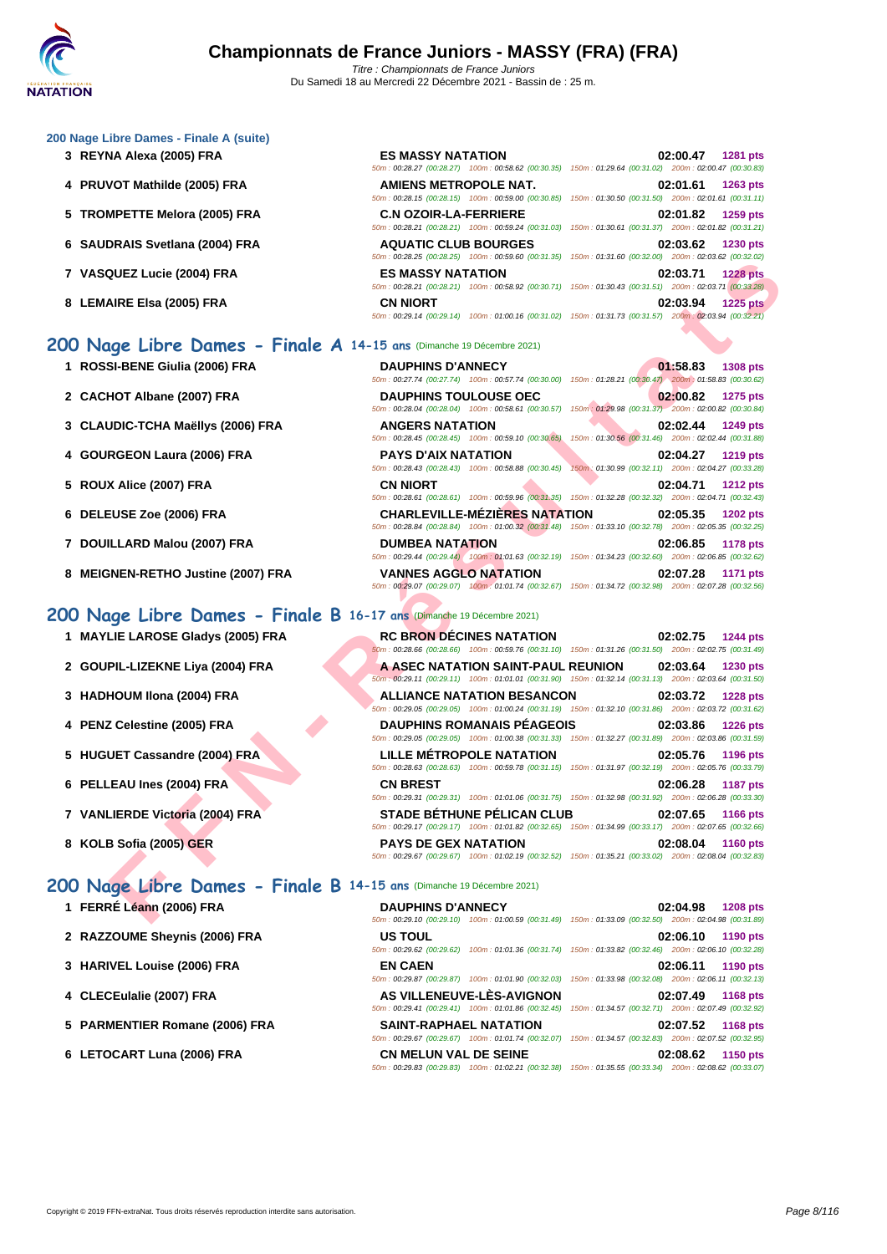### **[200 Nage](http://www.ffnatation.fr/webffn/index.php) Libre Dames - Finale A (suite)**

- **3 REYNA Alexa (2005) FRA ES MASSY NATATION 02:00.47 1281 pts**
- **4 PRUVOT Mathilde (2005) FRA**
- **5 TROMPETTE Melora (2005) FRA**
- **6 SAUDRAIS Svetlana (2004) FRA**
- **7 VASQUEZ Lucie (2004) FRA ES MASSY NATATION 02:03.71 1228 pts**
- **8** LEMAIRE Elsa (2005) FRA

### **200 Nage Libre Dames - Finale A 14-15 ans** (Dimanche 19 Décembre 2021)

- **1 ROSSI-BENE Giulia (2006) FRA**
- 2 **CACHOT Albane (2007) FRA**
- **3** CLAUDIC-TCHA Maëllys (2006) FRA
- **4 GOURGEON Laura (2006) FRA**
- **5 ROUX Alice (2007) FRA**
- **6 DELEUSE Zoe (2006) FRA CHARLEVILLE-MÉZIÈRES NATATION 02:05.35 1202 pts**
- **7** DOUILLARD Malou (2007) FRA
- **8 MEIGNEN-RETHO Justine (2007) FRA**

### **200 Nage Libre Dames - Finale B 16-17 ans** (Dimanche 19 Décembre 2021)

- **1 MAYLIE LAROSE Gladys (2005) FRA**
- 2 **GOUPIL-LIZEKNE Liya (2004) FRA**
- **3 HADHOUM Ilona (2004) FRA**
- **4 PENZ Celestine (2005) FRA**
- **5 HUGUET Cassandre (2004) FRA**
- **6 PELLEAU Ines (2004) FRA**
- **7 VANLIERDE Victoria (2004) FRA**
- **8 KOLB Sofia (2005) GER**

### **200 Nage Libre Dames - Finale B 14-15 ans** (Dimanche 19 Décembre 2021)

- **1 FERRÉ Léann (2006) FRA DAUPHINS D'ANNECY 02:04.98 1208 pts**
- 2 **RAZZOUME Sheynis (2006) FRA**
- **3 [HARIVEL Louise \(2006\) FRA](http://www.ffnatation.fr/webffn/resultats.php?idact=nat&go=epr&idcpt=72221&idepr=3)**
- **4** CLECEulalie (2007) FRA
- **5 PARMENTIER Romane (2006) FRA BILER B**
- **6** LETOCART Luna (2006) FRA

| <b>ES MASSY NATATION</b><br>50m: 00:28.27 (00:28.27) 100m: 00:58.62 (00:30.35)     | 02:00.47 1281 pts<br>150m: 01:29.64 (00:31.02) 200m: 02:00.47 (00:30.83)                                                    |
|------------------------------------------------------------------------------------|-----------------------------------------------------------------------------------------------------------------------------|
| <b>AMIENS METROPOLE NAT.</b><br>50m: 00:28.15 (00:28.15) 100m: 00:59.00 (00:30.85) | 02:01.61<br><b>1263 pts</b><br>150m: 01:30.50 (00:31.50) 200m: 02:01.61 (00:31.11)                                          |
| <b>C.N OZOIR-LA-FERRIERE</b>                                                       | 02:01.82 1259 pts<br>50m: 00:28.21 (00:28.21) 100m: 00:59.24 (00:31.03) 150m: 01:30.61 (00:31.37) 200m: 02:01.82 (00:31.21) |
|                                                                                    |                                                                                                                             |
| <b>AQUATIC CLUB BOURGES</b><br>50m: 00:28.25 (00:28.25) 100m: 00:59.60 (00:31.35)  | 02:03.62 1230 pts<br>150m: 01:31.60 (00:32.00) 200m: 02:03.62 (00:32.02)                                                    |
| <b>ES MASSY NATATION</b>                                                           | 02:03.71 1228 pts<br>50m: 00:28.21 (00:28.21) 100m: 00:58.92 (00:30.71) 150m: 01:30.43 (00:31.51) 200m: 02:03.71 (00:33.28) |

| <b>DAUPHINS D'ANNECY</b>     |                                                    | 01:58.83 1308 pts<br>50m: 00:27.74 (00:27.74) 100m: 00:57.74 (00:30.00) 150m: 01:28.21 (00:30.47) 200m: 01:58.83 (00:30.62)                                         |  |
|------------------------------|----------------------------------------------------|---------------------------------------------------------------------------------------------------------------------------------------------------------------------|--|
| <b>DAUPHINS TOULOUSE OEC</b> | 50m: 00:28.04 (00:28.04) 100m: 00:58.61 (00:30.57) | 02:00.82 1275 pts<br>150m: 01:29.98 (00:31.37) 200m: 02:00.82 (00:30.84)                                                                                            |  |
| <b>ANGERS NATATION</b>       | 50m: 00:28.45 (00:28.45) 100m: 00:59.10 (00:30.65) | 02:02.44 1249 pts<br>150m: 01:30.56 (00:31.46) 200m: 02:02.44 (00:31.88)                                                                                            |  |
| <b>PAYS D'AIX NATATION</b>   | 50m: 00:28.43 (00:28.43) 100m: 00:58.88 (00:30.45) | 02:04.27 1219 pts<br>150m; 01:30.99 (00:32.11) 200m: 02:04.27 (00:33.28)                                                                                            |  |
| <b>CN NIORT</b>              |                                                    | 02:04.71 1212 pts                                                                                                                                                   |  |
|                              |                                                    | 50m: 00:28.61 (00:28.61) 100m: 00:59.96 (00:31:35) 150m: 01:32.28 (00:32.32) 200m: 02:04.71 (00:32.43)                                                              |  |
|                              |                                                    | CHARLEVILLE-MÉZIÈRES NATATION 02:05.35<br><b>1202 pts</b><br>50m: 00:28.84 (00:28.84) 100m: 01:00.32 (00:31.48) 150m: 01:33.10 (00:32.78) 200m: 02:05.35 (00:32.25) |  |
| <b>DUMBEA NATATION</b>       |                                                    | 02:06.85<br>1178 pts<br>50m: 00:29.44 (00:29.44) 100m: 01:01.63 (00:32.19) 150m: 01:34.23 (00:32.60) 200m: 02:06.85 (00:32.62)                                      |  |

|                                                                         | JUINT. UU.20.2J [UU.20.2J] TUUMT. UU.J3.0U [UU.31.3J] TJUMT. UT.31.0U [UU.32.0U]                                                               |                                                                                    |
|-------------------------------------------------------------------------|------------------------------------------------------------------------------------------------------------------------------------------------|------------------------------------------------------------------------------------|
| <b>QUEZ Lucie (2004) FRA</b>                                            | <b>ES MASSY NATATION</b><br>50m: 00:28.21 (00:28.21) 100m: 00:58.92 (00:30.71) 150m: 01:30.43 (00:31.51) 200m: 02:03.71 (00:33.28)             | 02:03.71<br><b>1228 pts</b>                                                        |
| AIRE Elsa (2005) FRA                                                    | <b>CN NIORT</b><br>50m: 00:29.14 (00:29.14) 100m: 01:00.16 (00:31.02) 150m: 01:31.73 (00:31.57) 200m: 02:03.94 (00:32.21)                      | 02:03.94<br><b>1225 pts</b>                                                        |
| <b>1ge Libre Dames - Finale A 14-15 ans (Dimanche 19 Décembre 2021)</b> |                                                                                                                                                |                                                                                    |
| SI-BENE Giulia (2006) FRA                                               | <b>DAUPHINS D'ANNECY</b><br>50m: 00:27.74 (00:27.74) 100m: 00:57.74 (00:30.00) 150m: 01:28.21 (00:30.47) 200m: 01:58.83 (00:30.62)             | 01:58.83<br><b>1308 pts</b>                                                        |
| HOT Albane (2007) FRA                                                   | <b>DAUPHINS TOULOUSE OEC</b><br>50m: 00:28.04 (00:28.04) 100m: 00:58.61 (00:30.57) 150m: 01:29.98 (00:31.37) 200m: 02:00.82 (00:30.84)         | 02:00.82<br>1275 pts                                                               |
| JDIC-TCHA Maëllys (2006) FRA                                            | <b>ANGERS NATATION</b><br>50m : 00:28.45 (00:28.45) 100m : 00:59.10 (00:30.65) 150m : 01:30.56 (00:31.46) 200m : 02:02.44 (00:31.88)           | 02:02.44<br>1249 pts                                                               |
| RGEON Laura (2006) FRA                                                  | <b>PAYS D'AIX NATATION</b><br>50m: 00:28.43 (00:28.43) 100m: 00:58.88 (00:30.45)                                                               | 02:04.27<br><b>1219 pts</b><br>150m: 01:30.99 (00:32.11) 200m: 02:04.27 (00:33.28) |
| X Alice (2007) FRA                                                      | <b>CN NIORT</b><br>50m : 00:28.61 (00:28.61) 100m : 00:59.96 (00:31.35) 150m : 01:32.28 (00:32.32) 200m : 02:04.71 (00:32.43)                  | 02:04.71<br><b>1212 pts</b>                                                        |
| <b>EUSE Zoe (2006) FRA</b>                                              | <b>CHARLEVILLE-MÉZIÈRES NATATION</b><br>50m: 00:28.84 (00:28.84) 100m: 01:00.32 (00:31.48) 150m: 01:33.10 (00:32.78) 200m: 02:05.35 (00:32.25) | 02:05.35<br><b>1202 pts</b>                                                        |
| ILLARD Malou (2007) FRA                                                 | <b>DUMBEA NATATION</b><br>50m : 00:29.44 (00:29.44) 100m : 01:01.63 (00:32.19) 150m : 01:34.23 (00:32.60) 200m : 02:06.85 (00:32.62)           | 02:06.85<br>1178 pts                                                               |
| <b>SNEN-RETHO Justine (2007) FRA</b>                                    | <b>VANNES AGGLO NATATION</b><br>50m: 00:29.07 (00:29.07) 100m: 01:01.74 (00:32.67) 150m: 01:34.72 (00:32.98) 200m: 02:07.28 (00:32.56)         | 02:07.28<br><b>1171 pts</b>                                                        |
| 1ge Libre Dames - Finale B 16-17 ans (Dimanche 19 Décembre 2021)        |                                                                                                                                                |                                                                                    |
| LIE LAROSE Gladys (2005) FRA                                            | <b>RC BRON DECINES NATATION</b><br>60m : 00:28.66 (00:28.66) 100m : 00:59.76 (00:31.10) 150m : 01:31.26 (00:31.50) 200m : 02:02.75 (00:31.49)  | 02:02.75<br>1244 pts                                                               |
| PIL-LIZEKNE Liya (2004) FRA                                             | A ASEC NATATION SAINT-PAUL REUNION<br>50m; 00:29.11 (00:29.11) 100m: 01:01.01 (00:31.90) 150m: 01:32.14 (00:31.13) 200m: 02:03.64 (00:31.50)   | 02:03.64<br>1230 pts                                                               |
| <b>HOUM Ilona (2004) FRA</b>                                            | <b>ALLIANCE NATATION BESANCON</b><br>50m: 00:29.05 (00:29.05) 100m: 01:00.24 (00:31.19) 150m: 01:32.10 (00:31.86) 200m: 02:03.72 (00:31.62)    | 02:03.72<br><b>1228 pts</b>                                                        |
| Z Celestine (2005) FRA                                                  | <b>DAUPHINS ROMANAIS PÉAGEOIS</b><br>50m: 00:29.05 (00:29.05) 100m: 01:00.38 (00:31.33) 150m: 01:32.27 (00:31.89) 200m: 02:03.86 (00:31.59)    | 02:03.86<br><b>1226 pts</b>                                                        |
| <b>UET Cassandre (2004) FRA</b>                                         | <b>LILLE METROPOLE NATATION</b><br>50m: 00:28.63 (00:28.63) 100m: 00:59.78 (00:31.15) 150m: 01:31.97 (00:32.19) 200m: 02:05.76 (00:33.79)      | 02:05.76<br><b>1196 pts</b>                                                        |
| <b>EAU Ines (2004) FRA</b>                                              | <b>CN BREST</b><br>50m: 00:29.31 (00:29.31) 100m: 01:01.06 (00:31.75) 150m: 01:32.98 (00:31.92) 200m: 02:06.28 (00:33.30)                      | 02:06.28<br><b>1187 pts</b>                                                        |
| LIERDE Victoria (2004) FRA                                              | STADE BÉTHUNE PÉLICAN CLUB<br>50m: 00:29.17 (00:29.17) 100m: 01:01.82 (00:32.65) 150m: 01:34.99 (00:33.17) 200m: 02:07.65 (00:32.66)           | 02:07.65<br>1166 pts                                                               |
| B Sofia (2005 <mark>) GE</mark> R                                       | <b>PAYS DE GEX NATATION</b><br>50m: 00:29.67 (00:29.67) 100m: 01:02.19 (00:32.52) 150m: 01:35.21 (00:33.02) 200m: 02:08.04 (00:32.83)          | 02:08.04<br><b>1160 pts</b>                                                        |
| 19e Libre Dames - Finale B 14-15 ans (Dimanche 19 Décembre 2021)        |                                                                                                                                                |                                                                                    |
| RÉ Léann (2006) FRA                                                     | <b>DAUPHINS D'ANNECY</b><br>50m: 00:29.10 (00:29.10) 100m: 01:00.59 (00:31.49) 150m: 01:33.09 (00:32.50) 200m: 02:04.98 (00:31.89)             | 02:04.98<br><b>1208 pts</b>                                                        |

| <b>DAUPHINS D'ANNECY</b>      |                                                                                                        |                                                     | 02:04.98 1208 pts |  |
|-------------------------------|--------------------------------------------------------------------------------------------------------|-----------------------------------------------------|-------------------|--|
|                               | 50m; 00:29.10 (00:29.10) 100m; 01:00.59 (00:31.49) 150m; 01:33.09 (00:32.50) 200m; 02:04.98 (00:31.89) |                                                     |                   |  |
| <b>US TOUL</b>                |                                                                                                        |                                                     | 02:06.10 1190 pts |  |
|                               | 50m: 00:29.62 (00:29.62) 100m: 01:01.36 (00:31.74) 150m: 01:33.82 (00:32.46) 200m: 02:06.10 (00:32.28) |                                                     |                   |  |
| <b>EN CAEN</b>                |                                                                                                        |                                                     | 02:06.11 1190 pts |  |
|                               | 50m: 00:29.87 (00:29.87) 100m: 01:01.90 (00:32.03)                                                     | 150m: 01:33.98 (00:32.08) 200m: 02:06.11 (00:32.13) |                   |  |
|                               | AS VILLENEUVE-LÈS-AVIGNON                                                                              |                                                     | 02:07.49 1168 pts |  |
|                               | 50m: 00:29.41 (00:29.41) 100m: 01:01.86 (00:32.45) 150m: 01:34.57 (00:32.71) 200m: 02:07.49 (00:32.92) |                                                     |                   |  |
| <b>SAINT-RAPHAEL NATATION</b> |                                                                                                        |                                                     | 02:07.52 1168 pts |  |
|                               |                                                                                                        | 150m: 01:34.57 (00:32.83) 200m: 02:07.52 (00:32.95) |                   |  |
| <b>CN MELUN VAL DE SEINE</b>  |                                                                                                        |                                                     | 02:08.62 1150 pts |  |
|                               | 50m: 00:29.83 (00:29.83) 100m: 01:02.21 (00:32.38) 150m: 01:35.55 (00:33.34) 200m: 02:08.62 (00:33.07) |                                                     |                   |  |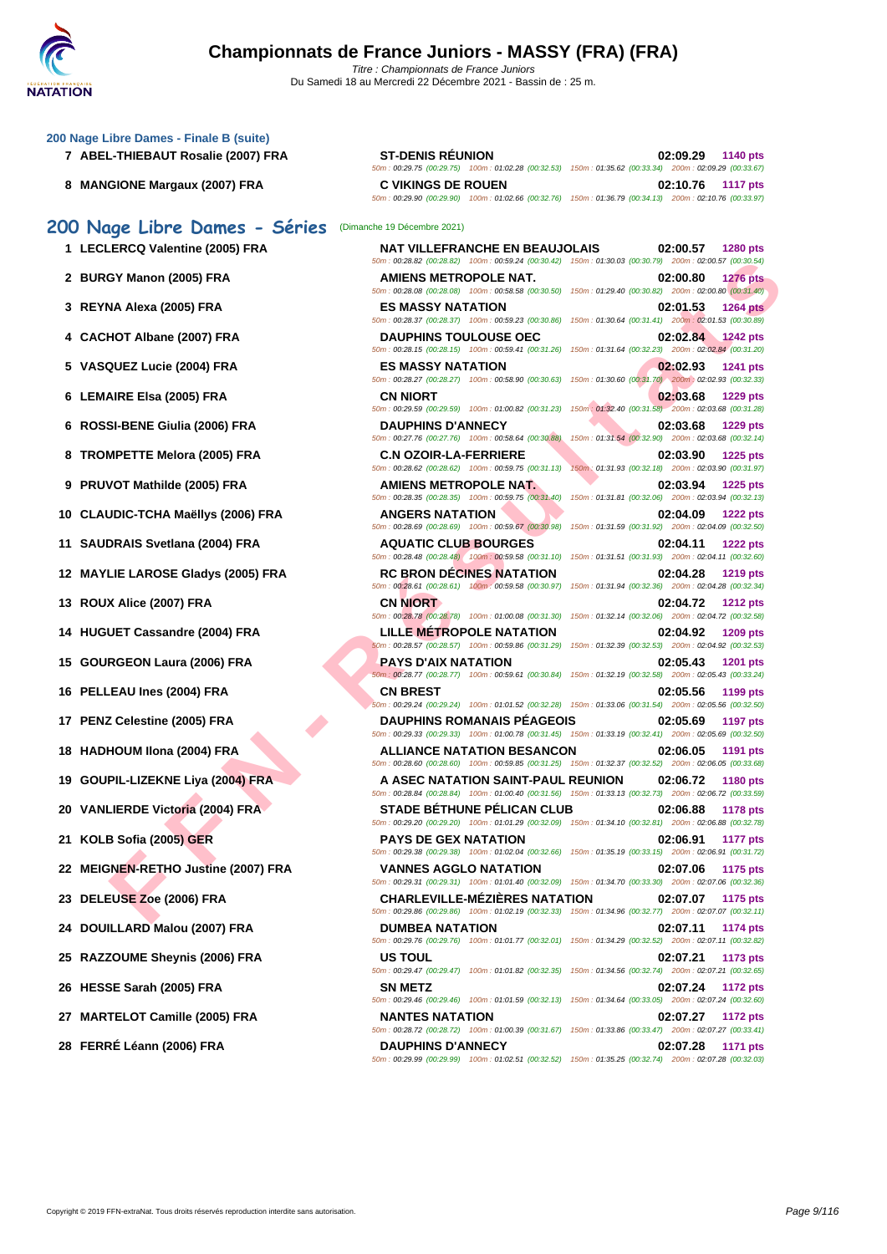| 200 Nage Libre Dames - Finale B (suite) |  |  |  |  |  |  |  |  |
|-----------------------------------------|--|--|--|--|--|--|--|--|
|-----------------------------------------|--|--|--|--|--|--|--|--|

- **7** ABEL-THIEBAUT Rosalie (2007) FRA
- **8 MANGIONE Margaux (2007) FRA**

## **200 Nage Libre Dames - Séries** (Dimanche 19 Décembre 2021)

|  | 1 LECLERCQ Valentine (2005) FRA |  |  |  |
|--|---------------------------------|--|--|--|
|--|---------------------------------|--|--|--|

- **2 BURGY Manon (2005) FRA AMIENS METROPOLE NAT. 02:00.80 1276 pts**
- **3 REYNA Alexa (2005) FRA ES MASSY NATATION 02:01.53 1264 pts**
- **4** CACHOT Albane (2007) FRA
- **5 VASQUEZ Lucie (2004) FRA ES MASSY NATATION 02:02.93 1241 pts**
- **6** LEMAIRE Elsa (2005) FRA
- **6** ROSSI-BENE Giulia (2006) FRA
- **8 TROMPETTE Melora (2005) FRA**
- **9 PRUVOT Mathilde (2005) FRA**
- **10 CLAUDIC-TCHA Maëllys (2006) FRA**
- **11 SAUDRAIS Svetlana (2004) FRA**
- **12 MAYLIE LAROSE Gladys (2005) FRA**
- **13 ROUX Alice (2007) FRA**
- **14 HUGUET Cassandre (2004) FRA**
- **15 GOURGEON Laura (2006) FRA**
- **16 PELLEAU Ines (2004) FRA**
- **17 PENZ Celestine (2005) FRA**
- **18 <b>HADHOUM** Ilona (2004) FRA
- **19 GOUPIL-LIZEKNE Liya (2004) FRA**
- **20 VANLIERDE Victoria (2004) FRA**
- **21 <b>KOLB Sofia (2005) GER**
- **22 MEIGNEN-RETHO Justine (2007) FRA**
- **23 DELEUSE Zoe (2006) FRA CHARLEVILLE-MÉZIÈRES NATATION 02:07.07 1175 pts**
- **24 DOUILLARD Malou (2007) FRA**
- **25 RAZZOUME Sheynis (2006) FRA**
- **26 HESSE Sarah (2005) FRA**
- **27 MARTELOT Camille (2005) FRA**
- **28 FERRÉ Léann (2006) FRA DAUPHINS D'ANNECY 02:07.28 1171 pts**

| <b>ST-DENIS RÉUNION</b>                            | 02:09.29 1140 pts                                   |
|----------------------------------------------------|-----------------------------------------------------|
| 50m: 00:29.75 (00:29.75) 100m: 01:02.28 (00:32.53) | 150m: 01:35.62 (00:33.34) 200m: 02:09.29 (00:33.67) |
| <b>C VIKINGS DE ROUEN</b>                          | 02:10.76 1117 pts                                   |
| 50m: 00:29.90 (00:29.90) 100m: 01:02.66 (00:32.76) | 150m: 01:36.79 (00:34.13) 200m: 02:10.76 (00:33.97) |
|                                                    |                                                     |

| $\sim$ rage city country            |                                                                                                                                                 |                                                                             |
|-------------------------------------|-------------------------------------------------------------------------------------------------------------------------------------------------|-----------------------------------------------------------------------------|
| 1 LECLERCQ Valentine (2005) FRA     | <b>NAT VILLEFRANCHE EN BEAUJOLAIS</b><br>50m: 00:28.82 (00:28.82) 100m: 00:59.24 (00:30.42) 150m: 01:30.03 (00:30.79) 200m: 02:00.57 (00:30.54) | 02:00.57<br><b>1280 pts</b>                                                 |
| 2 BURGY Manon (2005) FRA            | AMIENS METROPOLE NAT.<br>50m : 00:28.08 (00:28.08) 100m : 00:58.58 (00:30.50) 150m : 01:29.40 (00:30.82) 200m : 02:00.80 (00:31.40)             | 02:00.80<br><b>1276 pts</b>                                                 |
| 3   REYNA Alexa (2005) FRA          | <b>ES MASSY NATATION</b><br>50m: 00:28.37 (00:28.37) 100m: 00:59.23 (00:30.86) 150m: 01:30.64 (00:31.41) 200m: 02:01.53 (00:30.89)              | 02:01.53<br><b>1264 pts</b>                                                 |
| 4 CACHOT Albane (2007) FRA          | <b>DAUPHINS TOULOUSE OEC</b><br>50m: 00:28.15 (00:28.15) 100m: 00:59.41 (00:31.26) 150m: 01:31.64 (00:32.23) 200m: 02:02.84 (00:31.20)          | 02:02.84<br><b>1242 pts</b>                                                 |
| 5 VASQUEZ Lucie (2004) FRA          | <b>ES MASSY NATATION</b><br>50m: 00:28.27 (00:28.27) 100m: 00:58.90 (00:30.63) 150m: 01:30.60 (00:31.70) 200m: 02:02.93 (00:32.33)              | 02:02.93<br>1241 pts                                                        |
| 6   LEMAIRE Elsa (2005) FRA         | <b>CN NIORT</b><br>50m: 00:29.59 (00:29.59) 100m: 01:00.82 (00:31.23) 150m: 01:32.40 (00:31.58) 200m: 02:03.68 (00:31.28)                       | 02:03.68<br><b>1229 pts</b>                                                 |
| 6 ROSSI-BENE Giulia (2006) FRA      | <b>DAUPHINS D'ANNECY</b><br>50m: 00:27.76 (00:27.76) 100m: 00:58.64 (00:30.88)                                                                  | 02:03.68<br>1229 pts<br>150m: 01:31.54 (00:32.90) 200m: 02:03.68 (00:32.14) |
| 8 TROMPETTE Melora (2005) FRA       | <b>C.N OZOIR-LA-FERRIERE</b><br>50m: 00:28.62 (00:28.62) 100m: 00:59.75 (00:31.13)                                                              | 02:03.90<br>1225 pts<br>150m: 01:31.93 (00:32.18) 200m: 02:03.90 (00:31.97) |
| 9 PRUVOT Mathilde (2005) FRA        | <b>AMIENS METROPOLE NAT.</b><br>50m: 00:28.35 (00:28.35) 100m: 00:59.75 (00:31.40) 150m: 01:31.81 (00:32.06) 200m: 02:03.94 (00:32.13)          | 02:03.94<br>1225 pts                                                        |
| 0   CLAUDIC-TCHA Maëllys (2006) FRA | <b>ANGERS NATATION</b><br>50m : 00:28.69 (00:28.69) 100m : 00:59.67 (00:30.98) 150m : 01:31.59 (00:31.92) 200m : 02:04.09 (00:32.50)            | 02:04.09<br><b>1222 pts</b>                                                 |
| 1 SAUDRAIS Svetlana (2004) FRA      | <b>AQUATIC CLUB BOURGES</b><br>50m : 00:28.48 (00:28.48) 100m : 00:59.58 (00:31.10) 150m : 01:31.51 (00:31.93) 200m : 02:04.11 (00:32.60)       | 02:04.11<br><b>1222 pts</b>                                                 |
| 2 MAYLIE LAROSE Gladys (2005) FRA   | <b>RC BRON DECINES NATATION</b><br>50m: 00:28.61 (00:28.61) 100m: 00:59.58 (00:30.97) 150m: 01:31.94 (00:32.36) 200m: 02:04.28 (00:32.34)       | 02:04.28<br>1219 pts                                                        |
| 3 ROUX Alice (2007) FRA             | <b>CN NIORT</b><br>50m: 00:28.78 (00:28.78) 100m: 01:00.08 (00:31.30) 150m: 01:32.14 (00:32.06) 200m: 02:04.72 (00:32.58)                       | 02:04.72<br><b>1212 pts</b>                                                 |
| 4 HUGUET Cassandre (2004) FRA       | <b>LILLE METROPOLE NATATION</b><br>50m: 00:28.57 (00:28.57) 100m: 00:59.86 (00:31.29) 150m: 01:32.39 (00:32.53) 200m: 02:04.92 (00:32.53)       | 02:04.92<br>1209 pts                                                        |
| 5 GOURGEON Laura (2006) FRA         | PAYS D'AIX NATATION<br>50m: 00:28.77 (00:28.77) 100m: 00:59.61 (00:30.84) 150m: 01:32.19 (00:32.58) 200m: 02:05.43 (00:33.24)                   | 02:05.43<br><b>1201 pts</b>                                                 |
| 6 PELLEAU Ines (2004) FRA           | <b>CN BREST</b><br>50m: 00:29.24 (00:29.24) 100m: 01:01.52 (00:32.28) 150m: 01:33.06 (00:31.54) 200m: 02:05.56 (00:32.50)                       | 02:05.56<br>1199 pts                                                        |
| 7 PENZ Celestine (2005) FRA         | <b>DAUPHINS ROMANAIS PEAGEOIS</b><br>50m: 00:29.33 (00:29.33) 100m: 01:00.78 (00:31.45) 150m: 01:33.19 (00:32.41) 200m: 02:05.69 (00:32.50)     | 02:05.69<br>1197 pts                                                        |
| 8 HADHOUM IIona (2004) FRA          | <b>ALLIANCE NATATION BESANCON</b><br>50m: 00:28.60 (00:28.60) 100m: 00:59.85 (00:31.25) 150m: 01:32.37 (00:32.52) 200m: 02:06.05 (00:33.68)     | 02:06.05<br>1191 pts                                                        |
| 9 GOUPIL-LIZEKNE Liya (2004) FRA    | A ASEC NATATION SAINT-PAUL REUNION<br>50m: 00:28.84 (00:28.84) 100m: 01:00.40 (00:31.56) 150m: 01:33.13 (00:32.73) 200m: 02:06.72 (00:33.59)    | 02:06.72<br><b>1180 pts</b>                                                 |
| 0 VANLIERDE Victoria (2004) FRA     | <b>STADE BÉTHUNE PÉLICAN CLUB</b><br>50m : 00:29.20 (00:29.20) 100m : 01:01.29 (00:32.09) 150m : 01:34.10 (00:32.81) 200m : 02:06.88 (00:32.78) | 02:06.88<br><b>1178 pts</b>                                                 |
| 1 KOLB Sofia (2005) GER             | <b>PAYS DE GEX NATATION</b><br>50m: 00:29.38 (00:29.38) 100m: 01:02.04 (00:32.66) 150m: 01:35.19 (00:33.15) 200m: 02:06.91 (00:31.72)           | 02:06.91<br>1177 pts                                                        |
| 2 MEIGNEN-RETHO Justine (2007) FRA  | <b>VANNES AGGLO NATATION</b><br>50m: 00:29.31 (00:29.31) 100m: 01:01.40 (00:32.09) 150m: 01:34.70 (00:33.30) 200m: 02:07.06 (00:32.36)          | 02:07.06<br><b>1175 pts</b>                                                 |
| 3   DELEUSE Zoe (2006) FRA          | <b>CHARLEVILLE-MÉZIÈRES NATATION</b><br>50m: 00:29.86 (00:29.86) 100m: 01:02.19 (00:32.33) 150m: 01:34.96 (00:32.77) 200m: 02:07.07 (00:32.11)  | 02:07.07 1175 pts                                                           |
| 4 DOUILLARD Malou (2007) FRA        | <b>DUMBEA NATATION</b><br>50m: 00:29.76 (00:29.76) 100m: 01:01.77 (00:32.01) 150m: 01:34.29 (00:32.52) 200m: 02:07.11 (00:32.82)                | 02:07.11<br>1174 pts                                                        |
| 5 RAZZOUME Sheynis (2006) FRA       | <b>US TOUL</b><br>50m: 00:29.47 (00:29.47) 100m: 01:01.82 (00:32.35) 150m: 01:34.56 (00:32.74) 200m: 02:07.21 (00:32.65)                        | 02:07.21<br>1173 pts                                                        |
| 6 HESSE Sarah (2005) FRA            | <b>SN METZ</b><br>50m : 00:29.46 (00:29.46) 100m : 01:01.59 (00:32.13) 150m : 01:34.64 (00:33.05) 200m : 02:07.24 (00:32.60)                    | 02:07.24<br><b>1172 pts</b>                                                 |
| 7 MARTELOT Camille (2005) FRA       | <b>NANTES NATATION</b><br>50m: 00:28.72 (00:28.72) 100m: 01:00.39 (00:31.67) 150m: 01:33.86 (00:33.47) 200m: 02:07.27 (00:33.41)                | 02:07.27<br><b>1172 pts</b>                                                 |
| 8 FERRÉ Léann (2006) FRA            | <b>DAUPHINS D'ANNECY</b><br>50m: 00:29.99 (00:29.99) 100m: 01:02.51 (00:32.52) 150m: 01:35.25 (00:32.74) 200m: 02:07.28 (00:32.03)              | 02:07.28<br><b>1171 pts</b>                                                 |
|                                     |                                                                                                                                                 |                                                                             |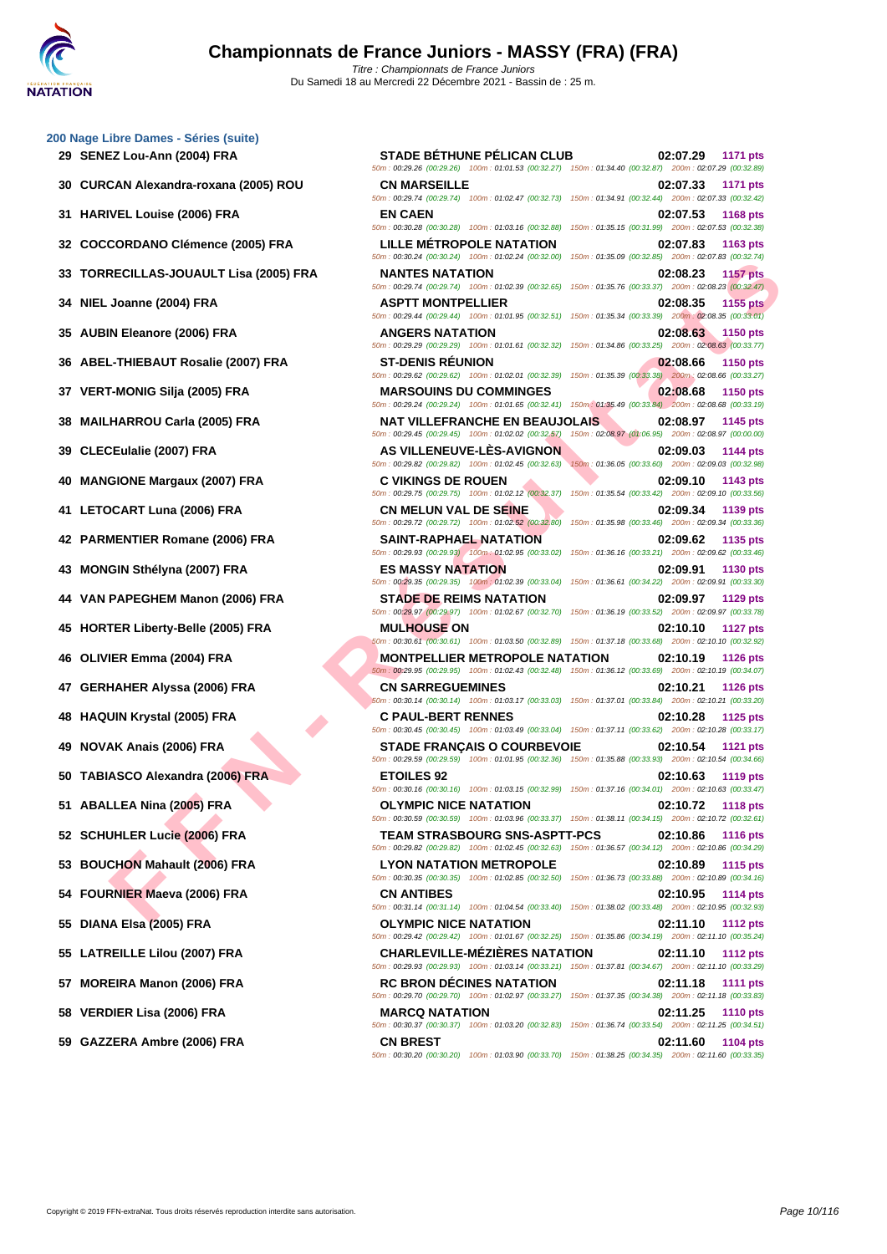### **[200 Nage](http://www.ffnatation.fr/webffn/index.php) Libre Dames - Séries (suite)**

- 
- 
- 
- 
- 
- 
- 
- 
- 
- 
- 
- 
- 
- 
- 
- 
- 
- 
- 
- 
- 
- 
- 
- 
- 
- 
- 
- 
- 
- 
- 

**FIGULAS-JOUAULT LIST (2006) FRA**<br> **FRIGHDADIC COMPRESSIONS DURE ANTITONY IS ANY TION IS AN ANTISOT DE SA CHE AND CONSERVATION<br>
HE REIND (2009) FRA

<b>FRIGHDADIC COMPRESSIONS DURE ANTISOT DE SA CHE AND CONSERVATION<br>
IN ENGI 29 SENEZ Lou-Ann (2004) FRA STADE BÉTHUNE PÉLICAN CLUB 02:07.29 1171 pts** 50m : 00:29.26 (00:29.26) 100m : 01:01.53 (00:32.27) 150m : 01:34.40 (00:32.87) 200m : 02:07.29 (00:32.89) **30 CURCAN Alexandra-roxana (2005) ROU CN MARSEILLE 02:07.33 1171 pts** 50m : 00:29.74 (00:29.74) 100m : 01:02.47 (00:32.73) 150m : 01:34.91 (00:32.44) 200m : 02:07.33 (00:32.42) **31 HARIVEL Louise (2006) FRA EN CAEN 02:07.53 1168 pts** 50m : 00:30.28 (00:30.28) 100m : 01:03.16 (00:32.88) 150m : 01:35.15 (00:31.99) 200m : 02:07.53 (00:32.38) **32 COCCORDANO Clémence (2005) FRA LILLE MÉTROPOLE NATATION 02:07.83 1163 pts** 50m : 00:30.24 (00:30.24) 100m : 01:02.24 (00:32.00) 150m : 01:35.09 (00:32.85) 200m : 02:07.83 (00:32.74) **33 TORRECILLAS-JOUAULT Lisa (2005) FRA NANTES NATATION 02:08.23 1157 pts** 50m : 00:29.74 (00:29.74) 100m : 01:02.39 (00:32.65) 150m : 01:35.76 (00:33.37) 200m : 02:08.23 (00:32.47) **34 NIEL Joanne (2004) FRA ASPTT MONTPELLIER 02:08.35 1155 pts** 50m : 00:29.44 (00:29.44) 100m : 01:01.95 (00:32.51) 150m : 01:35.34 (00:33.39) 200m : 02:08.35 (00:33.01) **35 AUBIN Eleanore (2006) FRA ANGERS NATATION 02:08.63 1150 pts** 50m : 00:29.29 (00:29.29) 100m : 01:01.61 (00:32.32) 150m : 01:34.86 (00:33.25) 200m : 02:08.63 (00:33.77) **36 ABEL-THIEBAUT Rosalie (2007) FRA ST-DENIS RÉUNION 02:08.66 1150 pts** 50m : 00:29.62 (00:29.62) 100m : 01:02.01 (00:32.39) 150m : 01:35.39 (00:33.38) 200m : 02:08.66 (00:33.27) **37 VERT-MONIG Silja (2005) FRA MARSOUINS DU COMMINGES 02:08.68 1150 pts** 50m : 00:29.24 (00:29.24) 100m : 01:01.65 (00:32.41) 150m : 01:35.49 (00:33.84) 200m : 02:08.68 (00:33.19) **38 MAILHARROU Carla (2005) FRA NAT VILLEFRANCHE EN BEAUJOLAIS 02:08.97 1145 pts** 50m : 00:29.45 (00:29.45) 100m : 01:02.02 (00:32.57) 150m : 02:08.97 (01:06.95) 200m : 02:08.97 (00:00.00) **39** CLECEulalie (2007) FRA **AS VILLENEUVE-LÈS-AVIGNON 02:09.03 1144 pts 60.12.09.03 1144 pts 60.32.98 1144** pts **60.32.98 12.09.03 12.09.03 12.09.03 12.09.03 13.98** 50m : 00:29.82 (00:29.82) 100m : 01:02.45 (00:32.63) 150m : 01:36.05 (00:33.60) 200m : 02:09.03 (00:32.98) **40 MANGIONE Margaux (2007) FRA C VIKINGS DE ROUEN 02:09.10 1143 pts** 50m : 00:29.75 (00:29.75) 100m : 01:02.12 (00:32.37) 150m : 01:35.54 (00:33.42) 200m : 02:09.10 (00:33.56) **41 LETOCART Luna (2006) FRA CN MELUN VAL DE SEINE 02:09.34 1139 pts** 50m : 00:29.72 (00:29.72) 100m : 01:02.52 (00:32.80) 150m : 01:35.98 (00:33.46) 200m : 02:09.34 (00:33.36) **42 PARMENTIER Romane (2006) FRA SAINT-RAPHAEL NATATION 02:09.62 1135 pts** 50m : 00:29.93 (00:29.93) 100m : 01:02.95 (00:33.02) 150m : 01:36.16 (00:33.21) 200m : 02:09.62 (00:33.46) **43 MONGIN Sthélyna (2007) FRA ES MASSY NATATION 02:09.91 1130 pts** 50m : 00:29.35 (00:29.35) 100m : 01:02.39 (00:33.04) 150m : 01:36.61 (00:34.22) 200m : 02:09.91 (00:33.30) **44 VAN PAPEGHEM Manon (2006) FRA STADE DE REIMS NATATION 02:09.97 1129 pts** 50m : 00:29.97 (00:29.97) 100m : 01:02.67 (00:32.70) 150m : 01:36.19 (00:33.52) 200m : 02:09.97 (00:33.78) **45 HORTER Liberty-Belle (2005) FRA MULHOUSE ON 02:10.10 1127 pts** 50m : 00:30.61 (00:30.61) 100m : 01:03.50 (00:32.89) 150m : 01:37.18 (00:33.68) 200m : 02:10.10 (00:32.92) **46 OLIVIER Emma (2004) FRA MONTPELLIER METROPOLE NATATION 02:10.19 1126 pts** 50m : 00:29.95 (00:29.95) 100m : 01:02.43 (00:32.48) 150m : 01:36.12 (00:33.69) 200m : 02:10.19 (00:34.07) **47 GERHAHER Alyssa (2006) FRA CN SARREGUEMINES 02:10.21 1126 pts** 50m : 00:30.14 (00:30.14) 100m : 01:03.17 (00:33.03) 150m : 01:37.01 (00:33.84) 200m : 02:10.21 (00:33.20) **48 HAQUIN Krystal (2005) FRA C PAUL-BERT RENNES 02:10.28 1125 pts** 50m : 00:30.45 (00:30.45) 100m : 01:03.49 (00:33.04) 150m : 01:37.11 (00:33.62) 200m : 02:10.28 (00:33.17) **49 NOVAK Anais (2006) FRA STADE FRANÇAIS O COURBEVOIE 02:10.54 1121 pts** 50m : 00:29.59 (00:29.59) 100m : 01:01.95 (00:32.36) 150m : 01:35.88 (00:33.93) 200m : 02:10.54 (00:34.66) **50 TABIASCO Alexandra (2006) FRA ETOILES 92 02:10.63 1119 pts** 50m : 00:30.16 (00:30.16) 100m : 01:03.15 (00:32.99) 150m : 01:37.16 (00:34.01) 200m : 02:10.63 (00:33.47) **51 ABALLEA Nina (2005) FRA OLYMPIC NICE NATATION 02:10.72 1118 pts** 50m : 00:30.59 (00:30.59) 100m : 01:03.96 (00:33.37) 150m : 01:38.11 (00:34.15) 200m : 02:10.72 (00:32.61) **52 SCHUHLER Lucie (2006) FRA TEAM STRASBOURG SNS-ASPTT-PCS 02:10.86 1116 pts** 50m : 00:29.82 (00:29.82) 100m : 01:02.45 (00:32.63) 150m : 01:36.57 (00:34.12) 200m : 02:10.86 (00:34.29) **53 BOUCHON Mahault (2006) FRA LYON NATATION METROPOLE 02:10.89 1115 pts** 50m : 00:30.35 (00:30.35) 100m : 01:02.85 (00:32.50) 150m : 01:36.73 (00:33.88) 200m : 02:10.89 (00:34.16) **54 FOURNIER Maeva (2006) FRA CN ANTIBES 02:10.95 1114 pts** 50m : 00:31.14 (00:31.14) 100m : 01:04.54 (00:33.40) 150m : 01:38.02 (00:33.48) 200m : 02:10.95 (00:32.93) **55 DIANA Elsa (2005) FRA OLYMPIC NICE NATATION 02:11.10 1112 pts** 50m : 00:29.42 (00:29.42) 100m : 01:01.67 (00:32.25) 150m : 01:35.86 (00:34.19) 200m : 02:11.10 (00:35.24) **55 LATREILLE Lilou (2007) FRA CHARLEVILLE-MÉZIÈRES NATATION 02:11.10 1112 pts** 50m : 00:29.93 (00:29.93) 100m : 01:03.14 (00:33.21) 150m : 01:37.81 (00:34.67) 200m : 02:11.10 (00:33.29) **57 MOREIRA Manon (2006) FRA RC BRON DÉCINES NATATION 02:11.18 1111 pts** 50m : 00:29.70 (00:29.70) 100m : 01:02.97 (00:33.27) 150m : 01:37.35 (00:34.38) 200m : 02:11.18 (00:33.83) **58 VERDIER Lisa (2006) FRA MARCQ NATATION 02:11.25 1110 pts** 50m : 00:30.37 (00:30.37) 100m : 01:03.20 (00:32.83) 150m : 01:36.74 (00:33.54) 200m : 02:11.25 (00:34.51) **59 GAZZERA Ambre (2006) FRA CN BREST 02:11.60 1104 pts** 50m : 00:30.20 (00:30.20) 100m : 01:03.90 (00:33.70) 150m : 01:38.25 (00:34.35) 200m : 02:11.60 (00:33.35)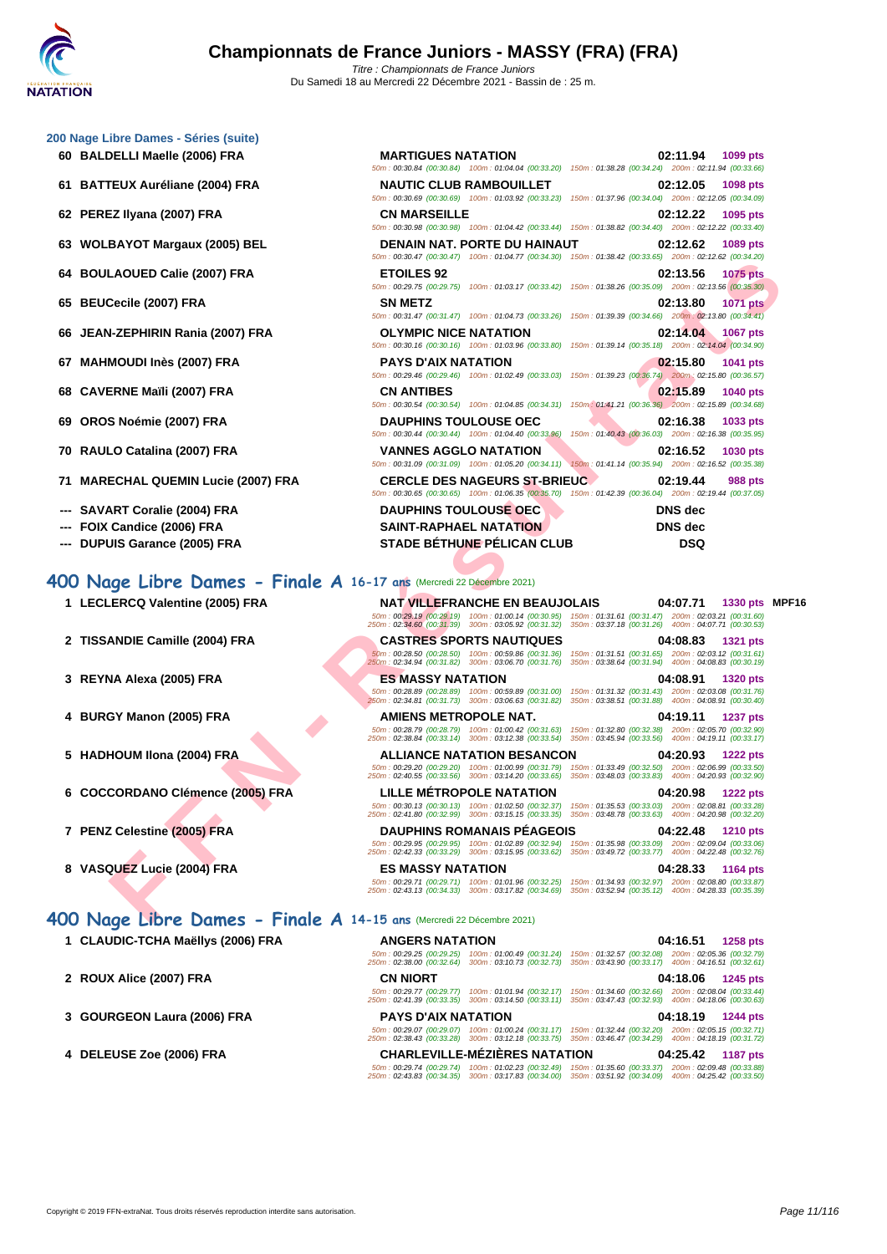### **[200 Nage](http://www.ffnatation.fr/webffn/index.php) Libre Dames - Séries (suite)**

- **60 BALDELLI Maelle (2006) FRA**
- **61 BATTEUX Auréliane (2004) FRA**
- **62 PEREZ Ilyana (2007) FRA**
- **63 WOLBAYOT Margaux (2005) BEL**
- **64 BOULAOUED Calie (2007) FRA**
- **65 BEUCecile (2007) FRA**
- **66** JEAN-ZEPHIRIN Rania (2007) FRA
- **67 MAHMOUDI Inès (2007) FRA PAYS D'AIX NATATION 02:15.80 1041 pts**
- **68 CAVERNE Maïli (2007) FRA**
- **69 OROS Noémie (2007) FRA**
- **70 RAULO Catalina (2007) FRA**
- **71 MARECHAL QUEMIN Lucie (2007) FRA CERCLE DES NAGEURS ST-BRIEUC 02:19.44 988 pts**
- **--- SAVART Coralie (2004) FRA**
- **--- FOIX Candice (2006) FRA**
- --- **DUPUIS Garance (2005) FRA** STADE BÉTHUNE PÉLICAN CLUB

### **400 Nage Libre Dames - Finale A 16-17 ans** (Mercredi 22 Décembre 2021)

- 
- 
- 
- 
- 
- **6 COCCORDANO Clémence (2005) FRA LILLE MÉTROPOLE NATATION 04:20.98 1222 pts**
- 
- 
- 
- 
- **1 CLAUDIC-TCHA Maëllys (2006) FRA**
- **2 ROUX Alice (2007) FRA**
- **3 GOURGEON Laura (2006) FRA**
- **4 DELEUSE Zoe (2006) FRA CHARLEVILLE-MÉZIÈRES NATATION 04:25.42 1187 pts**

| <b>MARTIGUES NATATION</b><br>02:11.94<br>1099 pts<br>50m: 00:30.84 (00:30.84) 100m: 01:04.04 (00:33.20) 150m: 01:38.28 (00:34.24) 200m: 02:11.94 (00:33.66)<br><b>NAUTIC CLUB RAMBOUILLET</b><br>02:12.05<br>1098 pts<br>50m: 00:30.69 (00:30.69) 100m: 01:03.92 (00:33.23) 150m: 01:37.96 (00:34.04) 200m: 02:12.05 (00:34.09)<br><b>CN MARSEILLE</b><br>02:12.22<br>1095 pts<br>50m: 00:30.98 (00:30.98) 100m: 01:04.42 (00:33.44) 150m: 01:38.82 (00:34.40) 200m: 02:12.22 (00:33.40)<br>DENAIN NAT. PORTE DU HAINAUT<br>02:12.62<br>1089 pts<br>50m: 00:30.47 (00:30.47) 100m: 01:04.77 (00:34.30) 150m: 01:38.42 (00:33.65) 200m: 02:12.62 (00:34.20)<br><b>ETOILES 92</b><br>02:13.56<br>1075 pts<br>50m : 00:29.75 (00:29.75) 100m : 01:03.17 (00:33.42) 150m : 01:38.26 (00:35.09) 200m : 02:13.56 (00:35.30)<br><b>SN METZ</b><br>02:13.80<br>1071 pts<br>50m: 00:31.47 (00:31.47) 100m: 01:04.73 (00:33.26) 150m: 01:39.39 (00:34.66) 200m: 02:13.80 (00:34.41)<br><b>OLYMPIC NICE NATATION</b><br>02:14.04<br><b>1067 pts</b><br>50m: 00:30.16 (00:30.16) 100m: 01:03.96 (00:33.80) 150m: 01:39.14 (00:35.18) 200m: 02:14.04 (00:34.90)<br><b>PAYS D'AIX NATATION</b><br>02:15.80<br>1041 pts<br>50m : 00:29.46 (00:29.46) 100m : 01:02.49 (00:33.03) 150m : 01:39.23 (00:36.74) 200m : 02:15.80 (00:36.57)<br><b>CN ANTIBES</b><br>02:15.89<br>1040 pts<br>50m: 00:30.54 (00:30.54) 100m: 01:04.85 (00:34.31) 150m: 01:41.21 (00:36.36) 200m: 02:15.89 (00:34.68)<br><b>DAUPHINS TOULOUSE OEC</b><br>02:16.38<br>1033 pts<br>50m: 00:30.44 (00:30.44) 100m: 01:04.40 (00:33.96)<br>150m: 01:40.43 (00:36.03) 200m: 02:16.38 (00:35.95)<br><b>VANNES AGGLO NATATION</b><br>02:16.52<br>1030 pts<br>50m: 00:31.09 (00:31.09) 100m: 01:05.20 (00:34.11)<br>150m: 01:41.14 (00:35.94) 200m: 02:16.52 (00:35.38)<br><b>CERCLE DES NAGEURS ST-BRIEUC</b><br>02:19.44<br>988 pts<br>50m: 00:30.65 (00:30.65) 100m: 01:06.35 (00:35.70) 150m: 01:42.39 (00:36.04) 200m: 02:19.44 (00:37.05)<br><b>DAUPHINS TOULOUSE OEC</b><br><b>DNS</b> dec<br><b>SAINT-RAPHAEL NATATION</b><br>DNS dec<br>STADE BÉTHUNE PÉLICAN CLUB<br><b>DSQ</b><br><b>NAT VILLEFRANCHE EN BEAUJOLAIS</b><br>04:07.71<br>1330 pts MPF1<br>50m: 00:29.19 (00:29.19) 100m: 01:00.14 (00:30.95) 150m: 01:31.61 (00:31.47) 200m: 02:03.21 (00:31.60)<br>250m: 02:34.60 (00:31.39) 300m: 03:05.92 (00:31.32) 350m: 03:37.18 (00:31.26) 400m: 04:07.71 (00:30.53)<br><b>CASTRES SPORTS NAUTIQUES</b><br>04:08.83<br>1321 pts<br>50m : 00:28.50 (00:28.50) 100m : 00:59.86 (00:31.36) 150m : 01:31.51 (00:31.65) 200m : 02:03.12 (00:31.61)<br>250m : 02:34.94 (00:31.82) 300m : 03:06.70 (00:31.76) 350m : 03:38.64 (00:31.94) 400m : 04:08.83 (00:30.19)<br><b>ES MASSY NATATION</b><br>04:08.91<br><b>1320 pts</b><br>50m : 00:28.89 (00:28.89) 100m : 00:59.89 (00:31.00) 150m : 01:31.32 (00:31.43) 200m : 02:03.08 (00:31.76)<br>250m: 02:34.81 (00:31.73) 300m: 03:06.63 (00:31.82) 350m: 03:38.51 (00:31.88) 400m: 04:08.91 (00:30.40)<br><b>AMIENS METROPOLE NAT.</b><br>04:19.11<br>1237 pts<br>50m: 00:28.79 (00:28.79) 100m: 01:00.42 (00:31.63) 150m: 01:32.80 (00:32.38) 200m: 02:05.70 (00:32.90)<br>250m: 02:38.84 (00:33.14) 300m: 03:12.38 (00:33.54)<br>350m: 03:45.94 (00:33.56) 400m: 04:19.11 (00:33.17)<br><b>ALLIANCE NATATION BESANCON</b><br>04:20.93<br><b>1222 pts</b><br>50m : 00:29.20 (00:29.20) 100m : 01:00.99 (00:31.79) 150m : 01:33.49 (00:32.50) 200m : 02:06.99 (00:33.50)<br>250m : 02:40.55 (00:33.56) 300m : 03:14.20 (00:33.65) 350m : 03:48.03 (00:33.83) 400m : 04:20.93 (00:32.90)<br><b>LILLE METROPOLE NATATION</b><br>04:20.98<br><b>1222 pts</b><br>50m : 00:30.13 (00:30.13) 100m : 01:02.50 (00:32.37) 150m : 01:35.53 (00:33.03) 200m : 02:08.81 (00:33.28)<br>250m : 02:41.80 (00:32.99) 300m : 03:15.15 (00:33.35) 350m : 03:48.78 (00:33.63) 400m : 04:20.98 (00:32.20)<br><b>DAUPHINS ROMANAIS PEAGEOIS</b><br>04:22.48<br><b>1210 pts</b><br>50m: 00:29.95 (00:29.95) 100m: 01:02.89 (00:32.94) 150m: 01:35.98 (00:33.09) 200m: 02:09.04 (00:33.06)<br>250m: 02:42.33 (00:33.29) 300m: 03:15.95 (00:33.62) 350m: 03:49.72 (00:33.77) 400m: 04:22.48 (00:32.76)<br><b>ES MASSY NATATION</b><br>04:28.33<br>1164 pts<br>50m: 00:29.71 (00:29.71) 100m: 01:01.96 (00:32.25)<br>150m: 01:34.93 (00:32.97) 200m: 02:08.80 (00:33.87)<br>250m: 02:43.13 (00:34.33) 300m: 03:17.82 (00:34.69)<br>350m: 03:52.94 (00:35.12) 400m: 04:28.33 (00:35.39) | uwiy paniyo                      |  |  |
|--------------------------------------------------------------------------------------------------------------------------------------------------------------------------------------------------------------------------------------------------------------------------------------------------------------------------------------------------------------------------------------------------------------------------------------------------------------------------------------------------------------------------------------------------------------------------------------------------------------------------------------------------------------------------------------------------------------------------------------------------------------------------------------------------------------------------------------------------------------------------------------------------------------------------------------------------------------------------------------------------------------------------------------------------------------------------------------------------------------------------------------------------------------------------------------------------------------------------------------------------------------------------------------------------------------------------------------------------------------------------------------------------------------------------------------------------------------------------------------------------------------------------------------------------------------------------------------------------------------------------------------------------------------------------------------------------------------------------------------------------------------------------------------------------------------------------------------------------------------------------------------------------------------------------------------------------------------------------------------------------------------------------------------------------------------------------------------------------------------------------------------------------------------------------------------------------------------------------------------------------------------------------------------------------------------------------------------------------------------------------------------------------------------------------------------------------------------------------------------------------------------------------------------------------------------------------------------------------------------------------------------------------------------------------------------------------------------------------------------------------------------------------------------------------------------------------------------------------------------------------------------------------------------------------------------------------------------------------------------------------------------------------------------------------------------------------------------------------------------------------------------------------------------------------------------------------------------------------------------------------------------------------------------------------------------------------------------------------------------------------------------------------------------------------------------------------------------------------------------------------------------------------------------------------------------------------------------------------------------------------------------------------------------------------------------------------------------------------------------------------------------------------------------------------------------------------------------------------------------------------------------------------------------------------------------------------------------------------------------------------------------------------------------------------------------------------------------------------------------------------------------------------------------------------------------------------------------------------------------------------------------------------------------------------------------------------------------------------------------------------------------------------------------------------------------------------------------------------|----------------------------------|--|--|
| Candice (2006) FRA                                                                                                                                                                                                                                                                                                                                                                                                                                                                                                                                                                                                                                                                                                                                                                                                                                                                                                                                                                                                                                                                                                                                                                                                                                                                                                                                                                                                                                                                                                                                                                                                                                                                                                                                                                                                                                                                                                                                                                                                                                                                                                                                                                                                                                                                                                                                                                                                                                                                                                                                                                                                                                                                                                                                                                                                                                                                                                                                                                                                                                                                                                                                                                                                                                                                                                                                                                                                                                                                                                                                                                                                                                                                                                                                                                                                                                                                                                                                                                                                                                                                                                                                                                                                                                                                                                                                                                                                                                                       | DELLI Maelle (2006) FRA          |  |  |
| EZ Ilyana (2007) FRA<br>BAYOT Margaux (2005) BEL<br>LAOUED Calie (2007) FRA<br>Cecile (2007) FRA<br><b>\-ZEPHIRIN Rania (2007) FRA</b><br>MOUDI Inès (2007) FRA<br>ERNE Maïli (2007) FRA<br>S Noémie (2007) FRA<br>LO Catalina (2007) FRA<br>ECHAL QUEMIN Lucie (2007) FRA<br>ART Coralie (2004) FRA<br>UIS Garance (2005) FRA<br><b>age Libre Dames - Finale A 16-17 ans (Mercredi 22 Décembre 2021)</b><br><b>LERCQ Valentine (2005) FRA</b><br>ANDIE Camille (2004) FRA<br>NA Alexa (2005) FRA<br>GY Manon (2005) FRA<br>HOUM Ilona (2004) FRA<br><b>CORDANO Clémence (2005) FRA</b><br>Z Celestine (2005) FRA<br>QUEZ Lucie (2004) FRA<br>$\log$ Libre Dames - Finale A 14-15 ans (Mercredi 22 Décembre 2021)                                                                                                                                                                                                                                                                                                                                                                                                                                                                                                                                                                                                                                                                                                                                                                                                                                                                                                                                                                                                                                                                                                                                                                                                                                                                                                                                                                                                                                                                                                                                                                                                                                                                                                                                                                                                                                                                                                                                                                                                                                                                                                                                                                                                                                                                                                                                                                                                                                                                                                                                                                                                                                                                                                                                                                                                                                                                                                                                                                                                                                                                                                                                                                                                                                                                                                                                                                                                                                                                                                                                                                                                                                                                                                                                                        | <b>TEUX Auréliane (2004) FRA</b> |  |  |
|                                                                                                                                                                                                                                                                                                                                                                                                                                                                                                                                                                                                                                                                                                                                                                                                                                                                                                                                                                                                                                                                                                                                                                                                                                                                                                                                                                                                                                                                                                                                                                                                                                                                                                                                                                                                                                                                                                                                                                                                                                                                                                                                                                                                                                                                                                                                                                                                                                                                                                                                                                                                                                                                                                                                                                                                                                                                                                                                                                                                                                                                                                                                                                                                                                                                                                                                                                                                                                                                                                                                                                                                                                                                                                                                                                                                                                                                                                                                                                                                                                                                                                                                                                                                                                                                                                                                                                                                                                                                          |                                  |  |  |
|                                                                                                                                                                                                                                                                                                                                                                                                                                                                                                                                                                                                                                                                                                                                                                                                                                                                                                                                                                                                                                                                                                                                                                                                                                                                                                                                                                                                                                                                                                                                                                                                                                                                                                                                                                                                                                                                                                                                                                                                                                                                                                                                                                                                                                                                                                                                                                                                                                                                                                                                                                                                                                                                                                                                                                                                                                                                                                                                                                                                                                                                                                                                                                                                                                                                                                                                                                                                                                                                                                                                                                                                                                                                                                                                                                                                                                                                                                                                                                                                                                                                                                                                                                                                                                                                                                                                                                                                                                                                          |                                  |  |  |
|                                                                                                                                                                                                                                                                                                                                                                                                                                                                                                                                                                                                                                                                                                                                                                                                                                                                                                                                                                                                                                                                                                                                                                                                                                                                                                                                                                                                                                                                                                                                                                                                                                                                                                                                                                                                                                                                                                                                                                                                                                                                                                                                                                                                                                                                                                                                                                                                                                                                                                                                                                                                                                                                                                                                                                                                                                                                                                                                                                                                                                                                                                                                                                                                                                                                                                                                                                                                                                                                                                                                                                                                                                                                                                                                                                                                                                                                                                                                                                                                                                                                                                                                                                                                                                                                                                                                                                                                                                                                          |                                  |  |  |
|                                                                                                                                                                                                                                                                                                                                                                                                                                                                                                                                                                                                                                                                                                                                                                                                                                                                                                                                                                                                                                                                                                                                                                                                                                                                                                                                                                                                                                                                                                                                                                                                                                                                                                                                                                                                                                                                                                                                                                                                                                                                                                                                                                                                                                                                                                                                                                                                                                                                                                                                                                                                                                                                                                                                                                                                                                                                                                                                                                                                                                                                                                                                                                                                                                                                                                                                                                                                                                                                                                                                                                                                                                                                                                                                                                                                                                                                                                                                                                                                                                                                                                                                                                                                                                                                                                                                                                                                                                                                          |                                  |  |  |
|                                                                                                                                                                                                                                                                                                                                                                                                                                                                                                                                                                                                                                                                                                                                                                                                                                                                                                                                                                                                                                                                                                                                                                                                                                                                                                                                                                                                                                                                                                                                                                                                                                                                                                                                                                                                                                                                                                                                                                                                                                                                                                                                                                                                                                                                                                                                                                                                                                                                                                                                                                                                                                                                                                                                                                                                                                                                                                                                                                                                                                                                                                                                                                                                                                                                                                                                                                                                                                                                                                                                                                                                                                                                                                                                                                                                                                                                                                                                                                                                                                                                                                                                                                                                                                                                                                                                                                                                                                                                          |                                  |  |  |
|                                                                                                                                                                                                                                                                                                                                                                                                                                                                                                                                                                                                                                                                                                                                                                                                                                                                                                                                                                                                                                                                                                                                                                                                                                                                                                                                                                                                                                                                                                                                                                                                                                                                                                                                                                                                                                                                                                                                                                                                                                                                                                                                                                                                                                                                                                                                                                                                                                                                                                                                                                                                                                                                                                                                                                                                                                                                                                                                                                                                                                                                                                                                                                                                                                                                                                                                                                                                                                                                                                                                                                                                                                                                                                                                                                                                                                                                                                                                                                                                                                                                                                                                                                                                                                                                                                                                                                                                                                                                          |                                  |  |  |
|                                                                                                                                                                                                                                                                                                                                                                                                                                                                                                                                                                                                                                                                                                                                                                                                                                                                                                                                                                                                                                                                                                                                                                                                                                                                                                                                                                                                                                                                                                                                                                                                                                                                                                                                                                                                                                                                                                                                                                                                                                                                                                                                                                                                                                                                                                                                                                                                                                                                                                                                                                                                                                                                                                                                                                                                                                                                                                                                                                                                                                                                                                                                                                                                                                                                                                                                                                                                                                                                                                                                                                                                                                                                                                                                                                                                                                                                                                                                                                                                                                                                                                                                                                                                                                                                                                                                                                                                                                                                          |                                  |  |  |
|                                                                                                                                                                                                                                                                                                                                                                                                                                                                                                                                                                                                                                                                                                                                                                                                                                                                                                                                                                                                                                                                                                                                                                                                                                                                                                                                                                                                                                                                                                                                                                                                                                                                                                                                                                                                                                                                                                                                                                                                                                                                                                                                                                                                                                                                                                                                                                                                                                                                                                                                                                                                                                                                                                                                                                                                                                                                                                                                                                                                                                                                                                                                                                                                                                                                                                                                                                                                                                                                                                                                                                                                                                                                                                                                                                                                                                                                                                                                                                                                                                                                                                                                                                                                                                                                                                                                                                                                                                                                          |                                  |  |  |
|                                                                                                                                                                                                                                                                                                                                                                                                                                                                                                                                                                                                                                                                                                                                                                                                                                                                                                                                                                                                                                                                                                                                                                                                                                                                                                                                                                                                                                                                                                                                                                                                                                                                                                                                                                                                                                                                                                                                                                                                                                                                                                                                                                                                                                                                                                                                                                                                                                                                                                                                                                                                                                                                                                                                                                                                                                                                                                                                                                                                                                                                                                                                                                                                                                                                                                                                                                                                                                                                                                                                                                                                                                                                                                                                                                                                                                                                                                                                                                                                                                                                                                                                                                                                                                                                                                                                                                                                                                                                          |                                  |  |  |
|                                                                                                                                                                                                                                                                                                                                                                                                                                                                                                                                                                                                                                                                                                                                                                                                                                                                                                                                                                                                                                                                                                                                                                                                                                                                                                                                                                                                                                                                                                                                                                                                                                                                                                                                                                                                                                                                                                                                                                                                                                                                                                                                                                                                                                                                                                                                                                                                                                                                                                                                                                                                                                                                                                                                                                                                                                                                                                                                                                                                                                                                                                                                                                                                                                                                                                                                                                                                                                                                                                                                                                                                                                                                                                                                                                                                                                                                                                                                                                                                                                                                                                                                                                                                                                                                                                                                                                                                                                                                          |                                  |  |  |
|                                                                                                                                                                                                                                                                                                                                                                                                                                                                                                                                                                                                                                                                                                                                                                                                                                                                                                                                                                                                                                                                                                                                                                                                                                                                                                                                                                                                                                                                                                                                                                                                                                                                                                                                                                                                                                                                                                                                                                                                                                                                                                                                                                                                                                                                                                                                                                                                                                                                                                                                                                                                                                                                                                                                                                                                                                                                                                                                                                                                                                                                                                                                                                                                                                                                                                                                                                                                                                                                                                                                                                                                                                                                                                                                                                                                                                                                                                                                                                                                                                                                                                                                                                                                                                                                                                                                                                                                                                                                          |                                  |  |  |
|                                                                                                                                                                                                                                                                                                                                                                                                                                                                                                                                                                                                                                                                                                                                                                                                                                                                                                                                                                                                                                                                                                                                                                                                                                                                                                                                                                                                                                                                                                                                                                                                                                                                                                                                                                                                                                                                                                                                                                                                                                                                                                                                                                                                                                                                                                                                                                                                                                                                                                                                                                                                                                                                                                                                                                                                                                                                                                                                                                                                                                                                                                                                                                                                                                                                                                                                                                                                                                                                                                                                                                                                                                                                                                                                                                                                                                                                                                                                                                                                                                                                                                                                                                                                                                                                                                                                                                                                                                                                          |                                  |  |  |
|                                                                                                                                                                                                                                                                                                                                                                                                                                                                                                                                                                                                                                                                                                                                                                                                                                                                                                                                                                                                                                                                                                                                                                                                                                                                                                                                                                                                                                                                                                                                                                                                                                                                                                                                                                                                                                                                                                                                                                                                                                                                                                                                                                                                                                                                                                                                                                                                                                                                                                                                                                                                                                                                                                                                                                                                                                                                                                                                                                                                                                                                                                                                                                                                                                                                                                                                                                                                                                                                                                                                                                                                                                                                                                                                                                                                                                                                                                                                                                                                                                                                                                                                                                                                                                                                                                                                                                                                                                                                          |                                  |  |  |
|                                                                                                                                                                                                                                                                                                                                                                                                                                                                                                                                                                                                                                                                                                                                                                                                                                                                                                                                                                                                                                                                                                                                                                                                                                                                                                                                                                                                                                                                                                                                                                                                                                                                                                                                                                                                                                                                                                                                                                                                                                                                                                                                                                                                                                                                                                                                                                                                                                                                                                                                                                                                                                                                                                                                                                                                                                                                                                                                                                                                                                                                                                                                                                                                                                                                                                                                                                                                                                                                                                                                                                                                                                                                                                                                                                                                                                                                                                                                                                                                                                                                                                                                                                                                                                                                                                                                                                                                                                                                          |                                  |  |  |
|                                                                                                                                                                                                                                                                                                                                                                                                                                                                                                                                                                                                                                                                                                                                                                                                                                                                                                                                                                                                                                                                                                                                                                                                                                                                                                                                                                                                                                                                                                                                                                                                                                                                                                                                                                                                                                                                                                                                                                                                                                                                                                                                                                                                                                                                                                                                                                                                                                                                                                                                                                                                                                                                                                                                                                                                                                                                                                                                                                                                                                                                                                                                                                                                                                                                                                                                                                                                                                                                                                                                                                                                                                                                                                                                                                                                                                                                                                                                                                                                                                                                                                                                                                                                                                                                                                                                                                                                                                                                          |                                  |  |  |
|                                                                                                                                                                                                                                                                                                                                                                                                                                                                                                                                                                                                                                                                                                                                                                                                                                                                                                                                                                                                                                                                                                                                                                                                                                                                                                                                                                                                                                                                                                                                                                                                                                                                                                                                                                                                                                                                                                                                                                                                                                                                                                                                                                                                                                                                                                                                                                                                                                                                                                                                                                                                                                                                                                                                                                                                                                                                                                                                                                                                                                                                                                                                                                                                                                                                                                                                                                                                                                                                                                                                                                                                                                                                                                                                                                                                                                                                                                                                                                                                                                                                                                                                                                                                                                                                                                                                                                                                                                                                          |                                  |  |  |
|                                                                                                                                                                                                                                                                                                                                                                                                                                                                                                                                                                                                                                                                                                                                                                                                                                                                                                                                                                                                                                                                                                                                                                                                                                                                                                                                                                                                                                                                                                                                                                                                                                                                                                                                                                                                                                                                                                                                                                                                                                                                                                                                                                                                                                                                                                                                                                                                                                                                                                                                                                                                                                                                                                                                                                                                                                                                                                                                                                                                                                                                                                                                                                                                                                                                                                                                                                                                                                                                                                                                                                                                                                                                                                                                                                                                                                                                                                                                                                                                                                                                                                                                                                                                                                                                                                                                                                                                                                                                          |                                  |  |  |
|                                                                                                                                                                                                                                                                                                                                                                                                                                                                                                                                                                                                                                                                                                                                                                                                                                                                                                                                                                                                                                                                                                                                                                                                                                                                                                                                                                                                                                                                                                                                                                                                                                                                                                                                                                                                                                                                                                                                                                                                                                                                                                                                                                                                                                                                                                                                                                                                                                                                                                                                                                                                                                                                                                                                                                                                                                                                                                                                                                                                                                                                                                                                                                                                                                                                                                                                                                                                                                                                                                                                                                                                                                                                                                                                                                                                                                                                                                                                                                                                                                                                                                                                                                                                                                                                                                                                                                                                                                                                          |                                  |  |  |
|                                                                                                                                                                                                                                                                                                                                                                                                                                                                                                                                                                                                                                                                                                                                                                                                                                                                                                                                                                                                                                                                                                                                                                                                                                                                                                                                                                                                                                                                                                                                                                                                                                                                                                                                                                                                                                                                                                                                                                                                                                                                                                                                                                                                                                                                                                                                                                                                                                                                                                                                                                                                                                                                                                                                                                                                                                                                                                                                                                                                                                                                                                                                                                                                                                                                                                                                                                                                                                                                                                                                                                                                                                                                                                                                                                                                                                                                                                                                                                                                                                                                                                                                                                                                                                                                                                                                                                                                                                                                          |                                  |  |  |
|                                                                                                                                                                                                                                                                                                                                                                                                                                                                                                                                                                                                                                                                                                                                                                                                                                                                                                                                                                                                                                                                                                                                                                                                                                                                                                                                                                                                                                                                                                                                                                                                                                                                                                                                                                                                                                                                                                                                                                                                                                                                                                                                                                                                                                                                                                                                                                                                                                                                                                                                                                                                                                                                                                                                                                                                                                                                                                                                                                                                                                                                                                                                                                                                                                                                                                                                                                                                                                                                                                                                                                                                                                                                                                                                                                                                                                                                                                                                                                                                                                                                                                                                                                                                                                                                                                                                                                                                                                                                          |                                  |  |  |
|                                                                                                                                                                                                                                                                                                                                                                                                                                                                                                                                                                                                                                                                                                                                                                                                                                                                                                                                                                                                                                                                                                                                                                                                                                                                                                                                                                                                                                                                                                                                                                                                                                                                                                                                                                                                                                                                                                                                                                                                                                                                                                                                                                                                                                                                                                                                                                                                                                                                                                                                                                                                                                                                                                                                                                                                                                                                                                                                                                                                                                                                                                                                                                                                                                                                                                                                                                                                                                                                                                                                                                                                                                                                                                                                                                                                                                                                                                                                                                                                                                                                                                                                                                                                                                                                                                                                                                                                                                                                          |                                  |  |  |
|                                                                                                                                                                                                                                                                                                                                                                                                                                                                                                                                                                                                                                                                                                                                                                                                                                                                                                                                                                                                                                                                                                                                                                                                                                                                                                                                                                                                                                                                                                                                                                                                                                                                                                                                                                                                                                                                                                                                                                                                                                                                                                                                                                                                                                                                                                                                                                                                                                                                                                                                                                                                                                                                                                                                                                                                                                                                                                                                                                                                                                                                                                                                                                                                                                                                                                                                                                                                                                                                                                                                                                                                                                                                                                                                                                                                                                                                                                                                                                                                                                                                                                                                                                                                                                                                                                                                                                                                                                                                          |                                  |  |  |
|                                                                                                                                                                                                                                                                                                                                                                                                                                                                                                                                                                                                                                                                                                                                                                                                                                                                                                                                                                                                                                                                                                                                                                                                                                                                                                                                                                                                                                                                                                                                                                                                                                                                                                                                                                                                                                                                                                                                                                                                                                                                                                                                                                                                                                                                                                                                                                                                                                                                                                                                                                                                                                                                                                                                                                                                                                                                                                                                                                                                                                                                                                                                                                                                                                                                                                                                                                                                                                                                                                                                                                                                                                                                                                                                                                                                                                                                                                                                                                                                                                                                                                                                                                                                                                                                                                                                                                                                                                                                          |                                  |  |  |
|                                                                                                                                                                                                                                                                                                                                                                                                                                                                                                                                                                                                                                                                                                                                                                                                                                                                                                                                                                                                                                                                                                                                                                                                                                                                                                                                                                                                                                                                                                                                                                                                                                                                                                                                                                                                                                                                                                                                                                                                                                                                                                                                                                                                                                                                                                                                                                                                                                                                                                                                                                                                                                                                                                                                                                                                                                                                                                                                                                                                                                                                                                                                                                                                                                                                                                                                                                                                                                                                                                                                                                                                                                                                                                                                                                                                                                                                                                                                                                                                                                                                                                                                                                                                                                                                                                                                                                                                                                                                          |                                  |  |  |
|                                                                                                                                                                                                                                                                                                                                                                                                                                                                                                                                                                                                                                                                                                                                                                                                                                                                                                                                                                                                                                                                                                                                                                                                                                                                                                                                                                                                                                                                                                                                                                                                                                                                                                                                                                                                                                                                                                                                                                                                                                                                                                                                                                                                                                                                                                                                                                                                                                                                                                                                                                                                                                                                                                                                                                                                                                                                                                                                                                                                                                                                                                                                                                                                                                                                                                                                                                                                                                                                                                                                                                                                                                                                                                                                                                                                                                                                                                                                                                                                                                                                                                                                                                                                                                                                                                                                                                                                                                                                          |                                  |  |  |
|                                                                                                                                                                                                                                                                                                                                                                                                                                                                                                                                                                                                                                                                                                                                                                                                                                                                                                                                                                                                                                                                                                                                                                                                                                                                                                                                                                                                                                                                                                                                                                                                                                                                                                                                                                                                                                                                                                                                                                                                                                                                                                                                                                                                                                                                                                                                                                                                                                                                                                                                                                                                                                                                                                                                                                                                                                                                                                                                                                                                                                                                                                                                                                                                                                                                                                                                                                                                                                                                                                                                                                                                                                                                                                                                                                                                                                                                                                                                                                                                                                                                                                                                                                                                                                                                                                                                                                                                                                                                          |                                  |  |  |
|                                                                                                                                                                                                                                                                                                                                                                                                                                                                                                                                                                                                                                                                                                                                                                                                                                                                                                                                                                                                                                                                                                                                                                                                                                                                                                                                                                                                                                                                                                                                                                                                                                                                                                                                                                                                                                                                                                                                                                                                                                                                                                                                                                                                                                                                                                                                                                                                                                                                                                                                                                                                                                                                                                                                                                                                                                                                                                                                                                                                                                                                                                                                                                                                                                                                                                                                                                                                                                                                                                                                                                                                                                                                                                                                                                                                                                                                                                                                                                                                                                                                                                                                                                                                                                                                                                                                                                                                                                                                          |                                  |  |  |
|                                                                                                                                                                                                                                                                                                                                                                                                                                                                                                                                                                                                                                                                                                                                                                                                                                                                                                                                                                                                                                                                                                                                                                                                                                                                                                                                                                                                                                                                                                                                                                                                                                                                                                                                                                                                                                                                                                                                                                                                                                                                                                                                                                                                                                                                                                                                                                                                                                                                                                                                                                                                                                                                                                                                                                                                                                                                                                                                                                                                                                                                                                                                                                                                                                                                                                                                                                                                                                                                                                                                                                                                                                                                                                                                                                                                                                                                                                                                                                                                                                                                                                                                                                                                                                                                                                                                                                                                                                                                          |                                  |  |  |
|                                                                                                                                                                                                                                                                                                                                                                                                                                                                                                                                                                                                                                                                                                                                                                                                                                                                                                                                                                                                                                                                                                                                                                                                                                                                                                                                                                                                                                                                                                                                                                                                                                                                                                                                                                                                                                                                                                                                                                                                                                                                                                                                                                                                                                                                                                                                                                                                                                                                                                                                                                                                                                                                                                                                                                                                                                                                                                                                                                                                                                                                                                                                                                                                                                                                                                                                                                                                                                                                                                                                                                                                                                                                                                                                                                                                                                                                                                                                                                                                                                                                                                                                                                                                                                                                                                                                                                                                                                                                          |                                  |  |  |
|                                                                                                                                                                                                                                                                                                                                                                                                                                                                                                                                                                                                                                                                                                                                                                                                                                                                                                                                                                                                                                                                                                                                                                                                                                                                                                                                                                                                                                                                                                                                                                                                                                                                                                                                                                                                                                                                                                                                                                                                                                                                                                                                                                                                                                                                                                                                                                                                                                                                                                                                                                                                                                                                                                                                                                                                                                                                                                                                                                                                                                                                                                                                                                                                                                                                                                                                                                                                                                                                                                                                                                                                                                                                                                                                                                                                                                                                                                                                                                                                                                                                                                                                                                                                                                                                                                                                                                                                                                                                          |                                  |  |  |
|                                                                                                                                                                                                                                                                                                                                                                                                                                                                                                                                                                                                                                                                                                                                                                                                                                                                                                                                                                                                                                                                                                                                                                                                                                                                                                                                                                                                                                                                                                                                                                                                                                                                                                                                                                                                                                                                                                                                                                                                                                                                                                                                                                                                                                                                                                                                                                                                                                                                                                                                                                                                                                                                                                                                                                                                                                                                                                                                                                                                                                                                                                                                                                                                                                                                                                                                                                                                                                                                                                                                                                                                                                                                                                                                                                                                                                                                                                                                                                                                                                                                                                                                                                                                                                                                                                                                                                                                                                                                          |                                  |  |  |
|                                                                                                                                                                                                                                                                                                                                                                                                                                                                                                                                                                                                                                                                                                                                                                                                                                                                                                                                                                                                                                                                                                                                                                                                                                                                                                                                                                                                                                                                                                                                                                                                                                                                                                                                                                                                                                                                                                                                                                                                                                                                                                                                                                                                                                                                                                                                                                                                                                                                                                                                                                                                                                                                                                                                                                                                                                                                                                                                                                                                                                                                                                                                                                                                                                                                                                                                                                                                                                                                                                                                                                                                                                                                                                                                                                                                                                                                                                                                                                                                                                                                                                                                                                                                                                                                                                                                                                                                                                                                          |                                  |  |  |

**1 LECLERCQ Valentine (2005) FRA NAT VILLEFRANCHE EN BEAUJOLAIS 04:07.71 1330 pts MPF16** 50m : 00:29.19 (00:29.19) 100m : 01:00.14 (00:30.95) 150m : 01:31.61 (00:31.47) 200m : 02:03.21 (00:31.60) 250m : 02:34.60 (00:31.39) 300m : 03:05.92 (00:31.32) 350m : 03:37.18 (00:31.26) 400m : 04:07.71 (00:30.53) **2 TISSANDIE Camille (2004) FRA CASTRES SPORTS NAUTIQUES 04:08.83 1321 pts** 50m : 00:28.50 (00:28.50) 100m : 00:59.86 (00:31.36) 150m : 01:31.51 (00:31.65) 200m : 02:03.12 (00:31.61) 250m : 02:34.94 (00:31.82) 300m : 03:06.70 (00:31.76) 350m : 03:38.64 (00:31.94) 400m : 04:08.83 (00:30.19) **3 REYNA Alexa (2005) FRA ES MASSY NATATION 04:08.91 1320 pts** 50m : 00:28.89 (00:28.89) 100m : 00:59.89 (00:31.00) 150m : 01:31.32 (00:31.43) 200m : 02:03.08 (00:31.76) 250m : 02:34.81 (00:31.73) 300m : 03:06.63 (00:31.82) 350m : 03:38.51 (00:31.88) 400m : 04:08.91 (00:30.40) **4 BURGY Manon (2005) FRA AMIENS METROPOLE NAT. 04:19.11 1237 pts** 50m : 00:28.79 (00:28.79) 100m : 01:00.42 (00:31.63) 150m : 01:32.80 (00:32.38) 200m : 02:05.70 (00:32.90) 250m : 02:38.84 (00:33.14) 300m : 03:12.38 (00:33.54) 350m : 03:45.94 (00:33.56) 400m : 04:19.11 (00:33.17) **5 HADHOUM Ilona (2004) FRA ALLIANCE NATATION BESANCON 04:20.93 1222 pts** 50m : 00:29.20 (00:29.20) 100m : 01:00.99 (00:31.79) 150m : 01:33.49 (00:32.50) 200m : 02:06.99 (00:33.50) 250m : 02:40.55 (00:33.56) 300m : 03:14.20 (00:33.65) 350m : 03:48.03 (00:33.83) 400m : 04:20.93 (00:32.90)

**7 PENZ Celestine (2005) FRA DAUPHINS ROMANAIS PÉAGEOIS 04:22.48 1210 pts** 50m : 00:29.95 (00:29.95) 100m : 01:02.89 (00:32.94) 150m : 01:35.98 (00:33.09) 200m : 02:09.04 (00:33.06) 250m : 02:42.33 (00:33.29) 300m : 03:15.95 (00:33.62) 350m : 03:49.72 (00:33.77) 400m : 04:22.48 (00:32.76)

**8 VASQUEZ Lucie (2004) FRA ES MASSY NATATION 04:28.33 1164 pts**

# 50m : 00:29.71 (00:29.71) 100m : 01:01.96 (00:32.25) 150m : 01:34.93 (00:32.97) 200m : 02:08.80 (00:33.87) 250m : 02:43.13 (00:34.33) 300m : 03:17.82 (00:34.69) 350m : 03:52.94 (00:35.12) 400m : 04:28.33 (00:35.39)

### **400 Nage Libre Dames - Finale A 14-15 ans** (Mercredi 22 Décembre 2021)

| <b>ANGERS NATATION</b>                                |                                                        |                                                        | 04:16.51<br><b>1258 pts</b>                            |  |
|-------------------------------------------------------|--------------------------------------------------------|--------------------------------------------------------|--------------------------------------------------------|--|
| 50m: 00:29.25 (00:29.25)<br>250m: 02:38.00 (00:32.64) | 100m: 01:00.49 (00:31.24)<br>300m: 03:10.73 (00:32.73) | 150m: 01:32.57 (00:32.08)<br>350m: 03:43.90 (00:33.17) | 200m: 02:05.36 (00:32.79)<br>400m: 04:16.51 (00:32.61) |  |
| <b>CN NIORT</b>                                       |                                                        |                                                        | 04:18.06<br><b>1245 pts</b>                            |  |
| 50m: 00:29.77 (00:29.77)                              | 100m: 01:01.94 (00:32.17)                              | 150m: 01:34.60 (00:32.66)                              | 200m: 02:08.04 (00:33.44)                              |  |
| 250m: 02:41.39 (00:33.35)                             | 300m: 03:14.50 (00:33.11)                              | 350m: 03:47.43 (00:32.93)                              | 400m: 04:18.06 (00:30.63)                              |  |
|                                                       |                                                        |                                                        |                                                        |  |
| <b>PAYS D'AIX NATATION</b>                            |                                                        |                                                        | 04:18.19<br><b>1244 pts</b>                            |  |
| 50m: 00:29.07 (00:29.07)                              | 100m: 01:00.24 (00:31.17)                              | 150m: 01:32.44 (00:32.20)                              | 200m: 02:05.15 (00:32.71)                              |  |
| 250m: 02:38.43 (00:33.28)                             | 300m: 03:12.18 (00:33.75)                              | 350m: 03:46.47 (00:34.29)                              | 400m: 04:18.19 (00:31.72)                              |  |
|                                                       | <b>CHARLEVILLE-MÉZIÈRES NATATION</b>                   |                                                        | 04:25.42<br><b>1187 pts</b>                            |  |
| 50m: 00:29.74 (00:29.74)                              | 100m: 01:02.23 (00:32.49)                              | 150m: 01:35.60 (00:33.37)                              | 200m: 02:09.48 (00:33.88)                              |  |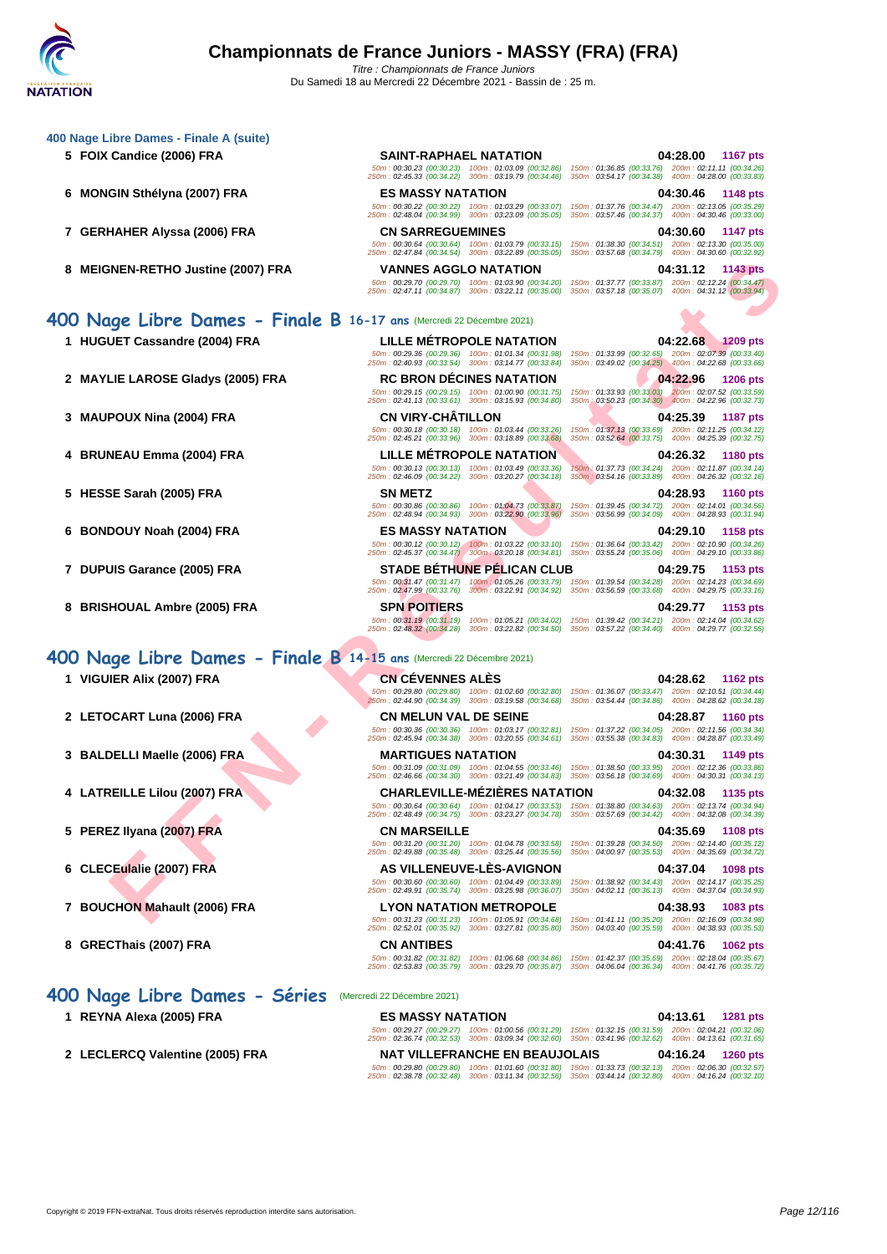### **[400 Nage](http://www.ffnatation.fr/webffn/index.php) Libre Dames - Finale A (suite)**

- 
- 
- **7 GERHAHER Alyssa (2006) FRA CN SARREGUEMINES 04:30.60 1147 pts**
- **8 MEIGNEN-RETHO Justine (2007) FRA VANNES AGGLO NATATION 04:31.12 1143 pts**

### **400 Nage Libre Dames - Finale B 16-17 ans** (Mercredi 22 Décembre 2021)

- 
- 
- 
- 
- 
- 
- 
- 

### **400 Nage Libre Dames - Finale B 14-15 ans** (Mercredi 22 Décembre 2021)

- 
- **2 LETOCART Luna (2006) FRA CN MELUN VAL DE SEINE 04:28.87 1160 pts**
- 
- 
- 
- 
- **7 BOUCHON Mahault (2006) FRA LYON NATATION METROPOLE 04:38.93 1083 pts**
- 

### **400 Nage Libre Dames - Séries** (Mercredi 22 Décembre 2021)

- 
- 

**5 FOIX Candice (2006) FRA SAINT-RAPHAEL NATATION 04:28.00 1167 pts** 50m : 00:30.23 (00:30.23) 100m : 01:03.09 (00:32.86) 150m : 01:36.85 (00:33.76) 200m : 02:11.11 (00:34.26) 250m : 02:45.33 (00:34.22) 300m : 03:19.79 (00:34.46) 350m : 03:54.17 (00:34.38) 400m : 04:28.00 (00:33.83) **6 MONGIN Sthélyna (2007) FRA ES MASSY NATATION 04:30.46 1148 pts** 50m : 00:30.22 (00:30.22) 100m : 01:03.29 (00:33.07) 150m : 01:37.76 (00:34.47) 200m : 02:13.05 (00:35.29) 250m : 02:48.04 (00:34.99) 300m : 03:23.09 (00:35.05) 350m : 03:57.46 (00:34.37) 400m : 04:30.46 (00:33.00)

50m : 00:30.64 (00:30.64) 100m : 01:03.79 (00:33.15) 150m : 01:38.30 (00:34.51) 200m : 02:13.30 (00:35.00) 250m : 02:47.84 (00:34.54) 300m : 03:22.89 (00:35.05) 350m : 03:57.68 (00:34.79) 400m : 04:30.60 (00:32.92)

50m : 00:29.70 (00:29.70) 100m : 01:03.90 (00:34.20) 150m : 01:37.77 (00:33.87) 200m : 02:12.24 (00:34.47) 250m : 02:47.11 (00:34.87) 300m : 03:22.11 (00:35.00) 350m : 03:57.18 (00:35.07) 400m : 04:31.12 (00:33.94)

**E[N](http://www.ffnatation.fr/webffn/resultats.php?idact=nat&go=epr&idcpt=72221&idepr=4)ERGY DE LA PROPERT DE SANTINGER DE LA COOP PRANTICAL DE LA COOP PRANTICAL DE LA COOP PRANTICAL DE LA COOP PRANTICAL DE LA COOP PRANTICAL DE LA COOP PRANTICAL DE LA COOP PRANTICAL DE LA COOP PRANTICAL DE LA COOP PRANTICA** 50m : 00:29.36 (00:29.36) 100m : 01:01.34 (00:31.98) 150m : 01:33.99 (00:32.65) 200m : 02:07.39 (00:33.40) 250m : 02:40.93 (00:33.54) 300m : 03:14.77 (00:33.84) 350m : 03:49.02 (00:34.25) 400m : 04:22.68 (00:33.66) **2 MAYLIE LAROSE Gladys (2005) FRA RC BRON DÉCINES NATATION 04:22.96 1206 pts** 50m : 00:29.15 (00:29.15) 100m : 01:00.90 (00:31.75) 150m : 01:33.93 (00:33.03) 200m : 02:07.52 (00:33.59) 250m : 02:41.13 (00:33.61) 300m : 03:15.93 (00:34.80) 350m : 03:50.23 (00:34.30) 400m : 04:22.96 (00:32.73) **3 MAUPOUX Nina (2004) FRA CN VIRY-CHÂTILLON 04:25.39 1187 pts**

**4 BRUNEAU Emma (2004) FRA LILLE MÉTROPOLE NATATION 04:26.32 1180 pts**

**5 HESSE Sarah (2005) FRA SN METZ 04:28.93 1160 pts**

**6 BONDOUY Noah (2004) FRA ES MASSY NATATION 04:29.10 1158 pts**

**8 BRISHOUAL Ambre (2005) FRA SPN POITIERS 04:29.77 1153 pts**

**1 VIGUIER Alix (2007) FRA CN CÉVENNES ALÈS 04:28.62 1162 pts** 50m : 00:29.80 (00:29.80) 100m : 01:02.60 (00:32.80) 150m : 01:36.07 (00:33.47) 200m : 02:10.51 (00:34.44) 250m : 02:44.90 (00:34.39) 300m : 03:19.58 (00:34.68) 350m : 03:54.44 (00:34.86) 400m : 04:28.62 (00:34.18)

50m : 00:30.36 (00:30.36) 100m : 01:03.17 (00:32.81) 150m : 01:37.22 (00:34.05) 200m : 02:11.56 (00:34.34) 250m : 02:45.94 (00:34.38) 300m : 03:20.55 (00:34.61) 350m : 03:55.38 (00:34.83) 400m : 04:28.87 (00:33.49)

**4 LATREILLE Lilou (2007) FRA CHARLEVILLE-MÉZIÈRES NATATION 04:32.08 1135 pts**

**5 PEREZ Ilyana (2007) FRA CN MARSEILLE 04:35.69 1108 pts**

**6 CLECEulalie (2007) FRA AS VILLENEUVE-LÈS-AVIGNON 04:37.04 1098 pts**

50m : 00:31.23 (00:31.23) 100m : 01:05.91 (00:34.68) 150m : 01:41.11 (00:35.20) 200m : 02:16.09 (00:34.98) 250m : 02:52.01 (00:35.92) 300m : 03:27.81 (00:35.80) 350m : 04:03.40 (00:35.59) 400m : 04:38.93 (00:35.53)

50m : 00:30.86 (00:30.86) 100m : 01:04.73 (00:33.87) 150m : 01:39.45 (00:34.72) 200m : 02:14.01 (00:34.56) 250m : 02:48.94 (00:34.93) 300m : 03:22.90 (00:33.96) 350m : 03:56.99 (00:34.09) 400m : 04:28.93 (00:31.94)

50m : 00:30.12 (00:30.12) 100m : 01:03.22 (00:33.10) 150m : 01:36.64 (00:33.42) 200m : 02:10.90 (00:34.26) 250m : 02:45.37 (00:34.47) 300m : 03:20.18 (00:34.81) 350m : 03:55.24 (00:35.06) 400m : 04:29.10 (00:33.86) **7 DUPUIS Garance (2005) FRA STADE BÉTHUNE PÉLICAN CLUB 04:29.75 1153 pts**

50m : 00:31.47 (00:31.47) 100m : 01:05.26 (00:33.79) 150m : 01:39.54 (00:34.28) 200m : 02:14.23 (00:34.69) 250m : 02:47.99 (00:33.76) 300m : 03:22.91 (00:34.92) 350m : 03:56.59 (00:33.68) 400m : 04:29.75 (00:33.16)

50m : 00:31.19 (00:31.19) 100m : 01:05.21 (00:34.02) 150m : 01:39.42 (00:34.21) 200m : 02:14.04 (00:34.62) 250m : 02:48.32 (00:34.28) 300m : 03:22.82 (00:34.50) 350m : 03:57.22 (00:34.40) 400m : 04:29.77 (00:32.55)

50m : 00:31.09 (00:31.09) 100m : 01:04.55 (00:33.46) 150m : 01:38.50 (00:33.95) 200m : 02:12.36 (00:33.86) 250m : 02:46.66 (00:34.30) 300m : 03:21.49 (00:34.83) 350m : 03:56.18 (00:34.69) 400m : 04:30.31 (00:34.13)

**1 REYNA Alexa (2005) FRA ES MASSY NATATION 04:13.61 1281 pts** 50m : 00:29.27 (00:29.27) 100m : 01:00.56 (00:31.29) 150m : 01:32.15 (00:31.59) 200m : 02:04.21 (00:32.06) 250m : 02:36.74 (00:32.53) 300m : 03:09.34 (00:32.60) 350m : 03:41.96 (00:32.62) 400m : 04:13.61 (00:31.65) **2 LECLERCQ Valentine (2005) FRA NAT VILLEFRANCHE EN BEAUJOLAIS 04:16.24 1260 pts**

50m : 00:29.80 (00:29.80) 100m : 01:01.60 (00:31.80) 150m : 01:33.73 (00:32.13) 200m : 02:06.30 (00:32.57) 250m : 02:38.78 (00:32.48) 300m : 03:11.34 (00:32.56) 350m : 03:44.14 (00:32.80) 400m : 04:16.24 (00:32.10)

**1 HUGUET Cassandre (2004) FRA LILLE MÉTROPOLE NATATION 04:22.68 1209 pts**

50m : 00:30.18 (00:30.18) 100m : 01:03.44 (00:33.26) 150m : 01:37.13 (00:33.69) 200m : 02:11.25 (00:34.12) 250m : 02:45.21 (00:33.96) 300m : 03:18.89 (00:33.68) 350m : 03:52.64 (00:33.75) 400m : 04:25.39 (00:32.75)

50m : 00:30.13 (00:30.13) 100m : 01:03.49 (00:33.36) 150m : 01:37.73 (00:34.24) 200m : 02:11.87 (00:34.14) 250m : 02:46.09 (00:34.22) 300m : 03:20.27 (00:34.18) 350m : 03:54.16 (00:33.89) 400m : 04:26.32 (00:32.16)

**3 BALDELLI Maelle (2006) FRA MARTIGUES NATATION 04:30.31 1149 pts**

50m : 00:30.64 (00:30.64) 100m : 01:04.17 (00:33.53) 150m : 01:38.80 (00:34.63) 200m : 02:13.74 (00:34.94) 250m : 02:48.49 (00:34.75) 300m : 03:23.27 (00:34.78) 350m : 03:57.69 (00:34.42) 400m : 04:32.08 (00:34.39) 50m : 00:31.20 (00:31.20) 100m : 01:04.78 (00:33.58) 150m : 01:39.28 (00:34.50) 200m : 02:14.40 (00:35.12) 250m : 02:49.88 (00:35.48) 300m : 03:25.44 (00:35.56) 350m : 04:00.97 (00:35.53) 400m : 04:35.69 (00:34.72)

50m : 00:30.60 (00:30.60) 100m : 01:04.49 (00:33.89) 150m : 01:38.92 (00:34.43) 200m : 02:14.17 (00:35.25) 250m : 02:49.91 (00:35.74) 300m : 03:25.98 (00:36.07) 350m : 04:02.11 (00:36.13) 400m : 04:37.04 (00:34.93)

**8 GRECThais (2007) FRA CN ANTIBES 04:41.76 1062 pts** 50m : 00:31.82 (00:31.82) 100m : 01:06.68 (00:34.86) 150m : 01:42.37 (00:35.69) 200m : 02:18.04 (00:35.67) 250m : 02:53.83 (00:35.79) 300m : 03:29.70 (00:35.87) 350m : 04:06.04 (00:36.34) 400m : 04:41.76 (00:35.72)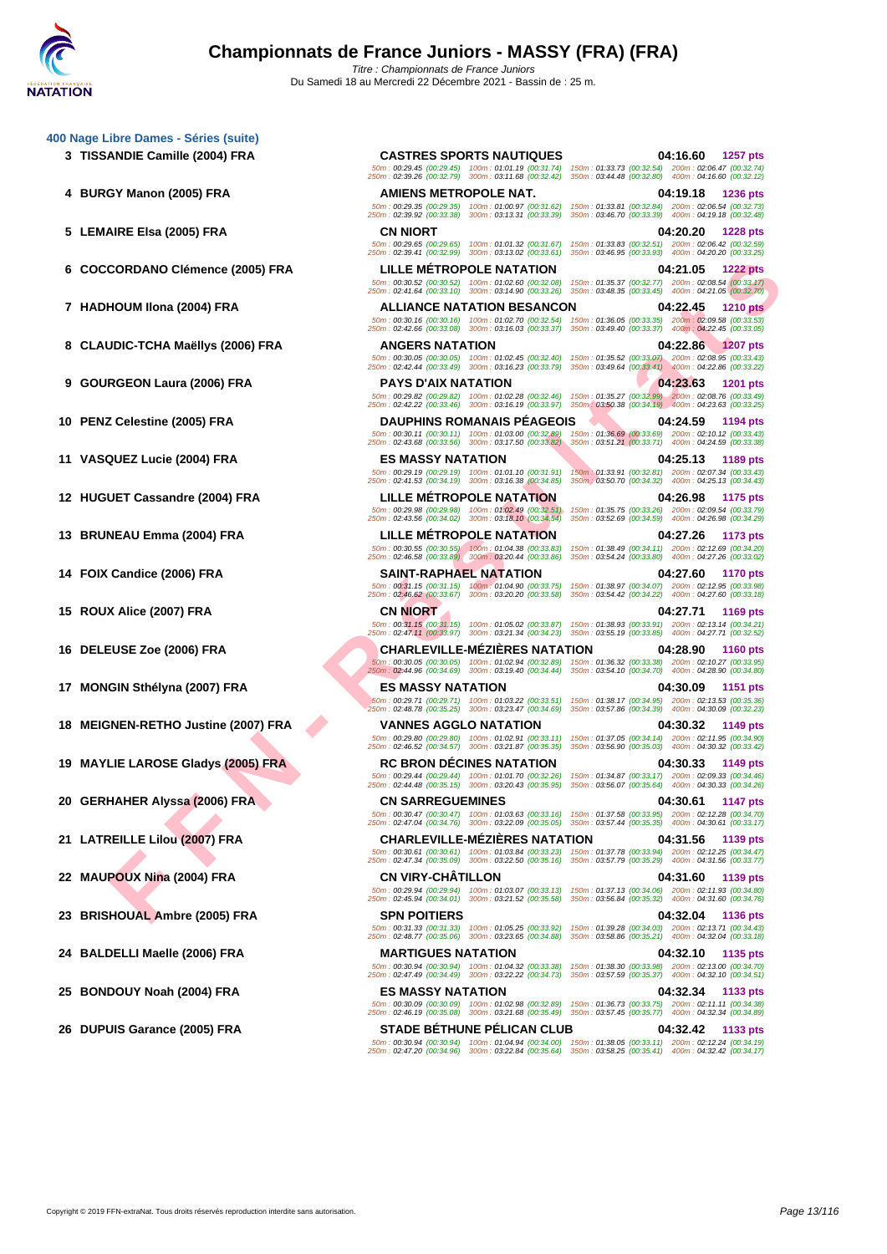CORDANO CIÊMER (2005) FRA<br> **FRAME CORD ANTENDENT IN A SECURE SERIES ANTENDE DE CASE ANTENDE DE CASE ANTENDE DE CASE ANTENDE DE CASE ANTENDE DE CASE ANTENDE DE CASE ANTENDE DE CASE ANTENDE DE CASE ANTENDE DE CASE ANTENDE DE [400 Nage](http://www.ffnatation.fr/webffn/index.php) Libre Dames - Séries (suite) TISSANDIE Camille (2004) FRA CASTRES SPORTS NAUTIQUES 04:16.60 1257 pts BURGY Manon (2005) FRA AMIENS METROPOLE NAT. 04:19.18 1236 pts LEMAIRE Elsa (2005) FRA CN NIORT 04:20.20 1228 pts COCCORDANO Clémence (2005) FRA LILLE MÉTROPOLE NATATION 04:21.05 1222 pts HADHOUM Ilona (2004) FRA ALLIANCE NATATION BESANCON 04:22.45 1210 pts CLAUDIC-TCHA Maëllys (2006) FRA ANGERS NATATION 04:22.86 1207 pts GOURGEON Laura (2006) FRA PAYS D'AIX NATATION 04:23.63 1201 pts PENZ Celestine (2005) FRA DAUPHINS ROMANAIS PÉAGEOIS 04:24.59 1194 pts VASQUEZ Lucie (2004) FRA ES MASSY NATATION 04:25.13 1189 pts HUGUET Cassandre (2004) FRA LILLE MÉTROPOLE NATATION 04:26.98 1175 pts**<br> **12 1175 pts 600:29.98 100:29.98 100:29.98 100:29.98 100:29.98 100:29.98 10:35.75 150:02:35.75 (00:32.69 00:34.64 BRUNEAU Emma (2004) FRA LILLE MÉTROPOLE NATATION 04:27.26 1173 pts FOIX Candice (2006) FRA SAINT-RAPHAEL NATATION 04:27.60 1170 pts ROUX Alice (2007) FRA CN NIORT 04:27.71 1169 pts DELEUSE Zoe (2006) FRA CHARLEVILLE-MÉZIÈRES NATATION 04:28.90 1160 pts MONGIN Sthélyna (2007) FRA ES MASSY NATATION 04:30.09 1151 pts MEIGNEN-RETHO Justine (2007) FRA VANNES AGGLO NATATION 04:30.32 1149 pts MAYLIE LAROSE Gladys (2005) FRA RC BRON DÉCINES NATATION 04:30.33 1149 pts GERHAHER Alyssa (2006) FRA CN SARREGUEMINES 04:30.61 1147 pts LATREILLE Lilou (2007) FRA CHARLEVILLE-MÉZIÈRES NATATION 04:31.56 1139 pts MAUPOUX Nina (2004) FRA CN VIRY-CHÂTILLON 04:31.60 1139 pts BRISHOUAL Ambre (2005) FRA SPN POITIERS 04:32.04 1136 pts BALDELLI Maelle (2006) FRA MARTIGUES NATATION 04:32.10 1135 pts BONDOUY Noah (2004) FRA ES MASSY NATATION 04:32.34 1133 pts DUPUIS Garance (2005) FRA STADE BÉTHUNE PÉLICAN CLUB 04:32.42 1133 pts**

50m : 00:29.45 (00:29.45) 100m : 01:01.19 (00:31.74) 150m : 01:33.73 (00:32.54) 200m : 02:06.47 (00:32.74) 250m : 02:39.26 (00:32.79) 300m : 03:11.68 (00:32.42) 350m : 03:44.48 (00:32.80) 400m : 04:16.60 (00:32.12) 50m : 00:29.35 (00:29.35) 100m : 01:00.97 (00:31.62) 150m : 01:33.81 (00:32.84) 200m : 02:06.54 (00:32.73) 250m : 02:39.92 (00:33.38) 300m : 03:13.31 (00:33.39) 350m : 03:46.70 (00:33.39) 400m : 04:19.18 (00:32.48) 50m : 00:29.65 (00:29.65) 100m : 01:01.32 (00:31.67) 150m : 01:33.83 (00:32.51) 200m : 02:06.42 (00:32.59) 250m : 02:39.41 (00:32.99) 300m : 03:13.02 (00:33.61) 350m : 03:46.95 (00:33.93) 400m : 04:20.20 (00:33.25) 50m : 00:30.52 (00:30.52) 100m : 01:02.60 (00:32.08) 150m : 01:35.37 (00:32.77) 200m : 02:08.54 (00:33.17) 250m : 02:41.64 (00:33.10) 300m : 03:14.90 (00:33.26) 350m : 03:48.35 (00:33.45) 400m : 04:21.05 (00:32.70) 50m : 00:30.16 (00:30.16) 100m : 01:02.70 (00:32.54) 150m : 01:36.05 (00:33.35) 200m : 02:09.58 (00:33.53) 250m : 02:42.66 (00:33.08) 300m : 03:16.03 (00:33.37) 350m : 03:49.40 (00:33.37) 400m : 04:22.45 (00:33.05) 50m : 00:30.05 (00:30.05) 100m : 01:02.45 (00:32.40) 150m : 01:35.52 (00:33.07) 200m : 02:08.95 (00:33.43) 250m : 02:42.44 (00:33.49) 300m : 03:16.23 (00:33.79) 350m : 03:49.64 (00:33.41) 400m : 04:22.86 (00:33.22) 50m : 00:29.82 (00:29.82) 100m : 01:02.28 (00:32.46) 150m : 01:35.27 (00:32.99) 200m : 02:08.76 (00:33.49) 250m : 02:42.22 (00:33.46) 300m : 03:16.19 (00:33.97) 350m : 03:50.38 (00:34.19) 400m : 04:23.63 (00:33.25) 50m : 00:30.11 (00:30.11) 100m : 01:03.00 (00:32.89) 150m : 01:36.69 (00:33.69) 200m : 02:10.12 (00:33.43) 250m : 02:43.68 (00:33.56) 300m : 03:17.50 (00:33.82) 350m : 03:51.21 (00:33.71) 400m : 04:24.59 (00:33.38) 50m : 00:29.19 (00:29.19) 100m : 01:01.10 (00:31.91) 150m : 01:33.91 (00:32.81) 200m : 02:07.34 (00:33.43) 250m : 02:41.53 (00:34.19) 300m : 03:16.38 (00:34.85) 350m : 03:50.70 (00:34.32) 400m : 04:25.13 (00:34.43) 50m : 00:29.98 (00:29.98) 100m : 01:02.49 (00:32.51) 150m : 01:35.75 (00:33.26) 200m : 02:09.54 (00:33.79) 250m : 02:43.56 (00:34.02) 300m : 03:18.10 (00:34.54) 350m : 03:52.69 (00:34.59) 400m : 04:26.98 (00:34.29) 50m : 00:30.55 (00:30.55) 100m : 01:04.38 (00:33.83) 150m : 01:38.49 (00:34.11) 200m : 02:12.69 (00:34.20) 250m : 02:46.58 (00:33.89) 300m : 03:20.44 (00:33.86) 350m : 03:54.24 (00:33.80) 400m : 04:27.26 (00:33.02) 50m : 00:31.15 (00:31.15) 100m : 01:04.90 (00:33.75) 150m : 01:38.97 (00:34.07) 200m : 02:12.95 (00:33.98) 250m : 02:46.62 (00:33.67) 300m : 03:20.20 (00:33.58) 350m : 03:54.42 (00:34.22) 400m : 04:27.60 (00:33.18) 50m : 00:31.15 (00:31.15) 100m : 01:05.02 (00:33.87) 150m : 01:38.93 (00:33.91) 200m : 02:13.14 (00:34.21) 250m : 02:47.11 (00:33.97) 300m : 03:21.34 (00:34.23) 350m : 03:55.19 (00:33.85) 400m : 04:27.71 (00:32.52) 50m : 00:30.05 (00:30.05) 100m : 01:02.94 (00:32.89) 150m : 01:36.32 (00:33.38) 200m : 02:10.27 (00:33.95) 250m : 02:44.96 (00:34.69) 300m : 03:19.40 (00:34.44) 350m : 03:54.10 (00:34.70) 400m : 04:28.90 (00:34.80) 50m : 00:29.71 (00:29.71) 100m : 01:03.22 (00:33.51) 150m : 01:38.17 (00:34.95) 200m : 02:13.53 (00:35.36) 250m : 02:48.78 (00:35.25) 300m : 03:23.47 (00:34.69) 350m : 03:57.86 (00:34.39) 400m : 04:30.09 (00:32.23) 50m : 00:29.80 (00:29.80) 100m : 01:02.91 (00:33.11) 150m : 01:37.05 (00:34.14) 200m : 02:11.95 (00:34.90) 250m : 02:46.52 (00:34.57) 300m : 03:21.87 (00:35.35) 350m : 03:56.90 (00:35.03) 400m : 04:30.32 (00:33.42) 50m : 00:29.44 (00:29.44) 100m : 01:01.70 (00:32.26) 150m : 01:34.87 (00:33.17) 200m : 02:09.33 (00:34.46) 250m : 02:44.48 (00:35.15) 300m : 03:20.43 (00:35.95) 350m : 03:56.07 (00:35.64) 400m : 04:30.33 (00:34.26) 50m : 00:30.47 (00:30.47) 100m : 01:03.63 (00:33.16) 150m : 01:37.58 (00:33.95) 200m : 02:12.28 (00:34.70) 250m : 02:47.04 (00:34.76) 300m : 03:22.09 (00:35.05) 350m : 03:57.44 (00:35.35) 400m : 04:30.61 (00:33.17) 50m : 00:30.61 (00:30.61) 100m : 01:03.84 (00:33.23) 150m : 01:37.78 (00:33.94) 200m : 02:12.25 (00:34.47) 250m : 02:47.34 (00:35.09) 300m : 03:22.50 (00:35.16) 350m : 03:57.79 (00:35.29) 400m : 04:31.56 (00:33.77) 50m : 00:29.94 (00:29.94) 100m : 01:03.07 (00:33.13) 150m : 01:37.13 (00:34.06) 200m : 02:11.93 (00:34.80) 250m : 02:45.94 (00:34.01) 300m : 03:21.52 (00:35.58) 350m : 03:56.84 (00:35.32) 400m : 04:31.60 (00:34.76) 50m : 00:31.33 (00:31.33) 100m : 01:05.25 (00:33.92) 150m : 01:39.28 (00:34.03) 200m : 02:13.71 (00:34.43) 250m : 02:48.77 (00:35.06) 300m : 03:23.65 (00:34.88) 350m : 03:58.86 (00:35.21) 400m : 04:32.04 (00:33.18) 50m : 00:30.94 (00:30.94) 100m : 01:04.32 (00:33.38) 150m : 01:38.30 (00:33.98) 200m : 02:13.00 (00:34.70) 250m : 02:47.49 (00:34.49) 300m : 03:22.22 (00:34.73) 350m : 03:57.59 (00:35.37) 400m : 04:32.10 (00:34.51) 50m : 00:30.09 (00:30.09) 100m : 01:02.98 (00:32.89) 150m : 01:36.73 (00:33.75) 200m : 02:11.11 (00:34.38) 250m : 02:46.19 (00:35.08) 300m : 03:21.68 (00:35.49) 350m : 03:57.45 (00:35.77) 400m : 04:32.34 (00:34.89) 50m : 00:30.94 (00:30.94) 100m : 01:04.94 (00:34.00) 150m : 01:38.05 (00:33.11) 200m : 02:12.24 (00:34.19) 250m : 02:47.20 (00:34.96) 300m : 03:22.84 (00:35.64) 350m : 03:58.25 (00:35.41) 400m : 04:32.42 (00:34.17)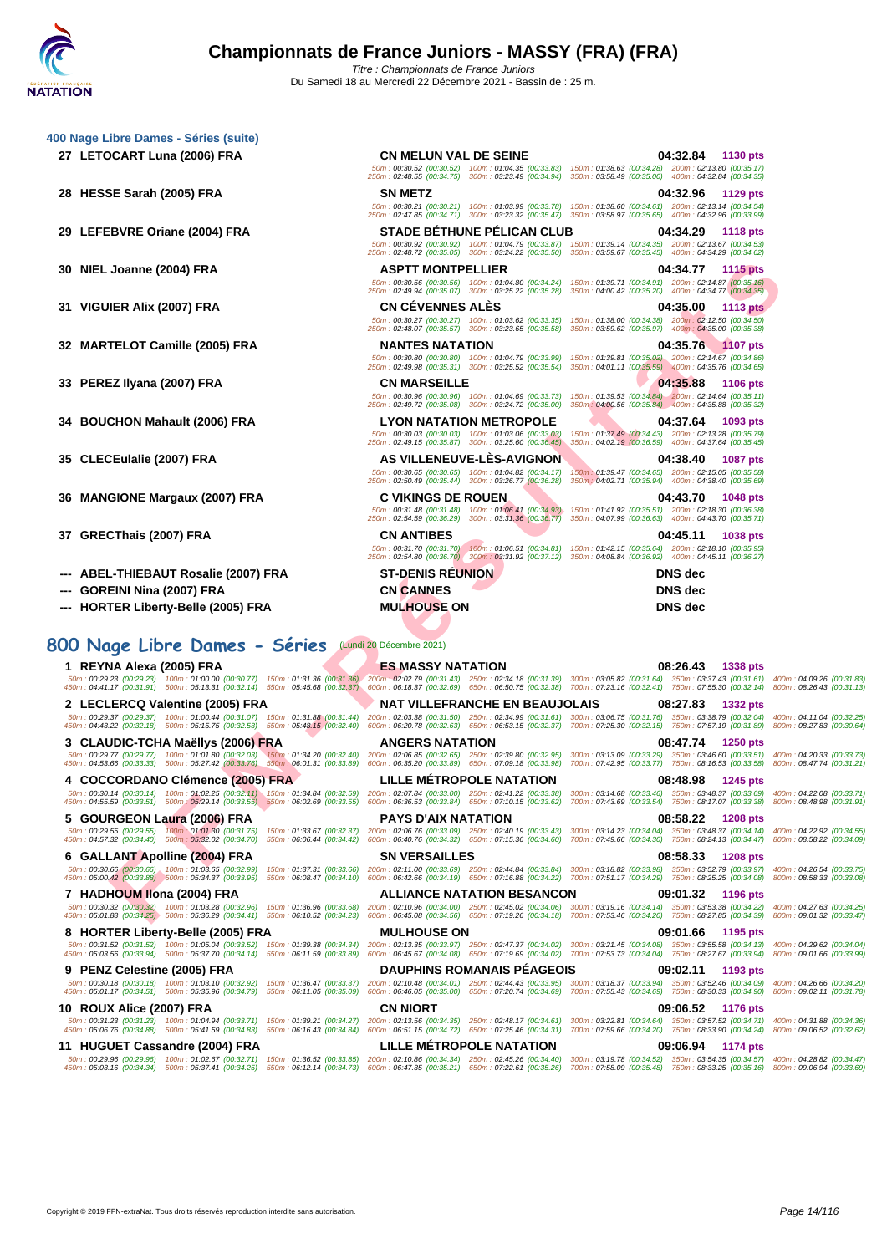**[400 Nage](http://www.ffnatation.fr/webffn/index.php) Libre Dames - Séries (suite)**

50m : 00:30.52 (00:30.52) 100m : 01:04.35 (00:33.83) 150m : 01:38.63 (00:34.28) 200m : 02:13.80 (00:35.17) 250m : 02:48.55 (00:34.75) 300m : 03:23.49 (00:34.94) 350m : 03:58.49 (00:35.00) 400m : 04:32.84 (00:34.35)

50m : 00:30.21 (00:30.21) 100m : 01:03.99 (00:33.78) 150m : 01:38.60 (00:34.61) 200m : 02:13.14 (00:34.54) 250m : 02:47.85 (00:34.71) 300m : 03:23.32 (00:35.47) 350m : 03:58.97 (00:35.65) 400m : 04:32.96 (00:33.99)

**27 LETOCART Luna (2006) FRA CN MELUN VAL DE SEINE 04:32.84 1130 pts**

**28 HESSE Sarah (2005) FRA SN METZ 04:32.96 1129 pts**

| 29 LEFEBVRE Oriane (2004) FRA                                                                                                                                                                                                                                                                                                                                                                                                                                    |                            | <b>STADE BÉTHUNE PÉLICAN CLUB</b><br>50m: 00:30.92 (00:30.92) 100m: 01:04.79 (00:33.87) 150m: 01:39.14 (00:34.35) 200m: 02:13.67 (00:34.53)<br>250m: 02:48.72 (00:35.05) 300m: 03:24.22 (00:35.50) 350m: 03:59.67 (00:35.45) 400m: 04:34.29 (00:34.62)                 | 04:34.29                                                                                                                                                       | <b>1118 pts</b>      |  |
|------------------------------------------------------------------------------------------------------------------------------------------------------------------------------------------------------------------------------------------------------------------------------------------------------------------------------------------------------------------------------------------------------------------------------------------------------------------|----------------------------|------------------------------------------------------------------------------------------------------------------------------------------------------------------------------------------------------------------------------------------------------------------------|----------------------------------------------------------------------------------------------------------------------------------------------------------------|----------------------|--|
| 30 NIEL Joanne (2004) FRA                                                                                                                                                                                                                                                                                                                                                                                                                                        | <b>ASPTT MONTPELLIER</b>   | 50m : 00:30.56 (00:30.56) 100m : 01:04.80 (00:34.24) 150m : 01:39.71 (00:34.91) 200m : 02:14.87 (00:35.16)<br>250m: 02:49.94 (00:35.07) 300m: 03:25.22 (00:35.28) 350m: 04:00.42 (00:35.20) 400m: 04:34.77 (00:34.35)                                                  |                                                                                                                                                                | 04:34.77 1115 pts    |  |
| 31 VIGUIER Alix (2007) FRA                                                                                                                                                                                                                                                                                                                                                                                                                                       | <b>CN CEVENNES ALES</b>    | 50m: 00:30.27 (00:30.27) 100m: 01:03.62 (00:33.35) 150m: 01:38.00 (00:34.38) 200m: 02:12.50 (00:34.50)<br>250m: 02:48.07 (00:35.57) 300m: 03:23.65 (00:35.58)                                                                                                          | 04:35.00<br>350m: 03:59.62 (00:35.97) 400m: 04:35.00 (00:35.38)                                                                                                | 1113 pts             |  |
| 32 MARTELOT Camille (2005) FRA                                                                                                                                                                                                                                                                                                                                                                                                                                   | <b>NANTES NATATION</b>     | 50m: 00:30.80 (00:30.80) 100m: 01:04.79 (00:33.99) 150m: 01:39.81 (00:35.02) 200m: 02:14.67 (00:34.86)<br>250m: 02:49.98 (00:35.31) 300m: 03:25.52 (00:35.54) 350m: 04:01.11 (00:35.59) 400m: 04:35.76 (00:34.65)                                                      |                                                                                                                                                                | 04:35.76 1107 pts    |  |
| 33 PEREZ Ilyana (2007) FRA                                                                                                                                                                                                                                                                                                                                                                                                                                       | <b>CN MARSEILLE</b>        | 50m: 00:30.96 (00:30.96) 100m: 01:04.69 (00:33.73)<br>250m: 02:49.72 (00:35.08) 300m: 03:24.72 (00:35.00)                                                                                                                                                              | 04:35.88<br>150m; 01:39.53 (00:34.84) 200m: 02:14.64 (00:35.11)<br>350m: 04:00.56 (00:35.84) 400m: 04:35.88 (00:35.32)                                         | <b>1106 pts</b>      |  |
| 34 BOUCHON Mahault (2006) FRA                                                                                                                                                                                                                                                                                                                                                                                                                                    |                            | <b>LYON NATATION METROPOLE</b><br>50m: 00:30.03 (00:30.03) 100m: 01:03.06 (00:33.03)<br>250m: 02:49.15 (00:35.87) 300m: 03:25.60 (00:36.45)                                                                                                                            | 04:37.64<br>150m: 01:37.49 (00:34.43) 200m: 02:13.28 (00:35.79)<br>350m: 04:02.19 (00:36.59) 400m: 04:37.64 (00:35.45)                                         | 1093 pts             |  |
| 35 CLECEulalie (2007) FRA                                                                                                                                                                                                                                                                                                                                                                                                                                        |                            | AS VILLENEUVE-LES-AVIGNON<br>50m: 00:30.65 (00:30.65) 100m: 01:04.82 (00:34.17)<br>250m: 02:50.49 (00:35.44) 300m: 03:26.77 (00:36.28)                                                                                                                                 | 04:38.40<br>150m: 01:39.47 (00:34.65) 200m: 02:15.05 (00:35.58)<br>350m : 04:02.71 (00:35.94) 400m : 04:38.40 (00:35.69)                                       | <b>1087 pts</b>      |  |
| 36 MANGIONE Margaux (2007) FRA                                                                                                                                                                                                                                                                                                                                                                                                                                   | <b>C VIKINGS DE ROUEN</b>  | 50m: 00:31.48 (00:31.48) 100m: 01:06.41 (00:34.93) 150m: 01:41.92 (00:35.51) 200m: 02:18.30 (00:36.38)<br>250m: 02:54.59 (00:36.29) 300m: 03:31.36 (00:36.77) 350m: 04:07.99 (00:36.63) 400m: 04:43.70 (00:35.71)                                                      | 04:43.70                                                                                                                                                       | 1048 pts             |  |
| 37 GRECThais (2007) FRA                                                                                                                                                                                                                                                                                                                                                                                                                                          | <b>CN ANTIBES</b>          | 50m: 00:31.70 (00:31.70) 100m: 01:06.51 (00:34.81) 150m: 01:42.15 (00:35.64) 200m: 02:18.10 (00:35.95)<br>250m: 02:54.80 (00:36.70) 300m: 03:31.92 (00:37.12) 350m: 04:08.84 (00:36.92) 400m: 04:45.11 (00:36.27)                                                      | 04:45.11                                                                                                                                                       | <b>1038 pts</b>      |  |
| ABEL-THIEBAUT Rosalie (2007) FRA                                                                                                                                                                                                                                                                                                                                                                                                                                 | <b>ST-DENIS REUNION</b>    |                                                                                                                                                                                                                                                                        | <b>DNS</b> dec                                                                                                                                                 |                      |  |
| GOREINI Nina (2007) FRA                                                                                                                                                                                                                                                                                                                                                                                                                                          | <b>CN CANNES</b>           |                                                                                                                                                                                                                                                                        | <b>DNS</b> dec                                                                                                                                                 |                      |  |
| <b>HORTER Liberty-Belle (2005) FRA</b>                                                                                                                                                                                                                                                                                                                                                                                                                           | <b>MULHOUSE ON</b>         |                                                                                                                                                                                                                                                                        | <b>DNS</b> dec                                                                                                                                                 |                      |  |
| 800 Nage Libre Dames - Séries (Lundi 20 Décembre 2021)                                                                                                                                                                                                                                                                                                                                                                                                           |                            |                                                                                                                                                                                                                                                                        |                                                                                                                                                                |                      |  |
|                                                                                                                                                                                                                                                                                                                                                                                                                                                                  |                            |                                                                                                                                                                                                                                                                        |                                                                                                                                                                |                      |  |
| 1 REYNA Alexa (2005) FRA                                                                                                                                                                                                                                                                                                                                                                                                                                         | <b>ES MASSY NATATION</b>   |                                                                                                                                                                                                                                                                        | 08:26.43                                                                                                                                                       | <b>1338 pts</b>      |  |
| 50m: 00:29.23 (00:29.23) 100m: 01:00.00 (00:30.77) 150m: 01:31.36 (00:31.36) 200m: 02:02.79 (00:31.43) 250m: 02:34.18 (00:31.39) 300m: 03:05.82 (00:31.64) 350m: 03:37.43 (00:31.61) 400m: 04:09.26 (00:31.83)<br>450m : 04:41.17 (00:31.91) 500m : 05:13.31 (00:32.14) 550m : 05:45.68 (00:32.37) 600m : 06:18.37 (00:32.69) 650m : 06:50.75 (00:32.38) 700m : 07:23.16 (00:32.41) 750m : 07:55.30 (00:32.14) 800m : 08:26.43 (00:31.13)                        |                            |                                                                                                                                                                                                                                                                        |                                                                                                                                                                |                      |  |
| 2 LECLERCQ Valentine (2005) FRA                                                                                                                                                                                                                                                                                                                                                                                                                                  |                            | <b>NAT VILLEFRANCHE EN BEAUJOLAIS</b>                                                                                                                                                                                                                                  | 08:27.83                                                                                                                                                       | 1332 pts             |  |
| 50m: 00:29.37 (00:29.37) 100m: 01:00.44 (00:31.07) 150m: 01:31.88 (00:31.44)<br>450m: 04:43.22 (00:32.18) 500m: 05:15.75 (00:32.53) 550m: 05:48.15 (00:32.40)                                                                                                                                                                                                                                                                                                    |                            | 200m: 02:03.38 (00:31.50) 250m: 02:34.99 (00:31.61) 300m: 03:06.75 (00:31.76) 350m: 03:38.79 (00:32.04) 400m: 04:11.04 (00:32.25)<br>600m: 06:20.78 (00:32.63) 650m: 06:53.15 (00:32.37) 700m: 07:25.30 (00:32.15) 750m: 07:57.19 (00:31.89) 800m: 08:27.83 (00:30.64) |                                                                                                                                                                |                      |  |
| 3 CLAUDIC-TCHA Maëllys (2006) FRA                                                                                                                                                                                                                                                                                                                                                                                                                                | <b>ANGERS NATATION</b>     |                                                                                                                                                                                                                                                                        | 08:47.74                                                                                                                                                       | <b>1250 pts</b>      |  |
| 50m : 00:29.77 (00:29.77) 100m : 01:01.80 (00:32.03) 150m : 01:34.20 (00:32.40) 200m : 02:06.85 (00:32.65) 250m : 02:39.80 (00:32.95)<br>450m: 04:53.66 (00:33.33) 500m: 05:27.42 (00:33.76) 550m: 06:01.31 (00:33.89)                                                                                                                                                                                                                                           |                            | 600m: 06:35.20 (00:33.89) 650m: 07:09.18 (00:33.98)                                                                                                                                                                                                                    | 300m: 03:13.09 (00:33.29) 350m: 03:46.60 (00:33.51) 400m: 04:20.33 (00:33.73)<br>700m: 07:42.95 (00:33.77) 750m: 08:16.53 (00:33.58) 800m: 08:47.74 (00:31.21) |                      |  |
| 4 COCCORDANO Clémence (2005) FRA                                                                                                                                                                                                                                                                                                                                                                                                                                 |                            | <b>LILLE MÉTROPOLE NATATION</b>                                                                                                                                                                                                                                        | 08:48.98                                                                                                                                                       | <b>1245 pts</b>      |  |
| 50m: 00:30.14 (00:30.14) 100m: 01:02.25 (00:32.11) 150m: 01:34.84 (00:32.59)<br>450m: 04:55.59 (00:33.51) 500m: 05:29.14 (00:33.55) 550m: 06:02.69 (00:33.55)                                                                                                                                                                                                                                                                                                    |                            | 200m: 02:07.84 (00:33.00) 250m: 02:41.22 (00:33.38)<br>600m: 06:36.53 (00:33.84) 650m: 07:10.15 (00:33.62)                                                                                                                                                             | 300m: 03:14.68 (00:33.46) 350m: 03:48.37 (00:33.69) 400m: 04:22.08 (00:33.71)<br>700m: 07:43.69 (00:33.54) 750m: 08:17.07 (00:33.38) 800m: 08:48.98 (00:31.91) |                      |  |
| 5 GOURGEON Laura (2006) FRA                                                                                                                                                                                                                                                                                                                                                                                                                                      | <b>PAYS D'AIX NATATION</b> |                                                                                                                                                                                                                                                                        | 08:58.22                                                                                                                                                       | <b>1208 pts</b>      |  |
| 50m: 00:29.55 (00:29.55) 100m: 01:01.30 (00:31.75) 150m: 01:33.67 (00:32.37) 200m: 02:06.76 (00:33.09) 250m: 02:40.19 (00:33.43) 300m: 03:14.23 (00:34.04) 350m: 03:48.37 (00:34.14) 400m: 04:22.92 (00:34.55)<br>450m : 04:57.32 (00:34.40) 500m : 05:32.02 (00:34.70) 550m : 06:06.44 (00:34.42) 600m : 06:40.76 (00:34.32) 650m : 07:15.36 (00:34.60) 700m : 07:49.66 (00:34.30) 750m : 08:24.13 (00:34.47) 800m : 08:58.22 (00:34.09)                        |                            |                                                                                                                                                                                                                                                                        |                                                                                                                                                                |                      |  |
| 6 GALLANT Apolline (2004) FRA                                                                                                                                                                                                                                                                                                                                                                                                                                    | <b>SN VERSAILLES</b>       |                                                                                                                                                                                                                                                                        | 08:58.33                                                                                                                                                       | <b>1208 pts</b>      |  |
|                                                                                                                                                                                                                                                                                                                                                                                                                                                                  |                            |                                                                                                                                                                                                                                                                        |                                                                                                                                                                |                      |  |
| 7 HADHOUM Ilona (2004) FRA                                                                                                                                                                                                                                                                                                                                                                                                                                       |                            | <b>ALLIANCE NATATION BESANCON</b>                                                                                                                                                                                                                                      | 09:01.32                                                                                                                                                       | 1196 pts             |  |
| 50m: 00:30.32 (00:30.32) 100m: 01:03.28 (00:32.96) 150m: 01:36.96 (00:33.68)<br>450m: 05:01.88 (00:34.25) 500m: 05:36.29 (00:34.41) 550m: 06:10.52 (00:34.23)                                                                                                                                                                                                                                                                                                    |                            | 200m: 02:10.96 (00:34.00) 250m: 02:45.02 (00:34.06) 300m: 03:19.16 (00:34.14) 350m: 03:53.38 (00:34.22) 400m: 04:27.63 (00:34.25)<br>600m: 06:45.08 (00:34.56) 650m: 07:19.26 (00:34.18) 700m: 07:53.46 (00:34.20) 750m: 08:27.85 (00:34.39) 800m: 09:01.32 (00:33.47) |                                                                                                                                                                |                      |  |
| 8 HORTER Liberty-Belle (2005) FRA                                                                                                                                                                                                                                                                                                                                                                                                                                | <b>MULHOUSE ON</b>         |                                                                                                                                                                                                                                                                        | 09:01.66                                                                                                                                                       | 1195 pts             |  |
| 50m: 00:31.52 (00:31.52) 100m: 01:05.04 (00:33.52) 150m: 01:39.38 (00:34.34)<br>450m: 05:03.56 (00:33.94) 500m: 05:37.70 (00:34.14) 550m: 06:11.59 (00:33.89)                                                                                                                                                                                                                                                                                                    |                            | 200m: 02:13.35 (00:33.97) 250m: 02:47.37 (00:34.02) 300m: 03:21.45 (00:34.08) 350m: 03:55.58 (00:34.13) 400m: 04:29.62 (00:34.04)<br>600m: 06:45.67 (00:34.08) 650m: 07:19.69 (00:34.02) 700m: 07:53.73 (00:34.04) 750m: 08:27.67 (00:33.94) 800m: 09:01.66 (00:33.99) |                                                                                                                                                                |                      |  |
| 9 PENZ Celestine (2005) FRA<br>50m: 00:30.18 (00:30.18) 100m: 01:03.10 (00:32.92) 150m: 01:36.47 (00:33.37) 200m: 02:10.48 (00:34.01) 250m: 02:44.43 (00:33.55) 300m: 03:18.37 (00:33.94) 350m: 03:52.46 (00:34.09) 400m: 04:26.66 (00:34.20)<br>450m: 05:01.17 (00:34.51) 500m: 05:35.96 (00:34.79) 550m: 06:11.05 (00:35.09) 600m: 06:46.05 (00:35.00) 650m: 07:20.74 (00:34.69) 700m: 07:55.43 (00:34.69) 750m: 08:30.33 (00:34.90) 800m: 09:02.11 (00:34.78) |                            | <b>DAUPHINS ROMANAIS PEAGEOIS</b>                                                                                                                                                                                                                                      | 09:02.11                                                                                                                                                       | 1193 pts             |  |
| 10 ROUX Alice (2007) FRA                                                                                                                                                                                                                                                                                                                                                                                                                                         | <b>CN NIORT</b>            |                                                                                                                                                                                                                                                                        | 09:06.52                                                                                                                                                       | 1176 pts             |  |
| 11 HUGUET Cassandre (2004) FRA<br>50m: 00:29.96 (00:29.96) 100m: 01:02.67 (00:32.71) 150m: 01:36.52 (00:33.85) 200m: 02:10.86 (00:34.34) 250m: 02:45.26 (00:34.40)<br>450m: 05:03.16 (00:34.34) 500m: 05:37.41 (00:34.25) 550m: 06:12.14 (00:34.73) 600m: 06:47.35 (00:35.21) 650m: 07:22.61 (00:35.26)                                                                                                                                                          |                            | LILLE METROPOLE NATATION                                                                                                                                                                                                                                               | 300m: 03:19.78 (00:34.52) 350m: 03:54.35 (00:34.57) 400m: 04:28.82 (00:34.47)<br>700m: 07:58.09 (00:35.48) 750m: 08:33.25 (00:35.16) 800m: 09:06.94 (00:33.69) | 09:06.94<br>1174 pts |  |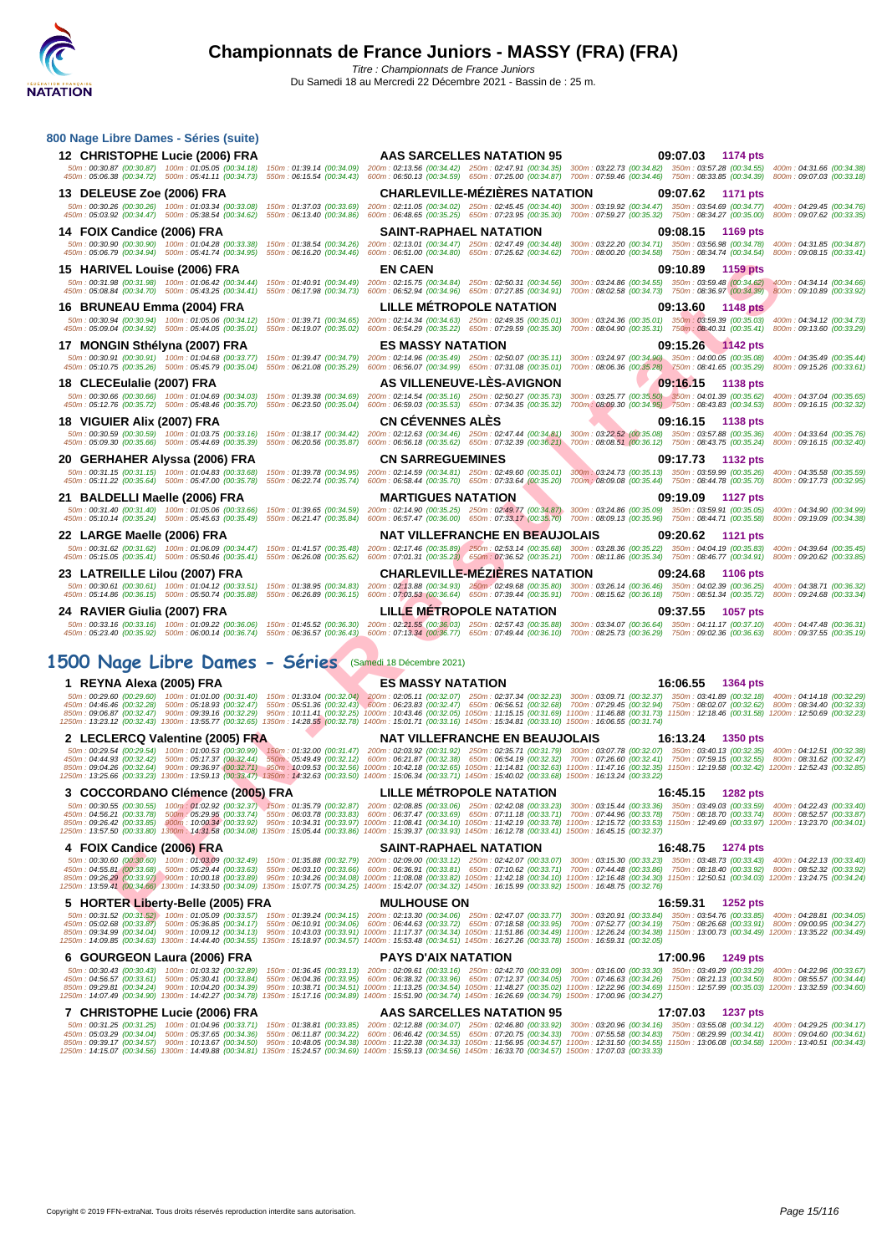

| 800 Nage Libre Dames - Séries (suite)                                                                      |                                                                                                                                                                                                                                                                            |                                                                                                                                                                                                                                                                                                                                                                                                                                           |
|------------------------------------------------------------------------------------------------------------|----------------------------------------------------------------------------------------------------------------------------------------------------------------------------------------------------------------------------------------------------------------------------|-------------------------------------------------------------------------------------------------------------------------------------------------------------------------------------------------------------------------------------------------------------------------------------------------------------------------------------------------------------------------------------------------------------------------------------------|
| 12 CHRISTOPHE Lucie (2006) FRA                                                                             | <b>AAS SARCELLES NATATION 95</b>                                                                                                                                                                                                                                           | 09:07.03 1174 pts                                                                                                                                                                                                                                                                                                                                                                                                                         |
|                                                                                                            |                                                                                                                                                                                                                                                                            | 50m: 00:30.87 (00:30.87) 100m: 01:05.05 (00:34.18) 150m: 01:39.14 (00:34.09) 200m: 02:13.56 (00:34.42) 250m: 02:47.91 (00:34.35) 300m: 03:22.73 (00:34.82) 350m: 03:57.28 (00:34.55) 400m: 04:31.66 (00:34.38)<br>450m : 05:06.38 (00:34.72) 500m : 05:41.11 (00:34.73) 550m : 06:15.54 (00:34.43) 600m : 06:50.13 (00:34.59) 650m : 07:25.00 (00:34.87) 700m : 07:59.46 (00:34.46) 750m : 08:33.85 (00:34.39) 800m : 09:07.03 (00:33.18) |
| 13 DELEUSE Zoe (2006) FRA                                                                                  | <b>CHARLEVILLE-MÉZIÈRES NATATION</b>                                                                                                                                                                                                                                       | 09:07.62<br>1171 pts                                                                                                                                                                                                                                                                                                                                                                                                                      |
|                                                                                                            |                                                                                                                                                                                                                                                                            | 50m: 00:30.26 (00:30.26) 100m: 01:03.34 (00:33.08) 150m: 01:37.03 (00:33.69) 200m: 02:11.05 (00:34.02) 250m: 02:45.45 (00:34.40) 300m: 03:19.92 (00:34.47) 350m: 03:54.69 (00:34.77) 400m: 04:29.45 (00:34.76)<br>450m : 05:03.92 (00:34.47) 500m : 05:38.54 (00:34.62) 550m : 06:13.40 (00:34.86) 600m : 06:48.65 (00:35.25) 650m : 07:23.95 (00:35.30) 700m : 07:59.27 (00:35.32) 750m : 08:34.27 (00:35.00) 800m : 09:07.62 (00:33.35) |
| 14 FOIX Candice (2006) FRA                                                                                 | <b>SAINT-RAPHAEL NATATION</b>                                                                                                                                                                                                                                              | 09:08.15<br>1169 pts                                                                                                                                                                                                                                                                                                                                                                                                                      |
|                                                                                                            |                                                                                                                                                                                                                                                                            | 50m: 00:30.90 (00:30.90) 100m: 01:04.28 (00:33.38) 150m: 01:38.54 (00:34.26) 200m: 02:13.01 (00:34.47) 250m: 02:47.49 (00:34.48) 300m: 03:22.20 (00:34.71) 350m: 03:56.98 (00:34.78) 400m: 04:31.85 (00:34.87)                                                                                                                                                                                                                            |
| 450m: 05:06.79 (00:34.94) 500m: 05:41.74 (00:34.95)                                                        | 550m: 06:16.20 (00:34.46) 600m: 06:51.00 (00:34.80) 650m: 07:25.62 (00:34.62)                                                                                                                                                                                              | 700m: 08:00.20 (00:34.58) 750m: 08:34.74 (00:34.54) 800m: 09:08.15 (00:33.41)                                                                                                                                                                                                                                                                                                                                                             |
| 15 HARIVEL Louise (2006) FRA                                                                               | <b>EN CAEN</b><br>50m; 00:31.98 (00:31.98) 100m; 01:06.42 (00:34.44) 150m; 01:40.91 (00:34.49) 200m; 02:15.75 (00:34.84) 250m; 02:50.31 (00:34.56)                                                                                                                         | 09:10.89<br>1159 pts<br>300m: 03:24.86 (00:34.55) 350m: 03:59.48 (00:34.62) 400m: 04:34.14 (00:34.66)                                                                                                                                                                                                                                                                                                                                     |
|                                                                                                            | 450m: 05:08.84 (00:34.70) 500m: 05:43.25 (00:34.41) 550m: 06:17.98 (00:34.73) 600m: 06:52.94 (00:34.96) 650m: 07:27.85 (00:34.91)                                                                                                                                          | 700m: 08:02.58 (00:34.73) 750m: 08:36.97 (00:34.39) 800m: 09:10.89 (00:33.92)                                                                                                                                                                                                                                                                                                                                                             |
| 16 BRUNEAU Emma (2004) FRA                                                                                 | <b>LILLE METROPOLE NATATION</b>                                                                                                                                                                                                                                            | 09:13.60 1148 pts                                                                                                                                                                                                                                                                                                                                                                                                                         |
|                                                                                                            | 50m: 00:30.94 (00:30.94) 100m: 01:05.06 (00:34.12) 150m: 01:39.71 (00:34.65) 200m: 02:14.34 (00:34.63) 250m: 02:49.35 (00:35.01)<br>450m : 05:09.04 (00:34.92) 500m : 05:44.05 (00:35.01) 550m : 06:19.07 (00:35.02) 600m : 06:54.29 (00:35.22) 650m : 07:29.59 (00:35.30) | 300m: 03:24.36 (00:35.01) 350m: 03:59.39 (00:35.03) 400m: 04:34.12 (00:34.73)<br>700m: 08:04.90 (00:35.31) 750m: 08:40.31 (00:35.41) 800m: 09:13.60 (00:33.29)                                                                                                                                                                                                                                                                            |
| 17 MONGIN Sthélyna (2007) FRA                                                                              | <b>ES MASSY NATATION</b>                                                                                                                                                                                                                                                   | 09:15.26 1142 pts                                                                                                                                                                                                                                                                                                                                                                                                                         |
|                                                                                                            |                                                                                                                                                                                                                                                                            | 50m: 00:30.91 (00:30.91) 100m: 01:04.68 (00:33.77) 150m: 01:39.47 (00:34.79) 200m: 02:14.96 (00:35.49) 250m: 02:50.07 (00:35.11) 300m: 03:24.97 (00:34.90) 350m: 04:00.05 (00:35.68) 400m: 04:35.49 (00:35.44)                                                                                                                                                                                                                            |
|                                                                                                            |                                                                                                                                                                                                                                                                            | 450m : 05:10.75 (00:35.26) 500m : 05:45.79 (00:35.04) 550m : 06:21.08 (00:35.29) 600m : 06:56.07 (00:34.99) 650m : 07:31.08 (00:35.01) 700m : 08:06.36 (00:35.28) 750m : 08:41.65 (00:35.29) 800m : 09:15.26 (00:33.61)                                                                                                                                                                                                                   |
| 18 CLECEulalie (2007) FRA                                                                                  | AS VILLENEUVE-LES-AVIGNON<br>50m: 00:30.66 (00:30.66) 100m: 01:04.69 (00:34.03) 150m: 01:39.38 (00:34.69) 200m: 02:14.54 (00:35.16) 250m: 02:50.27 (00:35.73)                                                                                                              | 09:16.15<br>1138 pts                                                                                                                                                                                                                                                                                                                                                                                                                      |
|                                                                                                            | 450m: 05:12.76 (00:35.72) 500m: 05:48.46 (00:35.70) 550m: 06:23.50 (00:35.04) 600m: 06:59.03 (00:35.53) 650m: 07:34.35 (00:35.32)                                                                                                                                          |                                                                                                                                                                                                                                                                                                                                                                                                                                           |
| 18 VIGUIER Alix (2007) FRA                                                                                 | <b>CN CEVENNES ALES</b>                                                                                                                                                                                                                                                    | 09:16.15 1138 pts                                                                                                                                                                                                                                                                                                                                                                                                                         |
| 450m: 05:09.30 (00:35.66) 500m: 05:44.69 (00:35.39)                                                        |                                                                                                                                                                                                                                                                            | 50m: 00:30.59 (00:30.59) 100m: 01:03.75 (00:33.16) 150m: 01:38.17 (00:34.42) 200m: 02:12.63 (00:34.46) 250m: 02:47.44 (00:34.81) 300m: 03:22.52 (00:35.08) 350m: 03:57.88 (00:35.36) 400m: 04:33.64 (00:35.76)<br>550m: 06:20.56 (00:35.87) 600m: 06:56.18 (00:35.62) 650m: 07:32.39 (00:36.21) 700m: 08:08.51 (00:36.12) 750m: 08:43.75 (00:35.24) 800m: 09:16.15 (00:32.40)                                                             |
| 20 GERHAHER Alyssa (2006) FRA                                                                              | <b>CN SARREGUEMINES</b>                                                                                                                                                                                                                                                    | 09:17.73<br>1132 pts                                                                                                                                                                                                                                                                                                                                                                                                                      |
| 50m: 00:31.15 (00:31.15) 100m: 01:04.83 (00:33.68)                                                         |                                                                                                                                                                                                                                                                            | 150m: 01:39.78 (00:34.95) 200m: 02:14.59 (00:34.81) 250m: 02:49.60 (00:35.01) 300m: 03:24.73 (00:35.13) 350m: 03:59.99 (00:35.26) 400m: 04:35.58 (00:35.26)                                                                                                                                                                                                                                                                               |
| 450m: 05:11.22 (00:35.64) 500m: 05:47.00 (00:35.78)                                                        |                                                                                                                                                                                                                                                                            | 550m: 06:22.74 (00:35.74) 600m: 06:58.44 (00:35.70) 650m: 07:33.64 (00:35.20) 700m: 08:09.08 (00:35.44) 750m: 08:44.78 (00:35.70) 800m: 09:17.73 (00:32.95)                                                                                                                                                                                                                                                                               |
| 21 BALDELLI Maelle (2006) FRA                                                                              | <b>MARTIGUES NATATION</b>                                                                                                                                                                                                                                                  | 09:19.09<br>1127 pts<br>50m: 00:31.40 (00:31.40) 100m: 01:05.06 (00:33.66) 150m: 01:39.65 (00:34.59) 200m: 02:14.90 (00:35.25) 250m: 02:49.77 (00:34.87) 300m: 03:24.86 (00:35.09) 350m: 03:59.91 (00:35.05) 400m: 04:34.90 (00:34.99)                                                                                                                                                                                                    |
|                                                                                                            |                                                                                                                                                                                                                                                                            | 450m : 05:10.14 (00:35.24) 500m : 05:45.63 (00:35.49) 550m : 06:21.47 (00:35.84) 600m : 06:57.47 (00:36.00) 650m : 07:33.17 (00:35.70) 700m : 08:09.13 (00:35.96) 750m : 08:44.71 (00:35.88) 800m : 09:19.09 (00:34.38)                                                                                                                                                                                                                   |
| 22 LARGE Maelle (2006) FRA                                                                                 | <b>NAT VILLEFRANCHE EN BEAUJOLAIS</b>                                                                                                                                                                                                                                      | 09:20.62<br>1121 pts                                                                                                                                                                                                                                                                                                                                                                                                                      |
|                                                                                                            |                                                                                                                                                                                                                                                                            | 50m : 00:31.62 (00:31.62) 100m : 01:06.09 (00:34.47) 150m : 01:41.57 (00:35.48) 200m : 02:17.46 (00:35.89) 250m : 02:53.14 (00:35.68) 300m : 03:28.36 (00:35.22) 350m : 04:04.19 (00:35.83) 400m : 04:39.64 (00:35.45)<br>450m :                                                                                                                                                                                                          |
|                                                                                                            |                                                                                                                                                                                                                                                                            |                                                                                                                                                                                                                                                                                                                                                                                                                                           |
| 23 LATREILLE Lilou (2007) FRA                                                                              | <b>CHARLEVILLE-MEZIERES NATATION</b>                                                                                                                                                                                                                                       | 09:24.68<br>1106 pts                                                                                                                                                                                                                                                                                                                                                                                                                      |
|                                                                                                            |                                                                                                                                                                                                                                                                            | 50m: 00:30.61 (00:30.61) 100m: 01:04.12 (00:33.51) 150m: 01:38.95 (00:34.83) 200m: 02:13.88 (00:34.93) 250m: 02:49.68 (00:35.80) 300m: 03:26.14 (00:36.46) 350m: 04:02.39 (00:36.25) 400m: 04:38.71 (00:36.32)                                                                                                                                                                                                                            |
|                                                                                                            | 450m : 05:14.86 (00:36.15) 500m : 05:50.74 (00:35.88) 550m : 06:26.89 (00:36.15) 600m : 07:03.53 (00:36.64) 650m : 07:39.44 (00:35.91) 700m : 08:15.62 (00:36.18) 750m : 08:51.34 (00:35.22)                                                                               | 800m: 09:24.68 (00:33.34)                                                                                                                                                                                                                                                                                                                                                                                                                 |
| 24 RAVIER Giulia (2007) FRA                                                                                | LILLE METROPOLE NATATION                                                                                                                                                                                                                                                   | 09:37.55<br><b>1057 pts</b><br>50m: 00:33.16 (00:33.16) 100m: 01:09.22 (00:36.06) 150m: 01:45.52 (00:36.30) 200m: 02:21.55 (00:36.03) 250m: 02:57.43 (00:35.88) 300m: 03:34.07 (00:36.64) 350m: 04:11.17 (00:37.10) 400m: 04:47.48 (00:36.31)                                                                                                                                                                                             |
|                                                                                                            |                                                                                                                                                                                                                                                                            | 450m : 05:23.40 (00:35.92) 500m : 06:00.14 (00:36.74) 550m : 06:36.57 (00:36.43) 600m : 07:13.34 (00:36.77) 650m : 07:49.44 (00:36.10) 700m : 08:25.73 (00:36.29) 750m : 09:02.36 (00:36.63) 800m : 09:37.55 (00:35.19)                                                                                                                                                                                                                   |
|                                                                                                            |                                                                                                                                                                                                                                                                            |                                                                                                                                                                                                                                                                                                                                                                                                                                           |
| 1500 Nage Libre Dames - Séries (Samedi 18 Décembre 2021)                                                   |                                                                                                                                                                                                                                                                            |                                                                                                                                                                                                                                                                                                                                                                                                                                           |
| 1 REYNA Alexa (2005) FRA                                                                                   | <b>ES MASSY NATATION</b>                                                                                                                                                                                                                                                   | 16:06.55<br>1364 pts                                                                                                                                                                                                                                                                                                                                                                                                                      |
|                                                                                                            |                                                                                                                                                                                                                                                                            | 50m: 00:29.60 (00:29.60) 100m: 01:01.00 (00:31.40) 150m: 01:33.04 (00:32.04) 200m: 02:05.11 (00:32.07) 250m: 02:37.34 (00:32.23) 300m: 03:09.71 (00:32.37) 350m: 03:41.89 (00:32.18) 400m: 04:14.18 (00:32.29)<br>450m : 04:46.46 (00:32.28) 500m : 05:18.93 (00:32.47) 550m : 05:51.36 (00:32.43) 600m : 06:23.83 (00:32.47) 650m : 06:56.51 (00:32.68) 700m : 07:29.45 (00:32.94) 750m : 08:02.07 (00:32.62) 800m : 08:34.40 (00:32.33) |
|                                                                                                            | 1250m: 13:23.12 (00:32.43) 1300m: 13:55.77 (00:32.65) 1350m: 14:28.55 (00:32.78) 1400m: 15:01.71 (00:33.16) 1450m: 15:34.81 (00:33.10) 1500m: 16:06.55 (00:31.74)                                                                                                          | 850m: 09:06.87 (00:32.47) 900m: 09:39.16 (00:32.29) 950m: 10:11.41 (00:32.25) 1000m: 10:43.46 (00:32.05) 1050m: 11:15.15 (00:31.69) 1100m: 11:46.88 (00:31.73) 1150m: 12:18.46 (00:31.58) 1200m: 12:50.69 (00:32.23)                                                                                                                                                                                                                      |
| 2 LECLERCQ Valentine (2005) FRA                                                                            | <b>NAT VILLEFRANCHE EN BEAUJOLAIS</b>                                                                                                                                                                                                                                      | 16:13.24<br>1350 pts                                                                                                                                                                                                                                                                                                                                                                                                                      |
|                                                                                                            |                                                                                                                                                                                                                                                                            | 50m: 00:29.54 (00:29.54) 100m: 01:00.53 (00:30.99) 150m: 01:32.00 (00:31.47) 200m: 02:03.92 (00:31.92) 250m: 02:35.71 (00:31.79) 300m: 03:07.78 (00:32.07) 350m: 03:40.13 (00:32.35) 400m: 04:12.51 (00:32.38)<br>450m : 04:44.93 (00:32.42) 500m : 05:17.37 (00:32.44) 550m : 05:49.49 (00:32.12) 600m : 06:21.87 (00:32.38) 650m : 06:54.19 (00:32.32) 700m : 07:26.60 (00:32.41) 750m : 07:59.15 (00:32.55) 800m : 08:31.62 (00:32.47) |
|                                                                                                            | 1250m: 13:25.66 (00:33.23) 1300m: 13:59.13 (00:33.47) 1350m: 14:32.63 (00:33.50) 1400m: 15:06.34 (00:33.71) 1450m: 15:40.02 (00:33.68) 1500m: 16:13.24 (00:33.22)                                                                                                          | 850m : 09:04.26 (00:32.64) 900m : 09:36.97 (00:32.71) 950m : 10:09.53 (00:32.56) 1000m : 10:42.18 (00:32.65) 1050m : 11:14.81 (00:32.63) 1100m : 11:47.16 (00:32.55) 1150m : 12:19.58 (00:32.42) 1200m : 12:52.43 (00:32.85)                                                                                                                                                                                                              |
| 3 COCCORDANO Clémence (2005) FRA                                                                           | LILLE MÉTROPOLE NATATION                                                                                                                                                                                                                                                   | 16:45.15 1282 pts                                                                                                                                                                                                                                                                                                                                                                                                                         |
| 50m: 00:30.55 (00:30.55)                                                                                   | 100m : 01:02.92 (00:32.37) 150m : 01:35.79 (00:32.87) 200m : 02:08.85 (00:33.06) 250m : 02:42.08 (00:33.23) 300m : 03:15.44 (00:33.36) 350m : 03:49.03 (00:33.59)                                                                                                          | 400m: 04:22.43 (00:33.40)                                                                                                                                                                                                                                                                                                                                                                                                                 |
| 450m: 04:56.21 (00:33.78)                                                                                  |                                                                                                                                                                                                                                                                            | 500m / 05:29:95 (00:33.74) 550m : 06:03.78 (00:33.83) 600m : 06:37.47 (00:33.69) 650m : 07:11.18 (00:33.71) 700m : 07:44.96 (00:33.78) 750m : 08:18.70 (00:33.74) 800m : 08:52.57 (00:33.87)<br>850m: 09:26.42 (00:33.85) 900m: 10:00.34 (00:33.92) 950m: 10:34.31 (00:33.97) 1000m: 11:08.41 (00:34.10) 1050m: 11:42.19 (00:33.78) 1100m: 12:15.72 (00:33.53) 1150m: 12:49.69 (00:33.97) 1200m: 13:23.70 (00:34.01)                      |
|                                                                                                            | 1250m: 13:57.50 (00:33.80) 1300m: 14:31.58 (00:34.08) 1350m: 15:05.44 (00:33.86) 1400m: 15:39.37 (00:33.93) 1450m: 16:12.78 (00:33.41) 1500m: 16:45.15 (00:32.37)                                                                                                          |                                                                                                                                                                                                                                                                                                                                                                                                                                           |
| 4 FOIX Candice (2006) FRA<br>50m: 00:30.60 (00:30.60) 100m: 01:03.09 (00:32.49)                            | SAINT-RAPHAEL NATATION                                                                                                                                                                                                                                                     | 16:48.75<br>1274 pts<br>400m: 04:22.13 (00:33.40)                                                                                                                                                                                                                                                                                                                                                                                         |
| 450m: 04:55.81 (00:33.68) 500m: 05:29.44 (00:33.63)                                                        | 150m: 01:35.88 (00:32.79) 200m: 02:09.00 (00:33.12) 250m: 02:42.07 (00:33.07) 300m: 03:15.30 (00:33.23) 350m: 03:48.73 (00:33.43)                                                                                                                                          | 550m: 06:03.10 (00:33.66) 600m: 06:36.91 (00:33.81) 650m: 07:10.62 (00:33.71) 700m: 07:44.48 (00:33.86) 750m: 08:18.40 (00:33.92) 800m: 08:52.32 (00:33.92)                                                                                                                                                                                                                                                                               |
| 850m: 09:26.29 (00:33.97) 900m: 10:00.18 (00:33.89)                                                        | 1250m: 13:59.41 (00:34.66) 1300m: 14:33.50 (00:34.09) 1350m: 15:07.75 (00:34.25) 1400m: 15:42.07 (00:34.32) 1450m: 16:15.99 (00:33.92) 1500m: 16:48.75 (00:32.76)                                                                                                          | 950m: 10:34.26 (00:34.08) 1000m: 11:08.08 (00:33.82) 1050m: 11:42.18 (00:34.10) 1100m: 12:16.48 (00:34.30) 1150m: 12:50.51 (00:34.03) 1200m: 13:24.75 (00:34.24)                                                                                                                                                                                                                                                                          |
| 5 HORTER Liberty-Belle (2005) FRA                                                                          | <b>MULHOUSE ON</b>                                                                                                                                                                                                                                                         | 16:59.31<br>1252 pts                                                                                                                                                                                                                                                                                                                                                                                                                      |
| 450m: 05:02.68 (00:33.87) 500m: 05:36.85 (00:34.17)                                                        |                                                                                                                                                                                                                                                                            | 50m: 00:31.52 (00:31.52) 100m: 01:05.09 (00:33.57) 150m: 01:39.24 (00:34.15) 200m: 02:13.30 (00:34.06) 250m: 02:47.07 (00:33.77) 300m: 03:20.91 (00:32.84) 350m: 03:54.76 (00:33.85) 400m: 04:28.81 (00:34.05)<br>550m: 06:10.91 (00:34.06) 600m: 06:44.63 (00:33.72) 650m: 07:18.58 (00:33.95) 700m: 07:52.77 (00:34.19) 750m: 08:26.68 (00:33.91) 800m: 09:00.95 (00:34.27)                                                             |
| 850m: 09:34.99 (00:34.04) 900m: 10:09.12 (00:34.13)                                                        | 1250m: 14:09.85 (00:34.63) 1300m: 14:44.40 (00:34.55) 1350m: 15:18.97 (00:34.57) 1400m: 15:53.48 (00:34.51) 1450m: 16:27.26 (00:33.78) 1500m: 16:59.31 (00:32.05)                                                                                                          | 950m: 10:43.03 (00:33.91) 1000m: 11:17.37 (00:34.34) 1050m: 11:51.86 (00:34.49) 1100m: 12:26.24 (00:34.38) 1150m: 13:00.73 (00:34.49) 1200m: 13:35.22 (00:34.49)                                                                                                                                                                                                                                                                          |
| 6 GOURGEON Laura (2006) FRA                                                                                | <b>PAYS D'AIX NATATION</b>                                                                                                                                                                                                                                                 | 17:00.96<br>1249 pts                                                                                                                                                                                                                                                                                                                                                                                                                      |
| 50m: 00:30.43 (00:30.43) 100m: 01:03.32 (00:32.89)                                                         |                                                                                                                                                                                                                                                                            | 150m: 01:36.45 (00:33.13) 200m: 02:09.61 (00:33.16) 250m: 02:42.70 (00:33.09) 300m: 03:16.00 (00:33.30) 350m: 03:49.29 (00:33.29) 400m: 04:22.96 (00:33.67)                                                                                                                                                                                                                                                                               |
| 450m: 04:56.57 (00:33.61) 500m: 05:30.41 (00:33.84)<br>850m: 09:29.81 (00:34.24) 900m: 10:04.20 (00:34.39) |                                                                                                                                                                                                                                                                            | 550m: 06:04.36 (00:33.95) 600m: 06:38.32 (00:33.96) 650m: 07:12.37 (00:34.05) 700m: 07:46.63 (00:34.26) 750m: 08:21.13 (00:34.50) 800m: 08:55.57 (00:34.44)<br>950m: 10:38.71 (00:34.51) 1000m: 11:13.25 (00:34.54) 1050m: 11:48.27 (00:35.02) 1100m: 12:22.96 (00:34.69) 1150m: 12:57.99 (00:35.03) 1200m: 13:32.59 (00:34.60)                                                                                                           |
|                                                                                                            | 1250m: 14:07.49 (00:34.90) 1300m: 14:42.27 (00:34.78) 1350m: 15:17.16 (00:34.89) 1400m: 15:51.90 (00:34.74) 1450m: 16:26.69 (00:34.79) 1500m: 17:00.96 (00:34.27)                                                                                                          |                                                                                                                                                                                                                                                                                                                                                                                                                                           |
| 7 CHRISTOPHE Lucie (2006) FRA<br>50m: 00:31.25 (00:31.25) 100m: 01:04.96 (00:33.71)                        | AAS SARCELLES NATATION 95                                                                                                                                                                                                                                                  | 17:07.03<br><b>1237 pts</b><br>150m: 01:38.81 (00:33.85) 200m: 02:12.88 (00:34.07) 250m: 02:46.80 (00:33.92) 300m: 03:20.96 (00:34.16) 350m: 03:55.08 (00:34.12) 400m: 04:29.25 (00:34.17)                                                                                                                                                                                                                                                |
| 450m: 05:03.29 (00:34.04) 500m: 05:37.65 (00:34.36)                                                        | 1250m: 14:15.07 (00:34.56) 1300m: 14:49.88 (00:34.81) 1350m: 15:24.57 (00:34.69) 1400m: 15:59.13 (00:34.56) 1450m: 16:33.70 (00:34.57) 1500m: 17:07.03 (00:33.33)                                                                                                          | 550m: 06:11.87 (00:34.22) 600m: 06:46.42 (00:34.55) 650m: 07:20.75 (00:34.33) 700m: 07:55.58 (00:34.83) 750m: 08:29.99 (00:34.41) 800m: 09:04.60 (00:34.61)<br>850m: 09:39.17 (00:34.57) 900m: 10:13.67 (00:34.50) 950m: 10:48.05 (00:34.38) 1000m: 11:22.38 (00:34.33) 1050m: 11:56.95 (00:34.57) 1100m: 12:31.50 (00:34.55) 1150m: 13:06.08 (00:34.58) 1200m: 13:40.51 (00:34.43)                                                       |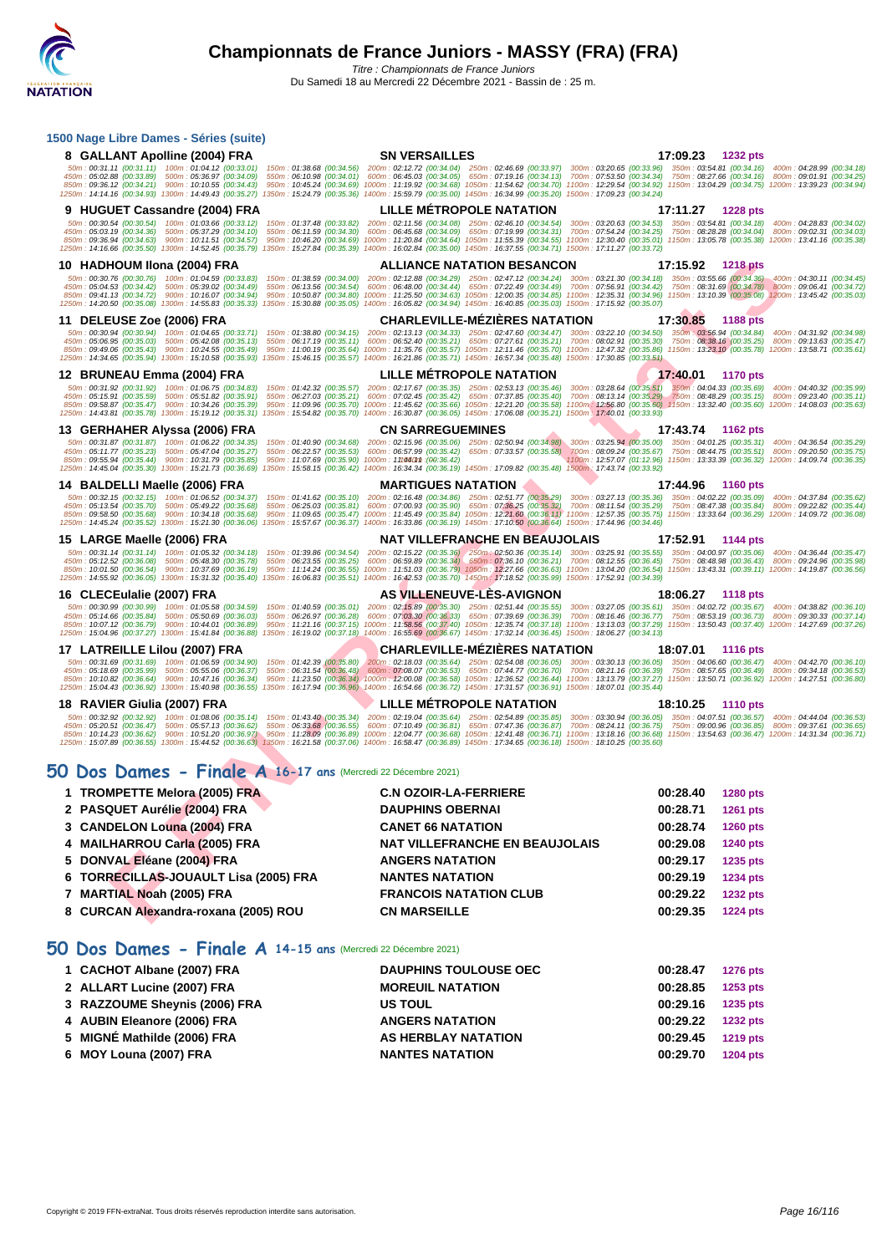| 1500 Nage Libre Dames - Séries (suite)                                                                                                                                                                                                                                                                                                                                                                                                          |                                                                                                                                                                                                                                                                                                                            |                                                                                  |
|-------------------------------------------------------------------------------------------------------------------------------------------------------------------------------------------------------------------------------------------------------------------------------------------------------------------------------------------------------------------------------------------------------------------------------------------------|----------------------------------------------------------------------------------------------------------------------------------------------------------------------------------------------------------------------------------------------------------------------------------------------------------------------------|----------------------------------------------------------------------------------|
| 8 GALLANT Apolline (2004) FRA                                                                                                                                                                                                                                                                                                                                                                                                                   | <b>SN VERSAILLES</b>                                                                                                                                                                                                                                                                                                       | 17:09.23 1232 pts                                                                |
| 50m: 00:31.11 (00:31.11) 100m: 01:04.12 (00:33.01) 150m: 01:38.68 (00:34.56) 200m: 02:12.72 (00:34.04) 250m: 02:46.69 (00:33.97) 300m: 03:20.65 (00:33.96) 350m: 03:54.81 (00:34.16) 400m: 04:28.99 (00:34.18)<br>450m: 05:02.88 (00:33.89) 500m: 05:36.97 (00:34.09)                                                                                                                                                                           | 550m : 06:10.98 (00:34.01) 600m : 06:45.03 (00:34.05) 650m : 07:19.16 (00:34.13) 700m : 07:53.50 (00:34.34) 750m : 08:27.66 (00:34.16) 800m : 09:01.91 (00:34.25)                                                                                                                                                          |                                                                                  |
| 850m: 09:36.12 (00:34.21) 900m: 10:10.55 (00:34.43) 950m: 10:45.24 (00:34.69) 1000m: 11:19.92 (00:34.68) 1050m: 11:54.62 (00:34.70) 1100m: 12:29.54 (00:34.92) 1150m: 13:04.29 (00:34.75) 1200m: 13:39.23 (00:34.94)<br>1250m: 14:14.16 (00:34.93) 1300m: 14:49.43 (00:35.27) 1350m: 15:24.79 (00:35.36) 1400m: 15:59.79 (00:35.00) 1450m: 16:34.99 (00:35.20) 1500m: 17:09.23 (00:34.24)                                                       |                                                                                                                                                                                                                                                                                                                            |                                                                                  |
| 9 HUGUET Cassandre (2004) FRA                                                                                                                                                                                                                                                                                                                                                                                                                   | <b>LILLE METROPOLE NATATION</b>                                                                                                                                                                                                                                                                                            | 17:11.27<br><b>1228 pts</b>                                                      |
| 50m: 00:30.54 (00:30.54) 100m: 01:03.66 (00:33.12) 150m: 01:37.48 (00:33.82) 200m: 02:11.56 (00:34.08) 250m: 02:46.10 (00:34.54) 300m: 03:20.63 (00:34.53) 350m: 03:54.81 (00:34.18) 400m: 04:28.83 (00:34.02)<br>450m: 05:03.19 (00:34.36) 500m: 05:37.29 (00:34.10)<br>550m: 06:11.59 (00:34.30)                                                                                                                                              | 600m: 06:45.68 (00:34.09) 650m: 07:19.99 (00:34.31) 700m: 07:54.24 (00:34.25) 750m: 08:28.28 (00:34.04) 800m: 09:02.31 (00:34.03)                                                                                                                                                                                          |                                                                                  |
| 850m: 09:36.94 (00:34.63) 900m: 10:11.51 (00:34.57)<br>1250m: 14:16.66 (00:35.50) 1300m: 14:52.45 (00:35.79) 1350m: 15:27.84 (00:35.39) 1400m: 16:02.84 (00:35.00) 1450m: 16:37.55 (00:34.71) 1500m: 17:11.27 (00:33.72)                                                                                                                                                                                                                        | 950m: 10:46.20 (00:34.69) 1000m: 11:20.84 (00:34.64) 1050m: 11:55.39 (00:34.55) 1100m: 12:30.40 (00:35.01) 1150m: 13:05.78 (00:35.38) 1200m: 13:41.16 (00:35.38)                                                                                                                                                           |                                                                                  |
| 10 HADHOUM IIona (2004) FRA                                                                                                                                                                                                                                                                                                                                                                                                                     | <b>ALLIANCE NATATION BESANCON</b>                                                                                                                                                                                                                                                                                          | 17:15.92<br>1218 pts                                                             |
| 50m: 00:30.76 (00:30.76) 100m: 01:04.59 (00:33.83) 150m: 01:38.59 (00:34.00) 200m: 02:12.88 (00:34.29) 250m: 02:47.12 (00:34.24) 300m: 03:21.30 (00:34.18) 350m: 03:55.66 (00:34.36) 400m: 04:30.11 (00:34.45)                                                                                                                                                                                                                                  |                                                                                                                                                                                                                                                                                                                            |                                                                                  |
| 450m: 05:04.53 (00:34.42) 500m: 05:39.02 (00:34.49)<br>550m: 06:13.56 (00:34.54)<br>850m: 09:41.13 (00:34.72) 900m: 10:16.07 (00:34.94)                                                                                                                                                                                                                                                                                                         | 600m: 06:48.00 (00:34.44) 650m: 07:22.49 (00:34.49) 700m: 07:56.91 (00:34.42) 750m: 08:31.69 (00:34.78) 800m: 09:06.41 (00:34.72)<br>950m: 10:50.87 (00:34.80) 1000m: 11:25.50 (00:34.63) 1050m: 12:00.35 (00:34.85) 1100m: 12:35.31 (00:34.96) 1150m: 13:10.39 (00:35.08) 1200m: 13:45.42 (00:35.03)                      |                                                                                  |
| 1250m: 14:20.50 (00:35.08) 1300m: 14:55.83 (00:35.33) 1350m: 15:30.88 (00:35.05) 1400m: 16:05.82 (00:34.94) 1450m: 16:40.85 (00:35.03) 1500m: 17:15.92 (00:35.07)                                                                                                                                                                                                                                                                               | <b>CHARLEVILLE-MEZIERES NATATION</b>                                                                                                                                                                                                                                                                                       |                                                                                  |
| 11 DELEUSE Zoe (2006) FRA<br>50m: 00:30.94 (00:30.94) 100m: 01:04.65 (00:33.71) 150m: 01:38.80 (00:34.15) 200m: 02:13.13 (00:34.33) 250m: 02:47.60 (00:34.47) 300m: 03:22.10 (00:34.50) 350m: 03:56.94 (00:34.84) 400m: 04:31.92 (00:34.98)                                                                                                                                                                                                     |                                                                                                                                                                                                                                                                                                                            | 17:30.85<br>1188 pts                                                             |
| 450m : 05:06.95 (00:35.03) 500m : 05:42.08 (00:35.13) 550m : 06:17.19 (00:35.11) 600m : 06:52.40 (00:35.21) 650m : 07:27.61 (00:35.21) 700m : 08:02.91 (00:35.30) 750m : 08:38.16 (00:35.25) 800m : 09:13.63 (00:35.47)<br>850m: 09:49.06 (00:35.43) 900m: 10:24.55 (00:35.49)                                                                                                                                                                  | 950m: 11:00.19 (00:35.64) 1000m: 11:35.76 (00:35.57) 1050m: 12:11.46 (00:35.70) 1100m: 12:47.32 (00:35.86) 1150m: 13:23.10 (00:35.78) 1200m: 13:58.71 (00:35.61)                                                                                                                                                           |                                                                                  |
| 1250m: 14:34.65 (00:35.94) 1300m: 15:10.58 (00:35.93) 1350m: 15:46.15 (00:35.57) 1400m: 16:21.86 (00:35.71) 1450m: 16:57.34 (00:35.48) 1500m: 17:30.85 (00:33.51)                                                                                                                                                                                                                                                                               |                                                                                                                                                                                                                                                                                                                            |                                                                                  |
| 12 BRUNEAU Emma (2004) FRA                                                                                                                                                                                                                                                                                                                                                                                                                      | LILLE METROPOLE NATATION                                                                                                                                                                                                                                                                                                   | 17:40.01<br><b>1170 pts</b>                                                      |
| 50m: 00:31.92 (00:31.92) 100m: 01:06.75 (00:34.83)<br>450m: 05:15.91 (00:35.59) 500m: 05:51.82 (00:35.91)                                                                                                                                                                                                                                                                                                                                       | 150m: 01:42.32 (00:35.57) 200m: 02:17.67 (00:35.35) 250m: 02:53.13 (00:35.46) 300m: 03:28.64 (00:35.51) 350m: 04:04.33 (00:35.69) 400m: 04:40.32 (00:35.99)<br>550m: 06:27.03 (00:35.21) 600m: 07:02.45 (00:35.42) 650m: 07:37.85 (00:35.40) 700m; 08:13.14 (00:35.29) 750m: 08:48.29 (00:35.15) 800m: 09:23.40 (00:35.11) |                                                                                  |
| 850m: 09:58.87 (00:35.47) 900m: 10:34.26 (00:35.39)<br>1250m: 14:43.81 (00:35.78) 1300m: 15:19.12 (00:35.31) 1350m: 15:54.82 (00:35.70) 1400m: 16:30.87 (00:36.05) 1450m: 17:06.08 (00:35.21) 1500m: 17:40.01 (00:33.93)                                                                                                                                                                                                                        | 950m: 11:09.96 (00:35.70) 1000m: 11:45.62 (00:35.66) 1050m: 12:21.20 (00:35.58) 1100m: 12:56.80 (00:35.60) 1150m: 13:32.40 (00:35.60) 1200m: 14:08.03 (00:35.63)                                                                                                                                                           |                                                                                  |
| 13 GERHAHER Alyssa (2006) FRA                                                                                                                                                                                                                                                                                                                                                                                                                   | <b>CN SARREGUEMINES</b>                                                                                                                                                                                                                                                                                                    | 17:43.74<br>1162 pts                                                             |
| 50m: 00:31.87 (00:31.87) 100m: 01:06.22 (00:34.35)<br>150m: 01:40.90 (00:34.68)<br>450m: 05:11.77 (00:35.23) 500m: 05:47.04 (00:35.27)<br>550m: 06:22.57 (00:35.53)                                                                                                                                                                                                                                                                             | 200m: 02:15.96 (00:35.06) 250m: 02:50.94 (00:34.98) 300m: 03:25.94 (00:35.00) 350m: 04:01.25 (00:35.31) 400m: 04:36.54 (00:35.29)<br>600m: 06:57.99 (00:35.42) 650m: 07:33.57 (00:35.58) 700m: 08:09.24 (00:35.67) 750m: 08:44.75 (00:35.51) 800m: 09:20.50 (00:35.75)                                                     |                                                                                  |
| 950m: 11:07.69 (00:35.90) 1000m: 11:0400m: (00:36.42)<br>850m: 09:55.94 (00:35.44) 900m: 10:31.79 (00:35.85)<br>1250m: 14:45.04 (00:35.30) 1300m: 15:21.73 (00:36.69) 1350m: 15:58.15 (00:36.42) 1400m: 16:34.34 (00:36.19) 1450m: 17:09.82 (00:35.48) 1500m; 17:43.74 (00:33.92)                                                                                                                                                               |                                                                                                                                                                                                                                                                                                                            | 1100m: 12:57.07 (01:12.96) 1150m: 13:33.39 (00:36.32) 1200m: 14:09.74 (00:36.35) |
| 14 BALDELLI Maelle (2006) FRA                                                                                                                                                                                                                                                                                                                                                                                                                   | <b>MARTIGUES NATATION</b>                                                                                                                                                                                                                                                                                                  | 17:44.96<br>1160 pts                                                             |
| 50m: 00:32.15 (00:32.15) 100m: 01:06.52 (00:34.37) 150m: 01:41.62 (00:35.10) 200m: 02:16.48 (00:34.86) 250m: 02:51.77 (00:35.29) 300m: 03:27.13 (00:35.36) 350m: 04:02.22 (00:35.09) 400m: 04:37.84 (00:36.62)                                                                                                                                                                                                                                  |                                                                                                                                                                                                                                                                                                                            |                                                                                  |
| 450m: 05:13.54 (00:35.70) 500m: 05:49.22 (00:35.68)<br>850m : 09:58.50 (00:35.68) 900m : 10:34.18 (00:35.68) 950m : 11:09.65 (00:35.47) 1000m : 11:45.49 (00:35.84) 1050m : 12:21.60 (00:36.11) 1100m : 12:57.35 (00:35.75) 1150m : 13:33.64 (00:36.29) 1200m : 14:09.72 (00:36.08)                                                                                                                                                             | 550m: 06:25.03 (00:35.81) 600m: 07:00.93 (00:35.90) 650m: 07:36.25 (00:35.32) 700m: 08:11.54 (00:35.29) 750m: 08:47.38 (00:35.84) 800m: 09:22.82 (00:35.44)                                                                                                                                                                |                                                                                  |
| 1250m: 14:45.24 (00:35.52) 1300m: 15:21.30 (00:36.06) 1350m: 15:57.67 (00:36.37) 1400m: 16:33.86 (00:36.19) 1450m: 17:10.50 (00:36.64) 1500m: 17:44.96 (00:34.46)                                                                                                                                                                                                                                                                               |                                                                                                                                                                                                                                                                                                                            |                                                                                  |
| 15 LARGE Maelle (2006) FRA<br>50m: 00:31.14 (00:31.14) 100m: 01:05.32 (00:34.18) 150m: 01:39.86 (00:34.54)                                                                                                                                                                                                                                                                                                                                      | <b>NAT VILLEFRANCHE EN BEAUJOLAIS</b><br>200m: 02:15.22 (00:35.36) 250m: 02:50.36 (00:35.14) 300m: 03:25.91 (00:35.55) 350m: 04:00.97 (00:35.06) 400m: 04:36.44 (00:35.47)                                                                                                                                                 | 17:52.91<br>1144 pts                                                             |
| 450m: 05:12.52 (00:36.08) 500m: 05:48.30 (00:35.78) 550m: 06:23.55 (00:35.25)<br>850m: 10:01.50 (00:36.54) 900m: 10:37.69 (00:36.19) 950m: 11:14.24 (00:36.55) 1000m: 11:51.03 (00:36.79) 1050m: 12:27.66 (00:36.63) 1100m: 13:04.20 (00:36.54) 1150m: 13:43.31 (00:39.11) 1200m: 14:19.87 (00:36.56)                                                                                                                                           | 600m: 06:59.89 (00:36.34) 650m: 07:36.10 (00:36.21) 700m: 08:12.55 (00:36.45) 750m: 08:48.98 (00:36.43) 800m: 09:24.96 (00:35.98)                                                                                                                                                                                          |                                                                                  |
| 1250m: 14:55.92 (00:36.05) 1300m: 15:31.32 (00:35.40) 1350m: 16:06.83 (00:35.51) 1400m: 16:42.53 (00:35.70) 1450m: 17:18.52 (00:35.99) 1500m: 17:52.91 (00:34.39)                                                                                                                                                                                                                                                                               |                                                                                                                                                                                                                                                                                                                            |                                                                                  |
|                                                                                                                                                                                                                                                                                                                                                                                                                                                 |                                                                                                                                                                                                                                                                                                                            |                                                                                  |
| 16 CLECEulalie (2007) FRA                                                                                                                                                                                                                                                                                                                                                                                                                       | <b>AS VILLENEUVE-LES-AVIGNON</b>                                                                                                                                                                                                                                                                                           | 18:06.27 1118 pts                                                                |
| 50m: 00:30.99 (00:30.99) 100m: 01:05.58 (00:34.59) 150m: 01:40.59 (00:35.01) 200m: 02:15.89 (00:35.30) 250m: 02:51.44 (00:35.55) 300m: 03:27.05 (00:35.61) 350m: 04:02.72 (00:35.67) 400m: 04:38.82 (00:36.10)<br>450m: 05:14.66 (00:35.84) 500m: 05:50.69 (00:36.03)<br>550m: 06:26.97 (00:36.28)                                                                                                                                              | 600m: 07:03.30 (00:36.33) 650m: 07:39.69 (00:36.39) 700m: 08:16.46 (00:36.77) 750m: 08:53.19 (00:36.73) 800m: 09:30.33 (00:37.14)                                                                                                                                                                                          |                                                                                  |
| 850m: 10:07.12 (00:36.79) 900m: 10:44.01 (00:36.89)<br>1250m: 15:04.96 (00:37.27) 1300m: 15:41.84 (00:36.88) 1350m: 16:19.02 (00:37.18) 1400m: 16:55.69 (00:36.67) 1450m: 17:32.14 (00:36.45) 1500m: 18:06.27 (00:34.13)                                                                                                                                                                                                                        | 950m: 11:21.16 (00:37.15) 1000m: 11:58.56 (00:37.40) 1050m: 12:35.74 (00:37.18) 1100m: 13:13.03 (00:37.29) 1150m: 13:50.43 (00:37.40) 1200m: 14:27.69 (00:37.26)                                                                                                                                                           |                                                                                  |
| 17 LATREILLE Lilou (2007) FRA                                                                                                                                                                                                                                                                                                                                                                                                                   | <b>CHARLEVILLE-MÉZIÈRES NATATION</b>                                                                                                                                                                                                                                                                                       | 18:07.01<br>1116 pts                                                             |
| 50m : 00:31.69 (00:31.69) 100m : 01:06.59 (00:34.90) 150m : 01:42.39 (00:35.80) 200m : 02:18.03 (00:35.64) 250m : 02:54.08 (00:36.05) 300m : 03:30.13 (00:36.05) 350m : 04:06.60 (00:36.47) 400m : 04:42.70 (00:36.10)<br>450m: 05:18.69 (00:35.99) 500m: 05:55.06 (00:36.37)                                                                                                                                                                   | 550m: 06:31.54 (00:36.48) 600m: 07:08.07 (00:36.53) 650m: 07:44.77 (00:36.70) 700m: 08:21.16 (00:36.39) 750m: 08:57.65 (00:36.49) 800m: 09:34.18 (00:36.53)                                                                                                                                                                |                                                                                  |
| 850m: 10:10.82 (00:36.64) 900m: 10:47.16 (00:36.34)<br>1250m: 15:04.43 (00:36.92) 1300m: 15:40.98 (00:36.55) 1350m: 16:17.94 (00:36.96) 1400m: 16:54.66 (00:36.72) 1450m: 17:31.57 (00:36.91) 1500m: 18:07.01 (00:35.44)                                                                                                                                                                                                                        | 950m: 11:23.50 (00:36.34) 1000m: 12:00.08 (00:36.58) 1050m: 12:36.52 (00:36.44) 1100m: 13:13.79 (00:37.27) 1150m: 13:50.71 (00:36.92) 1200m: 14:27.51 (00:36.80)                                                                                                                                                           |                                                                                  |
| 18 RAVIER Giulia (2007) FRA                                                                                                                                                                                                                                                                                                                                                                                                                     | <b>LILLE METROPOLE NATATION</b>                                                                                                                                                                                                                                                                                            | 18:10.25<br>1110 pts                                                             |
| 50m: 00:32.92 (00:32.92) 100m: 01:08.06 (00:35.14) 150m: 01:43.40 (00:35.34) 200m: 02:19.04 (00:35.64) 250m: 02:54.89 (00:35.55) 300m: 03:30.94 (00:36.05) 350m: 04:07.51 (00:36.57) 400m: 04:44.04 (00:36.53)                                                                                                                                                                                                                                  |                                                                                                                                                                                                                                                                                                                            |                                                                                  |
| 450m : 05:20.51 (00:36.47) 500m : 05:57.13 (00:36.62) 550m : 06:33.68 (00:36.55) 600m : 07:10.49 (00:36.81) 650m : 07:47.36 (00:36.87) 700m : 08:24.11 (00:36.75) 750m : 09:00.96 (00:36.85) 800m : 09:37.61 (00:36.65)<br>850m: 10:14.23 (00:36.62) 900m: 10:51.20 (00:36.97) 950m: 11:28,09 (00:36.89) 1000m: 12:04.77 (00:36.68) 1050m: 12:41.48 (00:36.71) 1100m: 13:18.16 (00:36.68) 1150m: 13:54.63 (00:36.47) 1200m: 14:31.34 (00:36.71) |                                                                                                                                                                                                                                                                                                                            |                                                                                  |
| 1250m: 15:07.89 (00:36.55) 1300m: 15:44.52 (00:36.63) 1350m: 16:21.58 (00:37.06) 1400m: 16:58.47 (00:36.89) 1450m: 17:34.65 (00:36.18) 1500m: 18:10.25 (00:36.60)                                                                                                                                                                                                                                                                               |                                                                                                                                                                                                                                                                                                                            |                                                                                  |
| 50 Dos Dames - Finale A 16-17 ans (Mercredi 22 Décembre 2021)                                                                                                                                                                                                                                                                                                                                                                                   |                                                                                                                                                                                                                                                                                                                            |                                                                                  |
| 1 TROMPETTE Melora (2005) FRA                                                                                                                                                                                                                                                                                                                                                                                                                   | <b>C.N OZOIR-LA-FERRIERE</b>                                                                                                                                                                                                                                                                                               | 00:28.40<br><b>1280 pts</b>                                                      |
|                                                                                                                                                                                                                                                                                                                                                                                                                                                 | <b>DAUPHINS OBERNAI</b>                                                                                                                                                                                                                                                                                                    | <b>1261 pts</b>                                                                  |
| 2 PASQUET Aurélie (2004) FRA<br>3 CANDELON Louna (2004) FRA                                                                                                                                                                                                                                                                                                                                                                                     | <b>CANET 66 NATATION</b>                                                                                                                                                                                                                                                                                                   | 00:28.71<br>00:28.74<br><b>1260 pts</b>                                          |
| 4 MAILHARROU Carla (2005) FRA                                                                                                                                                                                                                                                                                                                                                                                                                   | NAT VILLEFRANCHE EN BEAUJOLAIS                                                                                                                                                                                                                                                                                             | 00:29.08<br><b>1240 pts</b>                                                      |
| 5 DONVAL Eléane (2004) FRA                                                                                                                                                                                                                                                                                                                                                                                                                      | <b>ANGERS NATATION</b>                                                                                                                                                                                                                                                                                                     | 00:29.17<br>1235 pts                                                             |
| 6 TORRECILLAS-JOUAULT Lisa (2005) FRA                                                                                                                                                                                                                                                                                                                                                                                                           | <b>NANTES NATATION</b>                                                                                                                                                                                                                                                                                                     | 00:29.19<br><b>1234 pts</b>                                                      |
| 7 MARTIAL Noah (2005) FRA                                                                                                                                                                                                                                                                                                                                                                                                                       | <b>FRANCOIS NATATION CLUB</b>                                                                                                                                                                                                                                                                                              | 00:29.22<br><b>1232 pts</b>                                                      |
| 8 CURCAN Alexandra-roxana (2005) ROU                                                                                                                                                                                                                                                                                                                                                                                                            | CN MARSEILLE                                                                                                                                                                                                                                                                                                               | 00:29.35<br><b>1224 pts</b>                                                      |

## **50 Dos Dames - Finale A 16-17 ans** (Mercredi 22 Décembre 2021)

| 1 TROMPETTE Melora (2005) FRA         | <b>C.N OZOIR-LA-FERRIERE</b>   | 00:28.40 | <b>1280 pts</b> |
|---------------------------------------|--------------------------------|----------|-----------------|
| 2 PASQUET Aurélie (2004) FRA          | <b>DAUPHINS OBERNAI</b>        | 00:28.71 | <b>1261 pts</b> |
| 3 CANDELON Louna (2004) FRA           | <b>CANET 66 NATATION</b>       | 00:28.74 | <b>1260 pts</b> |
| 4 MAILHARROU Carla (2005) FRA         | NAT VILLEFRANCHE EN BEAUJOLAIS | 00:29.08 | <b>1240 pts</b> |
| 5 DONVAL Eléane (2004) FRA            | <b>ANGERS NATATION</b>         | 00:29.17 | 1235 pts        |
| 6 TORRECILLAS-JOUAULT Lisa (2005) FRA | <b>NANTES NATATION</b>         | 00:29.19 | <b>1234 pts</b> |
| 7 MARTIAL Noah (2005) FRA             | <b>FRANCOIS NATATION CLUB</b>  | 00:29.22 | <b>1232 pts</b> |
| 8 CURCAN Alexandra-roxana (2005) ROU  | <b>CN MARSEILLE</b>            | 00:29.35 | <b>1224 pts</b> |

### **50 Dos Dames - Finale A 14-15 ans** (Mercredi 22 Décembre 2021)

| 1 CACHOT Albane (2007) FRA    | <b>DAUPHINS TOULOUSE OEC</b> | 00:28.47 | <b>1276 pts</b> |
|-------------------------------|------------------------------|----------|-----------------|
| 2 ALLART Lucine (2007) FRA    | <b>MOREUIL NATATION</b>      | 00:28.85 | 1253 pts        |
| 3 RAZZOUME Sheynis (2006) FRA | US TOUL                      | 00:29.16 | 1235 pts        |
| 4 AUBIN Eleanore (2006) FRA   | <b>ANGERS NATATION</b>       | 00:29.22 | <b>1232 pts</b> |
| 5 MIGNÉ Mathilde (2006) FRA   | AS HERBLAY NATATION          | 00:29.45 | <b>1219 pts</b> |
| 6 MOY Louna (2007) FRA        | <b>NANTES NATATION</b>       | 00:29.70 | <b>1204 pts</b> |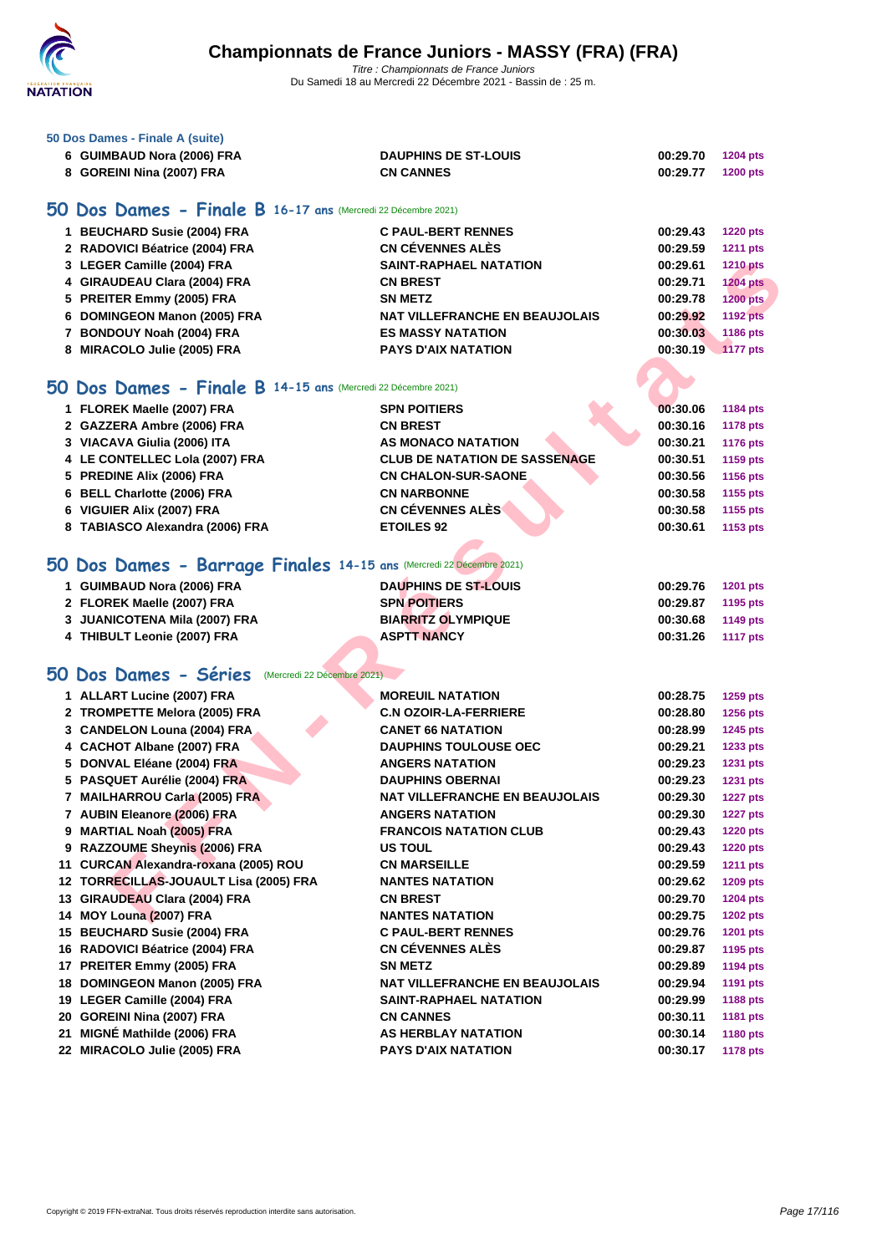

### **[50 Dos D](http://www.ffnatation.fr/webffn/index.php)ames - Finale A (suite)**

| 6 GUIMBAUD Nora (2006) FRA | <b>DAUPHINS DE ST-LOUIS</b> | 00:29.70 | 1204 pts        |
|----------------------------|-----------------------------|----------|-----------------|
| 8 GOREINI Nina (2007) FRA  | <b>CN CANNES</b>            | 00:29.77 | <b>1200 pts</b> |

## **50 Dos Dames - Finale B 16-17 ans** (Mercredi 22 Décembre 2021)

| 1 BEUCHARD Susie (2004) FRA    | <b>C PAUL-BERT RENNES</b>      | 00:29.43 | <b>1220 pts</b> |
|--------------------------------|--------------------------------|----------|-----------------|
| 2 RADOVICI Béatrice (2004) FRA | <b>CN CÉVENNES ALÈS</b>        | 00:29.59 | <b>1211 pts</b> |
| 3 LEGER Camille (2004) FRA     | <b>SAINT-RAPHAEL NATATION</b>  | 00:29.61 | <b>1210 pts</b> |
| 4 GIRAUDEAU Clara (2004) FRA   | <b>CN BREST</b>                | 00:29.71 | <b>1204 pts</b> |
| 5 PREITER Emmy (2005) FRA      | <b>SN METZ</b>                 | 00:29.78 | <b>1200 pts</b> |
| 6 DOMINGEON Manon (2005) FRA   | NAT VILLEFRANCHE EN BEAUJOLAIS | 00:29.92 | <b>1192 pts</b> |
| 7 BONDOUY Noah (2004) FRA      | <b>ES MASSY NATATION</b>       | 00:30.03 | 1186 pts        |
| 8 MIRACOLO Julie (2005) FRA    | <b>PAYS D'AIX NATATION</b>     | 00:30.19 | 1177 pts        |

### **50 Dos Dames - Finale B 14-15 ans** (Mercredi 22 Décembre 2021)

| 1 FLOREK Maelle (2007) FRA      | <b>SPN POITIERS</b>                  | 00:30.06 | <b>1184 pts</b> |
|---------------------------------|--------------------------------------|----------|-----------------|
| 2 GAZZERA Ambre (2006) FRA      | <b>CN BREST</b>                      | 00:30.16 | <b>1178 pts</b> |
| 3 VIACAVA Giulia (2006) ITA     | AS MONACO NATATION                   | 00:30.21 | <b>1176 pts</b> |
| 4 LE CONTELLEC Lola (2007) FRA  | <b>CLUB DE NATATION DE SASSENAGE</b> | 00:30.51 | 1159 pts        |
| 5 PREDINE Alix (2006) FRA       | <b>CN CHALON-SUR-SAONE</b>           | 00:30.56 | 1156 pts        |
| 6 BELL Charlotte (2006) FRA     | <b>CN NARBONNE</b>                   | 00:30.58 | 1155 pts        |
| 6 VIGUIER Alix (2007) FRA       | <b>CN CÉVENNES ALÈS</b>              | 00:30.58 | 1155 pts        |
| 8 TABIASCO Alexandra (2006) FRA | <b>ETOILES 92</b>                    | 00:30.61 | 1153 pts        |
|                                 |                                      |          |                 |

### **50 Dos Dames - Barrage Finales 14-15 ans** (Mercredi 22 Décembre 2021)

| 1 GUIMBAUD Nora (2006) FRA    | <b>DAUPHINS DE ST-LOUIS</b> | 00:29.76<br><b>1201 pts</b> |
|-------------------------------|-----------------------------|-----------------------------|
| 2 FLOREK Maelle (2007) FRA    | <b>SPN POITIERS</b>         | 00:29.87<br>1195 pts        |
| 3 JUANICOTENA Mila (2007) FRA | <b>BIARRITZ OLYMPIQUE</b>   | 1149 pts<br>00:30.68        |
| 4 THIBULT Leonie (2007) FRA   | <b>ASPTT NANCY</b>          | 00:31.26<br>1117 pts        |

### **50 Dos Dames - Séries** (Mercredi 22 Décembre 2021)

| 4 GIRAUDEAU Clara (2004) FRA<br><b>CN BREST</b><br>00:29.71<br><b>1204 pts</b><br>5 PREITER Emmy (2005) FRA<br>00:29.78<br><b>1200 pts</b><br><b>SN METZ</b><br><b>NAT VILLEFRANCHE EN BEAUJOLAIS</b><br>6 DOMINGEON Manon (2005) FRA<br>00:29.92<br><b>1192 pts</b><br>7 BONDOUY Noah (2004) FRA<br><b>ES MASSY NATATION</b><br>00:30.03<br>1186 pts<br>8 MIRACOLO Julie (2005) FRA<br><b>PAYS D'AIX NATATION</b><br>00:30.19<br><b>1177 pts</b><br>O Dos Dames - Finale B 14-15 ans (Mercredi 22 Décembre 2021)<br>1 FLOREK Maelle (2007) FRA<br><b>SPN POITIERS</b><br>00:30.06<br><b>1184 pts</b><br>2 GAZZERA Ambre (2006) FRA<br><b>CN BREST</b><br>00:30.16<br><b>1178 pts</b><br>3 VIACAVA Giulia (2006) ITA<br><b>AS MONACO NATATION</b><br>00:30.21<br><b>1176 pts</b><br><b>CLUB DE NATATION DE SASSENAGE</b><br>4 LE CONTELLEC Lola (2007) FRA<br>00:30.51<br>1159 pts<br>5 PREDINE Alix (2006) FRA<br><b>CN CHALON-SUR-SAONE</b><br>00:30.56<br>1156 pts<br>6 BELL Charlotte (2006) FRA<br><b>CN NARBONNE</b><br>00:30.58<br>1155 pts<br><b>CN CÉVENNES ALÈS</b><br>6 VIGUIER Alix (2007) FRA<br>00:30.58<br>1155 pts<br>8 TABIASCO Alexandra (2006) FRA<br><b>ETOILES 92</b><br>00:30.61<br>1153 pts<br>O Dos Dames - Barrage Finales 14-15 ans (Mercredi 22 Décembre 2021)<br>1 GUIMBAUD Nora (2006) FRA<br><b>DAUPHINS DE ST-LOUIS</b><br>00:29.76<br><b>1201 pts</b><br>2 FLOREK Maelle (2007) FRA<br><b>SPN POITIERS</b><br>00:29.87<br>1195 pts<br><b>BIARRITZ OLYMPIQUE</b><br>3 JUANICOTENA Mila (2007) FRA<br>00:30.68<br>1149 pts<br>4 THIBULT Leonie (2007) FRA<br><b>ASPTT NANCY</b><br>00:31.26<br><b>1117 pts</b><br>iO Dos Dames - Séries<br>(Mercredi 22 Décembre 2021)<br>1 ALLART Lucine (2007) FRA<br><b>MOREUIL NATATION</b><br>00:28.75<br><b>1259 pts</b><br>2 TROMPETTE Melora (2005) FRA<br><b>C.N OZOIR-LA-FERRIERE</b><br>00:28.80<br><b>1256 pts</b><br>3 CANDELON Louna (2004) FRA<br><b>CANET 66 NATATION</b><br>00:28.99<br>1245 pts<br>4 CACHOT Albane (2007) FRA<br><b>DAUPHINS TOULOUSE OEC</b><br>00:29.21<br>1233 pts<br>5 DONVAL Eléane (2004) FRA<br><b>ANGERS NATATION</b><br>00:29.23<br><b>1231 pts</b><br>5 PASQUET Aurélie (2004) FRA<br><b>DAUPHINS OBERNAI</b><br>00:29.23<br>1231 pts<br>7 MAILHARROU Carla (2005) FRA<br><b>NAT VILLEFRANCHE EN BEAUJOLAIS</b><br>00:29.30<br><b>1227 pts</b><br>7 AUBIN Eleanore (2006) FRA<br><b>ANGERS NATATION</b><br>00:29.30<br><b>1227 pts</b><br>9 MARTIAL Noah (2005) FRA<br><b>FRANCOIS NATATION CLUB</b><br>00:29.43<br><b>1220 pts</b><br>9 RAZZOUME Sheynis (2006) FRA<br><b>US TOUL</b><br>00:29.43<br><b>1220 pts</b><br>11 CURCAN Alexandra-roxana (2005) ROU<br><b>CN MARSEILLE</b><br>00:29.59<br><b>1211 pts</b><br>12 TORRECILLAS-JOUAULT Lisa (2005) FRA<br><b>NANTES NATATION</b><br>00:29.62<br><b>1209 pts</b><br>13 GIRAUDEAU Clara (2004) FRA<br><b>CN BREST</b><br>00:29.70<br>1204 pts<br>14 MOY Louna (2007) FRA<br><b>NANTES NATATION</b><br>00:29.75<br><b>1202 pts</b><br>15 BEUCHARD Susie (2004) FRA<br><b>C PAUL-BERT RENNES</b><br>00:29.76<br><b>1201 pts</b><br>CN CÉVENNES ALÈS<br>16 RADOVICI Béatrice (2004) FRA<br>00:29.87<br>1195 pts<br>17 PREITER Emmy (2005) FRA<br><b>SN METZ</b><br>00:29.89<br><b>1194 pts</b><br>18 DOMINGEON Manon (2005) FRA<br><b>NAT VILLEFRANCHE EN BEAUJOLAIS</b><br>00:29.94<br><b>1191 pts</b><br>19 LEGER Camille (2004) FRA<br><b>SAINT-RAPHAEL NATATION</b><br>00:29.99<br>1188 pts<br>20 GOREINI Nina (2007) FRA<br><b>CN CANNES</b><br>00:30.11<br>1181 pts<br>21 MIGNÉ Mathilde (2006) FRA<br>00:30.14<br>AS HERBLAY NATATION<br><b>1180 pts</b><br>22 MIRACOLO Julie (2005) FRA<br><b>PAYS D'AIX NATATION</b><br>00:30.17<br><b>1178 pts</b> | 3 LEGER Camille (2004) FRA | <b>SAINT-RAPHAEL NATATION</b> | 00:29.61 | <b>1210 pts</b> |
|---------------------------------------------------------------------------------------------------------------------------------------------------------------------------------------------------------------------------------------------------------------------------------------------------------------------------------------------------------------------------------------------------------------------------------------------------------------------------------------------------------------------------------------------------------------------------------------------------------------------------------------------------------------------------------------------------------------------------------------------------------------------------------------------------------------------------------------------------------------------------------------------------------------------------------------------------------------------------------------------------------------------------------------------------------------------------------------------------------------------------------------------------------------------------------------------------------------------------------------------------------------------------------------------------------------------------------------------------------------------------------------------------------------------------------------------------------------------------------------------------------------------------------------------------------------------------------------------------------------------------------------------------------------------------------------------------------------------------------------------------------------------------------------------------------------------------------------------------------------------------------------------------------------------------------------------------------------------------------------------------------------------------------------------------------------------------------------------------------------------------------------------------------------------------------------------------------------------------------------------------------------------------------------------------------------------------------------------------------------------------------------------------------------------------------------------------------------------------------------------------------------------------------------------------------------------------------------------------------------------------------------------------------------------------------------------------------------------------------------------------------------------------------------------------------------------------------------------------------------------------------------------------------------------------------------------------------------------------------------------------------------------------------------------------------------------------------------------------------------------------------------------------------------------------------------------------------------------------------------------------------------------------------------------------------------------------------------------------------------------------------------------------------------------------------------------------------------------------------------------------------------------------------------------------------------------------------------------------------------------------------------------------------------------------------------------------------------------------|----------------------------|-------------------------------|----------|-----------------|
|                                                                                                                                                                                                                                                                                                                                                                                                                                                                                                                                                                                                                                                                                                                                                                                                                                                                                                                                                                                                                                                                                                                                                                                                                                                                                                                                                                                                                                                                                                                                                                                                                                                                                                                                                                                                                                                                                                                                                                                                                                                                                                                                                                                                                                                                                                                                                                                                                                                                                                                                                                                                                                                                                                                                                                                                                                                                                                                                                                                                                                                                                                                                                                                                                                                                                                                                                                                                                                                                                                                                                                                                                                                                                                                           |                            |                               |          |                 |
|                                                                                                                                                                                                                                                                                                                                                                                                                                                                                                                                                                                                                                                                                                                                                                                                                                                                                                                                                                                                                                                                                                                                                                                                                                                                                                                                                                                                                                                                                                                                                                                                                                                                                                                                                                                                                                                                                                                                                                                                                                                                                                                                                                                                                                                                                                                                                                                                                                                                                                                                                                                                                                                                                                                                                                                                                                                                                                                                                                                                                                                                                                                                                                                                                                                                                                                                                                                                                                                                                                                                                                                                                                                                                                                           |                            |                               |          |                 |
|                                                                                                                                                                                                                                                                                                                                                                                                                                                                                                                                                                                                                                                                                                                                                                                                                                                                                                                                                                                                                                                                                                                                                                                                                                                                                                                                                                                                                                                                                                                                                                                                                                                                                                                                                                                                                                                                                                                                                                                                                                                                                                                                                                                                                                                                                                                                                                                                                                                                                                                                                                                                                                                                                                                                                                                                                                                                                                                                                                                                                                                                                                                                                                                                                                                                                                                                                                                                                                                                                                                                                                                                                                                                                                                           |                            |                               |          |                 |
|                                                                                                                                                                                                                                                                                                                                                                                                                                                                                                                                                                                                                                                                                                                                                                                                                                                                                                                                                                                                                                                                                                                                                                                                                                                                                                                                                                                                                                                                                                                                                                                                                                                                                                                                                                                                                                                                                                                                                                                                                                                                                                                                                                                                                                                                                                                                                                                                                                                                                                                                                                                                                                                                                                                                                                                                                                                                                                                                                                                                                                                                                                                                                                                                                                                                                                                                                                                                                                                                                                                                                                                                                                                                                                                           |                            |                               |          |                 |
|                                                                                                                                                                                                                                                                                                                                                                                                                                                                                                                                                                                                                                                                                                                                                                                                                                                                                                                                                                                                                                                                                                                                                                                                                                                                                                                                                                                                                                                                                                                                                                                                                                                                                                                                                                                                                                                                                                                                                                                                                                                                                                                                                                                                                                                                                                                                                                                                                                                                                                                                                                                                                                                                                                                                                                                                                                                                                                                                                                                                                                                                                                                                                                                                                                                                                                                                                                                                                                                                                                                                                                                                                                                                                                                           |                            |                               |          |                 |
|                                                                                                                                                                                                                                                                                                                                                                                                                                                                                                                                                                                                                                                                                                                                                                                                                                                                                                                                                                                                                                                                                                                                                                                                                                                                                                                                                                                                                                                                                                                                                                                                                                                                                                                                                                                                                                                                                                                                                                                                                                                                                                                                                                                                                                                                                                                                                                                                                                                                                                                                                                                                                                                                                                                                                                                                                                                                                                                                                                                                                                                                                                                                                                                                                                                                                                                                                                                                                                                                                                                                                                                                                                                                                                                           |                            |                               |          |                 |
|                                                                                                                                                                                                                                                                                                                                                                                                                                                                                                                                                                                                                                                                                                                                                                                                                                                                                                                                                                                                                                                                                                                                                                                                                                                                                                                                                                                                                                                                                                                                                                                                                                                                                                                                                                                                                                                                                                                                                                                                                                                                                                                                                                                                                                                                                                                                                                                                                                                                                                                                                                                                                                                                                                                                                                                                                                                                                                                                                                                                                                                                                                                                                                                                                                                                                                                                                                                                                                                                                                                                                                                                                                                                                                                           |                            |                               |          |                 |
|                                                                                                                                                                                                                                                                                                                                                                                                                                                                                                                                                                                                                                                                                                                                                                                                                                                                                                                                                                                                                                                                                                                                                                                                                                                                                                                                                                                                                                                                                                                                                                                                                                                                                                                                                                                                                                                                                                                                                                                                                                                                                                                                                                                                                                                                                                                                                                                                                                                                                                                                                                                                                                                                                                                                                                                                                                                                                                                                                                                                                                                                                                                                                                                                                                                                                                                                                                                                                                                                                                                                                                                                                                                                                                                           |                            |                               |          |                 |
|                                                                                                                                                                                                                                                                                                                                                                                                                                                                                                                                                                                                                                                                                                                                                                                                                                                                                                                                                                                                                                                                                                                                                                                                                                                                                                                                                                                                                                                                                                                                                                                                                                                                                                                                                                                                                                                                                                                                                                                                                                                                                                                                                                                                                                                                                                                                                                                                                                                                                                                                                                                                                                                                                                                                                                                                                                                                                                                                                                                                                                                                                                                                                                                                                                                                                                                                                                                                                                                                                                                                                                                                                                                                                                                           |                            |                               |          |                 |
|                                                                                                                                                                                                                                                                                                                                                                                                                                                                                                                                                                                                                                                                                                                                                                                                                                                                                                                                                                                                                                                                                                                                                                                                                                                                                                                                                                                                                                                                                                                                                                                                                                                                                                                                                                                                                                                                                                                                                                                                                                                                                                                                                                                                                                                                                                                                                                                                                                                                                                                                                                                                                                                                                                                                                                                                                                                                                                                                                                                                                                                                                                                                                                                                                                                                                                                                                                                                                                                                                                                                                                                                                                                                                                                           |                            |                               |          |                 |
|                                                                                                                                                                                                                                                                                                                                                                                                                                                                                                                                                                                                                                                                                                                                                                                                                                                                                                                                                                                                                                                                                                                                                                                                                                                                                                                                                                                                                                                                                                                                                                                                                                                                                                                                                                                                                                                                                                                                                                                                                                                                                                                                                                                                                                                                                                                                                                                                                                                                                                                                                                                                                                                                                                                                                                                                                                                                                                                                                                                                                                                                                                                                                                                                                                                                                                                                                                                                                                                                                                                                                                                                                                                                                                                           |                            |                               |          |                 |
|                                                                                                                                                                                                                                                                                                                                                                                                                                                                                                                                                                                                                                                                                                                                                                                                                                                                                                                                                                                                                                                                                                                                                                                                                                                                                                                                                                                                                                                                                                                                                                                                                                                                                                                                                                                                                                                                                                                                                                                                                                                                                                                                                                                                                                                                                                                                                                                                                                                                                                                                                                                                                                                                                                                                                                                                                                                                                                                                                                                                                                                                                                                                                                                                                                                                                                                                                                                                                                                                                                                                                                                                                                                                                                                           |                            |                               |          |                 |
|                                                                                                                                                                                                                                                                                                                                                                                                                                                                                                                                                                                                                                                                                                                                                                                                                                                                                                                                                                                                                                                                                                                                                                                                                                                                                                                                                                                                                                                                                                                                                                                                                                                                                                                                                                                                                                                                                                                                                                                                                                                                                                                                                                                                                                                                                                                                                                                                                                                                                                                                                                                                                                                                                                                                                                                                                                                                                                                                                                                                                                                                                                                                                                                                                                                                                                                                                                                                                                                                                                                                                                                                                                                                                                                           |                            |                               |          |                 |
|                                                                                                                                                                                                                                                                                                                                                                                                                                                                                                                                                                                                                                                                                                                                                                                                                                                                                                                                                                                                                                                                                                                                                                                                                                                                                                                                                                                                                                                                                                                                                                                                                                                                                                                                                                                                                                                                                                                                                                                                                                                                                                                                                                                                                                                                                                                                                                                                                                                                                                                                                                                                                                                                                                                                                                                                                                                                                                                                                                                                                                                                                                                                                                                                                                                                                                                                                                                                                                                                                                                                                                                                                                                                                                                           |                            |                               |          |                 |
|                                                                                                                                                                                                                                                                                                                                                                                                                                                                                                                                                                                                                                                                                                                                                                                                                                                                                                                                                                                                                                                                                                                                                                                                                                                                                                                                                                                                                                                                                                                                                                                                                                                                                                                                                                                                                                                                                                                                                                                                                                                                                                                                                                                                                                                                                                                                                                                                                                                                                                                                                                                                                                                                                                                                                                                                                                                                                                                                                                                                                                                                                                                                                                                                                                                                                                                                                                                                                                                                                                                                                                                                                                                                                                                           |                            |                               |          |                 |
|                                                                                                                                                                                                                                                                                                                                                                                                                                                                                                                                                                                                                                                                                                                                                                                                                                                                                                                                                                                                                                                                                                                                                                                                                                                                                                                                                                                                                                                                                                                                                                                                                                                                                                                                                                                                                                                                                                                                                                                                                                                                                                                                                                                                                                                                                                                                                                                                                                                                                                                                                                                                                                                                                                                                                                                                                                                                                                                                                                                                                                                                                                                                                                                                                                                                                                                                                                                                                                                                                                                                                                                                                                                                                                                           |                            |                               |          |                 |
|                                                                                                                                                                                                                                                                                                                                                                                                                                                                                                                                                                                                                                                                                                                                                                                                                                                                                                                                                                                                                                                                                                                                                                                                                                                                                                                                                                                                                                                                                                                                                                                                                                                                                                                                                                                                                                                                                                                                                                                                                                                                                                                                                                                                                                                                                                                                                                                                                                                                                                                                                                                                                                                                                                                                                                                                                                                                                                                                                                                                                                                                                                                                                                                                                                                                                                                                                                                                                                                                                                                                                                                                                                                                                                                           |                            |                               |          |                 |
|                                                                                                                                                                                                                                                                                                                                                                                                                                                                                                                                                                                                                                                                                                                                                                                                                                                                                                                                                                                                                                                                                                                                                                                                                                                                                                                                                                                                                                                                                                                                                                                                                                                                                                                                                                                                                                                                                                                                                                                                                                                                                                                                                                                                                                                                                                                                                                                                                                                                                                                                                                                                                                                                                                                                                                                                                                                                                                                                                                                                                                                                                                                                                                                                                                                                                                                                                                                                                                                                                                                                                                                                                                                                                                                           |                            |                               |          |                 |
|                                                                                                                                                                                                                                                                                                                                                                                                                                                                                                                                                                                                                                                                                                                                                                                                                                                                                                                                                                                                                                                                                                                                                                                                                                                                                                                                                                                                                                                                                                                                                                                                                                                                                                                                                                                                                                                                                                                                                                                                                                                                                                                                                                                                                                                                                                                                                                                                                                                                                                                                                                                                                                                                                                                                                                                                                                                                                                                                                                                                                                                                                                                                                                                                                                                                                                                                                                                                                                                                                                                                                                                                                                                                                                                           |                            |                               |          |                 |
|                                                                                                                                                                                                                                                                                                                                                                                                                                                                                                                                                                                                                                                                                                                                                                                                                                                                                                                                                                                                                                                                                                                                                                                                                                                                                                                                                                                                                                                                                                                                                                                                                                                                                                                                                                                                                                                                                                                                                                                                                                                                                                                                                                                                                                                                                                                                                                                                                                                                                                                                                                                                                                                                                                                                                                                                                                                                                                                                                                                                                                                                                                                                                                                                                                                                                                                                                                                                                                                                                                                                                                                                                                                                                                                           |                            |                               |          |                 |
|                                                                                                                                                                                                                                                                                                                                                                                                                                                                                                                                                                                                                                                                                                                                                                                                                                                                                                                                                                                                                                                                                                                                                                                                                                                                                                                                                                                                                                                                                                                                                                                                                                                                                                                                                                                                                                                                                                                                                                                                                                                                                                                                                                                                                                                                                                                                                                                                                                                                                                                                                                                                                                                                                                                                                                                                                                                                                                                                                                                                                                                                                                                                                                                                                                                                                                                                                                                                                                                                                                                                                                                                                                                                                                                           |                            |                               |          |                 |
|                                                                                                                                                                                                                                                                                                                                                                                                                                                                                                                                                                                                                                                                                                                                                                                                                                                                                                                                                                                                                                                                                                                                                                                                                                                                                                                                                                                                                                                                                                                                                                                                                                                                                                                                                                                                                                                                                                                                                                                                                                                                                                                                                                                                                                                                                                                                                                                                                                                                                                                                                                                                                                                                                                                                                                                                                                                                                                                                                                                                                                                                                                                                                                                                                                                                                                                                                                                                                                                                                                                                                                                                                                                                                                                           |                            |                               |          |                 |
|                                                                                                                                                                                                                                                                                                                                                                                                                                                                                                                                                                                                                                                                                                                                                                                                                                                                                                                                                                                                                                                                                                                                                                                                                                                                                                                                                                                                                                                                                                                                                                                                                                                                                                                                                                                                                                                                                                                                                                                                                                                                                                                                                                                                                                                                                                                                                                                                                                                                                                                                                                                                                                                                                                                                                                                                                                                                                                                                                                                                                                                                                                                                                                                                                                                                                                                                                                                                                                                                                                                                                                                                                                                                                                                           |                            |                               |          |                 |
|                                                                                                                                                                                                                                                                                                                                                                                                                                                                                                                                                                                                                                                                                                                                                                                                                                                                                                                                                                                                                                                                                                                                                                                                                                                                                                                                                                                                                                                                                                                                                                                                                                                                                                                                                                                                                                                                                                                                                                                                                                                                                                                                                                                                                                                                                                                                                                                                                                                                                                                                                                                                                                                                                                                                                                                                                                                                                                                                                                                                                                                                                                                                                                                                                                                                                                                                                                                                                                                                                                                                                                                                                                                                                                                           |                            |                               |          |                 |
|                                                                                                                                                                                                                                                                                                                                                                                                                                                                                                                                                                                                                                                                                                                                                                                                                                                                                                                                                                                                                                                                                                                                                                                                                                                                                                                                                                                                                                                                                                                                                                                                                                                                                                                                                                                                                                                                                                                                                                                                                                                                                                                                                                                                                                                                                                                                                                                                                                                                                                                                                                                                                                                                                                                                                                                                                                                                                                                                                                                                                                                                                                                                                                                                                                                                                                                                                                                                                                                                                                                                                                                                                                                                                                                           |                            |                               |          |                 |
|                                                                                                                                                                                                                                                                                                                                                                                                                                                                                                                                                                                                                                                                                                                                                                                                                                                                                                                                                                                                                                                                                                                                                                                                                                                                                                                                                                                                                                                                                                                                                                                                                                                                                                                                                                                                                                                                                                                                                                                                                                                                                                                                                                                                                                                                                                                                                                                                                                                                                                                                                                                                                                                                                                                                                                                                                                                                                                                                                                                                                                                                                                                                                                                                                                                                                                                                                                                                                                                                                                                                                                                                                                                                                                                           |                            |                               |          |                 |
|                                                                                                                                                                                                                                                                                                                                                                                                                                                                                                                                                                                                                                                                                                                                                                                                                                                                                                                                                                                                                                                                                                                                                                                                                                                                                                                                                                                                                                                                                                                                                                                                                                                                                                                                                                                                                                                                                                                                                                                                                                                                                                                                                                                                                                                                                                                                                                                                                                                                                                                                                                                                                                                                                                                                                                                                                                                                                                                                                                                                                                                                                                                                                                                                                                                                                                                                                                                                                                                                                                                                                                                                                                                                                                                           |                            |                               |          |                 |
|                                                                                                                                                                                                                                                                                                                                                                                                                                                                                                                                                                                                                                                                                                                                                                                                                                                                                                                                                                                                                                                                                                                                                                                                                                                                                                                                                                                                                                                                                                                                                                                                                                                                                                                                                                                                                                                                                                                                                                                                                                                                                                                                                                                                                                                                                                                                                                                                                                                                                                                                                                                                                                                                                                                                                                                                                                                                                                                                                                                                                                                                                                                                                                                                                                                                                                                                                                                                                                                                                                                                                                                                                                                                                                                           |                            |                               |          |                 |
|                                                                                                                                                                                                                                                                                                                                                                                                                                                                                                                                                                                                                                                                                                                                                                                                                                                                                                                                                                                                                                                                                                                                                                                                                                                                                                                                                                                                                                                                                                                                                                                                                                                                                                                                                                                                                                                                                                                                                                                                                                                                                                                                                                                                                                                                                                                                                                                                                                                                                                                                                                                                                                                                                                                                                                                                                                                                                                                                                                                                                                                                                                                                                                                                                                                                                                                                                                                                                                                                                                                                                                                                                                                                                                                           |                            |                               |          |                 |
|                                                                                                                                                                                                                                                                                                                                                                                                                                                                                                                                                                                                                                                                                                                                                                                                                                                                                                                                                                                                                                                                                                                                                                                                                                                                                                                                                                                                                                                                                                                                                                                                                                                                                                                                                                                                                                                                                                                                                                                                                                                                                                                                                                                                                                                                                                                                                                                                                                                                                                                                                                                                                                                                                                                                                                                                                                                                                                                                                                                                                                                                                                                                                                                                                                                                                                                                                                                                                                                                                                                                                                                                                                                                                                                           |                            |                               |          |                 |
|                                                                                                                                                                                                                                                                                                                                                                                                                                                                                                                                                                                                                                                                                                                                                                                                                                                                                                                                                                                                                                                                                                                                                                                                                                                                                                                                                                                                                                                                                                                                                                                                                                                                                                                                                                                                                                                                                                                                                                                                                                                                                                                                                                                                                                                                                                                                                                                                                                                                                                                                                                                                                                                                                                                                                                                                                                                                                                                                                                                                                                                                                                                                                                                                                                                                                                                                                                                                                                                                                                                                                                                                                                                                                                                           |                            |                               |          |                 |
|                                                                                                                                                                                                                                                                                                                                                                                                                                                                                                                                                                                                                                                                                                                                                                                                                                                                                                                                                                                                                                                                                                                                                                                                                                                                                                                                                                                                                                                                                                                                                                                                                                                                                                                                                                                                                                                                                                                                                                                                                                                                                                                                                                                                                                                                                                                                                                                                                                                                                                                                                                                                                                                                                                                                                                                                                                                                                                                                                                                                                                                                                                                                                                                                                                                                                                                                                                                                                                                                                                                                                                                                                                                                                                                           |                            |                               |          |                 |
|                                                                                                                                                                                                                                                                                                                                                                                                                                                                                                                                                                                                                                                                                                                                                                                                                                                                                                                                                                                                                                                                                                                                                                                                                                                                                                                                                                                                                                                                                                                                                                                                                                                                                                                                                                                                                                                                                                                                                                                                                                                                                                                                                                                                                                                                                                                                                                                                                                                                                                                                                                                                                                                                                                                                                                                                                                                                                                                                                                                                                                                                                                                                                                                                                                                                                                                                                                                                                                                                                                                                                                                                                                                                                                                           |                            |                               |          |                 |
|                                                                                                                                                                                                                                                                                                                                                                                                                                                                                                                                                                                                                                                                                                                                                                                                                                                                                                                                                                                                                                                                                                                                                                                                                                                                                                                                                                                                                                                                                                                                                                                                                                                                                                                                                                                                                                                                                                                                                                                                                                                                                                                                                                                                                                                                                                                                                                                                                                                                                                                                                                                                                                                                                                                                                                                                                                                                                                                                                                                                                                                                                                                                                                                                                                                                                                                                                                                                                                                                                                                                                                                                                                                                                                                           |                            |                               |          |                 |
|                                                                                                                                                                                                                                                                                                                                                                                                                                                                                                                                                                                                                                                                                                                                                                                                                                                                                                                                                                                                                                                                                                                                                                                                                                                                                                                                                                                                                                                                                                                                                                                                                                                                                                                                                                                                                                                                                                                                                                                                                                                                                                                                                                                                                                                                                                                                                                                                                                                                                                                                                                                                                                                                                                                                                                                                                                                                                                                                                                                                                                                                                                                                                                                                                                                                                                                                                                                                                                                                                                                                                                                                                                                                                                                           |                            |                               |          |                 |
|                                                                                                                                                                                                                                                                                                                                                                                                                                                                                                                                                                                                                                                                                                                                                                                                                                                                                                                                                                                                                                                                                                                                                                                                                                                                                                                                                                                                                                                                                                                                                                                                                                                                                                                                                                                                                                                                                                                                                                                                                                                                                                                                                                                                                                                                                                                                                                                                                                                                                                                                                                                                                                                                                                                                                                                                                                                                                                                                                                                                                                                                                                                                                                                                                                                                                                                                                                                                                                                                                                                                                                                                                                                                                                                           |                            |                               |          |                 |
|                                                                                                                                                                                                                                                                                                                                                                                                                                                                                                                                                                                                                                                                                                                                                                                                                                                                                                                                                                                                                                                                                                                                                                                                                                                                                                                                                                                                                                                                                                                                                                                                                                                                                                                                                                                                                                                                                                                                                                                                                                                                                                                                                                                                                                                                                                                                                                                                                                                                                                                                                                                                                                                                                                                                                                                                                                                                                                                                                                                                                                                                                                                                                                                                                                                                                                                                                                                                                                                                                                                                                                                                                                                                                                                           |                            |                               |          |                 |
|                                                                                                                                                                                                                                                                                                                                                                                                                                                                                                                                                                                                                                                                                                                                                                                                                                                                                                                                                                                                                                                                                                                                                                                                                                                                                                                                                                                                                                                                                                                                                                                                                                                                                                                                                                                                                                                                                                                                                                                                                                                                                                                                                                                                                                                                                                                                                                                                                                                                                                                                                                                                                                                                                                                                                                                                                                                                                                                                                                                                                                                                                                                                                                                                                                                                                                                                                                                                                                                                                                                                                                                                                                                                                                                           |                            |                               |          |                 |
|                                                                                                                                                                                                                                                                                                                                                                                                                                                                                                                                                                                                                                                                                                                                                                                                                                                                                                                                                                                                                                                                                                                                                                                                                                                                                                                                                                                                                                                                                                                                                                                                                                                                                                                                                                                                                                                                                                                                                                                                                                                                                                                                                                                                                                                                                                                                                                                                                                                                                                                                                                                                                                                                                                                                                                                                                                                                                                                                                                                                                                                                                                                                                                                                                                                                                                                                                                                                                                                                                                                                                                                                                                                                                                                           |                            |                               |          |                 |
|                                                                                                                                                                                                                                                                                                                                                                                                                                                                                                                                                                                                                                                                                                                                                                                                                                                                                                                                                                                                                                                                                                                                                                                                                                                                                                                                                                                                                                                                                                                                                                                                                                                                                                                                                                                                                                                                                                                                                                                                                                                                                                                                                                                                                                                                                                                                                                                                                                                                                                                                                                                                                                                                                                                                                                                                                                                                                                                                                                                                                                                                                                                                                                                                                                                                                                                                                                                                                                                                                                                                                                                                                                                                                                                           |                            |                               |          |                 |
|                                                                                                                                                                                                                                                                                                                                                                                                                                                                                                                                                                                                                                                                                                                                                                                                                                                                                                                                                                                                                                                                                                                                                                                                                                                                                                                                                                                                                                                                                                                                                                                                                                                                                                                                                                                                                                                                                                                                                                                                                                                                                                                                                                                                                                                                                                                                                                                                                                                                                                                                                                                                                                                                                                                                                                                                                                                                                                                                                                                                                                                                                                                                                                                                                                                                                                                                                                                                                                                                                                                                                                                                                                                                                                                           |                            |                               |          |                 |
|                                                                                                                                                                                                                                                                                                                                                                                                                                                                                                                                                                                                                                                                                                                                                                                                                                                                                                                                                                                                                                                                                                                                                                                                                                                                                                                                                                                                                                                                                                                                                                                                                                                                                                                                                                                                                                                                                                                                                                                                                                                                                                                                                                                                                                                                                                                                                                                                                                                                                                                                                                                                                                                                                                                                                                                                                                                                                                                                                                                                                                                                                                                                                                                                                                                                                                                                                                                                                                                                                                                                                                                                                                                                                                                           |                            |                               |          |                 |
|                                                                                                                                                                                                                                                                                                                                                                                                                                                                                                                                                                                                                                                                                                                                                                                                                                                                                                                                                                                                                                                                                                                                                                                                                                                                                                                                                                                                                                                                                                                                                                                                                                                                                                                                                                                                                                                                                                                                                                                                                                                                                                                                                                                                                                                                                                                                                                                                                                                                                                                                                                                                                                                                                                                                                                                                                                                                                                                                                                                                                                                                                                                                                                                                                                                                                                                                                                                                                                                                                                                                                                                                                                                                                                                           |                            |                               |          |                 |
|                                                                                                                                                                                                                                                                                                                                                                                                                                                                                                                                                                                                                                                                                                                                                                                                                                                                                                                                                                                                                                                                                                                                                                                                                                                                                                                                                                                                                                                                                                                                                                                                                                                                                                                                                                                                                                                                                                                                                                                                                                                                                                                                                                                                                                                                                                                                                                                                                                                                                                                                                                                                                                                                                                                                                                                                                                                                                                                                                                                                                                                                                                                                                                                                                                                                                                                                                                                                                                                                                                                                                                                                                                                                                                                           |                            |                               |          |                 |
|                                                                                                                                                                                                                                                                                                                                                                                                                                                                                                                                                                                                                                                                                                                                                                                                                                                                                                                                                                                                                                                                                                                                                                                                                                                                                                                                                                                                                                                                                                                                                                                                                                                                                                                                                                                                                                                                                                                                                                                                                                                                                                                                                                                                                                                                                                                                                                                                                                                                                                                                                                                                                                                                                                                                                                                                                                                                                                                                                                                                                                                                                                                                                                                                                                                                                                                                                                                                                                                                                                                                                                                                                                                                                                                           |                            |                               |          |                 |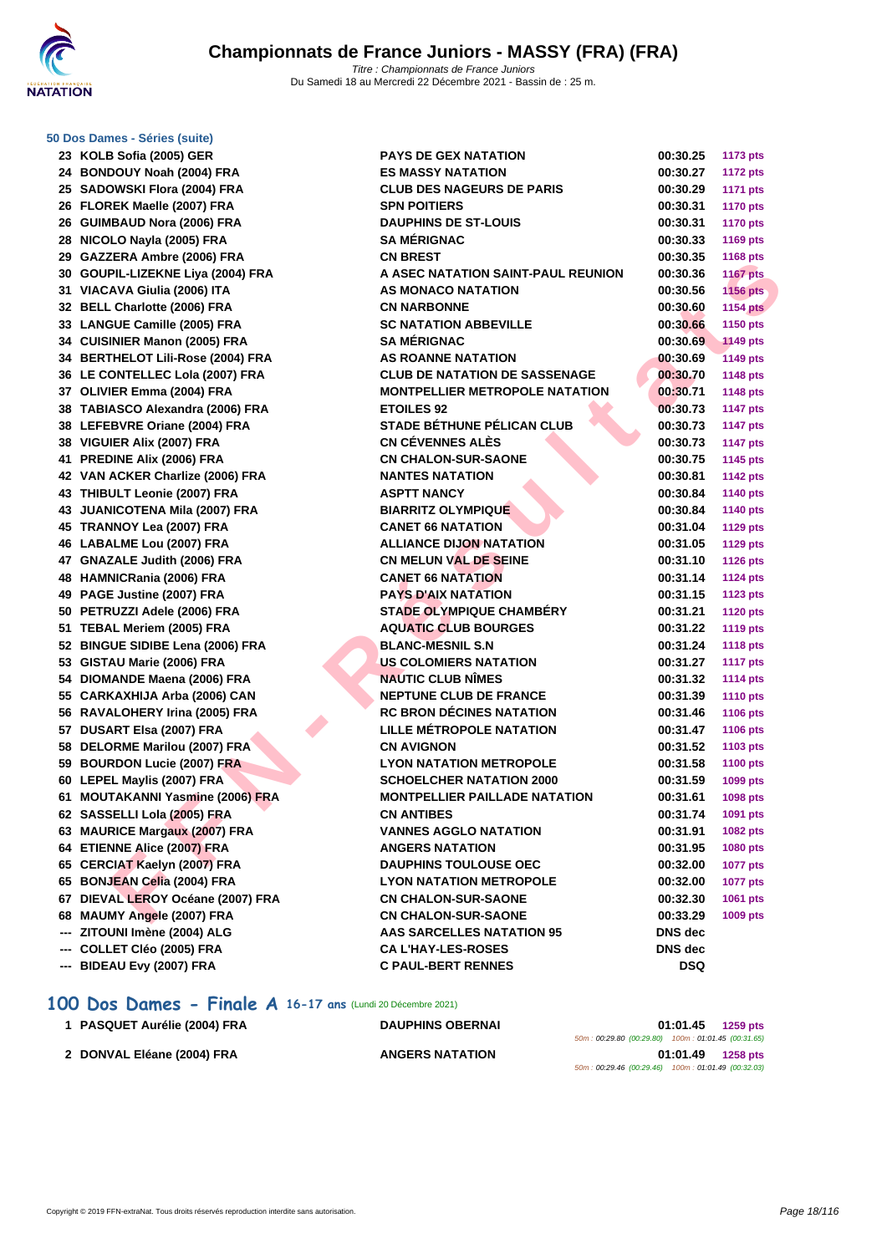

|     | 50 Dos Dames - Séries (suite)     |                                       |                |                 |
|-----|-----------------------------------|---------------------------------------|----------------|-----------------|
|     | 23 KOLB Sofia (2005) GER          | <b>PAYS DE GEX NATATION</b>           | 00:30.25       | <b>1173 pts</b> |
|     | 24 BONDOUY Noah (2004) FRA        | <b>ES MASSY NATATION</b>              | 00:30.27       | <b>1172 pts</b> |
|     | 25 SADOWSKI Flora (2004) FRA      | <b>CLUB DES NAGEURS DE PARIS</b>      | 00:30.29       | <b>1171 pts</b> |
|     | 26 FLOREK Maelle (2007) FRA       | <b>SPN POITIERS</b>                   | 00:30.31       | <b>1170 pts</b> |
|     | 26 GUIMBAUD Nora (2006) FRA       | <b>DAUPHINS DE ST-LOUIS</b>           | 00:30.31       | <b>1170 pts</b> |
|     | 28 NICOLO Nayla (2005) FRA        | <b>SA MÉRIGNAC</b>                    | 00:30.33       | <b>1169 pts</b> |
|     | 29 GAZZERA Ambre (2006) FRA       | <b>CN BREST</b>                       | 00:30.35       | <b>1168 pts</b> |
|     | 30 GOUPIL-LIZEKNE Liya (2004) FRA | A ASEC NATATION SAINT-PAUL REUNION    | 00:30.36       | <b>1167 pts</b> |
|     | 31 VIACAVA Giulia (2006) ITA      | AS MONACO NATATION                    | 00:30.56       | <b>1156 pts</b> |
|     | 32 BELL Charlotte (2006) FRA      | <b>CN NARBONNE</b>                    | 00:30.60       | <b>1154 pts</b> |
|     | 33 LANGUE Camille (2005) FRA      | <b>SC NATATION ABBEVILLE</b>          | 00:30.66       | 1150 pts        |
|     | 34 CUISINIER Manon (2005) FRA     | <b>SA MÉRIGNAC</b>                    | 00:30.69       | <b>1149 pts</b> |
|     | 34 BERTHELOT Lili-Rose (2004) FRA | <b>AS ROANNE NATATION</b>             | 00:30.69       | <b>1149 pts</b> |
|     | 36 LE CONTELLEC Lola (2007) FRA   | <b>CLUB DE NATATION DE SASSENAGE</b>  | 00:30.70       | <b>1148 pts</b> |
|     | 37 OLIVIER Emma (2004) FRA        | <b>MONTPELLIER METROPOLE NATATION</b> | 00:30.71       | <b>1148 pts</b> |
|     | 38 TABIASCO Alexandra (2006) FRA  | <b>ETOILES 92</b>                     | 00:30.73       | <b>1147 pts</b> |
|     | 38 LEFEBVRE Oriane (2004) FRA     | STADE BÉTHUNE PÉLICAN CLUB            | 00:30.73       | <b>1147 pts</b> |
|     | 38 VIGUIER Alix (2007) FRA        | <b>CN CÉVENNES ALÈS</b>               | 00:30.73       | <b>1147 pts</b> |
|     | 41 PREDINE Alix (2006) FRA        | <b>CN CHALON-SUR-SAONE</b>            | 00:30.75       | <b>1145 pts</b> |
|     | 42 VAN ACKER Charlize (2006) FRA  | <b>NANTES NATATION</b>                | 00:30.81       | <b>1142 pts</b> |
|     | 43 THIBULT Leonie (2007) FRA      | <b>ASPTT NANCY</b>                    | 00:30.84       | 1140 pts        |
|     | 43 JUANICOTENA Mila (2007) FRA    | <b>BIARRITZ OLYMPIQUE</b>             | 00:30.84       | <b>1140 pts</b> |
|     | 45 TRANNOY Lea (2007) FRA         | <b>CANET 66 NATATION</b>              | 00:31.04       | <b>1129 pts</b> |
|     | 46 LABALME Lou (2007) FRA         | <b>ALLIANCE DIJON NATATION</b>        | 00:31.05       | <b>1129 pts</b> |
|     | 47 GNAZALE Judith (2006) FRA      | <b>CN MELUN VAL DE SEINE</b>          | 00:31.10       | <b>1126 pts</b> |
|     | 48 HAMNICRania (2006) FRA         | <b>CANET 66 NATATION</b>              | 00:31.14       | <b>1124 pts</b> |
|     | 49 PAGE Justine (2007) FRA        | <b>PAYS D'AIX NATATION</b>            | 00:31.15       | <b>1123 pts</b> |
|     | 50 PETRUZZI Adele (2006) FRA      | <b>STADE OLYMPIQUE CHAMBERY</b>       | 00:31.21       | <b>1120 pts</b> |
|     | 51 TEBAL Meriem (2005) FRA        | <b>AQUATIC CLUB BOURGES</b>           | 00:31.22       | <b>1119 pts</b> |
|     | 52 BINGUE SIDIBE Lena (2006) FRA  | <b>BLANC-MESNIL S.N</b>               | 00:31.24       | <b>1118 pts</b> |
|     | 53 GISTAU Marie (2006) FRA        | US COLOMIERS NATATION                 | 00:31.27       | <b>1117 pts</b> |
|     | 54 DIOMANDE Maena (2006) FRA      | <b>NAUTIC CLUB NIMES</b>              | 00:31.32       | <b>1114 pts</b> |
|     | 55 CARKAXHIJA Arba (2006) CAN     | <b>NEPTUNE CLUB DE FRANCE</b>         | 00:31.39       | <b>1110 pts</b> |
|     | 56 RAVALOHERY Irina (2005) FRA    | <b>RC BRON DÉCINES NATATION</b>       | 00:31.46       | <b>1106 pts</b> |
|     | 57 DUSART Elsa (2007) FRA         | <b>LILLE MÉTROPOLE NATATION</b>       | 00:31.47       | <b>1106 pts</b> |
|     | 58 DELORME Marilou (2007) FRA     | <b>CN AVIGNON</b>                     | 00:31.52       | 1103 pts        |
|     | 59 BOURDON Lucie (2007) FRA       | <b>LYON NATATION METROPOLE</b>        | 00:31.58       | <b>1100 pts</b> |
|     | 60 LEPEL Maylis (2007) FRA        | <b>SCHOELCHER NATATION 2000</b>       | 00:31.59       | 1099 pts        |
|     | 61 MOUTAKANNI Yasmine (2006) FRA  | <b>MONTPELLIER PAILLADE NATATION</b>  | 00:31.61       | 1098 pts        |
|     | 62 SASSELLI Lola (2005) FRA       | <b>CN ANTIBES</b>                     | 00:31.74       | 1091 pts        |
|     | 63 MAURICE Margaux (2007) FRA     | <b>VANNES AGGLO NATATION</b>          | 00:31.91       | 1082 pts        |
|     | 64 ETIENNE Alice (2007) FRA       | <b>ANGERS NATATION</b>                | 00:31.95       | 1080 pts        |
|     | 65 CERCIAT Kaelyn (2007) FRA      | <b>DAUPHINS TOULOUSE OEC</b>          | 00:32.00       | <b>1077 pts</b> |
|     | 65 BONJEAN Celia (2004) FRA       | <b>LYON NATATION METROPOLE</b>        | 00:32.00       | <b>1077 pts</b> |
|     | 67 DIEVAL LEROY Océane (2007) FRA | <b>CN CHALON-SUR-SAONE</b>            | 00:32.30       | 1061 pts        |
|     | 68 MAUMY Angele (2007) FRA        | <b>CN CHALON-SUR-SAONE</b>            | 00:33.29       | 1009 pts        |
|     | --- ZITOUNI Imène (2004) ALG      | <b>AAS SARCELLES NATATION 95</b>      | <b>DNS</b> dec |                 |
|     | COLLET Cléo (2005) FRA            | <b>CA L'HAY-LES-ROSES</b>             | DNS dec        |                 |
| --- | BIDEAU Evy (2007) FRA             | <b>C PAUL-BERT RENNES</b>             | <b>DSQ</b>     |                 |

### **100 Dos Dames - Finale A 16-17 ans** (Lundi 20 Décembre 2021)

| 1 PASQUET Aurélie (2004) FRA | <b>DAUPHINS OBERNAI</b> | 01:01.45<br>1259 pts                               |  |
|------------------------------|-------------------------|----------------------------------------------------|--|
|                              |                         | 50m: 00:29.80 (00:29.80) 100m: 01:01.45 (00:31.65) |  |
| 2 DONVAL Eléane (2004) FRA   | <b>ANGERS NATATION</b>  | 01:01.49<br><b>1258 pts</b>                        |  |
|                              |                         | 50m: 00:29.46 (00:29.46) 100m: 01:01.49 (00:32.03) |  |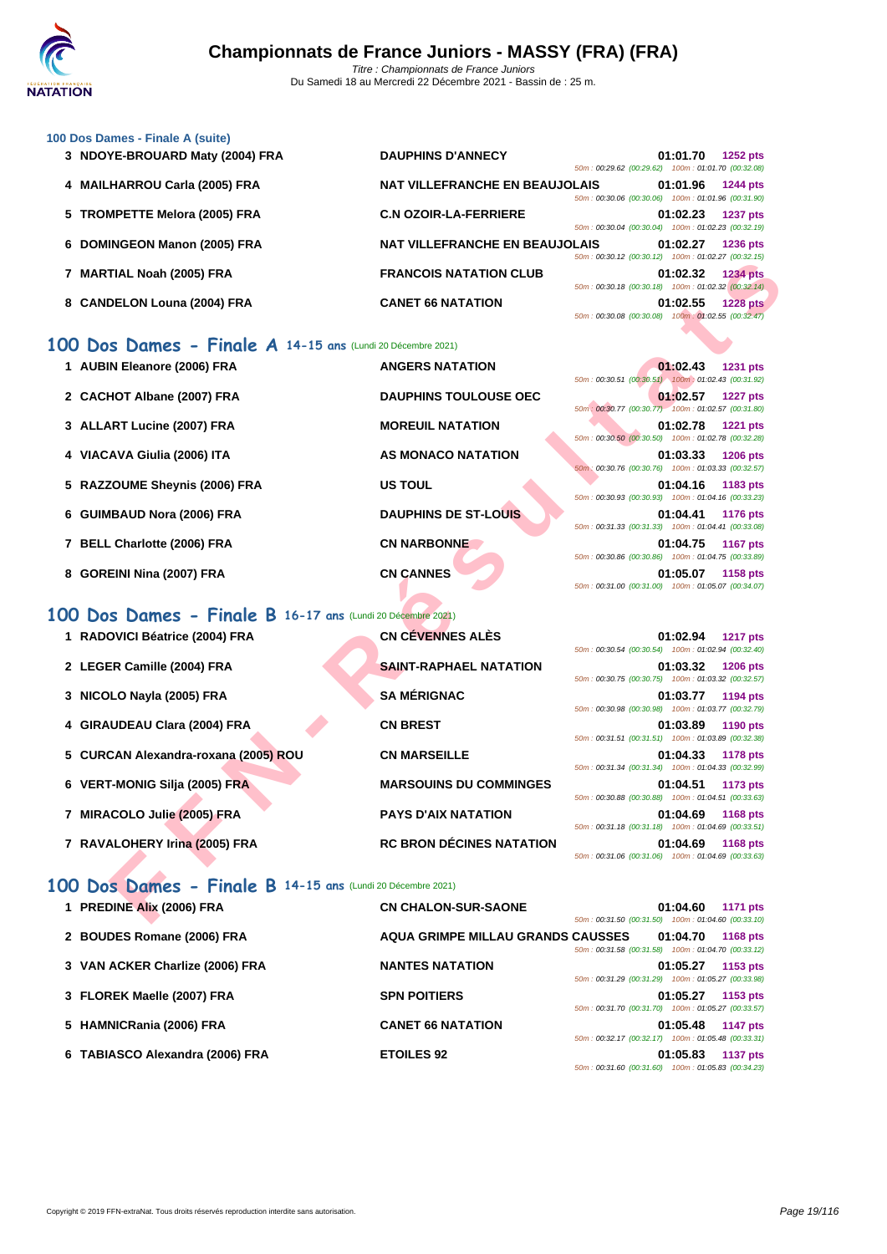

|  | 100 Dos Dames - Finale A (suite) |  |  |  |
|--|----------------------------------|--|--|--|
|  |                                  |  |  |  |

| 3 NDOYE-BROUARD Maty (2004) FRA | <b>DAUPHINS D'ANNECY</b>                                          | 01:01.70 | <b>1252 pts</b>                              |
|---------------------------------|-------------------------------------------------------------------|----------|----------------------------------------------|
|                                 | $50m: 00:29.62$ (00:29.62)                                        |          | 100m: 01:01.70 (00:32.08)                    |
| 4 MAILHARROU Carla (2005) FRA   | <b>NAT VILLEFRANCHE EN BEAUJOLAIS</b>                             | 01:01.96 | <b>1244 pts</b>                              |
|                                 | 50m: 00:30.06 (00:30.06)                                          |          | 100m: 01:01.96 (00:31.90)                    |
| 5 TROMPETTE Melora (2005) FRA   | <b>C.N OZOIR-LA-FERRIERE</b>                                      | 01:02.23 | <b>1237 pts</b>                              |
|                                 | 50m: 00:30.04 (00:30.04)                                          |          | 100m: 01:02.23 (00:32.19)                    |
| 6 DOMINGEON Manon (2005) FRA    | <b>NAT VILLEFRANCHE EN BEAUJOLAIS</b><br>50m: 00:30.12 (00:30.12) | 01:02.27 | <b>1236 pts</b><br>100m: 01:02.27 (00:32.15) |
|                                 | <b>FRANCOIS NATATION CLUB</b>                                     |          | <b>1234 pts</b>                              |
| 7 MARTIAL Noah (2005) FRA       | 50m: 00:30.18 (00:30.18)                                          | 01:02.32 | 100m: 01:02.32 (00:32.14)                    |
| 8 CANDELON Louna (2004) FRA     | <b>CANET 66 NATATION</b>                                          | 01:02.55 | <b>1228 pts</b>                              |
|                                 | 50m: 00:30.08 (00:30.08) 100m: 01:02.55 (00:32.47)                |          |                                              |

### **100 Dos Dames - Finale A 14-15 ans** (Lundi 20 Décembre 2021)

| 1 AUBIN Eleanore (2006) FRA   | <b>ANGERS NATATION</b>       | 01:02.43<br>1231 pts<br>50m: 00:30.51 (00:30.51) 100m: 01:02.43 (00:31.92)        |
|-------------------------------|------------------------------|-----------------------------------------------------------------------------------|
| 2 CACHOT Albane (2007) FRA    | <b>DAUPHINS TOULOUSE OEC</b> | 01:02.57<br><b>1227 pts</b><br>50m: 00:30.77 (00:30.77) 100m: 01:02.57 (00:31.80) |
| 3 ALLART Lucine (2007) FRA    | <b>MOREUIL NATATION</b>      | 01:02.78<br><b>1221 pts</b><br>50m: 00:30.50 (00:30.50) 100m: 01:02.78 (00:32.28) |
| 4 VIACAVA Giulia (2006) ITA   | <b>AS MONACO NATATION</b>    | 01:03.33<br><b>1206 pts</b><br>50m; 00:30.76 (00:30.76) 100m: 01:03.33 (00:32.57) |
| 5 RAZZOUME Sheynis (2006) FRA | <b>US TOUL</b>               | 01:04.16<br>1183 pts<br>50m: 00:30.93 (00:30.93) 100m: 01:04.16 (00:33.23)        |
| 6 GUIMBAUD Nora (2006) FRA    | <b>DAUPHINS DE ST-LOUIS</b>  | 01:04.41<br><b>1176 pts</b><br>50m: 00:31.33 (00:31.33) 100m: 01:04.41 (00:33.08) |
| 7 BELL Charlotte (2006) FRA   | <b>CN NARBONNE</b>           | 01:04.75<br><b>1167 pts</b><br>50m: 00:30.86 (00:30.86) 100m: 01:04.75 (00:33.89) |
| 8 GOREINI Nina (2007) FRA     | <b>CN CANNES</b>             | 01:05.07<br>1158 pts<br>50m: 00:31.00 (00:31.00) 100m: 01:05.07 (00:34.07)        |

### **100 Dos Dames - Finale B 16-17 ans** (Lundi 20 Décembre 2021)

|                                                            |                                 | JUINT. 00.JU.IZ (00.JU.IZ) TUUMI. 01.02.21 (00.JZ.IJ)                                                                            |
|------------------------------------------------------------|---------------------------------|----------------------------------------------------------------------------------------------------------------------------------|
| 7 MARTIAL Noah (2005) FRA                                  | <b>FRANCOIS NATATION CLUB</b>   | 01:02.32<br><b>1234 pts</b><br>50m: 00:30.18 (00:30.18) 100m: 01:02.32 (00:32.14)                                                |
| 8 CANDELON Louna (2004) FRA                                | <b>CANET 66 NATATION</b>        | 01:02.55<br><b>1228 pts</b><br>50m: 00:30.08 (00:30.08) 100m: 01:02.55 (00:32.47)                                                |
| 00 Dos Dames - Finale A 14-15 ans (Lundi 20 Décembre 2021) |                                 |                                                                                                                                  |
| 1 AUBIN Eleanore (2006) FRA                                | <b>ANGERS NATATION</b>          | 01:02.43<br><b>1231 pts</b><br>50m: 00:30.51 (00:30.51) 100m: 01:02.43 (00:31.92)                                                |
| 2 CACHOT Albane (2007) FRA                                 | <b>DAUPHINS TOULOUSE OEC</b>    | 01:02.57<br><b>1227 pts</b>                                                                                                      |
| 3 ALLART Lucine (2007) FRA                                 | <b>MOREUIL NATATION</b>         | 50m: 00:30.77 (00:30.77) 100m: 01:02.57 (00:31.80)<br>01:02.78<br><b>1221 pts</b>                                                |
| 4 VIACAVA Giulia (2006) ITA                                | AS MONACO NATATION              | 50m: 00:30.50 (00:30.50) 100m: 01:02.78 (00:32.28)<br>01:03.33<br><b>1206 pts</b>                                                |
| 5 RAZZOUME Sheynis (2006) FRA                              | <b>US TOUL</b>                  | 50m: 00:30.76 (00:30.76) 100m: 01:03.33 (00:32.57)<br>01:04.16<br>1183 pts<br>50m: 00:30.93 (00:30.93) 100m: 01:04.16 (00:33.23) |
| 6 GUIMBAUD Nora (2006) FRA                                 | <b>DAUPHINS DE ST-LOUIS</b>     | 01:04.41<br><b>1176 pts</b><br>50m: 00:31.33 (00:31.33) 100m: 01:04.41 (00:33.08)                                                |
| 7 BELL Charlotte (2006) FRA                                | <b>CN NARBONNE</b>              | 01:04.75<br><b>1167 pts</b><br>50m: 00:30.86 (00:30.86) 100m: 01:04.75 (00:33.89)                                                |
| 8 GOREINI Nina (2007) FRA                                  | <b>CN CANNES</b>                | 01:05.07<br>1158 pts<br>50m: 00:31.00 (00:31.00) 100m: 01:05.07 (00:34.07)                                                       |
| 00 Dos Dames - Finale B 16-17 ans (Lundi 20 Décembre 2021) |                                 |                                                                                                                                  |
|                                                            |                                 |                                                                                                                                  |
| 1 RADOVICI Béatrice (2004) FRA                             | <b>CN CÉVENNES ALÈS</b>         | 01:02.94<br><b>1217 pts</b><br>50m: 00:30.54 (00:30.54) 100m: 01:02.94 (00:32.40)                                                |
| 2 LEGER Camille (2004) FRA                                 | <b>SAINT-RAPHAEL NATATION</b>   | 01:03.32<br><b>1206 pts</b><br>50m: 00:30.75 (00:30.75) 100m: 01:03.32 (00:32.57)                                                |
| 3 NICOLO Nayla (2005) FRA                                  | <b>SA MÉRIGNAC</b>              | 01:03.77<br>1194 pts<br>50m: 00:30.98 (00:30.98) 100m: 01:03.77 (00:32.79)                                                       |
| 4 GIRAUDEAU Clara (2004) FRA                               | <b>CN BREST</b>                 | 01:03.89<br>1190 pts<br>50m: 00:31.51 (00:31.51) 100m: 01:03.89 (00:32.38)                                                       |
| 5 CURCAN Alexandra-roxana (2005) ROU                       | <b>CN MARSEILLE</b>             | 01:04.33<br>1178 pts<br>50m: 00:31.34 (00:31.34) 100m: 01:04.33 (00:32.99)                                                       |
| 6 VERT-MONIG Silja (2005) FRA                              | <b>MARSOUINS DU COMMINGES</b>   | 01:04.51<br>1173 pts<br>50m: 00:30.88 (00:30.88) 100m: 01:04.51 (00:33.63)                                                       |
| 7 MIRACOLO Julie (2005) FRA                                | <b>PAYS D'AIX NATATION</b>      | 01:04.69<br><b>1168 pts</b>                                                                                                      |
| 7 RAVALOHERY Irina (2005) FRA                              | <b>RC BRON DÉCINES NATATION</b> | 50m: 00:31.18 (00:31.18) 100m: 01:04.69 (00:33.51)<br>01:04.69<br>1168 pts<br>50m: 00:31.06 (00:31.06) 100m: 01:04.69 (00:33.63) |
| 00 Dos Dames - Finale B 14-15 ans (Lundi 20 Décembre 2021) |                                 |                                                                                                                                  |
| 1 PREDINE Alix (2006) FRA                                  | <b>CN CHALON-SUR-SAONE</b>      | 01:04.60                                                                                                                         |
|                                                            |                                 | 1171 pts<br>50m: 00:31.50 (00:31.50) 100m: 01:04.60 (00:33.10)                                                                   |

### **100 Dos Dames - Finale B 14-15 ans** (Lundi 20 Décembre 2021)

| 1 PREDINE Alix (2006) FRA       | <b>CN CHALON-SUR-SAONE</b>               | 01:04.60<br><b>1171 pts</b>                        |
|---------------------------------|------------------------------------------|----------------------------------------------------|
|                                 |                                          | 50m: 00:31.50 (00:31.50) 100m: 01:04.60 (00:33.10) |
| 2 BOUDES Romane (2006) FRA      | <b>AQUA GRIMPE MILLAU GRANDS CAUSSES</b> | 01:04.70<br>1168 pts                               |
|                                 |                                          | 50m: 00:31.58 (00:31.58) 100m: 01:04.70 (00:33.12) |
| 3 VAN ACKER Charlize (2006) FRA | <b>NANTES NATATION</b>                   | 01:05.27<br>1153 pts                               |
|                                 |                                          | 50m: 00:31.29 (00:31.29) 100m: 01:05.27 (00:33.98) |
| 3 FLOREK Maelle (2007) FRA      | <b>SPN POITIERS</b>                      | 01:05.27<br>1153 pts                               |
|                                 |                                          | 50m: 00:31.70 (00:31.70) 100m: 01:05.27 (00:33.57) |
| 5 HAMNICRania (2006) FRA        | <b>CANET 66 NATATION</b>                 | 01:05.48<br><b>1147 pts</b>                        |
|                                 |                                          | 50m: 00:32.17 (00:32.17) 100m: 01:05.48 (00:33.31) |
| 6 TABIASCO Alexandra (2006) FRA | <b>ETOILES 92</b>                        | 01:05.83<br><b>1137 pts</b>                        |
|                                 |                                          | 50m: 00:31.60 (00:31.60) 100m: 01:05.83 (00:34.23) |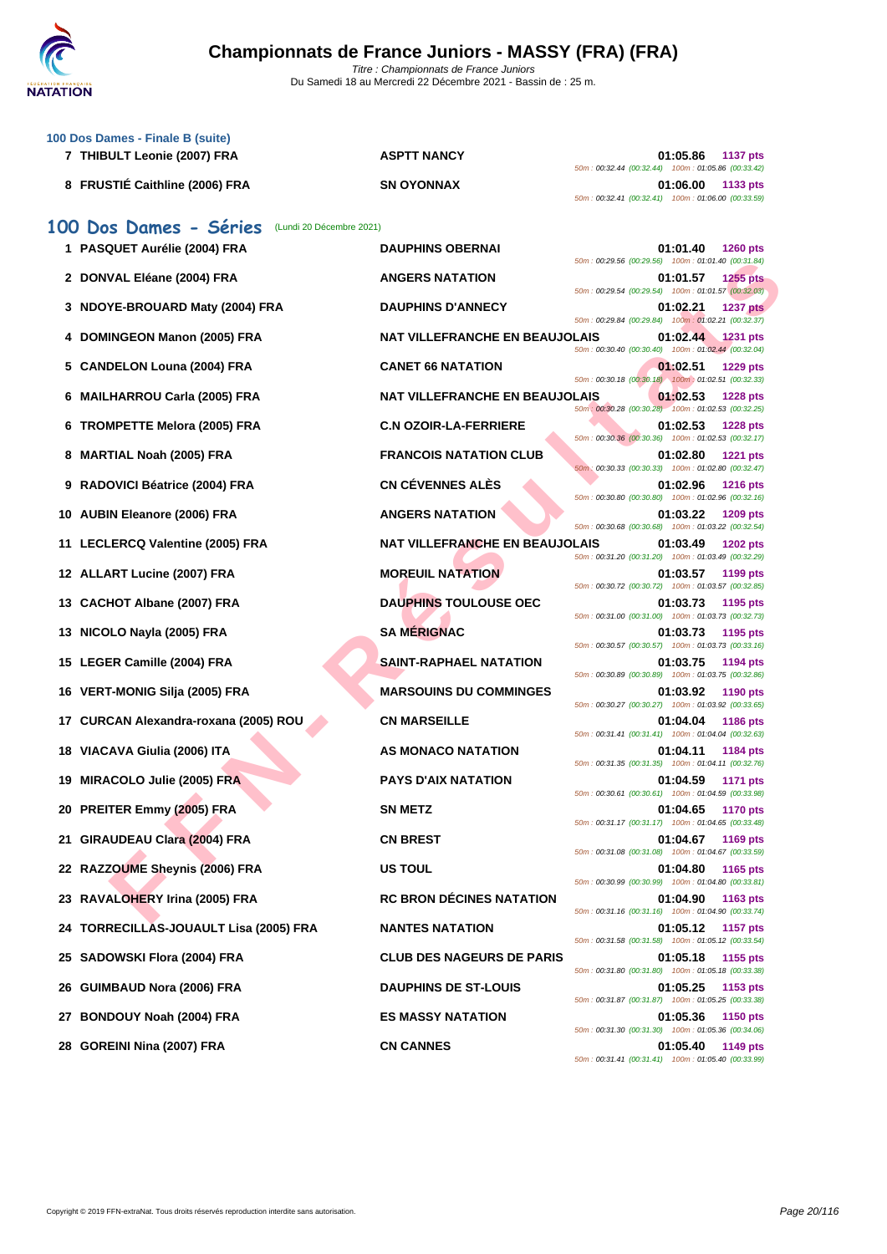

Du Samedi 18 au Mercredi 22 Décembre 2021 - Bassin de : 25 m.

| 100 Dos Dames - Finale B (suite)<br>7 THIBULT Leonie (2007) FRA | <b>ASPTT NANCY</b>                    | 01:05.86<br><b>1137 pts</b><br>50m: 00:32.44 (00:32.44) 100m: 01:05.86 (00:33.42)   |
|-----------------------------------------------------------------|---------------------------------------|-------------------------------------------------------------------------------------|
| 8 FRUSTIÉ Caithline (2006) FRA                                  | <b>SN OYONNAX</b>                     | 01:06.00<br>1133 pts<br>50m: 00:32.41 (00:32.41) 100m: 01:06.00 (00:33.59)          |
| 100 Dos Dames - Séries<br>(Lundi 20 Décembre 2021)              |                                       |                                                                                     |
| 1 PASQUET Aurélie (2004) FRA                                    | <b>DAUPHINS OBERNAI</b>               | 01:01.40<br><b>1260 pts</b><br>50m: 00:29.56 (00:29.56) 100m: 01:01.40 (00:31.84)   |
| 2 DONVAL Eléane (2004) FRA                                      | <b>ANGERS NATATION</b>                | 01:01.57<br><b>1255 pts</b>                                                         |
| 3 NDOYE-BROUARD Maty (2004) FRA                                 | <b>DAUPHINS D'ANNECY</b>              | 50m: 00:29.54 (00:29.54) 100m: 01:01.57 (00:32.03)<br>01:02.21<br><b>1237 pts</b>   |
| <b>DOMINGEON Manon (2005) FRA</b>                               | <b>NAT VILLEFRANCHE EN BEAUJOLAIS</b> | 50m: 00:29.84 (00:29.84) 100m: 01:02.21 (00:32.37)<br>01:02.44<br>1231 pts          |
| 5 CANDELON Louna (2004) FRA                                     | <b>CANET 66 NATATION</b>              | 50m: 00:30.40 (00:30.40) 100m: 01:02.44 (00:32.04)<br>01:02.51<br><b>1229 pts</b>   |
| <b>MAILHARROU Carla (2005) FRA</b><br>6                         | <b>NAT VILLEFRANCHE EN BEAUJOLAIS</b> | 50m: 00:30.18 (00:30.18) 100m: 01:02.51 (00:32.33)<br>01:02.53<br><b>1228 pts</b>   |
| <b>TROMPETTE Melora (2005) FRA</b><br>6                         | <b>C.N OZOIR-LA-FERRIERE</b>          | 50m : 00:30.28 (00:30.28) 100m : 01:02.53 (00:32.25)<br>01:02.53<br><b>1228 pts</b> |
| <b>MARTIAL Noah (2005) FRA</b><br>8                             | <b>FRANCOIS NATATION CLUB</b>         | 50m: 00:30.36 (00:30.36) 100m: 01:02.53 (00:32.17)<br>01:02.80<br><b>1221 pts</b>   |
| RADOVICI Béatrice (2004) FRA<br>9                               | <b>CN CÉVENNES ALÈS</b>               | 50m: 00:30.33 (00:30.33) 100m: 01:02.80 (00:32.47)<br>01:02.96<br><b>1216 pts</b>   |
| <b>AUBIN Eleanore (2006) FRA</b><br>10                          | <b>ANGERS NATATION</b>                | 50m: 00:30.80 (00:30.80) 100m: 01:02.96 (00:32.16)<br>01:03.22<br>1209 pts          |
| 11 LECLERCQ Valentine (2005) FRA                                | NAT VILLEFRANCHE EN BEAUJOLAIS        | 50m: 00:30.68 (00:30.68) 100m: 01:03.22 (00:32.54)<br>01:03.49<br><b>1202 pts</b>   |
| 12 ALLART Lucine (2007) FRA                                     | <b>MOREUIL NATATION</b>               | 50m: 00:31.20 (00:31.20) 100m: 01:03.49 (00:32.29)<br>01:03.57<br>1199 pts          |
| <b>CACHOT Albane (2007) FRA</b><br>13                           | <b>DAUPHINS TOULOUSE OEC</b>          | 50m: 00:30.72 (00:30.72) 100m: 01:03.57 (00:32.85)<br>01:03.73<br>1195 pts          |
| NICOLO Nayla (2005) FRA<br>13                                   | <b>SA MÉRIGNAC</b>                    | 50m: 00:31.00 (00:31.00) 100m: 01:03.73 (00:32.73)<br>01:03.73                      |
|                                                                 |                                       | 1195 pts<br>50m: 00:30.57 (00:30.57) 100m: 01:03.73 (00:33.16)                      |
| 15 LEGER Camille (2004) FRA                                     | <b>SAINT-RAPHAEL NATATION</b>         | 01:03.75<br>1194 pts<br>50m: 00:30.89 (00:30.89) 100m: 01:03.75 (00:32.86)          |
| VERT-MONIG Silja (2005) FRA<br>16                               | <b>MARSOUINS DU COMMINGES</b>         | 01:03.92<br>1190 pts<br>50m: 00:30.27 (00:30.27) 100m: 01:03.92 (00:33.65)          |
| CURCAN Alexandra-roxana (2005) ROU<br>17                        | <b>CN MARSEILLE</b>                   | 01:04.04<br><b>1186 pts</b><br>50m: 00:31.41 (00:31.41) 100m: 01:04.04 (00:32.63)   |
| 18 VIACAVA Giulia (2006) ITA                                    | AS MONACO NATATION                    | 01:04.11<br>1184 pts<br>50m: 00:31.35 (00:31.35) 100m: 01:04.11 (00:32.76)          |
| <b>MIRACOLO Julie (2005) FRA</b><br>19                          | <b>PAYS D'AIX NATATION</b>            | 01:04.59<br><b>1171 pts</b><br>50m: 00:30.61 (00:30.61) 100m: 01:04.59 (00:33.98)   |
| 20 PREITER Emmy (2005) FRA                                      | <b>SN METZ</b>                        | 01:04.65<br><b>1170 pts</b><br>50m: 00:31.17 (00:31.17) 100m: 01:04.65 (00:33.48)   |
| 21 GIRAUDEAU Clara (2004) FRA                                   | <b>CN BREST</b>                       | 01:04.67<br>1169 pts<br>50m: 00:31.08 (00:31.08) 100m: 01:04.67 (00:33.59)          |
| 22 RAZZOUME Sheynis (2006) FRA                                  | <b>US TOUL</b>                        | 01:04.80<br>1165 pts                                                                |
| 23 RAVALOHERY Irina (2005) FRA                                  | <b>RC BRON DÉCINES NATATION</b>       | 50m: 00:30.99 (00:30.99) 100m: 01:04.80 (00:33.81)<br>01:04.90<br>1163 pts          |
| 24 TORRECILLAS-JOUAULT Lisa (2005) FRA                          | <b>NANTES NATATION</b>                | 50m: 00:31.16 (00:31.16) 100m: 01:04.90 (00:33.74)<br>01:05.12<br>1157 pts          |
| SADOWSKI Flora (2004) FRA<br>25                                 | <b>CLUB DES NAGEURS DE PARIS</b>      | 50m: 00:31.58 (00:31.58) 100m: 01:05.12 (00:33.54)<br>01:05.18<br>1155 pts          |
| <b>GUIMBAUD Nora (2006) FRA</b><br>26                           | <b>DAUPHINS DE ST-LOUIS</b>           | 50m: 00:31.80 (00:31.80) 100m: 01:05.18 (00:33.38)<br>01:05.25<br>1153 pts          |
| <b>BONDOUY Noah (2004) FRA</b><br>27                            | <b>ES MASSY NATATION</b>              | 50m: 00:31.87 (00:31.87) 100m: 01:05.25 (00:33.38)<br>01:05.36<br><b>1150 pts</b>   |
| 28 GOREINI Nina (2007) FRA                                      | <b>CN CANNES</b>                      | 50m: 00:31.30 (00:31.30) 100m: 01:05.36 (00:34.06)<br>01:05.40<br>1149 pts          |
|                                                                 |                                       | 50m: 00:31.41 (00:31.41) 100m: 01:05.40 (00:33.99)                                  |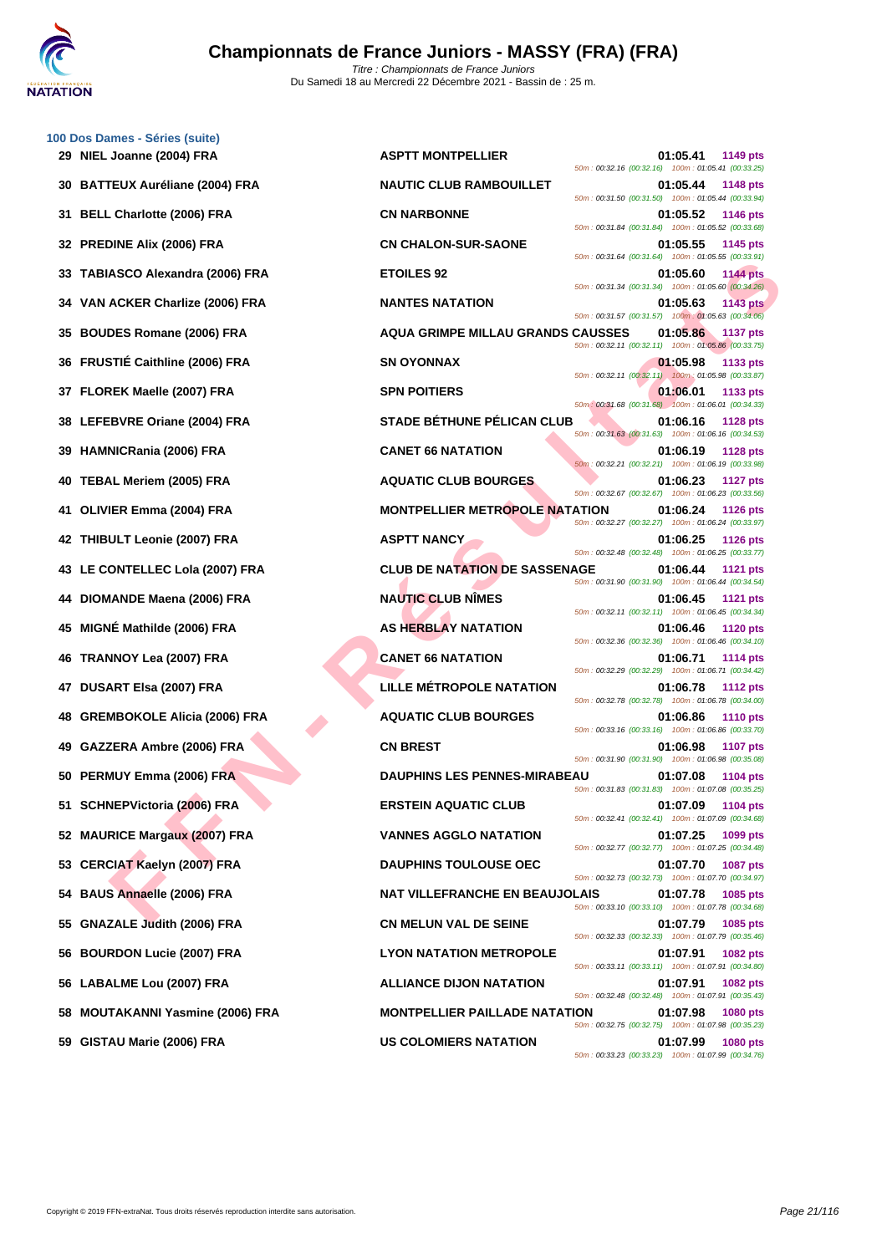

| 29 | 100 Dos Dames - Séries (suite)<br>NIEL Joanne (2004) FRA |
|----|----------------------------------------------------------|
| 30 | <b>BATTEUX Auréliane (2004) FRA</b>                      |
| 31 | <b>BELL Charlotte (2006) FRA</b>                         |
| 32 | <b>PREDINE Alix (2006) FRA</b>                           |
| 33 | TABIASCO Alexandra (2006) FRA                            |
|    | 34 VAN ACKER Charlize (2006) FRA                         |
| 35 | <b>BOUDES Romane (2006) FRA</b>                          |
| 36 | FRUSTIE Caithline (2006) FRA                             |
|    | 37 FLOREK Maelle (2007) FRA                              |
| 38 | LEFEBVRE Oriane (2004) FRA                               |
| 39 | <b>HAMNICRania (2006) FRA</b>                            |
| 40 | <b>TEBAL Meriem (2005) FRA</b>                           |
| 41 | OLIVIER Emma (2004) FRA                                  |
| 42 | THIBULT Leonie (2007) FRA                                |
| 43 | LE CONTELLEC Lola (2007) FRA                             |
| 44 | DIOMANDE Maena (2006) FRA                                |
| 45 | MIGNÉ Mathilde (2006) FRA                                |
| 46 | TRANNOY Lea (2007) FRA                                   |
| 47 | DUSART Elsa (2007) FRA                                   |
| 48 | <b>GREMBOKOLE Alicia (2006) FRA</b>                      |
|    | 49 GAZZERA Ambre (2006) FRA                              |
|    | 50 PERMUY Emma (2006) FRA                                |
| 51 | <b>SCHNEPVictoria (2006) FRA</b>                         |
| 52 | <b>MAURICE Margaux (2007) FRA</b>                        |
|    | 53 CERCIAT Kaelyn (2007) FRA                             |
|    | 54 BAUS Annaelle (2006) FRA                              |
| 55 | <b>GNAZALE Judith (2006) FRA</b>                         |
|    | 56 BOURDON Lucie (2007) FRA                              |
|    | 56 LABALME Lou (2007) FRA                                |
| 58 | <b>MOUTAKANNI Yasmine (2006) FRA</b>                     |
|    | 59 GISTAU Marie (2006) FRA                               |

| 29 NIEL Joanne (2004) FRA          | <b>ASPTT MONTPELLIER</b>                 | 01:05.41<br>1149 pts<br>50m: 00:32.16 (00:32.16) 100m: 01:05.41 (00:33.25)        |
|------------------------------------|------------------------------------------|-----------------------------------------------------------------------------------|
| 30 BATTEUX Auréliane (2004) FRA    | <b>NAUTIC CLUB RAMBOUILLET</b>           | 01:05.44<br>1148 pts<br>50m: 00:31.50 (00:31.50) 100m: 01:05.44 (00:33.94)        |
| 31 BELL Charlotte (2006) FRA       | <b>CN NARBONNE</b>                       | 01:05.52<br>1146 pts<br>50m: 00:31.84 (00:31.84) 100m: 01:05.52 (00:33.68)        |
| 32 PREDINE Alix (2006) FRA         | <b>CN CHALON-SUR-SAONE</b>               | 01:05.55<br>1145 pts<br>50m: 00:31.64 (00:31.64) 100m: 01:05.55 (00:33.91)        |
| 33   TABIASCO Alexandra (2006) FRA | <b>ETOILES 92</b>                        | 01:05.60<br><b>1144 pts</b><br>50m: 00:31.34 (00:31.34) 100m: 01:05.60 (00:34.26) |
| 34   VAN ACKER Charlize (2006) FRA | <b>NANTES NATATION</b>                   | 01:05.63<br><b>1143 pts</b><br>50m: 00:31.57 (00:31.57) 100m: 01:05.63 (00:34.06) |
| 35 BOUDES Romane (2006) FRA        | <b>AQUA GRIMPE MILLAU GRANDS CAUSSES</b> | 01:05.86<br><b>1137 pts</b><br>50m: 00:32.11 (00:32.11) 100m: 01:05.86 (00:33.75) |
| 36 FRUSTIÉ Caithline (2006) FRA    | <b>SN OYONNAX</b>                        | 01:05.98<br>1133 pts<br>50m: 00:32.11 (00:32.11) 100m: 01:05.98 (00:33.87)        |
| 37 FLOREK Maelle (2007) FRA        | <b>SPN POITIERS</b>                      | 01:06.01<br>1133 pts<br>50m: 00:31.68 (00:31.68) 100m: 01:06.01 (00:34.33)        |
| 38 LEFEBVRE Oriane (2004) FRA      | STADE BÉTHUNE PÉLICAN CLUB               | 01:06.16<br><b>1128 pts</b><br>50m: 00:31.63 (00:31.63) 100m: 01:06.16 (00:34.53) |
| 39 HAMNICRania (2006) FRA          | <b>CANET 66 NATATION</b>                 | 01:06.19<br><b>1128 pts</b><br>50m: 00:32.21 (00:32.21) 100m: 01:06.19 (00:33.98) |
| 40   TEBAL Meriem (2005) FRA       | <b>AQUATIC CLUB BOURGES</b>              | 01:06.23<br>1127 pts<br>50m: 00:32.67 (00:32.67) 100m: 01:06.23 (00:33.56)        |
| 41 OLIVIER Emma (2004) FRA         | <b>MONTPELLIER METROPOLE NATATION</b>    | 01:06.24<br><b>1126 pts</b><br>50m: 00:32.27 (00:32.27) 100m: 01:06.24 (00:33.97) |
| 42 THIBULT Leonie (2007) FRA       | <b>ASPTT NANCY</b>                       | 01:06.25<br><b>1126 pts</b><br>50m: 00:32.48 (00:32.48) 100m: 01:06.25 (00:33.77) |
| 43   LE CONTELLEC Lola (2007) FRA  | <b>CLUB DE NATATION DE SASSENAGE</b>     | 01:06.44<br><b>1121 pts</b><br>50m: 00:31.90 (00:31.90) 100m: 01:06.44 (00:34.54) |
| 44   DIOMANDE Maena (2006) FRA     | <b>NAUTIC CLUB NIMES</b>                 | 01:06.45<br>1121 pts<br>50m: 00:32.11 (00:32.11) 100m: 01:06.45 (00:34.34)        |
| 45 MIGNÉ Mathilde (2006) FRA       | <b>AS HERBLAY NATATION</b>               | 01:06.46<br><b>1120 pts</b><br>50m: 00:32.36 (00:32.36) 100m: 01:06.46 (00:34.10) |
| 46   TRANNOY Lea (2007) FRA        | <b>CANET 66 NATATION</b>                 | 01:06.71<br>1114 pts<br>50m: 00:32.29 (00:32.29) 100m: 01:06.71 (00:34.42)        |
| 47   DUSART Elsa (2007) FRA        | LILLE MÉTROPOLE NATATION                 | 01:06.78<br>1112 pts<br>50m: 00:32.78 (00:32.78) 100m: 01:06.78 (00:34.00)        |
| 48 GREMBOKOLE Alicia (2006) FRA    | <b>AQUATIC CLUB BOURGES</b>              | 01:06.86<br><b>1110 pts</b><br>50m: 00:33.16 (00:33.16) 100m: 01:06.86 (00:33.70) |
| 49 GAZZERA Ambre (2006) FRA        | <b>CN BREST</b>                          | 01:06.98<br><b>1107 pts</b><br>50m: 00:31.90 (00:31.90) 100m: 01:06.98 (00:35.08) |
| 50 PERMUY Emma (2006) FRA          | <b>DAUPHINS LES PENNES-MIRABEAU</b>      | 01:07.08<br>1104 pts<br>50m: 00:31.83 (00:31.83) 100m: 01:07.08 (00:35.25)        |
| 51 SCHNEPVictoria (2006) FRA       | <b>ERSTEIN AQUATIC CLUB</b>              | 01:07.09<br>1104 pts<br>50m: 00:32.41 (00:32.41) 100m: 01:07.09 (00:34.68)        |
| 52 MAURICE Margaux (2007) FRA      | <b>VANNES AGGLO NATATION</b>             | 01:07.25<br>1099 pts<br>50m: 00:32.77 (00:32.77) 100m: 01:07.25 (00:34.48)        |
| 53 CERCIAT Kaelyn (2007) FRA       | <b>DAUPHINS TOULOUSE OEC</b>             | 01:07.70<br><b>1087 pts</b><br>50m: 00:32.73 (00:32.73) 100m: 01:07.70 (00:34.97) |
| 54 BAUS Annaelle (2006) FRA        | <b>NAT VILLEFRANCHE EN BEAUJOLAIS</b>    | 01:07.78<br>1085 pts<br>50m: 00:33.10 (00:33.10) 100m: 01:07.78 (00:34.68)        |
| 55 GNAZALE Judith (2006) FRA       | <b>CN MELUN VAL DE SEINE</b>             | 01:07.79<br>1085 pts<br>50m: 00:32.33 (00:32.33) 100m: 01:07.79 (00:35.46)        |
| 56 BOURDON Lucie (2007) FRA        | <b>LYON NATATION METROPOLE</b>           | 01:07.91<br>1082 pts<br>50m: 00:33.11 (00:33.11) 100m: 01:07.91 (00:34.80)        |
| 56 LABALME Lou (2007) FRA          | <b>ALLIANCE DIJON NATATION</b>           | 01:07.91<br>1082 pts<br>50m: 00:32.48 (00:32.48) 100m: 01:07.91 (00:35.43)        |
| 58 MOUTAKANNI Yasmine (2006) FRA   | <b>MONTPELLIER PAILLADE NATATION</b>     | 01:07.98<br>1080 pts<br>50m: 00:32.75 (00:32.75) 100m: 01:07.98 (00:35.23)        |
| 59 GISTAU Marie (2006) FRA         | <b>US COLOMIERS NATATION</b>             | 01:07.99<br><b>1080 pts</b><br>50m: 00:33.23 (00:33.23) 100m: 01:07.99 (00:34.76) |
|                                    |                                          |                                                                                   |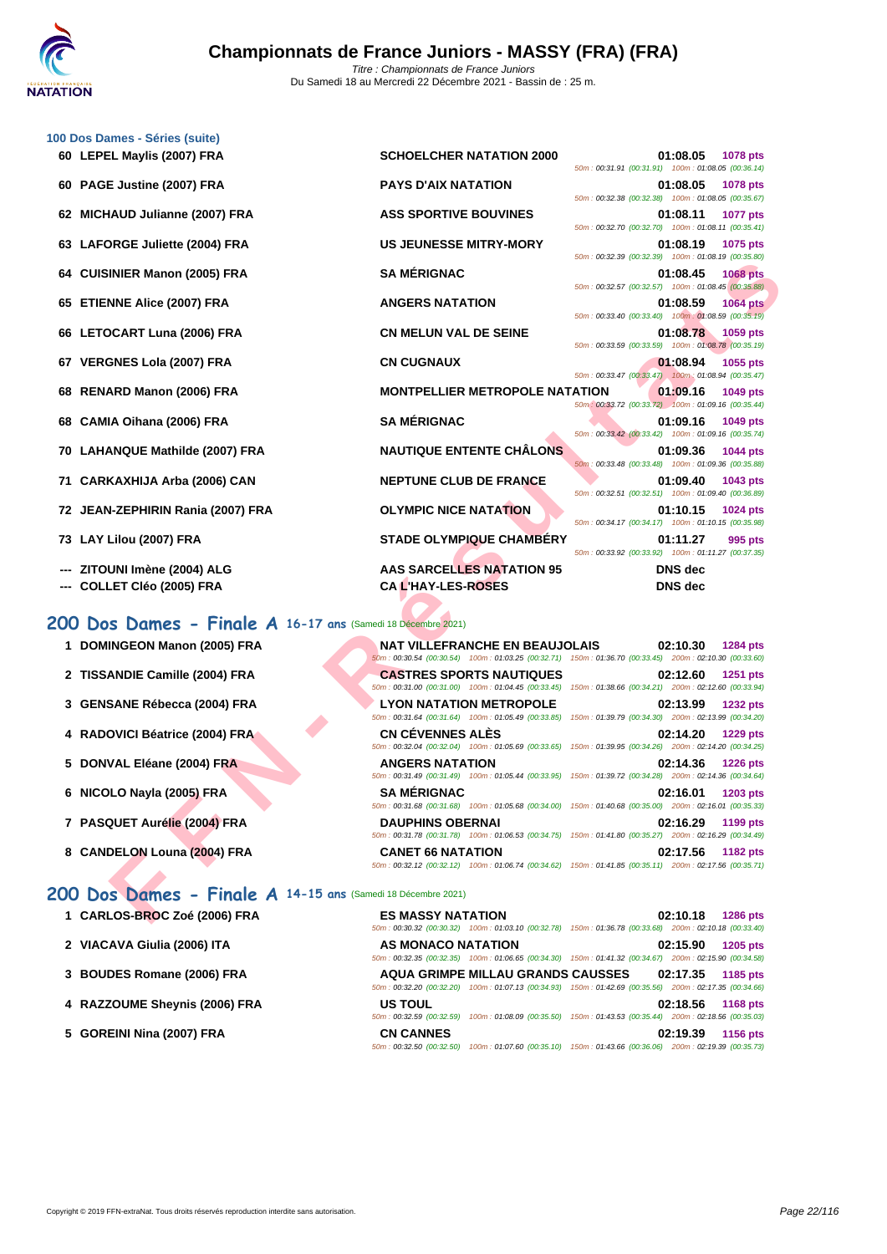**[100 Dos D](http://www.ffnatation.fr/webffn/index.php)ames - Séries (suite)**

| 60 LEPEL Maylis (2007) FRA                                   | <b>SCHOELCHER NATATION 2000</b>                                                                                                               | 01:08.05<br>1078 pts<br>50m: 00:31.91 (00:31.91) 100m: 01:08.05 (00:36.14)        |
|--------------------------------------------------------------|-----------------------------------------------------------------------------------------------------------------------------------------------|-----------------------------------------------------------------------------------|
| 60 PAGE Justine (2007) FRA                                   | <b>PAYS D'AIX NATATION</b>                                                                                                                    | 01:08.05<br><b>1078 pts</b><br>50m: 00:32.38 (00:32.38) 100m: 01:08.05 (00:35.67) |
| 62 MICHAUD Julianne (2007) FRA                               | <b>ASS SPORTIVE BOUVINES</b>                                                                                                                  | 01:08.11<br><b>1077 pts</b><br>50m: 00:32.70 (00:32.70) 100m: 01:08.11 (00:35.41) |
| 63 LAFORGE Juliette (2004) FRA                               | <b>US JEUNESSE MITRY-MORY</b>                                                                                                                 | 01:08.19<br>1075 pts<br>50m: 00:32.39 (00:32.39) 100m: 01:08.19 (00:35.80)        |
| 64 CUISINIER Manon (2005) FRA                                | <b>SA MÉRIGNAC</b>                                                                                                                            | 01:08.45<br><b>1068 pts</b><br>50m: 00:32.57 (00:32.57) 100m: 01:08.45 (00:35.88) |
| 65 ETIENNE Alice (2007) FRA                                  | <b>ANGERS NATATION</b>                                                                                                                        | 01:08.59<br><b>1064 pts</b>                                                       |
| 66 LETOCART Luna (2006) FRA                                  | <b>CN MELUN VAL DE SEINE</b>                                                                                                                  | 50m: 00:33.40 (00:33.40) 100m: 01:08.59 (00:35.19)<br>01:08.78<br>1059 pts        |
| 67 VERGNES Lola (2007) FRA                                   | <b>CN CUGNAUX</b>                                                                                                                             | 50m: 00:33.59 (00:33.59) 100m: 01:08.78 (00:35.19)<br>01:08.94<br>1055 pts        |
| 68 RENARD Manon (2006) FRA                                   | <b>MONTPELLIER METROPOLE NATATION</b>                                                                                                         | 50m: 00:33.47 (00:33.47) 100m: 01:08.94 (00:35.47)<br>01:09.16<br>1049 pts        |
| 68 CAMIA Oihana (2006) FRA                                   | <b>SA MÉRIGNAC</b>                                                                                                                            | 50m: 00:33.72 (00:33.72) 100m: 01:09.16 (00:35.44)<br>01:09.16<br>1049 pts        |
| 70 LAHANQUE Mathilde (2007) FRA                              | <b>NAUTIQUE ENTENTE CHÂLONS</b>                                                                                                               | 50m: 00:33.42 (00:33.42) 100m: 01:09.16 (00:35.74)<br>01:09.36<br>1044 pts        |
| 71 CARKAXHIJA Arba (2006) CAN                                | NEPTUNE CLUB DE FRANCE                                                                                                                        | 50m: 00:33.48 (00:33.48) 100m: 01:09.36 (00:35.88)<br>01:09.40<br>1043 pts        |
| 72 JEAN-ZEPHIRIN Rania (2007) FRA                            | <b>OLYMPIC NICE NATATION</b>                                                                                                                  | 50m: 00:32.51 (00:32.51) 100m: 01:09.40 (00:36.89)<br>01:10.15<br>1024 pts        |
| 73 LAY Lilou (2007) FRA                                      | <b>STADE OLYMPIQUE CHAMBERY</b>                                                                                                               | 50m: 00:34.17 (00:34.17) 100m: 01:10.15 (00:35.98)<br>01:11.27<br>995 pts         |
| ZITOUNI Imène (2004) ALG                                     | <b>AAS SARCELLES NATATION 95</b>                                                                                                              | 50m: 00:33.92 (00:33.92) 100m: 01:11.27 (00:37.35)<br><b>DNS</b> dec              |
| <b>COLLET CIéo (2005) FRA</b>                                | <b>CAL'HAY-LES-ROSES</b>                                                                                                                      | <b>DNS</b> dec                                                                    |
| 100 Dos Dames - Finale A 16-17 ans (Samedi 18 Décembre 2021) |                                                                                                                                               |                                                                                   |
| 1 DOMINGEON Manon (2005) FRA                                 | <b>NAT VILLEFRANCHE EN BEAUJOLAIS</b>                                                                                                         | 02:10.30<br>1284 pts                                                              |
| 2 TISSANDIE Camille (2004) FRA                               | 50m : 00:30.54 (00:30.54) 100m : 01:03.25 (00:32.71) 150m : 01:36.70 (00:33.45) 200m : 02:10.30 (00:33.60)<br><b>CASTRES SPORTS NAUTIQUES</b> | 02:12.60<br><b>1251 pts</b>                                                       |
| 3 GENSANE Rébecca (2004) FRA                                 | 50m: 00:31.00 (00:31.00) 100m: 01:04.45 (00:33.45) 150m: 01:38.66 (00:34.21) 200m: 02:12.60 (00:33.94)<br><b>LYON NATATION METROPOLE</b>      | 02:13.99<br>1232 pts                                                              |
| 4 RADOVICI Béatrice (2004) FRA                               | 50m: 00:31.64 (00:31.64) 100m: 01:05.49 (00:33.85) 150m: 01:39.79 (00:34.30) 200m: 02:13.99 (00:34.20)<br><b>CN CEVENNES ALES</b>             | 02:14.20<br>1229 pts                                                              |
| 5 DONVAL Eléane (2004) FRA                                   | 50m: 00:32.04 (00:32.04) 100m: 01:05.69 (00:33.65) 150m: 01:39.95 (00:34.26) 200m: 02:14.20 (00:34.25)<br><b>ANGERS NATATION</b>              | 02:14.36<br><b>1226 pts</b>                                                       |
| 6 NICOLO Nayla (2005) FRA                                    | 50m : 00:31.49 (00:31.49) 100m : 01:05.44 (00:33.95) 150m : 01:39.72 (00:34.28) 200m : 02:14.36 (00:34.64)<br><b>SA MERIGNAC</b>              | 02:16.01<br>1203 pts                                                              |
|                                                              | 50m: 00:31.68 (00:31.68) 100m: 01:05.68 (00:34.00) 150m: 01:40.68 (00:35.00) 200m: 02:16.01 (00:35.33)                                        |                                                                                   |
| 7 PASQUET Aurélie (2004) FRA                                 | <b>DAUPHINS OBERNAI</b><br>50m: 00:31.78 (00:31.78) 100m: 01:06.53 (00:34.75) 150m: 01:41.80 (00:35.27) 200m: 02:16.29 (00:34.49)             | 02:16.29<br>1199 pts                                                              |
| 8 CANDELON Louna (2004) FRA                                  | <b>CANET 66 NATATION</b><br>50m: 00:32.12 (00:32.12) 100m: 01:06.74 (00:34.62) 150m: 01:41.85 (00:35.11) 200m: 02:17.56 (00:35.71)            | 02:17.56<br>1182 pts                                                              |
| 100 Dos Dames - Finale A 14-15 ans (Samedi 18 Décembre 2021) |                                                                                                                                               |                                                                                   |
|                                                              |                                                                                                                                               |                                                                                   |
| 1 CARLOS-BROC Zoé (2006) FRA                                 | <b>ES MASSY NATATION</b>                                                                                                                      | 02:10.18<br>1286 pts                                                              |

### **200 Dos Dames - Finale A 16-17 ans** (Samedi 18 Décembre 2021)

| 1 DOMINGEON Manon (2005) FRA   | <b>NAT VILLEFRANCHE EN BEAUJOLAIS</b> | 02:10.30<br>1284 pts<br>50m: 00:30.54 (00:30.54) 100m: 01:03.25 (00:32.71) 150m: 01:36.70 (00:33.45) 200m: 02:10.30 (00:33.60)        |
|--------------------------------|---------------------------------------|---------------------------------------------------------------------------------------------------------------------------------------|
| 2 TISSANDIE Camille (2004) FRA | <b>CASTRES SPORTS NAUTIQUES</b>       | 02:12.60<br><b>1251 pts</b><br>50m: 00:31.00 (00:31.00) 100m: 01:04.45 (00:33.45) 150m: 01:38.66 (00:34.21) 200m: 02:12.60 (00:33.94) |
| 3 GENSANE Rébecca (2004) FRA   | <b>LYON NATATION METROPOLE</b>        | 02:13.99<br><b>1232 pts</b><br>50m: 00:31.64 (00:31.64) 100m: 01:05.49 (00:33.85) 150m: 01:39.79 (00:34.30) 200m: 02:13.99 (00:34.20) |
| 4 RADOVICI Béatrice (2004) FRA | CN CÉVENNES ALÈS                      | 02:14.20<br><b>1229 pts</b><br>50m: 00:32.04 (00:32.04) 100m: 01:05.69 (00:33.65) 150m: 01:39.95 (00:34.26) 200m: 02:14.20 (00:34.25) |
| 5 DONVAL Eléane (2004) FRA     | <b>ANGERS NATATION</b>                | 02:14.36<br><b>1226 pts</b><br>50m: 00:31.49 (00:31.49) 100m: 01:05.44 (00:33.95) 150m: 01:39.72 (00:34.28) 200m: 02:14.36 (00:34.64) |
| 6 NICOLO Nayla (2005) FRA      |                                       |                                                                                                                                       |
|                                | <b>SA MÉRIGNAC</b>                    | 02:16.01<br>1203 pts<br>50m: 00:31.68 (00:31.68) 100m: 01:05.68 (00:34.00) 150m: 01:40.68 (00:35.00) 200m: 02:16.01 (00:35.33)        |
| 7 PASQUET Aurélie (2004) FRA   | <b>DAUPHINS OBERNAI</b>               | 02:16.29<br>1199 pts<br>50m: 00:31.78 (00:31.78) 100m: 01:06.53 (00:34.75) 150m: 01:41.80 (00:35.27) 200m: 02:16.29 (00:34.49)        |

### **200 Dos Dames - Finale A 14-15 ans** (Samedi 18 Décembre 2021)

| 1 CARLOS-BROC Zoé (2006) FRA |  |
|------------------------------|--|
|------------------------------|--|

- 
- 
- 
- 
- **1286 pts 1286 pts 1286 pts** 50m : 00:30.32 (00:30.32) 100m : 01:03.10 (00:32.78) 150m : 01:36.78 (00:33.68) 200m : 02:10.18 (00:33.40) **2 VIACAVA Giulia (2006) ITA AS MONACO NATATION 02:15.90 1205 pts** 50m : 00:32.35 (00:32.35) 100m : 01:06.65 (00:34.30) 150m : 01:41.32 (00:34.67) 200m : 02:15.90 (00:34.58) **3 [BOUDES Romane \(2006\) FRA](http://www.ffnatation.fr/webffn/resultats.php?idact=nat&go=epr&idcpt=72221&idepr=13) AQUA GRIMPE MILLAU GRANDS CAUSSES 02:17.35 1185 pts** 50m : 00:32.20 (00:32.20) 100m : 01:07.13 (00:34.93) 150m : 01:42.69 (00:35.56) 200m : 02:17.35 (00:34.66) **4 RAZZOUME Sheynis (2006) FRA US TOUL 02:18.56 1168 pts** 50m : 00:32.59 (00:32.59) 100m : 01:08.09 (00:35.50) 150m : 01:43.53 (00:35.44) 200m : 02:18.56 (00:35.03) **5 GOREINI Nina (2007) FRA CN CANNES 02:19.39 1156 pts** 50m : 00:32.50 (00:32.50) 100m : 01:07.60 (00:35.10) 150m : 01:43.66 (00:36.06) 200m : 02:19.39 (00:35.73)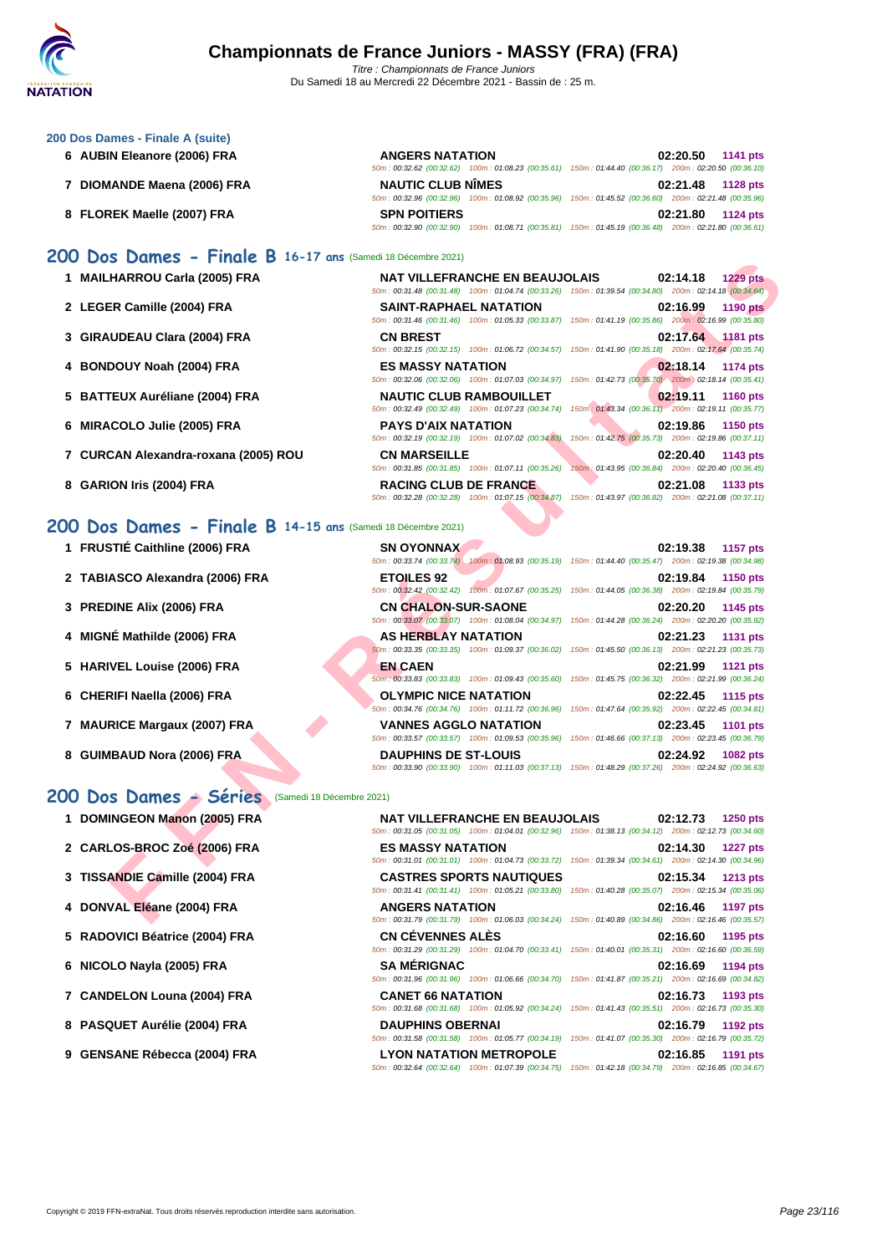### **[200 Dos D](http://www.ffnatation.fr/webffn/index.php)ames - Finale A (suite)**

- **6 AUBIN Eleanore (2006) FRA ANGERS NATATION 02:20.50 1141 pts**
- **7 DIOMANDE Maena (2006) FRA NAUTIC CLUB NÎMES 02:21.48 1128 pts**

**1 MAILHARROU Carla (2005) FRA** 

**3 GIRAUDEAU Clara (2004) FRA** 

**5 BATTEUX Auréliane (2004) FRA** 

**7** CURCAN Alexandra-roxana (2005) ROU

**4 BONDOUY Noah (2004) FRA ES MASSY NATATION 02:18.14 1174 pts**

**6 MIRACOLO Julie (2005) FRA** 

**8 GARION Iris (2004) FRA** 

2 LEGER Camille (2004) FRA

**8 FLOREK Maelle (2007) FRA SPN POITIERS 02:21.80 1124 pts**

### **200 Dos Dames - Finale B 16-17 ans** (Samedi 18 Décembre 2021)

| $\sim$ Durines - Findle D $\sim$ 10-17 ans (Samed to becomple 2021) |                                                                                                                                                 |                                                                                                                                           |
|---------------------------------------------------------------------|-------------------------------------------------------------------------------------------------------------------------------------------------|-------------------------------------------------------------------------------------------------------------------------------------------|
| HARROU Carla (2005) FRA                                             | <b>NAT VILLEFRANCHE EN BEAUJOLAIS</b>                                                                                                           | 02:14.18<br><b>1229 pts</b><br>50m : 00:31.48 (00:31.48) 100m : 01:04.74 (00:33.26) 150m : 01:39.54 (00:34.80) 200m : 02:14.18 (00:34.64) |
| ER Camille (2004) FRA                                               | <b>SAINT-RAPHAEL NATATION</b>                                                                                                                   | 02:16.99<br><b>1190 pts</b><br>50m : 00:31.46 (00:31.46) 100m : 01:05.33 (00:33.87) 150m : 01:41.19 (00:35.86) 200m : 02:16.99 (00:35.80) |
| <b>\UDEAU Clara (2004) FRA</b>                                      | <b>CN BREST</b>                                                                                                                                 | 02:17.64 1181 pts<br>50m: 00:32.15 (00:32.15) 100m: 01:06.72 (00:34.57) 150m: 01:41.90 (00:35.18) 200m: 02:17.64 (00:35.74)               |
| DOUY Noah (2004) FRA                                                | <b>ES MASSY NATATION</b><br>50m: 00:32.06 (00:32.06) 100m: 01:07.03 (00:34.97)                                                                  | 02:18.14<br><b>1174 pts</b><br>150m: 01:42.73 (00:35.70) 200m: 02:18.14 (00:35.41)                                                        |
| <b>TEUX Auréliane (2004) FRA</b>                                    | <b>NAUTIC CLUB RAMBOUILLET</b>                                                                                                                  | 02:19.11<br><b>1160 pts</b><br>50m: 00:32.49 (00:32.49) 100m: 01:07.23 (00:34.74) 150m: 01:43.34 (00:36.11) 200m: 02:19.11 (00:35.77)     |
| <b>\COLO Julie (2005) FRA</b>                                       | <b>PAYS D'AIX NATATION</b>                                                                                                                      | 02:19.86<br><b>1150 pts</b><br>50m : 00:32.19 (00:32.19) 100m : 01:07.02 (00:34.83) 150m : 01:42.75 (00:35.73) 200m : 02:19.86 (00:37.11) |
| CAN Alexandra-roxana (2005) ROU                                     | <b>CN MARSEILLE</b><br>50m: 00:31.85 (00:31.85) 100m: 01:07.11 (00:35.26)                                                                       | 02:20.40<br>1143 pts<br>150m: 01:43.95 (00:36.84) 200m: 02:20.40 (00:36.45)                                                               |
| ION Iris (2004) FRA                                                 | <b>RACING CLUB DE FRANCE</b>                                                                                                                    | 02:21.08<br>1133 pts<br>50m: 00:32.28 (00:32.28) 100m: 01:07.15 (00:34.87) 150m: 01:43.97 (00:36.82) 200m: 02:21.08 (00:37.11)            |
| <b>S Dames - Finale B 14-15 ans</b> (Samedi 18 Décembre 2021)       |                                                                                                                                                 |                                                                                                                                           |
| STIÉ Caithline (2006) FRA                                           | <b>SN OYONNAX</b><br>50m : 00:33.74 (00:33.74) 100m : 01:08.93 (00:35.19) 150m : 01:44.40 (00:35.47) 200m : 02:19.38 (00:34.98)                 | 02:19.38<br>1157 pts                                                                                                                      |
| ASCO Alexandra (2006) FRA                                           | <b>ETOILES 92</b>                                                                                                                               | 02:19.84<br><b>1150 pts</b><br>50m : 00:32.42 (00:32.42) 100m : 01:07.67 (00:35.25) 150m : 01:44.05 (00:36.38) 200m : 02:19.84 (00:35.79) |
| DINE Alix (2006) FRA                                                | <b>CN CHALON-SUR-SAONE</b><br>50m: 00:33.07 (00:33.07) 100m: 01:08.04 (00:34.97) 150m: 01:44.28 (00:36.24) 200m: 02:20.20 (00:35.92)            | 02:20.20<br>1145 pts                                                                                                                      |
| IÉ Mathilde (2006) FRA                                              | AS HERBLAY NATATION                                                                                                                             | 02:21.23<br><b>1131 pts</b><br>60m : 00:33.35 (00:33.35) 100m : 01:09.37 (00:36.02) 150m : 01:45.50 (00:36.13) 200m : 02:21.23 (00:35.73) |
| <b>IVEL Louise (2006) FRA</b>                                       | <b>EN CAEN</b><br>50m; 00:33.83 (00:33.83) 100m: 01:09.43 (00:35.60) 150m: 01:45.75 (00:36.32) 200m: 02:21.99 (00:36.24)                        | 02:21.99<br><b>1121 pts</b>                                                                                                               |
| RIFI Naella (2006) FRA                                              | <b>OLYMPIC NICE NATATION</b><br>50m: 00:34.76 (00:34.76) 100m: 01:11.72 (00:36.96) 150m: 01:47.64 (00:35.92) 200m: 02:22.45 (00:34.81)          | 02:22.45<br>1115 pts                                                                                                                      |
| RICE Margaux (2007) FRA                                             | <b>VANNES AGGLO NATATION</b><br>50m: 00:33.57 (00:33.57) 100m: 01:09.53 (00:35.96) 150m: 01:46.66 (00:37.13) 200m: 02:23.45 (00:36.79)          | 02:23.45<br><b>1101 pts</b>                                                                                                               |
| <b>IBAUD Nora (2006) FRA</b>                                        | <b>DAUPHINS DE ST-LOUIS</b><br>50m: 00:33.90 (00:33.90) 100m: 01:11.03 (00:37.13) 150m: 01:48.29 (00:37.26) 200m: 02:24.92 (00:36.63)           | 02:24.92<br><b>1082 pts</b>                                                                                                               |
| s Dames - Séries<br>(Samedi 18 Décembre 2021)                       |                                                                                                                                                 |                                                                                                                                           |
| <b>INGEON Manon (2005) FRA</b>                                      | <b>NAT VILLEFRANCHE EN BEAUJOLAIS</b><br>50m: 00:31.05 (00:31.05) 100m: 01:04.01 (00:32.96) 150m: 01:38.13 (00:34.12) 200m: 02:12.73 (00:34.60) | 02:12.73<br>1250 pts                                                                                                                      |
| LOS-BROC Zoé (2006) FRA                                             | <b>ES MASSY NATATION</b><br>50m: 00:31.01 (00:31.01) 100m: 01:04.73 (00:33.72) 150m: 01:39.34 (00:34.61) 200m: 02:14.30 (00:34.96)              | 02:14.30<br><b>1227 pts</b>                                                                                                               |
| <b>ANDIE Camille (2004) FRA</b>                                     | <b>CASTRES SPORTS NAUTIQUES</b>                                                                                                                 | 02:15.34<br>1213 pts<br>50m: 00:31.41 (00:31.41) 100m: 01:05.21 (00:33.80) 150m: 01:40.28 (00:35.07) 200m: 02:15.34 (00:35.06)            |
| VAL Eléane (2004) FRA                                               | <b>ANGERS NATATION</b>                                                                                                                          | 02:16.46<br><b>1197 pts</b><br>50m: 00:31.79 (00:31.79) 100m: 01:06.03 (00:34.24) 150m: 01:40.89 (00:34.86) 200m: 02:16.46 (00:35.57)     |

50m : 00:32.62 (00:32.62) 100m : 01:08.23 (00:35.61) 150m : 01:44.40 (00:36.17) 200m : 02:20.50 (00:36.10)

50m : 00:32.96 (00:32.96) 100m : 01:08.92 (00:35.96) 150m : 01:45.52 (00:36.60) 200m : 02:21.48 (00:35.96)

50m : 00:32.90 (00:32.90) 100m : 01:08.71 (00:35.81) 150m : 01:45.19 (00:36.48) 200m : 02:21.80 (00:36.61)

### **200 Dos Dames - Finale B 14-15 ans** (Samedi 18 Décembre 2021)

- **1 FRUSTIÉ Caithline (2006) FRA SN OYONNAX 02:19.38 1157 pts**
- **2 TABIASCO Alexandra (2006) FRA ETOILES 92 02:19.84 1150 pts**
- **3 PREDINE Alix (2006) FRA CN CHALON-SUR-SAONE 02:20.20 1145 pts**
- **4 MIGNÉ Mathilde (2006) FRA AS HERBLAY NATATION 02:21.23 1131 pts**
- **5 HARIVEL Louise (2006) FRA EN CAEN 02:21.99 1121 pts**
- **6 CHERIFI Naella (2006) FRA OLYMPIC NICE NATATION 02:22.45 1115 pts**
- **7 MAURICE Margaux (2007) FRA VANNES AGGLO NATATION 02:23.45 1101 pts**
- **8 GUIMBAUD Nora (2006) FRA DAUPHINS DE ST-LOUIS 02:24.92 1082 pts**

### **200 Dos Dames - Séries** (Samedi 18 Décembre 2021)

| 1 DOMINGEON Manon (2005) FRA   | NAT VILLEFRANCHE EN BEAUJOLAIS  | 02:12.73 1250 pts                                                                                      |
|--------------------------------|---------------------------------|--------------------------------------------------------------------------------------------------------|
|                                |                                 | 50m: 00:31.05 (00:31.05) 100m: 01:04.01 (00:32.96) 150m: 01:38.13 (00:34.12) 200m: 02:12.73 (00:34.60) |
| 2 CARLOS-BROC Zoé (2006) FRA   | <b>ES MASSY NATATION</b>        | 02:14.30<br><b>1227 pts</b>                                                                            |
|                                |                                 | 50m: 00:31.01 (00:31.01) 100m: 01:04.73 (00:33.72) 150m: 01:39.34 (00:34.61) 200m: 02:14.30 (00:34.96) |
| 3 TISSANDIE Camille (2004) FRA | <b>CASTRES SPORTS NAUTIQUES</b> | 02:15.34<br><b>1213 pts</b>                                                                            |
|                                |                                 | 50m: 00:31.41 (00:31.41) 100m: 01:05.21 (00:33.80) 150m: 01:40.28 (00:35.07) 200m: 02:15.34 (00:35.06) |
| 4 DONVAL Eléane (2004) FRA     | <b>ANGERS NATATION</b>          | 02:16.46<br>1197 pts                                                                                   |
|                                |                                 | 50m: 00:31.79 (00:31.79) 100m: 01:06.03 (00:34.24) 150m: 01:40.89 (00:34.86) 200m: 02:16.46 (00:35.57) |
| 5 RADOVICI Béatrice (2004) FRA | <b>CN CÉVENNES ALÈS</b>         | 02:16.60<br>1195 pts                                                                                   |
|                                |                                 | 50m: 00:31.29 (00:31.29) 100m: 01:04.70 (00:33.41) 150m: 01:40.01 (00:35.31) 200m: 02:16.60 (00:36.59) |
| 6 NICOLO Nayla (2005) FRA      | <b>SA MÉRIGNAC</b>              | 02:16.69<br>1194 pts                                                                                   |
|                                |                                 | 50m: 00:31.96 (00:31.96) 100m: 01:06.66 (00:34.70) 150m: 01:41.87 (00:35.21) 200m: 02:16.69 (00:34.82) |
| 7 CANDELON Louna (2004) FRA    | <b>CANET 66 NATATION</b>        | 02:16.73<br>1193 pts                                                                                   |
|                                |                                 | 50m: 00:31.68 (00:31.68) 100m: 01:05.92 (00:34.24) 150m: 01:41.43 (00:35.51) 200m: 02:16.73 (00:35.30) |
| 8 PASQUET Aurélie (2004) FRA   | <b>DAUPHINS OBERNAI</b>         | 02:16.79<br>1192 pts                                                                                   |
|                                |                                 | 50m: 00:31.58 (00:31.58) 100m: 01:05.77 (00:34.19) 150m: 01:41.07 (00:35.30) 200m: 02:16.79 (00:35.72) |
| 9 GENSANE Rébecca (2004) FRA   | <b>LYON NATATION METROPOLE</b>  | 02:16.85<br><b>1191 pts</b>                                                                            |
|                                |                                 | 50m: 00:32.64 (00:32.64) 100m: 01:07.39 (00:34.75) 150m: 01:42.18 (00:34.79) 200m: 02:16.85 (00:34.67) |
|                                |                                 |                                                                                                        |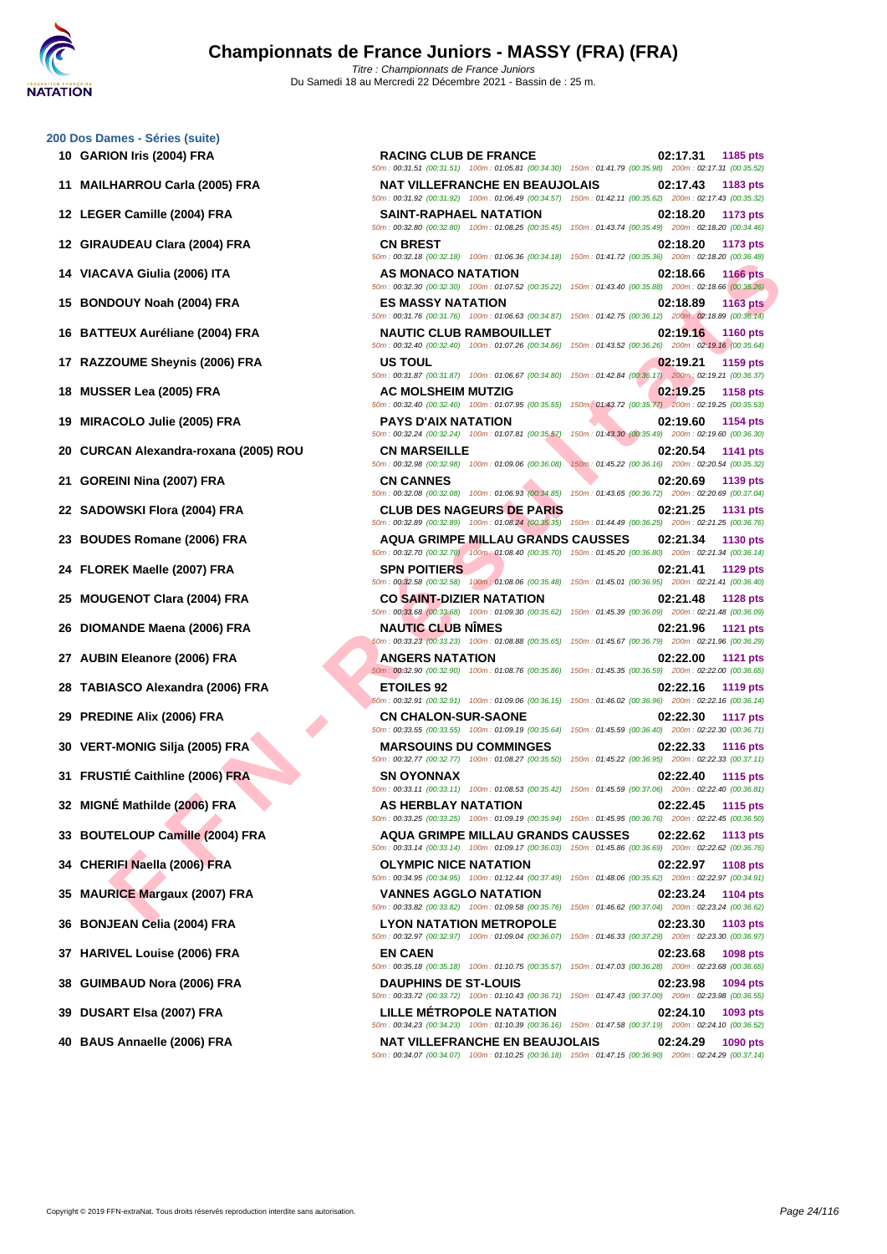### **[200 Dos D](http://www.ffnatation.fr/webffn/index.php)ames - Séries (suite)**

- 
- 
- 
- 
- 
- 
- 
- 
- 
- 
- 
- 
- 
- 
- 
- 
- 
- 
- 
- 
- 
- 
- 
- 
- 
- 
- 
- 
- 
- 
- 

**F F N - R É SUAGNACION (1999) F F A - R É SUAGNACION ATAITING)**<br> **FEN A - R É SUAGNACION ATAITING**<br> **FEN A - R É SUAGNACION ATAITING (1999) F RA - R É SUAGNACION ATAITING (1999) F R A - R É SUAGNACION ATAITING (1999) F R 10 GARION Iris (2004) FRA RACING CLUB DE FRANCE 02:17.31 1185 pts** 50m : 00:31.51 (00:31.51) 100m : 01:05.81 (00:34.30) 150m : 01:41.79 (00:35.98) 200m : 02:17.31 (00:35.52) **11 MAILHARROU Carla (2005) FRA NAT VILLEFRANCHE EN BEAUJOLAIS 02:17.43 1183 pts** 50m : 00:31.92 (00:31.92) 100m : 01:06.49 (00:34.57) 150m : 01:42.11 (00:35.62) 200m : 02:17.43 (00:35.32) **12 LEGER Camille (2004) FRA SAINT-RAPHAEL NATATION 02:18.20 1173 pts** 50m : 00:32.80 (00:32.80) 100m : 01:08.25 (00:35.45) 150m : 01:43.74 (00:35.49) 200m : 02:18.20 (00:34.46) **12 GIRAUDEAU Clara (2004) FRA CN BREST 02:18.20 1173 pts** 50m : 00:32.18 (00:32.18) 100m : 01:06.36 (00:34.18) 150m : 01:41.72 (00:35.36) 200m : 02:18.20 (00:36.48) **14 VIACAVA Giulia (2006) ITA AS MONACO NATATION 02:18.66 1166 pts** 50m : 00:32.30 (00:32.30) 100m : 01:07.52 (00:35.22) 150m : 01:43.40 (00:35.88) 200m : 02:18.66 (00:35.26) **15 BONDOUY Noah (2004) FRA ES MASSY NATATION 02:18.89 1163 pts** 50m : 00:31.76 (00:31.76) 100m : 01:06.63 (00:34.87) 150m : 01:42.75 (00:36.12) 200m : 02:18.89 (00:36.14) **16 BATTEUX Auréliane (2004) FRA NAUTIC CLUB RAMBOUILLET 02:19.16 1160 pts** 50m : 00:32.40 (00:32.40) 100m : 01:07.26 (00:34.86) 150m : 01:43.52 (00:36.26) 200m : 02:19.16 (00:35.64) **17 RAZZOUME Sheynis (2006) FRA US TOUL 02:19.21 1159 pts** 50m : 00:31.87 (00:31.87) 100m : 01:06.67 (00:34.80) 150m : 01:42.84 (00:36.17) 200m : 02:19.21 (00:36.37) **18 MUSSER Lea (2005) FRA AC MOLSHEIM MUTZIG 02:19.25 1158 pts** 50m : 00:32.40 (00:32.40) 100m : 01:07.95 (00:35.55) 150m : 01:43.72 (00:35.77) 200m : 02:19.25 (00:35.53) **19 MIRACOLO Julie (2005) FRA PAYS D'AIX NATATION 02:19.60 1154 pts** 50m : 00:32.24 (00:32.24) 100m : 01:07.81 (00:35.57) 150m : 01:43.30 (00:35.49) 200m : 02:19.60 (00:36.30) **20 CURCAN Alexandra-roxana (2005) ROU CN MARSEILLE 02:20.54 1141 pts** 50m : 00:32.98 (00:32.98) 100m : 01:09.06 (00:36.08) 150m : 01:45.22 (00:36.16) 200m : 02:20.54 (00:35.32) **21 GOREINI Nina (2007) FRA CN CANNES 02:20.69 1139 pts** 50m : 00:32.08 (00:32.08) 100m : 01:06.93 (00:34.85) 150m : 01:43.65 (00:36.72) 200m : 02:20.69 (00:37.04) **22 SADOWSKI Flora (2004) FRA CLUB DES NAGEURS DE PARIS 02:21.25 1131 pts** 50m : 00:32.89 (00:32.89) 100m : 01:08.24 (00:35.35) 150m : 01:44.49 (00:36.25) 200m : 02:21.25 (00:36.76) **23 BOUDES Romane (2006) FRA AQUA GRIMPE MILLAU GRANDS CAUSSES 02:21.34 1130 pts** 50m : 00:32.70 (00:32.70) 100m : 01:08.40 (00:35.70) 150m : 01:45.20 (00:36.80) 200m : 02:21.34 (00:36.14) **24 FLOREK Maelle (2007) FRA SPN POITIERS 02:21.41 1129 pts** 50m : 00:32.58 (00:32.58) 100m : 01:08.06 (00:35.48) 150m : 01:45.01 (00:36.95) 200m : 02:21.41 (00:36.40) **25 MOUGENOT Clara (2004) FRA CO SAINT-DIZIER NATATION 02:21.48 1128 pts** 50m : 00:33.68 (00:33.68) 100m : 01:09.30 (00:35.62) 150m : 01:45.39 (00:36.09) 200m : 02:21.48 (00:36.09) **26 DIOMANDE Maena (2006) FRA NAUTIC CLUB NÎMES 02:21.96 1121 pts** 50m : 00:33.23 (00:33.23) 100m : 01:08.88 (00:35.65) 150m : 01:45.67 (00:36.79) 200m : 02:21.96 (00:36.29) **27 AUBIN Eleanore (2006) FRA ANGERS NATATION 02:22.00 1121 pts** 50m : 00:32.90 (00:32.90) 100m : 01:08.76 (00:35.86) 150m : 01:45.35 (00:36.59) 200m : 02:22.00 (00:36.65) **28 TABIASCO Alexandra (2006) FRA ETOILES 92 02:22.16 1119 pts** 50m : 00:32.91 (00:32.91) 100m : 01:09.06 (00:36.15) 150m : 01:46.02 (00:36.96) 200m : 02:22.16 (00:36.14) **29 PREDINE Alix (2006) FRA CN CHALON-SUR-SAONE 02:22.30 1117 pts** 50m : 00:33.55 (00:33.55) 100m : 01:09.19 (00:35.64) 150m : 01:45.59 (00:36.40) 200m : 02:22.30 (00:36.71) **30 VERT-MONIG Silja (2005) FRA MARSOUINS DU COMMINGES 02:22.33 1116 pts** 50m : 00:32.77 (00:32.77) 100m : 01:08.27 (00:35.50) 150m : 01:45.22 (00:36.95) 200m : 02:22.33 (00:37.11) **31 FRUSTIÉ Caithline (2006) FRA SN OYONNAX 02:22.40 1115 pts** 50m : 00:33.11 (00:33.11) 100m : 01:08.53 (00:35.42) 150m : 01:45.59 (00:37.06) 200m : 02:22.40 (00:36.81) **32 MIGNÉ Mathilde (2006) FRA AS HERBLAY NATATION 02:22.45 1115 pts** 50m : 00:33.25 (00:33.25) 100m : 01:09.19 (00:35.94) 150m : 01:45.95 (00:36.76) 200m : 02:22.45 (00:36.50) **33 BOUTELOUP Camille (2004) FRA AQUA GRIMPE MILLAU GRANDS CAUSSES 02:22.62 1113 pts** 50m : 00:33.14 (00:33.14) 100m : 01:09.17 (00:36.03) 150m : 01:45.86 (00:36.69) 200m : 02:22.62 (00:36.76) **34 CHERIFI Naella (2006) FRA OLYMPIC NICE NATATION 02:22.97 1108 pts** 50m : 00:34.95 (00:34.95) 100m : 01:12.44 (00:37.49) 150m : 01:48.06 (00:35.62) 200m : 02:22.97 (00:34.91) **35 MAURICE Margaux (2007) FRA VANNES AGGLO NATATION 02:23.24 1104 pts** 50m : 00:33.82 (00:33.82) 100m : 01:09.58 (00:35.76) 150m : 01:46.62 (00:37.04) 200m : 02:23.24 (00:36.62) **36 BONJEAN Celia (2004) FRA LYON NATATION METROPOLE 02:23.30 1103 pts** 50m : 00:32.97 (00:32.97) 100m : 01:09.04 (00:36.07) 150m : 01:46.33 (00:37.29) 200m : 02:23.30 (00:36.97) **37 HARIVEL Louise (2006) FRA EN CAEN 02:23.68 1098 pts** 50m : 00:35.18 (00:35.18) 100m : 01:10.75 (00:35.57) 150m : 01:47.03 (00:36.28) 200m : 02:23.68 (00:36.65) **38 GUIMBAUD Nora (2006) FRA DAUPHINS DE ST-LOUIS 02:23.98 1094 pts** 50m : 00:33.72 (00:33.72) 100m : 01:10.43 (00:36.71) 150m : 01:47.43 (00:37.00) 200m : 02:23.98 (00:36.55) **39 DUSART Elsa (2007) FRA LILLE MÉTROPOLE NATATION 02:24.10 1093 pts**

50m : 00:34.23 (00:34.23) 100m : 01:10.39 (00:36.16) 150m : 01:47.58 (00:37.19) 200m : 02:24.10 (00:36.52) **40 BAUS Annaelle (2006) FRA NAT VILLEFRANCHE EN BEAUJOLAIS 02:24.29 1090 pts**

50m : 00:34.07 (00:34.07) 100m : 01:10.25 (00:36.18) 150m : 01:47.15 (00:36.90) 200m : 02:24.29 (00:37.14)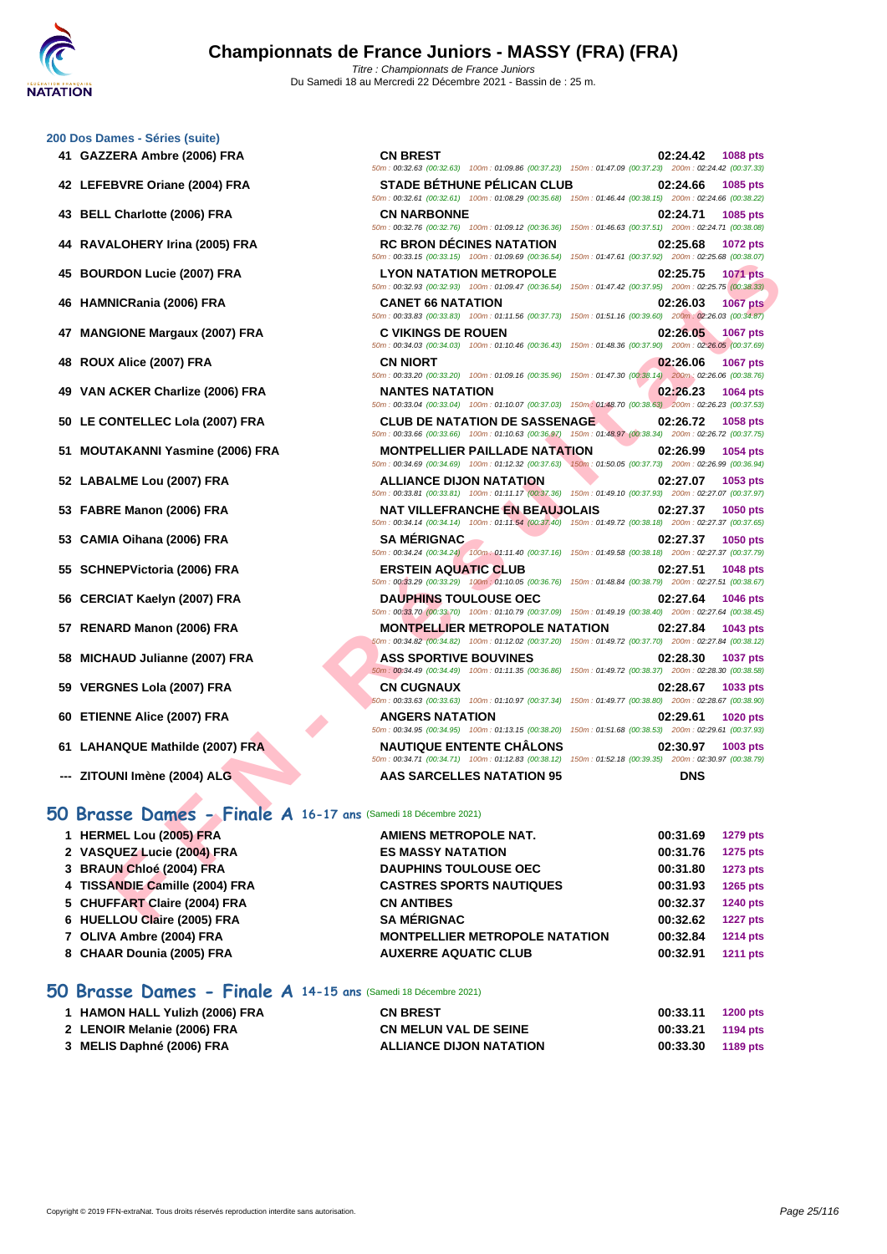50m : 00:32.63 (00:32.63) 100m : 01:09.86 (00:37.23) 150m : 01:47.09 (00:37.23) 200m : 02:24.42 (00:37.33)

50m : 00:32.61 (00:32.61) 100m : 01:08.29 (00:35.68) 150m : 01:46.44 (00:38.15) 200m : 02:24.66 (00:38.22)

50m : 00:32.76 (00:32.76) 100m : 01:09.12 (00:36.36) 150m : 01:46.63 (00:37.51) 200m : 02:24.71 (00:38.08)

50m : 00:33.15 (00:33.15) 100m : 01:09.69 (00:36.54) 150m : 01:47.61 (00:37.92) 200m : 02:25.68 (00:38.07)

### **[200 Dos D](http://www.ffnatation.fr/webffn/index.php)ames - Séries (suite) 41 GAZZERA Ambre (2006) FRA CN BREST 02:24.42 1088 pts**

- **42 LEFEBVRE Oriane (2004) FRA STADE BÉTHUNE PÉLICAN CLUB 02:24.66 1085 pts**
- **43 BELL Charlotte (2006) FRA CN NARBONNE 02:24.71 1085 pts**
- **44 RAVALOHERY Irina (2005) FRA RC BRON DÉCINES NATATION 02:25.68 1072 pts**
- **45 BOURDON Lucie (2007) FRA LYON NATATION METROPOLE 02:25.75 1071 pts**
- **46 HAMNICRania (2006) FRA CANET 66 NATATION 02:26.03 1067 pts**
- **47 MANGIONE Margaux (2007) FRA C VIKINGS DE ROUEN 02:26.05 1067 pts**
- **48 ROUX Alice (2007) FRA CN NIORT 02:26.06 1067 pts**
- **49 VAN ACKER Charlize (2006) FRA NANTES NATATION 02:26.23 1064 pts**
- **50 LE CONTELLEC Lola (2007) FRA CLUB DE NATATION DE SASSENAGE 02:26.72 1058 pts**
- **51 MOUTAKANNI Yasmine (2006) FRA MONTPELLIER PAILLADE NATATION 02:26.99 1054 pts**
- **52 LABALME Lou (2007) FRA ALLIANCE DIJON NATATION 02:27.07 1053 pts**
- **53 FABRE Manon (2006) FRA NAT VILLEFRANCHE EN BEAUJOLAIS 02:27.37 1050 pts**
- **53 CAMIA Oihana (2006) FRA SA MÉRIGNAC 02:27.37 1050 pts**
- **55 SCHNEPVictoria (2006) FRA ERSTEIN AQUATIC CLUB 02:27.51 1048 pts**
- **56 CERCIAT Kaelyn (2007) FRA DAUPHINS TOULOUSE OEC 02:27.64 1046 pts**
- **57 RENARD Manon (2006) FRA MONTPELLIER METROPOLE NATATION 02:27.84 1043 pts**
- **58 MICHAUD Julianne (2007) FRA ASS SPORTIVE BOUVINES 02:28.30 1037 pts**
- **59 VERGNES Lola (2007) FRA CN CUGNAUX 02:28.67 1033 pts**
- **60 ETIENNE Alice (2007) FRA ANGERS NATATION 02:29.61 1020 pts**
- **61 LAHANQUE Mathilde (2007) FRA NAUTIQUE ENTENTE CHÂLONS 02:30.97 1003 pts**
- **--- ZITOUNI Imène (2004) ALG AAS SARCELLES NATATION 95 DNS**

### **50 Brasse Dames - Finale A 16-17 ans** (Samedi 18 Décembre 2021)

|                                                                | $10011.01.41.01$ $100.01.32$                                                                                                                       |                             |
|----------------------------------------------------------------|----------------------------------------------------------------------------------------------------------------------------------------------------|-----------------------------|
| 45 BOURDON Lucie (2007) FRA                                    | <b>LYON NATATION METROPOLE</b><br>50m: 00:32.93 (00:32.93) 100m: 01:09.47 (00:36.54) 150m: 01:47.42 (00:37.95) 200m: 02:25.75 (00:38.33)           | 02:25.75<br><b>1071 pts</b> |
| 46 HAMNICRania (2006) FRA                                      | <b>CANET 66 NATATION</b><br>50m : 00:33.83 (00:33.83) 100m : 01:11.56 (00:37.73) 150m : 01:51.16 (00:39.60) 200m : 02:26.03 (00:34.87)             | 02:26.03<br><b>1067 pts</b> |
| 47 MANGIONE Margaux (2007) FRA                                 | <b>C VIKINGS DE ROUEN</b><br>50m: 00:34.03 (00:34.03) 100m: 01:10.46 (00:36.43) 150m: 01:48.36 (00:37.90) 200m: 02:26.05 (00:37.69)                | 02:26.05<br>1067 pts        |
| 48 ROUX Alice (2007) FRA                                       | <b>CN NIORT</b><br>50m : 00:33.20 (00:33.20) 100m : 01:09.16 (00:35.96) 150m : 01:47.30 (00:38.14) 200m : 02:26.06 (00:38.76)                      | 02:26.06<br><b>1067 pts</b> |
| 49 VAN ACKER Charlize (2006) FRA                               | <b>NANTES NATATION</b><br>50m: 00:33.04 (00:33.04) 100m: 01:10.07 (00:37.03) 150m: 01:48.70 (00:38.63) 200m: 02:26.23 (00:37.53)                   | 02:26.23<br><b>1064 pts</b> |
| 50 LE CONTELLEC Lola (2007) FRA                                | <b>CLUB DE NATATION DE SASSENAGE</b><br>50m : 00:33.66 (00:33.66) 100m : 01:10.63 (00:36.97) 150m : 01:48.97 (00:38.34) 200m : 02:26.72 (00:37.75) | 02:26.72<br>1058 pts        |
| 51 MOUTAKANNI Yasmine (2006) FRA                               | <b>MONTPELLIER PAILLADE NATATION</b><br>50m : 00:34.69 (00:34.69) 100m : 01:12.32 (00:37.63) 150m : 01:50.05 (00:37.73) 200m : 02:26.99 (00:36.94) | 02:26.99<br>1054 pts        |
| 52 LABALME Lou (2007) FRA                                      | <b>ALLIANCE DIJON NATATION</b><br>50m: 00:33.81 (00:33.81) 100m: 01:11.17 (00:37.36) 150m: 01:49.10 (00:37.93) 200m: 02:27.07 (00:37.97)           | 02:27.07<br>1053 pts        |
| 53 FABRE Manon (2006) FRA                                      | <b>NAT VILLEFRANCHE EN BEAUJOLAIS</b><br>50m: 00:34.14 (00:34.14) 100m: 01:11.54 (00:37.40) 150m: 01:49.72 (00:38.18) 200m: 02:27.37 (00:37.65)    | 02:27.37<br><b>1050 pts</b> |
| 53 CAMIA Oihana (2006) FRA                                     | <b>SA MERIGNAC</b><br>50m: 00:34.24 (00:34.24) 100m: 01:11.40 (00:37.16) 150m: 01:49.58 (00:38.18) 200m: 02:27.37 (00:37.79)                       | 02:27.37<br><b>1050 pts</b> |
| 55 SCHNEPVictoria (2006) FRA                                   | <b>ERSTEIN AQUATIC CLUB</b><br>50m : 00:33.29 (00:33.29) 100m : 01:10.05 (00:36.76) 150m : 01:48.84 (00:38.79) 200m : 02:27.51 (00:38.67)          | 02:27.51<br><b>1048 pts</b> |
| 56 CERCIAT Kaelyn (2007) FRA                                   | <b>DAUPHINS TOULOUSE OEC</b><br>50m: 00:33.70 (00:33.70) 100m: 01:10.79 (00:37.09) 150m: 01:49.19 (00:38.40) 200m: 02:27.64 (00:38.45)             | 02:27.64<br>1046 pts        |
| 57 RENARD Manon (2006) FRA                                     | <b>MONTPELLIER METROPOLE NATATION</b><br>50m: 00:34.82 (00:34.82) 100m: 01:12.02 (00:37.20) 150m: 01:49.72 (00:37.70) 200m: 02:27.84 (00:38.12)    | 02:27.84<br>1043 pts        |
| 58 MICHAUD Julianne (2007) FRA                                 | <b>ASS SPORTIVE BOUVINES</b><br>50m : 00:34.49 (00:34.49) 100m : 01:11.35 (00:36.86) 150m : 01:49.72 (00:38.37) 200m : 02:28.30 (00:38.58)         | 02:28.30<br><b>1037 pts</b> |
| 59 VERGNES Lola (2007) FRA                                     | <b>CN CUGNAUX</b><br>60m : 00:33.63 (00:33.63) 100m : 01:10.97 (00:37.34) 150m : 01:49.77 (00:38.80) 200m : 02:28.67 (00:38.90)                    | 02:28.67<br>1033 pts        |
| 60 ETIENNE Alice (2007) FRA                                    | <b>ANGERS NATATION</b><br>50m: 00:34.95 (00:34.95) 100m: 01:13.15 (00:38.20) 150m: 01:51.68 (00:38.53) 200m: 02:29.61 (00:37.93)                   | 02:29.61<br><b>1020 pts</b> |
| 61 LAHANQUE Mathilde (2007) FRA                                | <b>NAUTIQUE ENTENTE CHÂLONS</b><br>50m: 00:34.71 (00:34.71) 100m: 01:12.83 (00:38.12) 150m: 01:52.18 (00:39.35) 200m: 02:30.97 (00:38.79)          | 02:30.97<br>1003 pts        |
| --- ZITOUNI Imène (2004) ALG                                   | AAS SARCELLES NATATION 95                                                                                                                          | <b>DNS</b>                  |
| 50 Brasse Dames - Finale A 16-17 ans (Samedi 18 Décembre 2021) |                                                                                                                                                    |                             |
| 1 HERMEL Lou (2005) FRA                                        | AMIENS METROPOLE NAT.                                                                                                                              | 00:31.69<br><b>1279 pts</b> |
| 2 VASQUEZ Lucie (2004) FRA                                     | <b>ES MASSY NATATION</b>                                                                                                                           | 00:31.76<br><b>1275 pts</b> |
| 3 BRAUN Chloé (2004) FRA                                       | <b>DAUPHINS TOULOUSE OEC</b>                                                                                                                       | 00:31.80<br><b>1273 pts</b> |
| 4 TISSANDIE Camille (2004) FRA                                 | <b>CASTRES SPORTS NAUTIQUES</b>                                                                                                                    | 00:31.93<br>1265 pts        |
| 5 CHUFFART Claire (2004) FRA                                   | <b>CN ANTIBES</b>                                                                                                                                  | 00:32.37<br><b>1240 pts</b> |
| 6 HUELLOU Claire (2005) FRA                                    | <b>SA MÉRIGNAC</b>                                                                                                                                 | 00:32.62<br><b>1227 pts</b> |
| 7 OLIVA Ambre (2004) FRA                                       | <b>MONTPELLIER METROPOLE NATATION</b>                                                                                                              | 00:32.84<br><b>1214 pts</b> |
| 8 CHAAR Dounia (2005) FRA                                      | <b>AUXERRE AQUATIC CLUB</b>                                                                                                                        | 00:32.91<br><b>1211 pts</b> |
|                                                                |                                                                                                                                                    |                             |

### **50 Brasse Dames - Finale A 14-15 ans** (Samedi 18 Décembre 2021)

| 1 HAMON HALL Yulizh (2006) FRA | <b>CN BREST</b>                | 00:33.11          | <b>1200 pts</b> |
|--------------------------------|--------------------------------|-------------------|-----------------|
| 2 LENOIR Melanie (2006) FRA    | <b>CN MELUN VAL DE SEINE</b>   | 00:33.21 1194 pts |                 |
| 3 MELIS Daphné (2006) FRA      | <b>ALLIANCE DIJON NATATION</b> | 00:33.30          | 1189 pts        |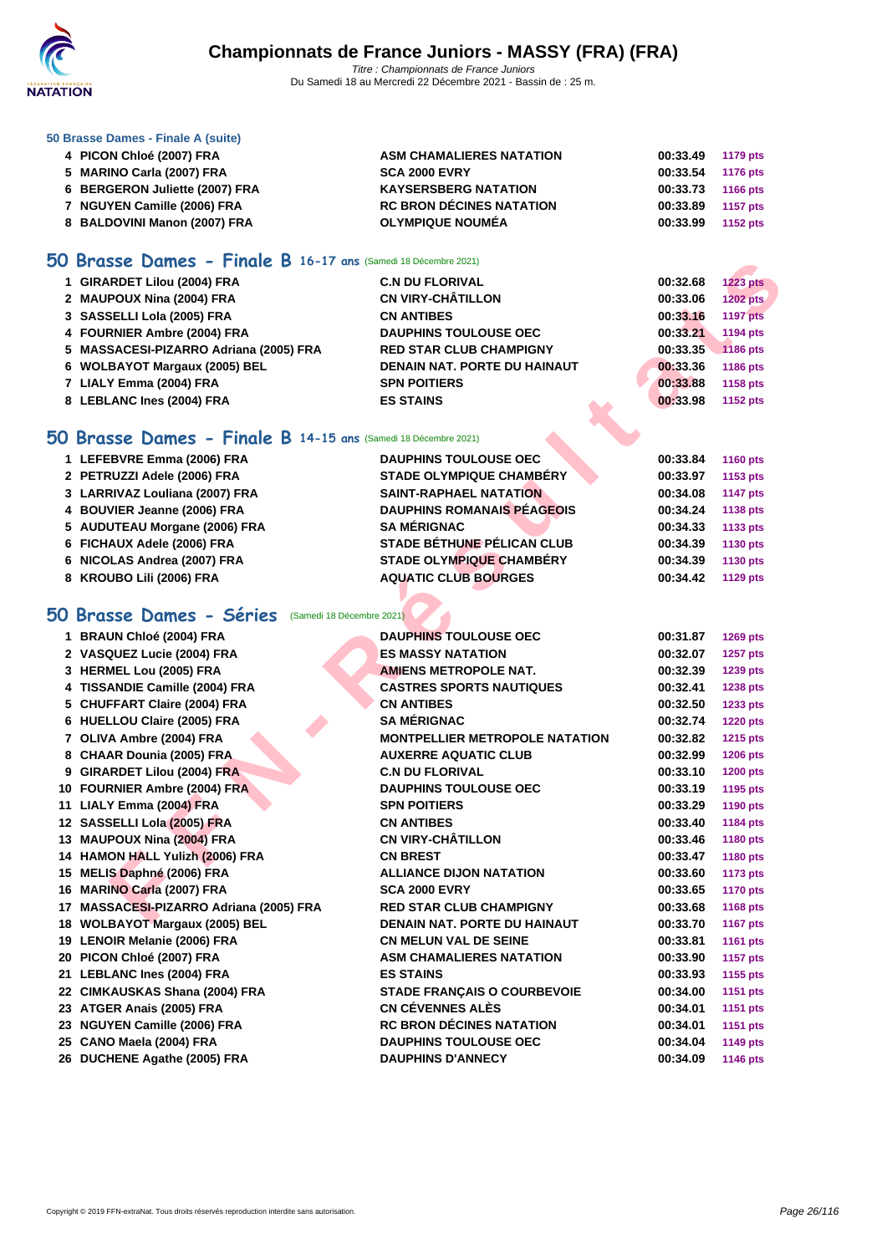

### **[50 Brasse](http://www.ffnatation.fr/webffn/index.php) Dames - Finale A (suite)**

| 4 PICON Chloé (2007) FRA       | <b>ASM CHAMALIERES NATATION</b> | 00:33.49 1179 pts |  |
|--------------------------------|---------------------------------|-------------------|--|
| 5 MARINO Carla (2007) FRA      | <b>SCA 2000 EVRY</b>            | 00:33.54 1176 pts |  |
| 6 BERGERON Juliette (2007) FRA | <b>KAYSERSBERG NATATION</b>     | 00:33.73 1166 pts |  |
| 7 NGUYEN Camille (2006) FRA    | <b>RC BRON DÉCINES NATATION</b> | 00:33.89 1157 pts |  |
| 8 BALDOVINI Manon (2007) FRA   | <b>OLYMPIQUE NOUMÉA</b>         | 00:33.99 1152 pts |  |

### **50 Brasse Dames - Finale B 16-17 ans** (Samedi 18 Décembre 2021)

| 1 GIRARDET Lilou (2004) FRA            | <b>C.N DU FLORIVAL</b>              | 00:32.68 | <b>1223 pts</b> |
|----------------------------------------|-------------------------------------|----------|-----------------|
| 2 MAUPOUX Nina (2004) FRA              | <b>CN VIRY-CHÂTILLON</b>            | 00:33.06 | 1202 pts        |
| 3 SASSELLI Lola (2005) FRA             | <b>CN ANTIBES</b>                   | 00:33.16 | <b>1197 pts</b> |
| 4 FOURNIER Ambre (2004) FRA            | <b>DAUPHINS TOULOUSE OEC</b>        | 00:33.21 | 1194 pts        |
| 5 MASSACESI-PIZARRO Adriana (2005) FRA | <b>RED STAR CLUB CHAMPIGNY</b>      | 00:33.35 | 1186 pts        |
| 6 WOLBAYOT Margaux (2005) BEL          | <b>DENAIN NAT, PORTE DU HAINAUT</b> | 00:33.36 | 1186 pts        |
| 7 LIALY Emma (2004) FRA                | <b>SPN POITIERS</b>                 | 00:33.88 | 1158 pts        |
| 8 LEBLANC Ines (2004) FRA              | <b>ES STAINS</b>                    | 00:33.98 | 1152 pts        |

### **50 Brasse Dames - Finale B 14-15 ans** (Samedi 18 Décembre 2021)

| 1 LEFEBVRE Emma (2006) FRA     | <b>DAUPHINS TOULOUSE OEC</b>      | 00:33.84 | <b>1160 pts</b> |
|--------------------------------|-----------------------------------|----------|-----------------|
|                                |                                   |          |                 |
| 2 PETRUZZI Adele (2006) FRA    | <b>STADE OLYMPIQUE CHAMBÉRY</b>   | 00:33.97 | 1153 pts        |
| 3 LARRIVAZ Louliana (2007) FRA | <b>SAINT-RAPHAEL NATATION</b>     | 00:34.08 | <b>1147 pts</b> |
| 4 BOUVIER Jeanne (2006) FRA    | <b>DAUPHINS ROMANAIS PÉAGEOIS</b> | 00:34.24 | 1138 pts        |
| 5 AUDUTEAU Morgane (2006) FRA  | <b>SA MÉRIGNAC</b>                | 00:34.33 | 1133 pts        |
| 6 FICHAUX Adele (2006) FRA     | <b>STADE BÉTHUNE PÉLICAN CLUB</b> | 00:34.39 | 1130 pts        |
| 6 NICOLAS Andrea (2007) FRA    | <b>STADE OLYMPIQUE CHAMBÉRY</b>   | 00:34.39 | 1130 pts        |
| 8 KROUBO Lili (2006) FRA       | <b>AQUATIC CLUB BOURGES</b>       | 00:34.42 | 1129 pts        |
|                                |                                   |          |                 |

# **50 Brasse Dames - Séries** (Samedi 18 Décembre 2021)

| <b>Brasse Dames - Finale B 16-17 ans (Samedi 18 Décembre 2021)</b> |                                       |          |                 |
|--------------------------------------------------------------------|---------------------------------------|----------|-----------------|
| 1 GIRARDET Lilou (2004) FRA                                        | <b>C.N DU FLORIVAL</b>                | 00:32.68 | <b>1223 pts</b> |
| 2 MAUPOUX Nina (2004) FRA                                          | <b>CN VIRY-CHÂTILLON</b>              | 00:33.06 | <b>1202 pts</b> |
| 3 SASSELLI Lola (2005) FRA                                         | <b>CN ANTIBES</b>                     | 00:33.16 | <b>1197 pts</b> |
| 4 FOURNIER Ambre (2004) FRA                                        | <b>DAUPHINS TOULOUSE OEC</b>          | 00:33.21 | 1194 pts        |
| 5 MASSACESI-PIZARRO Adriana (2005) FRA                             | <b>RED STAR CLUB CHAMPIGNY</b>        | 00:33.35 | 1186 pts        |
| 6 WOLBAYOT Margaux (2005) BEL                                      | <b>DENAIN NAT. PORTE DU HAINAUT</b>   | 00:33.36 | 1186 pts        |
| 7 LIALY Emma (2004) FRA                                            | <b>SPN POITIERS</b>                   | 00:33.88 | 1158 pts        |
| 8 LEBLANC Ines (2004) FRA                                          | <b>ES STAINS</b>                      | 00:33.98 | 1152 pts        |
|                                                                    |                                       |          |                 |
| iO Brasse Dames - Finale B 14-15 ans (Samedi 18 Décembre 2021)     |                                       |          |                 |
| 1 LEFEBVRE Emma (2006) FRA                                         | <b>DAUPHINS TOULOUSE OEC</b>          | 00:33.84 | <b>1160 pts</b> |
| 2 PETRUZZI Adele (2006) FRA                                        | <b>STADE OLYMPIQUE CHAMBÉRY</b>       | 00:33.97 | 1153 pts        |
| 3 LARRIVAZ Louliana (2007) FRA                                     | <b>SAINT-RAPHAEL NATATION</b>         | 00:34.08 | <b>1147 pts</b> |
| 4 BOUVIER Jeanne (2006) FRA                                        | <b>DAUPHINS ROMANAIS PÉAGEOIS</b>     | 00:34.24 | 1138 pts        |
| 5 AUDUTEAU Morgane (2006) FRA                                      | <b>SA MÉRIGNAC</b>                    | 00:34.33 | 1133 pts        |
| 6 FICHAUX Adele (2006) FRA                                         | <b>STADE BÉTHUNE PÉLICAN CLUB</b>     | 00:34.39 | 1130 pts        |
| 6 NICOLAS Andrea (2007) FRA                                        | <b>STADE OLYMPIQUE CHAMBÉRY</b>       | 00:34.39 | <b>1130 pts</b> |
| 8 KROUBO Lili (2006) FRA                                           | <b>AQUATIC CLUB BOURGES</b>           | 00:34.42 | <b>1129 pts</b> |
|                                                                    |                                       |          |                 |
| i0 Brasse Dames - Séries<br>(Samedi 18 Décembre 2021)              |                                       |          |                 |
| 1 BRAUN Chloé (2004) FRA                                           | <b>DAUPHINS TOULOUSE OEC</b>          | 00:31.87 | 1269 pts        |
| 2 VASQUEZ Lucie (2004) FRA                                         | <b>ES MASSY NATATION</b>              | 00:32.07 | <b>1257 pts</b> |
| 3 HERMEL Lou (2005) FRA                                            | <b>AMIENS METROPOLE NAT.</b>          | 00:32.39 | 1239 pts        |
| 4 TISSANDIE Camille (2004) FRA                                     | <b>CASTRES SPORTS NAUTIQUES</b>       | 00:32.41 | <b>1238 pts</b> |
| 5 CHUFFART Claire (2004) FRA                                       | <b>CN ANTIBES</b>                     | 00:32.50 | 1233 pts        |
| 6 HUELLOU Claire (2005) FRA                                        | <b>SA MÉRIGNAC</b>                    | 00:32.74 | <b>1220 pts</b> |
| 7 OLIVA Ambre (2004) FRA                                           | <b>MONTPELLIER METROPOLE NATATION</b> | 00:32.82 | 1215 pts        |
| 8 CHAAR Dounia (2005) FRA                                          | <b>AUXERRE AQUATIC CLUB</b>           | 00:32.99 | <b>1206 pts</b> |
| 9 GIRARDET Lilou (2004) FRA                                        | <b>C.N DU FLORIVAL</b>                | 00:33.10 | <b>1200 pts</b> |
| 10 FOURNIER Ambre (2004) FRA                                       | <b>DAUPHINS TOULOUSE OEC</b>          | 00:33.19 | 1195 pts        |
| 11 LIALY Emma (2004) FRA                                           | <b>SPN POITIERS</b>                   | 00:33.29 | 1190 pts        |
| 12 SASSELLI Lola (2005) FRA                                        | <b>CN ANTIBES</b>                     | 00:33.40 | 1184 pts        |
| 13 MAUPOUX Nina (2004) FRA                                         | <b>CN VIRY-CHÂTILLON</b>              | 00:33.46 | 1180 pts        |
| 14 HAMON HALL Yulizh (2006) FRA                                    | <b>CN BREST</b>                       | 00:33.47 | 1180 pts        |
| 15 MELIS Daphné (2006) FRA                                         | <b>ALLIANCE DIJON NATATION</b>        | 00:33.60 | <b>1173 pts</b> |
| 16 MARINO Carla (2007) FRA                                         | <b>SCA 2000 EVRY</b>                  | 00:33.65 | <b>1170 pts</b> |
| 17 MASSACESI-PIZARRO Adriana (2005) FRA                            | <b>RED STAR CLUB CHAMPIGNY</b>        | 00:33.68 | 1168 pts        |
| 18 WOLBAYOT Margaux (2005) BEL                                     | DENAIN NAT. PORTE DU HAINAUT          | 00:33.70 | <b>1167 pts</b> |
| 19 LENOIR Melanie (2006) FRA                                       | <b>CN MELUN VAL DE SEINE</b>          | 00:33.81 | <b>1161 pts</b> |
| 20 PICON Chloé (2007) FRA                                          | <b>ASM CHAMALIERES NATATION</b>       | 00:33.90 | <b>1157 pts</b> |
| 21 LEBLANC Ines (2004) FRA                                         | <b>ES STAINS</b>                      | 00:33.93 | 1155 pts        |
| 22 CIMKAUSKAS Shana (2004) FRA                                     | <b>STADE FRANCAIS O COURBEVOIE</b>    | 00:34.00 | <b>1151 pts</b> |
| 23 ATGER Anais (2005) FRA                                          | <b>CN CÉVENNES ALÈS</b>               | 00:34.01 | <b>1151 pts</b> |
| 23 NGUYEN Camille (2006) FRA                                       | <b>RC BRON DÉCINES NATATION</b>       | 00:34.01 | 1151 pts        |
| 25 CANO Maela (2004) FRA                                           | <b>DAUPHINS TOULOUSE OEC</b>          | 00:34.04 | <b>1149 pts</b> |
| 26 DUCHENE Agathe (2005) FRA                                       | <b>DAUPHINS D'ANNECY</b>              | 00:34.09 | <b>1146 pts</b> |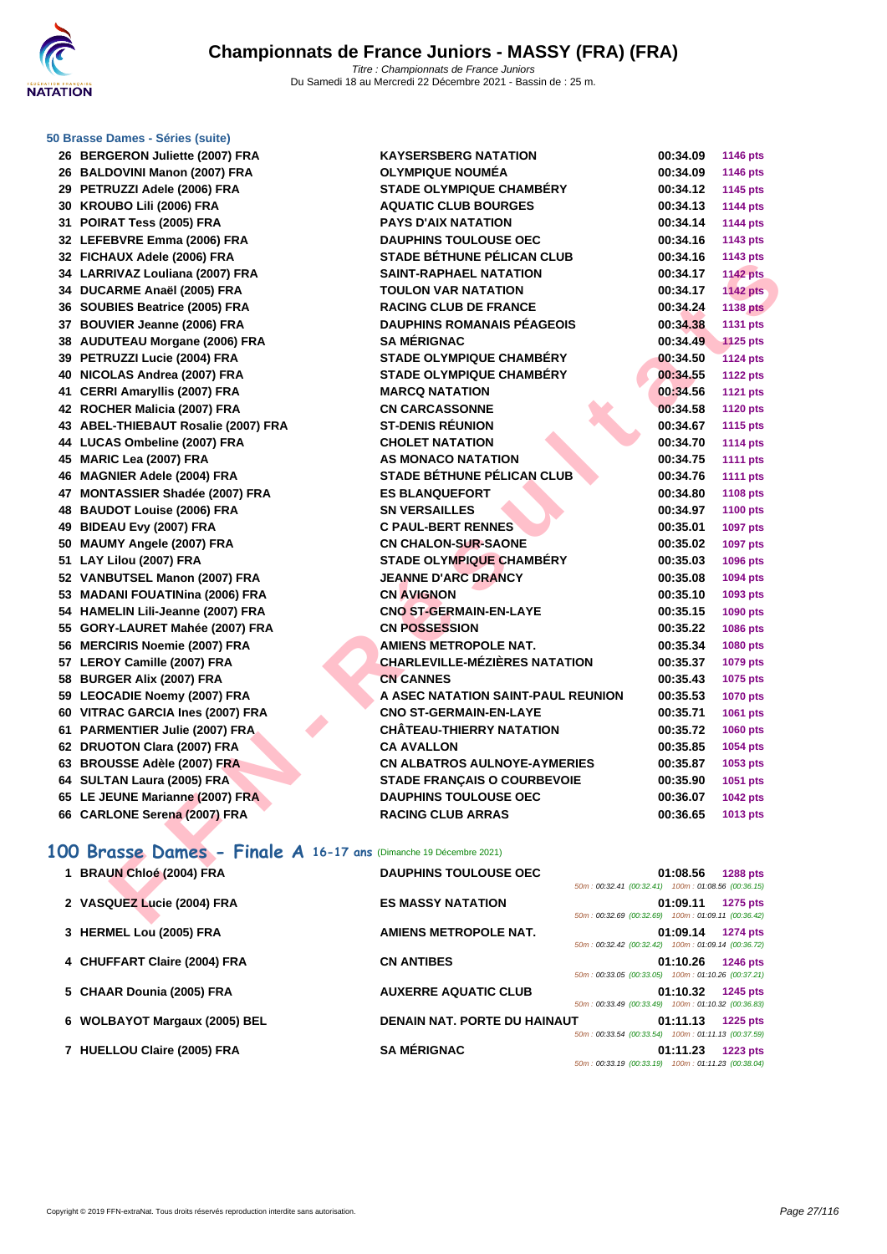### **[50 Brasse](http://www.ffnatation.fr/webffn/index.php) Dames - Séries (suite)**

| 26  | <b>BERGERON Juliette (2007) FRA</b>     |
|-----|-----------------------------------------|
| 26  | <b>BALDOVINI Manon (2007) FRA</b>       |
| 29  | PETRUZZI Adele (2006) FRA               |
| 30  | KROUBO Lili (2006) FRA                  |
| 31  | <b>POIRAT Tess (2005) FRA</b>           |
| 32  | LEFEBVRE Emma (2006) FRA                |
| 32  | FICHAUX Adele (2006) FRA                |
| 34  | LARRIVAZ Louliana (2007) FRA            |
| 34  | DUCARME Anaël (2005) FRA                |
| 36  | <b>SOUBIES Beatrice (2005) FRA</b>      |
| 37  | <b>BOUVIER Jeanne (2006) FRA</b>        |
| 38  | <b>AUDUTEAU Morgane (2006) FRA</b>      |
| 39  | PETRUZZI Lucie (2004) FRA               |
| 40  | NICOLAS Andrea (2007) FRA               |
| 41  | <b>CERRI Amaryllis (2007) FRA</b>       |
| 42  | ROCHER Malicia (2007) FRA               |
| 43  | <b>ABEL-THIEBAUT Rosalie (2007) FRA</b> |
| 44  | <b>LUCAS Ombeline (2007) FRA</b>        |
| 45  | MARIC Lea (2007) FRA                    |
| 46  | <b>MAGNIER Adele (2004) FRA</b>         |
| 47  | <b>MONTASSIER Shadée (2007) FRA</b>     |
| 48  | <b>BAUDOT Louise (2006) FRA</b>         |
| 49  | BIDEAU Evy (2007) FRA                   |
| 50  | <b>MAUMY Angele (2007) FRA</b>          |
| 51  | LAY Lilou (2007) FRA                    |
| 52  | VANBUTSEL Manon (2007) FRA              |
| 53  | <b>MADANI FOUATINina (2006) FRA</b>     |
| 54  | <b>HAMELIN Lili-Jeanne (2007) FRA</b>   |
| 55  | GORY-LAURET Mahée (2007) FRA            |
| 56  | <b>MERCIRIS Noemie (2007) FRA</b>       |
| 57  | <b>LEROY Camille (2007) FRA</b>         |
| 58  | <b>BURGER Alix (2007) FRA</b>           |
| 59  | <b>LEOCADIE Noemy (2007) FRA</b>        |
| 60  | VITRAC GARCIA Ines (2007) FRA           |
| 61  | <b>PARMENTIER Julie (2007) FRA</b>      |
| 62  | <b>DRUOTON Clara (2007) FRA</b>         |
| 63  | <b>BROUSSE Adèle (2007) FRA</b>         |
| 64  | SULTAN Laura (2005) FRA                 |
| 65  | LE JEUNE Marianne (2007) FRA            |
| 66. | <b>CARLONE Serena (2007) FRA</b>        |

| 26   BERGERON Juliette (2007) FRA                                | <b>KAYSERSBERG NATATION</b>                                                        | 00:34.09 | <b>1146 pts</b> |
|------------------------------------------------------------------|------------------------------------------------------------------------------------|----------|-----------------|
| 26 BALDOVINI Manon (2007) FRA                                    | <b>OLYMPIQUE NOUMÉA</b>                                                            | 00:34.09 | 1146 pts        |
| 29 PETRUZZI Adele (2006) FRA                                     | <b>STADE OLYMPIQUE CHAMBERY</b>                                                    | 00:34.12 | 1145 pts        |
| 30 KROUBO Lili (2006) FRA                                        | <b>AQUATIC CLUB BOURGES</b>                                                        | 00:34.13 | <b>1144 pts</b> |
| 31 POIRAT Tess (2005) FRA                                        | <b>PAYS D'AIX NATATION</b>                                                         | 00:34.14 | <b>1144 pts</b> |
| 32 LEFEBVRE Emma (2006) FRA                                      | <b>DAUPHINS TOULOUSE OEC</b>                                                       | 00:34.16 | 1143 pts        |
| 32 FICHAUX Adele (2006) FRA                                      | <b>STADE BÉTHUNE PÉLICAN CLUB</b>                                                  | 00:34.16 | 1143 pts        |
| 34 LARRIVAZ Louliana (2007) FRA                                  | <b>SAINT-RAPHAEL NATATION</b>                                                      | 00:34.17 | <b>1142 pts</b> |
| 34 DUCARME Anaël (2005) FRA                                      | <b>TOULON VAR NATATION</b>                                                         | 00:34.17 | <b>1142 pts</b> |
| 36 SOUBIES Beatrice (2005) FRA                                   | <b>RACING CLUB DE FRANCE</b>                                                       | 00:34.24 | <b>1138 pts</b> |
| 37 BOUVIER Jeanne (2006) FRA                                     | <b>DAUPHINS ROMANAIS PÉAGEOIS</b>                                                  | 00:34.38 | 1131 pts        |
| 38 AUDUTEAU Morgane (2006) FRA                                   | <b>SA MÉRIGNAC</b>                                                                 | 00:34.49 | <b>1125 pts</b> |
| 39 PETRUZZI Lucie (2004) FRA                                     | <b>STADE OLYMPIQUE CHAMBÉRY</b>                                                    | 00:34.50 | <b>1124 pts</b> |
| 40 NICOLAS Andrea (2007) FRA                                     | <b>STADE OLYMPIQUE CHAMBÉRY</b>                                                    | 00:34.55 | <b>1122 pts</b> |
| 41 CERRI Amaryllis (2007) FRA                                    | <b>MARCQ NATATION</b>                                                              | 00:34.56 | <b>1121 pts</b> |
| 42 ROCHER Malicia (2007) FRA                                     | <b>CN CARCASSONNE</b>                                                              | 00:34.58 | <b>1120 pts</b> |
| 43 ABEL-THIEBAUT Rosalie (2007) FRA                              | <b>ST-DENIS RÉUNION</b>                                                            | 00:34.67 | 1115 pts        |
| 44 LUCAS Ombeline (2007) FRA                                     | <b>CHOLET NATATION</b>                                                             | 00:34.70 | <b>1114 pts</b> |
| 45 MARIC Lea (2007) FRA                                          | AS MONACO NATATION                                                                 | 00:34.75 | <b>1111 pts</b> |
| 46 MAGNIER Adele (2004) FRA                                      | <b>STADE BÉTHUNE PÉLICAN CLUB</b>                                                  | 00:34.76 | <b>1111 pts</b> |
| 47 MONTASSIER Shadée (2007) FRA                                  | <b>ES BLANQUEFORT</b>                                                              | 00:34.80 | <b>1108 pts</b> |
| 48 BAUDOT Louise (2006) FRA                                      | <b>SN VERSAILLES</b>                                                               | 00:34.97 | 1100 pts        |
| 49 BIDEAU Evy (2007) FRA                                         | <b>C PAUL-BERT RENNES</b>                                                          | 00:35.01 | <b>1097 pts</b> |
| 50 MAUMY Angele (2007) FRA                                       | <b>CN CHALON-SUR-SAONE</b>                                                         | 00:35.02 | 1097 pts        |
| 51 LAY Lilou (2007) FRA                                          | <b>STADE OLYMPIQUE CHAMBÉRY</b>                                                    | 00:35.03 | 1096 pts        |
| 52 VANBUTSEL Manon (2007) FRA                                    | <b>JEANNE D'ARC DRANCY</b>                                                         | 00:35.08 | 1094 pts        |
| 53 MADANI FOUATINina (2006) FRA                                  | <b>CN AVIGNON</b>                                                                  | 00:35.10 | 1093 pts        |
| 54 HAMELIN Lili-Jeanne (2007) FRA                                | <b>CNO ST-GERMAIN-EN-LAYE</b>                                                      | 00:35.15 | 1090 pts        |
| 55 GORY-LAURET Mahée (2007) FRA                                  | <b>CN POSSESSION</b>                                                               | 00:35.22 | 1086 pts        |
| 56 MERCIRIS Noemie (2007) FRA                                    | <b>AMIENS METROPOLE NAT.</b>                                                       | 00:35.34 | 1080 pts        |
| 57 LEROY Camille (2007) FRA                                      | <b>CHARLEVILLE-MÉZIÈRES NATATION</b>                                               | 00:35.37 | 1079 pts        |
| 58 BURGER Alix (2007) FRA                                        | <b>CN CANNES</b>                                                                   | 00:35.43 | 1075 pts        |
| 59 LEOCADIE Noemy (2007) FRA                                     | A ASEC NATATION SAINT-PAUL REUNION                                                 | 00:35.53 | <b>1070 pts</b> |
| 60 VITRAC GARCIA Ines (2007) FRA                                 | <b>CNO ST-GERMAIN-EN-LAYE</b>                                                      | 00:35.71 | 1061 pts        |
| 61 PARMENTIER Julie (2007) FRA                                   | <b>CHÂTEAU-THIERRY NATATION</b>                                                    | 00:35.72 | <b>1060 pts</b> |
| 62 DRUOTON Clara (2007) FRA                                      | <b>CA AVALLON</b>                                                                  | 00:35.85 | 1054 pts        |
| 63 BROUSSE Adèle (2007) FRA                                      | <b>CN ALBATROS AULNOYE-AYMERIES</b>                                                | 00:35.87 | 1053 pts        |
| 64 SULTAN Laura (2005) FRA                                       | <b>STADE FRANÇAIS O COURBEVOIE</b>                                                 | 00:35.90 | 1051 pts        |
| 65 LE JEUNE Marianne (2007) FRA                                  | <b>DAUPHINS TOULOUSE OEC</b>                                                       | 00:36.07 | 1042 pts        |
| 66 CARLONE Serena (2007) FRA                                     | <b>RACING CLUB ARRAS</b>                                                           | 00:36.65 | 1013 pts        |
|                                                                  |                                                                                    |          |                 |
| 00 Brasse Dames - Finale A 16-17 ans (Dimanche 19 Décembre 2021) |                                                                                    |          |                 |
| 1 BRAUN Chloé (2004) FRA                                         | <b>DAUPHINS TOULOUSE OEC</b><br>50m: 00:32.41 (00:32.41) 100m: 01:08.56 (00:36.15) | 01:08.56 | <b>1288 pts</b> |
| 2 VASQUEZ Lucie (2004) FRA                                       | <b>ES MASSY NATATION</b>                                                           | 01:09.11 | <b>1275 pts</b> |
|                                                                  | 50m: 00:32.69 (00:32.69) 100m: 01:09.11 (00:36.42)                                 |          |                 |

# **100 Brasse Dames - Finale A 16-17 ans** (Dimanche 19 Décembre 2021)

| 1 BRAUN Chloé (2004) FRA      | <b>DAUPHINS TOULOUSE OEC</b> |                                                    | 01:08.56 | <b>1288 pts</b> |
|-------------------------------|------------------------------|----------------------------------------------------|----------|-----------------|
|                               |                              | 50m: 00:32.41 (00:32.41) 100m: 01:08.56 (00:36.15) |          |                 |
| 2 VASQUEZ Lucie (2004) FRA    | <b>ES MASSY NATATION</b>     |                                                    | 01:09.11 | 1275 pts        |
|                               |                              | 50m: 00:32.69 (00:32.69) 100m: 01:09.11 (00:36.42) |          |                 |
| 3 HERMEL Lou (2005) FRA       | AMIENS METROPOLE NAT.        |                                                    | 01:09.14 | <b>1274 pts</b> |
|                               |                              | 50m: 00:32.42 (00:32.42) 100m: 01:09.14 (00:36.72) |          |                 |
| 4 CHUFFART Claire (2004) FRA  | <b>CN ANTIBES</b>            |                                                    | 01:10.26 | <b>1246 pts</b> |
|                               |                              | 50m: 00:33.05 (00:33.05) 100m: 01:10.26 (00:37.21) |          |                 |
| 5 CHAAR Dounia (2005) FRA     | <b>AUXERRE AQUATIC CLUB</b>  | 50m: 00:33.49 (00:33.49) 100m: 01:10.32 (00:36.83) | 01:10.32 | 1245 pts        |
| 6 WOLBAYOT Margaux (2005) BEL | DENAIN NAT. PORTE DU HAINAUT |                                                    | 01:11.13 | <b>1225 pts</b> |
|                               |                              | 50m: 00:33.54 (00:33.54) 100m: 01:11.13 (00:37.59) |          |                 |
| 7 HUELLOU Claire (2005) FRA   | <b>SA MÉRIGNAC</b>           |                                                    | 01:11.23 | 1223 pts        |
|                               |                              | 50m: 00:33.19 (00:33.19) 100m: 01:11.23 (00:38.04) |          |                 |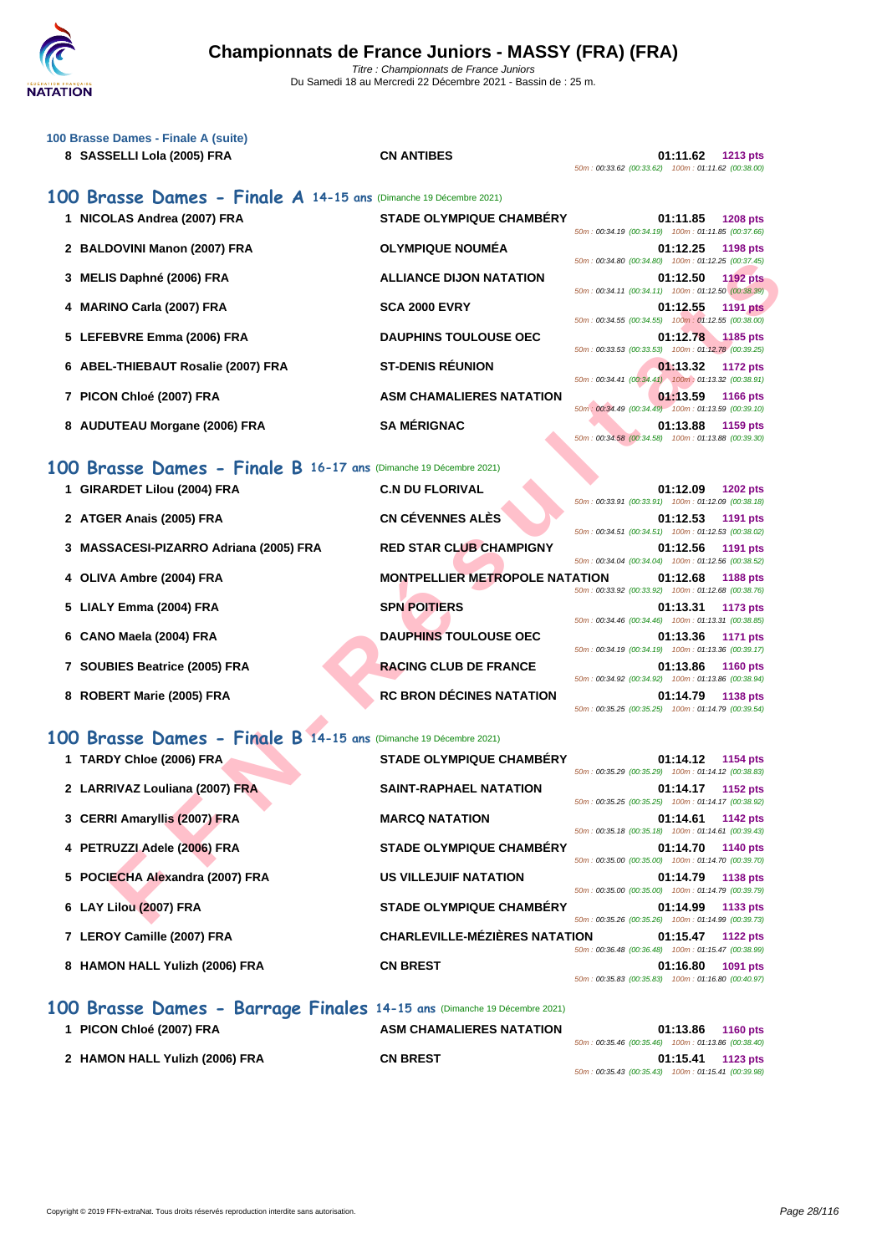

| 100 Brasse Dames - Finale A (suite)<br>8 SASSELLI Lola (2005) FRA | <b>CN ANTIBES</b>               | 01:11.62<br>$1213$ pts<br>50m: 00:33.62 (00:33.62) 100m: 01:11.62 (00:38.00)      |
|-------------------------------------------------------------------|---------------------------------|-----------------------------------------------------------------------------------|
| 100 Brasse Dames - Finale A 14-15 ans (Dimanche 19 Décembre 2021) |                                 |                                                                                   |
| 1 NICOLAS Andrea (2007) FRA                                       | <b>STADE OLYMPIQUE CHAMBERY</b> | 01:11.85<br><b>1208 pts</b><br>50m: 00:34.19 (00:34.19) 100m: 01:11.85 (00:37.66) |
| 2 BALDOVINI Manon (2007) FRA                                      | <b>OLYMPIQUE NOUMÉA</b>         | 01:12.25<br>1198 pts<br>50m: 00:34.80 (00:34.80) 100m: 01:12.25 (00:37.45)        |
| 3 MELIS Daphné (2006) FRA                                         | <b>ALLIANCE DIJON NATATION</b>  | 01:12.50<br>1192 $pts$<br>50m: 00:34.11 (00:34.11) 100m: 01:12.50 (00:38.39)      |
| <b>MARINO Carla (2007) FRA</b><br>4                               | <b>SCA 2000 EVRY</b>            | 01:12.55<br><b>1191 pts</b><br>50m: 00:34.55 (00:34.55) 100m: 01:12.55 (00:38.00) |
| 5 LEFEBVRE Emma (2006) FRA                                        | <b>DAUPHINS TOULOUSE OEC</b>    | 01:12.78 1185 pts<br>50m: 00:33.53 (00:33.53) 100m: 01:12.78 (00:39.25)           |
| 6 ABEL-THIEBAUT Rosalie (2007) FRA                                | <b>ST-DENIS RÉUNION</b>         | 01:13.32<br><b>1172 pts</b><br>50m: 00:34.41 (00:34.41) 100m: 01:13.32 (00:38.91) |
| PICON Chloé (2007) FRA                                            | <b>ASM CHAMALIERES NATATION</b> | 01:13.59<br><b>1166 pts</b><br>50m: 00:34.49 (00:34.49) 100m: 01:13.59 (00:39.10) |
| <b>AUDUTEAU Morgane (2006) FRA</b><br>8                           | <b>SA MÉRIGNAC</b>              | 01:13.88<br>1159 pts<br>50m: 00:34.58 (00:34.58) 100m: 01:13.88 (00:39.30)        |

### **100 Brasse Dames - Finale B 16-17 ans** (Dimanche 19 Décembre 2021)

|                                                                  |                                       | 50m: 00:34.80 (00:34.80) 100m: 01:12.25 (00:37.45)                                                                               |
|------------------------------------------------------------------|---------------------------------------|----------------------------------------------------------------------------------------------------------------------------------|
| 3 MELIS Daphné (2006) FRA                                        | <b>ALLIANCE DIJON NATATION</b>        | 01:12.50<br><b>1192 pts</b><br>50m: 00:34.11 (00:34.11) 100m: 01:12.50 (00:38.39)                                                |
| 4 MARINO Carla (2007) FRA                                        | <b>SCA 2000 EVRY</b>                  | 01:12.55<br><b>1191 pts</b><br>50m: 00:34.55 (00:34.55) 100m: 01:12.55 (00:38.00)                                                |
| 5 LEFEBVRE Emma (2006) FRA                                       | <b>DAUPHINS TOULOUSE OEC</b>          | 01:12.78<br>$\sqrt{1185}$ pts<br>50m: 00:33.53 (00:33.53) 100m: 01:12.78 (00:39.25)                                              |
| 6 ABEL-THIEBAUT Rosalie (2007) FRA                               | <b>ST-DENIS RÉUNION</b>               | 01:13.32<br><b>1172 pts</b><br>50m: 00:34.41 (00:34.41) 100m: 01:13.32 (00:38.91)                                                |
| 7 PICON Chloé (2007) FRA                                         | <b>ASM CHAMALIERES NATATION</b>       | 01:13.59<br><b>1166 pts</b>                                                                                                      |
| 8 AUDUTEAU Morgane (2006) FRA                                    | <b>SA MÉRIGNAC</b>                    | 50m: 00:34.49 (00:34.49) 100m: 01:13.59 (00:39.10)<br>01:13.88<br>1159 pts<br>50m: 00:34.58 (00:34.58) 100m: 01:13.88 (00:39.30) |
| 00 Brasse Dames - Finale B 16-17 ans (Dimanche 19 Décembre 2021) |                                       |                                                                                                                                  |
| 1 GIRARDET Lilou (2004) FRA                                      | <b>C.N DU FLORIVAL</b>                | 01:12.09<br><b>1202 pts</b><br>50m: 00:33.91 (00:33.91) 100m: 01:12.09 (00:38.18)                                                |
| 2 ATGER Anais (2005) FRA                                         | <b>CN CÉVENNES ALÈS</b>               | 01:12.53<br>1191 pts<br>50m: 00:34.51 (00:34.51) 100m: 01:12.53 (00:38.02)                                                       |
| 3 MASSACESI-PIZARRO Adriana (2005) FRA                           | <b>RED STAR CLUB CHAMPIGNY</b>        | 01:12.56<br>1191 pts<br>50m: 00:34.04 (00:34.04) 100m: 01:12.56 (00:38.52)                                                       |
| 4 OLIVA Ambre (2004) FRA                                         | <b>MONTPELLIER METROPOLE NATATION</b> | 01:12.68<br><b>1188 pts</b>                                                                                                      |
| 5 LIALY Emma (2004) FRA                                          | <b>SPN POITIERS</b>                   | 50m: 00:33.92 (00:33.92) 100m: 01:12.68 (00:38.76)<br>01:13.31<br>1173 pts                                                       |
| 6 CANO Maela (2004) FRA                                          | <b>DAUPHINS TOULOUSE OEC</b>          | 50m: 00:34.46 (00:34.46) 100m: 01:13.31 (00:38.85)<br>01:13.36<br><b>1171 pts</b>                                                |
| 7 SOUBIES Beatrice (2005) FRA                                    | <b>RACING CLUB DE FRANCE</b>          | 50m: 00:34.19 (00:34.19) 100m: 01:13.36 (00:39.17)<br>01:13.86<br><b>1160 pts</b>                                                |
| 8 ROBERT Marie (2005) FRA                                        | <b>RC BRON DÉCINES NATATION</b>       | 50m: 00:34.92 (00:34.92) 100m: 01:13.86 (00:38.94)<br>01:14.79<br>1138 pts<br>50m: 00:35.25 (00:35.25) 100m: 01:14.79 (00:39.54) |
| 00 Brasse Dames - Finale B 14-15 ans (Dimanche 19 Décembre 2021) |                                       |                                                                                                                                  |
| 1 TARDY Chloe (2006) FRA                                         | STADE OLYMPIQUE CHAMBÉRY              | 01:14.12<br>1154 pts                                                                                                             |
| 2 LARRIVAZ Louliana (2007) FRA                                   | <b>SAINT-RAPHAEL NATATION</b>         | 50m: 00:35.29 (00:35.29) 100m: 01:14.12 (00:38.83)<br>01:14.17<br>1152 pts                                                       |
| 3 CERRI Amaryllis (2007) FRA                                     | <b>MARCQ NATATION</b>                 | 50m: 00:35.25 (00:35.25) 100m: 01:14.17 (00:38.92)<br>01:14.61<br>1142 pts                                                       |
| 4 PETRUZZI Adele (2006) FRA                                      | <b>STADE OLYMPIQUE CHAMBÉRY</b>       | 50m: 00:35.18 (00:35.18) 100m: 01:14.61 (00:39.43)<br>01:14.70<br><b>1140 pts</b>                                                |
| 5 POCIECHA Alexandra (2007) FRA                                  | <b>US VILLEJUIF NATATION</b>          | 50m: 00:35.00 (00:35.00) 100m: 01:14.70 (00:39.70)<br>01:14.79<br>1138 pts                                                       |
|                                                                  | <b>STADE OLYMPIQUE CHAMBERY</b>       | 50m: 00:35.00 (00:35.00) 100m: 01:14.79 (00:39.79)                                                                               |
| 6 LAY Lilou (2007) FRA                                           |                                       | 01:14.99<br>1133 pts<br>50m: 00:35.26 (00:35.26) 100m: 01:14.99 (00:39.73)                                                       |

### **100 Brasse Dames - Finale B 14-15 ans** (Dimanche 19 Décembre 2021)

| 1 TARDY Chloe (2006) FRA        | <b>STADE OLYMPIQUE CHAMBÉRY</b>      | 50m: 00:35.29 (00:35.29) 100m: 01:14.12 (00:38.83) | 01:14.12 | 1154 pts        |
|---------------------------------|--------------------------------------|----------------------------------------------------|----------|-----------------|
| 2 LARRIVAZ Louliana (2007) FRA  | <b>SAINT-RAPHAEL NATATION</b>        | 50m: 00:35.25 (00:35.25) 100m: 01:14.17 (00:38.92) | 01:14.17 | 1152 pts        |
| 3 CERRI Amaryllis (2007) FRA    | <b>MARCQ NATATION</b>                | 50m: 00:35.18 (00:35.18) 100m: 01:14.61 (00:39.43) | 01:14.61 | <b>1142 pts</b> |
| 4 PETRUZZI Adele (2006) FRA     | <b>STADE OLYMPIQUE CHAMBÉRY</b>      | 50m: 00:35.00 (00:35.00) 100m: 01:14.70 (00:39.70) | 01:14.70 | <b>1140 pts</b> |
| 5 POCIECHA Alexandra (2007) FRA | <b>US VILLEJUIF NATATION</b>         | 50m: 00:35.00 (00:35.00) 100m: 01:14.79 (00:39.79) | 01:14.79 | 1138 pts        |
| 6 LAY Lilou (2007) FRA          | <b>STADE OLYMPIQUE CHAMBÉRY</b>      | 50m: 00:35.26 (00:35.26) 100m: 01:14.99 (00:39.73) | 01:14.99 | 1133 pts        |
| 7 LEROY Camille (2007) FRA      | <b>CHARLEVILLE-MÉZIÈRES NATATION</b> | 50m: 00:36.48 (00:36.48) 100m: 01:15.47 (00:38.99) | 01:15.47 | <b>1122 pts</b> |
| 8 HAMON HALL Yulizh (2006) FRA  | <b>CN BREST</b>                      | 50m: 00:35.83 (00:35.83) 100m: 01:16.80 (00:40.97) | 01:16.80 | 1091 pts        |

### **100 Brasse Dames - Barrage Finales 14-15 ans** (Dimanche 19 Décembre 2021)

| 1 PICON Chloé (2007) FRA       | <b>ASM CHAMALIERES NATATION</b> | 01:13.86<br><b>1160 pts</b>                        |
|--------------------------------|---------------------------------|----------------------------------------------------|
|                                |                                 | 50m: 00:35.46 (00:35.46) 100m: 01:13.86 (00:38.40) |
| 2 HAMON HALL Yulizh (2006) FRA | <b>CN BREST</b>                 | 01:15.41<br>1123 pts                               |
|                                |                                 | 50m: 00:35.43 (00:35.43) 100m: 01:15.41 (00:39.98) |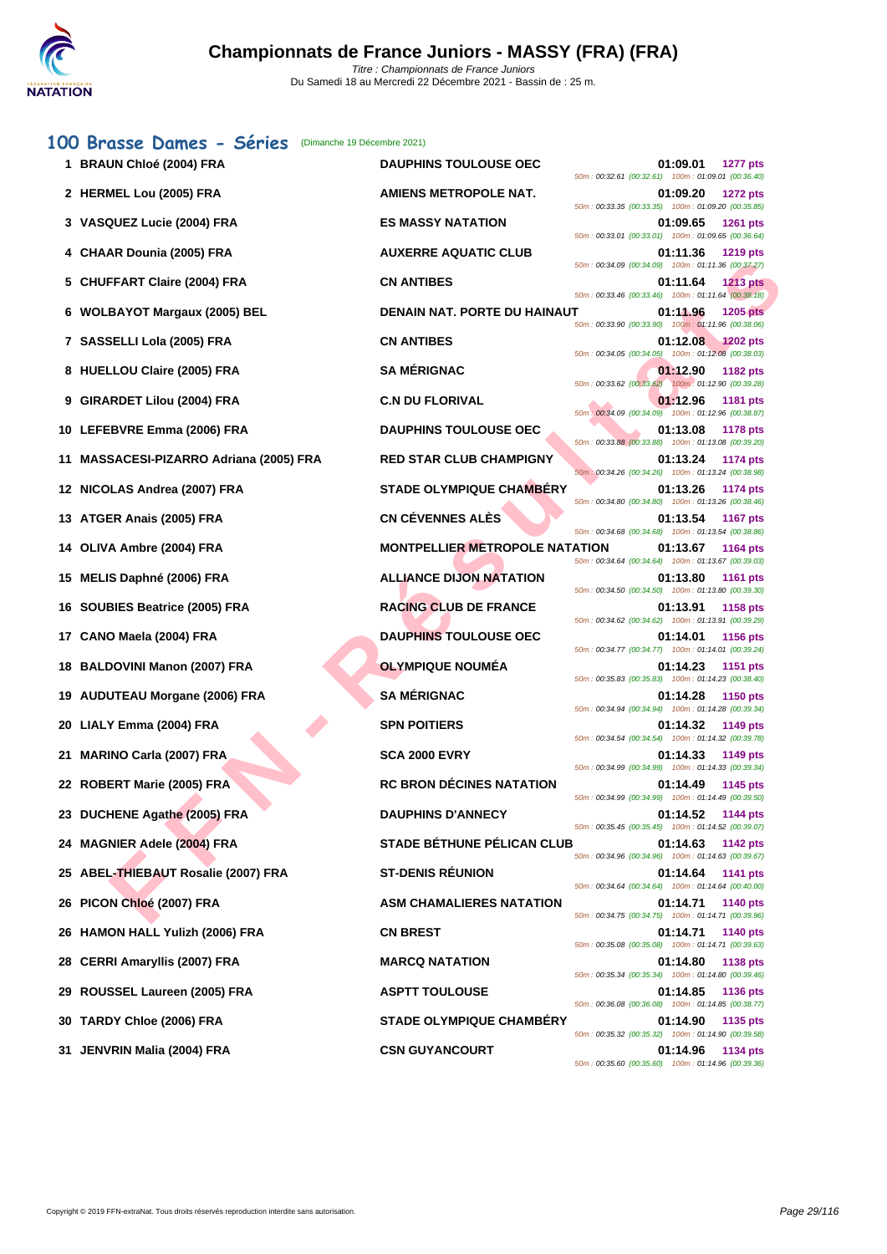|    | 100 Brasse Dames - Séries<br>(Dimanche 19 Décembre 2021)<br>1 BRAUN Chloé (2004) FRA | <b>DAUPHINS TOULOUSE OEC</b>          | 01:09.01<br><b>1277 pts</b>                                                                                                             |
|----|--------------------------------------------------------------------------------------|---------------------------------------|-----------------------------------------------------------------------------------------------------------------------------------------|
|    | 2 HERMEL Lou (2005) FRA                                                              | <b>AMIENS METROPOLE NAT.</b>          | 50m: 00:32.61 (00:32.61) 100m: 01:09.01 (00:36.40)<br>01:09.20<br><b>1272 pts</b>                                                       |
|    | 3 VASQUEZ Lucie (2004) FRA                                                           | <b>ES MASSY NATATION</b>              | 50m: 00:33.35 (00:33.35) 100m: 01:09.20 (00:35.85)<br>01:09.65<br>1261 pts                                                              |
|    | <b>CHAAR Dounia (2005) FRA</b>                                                       | <b>AUXERRE AQUATIC CLUB</b>           | 50m: 00:33.01 (00:33.01) 100m: 01:09.65 (00:36.64)<br>01:11.36<br>1219 pts                                                              |
| 5  | <b>CHUFFART Claire (2004) FRA</b>                                                    | <b>CN ANTIBES</b>                     | 50m: 00:34.09 (00:34.09) 100m: 01:11.36 (00:37.27)<br>01:11.64<br><b>1213 pts</b><br>50m: 00:33.46 (00:33.46) 100m: 01:11.64 (00:38.18) |
|    | 6 WOLBAYOT Margaux (2005) BEL                                                        | DENAIN NAT. PORTE DU HAINAUT          | 01:11.96<br>1205 pts<br>50m: 00:33.90 (00:33.90) 100m: 01:11.96 (00:38.06)                                                              |
|    | 7 SASSELLI Lola (2005) FRA                                                           | <b>CN ANTIBES</b>                     | 01:12.08<br>$-1202$ pts<br>50m: 00:34.05 (00:34.05) 100m: 01:12.08 (00:38.03)                                                           |
|    | 8 HUELLOU Claire (2005) FRA                                                          | <b>SA MÉRIGNAC</b>                    | 01:12.90<br>1182 pts<br>50m: 00:33.62 (00:33.62) 100m: 01:12.90 (00:39.28)                                                              |
|    | 9 GIRARDET Lilou (2004) FRA                                                          | <b>C.N DU FLORIVAL</b>                | 01:12.96<br>1181 pts<br>50m : 00:34.09 (00:34.09) 100m : 01:12.96 (00:38.87)                                                            |
|    | 10 LEFEBVRE Emma (2006) FRA                                                          | <b>DAUPHINS TOULOUSE OEC</b>          | 01:13.08<br><b>1178 pts</b><br>50m: 00:33.88 (00:33.88) 100m: 01:13.08 (00:39.20)                                                       |
| 11 | <b>MASSACESI-PIZARRO Adriana (2005) FRA</b>                                          | <b>RED STAR CLUB CHAMPIGNY</b>        | 01:13.24<br>1174 pts<br>50m: 00:34.26 (00:34.26) 100m: 01:13.24 (00:38.98)                                                              |
|    | 12 NICOLAS Andrea (2007) FRA                                                         | <b>STADE OLYMPIQUE CHAMBERY</b>       | 01:13.26<br>1174 pts<br>50m: 00:34.80 (00:34.80) 100m: 01:13.26 (00:38.46)                                                              |
|    | 13 ATGER Anais (2005) FRA                                                            | <b>CN CÉVENNES ALÈS</b>               | 01:13.54<br><b>1167 pts</b><br>50m: 00:34.68 (00:34.68) 100m: 01:13.54 (00:38.86)                                                       |
|    | 14 OLIVA Ambre (2004) FRA                                                            | <b>MONTPELLIER METROPOLE NATATION</b> | 01:13.67<br>1164 pts<br>50m: 00:34.64 (00:34.64) 100m: 01:13.67 (00:39.03)                                                              |
|    | 15 MELIS Daphné (2006) FRA                                                           | <b>ALLIANCE DIJON NATATION</b>        | 01:13.80<br><b>1161 pts</b><br>50m: 00:34.50 (00:34.50) 100m: 01:13.80 (00:39.30)                                                       |
|    | 16 SOUBIES Beatrice (2005) FRA                                                       | <b>RACING CLUB DE FRANCE</b>          | 01:13.91<br>1158 pts<br>50m: 00:34.62 (00:34.62) 100m: 01:13.91 (00:39.29)                                                              |
|    | 17 CANO Maela (2004) FRA                                                             | <b>DAUPHINS TOULOUSE OEC</b>          | 01:14.01<br><b>1156 pts</b><br>50m: 00:34.77 (00:34.77) 100m: 01:14.01 (00:39.24)                                                       |
|    | 18 BALDOVINI Manon (2007) FRA                                                        | <b>OLYMPIQUE NOUMÉA</b>               | 01:14.23<br>1151 pts<br>50m: 00:35.83 (00:35.83) 100m: 01:14.23 (00:38.40)                                                              |
|    | 19 AUDUTEAU Morgane (2006) FRA                                                       | <b>SA MÉRIGNAC</b>                    | 01:14.28<br><b>1150 pts</b><br>50m: 00:34.94 (00:34.94) 100m: 01:14.28 (00:39.34)                                                       |
|    | 20 LIALY Emma (2004) FRA                                                             | <b>SPN POITIERS</b>                   | 01:14.32<br>1149 pts<br>50m: 00:34.54 (00:34.54) 100m: 01:14.32 (00:39.78)                                                              |
|    | 21 MARINO Carla (2007) FRA                                                           | <b>SCA 2000 EVRY</b>                  | 01:14.33<br>1149 pts<br>50m: 00:34.99 (00:34.99) 100m: 01:14.33 (00:39.34)                                                              |
|    | 22 ROBERT Marie (2005) FRA                                                           | <b>RC BRON DÉCINES NATATION</b>       | 01:14.49<br>1145 pts<br>50m: 00:34.99 (00:34.99) 100m: 01:14.49 (00:39.50)                                                              |
|    | 23 DUCHENE Agathe (2005) FRA                                                         | <b>DAUPHINS D'ANNECY</b>              | 01:14.52<br>1144 pts<br>50m: 00:35.45 (00:35.45) 100m: 01:14.52 (00:39.07)                                                              |
|    | 24 MAGNIER Adele (2004) FRA                                                          | <b>STADE BÉTHUNE PÉLICAN CLUB</b>     | 01:14.63<br>1142 pts<br>50m: 00:34.96 (00:34.96) 100m: 01:14.63 (00:39.67)                                                              |
|    | 25 ABEL-THIEBAUT Rosalie (2007) FRA                                                  | <b>ST-DENIS RÉUNION</b>               | 01:14.64<br>1141 pts<br>50m: 00:34.64 (00:34.64) 100m: 01:14.64 (00:40.00)                                                              |
|    | 26 PICON Chloé (2007) FRA                                                            | <b>ASM CHAMALIERES NATATION</b>       | 01:14.71<br>1140 pts<br>50m: 00:34.75 (00:34.75) 100m: 01:14.71 (00:39.96)                                                              |
|    | 26 HAMON HALL Yulizh (2006) FRA                                                      | <b>CN BREST</b>                       | 01:14.71<br><b>1140 pts</b><br>50m: 00:35.08 (00:35.08) 100m: 01:14.71 (00:39.63)                                                       |
|    | 28 CERRI Amaryllis (2007) FRA                                                        | <b>MARCQ NATATION</b>                 | 01:14.80<br><b>1138 pts</b><br>50m: 00:35.34 (00:35.34) 100m: 01:14.80 (00:39.46)                                                       |
|    | 29 ROUSSEL Laureen (2005) FRA                                                        | <b>ASPTT TOULOUSE</b>                 | 01:14.85<br><b>1136 pts</b><br>50m: 00:36.08 (00:36.08) 100m: 01:14.85 (00:38.77)                                                       |
|    | 30 TARDY Chloe (2006) FRA                                                            | <b>STADE OLYMPIQUE CHAMBERY</b>       | 01:14.90<br>1135 pts<br>50m: 00:35.32 (00:35.32) 100m: 01:14.90 (00:39.58)                                                              |
|    | 31 JENVRIN Malia (2004) FRA                                                          | <b>CSN GUYANCOURT</b>                 | 01:14.96<br>1134 pts<br>50m: 00:35.60 (00:35.60) 100m: 01:14.96 (00:39.36)                                                              |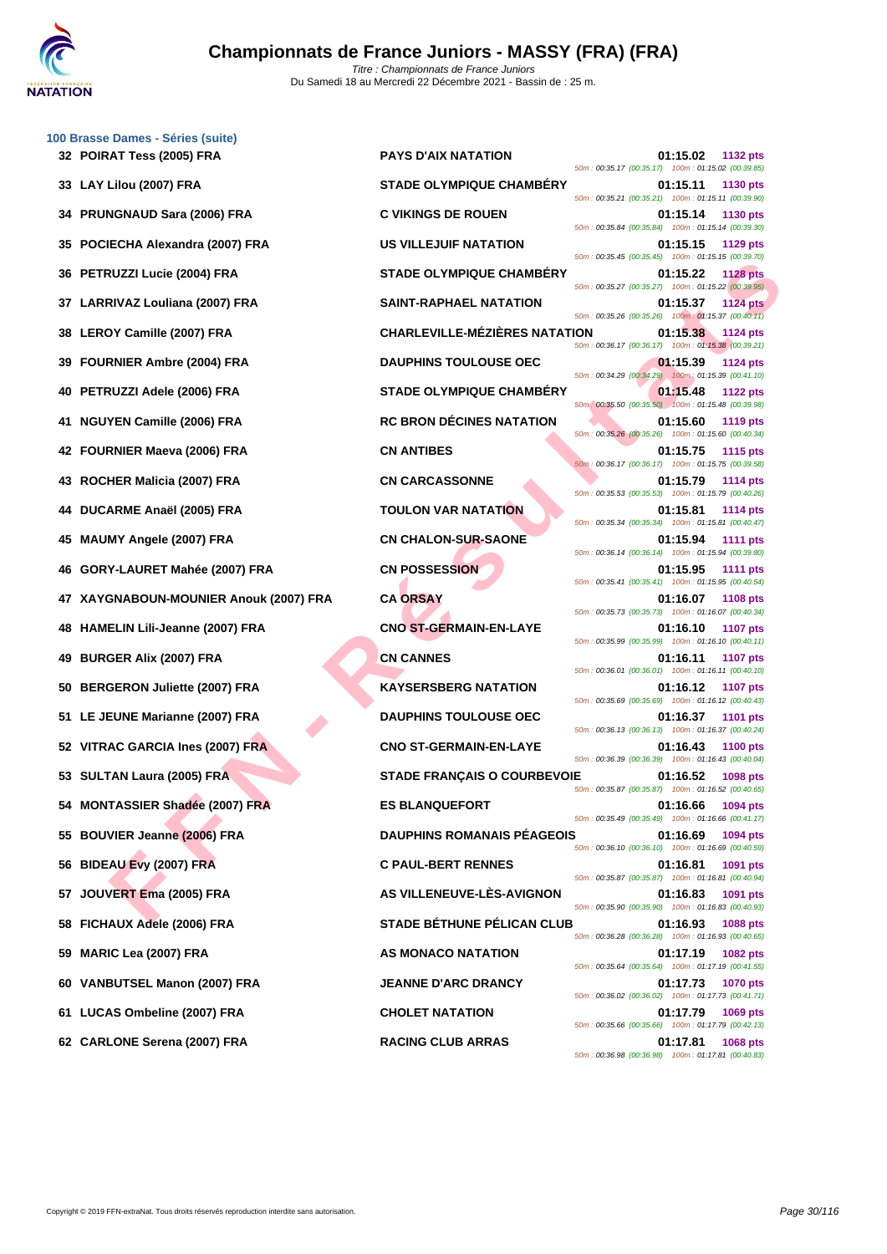| 100 Brasse Dames - Séries (suite)         |                                                                                                                        |
|-------------------------------------------|------------------------------------------------------------------------------------------------------------------------|
| 32 POIRAT Tess (2005) FRA                 | <b>PAYS D'AIX NATATION</b><br>01:15.02<br>1132 pts<br>50m: 00:35.17 (00:35.17) 100m: 01:15.02 (00:39.85)               |
| 33 LAY Lilou (2007) FRA                   | <b>STADE OLYMPIQUE CHAMBERY</b><br>01:15.11<br>1130 pts<br>50m: 00:35.21 (00:35.21) 100m: 01:15.11 (00:39.90)          |
| <b>PRUNGNAUD Sara (2006) FRA</b><br>34    | <b>C VIKINGS DE ROUEN</b><br>01:15.14<br>1130 pts<br>50m: 00:35.84 (00:35.84) 100m: 01:15.14 (00:39.30)                |
| POCIECHA Alexandra (2007) FRA<br>35       | <b>US VILLEJUIF NATATION</b><br>01:15.15<br>1129 pts<br>50m: 00:35.45 (00:35.45) 100m: 01:15.15 (00:39.70)             |
| PETRUZZI Lucie (2004) FRA<br>36           | <b>STADE OLYMPIQUE CHAMBERY</b><br>01:15.22<br><b>1128 pts</b>                                                         |
| LARRIVAZ Louliana (2007) FRA<br>37        | 50m: 00:35.27 (00:35.27) 100m: 01:15.22 (00:39.95)<br><b>SAINT-RAPHAEL NATATION</b><br>01:15.37<br><b>1124 pts</b>     |
| LEROY Camille (2007) FRA<br>38            | 50m: 00:35.26 (00:35.26) 100m: 01:15.37 (00:40.11)<br><b>CHARLEVILLE-MÉZIÈRES NATATION</b><br>01:15.38<br>1124 pts     |
| <b>FOURNIER Ambre (2004) FRA</b><br>39    | 50m: 00:36.17 (00:36.17) 100m: 01:15.38 (00:39.21)<br><b>DAUPHINS TOULOUSE OEC</b><br>01:15.39<br><b>1124 pts</b>      |
| PETRUZZI Adele (2006) FRA<br>40           | 50m: 00:34.29 (00:34.29) 100m: 01:15.39 (00:41.10)<br><b>STADE OLYMPIQUE CHAMBERY</b><br>01:15.48<br><b>1122 pts</b>   |
| <b>NGUYEN Camille (2006) FRA</b><br>41    | 50m: 00:35.50 (00:35.50) 100m: 01:15.48 (00:39.98)<br><b>RC BRON DÉCINES NATATION</b><br>01:15.60<br>1119 pts          |
| 42 FOURNIER Maeva (2006) FRA              | 50m: 00:35.26 (00:35.26) 100m: 01:15.60 (00:40.34)<br><b>CN ANTIBES</b><br>01:15.75<br><b>1115 pts</b>                 |
| ROCHER Malicia (2007) FRA<br>43           | 50m: 00:36.17 (00:36.17) 100m: 01:15.75 (00:39.58)<br><b>CN CARCASSONNE</b><br>01:15.79<br>1114 pts                    |
| DUCARME Anaël (2005) FRA<br>44            | 50m: 00:35.53 (00:35.53) 100m: 01:15.79 (00:40.26)<br><b>TOULON VAR NATATION</b><br>01:15.81<br>1114 pts               |
| <b>MAUMY Angele (2007) FRA</b><br>45      | 50m: 00:35.34 (00:35.34) 100m: 01:15.81 (00:40.47)<br><b>CN CHALON-SUR-SAONE</b><br>01:15.94<br><b>1111 pts</b>        |
| GORY-LAURET Mahée (2007) FRA<br>46        | 50m: 00:36.14 (00:36.14) 100m: 01:15.94 (00:39.80)<br><b>CN POSSESSION</b><br>01:15.95<br><b>1111 pts</b>              |
| XAYGNABOUN-MOUNIER Anouk (2007) FRA<br>47 | 50m: 00:35.41 (00:35.41) 100m: 01:15.95 (00:40.54)<br><b>CA ORSAY</b><br>01:16.07<br><b>1108 pts</b>                   |
| HAMELIN Lili-Jeanne (2007) FRA            | 50m: 00:35.73 (00:35.73) 100m: 01:16.07 (00:40.34)<br><b>CNO ST-GERMAIN-EN-LAYE</b><br>01:16.10<br><b>1107 pts</b>     |
| <b>BURGER Alix (2007) FRA</b><br>49       | 50m: 00:35.99 (00:35.99) 100m: 01:16.10 (00:40.11)<br><b>CN CANNES</b><br>01:16.11<br><b>1107 pts</b>                  |
| <b>BERGERON Juliette (2007) FRA</b><br>50 | 50m: 00:36.01 (00:36.01) 100m: 01:16.11 (00:40.10)<br><b>KAYSERSBERG NATATION</b><br>01:16.12<br><b>1107 pts</b>       |
| LE JEUNE Marianne (2007) FRA<br>51        | 50m: 00:35.69 (00:35.69) 100m: 01:16.12 (00:40.43)<br><b>DAUPHINS TOULOUSE OEC</b><br>01:16.37<br><b>1101 pts</b>      |
| 52 VITRAC GARCIA Ines (2007) FRA          | 50m: 00:36.13 (00:36.13) 100m: 01:16.37 (00:40.24)<br><b>CNO ST-GERMAIN-EN-LAYE</b><br>01:16.43<br><b>1100 pts</b>     |
| 53 SULTAN Laura (2005) FRA                | 50m: 00:36.39 (00:36.39) 100m: 01:16.43 (00:40.04)<br><b>STADE FRANÇAIS O COURBEVOIE</b><br>01:16.52<br>1098 pts       |
| 54 MONTASSIER Shadée (2007) FRA           | 50m: 00:35.87 (00:35.87) 100m: 01:16.52 (00:40.65)<br><b>ES BLANQUEFORT</b><br>01:16.66<br>1094 pts                    |
| 55 BOUVIER Jeanne (2006) FRA              | 50m: 00:35.49 (00:35.49) 100m: 01:16.66 (00:41.17)<br><b>DAUPHINS ROMANAIS PEAGEOIS</b>                                |
|                                           | 01:16.69<br>1094 pts<br>50m: 00:36.10 (00:36.10) 100m: 01:16.69 (00:40.59)                                             |
| <b>BIDEAU Evy (2007) FRA</b><br>56        | <b>C PAUL-BERT RENNES</b><br>01:16.81<br>1091 pts<br>50m: 00:35.87 (00:35.87) 100m: 01:16.81 (00:40.94)                |
| JOUVERT Ema (2005) FRA<br>57              | AS VILLENEUVE-LÈS-AVIGNON<br>01:16.83<br>1091 pts<br>50m: 00:35.90 (00:35.90) 100m: 01:16.83 (00:40.93)                |
| FICHAUX Adele (2006) FRA<br>58            | <b>STADE BÉTHUNE PÉLICAN CLUB</b><br>01:16.93<br><b>1088 pts</b><br>50m: 00:36.28 (00:36.28) 100m: 01:16.93 (00:40.65) |
| <b>MARIC Lea (2007) FRA</b><br>59         | AS MONACO NATATION<br>01:17.19<br>1082 pts<br>50m: 00:35.64 (00:35.64) 100m: 01:17.19 (00:41.55)                       |
| VANBUTSEL Manon (2007) FRA<br>60          | <b>JEANNE D'ARC DRANCY</b><br>01:17.73<br><b>1070 pts</b><br>50m: 00:36.02 (00:36.02) 100m: 01:17.73 (00:41.71)        |
| 61 LUCAS Ombeline (2007) FRA              | <b>CHOLET NATATION</b><br>01:17.79<br>1069 pts<br>50m: 00:35.66 (00:35.66) 100m: 01:17.79 (00:42.13)                   |
| 62 CARLONE Serena (2007) FRA              | <b>RACING CLUB ARRAS</b><br>$01.17.81$ 1068 nts                                                                        |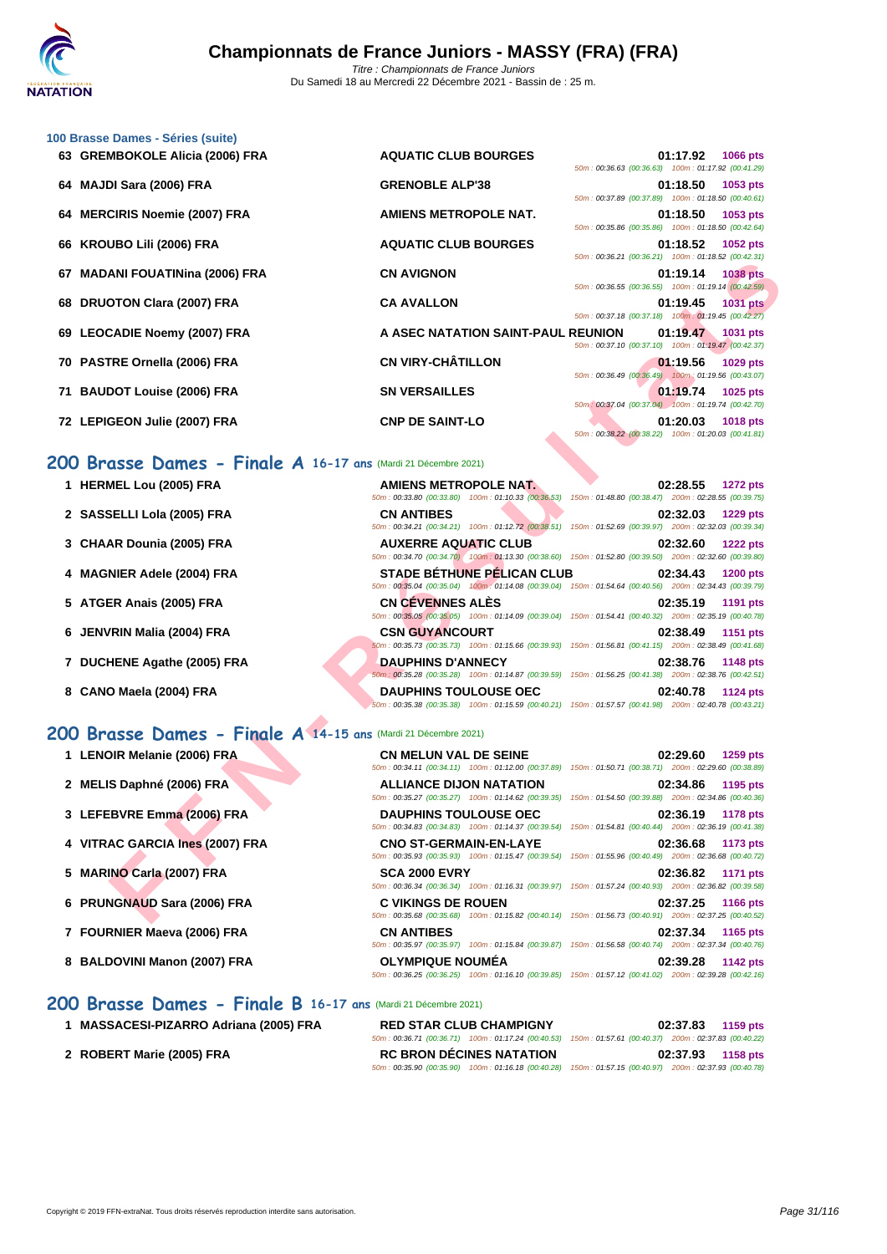

| 63 GREMBOKOLE Alicia (2006) FRA                                | <b>AQUATIC CLUB BOURGES</b>                                                                                                                 | 01:17.92<br>1066 pts<br>50m: 00:36.63 (00:36.63) 100m: 01:17.92 (00:41.29)        |
|----------------------------------------------------------------|---------------------------------------------------------------------------------------------------------------------------------------------|-----------------------------------------------------------------------------------|
| 64 MAJDI Sara (2006) FRA                                       | <b>GRENOBLE ALP'38</b>                                                                                                                      | 01:18.50<br>1053 pts<br>50m: 00:37.89 (00:37.89) 100m: 01:18.50 (00:40.61)        |
| 64 MERCIRIS Noemie (2007) FRA                                  | <b>AMIENS METROPOLE NAT.</b>                                                                                                                | 01:18.50<br>1053 pts<br>50m: 00:35.86 (00:35.86) 100m: 01:18.50 (00:42.64)        |
| 66 KROUBO Lili (2006) FRA                                      | <b>AQUATIC CLUB BOURGES</b>                                                                                                                 | 01:18.52<br>1052 pts<br>50m: 00:36.21 (00:36.21) 100m: 01:18.52 (00:42.31)        |
| 67 MADANI FOUATINina (2006) FRA                                | <b>CN AVIGNON</b>                                                                                                                           | 01:19.14<br><b>1038 pts</b><br>50m: 00:36.55 (00:36.55) 100m: 01:19.14 (00:42.59) |
| 68 DRUOTON Clara (2007) FRA                                    | <b>CA AVALLON</b>                                                                                                                           | 01:19.45<br><b>1031 pts</b><br>50m: 00:37.18 (00:37.18) 100m: 01:19.45 (00:42.27) |
| 69 LEOCADIE Noemy (2007) FRA                                   | A ASEC NATATION SAINT-PAUL REUNION                                                                                                          | 01:19.47<br>1031 pts<br>50m: 00:37.10 (00:37.10) 100m: 01:19.47 (00:42.37)        |
| 70 PASTRE Ornella (2006) FRA                                   | <b>CN VIRY-CHÂTILLON</b>                                                                                                                    | 01:19.56<br>1029 pts<br>50m : 00:36.49 (00:36.49) 100m : 01:19.56 (00:43.07)      |
| 71 BAUDOT Louise (2006) FRA                                    | <b>SN VERSAILLES</b>                                                                                                                        | 01:19.74<br>1025 pts<br>50m: 00:37.04 (00:37.04) 100m: 01:19.74 (00:42.70)        |
| 72 LEPIGEON Julie (2007) FRA                                   | <b>CNP DE SAINT-LO</b>                                                                                                                      | 01:20.03<br><b>1018 pts</b><br>50m: 00:38.22 (00:38.22) 100m: 01:20.03 (00:41.81) |
| 200 Brasse Dames - Finale A 16-17 ans (Mardi 21 Décembre 2021) |                                                                                                                                             |                                                                                   |
| 1 HERMEL Lou (2005) FRA                                        | <b>AMIENS METROPOLE NAT.</b><br>50m : 00:33.80 (00:33.80) 100m : 01:10.33 (00:36.53) 150m : 01:48.80 (00:38.47) 200m : 02:28.55 (00:39.75)  | 02:28.55<br><b>1272 pts</b>                                                       |
| 2 SASSELLI Lola (2005) FRA                                     | <b>CN ANTIBES</b><br>50m: 00:34.21 (00:34.21) 100m: 01:12.72 (00:38.51) 150m: 01:52.69 (00:39.97) 200m: 02:32.03 (00:39.34)                 | 02:32.03<br><b>1229 pts</b>                                                       |
| 3 CHAAR Dounia (2005) FRA                                      | <b>AUXERRE AQUATIC CLUB</b><br>50m : 00:34.70 (00:34.70) 100m : 01:13.30 (00:38.60) 150m : 01:52.80 (00:39.50) 200m : 02:32.60 (00:39.80)   | 02:32.60<br><b>1222 pts</b>                                                       |
| 4 MAGNIER Adele (2004) FRA                                     | <b>STADE BÉTHUNE PÉLICAN CLUB</b><br>50m: 00:35.04 (00:35.04) 100m: 01:14.08 (00:39.04) 150m: 01:54.64 (00:40.56) 200m: 02:34.43 (00:39.79) | 02:34.43<br>1200 pts                                                              |
| 5 ATGER Anais (2005) FRA                                       | <b>CN CEVENNES ALES</b><br>50m: 00:35.05 (00:35.05) 100m: 01:14.09 (00:39.04) 150m: 01:54.41 (00:40.32) 200m: 02:35.19 (00:40.78)           | 02:35.19<br>1191 pts                                                              |
| 6 JENVRIN Malia (2004) FRA                                     | <b>CSN GUYANCOURT</b><br>50m: 00:35.73 (00:35.73) 100m: 01:15.66 (00:39.93) 150m: 01:56.81 (00:41.15) 200m: 02:38.49 (00:41.68)             | 02:38.49<br>1151 pts                                                              |
| 7 DUCHENE Agathe (2005) FRA                                    | <b>DAUPHINS D'ANNECY</b><br>50m: 00:35.28 (00:35.28) 100m: 01:14.87 (00:39.59) 150m: 01:56.25 (00:41.38) 200m: 02:38.76 (00:42.51)          | 02:38.76<br>1148 pts                                                              |
| 8 CANO Maela (2004) FRA                                        | <b>DAUPHINS TOULOUSE OEC</b><br>50m : 00:35.38 (00:35.38) 100m : 01:15.59 (00:40.21) 150m : 01:57.57 (00:41.98) 200m : 02:40.78 (00:43.21)  | 02:40.78<br>1124 pts                                                              |
| 200 Brasse Dames - Finale A 14-15 ans (Mardi 21 Décembre 2021) |                                                                                                                                             |                                                                                   |
| 1 LENOIR Melanie (2006) FRA                                    | <b>CN MELUN VAL DE SEINE</b><br>50m: 00:34.11 (00:34.11) 100m: 01:12.00 (00:37.89) 150m: 01:50.71 (00:38.71) 200m: 02:29.60 (00:38.89)      | 02:29.60<br><b>1259 pts</b>                                                       |
| 2 MELIS Daphné (2006) FRA                                      | <b>ALLIANCE DIJON NATATION</b><br>50m: 00:35.27 (00:35.27) 100m: 01:14.62 (00:39.35) 150m: 01:54.50 (00:39.88) 200m: 02:34.86 (00:40.36)    | 02:34.86<br>1195 pts                                                              |
| 3 LEFEBVRE Emma (2006) FRA                                     | <b>DAUPHINS TOULOUSE OEC</b><br>50m: 00:34.83 (00:34.83) 100m: 01:14.37 (00:39.54) 150m: 01:54.81 (00:40.44) 200m: 02:36.19 (00:41.38)      | 02:36.19<br><b>1178 pts</b>                                                       |
| 4 VITRAC GARCIA Ines (2007) FRA                                | <b>CNO ST-GERMAIN-EN-LAYE</b><br>50m : 00:35.93 (00:35.93) 100m : 01:15.47 (00:39.54) 150m : 01:55.96 (00:40.49) 200m : 02:36.68 (00:40.72) | 02:36.68<br>1173 pts                                                              |
| 5 MARINO Carla (2007) FRA                                      | <b>SCA 2000 EVRY</b><br>50m: 00:36.34 (00:36.34) 100m: 01:16.31 (00:39.97) 150m: 01:57.24 (00:40.93) 200m: 02:36.82 (00:39.58)              | 02:36.82<br>1171 pts                                                              |
| 6 PRUNGNAUD Sara (2006) FRA                                    | <b>C VIKINGS DE ROUEN</b><br>50m: 00:35.68 (00:35.68) 100m: 01:15.82 (00:40.14) 150m: 01:56.73 (00:40.91) 200m: 02:37.25 (00:40.52)         | 02:37.25<br><b>1166 pts</b>                                                       |

### **200 Brasse Dames - Finale A 16-17 ans** (Mardi 21 Décembre 2021)

| 1 HERMEL Lou (2005) FRA |  |
|-------------------------|--|
|-------------------------|--|

**[100 Brass](http://www.ffnatation.fr/webffn/index.php)e Dames - Séries (suite)**

- 
- 
- 
- 
- 
- 

### **200 Brasse Dames - Finale A 14-15 ans** (Mardi 21 Décembre 2021)

- 
- 
- 
- 
- 
- 
- 
- 

# **200 Brasse Dames - Finale B 16-17 ans** (Mardi 21 Décembre 2021)

- 
- 

**1 LENOIR Melanie (2006) FRA CN MELUN VAL DE SEINE 02:29.60 1259 pts** 50m : 00:34.11 (00:34.11) 100m : 01:12.00 (00:37.89) 150m : 01:50.71 (00:38.71) 200m : 02:29.60 (00:38.89) **2 MELIS Daphné (2006) FRA ALLIANCE DIJON NATATION 02:34.86 1195 pts** 50m : 00:35.27 (00:35.27) 100m : 01:14.62 (00:39.35) 150m : 01:54.50 (00:39.88) 200m : 02:34.86 (00:40.36) **3 LEFEBVRE Emma (2006) FRA DAUPHINS TOULOUSE OEC 02:36.19 1178 pts** 50m : 00:34.83 (00:34.83) 100m : 01:14.37 (00:39.54) 150m : 01:54.81 (00:40.44) 200m : 02:36.19 (00:41.38) **4 VITRAC GARCIA Ines (2007) FRA CNO ST-GERMAIN-EN-LAYE 02:36.68 1173 pts** 50m : 00:35.93 (00:35.93) 100m : 01:15.47 (00:39.54) 150m : 01:55.96 (00:40.49) 200m : 02:36.68 (00:40.72) **5 MARINO Carla (2007) FRA SCA 2000 EVRY 02:36.82 1171 pts** 50m : 00:36.34 (00:36.34) 100m : 01:16.31 (00:39.97) 150m : 01:57.24 (00:40.93) 200m : 02:36.82 (00:39.58) **6 PRUNGNAUD Sara (2006) FRA C VIKINGS DE ROUEN 02:37.25 1166 pts** 50m : 00:35.68 (00:35.68) 100m : 01:15.82 (00:40.14) 150m : 01:56.73 (00:40.91) 200m : 02:37.25 (00:40.52) **7 FOURNIER Maeva (2006) FRA CN ANTIBES 02:37.34 1165 pts** 50m : 00:35.97 (00:35.97) 100m : 01:15.84 (00:39.87) 150m : 01:56.58 (00:40.74) 200m : 02:37.34 (00:40.76) **8 BALDOVINI Manon (2007) FRA OLYMPIQUE NOUMÉA 02:39.28 1142 pts** 50m : 00:36.25 (00:36.25) 100m : 01:16.10 (00:39.85) 150m : 01:57.12 (00:41.02) 200m : 02:39.28 (00:42.16)

**1 MASSACESI-PIZARRO Adriana (2005) FRA RED STAR CLUB CHAMPIGNY 02:37.83 1159 pts** 50m : 00:36.71 (00:36.71) 100m : 01:17.24 (00:40.53) 150m : 01:57.61 (00:40.37) 200m : 02:37.83 (00:40.22) **2 ROBERT Marie (2005) FRA RC BRON DÉCINES NATATION 02:37.93 1158 pts** 50m : 00:35.90 (00:35.90) 100m : 01:16.18 (00:40.28) 150m : 01:57.15 (00:40.97) 200m : 02:37.93 (00:40.78)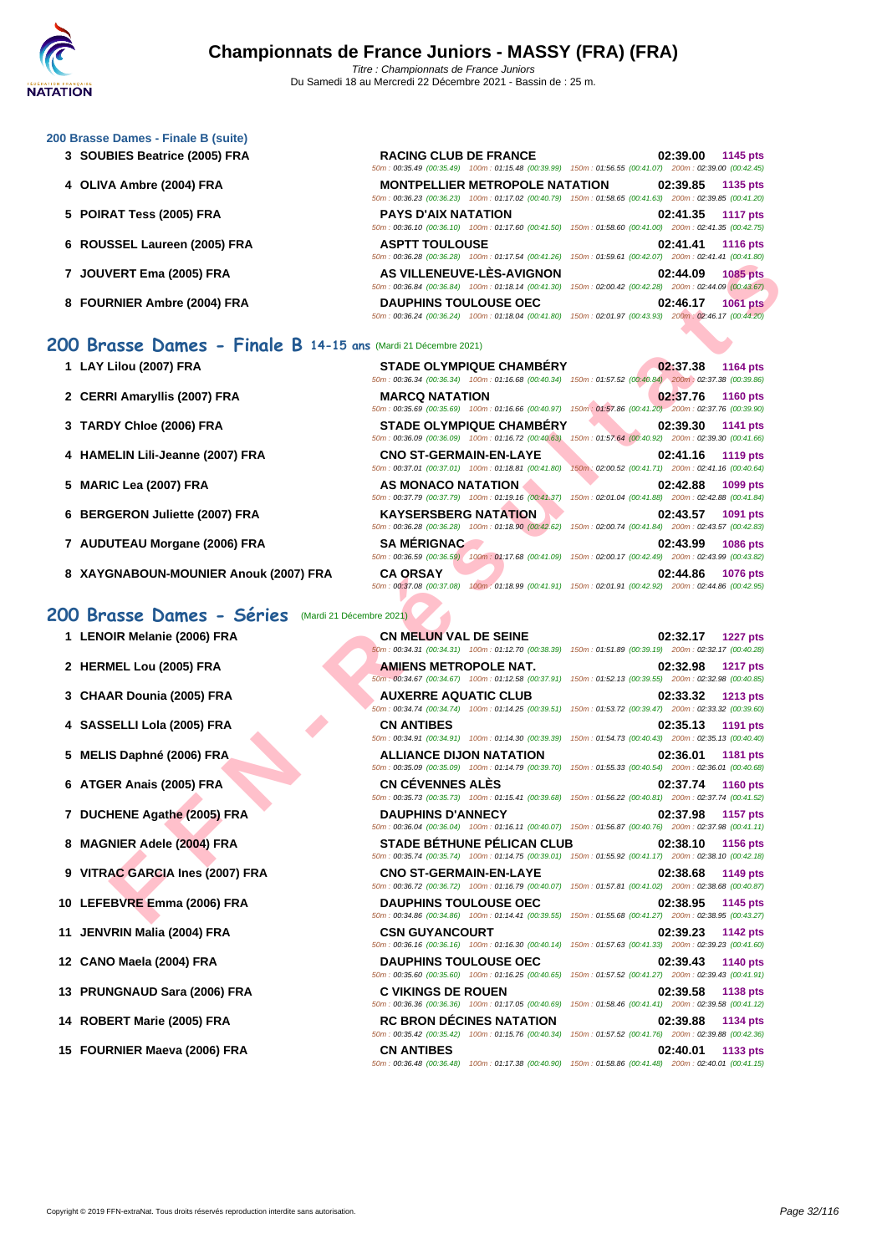| 200 Brasse Dames - Finale B (suite)                            |                                                                                                                                                                                                                                                      |                                                                             |
|----------------------------------------------------------------|------------------------------------------------------------------------------------------------------------------------------------------------------------------------------------------------------------------------------------------------------|-----------------------------------------------------------------------------|
| 3 SOUBIES Beatrice (2005) FRA                                  | <b>RACING CLUB DE FRANCE</b><br>50m : 00:35.49 (00:35.49) 100m : 01:15.48 (00:39.99) 150m : 01:56.55 (00:41.07) 200m : 02:39.00 (00:42.45)                                                                                                           | 02:39.00<br>1145 pts                                                        |
| 4 OLIVA Ambre (2004) FRA                                       | <b>MONTPELLIER METROPOLE NATATION</b><br>50m: 00:36.23 (00:36.23) 100m: 01:17.02 (00:40.79) 150m: 01:58.65 (00:41.63) 200m: 02:39.85 (00:41.20)                                                                                                      | 02:39.85<br>1135 pts                                                        |
| 5 POIRAT Tess (2005) FRA                                       | <b>PAYS D'AIX NATATION</b><br>50m : 00:36.10 (00:36.10) 100m : 01:17.60 (00:41.50) 150m : 01:58.60 (00:41.00) 200m : 02:41.35 (00:42.75)                                                                                                             | 02:41.35<br><b>1117 pts</b>                                                 |
| 6 ROUSSEL Laureen (2005) FRA                                   | <b>ASPTT TOULOUSE</b><br>50m: 00:36.28 (00:36.28) 100m: 01:17.54 (00:41.26) 150m: 01:59.61 (00:42.07) 200m: 02:41.41 (00:41.80)                                                                                                                      | 02:41.41<br><b>1116 pts</b>                                                 |
| 7 JOUVERT Ema (2005) FRA                                       | AS VILLENEUVE-LES-AVIGNON<br>50m : 00:36.84 (00:36.84) 100m : 01:18.14 (00:41.30) 150m : 02:00.42 (00:42.28) 200m : 02:44.09 (00:43.67)                                                                                                              | 02:44.09<br><b>1085 pts</b>                                                 |
| 8 FOURNIER Ambre (2004) FRA                                    | <b>DAUPHINS TOULOUSE OEC</b><br>50m: 00:36.24 (00:36.24) 100m: 01:18.04 (00:41.80) 150m: 02:01.97 (00:43.93) 200m: 02:46.17 (00:44.20)                                                                                                               | 02:46.17<br><b>1061 pts</b>                                                 |
| 200 Brasse Dames - Finale B 14-15 ans (Mardi 21 Décembre 2021) |                                                                                                                                                                                                                                                      |                                                                             |
| 1 LAY Lilou (2007) FRA                                         | STADE OLYMPIQUE CHAMBÉRY<br>50m : 00:36.34 (00:36.34) 100m : 01:16.68 (00:40.34) 150m : 01:57.52 (00:40.84) 200m : 02:37.38 (00:39.86)                                                                                                               | 02:37.38<br><b>1164 pts</b>                                                 |
| 2 CERRI Amaryllis (2007) FRA                                   | <b>MARCQ NATATION</b><br>50m : 00:35.69 (00:35.69) 100m : 01:16.66 (00:40.97) 150m : 01:57.86 (00:41.20) 200m : 02:37.76 (00:39.90)                                                                                                                  | 02:37.76<br><b>1160 pts</b>                                                 |
| 3 TARDY Chloe (2006) FRA                                       | <b>STADE OLYMPIQUE CHAMBERY</b><br>50m: 00:36.09 (00:36.09) 100m: 01:16.72 (00:40.63)                                                                                                                                                                | 02:39.30<br>1141 pts<br>150m: 01:57.64 (00:40.92) 200m: 02:39.30 (00:41.66) |
| 4 HAMELIN Lili-Jeanne (2007) FRA                               | <b>CNO ST-GERMAIN-EN-LAYE</b><br>50m: 00:37.01 (00:37.01) 100m: 01:18.81 (00:41.80)                                                                                                                                                                  | 02:41.16<br>1119 pts<br>150m: 02:00.52 (00:41.71) 200m: 02:41.16 (00:40.64) |
| 5 MARIC Lea (2007) FRA                                         | AS MONACO NATATION<br>50m : 00:37.79 (00:37.79) 100m : 01:19.16 (00:41.37) 150m : 02:01.04 (00:41.88) 200m : 02:42.88 (00:41.84)                                                                                                                     | 02:42.88<br>1099 pts                                                        |
| 6 BERGERON Juliette (2007) FRA                                 | <b>KAYSERSBERG NATATION</b><br>50m : 00:36.28 (00:36.28) 100m : 01:18.90 (00:42.62) 150m : 02:00.74 (00:41.84) 200m : 02:43.57 (00:42.83)                                                                                                            | 02:43.57<br>1091 pts                                                        |
| 7 AUDUTEAU Morgane (2006) FRA                                  | <b>SA MÉRIGNAC</b><br>50m : 00:36.59 (00:36.59) 100m : 01:17.68 (00:41.09) 150m : 02:00.17 (00:42.49) 200m : 02:43.99 (00:43.82)                                                                                                                     | 02:43.99<br><b>1086 pts</b>                                                 |
| 8 XAYGNABOUN-MOUNIER Anouk (2007) FRA                          | <b>CA ORSAY</b><br>50m: 00:37.08 (00:37.08) 100m: 01:18.99 (00:41.91) 150m: 02:01.91 (00:42.92) 200m: 02:44.86 (00:42.95)                                                                                                                            | 02:44.86<br>1076 pts                                                        |
| 200 Brasse Dames - Séries<br>(Mardi 21 Décembre 2021)          |                                                                                                                                                                                                                                                      |                                                                             |
| 1 LENOIR Melanie (2006) FRA                                    | <b>CN MELUN VAL DE SEINE</b><br>50m: 00:34.31 (00:34.31) 100m: 01:12.70 (00:38.39) 150m: 01:51.89 (00:39.19) 200m: 02:32.17 (00:40.28)                                                                                                               | 02:32.17<br><b>1227 pts</b>                                                 |
| 2 HERMEL Lou (2005) FRA                                        | <b>AMIENS METROPOLE NAT.</b><br>50m : 00:34.67 (00:34.67) 100m : 01:12.58 (00:37.91) 150m : 01:52.13 (00:39.55) 200m : 02:32.98 (00:40.85)                                                                                                           | 02:32.98<br><b>1217 pts</b>                                                 |
| 3 CHAAR Dounia (2005) FRA                                      | <b>AUXERRE AQUATIC CLUB</b><br>50m: 00:34.74 (00:34.74) 100m: 01:14.25 (00:39.51) 150m: 01:53.72 (00:39.47) 200m: 02:33.32 (00:39.60)                                                                                                                | 02:33.32<br><b>1213 pts</b>                                                 |
| 4 SASSELLI Lola (2005) FRA                                     | <b>CN ANTIBES</b><br>50m: 00:34.91 (00:34.91) 100m: 01:14.30 (00:39.39) 150m: 01:54.73 (00:40.43) 200m: 02:35.13 (00:40.40)                                                                                                                          | 02:35.13<br>1191 pts                                                        |
| 5 MELIS Daphné (2006) FRA                                      | <b>ALLIANCE DIJON NATATION</b><br>50m : 00:35.09 (00:35.09) 100m : 01:14.79 (00:39.70) 150m : 01:55.33 (00:40.54) 200m : 02:36.01 (00:40.68)                                                                                                         | 02:36.01<br><b>1181 pts</b>                                                 |
| 6 ATGER Anais (2005) FRA                                       | <b>CN CÉVENNES ALÈS</b><br>50m : 00:35.73 (00:35.73) 100m : 01:15.41 (00:39.68) 150m : 01:56.22 (00:40.81) 200m : 02:37.74 (00:41.52)                                                                                                                | 02:37.74<br><b>1160 pts</b>                                                 |
| 7 DUCHENE Agathe (2005) FRA                                    | <b>DAUPHINS D'ANNECY</b><br>50m : 00:36.04 (00:36.04) 100m : 01:16.11 (00:40.07) 150m : 01:56.87 (00:40.76) 200m : 02:37.98 (00:41.11)                                                                                                               | 02:37.98<br>1157 pts                                                        |
| 8 MAGNIER Adele (2004) FRA                                     | <b>STADE BÉTHUNE PÉLICAN CLUB</b><br>50m: 00:35.74 (00:35.74) 100m: 01:14.75 (00:39.01) 150m: 01:55.92 (00:41.17) 200m: 02:38.10 (00:42.18)                                                                                                          | 02:38.10<br>1156 pts                                                        |
| 9 VITRAC GARCIA Ines (2007) FRA                                | <b>CNO ST-GERMAIN-EN-LAYE</b>                                                                                                                                                                                                                        | 02:38.68<br>1149 pts                                                        |
| 10 LEFEBVRE Emma (2006) FRA                                    | 50m : 00:36.72 (00:36.72) 100m : 01:16.79 (00:40.07) 150m : 01:57.81 (00:41.02) 200m : 02:38.68 (00:40.87)<br><b>DAUPHINS TOULOUSE OEC</b><br>50m: 00:34.86 (00:34.86) 100m: 01:14.41 (00:39.55) 150m: 01:55.68 (00:41.27) 200m: 02:38.95 (00:43.27) | 02:38.95<br>1145 pts                                                        |

- 
- 
- 
- 
- 
- 
- 
- 
- 
- 
- 
- 

50m : 00:34.74 (00:34.74) 100m : 01:14.25 (00:39.51) 150m : 01:53.72 (00:39.47) 200m : 02:33.32 (00:39.60) **4 SASSELLI Lola (2005) FRA CN ANTIBES 02:35.13 1191 pts** 50m : 00:34.91 (00:34.91) 100m : 01:14.30 (00:39.39) 150m : 01:54.73 (00:40.43) 200m : 02:35.13 (00:40.40) **5 MELIS Daphné (2006) FRA ALLIANCE DIJON NATATION 02:36.01 1181 pts** 50m : 00:35.09 (00:35.09) 100m : 01:14.79 (00:39.70) 150m : 01:55.33 (00:40.54) 200m : 02:36.01 (00:40.68) **6 ATGER Anais (2005) FRA CN CÉVENNES ALÈS 02:37.74 1160 pts** 50m : 00:35.73 (00:35.73) 100m : 01:15.41 (00:39.68) 150m : 01:56.22 (00:40.81) 200m : 02:37.74 (00:41.52) **7 DUCHENE Agathe (2005) FRA DAUPHINS D'ANNECY 02:37.98 1157 pts** 50m : 00:36.04 (00:36.04) 100m : 01:16.11 (00:40.07) 150m : 01:56.87 (00:40.76) 200m : 02:37.98 (00:41.11) **8 MAGNIER Adele (2004) FRA STADE BÉTHUNE PÉLICAN CLUB 02:38.10 1156 pts** 50m : 00:35.74 (00:35.74) 100m : 01:14.75 (00:39.01) 150m : 01:55.92 (00:41.17) 200m : 02:38.10 (00:42.18) **9 VITRAC GARCIA Ines (2007) FRA CNO ST-GERMAIN-EN-LAYE 02:38.68 1149 pts** 50m : 00:36.72 (00:36.72) 100m : 01:16.79 (00:40.07) 150m : 01:57.81 (00:41.02) 200m : 02:38.68 (00:40.87) **10 LEFEBVRE Emma (2006) FRA DAUPHINS TOULOUSE OEC 02:38.95 1145 pts** 50m : 00:34.86 (00:34.86) 100m : 01:14.41 (00:39.55) 150m : 01:55.68 (00:41.27) 200m : 02:38.95 (00:43.27) **11 JENVRIN Malia (2004) FRA CSN GUYANCOURT 02:39.23 1142 pts** 50m : 00:36.16 (00:36.16) 100m : 01:16.30 (00:40.14) 150m : 01:57.63 (00:41.33) 200m : 02:39.23 (00:41.60) **12 CANO Maela (2004) FRA DAUPHINS TOULOUSE OEC 02:39.43 1140 pts** 50m : 00:35.60 (00:35.60) 100m : 01:16.25 (00:40.65) 150m : 01:57.52 (00:41.27) 200m : 02:39.43 (00:41.91) **13 PRUNGNAUD Sara (2006) FRA C VIKINGS DE ROUEN 02:39.58 1138 pts** 50m : 00:36.36 (00:36.36) 100m : 01:17.05 (00:40.69) 150m : 01:58.46 (00:41.41) 200m : 02:39.58 (00:41.12) **14 ROBERT Marie (2005) FRA RC BRON DÉCINES NATATION 02:39.88 1134 pts** 50m : 00:35.42 (00:35.42) 100m : 01:15.76 (00:40.34) 150m : 01:57.52 (00:41.76) 200m : 02:39.88 (00:42.36)

**15 FOURNIER Maeva (2006) FRA CN ANTIBES 02:40.01 1133 pts** 50m : 00:36.48 (00:36.48) 100m : 01:17.38 (00:40.90) 150m : 01:58.86 (00:41.48) 200m : 02:40.01 (00:41.15)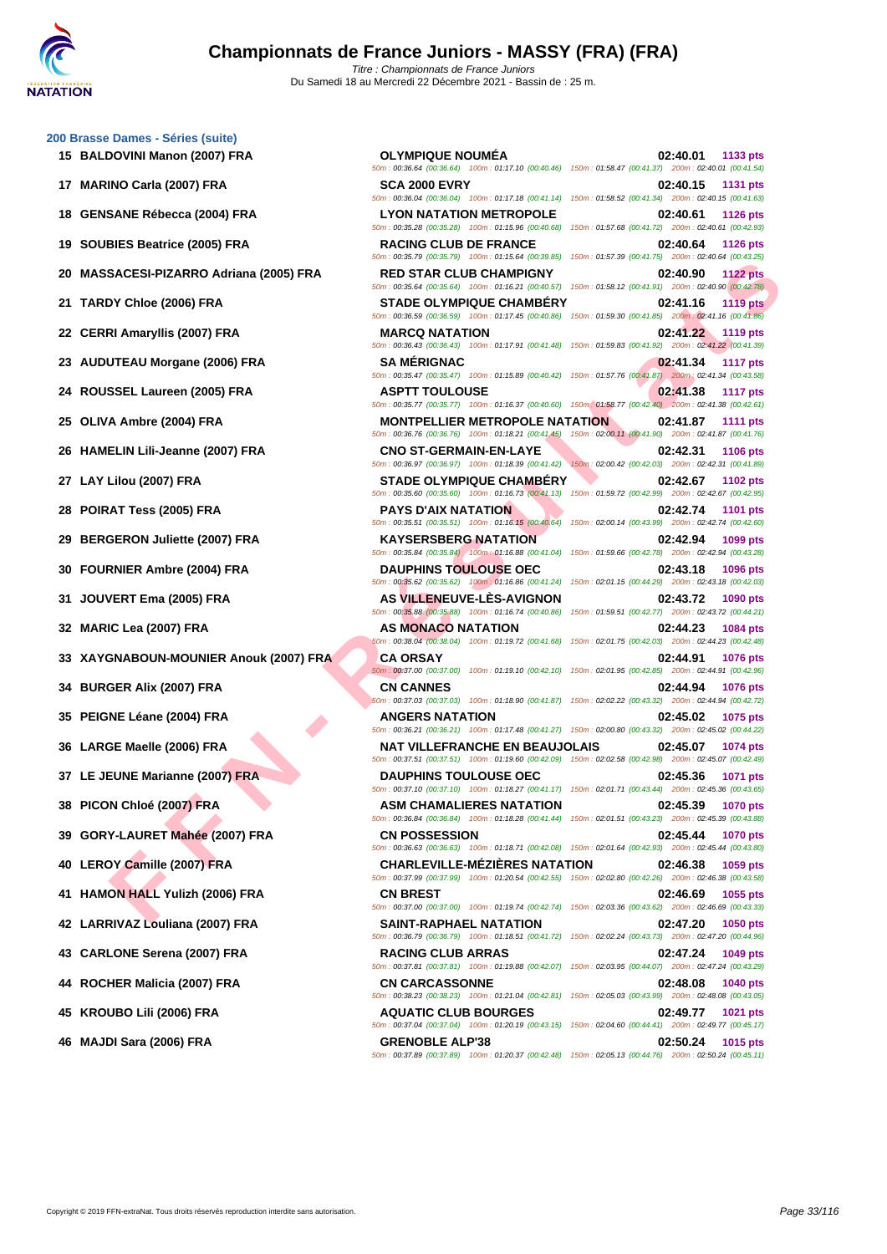# **[200 Brass](http://www.ffnatation.fr/webffn/index.php)e Dames - Séries (suite)**

- 
- 
- 
- 
- 

**SACES PIZARRO Addien (2005) FRA**<br> **FRAME IN A SACES NATALINE IN A SACE STATE CULTURE AREAS NATALINE IN A SACE OF A SACE OF A SACE OF A SACE OF A SACE OF A SACE OF A SACE OF A SACE OF A SACE OF A SACE OF A SACE OF A SACE 15 BALDOVINI Manon (2007) FRA OLYMPIQUE NOUMÉA 02:40.01 1133 pts** 50m : 00:36.64 (00:36.64) 100m : 01:17.10 (00:40.46) 150m : 01:58.47 (00:41.37) 200m : 02:40.01 (00:41.54) **17 MARINO Carla (2007) FRA SCA 2000 EVRY 02:40.15 1131 pts** 50m : 00:36.04 (00:36.04) 100m : 01:17.18 (00:41.14) 150m : 01:58.52 (00:41.34) 200m : 02:40.15 (00:41.63) **18 GENSANE Rébecca (2004) FRA LYON NATATION METROPOLE 02:40.61 1126 pts** 50m : 00:35.28 (00:35.28) 100m : 01:15.96 (00:40.68) 150m : 01:57.68 (00:41.72) 200m : 02:40.61 (00:42.93) **19 SOUBIES Beatrice (2005) FRA RACING CLUB DE FRANCE 02:40.64 1126 pts** 50m : 00:35.79 (00:35.79) 100m : 01:15.64 (00:39.85) 150m : 01:57.39 (00:41.75) 200m : 02:40.64 (00:43.25) **20 MASSACESI-PIZARRO Adriana (2005) FRA RED STAR CLUB CHAMPIGNY 02:40.90 1122 pts** 50m : 00:35.64 (00:35.64) 100m : 01:16.21 (00:40.57) 150m : 01:58.12 (00:41.91) 200m : 02:40.90 (00:42.78) **21 TARDY Chloe (2006) FRA STADE OLYMPIQUE CHAMBÉRY 02:41.16 1119 pts** 50m : 00:36.59 (00:36.59) 100m : 01:17.45 (00:40.86) 150m : 01:59.30 (00:41.85) 200m : 02:41.16 (00:41.86) **22 CERRI Amaryllis (2007) FRA MARCQ NATATION 02:41.22 1119 pts** 50m : 00:36.43 (00:36.43) 100m : 01:17.91 (00:41.48) 150m : 01:59.83 (00:41.92) 200m : 02:41.22 (00:41.39) **23 AUDUTEAU Morgane (2006) FRA SA MÉRIGNAC 02:41.34 1117 pts** 50m : 00:35.47 (00:35.47) 100m : 01:15.89 (00:40.42) 150m : 01:57.76 (00:41.87) 200m : 02:41.34 (00:43.58) **24 ROUSSEL Laureen (2005) FRA ASPTT TOULOUSE 02:41.38 1117 pts** 50m : 00:35.77 (00:35.77) 100m : 01:16.37 (00:40.60) 150m : 01:58.77 (00:42.40) 200m : 02:41.38 (00:42.61) **25 OLIVA Ambre (2004) FRA MONTPELLIER METROPOLE NATATION 02:41.87 1111 pts** 50m : 00:36.76 (00:36.76) 100m : 01:18.21 (00:41.45) 150m : 02:00.11 (00:41.90) 200m : 02:41.87 (00:41.76) **26 HAMELIN Lili-Jeanne (2007) FRA CNO ST-GERMAIN-EN-LAYE 02:42.31 1106 pts** 50m : 00:36.97 (00:36.97) 100m : 01:18.39 (00:41.42) 150m : 02:00.42 (00:42.03) 200m : 02:42.31 (00:41.89) **27 LAY Lilou (2007) FRA STADE OLYMPIQUE CHAMBÉRY 02:42.67 1102 pts** 50m : 00:35.60 (00:35.60) 100m : 01:16.73 (00:41.13) 150m : 01:59.72 (00:42.99) 200m : 02:42.67 (00:42.95) **28 POIRAT Tess (2005) FRA PAYS D'AIX NATATION 02:42.74 1101 pts** 50m : 00:35.51 (00:35.51) 100m : 01:16.15 (00:40.64) 150m : 02:00.14 (00:43.99) 200m : 02:42.74 (00:42.60) **29 BERGERON Juliette (2007) FRA KAYSERSBERG NATATION 02:42.94 1099 pts** 50m : 00:35.84 (00:35.84) 100m : 01:16.88 (00:41.04) 150m : 01:59.66 (00:42.78) 200m : 02:42.94 (00:43.28) **30 FOURNIER Ambre (2004) FRA DAUPHINS TOULOUSE OEC 02:43.18 1096 pts** 50m : 00:35.62 (00:35.62) 100m : 01:16.86 (00:41.24) 150m : 02:01.15 (00:44.29) 200m : 02:43.18 (00:42.03) **31 JOUVERT Ema (2005) FRA AS VILLENEUVE-LÈS-AVIGNON 02:43.72 1090 pts** 50m : 00:35.88 (00:35.88) 100m : 01:16.74 (00:40.86) 150m : 01:59.51 (00:42.77) 200m : 02:43.72 (00:44.21) **32 MARIC Lea (2007) FRA AS MONACO NATATION 02:44.23 1084 pts** 50m : 00:38.04 (00:38.04) 100m : 01:19.72 (00:41.68) 150m : 02:01.75 (00:42.03) 200m : 02:44.23 (00:42.48) **33 XAYGNABOUN-MOUNIER Anouk (2007) FRA CA ORSAY 02:44.91 1076 pts** 50m : 00:37.00 (00:37.00) 100m : 01:19.10 (00:42.10) 150m : 02:01.95 (00:42.85) 200m : 02:44.91 (00:42.96) **34 BURGER Alix (2007) FRA CN CANNES 02:44.94 1076 pts** 50m : 00:37.03 (00:37.03) 100m : 01:18.90 (00:41.87) 150m : 02:02.22 (00:43.32) 200m : 02:44.94 (00:42.72) **35 PEIGNE Léane (2004) FRA ANGERS NATATION 02:45.02 1075 pts** 50m : 00:36.21 (00:36.21) 100m : 01:17.48 (00:41.27) 150m : 02:00.80 (00:43.32) 200m : 02:45.02 (00:44.22) **36 LARGE Maelle (2006) FRA NAT VILLEFRANCHE EN BEAUJOLAIS 02:45.07 1074 pts** 50m : 00:37.51 (00:37.51) 100m : 01:19.60 (00:42.09) 150m : 02:02.58 (00:42.98) 200m : 02:45.07 (00:42.49) **37 LE JEUNE Marianne (2007) FRA DAUPHINS TOULOUSE OEC 02:45.36 1071 pts** 50m : 00:37.10 (00:37.10) 100m : 01:18.27 (00:41.17) 150m : 02:01.71 (00:43.44) 200m : 02:45.36 (00:43.65) **38 PICON Chloé (2007) FRA ASM CHAMALIERES NATATION 02:45.39 1070 pts** 50m : 00:36.84 (00:36.84) 100m : 01:18.28 (00:41.44) 150m : 02:01.51 (00:43.23) 200m : 02:45.39 (00:43.88) **39 GORY-LAURET Mahée (2007) FRA CN POSSESSION 02:45.44 1070 pts** 50m : 00:36.63 (00:36.63) 100m : 01:18.71 (00:42.08) 150m : 02:01.64 (00:42.93) 200m : 02:45.44 (00:43.80) **40 LEROY Camille (2007) FRA CHARLEVILLE-MÉZIÈRES NATATION 02:46.38 1059 pts** 50m : 00:37.99 (00:37.99) 100m : 01:20.54 (00:42.55) 150m : 02:02.80 (00:42.26) 200m : 02:46.38 (00:43.58) **41 HAMON HALL Yulizh (2006) FRA CN BREST 02:46.69 1055 pts** 50m : 00:37.00 (00:37.00) 100m : 01:19.74 (00:42.74) 150m : 02:03.36 (00:43.62) 200m : 02:46.69 (00:43.33) **42 LARRIVAZ Louliana (2007) FRA SAINT-RAPHAEL NATATION 02:47.20 1050 pts** 50m : 00:36.79 (00:36.79) 100m : 01:18.51 (00:41.72) 150m : 02:02.24 (00:43.73) 200m : 02:47.20 (00:44.96) **43 CARLONE Serena (2007) FRA RACING CLUB ARRAS 02:47.24 1049 pts** 50m : 00:37.81 (00:37.81) 100m : 01:19.88 (00:42.07) 150m : 02:03.95 (00:44.07) 200m : 02:47.24 (00:43.29) **44 ROCHER Malicia (2007) FRA CN CARCASSONNE 02:48.08 1040 pts** 50m : 00:38.23 (00:38.23) 100m : 01:21.04 (00:42.81) 150m : 02:05.03 (00:43.99) 200m : 02:48.08 (00:43.05) **45 KROUBO Lili (2006) FRA AQUATIC CLUB BOURGES 02:49.77 1021 pts** 50m : 00:37.04 (00:37.04) 100m : 01:20.19 (00:43.15) 150m : 02:04.60 (00:44.41) 200m : 02:49.77 (00:45.17) **46 MAJDI Sara (2006) FRA GRENOBLE ALP'38 02:50.24 1015 pts**

50m : 00:37.89 (00:37.89) 100m : 01:20.37 (00:42.48) 150m : 02:05.13 (00:44.76) 200m : 02:50.24 (00:45.11)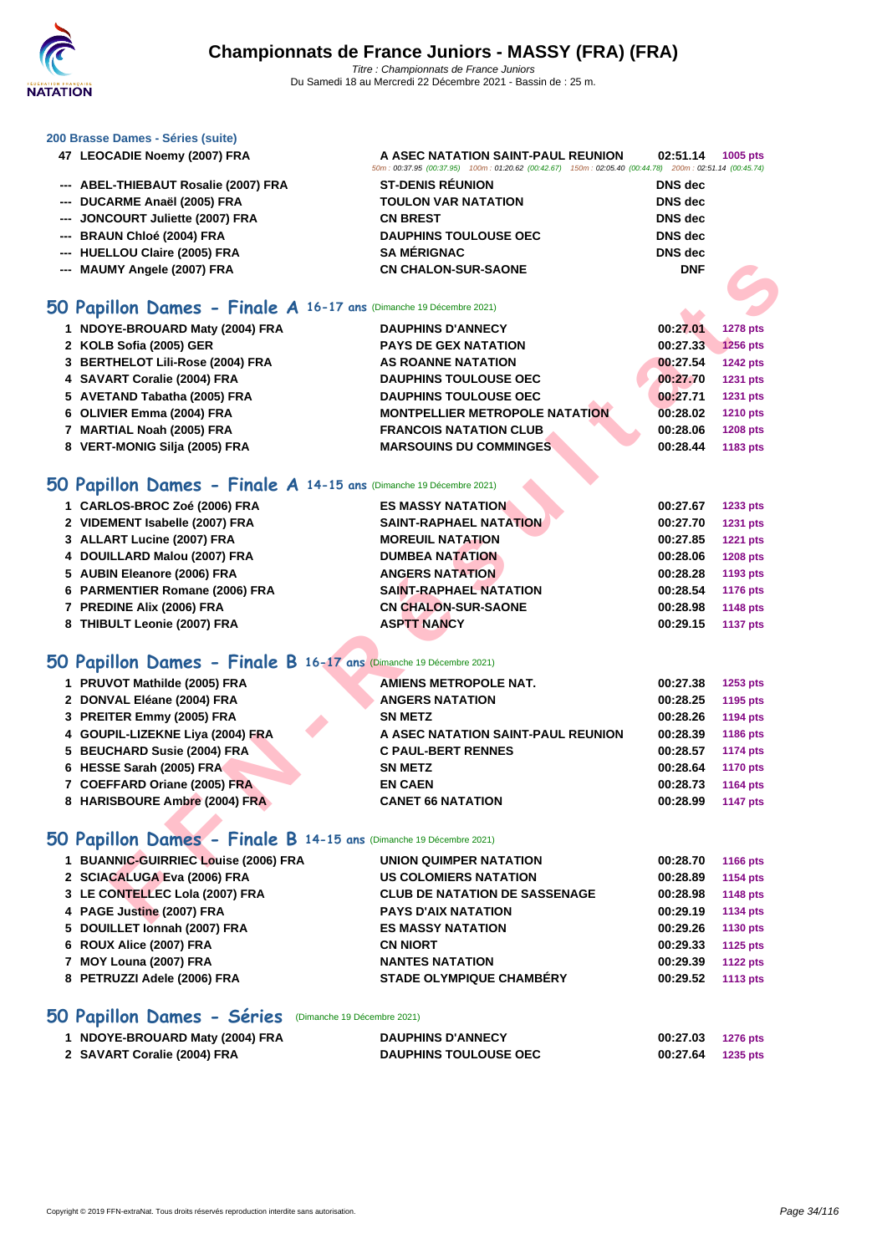

50m : 00:37.95 (00:37.95) 100m : 01:20.62 (00:42.67) 150m : 02:05.40 (00:44.78) 200m : 02:51.14 (00:45.74)

### **[200 Brass](http://www.ffnatation.fr/webffn/index.php)e Dames - Séries (suite)**

- **LEOCADIE Noemy (2007) FRA A ASEC NATATION SAINT-PAUL REUNION 02:51.14 1005 pts**
- **--- ABEL-THIEBAUT Rosalie (2007) FRA ST-DENIS RÉUNION DNS dec**
- **--- DUCARME Anaël (2005) FRA TOULON VAR NATATION DNS dec**
- **--- JONCOURT Juliette (2007) FRA CN BREST DNS dec**
- **--- BRAUN Chloé (2004) FRA DAUPHINS TOULOUSE OEC DNS dec**
- **--- HUELLOU Claire (2005) FRA SA MÉRIGNAC DNS dec**
- **--- MAUMY Angele (2007) FRA CN CHALON-SUR-SAONE DNF**

### **50 Papillon Dames - Finale A 16-17 ans** (Dimanche 19 Décembre 2021)

| 1 NDOYE-BROUARD Maty (2004) FRA  | <b>DAUPHINS D'ANNECY</b>              | 00:27.01 | <b>1278 pts</b> |
|----------------------------------|---------------------------------------|----------|-----------------|
| 2 KOLB Sofia (2005) GER          | <b>PAYS DE GEX NATATION</b>           | 00:27.33 | <b>1256 pts</b> |
| 3 BERTHELOT Lili-Rose (2004) FRA | AS ROANNE NATATION                    | 00:27.54 | <b>1242 pts</b> |
| 4 SAVART Coralie (2004) FRA      | <b>DAUPHINS TOULOUSE OEC</b>          | 00:27.70 | <b>1231 pts</b> |
| 5 AVETAND Tabatha (2005) FRA     | <b>DAUPHINS TOULOUSE OEC</b>          | 00:27.71 | 1231 pts        |
| 6 OLIVIER Emma (2004) FRA        | <b>MONTPELLIER METROPOLE NATATION</b> | 00:28.02 | <b>1210 pts</b> |
| 7 MARTIAL Noah (2005) FRA        | <b>FRANCOIS NATATION CLUB</b>         | 00:28.06 | <b>1208 pts</b> |
| 8 VERT-MONIG Silja (2005) FRA    | <b>MARSOUINS DU COMMINGES</b>         | 00:28.44 | 1183 pts        |

### **50 Papillon Dames - Finale A 14-15 ans** (Dimanche 19 Décembre 2021)

| 1 CARLOS-BROC Zoé (2006) FRA   | <b>ES MASSY NATATION</b>      | 00:27.67<br>1233 pts        |
|--------------------------------|-------------------------------|-----------------------------|
| 2 VIDEMENT Isabelle (2007) FRA | <b>SAINT-RAPHAEL NATATION</b> | 00:27.70<br>1231 pts        |
| 3 ALLART Lucine (2007) FRA     | <b>MOREUIL NATATION</b>       | <b>1221 pts</b><br>00:27.85 |
| 4 DOUILLARD Malou (2007) FRA   | <b>DUMBEA NATATION</b>        | 00:28.06<br><b>1208 pts</b> |
| 5 AUBIN Eleanore (2006) FRA    | <b>ANGERS NATATION</b>        | 00:28.28<br>1193 pts        |
| 6 PARMENTIER Romane (2006) FRA | <b>SAINT-RAPHAEL NATATION</b> | 00:28.54<br>1176 pts        |
| 7 PREDINE Alix (2006) FRA      | <b>CN CHALON-SUR-SAONE</b>    | 1148 pts<br>00:28.98        |
| 8 THIBULT Leonie (2007) FRA    | <b>ASPTT NANCY</b>            | 00:29.15<br><b>1137 pts</b> |

### **50 Papillon Dames - Finale B 16-17 ans** (Dimanche 19 Décembre 2021)

# **EXECUTE THE SE SE TRA[N](http://www.ffnatation.fr/webffn/resultats.php?idact=nat&go=epr&idcpt=72221&idepr=31)CE AN ABSOUND THE SE SE SE CREAT AND DRIVER COMPERANT COMPUTER CONSULTER THE CONSULTER CONSULTER CONSULTER CONSULTER CONSULTER CONSULTER CONSULTER CONSULTER CONSULTER CONSULTANT CONSULTANT CONSULTANT PRUVOT Mathilde (2005) FRA AMIENS METROPOLE NAT. 00:27.38 1253 pts DONVAL Eléane (2004) FRA ANGERS NATATION 00:28.25 1195 pts PREITER Emmy (2005) FRA SN METZ 00:28.26 1194 pts GOUPIL-LIZEKNE Liya (2004) FRA A ASEC NATATION SAINT-PAUL REUNION 00:28.39 1186 pts BEUCHARD Susie (2004) FRA C PAUL-BERT RENNES 00:28.57 1174 pts HESSE Sarah (2005) FRA SN METZ 00:28.64 1170 pts COEFFARD Oriane (2005) FRA EN CAEN 00:28.73 1164 pts HARISBOURE Ambre (2004) FRA CANET 66 NATATION 00:28.99 1147 pts**

### **50 Papillon Dames - Finale B 14-15 ans** (Dimanche 19 Décembre 2021)

| 1 BUANNIC-GUIRRIEC Louise (2006) FRA | UNION QUIMPER NATATION               | 00:28.70 | 1166 pts        |
|--------------------------------------|--------------------------------------|----------|-----------------|
| 2 SCIACALUGA Eva (2006) FRA          | <b>US COLOMIERS NATATION</b>         | 00:28.89 | <b>1154 pts</b> |
| 3 LE CONTELLEC Lola (2007) FRA       | <b>CLUB DE NATATION DE SASSENAGE</b> | 00:28.98 | <b>1148 pts</b> |
| 4 PAGE Justine (2007) FRA            | <b>PAYS D'AIX NATATION</b>           | 00:29.19 | 1134 pts        |
| 5 DOUILLET Ionnah (2007) FRA         | <b>ES MASSY NATATION</b>             | 00:29.26 | 1130 pts        |
| 6 ROUX Alice (2007) FRA              | <b>CN NIORT</b>                      | 00:29.33 | 1125 pts        |
| 7 MOY Louna (2007) FRA               | <b>NANTES NATATION</b>               | 00:29.39 | <b>1122 pts</b> |
| 8 PETRUZZI Adele (2006) FRA          | <b>STADE OLYMPIQUE CHAMBÉRY</b>      | 00:29.52 | 1113 pts        |
|                                      |                                      |          |                 |

### **50 Papillon Dames - Séries** (Dimanche 19 Décembre 2021)

| 1 NDOYE-BROUARD Maty (2004) FRA | <b>DAUPHINS D'ANNECY</b>     | 00:27.03 1276 pts |  |
|---------------------------------|------------------------------|-------------------|--|
| 2 SAVART Coralie (2004) FRA     | <b>DAUPHINS TOULOUSE OEC</b> | 00:27.64 1235 pts |  |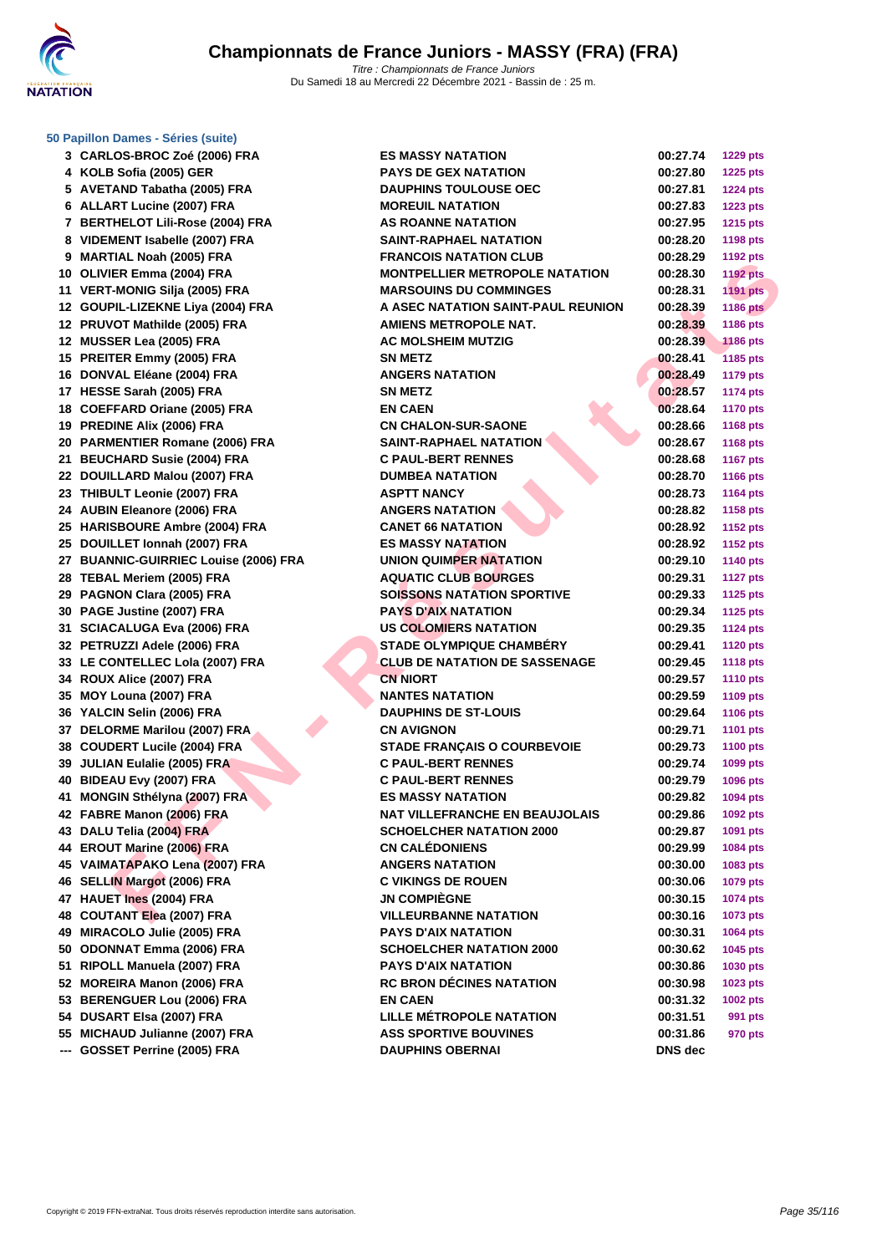

### **[50 Papillo](http://www.ffnatation.fr/webffn/index.php)n Dames - Séries (suite)**

| 3 CARLOS-BROC Zoé (2006) FRA                                  | <b>ES MASSY NATATION</b>                                        | 00:27.74             | <b>1229 pts</b>      |
|---------------------------------------------------------------|-----------------------------------------------------------------|----------------------|----------------------|
| 4 KOLB Sofia (2005) GER                                       | <b>PAYS DE GEX NATATION</b>                                     | 00:27.80             | <b>1225 pts</b>      |
| 5 AVETAND Tabatha (2005) FRA                                  | <b>DAUPHINS TOULOUSE OEC</b>                                    | 00:27.81             | <b>1224 pts</b>      |
| 6 ALLART Lucine (2007) FRA                                    | <b>MOREUIL NATATION</b>                                         | 00:27.83             | <b>1223 pts</b>      |
| 7 BERTHELOT Lili-Rose (2004) FRA                              | <b>AS ROANNE NATATION</b>                                       | 00:27.95             | <b>1215 pts</b>      |
| 8 VIDEMENT Isabelle (2007) FRA                                | <b>SAINT-RAPHAEL NATATION</b>                                   | 00:28.20             | <b>1198 pts</b>      |
| 9 MARTIAL Noah (2005) FRA                                     | <b>FRANCOIS NATATION CLUB</b>                                   | 00:28.29             | <b>1192 pts</b>      |
| 10 OLIVIER Emma (2004) FRA                                    | <b>MONTPELLIER METROPOLE NATATION</b>                           | 00:28.30             | <b>1192 pts</b>      |
| 11 VERT-MONIG Silja (2005) FRA                                | <b>MARSOUINS DU COMMINGES</b>                                   | 00:28.31             | <b>1191 pts</b>      |
| 12 GOUPIL-LIZEKNE Liya (2004) FRA                             | A ASEC NATATION SAINT-PAUL REUNION                              | 00:28.39             | <b>1186 pts</b>      |
| 12 PRUVOT Mathilde (2005) FRA                                 | <b>AMIENS METROPOLE NAT.</b>                                    | 00:28.39             | 1186 pts             |
| 12 MUSSER Lea (2005) FRA                                      | <b>AC MOLSHEIM MUTZIG</b>                                       | 00:28.39             | <b>1186 pts</b>      |
| 15 PREITER Emmy (2005) FRA                                    | <b>SN METZ</b>                                                  | 00:28.41             | 1185 pts             |
| 16 DONVAL Eléane (2004) FRA                                   | <b>ANGERS NATATION</b>                                          | 00:28.49             | <b>1179 pts</b>      |
| 17 HESSE Sarah (2005) FRA                                     | <b>SN METZ</b>                                                  | 00:28.57             | <b>1174 pts</b>      |
| 18 COEFFARD Oriane (2005) FRA                                 | <b>EN CAEN</b>                                                  | 00:28.64             | <b>1170 pts</b>      |
| 19 PREDINE Alix (2006) FRA                                    | <b>CN CHALON-SUR-SAONE</b>                                      | 00:28.66             | <b>1168 pts</b>      |
| 20 PARMENTIER Romane (2006) FRA                               | SAINT-RAPHAEL NATATION                                          | 00:28.67             | 1168 pts             |
| 21 BEUCHARD Susie (2004) FRA                                  | <b>C PAUL-BERT RENNES</b>                                       | 00:28.68             | <b>1167 pts</b>      |
| 22 DOUILLARD Malou (2007) FRA                                 | <b>DUMBEA NATATION</b>                                          | 00:28.70             | 1166 pts             |
| 23 THIBULT Leonie (2007) FRA                                  | <b>ASPTT NANCY</b>                                              | 00:28.73             | <b>1164 pts</b>      |
| 24 AUBIN Eleanore (2006) FRA                                  | <b>ANGERS NATATION</b>                                          | 00:28.82             | 1158 pts             |
| 25 HARISBOURE Ambre (2004) FRA                                | <b>CANET 66 NATATION</b>                                        | 00:28.92             | <b>1152 pts</b>      |
| 25 DOUILLET Ionnah (2007) FRA                                 | <b>ES MASSY NATATION</b>                                        | 00:28.92             | <b>1152 pts</b>      |
| 27 BUANNIC-GUIRRIEC Louise (2006) FRA                         | <b>UNION QUIMPER NATATION</b>                                   | 00:29.10             | <b>1140 pts</b>      |
| 28 TEBAL Meriem (2005) FRA                                    | <b>AQUATIC CLUB BOURGES</b>                                     | 00:29.31             | <b>1127 pts</b>      |
| 29 PAGNON Clara (2005) FRA                                    | <b>SOISSONS NATATION SPORTIVE</b>                               | 00:29.33             | <b>1125 pts</b>      |
| 30 PAGE Justine (2007) FRA                                    | <b>PAYS D'AIX NATATION</b>                                      | 00:29.34             | 1125 pts             |
| 31 SCIACALUGA Eva (2006) FRA                                  | <b>US COLOMIERS NATATION</b>                                    | 00:29.35             | <b>1124 pts</b>      |
| 32 PETRUZZI Adele (2006) FRA                                  | <b>STADE OLYMPIQUE CHAMBERY</b>                                 | 00:29.41             | <b>1120 pts</b>      |
| 33 LE CONTELLEC Lola (2007) FRA                               | <b>CLUB DE NATATION DE SASSENAGE</b>                            | 00:29.45             | <b>1118 pts</b>      |
| 34 ROUX Alice (2007) FRA                                      | <b>CN NIORT</b>                                                 | 00:29.57             | <b>1110 pts</b>      |
| 35 MOY Louna (2007) FRA                                       | <b>NANTES NATATION</b>                                          | 00:29.59             | 1109 pts             |
| 36 YALCIN Selin (2006) FRA                                    | <b>DAUPHINS DE ST-LOUIS</b>                                     | 00:29.64             |                      |
|                                                               | <b>CN AVIGNON</b>                                               | 00:29.71             | <b>1106 pts</b>      |
| 37 DELORME Marilou (2007) FRA<br>38 COUDERT Lucile (2004) FRA |                                                                 | 00:29.73             | <b>1101 pts</b>      |
|                                                               | <b>STADE FRANÇAIS O COURBEVOIE</b><br><b>C PAUL-BERT RENNES</b> |                      | <b>1100 pts</b>      |
| 39 JULIAN Eulalie (2005) FRA<br>40 BIDEAU Evy (2007) FRA      | <b>C PAUL-BERT RENNES</b>                                       | 00:29.74<br>00:29.79 | 1099 pts<br>1096 pts |
| 41 MONGIN Sthélyna (2007) FRA                                 | <b>ES MASSY NATATION</b>                                        |                      |                      |
|                                                               | <b>NAT VILLEFRANCHE EN BEAUJOLAIS</b>                           | 00:29.82             | 1094 pts             |
| 42 FABRE Manon (2006) FRA<br>43 DALU Telia (2004) FRA         |                                                                 | 00:29.86             | 1092 pts             |
|                                                               | <b>SCHOELCHER NATATION 2000</b>                                 | 00:29.87             | 1091 pts             |
| 44 EROUT Marine (2006) FRA                                    | <b>CN CALEDONIENS</b>                                           | 00:29.99             | 1084 pts             |
| 45 VAIMATAPAKO Lena (2007) FRA                                | <b>ANGERS NATATION</b><br><b>C VIKINGS DE ROUEN</b>             | 00:30.00             | 1083 pts             |
| 46 SELLIN Margot (2006) FRA                                   |                                                                 | 00:30.06             | 1079 pts             |
| 47 HAUET Ines (2004) FRA                                      | <b>JN COMPIÈGNE</b>                                             | 00:30.15             | <b>1074 pts</b>      |
| 48 COUTANT Elea (2007) FRA                                    | <b>VILLEURBANNE NATATION</b>                                    | 00:30.16             | 1073 pts             |
| 49 MIRACOLO Julie (2005) FRA                                  | <b>PAYS D'AIX NATATION</b>                                      | 00:30.31             | 1064 pts             |
| 50 ODONNAT Emma (2006) FRA                                    | <b>SCHOELCHER NATATION 2000</b>                                 | 00:30.62             | 1045 pts             |
| 51 RIPOLL Manuela (2007) FRA                                  | <b>PAYS D'AIX NATATION</b>                                      | 00:30.86             | 1030 pts             |
| 52 MOREIRA Manon (2006) FRA                                   | <b>RC BRON DÉCINES NATATION</b>                                 | 00:30.98             | 1023 pts             |
| 53 BERENGUER Lou (2006) FRA                                   | <b>EN CAEN</b>                                                  | 00:31.32             | 1002 pts             |
| 54 DUSART Elsa (2007) FRA                                     | <b>LILLE METROPOLE NATATION</b>                                 | 00:31.51             | 991 pts              |
| 55 MICHAUD Julianne (2007) FRA                                | <b>ASS SPORTIVE BOUVINES</b>                                    | 00:31.86             | 970 pts              |
| --- GOSSET Perrine (2005) FRA                                 | <b>DAUPHINS OBERNAI</b>                                         | DNS dec              |                      |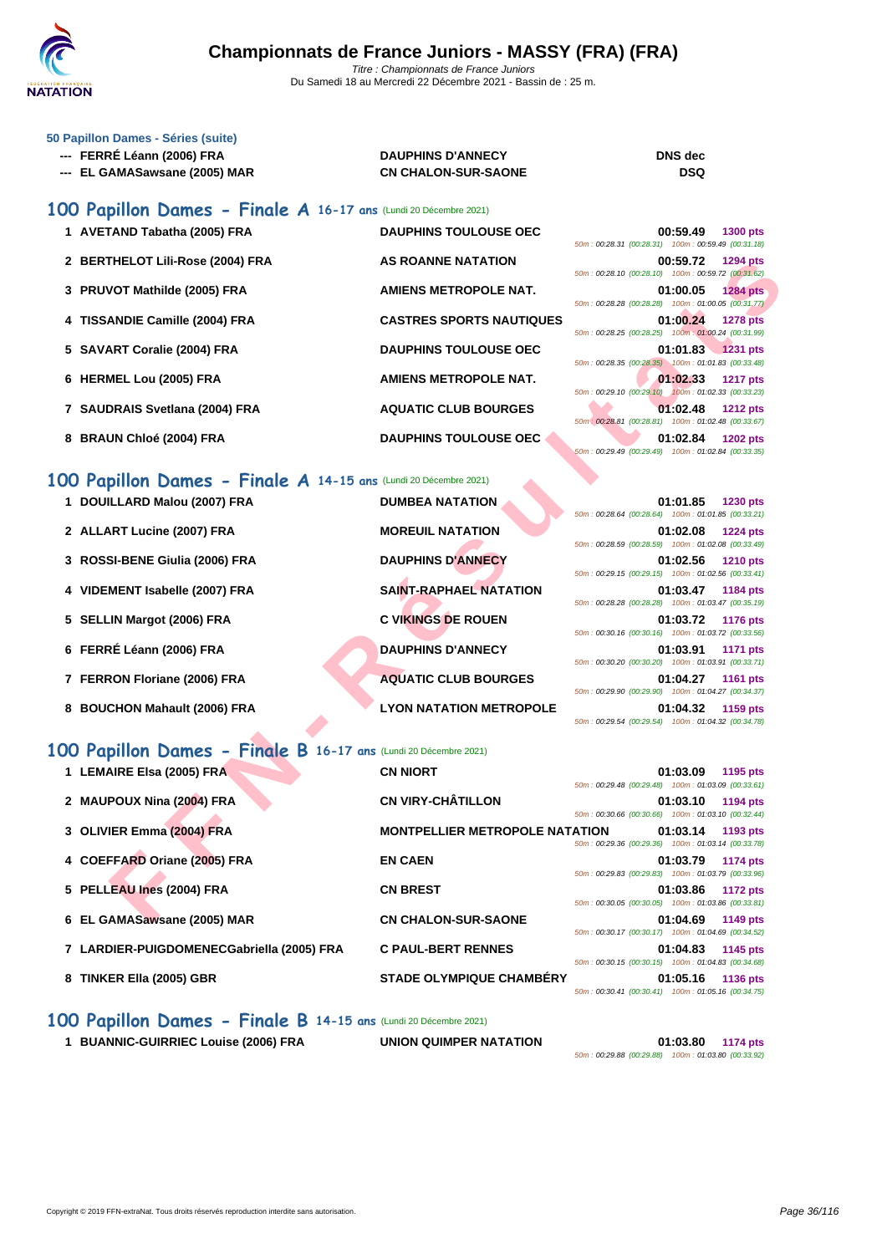

### **[50 Papillo](http://www.ffnatation.fr/webffn/index.php)n Dames - Séries (suite)**

- **--- FERRÉ Léann (2006) FRA DAUPHINS D'ANNECY DNS dec**
- **--- EL GAMASawsane (2005) MAR CN CHALON-SUR-SAONE DSQ**

## **100 Papillon Dames - Finale A 16-17 ans** (Lundi 20 Décembre 2021)

- 1 **AVETAND Tabatha (2005) FRA DAUPHINS TOULOUSE OEC 2 BERTHELOT Lili-Rose (2004) FRA AS ROANNE NATATION 00:59.72 1294 pts 3 PRUVOT Mathilde (2005) FRA AMIENS METROPOLE NAT. 4 TISSANDIE Camille (2004) FRA CASTRES SPORTS NAUTIQUES 01:00.24 1278 pts 5 SAVART Coralie (2004) FRA DAUPHINS TOULOUSE OEC 01:01.83 1231 pts 6 HERMEL Lou (2005) FRA AMIENS METROPOLE NAT. 7** SAUDRAIS Svetlana (2004) FRA **AQUATIC CLUB BOURGES**
- 
- **8 BRAUN Chloé (2004) FRA DAUPHINS TOULOUSE OEC**

|                                                      | 00:59.49 1300 pts |  |
|------------------------------------------------------|-------------------|--|
| 50m: 00:28.31 (00:28.31) 100m: 00:59.49 (00:31.18)   |                   |  |
|                                                      | 00:59.72 1294 pts |  |
| 50m: 00:28.10 (00:28.10) 100m: 00:59.72 (00:31.62)   |                   |  |
|                                                      | 01:00.05 1284 pts |  |
| 50m: 00:28.28 (00:28.28) 100m: 01:00.05 (00:31.77)   |                   |  |
|                                                      | 01:00.24 1278 pts |  |
| 50m: 00:28.25 (00:28.25) 100m: 01:00.24 (00:31.99)   |                   |  |
|                                                      |                   |  |
|                                                      | 01:01.83 1231 pts |  |
| 50m: 00:28.35 (00:28.35) 100m: 01:01.83 (00:33.48)   |                   |  |
|                                                      |                   |  |
| 50m: 00:29.10 (00:29.10) 100m: 01:02.33 (00:33.23)   | 01:02.33 1217 pts |  |
|                                                      | 01:02.48 1212 pts |  |
| 50m : 00:28.81 (00:28.81) 100m : 01:02.48 (00:33.67) |                   |  |
|                                                      | 01:02.84 1202 pts |  |

| 2 BERTHELOT Lili-Rose (2004) FRA                                 | <b>AS ROANNE NATATION</b>             | 00:59.72<br>1294 pts<br>50m: 00:28.10 (00:28.10) 100m: 00:59.72 (00:31.62)          |
|------------------------------------------------------------------|---------------------------------------|-------------------------------------------------------------------------------------|
| 3 PRUVOT Mathilde (2005) FRA                                     | <b>AMIENS METROPOLE NAT.</b>          | 01:00.05<br><b>1284 pts</b><br>50m: 00:28.28 (00:28.28) 100m: 01:00.05 (00:31.77)   |
| 4 TISSANDIE Camille (2004) FRA                                   | <b>CASTRES SPORTS NAUTIQUES</b>       | 01:00.24<br><b>1278 pts</b><br>50m: 00:28.25 (00:28.25) 100m: 01:00.24 (00:31.99)   |
| 5 SAVART Coralie (2004) FRA                                      | <b>DAUPHINS TOULOUSE OEC</b>          | 01:01.83 1231 pts<br>50m: 00:28.35 (00:28.35) 100m: 01:01.83 (00:33.48)             |
| 6 HERMEL Lou (2005) FRA                                          | <b>AMIENS METROPOLE NAT.</b>          | 01:02.33<br><b>1217 pts</b><br>50m: 00:29.10 (00:29.10) 100m: 01:02.33 (00:33.23)   |
| 7 SAUDRAIS Svetlana (2004) FRA                                   | <b>AQUATIC CLUB BOURGES</b>           | 01:02.48<br><b>1212 pts</b><br>50m : 00:28.81 (00:28.81) 100m : 01:02.48 (00:33.67) |
| 8 BRAUN Chloé (2004) FRA                                         | <b>DAUPHINS TOULOUSE OEC</b>          | 01:02.84<br><b>1202 pts</b><br>50m: 00:29.49 (00:29.49) 100m: 01:02.84 (00:33.35)   |
| 100 Papillon Dames - Finale A 14-15 ans (Lundi 20 Décembre 2021) |                                       |                                                                                     |
| 1 DOUILLARD Malou (2007) FRA                                     | <b>DUMBEA NATATION</b>                | 01:01.85<br>1230 pts<br>50m: 00:28.64 (00:28.64) 100m: 01:01.85 (00:33.21)          |
| 2 ALLART Lucine (2007) FRA                                       | <b>MOREUIL NATATION</b>               | 01:02.08<br><b>1224 pts</b><br>50m: 00:28.59 (00:28.59) 100m: 01:02.08 (00:33.49)   |
| 3 ROSSI-BENE Giulia (2006) FRA                                   | <b>DAUPHINS D'ANNECY</b>              | 01:02.56<br><b>1210 pts</b><br>50m: 00:29.15 (00:29.15) 100m: 01:02.56 (00:33.41)   |
| 4 VIDEMENT Isabelle (2007) FRA                                   | <b>SAINT-RAPHAEL NATATION</b>         | 01:03.47<br>1184 pts<br>50m: 00:28.28 (00:28.28) 100m: 01:03.47 (00:35.19)          |
| 5 SELLIN Margot (2006) FRA                                       | <b>C VIKINGS DE ROUEN</b>             | 01:03.72<br><b>1176 pts</b><br>50m: 00:30.16 (00:30.16) 100m: 01:03.72 (00:33.56)   |
| 6 FERRÉ Léann (2006) FRA                                         | <b>DAUPHINS D'ANNECY</b>              | 01:03.91<br>1171 pts<br>50m: 00:30.20 (00:30.20) 100m: 01:03.91 (00:33.71)          |
| 7 FERRON Floriane (2006) FRA                                     | <b>AQUATIC CLUB BOURGES</b>           | 01:04.27<br><b>1161 pts</b><br>50m: 00:29.90 (00:29.90) 100m: 01:04.27 (00:34.37)   |
| 8 BOUCHON Mahault (2006) FRA                                     | <b>LYON NATATION METROPOLE</b>        | 01:04.32<br>1159 pts<br>50m: 00:29.54 (00:29.54) 100m: 01:04.32 (00:34.78)          |
| 100 Papillon Dames - Finale B 16-17 ans (Lundi 20 Décembre 2021) |                                       |                                                                                     |
| 1 LEMAIRE Elsa (2005) FRA                                        | <b>CN NIORT</b>                       | 01:03.09<br>1195 pts<br>50m: 00:29.48 (00:29.48) 100m: 01:03.09 (00:33.61)          |
| 2 MAUPOUX Nina (2004) FRA                                        | <b>CN VIRY-CHÂTILLON</b>              | 01:03.10<br>1194 pts<br>50m: 00:30.66 (00:30.66) 100m: 01:03.10 (00:32.44)          |
| 3 OLIVIER Emma (2004) FRA                                        | <b>MONTPELLIER METROPOLE NATATION</b> | 01:03.14<br>1193 pts<br>50m: 00:29.36 (00:29.36) 100m: 01:03.14 (00:33.78)          |
| 4 COEFFARD Oriane (2005) FRA                                     | <b>EN CAEN</b>                        | 01:03.79<br>1174 pts<br>50m: 00:29.83 (00:29.83) 100m: 01:03.79 (00:33.96)          |
| 5 PELLEAU Ines (2004) FRA                                        | <b>CN BREST</b>                       | 01:03.86<br>1172 pts<br>50m: 00:30.05 (00:30.05) 100m: 01:03.86 (00:33.81)          |
| 6 EL GAMASawsane (2005) MAR                                      | <b>CN CHALON-SUR-SAONE</b>            | 01:04.69<br>1149 pts                                                                |

### **100 Papillon Dames - Finale B 16-17 ans** (Lundi 20 Décembre 2021)

| 1 LEMAIRE Elsa (2005) FRA                 | <b>CN NIORT</b>                       | 50m: 00:29.48 (00:29.48) 100m: 01:03.09 (00:33.61) | 01:03.09 | 1195 pts        |
|-------------------------------------------|---------------------------------------|----------------------------------------------------|----------|-----------------|
| 2 MAUPOUX Nina (2004) FRA                 | <b>CN VIRY-CHÂTILLON</b>              |                                                    | 01:03.10 | 1194 pts        |
| 3 OLIVIER Emma (2004) FRA                 | <b>MONTPELLIER METROPOLE NATATION</b> | 50m: 00:30.66 (00:30.66) 100m: 01:03.10 (00:32.44) | 01:03.14 | 1193 pts        |
| 4 COEFFARD Oriane (2005) FRA              | <b>EN CAEN</b>                        | 50m: 00:29.36 (00:29.36) 100m: 01:03.14 (00:33.78) | 01:03.79 | 1174 pts        |
| 5 PELLEAU Ines (2004) FRA                 | <b>CN BREST</b>                       | 50m: 00:29.83 (00:29.83) 100m: 01:03.79 (00:33.96) | 01:03.86 | <b>1172 pts</b> |
| 6 EL GAMASawsane (2005) MAR               | <b>CN CHALON-SUR-SAONE</b>            | 50m: 00:30.05 (00:30.05) 100m: 01:03.86 (00:33.81) | 01:04.69 | 1149 pts        |
| 7 LARDIER-PUIGDOMENECGabriella (2005) FRA | <b>C PAUL-BERT RENNES</b>             | 50m: 00:30.17 (00:30.17) 100m: 01:04.69 (00:34.52) | 01:04.83 | 1145 pts        |
| 8 TINKER Ella (2005) GBR                  | <b>STADE OLYMPIQUE CHAMBÉRY</b>       | 50m: 00:30.15 (00:30.15) 100m: 01:04.83 (00:34.68) | 01:05.16 | 1136 pts        |
|                                           |                                       | 50m: 00:30.41 (00:30.41) 100m: 01:05.16 (00:34.75) |          |                 |

### **100 Papillon Dames - Finale B 14-15 ans** (Lundi 20 Décembre 2021)

**1 BUANNIC-GUIRRIEC Louise (2006) FRA UNION QUIMPER NATATION 01:03.80 1174 pts**

50m : 00:29.88 (00:29.88) 100m : 01:03.80 (00:33.92)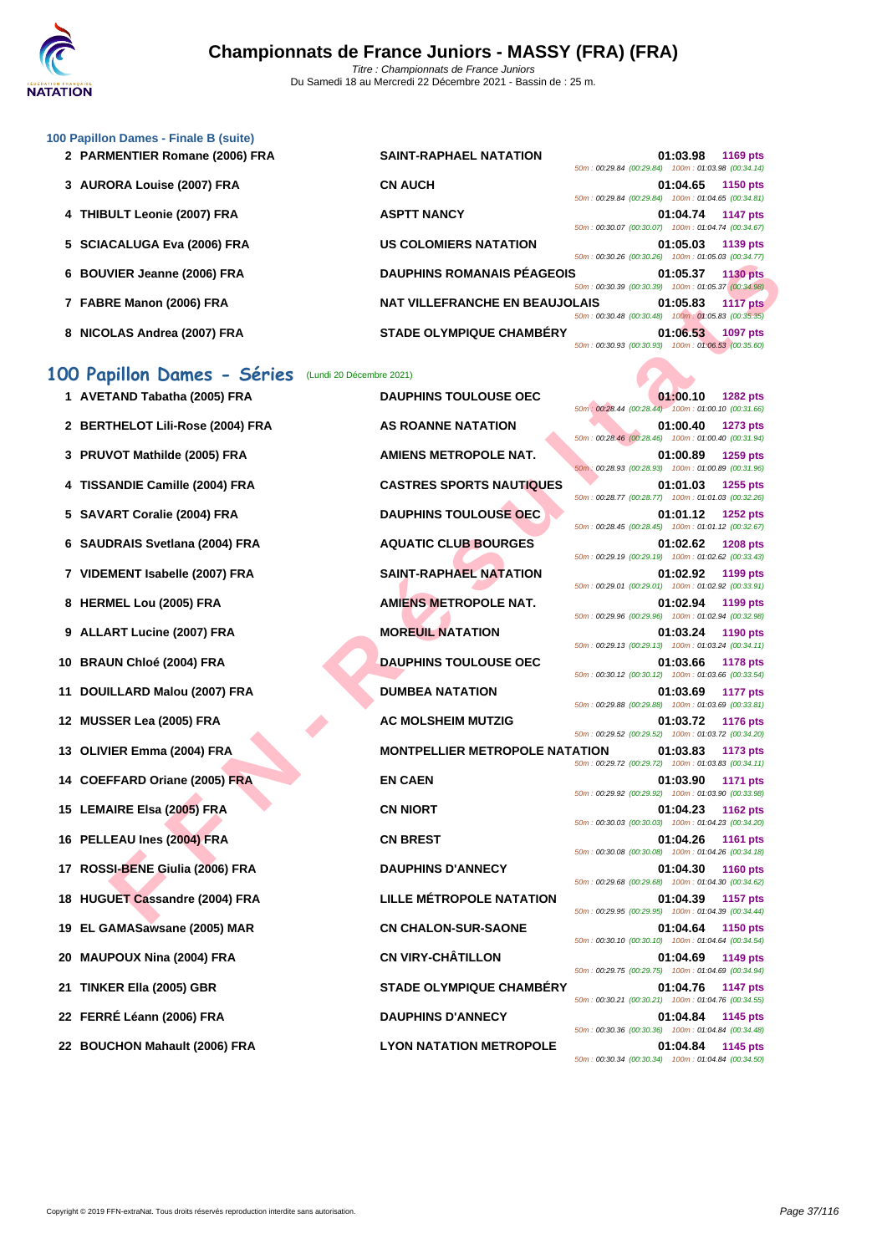

### **[100 Papil](http://www.ffnatation.fr/webffn/index.php)lon Dames - Finale B (suite)**

|  | 2 PARMENTIER Romane (2006) FRA |  |  |  |
|--|--------------------------------|--|--|--|
|--|--------------------------------|--|--|--|

| 2 PARMENTIER Romane (2006) FRA | <b>SAINT-RAPHAEL NATATION</b>         | 50m: 00:29.84 (00:29.84) 100m: 01:03.98 (00:34.14) | 01:03.98 | 1169 pts        |  |
|--------------------------------|---------------------------------------|----------------------------------------------------|----------|-----------------|--|
| 3 AURORA Louise (2007) FRA     | <b>CN AUCH</b>                        | 50m: 00:29.84 (00:29.84) 100m: 01:04.65 (00:34.81) | 01:04.65 | <b>1150 pts</b> |  |
| 4 THIBULT Leonie (2007) FRA    | <b>ASPTT NANCY</b>                    | 50m: 00:30.07 (00:30.07) 100m: 01:04.74 (00:34.67) | 01:04.74 | <b>1147 pts</b> |  |
| 5 SCIACALUGA Eva (2006) FRA    | <b>US COLOMIERS NATATION</b>          | 50m: 00:30.26 (00:30.26) 100m: 01:05.03 (00:34.77) | 01:05.03 | 1139 pts        |  |
| 6 BOUVIER Jeanne (2006) FRA    | <b>DAUPHINS ROMANAIS PÉAGEOIS</b>     | 50m: 00:30.39 (00:30.39) 100m: 01:05.37 (00:34.98) | 01:05.37 | <b>1130 pts</b> |  |
| 7 FABRE Manon (2006) FRA       | <b>NAT VILLEFRANCHE EN BEAUJOLAIS</b> | 50m: 00:30.48 (00:30.48) 100m: 01:05.83 (00:35.35) | 01:05.83 | <b>1117 pts</b> |  |
| 8 NICOLAS Andrea (2007) FRA    | <b>STADE OLYMPIQUE CHAMBÉRY</b>       | 50m: 00:30.93 (00:30.93) 100m: 01:06.53 (00:35.60) | 01:06.53 | 1097 pts        |  |

# **100 Papillon Dames - Séries** (Lundi 20 Décembre 2021)

|     | 6 BOUVIER Jeanne (2006) FRA                             | <b>DAUPHINS ROMANAIS PÉAGEOIS</b>     | $0.0011$ . 00.00.20 $(00.0020)$ 100111. 01.00.00 $(00.04.11)$<br>50m: 00:30.39 (00:30.39) 100m: 01:05.37 (00:34.98) | 01:05.37          | <b>1130 pts</b> |
|-----|---------------------------------------------------------|---------------------------------------|---------------------------------------------------------------------------------------------------------------------|-------------------|-----------------|
|     | 7 FABRE Manon (2006) FRA                                | <b>NAT VILLEFRANCHE EN BEAUJOLAIS</b> | 50m: 00:30.48 (00:30.48) 100m: 01:05.83 (00:35.35)                                                                  | 01:05.83          | <b>1117 pts</b> |
|     | 8 NICOLAS Andrea (2007) FRA                             | <b>STADE OLYMPIQUE CHAMBERY</b>       | 50m: 00:30.93 (00:30.93) 100m: 01:06.53 (00:35.60)                                                                  | 01:06.53          | <b>1097 pts</b> |
|     | 100 Papillon Dames - Séries<br>(Lundi 20 Décembre 2021) |                                       |                                                                                                                     |                   |                 |
|     | 1 AVETAND Tabatha (2005) FRA                            | <b>DAUPHINS TOULOUSE OEC</b>          | 50m: 00:28.44 (00:28.44) 100m: 01:00.10 (00:31.66)                                                                  | 01:00.10          | <b>1282 pts</b> |
|     | 2 BERTHELOT Lili-Rose (2004) FRA                        | <b>AS ROANNE NATATION</b>             | 50m: 00:28.46 (00:28.46) 100m: 01:00.40 (00:31.94)                                                                  | 01:00.40          | 1273 pts        |
|     | PRUVOT Mathilde (2005) FRA                              | AMIENS METROPOLE NAT.                 | 50m : 00:28.93 (00:28.93) 100m : 01:00.89 (00:31.96)                                                                | 01:00.89          | <b>1259 pts</b> |
|     | <b>TISSANDIE Camille (2004) FRA</b>                     | <b>CASTRES SPORTS NAUTIQUES</b>       | 50m: 00:28.77 (00:28.77) 100m: 01:01.03 (00:32.26)                                                                  | 01:01.03          | 1255 pts        |
| 5   | <b>SAVART Coralie (2004) FRA</b>                        | <b>DAUPHINS TOULOUSE OEC</b>          | 50m: 00:28.45 (00:28.45) 100m: 01:01.12 (00:32.67)                                                                  | 01:01.12          | 1252 pts        |
| 6   | <b>SAUDRAIS Svetlana (2004) FRA</b>                     | <b>AQUATIC CLUB BOURGES</b>           | 50m: 00:29.19 (00:29.19) 100m: 01:02.62 (00:33.43)                                                                  | 01:02.62          | <b>1208 pts</b> |
|     | 7 VIDEMENT Isabelle (2007) FRA                          | <b>SAINT-RAPHAEL NATATION</b>         | 50m: 00:29.01 (00:29.01) 100m: 01:02.92 (00:33.91)                                                                  | 01:02.92          | 1199 pts        |
|     | 8 HERMEL Lou (2005) FRA                                 | <b>AMIENS METROPOLE NAT.</b>          | 50m : 00:29.96 (00:29.96) 100m : 01:02.94 (00:32.98)                                                                | 01:02.94          | 1199 pts        |
|     | 9 ALLART Lucine (2007) FRA                              | <b>MOREUIL NATATION</b>               | 50m: 00:29.13 (00:29.13) 100m: 01:03.24 (00:34.11)                                                                  | 01:03.24          | <b>1190 pts</b> |
| 10  | <b>BRAUN Chloé (2004) FRA</b>                           | <b>DAUPHINS TOULOUSE OEC</b>          | 50m: 00:30.12 (00:30.12) 100m: 01:03.66 (00:33.54)                                                                  | 01:03.66          | <b>1178 pts</b> |
| 11  | DOUILLARD Malou (2007) FRA                              | <b>DUMBEA NATATION</b>                | 50m: 00:29.88 (00:29.88) 100m: 01:03.69 (00:33.81)                                                                  | 01:03.69          | <b>1177 pts</b> |
| 12  | <b>MUSSER Lea (2005) FRA</b>                            | <b>AC MOLSHEIM MUTZIG</b>             | 50m: 00:29.52 (00:29.52) 100m: 01:03.72 (00:34.20)                                                                  | 01:03.72          | <b>1176 pts</b> |
| 13. | OLIVIER Emma (2004) FRA                                 | <b>MONTPELLIER METROPOLE NATATION</b> | 50m: 00:29.72 (00:29.72) 100m: 01:03.83 (00:34.11)                                                                  | 01:03.83          | 1173 pts        |
|     | 14 COEFFARD Oriane (2005) FRA                           | <b>EN CAEN</b>                        | 50m: 00:29.92 (00:29.92) 100m: 01:03.90 (00:33.98)                                                                  | 01:03.90          | <b>1171 pts</b> |
| 15  | <b>LEMAIRE Elsa (2005) FRA</b>                          | <b>CN NIORT</b>                       |                                                                                                                     | 01:04.23          | <b>1162 pts</b> |
| 16  | PELLEAU Ines (2004) FRA                                 | <b>CN BREST</b>                       | 50m: 00:30.03 (00:30.03) 100m: 01:04.23 (00:34.20)                                                                  | 01:04.26          | <b>1161 pts</b> |
| 17  | ROSSI-BENE Giulia (2006) FRA                            | <b>DAUPHINS D'ANNECY</b>              | 50m: 00:30.08 (00:30.08) 100m: 01:04.26 (00:34.18)                                                                  | 01:04.30          | 1160 pts        |
|     | 18 HUGUET Cassandre (2004) FRA                          | <b>LILLE MÉTROPOLE NATATION</b>       | 50m: 00:29.68 (00:29.68) 100m: 01:04.30 (00:34.62)                                                                  | 01:04.39          | <b>1157 pts</b> |
|     | 19 EL GAMASawsane (2005) MAR                            | <b>CN CHALON-SUR-SAONE</b>            | 50m: 00:29.95 (00:29.95) 100m: 01:04.39 (00:34.44)                                                                  | 01:04.64 1150 pts |                 |
|     | 20 MAUPOUX Nina (2004) FRA                              | <b>CN VIRY-CHÂTILLON</b>              | 50m: 00:30.10 (00:30.10) 100m: 01:04.64 (00:34.54)                                                                  | 01:04.69          | 1149 pts        |
| 21. | TINKER Ella (2005) GBR                                  | <b>STADE OLYMPIQUE CHAMBERY</b>       | 50m: 00:29.75 (00:29.75) 100m: 01:04.69 (00:34.94)<br>50m: 00:30.21 (00:30.21) 100m: 01:04.76 (00:34.55)            | 01:04.76          | <b>1147 pts</b> |
|     | 22 FERRÉ Léann (2006) FRA                               | <b>DAUPHINS D'ANNECY</b>              | 50m: 00:30.36 (00:30.36) 100m: 01:04.84 (00:34.48)                                                                  | 01:04.84          | 1145 pts        |
|     | 22 BOUCHON Mahault (2006) FRA                           | <b>LYON NATATION METROPOLE</b>        | 50m: 00:30.34 (00:30.34) 100m: 01:04.84 (00:34.50)                                                                  | 01:04.84          | 1145 pts        |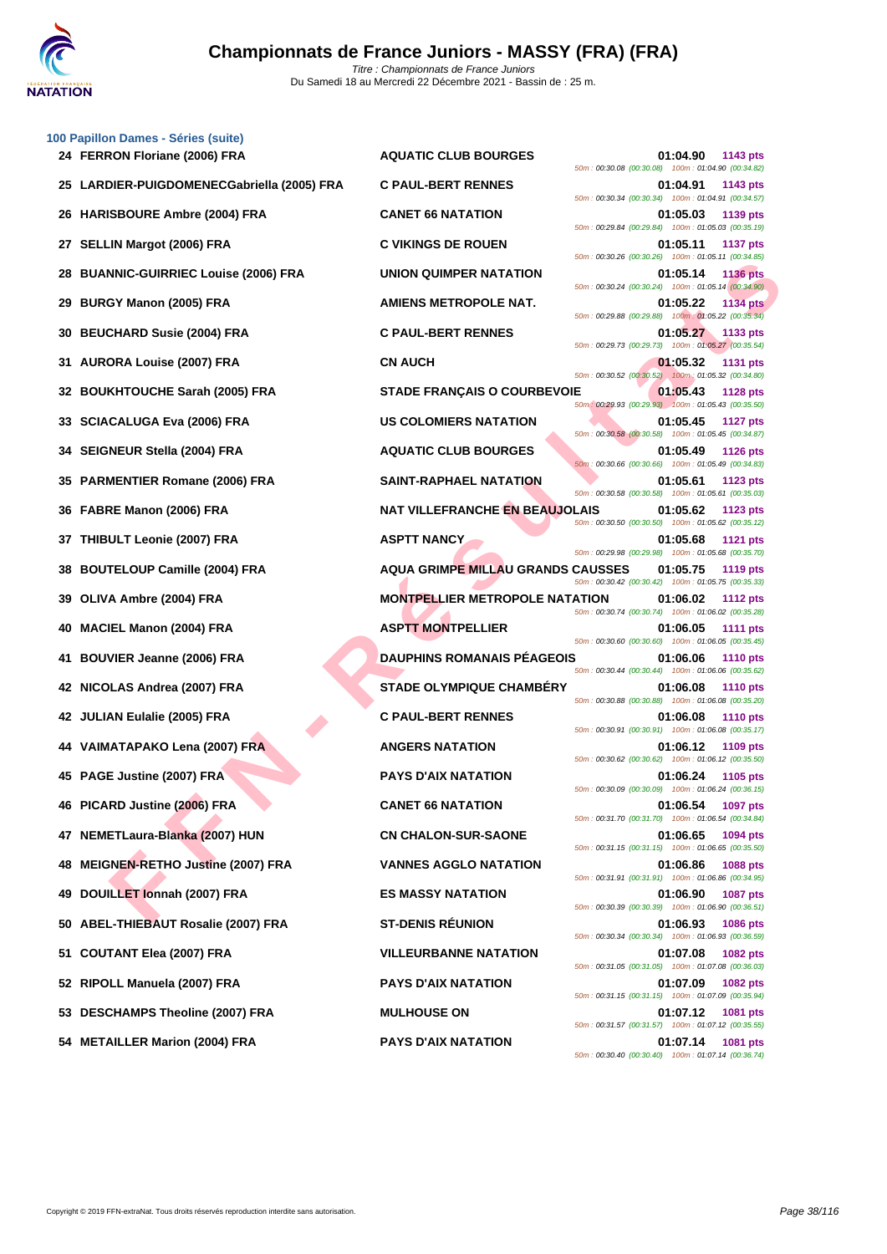

|    | 100 Papillon Dames - Séries (suite)<br>24 FERRON Floriane (2006) FRA | <b>AQUATIC CLUB BOURGES</b>              | 01:04.90<br>1143 pts                                                                |
|----|----------------------------------------------------------------------|------------------------------------------|-------------------------------------------------------------------------------------|
|    | 25 LARDIER-PUIGDOMENECGabriella (2005) FRA                           | <b>C PAUL-BERT RENNES</b>                | 50m: 00:30.08 (00:30.08) 100m: 01:04.90 (00:34.82)<br>01:04.91<br>1143 pts          |
| 26 | <b>HARISBOURE Ambre (2004) FRA</b>                                   | <b>CANET 66 NATATION</b>                 | 50m: 00:30.34 (00:30.34) 100m: 01:04.91 (00:34.57)<br>01:05.03<br>1139 pts          |
| 27 | <b>SELLIN Margot (2006) FRA</b>                                      | <b>C VIKINGS DE ROUEN</b>                | 50m: 00:29.84 (00:29.84) 100m: 01:05.03 (00:35.19)<br>01:05.11<br><b>1137 pts</b>   |
| 28 | <b>BUANNIC-GUIRRIEC Louise (2006) FRA</b>                            | UNION QUIMPER NATATION                   | 50m: 00:30.26 (00:30.26) 100m: 01:05.11 (00:34.85)<br>01:05.14<br><b>1136 pts</b>   |
| 29 | <b>BURGY Manon (2005) FRA</b>                                        | AMIENS METROPOLE NAT.                    | 50m: 00:30.24 (00:30.24) 100m: 01:05.14 (00:34.90)<br>01:05.22<br><b>1134 pts</b>   |
| 30 | <b>BEUCHARD Susie (2004) FRA</b>                                     | <b>C PAUL-BERT RENNES</b>                | 50m: 00:29.88 (00:29.88) 100m: 01:05.22 (00:35.34)<br>01:05.27<br>1133 pts          |
| 31 | <b>AURORA Louise (2007) FRA</b>                                      | <b>CN AUCH</b>                           | 50m: 00:29.73 (00:29.73) 100m: 01:05.27 (00:35.54)<br>01:05.32<br><b>1131 pts</b>   |
| 32 | <b>BOUKHTOUCHE Sarah (2005) FRA</b>                                  | <b>STADE FRANÇAIS O COURBEVOIE</b>       | 50m : 00:30.52 (00:30.52) 100m : 01:05.32 (00:34.80)<br>01:05.43<br><b>1128 pts</b> |
| 33 | <b>SCIACALUGA Eva (2006) FRA</b>                                     | <b>US COLOMIERS NATATION</b>             | 50m: 00:29.93 (00:29.93) 100m: 01:05.43 (00:35.50)<br>01:05.45<br><b>1127 pts</b>   |
| 34 | <b>SEIGNEUR Stella (2004) FRA</b>                                    | <b>AQUATIC CLUB BOURGES</b>              | 50m: 00:30.58 (00:30.58) 100m: 01:05.45 (00:34.87)<br>01:05.49<br><b>1126 pts</b>   |
|    |                                                                      |                                          | 50m: 00:30.66 (00:30.66) 100m: 01:05.49 (00:34.83)                                  |
| 35 | <b>PARMENTIER Romane (2006) FRA</b>                                  | <b>SAINT-RAPHAEL NATATION</b>            | 01:05.61<br>1123 pts<br>50m: 00:30.58 (00:30.58) 100m: 01:05.61 (00:35.03)          |
| 36 | FABRE Manon (2006) FRA                                               | <b>NAT VILLEFRANCHE EN BEAUJOLAIS</b>    | 01:05.62<br><b>1123 pts</b><br>50m : 00:30.50 (00:30.50) 100m : 01:05.62 (00:35.12) |
| 37 | THIBULT Leonie (2007) FRA                                            | <b>ASPTT NANCY</b>                       | 01:05.68<br><b>1121 pts</b><br>50m : 00:29.98 (00:29.98) 100m : 01:05.68 (00:35.70) |
| 38 | <b>BOUTELOUP Camille (2004) FRA</b>                                  | <b>AQUA GRIMPE MILLAU GRANDS CAUSSES</b> | 01:05.75<br><b>1119 pts</b><br>50m: 00:30.42 (00:30.42) 100m: 01:05.75 (00:35.33)   |
| 39 | OLIVA Ambre (2004) FRA                                               | <b>MONTPELLIER METROPOLE NATATION</b>    | 01:06.02<br><b>1112 pts</b><br>50m: 00:30.74 (00:30.74) 100m: 01:06.02 (00:35.28)   |
| 40 | <b>MACIEL Manon (2004) FRA</b>                                       | <b>ASPTT MONTPELLIER</b>                 | 01:06.05<br><b>1111 pts</b><br>50m: 00:30.60 (00:30.60) 100m: 01:06.05 (00:35.45)   |
| 41 | <b>BOUVIER Jeanne (2006) FRA</b>                                     | <b>DAUPHINS ROMANAIS PÉAGEOIS</b>        | 01:06.06<br><b>1110 pts</b><br>50m: 00:30.44 (00:30.44) 100m: 01:06.06 (00:35.62)   |
|    | 42 NICOLAS Andrea (2007) FRA                                         | <b>STADE OLYMPIQUE CHAMBERY</b>          | 01:06.08<br><b>1110 pts</b><br>50m: 00:30.88 (00:30.88) 100m: 01:06.08 (00:35.20)   |
|    | 42 JULIAN Eulalie (2005) FRA                                         | <b>C PAUL-BERT RENNES</b>                | 01:06.08<br><b>1110 pts</b>                                                         |
|    | 44 VAIMATAPAKO Lena (2007) FRA                                       | <b>ANGERS NATATION</b>                   | 50m: 00:30.91 (00:30.91) 100m: 01:06.08 (00:35.17)<br>01:06.12<br>1109 pts          |
|    | 45 PAGE Justine (2007) FRA                                           | <b>PAYS D'AIX NATATION</b>               | 50m: 00:30.62 (00:30.62) 100m: 01:06.12 (00:35.50)<br>01:06.24<br>1105 pts          |
|    | 46 PICARD Justine (2006) FRA                                         | <b>CANET 66 NATATION</b>                 | 50m: 00:30.09 (00:30.09) 100m: 01:06.24 (00:36.15)<br><b>1097 pts</b><br>01:06.54   |
|    | 47 NEMETLaura-Blanka (2007) HUN                                      | <b>CN CHALON-SUR-SAONE</b>               | 50m: 00:31.70 (00:31.70) 100m: 01:06.54 (00:34.84)<br>01:06.65<br>1094 pts          |
| 48 | <b>MEIGNEN-RETHO Justine (2007) FRA</b>                              | <b>VANNES AGGLO NATATION</b>             | 50m: 00:31.15 (00:31.15) 100m: 01:06.65 (00:35.50)<br>01:06.86<br>1088 pts          |
| 49 | DOUILLET Ionnah (2007) FRA                                           | <b>ES MASSY NATATION</b>                 | 50m: 00:31.91 (00:31.91) 100m: 01:06.86 (00:34.95)<br>01:06.90<br>1087 pts          |
| 50 | <b>ABEL-THIEBAUT Rosalie (2007) FRA</b>                              | <b>ST-DENIS RÉUNION</b>                  | 50m: 00:30.39 (00:30.39) 100m: 01:06.90 (00:36.51)<br>01:06.93<br><b>1086 pts</b>   |
| 51 | <b>COUTANT Elea (2007) FRA</b>                                       | <b>VILLEURBANNE NATATION</b>             | 50m: 00:30.34 (00:30.34) 100m: 01:06.93 (00:36.59)<br>01:07.08<br>1082 pts          |
|    |                                                                      |                                          | 50m: 00:31.05 (00:31.05) 100m: 01:07.08 (00:36.03)                                  |
| 52 | RIPOLL Manuela (2007) FRA                                            | <b>PAYS D'AIX NATATION</b>               | 01:07.09<br>1082 pts<br>50m: 00:31.15 (00:31.15) 100m: 01:07.09 (00:35.94)          |
| 53 | <b>DESCHAMPS Theoline (2007) FRA</b>                                 | <b>MULHOUSE ON</b>                       | 01:07.12<br>1081 pts<br>50m: 00:31.57 (00:31.57) 100m: 01:07.12 (00:35.55)          |
|    | 54 METAILLER Marion (2004) FRA                                       | <b>PAYS D'AIX NATATION</b>               | 01:07.14<br>1081 pts<br>50m: 00:30.40 (00:30.40) 100m: 01:07.14 (00:36.74)          |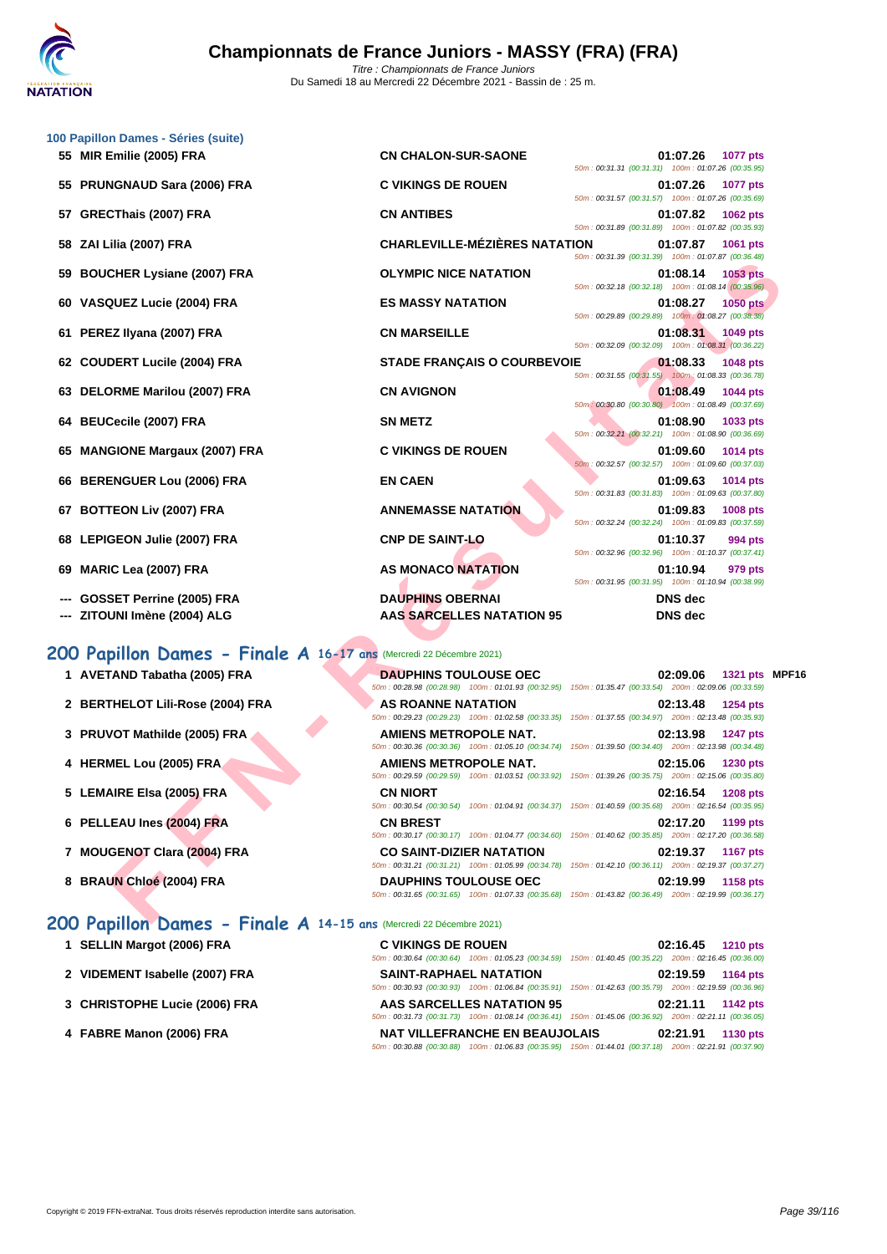

|    | 100 Papillon Dames - Séries (suite)<br>55 MIR Emilie (2005) FRA     | <b>CN CHALON-SUR-SAONE</b>                                                                                                               | 01:07.26<br>1077 pts<br>50m: 00:31.31 (00:31.31) 100m: 01:07.26 (00:35.95)                                                                |  |
|----|---------------------------------------------------------------------|------------------------------------------------------------------------------------------------------------------------------------------|-------------------------------------------------------------------------------------------------------------------------------------------|--|
|    | 55 PRUNGNAUD Sara (2006) FRA                                        | <b>C VIKINGS DE ROUEN</b>                                                                                                                | 01:07.26<br><b>1077 pts</b><br>50m: 00:31.57 (00:31.57) 100m: 01:07.26 (00:35.69)                                                         |  |
| 57 | GRECThais (2007) FRA                                                | <b>CN ANTIBES</b>                                                                                                                        | 01:07.82<br><b>1062 pts</b><br>50m: 00:31.89 (00:31.89) 100m: 01:07.82 (00:35.93)                                                         |  |
|    | 58 ZAI Lilia (2007) FRA                                             | <b>CHARLEVILLE-MÉZIÈRES NATATION</b>                                                                                                     | 01:07.87<br>1061 pts                                                                                                                      |  |
|    | 59 BOUCHER Lysiane (2007) FRA                                       | <b>OLYMPIC NICE NATATION</b>                                                                                                             | 50m: 00:31.39 (00:31.39) 100m: 01:07.87 (00:36.48)<br>01:08.14<br><b>1053 pts</b>                                                         |  |
|    | 60 VASQUEZ Lucie (2004) FRA                                         | <b>ES MASSY NATATION</b>                                                                                                                 | 50m: 00:32.18 (00:32.18) 100m: 01:08.14 (00:35.96)<br>01:08.27<br><b>1050 pts</b>                                                         |  |
|    | 61 PEREZ Ilyana (2007) FRA                                          | <b>CN MARSEILLE</b>                                                                                                                      | 50m: 00:29.89 (00:29.89) 100m: 01:08.27 (00:38.38)<br>01:08.31<br>1049 pts                                                                |  |
|    | 62 COUDERT Lucile (2004) FRA                                        | <b>STADE FRANÇAIS O COURBEVOIE</b>                                                                                                       | 50m: 00:32.09 (00:32.09) 100m: 01:08.31 (00:36.22)<br>01:08.33<br>1048 pts                                                                |  |
|    | 63 DELORME Marilou (2007) FRA                                       | <b>CN AVIGNON</b>                                                                                                                        | 50m: 00:31.55 (00:31.55) 100m: 01:08.33 (00:36.78)<br>01:08.49<br>1044 pts                                                                |  |
|    | 64 BEUCecile (2007) FRA                                             | <b>SN METZ</b>                                                                                                                           | 50m: 00:30.80 (00:30.80) 100m: 01:08.49 (00:37.69)<br>01:08.90<br>1033 pts                                                                |  |
|    | 65 MANGIONE Margaux (2007) FRA                                      | <b>C VIKINGS DE ROUEN</b>                                                                                                                | 50m: 00:32.21 (00:32.21) 100m: 01:08.90 (00:36.69)<br>01:09.60<br><b>1014 pts</b>                                                         |  |
|    | 66 BERENGUER Lou (2006) FRA                                         | <b>EN CAEN</b>                                                                                                                           | 50m: 00:32.57 (00:32.57) 100m: 01:09.60 (00:37.03)<br>01:09.63<br>1014 pts                                                                |  |
|    | 67 BOTTEON Liv (2007) FRA                                           | <b>ANNEMASSE NATATION</b>                                                                                                                | 50m: 00:31.83 (00:31.83) 100m: 01:09.63 (00:37.80)<br>01:09.83<br>1008 pts                                                                |  |
|    | 68 LEPIGEON Julie (2007) FRA                                        | <b>CNP DE SAINT-LO</b>                                                                                                                   | 50m: 00:32.24 (00:32.24) 100m: 01:09.83 (00:37.59)<br>01:10.37<br>994 pts                                                                 |  |
|    | 69 MARIC Lea (2007) FRA                                             | <b>AS MONACO NATATION</b>                                                                                                                | 50m: 00:32.96 (00:32.96) 100m: 01:10.37 (00:37.41)<br>01:10.94<br>979 pts                                                                 |  |
|    | <b>GOSSET Perrine (2005) FRA</b>                                    | <b>DAUPHINS OBERNAI</b>                                                                                                                  | 50m: 00:31.95 (00:31.95) 100m: 01:10.94 (00:38.99)<br><b>DNS</b> dec                                                                      |  |
|    | ZITOUNI Imène (2004) ALG                                            | <b>AAS SARCELLES NATATION 95</b>                                                                                                         | <b>DNS</b> dec                                                                                                                            |  |
|    | 200 Papillon Dames - Finale A 16-17 ans (Mercredi 22 Décembre 2021) |                                                                                                                                          |                                                                                                                                           |  |
|    | 1 AVETAND Tabatha (2005) FRA                                        | <b>DAUPHINS TOULOUSE OEC</b><br>50m: 00:28.98 (00:28.98) 100m: 01:01.93 (00:32.95)                                                       | 02:09.06<br>1321 pts MPF1<br>150m: 01:35.47 (00:33.54) 200m: 02:09.06 (00:33.59)                                                          |  |
|    | 2 BERTHELOT Lili-Rose (2004) FRA                                    | <b>AS ROANNE NATATION</b><br>50m: 00:29.23 (00:29.23) 100m: 01:02.58 (00:33.35)                                                          | 02:13.48<br>1254 pts<br>150m: 01:37.55 (00:34.97) 200m: 02:13.48 (00:35.93)                                                               |  |
|    | 3 PRUVOT Mathilde (2005) FRA                                        | AMIENS METROPOLE NAT.                                                                                                                    | 02:13.98<br><b>1247 pts</b><br>50m : 00:30.36 (00:30.36) 100m : 01:05.10 (00:34.74) 150m : 01:39.50 (00:34.40) 200m : 02:13.98 (00:34.48) |  |
|    | 4 HERMEL Lou (2005) FRA                                             | AMIENS METROPOLE NAT.                                                                                                                    | 02:15.06<br>1230 pts<br>50m : 00:29.59 (00:29.59) 100m : 01:03.51 (00:33.92) 150m : 01:39.26 (00:35.75) 200m : 02:15.06 (00:35.80)        |  |
|    | 5 LEMAIRE Elsa (2005) FRA                                           | <b>CN NIORT</b>                                                                                                                          | 02:16.54<br><b>1208 pts</b><br>50m : 00:30.54 (00:30.54) 100m : 01:04.91 (00:34.37) 150m : 01:40.59 (00:35.68) 200m : 02:16.54 (00:35.95) |  |
|    | 6 PELLEAU Ines (2004) FRA                                           | <b>CN BREST</b>                                                                                                                          | 02:17.20<br>1199 pts                                                                                                                      |  |
|    | 7 MOUGENOT Clara (2004) FRA                                         | 50m: 00:30.17 (00:30.17) 100m: 01:04.77 (00:34.60)<br><b>CO SAINT-DIZIER NATATION</b>                                                    | 150m: 01:40.62 (00:35.85) 200m: 02:17.20 (00:36.58)<br>02:19.37<br>1167 pts                                                               |  |
|    | 8 BRAUN Chloé (2004) FRA                                            | 50m: 00:31.21 (00:31.21) 100m: 01:05.99 (00:34.78)<br><b>DAUPHINS TOULOUSE OEC</b><br>50m: 00:31.65 (00:31.65) 100m: 01:07.33 (00:35.68) | 150m: 01:42.10 (00:36.11) 200m: 02:19.37 (00:37.27)<br>02:19.99<br>1158 pts<br>150m: 01:43.82 (00:36.49) 200m: 02:19.99 (00:36.17)        |  |
|    | 200 Deniller Nemas<br>$Find A + 14 + E$                             | 5.0001                                                                                                                                   |                                                                                                                                           |  |

| 1 AVETAND Tabatha (2005) FRA     | <b>DAUPHINS TOULOUSE OEC</b><br>50m: 00:28.98 (00:28.98) 100m: 01:01.93 (00:32.95)                                           | 02:09.06<br>1321 pts MPF16<br>150m: 01:35.47 (00:33.54) 200m: 02:09.06 (00:33.59)  |
|----------------------------------|------------------------------------------------------------------------------------------------------------------------------|------------------------------------------------------------------------------------|
| 2 BERTHELOT Lili-Rose (2004) FRA | <b>AS ROANNE NATATION</b><br>50m: 00:29.23 (00:29.23) 100m: 01:02.58 (00:33.35)                                              | 02:13.48<br>1254 $pts$<br>150m: 01:37.55 (00:34.97) 200m: 02:13.48 (00:35.93)      |
| 3 PRUVOT Mathilde (2005) FRA     | AMIENS METROPOLE NAT.<br>50m: 00:30.36 (00:30.36) 100m: 01:05.10 (00:34.74)                                                  | 02:13.98<br><b>1247 pts</b><br>150m: 01:39.50 (00:34.40) 200m: 02:13.98 (00:34.48) |
| 4 HERMEL Lou (2005) FRA          | AMIENS METROPOLE NAT.<br>50m: 00:29.59 (00:29.59) 100m: 01:03.51 (00:33.92)                                                  | 02:15.06<br>1230 pts<br>150m: 01:39.26 (00:35.75) 200m: 02:15.06 (00:35.80)        |
| 5 LEMAIRE Elsa (2005) FRA        | <b>CN NIORT</b><br>100m: 01:04.91 (00:34.37) 150m: 01:40.59 (00:35.68) 200m: 02:16.54 (00:35.95)<br>50m: 00:30.54 (00:30.54) | 02:16.54<br><b>1208 pts</b>                                                        |
| 6 PELLEAU Ines (2004) FRA        | <b>CN BREST</b><br>50m: 00:30.17 (00:30.17) 100m: 01:04.77 (00:34.60)                                                        | 02:17.20<br>1199 pts<br>150m: 01:40.62 (00:35.85) 200m: 02:17.20 (00:36.58)        |
| 7 MOUGENOT Clara (2004) FRA      | <b>CO SAINT-DIZIER NATATION</b><br>50m: 00:31.21 (00:31.21) 100m: 01:05.99 (00:34.78)                                        | 02:19.37<br><b>1167 pts</b><br>150m: 01:42.10 (00:36.11) 200m: 02:19.37 (00:37.27) |
| 8 BRAUN Chloé (2004) FRA         | <b>DAUPHINS TOULOUSE OEC</b><br>50m: 00:31.65 (00:31.65) 100m: 01:07.33 (00:35.68)                                           | 02:19.99<br>1158 pts<br>150m: 01:43.82 (00:36.49) 200m: 02:19.99 (00:36.17)        |

## **200 Papillon Dames - Finale A 14-15 ans** (Mercredi 22 Décembre 2021)

- **1 SELLIN Margot (2006) FRA**
- **2 VIDEMENT Isabelle (2007) FRA**
- **3** [CHRISTOPHE Lucie \(2006\) FRA](http://www.ffnatation.fr/webffn/resultats.php?idact=nat&go=epr&idcpt=72221&idepr=33)
- **4 FABRE Manon (2006) FRA**

| <b>C VIKINGS DE ROUEN</b>                          | 02:16.45 1210 pts                                                                                      |
|----------------------------------------------------|--------------------------------------------------------------------------------------------------------|
| 50m: 00:30.64 (00:30.64) 100m: 01:05.23 (00:34.59) | 150m: 01:40.45 (00:35.22) 200m: 02:16.45 (00:36.00)                                                    |
| <b>SAINT-RAPHAEL NATATION</b>                      | 02:19.59 1164 pts                                                                                      |
|                                                    | 50m: 00:30.93 (00:30.93) 100m: 01:06.84 (00:35.91) 150m: 01:42.63 (00:35.79) 200m: 02:19.59 (00:36.96) |
| <b>AAS SARCELLES NATATION 95</b>                   | 02:21.11 1142 pts                                                                                      |
|                                                    | 50m: 00:31.73 (00:31.73) 100m: 01:08.14 (00:36.41) 150m: 01:45.06 (00:36.92) 200m: 02:21.11 (00:36.05) |
| <b>NAT VILLEFRANCHE EN BEAUJOLAIS</b>              | 02:21.91 1130 pts                                                                                      |
|                                                    | 50m: 00:30.88 (00:30.88) 100m: 01:06.83 (00:35.95) 150m: 01:44.01 (00:37.18) 200m: 02:21.91 (00:37.90) |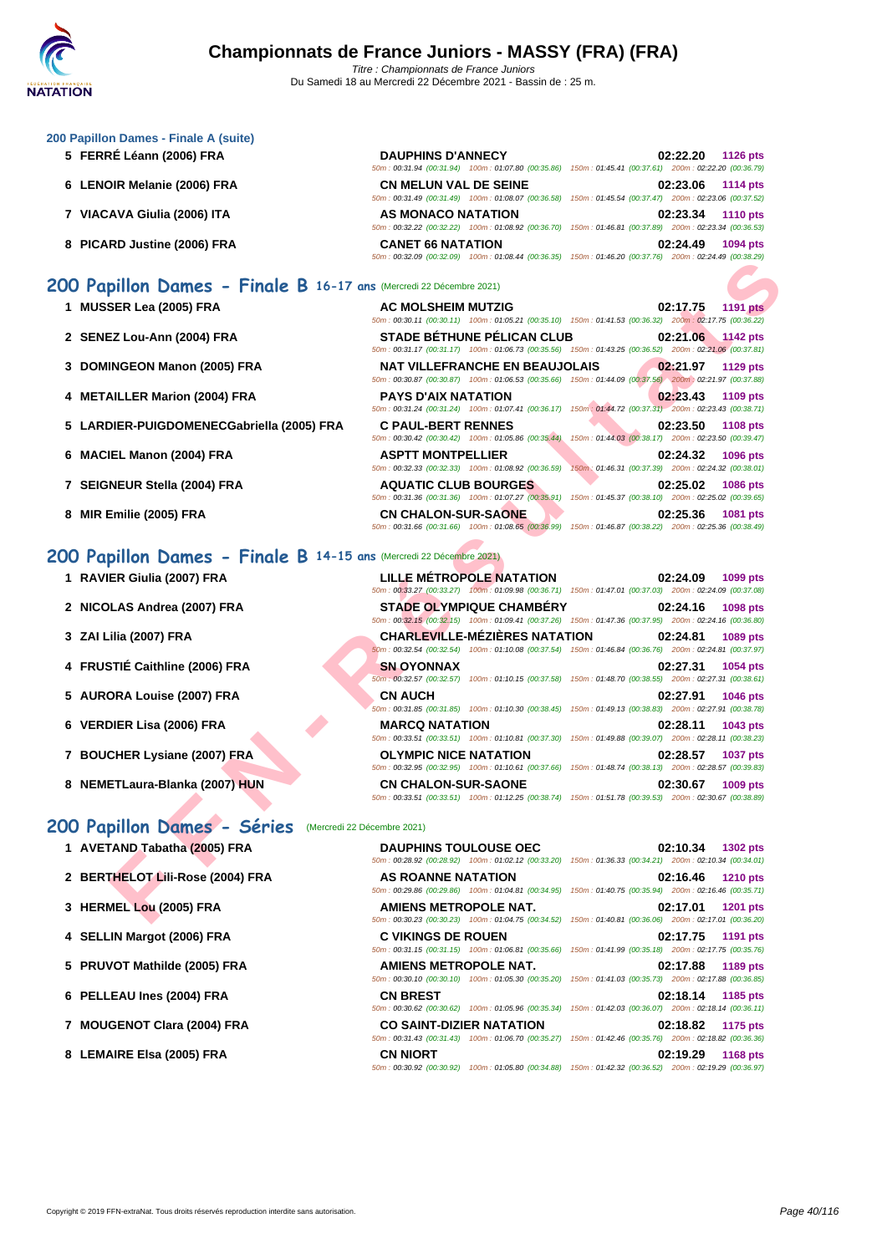#### **[200 Papil](http://www.ffnatation.fr/webffn/index.php)lon Dames - Finale A (suite)**

- **5 FERRÉ Léann (2006) FRA DAUPHINS D'ANNECY 02:22.20 1126 pts**
- **6 LENOIR Melanie (2006) FRA CN MELUN VAL DE SEINE 02:23.06 1114 pts**
- **7 VIACAVA Giulia (2006) ITA AS MONACO NATATION 02:23.34 1110 pts**
- **8 PICARD Justine (2006) FRA CANET 66 NATATION 02:24.49 1094 pts**

# **200 Papillon Dames - Finale B 16-17 ans** (Mercredi 22 Décembre 2021)

- **1 MUSSER Lea (2005) FRA AC MOLSHEIM MUTZIG 02:17.75 1191 pts**
- **2 SENEZ Lou-Ann (2004) FRA STADE BÉTHUNE PÉLICAN CLUB 02:21.06 1142 pts**
- **3 DOMINGEON Manon (2005) FRA NAT VILLEFRANCHE EN BEAUJOLAIS 02:21.97 1129 pts**
- **4 METAILLER Marion (2004) FRA PAYS D'AIX NATATION 02:23.43 1109 pts**
- **5 LARDIER-PUIGDOMENECGabriella (2005) FRA C PAUL-BERT RENNES 02:23.50 1108 pts**
- **6 MACIEL Manon (2004) FRA ASPTT MONTPELLIER 02:24.32 1096 pts**
- **7 SEIGNEUR Stella (2004) FRA AQUATIC CLUB BOURGES 02:25.02 1086 pts**
- **8 MIR Emilie (2005) FRA CN CHALON-SUR-SAONE 02:25.36 1081 pts**

## **200 Papillon Dames - Finale B 14-15**

- **1 RAVIER Giulia (2007) FRA LILLE MÉTROPOLE NATATION 02:24.09 1099 pts**
- 2 **NICOLAS Andrea (2007) FRA**
- **3 ZAI Lilia (2007) FRA**
- **4 FRUSTIÉ Caithline (2006) FRA**
- **5 AURORA Louise (2007) FRA**
- **6 VERDIER Lisa (2006) FRA**
- **7** BOUCHER Lysiane (2007) FRA
- **8 NEMETLaura-Blanka (2007) HUN CN CHALON-SUR-SAONE**

## **200 Papillon Dames - Séries** (Mercredi 22 Décembre 2021)

- 
- 
- 
- 
- 
- 
- 
- 

|                                                               | $10011. 0032.03$ $10032.03$ $10011. 01.00344$ $100.30.30$ $10011. 01.40.20$ $100.31.10$                                                         |                                                                 |                 |
|---------------------------------------------------------------|-------------------------------------------------------------------------------------------------------------------------------------------------|-----------------------------------------------------------------|-----------------|
| pillon Dames - Finale B 16-17 ans (Mercredi 22 Décembre 2021) |                                                                                                                                                 |                                                                 |                 |
| <b>SER Lea (2005) FRA</b>                                     | <b>AC MOLSHEIM MUTZIG</b><br>50m: 00:30.11 (00:30.11) 100m: 01:05.21 (00:35.10) 150m: 01:41.53 (00:36.32) 200m: 02:17.75 (00:36.22)             | 02:17.75                                                        | <b>1191 pts</b> |
| EZ Lou-Ann (2004) FRA                                         | <b>STADE BÉTHUNE PÉLICAN CLUB</b><br>50m: 00:31.17 (00:31.17) 100m: 01:06.73 (00:35.56) 150m: 01:43.25 (00:36.52) 200m: 02:21.06 (00:37.81)     | 02:21.06                                                        | <b>1142 pts</b> |
| <b>INGEON Manon (2005) FRA</b>                                | <b>NAT VILLEFRANCHE EN BEAUJOLAIS</b><br>50m: 00:30.87 (00:30.87) 100m: 01:06.53 (00:35.66) 150m: 01:44.09 (00:37.56) 200m: 02:21.97 (00:37.88) | 02:21.97                                                        | <b>1129 pts</b> |
| AILLER Marion (2004) FRA                                      | <b>PAYS D'AIX NATATION</b><br>50m: 00:31.24 (00:31.24) 100m: 01:07.41 (00:36.17) 150m: 01:44.72 (00:37.31) 200m: 02:23.43 (00:38.71)            | 02:23.43                                                        | 1109 pts        |
| DIER-PUIGDOMENECGabriella (2005) FRA                          | <b>C PAUL-BERT RENNES</b><br>50m : 00:30.42 (00:30.42) 100m : 01:05.86 (00:35.44) 150m : 01:44.03 (00:38.17) 200m : 02:23.50 (00:39.47)         | 02:23.50                                                        | <b>1108 pts</b> |
| IEL Manon (2004) FRA                                          | <b>ASPTT MONTPELLIER</b><br>50m: 00:32.33 (00:32.33) 100m: 01:08.92 (00:36.59)                                                                  | 02:24.32<br>150m: 01:46.31 (00:37.39) 200m: 02:24.32 (00:38.01) | 1096 pts        |
| NEUR Stella (2004) FRA                                        | <b>AQUATIC CLUB BOURGES</b><br>50m: 00:31.36 (00:31.36) 100m: 01:07.27 (00:35.91) 150m: 01:45.37 (00:38.10) 200m: 02:25.02 (00:39.65)           | 02:25.02                                                        | 1086 pts        |
| Emilie (2005) FRA                                             | <b>CN CHALON-SUR-SAONE</b><br>50m : 00:31.66 (00:31.66) 100m : 01:08.65 (00:36.99) 150m : 01:46.87 (00:38.22) 200m : 02:25.36 (00:38.49)        | 02:25.36                                                        | 1081 pts        |
| pillon Dames - Finale B 14-15 ans (Mercredi 22 Décembre 2021) |                                                                                                                                                 |                                                                 |                 |
| ER Giulia (2007) FRA                                          | <b>LILLE METROPOLE NATATION</b><br>50m: 00:33.27 (00:33.27) 100m: 01:09.98 (00:36.71) 150m: 01:47.01 (00:37.03) 200m: 02:24.09 (00:37.08)       | 02:24.09                                                        | 1099 pts        |
| )LAS Andrea (2007) FRA                                        | <b>STADE OLYMPIQUE CHAMBERY</b><br>50m : 00:32.15 (00:32.15) 100m : 01:09.41 (00:37.26) 150m : 01:47.36 (00:37.95) 200m : 02:24.16 (00:36.80)   | 02:24.16                                                        | 1098 pts        |
| .ilia (2007) FRA                                              | <b>CHARLEVILLE-MEZIERES NATATION</b><br>60m: 00:32.54 (00:32.54) 100m: 01:10.08 (00:37.54) 150m: 01:46.84 (00:36.76) 200m: 02:24.81 (00:37.97)  | 02:24.81                                                        | <b>1089 pts</b> |
| STIÉ Caithline (2006) FRA                                     | <b>SN OYONNAX</b><br>50m; 00:32.57 (00:32.57) 100m: 01:10.15 (00:37.58) 150m: 01:48.70 (00:38.55) 200m: 02:27.31 (00:38.61)                     | 02:27.31                                                        | 1054 pts        |
| ORA Louise (2007) FRA                                         | <b>CN AUCH</b><br>50m: 00:31.85 (00:31.85) 100m: 01:10.30 (00:38.45) 150m: 01:49.13 (00:38.83) 200m: 02:27.91 (00:38.78)                        | 02:27.91                                                        | <b>1046 pts</b> |
| DIER Lisa (2006) FRA                                          | <b>MARCQ NATATION</b><br>50m: 00:33.51 (00:33.51) 100m: 01:10.81 (00:37.30) 150m: 01:49.88 (00:39.07) 200m: 02:28.11 (00:38.23)                 | 02:28.11                                                        | 1043 pts        |
| CHER Lysiane (2007) FRA                                       | <b>OLYMPIC NICE NATATION</b><br>50m : 00:32.95 (00:32.95) 100m : 01:10.61 (00:37.66) 150m : 01:48.74 (00:38.13) 200m : 02:28.57 (00:39.83)      | 02:28.57                                                        | <b>1037 pts</b> |
| ETLaura-Blanka (2007) HUN                                     | <b>CN CHALON-SUR-SAONE</b><br>50m: 00:33.51 (00:33.51) 100m: 01:12.25 (00:38.74) 150m: 01:51.78 (00:39.53) 200m: 02:30.67 (00:38.89)            | 02:30.67                                                        | 1009 pts        |
| pillon Dames - Séries (Mercredi 22 Décembre 2021)             |                                                                                                                                                 |                                                                 |                 |
| <b>TAND Tabatha (2005) FRA</b>                                | <b>DAUPHINS TOULOUSE OEC</b><br>50m: 00:28.92 (00:28.92) 100m: 01:02.12 (00:33.20) 150m: 01:36.33 (00:34.21) 200m: 02:10.34 (00:34.01)          | 02:10.34                                                        | 1302 pts        |
| THELOT Lili-Rose (2004) FRA                                   | <b>AS ROANNE NATATION</b><br>50m : 00:29.86 (00:29.86) 100m : 01:04.81 (00:34.95) 150m : 01:40.75 (00:35.94) 200m : 02:16.46 (00:35.71)         | 02:16.46                                                        | <b>1210 pts</b> |
| MEL Lou (2005) FRA                                            | AMIENS METROPOLE NAT.<br>50m: 00:30.23 (00:30.23) 100m: 01:04.75 (00:34.52) 150m: 01:40.81 (00:36.06) 200m: 02:17.01 (00:36.20)                 | 02:17.01                                                        | <b>1201 pts</b> |

50m : 00:31.94 (00:31.94) 100m : 01:07.80 (00:35.86) 150m : 01:45.41 (00:37.61) 200m : 02:22.20 (00:36.79)

50m : 00:31.49 (00:31.49) 100m : 01:08.07 (00:36.58) 150m : 01:45.54 (00:37.47) 200m : 02:23.06 (00:37.52)

50m : 00:32.22 (00:32.22) 100m : 01:08.92 (00:36.70) 150m : 01:46.81 (00:37.89) 200m : 02:23.34 (00:36.53)

50m : 00:32.09 (00:32.09) 100m : 01:08.44 (00:36.35) 150m : 01:46.20 (00:37.76) 200m : 02:24.49 (00:38.29)

| 1 AVETAND Tabatha (2005) FRA     | <b>DAUPHINS TOULOUSE OEC</b>    | 02:10.34<br>1302 pts<br>50m: 00:28.92 (00:28.92) 100m: 01:02.12 (00:33.20) 150m: 01:36.33 (00:34.21) 200m: 02:10.34 (00:34.01)        |
|----------------------------------|---------------------------------|---------------------------------------------------------------------------------------------------------------------------------------|
| 2 BERTHELOT Lili-Rose (2004) FRA | AS ROANNE NATATION              | 02:16.46<br><b>1210 pts</b><br>50m: 00:29.86 (00:29.86) 100m: 01:04.81 (00:34.95) 150m: 01:40.75 (00:35.94) 200m: 02:16.46 (00:35.71) |
| 3 HERMEL Lou (2005) FRA          | <b>AMIENS METROPOLE NAT.</b>    | 02:17.01<br><b>1201 pts</b><br>50m: 00:30.23 (00:30.23) 100m: 01:04.75 (00:34.52) 150m: 01:40.81 (00:36.06) 200m: 02:17.01 (00:36.20) |
| 4 SELLIN Margot (2006) FRA       | <b>C VIKINGS DE ROUEN</b>       | 02:17.75<br>1191 pts<br>50m: 00:31.15 (00:31.15) 100m: 01:06.81 (00:35.66) 150m: 01:41.99 (00:35.18) 200m: 02:17.75 (00:35.76)        |
| 5 PRUVOT Mathilde (2005) FRA     | <b>AMIENS METROPOLE NAT.</b>    | 02:17.88<br>1189 pts<br>50m: 00:30.10 (00:30.10) 100m: 01:05.30 (00:35.20) 150m: 01:41.03 (00:35.73) 200m: 02:17.88 (00:36.85)        |
| 6 PELLEAU Ines (2004) FRA        | <b>CN BREST</b>                 | 02:18.14<br>1185 pts<br>50m: 00:30.62 (00:30.62) 100m: 01:05.96 (00:35.34) 150m: 01:42.03 (00:36.07) 200m: 02:18.14 (00:36.11)        |
| 7 MOUGENOT Clara (2004) FRA      | <b>CO SAINT-DIZIER NATATION</b> | 02:18.82<br>1175 pts<br>50m: 00:31.43 (00:31.43) 100m: 01:06.70 (00:35.27) 150m: 01:42.46 (00:35.76) 200m: 02:18.82 (00:36.36)        |
| 8 LEMAIRE Elsa (2005) FRA        | <b>CN NIORT</b>                 | 02:19.29<br><b>1168 pts</b><br>50m: 00:30.92 (00:30.92) 100m: 01:05.80 (00:34.88) 150m: 01:42.32 (00:36.52) 200m: 02:19.29 (00:36.97) |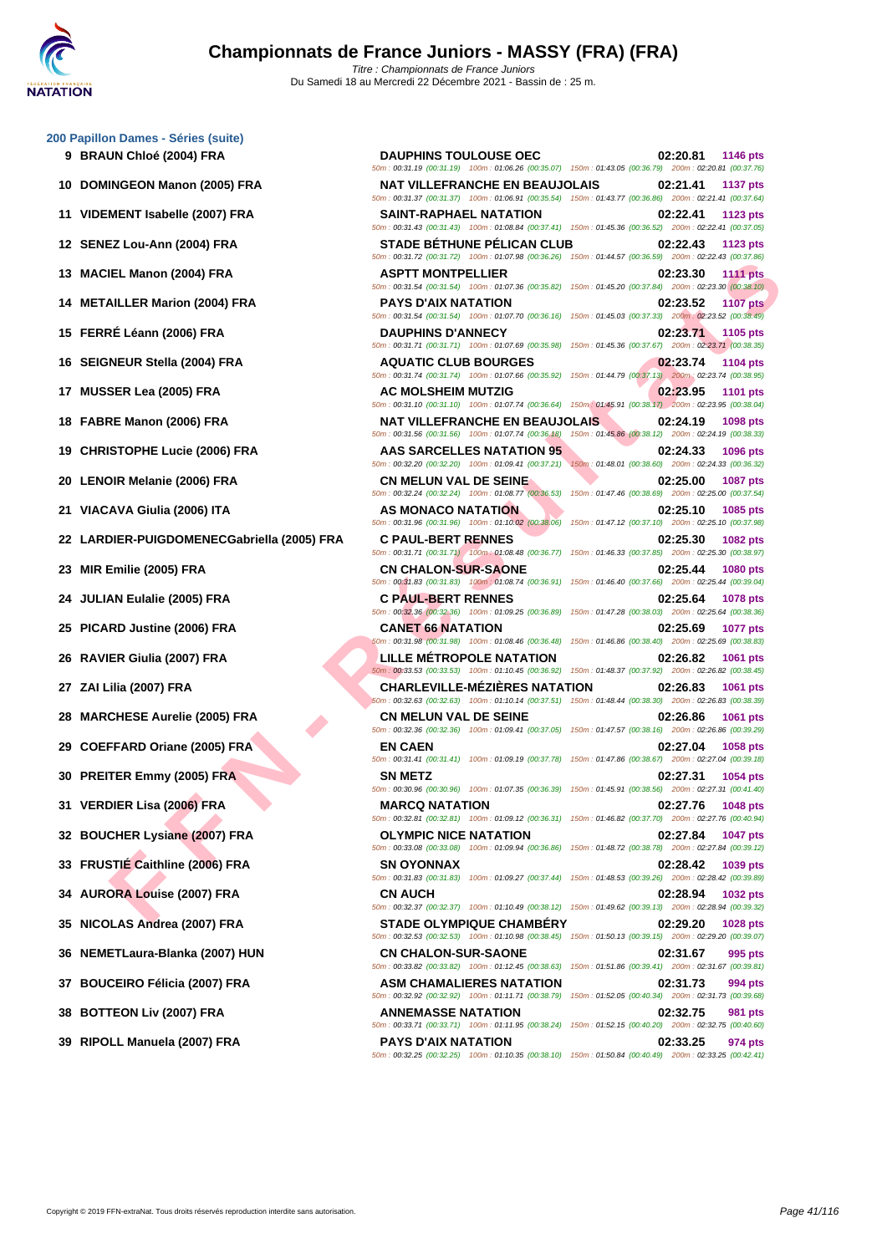#### **[200 Papil](http://www.ffnatation.fr/webffn/index.php)lon Dames - Séries (suite)**

- 
- 
- 
- 
- 
- 
- 
- 
- 
- 
- 
- 
- 
- 
- 
- 
- 
- 
- 
- 
- 
- 
- 
- 
- 
- 
- 
- 
- 
- 
- 

**FIEL Marion (2004) FRA**<br> **FARISHM (2004) FRA**<br> **FARIS DRIVER LIES MATAINDING**<br> **FARIS DRIVER AND THE CHARACTER SIMULATION (2004) FRA**<br> **FARIS DRIVER AND PRANEL IN A COUNTIC CLUB BOURGES**<br> **FACE OF A FARIS DRIVER COMPANEL 9 BRAUN Chloé (2004) FRA DAUPHINS TOULOUSE OEC 02:20.81 1146 pts** 50m : 00:31.19 (00:31.19) 100m : 01:06.26 (00:35.07) 150m : 01:43.05 (00:36.79) 200m : 02:20.81 (00:37.76) **10 DOMINGEON Manon (2005) FRA NAT VILLEFRANCHE EN BEAUJOLAIS 02:21.41 1137 pts** 50m : 00:31.37 (00:31.37) 100m : 01:06.91 (00:35.54) 150m : 01:43.77 (00:36.86) 200m : 02:21.41 (00:37.64) **11 VIDEMENT Isabelle (2007) FRA SAINT-RAPHAEL NATATION 02:22.41 1123 pts** 50m : 00:31.43 (00:31.43) 100m : 01:08.84 (00:37.41) 150m : 01:45.36 (00:36.52) 200m : 02:22.41 (00:37.05) **12 SENEZ Lou-Ann (2004) FRA STADE BÉTHUNE PÉLICAN CLUB 02:22.43 1123 pts** 50m : 00:31.72 (00:31.72) 100m : 01:07.98 (00:36.26) 150m : 01:44.57 (00:36.59) 200m : 02:22.43 (00:37.86) **13 MACIEL Manon (2004) FRA ASPTT MONTPELLIER 02:23.30 1111 pts** 50m : 00:31.54 (00:31.54) 100m : 01:07.36 (00:35.82) 150m : 01:45.20 (00:37.84) 200m : 02:23.30 (00:38.10) **14 METAILLER Marion (2004) FRA PAYS D'AIX NATATION 02:23.52 1107 pts** 50m : 00:31.54 (00:31.54) 100m : 01:07.70 (00:36.16) 150m : 01:45.03 (00:37.33) 200m : 02:23.52 (00:38.49) **15 FERRÉ Léann (2006) FRA DAUPHINS D'ANNECY 02:23.71 1105 pts** 50m : 00:31.71 (00:31.71) 100m : 01:07.69 (00:35.98) 150m : 01:45.36 (00:37.67) 200m : 02:23.71 (00:38.35) **16 SEIGNEUR Stella (2004) FRA AQUATIC CLUB BOURGES 02:23.74 1104 pts** 50m : 00:31.74 (00:31.74) 100m : 01:07.66 (00:35.92) 150m : 01:44.79 (00:37.13) 200m : 02:23.74 (00:38.95) **17 MUSSER Lea (2005) FRA AC MOLSHEIM MUTZIG 02:23.95 1101 pts** 50m : 00:31.10 (00:31.10) 100m : 01:07.74 (00:36.64) 150m : 01:45.91 (00:38.17) 200m : 02:23.95 (00:38.04) **18 FABRE Manon (2006) FRA NAT VILLEFRANCHE EN BEAUJOLAIS 02:24.19 1098 pts** 50m : 00:31.56 (00:31.56) 100m : 01:07.74 (00:36.18) 150m : 01:45.86 (00:38.12) 200m : 02:24.19 (00:38.33) **19** CHRISTOPHE Lucie (2006) FRA<br> **19 CHRISTOPHE Lucie (2006) FRA AAS SARCELLES NATATION 95 00:37.21 150m**: 01:48.01 (00:37.21) **150m**: 01:48.01 (00:38.60) 200m: 02:24.33 (00:36.32) 50m : 00:32.20 (00:32.20) 100m : 01:09.41 (00:37.21) 150m : 01:48.01 (00:38.60) 200m : 02:24.33 (00:36.32) **20 LENOIR Melanie (2006) FRA CN MELUN VAL DE SEINE 02:25.00 1087 pts** 50m : 00:32.24 (00:32.24) 100m : 01:08.77 (00:36.53) 150m : 01:47.46 (00:38.69) 200m : 02:25.00 (00:37.54) **21 VIACAVA Giulia (2006) ITA AS MONACO NATATION 02:25.10 1085 pts** 50m : 00:31.96 (00:31.96) 100m : 01:10.02 (00:38.06) 150m : 01:47.12 (00:37.10) 200m : 02:25.10 (00:37.98) **22 LARDIER-PUIGDOMENECGabriella (2005) FRA C PAUL-BERT RENNES 02:25.30 1082 pts** 50m : 00:31.71 (00:31.71) 100m : 01:08.48 (00:36.77) 150m : 01:46.33 (00:37.85) 200m : 02:25.30 (00:38.97) **23 MIR Emilie (2005) FRA CN CHALON-SUR-SAONE 02:25.44 1080 pts** 50m : 00:31.83 (00:31.83) 100m : 01:08.74 (00:36.91) 150m : 01:46.40 (00:37.66) 200m : 02:25.44 (00:39.04) **24 JULIAN Eulalie (2005) FRA C PAUL-BERT RENNES 02:25.64 1078 pts** 50m : 00:32.36 (00:32.36) 100m : 01:09.25 (00:36.89) 150m : 01:47.28 (00:38.03) 200m : 02:25.64 (00:38.36) **25 PICARD Justine (2006) FRA CANET 66 NATATION 02:25.69 1077 pts** 50m : 00:31.98 (00:31.98) 100m : 01:08.46 (00:36.48) 150m : 01:46.86 (00:38.40) 200m : 02:25.69 (00:38.83) **26 RAVIER Giulia (2007) FRA LILLE MÉTROPOLE NATATION 02:26.82 1061 pts** 50m : 00:33.53 (00:33.53) 100m : 01:10.45 (00:36.92) 150m : 01:48.37 (00:37.92) 200m : 02:26.82 (00:38.45) **27 ZAI Lilia (2007) FRA CHARLEVILLE-MÉZIÈRES NATATION 02:26.83 1061 pts** 50m : 00:32.63 (00:32.63) 100m : 01:10.14 (00:37.51) 150m : 01:48.44 (00:38.30) 200m : 02:26.83 (00:38.39) **28 MARCHESE Aurelie (2005) FRA CN MELUN VAL DE SEINE 02:26.86 1061 pts** 50m : 00:32.36 (00:32.36) 100m : 01:09.41 (00:37.05) 150m : 01:47.57 (00:38.16) 200m : 02:26.86 (00:39.29) **29 COEFFARD Oriane (2005) FRA EN CAEN 02:27.04 1058 pts** 50m : 00:31.41 (00:31.41) 100m : 01:09.19 (00:37.78) 150m : 01:47.86 (00:38.67) 200m : 02:27.04 (00:39.18) **30 PREITER Emmy (2005) FRA SN METZ 02:27.31 1054 pts** 50m : 00:30.96 (00:30.96) 100m : 01:07.35 (00:36.39) 150m : 01:45.91 (00:38.56) 200m : 02:27.31 (00:41.40) **31 VERDIER Lisa (2006) FRA MARCQ NATATION 02:27.76 1048 pts** 50m : 00:32.81 (00:32.81) 100m : 01:09.12 (00:36.31) 150m : 01:46.82 (00:37.70) 200m : 02:27.76 (00:40.94) **32 BOUCHER Lysiane (2007) FRA OLYMPIC NICE NATATION 02:27.84 1047 pts** 50m : 00:33.08 (00:33.08) 100m : 01:09.94 (00:36.86) 150m : 01:48.72 (00:38.78) 200m : 02:27.84 (00:39.12) **33 FRUSTIÉ Caithline (2006) FRA SN OYONNAX 02:28.42 1039 pts** 50m : 00:31.83 (00:31.83) 100m : 01:09.27 (00:37.44) 150m : 01:48.53 (00:39.26) 200m : 02:28.42 (00:39.89) **34 AURORA Louise (2007) FRA CN AUCH 02:28.94 1032 pts** 50m : 00:32.37 (00:32.37) 100m : 01:10.49 (00:38.12) 150m : 01:49.62 (00:39.13) 200m : 02:28.94 (00:39.32) **35 NICOLAS Andrea (2007) FRA STADE OLYMPIQUE CHAMBÉRY 02:29.20 1028 pts** 50m : 00:32.53 (00:32.53) 100m : 01:10.98 (00:38.45) 150m : 01:50.13 (00:39.15) 200m : 02:29.20 (00:39.07) **36 NEMETLaura-Blanka (2007) HUN CN CHALON-SUR-SAONE 02:31.67 995 pts** 50m : 00:33.82 (00:33.82) 100m : 01:12.45 (00:38.63) 150m : 01:51.86 (00:39.41) 200m : 02:31.67 (00:39.81) **37 BOUCEIRO Félicia (2007) FRA ASM CHAMALIERES NATATION 02:31.73 994 pts** 50m : 00:32.92 (00:32.92) 100m : 01:11.71 (00:38.79) 150m : 01:52.05 (00:40.34) 200m : 02:31.73 (00:39.68) **38 BOTTEON Liv (2007) FRA ANNEMASSE NATATION 02:32.75 981 pts** 50m : 00:33.71 (00:33.71) 100m : 01:11.95 (00:38.24) 150m : 01:52.15 (00:40.20) 200m : 02:32.75 (00:40.60) **39 RIPOLL Manuela (2007) FRA PAYS D'AIX NATATION 02:33.25 974 pts**

50m : 00:32.25 (00:32.25) 100m : 01:10.35 (00:38.10) 150m : 01:50.84 (00:40.49) 200m : 02:33.25 (00:42.41)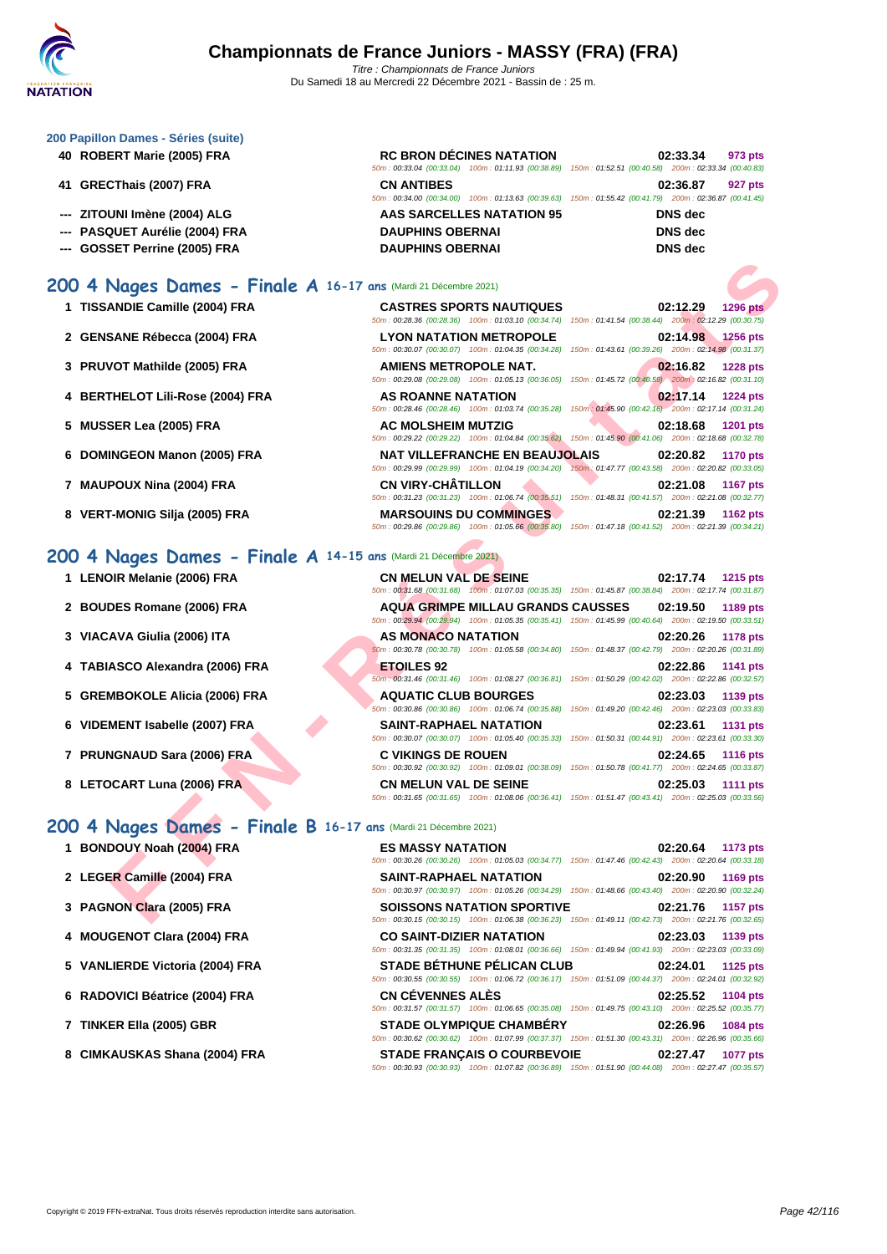### **[200 Papil](http://www.ffnatation.fr/webffn/index.php)lon Dames - Séries (suite)**

- **40 ROBERT Marie (2005) FRA ROBERT**
- **41 GRECThais (2007) FRA CNS CNS CNS CNS CONS CONS CONS CONS CONS**
- **--- ZITOUNI Imène (2004) ALG**
- **--- PASQUET Aurélie (2004) FRA** DAUPHING DISCOVER
- **--- GOSSET Perrine (2005) FRA DAU DISCOVERENT DISCOVERENCE**

## **200 4 Nages Dames - Finale A 16-17 ans** (Mardi 21 Décembre 2021)

- **1** TISSANDIE Camille (2004) FRA
- **2 GENSANE Rébecca (2004) FRA LYON NATATION METROPOLE 02:14.98 1256 pts**
- **3 PRUVOT Mathilde (2005) FRA**
- **4 BERTHELOT Lili-Rose (2004) FRA**
- **5 MUSSER Lea (2005) FRA**
- **6** DOMINGEON Manon (2005) FRA
- **7 MAUPOUX Nina (2004) FRA**
- **8 VERT-MONIG Silja (2005) FRA**

# **200 4 Nages Dames - Finale A 14-15 ans** (Mardi 21 Décembre 2021)

- **1** LENOIR Melanie (2006) FRA
- **2 BOUDES** Romane (2006) FRA
- **3 VIACAVA Giulia (2006) ITA**
- **4 TABIASCO Alexandra (2006) FRA**
- **5 GREMBOKOLE Alicia (2006) FRA**
- **6 VIDEMENT Isabelle (2007) FRA**
- **7 PRUNGNAUD Sara (2006) FRA C VIKINGS DE ROUEN 02:24.65 1116 pts**
- **8** LETOCART Luna (2006) FRA

## **200 4 Nages Dames - Finale B 16-17 ans** (Mardi 21 Décembre 2021)

- **1 BONDOUY Noah (2004) FRA ES MASSY NATATION 02:20.64 1173 pts**
- **2 LEGER Camille (2004) FRA SAINT-RAPHAEL NATATION 02:20.90 1169 pts**
- **3 PAGNON Clara (2005) FRA SOISSONS NATATION SPORTIVE 02:21.76 1157 pts**
- **4 MOUGENOT Clara (2004) FRA CO SAINT-DIZIER NATATION 02:23.03 1139 pts**
- **5 VANLIERDE Victoria (2004) FRA STADE BÉTHUNE PÉLICAN CLUB 02:24.01 1125 pts**
- **6 RADOVICI Béatrice (2004) FRA CN CÉVENNES ALÈS 02:25.52 1104 pts**
- **7 TINKER Ella (2005) GBR STADE OLYMPIQUE CHAMBÉRY 02:26.96 1084 pts**
- **8 CIMKAUSKAS Shana (2004) FRA STADE FRANÇAIS O COURBEVOIE 02:27.47 1077 pts**

|                         | <b>RC BRON DÉCINES NATATION</b>                                                                        |  | 02:33.34       | 973 pts |
|-------------------------|--------------------------------------------------------------------------------------------------------|--|----------------|---------|
|                         | 50m: 00:33.04 (00:33.04) 100m: 01:11.93 (00:38.89) 150m: 01:52.51 (00:40.58) 200m: 02:33.34 (00:40.83) |  |                |         |
| <b>CN ANTIBES</b>       |                                                                                                        |  | 02:36.87       | 927 pts |
|                         | 50m: 00:34.00 (00:34.00) 100m: 01:13.63 (00:39.63) 150m: 01:55.42 (00:41.79) 200m: 02:36.87 (00:41.45) |  |                |         |
|                         | AAS SARCELLES NATATION 95                                                                              |  | <b>DNS</b> dec |         |
| <b>DAUPHINS OBERNAI</b> |                                                                                                        |  | DNS dec        |         |
| <b>DAUPHINS OBERNAI</b> |                                                                                                        |  | <b>DNS</b> dec |         |

| <b>CASTRES SPORTS NAUTIQUES</b>                    | 02:12.29<br><b>1296 pts</b>                                                                            |
|----------------------------------------------------|--------------------------------------------------------------------------------------------------------|
| 50m: 00:28.36 (00:28.36) 100m: 01:03.10 (00:34.74) | 150m: 01:41.54 (00:38.44) 200m: 02:12.29 (00:30.75)                                                    |
| <b>LYON NATATION METROPOLE</b>                     | 02:14.98 1256 pts                                                                                      |
| 50m: 00:30.07 (00:30.07) 100m: 01:04.35 (00:34.28) | 150m: 01:43.61 (00:39.26) 200m: 02:14.98 (00:31.37)                                                    |
| AMIENS METROPOLE NAT.                              | 02:16.82 1228 pts                                                                                      |
| 50m: 00:29.08 (00:29.08) 100m: 01:05.13 (00:36.05) | 150m: 01:45.72 (00:40.59) 200m: 02:16.82 (00:31.10)                                                    |
| <b>AS ROANNE NATATION</b>                          | 02:17.14 1224 pts                                                                                      |
| 50m: 00:28.46 (00:28.46) 100m: 01:03.74 (00:35.28) | 150m: 01:45.90 (00:42.16) 200m: 02:17.14 (00:31.24)                                                    |
|                                                    |                                                                                                        |
| <b>AC MOLSHEIM MUTZIG</b>                          | 02:18.68 1201 pts                                                                                      |
| 50m: 00:29.22 (00:29.22) 100m: 01:04.84 (00:35.62) | 150m: 01:45.90 (00:41.06) 200m: 02:18.68 (00:32.78)                                                    |
| NAT VILLEFRANCHE EN BEAUJOLAIS                     | 02:20.82<br><b>1170 pts</b>                                                                            |
|                                                    | 50m: 00:29.99 (00:29.99) 100m: 01:04.19 (00:34.20) 150m; 01:47.77 (00:43.58) 200m: 02:20.82 (00:33.05) |
| <b>CN VIRY-CHÂTILLON</b>                           | 02:21.08<br><b>1167 pts</b>                                                                            |
| 50m: 00:31.23 (00:31.23) 100m: 01:06.74 (00:35.51) | 150m: 01:48.31 (00:41.57) 200m: 02:21.08 (00:32.77)                                                    |
| <b>MARSOUINS DU COMMINGES</b>                      | 02:21.39<br><b>1162 pts</b>                                                                            |

| ANDIE Camille (2004) FRA                                  | <b>CASTRES SPORTS NAUTIQUES</b>                                                                                                                    | 02:12.29<br><b>1296 pts</b>                                                                            |
|-----------------------------------------------------------|----------------------------------------------------------------------------------------------------------------------------------------------------|--------------------------------------------------------------------------------------------------------|
|                                                           | 50m: 00:28.36 (00:28.36) 100m: 01:03.10 (00:34.74) 150m: 01:41.54 (00:38.44) 200m: 02:12.29 (00:30.75)                                             |                                                                                                        |
| SANE Rébecca (2004) FRA                                   | <b>LYON NATATION METROPOLE</b><br>50m: 00:30.07 (00:30.07) 100m: 01:04.35 (00:34.28) 150m: 01:43.61 (00:39.26) 200m: 02:14.98 (00:31.37)           | 02:14.98<br><b>1256 pts</b>                                                                            |
| VOT Mathilde (2005) FRA                                   | AMIENS METROPOLE NAT.                                                                                                                              | 02:16.82<br><b>1228 pts</b>                                                                            |
|                                                           | 50m: 00:29.08 (00:29.08) 100m: 01:05.13 (00:36.05) 150m: 01:45.72 (00:40.59) 200m: 02:16.82 (00:31.10)                                             |                                                                                                        |
| THELOT Lili-Rose (2004) FRA                               | AS ROANNE NATATION<br>50m: 00:28.46 (00:28.46) 100m: 01:03.74 (00:35.28) 150m: 01:45.90 (00:42.16) 200m: 02:17.14 (00:31.24)                       | 02:17.14<br><b>1224 pts</b>                                                                            |
| SER Lea (2005) FRA                                        | <b>AC MOLSHEIM MUTZIG</b><br>50m : 00:29.22 (00:29.22) 100m : 01:04.84 (00:35.62) 150m : 01:45.90 (00:41.06) 200m : 02:18.68 (00:32.78)            | 02:18.68<br><b>1201 pts</b>                                                                            |
| <b>INGEON Manon (2005) FRA</b>                            | <b>NAT VILLEFRANCHE EN BEAUJOLAIS</b><br>50m: 00:29.99 (00:29.99) 100m: 01:04.19 (00:34.20) 150m: 01:47.77 (00:43.58) 200m: 02:20.82 (00:33.05)    | 02:20.82<br><b>1170 pts</b>                                                                            |
|                                                           | <b>CN VIRY-CHATILLON</b>                                                                                                                           | 02:21.08<br><b>1167 pts</b>                                                                            |
| POUX Nina (2004) FRA                                      | 50m: 00:31.23 (00:31.23) 100m: 01:06.74 (00:35.51) 150m: 01:48.31 (00:41.57) 200m: 02:21.08 (00:32.77)                                             |                                                                                                        |
| <b>F-MONIG Silja (2005) FRA</b>                           | <b>MARSOUINS DU COMMINGES</b><br>50m: 00:29.86 (00:29.86) 100m: 01:05.66 (00:35.80) 150m: 01:47.18 (00:41.52) 200m: 02:21.39 (00:34.21)            | 02:21.39<br><b>1162 pts</b>                                                                            |
| Nages Dames - Finale A 14-15 ans (Mardi 21 Décembre 2021) |                                                                                                                                                    |                                                                                                        |
| <b>OIR Melanie (2006) FRA</b>                             | <b>CN MELUN VAL DE SEINE</b>                                                                                                                       | <b>1215 pts</b><br>02:17.74                                                                            |
|                                                           | 50m: 00:31.68 (00:31.68) 100m: 01:07.03 (00:35.35) 150m: 01:45.87 (00:38.84) 200m: 02:17.74 (00:31.87)                                             |                                                                                                        |
| DES Romane (2006) FRA                                     | <b>AQUA GRIMPE MILLAU GRANDS CAUSSES</b><br>50m: 00:29.94 (00:29.94) 100m: 01:05.35 (00:35.41) 150m: 01:45.99 (00:40.64) 200m: 02:19.50 (00:33.51) | 02:19.50<br>1189 pts                                                                                   |
| AVA Giulia (2006) ITA                                     | AS MONACO NATATION                                                                                                                                 | 02:20.26<br>1178 pts                                                                                   |
|                                                           | 60m : 00:30.78 (00:30.78) 100m : 01:05.58 (00:34.80) 150m : 01:48.37 (00:42.79) 200m : 02:20.26 (00:31.89)                                         |                                                                                                        |
| ASCO Alexandra (2006) FRA                                 | <b>ETOILES 92</b>                                                                                                                                  | 02:22.86<br>1141 pts                                                                                   |
|                                                           | 50m; 00:31.46 (00:31.46) 100m: 01:08.27 (00:36.81) 150m: 01:50.29 (00:42.02) 200m: 02:22.86 (00:32.57)                                             |                                                                                                        |
| <b>MBOKOLE Alicia (2006) FRA</b>                          | <b>AQUATIC CLUB BOURGES</b><br>50m: 00:30.86 (00:30.86) 100m: 01:06.74 (00:35.88) 150m: 01:49.20 (00:42.46) 200m: 02:23.03 (00:33.83)              | 02:23.03<br>1139 pts                                                                                   |
|                                                           |                                                                                                                                                    |                                                                                                        |
| MENT Isabelle (2007) FRA                                  | <b>SAINT-RAPHAEL NATATION</b><br>50m: 00:30.07 (00:30.07) 100m: 01:05.40 (00:35.33) 150m: 01:50.31 (00:44.91) 200m: 02:23.61 (00:33.30)            | 02:23.61<br><b>1131 pts</b>                                                                            |
| <b>NGNAUD Sara (2006) FRA</b>                             | <b>C VIKINGS DE ROUEN</b>                                                                                                                          | 02:24.65<br><b>1116 pts</b>                                                                            |
|                                                           | 50m: 00:30.92 (00:30.92) 100m: 01:09.01 (00:38.09) 150m: 01:50.78 (00:41.77) 200m: 02:24.65 (00:33.87)                                             |                                                                                                        |
| <b>DCART Luna (2006) FRA</b>                              | <b>CN MELUN VAL DE SEINE</b>                                                                                                                       | 02:25.03<br><b>1111 pts</b>                                                                            |
|                                                           | 50m: 00:31.65 (00:31.65) 100m: 01:08.06 (00:36.41) 150m: 01:51.47 (00:43.41) 200m: 02:25.03 (00:33.56)                                             |                                                                                                        |
| Nages Dames - Finale B 16-17 ans (Mardi 21 Décembre 2021) |                                                                                                                                                    |                                                                                                        |
| DOUY Noah (2004) FRA                                      | <b>ES MASSY NATATION</b>                                                                                                                           | 02:20.64<br>1173 pts                                                                                   |
|                                                           | 50m : 00:30.26 (00:30.26) 100m : 01:05.03 (00:34.77) 150m : 01:47.46 (00:42.43) 200m : 02:20.64 (00:33.18)                                         |                                                                                                        |
| ER Camille (2004) FRA                                     | SAINT-RAPHAEL NATATION<br>50m : 00:30.97 (00:30.97) 100m : 01:05.26 (00:34.29) 150m : 01:48.66 (00:43.40) 200m : 02:20.90 (00:32.24)               | 02:20.90<br>1169 pts                                                                                   |
| NON Clara (2005) FRA                                      | <b>SOISSONS NATATION SPORTIVE</b>                                                                                                                  | 02:21.76<br><b>1157 pts</b>                                                                            |
|                                                           |                                                                                                                                                    | 50m: 00:30.15 (00:30.15) 100m: 01:06.38 (00:36.23) 150m: 01:49.11 (00:42.73) 200m: 02:21.76 (00:32.65) |

50m : 00:31.35 (00:31.35) 100m : 01:08.01 (00:36.66) 150m : 01:49.94 (00:41.93) 200m : 02:23.03 (00:33.09)

50m : 00:30.55 (00:30.55) 100m : 01:06.72 (00:36.17) 150m : 01:51.09 (00:44.37) 200m : 02:24.01 (00:32.92)

50m : 00:31.57 (00:31.57) 100m : 01:06.65 (00:35.08) 150m : 01:49.75 (00:43.10) 200m : 02:25.52 (00:35.77)

50m : 00:30.62 (00:30.62) 100m : 01:07.99 (00:37.37) 150m : 01:51.30 (00:43.31) 200m : 02:26.96 (00:35.66)

50m : 00:30.93 (00:30.93) 100m : 01:07.82 (00:36.89) 150m : 01:51.90 (00:44.08) 200m : 02:27.47 (00:35.57)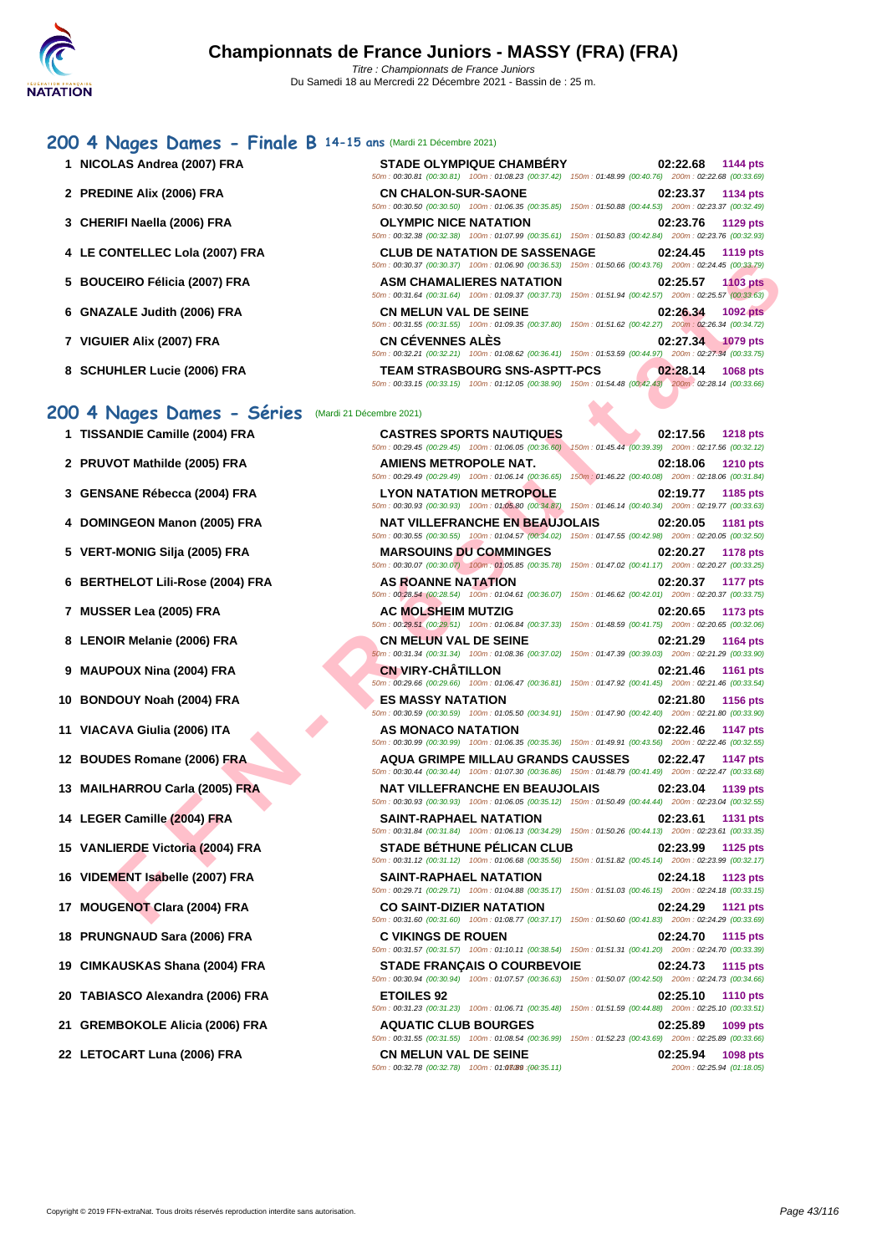### **CERCIFIED (2005) FRA**<br> **FER A FRANCE DISTURBANCE IN A SUI CHAMALIERE S NATATION**<br> **FER A FRANCE DISTURBANCE IN A SUI CONTENT AND CONTENT AND CONTENT AND CONTENT AND CONTENT AND CONTENT AND CONTENT AND CONTENT AND CONTENT [200 4](http://www.ffnatation.fr/webffn/index.php) Nages Dames - Finale B 14-15 ans** (Mardi 21 Décembre 2021) **1 NICOLAS Andrea (2007) FRA STADE OLYMPIQUE CHAMBÉRY 02:22.68 1144 pts** 50m : 00:30.81 (00:30.81) 100m : 01:08.23 (00:37.42) 150m : 01:48.99 (00:40.76) 200m : 02:22.68 (00:33.69) **2 PREDINE Alix (2006) FRA CN CHALON-SUR-SAONE 02:23.37 1134 pts** 50m : 00:30.50 (00:30.50) 100m : 01:06.35 (00:35.85) 150m : 01:50.88 (00:44.53) 200m : 02:23.37 (00:32.49) **3 [CHERIFI Naella \(2006\) FRA](http://www.ffnatation.fr/webffn/resultats.php?idact=nat&go=epr&idcpt=72221&idepr=41) OLYMPIC NICE NATATION 02:23.76 1129 pts** 50m : 00:32.38 (00:32.38) 100m : 01:07.99 (00:35.61) 150m : 01:50.83 (00:42.84) 200m : 02:23.76 (00:32.93) **4 LE CONTELLEC Lola (2007) FRA CLUB DE NATATION DE SASSENAGE 02:24.45 1119 pts** 50m : 00:30.37 (00:30.37) 100m : 01:06.90 (00:36.53) 150m : 01:50.66 (00:43.76) 200m : 02:24.45 (00:33.79) **5 BOUCEIRO Félicia (2007) FRA ASM CHAMALIERES NATATION 02:25.57 1103 pts** 50m : 00:31.64 (00:31.64) 100m : 01:09.37 (00:37.73) 150m : 01:51.94 (00:42.57) 200m : 02:25.57 (00:33.63) **6 GNAZALE Judith (2006) FRA CN MELUN VAL DE SEINE 02:26.34 1092 pts** 50m : 00:31.55 (00:31.55) 100m : 01:09.35 (00:37.80) 150m : 01:51.62 (00:42.27) 200m : 02:26.34 (00:34.72) **7 VIGUIER Alix (2007) FRA CN CÉVENNES ALÈS 02:27.34 1079 pts** 50m : 00:32.21 (00:32.21) 100m : 01:08.62 (00:36.41) 150m : 01:53.59 (00:44.97) 200m : 02:27.34 (00:33.75) **8 SCHUHLER Lucie (2006) FRA TEAM STRASBOURG SNS-ASPTT-PCS 02:28.14 1068 pts** 50m : 00:33.15 (00:33.15) 100m : 01:12.05 (00:38.90) 150m : 01:54.48 (00:42.43) 200m : 02:28.14 (00:33.66) **200 4 Nages Dames - Séries** (Mardi 21 Décembre 2021) **1 TISSANDIE Camille (2004) FRA CASTRES SPORTS NAUTIQUES 02:17.56 1218 pts** 50m : 00:29.45 (00:29.45) 100m : 01:06.05 (00:36.60) 150m : 01:45.44 (00:39.39) 200m : 02:17.56 (00:32.12) **2 PRUVOT Mathilde (2005) FRA AMIENS METROPOLE NAT. 02:18.06 1210 pts** 50m : 00:29.49 (00:29.49) 100m : 01:06.14 (00:36.65) 150m : 01:46.22 (00:40.08) 200m : 02:18.06 (00:31.84) **3 GENSANE Rébecca (2004) FRA LYON NATATION METROPOLE 02:19.77 1185 pts**<br>50m : 00:30.93 (00:30.93) 100m : 01:05.80 (00:34.87) 150m : 01:46.14 (00:40.34) 200m : 02:19.77 (00:33.63) **4 DOMINGEON Manon (2005) FRA NAT VILLEFRANCHE EN BEAUJOLAIS 02:20.05 1181 pts** 50m : 00:30.55 (00:30.55) 100m : 01:04.57 (00:34.02) 150m : 01:47.55 (00:42.98) 200m : 02:20.05 (00:32.50) **5 VERT-MONIG Silja (2005) FRA MARSOUINS DU COMMINGES 02:20.27 1178 pts** 50m : 00:30.07 (00:30.07) 100m : 01:05.85 (00:35.78) 150m : 01:47.02 (00:41.17) 200m : 02:20.27 (00:33.25) **6 BERTHELOT Lili-Rose (2004) FRA AS ROANNE NATATION 02:20.37 1177 pts** 50m : 00:28.54 (00:28.54) 100m : 01:04.61 (00:36.07) 150m : 01:46.62 (00:42.01) 200m : 02:20.37 (00:33.75) **7 MUSSER Lea (2005) FRA AC MOLSHEIM MUTZIG 02:20.65 1173 pts** 50m : 00:29.51 (00:29.51) 100m : 01:06.84 (00:37.33) 150m : 01:48.59 (00:41.75) 200m : 02:20.65 (00:32.06) **8 LENOIR Melanie (2006) FRA CN MELUN VAL DE SEINE 02:21.29 1164 pts** 50m : 00:31.34 (00:31.34) 100m : 01:08.36 (00:37.02) 150m : 01:47.39 (00:39.03) 200m : 02:21.29 (00:33.90) **9 MAUPOUX Nina (2004) FRA CN VIRY-CHÂTILLON 02:21.46 1161 pts** 50m : 00:29.66 (00:29.66) 100m : 01:06.47 (00:36.81) 150m : 01:47.92 (00:41.45) 200m : 02:21.46 (00:33.54) **10 BONDOUY Noah (2004) FRA ES MASSY NATATION 02:21.80 1156 pts** 50m : 00:30.59 (00:30.59) 100m : 01:05.50 (00:34.91) 150m : 01:47.90 (00:42.40) 200m : 02:21.80 (00:33.90) **11 VIACAVA Giulia (2006) ITA AS MONACO NATATION 02:22.46 1147 pts** 50m : 00:30.99 (00:30.99) 100m : 01:06.35 (00:35.36) 150m : 01:49.91 (00:43.56) 200m : 02:22.46 (00:32.55) **12 BOUDES Romane (2006) FRA AQUA GRIMPE MILLAU GRANDS CAUSSES 02:22.47 1147 pts** 50m : 00:30.44 (00:30.44) 100m : 01:07.30 (00:36.86) 150m : 01:48.79 (00:41.49) 200m : 02:22.47 (00:33.68) **13 MAILHARROU Carla (2005) FRA NAT VILLEFRANCHE EN BEAUJOLAIS 02:23.04 1139 pts** 50m : 00:30.93 (00:30.93) 100m : 01:06.05 (00:35.12) 150m : 01:50.49 (00:44.44) 200m : 02:23.04 (00:32.55) **14 LEGER Camille (2004) FRA SAINT-RAPHAEL NATATION 02:23.61 1131 pts** 50m : 00:31.84 (00:31.84) 100m : 01:06.13 (00:34.29) 150m : 01:50.26 (00:44.13) 200m : 02:23.61 (00:33.35) **15 VANLIERDE Victoria (2004) FRA STADE BÉTHUNE PÉLICAN CLUB 02:23.99 1125 pts** 50m : 00:31.12 (00:31.12) 100m : 01:06.68 (00:35.56) 150m : 01:51.82 (00:45.14) 200m : 02:23.99 (00:32.17) **16 VIDEMENT Isabelle (2007) FRA SAINT-RAPHAEL NATATION 02:24.18 1123 pts** 50m : 00:29.71 (00:29.71) 100m : 01:04.88 (00:35.17) 150m : 01:51.03 (00:46.15) 200m : 02:24.18 (00:33.15) **17 MOUGENOT Clara (2004) FRA CO SAINT-DIZIER NATATION 02:24.29 1121 pts** 50m : 00:31.60 (00:31.60) 100m : 01:08.77 (00:37.17) 150m : 01:50.60 (00:41.83) 200m : 02:24.29 (00:33.69) **18 PRUNGNAUD Sara (2006) FRA C VIKINGS DE ROUEN 02:24.70 1115 pts** 50m : 00:31.57 (00:31.57) 100m : 01:10.11 (00:38.54) 150m : 01:51.31 (00:41.20) 200m : 02:24.70 (00:33.39) **19 CIMKAUSKAS Shana (2004) FRA STADE FRANÇAIS O COURBEVOIE 02:24.73 1115 pts** 50m : 00:30.94 (00:30.94) 100m : 01:07.57 (00:36.63) 150m : 01:50.07 (00:42.50) 200m : 02:24.73 (00:34.66) **20 TABIASCO Alexandra (2006) FRA ETOILES 92 02:25.10 1110 pts** 50m : 00:31.23 (00:31.23) 100m : 01:06.71 (00:35.48) 150m : 01:51.59 (00:44.88) 200m : 02:25.10 (00:33.51) **21 GREMBOKOLE Alicia (2006) FRA AQUATIC CLUB BOURGES 02:25.89 1099 pts** 50m : 00:31.55 (00:31.55) 100m : 01:08.54 (00:36.99) 150m : 01:52.23 (00:43.69) 200m : 02:25.89 (00:33.66) **22 LETOCART Luna (2006) FRA CN MELUN VAL DE SEINE 02:25.94 02:25.94 02:25.94 02:25.94 03:25 <b>04:46.05 CON CON CON CON CON CON CON CON CON CON CON CON CON CON CON CON CON C**

 $50m$  : 00:32.78  $(00:32.78)$   $100m$  : 01:03/89  $(00:35.11)$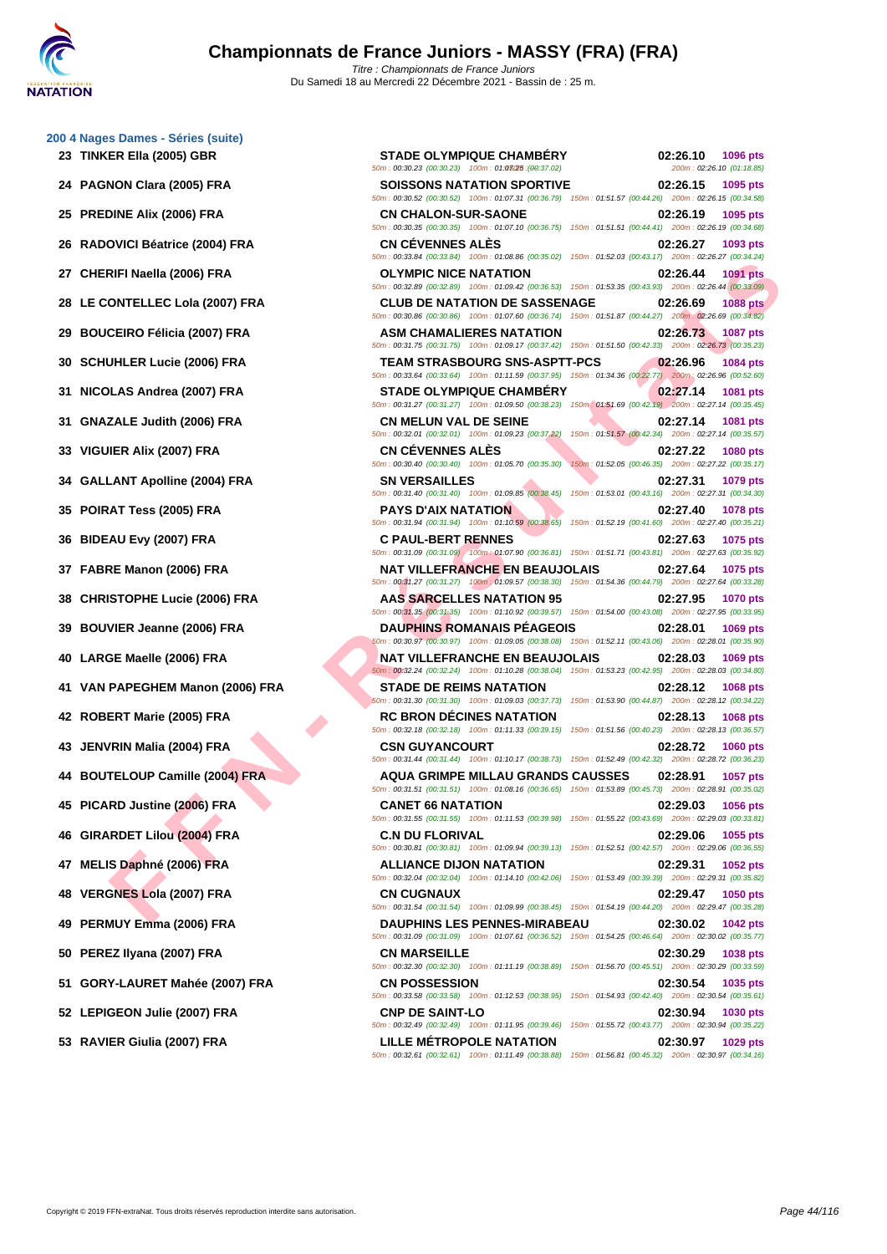|    | 200 4 Nages Dames - Séries (suite) |                                                                                                                                                                                                                                                           |          |                                       |
|----|------------------------------------|-----------------------------------------------------------------------------------------------------------------------------------------------------------------------------------------------------------------------------------------------------------|----------|---------------------------------------|
|    | 23 TINKER EIIa (2005) GBR          | <b>STADE OLYMPIQUE CHAMBERY</b><br>50m: 00:30.23 (00:30.23) 100m: 01:03025 : (00:37.02)                                                                                                                                                                   | 02:26.10 | 1096 pts<br>200m: 02:26.10 (01:18.85) |
|    | 24 PAGNON Clara (2005) FRA         | <b>SOISSONS NATATION SPORTIVE</b><br>50m: 00:30.52 (00:30.52) 100m: 01:07.31 (00:36.79) 150m: 01:51.57 (00:44.26) 200m: 02:26.15 (00:34.58                                                                                                                | 02:26.15 | 1095 pts                              |
|    | 25 PREDINE Alix (2006) FRA         | <b>CN CHALON-SUR-SAONE</b><br>50m: 00:30.35 (00:30.35) 100m: 01:07.10 (00:36.75) 150m: 01:51.51 (00:44.41) 200m: 02:26.19 (00:34.68)                                                                                                                      | 02:26.19 | 1095 pts                              |
|    | 26 RADOVICI Béatrice (2004) FRA    | <b>CN CEVENNES ALES</b><br>50m: 00:33.84 (00:33.84) 100m: 01:08.86 (00:35.02) 150m: 01:52.03 (00:43.17) 200m: 02:26.27 (00:34.24                                                                                                                          | 02:26.27 | 1093 pts                              |
|    | 27 CHERIFI Naella (2006) FRA       | <b>OLYMPIC NICE NATATION</b><br>50m : 00:32.89 (00:32.89) 100m : 01:09.42 (00:36.53) 150m : 01:53.35 (00:43.93) 200m : 02:26.44 (00:33.09)                                                                                                                | 02:26.44 | 1091 pts                              |
|    | 28 LE CONTELLEC Lola (2007) FRA    | <b>CLUB DE NATATION DE SASSENAGE</b><br>50m: 00:30.86 (00:30.86) 100m: 01:07.60 (00:36.74) 150m: 01:51.87 (00:44.27) 200m: 02:26.69 (00:34.82)                                                                                                            | 02:26.69 | <b>1088 pts</b>                       |
|    | 29 BOUCEIRO Félicia (2007) FRA     | <b>ASM CHAMALIERES NATATION</b><br>50m: 00:31.75 (00:31.75) 100m: 01:09.17 (00:37.42) 150m: 01:51.50 (00:42.33) 200m: 02:26.73 (00:35.23)                                                                                                                 | 02:26.73 | 1087 pts                              |
|    | 30 SCHUHLER Lucie (2006) FRA       | <b>TEAM STRASBOURG SNS-ASPTT-PCS</b><br>50m : 00:33.64 (00:33.64) 100m : 01:11.59 (00:37.95) 150m : 01:34.36 (00:22.77) 200m : 02:26.96 (00:52.60)                                                                                                        | 02:26.96 | 1084 pts                              |
|    | 31 NICOLAS Andrea (2007) FRA       | <b>STADE OLYMPIQUE CHAMBERY</b><br>50m: 00:31.27 (00:31.27) 100m: 01:09.50 (00:38.23) 150m: 01:51.69 (00:42.19) 200m: 02:27.14 (00:35.45)                                                                                                                 | 02:27.14 | 1081 pts                              |
|    | 31 GNAZALE Judith (2006) FRA       | <b>CN MELUN VAL DE SEINE</b><br>50m: 00:32.01 (00:32.01) 100m: 01:09.23 (00:37.22) 150m: 01:51.57 (00:42.34) 200m: 02:27.14 (00:35.57)                                                                                                                    | 02:27.14 | 1081 pts                              |
|    | 33 VIGUIER Alix (2007) FRA         | <b>CN CEVENNES ALES</b><br>50m: 00:30.40 (00:30.40) 100m: 01:05.70 (00:35.30)<br>150m: 01:52.05 (00:46.35) 200m: 02:27.22 (00:35.17)                                                                                                                      | 02:27.22 | 1080 pts                              |
|    | 34 GALLANT Apolline (2004) FRA     | <b>SN VERSAILLES</b><br>50m: 00:31.40 (00:31.40) 100m: 01:09.85 (00:38.45) 150m: 01:53.01 (00:43.16) 200m: 02:27.31 (00:34.30)                                                                                                                            | 02:27.31 | 1079 pts                              |
|    | 35 POIRAT Tess (2005) FRA          | <b>PAYS D'AIX NATATION</b><br>50m: 00:31.94 (00:31.94) 100m: 01:10.59 (00:38.65) 150m: 01:52.19 (00:41.60) 200m: 02:27.40 (00:35.21,                                                                                                                      | 02:27.40 | 1078 pts                              |
|    | 36 BIDEAU Evy (2007) FRA           | <b>C PAUL-BERT RENNES</b><br>50m : 00:31.09 (00:31.09) 100m : 01:07.90 (00:36.81) 150m : 01:51.71 (00:43.81) 200m : 02:27.63 (00:35.92,                                                                                                                   | 02:27.63 | 1075 pts                              |
|    | 37 FABRE Manon (2006) FRA          | NAT VILLEFRANCHE EN BEAUJOLAIS<br>50m: 00:31.27 (00:31.27) 100m: 01:09.57 (00:38.30) 150m: 01:54.36 (00:44.79) 200m: 02:27.64 (00:33.28)                                                                                                                  | 02:27.64 | 1075 pts                              |
|    | 38 CHRISTOPHE Lucie (2006) FRA     | <b>AAS SARCELLES NATATION 95</b><br>50m: 00:31.35 (00:31.35) 100m: 01:10.92 (00:39.57) 150m: 01:54.00 (00:43.08) 200m: 02:27.95 (00:33.95                                                                                                                 | 02:27.95 | <b>1070 pts</b>                       |
|    | 39 BOUVIER Jeanne (2006) FRA       | <b>DAUPHINS ROMANAIS PEAGEOIS</b><br>50m : 00:30.97 (00:30.97) 100m : 01:09.05 (00:38.08) 150m : 01:52.11 (00:43.06) 200m : 02:28.01 (00:35.90)                                                                                                           | 02:28.01 | 1069 pts                              |
|    | 40 LARGE Maelle (2006) FRA         | <b>NAT VILLEFRANCHE EN BEAUJOLAIS</b><br>50m : 00:32.24 (00:32.24) 100m : 01:10.28 (00:38.04) 150m : 01:53.23 (00:42.95) 200m : 02:28.03 (00:34.80)                                                                                                       | 02:28.03 | 1069 pts                              |
|    | 41 VAN PAPEGHEM Manon (2006) FRA   | <b>STADE DE REIMS NATATION</b><br>50m : 00:31.30 (00:31.30) 100m : 01:09.03 (00:37.73) 150m : 01:53.90 (00:44.87) 200m : 02:28.12 (00:34.22,                                                                                                              | 02:28.12 | 1068 pts                              |
|    | 42 ROBERT Marie (2005) FRA         | <b>RC BRON DECINES NATATION</b><br>50m: 00:32.18 (00:32.18) 100m: 01:11.33 (00:39.15) 150m: 01:51.56 (00:40.23) 200m: 02:28.13 (00:36.57                                                                                                                  | 02:28.13 | 1068 pts                              |
|    | 43 JENVRIN Malia (2004) FRA        | <b>CSN GUYANCOURT</b><br>50m: 00:31.44 (00:31.44) 100m: 01:10.17 (00:38.73) 150m: 01:52.49 (00:42.32) 200m: 02:28.72 (00:36.23)                                                                                                                           | 02:28.72 | 1060 pts                              |
|    | 44 BOUTELOUP Camille (2004) FRA    | <b>AQUA GRIMPE MILLAU GRANDS CAUSSES</b>                                                                                                                                                                                                                  | 02:28.91 | 1057 pts                              |
|    | 45 PICARD Justine (2006) FRA       | 50m: 00:31.51 (00:31.51) 100m: 01:08.16 (00:36.65) 150m: 01:53.89 (00:45.73) 200m: 02:28.91 (00:35.02)<br><b>CANET 66 NATATION</b><br>50m: 00:31.55 (00:31.55) 100m: 01:11.53 (00:39.98) 150m: 01:55.22 (00:43.69) 200m: 02:29.03 (00:33.81,              | 02:29.03 | <b>1056 pts</b>                       |
|    | 46 GIRARDET Lilou (2004) FRA       | <b>C.N DU FLORIVAL</b>                                                                                                                                                                                                                                    | 02:29.06 | 1055 pts                              |
|    | 47 MELIS Daphné (2006) FRA         | 50m: 00:30.81 (00:30.81) 100m: 01:09.94 (00:39.13) 150m: 01:52.51 (00:42.57) 200m: 02:29.06 (00:36.55<br>ALLIANCE DIJON NATATION<br>50m: 00:32.04 (00:32.04) 100m: 01:14.10 (00:42.06)<br>150m: 01:53.49 (00:39.39) 200m: 02:29.31 (00:35.82)             | 02:29.31 | 1052 pts                              |
|    | 48 VERGNES Lola (2007) FRA         | <b>CN CUGNAUX</b>                                                                                                                                                                                                                                         | 02:29.47 | 1050 pts                              |
| 49 | PERMUY Emma (2006) FRA             | 50m: 00:31.54 (00:31.54) 100m: 01:09.99 (00:38.45)<br>150m: 01:54.19 (00:44.20) 200m: 02:29.47 (00:35.28)<br><b>DAUPHINS LES PENNES-MIRABEAU</b><br>50m: 00:31.09 (00:31.09) 100m: 01:07.61 (00:36.52) 150m: 01:54.25 (00:46.64) 200m: 02:30.02 (00:35.77 | 02:30.02 | 1042 pts                              |
|    | 50 PEREZ Ilyana (2007) FRA         | <b>CN MARSEILLE</b>                                                                                                                                                                                                                                       | 02:30.29 | 1038 pts                              |
|    | 51 GORY-LAURET Mahée (2007) FRA    | 50m: 00:32.30 (00:32.30) 100m: 01:11.19 (00:38.89)<br>150m: 01:56.70 (00:45.51) 200m: 02:30.29 (00:33.59)<br><b>CN POSSESSION</b><br>50m: 00:33.58 (00:33.58) 100m: 01:12.53 (00:38.95)<br>150m: 01:54.93 (00:42.40) 200m: 02:30.54 (00:35.61)            | 02:30.54 | 1035 pts                              |
|    | 52 LEPIGEON Julie (2007) FRA       | <b>CNP DE SAINT-LO</b>                                                                                                                                                                                                                                    | 02:30.94 | 1030 pts                              |
|    | 53 RAVIER Giulia (2007) FRA        | 50m: 00:32.49 (00:32.49) 100m: 01:11.95 (00:39.46)<br>150m: 01:55.72 (00:43.77) 200m: 02:30.94 (00:35.22)<br><b>LILLE METROPOLE NATATION</b><br>50m: 00:32.61 (00:32.61) 100m: 01:11.49 (00:38.88)<br>150m: 01:56.81 (00:45.32) 200m: 02:30.97 (00:34.16) | 02:30.97 | 1029 pts                              |
|    |                                    |                                                                                                                                                                                                                                                           |          |                                       |

| $\sigma$ + naged Danied Conce (Sanc)<br>23 TINKER EIIa (2005) GBR | <b>STADE OLYMPIQUE CHAMBERY</b><br>50m: 00:30.23 (00:30.23) 100m: 01:03025 : (00:37.02)                                                            | 02:26.10<br>1096 pts<br>200m: 02:26.10 (01:18.85)                           |
|-------------------------------------------------------------------|----------------------------------------------------------------------------------------------------------------------------------------------------|-----------------------------------------------------------------------------|
| 24 PAGNON Clara (2005) FRA                                        | <b>SOISSONS NATATION SPORTIVE</b><br>50m : 00:30.52 (00:30.52) 100m : 01:07.31 (00:36.79) 150m : 01:51.57 (00:44.26) 200m : 02:26.15 (00:34.58)    | 02:26.15<br>1095 pts                                                        |
| 25 PREDINE Alix (2006) FRA                                        | <b>CN CHALON-SUR-SAONE</b><br>50m: 00:30.35 (00:30.35) 100m: 01:07.10 (00:36.75) 150m: 01:51.51 (00:44.41) 200m: 02:26.19 (00:34.68)               | 02:26.19<br>1095 pts                                                        |
| 26 RADOVICI Béatrice (2004) FRA                                   | <b>CN CEVENNES ALES</b><br>50m: 00:33.84 (00:33.84) 100m: 01:08.86 (00:35.02) 150m: 01:52.03 (00:43.17) 200m: 02:26.27 (00:34.24)                  | 02:26.27<br>1093 pts                                                        |
| 27   CHERIFI Naella (2006) FRA                                    | <b>OLYMPIC NICE NATATION</b><br>50m : 00:32.89 (00:32.89) 100m : 01:09.42 (00:36.53) 150m : 01:53.35 (00:43.93) 200m : 02:26.44 (00:33.09)         | 02:26.44<br><b>1091 pts</b>                                                 |
| 28 LE CONTELLEC Lola (2007) FRA                                   | <b>CLUB DE NATATION DE SASSENAGE</b><br>50m: 00:30.86 (00:30.86) 100m: 01:07.60 (00:36.74) 150m: 01:51.87 (00:44.27) 200m: 02:26.69 (00:34.82)     | 02:26.69<br><b>1088 pts</b>                                                 |
| 29 BOUCEIRO Félicia (2007) FRA                                    | ASM CHAMALIERES NATATION                                                                                                                           | 02:26.73<br><b>1087 pts</b>                                                 |
| 30 SCHUHLER Lucie (2006) FRA                                      | 50m: 00:31.75 (00:31.75) 100m: 01:09.17 (00:37.42) 150m: 01:51.50 (00:42.33) 200m: 02:26.73 (00:35.23)<br><b>TEAM STRASBOURG SNS-ASPTT-PCS</b>     | 02:26.96<br><b>1084 pts</b>                                                 |
| 31   NICOLAS Andrea (2007) FRA                                    | 50m : 00:33.64 (00:33.64) 100m : 01:11.59 (00:37.95) 150m : 01:34.36 (00:22.77) 200m : 02:26.96 (00:52.60)<br><b>STADE OLYMPIQUE CHAMBERY</b>      | 02:27.14<br>1081 pts                                                        |
| 31   GNAZALE Judith (2006) FRA                                    | 50m: 00:31.27 (00:31.27) 100m: 01:09.50 (00:38.23) 150m: 01:51.69 (00:42.19) 200m: 02:27.14 (00:35.45)<br><b>CN MELUN VAL DE SEINE</b>             | 02:27.14<br>1081 pts                                                        |
| 33 VIGUIER Alix (2007) FRA                                        | 50m: 00:32.01 (00:32.01) 100m: 01:09.23 (00:37.22) 150m: 01:51.57 (00:42.34) 200m: 02:27.14 (00:35.57)<br><b>CN CÉVENNES ALÉS</b>                  | 02:27.22<br><b>1080 pts</b>                                                 |
| 34   GALLANT Apolline (2004) FRA                                  | 50m: 00:30.40 (00:30.40) 100m: 01:05.70 (00:35.30)<br><b>SN VERSAILLES</b>                                                                         | 150m: 01:52.05 (00:46.35) 200m: 02:27.22 (00:35.17)<br>02:27.31<br>1079 pts |
| 35 POIRAT Tess (2005) FRA                                         | 50m: 00:31.40 (00:31.40) 100m: 01:09.85 (00:38.45) 150m: 01:53.01 (00:43.16) 200m: 02:27.31 (00:34.30)<br><b>PAYS D'AIX NATATION</b>               | 02:27.40<br>1078 pts                                                        |
| 36 BIDEAU Evy (2007) FRA                                          | 50m: 00:31.94 (00:31.94) 100m: 01:10.59 (00:38.65) 150m: 01:52.19 (00:41.60) 200m: 02:27.40 (00:35.21)<br><b>C PAUL-BERT RENNES</b>                | 02:27.63<br>1075 pts                                                        |
| 37 FABRE Manon (2006) FRA                                         | 50m: 00:31.09 (00:31.09) 100m: 01:07.90 (00:36.81) 150m: 01:51.71 (00:43.81) 200m: 02:27.63 (00:35.92)<br>NAT VILLEFRANCHE EN BEAUJOLAIS           | 02:27.64<br>1075 pts                                                        |
| 38   CHRISTOPHE Lucie (2006) FRA                                  | 50m: 00:31.27 (00:31.27) 100m: 01:09.57 (00:38.30) 150m: 01:54.36 (00:44.79) 200m: 02:27.64 (00:33.28)<br>AAS SARCELLES NATATION 95                | 02:27.95<br><b>1070 pts</b>                                                 |
| 39 BOUVIER Jeanne (2006) FRA                                      | 50m: 00:31.35 (00:31.35) 100m: 01:10.92 (00:39.57) 150m: 01:54.00 (00:43.08) 200m: 02:27.95 (00:33.95)<br><b>DAUPHINS ROMANAIS PEAGEOIS</b>        | 02:28.01<br>1069 pts                                                        |
| 40 LARGE Maelle (2006) FRA                                        | 50m: 00:30.97 (00:30.97) 100m: 01:09.05 (00:38.08) 150m: 01:52.11 (00:43.06) 200m: 02:28.01 (00:35.90)<br>NAT VILLEFRANCHE EN BEAUJOLAIS           | 02:28.03<br>1069 pts                                                        |
| 41 VAN PAPEGHEM Manon (2006) FRA                                  | 50m: 00:32.24 (00:32.24) 100m: 01:10.28 (00:38.04) 150m: 01:53.23 (00:42.95) 200m: 02:28.03 (00:34.80)<br><b>STADE DE REIMS NATATION</b>           | 02:28.12<br>1068 pts                                                        |
| 42 ROBERT Marie (2005) FRA                                        | 50m: 00:31.30 (00:31.30) 100m: 01:09.03 (00:37.73) 150m: 01:53.90 (00:44.87) 200m: 02:28.12 (00:34.22)<br><b>RC BRON DECINES NATATION</b>          | 02:28.13<br>1068 pts                                                        |
| 43 JENVRIN Malia (2004) FRA                                       | 50m: 00:32.18 (00:32.18) 100m: 01:11.33 (00:39.15) 150m: 01:51.56 (00:40.23) 200m: 02:28.13 (00:36.57)<br><b>CSN GUYANCOURT</b>                    | 02:28.72<br><b>1060 pts</b>                                                 |
| 44 BOUTELOUP Camille (2004) FRA                                   | 50m: 00:31.44 (00:31.44) 100m: 01:10.17 (00:38.73) 150m: 01:52.49 (00:42.32) 200m: 02:28.72 (00:36.23)<br><b>AQUA GRIMPE MILLAU GRANDS CAUSSES</b> | 02:28.91<br>1057 pts                                                        |
| 45 PICARD Justine (2006) FRA                                      | 50m: 00:31.51 (00:31.51) 100m: 01:08.16 (00:36.65) 150m: 01:53.89 (00:45.73) 200m: 02:28.91 (00:35.02)<br><b>CANET 66 NATATION</b>                 | 02:29.03<br><b>1056 pts</b>                                                 |
| 46 GIRARDET Lilou (2004) FRA                                      | 50m: 00:31.55 (00:31.55) 100m: 01:11.53 (00:39.98) 150m: 01:55.22 (00:43.69) 200m: 02:29.03 (00:33.81)<br><b>C.N DU FLORIVAL</b>                   | 02:29.06<br>1055 pts                                                        |
| 47 MELIS Daphné (2006) FRA                                        | 50m: 00:30.81 (00:30.81) 100m: 01:09.94 (00:39.13) 150m: 01:52.51 (00:42.57) 200m: 02:29.06 (00:36.55)<br><b>ALLIANCE DIJON NATATION</b>           | 02:29.31<br>1052 pts                                                        |
| 48 VERGNES Lola (2007) FRA                                        | 50m: 00:32.04 (00:32.04) 100m: 01:14.10 (00:42.06) 150m: 01:53.49 (00:39.39) 200m: 02:29.31 (00:35.82)<br><b>CN CUGNAUX</b>                        | 02:29.47<br>1050 pts                                                        |
| 49 PERMUY Emma (2006) FRA                                         | 50m: 00:31.54 (00:31.54) 100m: 01:09.99 (00:38.45) 150m: 01:54.19 (00:44.20) 200m: 02:29.47 (00:35.28)<br><b>DAUPHINS LES PENNES-MIRABEAU</b>      | 02:30.02<br>1042 pts                                                        |
|                                                                   | 50m: 00:31.09 (00:31.09) 100m: 01:07.61 (00:36.52) 150m: 01:54.25 (00:46.64) 200m: 02:30.02 (00:35.77)                                             |                                                                             |
| 50 PEREZ Ilyana (2007) FRA                                        | <b>CN MARSEILLE</b><br>50m: 00:32.30 (00:32.30) 100m: 01:11.19 (00:38.89) 150m: 01:56.70 (00:45.51) 200m: 02:30.29 (00:33.59)                      | 02:30.29<br>1038 pts                                                        |
| 51 GORY-LAURET Mahée (2007) FRA                                   | <b>CN POSSESSION</b><br>50m: 00:33.58 (00:33.58) 100m: 01:12.53 (00:38.95) 150m: 01:54.93 (00:42.40) 200m: 02:30.54 (00:35.61)                     | 02:30.54<br>1035 pts                                                        |
| 52 LEPIGEON Julie (2007) FRA                                      | <b>CNP DE SAINT-LO</b><br>50m : 00:32.49 (00:32.49) 100m : 01:11.95 (00:39.46) 150m : 01:55.72 (00:43.77) 200m : 02:30.94 (00:35.22)               | 02:30.94<br>1030 pts                                                        |
| 53 RAVIER Giulia (2007) FRA                                       | LILLE MÉTROPOLE NATATION                                                                                                                           | 02:30.97<br>1029 pts                                                        |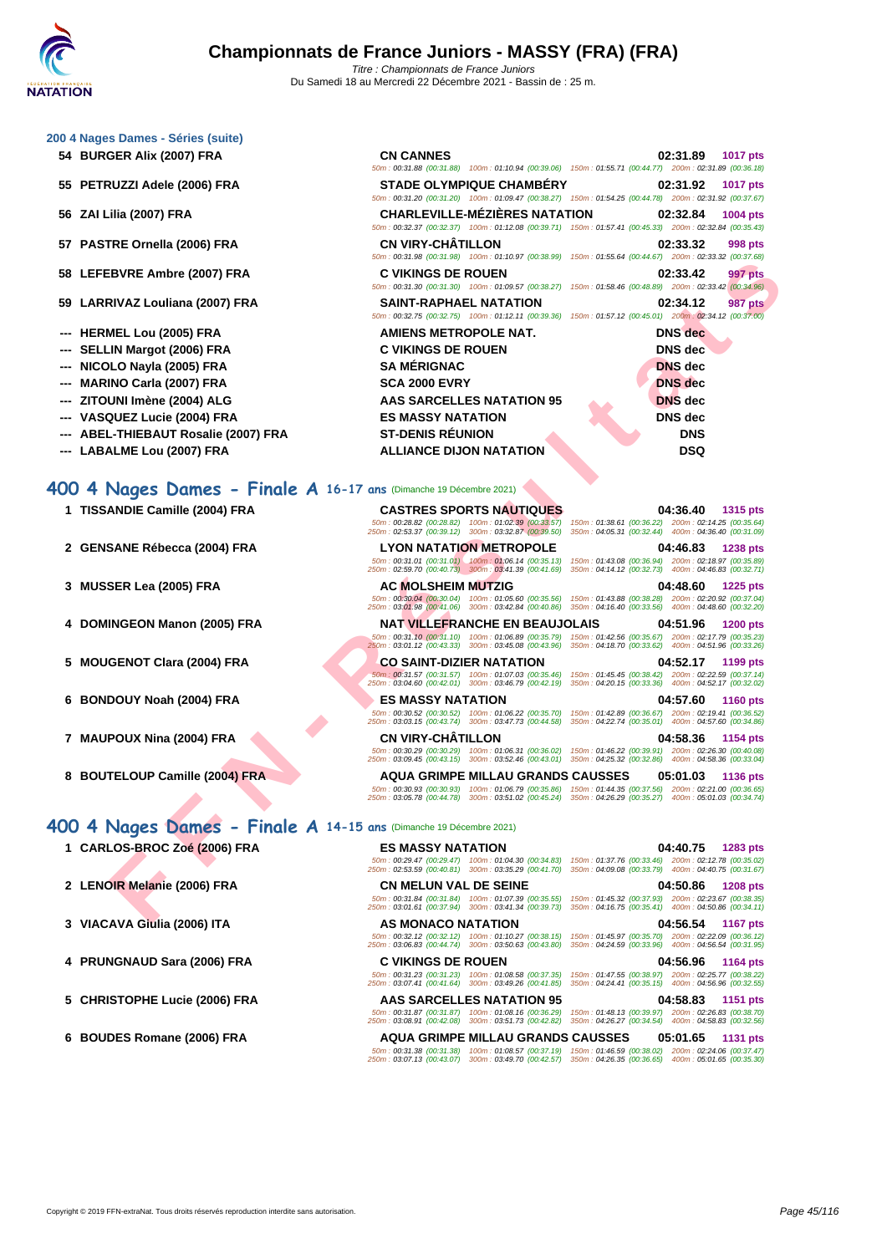#### **[200 4 Nag](http://www.ffnatation.fr/webffn/index.php)es Dames - Séries (suite)**

- **54 BURGER Alix (2007) FRA**
- **55 PETRUZZI Adele (2006) FRA**
- **56 ZAI Lilia (2007) FRA**
- **57 PASTRE Ornella (2006) FRA**
- **58 LEFEBVRE Ambre (2007) FRA C VIKINGS DE ROUEN 02:33.42 997 pts**
- **59 LARRIVAZ Louliana (2007) FRA**
- **--- HERMEL Lou (2005) FRA**
- **--- SELLIN Margot (2006) FRA**
- **--- NICOLO Nayla (2005) FRA**
- **--- MARINO Carla (2007) FRA**
- **--- ZITOUNI Imène (2004) ALG**
- **--- VASQUEZ Lucie (2004) FRA**
- **--- ABEL-THIEBAUT Rosalie (2007) FRA**
- 

### **400 4 Nages Dames - Finale A 16-17 ans** (Dimanche 19 Décembre 2021)

- **1 TISSANDIE Camille (2004) FRA CASTRES SPORTS NAUTIQUES 04:36.40 1315 pts**
- 
- 
- 
- 
- **6 BONDOUY Noah (2004) FRA ES MASSY NATATION 04:57.60 1160 pts**
- 
- 

# **400 4 Nages Dames - Finale A 14-15 ans** (Dimanche 19 Décembre 2021)

- 
- 
- 
- 
- 
- 

| 54   BURGER Alix (2007) FRA                                       | <b>CN CANNES</b>                                                                                                                                                                                           | 02:31.89<br>1017 pts<br>50m: 00:31.88 (00:31.88) 100m: 01:10.94 (00:39.06) 150m: 01:55.71 (00:44.77) 200m: 02:31.89 (00:36.18)             |
|-------------------------------------------------------------------|------------------------------------------------------------------------------------------------------------------------------------------------------------------------------------------------------------|--------------------------------------------------------------------------------------------------------------------------------------------|
| 55 PETRUZZI Adele (2006) FRA                                      | <b>STADE OLYMPIQUE CHAMBÉRY</b>                                                                                                                                                                            | 02:31.92<br><b>1017 pts</b><br>50m: 00:31.20 (00:31.20) 100m: 01:09.47 (00:38.27) 150m: 01:54.25 (00:44.78) 200m: 02:31.92 (00:37.67)      |
| 56 ZAI Lilia (2007) FRA                                           | <b>CHARLEVILLE-MÉZIÈRES NATATION</b>                                                                                                                                                                       | 02:32.84<br>1004 pts<br>50m: 00:32.37 (00:32.37) 100m: 01:12.08 (00:39.71) 150m: 01:57.41 (00:45.33) 200m: 02:32.84 (00:35.43)             |
| 57 PASTRE Ornella (2006) FRA                                      | <b>CN VIRY-CHATILLON</b>                                                                                                                                                                                   | 02:33.32<br>998 pts<br>50m: 00:31.98 (00:31.98) 100m: 01:10.97 (00:38.99) 150m: 01:55.64 (00:44.67) 200m: 02:33.32 (00:37.68)              |
| 58 LEFEBVRE Ambre (2007) FRA                                      | <b>C VIKINGS DE ROUEN</b>                                                                                                                                                                                  | 02:33.42<br><b>997 pts</b><br>50m : 00:31.30 (00:31.30) 100m : 01:09.57 (00:38.27) 150m : 01:58.46 (00:48.89) 200m : 02:33.42 (00:34.96)   |
| 59 LARRIVAZ Louliana (2007) FRA                                   | <b>SAINT-RAPHAEL NATATION</b><br>50m: 00:32.75 (00:32.75) 100m: 01:12.11 (00:39.36)                                                                                                                        | 02:34.12<br>987 pts<br>150m: 01:57.12 (00:45.01) 200m: 02:34.12 (00:37.00)                                                                 |
| --- HERMEL Lou (2005) FRA                                         | <b>AMIENS METROPOLE NAT.</b>                                                                                                                                                                               | <b>DNS</b> dec                                                                                                                             |
| <b>SELLIN Margot (2006) FRA</b>                                   | <b>C VIKINGS DE ROUEN</b>                                                                                                                                                                                  | <b>DNS</b> dec                                                                                                                             |
| --- NICOLO Nayla (2005) FRA                                       | <b>SA MÉRIGNAC</b>                                                                                                                                                                                         | <b>DNS</b> dec                                                                                                                             |
| <b>MARINO Carla (2007) FRA</b>                                    | <b>SCA 2000 EVRY</b>                                                                                                                                                                                       | <b>DNS</b> dec                                                                                                                             |
| --- ZITOUNI Imène (2004) ALG                                      | <b>AAS SARCELLES NATATION 95</b>                                                                                                                                                                           | <b>DNS</b> dec                                                                                                                             |
| ---   VASQUEZ Lucie (2004) FRA                                    | <b>ES MASSY NATATION</b>                                                                                                                                                                                   | <b>DNS</b> dec                                                                                                                             |
| --- ABEL-THIEBAUT Rosalie (2007) FRA                              | <b>ST-DENIS RÉUNION</b>                                                                                                                                                                                    | <b>DNS</b>                                                                                                                                 |
| --- LABALME Lou (2007) FRA                                        | <b>ALLIANCE DIJON NATATION</b>                                                                                                                                                                             | <b>DSQ</b>                                                                                                                                 |
|                                                                   | 50m: 00:28.82 (00:28.82) 100m: 01:02.39 (00:33.57)<br>250m: 02:53.37 (00:39.12) 300m: 03:32.87 (00:39.50)<br><b>LYON NATATION METROPOLE</b>                                                                | 150m: 01:38.61 (00:36.22) 200m: 02:14.25 (00:35.64)<br>350m: 04:05.31 (00:32.44)  400m: 04:36.40 (00:31.09)<br>04:46.83<br><b>1238 pts</b> |
| 2 GENSANE Rébecca (2004) FRA                                      |                                                                                                                                                                                                            |                                                                                                                                            |
|                                                                   | $\frac{50m}{250m}:\frac{00:31.01}{00:31.01}\frac{(00:31.01)}{(00:40.73)}\frac{-100m}{300m}:\frac{01:06.14}{00:41.69}\frac{(00:35.13)}{(00:41.69)}$                                                         | 150m: 01:43.08 (00:36.94) 200m: 02:18.97 (00:35.89)<br>350m: 04:14.12 (00:32.73) 400m: 04:46.83 (00:32.71)                                 |
| 3 MUSSER Lea (2005) FRA                                           | <b>AC MOLSHEIM MUTZIG</b>                                                                                                                                                                                  | 04:48.60<br><b>1225 pts</b>                                                                                                                |
|                                                                   | 50m: 00:30.04 (00:30.04) 100m: 01:05.60 (00:35.56)<br>250m: 03:01.98 (00:41.06) 300m: 03:42.84 (00:40.86)                                                                                                  | 150m: 01:43.88 (00:38.28) 200m: 02:20.92 (00:37.04)<br>350m: 04:16.40 (00:33.56) 400m: 04:48.60 (00:32.20)                                 |
| 4 DOMINGEON Manon (2005) FRA                                      | <b>NAT VILLEFRANCHE EN BEAUJOLAIS</b><br>50m: 00:31.10 (00:31.10) 100m: 01:06.89 (00:35.79)<br>250m : 03:01.12 (00:43.33) 300m : 03:45.08 (00:43.96) 350m : 04:18.70 (00:33.62) 400m : 04:51.96 (00:33.26) | 04:51.96<br><b>1200 pts</b><br>150m: 01:42.56 (00:35.67) 200m: 02:17.79 (00:35.23)                                                         |
| 5 MOUGENOT Clara (2004) FRA                                       | <b>CO SAINT-DIZIER NATATION</b>                                                                                                                                                                            | 04:52.17<br>1199 pts                                                                                                                       |
|                                                                   | 50m: 00:31.57 (00:31.57) 100m: 01:07.03 (00:35.46)<br>250m: 03:04.60 (00:42.01) 300m: 03:46.79 (00:42.19)                                                                                                  | 150m: 01:45.45 (00:38.42) 200m: 02:22.59 (00:37.14)<br>350m: 04:20.15 (00:33.36) 400m: 04:52.17 (00:32.02)                                 |
| 6 BONDOUY Noah (2004) FRA                                         | <b>ES MASSY NATATION</b>                                                                                                                                                                                   | 04:57.60<br><b>1160 pts</b>                                                                                                                |
|                                                                   | 50m: 00:30.52 (00:30.52) 100m: 01:06.22 (00:35.70)<br>250m: 03:03.15 (00:43.74) 300m: 03:47.73 (00:44.58)                                                                                                  | 150m: 01:42.89 (00:36.67) 200m: 02:19.41 (00:36.52)<br>350m: 04:22.74 (00:35.01) 400m: 04:57.60 (00:34.86)                                 |
| 7 MAUPOUX Nina (2004) FRA                                         | <b>CN VIRY-CHÂTILLON</b><br>250m: 03:09.45 (00:43.15) 300m: 03:52.46 (00:43.01) 350m: 04:25.32 (00:32.86) 400m: 04:58.36 (00:33.04)                                                                        | 04:58.36<br>1154 pts<br>50m: 00:30.29 (00:30.29) 100m: 01:06.31 (00:36.02) 150m: 01:46.22 (00:39.91) 200m: 02:26.30 (00:40.08)             |
| 8 BOUTELOUP Camille (2004) FRA                                    | <b>AQUA GRIMPE MILLAU GRANDS CAUSSES</b>                                                                                                                                                                   | 05:01.03<br><b>1136 pts</b>                                                                                                                |
|                                                                   | 250m: 03:05.78 (00:44.78) 300m: 03:51.02 (00:45.24) 350m: 04:26.29 (00:35.27) 400m: 05:01.03 (00:34.74)                                                                                                    | 50m: 00:30.93 (00:30.93) 100m: 01:06.79 (00:35.86) 150m: 01:44.35 (00:37.56) 200m: 02:21.00 (00:36.65)                                     |
| 00 4 Nages Dames - Finale A 14-15 ans (Dimanche 19 Décembre 2021) |                                                                                                                                                                                                            |                                                                                                                                            |
| 1 CARLOS-BROC Zoé (2006) FRA                                      | <b>ES MASSY NATATION</b>                                                                                                                                                                                   | 04:40.75<br>1283 pts                                                                                                                       |
|                                                                   | 50m: 00:29.47 (00:29.47) 100m: 01:04.30 (00:34.83)<br>250m: 02:53.59 (00:40.81) 300m: 03:35.29 (00:41.70)                                                                                                  | 150m: 01:37.76 (00:33.46) 200m: 02:12.78 (00:35.02)<br>350m: 04:09.08 (00:33.79) 400m: 04:40.75 (00:31.67)                                 |
| 2 LENOIR Melanie (2006) FRA                                       | <b>CN MELUN VAL DE SEINE</b>                                                                                                                                                                               | 04:50.86<br><b>1208 pts</b>                                                                                                                |
|                                                                   | 50m: 00:31.84 (00:31.84) 100m: 01:07.39 (00:35.55)<br>250m: 03:01.61 (00:37.94) 300m: 03:41.34 (00:39.73)                                                                                                  | 150m: 01:45.32 (00:37.93) 200m: 02:23.67 (00:38.35)<br>350m: 04:16.75 (00:35.41) 400m: 04:50.86 (00:34.11)                                 |
| 2 VIACAVA Civile (2000) ITA                                       | AC MONACO NATATION                                                                                                                                                                                         | $0.4.50.54 - 44.07$                                                                                                                        |

|                              | 50m; 00:28.82 (00:28.82) 100m; 01:02.39 (00:33.57) 150m; 01:38.61 (00:36.22)<br>250m; 02:53.37 (00:39.12) 300m; 03:32.87 (00:39.50) 350m; 04:05.31 (00:32.44) 400m; 04:36.40 (00:31.09)        | 200m: 02:14.25 (00:35.64)                                                                                                         |
|------------------------------|------------------------------------------------------------------------------------------------------------------------------------------------------------------------------------------------|-----------------------------------------------------------------------------------------------------------------------------------|
| 2 GENSANE Rébecca (2004) FRA | <b>LYON NATATION METROPOLE</b>                                                                                                                                                                 | 04:46.83<br><b>1238 pts</b>                                                                                                       |
|                              | $50m$ : 00:31.01 (00:31.01) $-100m$ : 01:06.14 (00:35.13) 150m: 01:43.08 (00:36.94)<br>250m; 02:59.70 (00:40.73) 300m; 03:41.39 (00:41.69) 350m; 04:14.12 (00:32.73) 400m; 04:46.83 (00:32.71) | 200m: 02:18.97 (00:35.89)                                                                                                         |
| 3 MUSSER Lea (2005) FRA      | <b>AC MOLSHEIM MUTZIG</b>                                                                                                                                                                      | 04:48.60<br><b>1225 pts</b>                                                                                                       |
|                              | 50m; 00:30.04 (00:30.04) 100m; 01:05.60 (00:35.56) 150m; 01:43.88 (00:38.28)<br>250m: 03:01.98 (00:41.06) 300m: 03:42.84 (00:40.86)                                                            | 200m: 02:20.92 (00:37.04)<br>350m: 04:16.40 (00:33.56)<br>400m: 04:48.60 (00:32.20)                                               |
| 4 DOMINGEON Manon (2005) FRA | NAT VILLEFRANCHE EN BEAUJOLAIS                                                                                                                                                                 | 04:51.96<br><b>1200 pts</b>                                                                                                       |
|                              | 50m; 00:31.10 (00:31.10) 100m; 01:06.89 (00:35.79) 150m; 01:42.56 (00:35.67)<br>250m: 03:01.12 (00:43.33) 300m: 03:45.08 (00:43.96) 350m: 04:18.70 (00:33.62)                                  | 200m: 02:17.79 (00:35.23)<br>400m: 04:51.96 (00:33.26)                                                                            |
| 5 MOUGENOT Clara (2004) FRA  | <b>CO SAINT-DIZIER NATATION</b>                                                                                                                                                                | 04:52.17<br>1199 pts                                                                                                              |
|                              |                                                                                                                                                                                                | $E0_{\text{max}}$ , 00:04 EZ (00:04 EZ) = 400 = - 04:07:00 (00:05 40) = 450 = - 04:45 45 (00:00 40) = 00:00 = 00:00 50 (00:07 44) |

**1 CARLOS-BROC Zoé (2006) FRA ES MASSY NATATION 04:40.75 1283 pts** 50m : 00:29.47 (00:29.47) 100m : 01:04.30 (00:34.83) 150m : 01:37.76 (00:33.46) 200m : 02:12.78 (00:35.02) 250m : 02:53.59 (00:40.81) 300m : 03:35.29 (00:41.70) 350m : 04:09.08 (00:33.79) 400m : 04:40.75 (00:31.67) **2 LENOIR Melanie (2006) FRA CN MELUN VAL DE SEINE 04:50.86 1208 pts** 50m : 00:31.84 (00:31.84) 100m : 01:07.39 (00:35.55) 150m : 01:45.32 (00:37.93) 200m : 02:23.67 (00:38.35) 250m : 03:01.61 (00:37.94) 300m : 03:41.34 (00:39.73) 350m : 04:16.75 (00:35.41) 400m : 04:50.86 (00:34.11) **3 VIACAVA Giulia (2006) ITA AS MONACO NATATION 04:56.54 1167 pts** 50m : 00:32.12 (00:32.12) 100m : 01:10.27 (00:38.15) 150m : 01:45.97 (00:35.70) 200m : 02:22.09 (00:36.12) 250m : 03:06.83 (00:44.74) 300m : 03:50.63 (00:43.80) 350m : 04:24.59 (00:33.96) 400m : 04:56.54 (00:31.95) **4 PRUNGNAUD Sara (2006) FRA C VIKINGS DE ROUEN 04:56.96 1164 pts** 50m : 00:31.23 (00:31.23) 100m : 01:08.58 (00:37.35) 150m : 01:47.55 (00:38.97) 200m : 02:25.77 (00:38.22) 250m : 03:07.41 (00:41.64) 300m : 03:49.26 (00:41.85) 350m : 04:24.41 (00:35.15) 400m : 04:56.96 (00:32.55) **5 CHRISTOPHE Lucie (2006) FRA AAS SARCELLES NATATION 95 04:58.83 1151 pts**

50m : 00:31.87 (00:31.87) 100m : 01:08.16 (00:36.29) 150m : 01:48.13 (00:39.97) 200m : 02:26.83 (00:38.70) 250m : 03:08.91 (00:42.08) 300m : 03:51.73 (00:42.82) 350m : 04:26.27 (00:34.54) 400m : 04:58.83 (00:32.56) **6 BOUDES Romane (2006) FRA AQUA GRIMPE MILLAU GRANDS CAUSSES 05:01.65 1131 pts**

50m : 00:31.38 (00:31.38) 100m : 01:08.57 (00:37.19) 150m : 01:46.59 (00:38.02) 200m : 02:24.06 (00:37.47) 250m : 03:07.13 (00:43.07) 300m : 03:49.70 (00:42.57) 350m : 04:26.35 (00:36.65) 400m : 05:01.65 (00:35.30)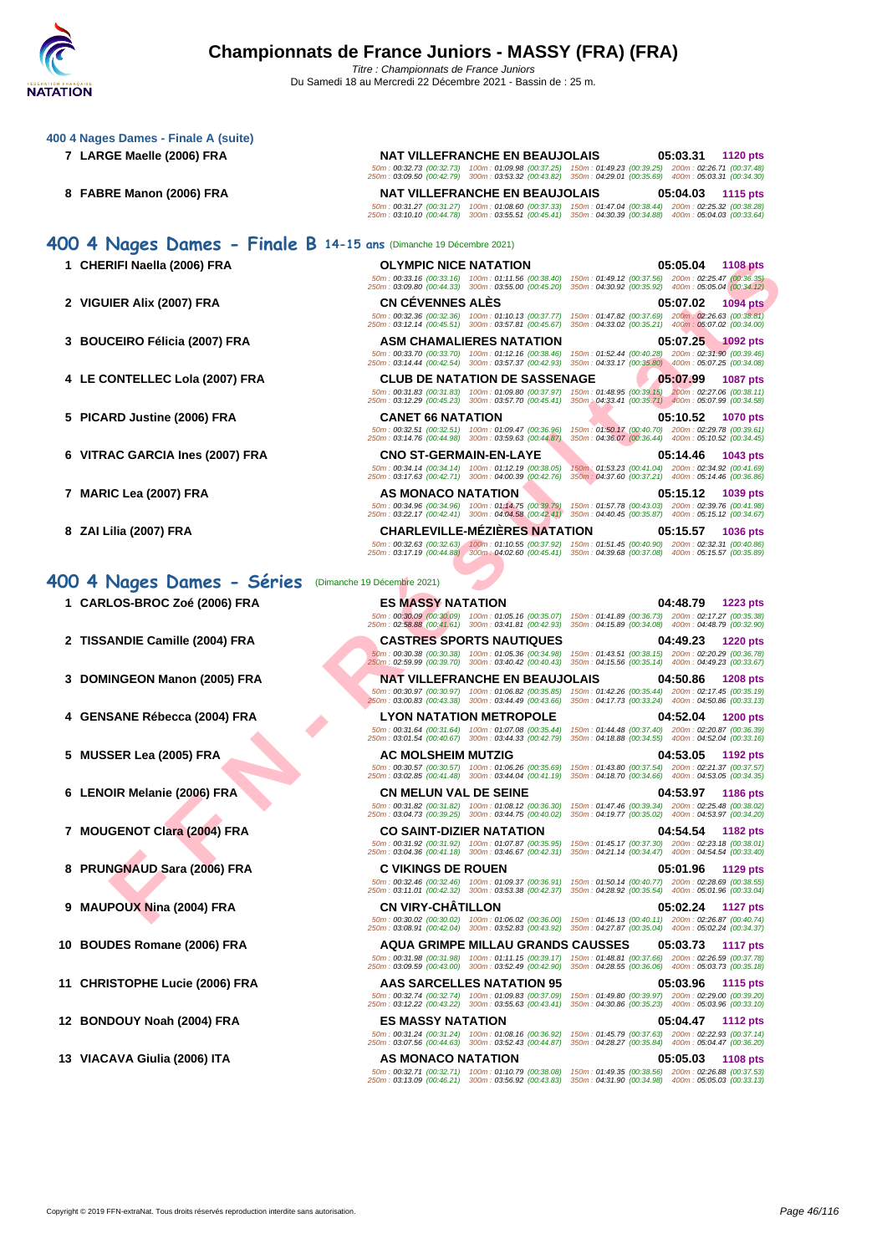#### **[400 4 Nag](http://www.ffnatation.fr/webffn/index.php)es Dames - Finale A (suite)**

- 
- 

## **400 4 Nages Dames - Finale B 14-15 ans** (Dimanche 19 Décembre 2021)

- 
- 
- **3 BOUCEIRO Félicia (2007) FRA ASM CHAMALIERES NATATION 05:07.25 1092 pts**
- **4 LE CONTELLEC Lola (2007) FRA CLUB DE NATATION DE SASSENAGE 05:07.99 1087 pts**
- **5 PICARD Justine (2006) FRA CANET 66 NATATION 05:10.52 1070 pts**
- **6 VITRAC GARCIA Ines (2007) FRA CNO ST-GERMAIN-EN-LAYE 05:14.46 1043 pts**
- 
- 

## **400 4 Nages Dames - Séries** (Dimanche 19 Décembre 2021)

- 
- **2 TISSANDIE Camille (2004) FRA CASTRES SPORTS NAUTIQUES 04:49.23 1220 pts**
- 
- 
- 
- 
- 
- 
- 
- 
- 
- 
- 

**7 LARGE Maelle (2006) FRA NAT VILLEFRANCHE EN BEAUJOLAIS 05:03.31 1120 pts** 50m : 00:32.73 (00:32.73) 100m : 01:09.98 (00:37.25) 150m : 01:49.23 (00:39.25) 200m : 02:26.71 (00:37.48) 250m : 03:09.50 (00:42.79) 300m : 03:53.32 (00:43.82) 350m : 04:29.01 (00:35.69) 400m : 05:03.31 (00:34.30)

**8 FABRE Manon (2006) FRA NAT VILLEFRANCHE EN BEAUJOLAIS 05:04.03 1115 pts** 50m : 00:31.27 (00:31.27) 100m : 01:08.60 (00:37.33) 150m : 01:47.04 (00:38.44) 200m : 02:25.32 (00:38.28) 250m : 03:10.10 (00:44.78) 300m : 03:55.51 (00:45.41) 350m : 04:30.39 (00:34.88) 400m : 05:04.03 (00:33.64)

# **1 CHERIFI Naella (2006) FRA OLYMPIC NICE NATATION 05:05.04 1108 pts** 50m : 00:33.16 (00:33.16) 100m : 01:11.56 (00:38.40) 150m : 01:49.12 (00:37.56) 200m : 02:25.47 (00:36.35) 250m : 03:09.80 (00:44.33) 300m : 03:55.00 (00:45.20) 350m : 04:30.92 (00:35.92) 400m : 05:05.04 (00:34.12)

**2 VIGUIER Alix (2007) FRA CN CÉVENNES ALÈS 05:07.02 1094 pts**

50m : 00:32.36 (00:32.36) 100m : 01:10.13 (00:37.77) 150m : 01:47.82 (00:37.69) 200m : 02:26.63 (00:38.81) 250m : 03:12.14 (00:45.51) 300m : 03:57.81 (00:45.67) 350m : 04:33.02 (00:35.21) 400m : 05:07.02 (00:34.00)

50m : 00:33.70 (00:33.70) 100m : 01:12.16 (00:38.46) 150m : 01:52.44 (00:40.28) 200m : 02:31.90 (00:39.46) 250m : 03:14.44 (00:42.54) 300m : 03:57.37 (00:42.93) 350m : 04:33.17 (00:35.80) 400m : 05:07.25 (00:34.08)

50m : 00:31.83 (00:31.83) 100m : 01:09.80 (00:37.97) 150m : 01:48.95 (00:39.15) 200m : 02:27.06 (00:38.11) 250m : 03:12.29 (00:45.23) 300m : 03:57.70 (00:45.41) 350m : 04:33.41 (00:35.71) 400m : 05:07.99 (00:34.58)

50m : 00:32.51 (00:32.51) 100m : 01:09.47 (00:36.96) 150m : 01:50.17 (00:40.70) 200m : 02:29.78 (00:39.61) 250m : 03:14.76 (00:44.98) 300m : 03:59.63 (00:44.87) 350m : 04:36.07 (00:36.44) 400m : 05:10.52 (00:34.45)

50m : 00:34.14 (00:34.14) 100m : 01:12.19 (00:38.05) 150m : 01:53.23 (00:41.04) 200m : 02:34.92 (00:41.69) 250m : 03:17.63 (00:42.71) 300m : 04:00.39 (00:42.76) 350m : 04:37.60 (00:37.21) 400m : 05:14.46 (00:36.86)

**7 MARIC Lea (2007) FRA AS MONACO NATATION 05:15.12 1039 pts**

50m : 00:34.96 (00:34.96) 100m : 01:14.75 (00:39.79) 150m : 01:57.78 (00:43.03) 200m : 02:39.76 (00:41.98) 250m : 03:22.17 (00:42.41) 300m : 04:04.58 (00:42.41) 350m : 04:40.45 (00:35.87) 400m : 05:15.12 (00:34.67) **8 ZAI Lilia (2007) FRA CHARLEVILLE-MÉZIÈRES NATATION 05:15.57 1036 pts**

50m : 00:30.38 (00:30.38) 100m : 01:05.36 (00:34.98) 150m : 01:43.51 (00:38.15) 200m : 02:20.29 (00:36.78) 250m : 02:59.99 (00:39.70) 300m : 03:40.42 (00:40.43) 350m : 04:15.56 (00:35.14) 400m : 04:49.23 (00:33.67)

50m : 00:30.97 (00:30.97) 100m : 01:06.82 (00:35.85) 150m : 01:42.26 (00:35.44) 200m : 02:17.45 (00:35.19) 250m : 03:00.83 (00:43.38) 300m : 03:44.49 (00:43.66) 350m : 04:17.73 (00:33.24) 400m : 04:50.86 (00:33.13)

50m : 00:32.46 (00:32.46) 100m : 01:09.37 (00:36.91) 150m : 01:50.14 (00:40.77) 200m : 02:28.69 (00:38.55) 250m : 03:11.01 (00:42.32) 300m : 03:53.38 (00:42.37) 350m : 04:28.92 (00:35.54) 400m : 05:01.96 (00:33.04)

**11 CHRISTOPHE Lucie (2006) FRA AAS SARCELLES NATATION 95 05:03.96 1115 pts**

**FIFI NAIS (2006) FRA**<br> **FIFI A LAC (2007) FRA**<br> **FIFI A LAC (2007) FRA**<br> **FIFI A LAC (2007) FRA**<br> **FIFI A LAC (2007) FRA**<br> **FIFI A LAC (2007) FRA**<br> **FIFI A LAC (2007) FRA**<br> **FIFI A LAC (2007) FRA**<br> **FIFI A LAC (2007) FRA** 50m : 00:32.63 (00:32.63) 100m : 01:10.55 (00:37.92) 150m : 01:51.45 (00:40.90) 200m : 02:32.31 (00:40.86) 250m : 03:17.19 (00:44.88) 300m : 04:02.60 (00:45.41) 350m : 04:39.68 (00:37.08) 400m : 05:15.57 (00:35.89) **1 CARLOS-BROC Zoé (2006) FRA ES MASSY NATATION 04:48.79 1223 pts** 50m : 00:30.09 (00:30.09) 100m : 01:05.16 (00:35.07) 150m : 01:41.89 (00:36.73) 200m : 02:17.27 (00:35.38) 250m : 02:58.88 (00:41.61) 300m : 03:41.81 (00:42.93) 350m : 04:15.89 (00:34.08) 400m : 04:48.79 (00:32.90)

50m : 00:31.64 (00:31.64) 100m : 01:07.08 (00:35.44) 150m : 01:44.48 (00:37.40) 200m : 02:20.87 (00:36.39) 250m : 03:01.54 (00:40.67) 300m : 03:44.33 (00:42.79) 350m : 04:18.88 (00:34.55) 400m : 04:52.04 (00:33.16)

50m : 00:30.57 (00:30.57) 100m : 01:06.26 (00:35.69) 150m : 01:43.80 (00:37.54) 200m : 02:21.37 (00:37.57) 250m : 03:02.85 (00:41.48) 300m : 03:44.04 (00:41.19) 350m : 04:18.70 (00:34.66) 400m : 04:53.05 (00:34.35)

50m : 00:31.82 (00:31.82) 100m : 01:08.12 (00:36.30) 150m : 01:47.46 (00:39.34) 200m : 02:25.48 (00:38.02) 250m : 03:04.73 (00:39.25) 300m : 03:44.75 (00:40.02) 350m : 04:19.77 (00:35.02) 400m : 04:53.97 (00:34.20)

50m : 00:31.92 (00:31.92) 100m : 01:07.87 (00:35.95) 150m : 01:45.17 (00:37.30) 200m : 02:23.18 (00:38.01) 250m : 03:04.36 (00:41.18) 300m : 03:46.67 (00:42.31) 350m : 04:21.14 (00:34.47) 400m : 04:54.54 (00:33.40)

**9 MAUPOUX Nina (2004) FRA CN VIRY-CHÂTILLON 05:02.24 1127 pts**

12 BONDOUY Noah (2004) FRA ES MASSY NATATION  $500$ :04.579 (00:36.92) 150m: 01:45.79 (00:37.58) 05:04.47 1112 pts<br>
500m: 03:07.56 (00:44.63) 300m: 03:52.43 (00:44.87) 350m: 04:2827 (00:35.84) 400m: 05:22.43 (00:36.89) 200m

50m : 00:32.71 (00:32.71) 100m : 01:10.79 (00:38.08) 150m : 01:49.35 (00:38.56) 200m : 02:26.88 (00:37.53) 250m : 03:13.09 (00:46.21) 300m : 03:56.92 (00:43.83) 350m : 04:31.90 (00:34.98) 400m : 05:05.03 (00:33.13)

**3 DOMINGEON Manon (2005) FRA NAT VILLEFRANCHE EN BEAUJOLAIS 04:50.86 1208 pts 4 GENSANE Rébecca (2004) FRA LYON NATATION METROPOLE 04:52.04 1200 pts**

**5 MUSSER Lea (2005) FRA AC MOLSHEIM MUTZIG 04:53.05 1192 pts**

**6 LENOIR Melanie (2006) FRA CN MELUN VAL DE SEINE 04:53.97 1186 pts**

**7 MOUGENOT Clara (2004) FRA CO SAINT-DIZIER NATATION 04:54.54 1182 pts**

**8 PRUNGNAUD Sara (2006) FRA C VIKINGS DE ROUEN 05:01.96 1129 pts**

50m : 00:30.02 (00:30.02) 100m : 01:06.02 (00:36.00) 150m : 01:46.13 (00:40.11) 200m : 02:26.87 (00:40.74) 250m : 03:08.91 (00:42.04) 300m : 03:52.83 (00:43.92) 350m : 04:27.87 (00:35.04) 400m : 05:02.24 (00:34.37)

**10 BOUDES Romane (2006) FRA AQUA GRIMPE MILLAU GRANDS CAUSSES 05:03.73 1117 pts**

50m : 00:31.98 (00:31.98) 100m : 01:11.15 (00:39.17) 150m : 01:48.81 (00:37.66) 200m : 02:26.59 (00:37.78) 250m : 03:09.59 (00:43.00) 300m : 03:52.49 (00:42.90) 350m : 04:28.55 (00:36.06) 400m : 05:03.73 (00:35.18)

50m : 00:32.74 (00:32.74) 100m : 01:09.83 (00:37.09) 150m : 01:49.80 (00:39.97) 200m : 02:29.00 (00:39.20) 250m : 03:12.22 (00:43.22) 300m : 03:55.63 (00:43.41) 350m : 04:30.86 (00:35.23) 400m : 05:03.96 (00:33.10)

**13 VIACAVA Giulia (2006) ITA AS MONACO NATATION 05:05.03 1108 pts**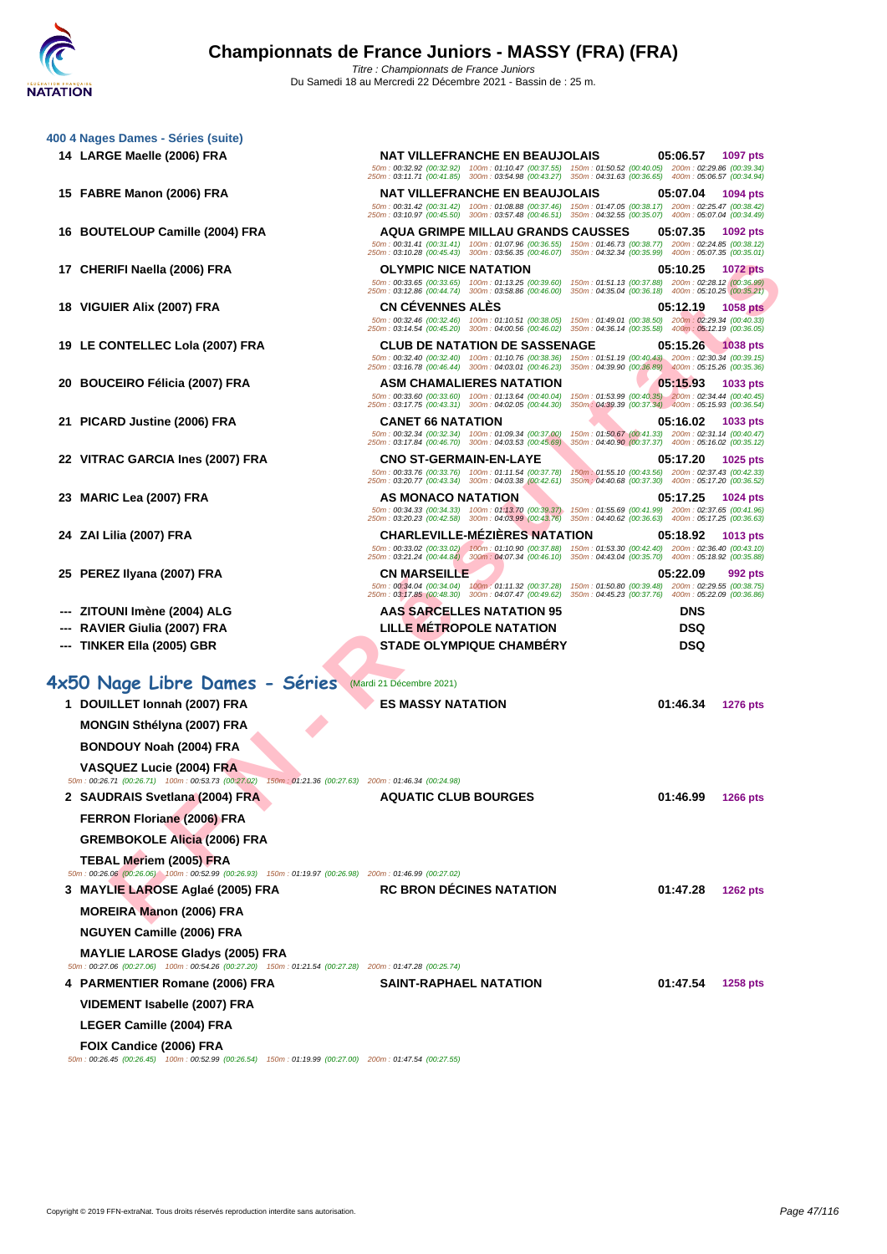|    | 400 4 Nages Dames - Séries (suite)                                                                                                            | <b>NAT VILLEFRANCHE EN BEAUJOLAIS</b>                                                                                                                         | 05:06.57                                                                                                     | 1097 pts                  |
|----|-----------------------------------------------------------------------------------------------------------------------------------------------|---------------------------------------------------------------------------------------------------------------------------------------------------------------|--------------------------------------------------------------------------------------------------------------|---------------------------|
|    | 14 LARGE Maelle (2006) FRA                                                                                                                    | 50m: 00:32.92 (00:32.92) 100m: 01:10.47 (00:37.55) 150m: 01:50.52 (00:40.05) 200m: 02:29.86 (00:39.34)                                                        |                                                                                                              |                           |
|    |                                                                                                                                               | 250m: 03:11.71 (00:41.85) 300m: 03:54.98 (00:43.27) 350m: 04:31.63 (00:36.65) 400m: 05:06.57 (00:34.94)                                                       |                                                                                                              |                           |
|    | 15 FABRE Manon (2006) FRA                                                                                                                     | <b>NAT VILLEFRANCHE EN BEAUJOLAIS</b><br>50m : 00:31.42 (00:31.42) 100m : 01:08.88 (00:37.46) 150m : 01:47.05 (00:38.17) 200m : 02:25.47 (00:38.42)           | 05:07.04                                                                                                     | 1094 pts                  |
|    |                                                                                                                                               | 250m: 03:10.97 (00:45.50) 300m: 03:57.48 (00:46.51) 350m: 04:32.55 (00:35.07) 400m: 05:07.04 (00:34.49)                                                       |                                                                                                              |                           |
|    | 16 BOUTELOUP Camille (2004) FRA                                                                                                               | <b>AQUA GRIMPE MILLAU GRANDS CAUSSES</b><br>50m: 00:31.41 (00:31.41) 100m: 01:07.96 (00:36.55) 150m: 01:46.73 (00:38.77) 200m: 02:24.85 (00:38.12)            | 05:07.35                                                                                                     | 1092 pts                  |
|    |                                                                                                                                               | 250m: 03:10.28 (00:45.43) 300m: 03:56.35 (00:46.07) 350m: 04:32.34 (00:35.99) 400m: 05:07.35 (00:35.01)                                                       |                                                                                                              |                           |
|    | 17 CHERIFI Naella (2006) FRA                                                                                                                  | <b>OLYMPIC NICE NATATION</b><br>50m: 00:33.65 (00:33.65) 100m: 01:13.25 (00:39.60)                                                                            | 05:10.25<br>150m: 01:51.13 (00:37.88) 200m: 02:28.12 (00:36.99)                                              | <b>1072 pts</b>           |
|    |                                                                                                                                               | 250m: 03:12.86 (00:44.74) 300m: 03:58.86 (00:46.00)                                                                                                           | 350m: 04:35.04 (00:36.18) 400m: 05:10.25 (00:35.21)                                                          |                           |
|    | 18 VIGUIER Alix (2007) FRA                                                                                                                    | <b>CN CEVENNES ALES</b><br>50m: 00:32.46 (00:32.46) 100m: 01:10.51 (00:38.05) 150m: 01:49.01 (00:38.50) 200m: 02:29.34 (00:40.33)                             | 05:12.19                                                                                                     | <b>1058 pts</b>           |
|    |                                                                                                                                               | 250m: 03:14.54 (00:45.20) 300m: 04:00.56 (00:46.02)                                                                                                           | 350m: 04:36.14 (00:35.58) 400m: 05:12.19 (00:36.05)                                                          |                           |
|    | 19 LE CONTELLEC Lola (2007) FRA                                                                                                               | <b>CLUB DE NATATION DE SASSENAGE</b><br>50m: 00:32.40 (00:32.40) 100m: 01:10.76 (00:38.36)                                                                    | 05:15.26<br>150m: 01:51.19 (00:40.43) 200m: 02:30.34 (00:39.15)                                              | 1038 pts                  |
|    |                                                                                                                                               | 250m: 03:16.78 (00:46.44) 300m: 04:03.01 (00:46.23)                                                                                                           | 350m : 04:39.90 (00:36.89) 400m : 05:15.26 (00:35.36)                                                        |                           |
| 20 | <b>BOUCEIRO Félicia (2007) FRA</b>                                                                                                            | <b>ASM CHAMALIERES NATATION</b><br>50m: 00:33.60 (00:33.60) 100m: 01:13.64 (00:40.04)                                                                         | 05:15.93<br>150m; 01:53.99 (00:40.35) 200m: 02:34.44 (00:40.45)                                              | <b>1033 pts</b>           |
|    |                                                                                                                                               | 250m: 03:17.75 (00:43.31) 300m: 04:02.05 (00:44.30)                                                                                                           | 350m : 04:39.39 (00:37.34) 400m : 05:15.93 (00:36.54)                                                        |                           |
|    | 21 PICARD Justine (2006) FRA                                                                                                                  | <b>CANET 66 NATATION</b>                                                                                                                                      | 05:16.02                                                                                                     | 1033 pts                  |
|    |                                                                                                                                               | 50m: 00:32.34 (00:32.34) 100m: 01:09.34 (00:37.00)<br>250m: 03:17.84 (00:46.70) 300m: 04:03.53 (00:45.69)                                                     | 150m: 01:50.67 (00:41.33) 200m: 02:31.14 (00:40.47)<br>350m: 04:40.90 (00:37.37) 400m: 05:16.02 (00:35.12)   |                           |
|    | 22 VITRAC GARCIA Ines (2007) FRA                                                                                                              | <b>CNO ST-GERMAIN-EN-LAYE</b>                                                                                                                                 | 05:17.20                                                                                                     | 1025 pts                  |
|    |                                                                                                                                               | 50m: 00:33.76 (00:33.76) 100m: 01:11.54 (00:37.78)<br>250m: 03:20.77 (00:43.34) 300m: 04:03.38 (00:42.61)                                                     | 150m: 01:55.10 (00:43.56) 200m: 02:37.43 (00:42.33)<br>350m : 04:40.68 (00:37.30) 400m : 05:17.20 (00:36.52) |                           |
|    | 23 MARIC Lea (2007) FRA                                                                                                                       | AS MONACO NATATION                                                                                                                                            | 05:17.25                                                                                                     | 1024 pts                  |
|    |                                                                                                                                               | 50m: 00:34.33 (00:34.33) 100m: 01:13.70 (00:39.37)<br>250m: 03:20.23 (00:42.58) 300m: 04:03.99 (00:43.76) 350m: 04:40.62 (00:36.63) 400m: 05:17.25 (00:36.63) | 150m: 01:55.69 (00:41.99) 200m: 02:37.65 (00:41.96)                                                          |                           |
|    | 24 ZAI Lilia (2007) FRA                                                                                                                       | <b>CHARLEVILLE-MEZIERES NATATION</b>                                                                                                                          | 05:18.92                                                                                                     | 1013 pts                  |
|    |                                                                                                                                               | 50m: 00:33.02 (00:33.02) 100m: 01:10.90 (00:37.88) 150m: 01:53.30 (00:42.40) 200m: 02:36.40 (00:43.10)<br>250m: 03:21.24 (00:44.84) 300m: 04:07.34 (00:46.10) | 350m: 04:43.04 (00:35.70) 400m: 05:18.92 (00:35.88)                                                          |                           |
|    | 25 PEREZ Ilyana (2007) FRA                                                                                                                    | <b>CN MARSEILLE</b>                                                                                                                                           | 05:22.09                                                                                                     | 992 pts                   |
|    |                                                                                                                                               | 50m: 00:34.04 (00:34.04) 100m: 01:11.32 (00:37.28)<br>250m: 03:17.85 (00:48.30) 300m: 04:07.47 (00:49.62)                                                     | 150m: 01:50.80 (00:39.48) 200m: 02:29.55 (00:38.75)<br>350m : 04:45.23 (00:37.76)                            | 400m: 05:22.09 (00:36.86) |
|    | ZITOUNI Imène (2004) ALG                                                                                                                      | <b>AAS SARCELLES NATATION 95</b>                                                                                                                              | <b>DNS</b>                                                                                                   |                           |
|    | RAVIER Giulia (2007) FRA                                                                                                                      | <b>LILLE METROPOLE NATATION</b>                                                                                                                               | DSQ                                                                                                          |                           |
|    | --- TINKER Ella (2005) GBR                                                                                                                    | <b>STADE OLYMPIQUE CHAMBERY</b>                                                                                                                               | DSQ                                                                                                          |                           |
|    |                                                                                                                                               |                                                                                                                                                               |                                                                                                              |                           |
|    | 4x50 Nage Libre Dames - Séries Mardi 21 Décembre 2021)                                                                                        |                                                                                                                                                               |                                                                                                              |                           |
|    | 1 DOUILLET Ionnah (2007) FRA                                                                                                                  | <b>ES MASSY NATATION</b>                                                                                                                                      | 01:46.34                                                                                                     | <b>1276 pts</b>           |
|    | MONGIN Sthélyna (2007) FRA                                                                                                                    |                                                                                                                                                               |                                                                                                              |                           |
|    | <b>BONDOUY Noah (2004) FRA</b>                                                                                                                |                                                                                                                                                               |                                                                                                              |                           |
|    |                                                                                                                                               |                                                                                                                                                               |                                                                                                              |                           |
|    | <b>VASQUEZ Lucie (2004) FRA</b><br>50m : 00:26.71 (00:26.71) 100m : 00:53.73 (00:27.02) 150m : 01:21.36 (00:27.63) 200m : 01:46.34 (00:24.98) |                                                                                                                                                               |                                                                                                              |                           |
|    | 2 SAUDRAIS Svetlana (2004) FRA                                                                                                                | <b>AQUATIC CLUB BOURGES</b>                                                                                                                                   | 01:46.99                                                                                                     | <b>1266 pts</b>           |
|    | FERRON Floriane (2006) FRA                                                                                                                    |                                                                                                                                                               |                                                                                                              |                           |
|    |                                                                                                                                               |                                                                                                                                                               |                                                                                                              |                           |
|    | GREMBOKOLE Alicia (2006) FRA                                                                                                                  |                                                                                                                                                               |                                                                                                              |                           |
|    | TEBAL Meriem (2005) FRA<br>50m : 00:26.06 (00:26.06) 100m : 00:52.99 (00:26.93) 150m : 01:19.97 (00:26.98) 200m : 01:46.99 (00:27.02)         |                                                                                                                                                               |                                                                                                              |                           |
|    | 3 MAYLIE LAROSE Aglaé (2005) FRA                                                                                                              | <b>RC BRON DÉCINES NATATION</b>                                                                                                                               | 01:47.28                                                                                                     | <b>1262 pts</b>           |
|    | <b>MOREIRA Manon (2006) FRA</b>                                                                                                               |                                                                                                                                                               |                                                                                                              |                           |
|    | <b>NGUYEN Camille (2006) FRA</b>                                                                                                              |                                                                                                                                                               |                                                                                                              |                           |
|    | <b>MAYLIE LAROSE Gladys (2005) FRA</b>                                                                                                        |                                                                                                                                                               |                                                                                                              |                           |
|    | 50m: 00:27.06 (00:27.06) 100m: 00:54.26 (00:27.20) 150m: 01:21.54 (00:27.28) 200m: 01:47.28 (00:25.74)                                        |                                                                                                                                                               | 01:47.54                                                                                                     |                           |
|    | 4 PARMENTIER Romane (2006) FRA                                                                                                                | <b>SAINT-RAPHAEL NATATION</b>                                                                                                                                 |                                                                                                              | <b>1258 pts</b>           |
|    | VIDEMENT Isabelle (2007) FRA                                                                                                                  |                                                                                                                                                               |                                                                                                              |                           |
|    | LEGER Camille (2004) FRA                                                                                                                      |                                                                                                                                                               |                                                                                                              |                           |
|    |                                                                                                                                               |                                                                                                                                                               |                                                                                                              |                           |
|    | <b>FOIX Candice (2006) FRA</b><br>50m : 00:26.45 (00:26.45) 100m : 00:52.99 (00:26.54) 150m : 01:19.99 (00:27.00) 200m : 01:47.54 (00:27.55)  |                                                                                                                                                               |                                                                                                              |                           |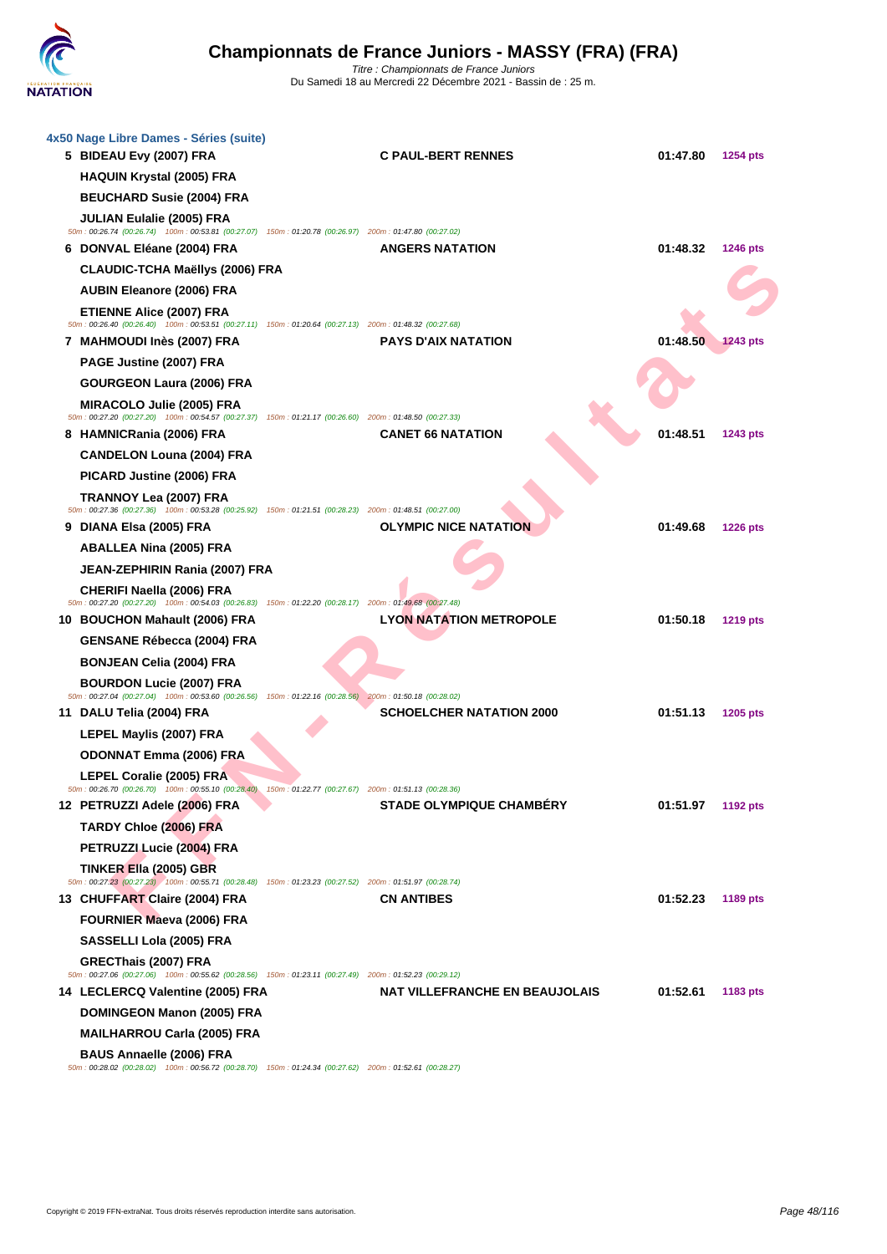

| 4x50 Nage Libre Dames - Séries (suite)<br>5 BIDEAU Evy (2007) FRA                                                                             | <b>C PAUL-BERT RENNES</b>       | 01:47.80<br><b>1254 pts</b> |
|-----------------------------------------------------------------------------------------------------------------------------------------------|---------------------------------|-----------------------------|
| <b>HAQUIN Krystal (2005) FRA</b>                                                                                                              |                                 |                             |
| <b>BEUCHARD Susie (2004) FRA</b>                                                                                                              |                                 |                             |
| <b>JULIAN Eulalie (2005) FRA</b><br>50m: 00:26.74 (00:26.74) 100m: 00:53.81 (00:27.07) 150m: 01:20.78 (00:26.97) 200m: 01:47.80 (00:27.02)    |                                 |                             |
| 6 DONVAL Eléane (2004) FRA                                                                                                                    | <b>ANGERS NATATION</b>          | 01:48.32<br><b>1246 pts</b> |
| CLAUDIC-TCHA Maëllys (2006) FRA                                                                                                               |                                 |                             |
| <b>AUBIN Eleanore (2006) FRA</b>                                                                                                              |                                 |                             |
| <b>ETIENNE Alice (2007) FRA</b><br>50m: 00:26.40 (00:26.40) 100m: 00:53.51 (00:27.11) 150m: 01:20.64 (00:27.13) 200m: 01:48.32 (00:27.68)     |                                 |                             |
| 7 MAHMOUDI Inès (2007) FRA                                                                                                                    | <b>PAYS D'AIX NATATION</b>      | 01:48.50<br><b>1243 pts</b> |
| PAGE Justine (2007) FRA                                                                                                                       |                                 |                             |
| <b>GOURGEON Laura (2006) FRA</b>                                                                                                              |                                 |                             |
| MIRACOLO Julie (2005) FRA<br>50m: 00:27.20 (00:27.20) 100m: 00:54.57 (00:27.37) 150m: 01:21.17 (00:26.60) 200m: 01:48.50 (00:27.33)           |                                 |                             |
| 8 HAMNICRania (2006) FRA                                                                                                                      | <b>CANET 66 NATATION</b>        | 01:48.51<br>1243 pts        |
| <b>CANDELON Louna (2004) FRA</b>                                                                                                              |                                 |                             |
| PICARD Justine (2006) FRA                                                                                                                     |                                 |                             |
| TRANNOY Lea (2007) FRA<br>50m: 00:27.36 (00:27.36) 100m: 00:53.28 (00:25.92) 150m: 01:21.51 (00:28.23) 200m: 01:48.51 (00:27.00)              |                                 |                             |
| 9 DIANA Elsa (2005) FRA                                                                                                                       | <b>OLYMPIC NICE NATATION</b>    | 01:49.68<br><b>1226 pts</b> |
| <b>ABALLEA Nina (2005) FRA</b>                                                                                                                |                                 |                             |
| <b>JEAN-ZEPHIRIN Rania (2007) FRA</b>                                                                                                         |                                 |                             |
| CHERIFI Naella (2006) FRA<br>50m : 00:27.20 (00:27.20) 100m : 00:54.03 (00:26.83) 150m : 01:22.20 (00:28.17) 200m : 01:49.68 (00:27.48)       |                                 |                             |
| 10 BOUCHON Mahault (2006) FRA                                                                                                                 | <b>LYON NATATION METROPOLE</b>  | 01:50.18<br><b>1219 pts</b> |
| <b>GENSANE Rébecca (2004) FRA</b>                                                                                                             |                                 |                             |
| <b>BONJEAN Celia (2004) FRA</b>                                                                                                               |                                 |                             |
| <b>BOURDON Lucie (2007) FRA</b>                                                                                                               |                                 |                             |
| 50m: 00:27.04 (00:27.04) 100m: 00:53.60 (00:26.56) 150m: 01:22.16 (00:28.56) 200m: 01:50.18 (00:28.02)<br>11 DALU Telia (2004) FRA            | <b>SCHOELCHER NATATION 2000</b> | 01:51.13<br>1205 pts        |
| LEPEL Maylis (2007) FRA                                                                                                                       |                                 |                             |
| <b>ODONNAT Emma (2006) FRA</b>                                                                                                                |                                 |                             |
| <b>LEPEL Coralie (2005) FRA</b>                                                                                                               |                                 |                             |
| 50m : 00:26.70 (00:26.70) 100m : 00:55.10 (00:28.40) 150m : 01:22.77 (00:27.67) 200m : 01:51.13 (00:28.36)                                    |                                 |                             |
| 12 PETRUZZI Adele (2006) FRA                                                                                                                  | <b>STADE OLYMPIQUE CHAMBÉRY</b> | 01:51.97<br>1192 pts        |
| TARDY Chloe (2006) FRA                                                                                                                        |                                 |                             |
| PETRUZZI Lucie (2004) FRA                                                                                                                     |                                 |                             |
| <b>TINKER Ella (2005) GBR</b><br>50m: 00:27.23 (00:27.23) 100m: 00:55.71 (00:28.48) 150m: 01:23.23 (00:27.52) 200m: 01:51.97 (00:28.74)       |                                 |                             |
| 13 CHUFFART Claire (2004) FRA                                                                                                                 | <b>CN ANTIBES</b>               | 01:52.23<br>1189 pts        |
| <b>FOURNIER Maeva (2006) FRA</b>                                                                                                              |                                 |                             |
| SASSELLI Lola (2005) FRA                                                                                                                      |                                 |                             |
| GRECThais (2007) FRA<br>50m: 00:27.06 (00:27.06) 100m: 00:55.62 (00:28.56) 150m: 01:23.11 (00:27.49) 200m: 01:52.23 (00:29.12)                |                                 |                             |
| 14 LECLERCQ Valentine (2005) FRA                                                                                                              | NAT VILLEFRANCHE EN BEAUJOLAIS  | 01:52.61<br>1183 pts        |
| <b>DOMINGEON Manon (2005) FRA</b>                                                                                                             |                                 |                             |
| <b>MAILHARROU Carla (2005) FRA</b>                                                                                                            |                                 |                             |
| <b>BAUS Annaelle (2006) FRA</b><br>50m : 00:28.02 (00:28.02) 100m : 00:56.72 (00:28.70) 150m : 01:24.34 (00:27.62) 200m : 01:52.61 (00:28.27) |                                 |                             |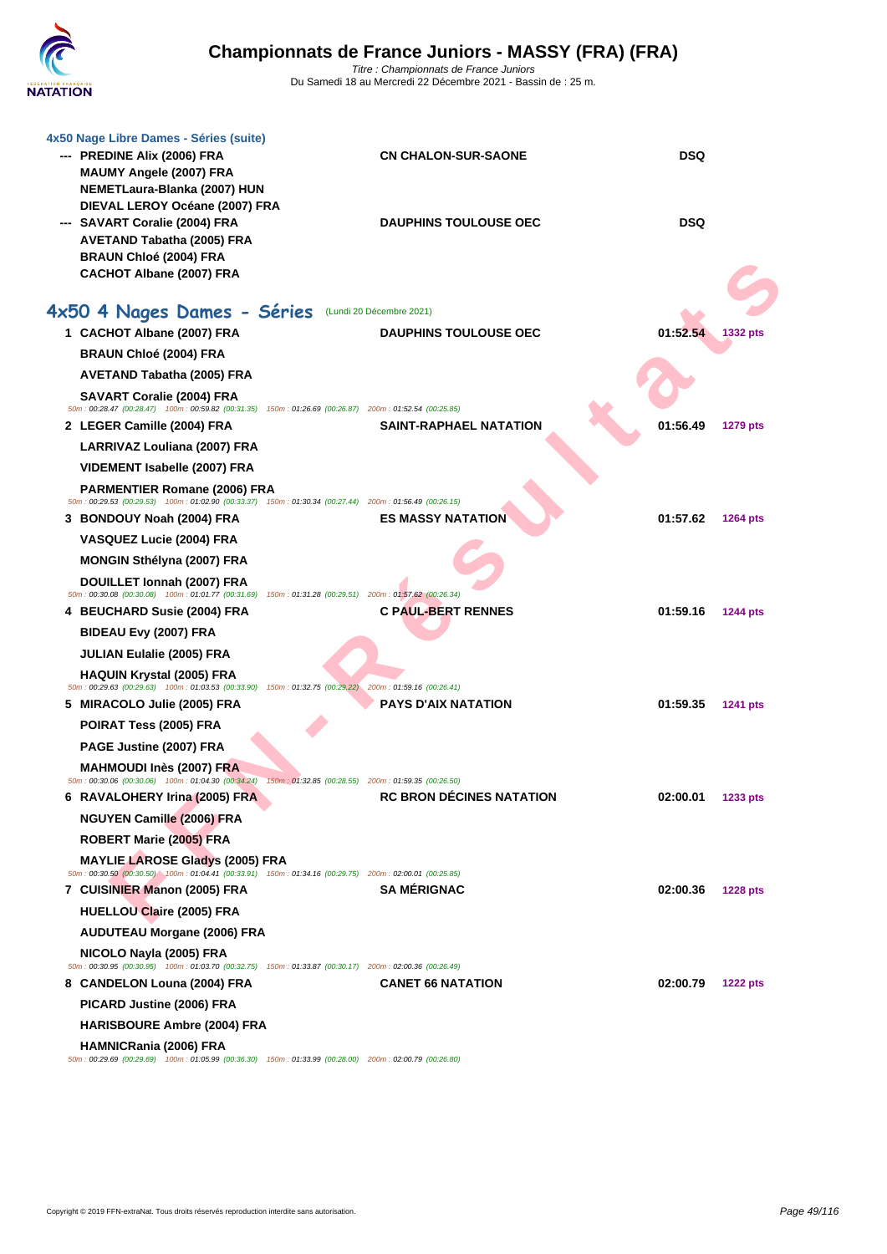| 4x50 Nage Libre Dames - Séries (suite)<br>--- PREDINE Alix (2006) FRA<br>MAUMY Angele (2007) FRA<br>NEMETLaura-Blanka (2007) HUN            | <b>CN CHALON-SUR-SAONE</b>    | <b>DSQ</b>                  |
|---------------------------------------------------------------------------------------------------------------------------------------------|-------------------------------|-----------------------------|
| DIEVAL LEROY Océane (2007) FRA<br>--- SAVART Coralie (2004) FRA<br>AVETAND Tabatha (2005) FRA<br><b>BRAUN Chloé (2004) FRA</b>              | <b>DAUPHINS TOULOUSE OEC</b>  | <b>DSQ</b>                  |
| CACHOT Albane (2007) FRA                                                                                                                    |                               |                             |
| 4x50 4 Nages Dames - Séries (Lundi 20 Décembre 2021)                                                                                        |                               |                             |
| 1 CACHOT Albane (2007) FRA                                                                                                                  | <b>DAUPHINS TOULOUSE OEC</b>  | 01:52.54<br>1332 pts        |
| <b>BRAUN Chloé (2004) FRA</b>                                                                                                               |                               |                             |
| AVETAND Tabatha (2005) FRA                                                                                                                  |                               |                             |
| <b>SAVART Coralie (2004) FRA</b>                                                                                                            |                               |                             |
| 50m: 00:28.47 (00:28.47) 100m: 00:59.82 (00:31.35) 150m: 01:26.69 (00:26.87) 200m: 01:52.54 (00:25.85)<br>2 LEGER Camille (2004) FRA        | <b>SAINT-RAPHAEL NATATION</b> | 01:56.49<br><b>1279 pts</b> |
| LARRIVAZ Louliana (2007) FRA                                                                                                                |                               |                             |
| <b>VIDEMENT Isabelle (2007) FRA</b>                                                                                                         |                               |                             |
| <b>PARMENTIER Romane (2006) FRA</b>                                                                                                         |                               |                             |
| 50m: 00:29.53 (00:29.53) 100m: 01:02.90 (00:33.37) 150m: 01:30.34 (00:27.44) 200m: 01:56.49 (00:26.15)<br>3 BONDOUY Noah (2004) FRA         | <b>ES MASSY NATATION</b>      | 01:57.62<br><b>1264 pts</b> |
| VASQUEZ Lucie (2004) FRA                                                                                                                    |                               |                             |
| <b>MONGIN Sthélyna (2007) FRA</b>                                                                                                           |                               |                             |
| DOUILLET Ionnah (2007) FRA                                                                                                                  |                               |                             |
| 50m : 00:30.08 (00:30.08) 100m : 01:01.77 (00:31.69) 150m : 01:31.28 (00:29.51) 200m : 01:57.62 (00:26.34)                                  |                               |                             |
| 4 BEUCHARD Susie (2004) FRA                                                                                                                 | <b>C PAUL-BERT RENNES</b>     | 01:59.16<br><b>1244 pts</b> |
| BIDEAU Evy (2007) FRA                                                                                                                       |                               |                             |
| <b>JULIAN Eulalie (2005) FRA</b>                                                                                                            |                               |                             |
| <b>HAQUIN Krystal (2005) FRA</b><br>50m: 00:29.63 (00:29.63) 100m: 01:03.53 (00:33.90) 150m: 01:32.75 (00:29.22) 200m: 01:59.16 (00:26.41)  |                               |                             |
| 5 MIRACOLO Julie (2005) FRA                                                                                                                 | <b>PAYS D'AIX NATATION</b>    | 01:59.35<br><b>1241 pts</b> |
| POIRAT Tess (2005) FRA                                                                                                                      |                               |                             |
| PAGE Justine (2007) FRA                                                                                                                     |                               |                             |
| <b>MAHMOUDI Inès (2007) FRA</b><br>50m: 00:30.06 (00:30.06) 100m: 01:04.30 (00:34.24) 150m: 01:32.85 (00:28.55) 200m: 01:59.35 (00:26.50)   |                               |                             |
| 6 RAVALOHERY Irina (2005) FRA                                                                                                               | RC BRON DÉCINES NATATION      | 02:00.01<br>1233 pts        |
| <b>NGUYEN Camille (2006) FRA</b>                                                                                                            |                               |                             |
| ROBERT Marie (2005) FRA                                                                                                                     |                               |                             |
| <b>MAYLIE LAROSE Gladys (2005) FRA</b>                                                                                                      |                               |                             |
| 50m : 00:30.50 (00:30.50) 100m : 01:04.41 (00:33.91) 150m : 01:34.16 (00:29.75) 200m : 02:00.01 (00:25.85)<br>7 CUISINIER Manon (2005) FRA  | <b>SA MERIGNAC</b>            | 02:00.36                    |
| <b>HUELLOU Claire (2005) FRA</b>                                                                                                            |                               | <b>1228 pts</b>             |
| <b>AUDUTEAU Morgane (2006) FRA</b>                                                                                                          |                               |                             |
| NICOLO Nayla (2005) FRA                                                                                                                     |                               |                             |
| 50m: 00:30.95 (00:30.95) 100m: 01:03.70 (00:32.75) 150m: 01:33.87 (00:30.17) 200m: 02:00.36 (00:26.49)                                      |                               |                             |
| 8 CANDELON Louna (2004) FRA                                                                                                                 | <b>CANET 66 NATATION</b>      | 02:00.79<br><b>1222 pts</b> |
| PICARD Justine (2006) FRA                                                                                                                   |                               |                             |
| <b>HARISBOURE Ambre (2004) FRA</b>                                                                                                          |                               |                             |
| <b>HAMNICRania (2006) FRA</b><br>50m : 00:29.69 (00:29.69) 100m : 01:05.99 (00:36.30) 150m : 01:33.99 (00:28.00) 200m : 02:00.79 (00:26.80) |                               |                             |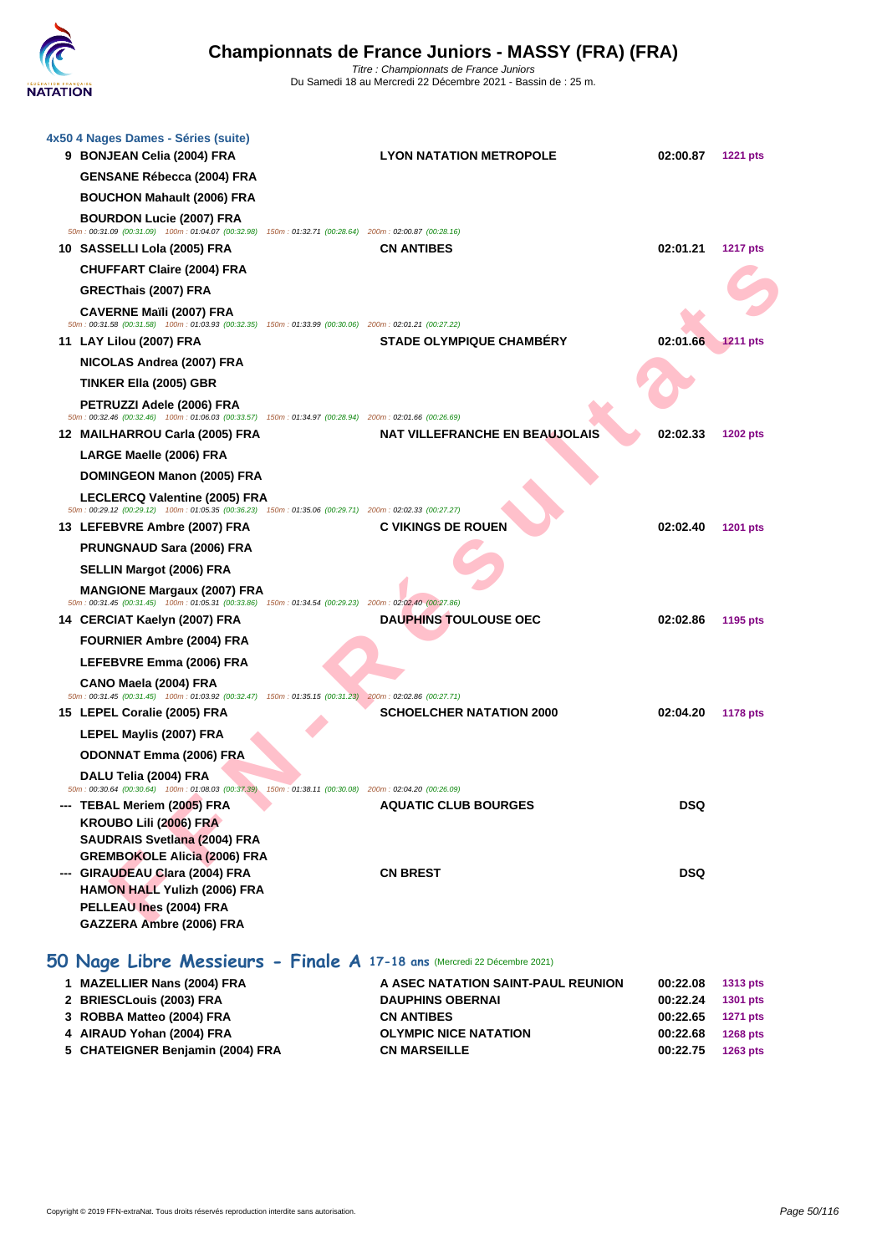

| <b>LYON NATATION METROPOLE</b><br>02:00.87<br>50m: 00:31.09 (00:31.09) 100m: 01:04.07 (00:32.98) 150m: 01:32.71 (00:28.64) 200m: 02:00.87 (00:28.16)<br>02:01.21<br><b>CN ANTIBES</b><br>50m: 00:31.58 (00:31.58) 100m: 01:03.93 (00:32.35) 150m: 01:33.99 (00:30.06) 200m: 02:01.21 (00:27.22)<br><b>STADE OLYMPIQUE CHAMBÉRY</b><br>02:01.66<br>50m : 00:32.46 (00:32.46) 100m : 01:06.03 (00:33.57) 150m : 01:34.97 (00:28.94) 200m : 02:01.66 (00:26.69)<br><b>NAT VILLEFRANCHE EN BEAUJOLAIS</b><br>02:02.33<br>50m: 00:29.12 (00:29.12) 100m: 01:05.35 (00:36.23) 150m: 01:35.06 (00:29.71) 200m: 02:02.33 (00:27.27)<br><b>C VIKINGS DE ROUEN</b><br>02:02.40 | <b>1221 pts</b><br><b>1217 pts</b><br><b>1211 pts</b><br>1202 pts<br><b>1201 pts</b>                                                                                          |
|----------------------------------------------------------------------------------------------------------------------------------------------------------------------------------------------------------------------------------------------------------------------------------------------------------------------------------------------------------------------------------------------------------------------------------------------------------------------------------------------------------------------------------------------------------------------------------------------------------------------------------------------------------------------|-------------------------------------------------------------------------------------------------------------------------------------------------------------------------------|
|                                                                                                                                                                                                                                                                                                                                                                                                                                                                                                                                                                                                                                                                      |                                                                                                                                                                               |
|                                                                                                                                                                                                                                                                                                                                                                                                                                                                                                                                                                                                                                                                      |                                                                                                                                                                               |
|                                                                                                                                                                                                                                                                                                                                                                                                                                                                                                                                                                                                                                                                      |                                                                                                                                                                               |
|                                                                                                                                                                                                                                                                                                                                                                                                                                                                                                                                                                                                                                                                      |                                                                                                                                                                               |
|                                                                                                                                                                                                                                                                                                                                                                                                                                                                                                                                                                                                                                                                      |                                                                                                                                                                               |
|                                                                                                                                                                                                                                                                                                                                                                                                                                                                                                                                                                                                                                                                      |                                                                                                                                                                               |
|                                                                                                                                                                                                                                                                                                                                                                                                                                                                                                                                                                                                                                                                      |                                                                                                                                                                               |
|                                                                                                                                                                                                                                                                                                                                                                                                                                                                                                                                                                                                                                                                      |                                                                                                                                                                               |
|                                                                                                                                                                                                                                                                                                                                                                                                                                                                                                                                                                                                                                                                      |                                                                                                                                                                               |
|                                                                                                                                                                                                                                                                                                                                                                                                                                                                                                                                                                                                                                                                      |                                                                                                                                                                               |
|                                                                                                                                                                                                                                                                                                                                                                                                                                                                                                                                                                                                                                                                      |                                                                                                                                                                               |
|                                                                                                                                                                                                                                                                                                                                                                                                                                                                                                                                                                                                                                                                      |                                                                                                                                                                               |
|                                                                                                                                                                                                                                                                                                                                                                                                                                                                                                                                                                                                                                                                      |                                                                                                                                                                               |
|                                                                                                                                                                                                                                                                                                                                                                                                                                                                                                                                                                                                                                                                      |                                                                                                                                                                               |
|                                                                                                                                                                                                                                                                                                                                                                                                                                                                                                                                                                                                                                                                      |                                                                                                                                                                               |
|                                                                                                                                                                                                                                                                                                                                                                                                                                                                                                                                                                                                                                                                      |                                                                                                                                                                               |
|                                                                                                                                                                                                                                                                                                                                                                                                                                                                                                                                                                                                                                                                      |                                                                                                                                                                               |
|                                                                                                                                                                                                                                                                                                                                                                                                                                                                                                                                                                                                                                                                      |                                                                                                                                                                               |
|                                                                                                                                                                                                                                                                                                                                                                                                                                                                                                                                                                                                                                                                      |                                                                                                                                                                               |
|                                                                                                                                                                                                                                                                                                                                                                                                                                                                                                                                                                                                                                                                      |                                                                                                                                                                               |
| 50m: 00:31.45 (00:31.45) 100m: 01:05.31 (00:33.86) 150m: 01:34.54 (00:29.23) 200m: 02:02.40 (00:27.86)<br><b>DAUPHINS TOULOUSE OEC</b><br>02:02.86                                                                                                                                                                                                                                                                                                                                                                                                                                                                                                                   | 1195 pts                                                                                                                                                                      |
|                                                                                                                                                                                                                                                                                                                                                                                                                                                                                                                                                                                                                                                                      |                                                                                                                                                                               |
|                                                                                                                                                                                                                                                                                                                                                                                                                                                                                                                                                                                                                                                                      |                                                                                                                                                                               |
|                                                                                                                                                                                                                                                                                                                                                                                                                                                                                                                                                                                                                                                                      |                                                                                                                                                                               |
| 50m : 00:31.45 (00:31.45) 100m : 01:03.92 (00:32.47) 150m : 01:35.15 (00:31.23) 200m : 02:02.86 (00:27.71)                                                                                                                                                                                                                                                                                                                                                                                                                                                                                                                                                           |                                                                                                                                                                               |
| <b>SCHOELCHER NATATION 2000</b><br>02:04.20                                                                                                                                                                                                                                                                                                                                                                                                                                                                                                                                                                                                                          | <b>1178 pts</b>                                                                                                                                                               |
|                                                                                                                                                                                                                                                                                                                                                                                                                                                                                                                                                                                                                                                                      |                                                                                                                                                                               |
|                                                                                                                                                                                                                                                                                                                                                                                                                                                                                                                                                                                                                                                                      |                                                                                                                                                                               |
|                                                                                                                                                                                                                                                                                                                                                                                                                                                                                                                                                                                                                                                                      |                                                                                                                                                                               |
|                                                                                                                                                                                                                                                                                                                                                                                                                                                                                                                                                                                                                                                                      |                                                                                                                                                                               |
|                                                                                                                                                                                                                                                                                                                                                                                                                                                                                                                                                                                                                                                                      |                                                                                                                                                                               |
|                                                                                                                                                                                                                                                                                                                                                                                                                                                                                                                                                                                                                                                                      |                                                                                                                                                                               |
|                                                                                                                                                                                                                                                                                                                                                                                                                                                                                                                                                                                                                                                                      |                                                                                                                                                                               |
|                                                                                                                                                                                                                                                                                                                                                                                                                                                                                                                                                                                                                                                                      |                                                                                                                                                                               |
|                                                                                                                                                                                                                                                                                                                                                                                                                                                                                                                                                                                                                                                                      |                                                                                                                                                                               |
|                                                                                                                                                                                                                                                                                                                                                                                                                                                                                                                                                                                                                                                                      |                                                                                                                                                                               |
|                                                                                                                                                                                                                                                                                                                                                                                                                                                                                                                                                                                                                                                                      | 50m: 00:30.64 (00:30.64) 100m: 01:08.03 (00:37.39) 150m: 01:38.11 (00:30.08) 200m: 02:04.20 (00:26.09)<br><b>AQUATIC CLUB BOURGES</b><br>DSQ<br><b>DSQ</b><br><b>CN BREST</b> |

| 1 MAZELLIER Nans (2004) FRA      | A ASEC NATATION SAINT-PAUL REUNION | 00:22.08 | 1313 pts        |
|----------------------------------|------------------------------------|----------|-----------------|
| 2 BRIESCLouis (2003) FRA         | <b>DAUPHINS OBERNAI</b>            | 00:22.24 | 1301 pts        |
| 3 ROBBA Matteo (2004) FRA        | <b>CN ANTIBES</b>                  | 00:22.65 | <b>1271 pts</b> |
| 4 AIRAUD Yohan (2004) FRA        | <b>OLYMPIC NICE NATATION</b>       | 00:22.68 | <b>1268 pts</b> |
| 5 CHATEIGNER Benjamin (2004) FRA | <b>CN MARSEILLE</b>                | 00:22.75 | 1263 pts        |
|                                  |                                    |          |                 |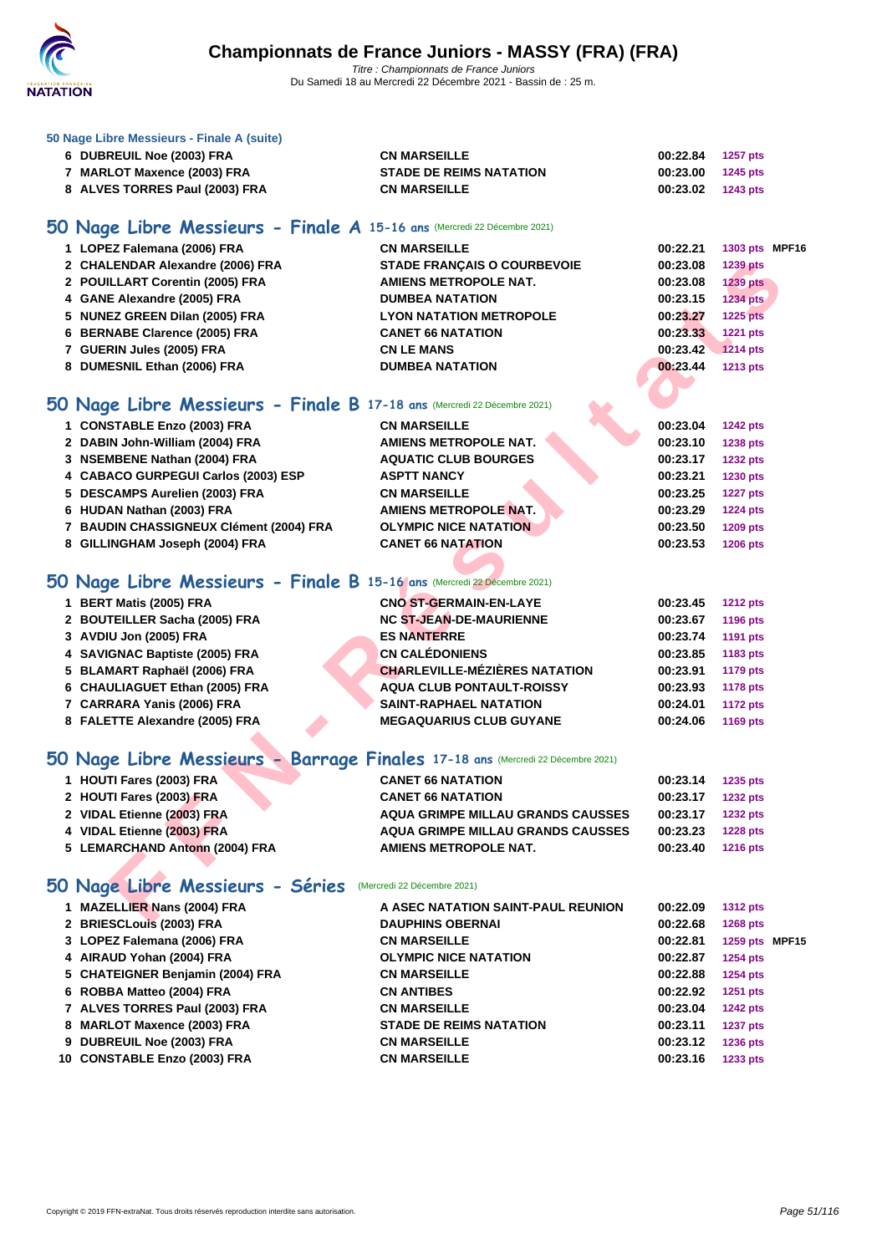

#### **[50 Nage L](http://www.ffnatation.fr/webffn/index.php)ibre Messieurs - Finale A (suite)**

| 6 DUBREUIL Noe (2003) FRA        | <b>CN MARSEILLE</b>            | 00:22.84          | 1257 pts |
|----------------------------------|--------------------------------|-------------------|----------|
| <b>MARLOT Maxence (2003) FRA</b> | <b>STADE DE REIMS NATATION</b> | 00:23.00 1245 pts |          |
| 8 ALVES TORRES Paul (2003) FRA   | <b>CN MARSEILLE</b>            | 00:23.02 1243 pts |          |

# **50 Nage Libre Messieurs - Finale A 15-16 ans** (Mercredi 22 Décembre 2021)

| 1 LOPEZ Falemana (2006) FRA      | <b>CN MARSEILLE</b>                | 00:22.21<br>1303 pts MPF16  |
|----------------------------------|------------------------------------|-----------------------------|
| 2 CHALENDAR Alexandre (2006) FRA | <b>STADE FRANCAIS O COURBEVOIE</b> | 00:23.08<br><b>1239 pts</b> |
| 2 POUILLART Corentin (2005) FRA  | AMIENS METROPOLE NAT.              | 00:23.08<br><b>1239 pts</b> |
| 4 GANE Alexandre (2005) FRA      | <b>DUMBEA NATATION</b>             | 00:23.15<br><b>1234 pts</b> |
| 5 NUNEZ GREEN Dilan (2005) FRA   | <b>LYON NATATION METROPOLE</b>     | 00:23.27<br><b>1225 pts</b> |
| 6 BERNABE Clarence (2005) FRA    | <b>CANET 66 NATATION</b>           | <b>1221 pts</b><br>00:23.33 |
| 7 GUERIN Jules (2005) FRA        | <b>CN LE MANS</b>                  | 00:23.42<br><b>1214 pts</b> |
| 8 DUMESNIL Ethan (2006) FRA      | <b>DUMBEA NATATION</b>             | <b>1213 pts</b><br>00:23.44 |

# **50 Nage Libre Messieurs - Finale B 17-18 ans** (Mercredi 22 Décembre 2021)

| 2 CHALENDAR Alexandre (2006) FRA                                               | <b>STADE FRANÇAIS O COURBEVOIE</b>       | 00:23.08 | <b>1239 pts</b> |
|--------------------------------------------------------------------------------|------------------------------------------|----------|-----------------|
| 2 POUILLART Corentin (2005) FRA                                                | <b>AMIENS METROPOLE NAT.</b>             | 00:23.08 | <b>1239 pts</b> |
| 4 GANE Alexandre (2005) FRA                                                    | <b>DUMBEA NATATION</b>                   | 00:23.15 | <b>1234 pts</b> |
| 5 NUNEZ GREEN Dilan (2005) FRA                                                 | <b>LYON NATATION METROPOLE</b>           | 00:23.27 | <b>1225 pts</b> |
| 6 BERNABE Clarence (2005) FRA                                                  | <b>CANET 66 NATATION</b>                 | 00:23.33 | <b>1221 pts</b> |
| 7 GUERIN Jules (2005) FRA                                                      | <b>CN LE MANS</b>                        | 00:23.42 | <b>1214 pts</b> |
| 8 DUMESNIL Ethan (2006) FRA                                                    | <b>DUMBEA NATATION</b>                   | 00:23.44 | <b>1213 pts</b> |
|                                                                                |                                          |          |                 |
| O Nage Libre Messieurs - Finale B 17-18 ans (Mercredi 22 Décembre 2021)        |                                          |          |                 |
| 1 CONSTABLE Enzo (2003) FRA                                                    | <b>CN MARSEILLE</b>                      | 00:23.04 | <b>1242 pts</b> |
| 2 DABIN John-William (2004) FRA                                                | <b>AMIENS METROPOLE NAT.</b>             | 00:23.10 | <b>1238 pts</b> |
| 3 NSEMBENE Nathan (2004) FRA                                                   | <b>AQUATIC CLUB BOURGES</b>              | 00:23.17 | <b>1232 pts</b> |
| 4 CABACO GURPEGUI Carlos (2003) ESP                                            | <b>ASPTT NANCY</b>                       | 00:23.21 | 1230 pts        |
| 5 DESCAMPS Aurelien (2003) FRA                                                 | <b>CN MARSEILLE</b>                      | 00:23.25 | <b>1227 pts</b> |
| 6 HUDAN Nathan (2003) FRA                                                      | <b>AMIENS METROPOLE NAT.</b>             | 00:23.29 | <b>1224 pts</b> |
| 7 BAUDIN CHASSIGNEUX Clément (2004) FRA                                        | <b>OLYMPIC NICE NATATION</b>             | 00:23.50 | 1209 pts        |
| 8 GILLINGHAM Joseph (2004) FRA                                                 | <b>CANET 66 NATATION</b>                 | 00:23.53 | <b>1206 pts</b> |
|                                                                                |                                          |          |                 |
| O Nage Libre Messieurs - Finale B 15-16 ans (Mercredi 22 Décembre 2021)        |                                          |          |                 |
| 1 BERT Matis (2005) FRA                                                        | <b>CNO ST-GERMAIN-EN-LAYE</b>            | 00:23.45 | <b>1212 pts</b> |
| 2 BOUTEILLER Sacha (2005) FRA                                                  | <b>NC ST-JEAN-DE-MAURIENNE</b>           | 00:23.67 | 1196 pts        |
| 3 AVDIU Jon (2005) FRA                                                         | <b>ES NANTERRE</b>                       | 00:23.74 | 1191 pts        |
| 4 SAVIGNAC Baptiste (2005) FRA                                                 | <b>CN CALÉDONIENS</b>                    | 00:23.85 | 1183 pts        |
| 5 BLAMART Raphaël (2006) FRA                                                   | <b>CHARLEVILLE-MÉZIÈRES NATATION</b>     | 00:23.91 | <b>1179 pts</b> |
| 6 CHAULIAGUET Ethan (2005) FRA                                                 | <b>AQUA CLUB PONTAULT-ROISSY</b>         | 00:23.93 | <b>1178 pts</b> |
| 7 CARRARA Yanis (2006) FRA                                                     | SAINT-RAPHAEL NATATION                   | 00:24.01 | <b>1172 pts</b> |
| 8 FALETTE Alexandre (2005) FRA                                                 | <b>MEGAQUARIUS CLUB GUYANE</b>           | 00:24.06 | 1169 pts        |
|                                                                                |                                          |          |                 |
| O Nage Libre Messieurs - Barrage Finales 17-18 ans (Mercredi 22 Décembre 2021) |                                          |          |                 |
| 1 HOUTI Fares (2003) FRA                                                       | <b>CANET 66 NATATION</b>                 | 00:23.14 | 1235 pts        |
| 2 HOUTI Fares (2003) FRA                                                       | <b>CANET 66 NATATION</b>                 | 00:23.17 | <b>1232 pts</b> |
| 2 VIDAL Etienne (2003) FRA                                                     | <b>AQUA GRIMPE MILLAU GRANDS CAUSSES</b> | 00:23.17 | <b>1232 pts</b> |
| 4 VIDAL Etienne (2003) FRA                                                     | <b>AQUA GRIMPE MILLAU GRANDS CAUSSES</b> | 00:23.23 | <b>1228 pts</b> |
| 5 LEMARCHAND Antonn (2004) FRA                                                 | <b>AMIENS METROPOLE NAT.</b>             | 00:23.40 | 1216 pts        |
|                                                                                |                                          |          |                 |
| 0 Nage Libre Messieurs - Séries                                                | (Mercredi 22 Décembre 2021)              |          |                 |
| 1 MAZELLIER Nans (2004) FRA                                                    | A ASEC NATATION SAINT-PAUL REUNION       | 00:22.09 | <b>1312 pts</b> |
|                                                                                | <b>DAUDURIC ODEDNAL</b>                  | 00.226   | $4000 - 4$      |

# **50 Nage Libre Messieurs - Finale B 15-16 ans** (Mercredi 22 Décembre 2021)

| 1 BERT Matis (2005) FRA        | <b>CNO ST-GERMAIN-EN-LAYE</b>        | 00:23.45 | <b>1212 pts</b> |
|--------------------------------|--------------------------------------|----------|-----------------|
| 2 BOUTEILLER Sacha (2005) FRA  | <b>NC ST-JEAN-DE-MAURIENNE</b>       | 00:23.67 | 1196 pts        |
| 3 AVDIU Jon (2005) FRA         | <b>ES NANTERRE</b>                   | 00:23.74 | 1191 pts        |
| 4 SAVIGNAC Baptiste (2005) FRA | <b>CN CALÉDONIENS</b>                | 00:23.85 | 1183 pts        |
| 5 BLAMART Raphaël (2006) FRA   | <b>CHARLEVILLE-MÉZIÈRES NATATION</b> | 00:23.91 | 1179 pts        |
| 6 CHAULIAGUET Ethan (2005) FRA | AQUA CLUB PONTAULT-ROISSY            | 00:23.93 | 1178 pts        |
| 7 CARRARA Yanis (2006) FRA     | <b>SAINT-RAPHAEL NATATION</b>        | 00:24.01 | <b>1172 pts</b> |
| 8 FALETTE Alexandre (2005) FRA | <b>MEGAQUARIUS CLUB GUYANE</b>       | 00:24.06 | 1169 pts        |

# **50 Nage Libre Messieurs - Barrage Finales 17-18 ans** (Mercredi 22 Décembre 2021)

| 1 HOUTI Fares (2003) FRA       | <b>CANET 66 NATATION</b>                 | 00:23.14 | 1235 pts        |
|--------------------------------|------------------------------------------|----------|-----------------|
| 2 HOUTI Fares (2003) FRA       | <b>CANET 66 NATATION</b>                 | 00:23.17 | 1232 pts        |
| 2 VIDAL Etienne (2003) FRA     | <b>AQUA GRIMPE MILLAU GRANDS CAUSSES</b> | 00:23.17 | <b>1232 pts</b> |
| 4 VIDAL Etienne (2003) FRA     | <b>AQUA GRIMPE MILLAU GRANDS CAUSSES</b> | 00:23.23 | <b>1228 pts</b> |
| 5 LEMARCHAND Antonn (2004) FRA | AMIENS METROPOLE NAT.                    | 00:23.40 | <b>1216 pts</b> |
|                                |                                          |          |                 |

# **50 Nage Libre Messieurs - Séries** (Mercredi 22 Décembre 2021)

| 1 MAZELLIER Nans (2004) FRA      | A ASEC NATATION SAINT-PAUL REUNION | 00:22.09 | <b>1312 pts</b> |  |
|----------------------------------|------------------------------------|----------|-----------------|--|
| 2 BRIESCLouis (2003) FRA         | <b>DAUPHINS OBERNAI</b>            | 00:22.68 | <b>1268 pts</b> |  |
| 3 LOPEZ Falemana (2006) FRA      | <b>CN MARSEILLE</b>                | 00:22.81 | 1259 pts MPF15  |  |
| 4 AIRAUD Yohan (2004) FRA        | <b>OLYMPIC NICE NATATION</b>       | 00:22.87 | <b>1254 pts</b> |  |
| 5 CHATEIGNER Benjamin (2004) FRA | <b>CN MARSEILLE</b>                | 00:22.88 | <b>1254 pts</b> |  |
| 6 ROBBA Matteo (2004) FRA        | <b>CN ANTIBES</b>                  | 00:22.92 | <b>1251 pts</b> |  |
| 7 ALVES TORRES Paul (2003) FRA   | <b>CN MARSEILLE</b>                | 00:23.04 | <b>1242 pts</b> |  |
| 8 MARLOT Maxence (2003) FRA      | <b>STADE DE REIMS NATATION</b>     | 00:23.11 | <b>1237 pts</b> |  |
| 9 DUBREUIL Noe (2003) FRA        | <b>CN MARSEILLE</b>                | 00:23.12 | <b>1236 pts</b> |  |
| 10 CONSTABLE Enzo (2003) FRA     | <b>CN MARSEILLE</b>                | 00:23.16 | <b>1233 pts</b> |  |
|                                  |                                    |          |                 |  |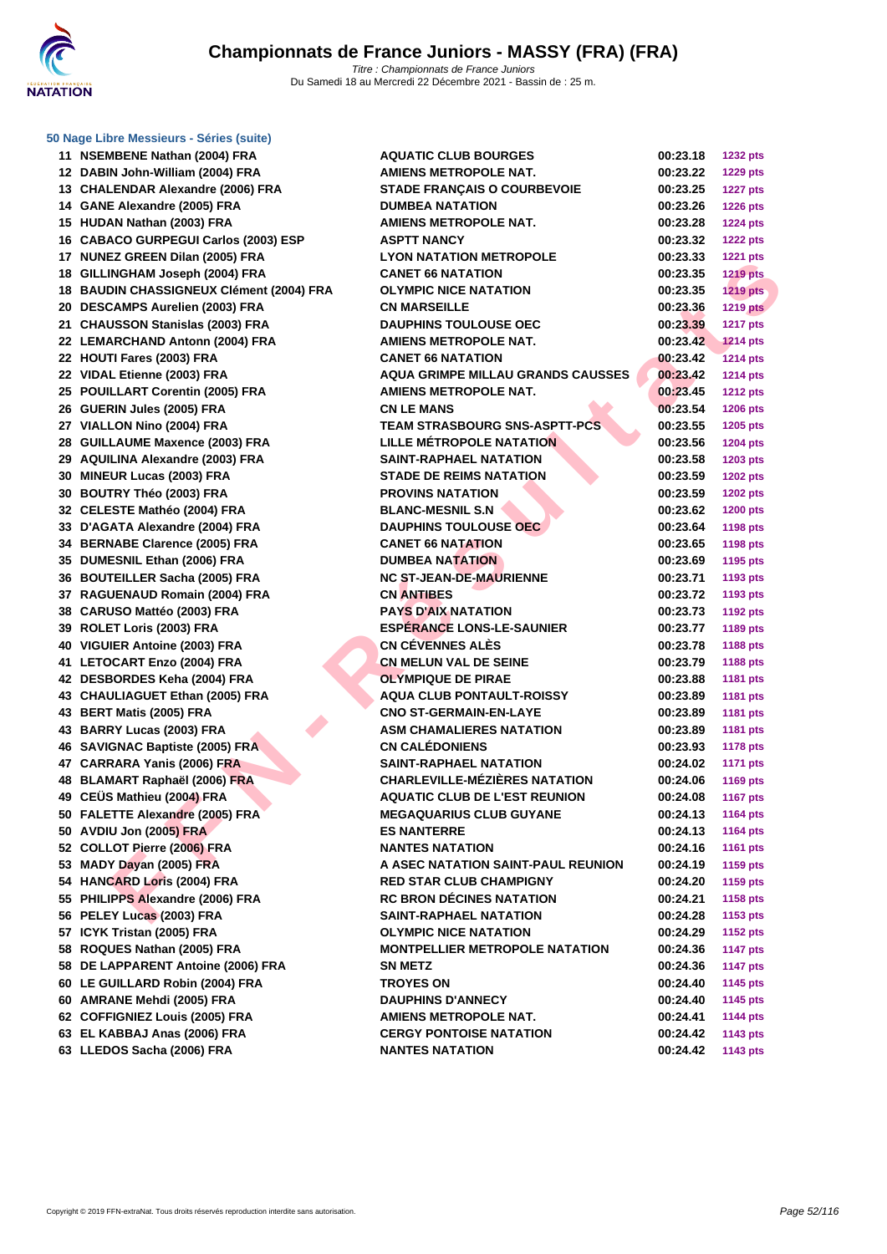

|  | 50 Nage Libre Messieurs - Séries (suite) |  |  |
|--|------------------------------------------|--|--|
|  |                                          |  |  |

| 11 | <b>NSEMBENE Nathan (2004) FRA</b>            | Α |
|----|----------------------------------------------|---|
| 12 | DABIN John-William (2004) FRA                | Α |
|    | 13 CHALENDAR Alexandre (2006) FRA            | S |
|    | 14 GANE Alexandre (2005) FRA                 | D |
|    | 15 HUDAN Nathan (2003) FRA                   | A |
|    | 16 CABACO GURPEGUI Carlos (2003) ESP         | Α |
| 17 | <b>NUNEZ GREEN Dilan (2005) FRA</b>          | L |
| 18 | GILLINGHAM Joseph (2004) FRA                 | C |
| 18 | <b>BAUDIN CHASSIGNEUX Clément (2004) FRA</b> | C |
|    | 20 DESCAMPS Aurelien (2003) FRA              | C |
|    | 21 CHAUSSON Stanislas (2003) FRA             | D |
|    | 22 LEMARCHAND Antonn (2004) FRA              | Α |
|    | 22 HOUTI Fares (2003) FRA                    | C |
|    | 22 VIDAL Etienne (2003) FRA                  | A |
|    | 25 POUILLART Corentin (2005) FRA             | Α |
|    | 26 GUERIN Jules (2005) FRA                   | C |
|    | 27 VIALLON Nino (2004) FRA                   | Т |
| 28 | <b>GUILLAUME Maxence (2003) FRA</b>          | L |
| 29 | <b>AQUILINA Alexandre (2003) FRA</b>         | s |
| 30 | <b>MINEUR Lucas (2003) FRA</b>               | s |
|    | 30 BOUTRY Théo (2003) FRA                    | Р |
|    | 32 CELESTE Mathéo (2004) FRA                 | в |
|    | 33 D'AGATA Alexandre (2004) FRA              | D |
|    | 34 BERNABE Clarence (2005) FRA               | C |
|    | 35 DUMESNIL Ethan (2006) FRA                 | D |
|    | 36 BOUTEILLER Sacha (2005) FRA               | N |
| 37 | RAGUENAUD Romain (2004) FRA                  | C |
| 38 | <b>CARUSO Mattéo (2003) FRA</b>              | Р |
|    | 39 ROLET Loris (2003) FRA                    | E |
|    | 40 VIGUIER Antoine (2003) FRA                | C |
|    | 41 LETOCART Enzo (2004) FRA                  | C |
|    | 42 DESBORDES Keha (2004) FRA                 | C |
|    | 43 CHAULIAGUET Ethan (2005) FRA              | Α |
|    | 43 BERT Matis (2005) FRA                     | C |
|    | 43 BARRY Lucas (2003) FRA                    | Α |
| 46 | <b>SAVIGNAC Baptiste (2005) FRA</b>          | C |
|    | 47 CARRARA Yanis (2006) FRA                  | S |
|    | 48 BLAMART Raphaël (2006) FRA                | C |
|    | 49 CEUS Mathieu (2004) FRA                   | Α |
| 50 | <b>FALETTE Alexandre (2005) FRA</b>          | N |
|    | 50 AVDIU Jon (2005) FRA                      | Е |
|    | 52 COLLOT Pierre (2006) FRA                  | N |
|    | 53 MADY Dayan (2005) FRA                     | Α |
| 54 | <b>HANCARD Loris (2004) FRA</b>              | R |
| 55 | PHILIPPS Alexandre (2006) FRA                | R |
| 56 | PELEY Lucas (2003) FRA                       | s |
| 57 | ICYK Tristan (2005) FRA                      | C |
| 58 | ROQUES Nathan (2005) FRA                     | N |
| 58 | DE LAPPARENT Antoine (2006) FRA              | s |
|    | 60 LE GUILLARD Robin (2004) FRA              | Т |
|    | 60 AMRANE Mehdi (2005) FRA                   | D |
|    | 62 COFFIGNIEZ Louis (2005) FRA               | Α |
|    | 63 EL KABBAJ Anas (2006) FRA                 | C |
| 63 | LLEDOS Sacha (2006) FRA                      | N |
|    |                                              |   |

| 11 NSEMBENE Nathan (2004) FRA            | <b>AQUATIC CLUB BOURGES</b>           | 00:23.18          | <b>1232 pts</b> |
|------------------------------------------|---------------------------------------|-------------------|-----------------|
| 12 DABIN John-William (2004) FRA         | <b>AMIENS METROPOLE NAT.</b>          | 00:23.22          | <b>1229 pts</b> |
| 13 CHALENDAR Alexandre (2006) FRA        | <b>STADE FRANÇAIS O COURBEVOIE</b>    | 00:23.25          | <b>1227 pts</b> |
| 14 GANE Alexandre (2005) FRA             | <b>DUMBEA NATATION</b>                | 00:23.26          | <b>1226 pts</b> |
| 15 HUDAN Nathan (2003) FRA               | <b>AMIENS METROPOLE NAT.</b>          | 00:23.28          | <b>1224 pts</b> |
| 16 CABACO GURPEGUI Carlos (2003) ESP     | <b>ASPTT NANCY</b>                    | 00:23.32          | <b>1222 pts</b> |
| 17 NUNEZ GREEN Dilan (2005) FRA          | <b>LYON NATATION METROPOLE</b>        | 00:23.33          | <b>1221 pts</b> |
| 18 GILLINGHAM Joseph (2004) FRA          | <b>CANET 66 NATATION</b>              | 00:23.35          | <b>1219 pts</b> |
| 18 BAUDIN CHASSIGNEUX Clément (2004) FRA | <b>OLYMPIC NICE NATATION</b>          | 00:23.35          | <b>1219 pts</b> |
| 20 DESCAMPS Aurelien (2003) FRA          | <b>CN MARSEILLE</b>                   | 00:23.36          | <b>1219 pts</b> |
| 21 CHAUSSON Stanislas (2003) FRA         | <b>DAUPHINS TOULOUSE OEC</b>          | 00:23.39          | <b>1217 pts</b> |
| 22 LEMARCHAND Antonn (2004) FRA          | <b>AMIENS METROPOLE NAT.</b>          | 00:23.42          | <b>1214 pts</b> |
| 22 HOUTI Fares (2003) FRA                | <b>CANET 66 NATATION</b>              | 00:23.42          | <b>1214 pts</b> |
| 22 VIDAL Etienne (2003) FRA              | AQUA GRIMPE MILLAU GRANDS CAUSSES     | 00:23.42          | <b>1214 pts</b> |
| 25 POUILLART Corentin (2005) FRA         | <b>AMIENS METROPOLE NAT.</b>          | 00:23.45          | <b>1212 pts</b> |
| 26 GUERIN Jules (2005) FRA               | <b>CN LE MANS</b>                     | 00:23.54          | <b>1206 pts</b> |
| 27 VIALLON Nino (2004) FRA               | <b>TEAM STRASBOURG SNS-ASPTT-PCS</b>  | 00:23.55          | 1205 pts        |
| 28 GUILLAUME Maxence (2003) FRA          | <b>LILLE MÉTROPOLE NATATION</b>       | 00:23.56          | <b>1204 pts</b> |
| 29 AQUILINA Alexandre (2003) FRA         | SAINT-RAPHAEL NATATION                | 00:23.58          | 1203 pts        |
| 30 MINEUR Lucas (2003) FRA               | <b>STADE DE REIMS NATATION</b>        | 00:23.59          | <b>1202 pts</b> |
| 30 BOUTRY Théo (2003) FRA                | <b>PROVINS NATATION</b>               | 00:23.59          | <b>1202 pts</b> |
| 32 CELESTE Mathéo (2004) FRA             | <b>BLANC-MESNIL S.N</b>               | 00:23.62          | <b>1200 pts</b> |
| 33 D'AGATA Alexandre (2004) FRA          | <b>DAUPHINS TOULOUSE OEC</b>          | 00:23.64          | <b>1198 pts</b> |
| 34 BERNABE Clarence (2005) FRA           | <b>CANET 66 NATATION</b>              | 00:23.65          | <b>1198 pts</b> |
| 35 DUMESNIL Ethan (2006) FRA             | <b>DUMBEA NATATION</b>                | 00:23.69          | 1195 pts        |
| 36 BOUTEILLER Sacha (2005) FRA           | <b>NC ST-JEAN-DE-MAURIENNE</b>        | 00:23.71          | 1193 pts        |
| 37 RAGUENAUD Romain (2004) FRA           | <b>CN ANTIBES</b>                     | 00:23.72          | 1193 pts        |
| 38 CARUSO Mattéo (2003) FRA              | <b>PAYS D'AIX NATATION</b>            | 00:23.73          | <b>1192 pts</b> |
| 39 ROLET Loris (2003) FRA                | <b>ESPERANCE LONS-LE-SAUNIER</b>      | 00:23.77          | 1189 pts        |
| 40 VIGUIER Antoine (2003) FRA            | <b>CN CEVENNES ALES</b>               | 00:23.78          | <b>1188 pts</b> |
| 41 LETOCART Enzo (2004) FRA              | <b>CN MELUN VAL DE SEINE</b>          | 00:23.79          | 1188 pts        |
| 42 DESBORDES Keha (2004) FRA             | <b>OLYMPIQUE DE PIRAE</b>             | 00:23.88          | 1181 pts        |
| 43 CHAULIAGUET Ethan (2005) FRA          | <b>AQUA CLUB PONTAULT-ROISSY</b>      | 00:23.89          | 1181 pts        |
| 43 BERT Matis (2005) FRA                 | <b>CNO ST-GERMAIN-EN-LAYE</b>         | 00:23.89          | 1181 pts        |
| 43 BARRY Lucas (2003) FRA                | <b>ASM CHAMALIERES NATATION</b>       | 00:23.89          | 1181 pts        |
| 46 SAVIGNAC Baptiste (2005) FRA          | <b>CN CALÉDONIENS</b>                 | 00:23.93          | <b>1178 pts</b> |
| 47 CARRARA Yanis (2006) FRA              | <b>SAINT-RAPHAEL NATATION</b>         | 00:24.02          | <b>1171 pts</b> |
| 48 BLAMART Raphaël (2006) FRA            | <b>CHARLEVILLE-MÉZIÈRES NATATION</b>  | 00:24.06          | <b>1169 pts</b> |
| 49 CEÜS Mathieu (2004) FRA               | <b>AQUATIC CLUB DE L'EST REUNION</b>  | 00:24.08          | <b>1167 pts</b> |
| 50 FALETTE Alexandre (2005) FRA          | <b>MEGAQUARIUS CLUB GUYANE</b>        | 00:24.13          | 1164 pts        |
| 50 AVDIU Jon (2005) FRA                  | <b>ES NANTERRE</b>                    | 00:24.13 1164 pts |                 |
| 52 COLLOT Pierre (2006) FRA              | <b>NANTES NATATION</b>                | 00:24.16          | 1161 pts        |
| 53 MADY Dayan (2005) FRA                 | A ASEC NATATION SAINT-PAUL REUNION    | 00:24.19          | 1159 pts        |
| 54 HANCARD Loris (2004) FRA              | <b>RED STAR CLUB CHAMPIGNY</b>        | 00:24.20          | 1159 pts        |
| 55 PHILIPPS Alexandre (2006) FRA         | <b>RC BRON DÉCINES NATATION</b>       | 00:24.21          | 1158 pts        |
| 56 PELEY Lucas (2003) FRA                | SAINT-RAPHAEL NATATION                | 00:24.28          | 1153 pts        |
| 57 ICYK Tristan (2005) FRA               | <b>OLYMPIC NICE NATATION</b>          | 00:24.29          | <b>1152 pts</b> |
| 58 ROQUES Nathan (2005) FRA              | <b>MONTPELLIER METROPOLE NATATION</b> | 00:24.36          | <b>1147 pts</b> |
| 58 DE LAPPARENT Antoine (2006) FRA       | SN METZ                               | 00:24.36          | <b>1147 pts</b> |
| 60 LE GUILLARD Robin (2004) FRA          | <b>TROYES ON</b>                      | 00:24.40          | 1145 pts        |
| 60 AMRANE Mehdi (2005) FRA               | <b>DAUPHINS D'ANNECY</b>              | 00:24.40          | 1145 pts        |
| 62 COFFIGNIEZ Louis (2005) FRA           | <b>AMIENS METROPOLE NAT.</b>          | 00:24.41          | <b>1144 pts</b> |
| 63 EL KABBAJ Anas (2006) FRA             | <b>CERGY PONTOISE NATATION</b>        | 00:24.42          | <b>1143 pts</b> |
| 63 LLEDOS Sacha (2006) FRA               | <b>NANTES NATATION</b>                | 00:24.42 1143 pts |                 |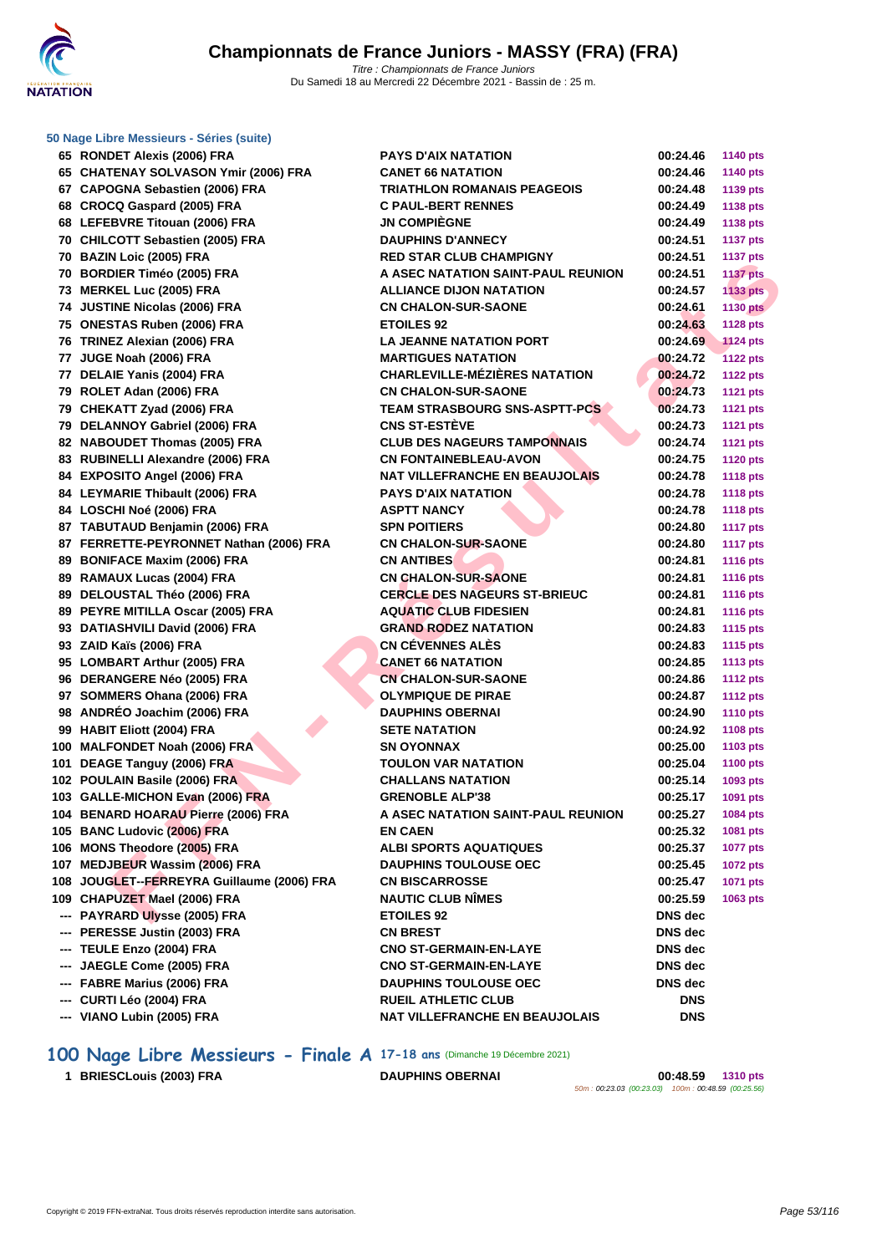

|     | 65 RONDET Alexis (2006) FRA                | <b>PAYS D'AIX NATATION</b>            | 00:24.46   | <b>1140 pts</b> |
|-----|--------------------------------------------|---------------------------------------|------------|-----------------|
|     | 65 CHATENAY SOLVASON Ymir (2006) FRA       | <b>CANET 66 NATATION</b>              | 00:24.46   | <b>1140 pts</b> |
|     | 67 CAPOGNA Sebastien (2006) FRA            | <b>TRIATHLON ROMANAIS PEAGEOIS</b>    | 00:24.48   | 1139 pts        |
|     | 68 CROCQ Gaspard (2005) FRA                | <b>C PAUL-BERT RENNES</b>             | 00:24.49   | 1138 pts        |
|     | 68 LEFEBVRE Titouan (2006) FRA             | <b>JN COMPIÈGNE</b>                   | 00:24.49   | <b>1138 pts</b> |
|     | 70 CHILCOTT Sebastien (2005) FRA           | <b>DAUPHINS D'ANNECY</b>              | 00:24.51   | <b>1137 pts</b> |
|     | 70 BAZIN Loic (2005) FRA                   | <b>RED STAR CLUB CHAMPIGNY</b>        | 00:24.51   | <b>1137 pts</b> |
|     | 70 BORDIER Timéo (2005) FRA                | A ASEC NATATION SAINT-PAUL REUNION    | 00:24.51   | <b>1137 pts</b> |
|     | 73 MERKEL Luc (2005) FRA                   | <b>ALLIANCE DIJON NATATION</b>        | 00:24.57   | 1133 pts        |
|     | 74 JUSTINE Nicolas (2006) FRA              | <b>CN CHALON-SUR-SAONE</b>            | 00:24.61   | <b>1130 pts</b> |
|     | 75 ONESTAS Ruben (2006) FRA                | <b>ETOILES 92</b>                     | 00:24.63   | <b>1128 pts</b> |
|     | 76 TRINEZ Alexian (2006) FRA               | <b>LA JEANNE NATATION PORT</b>        | 00:24.69   | <b>1124 pts</b> |
|     | 77 JUGE Noah (2006) FRA                    | <b>MARTIGUES NATATION</b>             | 00:24.72   | <b>1122 pts</b> |
|     | 77 DELAIE Yanis (2004) FRA                 | <b>CHARLEVILLE-MÉZIÈRES NATATION</b>  | 00:24.72   | <b>1122 pts</b> |
|     | 79 ROLET Adan (2006) FRA                   | <b>CN CHALON-SUR-SAONE</b>            | 00:24.73   | <b>1121 pts</b> |
|     | 79 CHEKATT Zyad (2006) FRA                 | <b>TEAM STRASBOURG SNS-ASPTT-PCS</b>  | 00:24.73   | <b>1121 pts</b> |
|     | 79 DELANNOY Gabriel (2006) FRA             | <b>CNS ST-ESTÈVE</b>                  | 00:24.73   | <b>1121 pts</b> |
|     | 82 NABOUDET Thomas (2005) FRA              | <b>CLUB DES NAGEURS TAMPONNAIS</b>    | 00:24.74   | <b>1121 pts</b> |
|     | 83 RUBINELLI Alexandre (2006) FRA          | <b>CN FONTAINEBLEAU-AVON</b>          | 00:24.75   | <b>1120 pts</b> |
|     | 84 EXPOSITO Angel (2006) FRA               | <b>NAT VILLEFRANCHE EN BEAUJOLAIS</b> | 00:24.78   | <b>1118 pts</b> |
|     | 84 LEYMARIE Thibault (2006) FRA            | <b>PAYS D'AIX NATATION</b>            | 00:24.78   | <b>1118 pts</b> |
|     | 84 LOSCHI Noé (2006) FRA                   | <b>ASPTT NANCY</b>                    | 00:24.78   | <b>1118 pts</b> |
|     | 87 TABUTAUD Benjamin (2006) FRA            | <b>SPN POITIERS</b>                   | 00:24.80   | <b>1117 pts</b> |
|     | 87 FERRETTE-PEYRONNET Nathan (2006) FRA    | <b>CN CHALON-SUR-SAONE</b>            | 00:24.80   | <b>1117 pts</b> |
|     | 89 BONIFACE Maxim (2006) FRA               | <b>CN ANTIBES</b>                     | 00:24.81   | <b>1116 pts</b> |
|     | 89 RAMAUX Lucas (2004) FRA                 | <b>CN CHALON-SUR-SAONE</b>            | 00:24.81   | <b>1116 pts</b> |
|     | 89 DELOUSTAL Théo (2006) FRA               | <b>CERCLE DES NAGEURS ST-BRIEUC</b>   | 00:24.81   | <b>1116 pts</b> |
|     | 89 PEYRE MITILLA Oscar (2005) FRA          | <b>AQUATIC CLUB FIDESIEN</b>          | 00:24.81   | <b>1116 pts</b> |
|     | 93 DATIASHVILI David (2006) FRA            | <b>GRAND RODEZ NATATION</b>           | 00:24.83   | <b>1115 pts</b> |
|     | 93 ZAID Kaïs (2006) FRA                    | <b>CN CÉVENNES ALÈS</b>               | 00:24.83   | <b>1115 pts</b> |
|     | 95 LOMBART Arthur (2005) FRA               | <b>CANET 66 NATATION</b>              | 00:24.85   | <b>1113 pts</b> |
|     | 96 DERANGERE Néo (2005) FRA                | <b>CN CHALON-SUR-SAONE</b>            | 00:24.86   | <b>1112 pts</b> |
|     | 97 SOMMERS Ohana (2006) FRA                | <b>OLYMPIQUE DE PIRAE</b>             | 00:24.87   | <b>1112 pts</b> |
|     | 98 ANDRÉO Joachim (2006) FRA               | <b>DAUPHINS OBERNAI</b>               | 00:24.90   | <b>1110 pts</b> |
|     | 99 HABIT Eliott (2004) FRA                 | <b>SETE NATATION</b>                  | 00:24.92   | <b>1108 pts</b> |
|     | 100 MALFONDET Noah (2006) FRA              | <b>SN OYONNAX</b>                     | 00:25.00   | 1103 pts        |
|     | 101 DEAGE Tanguy (2006) FRA                | <b>TOULON VAR NATATION</b>            | 00:25.04   | <b>1100 pts</b> |
|     | 102 POULAIN Basile (2006) FRA              | <b>CHALLANS NATATION</b>              | 00:25.14   | 1093 pts        |
|     | 103 GALLE-MICHON Evan (2006) FRA           | <b>GRENOBLE ALP'38</b>                | 00:25.17   | 1091 pts        |
|     | 104 BENARD HOARAU Pierre (2006) FRA        | A ASEC NATATION SAINT-PAUL REUNION    | 00:25.27   | 1084 pts        |
|     | 105 BANC Ludovic (2006) FRA                | <b>EN CAEN</b>                        | 00:25.32   | 1081 pts        |
|     | 106 MONS Theodore (2005) FRA               | <b>ALBI SPORTS AQUATIQUES</b>         | 00:25.37   | <b>1077 pts</b> |
|     | 107 MEDJBEUR Wassim (2006) FRA             | <b>DAUPHINS TOULOUSE OEC</b>          | 00:25.45   | <b>1072 pts</b> |
|     | 108 JOUGLET--FERREYRA Guillaume (2006) FRA | <b>CN BISCARROSSE</b>                 | 00:25.47   | <b>1071 pts</b> |
|     | 109 CHAPUZET Mael (2006) FRA               | <b>NAUTIC CLUB NIMES</b>              | 00:25.59   | 1063 pts        |
|     | --- PAYRARD Ulysse (2005) FRA              | <b>ETOILES 92</b>                     | DNS dec    |                 |
|     | --- PERESSE Justin (2003) FRA              | <b>CN BREST</b>                       | DNS dec    |                 |
|     | --- TEULE Enzo (2004) FRA                  | <b>CNO ST-GERMAIN-EN-LAYE</b>         | DNS dec    |                 |
|     | JAEGLE Come (2005) FRA                     | <b>CNO ST-GERMAIN-EN-LAYE</b>         | DNS dec    |                 |
| --- | FABRE Marius (2006) FRA                    | <b>DAUPHINS TOULOUSE OEC</b>          | DNS dec    |                 |
| --- | CURTI Léo (2004) FRA                       | <b>RUEIL ATHLETIC CLUB</b>            | <b>DNS</b> |                 |
|     | --- VIANO Lubin (2005) FRA                 | NAT VILLEFRANCHE EN BEAUJOLAIS        | <b>DNS</b> |                 |
|     |                                            |                                       |            |                 |

**100 Nage Libre Messieurs - Finale A 17-18 ans (Dimanche 19 Décembre 2021)**<br>1 BRIESCLouis (2003) FRA DAUPHINS OBERNAI

**BRIESCLouis (2003) FRA DAUPHINS OBERNAI 00:48.59 1310 pts**

50m : 00:23.03 (00:23.03) 100m : 00:48.59 (00:25.56)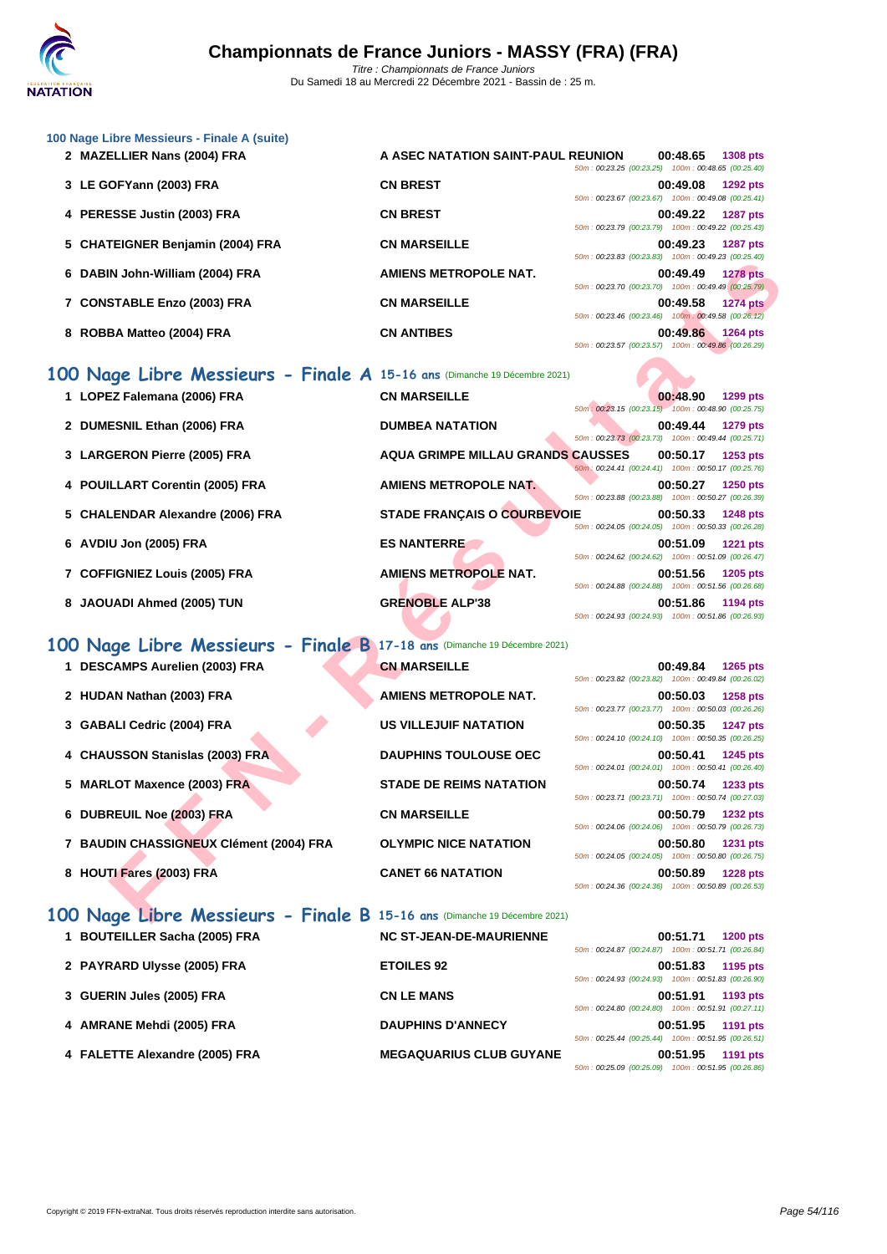| 2 MAZELLIER Nans (2004) FRA         | A ASEC NATATION SAINT-PAUL REUNION |                                                    | 00:48.65 | <b>1308 pts</b> |
|-------------------------------------|------------------------------------|----------------------------------------------------|----------|-----------------|
|                                     |                                    | 50m: 00:23.25 (00:23.25) 100m: 00:48.65 (00:25.40) |          |                 |
| 3 LE GOFYann (2003) FRA             | <b>CN BREST</b>                    |                                                    | 00:49.08 | 1292 pts        |
|                                     |                                    | 50m: 00:23.67 (00:23.67) 100m: 00:49.08 (00:25.41) |          |                 |
| 4 PERESSE Justin (2003) FRA         | <b>CN BREST</b>                    |                                                    | 00:49.22 | <b>1287 pts</b> |
|                                     |                                    | 50m: 00:23.79 (00:23.79) 100m: 00:49.22 (00:25.43) |          |                 |
| 5 CHATEIGNER Benjamin (2004) FRA    | <b>CN MARSEILLE</b>                |                                                    | 00:49.23 | <b>1287 pts</b> |
|                                     |                                    | 50m: 00:23.83 (00:23.83) 100m: 00:49.23 (00:25.40) |          |                 |
| DABIN John-William (2004) FRA<br>6. | AMIENS METROPOLE NAT.              |                                                    | 00:49.49 | <b>1278 pts</b> |
|                                     |                                    | 50m: 00:23.70 (00:23.70) 100m: 00:49.49 (00:25.79) |          |                 |
| 7 CONSTABLE Enzo (2003) FRA         | <b>CN MARSEILLE</b>                |                                                    | 00:49.58 | <b>1274 pts</b> |
|                                     |                                    | 50m: 00:23.46 (00:23.46) 100m: 00:49.58 (00:26.12) |          |                 |
| ROBBA Matteo (2004) FRA<br>8        | <b>CN ANTIBES</b>                  |                                                    | 00:49.86 | <b>1264 pts</b> |
|                                     |                                    | 50m: 00:23.57 (00:23.57) 100m: 00:49.86 (00:26.29) |          |                 |

|  |  |  |  |  |  |  | 100 Nage Libre Messieurs - Finale A 15-16 ans (Dimanche 19 Décembre 2021) |  |
|--|--|--|--|--|--|--|---------------------------------------------------------------------------|--|
|--|--|--|--|--|--|--|---------------------------------------------------------------------------|--|

|                                                                          |                                    | JUINT. UU. LU.UU (UU. LU.UU)                                                                             |          | 100111.00.45.20.100.20.401 |
|--------------------------------------------------------------------------|------------------------------------|----------------------------------------------------------------------------------------------------------|----------|----------------------------|
| 6 DABIN John-William (2004) FRA                                          | <b>AMIENS METROPOLE NAT.</b>       | 50m: 00:23.70 (00:23.70) 100m: 00:49.49 (00:25.79)                                                       | 00:49.49 | <b>1278 pts</b>            |
| 7 CONSTABLE Enzo (2003) FRA                                              | <b>CN MARSEILLE</b>                | 50m: 00:23.46 (00:23.46) 100m: 00:49.58 (00:26.12)                                                       | 00:49.58 | <b>1274 pts</b>            |
| 8 ROBBA Matteo (2004) FRA                                                | <b>CN ANTIBES</b>                  | 50m: 00:23.57 (00:23.57) 100m: 00:49.86 (00:26.29)                                                       | 00:49.86 | 1264 pts                   |
| 00 Nage Libre Messieurs - Finale A 15-16 ans (Dimanche 19 Décembre 2021) |                                    |                                                                                                          |          |                            |
| 1 LOPEZ Falemana (2006) FRA                                              | <b>CN MARSEILLE</b>                | 50m: 00:23.15 (00:23.15) 100m: 00:48.90 (00:25.75)                                                       | 00:48.90 | <b>1299 pts</b>            |
| 2 DUMESNIL Ethan (2006) FRA                                              | <b>DUMBEA NATATION</b>             | 50m: 00:23.73 (00:23.73) 100m: 00:49.44 (00:25.71)                                                       | 00:49.44 | <b>1279 pts</b>            |
| 3 LARGERON Pierre (2005) FRA                                             | AQUA GRIMPE MILLAU GRANDS CAUSSES  | 50m: 00:24.41 (00:24.41) 100m: 00:50.17 (00:25.76)                                                       | 00:50.17 | 1253 pts                   |
| 4 POUILLART Corentin (2005) FRA                                          | <b>AMIENS METROPOLE NAT.</b>       | 50m: 00:23.88 (00:23.88) 100m: 00:50.27 (00:26.39)                                                       | 00:50.27 | <b>1250 pts</b>            |
| 5 CHALENDAR Alexandre (2006) FRA                                         | <b>STADE FRANÇAIS O COURBEVOIE</b> | 50m: 00:24.05 (00:24.05) 100m: 00:50.33 (00:26.28)                                                       | 00:50.33 | <b>1248 pts</b>            |
| 6 AVDIU Jon (2005) FRA                                                   | <b>ES NANTERRE</b>                 | 50m: 00:24.62 (00:24.62) 100m: 00:51.09 (00:26.47)                                                       | 00:51.09 | <b>1221 pts</b>            |
| 7 COFFIGNIEZ Louis (2005) FRA                                            | <b>AMIENS METROPOLE NAT.</b>       |                                                                                                          | 00:51.56 | 1205 pts                   |
| 8 JAOUADI Ahmed (2005) TUN                                               | <b>GRENOBLE ALP'38</b>             | 50m: 00:24.88 (00:24.88) 100m: 00:51.56 (00:26.68)<br>50m: 00:24.93 (00:24.93) 100m: 00:51.86 (00:26.93) | 00:51.86 | 1194 pts                   |
| 00 Nage Libre Messieurs - Finale B 17-18 ans (Dimanche 19 Décembre 2021) |                                    |                                                                                                          |          |                            |
| 1 DESCAMPS Aurelien (2003) FRA                                           | <b>CN MARSEILLE</b>                | 50m: 00:23.82 (00:23.82) 100m: 00:49.84 (00:26.02)                                                       | 00:49.84 | 1265 pts                   |
| 2 HUDAN Nathan (2003) FRA                                                | <b>AMIENS METROPOLE NAT.</b>       | 50m: 00:23.77 (00:23.77) 100m: 00:50.03 (00:26.26)                                                       | 00:50.03 | <b>1258 pts</b>            |
| 3 GABALI Cedric (2004) FRA                                               | <b>US VILLEJUIF NATATION</b>       | 50m: 00:24.10 (00:24.10) 100m: 00:50.35 (00:26.25)                                                       | 00:50.35 | <b>1247 pts</b>            |
| 4 CHAUSSON Stanislas (2003) FRA                                          | <b>DAUPHINS TOULOUSE OEC</b>       | 50m: 00:24.01 (00:24.01) 100m: 00:50.41 (00:26.40)                                                       | 00:50.41 | 1245 pts                   |
| 5 MARLOT Maxence (2003) FRA                                              | <b>STADE DE REIMS NATATION</b>     | 50m: 00:23.71 (00:23.71) 100m: 00:50.74 (00:27.03)                                                       | 00:50.74 | 1233 pts                   |
| 6 DUBREUIL Noe (2003) FRA                                                | <b>CN MARSEILLE</b>                |                                                                                                          | 00:50.79 | <b>1232 pts</b>            |
| 7 BAUDIN CHASSIGNEUX Clément (2004) FRA                                  | <b>OLYMPIC NICE NATATION</b>       | 50m: 00:24.06 (00:24.06) 100m: 00:50.79 (00:26.73)<br>50m: 00:24.05 (00:24.05) 100m: 00:50.80 (00:26.75) | 00:50.80 | <b>1231 pts</b>            |
| 8 HOUTI Fares (2003) FRA                                                 | <b>CANET 66 NATATION</b>           | 50m: 00:24.36 (00:24.36) 100m: 00:50.89 (00:26.53)                                                       | 00:50.89 | <b>1228 pts</b>            |
| 00 Nage Libre Messieurs - Finale B 15-16 ans (Dimanche 19 Décembre 2021) |                                    |                                                                                                          |          |                            |

# **100 Nage Libre Messieurs - Finale B 17-18 ans** (Dimanche 19 Décembre 2021)

- **1 DESCAMPS** Aurelien (2003) FRA
- **2 HUDAN Nathan (2003) FRA AMIENS METROPOLE NAT.**
- **3 GABALI Cedric (2004) FRA**
- **4 CHAUSSON Stanislas (2003) FRA**
- **5 MARLOT Maxence (2003) FRA**
- **6 DUBREUIL Noe (2003) FRA**
- **7 BAUDIN CHASSIGNEUX Clément (2004) FRA**
- **8 HOUTI Fares (2003) FRA**

| US VILLEJUIF NATATION          |
|--------------------------------|
| <b>DAUPHINS TOULOUSE OEC</b>   |
| <b>STADE DE REIMS NATATION</b> |
| <b>CN MARSEILLE</b>            |
| <b>OLYMPIC NICE NATATION</b>   |
| <b>CANET 66 NATATION</b>       |
|                                |

| 00:49.84 1265 pts<br>50m: 00:23.82 (00:23.82) 100m: 00:49.84 (00:26.02) |
|-------------------------------------------------------------------------|
| 00:50.03 1258 pts<br>50m: 00:23.77 (00:23.77) 100m: 00:50.03 (00:26.26) |
| 00:50.35 1247 pts<br>50m: 00:24.10 (00:24.10) 100m: 00:50.35 (00:26.25) |
| 00:50.41 1245 pts<br>50m: 00:24.01 (00:24.01) 100m: 00:50.41 (00:26.40) |
| 00:50.74 1233 pts<br>50m: 00:23.71 (00:23.71) 100m: 00:50.74 (00:27.03) |
| 00:50.79 1232 pts<br>50m: 00:24.06 (00:24.06) 100m: 00:50.79 (00:26.73) |
| 00:50.80 1231 pts<br>50m: 00:24.05 (00:24.05) 100m: 00:50.80 (00:26.75) |
| 00:50.89 1228 pts<br>50m: 00:24.36 (00:24.36) 100m: 00:50.89 (00:26.53) |

| 100 Nage Libre Messieurs - Finale B 15-16 ans (Dimanche 19 Décembre 2021) |                                |                                                                                   |
|---------------------------------------------------------------------------|--------------------------------|-----------------------------------------------------------------------------------|
| <b>BOUTEILLER Sacha (2005) FRA</b>                                        | <b>NC ST-JEAN-DE-MAURIENNE</b> | 00:51.71<br><b>1200 pts</b><br>50m: 00:24.87 (00:24.87) 100m: 00:51.71 (00:26.84) |
| 2 PAYRARD Ulysse (2005) FRA                                               | <b>ETOILES 92</b>              | 00:51.83<br>1195 pts<br>50m: 00:24.93 (00:24.93) 100m: 00:51.83 (00:26.90)        |
| 3 GUERIN Jules (2005) FRA                                                 | <b>CN LE MANS</b>              | 00:51.91<br>1193 pts<br>50m: 00:24.80 (00:24.80) 100m: 00:51.91 (00:27.11)        |
| AMRANE Mehdi (2005) FRA<br>4                                              | <b>DAUPHINS D'ANNECY</b>       | 00:51.95<br>1191 pts<br>50m: 00:25.44 (00:25.44) 100m: 00:51.95 (00:26.51)        |
| 4 FALETTE Alexandre (2005) FRA                                            | <b>MEGAQUARIUS CLUB GUYANE</b> | 00:51.95<br>1191 pts<br>50m: 00:25.09 (00:25.09) 100m: 00:51.95 (00:26.86)        |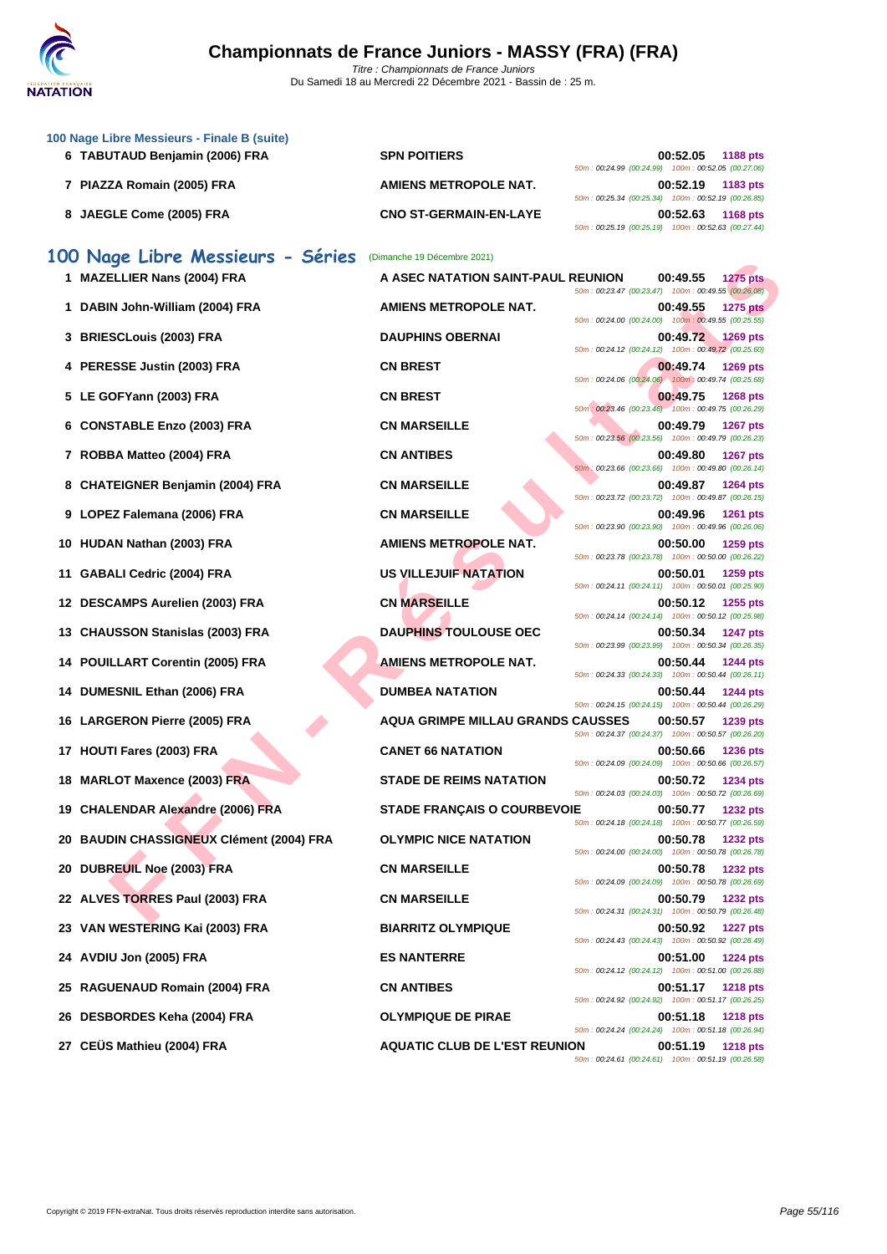

| 100 Nage Libre Messieurs - Finale B (suite)<br>6 TABUTAUD Benjamin (2006) FRA | <b>SPN POITIERS</b>                      | 00:52.05                                                                                                             | <b>1188 pts</b> |
|-------------------------------------------------------------------------------|------------------------------------------|----------------------------------------------------------------------------------------------------------------------|-----------------|
| 7 PIAZZA Romain (2005) FRA                                                    | AMIENS METROPOLE NAT.                    | 50m: 00:24.99 (00:24.99) 100m: 00:52.05 (00:27.06)<br>00:52.19                                                       | 1183 pts        |
| 8 JAEGLE Come (2005) FRA                                                      | <b>CNO ST-GERMAIN-EN-LAYE</b>            | 50m: 00:25.34 (00:25.34) 100m: 00:52.19 (00:26.85)<br>00:52.63<br>50m: 00:25.19 (00:25.19) 100m: 00:52.63 (00:27.44) | <b>1168 pts</b> |
| 100 Nage Libre Messieurs - Séries                                             | (Dimanche 19 Décembre 2021)              |                                                                                                                      |                 |
| 1 MAZELLIER Nans (2004) FRA                                                   | A ASEC NATATION SAINT-PAUL REUNION       | 00:49.55<br>50m: 00:23.47 (00:23.47) 100m: 00:49.55 (00:26.08)                                                       | <b>1275 pts</b> |
| 1 DABIN John-William (2004) FRA                                               | AMIENS METROPOLE NAT.                    | 00:49.55<br>50m : 00:24.00 (00:24.00) 100m : 00:49.55 (00:25.55)                                                     | <b>1275 pts</b> |
| 3 BRIESCLouis (2003) FRA                                                      | <b>DAUPHINS OBERNAI</b>                  | 00:49.72<br>50m: 00:24.12 (00:24.12) 100m: 00:49.72 (00:25.60)                                                       | <b>1269 pts</b> |
| 4 PERESSE Justin (2003) FRA                                                   | <b>CN BREST</b>                          | 00:49.74<br>50m: 00:24.06 (00:24.06) 100m: 00:49.74 (00:25.68)                                                       | 1269 pts        |
| 5 LE GOFYann (2003) FRA                                                       | <b>CN BREST</b>                          | 00:49.75<br>50m : 00:23.46 (00:23.46) 100m : 00:49.75 (00:26.29)                                                     | <b>1268 pts</b> |
| 6 CONSTABLE Enzo (2003) FRA                                                   | <b>CN MARSEILLE</b>                      | 00:49.79                                                                                                             | <b>1267 pts</b> |
| 7 ROBBA Matteo (2004) FRA                                                     | <b>CN ANTIBES</b>                        | 50m: 00:23.56 (00:23.56) 100m: 00:49.79 (00:26.23)<br>00:49.80                                                       | 1267 pts        |
| 8 CHATEIGNER Benjamin (2004) FRA                                              | <b>CN MARSEILLE</b>                      | 50m: 00:23.66 (00:23.66) 100m: 00:49.80 (00:26.14)<br>00:49.87                                                       | 1264 pts        |
| 9 LOPEZ Falemana (2006) FRA                                                   | <b>CN MARSEILLE</b>                      | 50m: 00:23.72 (00:23.72) 100m: 00:49.87 (00:26.15)<br>00:49.96                                                       | <b>1261 pts</b> |
| 10 HUDAN Nathan (2003) FRA                                                    | <b>AMIENS METROPOLE NAT.</b>             | 50m: 00:23.90 (00:23.90) 100m: 00:49.96 (00:26.06)<br>00:50.00                                                       | 1259 pts        |
| 11 GABALI Cedric (2004) FRA                                                   | US VILLEJUIF NATATION                    | 50m: 00:23.78 (00:23.78) 100m: 00:50.00 (00:26.22)<br>00:50.01                                                       | 1259 pts        |
| 12 DESCAMPS Aurelien (2003) FRA                                               | <b>CN MARSEILLE</b>                      | 50m: 00:24.11 (00:24.11) 100m: 00:50.01 (00:25.90)<br>00:50.12                                                       | 1255 pts        |
| 13 CHAUSSON Stanislas (2003) FRA                                              | <b>DAUPHINS TOULOUSE OEC</b>             | 50m: 00:24.14 (00:24.14) 100m: 00:50.12 (00:25.98)<br>00:50.34                                                       | <b>1247 pts</b> |
| 14 POUILLART Corentin (2005) FRA                                              | AMIENS METROPOLE NAT.                    | 50m: 00:23.99 (00:23.99) 100m: 00:50.34 (00:26.35)<br>00:50.44                                                       | <b>1244 pts</b> |
| 14 DUMESNIL Ethan (2006) FRA                                                  | <b>DUMBEA NATATION</b>                   | 50m: 00:24.33 (00:24.33) 100m: 00:50.44 (00:26.11)<br>00:50.44                                                       | <b>1244 pts</b> |
| 16 LARGERON Pierre (2005) FRA                                                 | <b>AQUA GRIMPE MILLAU GRANDS CAUSSES</b> | 50m: 00:24.15 (00:24.15) 100m: 00:50.44 (00:26.29)<br>00:50.57                                                       | 1239 pts        |
| 17 HOUTI Fares (2003) FRA                                                     | <b>CANET 66 NATATION</b>                 | 50m: 00:24.37 (00:24.37) 100m: 00:50.57 (00:26.20)<br>00:50.66                                                       | <b>1236 pts</b> |
| 18 MARLOT Maxence (2003) FRA                                                  | <b>STADE DE REIMS NATATION</b>           | 50m: 00:24.09 (00:24.09) 100m: 00:50.66 (00:26.57)<br>00:50.72                                                       | <b>1234 pts</b> |
| 19 CHALENDAR Alexandre (2006) FRA                                             | <b>STADE FRANÇAIS O COURBEVOIE</b>       | 50m: 00:24.03 (00:24.03) 100m: 00:50.72 (00:26.69)<br>00:50.77                                                       | <b>1232 pts</b> |
| 20 BAUDIN CHASSIGNEUX Clément (2004) FRA                                      | <b>OLYMPIC NICE NATATION</b>             | 50m: 00:24.18 (00:24.18) 100m: 00:50.77 (00:26.59)<br>00:50.78                                                       | <b>1232 pts</b> |
| 20 DUBREUIL Noe (2003) FRA                                                    | <b>CN MARSEILLE</b>                      | 50m: 00:24.00 (00:24.00) 100m: 00:50.78 (00:26.78)<br>00:50.78                                                       | <b>1232 pts</b> |
| 22 ALVES TORRES Paul (2003) FRA                                               | <b>CN MARSEILLE</b>                      | 50m: 00:24.09 (00:24.09) 100m: 00:50.78 (00:26.69)<br>00:50.79                                                       | <b>1232 pts</b> |
| 23 VAN WESTERING Kai (2003) FRA                                               | <b>BIARRITZ OLYMPIQUE</b>                | 50m: 00:24.31 (00:24.31) 100m: 00:50.79 (00:26.48)<br>00:50.92                                                       | <b>1227 pts</b> |
| 24 AVDIU Jon (2005) FRA                                                       | <b>ES NANTERRE</b>                       | 50m: 00:24.43 (00:24.43) 100m: 00:50.92 (00:26.49)<br>00:51.00                                                       | <b>1224 pts</b> |
|                                                                               |                                          | 50m: 00:24.12 (00:24.12) 100m: 00:51.00 (00:26.88)                                                                   |                 |
| 25 RAGUENAUD Romain (2004) FRA                                                | <b>CN ANTIBES</b>                        | 00:51.17<br>50m: 00:24.92 (00:24.92) 100m: 00:51.17 (00:26.25)                                                       | <b>1218 pts</b> |
| 26 DESBORDES Keha (2004) FRA                                                  | <b>OLYMPIQUE DE PIRAE</b>                | 00:51.18<br>50m: 00:24.24 (00:24.24) 100m: 00:51.18 (00:26.94)                                                       | <b>1218 pts</b> |
| 27 CEÜS Mathieu (2004) FRA                                                    | <b>AQUATIC CLUB DE L'EST REUNION</b>     | 00:51.19<br>50m: 00:24.61 (00:24.61) 100m: 00:51.19 (00:26.58)                                                       | <b>1218 pts</b> |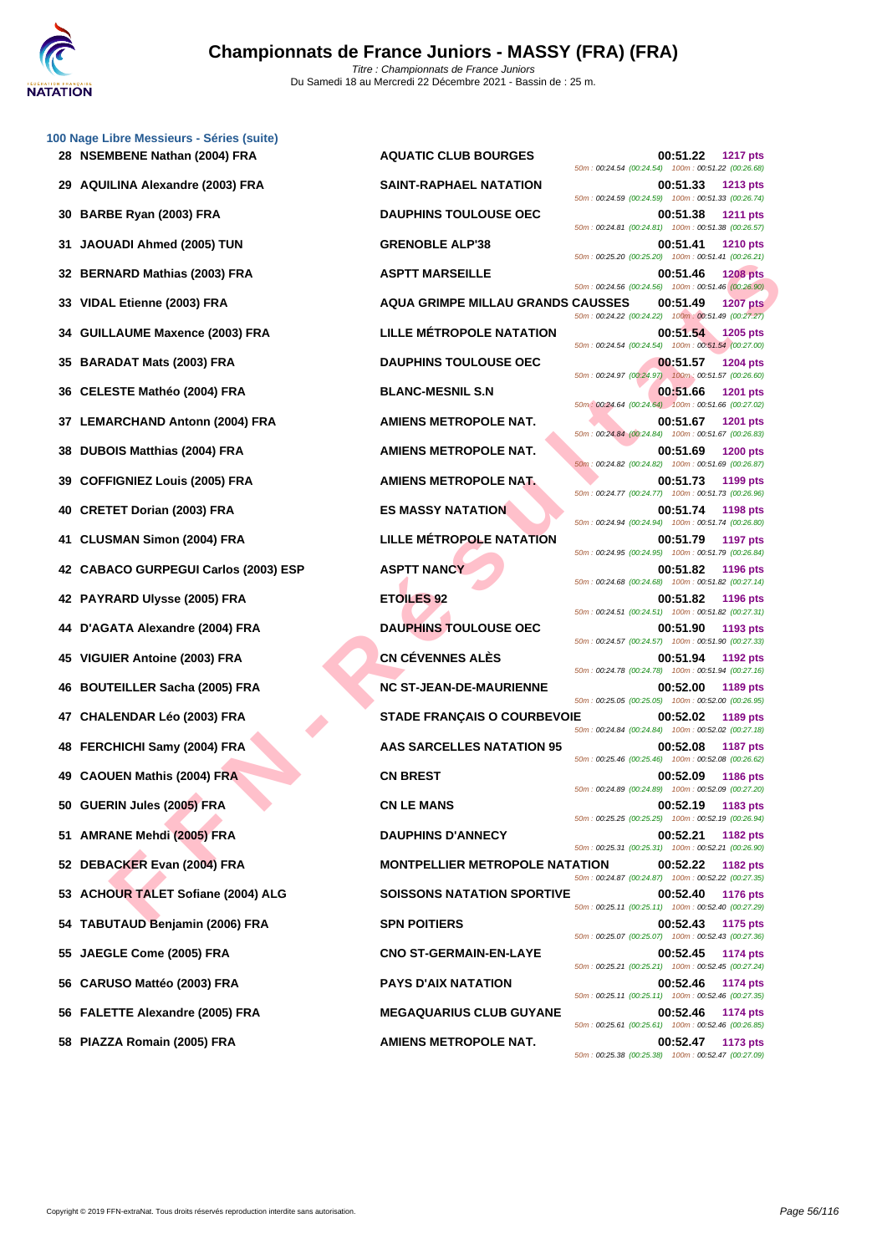|    | 100 Nage Libre Messieurs - Séries (suite)<br>28 NSEMBENE Nathan (2004) FRA | <b>AQUATIC CLUB BOURGES</b>           | 00:51.22<br><b>1217 pts</b>                                                         |
|----|----------------------------------------------------------------------------|---------------------------------------|-------------------------------------------------------------------------------------|
|    |                                                                            |                                       | 50m: 00:24.54 (00:24.54) 100m: 00:51.22 (00:26.68)                                  |
| 29 | <b>AQUILINA Alexandre (2003) FRA</b>                                       | <b>SAINT-RAPHAEL NATATION</b>         | 00:51.33<br><b>1213 pts</b><br>50m: 00:24.59 (00:24.59) 100m: 00:51.33 (00:26.74)   |
| 30 | BARBE Ryan (2003) FRA                                                      | <b>DAUPHINS TOULOUSE OEC</b>          | 00:51.38<br><b>1211 pts</b><br>50m: 00:24.81 (00:24.81) 100m: 00:51.38 (00:26.57)   |
| 31 | <b>JAOUADI Ahmed (2005) TUN</b>                                            | <b>GRENOBLE ALP'38</b>                | 00:51.41<br><b>1210 pts</b><br>50m: 00:25.20 (00:25.20) 100m: 00:51.41 (00:26.21)   |
| 32 | <b>BERNARD Mathias (2003) FRA</b>                                          | <b>ASPTT MARSEILLE</b>                | 00:51.46<br><b>1208 pts</b><br>50m : 00:24.56 (00:24.56) 100m : 00:51.46 (00:26.90) |
| 33 | VIDAL Etienne (2003) FRA                                                   | AQUA GRIMPE MILLAU GRANDS CAUSSES     | 00:51.49<br><b>1207 pts</b><br>50m: 00:24.22 (00:24.22) 100m: 00:51.49 (00:27.27)   |
| 34 | <b>GUILLAUME Maxence (2003) FRA</b>                                        | <b>LILLE MÉTROPOLE NATATION</b>       | 00:51.54<br><b>1205 pts</b><br>50m: 00:24.54 (00:24.54) 100m: 00:51.54 (00:27.00)   |
| 35 | <b>BARADAT Mats (2003) FRA</b>                                             | <b>DAUPHINS TOULOUSE OEC</b>          | 00:51.57<br><b>1204 pts</b><br>50m: 00:24.97 (00:24.97) 100m: 00:51.57 (00:26.60)   |
| 36 | <b>CELESTE Mathéo (2004) FRA</b>                                           | <b>BLANC-MESNIL S.N</b>               | 00:51.66<br><b>1201 pts</b><br>50m: 00:24.64 (00:24.64) 100m: 00:51.66 (00:27.02)   |
| 37 | <b>LEMARCHAND Antonn (2004) FRA</b>                                        | AMIENS METROPOLE NAT.                 | 00:51.67<br><b>1201 pts</b>                                                         |
| 38 | <b>DUBOIS Matthias (2004) FRA</b>                                          | AMIENS METROPOLE NAT.                 | 50m: 00:24.84 (00:24.84) 100m: 00:51.67 (00:26.83)<br>00:51.69<br><b>1200 pts</b>   |
| 39 | <b>COFFIGNIEZ Louis (2005) FRA</b>                                         | <b>AMIENS METROPOLE NAT.</b>          | 50m : 00:24.82 (00:24.82) 100m : 00:51.69 (00:26.87)<br>00:51.73<br>1199 pts        |
| 40 | <b>CRETET Dorian (2003) FRA</b>                                            | <b>ES MASSY NATATION</b>              | 50m: 00:24.77 (00:24.77) 100m: 00:51.73 (00:26.96)<br>00:51.74<br>1198 pts          |
| 41 | <b>CLUSMAN Simon (2004) FRA</b>                                            | <b>LILLE MÉTROPOLE NATATION</b>       | 50m: 00:24.94 (00:24.94) 100m: 00:51.74 (00:26.80)<br>00:51.79<br><b>1197 pts</b>   |
| 42 | <b>CABACO GURPEGUI Carlos (2003) ESP</b>                                   | <b>ASPTT NANCY</b>                    | 50m: 00:24.95 (00:24.95) 100m: 00:51.79 (00:26.84)<br>00:51.82<br><b>1196 pts</b>   |
|    | 42 PAYRARD Ulysse (2005) FRA                                               | <b>ETOILES 92</b>                     | 50m: 00:24.68 (00:24.68) 100m: 00:51.82 (00:27.14)<br>00:51.82<br>1196 pts          |
| 44 | D'AGATA Alexandre (2004) FRA                                               | <b>DAUPHINS TOULOUSE OEC</b>          | 50m: 00:24.51 (00:24.51) 100m: 00:51.82 (00:27.31)<br>00:51.90<br>1193 pts          |
| 45 | <b>VIGUIER Antoine (2003) FRA</b>                                          | <b>CN CÉVENNES ALÈS</b>               | 50m: 00:24.57 (00:24.57) 100m: 00:51.90 (00:27.33)<br>00:51.94<br><b>1192 pts</b>   |
| 46 | <b>BOUTEILLER Sacha (2005) FRA</b>                                         | <b>NC ST-JEAN-DE-MAURIENNE</b>        | 50m: 00:24.78 (00:24.78) 100m: 00:51.94 (00:27.16)<br>00:52.00<br>1189 pts          |
| 47 | <b>CHALENDAR Léo (2003) FRA</b>                                            | <b>STADE FRANÇAIS O COURBEVOIE</b>    | 50m: 00:25.05 (00:25.05) 100m: 00:52.00 (00:26.95)<br>00:52.02<br>1189 pts          |
| 48 | <b>FERCHICHI Samy (2004) FRA</b>                                           | <b>AAS SARCELLES NATATION 95</b>      | 50m: 00:24.84 (00:24.84) 100m: 00:52.02 (00:27.18)<br>00:52.08<br><b>1187 pts</b>   |
| 49 | <b>CAOUEN Mathis (2004) FRA</b>                                            | <b>CN BREST</b>                       | 50m : 00:25.46 (00:25.46) 100m : 00:52.08 (00:26.62)<br>00:52.09<br><b>1186 pts</b> |
|    | 50 GUERIN Jules (2005) FRA                                                 | <b>CN LE MANS</b>                     | 50m: 00:24.89 (00:24.89) 100m: 00:52.09 (00:27.20)<br>00:52.19<br>1183 pts          |
|    | <b>AMRANE Mehdi (2005) FRA</b>                                             | <b>DAUPHINS D'ANNECY</b>              | 50m: 00:25.25 (00:25.25) 100m: 00:52.19 (00:26.94)<br>00:52.21<br>1182 pts          |
| 52 | DEBACKER Evan (2004) FRA                                                   | <b>MONTPELLIER METROPOLE NATATION</b> | 50m: 00:25.31 (00:25.31) 100m: 00:52.21 (00:26.90)<br>00:52.22<br>1182 pts          |
| 53 | <b>ACHOUR TALET Sofiane (2004) ALG</b>                                     | <b>SOISSONS NATATION SPORTIVE</b>     | 50m: 00:24.87 (00:24.87) 100m: 00:52.22 (00:27.35)<br>00:52.40<br><b>1176 pts</b>   |
|    | 54 TABUTAUD Benjamin (2006) FRA                                            | <b>SPN POITIERS</b>                   | 50m: 00:25.11 (00:25.11) 100m: 00:52.40 (00:27.29)<br>00:52.43<br>1175 pts          |
| 55 | JAEGLE Come (2005) FRA                                                     | <b>CNO ST-GERMAIN-EN-LAYE</b>         | 50m: 00:25.07 (00:25.07) 100m: 00:52.43 (00:27.36)<br>00:52.45<br>1174 pts          |
| 56 | CARUSO Mattéo (2003) FRA                                                   | <b>PAYS D'AIX NATATION</b>            | 50m: 00:25.21 (00:25.21) 100m: 00:52.45 (00:27.24)<br>00:52.46<br>1174 pts          |
|    | 56 FALETTE Alexandre (2005) FRA                                            | <b>MEGAQUARIUS CLUB GUYANE</b>        | 50m: 00:25.11 (00:25.11) 100m: 00:52.46 (00:27.35)<br>00:52.46<br><b>1174 pts</b>   |
|    |                                                                            |                                       | 50m: 00:25.61 (00:25.61) 100m: 00:52.46 (00:26.85)                                  |
|    | 58 PIAZZA Romain (2005) FRA                                                | AMIENS METROPOLE NAT.                 | 00:52.47<br>1173 pts                                                                |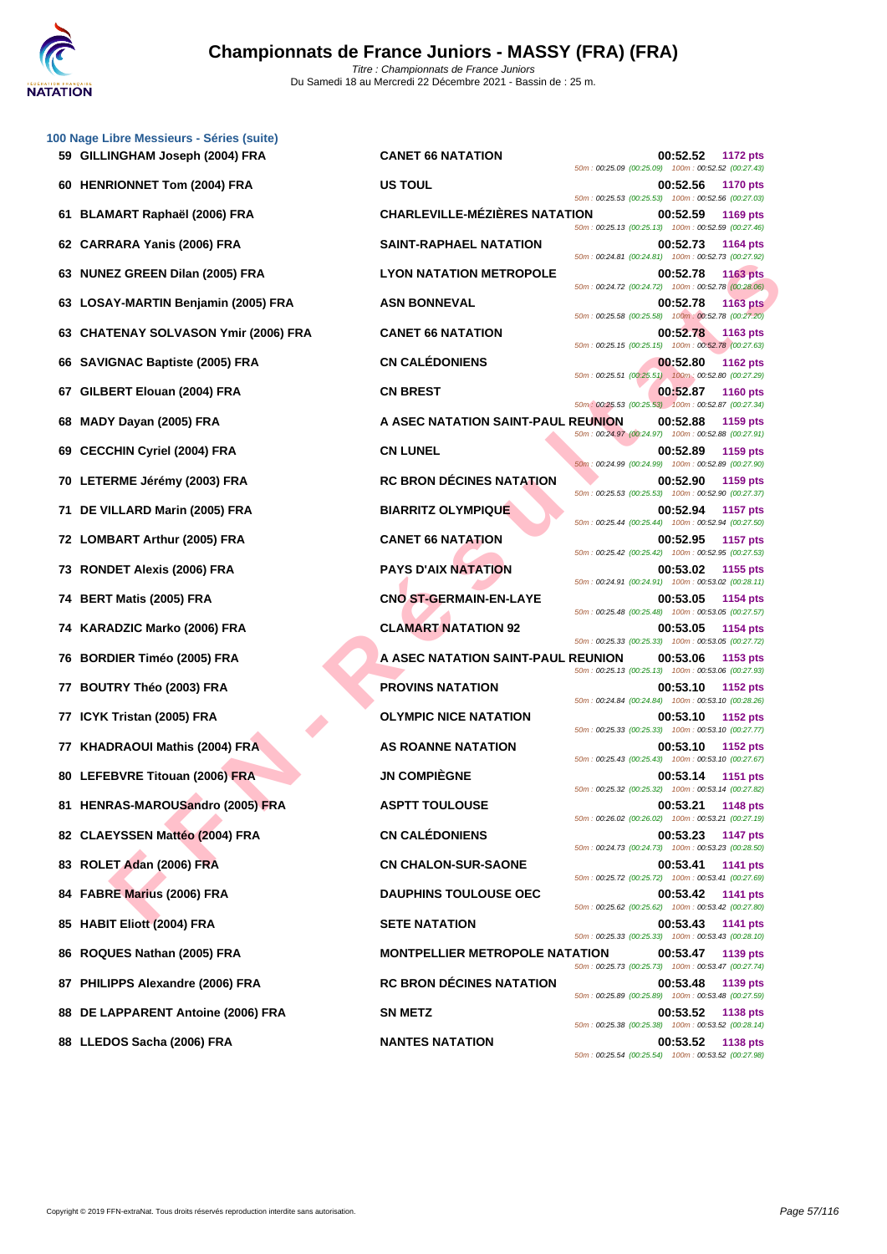

|    | 100 Nage Libre Messieurs - Séries (suite)<br>59 GILLINGHAM Joseph (2004) FRA |
|----|------------------------------------------------------------------------------|
| 60 | <b>HENRIONNET Tom (2004) FRA</b>                                             |
| 61 | BLAMART Raphaël (2006) FRA                                                   |
|    | 62 CARRARA Yanis (2006) FRA                                                  |
| 63 | <b>NUNEZ GREEN Dilan (2005) FRA</b>                                          |
| 63 | LOSAY-MARTIN Benjamin (2005) FRA                                             |
|    | 63 CHATENAY SOLVASON Ymir (2006) FRA                                         |
|    | 66 SAVIGNAC Baptiste (2005) FRA                                              |
| 67 | GILBERT Elouan (2004) FRA                                                    |
| 68 | MADY Dayan (2005) FRA                                                        |
|    | 69 CECCHIN Cyriel (2004) FRA                                                 |
|    | 70 LETERME Jérémy (2003) FRA                                                 |
| 71 | DE VILLARD Marin (2005) FRA                                                  |
|    | 72 LOMBART Arthur (2005) FRA                                                 |
|    | 73 RONDET Alexis (2006) FRA                                                  |
| 74 | BERT Matis (2005) FRA                                                        |
|    | 74 KARADZIC Marko (2006) FRA                                                 |
| 76 | <b>BORDIER Timéo (2005) FRA</b>                                              |
| 77 | <b>BOUTRY Théo (2003) FRA</b>                                                |
| 77 | ICYK Tristan (2005) FRA                                                      |
|    | 77 KHADRAOUI Mathis (2004) FRA                                               |
|    | 80 LEFEBVRE Titouan (2006) FRA                                               |
| 81 | HENRAS-MAROUSandro (2005) FRA                                                |
|    | 82 CLAEYSSEN Mattéo (2004) FRA                                               |
|    | 83 ROLET Adan (2006) FRA                                                     |
|    | 84 FABRE Marius (2006) FRA                                                   |
|    | 85 HABIT Eliott (2004) FRA                                                   |
|    | 86 ROQUES Nathan (2005) FRA                                                  |
|    | 87 PHILIPPS Alexandre (2006) FRA                                             |
|    | 88 DE LAPPARENT Antoine (2006) FRA                                           |

**EZ GREEN DISA (2005) FRA**<br> **FAN ARTINI BORIGINIA (2006) FRA**<br> **FAN ASIN BONNEVAL (2006) FRA**<br> **FAN SOLUASON Y MIN (2006) FRA**<br> **FAN SOLUASON Y AN ASIN BONNEVAL (2006) FRA**<br> **FAN SOLUASON Y AN ASIN CONCRETE BAN ARTINION S 59 CANET 66 NATATION CANET 66 NATATION CANET 66 NATATION** 50m : 00:25.09 (00:25.09) 100m : 00:52.52 (00:27.43) **600:52.56 1170 pts** 50m : 00:25.53 (00:25.53) 100m : 00:52.56 (00:27.03) **61 BLAMART Raphaël (2006) FRA CHARLEVILLE-MÉZIÈRES NATATION 00:52.59 1169 pts** 50m : 00:25.13 (00:25.13) 100m : 00:52.59 (00:27.46) **62 CARRARA Yanis (2006) FRA SAINT-RAPHAEL NATATION 00:52.73 1164 pts** 50m : 00:24.81 (00:24.81) 100m : 00:52.73 (00:27.92) **13 CON NATATION METROPOLE 1163 pts** 50m : 00:24.72 (00:24.72) 100m : 00:52.78 (00:28.06) **63 LOSAY-MARTIN BENJAMIN (2005) FRANCISC PRODUCTS 1163 pts** 50m : 00:25.58 (00:25.58) 100m : 00:52.78 (00:27.20) **63 CANET 66 NATATION CANET 66 NATATION CANET 66 NATATION** 50m : 00:25.15 (00:25.15) 100m : 00:52.78 (00:27.63) **666 CN CALÉDONIENS CN CALÉDONIENS 00:52.80 1162 pts** 50m : 00:25.51 (00:25.51) 100m : 00:52.80 (00:27.29) **67 CN BREST CN BREST CN BREST CN BREST CN BREST CN** 50m : 00:25.53 (00:25.53) 100m : 00:52.87 (00:27.34) **68 MADY Dayan (2005) FRA A ASEC NATATION SAINT-PAUL REUNION 00:52.88 1159 pts** 50m : 00:24.97 (00:24.97) 100m : 00:52.88 (00:27.91) **69 CECCHIN Cyriel (2004) FRA CN LUNEL 00:52.89 1159 pts** 50m : 00:24.99 (00:24.99) 100m : 00:52.89 (00:27.90) **700:52.90 RC BRON DÉCINES NATATION 00:52.90 1159 pts** 50m : 00:25.53 (00:25.53) 100m : 00:52.90 (00:27.37) **711 DE VILLARD MARIN MARIN MARIN (2005) FRACTION MARIN MARIN MARIN MARIN MARIN MARIN MARIN MARIN MARIN MARIN MARIN MARIN MARIN MARIN MARIN MARIN MARIN MARIN MARIN MARIN MARIN MARIN MARIN MARIN MARIN MARIN MARIN MARIN MA** 50m : 00:25.44 (00:25.44) 100m : 00:52.94 (00:27.50) **72 CANET 66 NATATION 00:52.95 1157 pts** 50m : 00:25.42 (00:25.42) 100m : 00:52.95 (00:27.53) **PAYS D'AIX NATATION 00:53.02 1155 pts** 50m : 00:24.91 (00:24.91) 100m : 00:53.02 (00:28.11) **74 BERT Matis (2005) FRA CNO ST-GERMAIN-EN-LAYE 00:53.05 1154 pts** 50m : 00:25.48 (00:25.48) 100m : 00:53.05 (00:27.57) **741 CLAMART NATATION 92 00:53.05 1154 pts** 50m : 00:25.33 (00:25.33) 100m : 00:53.05 (00:27.72) **76 BORDIER Timéo (2005) FRA A ASEC NATATION SAINT-PAUL REUNION 00:53.06 1153 pts** 50m : 00:25.13 (00:25.13) 100m : 00:53.06 (00:27.93) **77 BOUTRY IN STATE (2003) FROVINS NATATION 1152 pts** 50m : 00:24.84 (00:24.84) 100m : 00:53.10 (00:28.26) **778 ICCLYMPIC NICE NATATION 00:53.10 1152 pts** 50m : 00:25.33 (00:25.33) 100m : 00:53.10 (00:27.77) **778 AS ROANNE NATATION 1152 pts** 50m : 00:25.43 (00:25.43) 100m : 00:53.10 (00:27.67) **800:53.14 1151 pts** 50m : 00:25.32 (00:25.32) 100m : 00:53.14 (00:27.82) **818 821 TOULOUSE 821 TOULOUSE 821 TOULOUSE** 50m : 00:26.02 (00:26.02) 100m : 00:53.21 (00:27.19) **82 CN CALÉDONIENS 00:53.23 1147 pts** 50m : 00:24.73 (00:24.73) 100m : 00:53.23 (00:28.50) **83 CN CHALON-SUR-SAONE 83.41 00:53.41 1141 pts** 50m : 00:25.72 (00:25.72) 100m : 00:53.41 (00:27.69) **844 EXECUTE: EXECUTE: COLOUSE OEC 00:53.42 1141 pts** 50m : 00:25.62 (00:25.62) 100m : 00:53.42 (00:27.80) **8ETE NATATION 00:53.43 1141 pts** 50m : 00:25.33 (00:25.33) 100m : 00:53.43 (00:28.10) **RONTPELLIER METROPOLE NATATION 00:53.47 1139 pts** 50m : 00:25.73 (00:25.73) 100m : 00:53.47 (00:27.74) **RC BRON DÉCINES NATATION 00:53.48 1139 pts** 50m : 00:25.89 (00:25.89) 100m : 00:53.48 (00:27.59) **888 METZ 00:53.52 1138 pts** 50m : 00:25.38 (00:25.38) 100m : 00:53.52 (00:28.14) **88 LLEDOS Sacha (2006) FRA NANTES NATATION 00:53.52 1138 pts** 50m : 00:25.54 (00:25.54) 100m : 00:53.52 (00:27.98)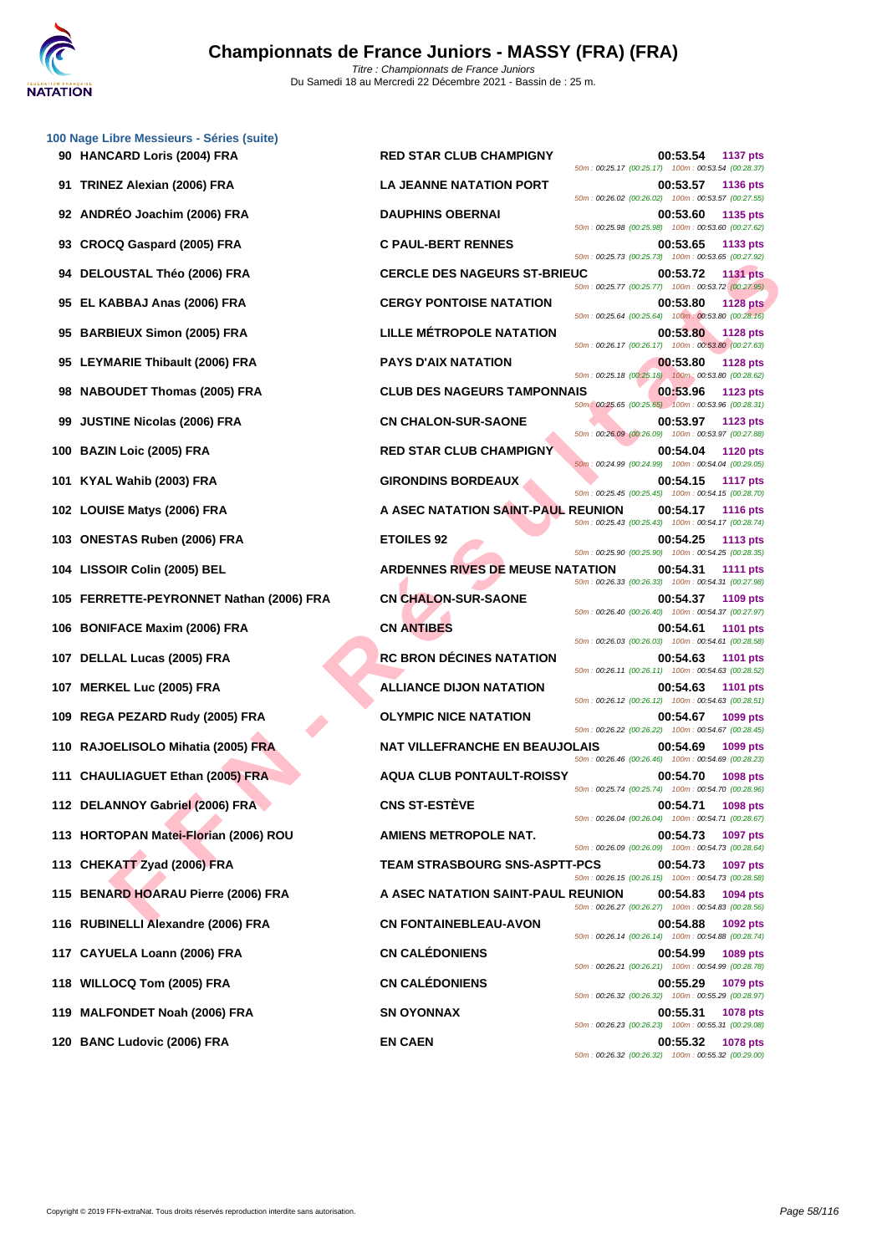| 100 Nage Libre Messieurs - Séries (suite)<br>90 HANCARD Loris (2004) FRA | <b>RED STAR CLUB CHAMPIGNY</b>          | 00:53.54<br><b>1137 pts</b><br>50m: 00:25.17 (00:25.17) 100m: 00:53.54 (00:28.37) |
|--------------------------------------------------------------------------|-----------------------------------------|-----------------------------------------------------------------------------------|
| 91 TRINEZ Alexian (2006) FRA                                             | <b>LA JEANNE NATATION PORT</b>          | 00:53.57<br><b>1136 pts</b><br>50m: 00:26.02 (00:26.02) 100m: 00:53.57 (00:27.55) |
| 92 ANDRÉO Joachim (2006) FRA                                             | <b>DAUPHINS OBERNAI</b>                 | 00:53.60<br>1135 pts<br>50m: 00:25.98 (00:25.98) 100m: 00:53.60 (00:27.62)        |
| 93 CROCQ Gaspard (2005) FRA                                              | <b>C PAUL-BERT RENNES</b>               | 00:53.65<br>1133 pts<br>50m: 00:25.73 (00:25.73) 100m: 00:53.65 (00:27.92)        |
| 94 DELOUSTAL Théo (2006) FRA                                             | <b>CERCLE DES NAGEURS ST-BRIEUC</b>     | 00:53.72<br><b>1131 pts</b><br>50m: 00:25.77 (00:25.77) 100m: 00:53.72 (00:27.95) |
| 95 EL KABBAJ Anas (2006) FRA                                             | <b>CERGY PONTOISE NATATION</b>          | 00:53.80<br><b>1128 pts</b><br>50m: 00:25.64 (00:25.64) 100m: 00:53.80 (00:28.16) |
| 95 BARBIEUX Simon (2005) FRA                                             | LILLE MÉTROPOLE NATATION                | 00:53.80<br>1128 pts<br>50m: 00:26.17 (00:26.17) 100m: 00:53.80 (00:27.63)        |
| 95 LEYMARIE Thibault (2006) FRA                                          | <b>PAYS D'AIX NATATION</b>              | 00:53.80<br><b>1128 pts</b><br>50m: 00:25.18 (00:25.18) 100m: 00:53.80 (00:28.62) |
| 98 NABOUDET Thomas (2005) FRA                                            | <b>CLUB DES NAGEURS TAMPONNAIS</b>      | 00:53.96<br>1123 pts<br>50m: 00:25.65 (00:25.65) 100m: 00:53.96 (00:28.31)        |
| <b>JUSTINE Nicolas (2006) FRA</b><br>99                                  | <b>CN CHALON-SUR-SAONE</b>              | 00:53.97<br>1123 pts<br>50m: 00:26.09 (00:26.09) 100m: 00:53.97 (00:27.88)        |
| 100 BAZIN Loic (2005) FRA                                                | <b>RED STAR CLUB CHAMPIGNY</b>          | 00:54.04<br><b>1120 pts</b><br>50m: 00:24.99 (00:24.99) 100m: 00:54.04 (00:29.05) |
| 101 KYAL Wahib (2003) FRA                                                | <b>GIRONDINS BORDEAUX</b>               | 00:54.15<br><b>1117 pts</b><br>50m: 00:25.45 (00:25.45) 100m: 00:54.15 (00:28.70) |
| 102 LOUISE Matys (2006) FRA                                              | A ASEC NATATION SAINT-PAUL REUNION      | 00:54.17<br><b>1116 pts</b><br>50m: 00:25.43 (00:25.43) 100m: 00:54.17 (00:28.74) |
| 103 ONESTAS Ruben (2006) FRA                                             | <b>ETOILES 92</b>                       | 00:54.25<br><b>1113 pts</b><br>50m: 00:25.90 (00:25.90) 100m: 00:54.25 (00:28.35) |
| 104 LISSOIR Colin (2005) BEL                                             | <b>ARDENNES RIVES DE MEUSE NATATION</b> | 00:54.31<br><b>1111 pts</b><br>50m: 00:26.33 (00:26.33) 100m: 00:54.31 (00:27.98) |
| 105 FERRETTE-PEYRONNET Nathan (2006) FRA                                 | <b>CN CHALON-SUR-SAONE</b>              | 00:54.37<br>1109 pts<br>50m: 00:26.40 (00:26.40) 100m: 00:54.37 (00:27.97)        |
| 106 BONIFACE Maxim (2006) FRA                                            | <b>CN ANTIBES</b>                       | 00:54.61<br><b>1101 pts</b><br>50m: 00:26.03 (00:26.03) 100m: 00:54.61 (00:28.58) |
| 107 DELLAL Lucas (2005) FRA                                              | <b>RC BRON DÉCINES NATATION</b>         | 00:54.63<br><b>1101 pts</b><br>50m: 00:26.11 (00:26.11) 100m: 00:54.63 (00:28.52) |
| 107 MERKEL Luc (2005) FRA                                                | <b>ALLIANCE DIJON NATATION</b>          | 00:54.63<br><b>1101 pts</b><br>50m: 00:26.12 (00:26.12) 100m: 00:54.63 (00:28.51) |
| 109 REGA PEZARD Rudy (2005) FRA                                          | <b>OLYMPIC NICE NATATION</b>            | 00:54.67<br>1099 pts<br>50m: 00:26.22 (00:26.22) 100m: 00:54.67 (00:28.45)        |
| 110 RAJOELISOLO Mihatia (2005) FRA                                       | <b>NAT VILLEFRANCHE EN BEAUJOLAIS</b>   | 00:54.69<br>1099 pts<br>50m: 00:26.46 (00:26.46) 100m: 00:54.69 (00:28.23)        |
| 111 CHAULIAGUET Ethan (2005) FRA                                         | <b>AQUA CLUB PONTAULT-ROISSY</b>        | 00:54.70<br>1098 pts<br>50m: 00:25.74 (00:25.74) 100m: 00:54.70 (00:28.96)        |
| 112 DELANNOY Gabriel (2006) FRA                                          | <b>CNS ST-ESTÈVE</b>                    | 00:54.71<br>1098 pts<br>50m: 00:26.04 (00:26.04) 100m: 00:54.71 (00:28.67)        |
| 113 HORTOPAN Matei-Florian (2006) ROU                                    | <b>AMIENS METROPOLE NAT.</b>            | 00:54.73<br>1097 pts<br>50m: 00:26.09 (00:26.09) 100m: 00:54.73 (00:28.64)        |
| 113 CHEKATT Zyad (2006) FRA                                              | <b>TEAM STRASBOURG SNS-ASPTT-PCS</b>    | 00:54.73<br>1097 pts<br>50m: 00:26.15 (00:26.15) 100m: 00:54.73 (00:28.58)        |
| 115 BENARD HOARAU Pierre (2006) FRA                                      | A ASEC NATATION SAINT-PAUL REUNION      | 00:54.83<br>1094 pts<br>50m: 00:26.27 (00:26.27) 100m: 00:54.83 (00:28.56)        |
| 116 RUBINELLI Alexandre (2006) FRA                                       | <b>CN FONTAINEBLEAU-AVON</b>            | 00:54.88<br>1092 pts<br>50m: 00:26.14 (00:26.14) 100m: 00:54.88 (00:28.74)        |
| 117 CAYUELA Loann (2006) FRA                                             | <b>CN CALÉDONIENS</b>                   | 00:54.99<br>1089 pts<br>50m: 00:26.21 (00:26.21) 100m: 00:54.99 (00:28.78)        |
| 118 WILLOCQ Tom (2005) FRA                                               | <b>CN CALÉDONIENS</b>                   | 00:55.29<br>1079 pts<br>50m: 00:26.32 (00:26.32) 100m: 00:55.29 (00:28.97)        |
| 119 MALFONDET Noah (2006) FRA                                            | <b>SN OYONNAX</b>                       | 00:55.31<br>1078 pts<br>50m: 00:26.23 (00:26.23) 100m: 00:55.31 (00:29.08)        |
| 120 BANC Ludovic (2006) FRA                                              | <b>EN CAEN</b>                          | 00:55.32<br>1078 pts<br>50m: 00:26.32 (00:26.32) 100m: 00:55.32 (00:29.00)        |
|                                                                          |                                         |                                                                                   |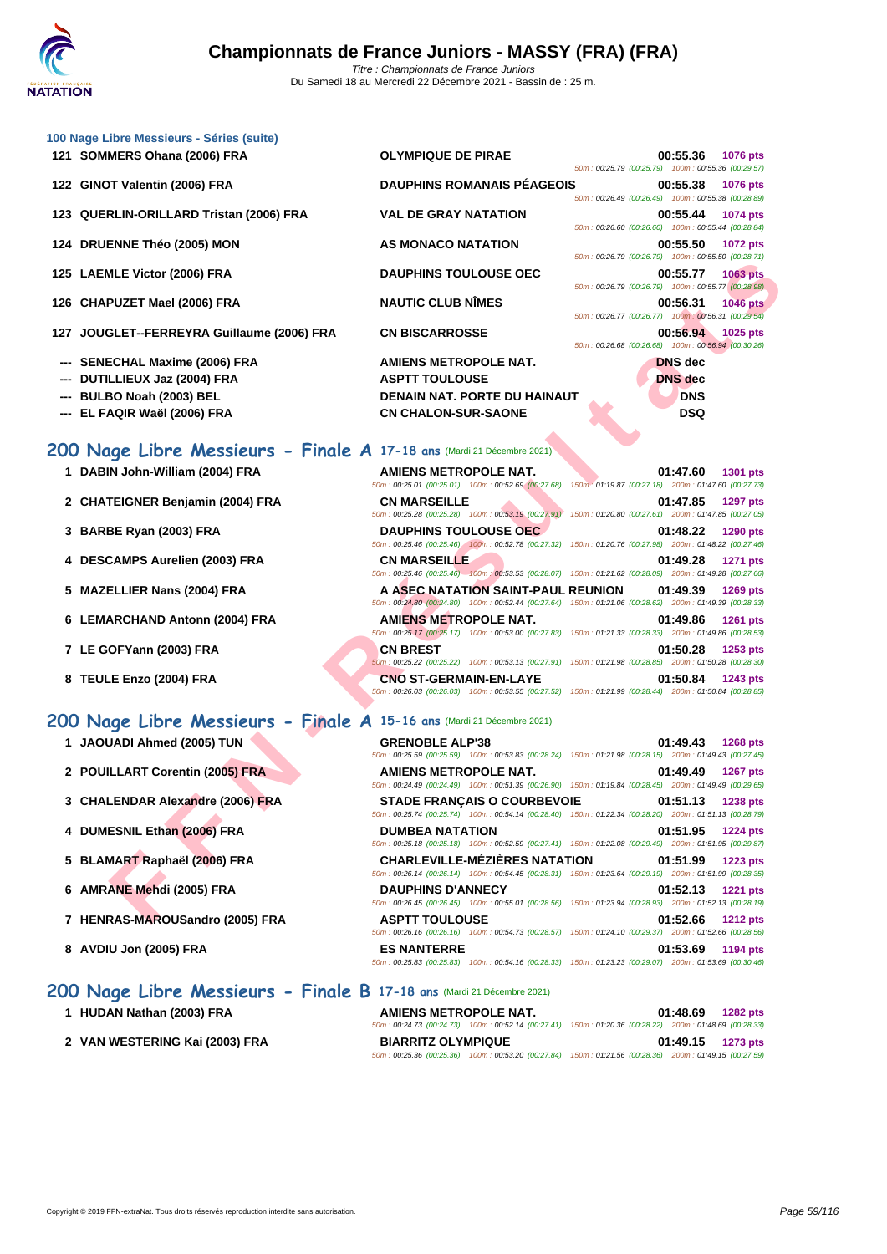| 100 Nage Libre Messieurs - Séries (suite)<br>121 SOMMERS Ohana (2006) FRA | <b>OLYMPIQUE DE PIRAE</b>                                                                                                                    | 00:55.36<br>1076 pts                                                              |
|---------------------------------------------------------------------------|----------------------------------------------------------------------------------------------------------------------------------------------|-----------------------------------------------------------------------------------|
|                                                                           |                                                                                                                                              | 50m: 00:25.79 (00:25.79) 100m: 00:55.36 (00:29.57)                                |
| 122 GINOT Valentin (2006) FRA                                             | <b>DAUPHINS ROMANAIS PÉAGEOIS</b>                                                                                                            | 00:55.38<br><b>1076 pts</b><br>50m: 00:26.49 (00:26.49) 100m: 00:55.38 (00:28.89) |
| 123 QUERLIN-ORILLARD Tristan (2006) FRA                                   | <b>VAL DE GRAY NATATION</b>                                                                                                                  | 00:55.44<br>1074 pts<br>50m: 00:26.60 (00:26.60) 100m: 00:55.44 (00:28.84)        |
| 124 DRUENNE Théo (2005) MON                                               | AS MONACO NATATION                                                                                                                           | 00:55.50<br>1072 pts<br>50m: 00:26.79 (00:26.79) 100m: 00:55.50 (00:28.71)        |
| 125 LAEMLE Victor (2006) FRA                                              | <b>DAUPHINS TOULOUSE OEC</b>                                                                                                                 | 00:55.77<br>1063 pts<br>50m: 00:26.79 (00:26.79) 100m: 00:55.77 (00:28.98)        |
| 126 CHAPUZET Mael (2006) FRA                                              | <b>NAUTIC CLUB NÎMES</b>                                                                                                                     | 00:56.31<br><b>1046 pts</b><br>50m: 00:26.77 (00:26.77) 100m: 00:56.31 (00:29.54) |
| 127 JOUGLET--FERREYRA Guillaume (2006) FRA                                | <b>CN BISCARROSSE</b>                                                                                                                        | 00:56.94<br>1025 pts                                                              |
|                                                                           |                                                                                                                                              | 50m: 00:26.68 (00:26.68) 100m: 00:56.94 (00:30.26)                                |
| --- SENECHAL Maxime (2006) FRA                                            | <b>AMIENS METROPOLE NAT.</b>                                                                                                                 | <b>DNS</b> dec                                                                    |
| DUTILLIEUX Jaz (2004) FRA                                                 | <b>ASPTT TOULOUSE</b>                                                                                                                        | <b>DNS</b> dec                                                                    |
| --- BULBO Noah (2003) BEL                                                 | <b>DENAIN NAT. PORTE DU HAINAUT</b>                                                                                                          | <b>DNS</b>                                                                        |
| --- EL FAQIR Waël (2006) FRA                                              | <b>CN CHALON-SUR-SAONE</b>                                                                                                                   | <b>DSQ</b>                                                                        |
|                                                                           |                                                                                                                                              |                                                                                   |
| 200 Nage Libre Messieurs - Finale A 17-18 ans (Mardi 21 Décembre 2021)    |                                                                                                                                              |                                                                                   |
| 1 DABIN John-William (2004) FRA                                           | AMIENS METROPOLE NAT.                                                                                                                        |                                                                                   |
|                                                                           | 50m: 00:25.01 (00:25.01) 100m: 00:52.69 (00:27.68) 150m: 01:19.87 (00:27.18) 200m: 01:47.60 (00:27.73)                                       | 01:47.60<br>1301 pts                                                              |
| 2 CHATEIGNER Benjamin (2004) FRA                                          | <b>CN MARSEILLE</b>                                                                                                                          | 01:47.85<br><b>1297 pts</b>                                                       |
|                                                                           | 50m: 00:25.28 (00:25.28) 100m: 00:53.19 (00:27.91)                                                                                           | 150m: 01:20.80 (00:27.61) 200m: 01:47.85 (00:27.05)                               |
| 3 BARBE Ryan (2003) FRA                                                   | <b>DAUPHINS TOULOUSE OEC</b>                                                                                                                 | 01:48.22<br>1290 pts                                                              |
|                                                                           | 50m: 00:25.46 (00:25.46) 100m: 00:52.78 (00:27.32)                                                                                           | 150m: 01:20.76 (00:27.98) 200m: 01:48.22 (00:27.46)                               |
| 4 DESCAMPS Aurelien (2003) FRA                                            | <b>CN MARSEILLE</b>                                                                                                                          | 01:49.28<br>1271 pts                                                              |
|                                                                           | 50m : 00:25.46 (00:25.46) 100m : 00:53.53 (00:28.07) 150m : 01:21.62 (00:28.09) 200m : 01:49.28 (00:27.66)                                   |                                                                                   |
| 5 MAZELLIER Nans (2004) FRA                                               | A ASEC NATATION SAINT-PAUL REUNION                                                                                                           | 01:49.39<br>1269 pts                                                              |
|                                                                           | 50m: 00:24.80 (00:24.80) 100m: 00:52.44 (00:27.64)                                                                                           | 150m: 01:21.06 (00:28.62) 200m: 01:49.39 (00:28.33)                               |
| 6 LEMARCHAND Antonn (2004) FRA                                            | <b>AMIENS METROPOLE NAT.</b><br>50m: 00:25.17 (00:25.17) 100m: 00:53.00 (00:27.83) 150m: 01:21.33 (00:28.33) 200m: 01:49.86 (00:28.53)       | 01:49.86<br>1261 pts                                                              |
| 7 LE GOFYann (2003) FRA                                                   | <b>CN BREST</b>                                                                                                                              | 01:50.28<br>1253 pts                                                              |
|                                                                           | 50m: 00:25.22 (00:25.22) 100m: 00:53.13 (00:27.91) 150m: 01:21.98 (00:28.85) 200m: 01:50.28 (00:28.30)                                       |                                                                                   |
| 8 TEULE Enzo (2004) FRA                                                   | <b>CNO ST-GERMAIN-EN-LAYE</b>                                                                                                                | 01:50.84<br>1243 pts                                                              |
|                                                                           | 50m: 00:26.03 (00:26.03) 100m: 00:53.55 (00:27.52) 150m: 01:21.99 (00:28.44) 200m: 01:50.84 (00:28.85)                                       |                                                                                   |
|                                                                           |                                                                                                                                              |                                                                                   |
| 200 Nage Libre Messieurs - Finale A 15-16 ans (Mardi 21 Décembre 2021)    |                                                                                                                                              |                                                                                   |
| 1 JAOUADI Ahmed (2005) TUN                                                | <b>GRENOBLE ALP'38</b>                                                                                                                       | 01:49.43<br><b>1268 pts</b>                                                       |
|                                                                           | 50m: 00:25.59 (00:25.59) 100m: 00:53.83 (00:28.24) 150m: 01:21.98 (00:28.15) 200m: 01:49.43 (00:27.45)                                       |                                                                                   |
| 2 POUILLART Corentin (2005) FRA                                           | <b>AMIENS METROPOLE NAT.</b><br>50m : 00:24.49 (00:24.49) 100m : 00:51.39 (00:26.90) 150m : 01:19.84 (00:28.45) 200m : 01:49.49 (00:29.65)   | 01:49.49<br>1267 pts                                                              |
| 3 CHALENDAR Alexandre (2006) FRA                                          | <b>STADE FRANCAIS O COURBEVOIE</b><br>50m: 00:25.74 (00:25.74) 100m: 00:54.14 (00:28.40) 150m: 01:22.34 (00:28.20) 200m: 01:51.13 (00:28.79) | 01:51.13<br><b>1238 pts</b>                                                       |
| 4 DUMESNIL Ethan (2006) FRA                                               | <b>DUMBEA NATATION</b><br>50m: 00:25.18 (00:25.18) 100m: 00:52.59 (00:27.41) 150m: 01:22.08 (00:29.49) 200m: 01:51.95 (00:29.87)             | 01:51.95<br>1224 pts                                                              |
| 5 BLAMART Raphaël (2006) FRA                                              | <b>CHARLEVILLE-MEZIERES NATATION</b>                                                                                                         | 01:51.99<br><b>1223 pts</b>                                                       |
|                                                                           | 50m: 00:26.14 (00:26.14) 100m: 00:54.45 (00:28.31) 150m: 01:23.64 (00:29.19) 200m: 01:51.99 (00:28.35)                                       |                                                                                   |
| 6 AMRANE Mehdi (2005) FRA                                                 | <b>DAUPHINS D'ANNECY</b>                                                                                                                     | 01:52.13<br><b>1221 pts</b>                                                       |
|                                                                           | 50m: 00:26.45 (00:26.45) 100m: 00:55.01 (00:28.56) 150m: 01:23.94 (00:28.93) 200m: 01:52.13 (00:28.19)                                       |                                                                                   |
| 7 HENRAS-MAROUSandro (2005) FRA                                           | <b>ASPTT TOULOUSE</b>                                                                                                                        | 01:52.66 1212 pts                                                                 |

50m : 00:26.16 (00:26.16) 100m : 00:54.73 (00:28.57) 150m : 01:24.10 (00:29.37) 200m : 01:52.66 (00:28.56)

50m : 00:25.83 (00:25.83) 100m : 00:54.16 (00:28.33) 150m : 01:23.23 (00:29.07) 200m : 01:53.69 (00:30.46)

- **6 LEMARCHAND Antonn (2004) FRA AMIENS METROPOLE NAT. 01:49.86 1261 pts**
- **7 LE GOFYann (2003) FRA CN BREST 01:50.28 1253 pts**
- **8 TEULE Enzo (2004) FRA CNO ST-GERMAIN-EN-LAYE 01:50.84 1243 pts**

## **200 Nage Libre Messieurs - Finale A 15-16 ans** (Mardi 21 Décembre 2021)

- **1 JAOUADI Ahmed (2005) TUN GRENOBLE ALP'38 01:49.43 1268 pts**
- **2 POUILLART Corentin (2005) FRA AMIENS METROPOLE NAT. 01:49.49 1267 pts**
- **3 CHALENDAR Alexandre (2006) FRA STADE FRANÇAIS O COURBEVOIE 01:51.13 1238 pts**
- **4 DUMESNIL Ethan (2006) FRA DUMBEA NATATION 01:51.95 1224 pts**
- **5 BLAMART Raphaël (2006) FRA CHARLEVILLE-MÉZIÈRES NATATION 01:51.99 1223 pts**
- **6 AMRANE Mehdi (2005) FRA DAUPHINS D'ANNECY 01:52.13 1221 pts**
- **7 HENRAS-MAROUSandro (2005) FRA ASPTT TOULOUSE 01:52.66 1212 pts**
- **8 AVDIU Jon (2005) FRA ES NANTERRE 01:53.69 1194 pts**

# **200 Nage Libre Messieurs - Finale B 17-18 ans** (Mardi 21 Décembre 2021)

| 1 HUDAN Nathan (2003) FRA      | <b>AMIENS METROPOLE NAT.</b> | 01:48.69<br><b>1282 pts</b>                                                                            |
|--------------------------------|------------------------------|--------------------------------------------------------------------------------------------------------|
|                                |                              | 50m: 00:24.73 (00:24.73) 100m: 00:52.14 (00:27.41) 150m: 01:20.36 (00:28.22) 200m: 01:48.69 (00:28.33) |
| 2 VAN WESTERING Kai (2003) FRA | <b>BIARRITZ OLYMPIQUE</b>    | $01:49.15$ 1273 pts                                                                                    |
|                                |                              | 50m: 00:25.36 (00:25.36) 100m: 00:53.20 (00:27.84) 150m: 01:21.56 (00:28.36) 200m: 01:49.15 (00:27.59) |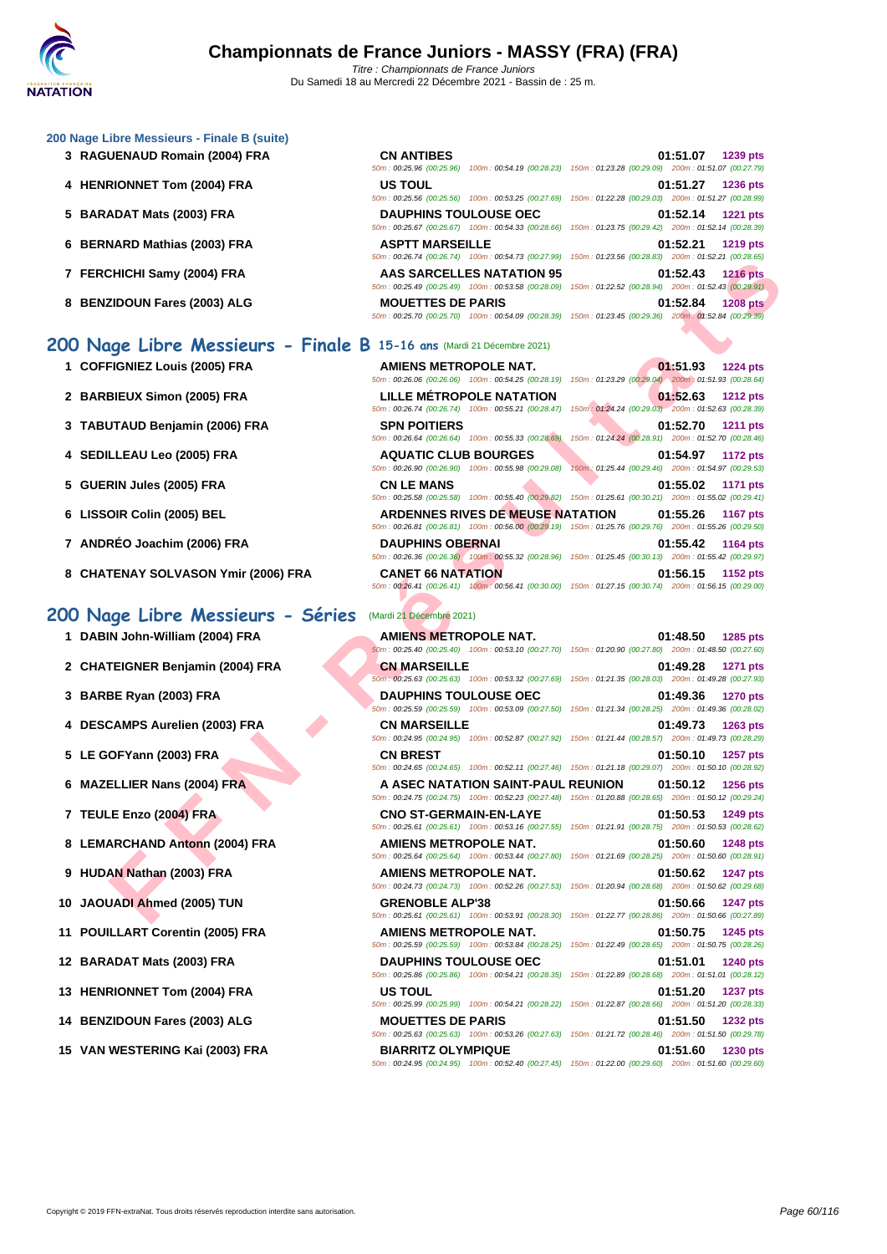#### **[200 Nage](http://www.ffnatation.fr/webffn/index.php) Libre Messieurs - Finale B (suite)**

- 
- 
- 
- 
- 
- 

# **200 Nage Libre Messieurs - Finale B 15-16 ans** (Mardi 21 Décembre 2021)

- **1 COFFIGNIEZ Louis (2005) FRA**
- **2 BARBIEUX Simon (2005) FRA LILLE MÉTROPOLE NATATION 01:52.63 1212 pts**
- **3 TABUTAUD Benjamin (2006) FRA**
- **4 SEDILLEAU Leo (2005) FRA**
- **5 GUERIN Jules (2005) FRA**
- **6** LISSOIR Colin (2005) BEL
- **7** ANDRÉO Joachim (2006) FRA
- **8** CHATENAY SOLVASON Ymir (2006) FRA

## **200 Nage Libre Messieurs - Séries** (Mardi 21 Décembre 2021)

- 
- 
- 
- 
- 
- 
- 
- 
- 
- 
- 
- 
- 
- 
- 

| 3 RAGUENAUD Romain (2004) FRA | <b>CN ANTIBES</b>            | 01:51.07<br>1239 pts<br>50m: 00:25.96 (00:25.96) 100m: 00:54.19 (00:28.23) 150m: 01:23.28 (00:29.09) 200m: 01:51.07 (00:27.79)        |
|-------------------------------|------------------------------|---------------------------------------------------------------------------------------------------------------------------------------|
| 4 HENRIONNET Tom (2004) FRA   | <b>US TOUL</b>               | 01:51.27<br><b>1236 pts</b><br>50m: 00:25.56 (00:25.56) 100m: 00:53.25 (00:27.69) 150m: 01:22.28 (00:29.03) 200m: 01:51.27 (00:28.99) |
| 5 BARADAT Mats (2003) FRA     | <b>DAUPHINS TOULOUSE OEC</b> | 01:52.14<br><b>1221 pts</b><br>50m: 00:25.67 (00:25.67) 100m: 00:54.33 (00:28.66) 150m: 01:23.75 (00:29.42) 200m: 01:52.14 (00:28.39) |
| 6 BERNARD Mathias (2003) FRA  | <b>ASPTT MARSEILLE</b>       | 01:52.21<br><b>1219 pts</b><br>50m: 00:26.74 (00:26.74) 100m: 00:54.73 (00:27.99) 150m: 01:23.56 (00:28.83) 200m: 01:52.21 (00:28.65) |
| 7 FERCHICHI Samy (2004) FRA   | AAS SARCELLES NATATION 95    | 01:52.43<br><b>1216 pts</b><br>50m: 00:25.49 (00:25.49) 100m: 00:53.58 (00:28.09) 150m: 01:22.52 (00:28.94) 200m: 01:52.43 (00:29.91) |
| 8 BENZIDOUN Fares (2003) ALG  | <b>MOUETTES DE PARIS</b>     | 01:52.84<br><b>1208 pts</b><br>50m: 00:25.70 (00:25.70) 100m: 00:54.09 (00:28.39) 150m: 01:23.45 (00:29.36) 200m: 01:52.84 (00:29.39) |

|                                                                   | $00.20.14$ ( $00.20.14$ ) $10011.00.04.13$ ( $00.21.33$ ) $10011.01.23.00$ ( $00.20.03$ ) |                                                                                                                                           |
|-------------------------------------------------------------------|-------------------------------------------------------------------------------------------|-------------------------------------------------------------------------------------------------------------------------------------------|
| CHICHI Samy (2004) FRA                                            | <b>AAS SARCELLES NATATION 95</b>                                                          | 01:52.43<br><b>1216 pts</b><br>50m : 00:25.49 (00:25.49) 100m : 00:53.58 (00:28.09) 150m : 01:22.52 (00:28.94) 200m : 01:52.43 (00:29.91) |
| ZIDOUN Fares (2003) ALG                                           | <b>MOUETTES DE PARIS</b>                                                                  | 01:52.84<br><b>1208 pts</b><br>50m: 00:25.70 (00:25.70) 100m: 00:54.09 (00:28.39) 150m: 01:23.45 (00:29.36) 200m: 01:52.84 (00:29.39)     |
| age Libre Messieurs - Finale B 15-16 ans (Mardi 21 Décembre 2021) |                                                                                           |                                                                                                                                           |
| FIGNIEZ Louis (2005) FRA                                          | AMIENS METROPOLE NAT.                                                                     | 01:51.93<br><b>1224 pts</b><br>50m: 00:26.06 (00:26.06) 100m: 00:54.25 (00:28.19) 150m: 01:23.29 (00:29.04) 200m: 01:51.93 (00:28.64)     |
| <b>BIEUX Simon (2005) FRA</b>                                     | LILLE METROPOLE NATATION                                                                  | 01:52.63<br><b>1212 pts</b><br>50m: 00:26.74 (00:26.74) 100m: 00:55.21 (00:28.47) 150m: 01:24.24 (00:29.03) 200m: 01:52.63 (00:28.39)     |
| JTAUD Benjamin (2006) FRA                                         | <b>SPN POITIERS</b><br>50m: 00:26.64 (00:26.64) 100m: 00:55.33 (00:28.69)                 | 01:52.70<br><b>1211 pts</b><br>150m: 01:24.24 (00:28.91) 200m: 01:52.70 (00:28.46)                                                        |
| LLEAU Leo (2005) FRA                                              | <b>AQUATIC CLUB BOURGES</b><br>50m: 00:26.90 (00:26.90) 100m: 00:55.98 (00:29.08)         | 01:54.97<br><b>1172 pts</b><br>150m: 01:25.44 (00:29.46) 200m: 01:54.97 (00:29.53)                                                        |
| RIN Jules (2005) FRA                                              | <b>CN LE MANS</b>                                                                         | 01:55.02<br>1171 pts<br>50m: 00:25.58 (00:25.58) 100m: 00:55.40 (00:29.82) 150m: 01:25.61 (00:30.21) 200m: 01:55.02 (00:29.41)            |
| OIR Colin (2005) BEL                                              | <b>ARDENNES RIVES DE MEUSE NATATION</b>                                                   | 01:55.26<br><b>1167 pts</b><br>50m : 00:26.81 (00:26.81) 100m : 00:56.00 (00:29.19) 150m : 01:25.76 (00:29.76) 200m : 01:55.26 (00:29.50) |
| RÉO Joachim (2006) FRA                                            | <b>DAUPHINS OBERNAI</b>                                                                   | 01:55.42<br>1164 pts<br>50m : 00:26.36 (00:26.36) 100m : 00:55.32 (00:28.96) 150m : 01:25.45 (00:30.13) 200m : 01:55.42 (00:29.97)        |
| <b>TENAY SOLVASON Ymir (2006) FRA</b>                             | <b>CANET 66 NATATION</b>                                                                  | 01:56.15<br>1152 pts<br>50m: 00:26.41 (00:26.41) 100m: 00:56.41 (00:30.00) 150m: 01:27.15 (00:30.74) 200m: 01:56.15 (00:29.00)            |
| ige Libre Messieurs - Séries                                      | (Mardi 21 Décembre 2021)                                                                  |                                                                                                                                           |
| IN John-William (2004) FRA                                        | <b>AMIENS METROPOLE NAT.</b>                                                              | 01:48.50<br>1285 pts<br>60m : 00:25.40 (00:25.40) 100m : 00:53.10 (00:27.70) 150m : 01:20.90 (00:27.80) 200m : 01:48.50 (00:27.60)        |
| TEIGNER Benjamin (2004) FRA                                       | <b>CN MARSEILLE</b>                                                                       | 01:49.28<br><b>1271 pts</b><br>50m; 00:25.63 (00:25.63) 100m; 00:53.32 (00:27.69) 150m; 01:21.35 (00:28.03) 200m; 01:49.28 (00:27.93)     |
| BE Ryan (2003) FRA                                                | <b>DAUPHINS TOULOUSE OEC</b>                                                              | 01:49.36<br><b>1270 pts</b><br>50m: 00:25.59 (00:25.59) 100m: 00:53.09 (00:27.50) 150m: 01:21.34 (00:28.25) 200m: 01:49.36 (00:28.02)     |
| CAMPS Aurelien (2003) FRA                                         | <b>CN MARSEILLE</b>                                                                       | 01:49.73<br><b>1263 pts</b><br>50m: 00:24.95 (00:24.95) 100m: 00:52.87 (00:27.92) 150m: 01:21.44 (00:28.57) 200m: 01:49.73 (00:28.29)     |
| OFYann (2003) FRA                                                 | <b>CN BREST</b>                                                                           | 01:50.10<br>1257 pts<br>50m: 00:24.65 (00:24.65) 100m: 00:52.11 (00:27.46) 150m: 01:21.18 (00:29.07) 200m: 01:50.10 (00:28.92)            |
| ELLIER Nans (2004) FRA                                            | A ASEC NATATION SAINT-PAUL REUNION                                                        | 01:50.12<br>1256 pts<br>50m: 00:24.75 (00:24.75) 100m: 00:52.23 (00:27.48) 150m: 01:20.88 (00:28.65) 200m: 01:50.12 (00:29.24)            |
| <b>E Enzo (2004) FRA</b>                                          | <b>CNO ST-GERMAIN-EN-LAYE</b>                                                             | 01:50.53<br>1249 pts<br>50m: 00:25.61 (00:25.61) 100m: 00:53.16 (00:27.55) 150m: 01:21.91 (00:28.75) 200m: 01:50.53 (00:28.62)            |
| <b>ARCHAND Antonn (2004) FRA</b>                                  | AMIENS METROPOLE NAT.                                                                     | 01:50.60<br><b>1248 pts</b><br>50m: 00:25.64 (00:25.64) 100m: 00:53.44 (00:27.80) 150m: 01:21.69 (00:28.25) 200m: 01:50.60 (00:28.91)     |
| AN Nathan (2003) FRA                                              | AMIENS METROPOLE NAT.                                                                     | 01:50.62<br><b>1247 pts</b><br>50m: 00:24.73 (00:24.73) 100m: 00:52.26 (00:27.53) 150m: 01:20.94 (00:28.68) 200m: 01:50.62 (00:29.68)     |
| JADI Ahmed (2005) TUN                                             | <b>GRENOBLE ALP'38</b>                                                                    | 01:50.66<br><b>1247 pts</b><br>50m: 00:25.61 (00:25.61) 100m: 00:53.91 (00:28.30) 150m: 01:22.77 (00:28.86) 200m: 01:50.66 (00:27.89)     |
|                                                                   |                                                                                           |                                                                                                                                           |

| 1 DABIN John-William (2004) FRA  | <b>AMIENS METROPOLE NAT.</b><br>50m: 00:25.40 (00:25.40) 100m: 00:53.10 (00:27.70) 150m: 01:20.90 (00:27.80) 200m: 01:48.50 (00:27.60)       | 01:48.50 | 1285 pts        |
|----------------------------------|----------------------------------------------------------------------------------------------------------------------------------------------|----------|-----------------|
| 2 CHATEIGNER Benjamin (2004) FRA | <b>CN MARSEILLE</b><br>50m: 00:25.63 (00:25.63) 100m: 00:53.32 (00:27.69) 150m: 01:21.35 (00:28.03) 200m: 01:49.28 (00:27.93)                | 01:49.28 | <b>1271 pts</b> |
| 3 BARBE Ryan (2003) FRA          | <b>DAUPHINS TOULOUSE OEC</b><br>50m: 00:25.59 (00:25.59) 100m: 00:53.09 (00:27.50) 150m: 01:21.34 (00:28.25) 200m: 01:49.36 (00:28.02)       | 01:49.36 | <b>1270 pts</b> |
| 4 DESCAMPS Aurelien (2003) FRA   | <b>CN MARSEILLE</b><br>50m: 00:24.95 (00:24.95) 100m: 00:52.87 (00:27.92) 150m: 01:21.44 (00:28.57) 200m: 01:49.73 (00:28.29)                | 01:49.73 | 1263 pts        |
| 5 LE GOFYann (2003) FRA          | <b>CN BREST</b><br>50m : 00:24.65 (00:24.65) 100m : 00:52.11 (00:27.46) 150m : 01:21.18 (00:29.07) 200m : 01:50.10 (00:28.92)                | 01:50.10 | 1257 pts        |
| 6 MAZELLIER Nans (2004) FRA      | A ASEC NATATION SAINT-PAUL REUNION<br>50m: 00:24.75 (00:24.75) 100m: 00:52.23 (00:27.48) 150m: 01:20.88 (00:28.65) 200m: 01:50.12 (00:29.24) | 01:50.12 | <b>1256 pts</b> |
| 7 TEULE Enzo (2004) FRA          | CNO ST-GERMAIN-EN-LAYE<br>50m: 00:25.61 (00:25.61) 100m: 00:53.16 (00:27.55) 150m: 01:21.91 (00:28.75) 200m: 01:50.53 (00:28.62)             | 01:50.53 | 1249 pts        |
| 8 LEMARCHAND Antonn (2004) FRA   | AMIENS METROPOLE NAT.<br>50m: 00:25.64 (00:25.64) 100m: 00:53.44 (00:27.80) 150m: 01:21.69 (00:28.25) 200m: 01:50.60 (00:28.91)              | 01:50.60 | <b>1248 pts</b> |
| 9 HUDAN Nathan (2003) FRA        | AMIENS METROPOLE NAT.<br>50m: 00:24.73 (00:24.73) 100m: 00:52.26 (00:27.53) 150m: 01:20.94 (00:28.68) 200m: 01:50.62 (00:29.68)              | 01:50.62 | <b>1247 pts</b> |
| 10 JAOUADI Ahmed (2005) TUN      | <b>GRENOBLE ALP'38</b><br>50m: 00:25.61 (00:25.61) 100m: 00:53.91 (00:28.30) 150m: 01:22.77 (00:28.86) 200m: 01:50.66 (00:27.89)             | 01:50.66 | <b>1247 pts</b> |
| 11 POUILLART Corentin (2005) FRA | AMIENS METROPOLE NAT.<br>50m: 00:25.59 (00:25.59) 100m: 00:53.84 (00:28.25) 150m: 01:22.49 (00:28.65) 200m: 01:50.75 (00:28.26)              | 01:50.75 | 1245 pts        |
| 12 BARADAT Mats (2003) FRA       | <b>DAUPHINS TOULOUSE OEC</b><br>50m: 00:25.86 (00:25.86) 100m: 00:54.21 (00:28.35) 150m: 01:22.89 (00:28.68) 200m: 01:51.01 (00:28.12)       | 01:51.01 | <b>1240 pts</b> |
| 13 HENRIONNET Tom (2004) FRA     | <b>US TOUL</b><br>50m: 00:25.99 (00:25.99) 100m: 00:54.21 (00:28.22) 150m: 01:22.87 (00:28.66) 200m: 01:51.20 (00:28.33)                     | 01:51.20 | <b>1237 pts</b> |
| 14 BENZIDOUN Fares (2003) ALG    | <b>MOUETTES DE PARIS</b><br>50m: 00:25.63 (00:25.63) 100m: 00:53.26 (00:27.63) 150m: 01:21.72 (00:28.46) 200m: 01:51.50 (00:29.78)           | 01:51.50 | <b>1232 pts</b> |
| 15 VAN WESTERING Kai (2003) FRA  | <b>BIARRITZ OLYMPIQUE</b>                                                                                                                    | 01:51.60 | <b>1230 pts</b> |

50m : 00:24.95 (00:24.95) 100m : 00:52.40 (00:27.45) 150m : 01:22.00 (00:29.60) 200m : 01:51.60 (00:29.60)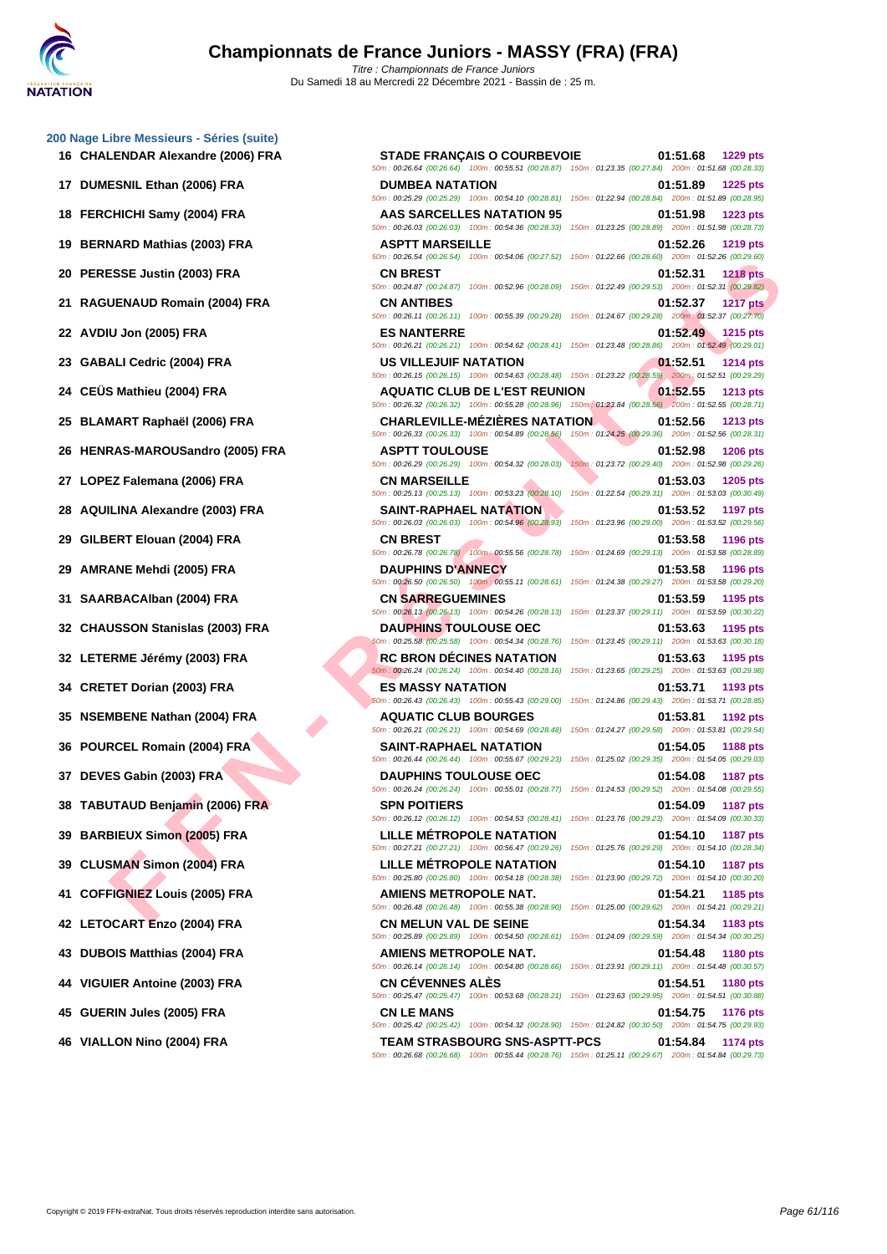|  | 200 Nage Libre Messieurs - Séries (suite) |  |
|--|-------------------------------------------|--|
|  |                                           |  |

- 
- 
- 
- 
- 
- 
- 
- 
- 
- 
- 
- 
- 
- 
- 
- 
- 
- 
- 
- 
- 
- 
- 
- 
- 
- 
- 
- 
- 
- 
- 

**F F A - THE SET THUNDER THE SAMPLES IN THE SAMPLES ISSUE AND SUE THE SAMPLES ISSUE AND SUE THE SAMPLES ISSUE AND SUE THE SAMPLES ISSUE AND SUE THE SAMPLES ISSUE AND SUE THE SAMPLES ISSUE AND SUE THE SAMPLES ISSUE AND SUE 16 CHALENDAR Alexandre (2006) FRA STADE FRANÇAIS O COURBEVOIE 01:51.68 1229 pts** 50m : 00:26.64 (00:26.64) 100m : 00:55.51 (00:28.87) 150m : 01:23.35 (00:27.84) 200m : 01:51.68 (00:28.33) **17 DUMESNIL Ethan (2006) FRA DUMBEA NATATION 01:51.89 1225 pts** 50m : 00:25.29 (00:25.29) 100m : 00:54.10 (00:28.81) 150m : 01:22.94 (00:28.84) 200m : 01:51.89 (00:28.95) **18 FERCHICHI Samy (2004) FRA AAS SARCELLES NATATION 95 01:51.98 1223 pts** 50m : 00:26.03 (00:26.03) 100m : 00:54.36 (00:28.33) 150m : 01:23.25 (00:28.89) 200m : 01:51.98 (00:28.73) **19 BERNARD Mathias (2003) FRA ASPTT MARSEILLE 01:52.26 1219 pts** 50m : 00:26.54 (00:26.54) 100m : 00:54.06 (00:27.52) 150m : 01:22.66 (00:28.60) 200m : 01:52.26 (00:29.60) **20 PERESSE Justin (2003) FRA CN BREST 01:52.31 1218 pts** 50m : 00:24.87 (00:24.87) 100m : 00:52.96 (00:28.09) 150m : 01:22.49 (00:29.53) 200m : 01:52.31 (00:29.82) **21 RAGUENAUD Romain (2004) FRA CN ANTIBES 01:52.37 1217 pts** 50m : 00:26.11 (00:26.11) 100m : 00:55.39 (00:29.28) 150m : 01:24.67 (00:29.28) 200m : 01:52.37 (00:27.70) **22 AVDIU Jon (2005) FRA ES NANTERRE 01:52.49 1215 pts** 50m : 00:26.21 (00:26.21) 100m : 00:54.62 (00:28.41) 150m : 01:23.48 (00:28.86) 200m : 01:52.49 (00:29.01) **23 GABALI Cedric (2004) FRA US VILLEJUIF NATATION 01:52.51 1214 pts** 50m : 00:26.15 (00:26.15) 100m : 00:54.63 (00:28.48) 150m : 01:23.22 (00:28.59) 200m : 01:52.51 (00:29.29) **24 CEÜS Mathieu (2004) FRA AQUATIC CLUB DE L'EST REUNION 01:52.55 1213 pts** 50m : 00:26.32 (00:26.32) 100m : 00:55.28 (00:28.96) 150m : 01:23.84 (00:28.56) 200m : 01:52.55 (00:28.71) **25 BLAMART Raphaël (2006) FRA CHARLEVILLE-MÉZIÈRES NATATION 01:52.56 1213 pts** 50m : 00:26.33 (00:26.33) 100m : 00:54.89 (00:28.56) 150m : 01:24.25 (00:29.36) 200m : 01:52.56 (00:28.31) **26 HENRAS-MAROUSandro (2005) FRA ASPTT TOULOUSE 01:52.98 1206 pts** 50m : 00:26.29 (00:26.29) 100m : 00:54.32 (00:28.03) 150m : 01:23.72 (00:29.40) 200m : 01:52.98 (00:29.26) **27 LOPEZ Falemana (2006) FRA CN MARSEILLE 01:53.03 1205 pts** 50m : 00:25.13 (00:25.13) 100m : 00:53.23 (00:28.10) 150m : 01:22.54 (00:29.31) 200m : 01:53.03 (00:30.49) **28 AQUILINA Alexandre (2003) FRA SAINT-RAPHAEL NATATION 01:53.52 1197 pts** 50m : 00:26.03 (00:26.03) 100m : 00:54.96 (00:28.93) 150m : 01:23.96 (00:29.00) 200m : 01:53.52 (00:29.56) **29 GILBERT Elouan (2004) FRA CN BREST 01:53.58 1196 pts** 50m : 00:26.78 (00:26.78) 100m : 00:55.56 (00:28.78) 150m : 01:24.69 (00:29.13) 200m : 01:53.58 (00:28.89) **29 AMRANE Mehdi (2005) FRA DAUPHINS D'ANNECY 01:53.58 1196 pts** 50m : 00:26.50 (00:26.50) 100m : 00:55.11 (00:28.61) 150m : 01:24.38 (00:29.27) 200m : 01:53.58 (00:29.20) **31 SAARBACAlban (2004) FRA CN SARREGUEMINES 01:53.59 1195 pts** 50m : 00:26.13 (00:26.13) 100m : 00:54.26 (00:28.13) 150m : 01:23.37 (00:29.11) 200m : 01:53.59 (00:30.22) **32 CHAUSSON Stanislas (2003) FRA DAUPHINS TOULOUSE OEC 01:53.63 1195 pts** 50m : 00:25.58 (00:25.58) 100m : 00:54.34 (00:28.76) 150m : 01:23.45 (00:29.11) 200m : 01:53.63 (00:30.18) **32 LETERME Jérémy (2003) FRA RC BRON DÉCINES NATATION 01:53.63 1195 pts** 50m : 00:26.24 (00:26.24) 100m : 00:54.40 (00:28.16) 150m : 01:23.65 (00:29.25) 200m : 01:53.63 (00:29.98) **34 CRETET Dorian (2003) FRA ES MASSY NATATION 01:53.71 1193 pts** 50m : 00:26.43 (00:26.43) 100m : 00:55.43 (00:29.00) 150m : 01:24.86 (00:29.43) 200m : 01:53.71 (00:28.85) **35 NSEMBENE Nathan (2004) FRA AQUATIC CLUB BOURGES 01:53.81 1192 pts** 50m : 00:26.21 (00:26.21) 100m : 00:54.69 (00:28.48) 150m : 01:24.27 (00:29.58) 200m : 01:53.81 (00:29.54) **36 POURCEL Romain (2004) FRA SAINT-RAPHAEL NATATION 01:54.05 1188 pts** 50m : 00:26.44 (00:26.44) 100m : 00:55.67 (00:29.23) 150m : 01:25.02 (00:29.35) 200m : 01:54.05 (00:29.03) **37 DEVES Gabin (2003) FRA DAUPHINS TOULOUSE OEC 01:54.08 1187 pts** 50m : 00:26.24 (00:26.24) 100m : 00:55.01 (00:28.77) 150m : 01:24.53 (00:29.52) 200m : 01:54.08 (00:29.55) **38 TABUTAUD Benjamin (2006) FRA SPN POITIERS 01:54.09 1187 pts** 50m : 00:26.12 (00:26.12) 100m : 00:54.53 (00:28.41) 150m : 01:23.76 (00:29.23) 200m : 01:54.09 (00:30.33) **39 BARBIEUX Simon (2005) FRA LILLE MÉTROPOLE NATATION 01:54.10 1187 pts** 50m : 00:27.21 (00:27.21) 100m : 00:56.47 (00:29.26) 150m : 01:25.76 (00:29.29) 200m : 01:54.10 (00:28.34) **39 CLUSMAN Simon (2004) FRA LILLE MÉTROPOLE NATATION 01:54.10 1187 pts** 50m : 00:25.80 (00:25.80) 100m : 00:54.18 (00:28.38) 150m : 01:23.90 (00:29.72) 200m : 01:54.10 (00:30.20) **41 COFFIGNIEZ Louis (2005) FRA AMIENS METROPOLE NAT. 01:54.21 1185 pts** 50m : 00:26.48 (00:26.48) 100m : 00:55.38 (00:28.90) 150m : 01:25.00 (00:29.62) 200m : 01:54.21 (00:29.21) **42 LETOCART Enzo (2004) FRA CN MELUN VAL DE SEINE 01:54.34 1183 pts** 50m : 00:25.89 (00:25.89) 100m : 00:54.50 (00:28.61) 150m : 01:24.09 (00:29.59) 200m : 01:54.34 (00:30.25) **43 DUBOIS Matthias (2004) FRA AMIENS METROPOLE NAT. 01:54.48 1180 pts** 50m : 00:26.14 (00:26.14) 100m : 00:54.80 (00:28.66) 150m : 01:23.91 (00:29.11) 200m : 01:54.48 (00:30.57) **44 VIGUIER Antoine (2003) FRA CN CÉVENNES ALÈS 01:54.51 1180 pts** 50m : 00:25.47 (00:25.47) 100m : 00:53.68 (00:28.21) 150m : 01:23.63 (00:29.95) 200m : 01:54.51 (00:30.88) **45 GUERIN Jules (2005) FRA CN LE MANS 01:54.75 1176 pts** 50m : 00:25.42 (00:25.42) 100m : 00:54.32 (00:28.90) 150m : 01:24.82 (00:30.50) 200m : 01:54.75 (00:29.93) **46 VIALLON Nino (2004) FRA TEAM STRASBOURG SNS-ASPTT-PCS 01:54.84 1174 pts** 50m : 00:26.68 (00:26.68) 100m : 00:55.44 (00:28.76) 150m : 01:25.11 (00:29.67) 200m : 01:54.84 (00:29.73)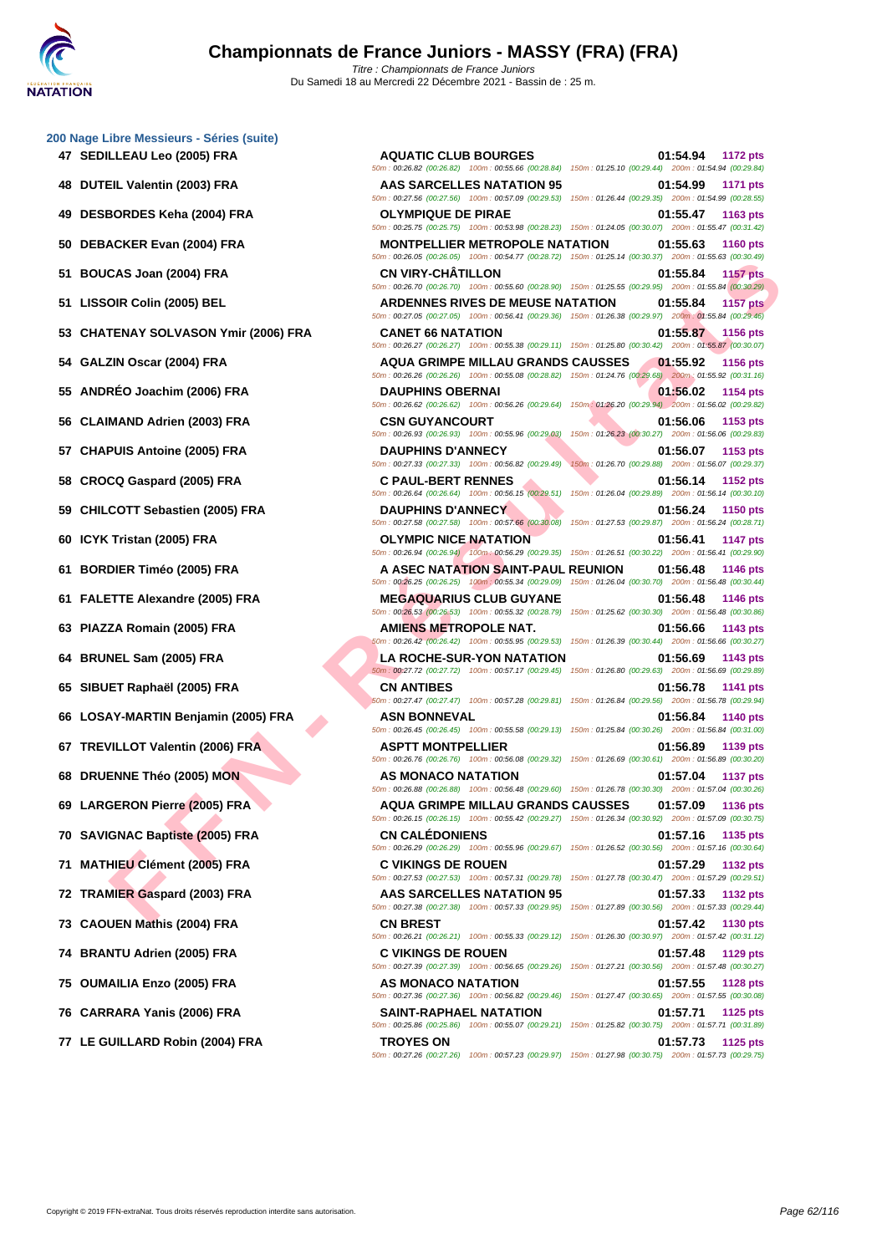CAS JONE (THE AIR ONE CAN UNITRILLATE COMPRESS INTERFERENCE (ISO A PIST CAN UNITRIE AND COMPRESS INTERFERENCE SUBSERFECTE SUBSERFECTE SUBSERFECTE SUBSERFECTE TRANSPORT ON A CONFIDENT SUBSERFECTE SUBSERFECTE SUBSERFECTE SU **SEDILLEAU Leo (2005) FRA AQUATIC CLUB BOURGES 01:54.94 1172 pts DUTEIL Valentin (2003) FRA AAS SARCELLES NATATION 95 01:54.99 1171 pts DESBORDES Keha (2004) FRA OLYMPIQUE DE PIRAE 01:55.47 1163 pts DEBACKER Evan (2004) FRA MONTPELLIER METROPOLE NATATION 01:55.63 1160 pts BOUCAS Joan (2004) FRA CN VIRY-CHÂTILLON 01:55.84 1157 pts LISSOIR Colin (2005) BEL ARDENNES RIVES DE MEUSE NATATION 01:55.84 1157 pts CHATENAY SOLVASON Ymir (2006) FRA CANET 66 NATATION 01:55.87 1156 pts GALZIN Oscar (2004) FRA AQUA GRIMPE MILLAU GRANDS CAUSSES 01:55.92 1156 pts ANDRÉO Joachim (2006) FRA DAUPHINS OBERNAI 01:56.02 1154 pts CLAIMAND Adrien (2003) FRA CSN GUYANCOURT 01:56.06 1153 pts CHAPUIS Antoine (2005) FRA DAUPHINS D'ANNECY 01:56.07 1153 pts CROCQ Gaspard (2005) FRA C PAUL-BERT RENNES 01:56.14 1152 pts CHILCOTT Sebastien (2005) FRA DAUPHINS D'ANNECY 01:56.24 1150 pts ICYK Tristan (2005) FRA OLYMPIC NICE NATATION 01:56.41 1147 pts BORDIER Timéo (2005) FRA A ASEC NATATION SAINT-PAUL REUNION 01:56.48 1146 pts FALETTE Alexandre (2005) FRA MEGAQUARIUS CLUB GUYANE 01:56.48 1146 pts PIAZZA Romain (2005) FRA AMIENS METROPOLE NAT. 01:56.66 1143 pts BRUNEL Sam (2005) FRA LA ROCHE-SUR-YON NATATION 01:56.69 1143 pts SIBUET Raphaël (2005) FRA CN ANTIBES 01:56.78 1141 pts LOSAY-MARTIN Benjamin (2005) FRA ASN BONNEVAL 01:56.84 1140 pts TREVILLOT Valentin (2006) FRA ASPTT MONTPELLIER 01:56.89 1139 pts DRUENNE Théo (2005) MON AS MONACO NATATION 01:57.04 1137 pts LARGERON Pierre (2005) FRA AQUA GRIMPE MILLAU GRANDS CAUSSES 01:57.09 1136 pts SAVIGNAC Baptiste (2005) FRA CN CALÉDONIENS 01:57.16 1135 pts MATHIEU Clément (2005) FRA C VIKINGS DE ROUEN 01:57.29 1132 pts TRAMIER Gaspard (2003) FRA AAS SARCELLES NATATION 95 01:57.33 1132 pts CAOUEN Mathis (2004) FRA CN BREST 01:57.42 1130 pts BRANTU Adrien (2005) FRA C VIKINGS DE ROUEN 01:57.48 1129 pts**

50m : 00:26.82 (00:26.82) 100m : 00:55.66 (00:28.84) 150m : 01:25.10 (00:29.44) 200m : 01:54.94 (00:29.84) 50m : 00:27.56 (00:27.56) 100m : 00:57.09 (00:29.53) 150m : 01:26.44 (00:29.35) 200m : 01:54.99 (00:28.55) 50m : 00:25.75 (00:25.75) 100m : 00:53.98 (00:28.23) 150m : 01:24.05 (00:30.07) 200m : 01:55.47 (00:31.42) 50m : 00:26.05 (00:26.05) 100m : 00:54.77 (00:28.72) 150m : 01:25.14 (00:30.37) 200m : 01:55.63 (00:30.49) 50m : 00:26.70 (00:26.70) 100m : 00:55.60 (00:28.90) 150m : 01:25.55 (00:29.95) 200m : 01:55.84 (00:30.29) 50m : 00:27.05 (00:27.05) 100m : 00:56.41 (00:29.36) 150m : 01:26.38 (00:29.97) 200m : 01:55.84 (00:29.46) 50m : 00:26.27 (00:26.27) 100m : 00:55.38 (00:29.11) 150m : 01:25.80 (00:30.42) 200m : 01:55.87 (00:30.07) 50m : 00:26.26 (00:26.26) 100m : 00:55.08 (00:28.82) 150m : 01:24.76 (00:29.68) 200m : 01:55.92 (00:31.16) 50m : 00:26.62 (00:26.62) 100m : 00:56.26 (00:29.64) 150m : 01:26.20 (00:29.94) 200m : 01:56.02 (00:29.82) 50m : 00:26.93 (00:26.93) 100m : 00:55.96 (00:29.03) 150m : 01:26.23 (00:30.27) 200m : 01:56.06 (00:29.83) 50m : 00:27.33 (00:27.33) 100m : 00:56.82 (00:29.49) 150m : 01:26.70 (00:29.88) 200m : 01:56.07 (00:29.37) 50m : 00:26.64 (00:26.64) 100m : 00:56.15 (00:29.51) 150m : 01:26.04 (00:29.89) 200m : 01:56.14 (00:30.10) 50m : 00:27.58 (00:27.58) 100m : 00:57.66 (00:30.08) 150m : 01:27.53 (00:29.87) 200m : 01:56.24 (00:28.71) 50m : 00:26.94 (00:26.94) 100m : 00:56.29 (00:29.35) 150m : 01:26.51 (00:30.22) 200m : 01:56.41 (00:29.90) 50m : 00:26.25 (00:26.25) 100m : 00:55.34 (00:29.09) 150m : 01:26.04 (00:30.70) 200m : 01:56.48 (00:30.44) 50m : 00:26.53 (00:26.53) 100m : 00:55.32 (00:28.79) 150m : 01:25.62 (00:30.30) 200m : 01:56.48 (00:30.86) 50m : 00:26.42 (00:26.42) 100m : 00:55.95 (00:29.53) 150m : 01:26.39 (00:30.44) 200m : 01:56.66 (00:30.27) 50m : 00:27.72 (00:27.72) 100m : 00:57.17 (00:29.45) 150m : 01:26.80 (00:29.63) 200m : 01:56.69 (00:29.89) 50m : 00:27.47 (00:27.47) 100m : 00:57.28 (00:29.81) 150m : 01:26.84 (00:29.56) 200m : 01:56.78 (00:29.94) 50m : 00:26.45 (00:26.45) 100m : 00:55.58 (00:29.13) 150m : 01:25.84 (00:30.26) 200m : 01:56.84 (00:31.00) 50m : 00:26.76 (00:26.76) 100m : 00:56.08 (00:29.32) 150m : 01:26.69 (00:30.61) 200m : 01:56.89 (00:30.20) 50m : 00:26.88 (00:26.88) 100m : 00:56.48 (00:29.60) 150m : 01:26.78 (00:30.30) 200m : 01:57.04 (00:30.26) 50m : 00:26.15 (00:26.15) 100m : 00:55.42 (00:29.27) 150m : 01:26.34 (00:30.92) 200m : 01:57.09 (00:30.75) 50m : 00:26.29 (00:26.29) 100m : 00:55.96 (00:29.67) 150m : 01:26.52 (00:30.56) 200m : 01:57.16 (00:30.64) 50m : 00:27.53 (00:27.53) 100m : 00:57.31 (00:29.78) 150m : 01:27.78 (00:30.47) 200m : 01:57.29 (00:29.51) 50m : 00:27.38 (00:27.38) 100m : 00:57.33 (00:29.95) 150m : 01:27.89 (00:30.56) 200m : 01:57.33 (00:29.44) 50m : 00:26.21 (00:26.21) 100m : 00:55.33 (00:29.12) 150m : 01:26.30 (00:30.97) 200m : 01:57.42 (00:31.12) 50m : 00:27.39 (00:27.39) 100m : 00:56.65 (00:29.26) 150m : 01:27.21 (00:30.56) 200m : 01:57.48 (00:30.27) **75 OUMAILIA Enzo (2005) FRA AS MONACO NATATION 01:57.55 1128 pts** 50m : 00:27.36 (00:27.36) 100m : 00:56.82 (00:29.46) 150m : 01:27.47 (00:30.65) 200m : 01:57.55 (00:30.08) **76 CARRARA Yanis (2006) FRA SAINT-RAPHAEL NATATION 01:57.71 1125 pts** 50m : 00:25.86 (00:25.86) 100m : 00:55.07 (00:29.21) 150m : 01:25.82 (00:30.75) 200m : 01:57.71 (00:31.89) **77 LE GUILLARD Robin (2004) FRA TROYES ON 01:57.73 1125 pts** 50m : 00:27.26 (00:27.26) 100m : 00:57.23 (00:29.97) 150m : 01:27.98 (00:30.75) 200m : 01:57.73 (00:29.75)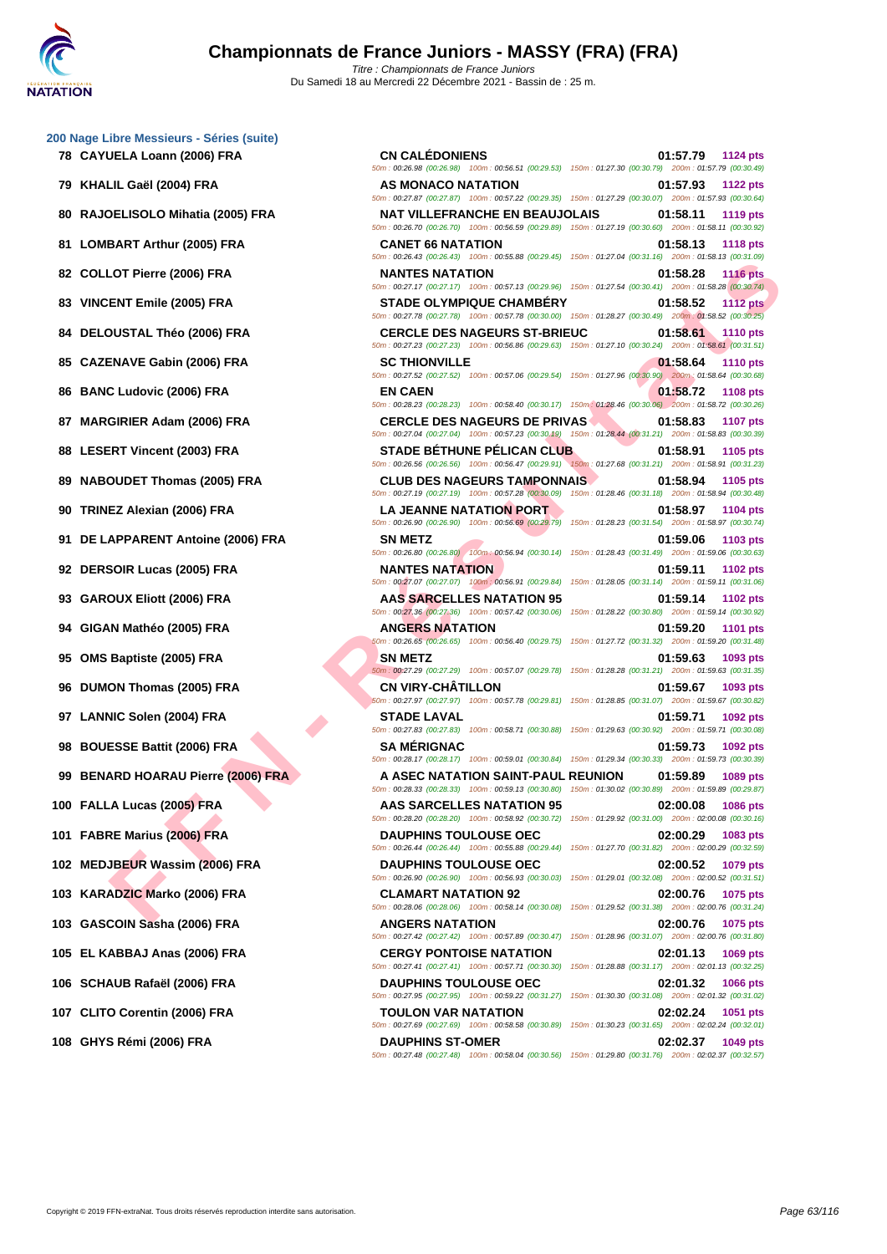ENT Vine to 1000 FRA SAMTES MATINON COMPRESS PARTICUSES OF THE SAMTES MATINON COMPRESS PROPRESS PROPRESS PROPRESS PROPRESS PROPRESS PROPRESS PROPRESS PROPRESS PROPRESS PROPRESS PROPRESS PROPRESS PROPRESS PROPRESS PROPRESS **78 CAYUELA Loann (2006) FRA CN CALÉDONIENS 01:57.79 1124 pts** 50m : 00:26.98 (00:26.98) 100m : 00:56.51 (00:29.53) 150m : 01:27.30 (00:30.79) 200m : 01:57.79 (00:30.49) **79 KHALIL Gaël (2004) FRA AS MONACO NATATION 01:57.93 1122 pts** 50m : 00:27.87 (00:27.87) 100m : 00:57.22 (00:29.35) 150m : 01:27.29 (00:30.07) 200m : 01:57.93 (00:30.64) **80 RAJOELISOLO Mihatia (2005) FRA NAT VILLEFRANCHE EN BEAUJOLAIS 01:58.11 1119 pts** 50m : 00:26.70 (00:26.70) 100m : 00:56.59 (00:29.89) 150m : 01:27.19 (00:30.60) 200m : 01:58.11 (00:30.92) **81 LOMBART Arthur (2005) FRA CANET 66 NATATION 01:58.13 1118 pts** 50m : 00:26.43 (00:26.43) 100m : 00:55.88 (00:29.45) 150m : 01:27.04 (00:31.16) 200m : 01:58.13 (00:31.09) **82 COLLOT Pierre (2006) FRA NANTES NATATION 01:58.28 1116 pts** 50m : 00:27.17 (00:27.17) 100m : 00:57.13 (00:29.96) 150m : 01:27.54 (00:30.41) 200m : 01:58.28 (00:30.74) **83 VINCENT Emile (2005) FRA STADE OLYMPIQUE CHAMBÉRY 01:58.52 1112 pts** 50m : 00:27.78 (00:27.78) 100m : 00:57.78 (00:30.00) 150m : 01:28.27 (00:30.49) 200m : 01:58.52 (00:30.25) **84 DELOUSTAL Théo (2006) FRA CERCLE DES NAGEURS ST-BRIEUC 01:58.61 1110 pts** 50m : 00:27.23 (00:27.23) 100m : 00:56.86 (00:29.63) 150m : 01:27.10 (00:30.24) 200m : 01:58.61 (00:31.51) **85 CAZENAVE Gabin (2006) FRA SC THIONVILLE 01:58.64 1110 pts** 50m : 00:27.52 (00:27.52) 100m : 00:57.06 (00:29.54) 150m : 01:27.96 (00:30.90) 200m : 01:58.64 (00:30.68) **86 BANC Ludovic (2006) FRA EN CAEN 01:58.72 1108 pts** 50m : 00:28.23 (00:28.23) 100m : 00:58.40 (00:30.17) 150m : 01:28.46 (00:30.06) 200m : 01:58.72 (00:30.26) **87 MARGIRIER Adam (2006) FRA CERCLE DES NAGEURS DE PRIVAS 01:58.83 1107 pts** 50m : 00:27.04 (00:27.04) 100m : 00:57.23 (00:30.19) 150m : 01:28.44 (00:31.21) 200m : 01:58.83 (00:30.39) **88 LESERT Vincent (2003) FRA STADE BÉTHUNE PÉLICAN CLUB 01:58.91 1105 pts** 50m : 00:26.56 (00:26.56) 100m : 00:56.47 (00:29.91) 150m : 01:27.68 (00:31.21) 200m : 01:58.91 (00:31.23) **89 NABOUDET Thomas (2005) FRA CLUB DES NAGEURS TAMPONNAIS 01:58.94 1105 pts** 50m : 00:27.19 (00:27.19) 100m : 00:57.28 (00:30.09) 150m : 01:28.46 (00:31.18) 200m : 01:58.94 (00:30.48) **90 TRINEZ Alexian (2006) FRA LA JEANNE NATATION PORT 01:58.97 1104 pts** 50m : 00:26.90 (00:26.90) 100m : 00:56.69 (00:29.79) 150m : 01:28.23 (00:31.54) 200m : 01:58.97 (00:30.74) **91 DE LAPPARENT Antoine (2006) FRA SN METZ 01:59.06 1103 pts** 50m : 00:26.80 (00:26.80) 100m : 00:56.94 (00:30.14) 150m : 01:28.43 (00:31.49) 200m : 01:59.06 (00:30.63) **92 DERSOIR Lucas (2005) FRA NANTES NATATION 01:59.11 1102 pts** 50m : 00:27.07 (00:27.07) 100m : 00:56.91 (00:29.84) 150m : 01:28.05 (00:31.14) 200m : 01:59.11 (00:31.06) **93 GAROUX Eliott (2006) FRA AAS SARCELLES NATATION 95 01:59.14 1102 pts** 50m : 00:27.36 (00:27.36) 100m : 00:57.42 (00:30.06) 150m : 01:28.22 (00:30.80) 200m : 01:59.14 (00:30.92) **94 GIGAN Mathéo (2005) FRA ANGERS NATATION 01:59.20 1101 pts** 50m : 00:26.65 (00:26.65) 100m : 00:56.40 (00:29.75) 150m : 01:27.72 (00:31.32) 200m : 01:59.20 (00:31.48) **95 OMS Baptiste (2005) FRA SN METZ 01:59.63 1093 pts** 50m : 00:27.29 (00:27.29) 100m : 00:57.07 (00:29.78) 150m : 01:28.28 (00:31.21) 200m : 01:59.63 (00:31.35) **96 DUMON Thomas (2005) FRA CN VIRY-CHÂTILLON 01:59.67 1093 pts** 50m : 00:27.97 (00:27.97) 100m : 00:57.78 (00:29.81) 150m : 01:28.85 (00:31.07) 200m : 01:59.67 (00:30.82) **97 LANNIC Solen (2004) FRA STADE LAVAL 01:59.71 1092 pts** 50m : 00:27.83 (00:27.83) 100m : 00:58.71 (00:30.88) 150m : 01:29.63 (00:30.92) 200m : 01:59.71 (00:30.08) **98 BOUESSE Battit (2006) FRA SA MÉRIGNAC 01:59.73 1092 pts** 50m : 00:28.17 (00:28.17) 100m : 00:59.01 (00:30.84) 150m : 01:29.34 (00:30.33) 200m : 01:59.73 (00:30.39) **99 BENARD HOARAU Pierre (2006) FRA A ASEC NATATION SAINT-PAUL REUNION 01:59.89 1089 pts** 50m : 00:28.33 (00:28.33) 100m : 00:59.13 (00:30.80) 150m : 01:30.02 (00:30.89) 200m : 01:59.89 (00:29.87) **100 FALLA Lucas (2005) FRA AAS SARCELLES NATATION 95 02:00.08 1086 pts** 50m : 00:28.20 (00:28.20) 100m : 00:58.92 (00:30.72) 150m : 01:29.92 (00:31.00) 200m : 02:00.08 (00:30.16) **101 FABRE Marius (2006) FRA DAUPHINS TOULOUSE OEC 02:00.29 1083 pts** 50m : 00:26.44 (00:26.44) 100m : 00:55.88 (00:29.44) 150m : 01:27.70 (00:31.82) 200m : 02:00.29 (00:32.59) **102 MEDJBEUR Wassim (2006) FRA DAUPHINS TOULOUSE OEC 02:00.52 1079 pts** 50m : 00:26.90 (00:26.90) 100m : 00:56.93 (00:30.03) 150m : 01:29.01 (00:32.08) 200m : 02:00.52 (00:31.51) **103 KARADZIC Marko (2006) FRA CLAMART NATATION 92 02:00.76 1075 pts** 50m : 00:28.06 (00:28.06) 100m : 00:58.14 (00:30.08) 150m : 01:29.52 (00:31.38) 200m : 02:00.76 (00:31.24) **103 GASCOIN Sasha (2006) FRA ANGERS NATATION 02:00.76 1075 pts** 50m : 00:27.42 (00:27.42) 100m : 00:57.89 (00:30.47) 150m : 01:28.96 (00:31.07) 200m : 02:00.76 (00:31.80) **105 EL KABBAJ Anas (2006) FRA CERGY PONTOISE NATATION 02:01.13 1069 pts** 50m : 00:27.41 (00:27.41) 100m : 00:57.71 (00:30.30) 150m : 01:28.88 (00:31.17) 200m : 02:01.13 (00:32.25) **106 SCHAUB Rafaël (2006) FRA DAUPHINS TOULOUSE OEC 02:01.32 1066 pts** 50m : 00:27.95 (00:27.95) 100m : 00:59.22 (00:31.27) 150m : 01:30.30 (00:31.08) 200m : 02:01.32 (00:31.02) **107 CLITO Corentin (2006) FRA TOULON VAR NATATION 02:02.24 1051 pts** 50m : 00:27.69 (00:27.69) 100m : 00:58.58 (00:30.89) 150m : 01:30.23 (00:31.65) 200m : 02:02.24 (00:32.01) **108 GHYS Rémi (2006) FRA DAUPHINS ST-OMER 02:02.37 1049 pts** 50m : 00:27.48 (00:27.48) 100m : 00:58.04 (00:30.56) 150m : 01:29.80 (00:31.76) 200m : 02:02.37 (00:32.57)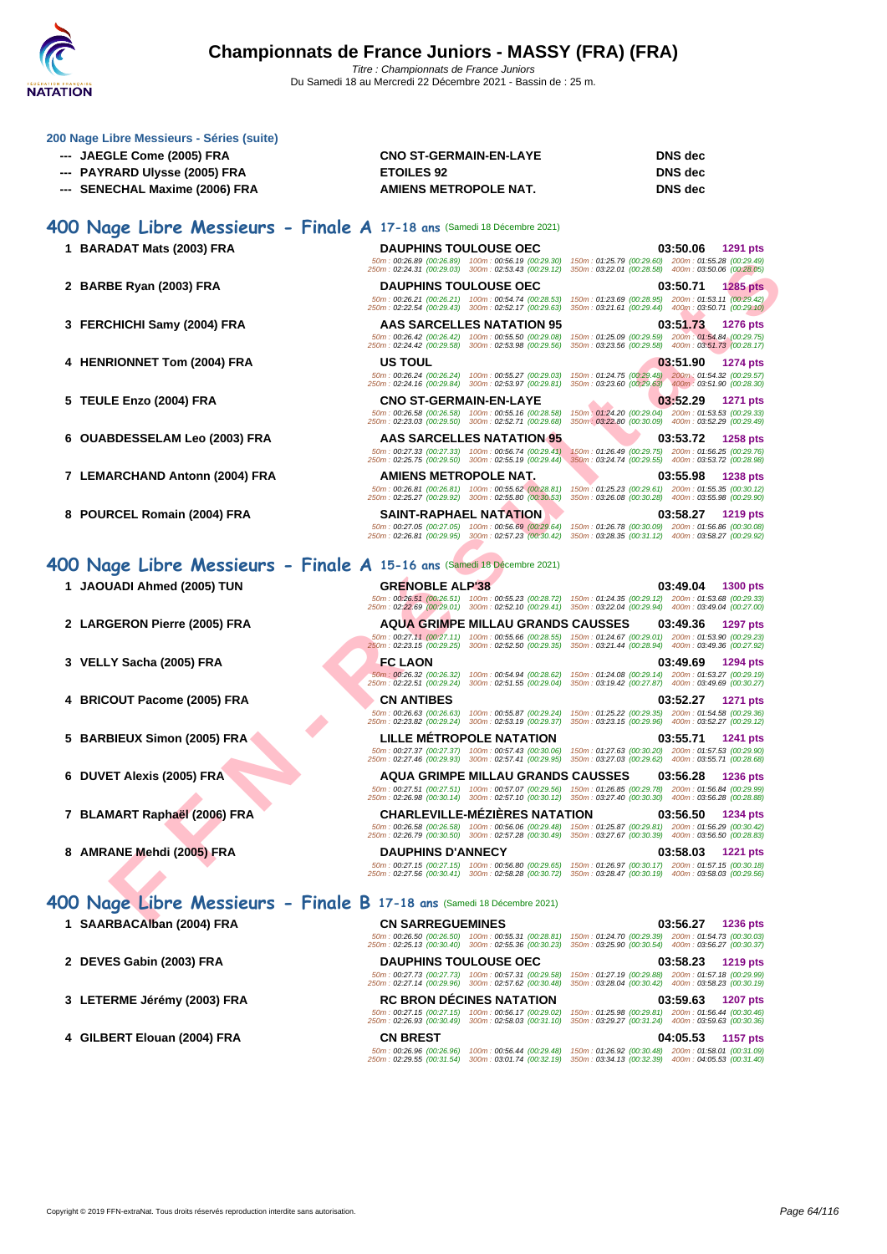

| 200 Nage Libre Messieurs - Séries (suite)<br>--- JAEGLE Come (2005) FRA<br>---   PAYRARD Ulysse (2005) FRA<br>--- SENECHAL Maxime (2006) FRA | <b>CNO ST-GERMAIN-EN-LAYE</b><br><b>ETOILES 92</b><br>AMIENS METROPOLE NAT.                                                                                                                                       | <b>DNS</b> dec<br><b>DNS</b> dec<br><b>DNS</b> dec                                                                                    |
|----------------------------------------------------------------------------------------------------------------------------------------------|-------------------------------------------------------------------------------------------------------------------------------------------------------------------------------------------------------------------|---------------------------------------------------------------------------------------------------------------------------------------|
| 400 Nage Libre Messieurs - Finale A 17-18 ans (Samedi 18 Décembre 2021)                                                                      |                                                                                                                                                                                                                   |                                                                                                                                       |
| 1 BARADAT Mats (2003) FRA                                                                                                                    | <b>DAUPHINS TOULOUSE OEC</b>                                                                                                                                                                                      | 03:50.06<br>1291 pts                                                                                                                  |
|                                                                                                                                              | 50m: 00:26.89 (00:26.89) 100m: 00:56.19 (00:29.30)<br>250m: 02:24.31 (00:29.03) 300m: 02:53.43 (00:29.12)                                                                                                         | 150m: 01:25.79 (00:29.60) 200m: 01:55.28 (00:29.49)<br>350m: 03:22.01 (00:28.58) 400m: 03:50.06 (00:28.05)                            |
| 2 BARBE Ryan (2003) FRA                                                                                                                      | <b>DAUPHINS TOULOUSE OEC</b><br>50m: 00:26.21 (00:26.21) 100m: 00:54.74 (00:28.53)                                                                                                                                | 03:50.71<br>1285 pts<br>150m: 01:23.69 (00:28.95) 200m: 01:53.11 (00:29.42)                                                           |
|                                                                                                                                              | 250m: 02:22.54 (00:29.43) 300m: 02:52.17 (00:29.63)                                                                                                                                                               | 350m: 03:21.61 (00:29.44) 400m: 03:50.71 (00:29.10)                                                                                   |
| 3 FERCHICHI Samy (2004) FRA                                                                                                                  | AAS SARCELLES NATATION 95<br>50m: 00:26.42 (00:26.42) 100m: 00:55.50 (00:29.08)                                                                                                                                   | 03:51.73<br><b>1276 pts</b><br>150m: 01:25.09 (00:29.59) 200m: 01:54.84 (00:29.75)                                                    |
|                                                                                                                                              | 250m: 02:24.42 (00:29.58) 300m: 02:53.98 (00:29.56)                                                                                                                                                               | 350m: 03:23.56 (00:29.58) 400m: 03:51.73 (00:28.17)                                                                                   |
| 4 HENRIONNET Tom (2004) FRA                                                                                                                  | <b>US TOUL</b><br>50m: 00:26.24 (00:26.24) 100m: 00:55.27 (00:29.03)                                                                                                                                              | 03:51.90<br><b>1274 pts</b><br>150m: 01:24.75 (00:29.48) 200m: 01:54.32 (00:29.57)                                                    |
|                                                                                                                                              | 250m: 02:24.16 (00:29.84) 300m: 02:53.97 (00:29.81)                                                                                                                                                               | 350m: 03:23.60 (00:29.63) 400m: 03:51.90 (00:28.30)                                                                                   |
| 5 TEULE Enzo (2004) FRA                                                                                                                      | <b>CNO ST-GERMAIN-EN-LAYE</b><br>50m: 00:26.58 (00:26.58) 100m: 00:55.16 (00:28.58)                                                                                                                               | 03:52.29<br>1271 pts<br>150m: 01:24.20 (00:29.04) 200m: 01:53.53 (00:29.33)                                                           |
|                                                                                                                                              | 250m: 02:23.03 (00:29.50) 300m: 02:52.71 (00:29.68)<br>AAS SARCELLES NATATION 95                                                                                                                                  | 350m : 03:22.80 (00:30.09) 400m : 03:52.29 (00:29.49)<br>03:53.72                                                                     |
| 6 OUABDESSELAM Leo (2003) FRA                                                                                                                | 50m: 00:27.33 (00:27.33) 100m: 00:56.74 (00:29.41)                                                                                                                                                                | <b>1258 pts</b><br>150m: 01:26.49 (00:29.75) 200m: 01:56.25 (00:29.76)                                                                |
| 7 LEMARCHAND Antonn (2004) FRA                                                                                                               | 250m: 02:25.75 (00:29.50) 300m: 02:55.19 (00:29.44)<br>AMIENS METROPOLE NAT.                                                                                                                                      | 350m: 03:24.74 (00:29.55) 400m: 03:53.72 (00:28.98)<br>03:55.98<br>1238 pts                                                           |
|                                                                                                                                              | 50m: 00:26.81 (00:26.81) 100m: 00:55.62 (00:28.81)<br>250m: 02:25.27 (00:29.92) 300m: 02:55.80 (00:30.53)                                                                                                         | 150m: 01:25.23 (00:29.61) 200m: 01:55.35 (00:30.12)<br>350m: 03:26.08 (00:30.28) 400m: 03:55.98 (00:29.90)                            |
| 8 POURCEL Romain (2004) FRA                                                                                                                  | <b>SAINT-RAPHAEL NATATION</b>                                                                                                                                                                                     | 03:58.27<br>1219 pts                                                                                                                  |
|                                                                                                                                              | 50m: 00:27.05 (00:27.05) 100m: 00:56.69 (00:29.64)<br>250m: 02:26.81 (00:29.95) 300m: 02:57.23 (00:30.42)                                                                                                         | 150m: 01:26.78 (00:30.09) 200m: 01:56.86 (00:30.08)<br>350m: 03:28.35 (00:31.12) 400m: 03:58.27 (00:29.92)                            |
| 400 Nage Libre Messieurs - Finale A 15-16 ans (Samedi 18 Décembre 2021)                                                                      |                                                                                                                                                                                                                   |                                                                                                                                       |
| 1 JAOUADI Ahmed (2005) TUN                                                                                                                   | <b>GRENOBLE ALP'38</b>                                                                                                                                                                                            | 03:49.04<br><b>1300 pts</b>                                                                                                           |
|                                                                                                                                              | 50m: 00:26.51 (00:26.51) 100m: 00:55.23 (00:28.72)<br>250m: 02;22.69 (00:29.01) 300m: 02:52.10 (00:29.41) 350m: 03:22.04 (00:29.94) 400m: 03:49.04 (00:27.00)                                                     | 150m: 01:24.35 (00:29.12) 200m: 01:53.68 (00:29.33)                                                                                   |
| 2 LARGERON Pierre (2005) FRA                                                                                                                 | <b>AQUA GRIMPE MILLAU GRANDS CAUSSES</b>                                                                                                                                                                          | 03:49.36<br><b>1297 pts</b>                                                                                                           |
|                                                                                                                                              | 50m: 00:27.11 (00:27.11) 100m: 00:55.66 (00:28.55)<br>250m: 02:23.15 (00:29.25) 300m: 02:52.50 (00:29.35)                                                                                                         | 150m: 01:24.67 (00:29.01) 200m: 01:53.90 (00:29.23)<br>350m: 03:21.44 (00:28.94) 400m: 03:49.36 (00:27.92)                            |
| 3 VELLY Sacha (2005) FRA                                                                                                                     | <b>FC LAON</b>                                                                                                                                                                                                    | 03:49.69<br>1294 pts                                                                                                                  |
|                                                                                                                                              | 250m: 02:22.51 (00:29.24) 300m: 02:51.55 (00:29.04) 350m: 03:19.42 (00:27.87) 400m: 03:49.69 (00:30.27)                                                                                                           | 50m: 00:26.32 (00:26.32) 100m: 00:54.94 (00:28.62) 150m: 01:24.08 (00:29.14) 200m: 01:53.27 (00:29.19)                                |
| 4 BRICOUT Pacome (2005) FRA                                                                                                                  | <b>CN ANTIBES</b>                                                                                                                                                                                                 | 03:52.27<br><b>1271 pts</b>                                                                                                           |
|                                                                                                                                              | 50m: 00:26.63 (00:26.63) 100m: 00:55.87 (00:29.24)<br>250m: 02:23.82 (00:29.24) 300m: 02:53.19 (00:29.37)                                                                                                         | 150m: 01:25.22 (00:29.35) 200m: 01:54.58 (00:29.36)<br>350m: 03:23.15 (00:29.96) 400m: 03:52.27 (00:29.12)                            |
| 5 BARBIEUX Simon (2005) FRA                                                                                                                  | LILLE METROPOLE NATATION                                                                                                                                                                                          | 03:55.71<br><b>1241 pts</b>                                                                                                           |
|                                                                                                                                              | 50m: 00:27.37 (00:27.37) 100m: 00:57.43 (00:30.06)<br>250m: 02:27.46 (00:29.93) 300m: 02:57.41 (00:29.95)                                                                                                         | 150m: 01:27.63 (00:30.20) 200m: 01:57.53 (00:29.90)<br>350m: 03:27.03 (00:29.62) 400m: 03:55.71 (00:28.68)                            |
| 6 DUVET Alexis (2005) FRA                                                                                                                    | <b>AQUA GRIMPE MILLAU GRANDS CAUSSES</b>                                                                                                                                                                          | 03:56.28 1236 pts                                                                                                                     |
|                                                                                                                                              | 50m: 00:27.51 (00:27.51) 100m: 00:57.07 (00:29.56) 150m: 01:26.85 (00:29.78) 200m: 01:56.84 (00:29.99)<br>250m: 02:26.98 (00:30.14) 300m: 02:57.10 (00:30.12) 350m: 03:27.40 (00:30.30) 400m: 03:56.28 (00:28.88) |                                                                                                                                       |
| 7 BLAMART Raphaël (2006) FRA                                                                                                                 | <b>CHARLEVILLE-MEZIERES NATATION</b>                                                                                                                                                                              | 03:56.50<br>1234 pts                                                                                                                  |
|                                                                                                                                              | 250m: 02:26.79 (00:30.50) 300m: 02:57.28 (00:30.49) 350m: 03:27.67 (00:30.39) 400m: 03:56.50 (00:28.83)                                                                                                           | 50m: 00:26.58 (00:26.58) 100m: 00:56.06 (00:29.48) 150m: 01:25.87 (00:29.81) 200m: 01:56.29 (00:30.42)                                |
| 8 AMRANE Mehdi (2005) FRA                                                                                                                    | <b>DAUPHINS D'ANNECY</b>                                                                                                                                                                                          | 03:58.03<br><b>1221 pts</b><br>50m: 00:27.15 (00:27.15) 100m: 00:56.80 (00:29.65) 150m: 01:26.97 (00:30.17) 200m: 01:57.15 (00:30.18) |
|                                                                                                                                              | 250m: 02:27.56 (00:30.41) 300m: 02:58.28 (00:30.72) 350m: 03:28.47 (00:30.19) 400m: 03:58.03 (00:29.56)                                                                                                           |                                                                                                                                       |
| 400 Nage Libre Messieurs - Finale B 17-18 ans (Samedi 18 Décembre 2021)                                                                      |                                                                                                                                                                                                                   |                                                                                                                                       |
| 1 SAARBACAlban (2004) FRA                                                                                                                    | <b>CN SARREGUEMINES</b>                                                                                                                                                                                           | 03:56.27<br><b>1236 pts</b>                                                                                                           |
|                                                                                                                                              | 250m: 02:25.13 (00:30.40) 300m: 02:55.36 (00:30.23) 350m: 03:25.90 (00:30.54) 400m: 03:56.27 (00:30.37)                                                                                                           | 50m : 00:26.50 (00:26.50) 100m : 00:55.31 (00:28.81) 150m : 01:24.70 (00:29.39) 200m : 01:54.73 (00:30.03)                            |
| 2 DEVES Gabin (2003) FRA                                                                                                                     | <b>DAUPHINS TOULOUSE OEC</b>                                                                                                                                                                                      | 03:58.23<br><b>1219 pts</b>                                                                                                           |
|                                                                                                                                              | 50m: 00:27.73 (00:27.73) 100m: 00:57.31 (00:29.58)<br>250m: 02:27.14 (00:29.96) 300m: 02:57.62 (00:30.48)                                                                                                         | 150m: 01:27.19 (00:29.88) 200m: 01:57.18 (00:29.99)<br>350m: 03:28.04 (00:30.42) 400m: 03:58.23 (00:30.19)                            |
| 3 LETERME Jérémy (2003) FRA                                                                                                                  | <b>RC BRON DECINES NATATION</b>                                                                                                                                                                                   | 03:59.63<br><b>1207 pts</b>                                                                                                           |
|                                                                                                                                              | 50m: 00:27.15 (00:27.15) 100m: 00:56.17 (00:29.02)<br>250m: 02:26.93 (00:30.49) 300m: 02:58.03 (00:31.10)                                                                                                         | 150m: 01:25.98 (00:29.81) 200m: 01:56.44 (00:30.46)<br>350m: 03:29.27 (00:31.24) 400m: 03:59.63 (00:30.36)                            |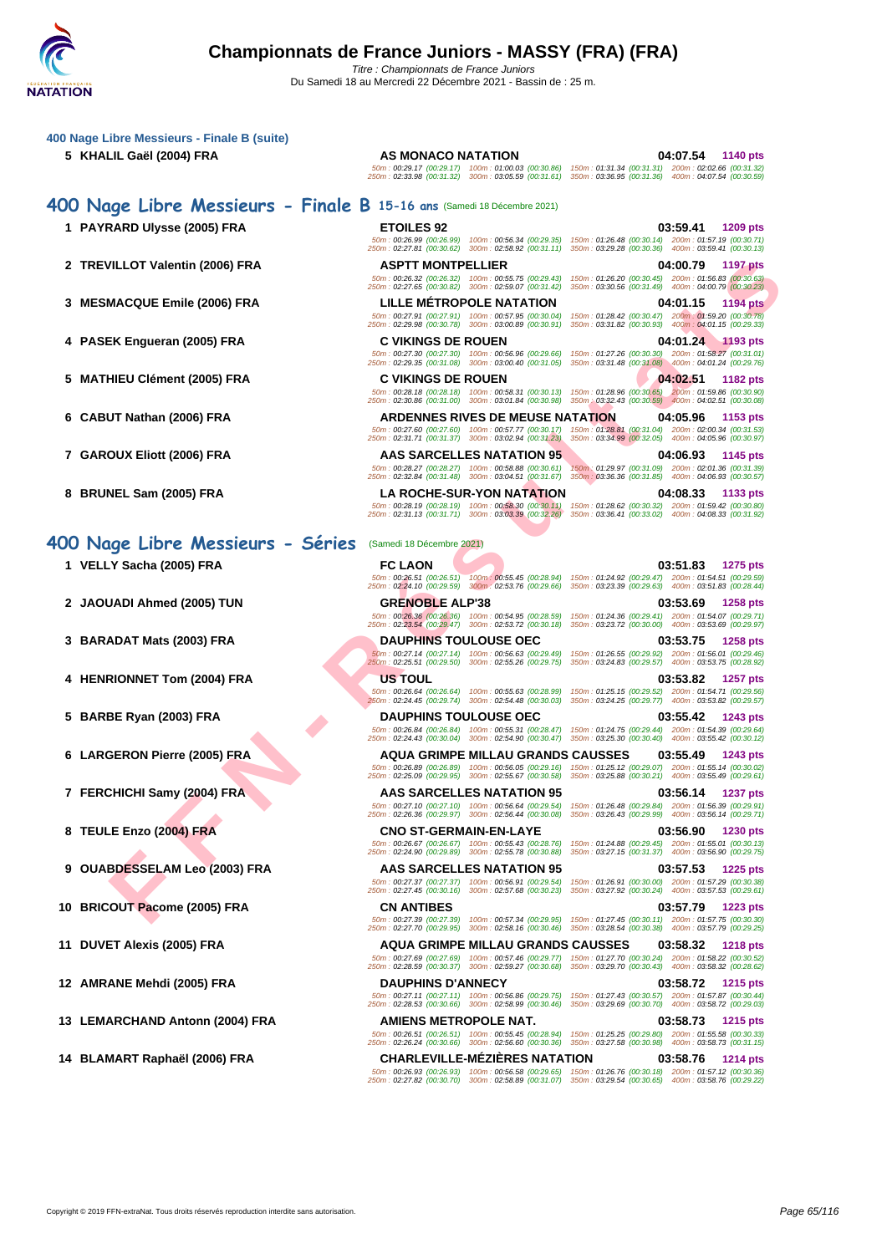| 5 KHALIL Gaël (2004) FRA          | AS MONACO NATATION<br>04:07.54<br>1140 pts<br>50m: 00:29.17 (00:29.17) 100m: 01:00.03 (00:30.86) 150m: 01:31.34 (00:31.31) 200m: 02:02.66 (00:31.32)<br>250m: 02:33.98 (00:31.32) 300m: 03:05.59 (00:31.61) 350m: 03:36.95 (00:31.36) 400m: 04:07.54 (00:30.59)                                  |
|-----------------------------------|--------------------------------------------------------------------------------------------------------------------------------------------------------------------------------------------------------------------------------------------------------------------------------------------------|
|                                   | 400 Nage Libre Messieurs - Finale B 15-16 ans (Samedi 18 Décembre 2021)                                                                                                                                                                                                                          |
| 1 PAYRARD Ulysse (2005) FRA       | <b>ETOILES 92</b><br>03:59.41<br><b>1209 pts</b><br>50m: 00:26.99 (00:26.99) 100m: 00:56.34 (00:29.35)<br>150m: 01:26.48 (00:30.14) 200m: 01:57.19 (00:30.71)                                                                                                                                    |
| 2 TREVILLOT Valentin (2006) FRA   | 250m: 02:27.81 (00:30.62) 300m: 02:58.92 (00:31.11)<br>350m: 03:29.28 (00:30.36) 400m: 03:59.41 (00:30.13)<br><b>ASPTT MONTPELLIER</b><br>04:00.79<br><b>1197 pts</b><br>50m: 00:26.32 (00:26.32) 100m: 00:55.75 (00:29.43)<br>150m: 01:26.20 (00:30.45) 200m: 01:56.83 (00:30.63)               |
| 3 MESMACQUE Emile (2006) FRA      | 250m: 02:27.65 (00:30.82) 300m: 02:59.07 (00:31.42)<br>350m: 03:30.56 (00:31.49) 400m: 04:00.79 (00:30.23)<br><b>LILLE METROPOLE NATATION</b><br>04:01.15<br><b>1194 pts</b>                                                                                                                     |
| 4 PASEK Engueran (2005) FRA       | 50m: 00:27.91 (00:27.91) 100m: 00:57.95 (00:30.04)<br>150m: 01:28.42 (00:30.47) 200m: 01:59.20 (00:30.78)<br>250m: 02:29.98 (00:30.78) 300m: 03:00.89 (00:30.91)<br>350m: 03:31.82 (00:30.93) 400m: 04:01.15 (00:29.33)<br><b>C VIKINGS DE ROUEN</b><br>04:01.24 1193 pts                        |
| 5 MATHIEU Clément (2005) FRA      | 50m: 00:27.30 (00:27.30) 100m: 00:56.96 (00:29.66)<br>150m: 01:27.26 (00:30.30) 200m: 01:58.27 (00:31.01)<br>250m: 02:29.35 (00:31.08) 300m: 03:00.40 (00:31.05)<br>350m: 03:31.48 (00:31.08) 400m: 04:01.24 (00:29.76)<br><b>C VIKINGS DE ROUEN</b><br>04:02.51<br>1182 pts                     |
|                                   | 50m: 00:28.18 (00:28.18) 100m: 00:58.31 (00:30.13)<br>150m: 01:28.96 (00:30.65) 200m: 01:59.86 (00:30.90)<br>350m : 03:32.43 (00:30.59) 400m : 04:02.51 (00:30.08)<br>250m: 02:30.86 (00:31.00) 300m: 03:01.84 (00:30.98)<br><b>ARDENNES RIVES DE MEUSE NATATION</b><br>04:05.96<br>1153 pts     |
| 6 CABUT Nathan (2006) FRA         | 50m: 00:27.60 (00:27.60) 100m: 00:57.77 (00:30.17)<br>150m: 01:28.81 (00:31.04) 200m: 02:00.34 (00:31.53)<br>250m: 02:31.71 (00:31.37) 300m: 03:02.94 (00:31.23)<br>350m: 03:34.99 (00:32.05) 400m: 04:05.96 (00:30.97)                                                                          |
| 7 GAROUX Eliott (2006) FRA        | AAS SARCELLES NATATION 95<br>04:06.93<br>1145 pts<br>50m: 00:28.27 (00:28.27) 100m: 00:58.88 (00:30.61)<br>150m: 01:29.97 (00:31.09) 200m: 02:01.36 (00:31.39)<br>250m: 02:32.84 (00:31.48) 300m: 03:04.51 (00:31.67)<br>350m: 03:36.36 (00:31.85) 400m: 04:06.93 (00:30.57)                     |
| 8 BRUNEL Sam (2005) FRA           | <b>LA ROCHE-SUR-YON NATATION</b><br>04:08.33<br>1133 pts<br>50m: 00:28.19 (00:28.19) 100m: 00:58.30 (00:30.11) 150m: 01:28.62 (00:30.32) 200m: 01:59.42 (00:30.80)<br>250m: 02:31.13 (00:31.71) 300m: 03:03.39 (00:32.26)<br>350m: 03:36.41 (00:33.02) 400m: 04:08.33 (00:31.92)                 |
| 400 Nage Libre Messieurs - Séries | (Samedi 18 Décembre 2021)                                                                                                                                                                                                                                                                        |
| 1 VELLY Sacha (2005) FRA          | <b>FC LAON</b><br>03:51.83<br><b>1275 pts</b><br>50m: 00:26.51 (00:26.51) 100m: 00:55.45 (00:28.94)<br>150m: 01:24.92 (00:29.47) 200m: 01:54.51 (00:29.59)<br>250m: 02:24.10 (00:29.59) 300m: 02:53.76 (00:29.66)<br>350m: 03:23.39 (00:29.63) 400m: 03:51.83 (00:28.44)                         |
| 2 JAOUADI Ahmed (2005) TUN        | <b>GRENOBLE ALP'38</b><br>03:53.69<br><b>1258 pts</b><br>50m: 00:26.36 (00:26.36) 100m: 00:54.95 (00:28.59)<br>150m: 01:24.36 (00:29.41) 200m: 01:54.07 (00:29.71)<br>250m: 02:23.54 (00:29.47) 300m: 02:53.72 (00:30.18)<br>350m: 03:23.72 (00:30.00) 400m: 03:53.69 (00:29.97)                 |
| 3 BARADAT Mats (2003) FRA         | <b>DAUPHINS TOULOUSE OEC</b><br>03:53.75<br><b>1258 pts</b><br>50m: 00:27.14 (00:27.14) 100m: 00:56.63 (00:29.49) 150m: 01:26.55 (00:29.92) 200m: 01:56.01 (00:29.46)                                                                                                                            |
| 4 HENRIONNET Tom (2004) FRA       | 250m: 02:25.51 (00:29.50) 300m: 02:55.26 (00:29.75) 350m: 03:24.83 (00:29.57) 400m: 03:53.75 (00:28.92)<br><b>US TOUL</b><br>03:53.82<br>1257 pts<br>50m: 00:26.64 (00:26.64) 100m: 00:55.63 (00:28.99) 150m: 01:25.15 (00:29.52) 200m: 01:54.71 (00:29.56)                                      |
| 5 BARBE Ryan (2003) FRA           | 250m: 02:24.45 (00:29.74) 300m: 02:54.48 (00:30.03)<br>350m: 03:24.25 (00:29.77) 400m: 03:53.82 (00:29.57)<br><b>DAUPHINS TOULOUSE OEC</b><br>03:55.42<br>1243 pts<br>50m: 00:26.84 (00:26.84) 100m: 00:55.31 (00:28.47) 150m: 01:24.75 (00:29.44) 200m: 01:54.39 (00:29.64)                     |
| 6 LARGERON Pierre (2005) FRA      | 250m: 02:24.43 (00:30.04) 300m: 02:54.90 (00:30.47) 350m: 03:25.30 (00:30.40) 400m: 03:55.42 (00:30.12)<br><b>AQUA GRIMPE MILLAU GRANDS CAUSSES</b><br>03:55.49<br>1243 pts                                                                                                                      |
| 7 FERCHICHI Samy (2004) FRA       | 50m : 00:26.89 (00:26.89) 100m : 00:56.05 (00:29.16) 150m : 01:25.12 (00:29.07) 200m : 01:55.14 (00:30.02)<br>250m: 02:25.09 (00:29.95) 300m: 02:55.67 (00:30.58) 350m: 03:25.88 (00:30.21) 400m: 03:55.49 (00:29.61)<br><b>AAS SARCELLES NATATION 95</b><br>03:56.14<br>1237 pts                |
|                                   | 50m: 00:27.10 (00:27.10) 100m: 00:56.64 (00:29.54)<br>150m: 01:26.48 (00:29.84) 200m: 01:56.39 (00:29.91)<br>250m: 02:26.36 (00:29.97) 300m: 02:56.44 (00:30.08) 350m: 03:26.43 (00:29.99) 400m: 03:56.14 (00:29.71)                                                                             |
| 8 TEULE Enzo (2004) FRA           | <b>CNO ST-GERMAIN-EN-LAYE</b><br>03:56.90<br><b>1230 pts</b><br>50m: 00:26.67 (00:26.67) 100m: 00:55.43 (00:28.76)<br>150m: 01:24.88 (00:29.45) 200m: 01:55.01 (00:30.13)<br>250m: 02:24.90 (00:29.89) 300m: 02:55.78 (00:30.88)<br>350m: 03:27.15 (00:31.37) 400m: 03:56.90 (00:29.75)          |
| 9 OUABDESSELAM Leo (2003) FRA     | AAS SARCELLES NATATION 95<br>03:57.53<br><b>1225 pts</b><br>50m: 00:27.37 (00:27.37) 100m: 00:56.91 (00:29.54)<br>150m: 01:26.91 (00:30.00) 200m: 01:57.29 (00:30.38)<br>250m: 02:27.45 (00:30.16) 300m: 02:57.68 (00:30.23)<br>350m: 03:27.92 (00:30.24) 400m: 03:57.53 (00:29.61)              |
| 10 BRICOUT Pacome (2005) FRA      | <b>CN ANTIBES</b><br>03:57.79<br><b>1223 pts</b><br>50m: 00:27.39 (00:27.39) 100m: 00:57.34 (00:29.95) 150m: 01:27.45 (00:30.11) 200m: 01:57.75 (00:30.30)<br>250m: 02:27.70 (00:29.95) 300m: 02:58.16 (00:30.46) 350m: 03:28.54 (00:30.38) 400m: 03:57.79 (00:29.25)                            |
| 11 DUVET Alexis (2005) FRA        | <b>AQUA GRIMPE MILLAU GRANDS CAUSSES</b><br>03:58.32<br><b>1218 pts</b><br>50m : 00:27.69 (00:27.69) 100m : 00:57.46 (00:29.77) 150m : 01:27.70 (00:30.24) 200m : 01:58.22 (00:30.52)<br>250m: 02:28.59 (00:30.37) 300m: 02:59.27 (00:30.68) 350m: 03:29.70 (00:30.43) 400m: 03:58.32 (00:28.62) |
| 12 AMRANE Mehdi (2005) FRA        | <b>DAUPHINS D'ANNECY</b><br>03:58.72<br>1215 pts<br>50m : 00:27.11 (00:27.11) 100m : 00:56.86 (00:29.75) 150m : 01:27.43 (00:30.57) 200m : 01:57.87 (00:30.44)                                                                                                                                   |
| 13 LEMARCHAND Antonn (2004) FRA   | 250m: 02:28.53 (00:30.66) 300m: 02:58.99 (00:30.46)<br>350m: 03:29.69 (00:30.70) 400m: 03:58.72 (00:29.03)<br>AMIENS METROPOLE NAT.<br>03:58.73<br><b>1215 pts</b><br>50m: 00:26.51 (00:26.51) 100m: 00:55.45 (00:28.94) 150m: 01:25.25 (00:29.80) 200m: 01:55.58 (00:30.33)                     |
| 14 BLAMART Raphaël (2006) FRA     | 250m: 02:26.24 (00:30.66) 300m: 02:56.60 (00:30.36) 350m: 03:27.58 (00:30.98) 400m: 03:58.73 (00:31.15)<br><b>CHARLEVILLE-MEZIERES NATATION</b><br>03:58.76<br><b>1214 pts</b>                                                                                                                   |
|                                   | 50m : 00:26.93 (00:26.93) 100m : 00:56.58 (00:29.65) 150m : 01:26.76 (00:30.18) 200m : 01:57.12 (00:30.36)<br>250m: 02:27.82 (00:30.70) 300m: 02:58.89 (00:31.07) 350m: 03:29.54 (00:30.65) 400m: 03:58.76 (00:29.22)                                                                            |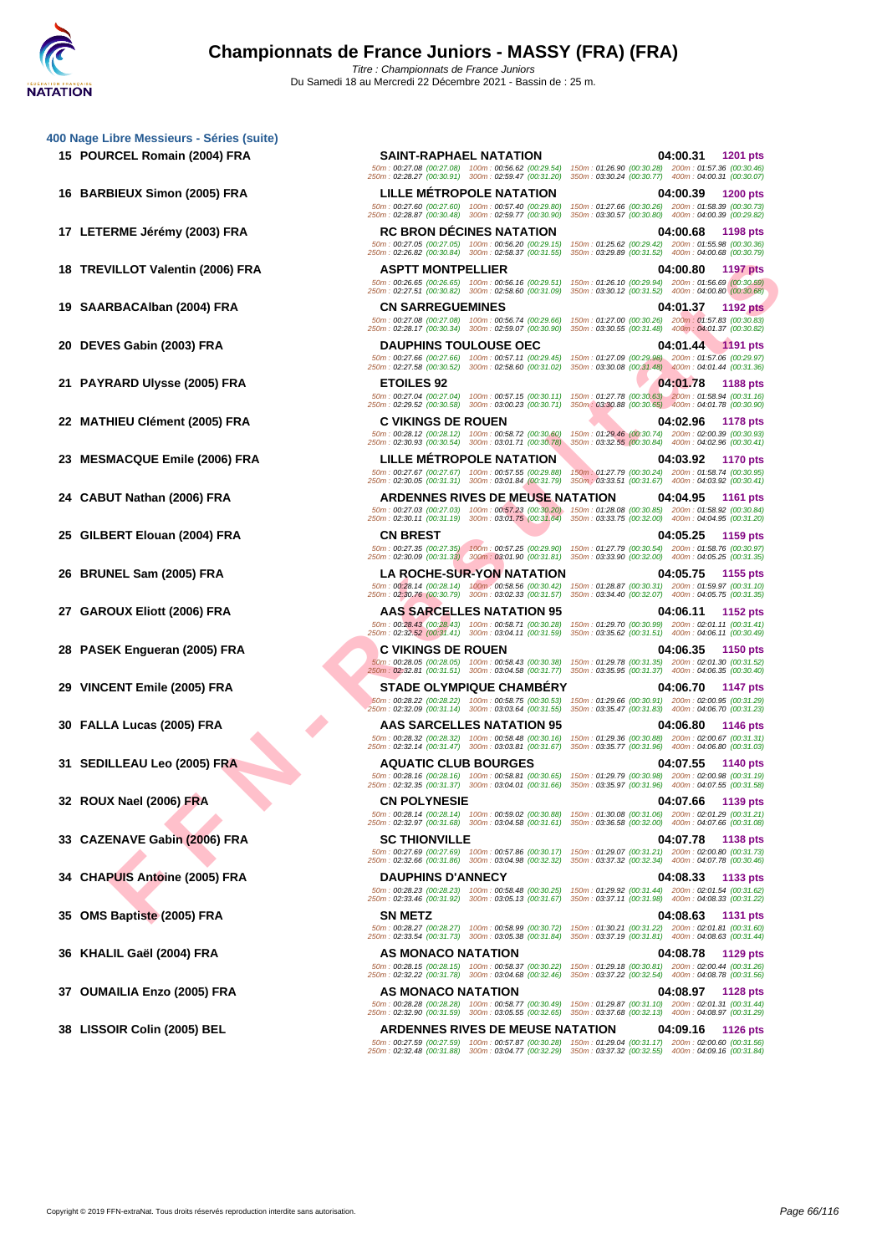- 
- 
- 
- 

- 
- 
- 
- 

- 
- 
- 
- 
- 
- 
- 
- 
- 
- 
- 
- 
- 
- 

**15 POURCEL Romain (2004) FRA SAINT-RAPHAEL NATATION 04:00.31 1201 pts** 50m : 00:27.08 (00:27.08) 100m : 00:56.62 (00:29.54) 150m : 01:26.90 (00:30.28) 200m : 01:57.36 (00:30.46) 250m : 02:28.27 (00:30.91) 300m : 02:59.47 (00:31.20) 350m : 03:30.24 (00:30.77) 400m : 04:00.31 (00:30.07) **16 BARBIEUX Simon (2005) FRA LILLE MÉTROPOLE NATATION 04:00.39 1200 pts** 50m : 00:27.60 (00:27.60) 100m : 00:57.40 (00:29.80) 150m : 01:27.66 (00:30.26) 200m : 01:58.39 (00:30.73) 250m : 02:28.87 (00:30.48) 300m : 02:59.77 (00:30.90) 350m : 03:30.57 (00:30.80) 400m : 04:00.39 (00:29.82) **17 LETERME Jérémy (2003) FRA RC BRON DÉCINES NATATION 04:00.68 1198 pts** 50m : 00:27.05 (00:27.05) 100m : 00:56.20 (00:29.15) 150m : 01:25.62 (00:29.42) 200m : 01:55.98 (00:30.36) 250m : 02:26.82 (00:30.84) 300m : 02:58.37 (00:31.55) 350m : 03:29.89 (00:31.52) 400m : 04:00.68 (00:30.79) **18 TREVILLOT Valentin (2006) FRA ASPTT MONTPELLIER 04:00.80 1197 pts** 50m : 00:26.65 (00:26.65) 100m : 00:56.16 (00:29.51) 150m : 01:26.10 (00:29.94) 200m : 01:56.69 (00:30.59) 250m : 02:27.51 (00:30.82) 300m : 02:58.60 (00:31.09) 350m : 03:30.12 (00:31.52) 400m : 04:00.80 (00:30.68) **19 SAARBACAlban (2004) FRA CN SARREGUEMINES 04:01.37 1192 pts** 50m : 00:27.08 (00:27.08) 100m : 00:56.74 (00:29.66) 150m : 01:27.00 (00:30.26) 200m : 01:57.83 (00:30.83) 250m : 02:28.17 (00:30.34) 300m : 02:59.07 (00:30.90) 350m : 03:30.55 (00:31.48) 400m : 04:01.37 (00:30.82) **20 DEVES Gabin (2003) FRA DAUPHINS TOULOUSE OEC 04:01.44 1191 pts** 50m : 00:27.66 (00:27.66) 100m : 00:57.11 (00:29.45) 150m : 01:27.09 (00:29.98) 200m : 01:57.06 (00:29.97) 250m : 02:27.58 (00:30.52) 300m : 02:58.60 (00:31.02) 350m : 03:30.08 (00:31.48) 400m : 04:01.44 (00:31.36) **21 PAYRARD Ulysse (2005) FRA ETOILES 92 04:01.78 1188 pts** 50m : 00:27.04 (00:27.04) 100m : 00:57.15 (00:30.11) 150m : 01:27.78 (00:30.63) 200m : 01:58.94 (00:31.16) 250m : 02:29.52 (00:30.58) 300m : 03:00.23 (00:30.71) 350m : 03:30.88 (00:30.65) 400m : 04:01.78 (00:30.90) **22 MATHIEU Clément (2005) FRA C VIKINGS DE ROUEN 04:02.96 1178 pts** 50m : 00:28.12 (00:28.12) 100m : 00:58.72 (00:30.60) 150m : 01:29.46 (00:30.74) 200m : 02:00.39 (00:30.93) 250m : 02:30.93 (00:30.54) 300m : 03:01.71 (00:30.78) 350m : 03:32.55 (00:30.84) 400m : 04:02.96 (00:30.41) **23 MESMACQUE Emile (2006) FRA LILLE MÉTROPOLE NATATION 04:03.92 1170 pts** 50m : 00:27.67 (00:27.67) 100m : 00:57.55 (00:29.88) 150m : 01:27.79 (00:30.24) 200m : 01:58.74 (00:30.95) 250m : 02:30.05 (00:31.31) 300m : 03:01.84 (00:31.79) 350m : 03:33.51 (00:31.67) 400m : 04:03.92 (00:30.41) **24 CABUT Nathan (2006) FRA ARDENNES RIVES DE MEUSE NATATION 04:04.95 1161 pts** 50m : 00:27.03 (00:27.03) 100m : 00:57.23 (00:30.20) 150m : 01:28.08 (00:30.85) 200m : 01:58.92 (00:30.84) 250m : 02:30.11 (00:31.19) 300m : 03:01.75 (00:31.64) 350m : 03:33.75 (00:32.00) 400m : 04:04.95 (00:31.20) **25 GILBERT Elouan (2004) FRA CN BREST 04:05.25 1159 pts** 50m : 00:27.35 (00:27.35) 100m : 00:57.25 (00:29.90) 150m : 01:27.79 (00:30.54) 200m : 01:58.76 (00:30.97) 250m : 02:30.09 (00:31.33) 300m : 03:01.90 (00:31.81) 350m : 03:33.90 (00:32.00) 400m : 04:05.25 (00:31.35) **26 BRUNEL Sam (2005) FRA LA ROCHE-SUR-YON NATATION 04:05.75 1155 pts** 50m : 00:28.14 (00:28.14) 100m : 00:58.56 (00:30.42) 150m : 01:28.87 (00:30.31) 200m : 01:59.97 (00:31.10) 250m : 02:30.76 (00:30.79) 300m : 03:02.33 (00:31.57) 350m : 03:34.40 (00:32.07) 400m : 04:05.75 (00:31.35) **27 GAROUX Eliott (2006) FRA AAS SARCELLES NATATION 95 04:06.11 1152 pts** 50m : 00:28.43 (00:28.43) 100m : 00:58.71 (00:30.28) 150m : 01:29.70 (00:30.99) 200m : 02:01.11 (00:31.41) 250m : 02:32.52 (00:31.41) 300m : 03:04.11 (00:31.59) 350m : 03:35.62 (00:31.51) 400m : 04:06.11 (00:30.49) **28 PASEK Engueran (2005) FRA C VIKINGS DE ROUEN 04:06.35 1150 pts** 250m : 02:32.81 (00:31.51) 300m : 03:04.58 (00:31.77) 350m : 03:35.95 (00:31.37) 400m : 04:06.35 (00:30.40) **29 VINCENT Emile (2005) FRA STADE OLYMPIQUE CHAMBÉRY 04:06.70 1147 pts** 50m : 00:28.22 (00:28.22) 100m : 00:58.75 (00:30.53) 150m : 01:29.66 (00:30.91) 200m : 02:00.95 (00:31.29) 250m : 02:32.09 (00:31.14) 300m : 03:03.64 (00:31.55) 350m : 03:35.47 (00:31.83) 400m : 04:06.70 (00:31.23) **30 FALLA Lucas (2005) FRA AAS SARCELLES NATATION 95 04:06.80 1146 pts** 50m : 00:28.32 (00:28.32) 100m : 00:58.48 (00:30.16) 150m : 01:29.36 (00:30.88) 200m : 02:00.67 (00:31.31) 250m : 02:32.14 (00:31.47) 300m : 03:03.81 (00:31.67) 350m : 03:35.77 (00:31.96) 400m : 04:06.80 (00:31.03) **31 SEDILLEAU Leo (2005) FRA AQUATIC CLUB BOURGES 04:07.55 1140 pts** 50m : 00:28.16 (00:28.16) 100m : 00:58.81 (00:30.65) 150m : 01:29.79 (00:30.98) 200m : 02:00.98 (00:31.19) 250m : 02:32.35 (00:31.37) 300m : 03:04.01 (00:31.66) 350m : 03:35.97 (00:31.96) 400m : 04:07.55 (00:31.58) **32 ROUX Nael (2006) FRA CN POLYNESIE 04:07.66 1139 pts** 50m : 00:28.14 (00:28.14) 100m : 00:59.02 (00:30.88) 150m : 01:30.08 (00:31.06) 200m : 02:01.29 (00:31.21) 250m : 02:32.97 (00:31.68) 300m : 03:04.58 (00:31.61) 350m : 03:36.58 (00:32.00) 400m : 04:07.66 (00:31.08) **33 CAZENAVE Gabin (2006) FRA SC THIONVILLE 04:07.78 1138 pts** 50m : 00:27.69 (00:27.69) 100m : 00:57.86 (00:30.17) 150m : 01:29.07 (00:31.21) 200m : 02:00.80 (00:31.73) 250m : 02:32.66 (00:31.86) 300m : 03:04.98 (00:32.32) 350m : 03:37.32 (00:32.34) 400m : 04:07.78 (00:30.46) **34 CHAPUIS Antoine (2005) FRA DAUPHINS D'ANNECY 04:08.33 1133 pts** 50m : 00:28.23 (00:28.23) 100m : 00:58.48 (00:30.25) 150m : 01:29.92 (00:31.44) 200m : 02:01.54 (00:31.62) 250m : 02:33.46 (00:31.92) 300m : 03:05.13 (00:31.67) 350m : 03:37.11 (00:31.98) 400m : 04:08.33 (00:31.22) **35 OMS Baptiste (2005) FRA SN METZ 04:08.63 1131 pts** 50m : 00:28.27 (00:28.27) 100m : 00:58.99 (00:30.72) 150m : 01:30.21 (00:31.22) 200m : 02:01.81 (00:31.60) 250m : 02:33.54 (00:31.73) 300m : 03:05.38 (00:31.84) 350m : 03:37.19 (00:31.81) 400m : 04:08.63 (00:31.44) **36 KHALIL Gaël (2004) FRA AS MONACO NATATION 04:08.78 1129 pts** 50m : 00:28.15 (00:28.15) 100m : 00:58.37 (00:30.22) 150m : 01:29.18 (00:30.81) 200m : 02:00.44 (00:31.26) 250m : 02:32.22 (00:31.78) 300m : 03:04.68 (00:32.46) 350m : 03:37.22 (00:32.54) 400m : 04:08.78 (00:31.56) **37 OUMAILIA Enzo (2005) FRA AS MONACO NATATION 04:08.97 1128 pts** 50m : 00:28.28 (00:28.28) 100m : 00:58.77 (00:30.49) 150m : 01:29.87 (00:31.10) 200m : 02:01.31 (00:31.44) 250m : 02:32.90 (00:31.59) 300m : 03:05.55 (00:32.65) 350m : 03:37.68 (00:32.13) 400m : 04:08.97 (00:31.29) **38 LISSOIR Colin (2005) BEL ARDENNES RIVES DE MEUSE NATATION 04:09.16 1126 pts** 50m : 00:27.59 (00:27.59) 100m : 00:57.87 (00:30.28) 150m : 01:29.04 (00:31.17) 200m : 02:00.60 (00:31.56) 250m : 02:32.48 (00:31.88) 300m : 03:04.77 (00:32.29) 350m : 03:37.32 (00:32.55) 400m : 04:09.16 (00:31.84)

**FRI CHARGE SET TRANSPORTED AND THAN ASSAULT AND SECURE SURVEY ON A THOMAS CONSIDERATION CONSIDER A CHARGE SURVEY ON A THOT CULLE SURVEY ON A THE SET TO LATER CONSIDER A THE SET OF THE SET OF THE SET OF THE SET OF THE SET** 50m : 00:28.05 (00:28.05) 100m : 00:58.43 (00:30.38) 150m : 01:29.78 (00:31.35) 200m : 02:01.30 (00:31.52)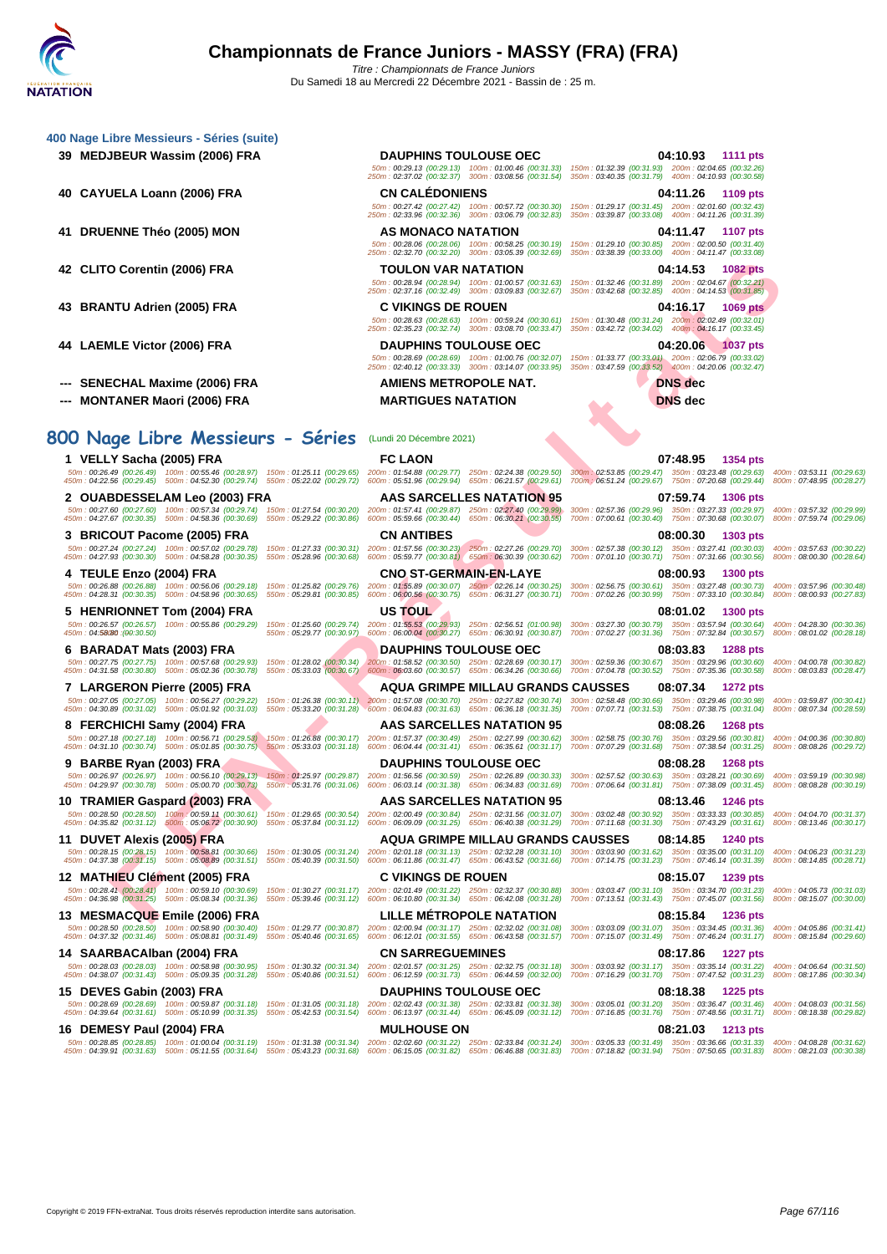250m : 02:32.70 (00:32.20) 300m : 03:05.39 (00:32.69) 350m : 03:38.39 (00:33.00) 400m : 04:11.47 (00:33.08)

50m : 00:29.13 (00:29.13) 100m : 01:00.46 (00:31.33) 150m : 01:32.39 (00:31.93) 200m : 02:04.65 (00:32.26) 250m : 02:37.02 (00:32.37) 300m : 03:08.56 (00:31.54) 350m : 03:40.35 (00:31.79) 400m : 04:10.93 (00:30.58)

50m : 00:27.42 (00:27.42) 100m : 00:57.72 (00:30.30) 150m : 01:29.17 (00:31.45) 200m : 02:01.60 (00:32.43) 250m : 02:33.96 (00:32.36) 300m : 03:06.79 (00:32.83) 350m : 03:39.87 (00:33.08) 400m : 04:11.26 (00:31.39)

|  |  |  | 400 Nage Libre Messieurs - Séries (suite) |  |  |
|--|--|--|-------------------------------------------|--|--|
|--|--|--|-------------------------------------------|--|--|

- **39 MEDJBEUR Wassim (2006) FRA DAUPHINS TOULOUSE OEC 04:10.93 1111 pts**
- **40 CAYUELA Loann (2006) FRA CN CALÉDONIENS 04:11.26 1109 pts**
- **41 DRUENNE Théo (2005) MON AS MONACO NATATION 04:11.47 1107 pts**
- **42 CLITO Corentin (2006) FRA TOULON VAR NATATION 04:14.53 1082 pts**
- 
- 
- **--- SENECHAL Maxime (2006) FRA AMIENS METROPOLE NAT. DNS dec**
- **--- MONTANER Maori (2006) FRA MARTIGUES NATATION DNS dec**

# **800 Nage Libre Messieurs - Séries** (Lundi 20 Décembre 2021)

COLORED PRANE TO LOOP IP AND THE SEAL OF THE SEAL OF THE SEAL OF THE SEAL OF THE SEAL OF THE SEAL OF THE SEAL OF THE SEAL OF THE SEAL OF THE SEAL OF THE SEAL OF THE SEAL OF THE SEAL OF THE SEAL OF THE SEAL OF THE SEAL OF T **1 VELLY Sacha (2005) FRA FC LAON 07:48.95 1354 pts** 50m:00:26.49 (00:26.49) 100m:00:55.46 (00:28.97) 150m:01:25.11 (00:29.65) 200m:01:54.88 (00:29.77) 250m:02:2.38 (00:29.50) 300m:02:53.85 (00:29.47) 350m:03:23.48 (00:29.63) 400m:03:53.11 (00:29.63)<br>450m:04:22.56 (00:29.45) **2 OUABDESSELAM Leo (2003) FRA AAS SARCELLES NATATION 95 07:59.74 1306 pts** 50m : 00:27.60 (00:27.60) 100m : 00:57.34 (00:29.74) 150m : 01:27.54 (00:30.20) 200m : 01:57.41 (00:29.87) 250m : 02:27.40 (00:29.99) 300m : 02:57.36 (00:29.96) 350m : 03:27.33 (00:29.97) 400m : 03:57.32 (00:29.99)<br>450m : **3 BRICOUT Pacome (2005) FRA CN ANTIBES 08:00.30 1303 pts** 50m : 00:27.24 (00:27.24) 100m : 00:57.02 (00:29.78) 150m : 01:27.33 (00:30.31) 200m : 01:57.56 (00:30.23) 250m : 02:27.26 (00:29.70) 300m : 02:57.38 (00:30.12) 350m : 03:27.41 (00:30.03) 400m : 03:57.63 (00:30.22) 550m : **4 TEULE Enzo (2004) FRA CNO ST-GERMAIN-EN-LAYE 08:00.93 1300 pts** 50m : 00:26.88 (00:26.88) 100m : 00:56.06 (00:29.18) 150m : 01:25.82 (00:29.76) 200m : 01:55.89 (00:30.07) 250m : 02:26.14 (00:30.25) 300m : 02:56.75 (00:30.61) 350m : 03:27.48 (00:30.33) 400m : 03:57.96 (00:30.48)<br>450m : **5 HENRIONNET Tom (2004) FRA US TOUL 08:01.02 1300 pts** 560m; 00:26.57 (00:26.57) 100m; 00:55.86 (00:29.29) 150m; 01:25.60 (00:29.74) 200m; 01:55.53 (00:29.93) 250m; 02:56.51 (01:00.98) 300m; 03:27.30 (00:30.79) 350m; 03:37.94 (00:30.64) 400m; 04:28.30 (00:30.36)<br>450m; 04:58080 **6 BARADAT Mats (2003) FRA DAUPHINS TOULOUSE OEC 08:03.83 1288 pts** 50m : 00:27.75 (00:27.75) 100m : 00:57.68 (00:29.93) 150m : 01:28.02 (00:30.34) 200m : 01:58.52 (00:30.50) 250m : 02:28.69 (00:30.17) 300m : 02:59.36 (00:30.67) 350m : 03:29.96 (00:30.60) 400m : 04:00.78 (00:30.62) 550m : **7 LARGERON Pierre (2005) FRA AQUA GRIMPE MILLAU GRANDS CAUSSES 08:07.34 1272 pts** 50m : 00:27.05 (00:27.05) 100m : 00:56.27 (00:29.22) 150m : 01:26.38 (00:30.11) 200m : 01:57.08 (00:30.70) 250m : 02:27.82 (00:30.74) 300m : 02:58.48 (00:30.66) 350m : 03:29.46 (00:30.98) 400m : 03:59.87 (00:30.91)<br>450m : **8 FERCHICHI Samy (2004) FRA AAS SARCELLES NATATION 95 08:08.26 1268 pts** .50m:0027.18 (00:27.18) 100m:00:56.71 (00:29.53) 150m:01:3688 (00:30.17) 200m:01:57.37 (00:30.49) 250m:02:7.99 (00:30.52) 300m:02:58.75 (00:30.76) 350m:0329.56 (00:30.21) 500m:056.78 (00:30.54) 500m:05608.26 (00:30.56) 750 **9 BARBE Ryan (2003) FRA DAUPHINS TOULOUSE OEC 08:08.28 1268 pts** .50m: 00:26.97 (00:26.97) 100m: 05:56.10 (00:29.13) 150m: 06:35.97 (00:31.06) 65:56.56 (00:30.59) 200m: 02:36.89 (00:30.33) 300m: 02:97.52 (00:30.63) 350m: 03:38.29 (00:30.69 (00:31.69 (00:31.69 (00:31.69 (00:31.69 (00:31. **10 TRAMIER Gaspard (2003) FRA AAS SARCELLES NATATION 95 08:13.46 1246 pts** .50m: 00:28.50 (00:28.50) 100m 00:59,11 (00:30.61) 150m: 0f:29.65 (00:30.54) 200m: 02:00.49 (00:30.58) 00:30.50m: 03:02.48 (00:31.0) 350m: 03:00.30.85) 00:33.33 (00:31.63 (00:30.9) 750m: 03:33.30 (00:30.55) 400m: 06:13.46 **11 DUVET Alexis (2005) FRA AQUA GRIMPE MILLAU GRANDS CAUSSES 08:14.85 1240 pts** .50m: 00:28.15 (00:28.15) 100m: 06:68,81 (00:30.66) 150m: 06:30.05 (00:31.50) 600m: 02:01.18 (00:31.47) 250m: 06:43.28 (00:31.60) 700m: 07:14.75 (00:31.62) 750m: 07:46.14 (00:31.39) 800m: 06:14.85 (00:32.39) 800m: 06:14.8 **12 MATHIEU Clément (2005) FRA C VIKINGS DE ROUEN 08:15.07 1239 pts** 50m : 00:28.41 (00:28.41) 100m : 00:59.10 (00:30.69) 150m : 01:30.27 (00:31.17) 200m : 02:01.49 (00:31.22) 250m : 02:32.37 (00:30.88) 300m : 03:03.47 (00:31.10) 350m : 03:34.70 (00:31.23) 400m : 04:05.73 (00:31.03) 450m : 04:36.98 (00:31.25) 500m : 05:08.34 (00:31.36) 550m : 05:39.46 (00:31.12) 600m : 06:10.80 (00:31.34) 650m : 06:42.08 (00:31.28) 700m : 07:13.51 (00:31.43) 750m : 07:45.07 (00:31.56) 800m : 08:15.07 (00:30.00) **13 MESMACQUE Emile (2006) FRA LILLE MÉTROPOLE NATATION 08:15.84 1236 pts** .50m: 00:28.50 (00:28.50) 100m: 05:05.89 (00:31.49) 150m: 05:40.46 (00:31.65) 200m: 02:00.41 (00:31.55) 650m: 06:43.82 (00:31.57) 700m: 03:03.09 (00:31.07) 350m: 07:46.24 (00:31.17) 800m: 06:15.84 (00:31.69) 66:15.84 (00:3 **14 SAARBACAlban (2004) FRA CN SARREGUEMINES 08:17.86 1227 pts** .50m: 00:28.03 (00:28.03) 100m: 05:05.98 (00:31.28) 150m: 06:30.32 (00:31.51) 200m: 02:01.57 (00:31.25) 250m: 06:44.59 (00:31.49) 200m: 03:03.147) 350m: 03:35.14 (00:31.22) 400m: 06:364 (00:31.22) 400m: 06:17.86 (00:30.34) **15 DEVES Gabin (2003) FRA DAUPHINS TOULOUSE OEC 08:18.38 1225 pts** .50m:00:28.69 (00:28.69) 100m:06:50.87 (00:31.35) 150m:06:40.003.31.49) 200m:06:10:31.38) 250m:06:45.89 (00:31.39) 300m:03:0501 (00:31.20) 350m:03:3647 (00:31.49) 500m:06:48.56 (00:31.76) 750m:07:48.56 (00:31.76) 300m:06:1

50m : 00:28.06 (00:28.06) 100m : 00:58.25 (00:30.19) 150m : 01:29.10 (00:30.85) 200m : 02:00.50 (00:31.40) 50m : 00:28.94 (00:28.94) 100m : 01:00.57 (00:31.63) 150m : 01:32.46 (00:31.89) 200m : 02:04.67 (00:32.21) 250m : 02:37.16 (00:32.49) 300m : 03:09.83 (00:32.67) 350m : 03:42.68 (00:32.85) 400m : 04:14.53 (00:31.85) **43 BRANTU Adrien (2005) FRA C VIKINGS DE ROUEN 04:16.17 1069 pts** 50m : 00:28.63 (00:28.63) 100m : 00:59.24 (00:30.61) 150m : 01:30.48 (00:31.24) 200m : 02:02.49 (00:32.01) 250m : 02:35.23 (00:32.74) 300m : 03:08.70 (00:33.47) 350m : 03:42.72 (00:34.02) 400m : 04:16.17 (00:33.45) **44 LAEMLE Victor (2006) FRA DAUPHINS TOULOUSE OEC 04:20.06 1037 pts**

50m : 00:28.69 (00:28.69) 100m : 01:00.76 (00:32.07) 150m : 01:33.77 (00:33.01) 200m : 02:06.79 (00:33.02) 250m : 02:40.12 (00:33.33) 300m : 03:14.07 (00:33.95) 350m : 03:47.59 (00:33.52) 400m : 04:20.06 (00:32.47)

**16 DEMESY Paul (2004) FRA MULHOUSE ON 08:21.03 1213 pts** .50m: 00:28.85 (00:28.85) 100m: 05:11.55 (00:31.69) 150m: 06:31.38 (00:31.34) 200m: 02:02.60 (00:31.22) 250m: 03:49 (00:31.83) 700m: 03:05.83 (00:31.49) 350m: 03:36.66 (00:31.83) 800m: 06:21.03 (00:31.39) 800m: 06:21.04(00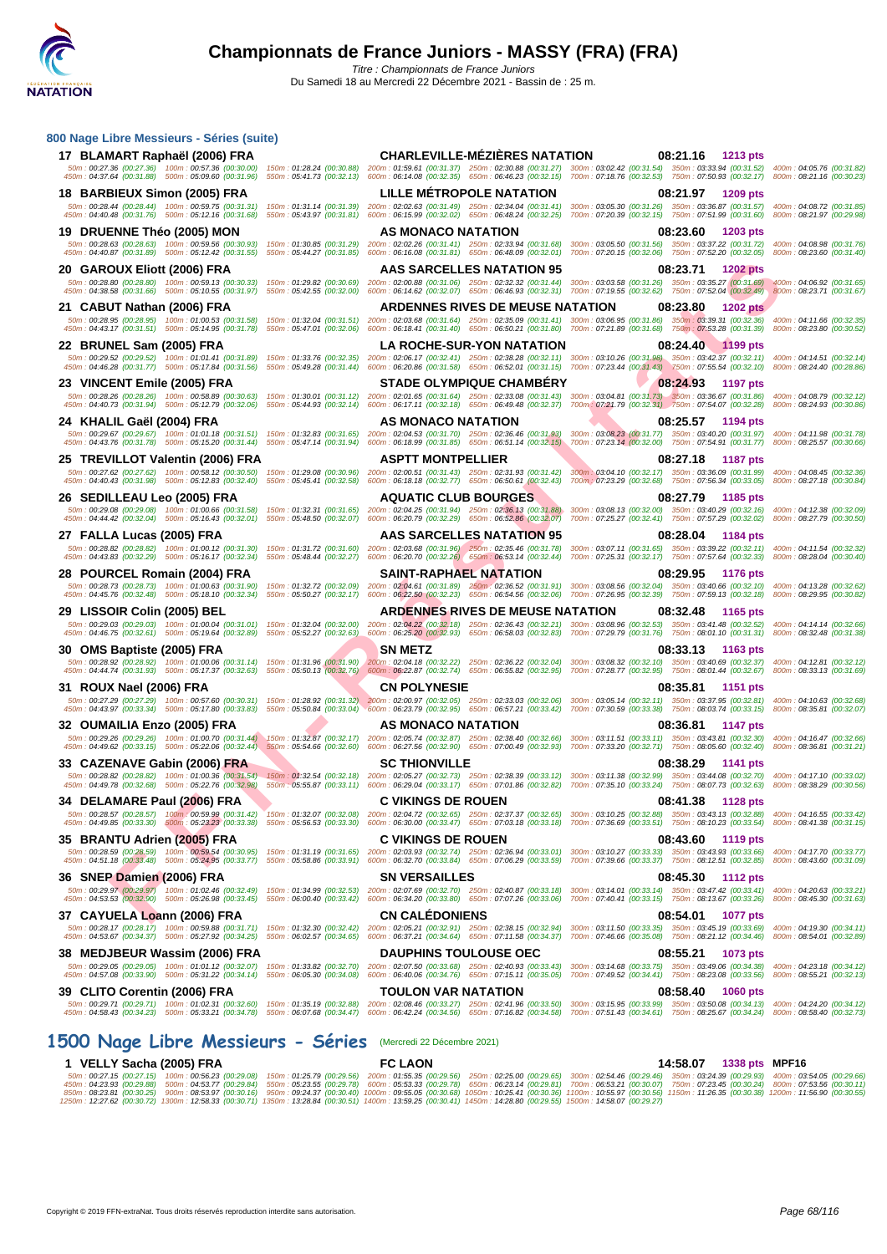| 800 Nage Libre Messieurs - Séries (suite)                                                                                           |                                                        |                                                                                                                                                                                                                                                                                                                                                                                                                                           |                                                                                                                                                                |                   |                                                        |
|-------------------------------------------------------------------------------------------------------------------------------------|--------------------------------------------------------|-------------------------------------------------------------------------------------------------------------------------------------------------------------------------------------------------------------------------------------------------------------------------------------------------------------------------------------------------------------------------------------------------------------------------------------------|----------------------------------------------------------------------------------------------------------------------------------------------------------------|-------------------|--------------------------------------------------------|
| 17 BLAMART Raphaël (2006) FRA<br>50m: 00:27.36 (00:27.36) 100m: 00:57.36 (00:30.00)                                                 |                                                        | <b>CHARLEVILLE-MÉZIÈRES NATATION</b><br>150m: 01:28.24 (00:30.88) 200m: 01:59.61 (00:31.37) 250m: 02:30.88 (00:31.27) 300m: 03:02.42 (00:31.54) 350m: 03:33.94 (00:31.52) 400m: 04:05.76 (00:31.82)                                                                                                                                                                                                                                       |                                                                                                                                                                | 08:21.16 1213 pts |                                                        |
| 450m: 04:37.64 (00:31.88) 500m: 05:09.60 (00:31.96)                                                                                 |                                                        | 550m: 05:41.73 (00:32.13) 600m: 06:14.08 (00:32.35) 650m: 06:46.23 (00:32.15) 700m: 07:18.76 (00:32.53) 750m: 07:50.93 (00:32.17) 800m: 08:21.16 (00:30:32)                                                                                                                                                                                                                                                                               |                                                                                                                                                                |                   |                                                        |
| 18 BARBIEUX Simon (2005) FRA<br>50m: 00:28.44 (00:28.44) 100m: 00:59.75 (00:31.31)                                                  |                                                        | <b>LILLE METROPOLE NATATION</b><br>150m: 01:31.14 (00:31.39) 200m: 02:02.63 (00:31.49) 250m: 02:34.04 (00:31.41) 300m: 03:05.30 (00:31.26) 350m: 03:36.87 (00:31.57)                                                                                                                                                                                                                                                                      |                                                                                                                                                                | 08:21.97 1209 pts | 400m: 04:08.72 (00:31.85)                              |
| 450m: 04:40.48 (00:31.76) 500m: 05:12.16 (00:31.68)                                                                                 |                                                        | 550m: 05:43.97 (00:31.81) 600m: 06:15.99 (00:32.02) 650m: 06:48.24 (00:32.25) 700m: 07:20.39 (00:32.15) 750m: 07:51.99 (00:31.60)                                                                                                                                                                                                                                                                                                         |                                                                                                                                                                |                   | 800m: 08:21.97 (00:29.98)                              |
| 19 DRUENNE Théo (2005) MON<br>50m: 00:28.63 (00:28.63) 100m: 00:59.56 (00:30.93)                                                    | 150m: 01:30.85 (00:31.29)                              | AS MONACO NATATION<br>200m: 02:02.26 (00:31.41) 250m: 02:33.94 (00:31.68) 300m: 03:05.50 (00:31.56) 350m: 03:37.22 (00:31.72)                                                                                                                                                                                                                                                                                                             | 08:23.60                                                                                                                                                       | 1203 pts          | 400m: 04:08.98 (00:31.76)                              |
| 450m: 04:40.87 (00:31.89) 500m: 05:12.42 (00:31.55)                                                                                 | 550m: 05:44.27 (00:31.85)                              | 600m: 06:16.08 (00:31.81) 650m: 06:48.09 (00:32.01) 700m: 07:20.15 (00:32.06) 750m: 07:52.20 (00:32.05)                                                                                                                                                                                                                                                                                                                                   |                                                                                                                                                                |                   | 800m: 08:23.60 (00:31.40)                              |
| 20 GAROUX Eliott (2006) FRA<br>50m: 00:28.80 (00:28.80) 100m: 00:59.13 (00:30.33)                                                   | 150m: 01:29.82 (00:30.69)                              | AAS SARCELLES NATATION 95<br>200m: 02:00.88 (00:31.06) 250m: 02:32.32 (00:31.44) 300m: 03:03.58 (00:31.26) 350m: 03:35.27 (00:31.69) 400m: 04:06.92 (00:31.65)                                                                                                                                                                                                                                                                            | 08:23.71                                                                                                                                                       | <b>1202 pts</b>   |                                                        |
|                                                                                                                                     |                                                        | 450m : 04:38.58 (00:31.66) 500m : 05:10.55 (00:31.97) 550m : 05:42.55 (00:32.00) 600m : 06:14.62 (00:32.07) 650m : 06:46.93 (00:32.31) 700m : 07:19.55 (00:32.62) 750m : 07:52.04 (00:32.49) 800m : 08:23.71 (00:31.67)                                                                                                                                                                                                                   |                                                                                                                                                                |                   |                                                        |
| 21 CABUT Nathan (2006) FRA                                                                                                          |                                                        | <b>ARDENNES RIVES DE MEUSE NATATION</b><br>50m : 00:28.95 (00:28.95) 100m : 01:00.53 (00:31.58) 150m : 01:32.04 (00:31.51) 200m : 02:03.68 (00:31.64) 250m : 02:35.09 (00:31.41) 300m : 03:06.95 (00:31.66) 350m : 03:93.35 (00:32.36) 400m : 04:11.66 (00:32.35)                                                                                                                                                                         | 08:23.80                                                                                                                                                       | <b>1202 pts</b>   |                                                        |
|                                                                                                                                     |                                                        | 450m : 04:43.17 (00:31.51) 500m : 05:14.95 (00:31.78) 550m : 05:47.01 (00:32.06) 600m : 06:18.41 (00:31.40) 650m : 06:50.21 (00:31.80) 700m : 07:21.89 (00:31.68) 750m : 07:53.28 (00:31.39) 800m : 08:23.80 (00:30.52)                                                                                                                                                                                                                   |                                                                                                                                                                |                   |                                                        |
| 22 BRUNEL Sam (2005) FRA                                                                                                            |                                                        | <b>LA ROCHE-SUR-YON NATATION</b><br>50m: 00:29.52 (00:29.52) 100m: 01:01.41 (00:31.89) 150m: 01:33.76 (00:32.35) 200m: 02:06.17 (00:32.41) 250m: 02:38.28 (00:32.11) 300m: 03:10.26 (00:31.98) 350m: 03:42.37 (00:32.11) 400m: 04:14.51 (00:32.14)                                                                                                                                                                                        | 08:24.40                                                                                                                                                       | 1199 pts          |                                                        |
| 450m: 04:46.28 (00:31.77) 500m: 05:17.84 (00:31.56) 550m: 05:49.28 (00:31.44)                                                       |                                                        | 600m: 06:20.86 (00:31.58) 650m: 06:52.01 (00:31.15) 700m: 07:23.44 (00:31.43) 750m: 07:55.54 (00:32.10) 800m: 08:24.40 (00:28.86)                                                                                                                                                                                                                                                                                                         |                                                                                                                                                                |                   |                                                        |
| 23 VINCENT Emile (2005) FRA<br>50m: 00:28.26 (00:28.26) 100m: 00:58.89 (00:30.63)                                                   |                                                        | <b>STADE OLYMPIQUE CHAMBERY</b><br>150m: 01:30.01 (00:31.12) 200m: 02:01.65 (00:31.64) 250m: 02:33.08 (00:31.43) 300m: 03:04.81 (00:31.73) 350m: 03:36.67 (00:31.86) 400m: 04:08.79 (00:32.12)                                                                                                                                                                                                                                            | 08:24.93                                                                                                                                                       | <b>1197 pts</b>   |                                                        |
| 450m: 04:40.73 (00:31.94) 500m: 05:12.79 (00:32.06)                                                                                 |                                                        | 550m: 05:44.93 (00:32.14) 600m: 06:17.11 (00:32.18) 650m: 06:49.48 (00:32.37) 700m: 07:21.79 (00:32.31) 750m: 07:54.07 (00:32.28) 800m: 08:24.93 (00:30.86)                                                                                                                                                                                                                                                                               |                                                                                                                                                                |                   |                                                        |
| 24   KHALIL Gaël (2004) FRA                                                                                                         |                                                        | AS MONACO NATATION<br>50m: 00:29.67 (00:29.67) 100m: 01:01.18 (00:31.51) 150m: 01:32.83 (00:31.65) 200m: 02:04.53 (00:31.70) 250m: 02:36.46 (00:31.93)                                                                                                                                                                                                                                                                                    | 08:25.57<br>300m: 03:08.23 (00:31.77) 350m: 03:40.20 (00:31.97) 400m: 04:11.98 (00:31.78)                                                                      | 1194 pts          |                                                        |
|                                                                                                                                     |                                                        | 450m : 04:43.76 (00:31.78) 500m : 05:15.20 (00:31.44) 550m : 05:47.14 (00:31.94) 600m : 06:18.99 (00:31.85) 650m : 06:51.14 (00:32.15) 700m : 07:23.14 (00:32.00) 750m : 07:54.91 (00:31.77) 800m : 08:25.57 (00:30.66)                                                                                                                                                                                                                   |                                                                                                                                                                |                   |                                                        |
| 25   TREVILLOT Valentin (2006) FRA<br>50m: 00:27.62 (00:27.62) 100m: 00:58.12 (00:30.50)                                            |                                                        | <b>ASPTT MONTPELLIER</b><br>150m: 01:29.08 (00:30.96) 200m: 02:00.51 (00:31.43) 250m: 02:31.93 (00:31.42)                                                                                                                                                                                                                                                                                                                                 | 08:27.18<br>300m: 03:04.10 (00:32.17) 350m: 03:36.09 (00:31.99)                                                                                                | 1187 pts          | 400m: 04:08.45 (00:32.36)                              |
| 450m: 04:40.43 (00:31.98) 500m: 05:12.83 (00:32.40)<br>26 SEDILLEAU Leo (2005) FRA                                                  | 550m: 05:45.41 (00:32.58)                              | 600m: 06:18.18 (00:32.77) 650m: 06:50.61 (00:32.43)<br><b>AQUATIC CLUB BOURGES</b>                                                                                                                                                                                                                                                                                                                                                        | 700m : 07:23.29 (00:32.68) 750m : 07:56.34 (00:33.05) 800m : 08:27.18 (00:30.84)                                                                               | 08:27.79 1185 pts |                                                        |
| 50m: 00:29.08 (00:29.08) 100m: 01:00.66 (00:31.58)                                                                                  | 150m: 01:32.31 (00:31.65)                              | 200m: 02:04.25 (00:31.94) 250m: 02:36.13 (00:31.88)                                                                                                                                                                                                                                                                                                                                                                                       | 300m: 03:08.13 (00:32.00) 350m: 03:40.29 (00:32.16)                                                                                                            |                   | 400m: 04:12.38 (00:32.09)                              |
| 450m: 04:44.42 (00:32.04) 500m: 05:16.43 (00:32.01)<br>27 FALLA Lucas (2005) FRA                                                    | 550m: 05:48.50 (00:32.07)                              | 600m: 06:20.79 (00:32.29) 650m: 06:52.86 (00:32.07)<br><b>AAS SARCELLES NATATION 95</b>                                                                                                                                                                                                                                                                                                                                                   | 700m: 07:25.27 (00:32.41) 750m: 07:57.29 (00:32.02)<br>08:28.04                                                                                                | 1184 pts          | 800m: 08:27.79 (00:30.50)                              |
|                                                                                                                                     |                                                        | 50m: 00:28.82 (00:28.82) 100m: 01:00.12 (00:31.30) 150m: 01:31.72 (00:31.60) 200m: 02:03.68 (00:31.96) 250m: 02:35.46 (00:31.78)                                                                                                                                                                                                                                                                                                          | 300m: 03:07.11 (00:31.65) 350m: 03:39.22 (00:32.11) 400m: 04:11.54 (00:32.32)                                                                                  |                   |                                                        |
| 28 POURCEL Romain (2004) FRA                                                                                                        |                                                        | 450m : 04:43.83 (00:32.29) 500m : 05:16.17 (00:32.34) 550m : 05:48.44 (00:32.27) 600m : 06:20.70 (00:32.26) 650m : 06:53.14 (00:32.44) 700m : 07:25.31 (00:32.17) 750m : 07:57.64 (00:32.33) 800m : 08:28.04 (00:30.40)<br><b>SAINT-RAPHAEL NATATION</b>                                                                                                                                                                                  | 08:29.95                                                                                                                                                       | 1176 pts          |                                                        |
| 50m: 00:28.73 (00:28.73) 100m: 01:00.63 (00:31.90)                                                                                  |                                                        | 150m: 01:32.72 (00:32.09) 200m: 02:04.61 (00:31.89) 250m: 02:36.52 (00:31.91) 300m: 03:08.56 (00:32.04) 350m: 03:40.66 (00:32.10) 400m: 04:13.28 (00:32.62)                                                                                                                                                                                                                                                                               |                                                                                                                                                                |                   |                                                        |
| 450m: 04:45.76 (00:32.48) 500m: 05:18.10 (00:32.34)<br>29 LISSOIR Colin (2005) BEL                                                  |                                                        | 550m : 05:50.27 (00:32.17) 600m : 06:22.50 (00:32.23) 650m : 06:54.56 (00:32.06) 700m : 07:26.95 (00:32.39) 750m : 07:59.13 (00:32.18) 800m : 08:29.95 (00:30.82)<br><b>ARDENNES RIVES DE MEUSE NATATION</b>                                                                                                                                                                                                                              | 08:32.48                                                                                                                                                       | 1165 pts          |                                                        |
| 450m: 04:46.75 (00:32.61) 500m: 05:19.64 (00:32.89) 550m: 05:52.27 (00:32.63)                                                       |                                                        | 50m: 00:29.03 (00:29.03) 100m: 01:00.04 (00:31.01) 150m: 01:32.04 (00:32.00) 200m: 02:04.22 (00:32.18) 250m: 02:36.43 (00:32.21) 300m: 03:08.96 (00:32.53) 350m: 03:41.48 (00:32.52) 400m: 04:14.14 (00:32.66)<br>600m: 06:25.20 (00:32.93) 650m: 06:58.03 (00:32.83) 700m: 07:29.79 (00:31.76) 750m: 08:01.10 (00:31.31) 800m: 08:32.48 (00:31.38)                                                                                       |                                                                                                                                                                |                   |                                                        |
| 30 OMS Baptiste (2005) FRA                                                                                                          |                                                        | <b>SN METZ</b>                                                                                                                                                                                                                                                                                                                                                                                                                            | 08:33.13                                                                                                                                                       | 1163 pts          |                                                        |
| 450m: 04:44.74 (00:31.93) 500m: 05:17.37 (00:32.63) 550m: 05:50.13 (00:32.76)                                                       |                                                        | 50m: 00:28.92 (00:28.92) 100m: 01:00.06 (00:31.14) 150m: 01:31.96 (00:31.90) 200m: 02:04.18 (00:32.22) 250m: 02:36.22 (00:32.04)<br>600m: 06:22.87 (00:32.74) 650m: 06:55.82 (00:32.95)                                                                                                                                                                                                                                                   | 300m: 03:08.32 (00:32.10) 350m: 03:40.69 (00:32.37) 400m: 04:12.81 (00:32.12)<br>700m: 07:28.77 (00:32.95) 750m: 08:01.44 (00:32.67) 800m: 08:33.13 (00:31.69) |                   |                                                        |
| 31 ROUX Nael (2006) FRA                                                                                                             |                                                        | <b>CN POLYNESIE</b>                                                                                                                                                                                                                                                                                                                                                                                                                       | 08:35.81                                                                                                                                                       | <b>1151 pts</b>   |                                                        |
|                                                                                                                                     |                                                        | 50m: 00:27.29 (00:27.29) 100m: 00:57.60 (00:30.31) 150m: 01:28.92 (00:31.32) 200m: 02:00.97 (00:32.05) 250m: 02:33.03 (00:32.06)<br>450m : 04:43.97 (00:33.34) 500m : 05:17.80 (00:33.83) 550m : 05:50.84 (00:33.04) 600m : 06:23.79 (00:32.95) 650m : 06:57.21 (00:33.42) 700m : 07:30.59 (00:33.38) 750m : 08:03.74 (00:33.15) 800m : 08:35.81 (00:32.07)                                                                               | 300m: 03:05.14 (00:32.11) 350m: 03:37.95 (00:32.81) 400m: 04:10.63 (00:32.68)                                                                                  |                   |                                                        |
| 32   OUMAILIA Enzo (2005) FRA                                                                                                       |                                                        | AS MONACO NATATION                                                                                                                                                                                                                                                                                                                                                                                                                        | 08:36.81                                                                                                                                                       | 1147 pts          |                                                        |
|                                                                                                                                     |                                                        | 50m: 00:29.26 (00:29.26) 100m: 01:00.70 (00:31.44) 150m: 01:32.87 (00:32.17) 200m: 02:05.74 (00:32.87) 250m: 02:38.40 (00:32.66)<br>450m : 04:49.62 (00:33.15) 500m : 05:22.06 (00:32.44) 550m : 05:54.66 (00:32.60) 600m : 06:27.56 (00:32.90) 650m : 07:00.49 (00:32.93)                                                                                                                                                                | 300m: 03:11.51 (00:33.11) 350m: 03:43.81 (00:32.30) 400m: 04:16.47 (00:32.66)<br>700m: 07:33.20 (00:32.71) 750m: 08:05.60 (00:32.40) 800m: 08:36.81 (00:31.21) |                   |                                                        |
| 33 CAZENAVE Gabin (2006) FRA                                                                                                        |                                                        | <b>SC THIONVILLE</b>                                                                                                                                                                                                                                                                                                                                                                                                                      | 08:38.29                                                                                                                                                       | 1141 pts          |                                                        |
|                                                                                                                                     |                                                        | 50m: 00:28.82 (00:28.82) 100m: 01:00:36 (00:31:54) 150m: 01:32.54 (00:32.18) 200m: 02:05.27 (00:32.73) 250m: 02:38.39 (00:33.12) 300m: 03:11.38 (00:32.99) 350m: 03:44.08 (00:32.70) 400m: 04:17.10 (00:33.02)<br>450m : 04:49.78 (00:32.68) 500m : 05:22.76 (00:32.98) 550m : 05:55.87 (00:33.11) 600m : 06:29.04 (00:33.17) 650m : 07:01.86 (00:32.82) 700m : 07:35.10 (00:32.9) 750m : 08:07.73 (00:32.63) 800m : 08:38.29 (00:30.56)  |                                                                                                                                                                |                   |                                                        |
| 34   DELAMARE Paul (2006) FRA                                                                                                       |                                                        | <b>C VIKINGS DE ROUEN</b>                                                                                                                                                                                                                                                                                                                                                                                                                 | 08:41.38                                                                                                                                                       | 1128 pts          |                                                        |
| 50m: 00:28.57 (00:28.57) 100m: 00:59.99 (00:31.42)<br>450m: 04:49.85 (00:33.30) 500m: 05:23.23 (00:33.38) 550m: 05:56.53 (00:33.30) | 150m: 01:32.07 (00:32.08)                              | 200m: 02:04.72 (00:32.65) 250m: 02:37.37 (00:32.65) 300m: 03:10.25 (00:32.88) 350m: 03:43.13 (00:32.88) 400m: 04:16.55 (00:32.42)<br>600m: 06:30.00 (00:33.47) 650m: 07:03.18 (00:33.18) 700m: 07:36.69 (00:33.51) 750m: 08:10.23 (00:33.54) 800m: 08:41.38 (00:31.15)                                                                                                                                                                    |                                                                                                                                                                |                   |                                                        |
| 35 BRANTU Adrien (2005) FRA                                                                                                         |                                                        | <b>C VIKINGS DE ROUEN</b>                                                                                                                                                                                                                                                                                                                                                                                                                 | 08:43.60                                                                                                                                                       | 1119 pts          |                                                        |
|                                                                                                                                     |                                                        | 50m: 00:28.59 (00:28.59) 100m: 00:59.54 (00:30.95) 150m: 01:31.19 (00:31.65) 200m: 02:03.93 (00:32.74) 250m: 02:36.94 (00:33.01) 300m: 03:10.27 (00:33.33) 350m: 03:43.93 (00:33.66) 400m: 04:17.70 (00:33.77)<br>450m : 04:51.18 (00:33.48) 500m : 05:24.95 (00:33.77) 550m : 05:58.86 (00:33.91) 600m : 06:32.70 (00:33.84) 650m : 07:06.29 (00:33.59) 700m : 07:39.66 (00:33.37) 750m : 08:12.51 (00:32.85) 800m : 08:43.60 (00:31.09) |                                                                                                                                                                |                   |                                                        |
| 36 SNEP Damien (2006) FRA                                                                                                           |                                                        | <b>SN VERSAILLES</b>                                                                                                                                                                                                                                                                                                                                                                                                                      | 08:45.30                                                                                                                                                       | 1112 pts          |                                                        |
| 50m: 00:29.97 (00:29.97) 100m: 01:02.46 (00:32.49)<br>450m: 04:53.53 (00:32.90) 500m: 05:26.98 (00:33.45)                           |                                                        | 150m: 01:34.99 (00:32.53) 200m: 02:07.69 (00:32.70) 250m: 02:40.87 (00:33.18)<br>550m: 06:00.40 (00:33.42) 600m: 06:34.20 (00:33.80) 650m: 07:07.26 (00:33.06)                                                                                                                                                                                                                                                                            | 300m: 03:14.01 (00:33.14) 350m: 03:47.42 (00:33.41) 400m: 04:20.63 (00:33.21)<br>700m: 07:40.41 (00:33.15) 750m: 08:13.67 (00:33.26)                           |                   | 800m: 08:45.30 (00:31.63)                              |
| 37   CAYUELA Loann (2006) FRA                                                                                                       |                                                        | <b>CN CALEDONIENS</b>                                                                                                                                                                                                                                                                                                                                                                                                                     | 08:54.01                                                                                                                                                       | <b>1077 pts</b>   |                                                        |
| 50m: 00:28.17 (00:28.17) 100m: 00:59.88 (00:31.71)<br>450m: 04:53.67 (00:34.37) 500m: 05:27.92 (00:34.25)                           |                                                        | 150m: 01:32.30 (00:32.42) 200m: 02:05.21 (00:32.91) 250m: 02:38.15 (00:32.94)<br>550m: 06:02.57 (00:34.65) 600m: 06:37.21 (00:34.64) 650m: 07:11.58 (00:34.37)                                                                                                                                                                                                                                                                            | 300m: 03:11.50 (00:33.35) 350m: 03:45.19 (00:33.69)<br>700m: 07:46.66 (00:35.08) 750m: 08:21.12 (00:34.46)                                                     |                   | 400m: 04:19.30 (00:34.11)<br>800m: 08:54.01 (00:32.89) |
| 38   MEDJBEUR Wassim (2006) FRA                                                                                                     |                                                        | <b>DAUPHINS TOULOUSE OEC</b>                                                                                                                                                                                                                                                                                                                                                                                                              | 08:55.21                                                                                                                                                       | 1073 pts          |                                                        |
| 50m: 00:29.05 (00:29.05) 100m: 01:01.12 (00:32.07)<br>450m: 04:57.08 (00:33.90) 500m: 05:31.22 (00:34.14)                           | 150m: 01:33.82 (00:32.70)<br>550m: 06:05.30 (00:34.08) | 200m: 02:07.50 (00:33.68) 250m: 02:40.93 (00:33.43)<br>600m: 06:40.06 (00:34.76) 650m: 07:15.11 (00:35.05)                                                                                                                                                                                                                                                                                                                                | 300m: 03:14.68 (00:33.75) 350m: 03:49.06 (00:34.38)<br>700m: 07:49.52 (00:34.41) 750m: 08:23.08 (00:33.56)                                                     |                   | 400m: 04:23.18 (00:34.12)<br>800m: 08:55.21 (00:32.13) |
| 39   CLITO Corentin (2006) FRA                                                                                                      |                                                        | <b>TOULON VAR NATATION</b>                                                                                                                                                                                                                                                                                                                                                                                                                | 08:58.40                                                                                                                                                       | <b>1060 pts</b>   |                                                        |
|                                                                                                                                     |                                                        | 50m: 00:29.71 (00:29.71) 100m: 01:02.31 (00:32.60) 150m: 01:35.19 (00:32.88) 200m: 02:08.46 (00:33.27) 250m: 02:41.96 (00:33.50) 300m: 03:15.95 (00:33.99) 350m: 03:50.08 (00:34.13) 400m: 04:24.20 (00:34.12)<br>450m : 04:58.43 (00:34.23) 500m : 05:33.21 (00:34.78) 550m : 06:07.68 (00:34.47) 600m : 06:42.24 (00:34.56) 650m : 07:16.82 (00:34.58) 700m : 07:51.43 (00:34.61) 750m : 08:25.67 (00:34.24) 800m : 08:58.40 (00:32.73) |                                                                                                                                                                |                   |                                                        |
| 1500 Nage Libre Messieurs - Séries                                                                                                  |                                                        | (Mercredi 22 Décembre 2021)                                                                                                                                                                                                                                                                                                                                                                                                               |                                                                                                                                                                |                   |                                                        |

| 1 VELLY Sacha (2005) FRA                                                                                                                                          |  | <b>FC LAON</b>                                                                                                                                                                                                                 |  | 14:58.07 1338 pts MPF16 |  |
|-------------------------------------------------------------------------------------------------------------------------------------------------------------------|--|--------------------------------------------------------------------------------------------------------------------------------------------------------------------------------------------------------------------------------|--|-------------------------|--|
|                                                                                                                                                                   |  | 50m: 00:27.15 (00:27.15) 100m: 00:56.23 (00:29.08) 150m: 01:25.79 (00:29.56) 200m: 01:55.35 (00:29.56) 250m: 02:25.00 (00:29.65) 300m: 02:54.46 (00:29.46) 350m: 03:24.39 (00:29.3) 400m: 03:54.05 (00:29.66)                  |  |                         |  |
|                                                                                                                                                                   |  | 450m; 04:23.93 (00:29.88) 500m; 04:53.77 (00:29.84) 550m; 05:23.55 (00:29.78) 600m; 05:53.33 (00:29.78) 650m; 06:23.14 (00:29.81) 700m; 06:53.21 (00:30.07) 750m; 07:23.45 (00:30.24) 800m; 07:53.56 (00:30.611)               |  |                         |  |
|                                                                                                                                                                   |  | 850m:08:23.81 (00:30.25) 900m:08:53.97 (00:30.16) 950m:09:24.37 (00:30.40) 1000m:09:55.05 (00:30.68) 1050m:10:25.41 (00:30.36) 1100m:10:55.97 (00:30.56) 1150m:11:26.35 (00:30.38) 1200m:11:56.90 (00:30.38) 1200m:11:56.90 (0 |  |                         |  |
| 1250m: 12:27.62 (00:30.72) 1300m: 12:58.33 (00:30.71) 1350m: 13:28.84 (00:30.51) 1400m: 13:59.25 (00:30.41) 1450m: 14:28.80 (00:29.55) 1500m: 14:58.07 (00:29.27) |  |                                                                                                                                                                                                                                |  |                         |  |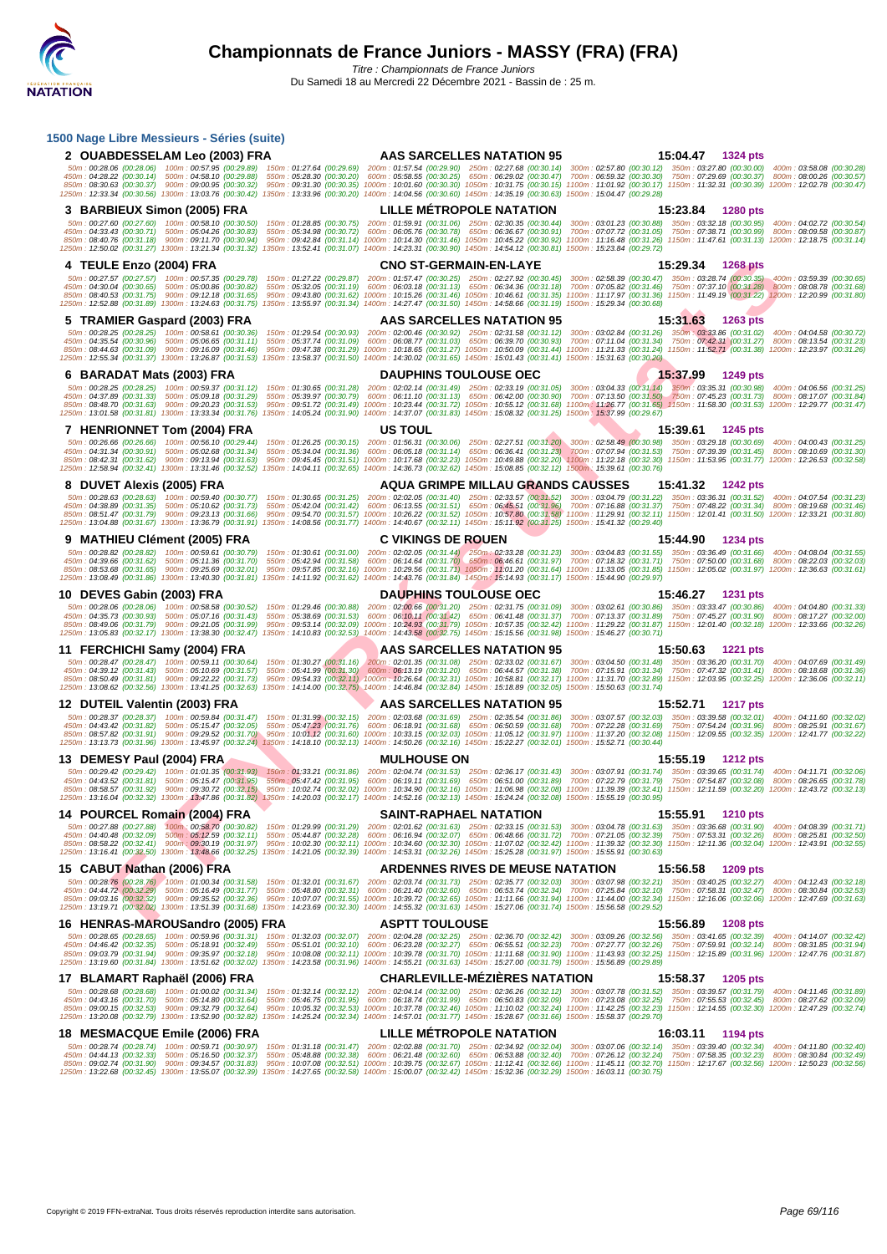| 1500 Nage Libre Messieurs - Séries (suite)                                                                                                                                                                                                                                                                                            |                                                                                                                                                                |                                                                                                                                                                                                                                                                                                                                                                                                                                                                                                                                                                                                                                                                           |
|---------------------------------------------------------------------------------------------------------------------------------------------------------------------------------------------------------------------------------------------------------------------------------------------------------------------------------------|----------------------------------------------------------------------------------------------------------------------------------------------------------------|---------------------------------------------------------------------------------------------------------------------------------------------------------------------------------------------------------------------------------------------------------------------------------------------------------------------------------------------------------------------------------------------------------------------------------------------------------------------------------------------------------------------------------------------------------------------------------------------------------------------------------------------------------------------------|
| 2 OUABDESSELAM Leo (2003) FRA                                                                                                                                                                                                                                                                                                         | <b>AAS SARCELLES NATATION 95</b>                                                                                                                               | 15:04.47 1324 pts                                                                                                                                                                                                                                                                                                                                                                                                                                                                                                                                                                                                                                                         |
| 450m: 04:28.22 (00:30.14) 500m: 04:58.10 (00:29.88)<br>850m: 08:30.63 (00:30.37) 900m: 09:00.95 (00:30.32)<br>1250m: 12:33.34 (00:30.56) 1300m: 13:03.76 (00:30.42) 1350m: 13:33.96 (00:30.20) 1400m: 14:04.56 (00:30.60) 1450m: 14:35.19 (00:30.63) 1500m: 15:04.47 (00:29.28)                                                       | 550m: 05:28.30 (00:30.20) 600m: 05:58.55 (00:30.25) 650m: 06:29.02 (00:30.47)                                                                                  | 50m: 00:28.06 (00:28.06) 100m: 00:57.95 (00:29.89) 150m: 01:27.64 (00:29.69) 200m: 01:57.54 (00:29.90) 250m: 02:27.68 (00:30.14) 300m: 02:57.80 (00:30.12) 350m: 03:27.80 (00:30.00) 400m: 00:00.00) 400m: 03:58.08 (00:30.28)<br>700m: 06:59.32 (00:30.30) 750m: 07:29.69 (00:30.37) 800m: 08:00.26 (00:30.57)<br>950m: 09:31.30 (00:30.35) 1000m: 10:01.60 (00:30.30) 1050m: 10:31.75 (00:30.15) 1100m: 11:01.92 (00:30.17) 1150m: 11:32.31 (00:30.39) 1200m: 12:02.78 (00:30.47)                                                                                                                                                                                       |
| 3 BARBIEUX Simon (2005) FRA                                                                                                                                                                                                                                                                                                           | <b>LILLE METROPOLE NATATION</b>                                                                                                                                | 15:23.84<br><b>1280 pts</b>                                                                                                                                                                                                                                                                                                                                                                                                                                                                                                                                                                                                                                               |
| 50m: 00:27.60 (00:27.60) 100m: 00:58.10 (00:30.50)<br>450m: 04:33.43 (00:30.71) 500m: 05:04.26 (00:30.83)<br>850m: 08:40.76 (00:31.18) 900m: 09:11.70 (00:30.94)<br>1250m: 12:50.02 (00:31.27) 1300m: 13:21.34 (00:31.32) 1350m: 13:52.41 (00:31.07) 1400m: 14:23.31 (00:30.90) 1450m: 14:54.12 (00:30.81) 1500m: 15:23.84 (00:29.72) | 150m: 01:28.85 (00:30.75) 200m: 01:59.91 (00:31.06) 250m: 02:30.35 (00:30.44)<br>550m: 05:34.98 (00:30.72) 600m: 06:05.76 (00:30.78) 650m: 06:36.67 (00:30.91) | 300m: 03:01.23 (00:30.88) 350m: 03:32.18 (00:30.95)<br>400m: 04:02.72 (00:30.54)<br>700m: 07:07.72 (00:31.05) 750m: 07:38.71 (00:30.99) 800m: 08:09.58 (00:30.87)<br>950m: 09:42.84 (00:31.14) 1000m: 10:14.30 (00:31.46) 1050m: 10:45.22 (00:30.92) 1100m: 11:16.48 (00:31.26) 1150m: 11:47.61 (00:31.13) 1200m: 12:18.75 (00:31.14)                                                                                                                                                                                                                                                                                                                                     |
| 4 TEULE Enzo (2004) FRA                                                                                                                                                                                                                                                                                                               | <b>CNO ST-GERMAIN-EN-LAYE</b>                                                                                                                                  | 15:29.34<br>1268 pts                                                                                                                                                                                                                                                                                                                                                                                                                                                                                                                                                                                                                                                      |
| 50m: 00:27.57 (00:27.57) 100m: 00:57.35 (00:29.78)<br>450m: 04:30.04 (00:30.65) 500m: 05:00.86 (00:30.82)<br>850m: 08:40.53 (00:31.75) 900m: 09:12.18 (00:31.65)<br>1250m: 12:52.88 (00:31.89) 1300m: 13:24.63 (00:31.75)                                                                                                             | 1350m: 13:55.97 (00:31.34) 1400m: 14:27.47 (00:31.50) 1450m: 14:58.66 (00:31.19) 1500m: 15:29.34 (00:30.68)                                                    | 150m: 01:27.22 (00:29.87) 200m: 01:57.47 (00:30.25) 250m: 02:27.92 (00:30.45) 300m: 02:58.39 (00:30.47) 350m: 03:28.74 (00:30.35) 400m: 03:59.39 (00:30.36)<br>550m : 05:32.05 (00:31.19) 600m : 06:03.18 (00:31.13) 650m : 06:34.36 (00:31.18) 700m : 07:05.82 (00:31.46) 750m : 07:37.10 (00:31.28) 800m : 08:08.78 (00:31.68)<br>950m: 09:43.80 (00:31.62) 1000m: 10:15.26 (00:31.46) 1050m: 10:46.61 (00:31.35) 1100m: 11:17.97 (00:31.36) 1150m: 11:49.19 (00:31.22) 1200m: 12:20.99 (00:31.80)                                                                                                                                                                      |
| 5 TRAMIER Gaspard (2003) FRA                                                                                                                                                                                                                                                                                                          | AAS SARCELLES NATATION 95                                                                                                                                      | 15:31.63<br>1263 pts                                                                                                                                                                                                                                                                                                                                                                                                                                                                                                                                                                                                                                                      |
| 50m: 00:28.25 (00:28.25) 100m: 00:58.61 (00:30.36)<br>450m: 04:35.54 (00:30.96) 500m: 05:06.65 (00:31.11)<br>850m: 08:44.63 (00:31.09) 900m: 09:16.09 (00:31.46)<br>1250m: 12:55.34 (00:31.37) 1300m: 13:26.87 (00:31.53) 1350m: 13:58.37 (00:31.50) 1400m: 14:30.02 (00:31.65) 1450m: 15:01.43 (00:31.41) 1500m: 15:31.63 (00:30.20) |                                                                                                                                                                | 150m: 01:29.54 (00:30.93) 200m: 02:00.46 (00:30.92) 250m: 02:31.58 (00:31.12) 300m: 03:02.84 (00:31.26) 350m: 03:33.86 (00:31.02) 400m: 04:04.58 (00:30:30<br>550m: 05:37.74 (00:31.09) 600m: 06:08.77 (00:31.03) 650m: 06:39.70 (00:30.93) 700m: 07:11.04 (00:31.34) 750m: 07:42.31 (00:31.27) 800m: 08:13.54 (00:31.23)<br>950m: 09:47.38 (00:31.29) 1000m: 10:18.65 (00:31.27) 1050m: 10:50.09 (00:31.44) 1100m: 11:21.33 (00:31.24) 1150m: 11:52.71 (00:31.38) 1200m: 12:23.97 (00:31.26)                                                                                                                                                                             |
| 6 BARADAT Mats (2003) FRA                                                                                                                                                                                                                                                                                                             | <b>DAUPHINS TOULOUSE OEC</b>                                                                                                                                   | 15:37.99<br>1249 pts                                                                                                                                                                                                                                                                                                                                                                                                                                                                                                                                                                                                                                                      |
| 450m: 04:37.89 (00:31.33) 500m: 05:09.18 (00:31.29)<br>850m: 08:48.70 (00:31.63) 900m: 09:20.23 (00:31.53)<br>1250m: 13:01.58 (00:31.81) 1300m: 13:33.34 (00:31.76) 1350m: 14:05.24 (00:31.90) 1400m: 14:37.07 (00:31.83) 1450m: 15:08.32 (00:31.25) 1500m: 15:37.99 (00:29.67)                                                       |                                                                                                                                                                | 50m: 00:28.25 (00:28.25) 100m: 00:59.37 (00:31.12) 150m: 01:30.65 (00:31.28) 200m: 02:02.14 (00:31.49) 250m: 02:33.19 (00:31.05) 300m: 03:04.33 (00:31.44) 350m: 03:35.31 (00:30.98) 400m: 04:06.56 (00:31.25)<br>550m: 05:39.97 (00:30.79) 600m: 06:11.10 (00:31.13) 650m: 06:42.00 (00:30.90) 700m; 07:13.50 (00:31.50) 750m: 07:45.23 (00:31.73) 800m: 08:17.07 (00:31.84)<br>950m: 09:51.72 (00:31.49) 1000m: 10:23.44 (00:31.72) 1050m: 10:55.12 (00:31.68) 1100m: 11:26.77 (00:31.65) 1150m: 11:58.30 (00:31.53) 1200m: 12:29.77 (00:31.47)                                                                                                                         |
| 7 HENRIONNET Tom (2004) FRA                                                                                                                                                                                                                                                                                                           | <b>US TOUL</b>                                                                                                                                                 | 15:39.61<br><b>1245 pts</b>                                                                                                                                                                                                                                                                                                                                                                                                                                                                                                                                                                                                                                               |
| 450m: 04:31.34 (00:30.91) 500m: 05:02.68 (00:31.34)<br>1250m: 12:58.94 (00:32.41) 1300m: 13:31.46 (00:32.52) 1350m: 14:04.11 (00:32.65) 1400m: 14:36.73 (00:32.62) 1450m: 15:08.85 (00:32.12) 1500m: 15:039.61 (00:30.76)                                                                                                             |                                                                                                                                                                | 50m: 00:26.66 (00:26.66) 100m: 00:56.10 (00:29.44) 150m: 01:26.25 (00:30.15) 200m: 01:56.31 (00:30.06) 250m: 02:27.51 (00:31.20) 300m: 02:58.49 (00:30.98) 350m: 03:29.18 (00:30.69) 400m: 04:00.43 (00:31.25)<br>550m: 05:34.04 (00:31.36) 600m: 06:05.18 (00:31.14) 650m: 06:36.41 (00:31.23) 700m: 07:07.94 (00:31.53) 750m: 07:39.39 (00:31.45) 800m: 08:10.69 (00:31.30)<br>850m: 08:42.31 (00:31.62) 900m: 09:13.94 (00:31.63) 950m: 09:45.45 (00:31.51) 1000m: 10:17.68 (00:32.23) 1050m: 10:49.88 (00:32.20) 1100m: 11:22.18 (00:32.30) 1150m: 11:53.95 (00:31.77) 1200m: 12:26.53 (00:32.58)                                                                     |
| 8 DUVET Alexis (2005) FRA                                                                                                                                                                                                                                                                                                             | <b>AQUA GRIMPE MILLAU GRANDS CAUSSES</b>                                                                                                                       | 15:41.32<br>1242 pts                                                                                                                                                                                                                                                                                                                                                                                                                                                                                                                                                                                                                                                      |
| 50m: 00:28.63 (00:28.63) 100m: 00:59.40 (00:30.77)<br>450m: 04:38.89 (00:31.35) 500m: 05:10.62 (00:31.73)<br>850m: 08:51.47 (00:31.79) 900m: 09:23.13 (00:31.66)<br>1250m: 13:04.88 (00:31.67) 1300m: 13:36.79 (00:31.91) 1350m: 14:08.56 (00:31.77) 1400m: 14:40.67 (00:32.11) 1450m: 15:11.92 (00:31.25) 1500m: 15:41.32 (00:29.40) |                                                                                                                                                                | 150m: 01:30.65 (00:31.25) 200m: 02:02.05 (00:31.40) 250m: 02:33.57 (00:31.52) 300m: 03:04.79 (00:31.22) 350m: 03:36.31 (00:31.52) 400m: 04:07.54 (00:31.23)<br>550m: 05:42.04 (00:31.42) 600m: 06:13.55 (00:31.51) 650m: 06:45.51 (00:31.96) 700m: 07:16.88 (00:31.37) 750m: 07:48.22 (00:31.34) 800m: 08:19.68 (00:31.46)<br>950m: 09:54.70 (00:31.57) 1000m: 10:26.22 (00:31.52) 1050m: 10:57.80 (00:31.58) 1100m: 11:29.91 (00:32.11) 1150m: 12:01.41 (00:31.50) 1200m: 12:33.21 (00:31.50)                                                                                                                                                                            |
| 9 MATHIEU Clément (2005) FRA                                                                                                                                                                                                                                                                                                          | <b>C VIKINGS DE ROUEN</b>                                                                                                                                      | 15:44.90<br>1234 pts                                                                                                                                                                                                                                                                                                                                                                                                                                                                                                                                                                                                                                                      |
| 450m: 04:39.66 (00:31.62) 500m: 05:11.36 (00:31.70)<br>850m: 08:53.68 (00:31.65) 900m: 09:25.69 (00:32.01)<br>1250m: 13:08.49 (00:31.86) 1300m: 13:40.30 (00:31.81) 1350m: 14:11.92 (00:31.62) 1400m: 14:43.76 (00:31.84) 1450m: 15:14.93 (00:31.17) 1500m: 15:44.90 (00:29.97)                                                       |                                                                                                                                                                | 50m: 00:28.82 (00:28.82) 100m: 00:59.61 (00:30.79) 150m: 01:30.61 (00:31.00) 200m: 02:02.05 (00:31.44) 250m: 02:33.28 (00:31.23) 300m: 03:04.83 (00:31.55) 350m: 03:36.49 (00:31.66) 400m: 04:08.04 (00:31.55)<br>550m : 05:42.94 (00:31.58) 600m : 06:14.64 (00:31.70) 650m : 06:46.61 (00:31.97) 700m : 07:18.32 (00:31.71) 750m : 07:50.00 (00:31.68) 800m : 08:22.03 (00:32.03)<br>950m: 09:57.85 (00:32.16) 1000m: 10:29.56 (00:31.71) 1050m: 11:01.20 (00:31.64) 1100m: 11:33.05 (00:31.85) 1150m: 12:05.02 (00:31.97) 1200m: 12:36.63 (00:31.61)                                                                                                                   |
| 10 DEVES Gabin (2003) FRA                                                                                                                                                                                                                                                                                                             | <b>DAUPHINS TOULOUSE OEC</b>                                                                                                                                   | 15:46.27<br>1231 pts                                                                                                                                                                                                                                                                                                                                                                                                                                                                                                                                                                                                                                                      |
| 450m: 04:35.73 (00:30.93) 500m: 05:07.16 (00:31.43)                                                                                                                                                                                                                                                                                   |                                                                                                                                                                | 50m: 00:28.06 (00:28.06) 100m: 00:58.58 (00:30.52) 150m: 01:29.46 (00:30.88) 200m: 02:00.66 (00:31.20) 250m: 02:31.75 (00:31.09) 300m: 03:02.61 (00:30.86) 350m: 03:33.47 (00:30.86) 400m: 04:04.80 (00:31.33)<br>550m: 05:38.69 (00:31.53) 600m: 06:10.11 (00:31.42) 650m: 06:41.48 (00:31.37) 700m: 07:13.37 (00:31.89) 750m: 07:45.27 (00:31.90) 800m: 08:17.27 (00:32.00)                                                                                                                                                                                                                                                                                             |
| 850m: 08:49.06 (00:31.79) 900m: 09:21.05 (00:31.99)<br>1250m: 13:05.83 (00:32.17) 1300m: 13:38.30 (00:32.47) 1350m: 14:10.83 (00:32.53) 1400m: 14:43.58 (00:32.75) 1450m: 15:15.56 (00:31.98) 1500m: 15:46.27 (00:30.71)                                                                                                              |                                                                                                                                                                | 950m: 09:53.14 (00:32.09) 1000m: 10:24.93 (00:31.79) 1050m: 10:57.35 (00:32.42) 1100m: 11:29.22 (00:31.87) 1150m: 12:01.40 (00:32.18) 1200m: 12:33.66 (00:32.26)                                                                                                                                                                                                                                                                                                                                                                                                                                                                                                          |
| 11 FERCHICHI Samy (2004) FRA                                                                                                                                                                                                                                                                                                          | <b>AAS SARCELLES NATATION 95</b>                                                                                                                               | 15:50.63<br>1221 pts                                                                                                                                                                                                                                                                                                                                                                                                                                                                                                                                                                                                                                                      |
| 850m: 08:50.49 (00:31.81) 900m: 09:22.22 (00:31.73)<br>1250m: 13:08.62 (00:32.56) 1300m: 13:41.25 (00:32.63) 1350m: 14:14.00 (00:32.75) 1400m: 14:46.84 (00:32.84) 1450m: 15:18.89 (00:32.05) 1500m: 15:50.63 (00:31.74)                                                                                                              |                                                                                                                                                                | 50m: 00:28.47 (00:28.47) 100m: 00:59.11 (00:30.64) 150m: 01:30.27 (00:31.16) 200m: 02:01.35 (00:31.08) 250m: 02:33.02 (00:31.67) 300m: 03:04.50 (00:31.48) 350m: 03:36.20 (00:31.70) 400m: 04:07.69 (00:31.49)<br>450m: 04:39.12 (00:31.43) 500m: 05:10.69 (00:31.57) 550m: 05:41.99 (00:31.30) 600m: 06:13.19 (00:31.20) 650m: 06:44.57 (00:31.38) 700m: 07:15.91 (00:31.34) 750m: 07:47.32 (00:31.43) 800m: 08:18.68 (00:31.36)<br>950m: 09:54.33 (00:32.11) 1000m: 10:26.64 (00:32.31) 1050m: 10:58.81 (00:32.17) 1100m: 11:31.70 (00:32.89) 1150m: 12:03.95 (00:32.25) 1200m: 12:36.06 (00:32.11)                                                                     |
| 12 DUTEIL Valentin (2003) FRA                                                                                                                                                                                                                                                                                                         | <b>AAS SARCELLES NATATION 95</b>                                                                                                                               | 15:52.71<br><b>1217 pts</b>                                                                                                                                                                                                                                                                                                                                                                                                                                                                                                                                                                                                                                               |
| 1250m: 13:13.73 (00:31.96) 1300m: 13:45.97 (00:32.24) 1350m: 14:18.10 (00:32.13) 1400m: 14:50.26 (00:32.16) 1450m: 15:22.27 (00:32.01) 1500m: 15:52.71 (00:30.44)                                                                                                                                                                     |                                                                                                                                                                | 50m: 00:28.37 (00:28.37) 100m: 00:59.84 (00:31.47) 150m: 01:31.99 (00:32.15) 200m: 02:03.68 (00:31.69) 250m: 02:35.54 (00:31.86) 300m: 03:07.57 (00:32.03) 350m: 03:39.58 (00:32.01) 400m: 04:11.60 (00:32.02)<br>450m: 04:43.42 (00:31.82) 500m: 05:15.47 (00:32.05) 550m: 05:47.23 (00:31.76) 600m: 06:18.91 (00:31.68) 650m: 06:50.59 (00:31.68) 700m: 07:22.28 (00:31.69) 750m: 07:54.24 (00:31.96) 800m: 08:25.91 (00:31.67)<br>850m: 08:57.82 (00:31.91) 900m: 09:29.52 (00:31.70) 950m: 10:01.12 (00:31.60) 1000m: 10:33.15 (00:32.03) 1050m: 11:05.12 (00:31.97) 1100m: 11:37.20 (00:32.08) 1150m: 12:09.55 (00:32.5) 1200m: 12:41.77 (00:32.22)                  |
| 13 DEMESY Paul (2004) FRA                                                                                                                                                                                                                                                                                                             | <b>MULHOUSE ON</b>                                                                                                                                             | 15:55.19<br>1212 pts                                                                                                                                                                                                                                                                                                                                                                                                                                                                                                                                                                                                                                                      |
| 1250m: 13:16.04 (00:32.32) 1300m; 13:47.86 (00:31.82) 1350m: 14:20.03 (00:32.17) 1400m: 14:52.16 (00:32.13) 1450m: 15:24.24 (00:32.08) 1500m: 15:55.19 (00:30.98)                                                                                                                                                                     |                                                                                                                                                                | 50m: 00:29.42 (00:29.42) 100m: 01:01:35 (00:31.93) 150m: 01:33.21 (00:31.86) 200m: 02:04.74 (00:31.53) 250m: 02:36.17 (00:31.43) 300m: 03:07.91 (00:31.74) 350m: 03:39.65 (00:31.74) 400m: 04:11.71 (00:32.06)<br>450m: 04:43.52 (00:31.81) 500m: 05:15.47 (00:31.95) 550m: 05:47.42 (00:31.95) 600m: 06:19.11 (00:31.69) 650m: 06:51.00 (00:31.89) 700m: 07:22.79 (00:31.79) 750m: 07:54.87 (00:32.08) 800m: 08:26.65 (00:31.78)<br>850m: 08:58.57 (00:31.92) 900m: 09:30.72 (00:32.15) 950m: 10:02.74 (00:32.02) 1000m: 10:34.90 (00:32.16) 1050m: 11:06.98 (00:32.08) 1100m: 11:39.39 (00:32.41) 1150m: 12:11.59 (00:32.20) 1200m: 12:43.72 (00:32.13)                 |
| 14 POURCEL Romain (2004) FRA                                                                                                                                                                                                                                                                                                          | <b>SAINT-RAPHAEL NATATION</b>                                                                                                                                  | 15:55.91<br><b>1210 pts</b>                                                                                                                                                                                                                                                                                                                                                                                                                                                                                                                                                                                                                                               |
| 1250m: 13:16.41 (00:32.50) 1300m: 13:48.66 (00:32.25) 1350m: 14:21.05 (00:32.39) 1400m: 14:53.31 (00:32.26) 1450m: 15:25.28 (00:31.97) 1500m: 15:55.91 (00:30.63)                                                                                                                                                                     |                                                                                                                                                                | 50m: 00:27.88 (00:27.88) 100m: 00:58.70 (00:30.82) 150m: 01:29.99 (00:31.29) 200m: 02:01.62 (00:31.63) 250m: 02:33.15 (00:31.53) 300m: 03:04.78 (00:31.63) 350m: 03:36.68 (00:31.90) 400m: 04:08.39 (00:31.71)<br>450m : 04:40.48 (00:32.09) 500m : 05:12.59 (00:32.11) 550m : 05:44.87 (00:32.28) 600m : 06:16.94 (00:32.07) 650m : 06:48.66 (00:31.72) 700m : 07:21.05 (00:32.39) 750m : 07:53.31 (00:32.26) 800m : 08:25.81 (00:32.50)<br>850m : 08:58.22 (00:32.41) 900m : 09:30.19 (00:31.97) 950m : 10:02.30 (00:32.11) 1000m : 10:34.60 (00:32.30) 1050m : 11:07.02 (00:32.42) 1100m : 11:39.32 (00:32.30) 1150m : 12:11.36 (00:32.04) 1200m : 12:43.91 (00:32.55) |
| 15 CABUT Nathan (2006) FRA                                                                                                                                                                                                                                                                                                            | <b>ARDENNES RIVES DE MEUSE NATATION</b>                                                                                                                        | 15:56.58 1209 pts                                                                                                                                                                                                                                                                                                                                                                                                                                                                                                                                                                                                                                                         |
| 450m: 04:44.72 (00:32.29) 500m: 05:16.49 (00:31.77)<br>1250m: 13:19.71 (00:32.02) 1300m: 13:51.39 (00:31.68) 1350m: 14:23.69 (00:32.30) 1400m: 14:55.32 (00:31.63) 1450m: 15:27.06 (00:31.74) 1500m: 15:56.58 (00:29.52)                                                                                                              |                                                                                                                                                                | 50m: 00:28.76 (00:28.76) 100m: 01:00.34 (00:31.58) 150m: 01:32.01 (00:31.67) 200m: 02:03.74 (00:31.73) 250m: 02:35.77 (00:32.03) 300m: 03:07.98 (00:32.21) 350m: 03:40.25 (00:32.27) 400m: 04:12.43 (00:32.18)<br>550m : 05:48.80 (00:32.31) 600m : 06:21.40 (00:32.60) 650m : 06:53.74 (00:32.34) 700m : 07:25.84 (00:32.10) 750m : 07:58.31 (00:32.47) 800m : 08:30.84 (00:32.53)<br>850m: 09:03.16 (00:32.32) 900m: 09:35.52 (00:32.36) 950m: 10:07.07 (00:31.55) 1000m: 10:39.72 (00:32.65) 1050m: 11:11.66 (00:31.94) 1100m: 11:44.00 (00:32.34) 1150m: 12:16.06 (00:32.06) 1200m: 12:47.69 (00:31.63)                                                               |
| 16 HENRAS-MAROUSandro (2005) FRA                                                                                                                                                                                                                                                                                                      | <b>ASPTT TOULOUSE</b>                                                                                                                                          | 15:56.89<br>1208 pts                                                                                                                                                                                                                                                                                                                                                                                                                                                                                                                                                                                                                                                      |
| 850m: 09:03.79 (00:31.94) 900m: 09:35.97 (00:32.18)<br>1250m: 13:19.60 (00:31.84) 1300m: 13:51.62 (00:32.02) 1350m: 14:23.58 (00:31.96) 1400m: 14:55.21 (00:31.63) 1450m: 15:27.00 (00:31.79) 1500m: 15:56.89 (00:29.89)                                                                                                              |                                                                                                                                                                | 50m: 00:28.65 (00:28.65) 100m: 00:59.96 (00:31.31) 150m: 01:32.03 (00:32.07) 200m: 02:04.28 (00:32.25) 250m: 02:36.70 (00:32.42) 300m: 03:09.26 (00:32.56) 350m: 03:41.65 (00:32.39) 400m: 04:14.07 (00:32.42)<br>450m: 04:46.42 (00:32.35) 500m: 05:18.91 (00:32.49) 550m: 05:51.01 (00:32.10) 600m: 06:23.28 (00:32.27) 650m: 06:55.51 (00:32.23) 700m: 07:27.77 (00:32.26) 750m: 07:59.91 (00:32.14) 800m: 08:31.85 (00:31.94)<br>950m: 10:08.08 (00:32.11) 1000m: 10:39.78 (00:31.70) 1050m: 11:11.68 (00:31.90) 1100m: 11:43.93 (00:32.25) 1150m: 12:15.89 (00:31.96) 1200m: 12:47.76 (00:31.87)                                                                     |
| 17 BLAMART Raphaël (2006) FRA                                                                                                                                                                                                                                                                                                         | <b>CHARLEVILLE-MEZIERES NATATION</b>                                                                                                                           | 15:58.37 1205 pts                                                                                                                                                                                                                                                                                                                                                                                                                                                                                                                                                                                                                                                         |
| 50m: 00:28.68 (00:28.68) 100m: 01:00.02 (00:31.34)<br>450m: 04:43.16 (00:31.70) 500m: 05:14.80 (00:31.64)<br>850m: 09:00.15 (00:32.53) 900m: 09:32.79 (00:32.64)<br>1250m: 13:20.08 (00:32.79) 1300m: 13:52.90 (00:32.82) 1350m: 14:25.24 (00:32.34) 1400m: 14:57.01 (00:31.77) 1450m: 15:28.67 (00:31.66) 1500m: 15:58.37 (00:29.70) |                                                                                                                                                                | 150m: 01:32.14 (00:32.12) 200m: 02:04.14 (00:32.00) 250m: 02:36.26 (00:32.12) 300m: 03:07.78 (00:31.52) 350m: 03:39.57 (00:31.79) 400m: 04:11.46 (00:31.89)<br>550m : 05:46.75 (00:31.95) 600m : 06:18.74 (00:31.99) 650m : 06:50.83 (00:32.09) 700m : 07:23.08 (00:32.25) 750m : 07:55.53 (00:32.45) 800m : 08:27.62 (00:32.09)<br>950m: 10:05.32 (00:32.53) 1000m: 10:37.78 (00:32.46) 1050m: 11:10.02 (00:32.24) 1100m: 11:42.25 (00:32.23) 1150m: 12:14.55 (00:32.30) 1200m: 12:47.29 (00:32.74)                                                                                                                                                                      |
| 18 MESMACQUE Emile (2006) FRA                                                                                                                                                                                                                                                                                                         | <b>LILLE METROPOLE NATATION</b>                                                                                                                                | 16:03.11<br>1194 pts                                                                                                                                                                                                                                                                                                                                                                                                                                                                                                                                                                                                                                                      |
| 50m: 00:28.74 (00:28.74) 100m: 00:59.71 (00:30.97) 150m: 01:31.18 (00:31.47) 200m: 02:02.88 (00:31.70) 250m: 02:34.92 (00:32.04)<br>1250m: 13:22.68 (00:32.45) 1300m: 13:55.07 (00:32.39) 1350m: 14:27.65 (00:32.58) 1400m: 15:00.07 (00:32.42) 1450m: 15:32.36 (00:32.29) 1500m: 16:03.11 (00:30.75)                                 |                                                                                                                                                                | 300m: 03:07.06 (00:32.14) 350m: 03:39.40 (00:32.34) 400m: 04:11.80 (00:32.40)<br>450m: 04:44.13 (00:32.33) 500m: 05:16.50 (00:32.37) 550m: 05:48.88 (00:32.38) 600m: 06:21.48 (00:32.60) 650m: 06:53.88 (00:32.40) 700m: 07:26.12 (00:32.24) 750m: 07:58.35 (00:32.33) 800m: 08:30.84 (00:32.49)<br>850m: 09:02.74 (00:31.90) 900m: 09:34.57 (00:31.83) 950m: 10:07.08 (00:32.51) 1000m: 10:39.75 (00:32.67) 1050m: 11:12.41 (00:32.66) 1100m: 11:45.11 (00:32.70) 1150m: 12:17.67 (00:32.66) 1200m: 12:50.23 (00:32.56)                                                                                                                                                  |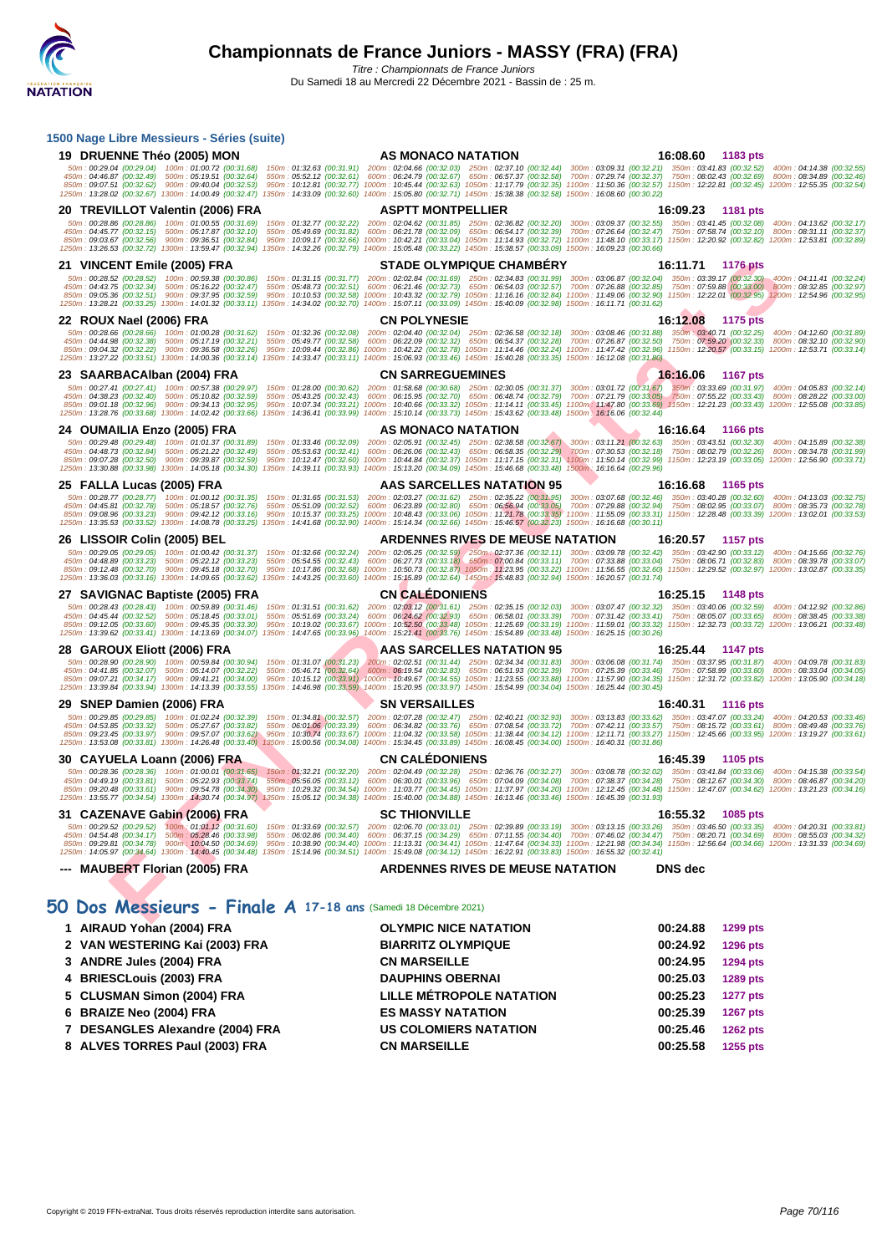| 1500 Nage Libre Messieurs - Séries (suite)                                                                                             |                                                                                                                                                                                                                                                                                                                                                                                                                                                                                                                                                                                                                                                                                                                                                                                                                                                      |                             |
|----------------------------------------------------------------------------------------------------------------------------------------|------------------------------------------------------------------------------------------------------------------------------------------------------------------------------------------------------------------------------------------------------------------------------------------------------------------------------------------------------------------------------------------------------------------------------------------------------------------------------------------------------------------------------------------------------------------------------------------------------------------------------------------------------------------------------------------------------------------------------------------------------------------------------------------------------------------------------------------------------|-----------------------------|
| 19 DRUENNE Théo (2005) MON                                                                                                             | AS MONACO NATATION                                                                                                                                                                                                                                                                                                                                                                                                                                                                                                                                                                                                                                                                                                                                                                                                                                   | 16:08.60 1183 pts           |
|                                                                                                                                        | 50m: 00:29.04 (00:29.04) 100m: 01:00.72 (00:31.68) 150m: 01:32.63 (00:31.91) 200m: 02:04.66 (00:32.03) 250m: 02:37.10 (00:32.44) 300m: 03:09.31 (00:32.21) 350m: 03:41.83 (00:32.52) 400m: 04:14.38 (00:32.55)<br>450m : 04:46.87 (00:32.49) 500m : 05:19.51 (00:32.64) 550m : 05:52.12 (00:32.61) 600m : 06:24.79 (00:32.67) 650m : 06:57.37 (00:32.58) 700m : 07:29.74 (00:32.37) 750m : 08:02.43 (00:32.69) 800m : 08:34.89 (00:32.46)<br>850m: 09:07.51 (00:32.62) 900m: 09:40.04 (00:32.53) 950m: 10:12.81 (00:32.77) 1000m: 10:45.44 (00:32.63) 1050m: 11:17.79 (00:32.55) 1100m: 11:50.36 (00:32.57) 1150m: 12:22.81 (00:32.45) 1200m: 12:25.35 (00:32.54)<br>1250m: 13:28.02 (00:32.67) 1300m: 14:00.49 (00:32.47) 1350m: 14:33.09 (00:32.60) 1400m: 15:05.80 (00:32.71) 1450m: 15:38.38 (00:32.58) 1500m: 16:08.60 (00:30.22)               |                             |
| 20 TREVILLOT Valentin (2006) FRA                                                                                                       | <b>ASPTT MONTPELLIER</b>                                                                                                                                                                                                                                                                                                                                                                                                                                                                                                                                                                                                                                                                                                                                                                                                                             | 16:09.23<br>1181 pts        |
|                                                                                                                                        | 50m: 00:28.86 (00:28.86) 100m: 01:00.55 (00:31.69) 150m: 01:32.77 (00:32.22) 200m: 02:04.62 (00:31.85) 250m: 02:36.82 (00:32.20) 300m: 03:09.37 (00:32.55) 350m: 03:41.45 (00:32.08) 400m: 04:13.62 (00:32.17)<br>450m : 04:45.77 (00:32.15) 500m : 05:17.87 (00:32.10) 550m : 05:49.69 (00:31.82) 600m : 06:21.78 (00:32.09) 650m : 06:54.17 (00:32.39) 700m : 07:26.64 (00:32.47) 750m : 07:58.74 (00:32.10) 800m : 08:31.11 (00:32.37)<br>850m: 09:03.67 (00:32.56) 900m: 09:36.51 (00:32.84) 950m: 10:09.17 (00:32.66) 1000m: 10:42.21 (00:33.04) 1050m: 11:14.93 (00:32.72) 1100m: 11:48.10 (00:33.17) 1150m: 12:20.92 (00:32.82) 1200m: 12:53.81 (00:32.89)<br>1250m: 13:26.53 (00:32.72) 1300m: 13:59.47 (00:32.94) 1350m: 14:32.26 (00:32.79) 1400m: 15:05.48 (00:33.22) 1450m: 15:38.57 (00:33.09) 1500m: 16:09.23 (00:30.66)               |                             |
| 21 VINCENT Emile (2005) FRA                                                                                                            | <b>STADE OLYMPIQUE CHAMBERY</b>                                                                                                                                                                                                                                                                                                                                                                                                                                                                                                                                                                                                                                                                                                                                                                                                                      | 16:11.71<br><b>1176 pts</b> |
|                                                                                                                                        | 50m: 00:28.52 (00:28.52) 100m: 00:59.38 (00:30.86) 150m: 01:31.15 (00:31.77) 200m: 02:02.84 (00:31.69) 250m: 02:34.83 (00:31.99) 300m: 03:06.87 (00:32.04) 350m: 03:39.17 (00:32.30) 400m: 04:11.41 (00:32.24)<br>450m : 04:43.75 (00:32.34) 500m : 05:16.22 (00:32.47) 550m : 05:48.73 (00:32.51) 600m : 06:21.46 (00:32.73) 650m : 06:54.03 (00:32.57) 700m : 07:26.88 (00:32.85) 750m : 07:59.88 (00:32.30) 800m : 08:32.85 (00:32.97)<br>850m : 09:05.36 (00:32.51) 900m : 09:37.95 (00:32.59) 950m : 10:10.53 (00:32.58) 1000m : 10:43.32 (00:32.79) 1050m : 11:16.16 (00:32.84) 1100m : 11:49.06 (00:32.90) 1150m : 12:22.01 (00:32.95) 1200m : 12:54.96 (00:32.95)<br>1250m: 13:28.21 (00:33.25) 1300m: 14:01.32 (00:33.11) 1350m: 14:34.02 (00:32.70) 1400m: 15:07.11 (00:33.09) 1450m: 15:40.09 (00:32.98) 1500m: 16:11.71 (00:31.62)       |                             |
| 22 ROUX Nael (2006) FRA                                                                                                                | <b>CN POLYNESIE</b>                                                                                                                                                                                                                                                                                                                                                                                                                                                                                                                                                                                                                                                                                                                                                                                                                                  | 16:12.08 1175 pts           |
|                                                                                                                                        | 50m: 00:28.66 (00:28.66) 100m: 01:00.28 (00:31.62) 150m: 01:32.36 (00:32.08) 200m: 02:04.40 (00:32.04) 250m: 02:36.58 (00:32.18) 300m: 03:08.46 (00:31.88) 350m: 03:40.71 (00:32.5) 400m: 04:12.60 (00:31.89)<br>450m : 04:44.98 (00:32.38) 500m : 05:17.19 (00:32.21) 550m : 05:49.77 (00:32.58) 600m : 06:22.09 (00:32.32) 650m : 06:54.37 (00:32.89) 700m : 07:26.87 (00:32.50) 750m : 07:59.20 (00:32.33) 800m : 08:32.10 (00:32.90)<br>850m: 09:04.32 (00:32.22) 900m: 09:36.58 (00:32.26) 950m: 10:09.44 (00:32.86) 1000m: 10:42.22 (00:32.78) 1050m: 11:14.46 (00:32.24) 1100m: 11:47.42 (00:32.96) 1150m: 12:20.57 (00:33.15) 1200m: 12:53.71 (00:33.14)<br>1250m: 13:27.22 (00:33.51) 1300m: 14:00.36 (00:33.14) 1350m: 14:33.47 (00:33.11) 1400m: 15:06.93 (00:33.46) 1450m: 15:40.28 (00:33.35) 1500m: 16:12.08 (00:31.80)                |                             |
| 23 SAARBACAIban (2004) FRA                                                                                                             | <b>CN SARREGUEMINES</b>                                                                                                                                                                                                                                                                                                                                                                                                                                                                                                                                                                                                                                                                                                                                                                                                                              | 16:16.06<br>1167 pts        |
| 850m: 09:01.18 (00:32.96) 900m: 09:34.13 (00:32.95)                                                                                    | 50m: 00:27.41 (00:27.41) 100m: 00:57.38 (00:29.97) 150m: 01:28.00 (00:30.62) 200m: 01:58.68 (00:30.68) 250m: 02:30.05 (00:31.37) 300m: 03:01.72 (00:31.67) 350m: 03:33.69 (00:31.97) 400m: 04:05.83 (00:32.14)<br>450m : 04:38.23 (00:32.40) 500m : 05:10.82 (00:32.59) 550m : 05:43.25 (00:32.43) 600m : 06:15.95 (00:32.70) 650m : 06:48.74 (00:32.79) 700m : 07:21.79 (00:33.05) 750m : 07:55.22 (00:33.43) 800m : 08:28.22 (00:33.00)<br>950m: 10:07.34 (00:33.21) 1000m: 10:40.66 (00:33.32) 1050m: 11:14.11 (00:33.45) 1100m: 11:47.80 (00:33.69) 1150m: 12:21.23 (00:33.43) 1200m: 12:55.08 (00:33.85)<br>1250m: 13:28.76 (00:33.68) 1300m: 14:02.42 (00:33.66) 1350m: 14:36.41 (00:33.99) 1400m: 15:10.14 (00:33.73) 1450m: 15:43.62 (00:33.48) 1500m: 16:16.06 (00:32.44)                                                                   |                             |
| 24 OUMAILIA Enzo (2005) FRA                                                                                                            | AS MONACO NATATION                                                                                                                                                                                                                                                                                                                                                                                                                                                                                                                                                                                                                                                                                                                                                                                                                                   | 16:16.64 1166 pts           |
|                                                                                                                                        | $\frac{50m}{20029.48} \cdot \frac{(00.29.48)}{00032.84} \cdot \frac{(00.31.87)}{00032.48} \cdot \frac{(00.31.89)}{550m} \cdot \frac{150m}{20032.84} \cdot \frac{(00.32.89)}{550m} \cdot \frac{(00.32.89)}{200m} \cdot \frac{(00.32.68)}{00032.41} \cdot \frac{(00.32.45)}{600m} \cdot \frac{(00.32.45)}{600m} \cdot \frac{(00.32.88$<br>850m : 09:07.28 (00:32.50) 900m : 09:39.87 (00:32.59) 950m : 10:12.47 (00:32.60) 1000m : 10:44.84 (00:32.37) 1050m : 11:17.15 (00:32.31) 1100m : 11:50.14 (00:32.99) 1150m : 12:23.19 (00:33.05) 1200m : 12:56.90 (00:33.71)<br>1250m: 13:30.88 (00:33.98) 1300m: 14:05.18 (00:34.30) 1350m: 14:39.11 (00:33.93) 1400m: 15:13.20 (00:34.09) 1450m: 15:46.68 (00:33.48) 1500m; 16:16.64 (00:29.96)                                                                                                            |                             |
| 25 FALLA Lucas (2005) FRA                                                                                                              | AAS SARCELLES NATATION 95                                                                                                                                                                                                                                                                                                                                                                                                                                                                                                                                                                                                                                                                                                                                                                                                                            | 16:16.68<br>1165 pts        |
|                                                                                                                                        | 50m: 00:28.77 (00:28.77) 100m: 01:00.12 (00:31.35) 150m: 01:31.65 (00:31.53) 200m: 02:03.27 (00:31.62) 250m: 02:35.22 (00:31.95) 300m: 03:07.68 (00:32.46) 350m: 03:40.28 (00:32.60) 400m: 04:13.03 (00:32.75)<br>450m: 04:45.81 (00:32.78) 500m: 05:18.57 (00:32.76) 550m: 05:51.09 (00:32.52) 600m: 06:23.89 (00:32.80) 650m: 06:56.94 (00:33.05) 700m: 07:29.88 (00:32.94) 750m: 08:02.95 (00:33.07) 800m: 08:35.73 (00:32.78)<br>850m : 09:08.96 (00:33.23) 900m : 09:42.12 (00:33.16) 950m : 10:15.37 (00:33.25) 1000m : 10:48.43 (00:33.06) 1050m : 11:21.78 (00:33.35) 1100m : 11:55.09 (00:33.31) 1150m : 12:28.48 (00:33.39) 1200m : 13:02.01 (00:33.53)<br>1250m: 13:35.53 (00:33.52) 1300m: 14:08.78 (00:33.25) 1350m: 14:41.68 (00:32.90) 1400m: 15:14.34 (00:32.66) 1450m: 15:46.57 (00:32.23) 1500m: 16:16.68 (00:30.11)               |                             |
| 26 LISSOIR Colin (2005) BEL                                                                                                            | <b>ARDENNES RIVES DE MEUSE NATATION</b>                                                                                                                                                                                                                                                                                                                                                                                                                                                                                                                                                                                                                                                                                                                                                                                                              | 16:20.57 1157 pts           |
|                                                                                                                                        | 50m: 00:29.05 (00:29.05) 100m: 01:00.42 (00:31.37) 150m: 01:32.66 (00:32.24) 200m: 02:05.25 (00:32.59) 250m: 02:37.36 (00:32.11) 300m: 03:09.78 (00:32.42) 350m: 03:42.90 (00:32.12) 400m: 04:15.66 (00:32.76)<br>450m : 04:48.89 (00:33.23) 500m : 05:22.12 (00:33.23) 550m : 05:54.55 (00:32.43) 600m : 06:27.73 (00:33.18) 650m : 07:00.84 (00:33.11) 700m : 07:33.88 (00:33.04) 750m : 08:06.71 (00:32.83) 800m : 08:39.78 (00:33.07)<br>850m : 09:12.48 (00:32.70) 900m : 09:45.18 (00:32.70) 950m : 10:17.86 (00:32.68) 1000m : 10:50.73 (00:32.87) 1050m : 11:23.95 (00:32.22) 1100m : 11:56.55 (00:32.60) 1150m : 12:29.52 (00:32.97) 1200m : 13:02.87 (00:33.35)<br>1250m: 13:36.03 (00:33.16) 1300m: 14:09.65 (00:33.62) 1350m: 14:43.25 (00:33.60) 1400m: 15:15.89 (00:32.64) 1450m: 15:48.83 (00:32.94) 1500m: 16:20.57 (00:31.74)       |                             |
| 27 SAVIGNAC Baptiste (2005) FRA                                                                                                        | <b>CN CALEDONIENS</b>                                                                                                                                                                                                                                                                                                                                                                                                                                                                                                                                                                                                                                                                                                                                                                                                                                | 16:25.15<br>1148 pts        |
|                                                                                                                                        | 50m : 00:28.43 (00:28.43) 100m : 00:59.89 (00:31.46) 150m : 01:31.51 (00:31.62) 200m : 02:03.12 (00:31.61) 250m : 02:35.15 (00:32.03) 300m : 03:07.47 (00:32.32) 350m : 03:40.06 (00:32.59) 400m : 04:12.92 (00:32.86)<br>450m : 04:45.44 (00:32.52) 500m : 05:18.45 (00:33.01) 550m : 05:51.69 (00:33.24) 600m : 06:24.62 (00:32.93) 650m : 06:58.01 (00:33.39) 700m : 07:31.42 (00:33.41) 750m : 08:05.07 (00:33.65) 800m : 08:38.45 (00:33.38)<br>850m: 09:12.05 (00:33.60) 900m: 09:45.35 (00:33.30) 950m: 10:19.02 (00:33.67) 1000m: 10:52.50 (00:33.48) 1050m: 11:25.69 (00:33.19) 1100m: 11:59.01 (00:33.32) 1150m: 12:32.73 (00:33.72) 1200m: 13:06.21 (00:33.48)<br>1250m: 13:39.62 (00:33.41) 1300m: 14:13.69 (00:34.07) 1350m: 14:47.65 (00:33.96) 1400m: 15:21.41 (00:33.76) 1450m: 15:54.89 (00:33.48) 1500m: 16:25.15 (00:30.26)       |                             |
| 28 GAROUX Eliott (2006) FRA                                                                                                            | AAS SARCELLES NATATION 95                                                                                                                                                                                                                                                                                                                                                                                                                                                                                                                                                                                                                                                                                                                                                                                                                            | 16:25.44 1147 pts           |
| 450m: 04:41.85 (00:32.07) 500m: 05:14.07 (00:32.22)                                                                                    | 50m: 00:28.90 (00:28.90) 100m: 00:59.84 (00:30.94) 150m: 01:31.07 (00:31.23) 200m: 02:02.51 (00:31.44) 250m: 02:34.34 (00:31.83) 300m: 03:06.08 (00:31.74) 350m: 03:37.95 (00:31.83) 400m: 04:09.78 (00:31.83)<br>550m: 05:46.71 (00:32.64) 600m: 06:19.54 (00:32.83) 650m: 06:51.93 (00:32.39) 700m: 07:25.39 (00:33.46) 750m: 07:58.99 (00:33.60) 800m: 08:33.04 (00:34.05)<br>850m : 09:07.21 (00:34.17) 900m : 09:41.21 (00:34.00) 950m : 10:15.12 (00:33.91) 1000m : 10:49.67 (00:34.55) 1050m : 11:23.55 (00:33.88) 1100m : 11:57.90 (00:34.35) 1150m : 12:31.72 (00:33.82) 1200m : 13:05.90 (00:34.18)<br>1250m: 13:39.84 (00:33.94) 1300m: 14:13.39 (00:33.55) 1350m: 14:46.98 (00:33.59) 1400m: 15:20.95 (00:33.97) 1450m: 15:54.99 (00:34.04) 1500m: 16:25.44 (00:30.45)                                                                   |                             |
| 29 SNEP Damien (2006) FRA                                                                                                              | <b>SN VERSAILLES</b>                                                                                                                                                                                                                                                                                                                                                                                                                                                                                                                                                                                                                                                                                                                                                                                                                                 | 16:40.31 1116 pts           |
| 450m: 04:53.85 (00:33.32) 500m: 05:27.67 (00:33.82)                                                                                    | 50m: 00:29.85 (00:29.85) 100m: 01:02.24 (00:32.39) 150m: 01:34.81 (00:32.57) 200m: 02:07.28 (00:32.47) 250m: 02:40.21 (00:32.93) 300m: 03:13.83 (00:33.62) 350m: 03:47.07 (00:33.24) 400m: 04:20.53 (00:33.46)<br>550m: 06:01.06 (00:33.39) 600m: 06:34.82 (00:33.76) 650m: 07:08.54 (00:33.72) 700m: 07:42.11 (00:33.57) 750m: 08:15.72 (00:33.61) 800m: 08:49.48 (00:33.76)<br>850m : 09:23.45 (00:33.97) 900m : 09:57.07 (00:33.62) 950m : 10:30.74 (00:33.67) 1000m : 11:04.32 (00:33.58) 1050m : 11:38.44 (00:34.12) 1100m : 12:11.71 (00:33.27) 1150m : 12:45.66 (00:33.95) 1200m : 13:19.27 (00:33.61)<br>1250m: 13:53.08 (00:33.81) 1300m: 14:26.48 (00:33.40) 1350m: 15:00.56 (00:34.08) 1400m: 15:34.45 (00:33.89) 1450m: 16:08.45 (00:34.00) 1500m: 16:40.31 (00:31.86)                                                                   |                             |
| 30 CAYUELA Loann (2006) FRA                                                                                                            | <b>CN CALEDONIENS</b>                                                                                                                                                                                                                                                                                                                                                                                                                                                                                                                                                                                                                                                                                                                                                                                                                                | 16:45.39<br>1105 pts        |
|                                                                                                                                        | 50m: 00:28.36 (00:28.36) 100m: 01:00.01 (00:31.65) 150m: 01:32.21 (00:32.20) 200m: 02:04.49 (00:32.28) 250m: 02:36.76 (00:32.27) 300m: 03:08.78 (00:32.02) 350m: 03:41.84 (00:32.06) 400m: 04:15.38 (00:33.54)<br>450m : 04:49.19 (00:33.81) 500m : 05:22.93 (00:33.74) 550m : 05:56.05 (00:33.12) 600m : 06:30.01 (00:33.96) 650m : 07:04.09 (00:34.08) 700m : 07:38.37 (00:34.28) 750m : 08:12.67 (00:34.30) 800m : 08:46.87 (00:34.20)<br>850m : 09:20.48 (00:33.61) 900m : 09:54.78 (00:34.30) 950m : 10:29.32 (00:34.54) 1000m : 11:03.77 (00:34.45) 1050m : 11:37.97 (00:34.20) 1100m : 12:12.45 (00:34.48) 1150m : 12:47.07 (00:34.62) 1200m : 13:21.23 (00:34.16)<br>1250m : 13:55.77 (00:34.54) 1300m : 14:30.74 (00:34.97) 1350m : 15:05.12 (00:34.38) 1400m : 15:40.00 (00:34.88) 1450m : 16:13.46 (00:33.46) 1500m : 16:45.39 (00:31.93) |                             |
| 31 CAZENAVE Gabin (2006) FRA                                                                                                           | <b>SC THIONVILLE</b>                                                                                                                                                                                                                                                                                                                                                                                                                                                                                                                                                                                                                                                                                                                                                                                                                                 | 16:55.32<br>1085 pts        |
| 50m: 00:29.52 (00:29.52)<br>450m: 04:54.48 (00:34.17) 500m: 05:28.46 (00:33.98)<br>850m: 09:29.81 (00:34.78) 900m: 10:04.50 (00:34.69) | 100m : 01:01.12 (00:31.60) 150m : 01:33.69 (00:32.57) 200m : 02:06.70 (00:33.01) 250m : 02:39.89 (00:33.19) 300m : 03:13.15 (00:33.26) 350m : 03:46.50 (00:33.35)<br>550m: 06:02.86 (00:34.40) 600m: 06:37.15 (00:34.29) 650m: 07:11.55 (00:34.40) 700m: 07:46.02 (00:34.47) 750m: 08:20.71 (00:34.69) 800m: 08:55.03 (00:34.32)<br>950m: 10:38.90 (00:34.40) 1000m: 11:13.31 (00:34.41) 1050m: 11:47.64 (00:34.33) 1100m: 12:21.98 (00:34.34) 1150m: 12:56.64 (00:34.66) 1200m: 13:31.33 (00:34.69)<br>1250m: 14:05.97 (00:34.64) 1300m: 14:40.45 (00:34.48) 1350m: 15:14.96 (00:34.51) 1400m: 15:49.08 (00:34.12) 1450m: 16:22.91 (00:33.83) 1500m: 16:55.32 (00:32.41)                                                                                                                                                                            | 400m: 04:20.31 (00:33.81)   |
| --- MAUBERT Florian (2005) FRA                                                                                                         | <b>ARDENNES RIVES DE MEUSE NATATION</b>                                                                                                                                                                                                                                                                                                                                                                                                                                                                                                                                                                                                                                                                                                                                                                                                              | <b>DNS</b> dec              |
| 50 Dos Messieurs - Finale A 17-18 ans (Samedi 18 Décembre 2021)                                                                        |                                                                                                                                                                                                                                                                                                                                                                                                                                                                                                                                                                                                                                                                                                                                                                                                                                                      |                             |

# **50 Dos Messieurs - Finale A 17-18 ans** (Samedi 18 Décembre 2021)

| 1 AIRAUD Yohan (2004) FRA        | <b>OLYMPIC NICE NATATION</b>    | 00:24.88 | 1299 pts        |
|----------------------------------|---------------------------------|----------|-----------------|
| 2 VAN WESTERING Kai (2003) FRA   | <b>BIARRITZ OLYMPIQUE</b>       | 00:24.92 | <b>1296 pts</b> |
| 3 ANDRE Jules (2004) FRA         | <b>CN MARSEILLE</b>             | 00:24.95 | <b>1294 pts</b> |
| 4 BRIESCLouis (2003) FRA         | <b>DAUPHINS OBERNAI</b>         | 00:25.03 | <b>1289 pts</b> |
| 5 CLUSMAN Simon (2004) FRA       | <b>LILLE MÉTROPOLE NATATION</b> | 00:25.23 | <b>1277 pts</b> |
| 6 BRAIZE Neo (2004) FRA          | <b>ES MASSY NATATION</b>        | 00:25.39 | <b>1267 pts</b> |
| 7 DESANGLES Alexandre (2004) FRA | <b>US COLOMIERS NATATION</b>    | 00:25.46 | <b>1262 pts</b> |
| 8 ALVES TORRES Paul (2003) FRA   | <b>CN MARSEILLE</b>             | 00:25.58 | 1255 pts        |
|                                  |                                 |          |                 |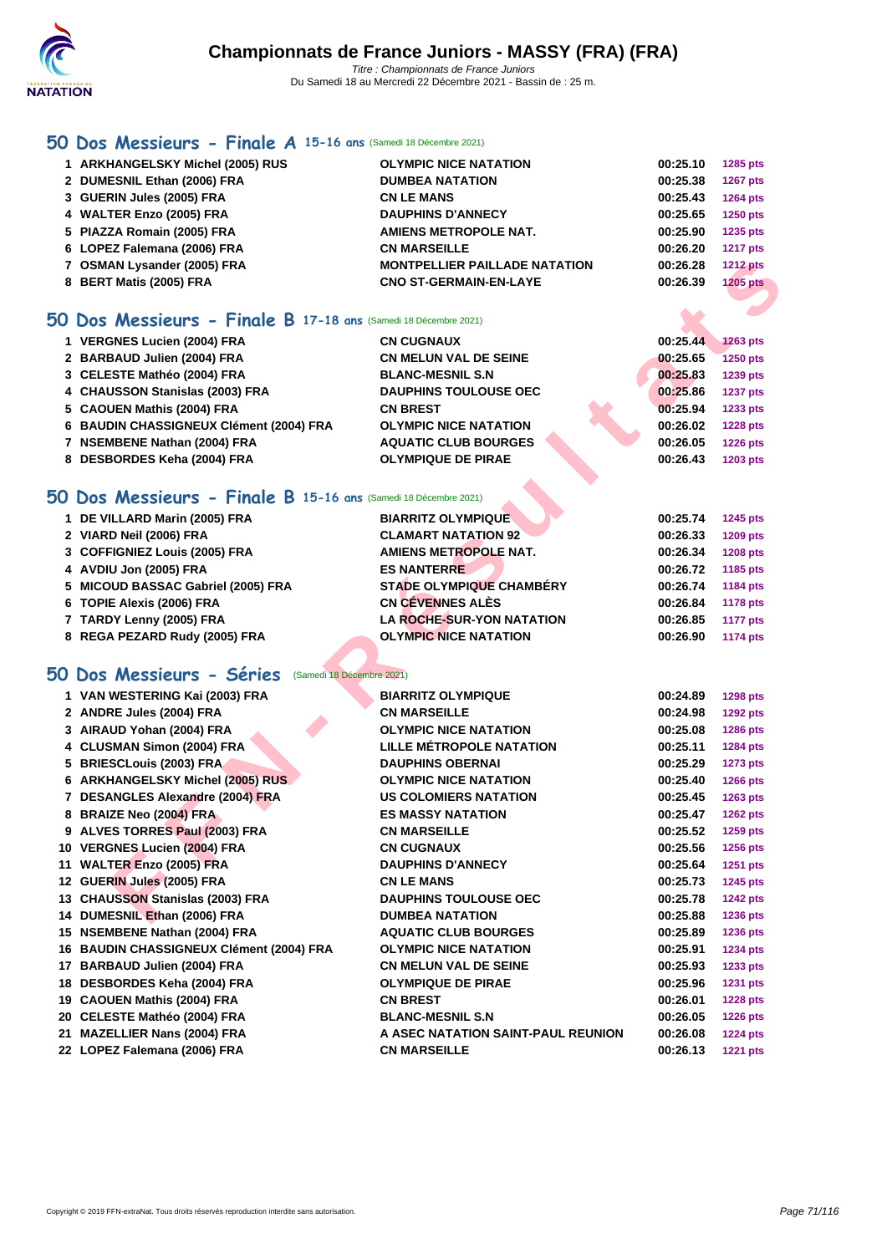

# **[50 Do](http://www.ffnatation.fr/webffn/index.php)s Messieurs - Finale A 15-16 ans** (Samedi 18 Décembre 2021)

| O Dos Messieurs - Finale B 17-18 ans (Samedi 18 Décembre 2021) |                                  |                                      |          |                 |  |
|----------------------------------------------------------------|----------------------------------|--------------------------------------|----------|-----------------|--|
|                                                                | 8 BERT Matis (2005) FRA          | <b>CNO ST-GERMAIN-EN-LAYE</b>        | 00:26.39 | <b>1205 pts</b> |  |
|                                                                | 7 OSMAN Lysander (2005) FRA      | <b>MONTPELLIER PAILLADE NATATION</b> | 00:26.28 | <b>1212 pts</b> |  |
|                                                                | 6 LOPEZ Falemana (2006) FRA      | <b>CN MARSEILLE</b>                  | 00:26.20 | <b>1217 pts</b> |  |
|                                                                | 5 PIAZZA Romain (2005) FRA       | AMIENS METROPOLE NAT.                | 00:25.90 | 1235 pts        |  |
|                                                                | 4 WALTER Enzo (2005) FRA         | <b>DAUPHINS D'ANNECY</b>             | 00:25.65 | <b>1250 pts</b> |  |
|                                                                | 3 GUERIN Jules (2005) FRA        | <b>CN LE MANS</b>                    | 00:25.43 | <b>1264 pts</b> |  |
|                                                                | 2 DUMESNIL Ethan (2006) FRA      | <b>DUMBEA NATATION</b>               | 00:25.38 | 1267 pts        |  |
|                                                                | 1 ARKHANGELSKY Michel (2005) RUS | <b>OLYMPIC NICE NATATION</b>         | 00:25.10 | 1285 pts        |  |

## **50 Dos Messieurs - Finale B 17-18 ans** (Samedi 18 Décembre 2021)

| 1 VERGNES Lucien (2004) FRA             | <b>CN CUGNAUX</b>            | 00:25.44 | <b>1263 pts</b> |
|-----------------------------------------|------------------------------|----------|-----------------|
| 2 BARBAUD Julien (2004) FRA             | <b>CN MELUN VAL DE SEINE</b> | 00:25.65 | <b>1250 pts</b> |
| 3 CELESTE Mathéo (2004) FRA             | <b>BLANC-MESNIL S.N</b>      | 00:25.83 | 1239 pts        |
| 4 CHAUSSON Stanislas (2003) FRA         | <b>DAUPHINS TOULOUSE OEC</b> | 00:25.86 | <b>1237 pts</b> |
| 5 CAOUEN Mathis (2004) FRA              | <b>CN BREST</b>              | 00:25.94 | 1233 pts        |
| 6 BAUDIN CHASSIGNEUX Clément (2004) FRA | <b>OLYMPIC NICE NATATION</b> | 00:26.02 | <b>1228 pts</b> |
| 7 NSEMBENE Nathan (2004) FRA            | <b>AQUATIC CLUB BOURGES</b>  | 00:26.05 | <b>1226 pts</b> |
| 8 DESBORDES Keha (2004) FRA             | <b>OLYMPIQUE DE PIRAE</b>    | 00:26.43 | 1203 pts        |
|                                         |                              |          |                 |

# **50 Dos Messieurs - Finale B 15-16 ans** (Samedi 18 Décembre 2021)

| 1 DE VILLARD Marin (2005) FRA      | <b>BIARRITZ OLYMPIQUE</b>        | 00:25.74<br><b>1245 pts</b> |
|------------------------------------|----------------------------------|-----------------------------|
| 2 VIARD Neil (2006) FRA            | <b>CLAMART NATATION 92</b>       | 00:26.33<br>1209 pts        |
| 3 COFFIGNIEZ Louis (2005) FRA      | AMIENS METROPOLE NAT.            | 00:26.34<br><b>1208 pts</b> |
| 4 AVDIU Jon (2005) FRA             | <b>ES NANTERRE</b>               | 1185 pts<br>00:26.72        |
| 5 MICOUD BASSAC Gabriel (2005) FRA | <b>STADE OLYMPIQUE CHAMBÉRY</b>  | 1184 pts<br>00:26.74        |
| 6 TOPIE Alexis (2006) FRA          | CN CÉVENNES ALÈS                 | 00:26.84<br>1178 pts        |
| 7 TARDY Lenny (2005) FRA           | <b>LA ROCHE-SUR-YON NATATION</b> | 00:26.85<br><b>1177 pts</b> |
| 8 REGA PEZARD Rudy (2005) FRA      | <b>OLYMPIC NICE NATATION</b>     | <b>1174 pts</b><br>00:26.90 |

# **50 Dos Messieurs - Séries** (Samedi 18 Décembre 2021)

| 7 OSMAN Lysander (2005) FRA                                     | <b>MONTPELLIER PAILLADE NATATION</b> | 00:26.28 | <b>1212 pts</b> |
|-----------------------------------------------------------------|--------------------------------------|----------|-----------------|
| 8 BERT Matis (2005) FRA                                         | <b>CNO ST-GERMAIN-EN-LAYE</b>        | 00:26.39 | <b>1205 pts</b> |
|                                                                 |                                      |          |                 |
| iO Dos Messieurs - Finale B 17-18 ans (Samedi 18 Décembre 2021) |                                      |          |                 |
| 1 VERGNES Lucien (2004) FRA                                     | <b>CN CUGNAUX</b>                    | 00:25.44 | <b>1263 pts</b> |
| 2 BARBAUD Julien (2004) FRA                                     | <b>CN MELUN VAL DE SEINE</b>         | 00:25.65 | <b>1250 pts</b> |
| 3 CELESTE Mathéo (2004) FRA                                     | <b>BLANC-MESNIL S.N</b>              | 00:25.83 | 1239 pts        |
| 4 CHAUSSON Stanislas (2003) FRA                                 | <b>DAUPHINS TOULOUSE OEC</b>         | 00:25.86 | <b>1237 pts</b> |
| 5 CAOUEN Mathis (2004) FRA                                      | <b>CN BREST</b>                      | 00:25.94 | 1233 pts        |
| 6 BAUDIN CHASSIGNEUX Clément (2004) FRA                         | <b>OLYMPIC NICE NATATION</b>         | 00:26.02 | <b>1228 pts</b> |
| 7 NSEMBENE Nathan (2004) FRA                                    | <b>AQUATIC CLUB BOURGES</b>          | 00:26.05 | <b>1226 pts</b> |
| 8 DESBORDES Keha (2004) FRA                                     | <b>OLYMPIQUE DE PIRAE</b>            | 00:26.43 | 1203 pts        |
|                                                                 |                                      |          |                 |
| iO Dos Messieurs - Finale B 15-16 ans (Samedi 18 Décembre 2021) |                                      |          |                 |
| 1 DE VILLARD Marin (2005) FRA                                   | <b>BIARRITZ OLYMPIQUE</b>            | 00:25.74 | 1245 pts        |
| 2 VIARD Neil (2006) FRA                                         | <b>CLAMART NATATION 92</b>           | 00:26.33 | <b>1209 pts</b> |
| 3 COFFIGNIEZ Louis (2005) FRA                                   | <b>AMIENS METROPOLE NAT.</b>         | 00:26.34 | <b>1208 pts</b> |
| 4 AVDIU Jon (2005) FRA                                          | <b>ES NANTERRE</b>                   | 00:26.72 | 1185 pts        |
| 5 MICOUD BASSAC Gabriel (2005) FRA                              | <b>STADE OLYMPIQUE CHAMBÉRY</b>      | 00:26.74 | 1184 pts        |
| 6 TOPIE Alexis (2006) FRA                                       | CN CÉVENNES ALÈS                     | 00:26.84 | <b>1178 pts</b> |
| 7 TARDY Lenny (2005) FRA                                        | <b>LA ROCHE-SUR-YON NATATION</b>     | 00:26.85 | <b>1177 pts</b> |
| 8 REGA PEZARD Rudy (2005) FRA                                   | <b>OLYMPIC NICE NATATION</b>         | 00:26.90 | <b>1174 pts</b> |
|                                                                 |                                      |          |                 |
| iO Dos Messieurs - Séries<br>(Samedi 18 Décembre 2021)          |                                      |          |                 |
| 1 VAN WESTERING Kai (2003) FRA                                  | <b>BIARRITZ OLYMPIQUE</b>            | 00:24.89 | <b>1298 pts</b> |
| 2 ANDRE Jules (2004) FRA                                        | <b>CN MARSEILLE</b>                  | 00:24.98 | <b>1292 pts</b> |
| 3 AIRAUD Yohan (2004) FRA                                       | <b>OLYMPIC NICE NATATION</b>         | 00:25.08 | 1286 pts        |
| 4 CLUSMAN Simon (2004) FRA                                      | LILLE MÉTROPOLE NATATION             | 00:25.11 | 1284 pts        |
| 5 BRIESCLouis (2003) FRA                                        | <b>DAUPHINS OBERNAI</b>              | 00:25.29 | <b>1273 pts</b> |
| 6 ARKHANGELSKY Michel (2005) RUS                                | <b>OLYMPIC NICE NATATION</b>         | 00:25.40 | 1266 pts        |
| 7 DESANGLES Alexandre (2004) FRA                                | <b>US COLOMIERS NATATION</b>         | 00:25.45 | 1263 pts        |
| 8 BRAIZE Neo (2004) FRA                                         | <b>ES MASSY NATATION</b>             | 00:25.47 | <b>1262 pts</b> |
| 9 ALVES TORRES Paul (2003) FRA                                  | <b>CN MARSEILLE</b>                  | 00:25.52 | 1259 pts        |
| 10 VERGNES Lucien (2004) FRA                                    | <b>CN CUGNAUX</b>                    | 00:25.56 | <b>1256 pts</b> |
| 11 WALTER Enzo (2005) FRA                                       | <b>DAUPHINS D'ANNECY</b>             | 00:25.64 | <b>1251 pts</b> |
| 12 GUERIN Jules (2005) FRA                                      | <b>CN LE MANS</b>                    | 00:25.73 | <b>1245 pts</b> |
| 13 CHAUSSON Stanislas (2003) FRA                                | <b>DAUPHINS TOULOUSE OEC</b>         | 00:25.78 | <b>1242 pts</b> |
| 14 DUMESNIL Ethan (2006) FRA                                    | <b>DUMBEA NATATION</b>               | 00:25.88 | 1236 pts        |
| 15 NSEMBENE Nathan (2004) FRA                                   | <b>AQUATIC CLUB BOURGES</b>          | 00:25.89 | 1236 pts        |
| 16 BAUDIN CHASSIGNEUX Clément (2004) FRA                        | <b>OLYMPIC NICE NATATION</b>         | 00:25.91 | 1234 pts        |
| 17 BARBAUD Julien (2004) FRA                                    | <b>CN MELUN VAL DE SEINE</b>         | 00:25.93 | 1233 pts        |
| 18 DESBORDES Keha (2004) FRA                                    | <b>OLYMPIQUE DE PIRAE</b>            | 00:25.96 | <b>1231 pts</b> |
| 19 CAOUEN Mathis (2004) FRA                                     | <b>CN BREST</b>                      | 00:26.01 | <b>1228 pts</b> |
| 20 CELESTE Mathéo (2004) FRA                                    | <b>BLANC-MESNIL S.N</b>              | 00:26.05 | <b>1226 pts</b> |
| 21 MAZELLIER Nans (2004) FRA                                    | A ASEC NATATION SAINT-PAUL REUNION   | 00:26.08 | <b>1224 pts</b> |
| 22 LOPEZ Falemana (2006) FRA                                    | <b>CN MARSEILLE</b>                  | 00:26.13 | <b>1221 pts</b> |
|                                                                 |                                      |          |                 |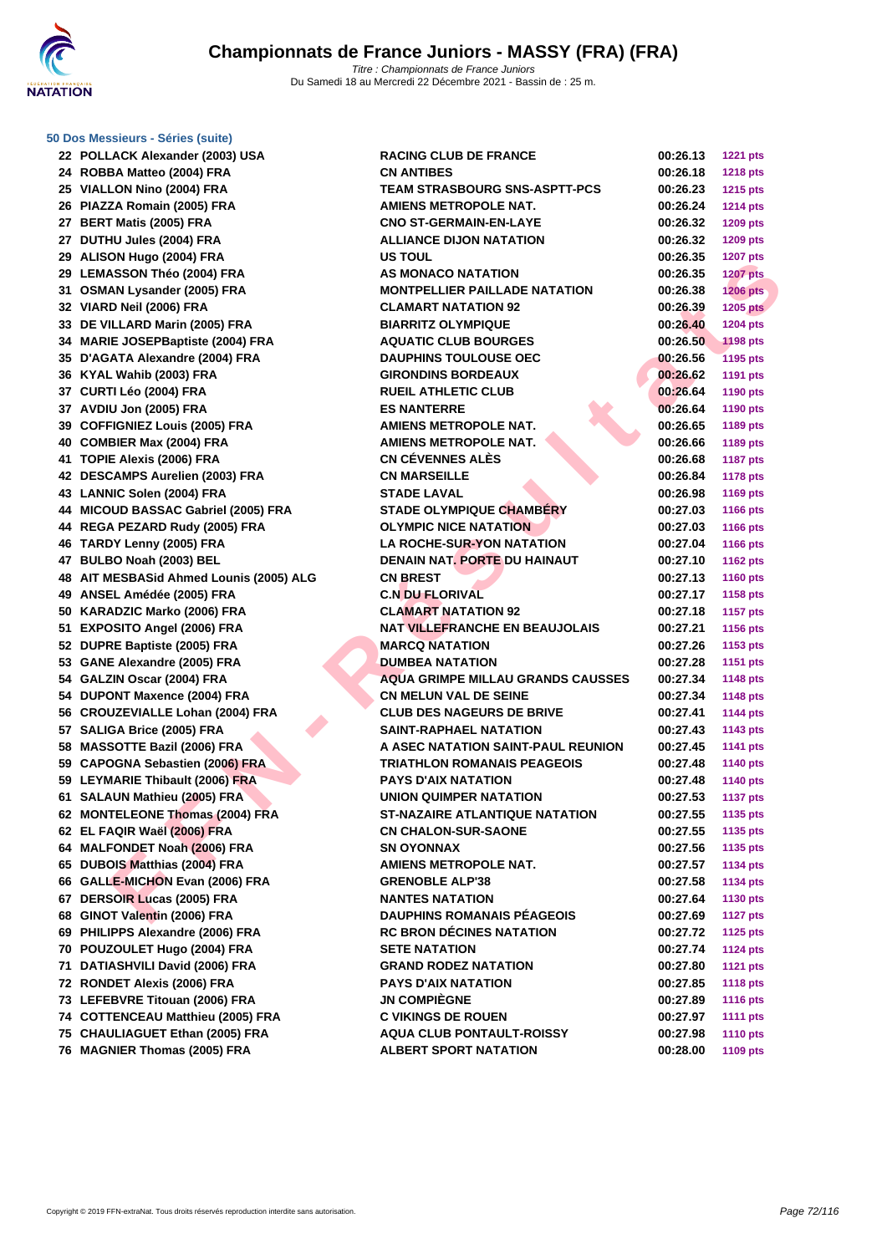

**[50 Dos M](http://www.ffnatation.fr/webffn/index.php)essieurs - Séries (suite)**

| 22 POLLACK Alexander (2003) USA                                  | <b>RACING CLUB DE FRANCE</b>             | 00:26.13             | <b>1221 pts</b> |
|------------------------------------------------------------------|------------------------------------------|----------------------|-----------------|
| 24 ROBBA Matteo (2004) FRA                                       | <b>CN ANTIBES</b>                        | 00:26.18             | <b>1218 pts</b> |
| 25 VIALLON Nino (2004) FRA                                       | <b>TEAM STRASBOURG SNS-ASPTT-PCS</b>     | 00:26.23             | 1215 pts        |
| 26 PIAZZA Romain (2005) FRA                                      | <b>AMIENS METROPOLE NAT.</b>             | 00:26.24             | <b>1214 pts</b> |
| 27 BERT Matis (2005) FRA                                         | <b>CNO ST-GERMAIN-EN-LAYE</b>            | 00:26.32             | 1209 pts        |
| 27 DUTHU Jules (2004) FRA                                        | <b>ALLIANCE DIJON NATATION</b>           | 00:26.32             | <b>1209 pts</b> |
| 29 ALISON Hugo (2004) FRA                                        | <b>US TOUL</b>                           | 00:26.35             | <b>1207 pts</b> |
| 29 LEMASSON Théo (2004) FRA                                      | <b>AS MONACO NATATION</b>                | 00:26.35             | <b>1207 pts</b> |
| 31 OSMAN Lysander (2005) FRA                                     | <b>MONTPELLIER PAILLADE NATATION</b>     | 00:26.38             | 1206 pts        |
| 32 VIARD Neil (2006) FRA                                         | <b>CLAMART NATATION 92</b>               | 00:26.39             | <b>1205 pts</b> |
| 33 DE VILLARD Marin (2005) FRA                                   | <b>BIARRITZ OLYMPIQUE</b>                | 00:26.40             | <b>1204 pts</b> |
| 34 MARIE JOSEPBaptiste (2004) FRA                                | <b>AQUATIC CLUB BOURGES</b>              | 00:26.50             | <b>1198 pts</b> |
| 35 D'AGATA Alexandre (2004) FRA                                  | <b>DAUPHINS TOULOUSE OEC</b>             | 00:26.56             | <b>1195 pts</b> |
| 36 KYAL Wahib (2003) FRA                                         | <b>GIRONDINS BORDEAUX</b>                | 00:26.62             | <b>1191 pts</b> |
| 37 CURTI Léo (2004) FRA                                          | <b>RUEIL ATHLETIC CLUB</b>               | 00:26.64             | 1190 pts        |
| 37 AVDIU Jon (2005) FRA                                          | <b>ES NANTERRE</b>                       | 00:26.64             | 1190 pts        |
| 39 COFFIGNIEZ Louis (2005) FRA                                   | <b>AMIENS METROPOLE NAT.</b>             | 00:26.65             | 1189 pts        |
| 40 COMBIER Max (2004) FRA                                        | <b>AMIENS METROPOLE NAT.</b>             | 00:26.66             | 1189 pts        |
| 41 TOPIE Alexis (2006) FRA                                       | <b>CN CÉVENNES ALÈS</b>                  | 00:26.68             | <b>1187 pts</b> |
| 42 DESCAMPS Aurelien (2003) FRA                                  | <b>CN MARSEILLE</b>                      | 00:26.84             | <b>1178 pts</b> |
| 43 LANNIC Solen (2004) FRA                                       | <b>STADE LAVAL</b>                       | 00:26.98             | <b>1169 pts</b> |
| 44 MICOUD BASSAC Gabriel (2005) FRA                              | <b>STADE OLYMPIQUE CHAMBÉRY</b>          | 00:27.03             | <b>1166 pts</b> |
| 44 REGA PEZARD Rudy (2005) FRA                                   | <b>OLYMPIC NICE NATATION</b>             | 00:27.03             | 1166 pts        |
| 46 TARDY Lenny (2005) FRA                                        | <b>LA ROCHE-SUR-YON NATATION</b>         | 00:27.04             | 1166 pts        |
| 47 BULBO Noah (2003) BEL                                         | <b>DENAIN NAT, PORTE DU HAINAUT</b>      | 00:27.10             | <b>1162 pts</b> |
| 48 AIT MESBASid Ahmed Lounis (2005) ALG                          | <b>CN BREST</b>                          | 00:27.13             | <b>1160 pts</b> |
| 49 ANSEL Amédée (2005) FRA                                       | <b>C.N DU FLORIVAL</b>                   | 00:27.17             | 1158 pts        |
| 50 KARADZIC Marko (2006) FRA                                     | <b>CLAMART NATATION 92</b>               | 00:27.18             | <b>1157 pts</b> |
| 51 EXPOSITO Angel (2006) FRA                                     | <b>NAT VILLEFRANCHE EN BEAUJOLAIS</b>    | 00:27.21             | 1156 pts        |
| 52 DUPRE Baptiste (2005) FRA                                     | <b>MARCQ NATATION</b>                    | 00:27.26             | 1153 pts        |
| 53 GANE Alexandre (2005) FRA                                     | <b>DUMBEA NATATION</b>                   | 00:27.28             | <b>1151 pts</b> |
| 54 GALZIN Oscar (2004) FRA                                       | <b>AQUA GRIMPE MILLAU GRANDS CAUSSES</b> | 00:27.34             | 1148 pts        |
| 54 DUPONT Maxence (2004) FRA                                     | <b>CN MELUN VAL DE SEINE</b>             | 00:27.34             | 1148 pts        |
| 56 CROUZEVIALLE Lohan (2004) FRA                                 | <b>CLUB DES NAGEURS DE BRIVE</b>         | 00:27.41             | <b>1144 pts</b> |
| 57 SALIGA Brice (2005) FRA                                       | <b>SAINT-RAPHAEL NATATION</b>            | 00:27.43             | 1143 pts        |
| 58 MASSOTTE Bazil (2006) FRA                                     | A ASEC NATATION SAINT-PAUL REUNION       | 00:27.45             | <b>1141 pts</b> |
| 59 CAPOGNA Sebastien (2006) FRA                                  | <b>TRIATHLON ROMANAIS PEAGEOIS</b>       | 00:27.48             | 1140 pts        |
| 59 LEYMARIE Thibault (2006) FRA                                  | <b>PAYS D'AIX NATATION</b>               | 00:27.48             | 1140 pts        |
| 61 SALAUN Mathieu (2005) FRA                                     | UNION QUIMPER NATATION                   | 00:27.53             | <b>1137 pts</b> |
| 62 MONTELEONE Thomas (2004) FRA                                  | ST-NAZAIRE ATLANTIQUE NATATION           | 00:27.55             | 1135 pts        |
| 62 EL FAQIR Waël (2006) FRA                                      | <b>CN CHALON-SUR-SAONE</b>               | 00:27.55             | 1135 pts        |
| 64 MALFONDET Noah (2006) FRA                                     | <b>SN OYONNAX</b>                        | 00:27.56             | 1135 pts        |
| 65 DUBOIS Matthias (2004) FRA                                    | <b>AMIENS METROPOLE NAT.</b>             | 00:27.57             | 1134 pts        |
| 66 GALLE-MICHON Evan (2006) FRA                                  | <b>GRENOBLE ALP'38</b>                   | 00:27.58             |                 |
| 67 DERSOIR Lucas (2005) FRA                                      | <b>NANTES NATATION</b>                   | 00:27.64             | 1134 pts        |
| 68 GINOT Valentin (2006) FRA                                     | <b>DAUPHINS ROMANAIS PÉAGEOIS</b>        |                      | 1130 pts        |
|                                                                  | <b>RC BRON DÉCINES NATATION</b>          | 00:27.69             | <b>1127 pts</b> |
| 69 PHILIPPS Alexandre (2006) FRA<br>70 POUZOULET Hugo (2004) FRA | <b>SETE NATATION</b>                     | 00:27.72<br>00:27.74 | <b>1125 pts</b> |
|                                                                  | <b>GRAND RODEZ NATATION</b>              |                      | <b>1124 pts</b> |
| 71 DATIASHVILI David (2006) FRA                                  | <b>PAYS D'AIX NATATION</b>               | 00:27.80             | <b>1121 pts</b> |
| 72 RONDET Alexis (2006) FRA                                      |                                          | 00:27.85             | <b>1118 pts</b> |
| 73 LEFEBVRE Titouan (2006) FRA                                   | <b>JN COMPIEGNE</b>                      | 00:27.89             | <b>1116 pts</b> |
| 74 COTTENCEAU Matthieu (2005) FRA                                | <b>C VIKINGS DE ROUEN</b>                | 00:27.97             | <b>1111 pts</b> |
| 75 CHAULIAGUET Ethan (2005) FRA                                  | <b>AQUA CLUB PONTAULT-ROISSY</b>         | 00:27.98             | <b>1110 pts</b> |
| 76 MAGNIER Thomas (2005) FRA                                     | <b>ALBERT SPORT NATATION</b>             | 00:28.00             | 1109 pts        |
|                                                                  |                                          |                      |                 |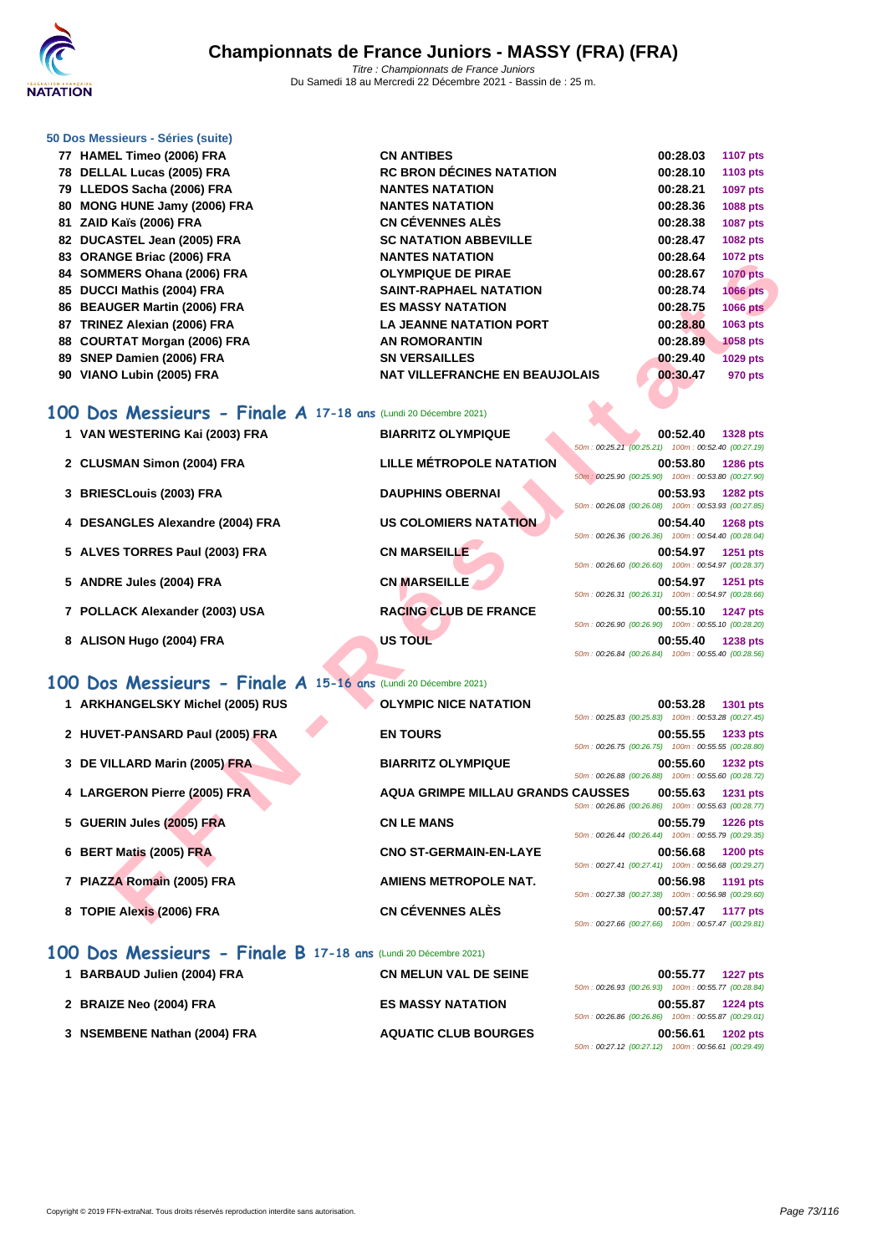

## **[50 Dos M](http://www.ffnatation.fr/webffn/index.php)essieurs - Séries (suite)**

| 77 HAMEL Timeo (2006) FRA                                       | <b>CN ANTIBES</b>                     | 00:28.03 | <b>1107 pts</b> |
|-----------------------------------------------------------------|---------------------------------------|----------|-----------------|
| 78 DELLAL Lucas (2005) FRA                                      | <b>RC BRON DÉCINES NATATION</b>       | 00:28.10 | <b>1103 pts</b> |
| 79 LLEDOS Sacha (2006) FRA                                      | <b>NANTES NATATION</b>                | 00:28.21 | 1097 pts        |
| 80 MONG HUNE Jamy (2006) FRA                                    | <b>NANTES NATATION</b>                | 00:28.36 | 1088 pts        |
| 81 ZAID Kaïs (2006) FRA                                         | CN CÉVENNES ALÈS                      | 00:28.38 | 1087 pts        |
| 82 DUCASTEL Jean (2005) FRA                                     | <b>SC NATATION ABBEVILLE</b>          | 00:28.47 | 1082 pts        |
| 83 ORANGE Briac (2006) FRA                                      | <b>NANTES NATATION</b>                | 00:28.64 | 1072 pts        |
| 84 SOMMERS Ohana (2006) FRA                                     | <b>OLYMPIQUE DE PIRAE</b>             | 00:28.67 | <b>1070 pts</b> |
| 85 DUCCI Mathis (2004) FRA                                      | <b>SAINT-RAPHAEL NATATION</b>         | 00:28.74 | 1066 pts        |
| 86 BEAUGER Martin (2006) FRA                                    | <b>ES MASSY NATATION</b>              | 00:28.75 | 1066 pts        |
| 87 TRINEZ Alexian (2006) FRA                                    | <b>LA JEANNE NATATION PORT</b>        | 00:28.80 | 1063 pts        |
| 88 COURTAT Morgan (2006) FRA                                    | <b>AN ROMORANTIN</b>                  | 00:28.89 | <b>1058 pts</b> |
| 89 SNEP Damien (2006) FRA                                       | <b>SN VERSAILLES</b>                  | 00:29.40 | 1029 pts        |
| 90 VIANO Lubin (2005) FRA                                       | <b>NAT VILLEFRANCHE EN BEAUJOLAIS</b> | 00:30.47 | 970 pts         |
| .00 Dos Messieurs - Finale A 17-18 ans (Lundi 20 Décembre 2021) |                                       |          |                 |

## **100 Dos Messieurs - Finale A 17-18 ans** (Lundi 20 Décembre 2021)

| <b>UNAINGL DITECTED</b>                                         | ————————————————                         | 00.ZU.UT<br>$1012 \mu s$                                                          |
|-----------------------------------------------------------------|------------------------------------------|-----------------------------------------------------------------------------------|
| 84 SOMMERS Ohana (2006) FRA                                     | <b>OLYMPIQUE DE PIRAE</b>                | 00:28.67<br><b>1070 pts</b>                                                       |
| 85 DUCCI Mathis (2004) FRA                                      | <b>SAINT-RAPHAEL NATATION</b>            | 00:28.74<br><b>1066 pts</b>                                                       |
| 86 BEAUGER Martin (2006) FRA                                    | <b>ES MASSY NATATION</b>                 | 00:28.75<br><b>1066 pts</b>                                                       |
| 87 TRINEZ Alexian (2006) FRA                                    | <b>LA JEANNE NATATION PORT</b>           | 00:28.80<br>1063 pts                                                              |
| 88 COURTAT Morgan (2006) FRA                                    | <b>AN ROMORANTIN</b>                     | 00:28.89<br>1058 pts                                                              |
| 89 SNEP Damien (2006) FRA                                       | <b>SN VERSAILLES</b>                     | 00:29.40<br>1029 pts                                                              |
| 90 VIANO Lubin (2005) FRA                                       | <b>NAT VILLEFRANCHE EN BEAUJOLAIS</b>    | 00:30.47<br>970 pts                                                               |
|                                                                 |                                          |                                                                                   |
| 100 Dos Messieurs - Finale A 17-18 ans (Lundi 20 Décembre 2021) |                                          |                                                                                   |
| 1 VAN WESTERING Kai (2003) FRA                                  | <b>BIARRITZ OLYMPIQUE</b>                | 00:52.40<br>1328 pts                                                              |
|                                                                 |                                          | 50m: 00:25.21 (00:25.21) 100m: 00:52.40 (00:27.19)                                |
| 2 CLUSMAN Simon (2004) FRA                                      | <b>LILLE MÉTROPOLE NATATION</b>          | 00:53.80<br><b>1286 pts</b>                                                       |
|                                                                 |                                          | 50m: 00:25.90 (00:25.90) 100m: 00:53.80 (00:27.90)                                |
| 3 BRIESCLouis (2003) FRA                                        | <b>DAUPHINS OBERNAI</b>                  | 00:53.93<br><b>1282 pts</b><br>50m: 00:26.08 (00:26.08) 100m: 00:53.93 (00:27.85) |
| 4 DESANGLES Alexandre (2004) FRA                                | <b>US COLOMIERS NATATION</b>             | 00:54.40<br><b>1268 pts</b>                                                       |
|                                                                 |                                          | 50m: 00:26.36 (00:26.36) 100m: 00:54.40 (00:28.04)                                |
| 5 ALVES TORRES Paul (2003) FRA                                  | <b>CN MARSEILLE</b>                      | 00:54.97<br><b>1251 pts</b>                                                       |
|                                                                 |                                          | 50m: 00:26.60 (00:26.60) 100m: 00:54.97 (00:28.37)                                |
| 5 ANDRE Jules (2004) FRA                                        | <b>CN MARSEILLE</b>                      | 00:54.97<br>1251 pts                                                              |
|                                                                 |                                          | 50m: 00:26.31 (00:26.31) 100m: 00:54.97 (00:28.66)                                |
| 7 POLLACK Alexander (2003) USA                                  | <b>RACING CLUB DE FRANCE</b>             | 00:55.10<br><b>1247 pts</b>                                                       |
|                                                                 | US TOUL                                  | 50m: 00:26.90 (00:26.90) 100m: 00:55.10 (00:28.20)                                |
| 8 ALISON Hugo (2004) FRA                                        |                                          | 00:55.40<br><b>1238 pts</b><br>50m: 00:26.84 (00:26.84) 100m: 00:55.40 (00:28.56) |
|                                                                 |                                          |                                                                                   |
| 100 Dos Messieurs - Finale A 15-16 ans (Lundi 20 Décembre 2021) |                                          |                                                                                   |
| 1 ARKHANGELSKY Michel (2005) RUS                                | <b>OLYMPIC NICE NATATION</b>             | 00:53.28<br>1301 pts                                                              |
|                                                                 |                                          | 50m: 00:25.83 (00:25.83) 100m: 00:53.28 (00:27.45)                                |
| 2 HUVET-PANSARD Paul (2005) FRA                                 | <b>EN TOURS</b>                          | 00:55.55<br>1233 pts                                                              |
|                                                                 |                                          | 50m: 00:26.75 (00:26.75) 100m: 00:55.55 (00:28.80)                                |
| 3 DE VILLARD Marin (2005) FRA                                   | <b>BIARRITZ OLYMPIQUE</b>                | 00:55.60<br><b>1232 pts</b><br>50m: 00:26.88 (00:26.88) 100m: 00:55.60 (00:28.72) |
| 4 LARGERON Pierre (2005) FRA                                    | <b>AQUA GRIMPE MILLAU GRANDS CAUSSES</b> | 00:55.63<br><b>1231 pts</b>                                                       |
|                                                                 |                                          | 50m : 00:26.86 (00:26.86) 100m : 00:55.63 (00:28.77)                              |
| 5 GUERIN Jules (2005) FRA                                       | <b>CN LE MANS</b>                        | 00:55.79<br><b>1226 pts</b>                                                       |
|                                                                 |                                          | 50m: 00:26.44 (00:26.44) 100m: 00:55.79 (00:29.35)                                |
| 6 BERT Matis (2005) FRA                                         | <b>CNO ST-GERMAIN-EN-LAYE</b>            | 00:56.68<br><b>1200 pts</b>                                                       |
|                                                                 |                                          | 50m: 00:27.41 (00:27.41) 100m: 00:56.68 (00:29.27)                                |
| 7 PIAZZA Romain (2005) FRA                                      | <b>AMIENS METROPOLE NAT.</b>             | 00:56.98<br>1191 pts                                                              |
|                                                                 |                                          | 50m: 00:27.38 (00:27.38) 100m: 00:56.98 (00:29.60)                                |
| 8 TOPIE Alexis (2006) FRA                                       | <b>CN CÉVENNES ALÈS</b>                  | 00:57.47<br>1177 pts<br>$F0 - 0.00700$ (00.07.00                                  |

- **1 ARKHANGELSKY Michel (2005) RUS OLYMPIC NICE NATATION 00:53.28 1301 pts**
- **2 HUVET-PANSARD Paul (2005) FRA EN TOURS 00:55.55 1233 pts**
- **3 DE VILLARD Marin (2005) FRA BIARRITZ OLYMPIQUE 00:55.60 1232 pts**
- **4 LARGERON Pierre (2005) FRA AQUA GRIMPE MILLAU GRANDS CAUSSES 00:55.63 1231 pts**
- **5 GUERIN Jules (2005) FRA CN LE MANS 00:55.79 1226 pts**
- **6 BERT Matis (2005) FRA CNO ST-GERMAIN-EN-LAYE 00:56.68 1200 pts**
- **7 PIAZZA Romain (2005) FRA AMIENS METROPOLE NAT. 00:56.98 1191 pts**
- **8 TOPIE Alexis (2006) FRA CN CÉVENNES ALÈS 00:57.47 1177 pts**

## **100 Dos Messieurs - Finale B 17-18 ans** (Lundi 20 Décembre 2021)

| 1 BARBAUD Julien (2004) FRA  | <b>CN MELUN VAL DE SEINE</b> |                                                       | 00:55.77 | <b>1227 pts</b> |
|------------------------------|------------------------------|-------------------------------------------------------|----------|-----------------|
|                              |                              | 50m: 00:26.93 (00:26.93) 100m: 00:55.77 (00:28.84)    |          |                 |
| 2 BRAIZE Neo (2004) FRA      | <b>ES MASSY NATATION</b>     |                                                       | 00:55.87 | <b>1224 pts</b> |
|                              |                              | 50m: 00:26.86 (00:26.86) 100m: 00:55.87 (00:29.01)    |          |                 |
| 3 NSEMBENE Nathan (2004) FRA | <b>AQUATIC CLUB BOURGES</b>  |                                                       | 00:56.61 | <b>1202 pts</b> |
|                              |                              | 50m : 00:27.12 (00:27.12)  100m : 00:56.61 (00:29.49) |          |                 |

50m : 00:27.66 (00:27.66) 100m : 00:57.47 (00:29.81)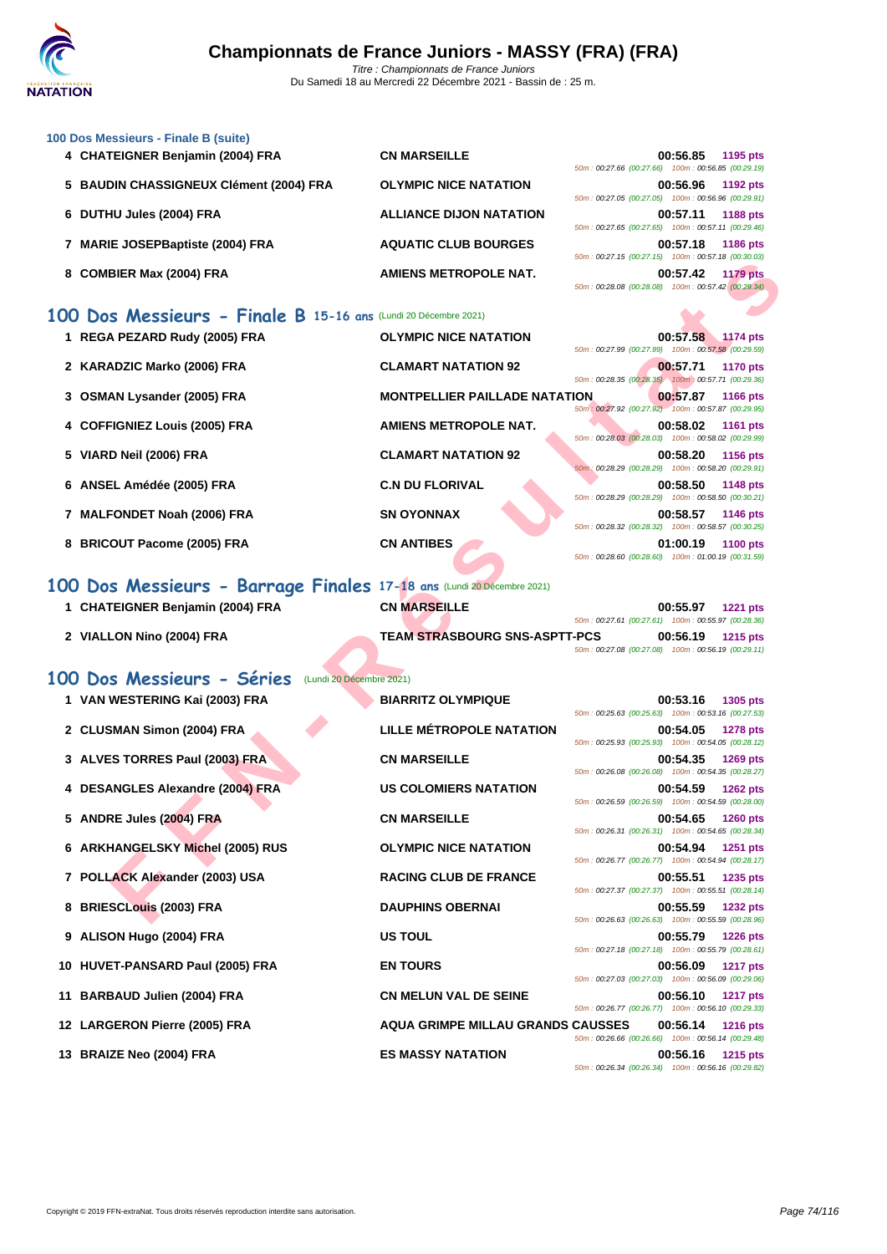

| 100 Dos Messieurs - Finale B (suite) |                                                                                                                                                                                                                                                                                                                                    |                                                                 |                                      |                                                                                                                                                                                                                                                                                                                                                                                                                                                                                                                                                                                                                                                       |
|--------------------------------------|------------------------------------------------------------------------------------------------------------------------------------------------------------------------------------------------------------------------------------------------------------------------------------------------------------------------------------|-----------------------------------------------------------------|--------------------------------------|-------------------------------------------------------------------------------------------------------------------------------------------------------------------------------------------------------------------------------------------------------------------------------------------------------------------------------------------------------------------------------------------------------------------------------------------------------------------------------------------------------------------------------------------------------------------------------------------------------------------------------------------------------|
|                                      | <b>CN MARSEILLE</b>                                                                                                                                                                                                                                                                                                                |                                                                 |                                      | 1195 pts                                                                                                                                                                                                                                                                                                                                                                                                                                                                                                                                                                                                                                              |
|                                      |                                                                                                                                                                                                                                                                                                                                    |                                                                 |                                      |                                                                                                                                                                                                                                                                                                                                                                                                                                                                                                                                                                                                                                                       |
|                                      | <b>OLYMPIC NICE NATATION</b>                                                                                                                                                                                                                                                                                                       |                                                                 |                                      |                                                                                                                                                                                                                                                                                                                                                                                                                                                                                                                                                                                                                                                       |
|                                      |                                                                                                                                                                                                                                                                                                                                    |                                                                 |                                      |                                                                                                                                                                                                                                                                                                                                                                                                                                                                                                                                                                                                                                                       |
|                                      | <b>ALLIANCE DIJON NATATION</b>                                                                                                                                                                                                                                                                                                     |                                                                 |                                      | 1188 pts                                                                                                                                                                                                                                                                                                                                                                                                                                                                                                                                                                                                                                              |
|                                      |                                                                                                                                                                                                                                                                                                                                    |                                                                 |                                      |                                                                                                                                                                                                                                                                                                                                                                                                                                                                                                                                                                                                                                                       |
|                                      | <b>AQUATIC CLUB BOURGES</b>                                                                                                                                                                                                                                                                                                        |                                                                 |                                      |                                                                                                                                                                                                                                                                                                                                                                                                                                                                                                                                                                                                                                                       |
|                                      |                                                                                                                                                                                                                                                                                                                                    |                                                                 |                                      |                                                                                                                                                                                                                                                                                                                                                                                                                                                                                                                                                                                                                                                       |
|                                      | AMIENS METROPOLE NAT.                                                                                                                                                                                                                                                                                                              |                                                                 |                                      | 1179 pts                                                                                                                                                                                                                                                                                                                                                                                                                                                                                                                                                                                                                                              |
|                                      |                                                                                                                                                                                                                                                                                                                                    |                                                                 |                                      |                                                                                                                                                                                                                                                                                                                                                                                                                                                                                                                                                                                                                                                       |
|                                      |                                                                                                                                                                                                                                                                                                                                    |                                                                 |                                      |                                                                                                                                                                                                                                                                                                                                                                                                                                                                                                                                                                                                                                                       |
|                                      |                                                                                                                                                                                                                                                                                                                                    |                                                                 |                                      |                                                                                                                                                                                                                                                                                                                                                                                                                                                                                                                                                                                                                                                       |
|                                      | <b>OLYMPIC NICE NATATION</b>                                                                                                                                                                                                                                                                                                       |                                                                 |                                      |                                                                                                                                                                                                                                                                                                                                                                                                                                                                                                                                                                                                                                                       |
|                                      |                                                                                                                                                                                                                                                                                                                                    |                                                                 |                                      |                                                                                                                                                                                                                                                                                                                                                                                                                                                                                                                                                                                                                                                       |
|                                      | <b>CLAMART NATATION 92</b>                                                                                                                                                                                                                                                                                                         |                                                                 |                                      | 1170 pts                                                                                                                                                                                                                                                                                                                                                                                                                                                                                                                                                                                                                                              |
|                                      |                                                                                                                                                                                                                                                                                                                                    |                                                                 |                                      |                                                                                                                                                                                                                                                                                                                                                                                                                                                                                                                                                                                                                                                       |
|                                      |                                                                                                                                                                                                                                                                                                                                    |                                                                 |                                      | <b>1166 pts</b>                                                                                                                                                                                                                                                                                                                                                                                                                                                                                                                                                                                                                                       |
|                                      |                                                                                                                                                                                                                                                                                                                                    |                                                                 |                                      |                                                                                                                                                                                                                                                                                                                                                                                                                                                                                                                                                                                                                                                       |
|                                      | AMIENS METROPOLE NAT.                                                                                                                                                                                                                                                                                                              |                                                                 |                                      | 1161 pts                                                                                                                                                                                                                                                                                                                                                                                                                                                                                                                                                                                                                                              |
|                                      |                                                                                                                                                                                                                                                                                                                                    |                                                                 |                                      |                                                                                                                                                                                                                                                                                                                                                                                                                                                                                                                                                                                                                                                       |
|                                      | <b>CLAMART NATATION 92</b>                                                                                                                                                                                                                                                                                                         |                                                                 |                                      | <b>1156 pts</b>                                                                                                                                                                                                                                                                                                                                                                                                                                                                                                                                                                                                                                       |
|                                      | 4 CHATEIGNER Benjamin (2004) FRA<br>5 BAUDIN CHASSIGNEUX Clément (2004) FRA<br>6 DUTHU Jules (2004) FRA<br>7 MARIE JOSEPBaptiste (2004) FRA<br>8 COMBIER Max (2004) FRA<br>1 REGA PEZARD Rudy (2005) FRA<br>2 KARADZIC Marko (2006) FRA<br>3 OSMAN Lysander (2005) FRA<br>4 COFFIGNIEZ Louis (2005) FRA<br>5 VIARD Neil (2006) FRA | 100 Dos Messieurs - Finale B 15-16 ans (Lundi 20 Décembre 2021) | <b>MONTPELLIER PAILLADE NATATION</b> | 00:56.85<br>50m: 00:27.66 (00:27.66) 100m: 00:56.85 (00:29.19)<br>00:56.96 1192 pts<br>50m: 00:27.05 (00:27.05) 100m: 00:56.96 (00:29.91)<br>00:57.11<br>50m: 00:27.65 (00:27.65) 100m: 00:57.11 (00:29.46)<br>00:57.18 1186 pts<br>50m: 00:27.15 (00:27.15) 100m: 00:57.18 (00:30.03)<br>00:57.42<br>50m: 00:28.08 (00:28.08) 100m: 00:57.42 (00:29.34)<br>00:57.58 1174 pts<br>50m: 00:27.99 (00:27.99) 100m: 00:57.58 (00:29.59)<br>00:57.71<br>50m: 00:28.35 (00:28.35) 100m: 00:57.71 (00:29.36)<br>00:57.87<br>50m: 00:27.92 (00:27.92) 100m: 00:57.87 (00:29.95)<br>00:58.02<br>50m: 00:28.03 (00:28.03) 100m: 00:58.02 (00:29.99)<br>00:58.20 |

## **6 ANSEL Amédée (2005) FRA C.N DU FLORIVAL 00:58.50 1148 pts** 50m : 00:28.29 (00:28.29) 100m : 00:58.50 (00:30.21) **7 MALFONDET Noah (2006) FRA SN OYONNAX 00:58.57 1146 pts** 50m : 00:28.32 (00:28.32) 100m : 00:58.57 (00:30.25) 50m : 00:28.60 (00:28.60) 100m : 01:00.19 (00:31.59)

## **100 Dos Messieurs - Barrage Finales 17-18 ans** (Lundi 20 Décembre 2021) **1 CHATEIGNER Benjamin (2004) FRA**

| <b>CN MARSEILLE</b><br>00:55.97<br>1221 pts               |  |
|-----------------------------------------------------------|--|
| 50m: 00:27.61 (00:27.61) 100m: 00:55.97 (00:28.36)        |  |
| <b>TEAM STRASBOURG SNS-ASPTT-PCS</b><br>00:56.19 1215 pts |  |
| 50m: 00:27.08 (00:27.08) 100m: 00:56.19 (00:29.11)        |  |

## **100 Dos Messieurs - Séries** (Lundi 20 Décembre 2021)

| 8 COMBIER Max (2004) FRA                                              | AMIENS METROPOLE NAT.                                         | 00:57.42<br>1179 pts<br>50m: 00:28.08 (00:28.08) 100m: 00:57.42 (00:29.34)                             |
|-----------------------------------------------------------------------|---------------------------------------------------------------|--------------------------------------------------------------------------------------------------------|
| 00 Dos Messieurs - Finale B 15-16 ans (Lundi 20 Décembre 2021)        |                                                               |                                                                                                        |
| 1 REGA PEZARD Rudy (2005) FRA                                         | <b>OLYMPIC NICE NATATION</b>                                  | 00:57.58<br>$1174$ pts<br>50m: 00:27.99 (00:27.99) 100m: 00:57.58 (00:29.59)                           |
| 2 KARADZIC Marko (2006) FRA                                           | <b>CLAMART NATATION 92</b>                                    | 00:57.71<br><b>1170 pts</b><br>50m: 00:28.35 (00:28.35) 100m: 00:57.71 (00:29.36)                      |
| 3 OSMAN Lysander (2005) FRA                                           | <b>MONTPELLIER PAILLADE NATATION</b>                          | 00:57.87<br><b>1166 pts</b><br>50m : 00:27.92 (00:27.92) 100m : 00:57.87 (00:29.95)                    |
| 4 COFFIGNIEZ Louis (2005) FRA                                         | AMIENS METROPOLE NAT.                                         | 00:58.02<br><b>1161 pts</b>                                                                            |
| 5 VIARD Neil (2006) FRA                                               | <b>CLAMART NATATION 92</b>                                    | 50m : 00:28.03 (00:28.03) 100m : 00:58.02 (00:29.99)<br>00:58.20<br><b>1156 pts</b>                    |
| 6 ANSEL Amédée (2005) FRA                                             | <b>C.N DU FLORIVAL</b>                                        | 50m: 00:28.29 (00:28.29) 100m: 00:58.20 (00:29.91)<br>00:58.50<br>1148 pts                             |
| 7 MALFONDET Noah (2006) FRA                                           | <b>SN OYONNAX</b>                                             | 50m: 00:28.29 (00:28.29) 100m: 00:58.50 (00:30.21)<br>00:58.57<br><b>1146 pts</b>                      |
| 8 BRICOUT Pacome (2005) FRA                                           | <b>CN ANTIBES</b>                                             | 50m: 00:28.32 (00:28.32) 100m: 00:58.57 (00:30.25)<br>01:00.19<br><b>1100 pts</b>                      |
|                                                                       |                                                               | 50m: 00:28.60 (00:28.60) 100m: 01:00.19 (00:31.59)                                                     |
| 00 Dos Messieurs - Barrage Finales 17-18 ans (Lundi 20 Décembre 2021) |                                                               |                                                                                                        |
| 1 CHATEIGNER Benjamin (2004) FRA                                      | <b>CN MARSEILLE</b>                                           | 00:55.97<br><b>1221 pts</b><br>50m: 00:27.61 (00:27.61) 100m: 00:55.97 (00:28.36)                      |
| 2 VIALLON Nino (2004) FRA                                             | <b>TEAM STRASBOURG SNS-ASPTT-PCS</b>                          | 00:56.19<br><b>1215 pts</b><br>50m: 00:27.08 (00:27.08) 100m: 00:56.19 (00:29.11)                      |
| 00 Dos Messieurs - Séries<br>(Lundi 20 Décembre 2021)                 |                                                               |                                                                                                        |
| 1 VAN WESTERING Kai (2003) FRA                                        | <b>BIARRITZ OLYMPIQUE</b>                                     | 00:53.16<br>1305 pts                                                                                   |
| 2 CLUSMAN Simon (2004) FRA                                            | <b>LILLE MÉTROPOLE NATATION</b>                               | 50m: 00:25.63 (00:25.63) 100m: 00:53.16 (00:27.53)<br>00:54.05<br><b>1278 pts</b>                      |
|                                                                       | <b>CN MARSEILLE</b>                                           | 50m: 00:25.93 (00:25.93) 100m: 00:54.05 (00:28.12)                                                     |
| 3 ALVES TORRES Paul (2003) FRA                                        |                                                               | 00:54.35<br><b>1269 pts</b><br>50m: 00:26.08 (00:26.08) 100m: 00:54.35 (00:28.27)                      |
| 4 DESANGLES Alexandre (2004) FRA                                      | <b>US COLOMIERS NATATION</b>                                  | 00:54.59<br><b>1262 pts</b><br>50m: 00:26.59 (00:26.59) 100m: 00:54.59 (00:28.00)                      |
| 5 ANDRE Jules (2004) FRA                                              | <b>CN MARSEILLE</b>                                           | 00:54.65<br><b>1260 pts</b><br>50m: 00:26.31 (00:26.31) 100m: 00:54.65 (00:28.34)                      |
| 6 ARKHANGELSKY Michel (2005) RUS                                      | <b>OLYMPIC NICE NATATION</b>                                  | 00:54.94<br><b>1251 pts</b><br>50m: 00:26.77 (00:26.77) 100m: 00:54.94 (00:28.17)                      |
| 7 POLLACK Alexander (2003) USA                                        | <b>RACING CLUB DE FRANCE</b>                                  | 00:55.51<br>1235 pts<br>50m: 00:27.37 (00:27.37) 100m: 00:55.51 (00:28.14)                             |
| 8 BRIESCLouis (2003) FRA                                              | <b>DAUPHINS OBERNAI</b>                                       | 00:55.59<br><b>1232 pts</b>                                                                            |
|                                                                       |                                                               | 50m: 00:26.63 (00:26.63) 100m: 00:55.59 (00:28.96)                                                     |
| 9 ALISON Hugo (2004) FRA                                              | <b>US TOUL</b>                                                | 00:55.79<br><b>1226 pts</b>                                                                            |
| 10 HUVET-PANSARD Paul (2005) FRA                                      | <b>EN TOURS</b>                                               | 50m: 00:27.18 (00:27.18) 100m: 00:55.79 (00:28.61)<br>00:56.09<br><b>1217 pts</b>                      |
|                                                                       |                                                               | 50m: 00:27.03 (00:27.03) 100m: 00:56.09 (00:29.06)                                                     |
| 11 BARBAUD Julien (2004) FRA                                          | <b>CN MELUN VAL DE SEINE</b>                                  | 00:56.10<br><b>1217 pts</b><br>50m: 00:26.77 (00:26.77) 100m: 00:56.10 (00:29.33)                      |
| 12 LARGERON Pierre (2005) FRA<br>13 BRAIZE Neo (2004) FRA             | AQUA GRIMPE MILLAU GRANDS CAUSSES<br><b>ES MASSY NATATION</b> | 00:56.14<br><b>1216 pts</b><br>50m: 00:26.66 (00:26.66) 100m: 00:56.14 (00:29.48)<br>00:56.16 1215 pts |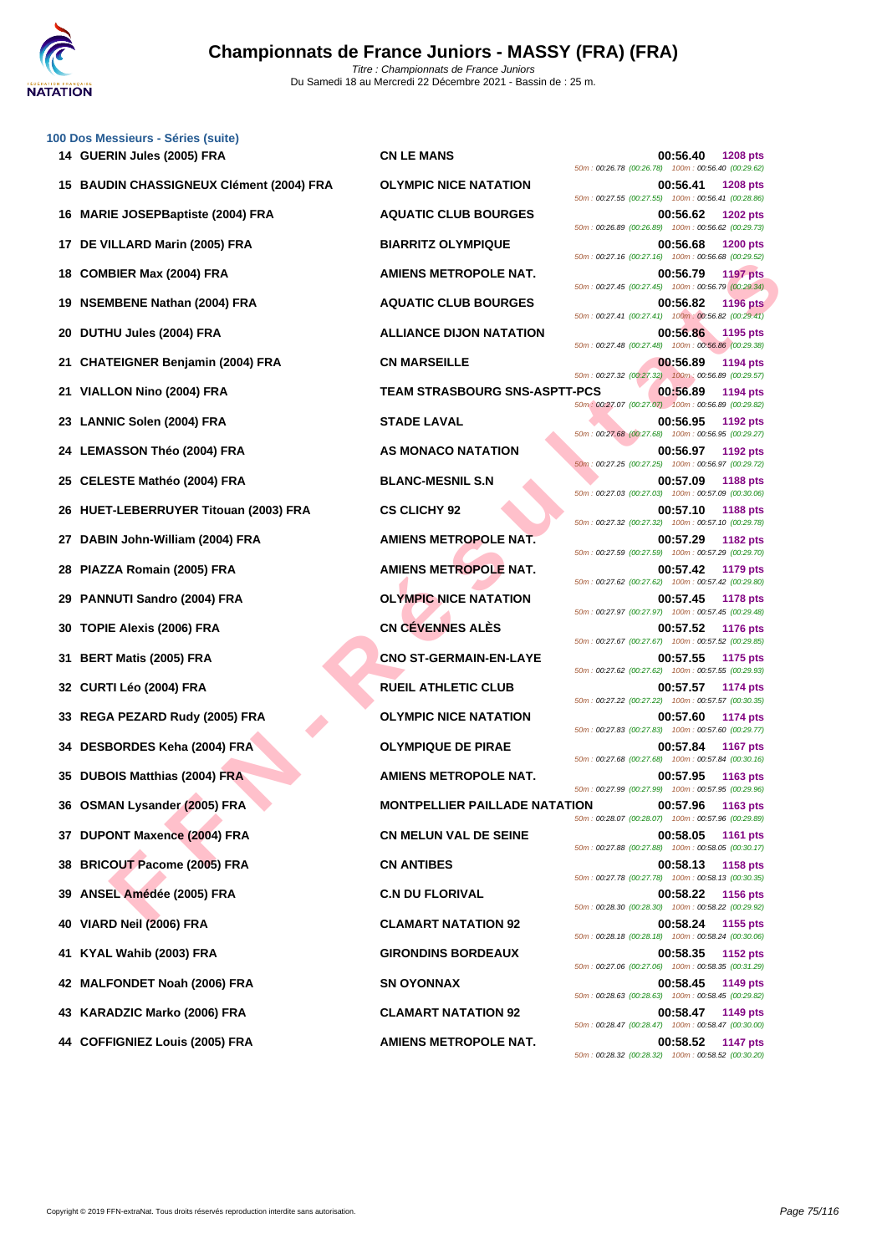

|     | 100 Dos Messieurs - Séries (suite)<br>14 GUERIN Jules (2005) FRA | <b>CN LE MANS</b>                    |                                                                |                 |
|-----|------------------------------------------------------------------|--------------------------------------|----------------------------------------------------------------|-----------------|
|     |                                                                  |                                      | 00:56.40<br>50m: 00:26.78 (00:26.78) 100m: 00:56.40 (00:29.62) | <b>1208 pts</b> |
|     | 15 BAUDIN CHASSIGNEUX Clément (2004) FRA                         | <b>OLYMPIC NICE NATATION</b>         | 00:56.41<br>50m: 00:27.55 (00:27.55) 100m: 00:56.41 (00:28.86) | <b>1208 pts</b> |
| 16  | <b>MARIE JOSEPBaptiste (2004) FRA</b>                            | <b>AQUATIC CLUB BOURGES</b>          | 00:56.62<br>50m: 00:26.89 (00:26.89) 100m: 00:56.62 (00:29.73) | <b>1202 pts</b> |
| 17  | DE VILLARD Marin (2005) FRA                                      | <b>BIARRITZ OLYMPIQUE</b>            | 00:56.68<br>50m: 00:27.16 (00:27.16) 100m: 00:56.68 (00:29.52) | <b>1200 pts</b> |
| 18  | <b>COMBIER Max (2004) FRA</b>                                    | <b>AMIENS METROPOLE NAT.</b>         | 00:56.79<br>50m: 00:27.45 (00:27.45) 100m: 00:56.79 (00:29.34) | <b>1197 pts</b> |
| 19  | <b>NSEMBENE Nathan (2004) FRA</b>                                | <b>AQUATIC CLUB BOURGES</b>          | 00:56.82<br>50m: 00:27.41 (00:27.41) 100m: 00:56.82 (00:29.41) | <b>1196 pts</b> |
| 20  | DUTHU Jules (2004) FRA                                           | <b>ALLIANCE DIJON NATATION</b>       | 00:56.86<br>50m: 00:27.48 (00:27.48) 100m: 00:56.86 (00:29.38) | 1195 pts        |
| 21  | <b>CHATEIGNER Benjamin (2004) FRA</b>                            | <b>CN MARSEILLE</b>                  | 00:56.89                                                       | 1194 pts        |
| 21  | VIALLON Nino (2004) FRA                                          | <b>TEAM STRASBOURG SNS-ASPTT-PCS</b> | 50m: 00:27.32 (00:27.32) 100m: 00:56.89 (00:29.57)<br>00:56.89 | 1194 pts        |
| 23  | <b>LANNIC Solen (2004) FRA</b>                                   | <b>STADE LAVAL</b>                   | 50m: 00:27.07 (00:27.07) 100m: 00:56.89 (00:29.82)<br>00:56.95 | 1192 pts        |
| 24  | <b>LEMASSON Théo (2004) FRA</b>                                  | AS MONACO NATATION                   | 50m: 00:27.68 (00:27.68) 100m: 00:56.95 (00:29.27)<br>00:56.97 | 1192 pts        |
| 25  | CELESTE Mathéo (2004) FRA                                        | <b>BLANC-MESNIL S.N</b>              | 50m: 00:27.25 (00:27.25) 100m: 00:56.97 (00:29.72)<br>00:57.09 | <b>1188 pts</b> |
| 26  | HUET-LEBERRUYER Titouan (2003) FRA                               | <b>CS CLICHY 92</b>                  | 50m: 00:27.03 (00:27.03) 100m: 00:57.09 (00:30.06)<br>00:57.10 | 1188 pts        |
| 27  | DABIN John-William (2004) FRA                                    | AMIENS METROPOLE NAT.                | 50m: 00:27.32 (00:27.32) 100m: 00:57.10 (00:29.78)<br>00:57.29 | 1182 pts        |
| 28  | PIAZZA Romain (2005) FRA                                         | <b>AMIENS METROPOLE NAT.</b>         | 50m: 00:27.59 (00:27.59) 100m: 00:57.29 (00:29.70)<br>00:57.42 | 1179 pts        |
| 29  | <b>PANNUTI Sandro (2004) FRA</b>                                 | <b>OLYMPIC NICE NATATION</b>         | 50m: 00:27.62 (00:27.62) 100m: 00:57.42 (00:29.80)<br>00:57.45 | <b>1178 pts</b> |
| 30  | TOPIE Alexis (2006) FRA                                          | <b>CN CÉVENNES ALÈS</b>              | 50m: 00:27.97 (00:27.97) 100m: 00:57.45 (00:29.48)<br>00:57.52 | <b>1176 pts</b> |
|     |                                                                  | <b>CNO ST-GERMAIN-EN-LAYE</b>        | 50m: 00:27.67 (00:27.67) 100m: 00:57.52 (00:29.85)<br>00:57.55 |                 |
| 31  | <b>BERT Matis (2005) FRA</b>                                     |                                      | 50m: 00:27.62 (00:27.62) 100m: 00:57.55 (00:29.93)             | 1175 pts        |
|     | 32 CURTI Léo (2004) FRA                                          | <b>RUEIL ATHLETIC CLUB</b>           | 00:57.57<br>50m: 00:27.22 (00:27.22) 100m: 00:57.57 (00:30.35) | <b>1174 pts</b> |
| 33  | REGA PEZARD Rudy (2005) FRA                                      | <b>OLYMPIC NICE NATATION</b>         | 00:57.60<br>50m: 00:27.83 (00:27.83) 100m: 00:57.60 (00:29.77) | 1174 pts        |
|     | 34 DESBORDES Keha (2004) FRA                                     | <b>OLYMPIQUE DE PIRAE</b>            | 00:57.84<br>50m: 00:27.68 (00:27.68) 100m: 00:57.84 (00:30.16) | <b>1167 pts</b> |
|     | 35 DUBOIS Matthias (2004) FRA                                    | <b>AMIENS METROPOLE NAT.</b>         | 00:57.95<br>50m: 00:27.99 (00:27.99) 100m: 00:57.95 (00:29.96) | <b>1163 pts</b> |
|     | 36 OSMAN Lysander (2005) FRA                                     | <b>MONTPELLIER PAILLADE NATATION</b> | 00:57.96<br>50m: 00:28.07 (00:28.07) 100m: 00:57.96 (00:29.89) | <b>1163 pts</b> |
| 37  | <b>DUPONT Maxence (2004) FRA</b>                                 | <b>CN MELUN VAL DE SEINE</b>         | 00:58.05<br>50m: 00:27.88 (00:27.88) 100m: 00:58.05 (00:30.17) | <b>1161 pts</b> |
| 38  | <b>BRICOUT Pacome (2005) FRA</b>                                 | <b>CN ANTIBES</b>                    | 00:58.13                                                       | <b>1158 pts</b> |
| 39  | ANSEL Amédée (2005) FRA                                          | <b>C.N DU FLORIVAL</b>               | 50m: 00:27.78 (00:27.78) 100m: 00:58.13 (00:30.35)<br>00:58.22 | <b>1156 pts</b> |
| 40  | VIARD Neil (2006) FRA                                            | <b>CLAMART NATATION 92</b>           | 50m: 00:28.30 (00:28.30) 100m: 00:58.22 (00:29.92)<br>00:58.24 | 1155 pts        |
| 41. | KYAL Wahib (2003) FRA                                            | <b>GIRONDINS BORDEAUX</b>            | 50m: 00:28.18 (00:28.18) 100m: 00:58.24 (00:30.06)<br>00:58.35 | 1152 pts        |
| 42  | <b>MALFONDET Noah (2006) FRA</b>                                 | <b>SN OYONNAX</b>                    | 50m: 00:27.06 (00:27.06) 100m: 00:58.35 (00:31.29)<br>00:58.45 | 1149 pts        |
| 43  | KARADZIC Marko (2006) FRA                                        | <b>CLAMART NATATION 92</b>           | 50m: 00:28.63 (00:28.63) 100m: 00:58.45 (00:29.82)<br>00:58.47 | 1149 pts        |
|     | 44 COFFIGNIEZ Louis (2005) FRA                                   | <b>AMIENS METROPOLE NAT.</b>         | 50m: 00:28.47 (00:28.47) 100m: 00:58.47 (00:30.00)<br>00:58.52 | 1147 pts        |
|     |                                                                  |                                      | 50m: 00:28.32 (00:28.32) 100m: 00:58.52 (00:30.20)             |                 |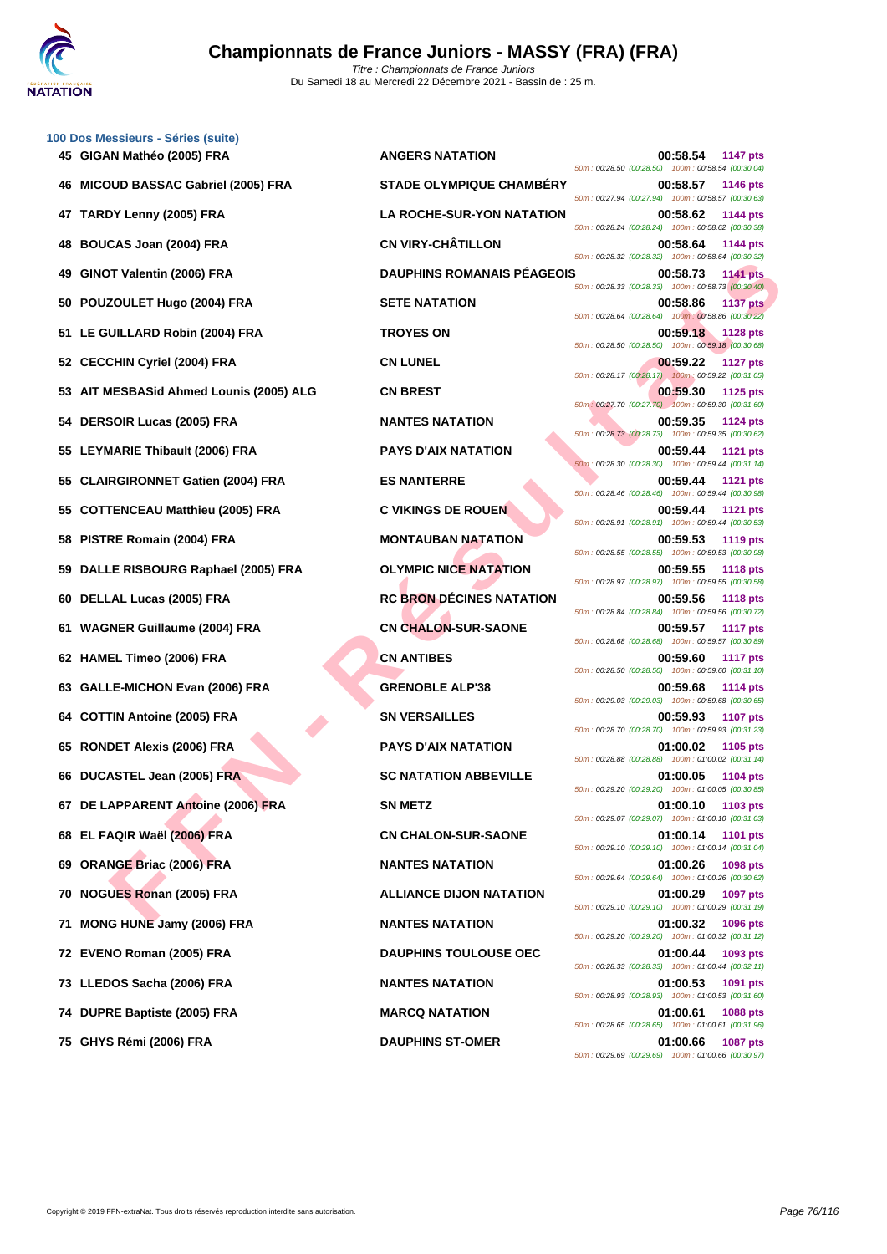

|    | 100 Dos Messieurs - Séries (suite)      |                                   |                                                                                   |
|----|-----------------------------------------|-----------------------------------|-----------------------------------------------------------------------------------|
|    | 45 GIGAN Mathéo (2005) FRA              | <b>ANGERS NATATION</b>            | 00:58.54<br><b>1147 pts</b><br>50m: 00:28.50 (00:28.50) 100m: 00:58.54 (00:30.04) |
|    | <b>MICOUD BASSAC Gabriel (2005) FRA</b> | <b>STADE OLYMPIQUE CHAMBERY</b>   | 00:58.57<br>1146 pts<br>50m: 00:27.94 (00:27.94) 100m: 00:58.57 (00:30.63)        |
| 47 | TARDY Lenny (2005) FRA                  | <b>LA ROCHE-SUR-YON NATATION</b>  | 00:58.62<br>1144 pts<br>50m: 00:28.24 (00:28.24) 100m: 00:58.62 (00:30.38)        |
| 48 | <b>BOUCAS Joan (2004) FRA</b>           | <b>CN VIRY-CHÂTILLON</b>          | 00:58.64<br><b>1144 pts</b><br>50m: 00:28.32 (00:28.32) 100m: 00:58.64 (00:30.32) |
| 49 | GINOT Valentin (2006) FRA               | <b>DAUPHINS ROMANAIS PEAGEOIS</b> | 00:58.73<br><b>1141 pts</b><br>50m: 00:28.33 (00:28.33) 100m: 00:58.73 (00:30.40) |
| 50 | POUZOULET Hugo (2004) FRA               | <b>SETE NATATION</b>              | 00:58.86<br><b>1137 pts</b><br>50m: 00:28.64 (00:28.64) 100m: 00:58.86 (00:30.22) |
| 51 | LE GUILLARD Robin (2004) FRA            | <b>TROYES ON</b>                  | 00:59.18<br>1128 pts<br>50m : 00:28.50 (00:28.50) 100m : 00:59.18 (00:30.68)      |
| 52 | <b>CECCHIN Cyriel (2004) FRA</b>        | <b>CN LUNEL</b>                   | 00:59.22<br><b>1127 pts</b>                                                       |
| 53 | AIT MESBASid Ahmed Lounis (2005) ALG    | <b>CN BREST</b>                   | 50m: 00:28.17 (00:28.17) 100m: 00:59.22 (00:31.05)<br>00:59.30<br><b>1125 pts</b> |
| 54 | <b>DERSOIR Lucas (2005) FRA</b>         | <b>NANTES NATATION</b>            | 50m: 00:27.70 (00:27.70) 100m: 00:59.30 (00:31.60)<br>00:59.35<br>1124 pts        |
| 55 | LEYMARIE Thibault (2006) FRA            | <b>PAYS D'AIX NATATION</b>        | 50m: 00:28.73 (00:28.73) 100m: 00:59.35 (00:30.62)<br>00:59.44<br>1121 pts        |
| 55 | <b>CLAIRGIRONNET Gatien (2004) FRA</b>  | <b>ES NANTERRE</b>                | 50m: 00:28.30 (00:28.30) 100m: 00:59.44 (00:31.14)<br>00:59.44<br><b>1121 pts</b> |
| 55 | <b>COTTENCEAU Matthieu (2005) FRA</b>   | <b>C VIKINGS DE ROUEN</b>         | 50m: 00:28.46 (00:28.46) 100m: 00:59.44 (00:30.98)<br>00:59.44<br><b>1121 pts</b> |
| 58 | PISTRE Romain (2004) FRA                | <b>MONTAUBAN NATATION</b>         | 50m: 00:28.91 (00:28.91) 100m: 00:59.44 (00:30.53)<br>00:59.53<br><b>1119 pts</b> |
| 59 | DALLE RISBOURG Raphael (2005) FRA       | <b>OLYMPIC NICE NATATION</b>      | 50m: 00:28.55 (00:28.55) 100m: 00:59.53 (00:30.98)<br>00:59.55<br><b>1118 pts</b> |
| 60 | DELLAL Lucas (2005) FRA                 | <b>RC BRON DÉCINES NATATION</b>   | 50m: 00:28.97 (00:28.97) 100m: 00:59.55 (00:30.58)<br>00:59.56<br><b>1118 pts</b> |
| 61 | <b>WAGNER Guillaume (2004) FRA</b>      | <b>CN CHALON-SUR-SAONE</b>        | 50m: 00:28.84 (00:28.84) 100m: 00:59.56 (00:30.72)<br>00:59.57<br><b>1117 pts</b> |
|    | 62 HAMEL Timeo (2006) FRA               | <b>CN ANTIBES</b>                 | 50m: 00:28.68 (00:28.68) 100m: 00:59.57 (00:30.89)<br>00:59.60<br><b>1117 pts</b> |
| 63 | <b>GALLE-MICHON Evan (2006) FRA</b>     | <b>GRENOBLE ALP'38</b>            | 50m: 00:28.50 (00:28.50) 100m: 00:59.60 (00:31.10)<br>00:59.68<br><b>1114 pts</b> |
| 64 | <b>COTTIN Antoine (2005) FRA</b>        | <b>SN VERSAILLES</b>              | 50m: 00:29.03 (00:29.03) 100m: 00:59.68 (00:30.65)<br>00:59.93<br><b>1107 pts</b> |
| 65 | <b>RONDET Alexis (2006) FRA</b>         | <b>PAYS D'AIX NATATION</b>        | 50m: 00:28.70 (00:28.70) 100m: 00:59.93 (00:31.23)<br>01:00.02<br>1105 pts        |
|    | 66 DUCASTEL Jean (2005) FRA             | <b>SC NATATION ABBEVILLE</b>      | 50m: 00:28.88 (00:28.88) 100m: 01:00.02 (00:31.14)<br>01:00.05<br>1104 pts        |
|    |                                         | <b>SN METZ</b>                    | 50m: 00:29.20 (00:29.20) 100m: 01:00.05 (00:30.85)                                |
|    | 67 DE LAPPARENT Antoine (2006) FRA      |                                   | 01:00.10<br>1103 pts<br>50m: 00:29.07 (00:29.07) 100m: 01:00.10 (00:31.03)        |
|    | 68 EL FAQIR Waël (2006) FRA             | <b>CN CHALON-SUR-SAONE</b>        | 01:00.14<br>1101 pts<br>50m: 00:29.10 (00:29.10) 100m: 01:00.14 (00:31.04)        |
| 69 | <b>ORANGE Briac (2006) FRA</b>          | <b>NANTES NATATION</b>            | 01:00.26<br>1098 pts<br>50m: 00:29.64 (00:29.64) 100m: 01:00.26 (00:30.62)        |
| 70 | NOGUES Ronan (2005) FRA                 | <b>ALLIANCE DIJON NATATION</b>    | 01:00.29<br>1097 pts<br>50m: 00:29.10 (00:29.10) 100m: 01:00.29 (00:31.19)        |
| 71 | MONG HUNE Jamy (2006) FRA               | <b>NANTES NATATION</b>            | 01:00.32<br>1096 pts<br>50m: 00:29.20 (00:29.20) 100m: 01:00.32 (00:31.12)        |
|    | 72 EVENO Roman (2005) FRA               | <b>DAUPHINS TOULOUSE OEC</b>      | 01:00.44<br>1093 pts<br>50m: 00:28.33 (00:28.33) 100m: 01:00.44 (00:32.11)        |
|    | 73 LLEDOS Sacha (2006) FRA              | <b>NANTES NATATION</b>            | 01:00.53<br>1091 pts<br>50m: 00:28.93 (00:28.93) 100m: 01:00.53 (00:31.60)        |
|    | 74 DUPRE Baptiste (2005) FRA            | <b>MARCQ NATATION</b>             | 01:00.61<br>1088 pts<br>50m: 00:28.65 (00:28.65) 100m: 01:00.61 (00:31.96)        |
|    | 75 GHYS Rémi (2006) FRA                 | <b>DAUPHINS ST-OMER</b>           | $01:00.66$ 1087 pts                                                               |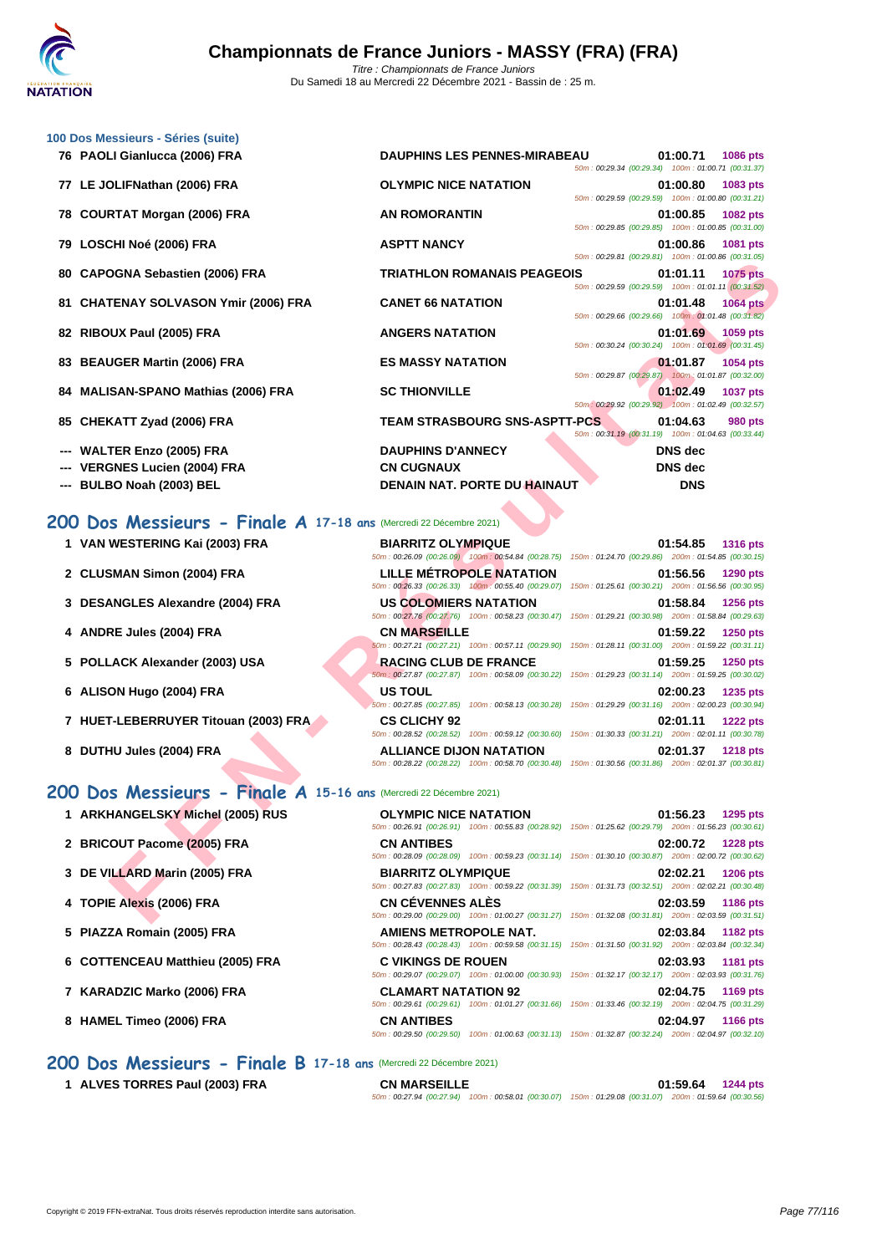

| 100 Dos Messieurs - Séries (suite)                                 |                                                                                    |                                                                                                                                           |
|--------------------------------------------------------------------|------------------------------------------------------------------------------------|-------------------------------------------------------------------------------------------------------------------------------------------|
| 76 PAOLI Gianlucca (2006) FRA                                      | <b>DAUPHINS LES PENNES-MIRABEAU</b>                                                | 01:00.71<br><b>1086 pts</b><br>50m: 00:29.34 (00:29.34) 100m: 01:00.71 (00:31.37)                                                         |
| 77 LE JOLIFNathan (2006) FRA                                       | <b>OLYMPIC NICE NATATION</b>                                                       | 01:00.80<br>1083 pts<br>50m: 00:29.59 (00:29.59) 100m: 01:00.80 (00:31.21)                                                                |
| 78 COURTAT Morgan (2006) FRA                                       | <b>AN ROMORANTIN</b>                                                               | 01:00.85<br>1082 pts<br>50m: 00:29.85 (00:29.85) 100m: 01:00.85 (00:31.00)                                                                |
| LOSCHI Noé (2006) FRA<br>79                                        | <b>ASPTT NANCY</b>                                                                 | 01:00.86<br>1081 pts<br>50m: 00:29.81 (00:29.81) 100m: 01:00.86 (00:31.05)                                                                |
| <b>CAPOGNA Sebastien (2006) FRA</b><br>80                          | <b>TRIATHLON ROMANAIS PEAGEOIS</b>                                                 | 01:01.11<br><b>1075 pts</b><br>50m: 00:29.59 (00:29.59) 100m: 01:01.11 (00:31.52)                                                         |
| 81 CHATENAY SOLVASON Ymir (2006) FRA                               | <b>CANET 66 NATATION</b>                                                           | 01:01.48<br><b>1064 pts</b><br>50m: 00:29.66 (00:29.66) 100m: 01:01.48 (00:31.82)                                                         |
| 82 RIBOUX Paul (2005) FRA                                          | <b>ANGERS NATATION</b>                                                             | 01:01.69<br>1059 pts<br>50m: 00:30.24 (00:30.24) 100m: 01:01.69 (00:31.45)                                                                |
| <b>BEAUGER Martin (2006) FRA</b><br>83                             | <b>ES MASSY NATATION</b>                                                           | 01:01.87<br>1054 pts<br>50m: 00:29.87 (00:29.87) 100m: 01:01.87 (00:32.00)                                                                |
| <b>MALISAN-SPANO Mathias (2006) FRA</b><br>84                      | <b>SC THIONVILLE</b>                                                               | 01:02.49<br><b>1037 pts</b><br>50m: 00:29.92 (00:29.92) 100m: 01:02.49 (00:32.57)                                                         |
| <b>CHEKATT Zyad (2006) FRA</b><br>85                               | <b>TEAM STRASBOURG SNS-ASPTT-PCS</b>                                               | 01:04.63<br>980 pts<br>50m: 00:31.19 (00:31.19) 100m: 01:04.63 (00:33.44)                                                                 |
| <b>WALTER Enzo (2005) FRA</b>                                      | <b>DAUPHINS D'ANNECY</b>                                                           | <b>DNS</b> dec                                                                                                                            |
| <b>VERGNES Lucien (2004) FRA</b>                                   | <b>CN CUGNAUX</b>                                                                  | <b>DNS</b> dec                                                                                                                            |
| BULBO Noah (2003) BEL                                              | <b>DENAIN NAT. PORTE DU HAINAUT</b>                                                | <b>DNS</b>                                                                                                                                |
| 1 VAN WESTERING Kai (2003) FRA                                     | <b>BIARRITZ OLYMPIQUE</b><br>50m: 00:26.09 (00:26.09) 100m: 00:54.84 (00:28.75)    | 01:54.85<br><b>1316 pts</b><br>150m: 01:24.70 (00:29.86) 200m: 01:54.85 (00:30.15)                                                        |
| 2 CLUSMAN Simon (2004) FRA                                         | <b>LILLE METROPOLE NATATION</b>                                                    | 01:56.56<br>1290 pts                                                                                                                      |
|                                                                    | 50m: 00:26.33 (00:26.33) 100m: 00:55.40 (00:29.07)                                 | 150m: 01:25.61 (00:30.21) 200m: 01:56.56 (00:30.95)                                                                                       |
| 3 DESANGLES Alexandre (2004) FRA                                   | <b>US COLOMIERS NATATION</b>                                                       | 01:58.84<br>1256 pts<br>50m: 00:27.76 (00:27.76) 100m: 00:58.23 (00:30.47) 150m: 01:29.21 (00:30.98) 200m: 01:58.84 (00:29.63)            |
| 4 ANDRE Jules (2004) FRA                                           | <b>CN MARSEILLE</b><br>50m: 00:27.21 (00:27.21) 100m: 00:57.11 (00:29.90)          | 01:59.22<br>1250 pts<br>150m: 01:28.11 (00:31.00) 200m: 01:59.22 (00:31.11)                                                               |
| 5 POLLACK Alexander (2003) USA                                     | <b>RACING CLUB DE FRANCE</b><br>50m: 00:27.87 (00:27.87) 100m: 00:58.09 (00:30.22) | 01:59.25<br>1250 pts<br>150m: 01:29.23 (00:31.14) 200m: 01:59.25 (00:30.02)                                                               |
| 6 ALISON Hugo (2004) FRA                                           | <b>US TOUL</b><br>50m: 00:27.85 (00:27.85) 100m: 00:58.13 (00:30.28)               | 02:00.23<br>1235 pts<br>150m: 01:29.29 (00:31.16) 200m: 02:00.23 (00:30.94)                                                               |
| 7 HUET-LEBERRUYER Titouan (2003) FRA                               | <b>CS CLICHY 92</b><br>50m: 00:28.52 (00:28.52) 100m: 00:59.12 (00:30.60)          | 02:01.11<br><b>1222 pts</b><br>150m: 01:30.33 (00:31.21) 200m: 02:01.11 (00:30.78)                                                        |
| 8 DUTHU Jules (2004) FRA                                           | <b>ALLIANCE DIJON NATATION</b>                                                     | 02:01.37<br><b>1218 pts</b><br>50m: 00:28.22 (00:28.22) 100m: 00:58.70 (00:30.48) 150m: 01:30.56 (00:31.86) 200m: 02:01.37 (00:30.81)     |
| 200 Dos Messieurs - Finale A 15-16 ans (Mercredi 22 Décembre 2021) |                                                                                    |                                                                                                                                           |
| 1 ARKHANGELSKY Michel (2005) RUS                                   | <b>OLYMPIC NICE NATATION</b>                                                       | 01:56.23<br>1295 pts<br>50m: 00:26.91 (00:26.91) 100m: 00:55.83 (00:28.92) 150m: 01:25.62 (00:29.79) 200m: 01:56.23 (00:30.61)            |
| 2 BRICOUT Pacome (2005) FRA                                        | <b>CN ANTIBES</b>                                                                  | 02:00.72<br><b>1228 pts</b><br>50m : 00:28.09 (00:28.09) 100m : 00:59.23 (00:31.14) 150m : 01:30.10 (00:30.87) 200m : 02:00.72 (00:30.62) |
| 3 DE VILLARD Marin (2005) FRA                                      | <b>BIARRITZ OLYMPIQUE</b>                                                          | 02:02.21<br><b>1206 pts</b>                                                                                                               |
| 4 TOPIE Alexis (2006) FRA                                          | <b>CN CÉVENNES ALÉS</b>                                                            | 50m: 00:27.83 (00:27.83) 100m: 00:59.22 (00:31.39) 150m: 01:31.73 (00:32.51) 200m: 02:02.21 (00:30.48)<br>02:03.59<br>1186 pts            |
|                                                                    |                                                                                    | 50m: 00:29.00 (00:29.00) 100m: 01:00.27 (00:31.27) 150m: 01:32.08 (00:31.81) 200m: 02:03.59 (00:31.51)                                    |

## **200 Dos Messieurs - Finale A 17-18 ans** (Mercredi 22 Décembre 2021)

| 1 VAN WESTERING Kai (2003) FRA |  |
|--------------------------------|--|
|                                |  |

- **2 CLUSMAN Simon (2004) FRA LILLE MÉTROPOLE NATATION 01:56.56 1290 pts**
- **3 DESANGLES Alexandre (2004) FRA**
- **4 ANDRE Jules (2004) FRA**
- **5 POLLACK Alexander (2003) USA**
- **6 ALISON Hugo (2004) FRA**
- **7 HUET-LEBERRUYER Titouan (2003) FRA**
- **8 DUTHU Jules (2004) FRA ALLIANCE DIJON NATATION 02:01.37 1218 pts**

## **200 Dos Messieurs - Finale A 15-16 ans** (Mercredi 22 Décembre 2021)

- **1** ARKHANGELSKY Michel (2005) RUS
- **2 BRICOUT Pacome (2005) FRA**
- **3 DE VILLARD Marin (2005) FRA BIARRITZ OLYMPIQUE 02:02.21 1206 pts**
- **4 TOPIE Alexis (2006) FRA**
- **5 PIAZZA Romain (2005) FRA**
- **6** COTTENCEAU Matthieu (2005) FRA
- **7 KARADZIC Marko (2006) FRA CLAMART NATATION 92 02:04.75 1169 pts**
- **8 HAMEL Timeo (2006) FRA**

## **200 Dos Messieurs - Finale B 17-18 ans** (Mercredi 22 Décembre 2021)

**1 ALVES TORRES Paul (2003) FRA CN MARSEILLE 01:59.64 1244 pts** 50m : 00:27.94 (00:27.94) 100m : 00:58.01 (00:30.07) 150m : 01:29.08 (00:31.07) 200m : 01:59.64 (00:30.56)

| 1 VAN WESTERING Kai (2003) FRA       | <b>BIARRITZ OLYMPIQUE</b>       | 01:54.85<br><b>1316 pts</b>                                                                            |
|--------------------------------------|---------------------------------|--------------------------------------------------------------------------------------------------------|
|                                      |                                 | 50m: 00:26.09 (00:26.09) 100m: 00:54.84 (00:28.75) 150m: 01:24.70 (00:29.86) 200m: 01:54.85 (00:30.15  |
| 2 CLUSMAN Simon (2004) FRA           | <b>LILLE MÉTROPOLE NATATION</b> | 01:56.56<br><b>1290 pts</b>                                                                            |
|                                      |                                 | 50m: 00:26.33 (00:26.33) 100m: 00:55.40 (00:29.07) 150m: 01:25.61 (00:30.21) 200m: 01:56.56 (00:30.95) |
| 3 DESANGLES Alexandre (2004) FRA     | US COLOMIERS NATATION           | 01:58.84<br><b>1256 pts</b>                                                                            |
|                                      |                                 | 50m: 00:27.76 (00:27.76) 100m: 00:58.23 (00:30.47) 150m: 01:29.21 (00:30.98) 200m: 01:58.84 (00:29.63) |
| 4 ANDRE Jules (2004) FRA             | <b>CN MARSEILLE</b>             | 01:59.22<br>1250 pts                                                                                   |
|                                      |                                 | 50m: 00:27.21 (00:27.21) 100m: 00:57.11 (00:29.90) 150m: 01:28.11 (00:31.00) 200m: 01:59.22 (00:31.11  |
| 5 POLLACK Alexander (2003) USA       | <b>RACING CLUB DE FRANCE</b>    | 01:59.25<br><b>1250 pts</b>                                                                            |
|                                      |                                 | 50m: 00:27.87 (00:27.87) 100m: 00:58.09 (00:30.22) 150m: 01:29.23 (00:31.14) 200m: 01:59.25 (00:30.02) |
| 6 ALISON Hugo (2004) FRA             | <b>US TOUL</b>                  | 02:00.23<br>1235 pts                                                                                   |
|                                      |                                 | 50m: 00:27.85 (00:27.85) 100m: 00:58.13 (00:30.28) 150m: 01:29.29 (00:31.16) 200m: 02:00.23 (00:30.94) |
| 7 HUET-LEBERRUYER Titouan (2003) FRA | <b>CS CLICHY 92</b>             | <b>1222 pts</b><br>02:01.11                                                                            |
|                                      |                                 | 50m: 00:28.52 (00:28.52) 100m: 00:59.12 (00:30.60) 150m: 01:30.33 (00:31.21) 200m: 02:01.11 (00:30.78) |
| 8 DUTHU Jules (2004) FRA             | <b>ALLIANCE DIJON NATATION</b>  | 02:01.37<br><b>1218 pts</b>                                                                            |

| <b>OLYMPIC NICE NATATION</b>                                                                                                           |  | 01:56.23<br>1295 pts                                                                                         |
|----------------------------------------------------------------------------------------------------------------------------------------|--|--------------------------------------------------------------------------------------------------------------|
| 50m: 00:26.91 (00:26.91) 100m: 00:55.83 (00:28.92)                                                                                     |  | 150m: 01:25.62 (00:29.79) 200m: 01:56.23 (00:30.61)                                                          |
| <b>CN ANTIBES</b>                                                                                                                      |  | 02:00.72<br><b>1228 pts</b>                                                                                  |
| 50m: 00:28.09 (00:28.09) 100m: 00:59.23 (00:31.14) 150m: 01:30.10 (00:30.87) 200m: 02:00.72 (00:30.62)                                 |  |                                                                                                              |
| <b>BIARRITZ OLYMPIQUE</b>                                                                                                              |  | 02:02.21<br><b>1206 pts</b>                                                                                  |
| 50m: 00:27.83 (00:27.83) 100m: 00:59.22 (00:31.39) 150m: 01:31.73 (00:32.51) 200m: 02:02.21 (00:30.48)                                 |  |                                                                                                              |
| CN CÉVENNES ALÈS<br>50m: 00:29.00 (00:29.00) 100m: 01:00.27 (00:31.27) 150m: 01:32.08 (00:31.81) 200m: 02:03.59 (00:31.51)             |  | 02:03.59<br><b>1186 pts</b>                                                                                  |
| <b>AMIENS METROPOLE NAT.</b><br>50m: 00:28.43 (00:28.43) 100m: 00:59.58 (00:31.15) 150m: 01:31.50 (00:31.92) 200m: 02:03.84 (00:32.34) |  | 02:03.84<br><b>1182 pts</b>                                                                                  |
| <b>C VIKINGS DE ROUEN</b><br>50m: 00:29.07 (00:29.07) 100m: 01:00.00 (00:30.93)                                                        |  | 02:03.93<br><b>1181 pts</b><br>150m: 01:32.17 (00:32.17) 200m: 02:03.93 (00:31.76)                           |
| <b>CLAMART NATATION 92</b><br>50m: 00:29.61 (00:29.61) 100m: 01:01.27 (00:31.66)                                                       |  | 02:04.75<br><b>1169 pts</b><br>150m: 01:33.46 (00:32.19) 200m: 02:04.75 (00:31.29)                           |
| <b>CN ANTIBES</b><br>50m: 00:29.50 (00:29.50)                                                                                          |  | 02:04.97<br><b>1166 pts</b><br>100m: 01:00.63 (00:31.13) 150m: 01:32.87 (00:32.24) 200m: 02:04.97 (00:32.10) |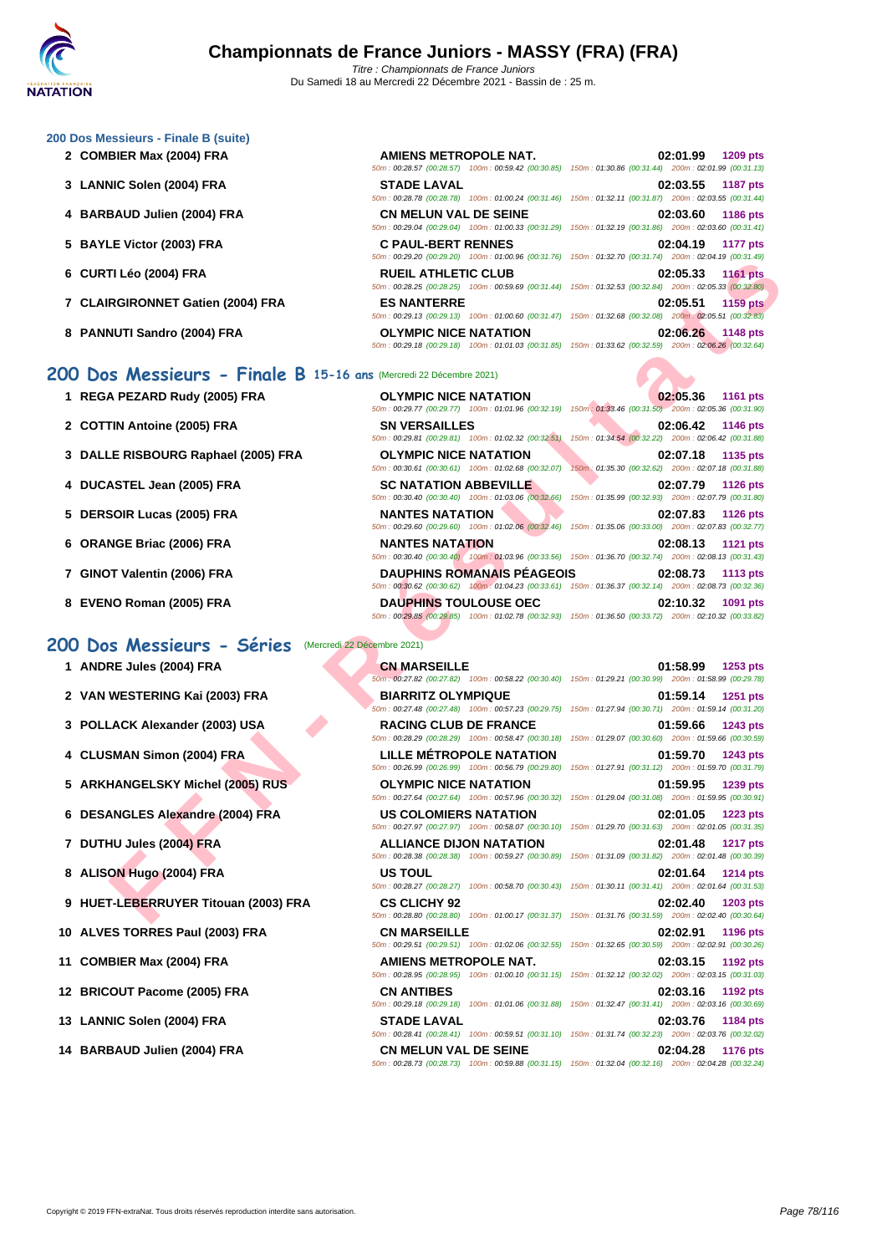## **[200 Dos M](http://www.ffnatation.fr/webffn/index.php)essieurs - Finale B (suite)**

- **2 COMBIER Max (2004) FRA AMIENS METROPOLE NAT. 02:01.99 1209 pts**
- **3 LANNIC Solen (2004) FRA STADE LAVAL 02:03.55 1187 pts**
- **4 BARBAUD Julien (2004) FRA**
- **5 BAYLE Victor (2003) FRA**
- **6 CURTI Léo (2004) FRA RUEIL ATHLETIC CLUB 02:05.33 1161 pts**
- **7** CLAIRGIRONNET Gatien (2004) FRA
- **8 PANNUTI Sandro (2004) FRA**
- **1 REGA PEZARD Rudy (2005) FRA**
- **2** COTTIN Antoine (2005) FRA
- **3** DALLE RISBOURG Raphael (2005) FRA
- **4 DUCASTEL Jean (2005) FRA**
- **5 DERSOIR Lucas (2005) FRA**
- **6 ORANGE Briac (2006) FRA**
- **7 GINOT Valentin (2006) FRA**
- **8 EVENO Roman (2005) FRA**

## **200 Dos Messieurs - Séries** (Mercredi 22 Décembre 2021)

- 
- 
- 
- 
- 
- 
- 
- 
- **9 HUET-LEBERRUYER Titouan (2003) FRA CS CLICHY 92 02:02.40 1203 pts**
- 
- 
- 
- 
- 

| AMIENS METROPOLE NAT.                              | 02:01.99 1209 pts                                                                                      |
|----------------------------------------------------|--------------------------------------------------------------------------------------------------------|
| 50m: 00:28.57 (00:28.57) 100m: 00:59.42 (00:30.85) | 150m: 01:30.86 (00:31.44) 200m: 02:01.99 (00:31.13)                                                    |
| <b>STADE LAVAL</b>                                 | 02:03.55 1187 pts                                                                                      |
|                                                    | 50m: 00:28.78 (00:28.78) 100m: 01:00.24 (00:31.46) 150m: 01:32.11 (00:31.87) 200m: 02:03.55 (00:31.44) |
| <b>CN MELUN VAL DE SEINE</b>                       | 02:03.60 1186 pts                                                                                      |
|                                                    | 50m: 00:29.04 (00:29.04) 100m: 01:00.33 (00:31.29) 150m: 01:32.19 (00:31.86) 200m: 02:03.60 (00:31.41) |
| <b>C PAUL-BERT RENNES</b>                          | 02:04.19 1177 pts                                                                                      |
|                                                    | 50m: 00:29.20 (00:29.20) 100m: 01:00.96 (00:31.76) 150m: 01:32.70 (00:31.74) 200m: 02:04.19 (00:31.49) |
| <b>RUEIL ATHLETIC CLUB</b>                         | 02:05.33 1161 pts                                                                                      |
|                                                    | 50m: 00:28.25 (00:28.25) 100m: 00:59.69 (00:31.44) 150m: 01:32.53 (00:32.84) 200m: 02:05.33 (00:32.80) |
| <b>ES NANTERRE</b>                                 | 02:05.51 1159 pts                                                                                      |
|                                                    | 50m: 00:29.13 (00:29.13) 100m: 01:00.60 (00:31.47) 150m: 01:32.68 (00:32.08) 200m: 02:05.51 (00:32.83) |
| <b>OLYMPIC NICE NATATION</b>                       | 02:06.26 1148 pts                                                                                      |
|                                                    | 50m: 00:29.18 (00:29.18) 100m: 01:01.03 (00:31.85) 150m: 01:33.62 (00:32.59) 200m: 02:06.26 (00:32.64) |
|                                                    |                                                                                                        |

## **200 Dos Messieurs - Finale B 15-16 ans** (Mercredi 22 Décembre 2021)

|                                                              | $10011. 00223.20$ $100223.20$ $10011. 0100.30$ $100.31.10$ $10011. 01.32.10$ $100.31.14$ |                                                                                                                                           |
|--------------------------------------------------------------|------------------------------------------------------------------------------------------|-------------------------------------------------------------------------------------------------------------------------------------------|
| TI Léo (2004) FRA                                            | <b>RUEIL ATHLETIC CLUB</b>                                                               | 02:05.33<br><b>1161 pts</b><br>50m: 00:28.25 (00:28.25) 100m: 00:59.69 (00:31.44) 150m: 01:32.53 (00:32.84) 200m: 02:05.33 (00:32.80)     |
| <b>RGIRONNET Gatien (2004) FRA</b>                           | <b>ES NANTERRE</b>                                                                       | 02:05.51<br><b>1159 pts</b><br>50m: 00:29.13 (00:29.13) 100m: 01:00.60 (00:31.47) 150m: 01:32.68 (00:32.08) 200m: 02:05.51 (00:32.83)     |
| NUTI Sandro (2004) FRA                                       | <b>OLYMPIC NICE NATATION</b>                                                             | 02:06.26<br>1148 pts<br>50m: 00:29.18 (00:29.18) 100m: 01:01.03 (00:31.85) 150m: 01:33.62 (00:32.59) 200m: 02:06.26 (00:32.64)            |
| S Messieurs - Finale B 15-16 ans (Mercredi 22 Décembre 2021) |                                                                                          |                                                                                                                                           |
| A PEZARD Rudy (2005) FRA                                     | <b>OLYMPIC NICE NATATION</b>                                                             | 02:05.36<br>1161 pts<br>50m: 00:29.77 (00:29.77) 100m: 01:01.96 (00:32.19) 150m: 01:33.46 (00:31.50) 200m: 02:05.36 (00:31.90)            |
| TIN Antoine (2005) FRA                                       | <b>SN VERSAILLES</b>                                                                     | 02:06.42<br>1146 pts<br>50m: 00:29.81 (00:29.81) 100m: 01:02.32 (00:32.51) 150m: 01:34.54 (00:32.22) 200m: 02:06.42 (00:31.88)            |
| LE RISBOURG Raphael (2005) FRA                               | <b>OLYMPIC NICE NATATION</b>                                                             | 02:07.18<br>1135 pts<br>50m: 00:30.61 (00:30.61) 100m: 01:02.68 (00:32.07) 150m: 01:35.30 (00:32.62) 200m: 02:07.18 (00:31.88)            |
| ASTEL Jean (2005) FRA                                        | <b>SC NATATION ABBEVILLE</b>                                                             | 02:07.79<br><b>1126 pts</b><br>50m : 00:30.40 (00:30.40) 100m : 01:03.06 (00:32.66) 150m : 01:35.99 (00:32.93) 200m : 02:07.79 (00:31.80) |
| SOIR Lucas (2005) FRA                                        | <b>NANTES NATATION</b>                                                                   | 02:07.83<br><b>1126 pts</b><br>50m : 00:29.60 (00:29.60) 100m : 01:02.06 (00:32.46) 150m : 01:35.06 (00:33.00) 200m : 02:07.83 (00:32.77) |
| NGE Briac (2006) FRA                                         | <b>NANTES NATATION</b>                                                                   | 02:08.13<br><b>1121 pts</b><br>50m : 00:30.40 (00:30.40) 100m : 01:03.96 (00:33.56) 150m : 01:36.70 (00:32.74) 200m : 02:08.13 (00:31.43) |
| )T Valentin (2006) FRA                                       | <b>DAUPHINS ROMANAIS PEAGEOIS</b>                                                        | 02:08.73<br><b>1113 pts</b><br>50m: 00:30.62 (00:30.62) 100m: 01:04.23 (00:33.61) 150m: 01:36.37 (00:32.14) 200m: 02:08.73 (00:32.36)     |
| <b>\O Roman (2005) FRA</b>                                   | <b>DAUPHINS TOULOUSE OEC</b>                                                             | 02:10.32<br>1091 pts<br>50m: 00:29.85 (00:29.85) 100m: 01:02.78 (00:32.93) 150m: 01:36.50 (00:33.72) 200m: 02:10.32 (00:33.82)            |
| s Messieurs - Séries                                         | (Mercredi 22 Décembre 2021)                                                              |                                                                                                                                           |
| <b>RE Jules (2004) FRA</b>                                   | <b>CN MARSEILLE</b>                                                                      | 01:58.99<br>1253 pts<br>50m; 00:27.82 (00:27.82) 100m; 00:58.22 (00:30.40) 150m; 01:29.21 (00:30.99) 200m; 01:58.99 (00:29.78)            |
| WESTERING Kai (2003) FRA                                     | <b>BIARRITZ OLYMPIQUE</b>                                                                | 01:59.14<br>1251 pts<br>50m: 00:27.48 (00:27.48) 100m: 00:57.23 (00:29.75) 150m: 01:27.94 (00:30.71) 200m: 01:59.14 (00:31.20)            |
| LACK Alexander (2003) USA                                    | <b>RACING CLUB DE FRANCE</b>                                                             | 01:59.66<br>1243 pts<br>50m : 00:28.29 (00:28.29) 100m : 00:58.47 (00:30.18) 150m : 01:29.07 (00:30.60) 200m : 01:59.66 (00:30.59)        |
| SMAN Simon (2004) FRA                                        | <b>LILLE METROPOLE NATATION</b>                                                          | 01:59.70<br>1243 pts<br>50m: 00:26.99 (00:26.99) 100m: 00:56.79 (00:29.80) 150m: 01:27.91 (00:31.12) 200m: 01:59.70 (00:31.79)            |
| <b>HANGELSKY Michel (2005) RUS</b>                           | <b>OLYMPIC NICE NATATION</b>                                                             | 01:59.95<br>1239 pts<br>50m: 00:27.64 (00:27.64) 100m: 00:57.96 (00:30.32) 150m: 01:29.04 (00:31.08) 200m: 01:59.95 (00:30.91)            |
| ANGLES Alexandre (2004) FRA                                  | <b>US COLOMIERS NATATION</b>                                                             | 02:01.05<br>1223 pts<br>50m: 00:27.97 (00:27.97) 100m: 00:58.07 (00:30.10) 150m: 01:29.70 (00:31.63) 200m: 02:01.05 (00:31.35)            |
| <b>HU Jules (2004) FRA</b>                                   | <b>ALLIANCE DIJON NATATION</b>                                                           | 02:01.48<br><b>1217 pts</b><br>50m: 00:28.38 (00:28.38) 100m: 00:59.27 (00:30.89) 150m: 01:31.09 (00:31.82) 200m: 02:01.48 (00:30.39)     |
| <b>ON Hugo (2004) FRA</b>                                    | <b>US TOUL</b>                                                                           | 02:01.64<br><b>1214 pts</b><br>50m: 00:28.27 (00:28.27) 100m: 00:58.70 (00:30.43) 150m: 01:30.11 (00:31.41) 200m: 02:01.64 (00:31.53)     |
| T-LEBERRUYER Titouan (2003) FRA                              | <b>CS CLICHY 92</b>                                                                      | 02:02.40<br>1203 pts<br>50m : 00:28.80 (00:28.80) 100m : 01:00.17 (00:31.37) 150m : 01:31.76 (00:31.59) 200m : 02:02.40 (00:30.64)        |
|                                                              |                                                                                          |                                                                                                                                           |

| T ANDRE JUIES (2004) FRA             | <b>UN MARSEILLE</b>             | U1:38.99<br><b>1253 DIS</b><br>50m: 00:27.82 (00:27.82) 100m: 00:58.22 (00:30.40) 150m: 01:29.21 (00:30.99) 200m: 01:58.99 (00:29.78) |
|--------------------------------------|---------------------------------|---------------------------------------------------------------------------------------------------------------------------------------|
| 2 VAN WESTERING Kai (2003) FRA       | <b>BIARRITZ OLYMPIQUE</b>       | 01:59.14<br><b>1251 pts</b><br>50m: 00:27.48 (00:27.48) 100m: 00:57.23 (00:29.75) 150m: 01:27.94 (00:30.71) 200m: 01:59.14 (00:31.20) |
| 3 POLLACK Alexander (2003) USA       | <b>RACING CLUB DE FRANCE</b>    | 01:59.66<br><b>1243 pts</b><br>50m: 00:28.29 (00:28.29) 100m: 00:58.47 (00:30.18) 150m: 01:29.07 (00:30.60) 200m: 01:59.66 (00:30.59) |
| 4 CLUSMAN Simon (2004) FRA           | <b>LILLE MÉTROPOLE NATATION</b> | 01:59.70<br><b>1243 pts</b><br>50m: 00:26.99 (00:26.99) 100m: 00:56.79 (00:29.80) 150m: 01:27.91 (00:31.12) 200m: 01:59.70 (00:31.79) |
| 5 ARKHANGELSKY Michel (2005) RUS     | <b>OLYMPIC NICE NATATION</b>    | 01:59.95<br><b>1239 pts</b><br>50m: 00:27.64 (00:27.64) 100m: 00:57.96 (00:30.32) 150m: 01:29.04 (00:31.08) 200m: 01:59.95 (00:30.91) |
| 6 DESANGLES Alexandre (2004) FRA     | US COLOMIERS NATATION           | 02:01.05<br><b>1223 pts</b><br>50m: 00:27.97 (00:27.97) 100m: 00:58.07 (00:30.10) 150m: 01:29.70 (00:31.63) 200m: 02:01.05 (00:31.35) |
| 7 DUTHU Jules (2004) FRA             | <b>ALLIANCE DIJON NATATION</b>  | 02:01.48<br><b>1217 pts</b><br>50m: 00:28.38 (00:28.38) 100m: 00:59.27 (00:30.89) 150m: 01:31.09 (00:31.82) 200m: 02:01.48 (00:30.39) |
| 8 ALISON Hugo (2004) FRA             | US TOUL                         | 02:01.64<br>1214 pts<br>50m: 00:28.27 (00:28.27) 100m: 00:58.70 (00:30.43) 150m: 01:30.11 (00:31.41) 200m: 02:01.64 (00:31.53)        |
| 9 HUET-LEBERRUYER Titouan (2003) FRA | <b>CS CLICHY 92</b>             | 02:02.40<br>1203 pts<br>50m: 00:28.80 (00:28.80) 100m: 01:00.17 (00:31.37) 150m: 01:31.76 (00:31.59) 200m: 02:02.40 (00:30.64)        |
| 10 ALVES TORRES Paul (2003) FRA      | <b>CN MARSEILLE</b>             | 02:02.91<br>1196 pts<br>50m: 00:29.51 (00:29.51) 100m: 01:02.06 (00:32.55) 150m: 01:32.65 (00:30.59) 200m: 02:02.91 (00:30.26)        |
| 11 COMBIER Max (2004) FRA            | AMIENS METROPOLE NAT.           | 02:03.15<br>1192 pts<br>50m: 00:28.95 (00:28.95) 100m: 01:00.10 (00:31.15) 150m: 01:32.12 (00:32.02) 200m: 02:03.15 (00:31.03)        |
| 12 BRICOUT Pacome (2005) FRA         | <b>CN ANTIBES</b>               | 02:03.16<br>1192 pts<br>50m: 00:29.18 (00:29.18) 100m: 01:01.06 (00:31.88) 150m: 01:32.47 (00:31.41) 200m: 02:03.16 (00:30.69)        |
| 13 LANNIC Solen (2004) FRA           | <b>STADE LAVAL</b>              | 02:03.76<br><b>1184 pts</b><br>50m: 00:28.41 (00:28.41) 100m: 00:59.51 (00:31.10) 150m: 01:31.74 (00:32.23) 200m: 02:03.76 (00:32.02) |
| 14 BARBAUD Julien (2004) FRA         | <b>CN MELUN VAL DE SEINE</b>    | 02:04.28<br>1176 pts                                                                                                                  |

# **1 ANDRE Jules (2004) FRA CN MARSEILLE 01:58.99 1253 pts** 50m : 01:29.21 (00:30.99) 200m : 01:58.99 (00:29.78) .<br>50m : 01:27.94 (00:30.71) 200m : 01:59.14 (00:31.20) 50m : 01:29.07 (00:30.60) 200m : 01:59.66 (00:30.59) .<br>60m : 01:27.91 (00:31.12) 200m : 01:59.70 (00:31.79)  $50m : 01:29.04$  (00:31.08) 200m : 01:59.95 (00:30.91) 50m : 00:27.97 (00:27.97) 100m : 00:58.07 (00:30.10) 150m : 01:29.70 (00:31.63) 200m : 02:01.05 (00:31.35) 50m : 01:31.09 (00:31.82) 200m : 02:01.48 (00:30.39) 50m : 01:30.11 (00:31.41) 200m : 02:01.64 (00:31.53) 50m : 01:31.76 (00:31.59) 200m : 02:02.40 (00:30.64) 50m : 01:32.65 (00:30.59) 200m : 02:02.91 (00:30.26) 50m : 01:32.12 (00:32.02) 200m : 02:03.15 (00:31.03) 50m : 01:32.47 (00:31.41) 200m : 02:03.16 (00:30.69) .<br>50m : 01:31.74 (00:32.23) 200m : 02:03.76 (00:32.02) **14 BARBAUD Julien (2004) FRA CN MELUN VAL DE SEINE 02:04.28 1176 pts** 50m : 00:28.73 (00:28.73) 100m : 00:59.88 (00:31.15) 150m : 01:32.04 (00:32.16) 200m : 02:04.28 (00:32.24)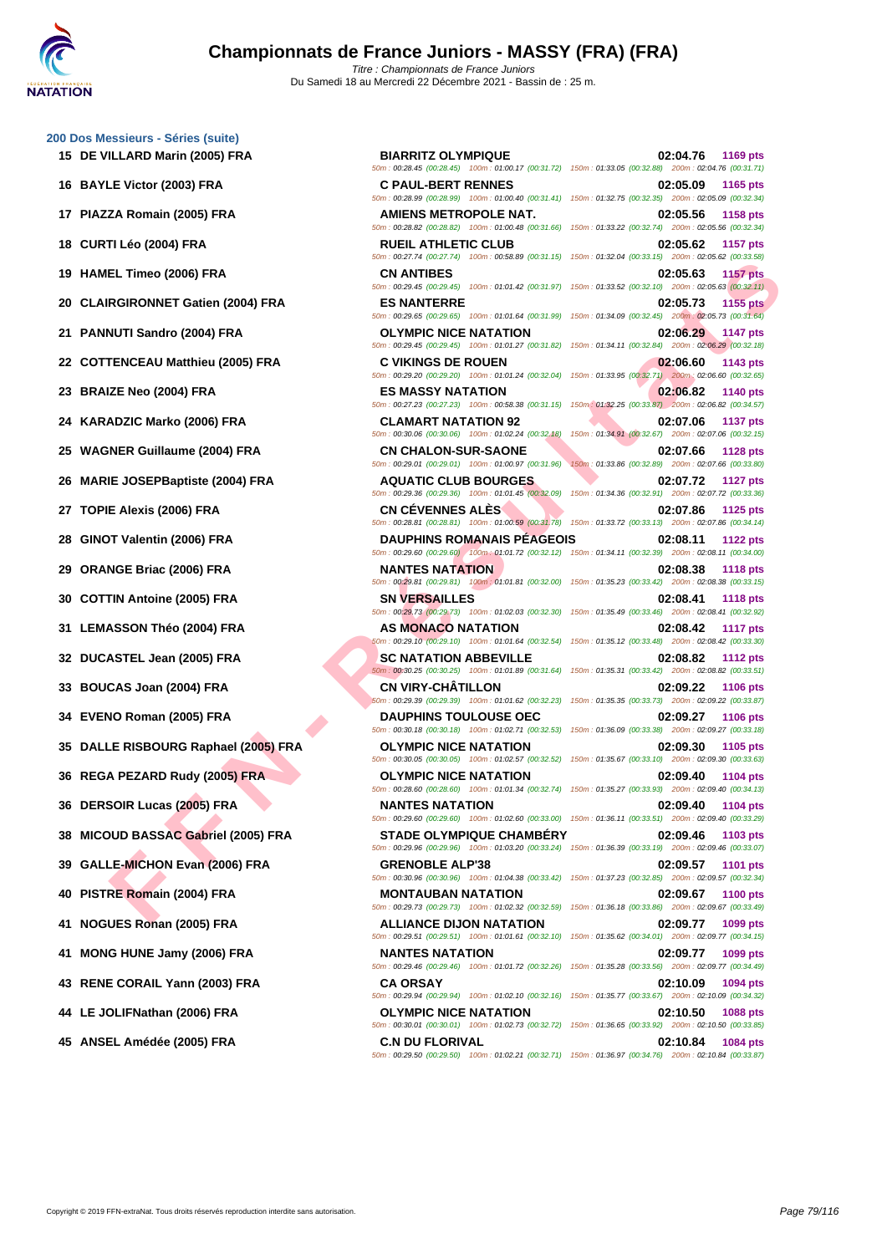# **[200 Dos M](http://www.ffnatation.fr/webffn/index.php)essieurs - Séries (suite)**

- 
- 
- 
- 
- 
- 
- 
- 
- 
- 
- 
- 
- 
- 
- 
- 
- 
- 

**EL THOS (2006) FRA**<br> **FRIGHDING COMPRESSION CONTINUES FOR ANTIFIER COMPRESS**<br> **FRIGHDING COMPRESSION COMPRESS**<br> **FENCE CALIFORMS CONTINUES CONTINUES IN A THE CALIFORMS CONTINUES IN A THE CALIFORM COMPRESS CONTINUES IN A 15 DE VILLARD Marin (2005) FRA BIARRITZ OLYMPIQUE 02:04.76 1169 pts** 50m : 00:28.45 (00:28.45) 100m : 01:00.17 (00:31.72) 150m : 01:33.05 (00:32.88) 200m : 02:04.76 (00:31.71) **16 BAYLE Victor (2003) FRA C PAUL-BERT RENNES 02:05.09 1165 pts** 50m : 00:28.99 (00:28.99) 100m : 01:00.40 (00:31.41) 150m : 01:32.75 (00:32.35) 200m : 02:05.09 (00:32.34) **17 PIAZZA Romain (2005) FRA AMIENS METROPOLE NAT. 02:05.56 1158 pts** 50m : 00:28.82 (00:28.82) 100m : 01:00.48 (00:31.66) 150m : 01:33.22 (00:32.74) 200m : 02:05.56 (00:32.34) **18 CURTI Léo (2004) FRA RUEIL ATHLETIC CLUB 02:05.62 1157 pts** 50m : 00:27.74 (00:27.74) 100m : 00:58.89 (00:31.15) 150m : 01:32.04 (00:33.15) 200m : 02:05.62 (00:33.58) **19 HAMEL Timeo (2006) FRA CN ANTIBES 02:05.63 1157 pts** 50m : 00:29.45 (00:29.45) 100m : 01:01.42 (00:31.97) 150m : 01:33.52 (00:32.10) 200m : 02:05.63 (00:32.11) **20 CLAIRGIRONNET Gatien (2004) FRA ES NANTERRE 02:05.73 1155 pts** 50m : 00:29.65 (00:29.65) 100m : 01:01.64 (00:31.99) 150m : 01:34.09 (00:32.45) 200m : 02:05.73 (00:31.64) **21 PANNUTI Sandro (2004) FRA OLYMPIC NICE NATATION 02:06.29 1147 pts** 50m : 00:29.45 (00:29.45) 100m : 01:01.27 (00:31.82) 150m : 01:34.11 (00:32.84) 200m : 02:06.29 (00:32.18) **22 COTTENCEAU Matthieu (2005) FRA C VIKINGS DE ROUEN 02:06.60 1143 pts** 50m : 00:29.20 (00:29.20) 100m : 01:01.24 (00:32.04) 150m : 01:33.95 (00:32.71) 200m : 02:06.60 (00:32.65) **23 BRAIZE Neo (2004) FRA ES MASSY NATATION 02:06.82 1140 pts** 50m : 00:27.23 (00:27.23) 100m : 00:58.38 (00:31.15) 150m : 01:32.25 (00:33.87) 200m : 02:06.82 (00:34.57) **24 KARADZIC Marko (2006) FRA CLAMART NATATION 92 02:07.06 1137 pts** 50m : 00:30.06 (00:30.06) 100m : 01:02.24 (00:32.18) 150m : 01:34.91 (00:32.67) 200m : 02:07.06 (00:32.15) **25 WAGNER Guillaume (2004) FRA CN CHALON-SUR-SAONE 02:07.66 1128 pts** 50m : 00:29.01 (00:29.01) 100m : 01:00.97 (00:31.96) 150m : 01:33.86 (00:32.89) 200m : 02:07.66 (00:33.80) **26 MARIE JOSEPBaptiste (2004) FRA AQUATIC CLUB BOURGES 02:07.72 1127 pts** 50m : 00:29.36 (00:29.36) 100m : 01:01.45 (00:32.09) 150m : 01:34.36 (00:32.91) 200m : 02:07.72 (00:33.36) **27 TOPIE Alexis (2006) FRA CN CÉVENNES ALÈS 02:07.86 1125 pts** 50m : 00:28.81 (00:28.81) 100m : 01:00.59 (00:31.78) 150m : 01:33.72 (00:33.13) 200m : 02:07.86 (00:34.14) **28 GINOT Valentin (2006) FRA DAUPHINS ROMANAIS PÉAGEOIS 02:08.11 1122 pts** 50m : 00:29.60 (00:29.60) 100m : 01:01.72 (00:32.12) 150m : 01:34.11 (00:32.39) 200m : 02:08.11 (00:34.00) **29 ORANGE Briac (2006) FRA NANTES NATATION 02:08.38 1118 pts** 50m : 00:29.81 (00:29.81) 100m : 01:01.81 (00:32.00) 150m : 01:35.23 (00:33.42) 200m : 02:08.38 (00:33.15) **30 COTTIN Antoine (2005) FRA SN VERSAILLES 02:08.41 1118 pts** 50m : 00:29.73 (00:29.73) 100m : 01:02.03 (00:32.30) 150m : 01:35.49 (00:33.46) 200m : 02:08.41 (00:32.92) **31 LEMASSON Théo (2004) FRA AS MONACO NATATION 02:08.42 1117 pts** 50m : 00:29.10 (00:29.10) 100m : 01:01.64 (00:32.54) 150m : 01:35.12 (00:33.48) 200m : 02:08.42 (00:33.30) **32 DUCASTEL Jean (2005) FRA SC NATATION ABBEVILLE 02:08.82 1112 pts** 50m : 00:30.25 (00:30.25) 100m : 01:01.89 (00:31.64) 150m : 01:35.31 (00:33.42) 200m : 02:08.82 (00:33.51) **33 BOUCAS Joan (2004) FRA CN VIRY-CHÂTILLON 02:09.22 1106 pts** 50m : 00:29.39 (00:29.39) 100m : 01:01.62 (00:32.23) 150m : 01:35.35 (00:33.73) 200m : 02:09.22 (00:33.87) **34 EVENO Roman (2005) FRA DAUPHINS TOULOUSE OEC 02:09.27 1106 pts** 50m : 00:30.18 (00:30.18) 100m : 01:02.71 (00:32.53) 150m : 01:36.09 (00:33.38) 200m : 02:09.27 (00:33.18) **35 DALLE RISBOURG Raphael (2005) FRA OLYMPIC NICE NATATION 02:09.30 1105 pts** 50m : 00:30.05 (00:30.05) 100m : 01:02.57 (00:32.52) 150m : 01:35.67 (00:33.10) 200m : 02:09.30 (00:33.63) **36 REGA PEZARD Rudy (2005) FRA OLYMPIC NICE NATATION 02:09.40 1104 pts** 50m : 00:28.60 (00:28.60) 100m : 01:01.34 (00:32.74) 150m : 01:35.27 (00:33.93) 200m : 02:09.40 (00:34.13) **36 DERSOIR Lucas (2005) FRA NANTES NATATION 02:09.40 1104 pts** 50m : 00:29.60 (00:29.60) 100m : 01:02.60 (00:33.00) 150m : 01:36.11 (00:33.51) 200m : 02:09.40 (00:33.29) **38 MICOUD BASSAC Gabriel (2005) FRA STADE OLYMPIQUE CHAMBÉRY 02:09.46 1103 pts** 50m : 00:29.96 (00:29.96) 100m : 01:03.20 (00:33.24) 150m : 01:36.39 (00:33.19) 200m : 02:09.46 (00:33.07) **39 GALLE-MICHON Evan (2006) FRA GRENOBLE ALP'38 02:09.57 1101 pts** 50m : 00:30.96 (00:30.96) 100m : 01:04.38 (00:33.42) 150m : 01:37.23 (00:32.85) 200m : 02:09.57 (00:32.34) **40 PISTRE Romain (2004) FRA MONTAUBAN NATATION 02:09.67 1100 pts** 50m : 00:29.73 (00:29.73) 100m : 01:02.32 (00:32.59) 150m : 01:36.18 (00:33.86) 200m : 02:09.67 (00:33.49) **41 NOGUES Ronan (2005) FRA ALLIANCE DIJON NATATION 02:09.77 1099 pts** 50m : 00:29.51 (00:29.51) 100m : 01:01.61 (00:32.10) 150m : 01:35.62 (00:34.01) 200m : 02:09.77 (00:34.15) **41 MONG HUNE Jamy (2006) FRA NANTES NATATION 02:09.77 1099 pts** 50m : 00:29.46 (00:29.46) 100m : 01:01.72 (00:32.26) 150m : 01:35.28 (00:33.56) 200m : 02:09.77 (00:34.49) **43 RENE CORAIL Yann (2003) FRA CA ORSAY 02:10.09 1094 pts** 50m : 00:29.94 (00:29.94) 100m : 01:02.10 (00:32.16) 150m : 01:35.77 (00:33.67) 200m : 02:10.09 (00:34.32) **44 LE JOLIFNathan (2006) FRA OLYMPIC NICE NATATION 02:10.50 1088 pts** 50m : 00:30.01 (00:30.01) 100m : 01:02.73 (00:32.72) 150m : 01:36.65 (00:33.92) 200m : 02:10.50 (00:33.85)

50m : 00:29.50 (00:29.50) 100m : 01:02.21 (00:32.71) 150m : 01:36.97 (00:34.76) 200m : 02:10.84 (00:33.87)

**45 ANSEL Amédée (2005) FRA C.N DU FLORIVAL 02:10.84 1084 pts**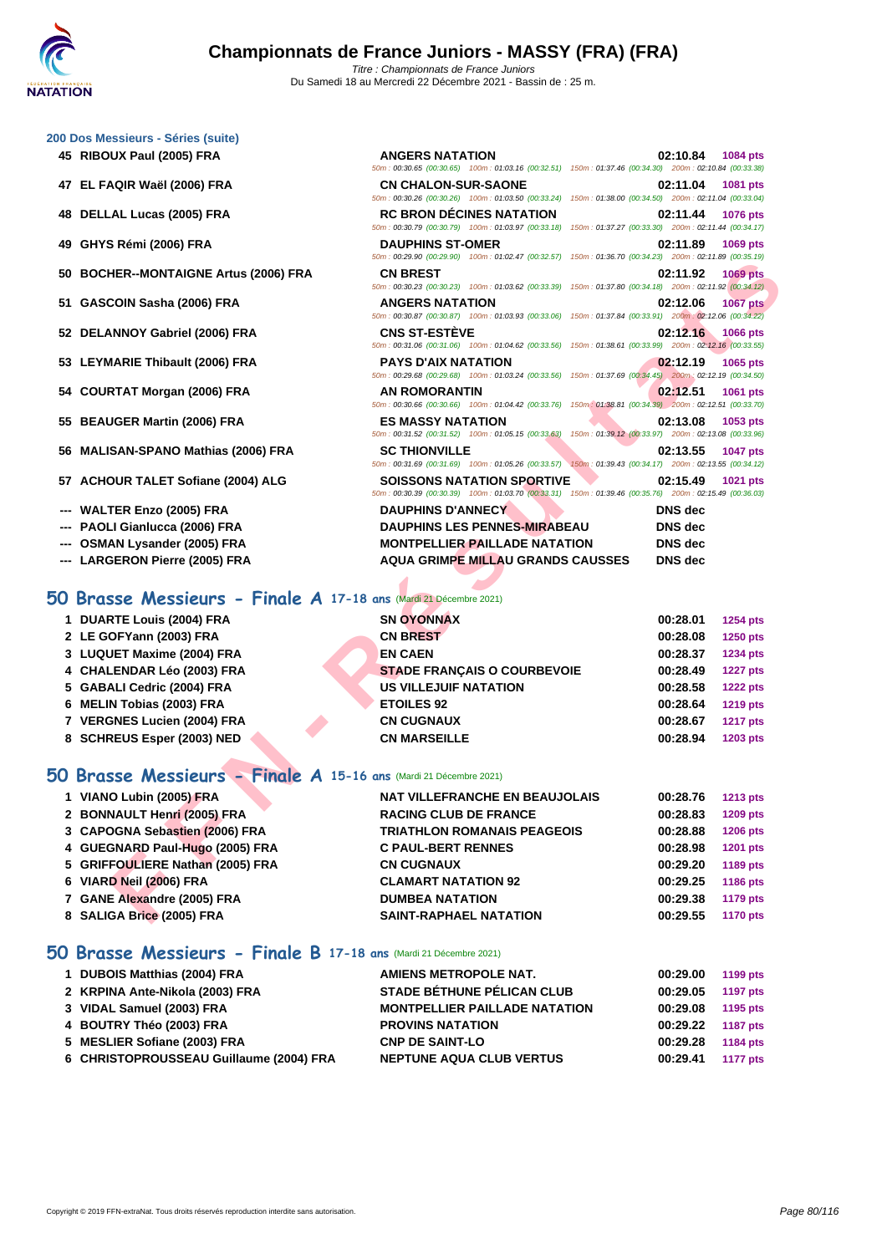50m : 00:30.65 (00:30.65) 100m : 01:03.16 (00:32.51) 150m : 01:37.46 (00:34.30) 200m : 02:10.84 (00:33.38)

50m : 00:30.26 (00:30.26) 100m : 01:03.50 (00:33.24) 150m : 01:38.00 (00:34.50) 200m : 02:11.04 (00:33.04)

50m : 00:30.79 (00:30.79) 100m : 01:03.97 (00:33.18) 150m : 01:37.27 (00:33.30) 200m : 02:11.44 (00:34.17)

50m : 00:29.90 (00:29.90) 100m : 01:02.47 (00:32.57) 150m : 01:36.70 (00:34.23) 200m : 02:11.89 (00:35.19)

## **[200 Dos M](http://www.ffnatation.fr/webffn/index.php)essieurs - Séries (suite)**

- **45 RIBOUX Paul (2005) FRA ANGERS NATATION 02:10.84 1084 pts**
- **47 EL FAQIR Waël (2006) FRA CN CHALON-SUR-SAONE 02:11.04 1081 pts**
- **48 DELLAL Lucas (2005) FRA RC BRON DÉCINES NATATION 02:11.44 1076 pts**
- **49 GHYS Rémi (2006) FRA DAUPHINS ST-OMER 02:11.89 1069 pts**
- **50 BOCHER--MONTAIGNE Artus (2006) FRA CN BREST 02:11.92 1069 pts**
- **51 GASCOIN Sasha (2006) FRA ANGERS NATATION 02:12.06 1067 pts**
- **52 DELANNOY Gabriel (2006) FRA CNS ST-ESTÈVE 02:12.16 1066 pts**
- **53 LEYMARIE Thibault (2006) FRA PAYS D'AIX NATATION 02:12.19 1065 pts**
- **54 COURTAT Morgan (2006) FRA AN ROMORANTIN 02:12.51 1061 pts**
- **55 BEAUGER Martin (2006) FRA ES MASSY NATATION 02:13.08 1053 pts**
- **56 MALISAN-SPANO Mathias (2006) FRA SC THIONVILLE 02:13.55 1047 pts**
- **57 ACHOUR TALET Sofiane (2004) ALG SOISSONS NATATION SPORTIVE 02:15.49 1021 pts**
- **--- WALTER Enzo (2005) FRA DAUPHINS D'ANNECY DNS dec**
- **--- PAOLI Gianlucca (2006) FRA DAUPHINS LES PENNES-MIRABEAU DNS dec**
- **--- OSMAN Lysander (2005) FRA MONTPELLIER PAILLADE NATATION DNS dec**
- **--- LARGERON Pierre (2005) FRA AQUA GRIMPE MILLAU GRANDS CAUSSES DNS dec**

## **50 Brasse Messieurs - Finale A 17-18 ans** (Mardi 21 Décembre 2021)

## **50 Brasse Messieurs - Finale A 15-16 ans** (Mardi 21 Décembre 2021)

|                                 |                                                                  | JUINT 00.29.90 (00.29.90) TOURT 01.02.41 (00.32.31) TOURT 01.30.10 (00.34.23)                                                        |                |                 |
|---------------------------------|------------------------------------------------------------------|--------------------------------------------------------------------------------------------------------------------------------------|----------------|-----------------|
|                                 | 50 BOCHER--MONTAIGNE Artus (2006) FRA                            | <b>CN BREST</b><br>50m : 00:30.23 (00:30.23) 100m : 01:03.62 (00:33.39) 150m : 01:37.80 (00:34.18) 200m : 02:11.92 (00:34.12)        | 02:11.92       | <b>1069 pts</b> |
| 51 GASCOIN Sasha (2006) FRA     |                                                                  | <b>ANGERS NATATION</b>                                                                                                               | 02:12.06       | <b>1067 pts</b> |
|                                 |                                                                  | 50m: 00:30.87 (00:30.87) 100m: 01:03.93 (00:33.06) 150m: 01:37.84 (00:33.91) 200m: 02:12.06 (00:34.22)                               |                |                 |
| 52 DELANNOY Gabriel (2006) FRA  |                                                                  | <b>CNS ST-ESTEVE</b>                                                                                                                 | 02:12.16       | <b>1066 pts</b> |
|                                 |                                                                  | 50m: 00:31.06 (00:31.06) 100m: 01:04.62 (00:33.56) 150m: 01:38.61 (00:33.99) 200m: 02:12.16 (00:33.55)                               |                |                 |
| 53 LEYMARIE Thibault (2006) FRA |                                                                  | <b>PAYS D'AIX NATATION</b><br>50m: 00:29.68 (00:29.68) 100m: 01:03.24 (00:33.56) 150m: 01:37.69 (00:34.45) 200m: 02:12.19 (00:34.50) | 02:12.19       | 1065 pts        |
| 54 COURTAT Morgan (2006) FRA    |                                                                  | AN ROMORANTIN                                                                                                                        | 02:12.51       |                 |
|                                 |                                                                  | 50m : 00:30.66 (00:30.66) 100m : 01:04.42 (00:33.76) 150m : 01:38.81 (00:34.39) 200m : 02:12.51 (00:33.70)                           |                | 1061 pts        |
| 55 BEAUGER Martin (2006) FRA    |                                                                  | <b>ES MASSY NATATION</b>                                                                                                             | 02:13.08       | 1053 pts        |
|                                 |                                                                  | 50m : 00:31.52 (00:31.52) 100m : 01:05.15 (00:33.63) 150m : 01:39.12 (00:33.97) 200m : 02:13.08 (00:33.96)                           |                |                 |
|                                 | 56 MALISAN-SPANO Mathias (2006) FRA                              | <b>SC THIONVILLE</b>                                                                                                                 | 02:13.55       | <b>1047 pts</b> |
|                                 |                                                                  | 50m: 00:31.69 (00:31.69) 100m: 01:05.26 (00:33.57) 150m: 01:39.43 (00:34.17) 200m: 02:13.55 (00:34.12)                               |                |                 |
|                                 | 57 ACHOUR TALET Sofiane (2004) ALG                               | <b>SOISSONS NATATION SPORTIVE</b>                                                                                                    | 02:15.49       | <b>1021 pts</b> |
|                                 |                                                                  | 50m : 00:30.39 (00:30.39) 100m : 01:03.70 (00:33.31) 150m : 01:39.46 (00:35.76) 200m : 02:15.49 (00:36.03)                           |                |                 |
| --- WALTER Enzo (2005) FRA      |                                                                  | <b>DAUPHINS D'ANNECY</b>                                                                                                             | <b>DNS</b> dec |                 |
| --- PAOLI Gianlucca (2006) FRA  |                                                                  | <b>DAUPHINS LES PENNES-MIRABEAU</b>                                                                                                  | DNS dec        |                 |
| --- OSMAN Lysander (2005) FRA   |                                                                  | <b>MONTPELLIER PAILLADE NATATION</b>                                                                                                 | <b>DNS</b> dec |                 |
| --- LARGERON Pierre (2005) FRA  |                                                                  | <b>AQUA GRIMPE MILLAU GRANDS CAUSSES</b>                                                                                             | <b>DNS</b> dec |                 |
|                                 |                                                                  |                                                                                                                                      |                |                 |
|                                 | O Brasse Messieurs - Finale A 17-18 ans (Mardi 21 Décembre 2021) |                                                                                                                                      |                |                 |
| 1 DUARTE Louis (2004) FRA       |                                                                  | <b>SN OYONNAX</b>                                                                                                                    | 00:28.01       | <b>1254 pts</b> |
| 2 LE GOFYann (2003) FRA         |                                                                  | <b>CN BREST</b>                                                                                                                      | 00:28.08       | <b>1250 pts</b> |
| 3 LUQUET Maxime (2004) FRA      |                                                                  | <b>EN CAEN</b>                                                                                                                       | 00:28.37       | 1234 pts        |
| 4 CHALENDAR Léo (2003) FRA      |                                                                  | <b>STADE FRANÇAIS O COURBEVOIE</b>                                                                                                   | 00:28.49       | <b>1227 pts</b> |
| 5 GABALI Cedric (2004) FRA      |                                                                  | <b>US VILLEJUIF NATATION</b>                                                                                                         | 00:28.58       | <b>1222 pts</b> |
| 6 MELIN Tobias (2003) FRA       |                                                                  | <b>ETOILES 92</b>                                                                                                                    | 00:28.64       | <b>1219 pts</b> |
| 7 VERGNES Lucien (2004) FRA     |                                                                  | <b>CN CUGNAUX</b>                                                                                                                    | 00:28.67       | <b>1217 pts</b> |
| 8 SCHREUS Esper (2003) NED      |                                                                  | <b>CN MARSEILLE</b>                                                                                                                  | 00:28.94       | 1203 pts        |
|                                 |                                                                  |                                                                                                                                      |                |                 |
|                                 | O Brasse Messieurs - Finale A 15-16 ans (Mardi 21 Décembre 2021) |                                                                                                                                      |                |                 |
| 1 VIANO Lubin (2005) FRA        |                                                                  | <b>NAT VILLEFRANCHE EN BEAUJOLAIS</b>                                                                                                | 00:28.76       | <b>1213 pts</b> |
| 2 BONNAULT Henri (2005) FRA     |                                                                  | <b>RACING CLUB DE FRANCE</b>                                                                                                         | 00:28.83       | 1209 pts        |
| 3 CAPOGNA Sebastien (2006) FRA  |                                                                  | <b>TRIATHLON ROMANAIS PEAGEOIS</b>                                                                                                   | 00:28.88       | 1206 pts        |
|                                 | 4 GUEGNARD Paul-Hugo (2005) FRA                                  | <b>C PAUL-BERT RENNES</b>                                                                                                            | 00:28.98       | <b>1201 pts</b> |
|                                 | 5 GRIFFOULIERE Nathan (2005) FRA                                 | <b>CN CUGNAUX</b>                                                                                                                    | 00:29.20       | 1189 pts        |
| 6 VIARD Neil (2006) FRA         |                                                                  | <b>CLAMART NATATION 92</b>                                                                                                           | 00:29.25       | 1186 pts        |
| 7 GANE Alexandre (2005) FRA     |                                                                  | <b>DUMBEA NATATION</b>                                                                                                               | 00:29.38       | <b>1179 pts</b> |
|                                 |                                                                  | <b>SAINT-RAPHAEL NATATION</b>                                                                                                        | 00:29.55       |                 |
| 8 SALIGA Brice (2005) FRA       |                                                                  |                                                                                                                                      |                | <b>1170 pts</b> |

## **50 Brasse Messieurs - Finale B 17-18 ans** (Mardi 21 Décembre 2021)

| 1 DUBOIS Matthias (2004) FRA            | AMIENS METROPOLE NAT.                | 00:29.00 | 1199 pts        |
|-----------------------------------------|--------------------------------------|----------|-----------------|
| 2 KRPINA Ante-Nikola (2003) FRA         | <b>STADE BÉTHUNE PÉLICAN CLUB</b>    | 00:29.05 | <b>1197 pts</b> |
| 3 VIDAL Samuel (2003) FRA               | <b>MONTPELLIER PAILLADE NATATION</b> | 00:29.08 | 1195 pts        |
| 4 BOUTRY Théo (2003) FRA                | <b>PROVINS NATATION</b>              | 00:29.22 | <b>1187 pts</b> |
| 5 MESLIER Sofiane (2003) FRA            | <b>CNP DE SAINT-LO</b>               | 00:29.28 | 1184 pts        |
| 6 CHRISTOPROUSSEAU Guillaume (2004) FRA | <b>NEPTUNE AQUA CLUB VERTUS</b>      | 00:29.41 | <b>1177 pts</b> |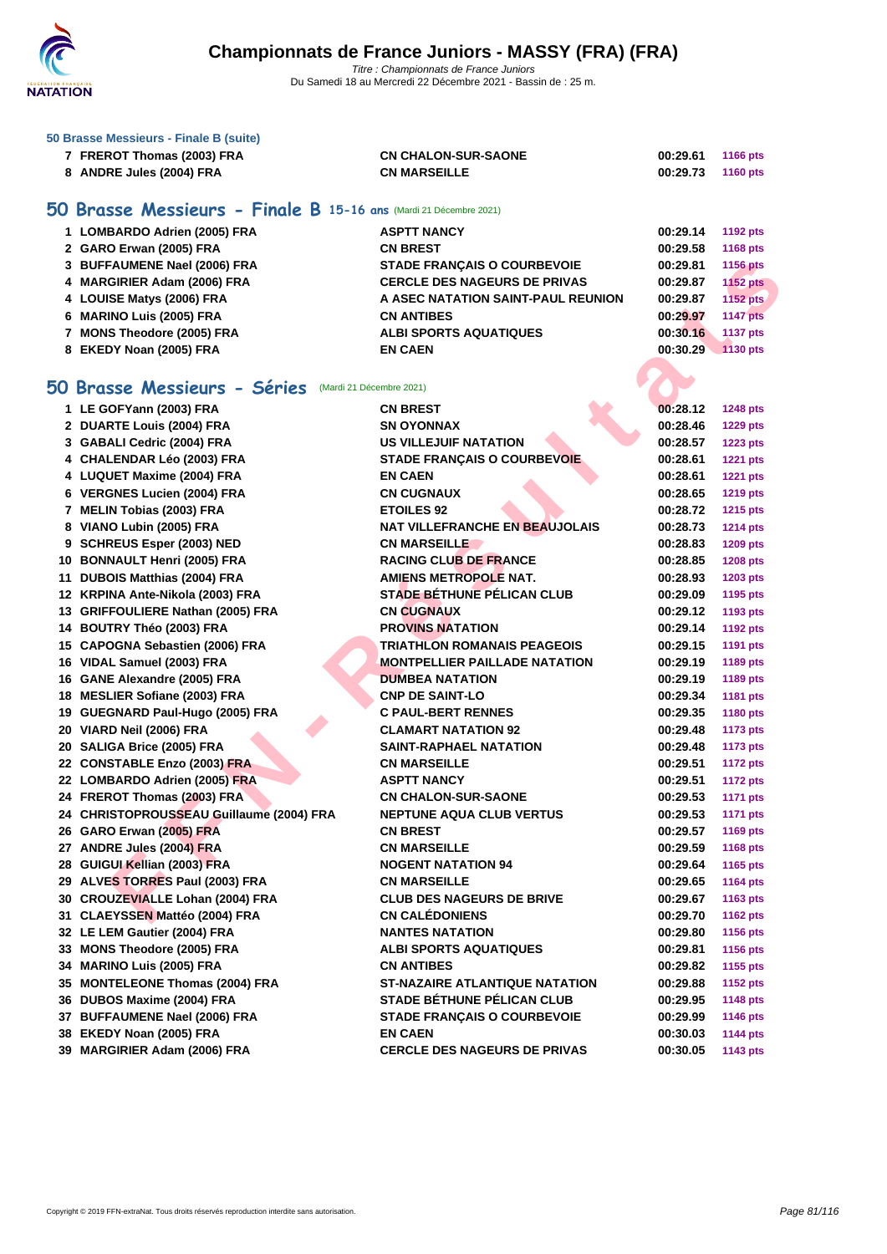

| 50 Brasse Messieurs - Finale B (suite) |                            |                   |          |
|----------------------------------------|----------------------------|-------------------|----------|
| 7 FREROT Thomas (2003) FRA             | <b>CN CHALON-SUR-SAONE</b> | 00:29.61          | 1166 pts |
| 8 ANDRE Jules (2004) FRA               | <b>CN MARSEILLE</b>        | 00:29.73 1160 pts |          |

## **50 Brasse Messieurs - Finale B 15-16 ans** (Mardi 21 Décembre 2021)

| 1 LOMBARDO Adrien (2005) FRA | <b>ASPTT NANCY</b>                  | 00:29.14 | 1192 pts        |
|------------------------------|-------------------------------------|----------|-----------------|
| 2 GARO Erwan (2005) FRA      | <b>CN BREST</b>                     | 00:29.58 | 1168 pts        |
| 3 BUFFAUMENE Nael (2006) FRA | <b>STADE FRANCAIS O COURBEVOIE</b>  | 00:29.81 | 1156 pts        |
| 4 MARGIRIER Adam (2006) FRA  | <b>CERCLE DES NAGEURS DE PRIVAS</b> | 00:29.87 | <b>1152 pts</b> |
| 4 LOUISE Matys (2006) FRA    | A ASEC NATATION SAINT-PAUL REUNION  | 00:29.87 | 1152 pts        |
| 6 MARINO Luis (2005) FRA     | <b>CN ANTIBES</b>                   | 00:29.97 | <b>1147 pts</b> |
| 7 MONS Theodore (2005) FRA   | <b>ALBI SPORTS AQUATIQUES</b>       | 00:30.16 | <b>1137 pts</b> |
| 8 EKEDY Noan (2005) FRA      | <b>EN CAEN</b>                      | 00:30.29 | 1130 pts        |

## **50 Brasse Messieurs - Séries** (Mardi 21 Décembre 2021)

| 3 BUFFAUMENE Nael (2006) FRA                             | <b>STADE FRANÇAIS O COURBEVOIE</b>    | 00:29.81 | <b>1156 pts</b> |
|----------------------------------------------------------|---------------------------------------|----------|-----------------|
| 4 MARGIRIER Adam (2006) FRA                              | <b>CERCLE DES NAGEURS DE PRIVAS</b>   | 00:29.87 | <b>1152 pts</b> |
| 4 LOUISE Matys (2006) FRA                                | A ASEC NATATION SAINT-PAUL REUNION    | 00:29.87 | 1152 pts        |
| 6 MARINO Luis (2005) FRA                                 | <b>CN ANTIBES</b>                     | 00:29.97 | <b>1147 pts</b> |
| 7 MONS Theodore (2005) FRA                               | <b>ALBI SPORTS AQUATIQUES</b>         | 00:30.16 | 1137 pts        |
| 8 EKEDY Noan (2005) FRA                                  | <b>EN CAEN</b>                        | 00:30.29 | <b>1130 pts</b> |
|                                                          |                                       |          |                 |
| i0 Brasse Messieurs - Séries<br>(Mardi 21 Décembre 2021) |                                       |          |                 |
| 1 LE GOFYann (2003) FRA                                  | <b>CN BREST</b>                       | 00:28.12 | <b>1248 pts</b> |
| 2 DUARTE Louis (2004) FRA                                | <b>SN OYONNAX</b>                     | 00:28.46 | <b>1229 pts</b> |
| 3 GABALI Cedric (2004) FRA                               | <b>US VILLEJUIF NATATION</b>          | 00:28.57 | <b>1223 pts</b> |
| 4 CHALENDAR Léo (2003) FRA                               | <b>STADE FRANÇAIS O COURBEVOIE</b>    | 00:28.61 | <b>1221 pts</b> |
| 4 LUQUET Maxime (2004) FRA                               | <b>EN CAEN</b>                        | 00:28.61 | <b>1221 pts</b> |
| 6 VERGNES Lucien (2004) FRA                              | <b>CN CUGNAUX</b>                     | 00:28.65 | <b>1219 pts</b> |
| 7 MELIN Tobias (2003) FRA                                | <b>ETOILES 92</b>                     | 00:28.72 | <b>1215 pts</b> |
| 8 VIANO Lubin (2005) FRA                                 | <b>NAT VILLEFRANCHE EN BEAUJOLAIS</b> | 00:28.73 | <b>1214 pts</b> |
| 9 SCHREUS Esper (2003) NED                               | <b>CN MARSEILLE</b>                   | 00:28.83 | <b>1209 pts</b> |
| 10 BONNAULT Henri (2005) FRA                             | <b>RACING CLUB DE FRANCE</b>          | 00:28.85 | <b>1208 pts</b> |
| 11 DUBOIS Matthias (2004) FRA                            | <b>AMIENS METROPOLE NAT.</b>          | 00:28.93 | 1203 pts        |
| 12 KRPINA Ante-Nikola (2003) FRA                         | <b>STADE BÉTHUNE PÉLICAN CLUB</b>     | 00:29.09 | 1195 pts        |
| 13 GRIFFOULIERE Nathan (2005) FRA                        | <b>CN CUGNAUX</b>                     | 00:29.12 | 1193 pts        |
| 14 BOUTRY Théo (2003) FRA                                | <b>PROVINS NATATION</b>               | 00:29.14 | <b>1192 pts</b> |
| 15 CAPOGNA Sebastien (2006) FRA                          | <b>TRIATHLON ROMANAIS PEAGEOIS</b>    | 00:29.15 | <b>1191 pts</b> |
| 16 VIDAL Samuel (2003) FRA                               | MONTPELLIER PAILLADE NATATION         | 00:29.19 | 1189 pts        |
| 16 GANE Alexandre (2005) FRA                             | <b>DUMBEA NATATION</b>                | 00:29.19 | 1189 pts        |
| 18 MESLIER Sofiane (2003) FRA                            | <b>CNP DE SAINT-LO</b>                | 00:29.34 | 1181 pts        |
| 19 GUEGNARD Paul-Hugo (2005) FRA                         | <b>C PAUL-BERT RENNES</b>             | 00:29.35 | <b>1180 pts</b> |
| 20 VIARD Neil (2006) FRA                                 | <b>CLAMART NATATION 92</b>            | 00:29.48 | <b>1173 pts</b> |
| 20 SALIGA Brice (2005) FRA                               | SAINT-RAPHAEL NATATION                | 00:29.48 | <b>1173 pts</b> |
| 22 CONSTABLE Enzo (2003) FRA                             | <b>CN MARSEILLE</b>                   | 00:29.51 | <b>1172 pts</b> |
| 22 LOMBARDO Adrien (2005) FRA                            | <b>ASPTT NANCY</b>                    | 00:29.51 | <b>1172 pts</b> |
| 24 FREROT Thomas (2003) FRA                              | <b>CN CHALON-SUR-SAONE</b>            | 00:29.53 | <b>1171 pts</b> |
| 24 CHRISTOPROUSSEAU Guillaume (2004) FRA                 | <b>NEPTUNE AQUA CLUB VERTUS</b>       | 00:29.53 | <b>1171 pts</b> |
| 26 GARO Erwan (2005) FRA                                 | <b>CN BREST</b>                       | 00:29.57 | <b>1169 pts</b> |
| 27 ANDRE Jules (2004) FRA                                | <b>CN MARSEILLE</b>                   | 00:29.59 | 1168 pts        |
| 28 GUIGUI Kellian (2003) FRA                             | <b>NOGENT NATATION 94</b>             | 00:29.64 | <b>1165 pts</b> |
| 29 ALVES TORRES Paul (2003) FRA                          | <b>CN MARSEILLE</b>                   | 00:29.65 | <b>1164 pts</b> |
| 30 CROUZEVIALLE Lohan (2004) FRA                         | <b>CLUB DES NAGEURS DE BRIVE</b>      | 00:29.67 | 1163 pts        |
| 31 CLAEYSSEN Mattéo (2004) FRA                           | <b>CN CALÉDONIENS</b>                 | 00:29.70 | 1162 pts        |
| 32 LE LEM Gautier (2004) FRA                             | <b>NANTES NATATION</b>                | 00:29.80 | <b>1156 pts</b> |
| 33 MONS Theodore (2005) FRA                              | <b>ALBI SPORTS AQUATIQUES</b>         | 00:29.81 | 1156 pts        |
| 34 MARINO Luis (2005) FRA                                | <b>CN ANTIBES</b>                     | 00:29.82 | 1155 pts        |
| 35 MONTELEONE Thomas (2004) FRA                          | <b>ST-NAZAIRE ATLANTIQUE NATATION</b> | 00:29.88 | <b>1152 pts</b> |
| 36 DUBOS Maxime (2004) FRA                               | <b>STADE BÉTHUNE PÉLICAN CLUB</b>     | 00:29.95 | <b>1148 pts</b> |
| 37 BUFFAUMENE Nael (2006) FRA                            | <b>STADE FRANCAIS O COURBEVOIE</b>    | 00:29.99 | <b>1146 pts</b> |
| 38 EKEDY Noan (2005) FRA                                 | <b>EN CAEN</b>                        | 00:30.03 | 1144 pts        |
| 39 MARGIRIER Adam (2006) FRA                             | <b>CERCLE DES NAGEURS DE PRIVAS</b>   | 00:30.05 | 1143 pts        |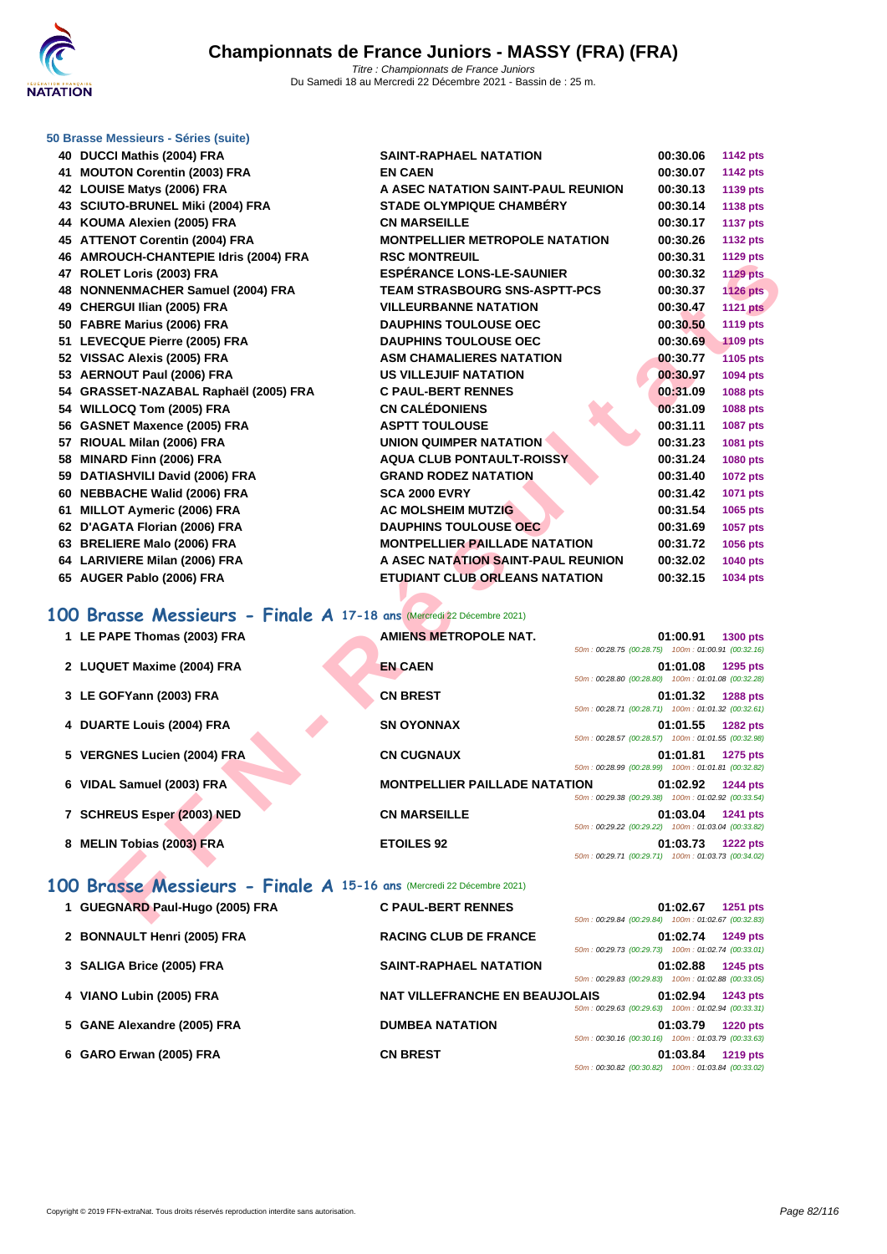

## **[50 Brasse](http://www.ffnatation.fr/webffn/index.php) Messieurs - Séries (suite)**

| 40 DUCCI Mathis (2004) FRA                                           | SAINT-RAPHAEL NATATION                |                                                    | 00:30.06 | <b>1142 pts</b> |
|----------------------------------------------------------------------|---------------------------------------|----------------------------------------------------|----------|-----------------|
| 41 MOUTON Corentin (2003) FRA                                        | <b>EN CAEN</b>                        |                                                    | 00:30.07 | <b>1142 pts</b> |
| 42 LOUISE Matys (2006) FRA                                           | A ASEC NATATION SAINT-PAUL REUNION    |                                                    | 00:30.13 | 1139 pts        |
| 43 SCIUTO-BRUNEL Miki (2004) FRA                                     | <b>STADE OLYMPIQUE CHAMBERY</b>       |                                                    | 00:30.14 | 1138 pts        |
| 44 KOUMA Alexien (2005) FRA                                          | <b>CN MARSEILLE</b>                   |                                                    | 00:30.17 | <b>1137 pts</b> |
| 45 ATTENOT Corentin (2004) FRA                                       | <b>MONTPELLIER METROPOLE NATATION</b> |                                                    | 00:30.26 | 1132 pts        |
| 46 AMROUCH-CHANTEPIE Idris (2004) FRA                                | <b>RSC MONTREUIL</b>                  |                                                    | 00:30.31 | <b>1129 pts</b> |
| 47 ROLET Loris (2003) FRA                                            | <b>ESPERANCE LONS-LE-SAUNIER</b>      |                                                    | 00:30.32 | <b>1129 pts</b> |
| 48 NONNENMACHER Samuel (2004) FRA                                    | <b>TEAM STRASBOURG SNS-ASPTT-PCS</b>  |                                                    | 00:30.37 | <b>1126 pts</b> |
| 49 CHERGUI Ilian (2005) FRA                                          | <b>VILLEURBANNE NATATION</b>          |                                                    | 00:30.47 | <b>1121 pts</b> |
| 50 FABRE Marius (2006) FRA                                           | <b>DAUPHINS TOULOUSE OEC</b>          |                                                    | 00:30.50 | <b>1119 pts</b> |
| 51 LEVECQUE Pierre (2005) FRA                                        | <b>DAUPHINS TOULOUSE OEC</b>          |                                                    | 00:30.69 | <b>1109 pts</b> |
| 52 VISSAC Alexis (2005) FRA                                          | <b>ASM CHAMALIERES NATATION</b>       |                                                    | 00:30.77 | 1105 pts        |
| 53 AERNOUT Paul (2006) FRA                                           | <b>US VILLEJUIF NATATION</b>          |                                                    | 00:30.97 | 1094 pts        |
| 54 GRASSET-NAZABAL Raphaël (2005) FRA                                | <b>C PAUL-BERT RENNES</b>             |                                                    | 00:31.09 | 1088 pts        |
| 54 WILLOCQ Tom (2005) FRA                                            | <b>CN CALÉDONIENS</b>                 |                                                    | 00:31.09 | 1088 pts        |
| 56 GASNET Maxence (2005) FRA                                         | <b>ASPTT TOULOUSE</b>                 |                                                    | 00:31.11 | 1087 pts        |
| 57 RIOUAL Milan (2006) FRA                                           | <b>UNION QUIMPER NATATION</b>         |                                                    | 00:31.23 | 1081 pts        |
| 58 MINARD Finn (2006) FRA                                            | <b>AQUA CLUB PONTAULT-ROISSY</b>      |                                                    | 00:31.24 | 1080 pts        |
| 59 DATIASHVILI David (2006) FRA                                      | <b>GRAND RODEZ NATATION</b>           |                                                    | 00:31.40 | <b>1072 pts</b> |
| 60 NEBBACHE Walid (2006) FRA                                         | <b>SCA 2000 EVRY</b>                  |                                                    | 00:31.42 | 1071 pts        |
| 61 MILLOT Aymeric (2006) FRA                                         | <b>AC MOLSHEIM MUTZIG</b>             |                                                    | 00:31.54 | 1065 pts        |
| 62 D'AGATA Florian (2006) FRA                                        | <b>DAUPHINS TOULOUSE OEC</b>          |                                                    | 00:31.69 | 1057 pts        |
| 63 BRELIERE Malo (2006) FRA                                          | <b>MONTPELLIER PAILLADE NATATION</b>  |                                                    | 00:31.72 | 1056 pts        |
| 64 LARIVIERE Milan (2006) FRA                                        | A ASEC NATATION SAINT-PAUL REUNION    |                                                    | 00:32.02 | 1040 pts        |
| 65 AUGER Pablo (2006) FRA                                            | <b>ETUDIANT CLUB ORLEANS NATATION</b> |                                                    | 00:32.15 | 1034 pts        |
|                                                                      |                                       |                                                    |          |                 |
| 00 Brasse Messieurs - Finale A 17-18 ans (Mercredi 22 Décembre 2021) |                                       |                                                    |          |                 |
| 1 LE PAPE Thomas (2003) FRA                                          | <b>AMIENS METROPOLE NAT.</b>          |                                                    | 01:00.91 | <b>1300 pts</b> |
|                                                                      |                                       | 50m: 00:28.75 (00:28.75) 100m: 01:00.91 (00:32.16) |          |                 |
| 2 LUQUET Maxime (2004) FRA                                           | <b>EN CAEN</b>                        |                                                    | 01:01.08 | 1295 pts        |
|                                                                      |                                       | 50m: 00:28.80 (00:28.80) 100m: 01:01.08 (00:32.28) |          |                 |
| 3 LE GOFYann (2003) FRA                                              | <b>CN BREST</b>                       |                                                    | 01:01.32 | <b>1288 pts</b> |
|                                                                      |                                       | 50m: 00:28.71 (00:28.71) 100m: 01:01.32 (00:32.61) |          |                 |
| 4 DUARTE Louis (2004) FRA                                            | <b>SN OYONNAX</b>                     | 50m: 00:28.57 (00:28.57) 100m: 01:01.55 (00:32.98) | 01:01.55 | <b>1282 pts</b> |
| 5 VERGNES Lucien (2004) FRA                                          | <b>CN CUGNAUX</b>                     |                                                    | 01:01.81 | <b>1275 pts</b> |
|                                                                      |                                       | 50m: 00:28.99 (00:28.99) 100m: 01:01.81 (00:32.82) |          |                 |
| 6 VIDAL Samuel (2003) FRA                                            | <b>MONTPELLIER PAILLADE NATATION</b>  |                                                    | 01:02.92 | <b>1244 pts</b> |
|                                                                      |                                       | 50m: 00:29.38 (00:29.38) 100m: 01:02.92 (00:33.54) |          |                 |
| 7 SCHREUS Esper (2003) NED                                           | <b>CN MARSEILLE</b>                   | 50m: 00:29.22 (00:29.22) 100m: 01:03.04 (00:33.82) | 01:03.04 | <b>1241 pts</b> |
| 8 MELIN Tobias (2003) FRA                                            | <b>ETOILES 92</b>                     |                                                    | 01:03.73 |                 |
|                                                                      |                                       | 50m: 00:29.71 (00:29.71) 100m: 01:03.73 (00:34.02) |          | <b>1222 pts</b> |
|                                                                      |                                       |                                                    |          |                 |
| 00 Brasse Messieurs - Finale A 15-16 ans (Mercredi 22 Décembre 2021) |                                       |                                                    |          |                 |
| 1 GUEGNARD Paul-Hugo (2005) FRA                                      | <b>C PAUL-BERT RENNES</b>             |                                                    | 01:02.67 | 1251 pts        |
|                                                                      |                                       | 50m: 00:29.84 (00:29.84) 100m: 01:02.67 (00:32.83) |          |                 |

## **100 Brasse Messieurs - Finale A 17-18 ans** (Mercredi 22 Décembre 2021)

| 1 LE PAPE Thomas (2003) FRA | <b>AMIENS METROPOLE NAT.</b>                                                                                         | 50m: 00:28.75 (00:28.75) 100m: 01:00.91 (00:32.16) | 01:00.91 | 1300 pts        |
|-----------------------------|----------------------------------------------------------------------------------------------------------------------|----------------------------------------------------|----------|-----------------|
| 2 LUQUET Maxime (2004) FRA  | <b>EN CAEN</b>                                                                                                       | 50m: 00:28.80 (00:28.80) 100m: 01:01.08 (00:32.28) | 01:01.08 | 1295 pts        |
| 3 LE GOFYann (2003) FRA     | <b>CN BREST</b>                                                                                                      | 50m: 00:28.71 (00:28.71) 100m: 01:01.32 (00:32.61) | 01:01.32 | <b>1288 pts</b> |
| 4 DUARTE Louis (2004) FRA   | <b>SN OYONNAX</b>                                                                                                    | 50m: 00:28.57 (00:28.57) 100m: 01:01.55 (00:32.98) | 01:01.55 | <b>1282 pts</b> |
| 5 VERGNES Lucien (2004) FRA | <b>CN CUGNAUX</b>                                                                                                    | 50m: 00:28.99 (00:28.99) 100m: 01:01.81 (00:32.82) | 01:01.81 | 1275 pts        |
| 6 VIDAL Samuel (2003) FRA   | <b>MONTPELLIER PAILLADE NATATION</b>                                                                                 | 50m: 00:29.38 (00:29.38) 100m: 01:02.92 (00:33.54) | 01:02.92 | <b>1244 pts</b> |
| 7 SCHREUS Esper (2003) NED  | <b>CN MARSEILLE</b>                                                                                                  | 50m: 00:29.22 (00:29.22) 100m: 01:03.04 (00:33.82) | 01:03.04 | <b>1241 pts</b> |
| 8 MELIN Tobias (2003) FRA   | <b>ETOILES 92</b>                                                                                                    | 50m: 00:29.71 (00:29.71) 100m: 01:03.73 (00:34.02) | 01:03.73 | <b>1222 pts</b> |
| OO Duasan Massisiwa         | $\sum_{i=1}^{n} a_i = \sum_{i=1}^{n} A_i$ and $\sum_{i=1}^{n} A_i$ and $\sum_{i=1}^{n} A_i$ and $\sum_{i=1}^{n} A_i$ |                                                    |          |                 |

## **100 Brasse Messieurs - Finale A 15-16 ans** (Mercredi 22 Décembre 2021)

| 1 GUEGNARD Paul-Hugo (2005) FRA | <b>C PAUL-BERT RENNES</b>             | 50m: 00:29.84 (00:29.84) 100m: 01:02.67 (00:32.83) | 01:02.67 | <b>1251 pts</b>                              |
|---------------------------------|---------------------------------------|----------------------------------------------------|----------|----------------------------------------------|
| 2 BONNAULT Henri (2005) FRA     | <b>RACING CLUB DE FRANCE</b>          | 50m: 00:29.73 (00:29.73)                           | 01:02.74 | <b>1249 pts</b><br>100m: 01:02.74 (00:33.01) |
| 3 SALIGA Brice (2005) FRA       | <b>SAINT-RAPHAEL NATATION</b>         | 50m: 00:29.83 (00:29.83)                           | 01:02.88 | <b>1245 pts</b><br>100m: 01:02.88 (00:33.05) |
| 4 VIANO Lubin (2005) FRA        | <b>NAT VILLEFRANCHE EN BEAUJOLAIS</b> | $50m: 00:29.63$ (00:29.63)                         | 01:02.94 | <b>1243 pts</b><br>100m: 01:02.94 (00:33.31) |
| 5 GANE Alexandre (2005) FRA     | <b>DUMBEA NATATION</b>                | $50m: 00:30.16$ (00:30.16)                         | 01:03.79 | <b>1220 pts</b><br>100m: 01:03.79 (00:33.63) |
| 6 GARO Erwan (2005) FRA         | <b>CN BREST</b>                       | 50m: 00:30.82 (00:30.82)                           | 01:03.84 | <b>1219 pts</b><br>100m: 01:03.84 (00:33.02) |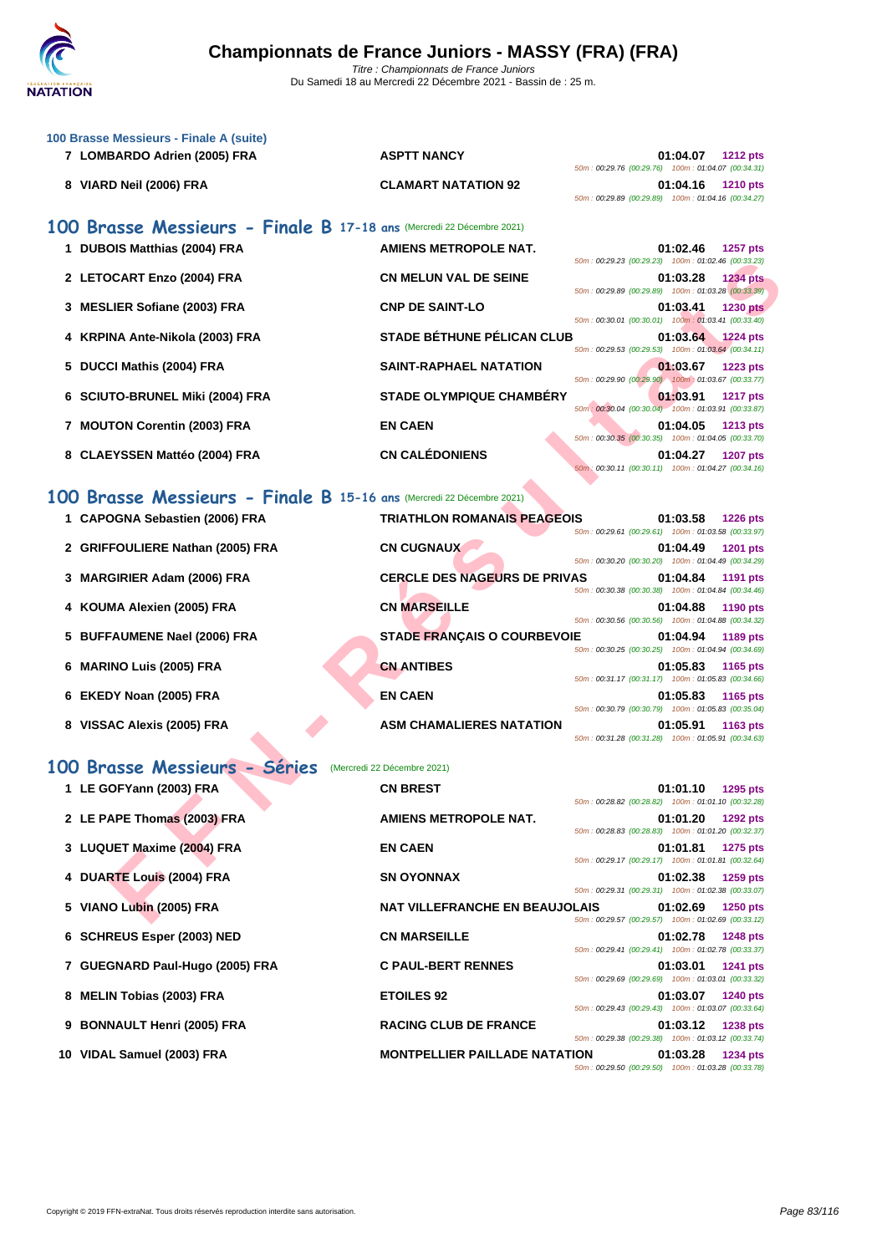

| 100 Brasse Messieurs - Finale A (suite)                               |                                       |                                                                                                                                         |
|-----------------------------------------------------------------------|---------------------------------------|-----------------------------------------------------------------------------------------------------------------------------------------|
| 7 LOMBARDO Adrien (2005) FRA                                          | <b>ASPTT NANCY</b>                    | 01:04.07<br><b>1212 pts</b>                                                                                                             |
| 8 VIARD Neil (2006) FRA                                               | <b>CLAMART NATATION 92</b>            | 50m: 00:29.76 (00:29.76) 100m: 01:04.07 (00:34.31)<br>01:04.16<br><b>1210 pts</b><br>50m: 00:29.89 (00:29.89) 100m: 01:04.16 (00:34.27) |
| 100 Brasse Messieurs - Finale B 17-18 ans (Mercredi 22 Décembre 2021) |                                       |                                                                                                                                         |
| 1 DUBOIS Matthias (2004) FRA                                          | <b>AMIENS METROPOLE NAT.</b>          | 01:02.46<br><b>1257 pts</b><br>50m: 00:29.23 (00:29.23) 100m: 01:02.46 (00:33.23)                                                       |
| 2 LETOCART Enzo (2004) FRA                                            | <b>CN MELUN VAL DE SEINE</b>          | 01:03.28<br><b>1234 pts</b><br>50m: 00:29.89 (00:29.89) 100m: 01:03.28 (00:33.39)                                                       |
| 3 MESLIER Sofiane (2003) FRA                                          | <b>CNP DE SAINT-LO</b>                | 01:03.41<br><b>1230 pts</b>                                                                                                             |
| 4 KRPINA Ante-Nikola (2003) FRA                                       | <b>STADE BÉTHUNE PÉLICAN CLUB</b>     | 50m: 00:30.01 (00:30.01) 100m: 01:03.41 (00:33.40)<br>01:03.64 1224 pts                                                                 |
| 5 DUCCI Mathis (2004) FRA                                             | <b>SAINT-RAPHAEL NATATION</b>         | 50m: 00:29.53 (00:29.53) 100m: 01:03.64 (00:34.11)<br>01:03.67<br><b>1223 pts</b>                                                       |
| 6 SCIUTO-BRUNEL Miki (2004) FRA                                       | <b>STADE OLYMPIQUE CHAMBERY</b>       | 50m: 00:29.90 (00:29.90) 100m: 01:03.67 (00:33.77)<br>01:03.91<br><b>1217 pts</b>                                                       |
| 7 MOUTON Corentin (2003) FRA                                          | <b>EN CAEN</b>                        | 50m : 00:30.04 (00:30.04) 100m : 01:03.91 (00:33.87)<br>01:04.05<br><b>1213 pts</b>                                                     |
| 8 CLAEYSSEN Mattéo (2004) FRA                                         | <b>CN CALÉDONIENS</b>                 | 50m: 00:30.35 (00:30.35) 100m: 01:04.05 (00:33.70)<br>01:04.27<br><b>1207 pts</b>                                                       |
|                                                                       |                                       | 50m: 00:30.11 (00:30.11) 100m: 01:04.27 (00:34.16)                                                                                      |
| 100 Brasse Messieurs - Finale B 15-16 ans (Mercredi 22 Décembre 2021) |                                       |                                                                                                                                         |
| 1 CAPOGNA Sebastien (2006) FRA                                        | <b>TRIATHLON ROMANAIS PEAGEOIS</b>    | 01:03.58<br><b>1226 pts</b><br>50m: 00:29.61 (00:29.61) 100m: 01:03.58 (00:33.97)                                                       |
| 2 GRIFFOULIERE Nathan (2005) FRA                                      | <b>CN CUGNAUX</b>                     | 01:04.49<br>1201 pts<br>50m: 00:30.20 (00:30.20) 100m: 01:04.49 (00:34.29)                                                              |
| <b>MARGIRIER Adam (2006) FRA</b>                                      | <b>CERCLE DES NAGEURS DE PRIVAS</b>   | 01:04.84<br>1191 pts                                                                                                                    |
| 4 KOUMA Alexien (2005) FRA                                            | <b>CN MARSEILLE</b>                   | 50m: 00:30.38 (00:30.38) 100m: 01:04.84 (00:34.46)<br>01:04.88<br>1190 pts                                                              |
| 5 BUFFAUMENE Nael (2006) FRA                                          | <b>STADE FRANÇAIS O COURBEVOIE</b>    | 50m: 00:30.56 (00:30.56) 100m: 01:04.88 (00:34.32)<br>01:04.94<br>1189 pts                                                              |
| <b>MARINO Luis (2005) FRA</b><br>6                                    | <b>CN ANTIBES</b>                     | 50m: 00:30.25 (00:30.25) 100m: 01:04.94 (00:34.69)<br>01:05.83<br>1165 pts                                                              |
| 6 EKEDY Noan (2005) FRA                                               | <b>EN CAEN</b>                        | 50m: 00:31.17 (00:31.17) 100m: 01:05.83 (00:34.66)<br>01:05.83<br>1165 pts                                                              |
| 8 VISSAC Alexis (2005) FRA                                            | <b>ASM CHAMALIERES NATATION</b>       | 50m: 00:30.79 (00:30.79) 100m: 01:05.83 (00:35.04)<br>01:05.91<br><b>1163 pts</b>                                                       |
|                                                                       |                                       | 50m: 00:31.28 (00:31.28) 100m: 01:05.91 (00:34.63)                                                                                      |
| 100 Brasse Messieurs - Séries                                         | (Mercredi 22 Décembre 2021)           |                                                                                                                                         |
| 1 LE GOFYann (2003) FRA                                               | <b>CN BREST</b>                       | 1295 pts<br>01:01.10<br>50m: 00:28.82 (00:28.82) 100m: 01:01.10 (00:32.28)                                                              |
| 2 LE PAPE Thomas (2003) FRA                                           | <b>AMIENS METROPOLE NAT.</b>          | 01:01.20<br>1292 pts                                                                                                                    |
| 3 LUQUET Maxime (2004) FRA                                            | <b>EN CAEN</b>                        | 50m: 00:28.83 (00:28.83) 100m: 01:01.20 (00:32.37)<br>01:01.81<br>1275 pts                                                              |
| 4 DUARTE Louis (2004) FRA                                             | <b>SN OYONNAX</b>                     | 50m: 00:29.17 (00:29.17) 100m: 01:01.81 (00:32.64)<br>01:02.38<br>1259 pts                                                              |
| 5 VIANO Lubin (2005) FRA                                              | <b>NAT VILLEFRANCHE EN BEAUJOLAIS</b> | 50m: 00:29.31 (00:29.31) 100m: 01:02.38 (00:33.07)<br>01:02.69<br><b>1250 pts</b>                                                       |
|                                                                       |                                       | 50m: 00:29.57 (00:29.57) 100m: 01:02.69 (00:33.12)                                                                                      |

## **100 Brasse Messieurs - Finale B 15-16 ans** (Mercredi 22 Décembre 2021)

| 1 CAPOGNA Sebastien (2006) FRA   | <b>TRIATHLON ROMANAIS PEAGEOIS</b>  | 01:03.58<br><b>1226 pts</b><br>50m: 00:29.61 (00:29.61) 100m: 01:03.58 (00:33.97) |
|----------------------------------|-------------------------------------|-----------------------------------------------------------------------------------|
| 2 GRIFFOULIERE Nathan (2005) FRA | <b>CN CUGNAUX</b>                   | 01:04.49<br><b>1201 pts</b><br>50m: 00:30.20 (00:30.20) 100m: 01:04.49 (00:34.29) |
| 3 MARGIRIER Adam (2006) FRA      | <b>CERCLE DES NAGEURS DE PRIVAS</b> | 01:04.84<br>1191 pts<br>50m: 00:30.38 (00:30.38) 100m: 01:04.84 (00:34.46)        |
| 4 KOUMA Alexien (2005) FRA       | <b>CN MARSEILLE</b>                 | 01:04.88<br>1190 pts<br>50m: 00:30.56 (00:30.56) 100m: 01:04.88 (00:34.32)        |
| 5 BUFFAUMENE Nael (2006) FRA     | <b>STADE FRANÇAIS O COURBEVOIE</b>  | 01:04.94<br>1189 pts<br>50m: 00:30.25 (00:30.25) 100m: 01:04.94 (00:34.69)        |
| 6 MARINO Luis (2005) FRA         | <b>CN ANTIBES</b>                   | 01:05.83<br>1165 pts<br>50m: 00:31.17 (00:31.17) 100m: 01:05.83 (00:34.66)        |
| 6 EKEDY Noan (2005) FRA          | <b>EN CAEN</b>                      | 01:05.83<br>1165 pts<br>50m: 00:30.79 (00:30.79) 100m: 01:05.83 (00:35.04)        |
| 8 VISSAC Alexis (2005) FRA       | <b>ASM CHAMALIERES NATATION</b>     | 01:05.91<br>1163 pts<br>50m: 00:31.28 (00:31.28) 100m: 01:05.91 (00:34.63)        |

# **100 Brasse Messieurs - Séries** (Mercredi 22 Décembre 2021)

| 1 LE GOFYann (2003) FRA         | <b>CN BREST</b>                       | 50m: 00:28.82 (00:28.82) 100m: 01:01.10 (00:32.28) | 01:01.10 | 1295 pts        |
|---------------------------------|---------------------------------------|----------------------------------------------------|----------|-----------------|
| 2 LE PAPE Thomas (2003) FRA     | AMIENS METROPOLE NAT.                 | 50m: 00:28.83 (00:28.83) 100m: 01:01.20 (00:32.37) | 01:01.20 | 1292 pts        |
| 3 LUQUET Maxime (2004) FRA      | <b>EN CAEN</b>                        | 50m: 00:29.17 (00:29.17) 100m: 01:01.81 (00:32.64) | 01:01.81 | 1275 pts        |
| 4 DUARTE Louis (2004) FRA       | <b>SN OYONNAX</b>                     | 50m: 00:29.31 (00:29.31) 100m: 01:02.38 (00:33.07) | 01:02.38 | 1259 pts        |
| 5 VIANO Lubin (2005) FRA        | <b>NAT VILLEFRANCHE EN BEAUJOLAIS</b> | 50m: 00:29.57 (00:29.57) 100m: 01:02.69 (00:33.12) | 01:02.69 | <b>1250 pts</b> |
| 6 SCHREUS Esper (2003) NED      | <b>CN MARSEILLE</b>                   | 50m: 00:29.41 (00:29.41) 100m: 01:02.78 (00:33.37) | 01:02.78 | <b>1248 pts</b> |
| 7 GUEGNARD Paul-Hugo (2005) FRA | <b>C PAUL-BERT RENNES</b>             | 50m: 00:29.69 (00:29.69) 100m: 01:03.01 (00:33.32) | 01:03.01 | <b>1241 pts</b> |
| 8 MELIN Tobias (2003) FRA       | <b>ETOILES 92</b>                     | 50m: 00:29.43 (00:29.43) 100m: 01:03.07 (00:33.64) | 01:03.07 | <b>1240 pts</b> |
| 9 BONNAULT Henri (2005) FRA     | <b>RACING CLUB DE FRANCE</b>          | 50m: 00:29.38 (00:29.38) 100m: 01:03.12 (00:33.74) | 01:03.12 | <b>1238 pts</b> |
| 10 VIDAL Samuel (2003) FRA      | <b>MONTPELLIER PAILLADE NATATION</b>  | 50m: 00:29.50 (00:29.50) 100m: 01:03.28 (00:33.78) | 01:03.28 | <b>1234 pts</b> |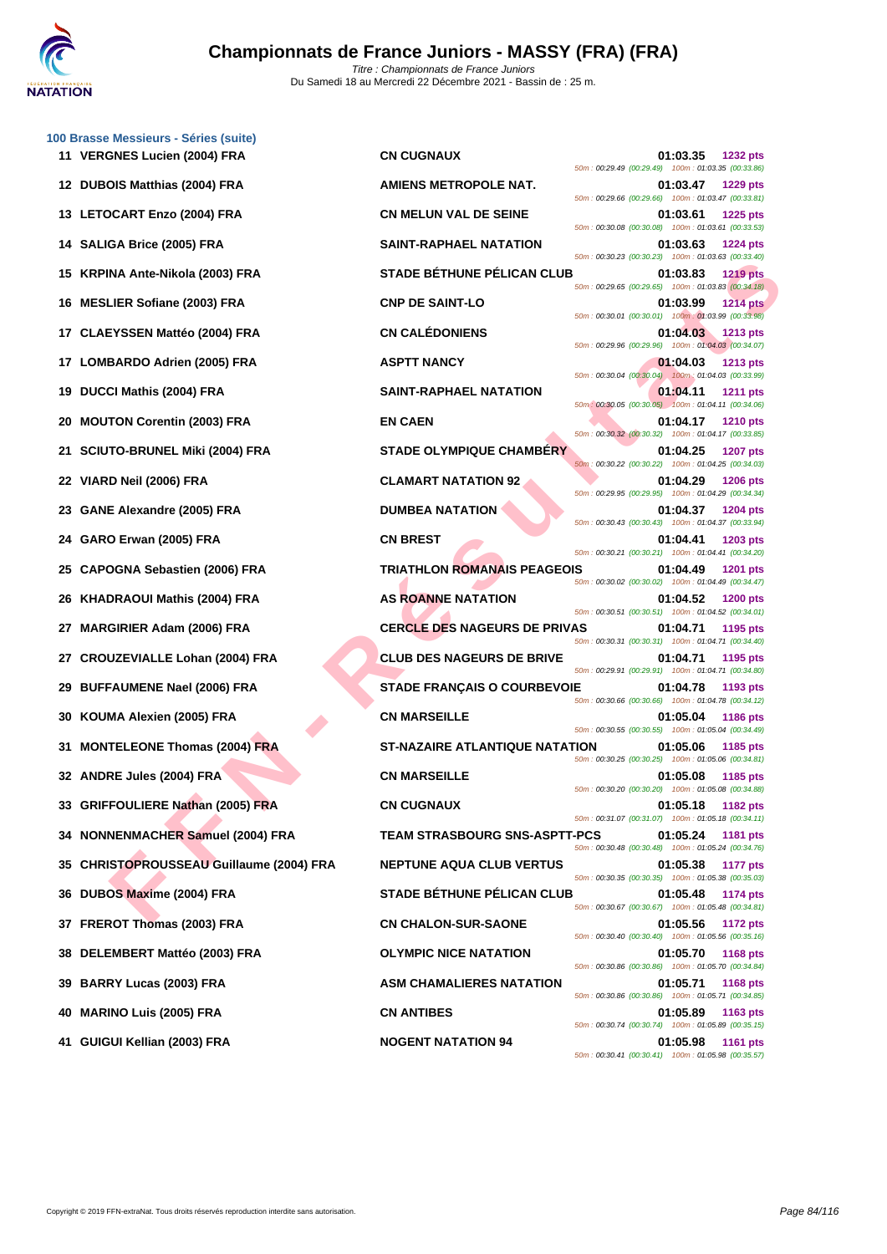

|    | 100 Brasse Messieurs - Séries (suite)<br>11 VERGNES Lucien (2004) FRA | <b>CN CUGNAUX</b>                     | 01:03.35<br><b>1232 pts</b>                                                                                                      |
|----|-----------------------------------------------------------------------|---------------------------------------|----------------------------------------------------------------------------------------------------------------------------------|
|    | 12 DUBOIS Matthias (2004) FRA                                         | <b>AMIENS METROPOLE NAT.</b>          | 50m: 00:29.49 (00:29.49) 100m: 01:03.35 (00:33.86)<br>01:03.47<br>1229 pts                                                       |
|    | 13 LETOCART Enzo (2004) FRA                                           | <b>CN MELUN VAL DE SEINE</b>          | 50m: 00:29.66 (00:29.66) 100m: 01:03.47 (00:33.81)<br>01:03.61<br>1225 pts                                                       |
| 14 | SALIGA Brice (2005) FRA                                               | <b>SAINT-RAPHAEL NATATION</b>         | 50m: 00:30.08 (00:30.08) 100m: 01:03.61 (00:33.53)<br>01:03.63<br><b>1224 pts</b>                                                |
| 15 | KRPINA Ante-Nikola (2003) FRA                                         | <b>STADE BÉTHUNE PÉLICAN CLUB</b>     | 50m: 00:30.23 (00:30.23) 100m: 01:03.63 (00:33.40)<br>01:03.83<br><b>1219 pts</b>                                                |
| 16 | <b>MESLIER Sofiane (2003) FRA</b>                                     | <b>CNP DE SAINT-LO</b>                | 50m: 00:29.65 (00:29.65) 100m: 01:03.83 (00:34.18)<br>01:03.99<br><b>1214 pts</b>                                                |
| 17 | <b>CLAEYSSEN Mattéo (2004) FRA</b>                                    | <b>CN CALÉDONIENS</b>                 | 50m: 00:30.01 (00:30.01) 100m: 01:03.99 (00:33.98)<br>01:04.03<br>1213 pts                                                       |
| 17 | LOMBARDO Adrien (2005) FRA                                            | <b>ASPTT NANCY</b>                    | 50m : 00:29.96 (00:29.96) 100m : 01:04.03 (00:34.07)<br>01:04.03<br><b>1213 pts</b>                                              |
| 19 | DUCCI Mathis (2004) FRA                                               | <b>SAINT-RAPHAEL NATATION</b>         | 50m: 00:30.04 (00:30.04) 100m: 01:04.03 (00:33.99)<br>01:04.11<br><b>1211 pts</b>                                                |
| 20 | <b>MOUTON Corentin (2003) FRA</b>                                     | <b>EN CAEN</b>                        | 50m: 00:30.05 (00:30.05) 100m: 01:04.11 (00:34.06)<br>01:04.17<br><b>1210 pts</b>                                                |
| 21 | <b>SCIUTO-BRUNEL Miki (2004) FRA</b>                                  | <b>STADE OLYMPIQUE CHAMBÉRY</b>       | 50m: 00:30.32 (00:30.32) 100m: 01:04.17 (00:33.85)<br>01:04.25<br><b>1207 pts</b>                                                |
| 22 | VIARD Neil (2006) FRA                                                 | <b>CLAMART NATATION 92</b>            | 50m: 00:30.22 (00:30.22) 100m: 01:04.25 (00:34.03)<br>01:04.29<br><b>1206 pts</b>                                                |
|    | <b>GANE Alexandre (2005) FRA</b>                                      | <b>DUMBEA NATATION</b>                | 50m: 00:29.95 (00:29.95) 100m: 01:04.29 (00:34.34)<br>01:04.37<br>1204 pts                                                       |
| 24 | GARO Erwan (2005) FRA                                                 | <b>CN BREST</b>                       | 50m: 00:30.43 (00:30.43) 100m: 01:04.37 (00:33.94)<br>01:04.41<br><b>1203 pts</b>                                                |
| 25 | <b>CAPOGNA Sebastien (2006) FRA</b>                                   | <b>TRIATHLON ROMANAIS PEAGEOIS</b>    | 50m: 00:30.21 (00:30.21) 100m: 01:04.41 (00:34.20)<br>01:04.49<br><b>1201 pts</b>                                                |
| 26 | KHADRAOUI Mathis (2004) FRA                                           | <b>AS ROANNE NATATION</b>             | 50m: 00:30.02 (00:30.02) 100m: 01:04.49 (00:34.47)<br>01:04.52<br><b>1200 pts</b>                                                |
| 27 | <b>MARGIRIER Adam (2006) FRA</b>                                      | <b>CERCLE DES NAGEURS DE PRIVAS</b>   | 50m: 00:30.51 (00:30.51) 100m: 01:04.52 (00:34.01)<br>01:04.71<br>1195 pts<br>50m: 00:30.31 (00:30.31) 100m: 01:04.71 (00:34.40) |
| 27 | <b>CROUZEVIALLE Lohan (2004) FRA</b>                                  | <b>CLUB DES NAGEURS DE BRIVE</b>      | 01:04.71<br>1195 pts<br>50m: 00:29.91 (00:29.91) 100m: 01:04.71 (00:34.80)                                                       |
| 29 | <b>BUFFAUMENE Nael (2006) FRA</b>                                     | <b>STADE FRANÇAIS O COURBEVOIE</b>    | 01:04.78<br>1193 pts<br>50m: 00:30.66 (00:30.66) 100m: 01:04.78 (00:34.12)                                                       |
| 30 | KOUMA Alexien (2005) FRA                                              | <b>CN MARSEILLE</b>                   | 01:05.04<br><b>1186 pts</b><br>50m: 00:30.55 (00:30.55) 100m: 01:05.04 (00:34.49)                                                |
| 31 | <b>MONTELEONE Thomas (2004) FRA</b>                                   | <b>ST-NAZAIRE ATLANTIQUE NATATION</b> | 01:05.06<br>1185 pts<br>50m: 00:30.25 (00:30.25) 100m: 01:05.06 (00:34.81)                                                       |
|    | 32 ANDRE Jules (2004) FRA                                             | <b>CN MARSEILLE</b>                   | 01:05.08<br>1185 pts<br>50m: 00:30.20 (00:30.20) 100m: 01:05.08 (00:34.88)                                                       |
|    | 33 GRIFFOULIERE Nathan (2005) FRA                                     | <b>CN CUGNAUX</b>                     | 01:05.18<br>1182 pts<br>50m: 00:31.07 (00:31.07) 100m: 01:05.18 (00:34.11)                                                       |
|    | 34 NONNENMACHER Samuel (2004) FRA                                     | <b>TEAM STRASBOURG SNS-ASPTT-PCS</b>  | 01:05.24<br>1181 pts<br>50m: 00:30.48 (00:30.48) 100m: 01:05.24 (00:34.76)                                                       |
| 35 | <b>CHRISTOPROUSSEAU Guillaume (2004) FRA</b>                          | <b>NEPTUNE AQUA CLUB VERTUS</b>       | 01:05.38<br>1177 pts<br>50m: 00:30.35 (00:30.35) 100m: 01:05.38 (00:35.03)                                                       |
| 36 | DUBOS Maxime (2004) FRA                                               | <b>STADE BÉTHUNE PÉLICAN CLUB</b>     | 01:05.48<br>1174 pts<br>50m: 00:30.67 (00:30.67) 100m: 01:05.48 (00:34.81)                                                       |
| 37 | <b>FREROT Thomas (2003) FRA</b>                                       | <b>CN CHALON-SUR-SAONE</b>            | 01:05.56<br><b>1172 pts</b><br>50m: 00:30.40 (00:30.40) 100m: 01:05.56 (00:35.16)                                                |
| 38 | DELEMBERT Mattéo (2003) FRA                                           | <b>OLYMPIC NICE NATATION</b>          | 01:05.70<br><b>1168 pts</b><br>50m: 00:30.86 (00:30.86) 100m: 01:05.70 (00:34.84)                                                |
| 39 | <b>BARRY Lucas (2003) FRA</b>                                         | <b>ASM CHAMALIERES NATATION</b>       | 01:05.71<br><b>1168 pts</b><br>50m: 00:30.86 (00:30.86) 100m: 01:05.71 (00:34.85)                                                |
| 40 | <b>MARINO Luis (2005) FRA</b>                                         | <b>CN ANTIBES</b>                     | 01:05.89<br>1163 pts<br>50m: 00:30.74 (00:30.74) 100m: 01:05.89 (00:35.15)                                                       |
|    | GUIGUI Kellian (2003) FRA                                             | <b>NOGENT NATATION 94</b>             | 01:05.98<br><b>1161 pts</b><br>50m: 00:30.41 (00:30.41) 100m: 01:05.98 (00:35.57)                                                |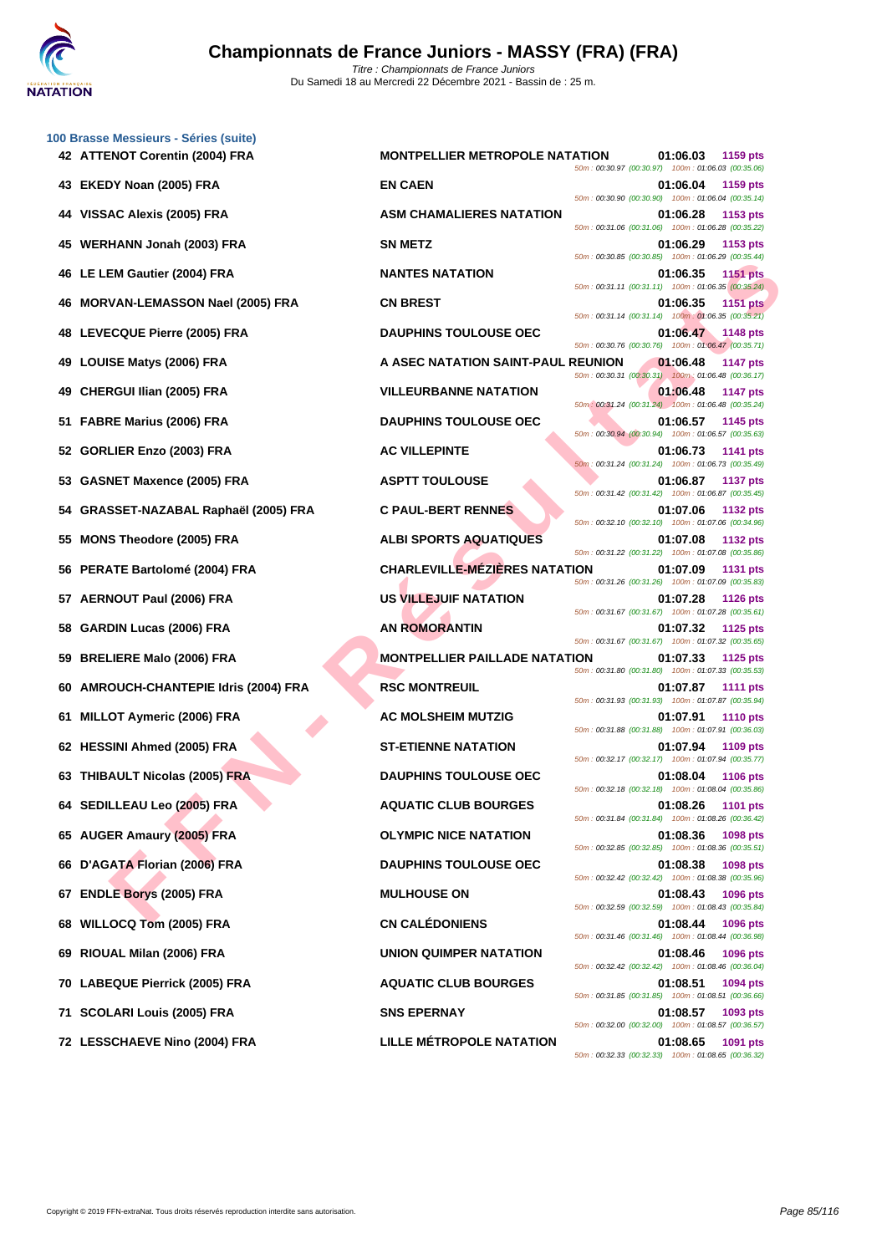|     | 100 Brasse Messieurs - Séries (suite)<br>42 ATTENOT Corentin (2004) FRA | <b>MONTPELLIER METROPOLE NATATION</b> | 01:06.03                                                                                                             | 1159 pts        |
|-----|-------------------------------------------------------------------------|---------------------------------------|----------------------------------------------------------------------------------------------------------------------|-----------------|
|     | 43 EKEDY Noan (2005) FRA                                                | <b>EN CAEN</b>                        | 50m: 00:30.97 (00:30.97) 100m: 01:06.03 (00:35.06)<br>01:06.04                                                       | 1159 pts        |
| 44  | VISSAC Alexis (2005) FRA                                                | <b>ASM CHAMALIERES NATATION</b>       | 50m: 00:30.90 (00:30.90) 100m: 01:06.04 (00:35.14)<br>01:06.28                                                       | 1153 pts        |
| 45  | WERHANN Jonah (2003) FRA                                                | <b>SN METZ</b>                        | 50m: 00:31.06 (00:31.06) 100m: 01:06.28 (00:35.22)<br>01:06.29                                                       | 1153 pts        |
| 46  | LE LEM Gautier (2004) FRA                                               | <b>NANTES NATATION</b>                | 50m: 00:30.85 (00:30.85) 100m: 01:06.29 (00:35.44)<br>01:06.35                                                       | <b>1151 pts</b> |
|     | MORVAN-LEMASSON Nael (2005) FRA                                         | <b>CN BREST</b>                       | 50m: 00:31.11 (00:31.11) 100m: 01:06.35 (00:35.24)<br>01:06.35                                                       | <b>1151 pts</b> |
| 48  | LEVECQUE Pierre (2005) FRA                                              | <b>DAUPHINS TOULOUSE OEC</b>          | 50m: 00:31.14 (00:31.14) 100m: 01:06.35 (00:35.21)<br>01:06.47                                                       | 1148 pts        |
| 49  | <b>LOUISE Matys (2006) FRA</b>                                          | A ASEC NATATION SAINT-PAUL REUNION    | 50m: 00:30.76 (00:30.76) 100m: 01:06.47 (00:35.71)<br>01:06.48                                                       | <b>1147 pts</b> |
| 49  | CHERGUI Ilian (2005) FRA                                                | <b>VILLEURBANNE NATATION</b>          | 50m: 00:30.31 (00:30.31) 100m: 01:06.48 (00:36.17)<br>01:06.48<br>50m: 00:31.24 (00:31.24) 100m: 01:06.48 (00:35.24) | <b>1147 pts</b> |
| 51  | <b>FABRE Marius (2006) FRA</b>                                          | <b>DAUPHINS TOULOUSE OEC</b>          | 01:06.57<br>50m: 00:30.94 (00:30.94) 100m: 01:06.57 (00:35.63)                                                       | 1145 pts        |
| 52  | GORLIER Enzo (2003) FRA                                                 | <b>AC VILLEPINTE</b>                  | 01:06.73<br>50m: 00:31.24 (00:31.24) 100m: 01:06.73 (00:35.49)                                                       | 1141 pts        |
| 53  | <b>GASNET Maxence (2005) FRA</b>                                        | <b>ASPTT TOULOUSE</b>                 | 01:06.87<br>50m: 00:31.42 (00:31.42) 100m: 01:06.87 (00:35.45)                                                       | <b>1137 pts</b> |
| 54  | GRASSET-NAZABAL Raphaël (2005) FRA                                      | <b>C PAUL-BERT RENNES</b>             | 01:07.06<br>50m: 00:32.10 (00:32.10) 100m: 01:07.06 (00:34.96)                                                       | <b>1132 pts</b> |
| 55  | <b>MONS Theodore (2005) FRA</b>                                         | <b>ALBI SPORTS AQUATIQUES</b>         | 01:07.08<br>50m: 00:31.22 (00:31.22) 100m: 01:07.08 (00:35.86)                                                       | 1132 pts        |
| 56. | PERATE Bartolomé (2004) FRA                                             | <b>CHARLEVILLE-MÉZIÈRES NATATION</b>  | 01:07.09<br>50m: 00:31.26 (00:31.26) 100m: 01:07.09 (00:35.83)                                                       | 1131 pts        |
|     | 57 AERNOUT Paul (2006) FRA                                              | <b>US VILLEJUIF NATATION</b>          | 01:07.28<br>50m: 00:31.67 (00:31.67) 100m: 01:07.28 (00:35.61)                                                       | <b>1126 pts</b> |
| 58  | <b>GARDIN Lucas (2006) FRA</b>                                          | <b>AN ROMORANTIN</b>                  | 01:07.32<br>50m: 00:31.67 (00:31.67) 100m: 01:07.32 (00:35.65)                                                       | 1125 pts        |
| 59  | <b>BRELIERE Malo (2006) FRA</b>                                         | <b>MONTPELLIER PAILLADE NATATION</b>  | 01:07.33<br>50m: 00:31.80 (00:31.80) 100m: 01:07.33 (00:35.53)                                                       | 1125 pts        |
| 60  | AMROUCH-CHANTEPIE Idris (2004) FRA                                      | <b>RSC MONTREUIL</b>                  | 01:07.87<br>50m: 00:31.93 (00:31.93) 100m: 01:07.87 (00:35.94)                                                       | <b>1111 pts</b> |
| 61  | <b>MILLOT Aymeric (2006) FRA</b>                                        | <b>AC MOLSHEIM MUTZIG</b>             | 01:07.91<br>50m: 00:31.88 (00:31.88) 100m: 01:07.91 (00:36.03)                                                       | <b>1110 pts</b> |
|     | 62 HESSINI Ahmed (2005) FRA                                             | <b>ST-ETIENNE NATATION</b>            | 01:07.94<br>50m: 00:32.17 (00:32.17) 100m: 01:07.94 (00:35.77)                                                       | 1109 pts        |
|     | 63 THIBAULT Nicolas (2005) FRA                                          | <b>DAUPHINS TOULOUSE OEC</b>          | 01:08.04<br>50m: 00:32.18 (00:32.18) 100m: 01:08.04 (00:35.86)                                                       | 1106 pts        |
|     | 64 SEDILLEAU Leo (2005) FRA                                             | <b>AQUATIC CLUB BOURGES</b>           | 01:08.26<br>50m: 00:31.84 (00:31.84) 100m: 01:08.26 (00:36.42)                                                       | <b>1101 pts</b> |
|     | 65 AUGER Amaury (2005) FRA                                              | <b>OLYMPIC NICE NATATION</b>          | 01:08.36<br>50m: 00:32.85 (00:32.85) 100m: 01:08.36 (00:35.51)                                                       | 1098 pts        |
|     | 66 D'AGATA Florian (2006) FRA                                           | <b>DAUPHINS TOULOUSE OEC</b>          | 01:08.38<br>50m: 00:32.42 (00:32.42) 100m: 01:08.38 (00:35.96)                                                       | 1098 pts        |
| 67  | <b>ENDLE Borys (2005) FRA</b>                                           | <b>MULHOUSE ON</b>                    | 01:08.43<br>50m: 00:32.59 (00:32.59) 100m: 01:08.43 (00:35.84)                                                       | 1096 pts        |
| 68  | <b>WILLOCQ Tom (2005) FRA</b>                                           | <b>CN CALÉDONIENS</b>                 | 01:08.44<br>50m: 00:31.46 (00:31.46) 100m: 01:08.44 (00:36.98)                                                       | 1096 pts        |
| 69  | RIOUAL Milan (2006) FRA                                                 | UNION QUIMPER NATATION                | 01:08.46<br>50m: 00:32.42 (00:32.42) 100m: 01:08.46 (00:36.04)                                                       | 1096 pts        |
| 70  | <b>LABEQUE Pierrick (2005) FRA</b>                                      | <b>AQUATIC CLUB BOURGES</b>           | 01:08.51<br>50m: 00:31.85 (00:31.85) 100m: 01:08.51 (00:36.66)                                                       | 1094 pts        |
| 71  | <b>SCOLARI Louis (2005) FRA</b>                                         | <b>SNS EPERNAY</b>                    | 01:08.57<br>50m: 00:32.00 (00:32.00) 100m: 01:08.57 (00:36.57)                                                       | 1093 pts        |
|     | 72 LESSCHAEVE Nino (2004) FRA                                           | <b>LILLE MÉTROPOLE NATATION</b>       | 01:08.65<br>50m: 00:32.33 (00:32.33) 100m: 01:08.65 (00:36.32)                                                       | 1091 pts        |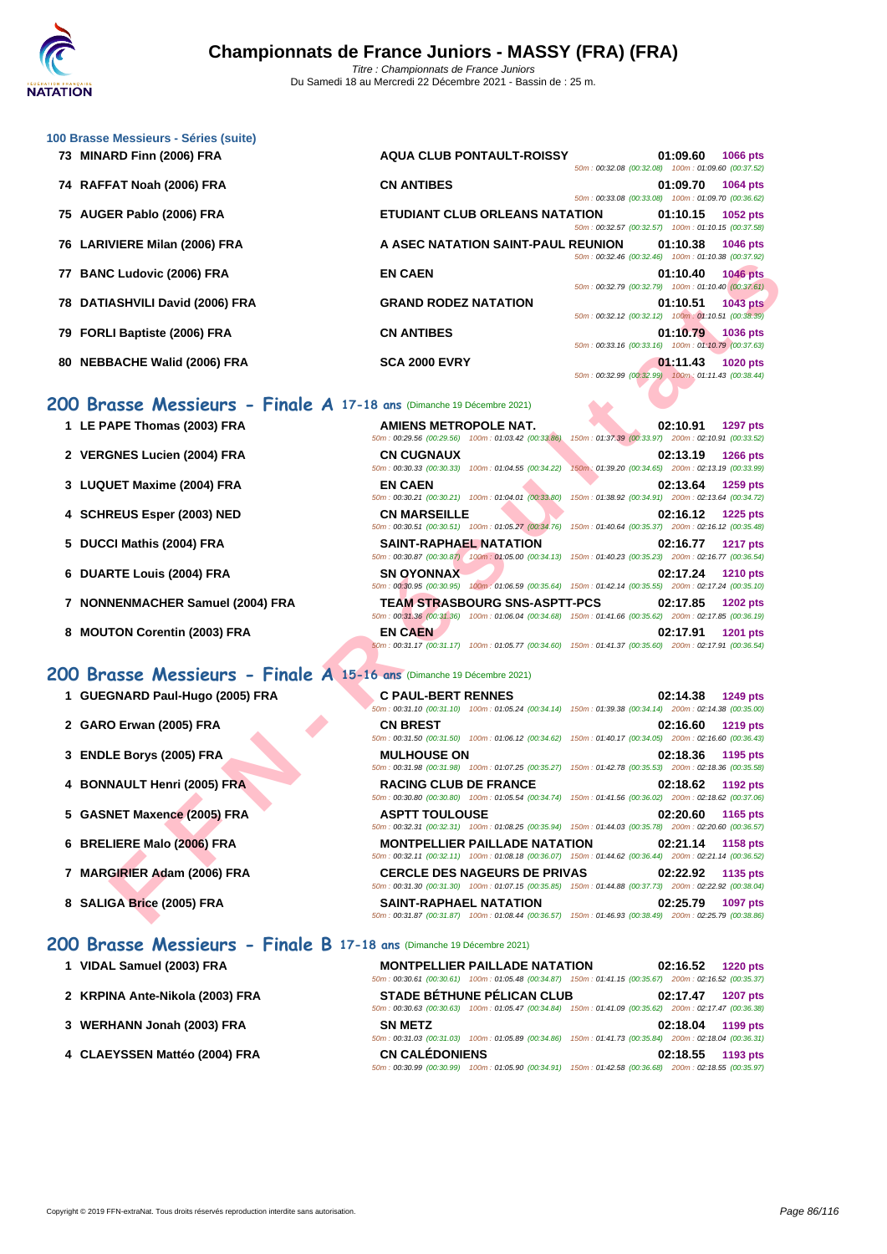

| 73 MINARD Finn (2006) FRA                                             | <b>AQUA CLUB PONTAULT-ROISSY</b>                     | 50m: 00:32.08 (00:32.08) 100m: 01:09.60 (00:37.52) | 01:09.60          | <b>1066 pts</b> |
|-----------------------------------------------------------------------|------------------------------------------------------|----------------------------------------------------|-------------------|-----------------|
| 74 RAFFAT Noah (2006) FRA                                             | <b>CN ANTIBES</b>                                    | 50m: 00:33.08 (00:33.08) 100m: 01:09.70 (00:36.62) | 01:09.70 1064 pts |                 |
| 75 AUGER Pablo (2006) FRA                                             | ETUDIANT CLUB ORLEANS NATATION                       | 50m: 00:32.57 (00:32.57) 100m: 01:10.15 (00:37.58) | 01:10.15 1052 pts |                 |
| 76 LARIVIERE Milan (2006) FRA                                         | A ASEC NATATION SAINT-PAUL REUNION 01:10.38 1046 pts | 50m: 00:32.46 (00:32.46) 100m: 01:10.38 (00:37.92) |                   |                 |
| 77 BANC Ludovic (2006) FRA                                            | <b>EN CAEN</b>                                       | 50m: 00:32.79 (00:32.79) 100m: 01:10.40 (00:37.61) | 01:10.40 1046 pts |                 |
| 78 DATIASHVILI David (2006) FRA                                       | <b>GRAND RODEZ NATATION</b>                          | 50m: 00:32.12 (00:32.12) 100m: 01:10.51 (00:38.39) | 01:10.51 1043 pts |                 |
| 79 FORLI Baptiste (2006) FRA                                          | <b>CN ANTIBES</b>                                    | 50m: 00:33.16 (00:33.16) 100m: 01:10.79 (00:37.63) | 01:10.79          | <b>1036 pts</b> |
| 80 NEBBACHE Walid (2006) FRA                                          | <b>SCA 2000 EVRY</b>                                 | 50m: 00:32.99 (00:32.99) 100m: 01:11.43 (00:38.44) | 01:11.43          | <b>1020 pts</b> |
| 200 Brasse Messieurs - Finale A 17-18 ans (Dimanche 19 Décembre 2021) |                                                      |                                                    |                   |                 |

## **200 Brasse Messieurs - Finale A 17-18 ans** (Dimanche 19 Décembre 2021)

**1** LE PAPE Thomas (2003) FRA

**[100 Brass](http://www.ffnatation.fr/webffn/index.php)e Messieurs - Séries (suite)**

- 2 **VERGNES Lucien (2004) FRA**
- **3** LUQUET Maxime (2004) FRA
- **4 SCHREUS Esper (2003) NED**
- **5 DUCCI Mathis (2004) FRA**
- **6 DUARTE Louis (2004) FRA**
- **7 NONNENMACHER Samuel (2004) FRA**
- **8 MOUTON Corentin (2003) FRA**

## **200 Brasse Messieurs - Finale A 15-16 ans** (Dimanche 19 Décembre 2021)

- **1 GUEGNARD Paul-Hugo (2005) FRA**
- **2 GARO Erwan (2005) FRA**
- **3 ENDLE Borys (2005) FRA**
- **4 BONNAULT Henri (2005) FRA**
- **5 GASNET Maxence (2005) FRA**
- **6 BRELIERE Malo (2006) FRA**
- **7 MARGIRIER Adam (2006) FRA**
- **8 SALIGA Brice (2005) FRA SAINT-RAPHAEL NATATION 02:25.79 1097 pts**

## **200 Brasse Messieurs - Finale B 17-18 ans** (Dimanche 19 Décembre 2021)

**1 VIDAL Samuel (2003) FRA MONTPELLIER PAILLADE NATATION 02:16.52 1220 pts** 50m : 00:30.61 (00:30.61) 100m : 01:05.48 (00:34.87) 150m : 01:41.15 (00:35.67) 200m : 02:16.52 (00:35.37) **2 KRPINA Ante-Nikola (2003) FRA STADE BÉTHUNE PÉLICAN CLUB 02:17.47 1207 pts** 50m : 00:30.63 (00:30.63) 100m : 01:05.47 (00:34.84) 150m : 01:41.09 (00:35.62) 200m : 02:17.47 (00:36.38) **3 [WERHANN Jonah \(2003\) FRA](http://www.ffnatation.fr/webffn/resultats.php?idact=nat&go=epr&idcpt=72221&idepr=73) SN METZ 02:18.04 1199 pts** 50m : 00:31.03 (00:31.03) 100m : 01:05.89 (00:34.86) 150m : 01:41.73 (00:35.84) 200m : 02:18.04 (00:36.31) **4 CLAEYSSEN Mattéo (2004) FRA CN CALÉDONIENS 02:18.55 1193 pts** 50m : 00:30.99 (00:30.99) 100m : 01:05.90 (00:34.91) 150m : 01:42.58 (00:36.68) 200m : 02:18.55 (00:35.97)

|                                                                 |                                                                         | JUIN. 00.JZ.40 (00.JZ.40) TUUM. 01.10.JU (00.J7.JZ)                                                                                       |
|-----------------------------------------------------------------|-------------------------------------------------------------------------|-------------------------------------------------------------------------------------------------------------------------------------------|
| C Ludovic (2006) FRA                                            | <b>EN CAEN</b>                                                          | 01:10.40<br><b>1046 pts</b><br>50m: 00:32.79 (00:32.79) 100m: 01:10.40 (00:37.61)                                                         |
| <b>ASHVILI David (2006) FRA</b>                                 | <b>GRAND RODEZ NATATION</b>                                             | 01:10.51<br><b>1043 pts</b><br>50m: 00:32.12 (00:32.12) 100m: 01:10.51 (00:38.39)                                                         |
| LI Baptiste (2006) FRA                                          | <b>CN ANTIBES</b>                                                       | 01:10.79<br>1036 pts<br>50m: 00:33.16 (00:33.16) 100m: 01:10.79 (00:37.63)                                                                |
| <b>BACHE Walid (2006) FRA</b>                                   | <b>SCA 2000 EVRY</b>                                                    | 01:11.43<br><b>1020 pts</b><br>50m: 00:32.99 (00:32.99) 100m: 01:11.43 (00:38.44)                                                         |
| asse Messieurs - Finale A 17-18 ans (Dimanche 19 Décembre 2021) |                                                                         |                                                                                                                                           |
| APE Thomas (2003) FRA                                           | <b>AMIENS METROPOLE NAT.</b>                                            | 02:10.91<br><b>1297 pts</b><br>50m : 00:29.56 (00:29.56) 100m : 01:03.42 (00:33.86) 150m : 01:37.39 (00:33.97) 200m : 02:10.91 (00:33.52) |
| <b>GNES Lucien (2004) FRA</b>                                   | <b>CN CUGNAUX</b><br>50m: 00:30.33 (00:30.33) 100m: 01:04.55 (00:34.22) | 02:13.19<br>1266 pts<br>150m: 01:39.20 (00:34.65) 200m: 02:13.19 (00:33.99)                                                               |
| UET Maxime (2004) FRA                                           | <b>EN CAEN</b>                                                          | 02:13.64<br>1259 pts<br>50m: 00:30.21 (00:30.21) 100m: 01:04.01 (00:33.80) 150m: 01:38.92 (00:34.91) 200m: 02:13.64 (00:34.72)            |
| REUS Esper (2003) NED                                           | <b>CN MARSEILLE</b>                                                     | 02:16.12<br><b>1225 pts</b><br>50m: 00:30.51 (00:30.51) 100m: 01:05.27 (00:34.76) 150m: 01:40.64 (00:35.37) 200m: 02:16.12 (00:35.48)     |
| CI Mathis (2004) FRA                                            | <b>SAINT-RAPHAEL NATATION</b>                                           | 02:16.77<br><b>1217 pts</b><br>50m : 00:30.87 (00:30.87) 100m : 01:05.00 (00:34.13) 150m : 01:40.23 (00:35.23) 200m : 02:16.77 (00:36.54) |
| RTE Louis (2004) FRA                                            | <b>SN OYONNAX</b>                                                       | 02:17.24<br><b>1210 pts</b><br>50m: 00:30.95 (00:30.95) 100m: 01:06.59 (00:35.64) 150m: 01:42.14 (00:35.55) 200m: 02:17.24 (00:35.10)     |
| NENMACHER Samuel (2004) FRA                                     | <b>TEAM STRASBOURG SNS-ASPTT-PCS</b>                                    | 02:17.85<br><b>1202 pts</b><br>50m : 00:31.36 (00:31.36) 100m : 01:06.04 (00:34.68) 150m : 01:41.66 (00:35.62) 200m : 02:17.85 (00:36.19) |
| TON Corentin (2003) FRA                                         | <b>EN CAEN</b>                                                          | 02:17.91<br><b>1201 pts</b><br>50m: 00:31.17 (00:31.17) 100m: 01:05.77 (00:34.60) 150m: 01:41.37 (00:35.60) 200m: 02:17.91 (00:36.54)     |
| asse Messieurs - Finale A 15-16 ans (Dimanche 19 Décembre 2021) |                                                                         |                                                                                                                                           |
| GNARD Paul-Hugo (2005) FRA                                      | <b>C PAUL-BERT RENNES</b>                                               | 02:14.38<br><b>1249 pts</b><br>50m: 00:31.10 (00:31.10) 100m: 01:05.24 (00:34.14) 150m: 01:39.38 (00:34.14) 200m: 02:14.38 (00:35.00)     |
| O Erwan (2005) FRA                                              | <b>CN BREST</b>                                                         | 02:16.60<br><b>1219 pts</b><br>50m : 00:31.50 (00:31.50) 100m : 01:06.12 (00:34.62) 150m : 01:40.17 (00:34.05) 200m : 02:16.60 (00:36.43) |
| LE Borys (2005) FRA                                             | <b>MULHOUSE ON</b>                                                      | 02:18.36<br>1195 pts<br>50m: 00:31.98 (00:31.98) 100m: 01:07.25 (00:35.27) 150m: 01:42.78 (00:35.53) 200m: 02:18.36 (00:35.58)            |
| <b>NAULT Henri (2005) FRA</b>                                   | <b>RACING CLUB DE FRANCE</b>                                            | 02:18.62<br>1192 pts<br>50m : 00:30.80 (00:30.80) 100m : 01:05.54 (00:34.74) 150m : 01:41.56 (00:36.02) 200m : 02:18.62 (00:37.06)        |
| NET Maxence (2005) FRA                                          | <b>ASPTT TOULOUSE</b>                                                   | 02:20.60<br>1165 pts<br>50m: 00:32.31 (00:32.31) 100m: 01:08.25 (00:35.94) 150m: 01:44.03 (00:35.78) 200m: 02:20.60 (00:36.57)            |
| LIERE Malo (2006) FRA                                           | <b>MONTPELLIER PAILLADE NATATION</b>                                    | 02:21.14<br>1158 pts<br>50m: 00:32.11 (00:32.11) 100m: 01:08.18 (00:36.07) 150m: 01:44.62 (00:36.44) 200m: 02:21.14 (00:36.52)            |
| GIRIER Adam (2006) FRA                                          | <b>CERCLE DES NAGEURS DE PRIVAS</b>                                     | 02:22.92<br>1135 pts<br>50m: 00:31.30 (00:31.30) 100m: 01:07.15 (00:35.85) 150m: 01:44.88 (00:37.73) 200m: 02:22.92 (00:38.04)            |
| GA Brice (2005) FRA                                             | <b>SAINT-RAPHAEL NATATION</b>                                           | 02:25.79<br>1097 pts<br>50m: 00:31.87 (00:31.87) 100m: 01:08.44 (00:36.57) 150m: 01:46.93 (00:38.49) 200m: 02:25.79 (00:38.86)            |
|                                                                 |                                                                         |                                                                                                                                           |

| <b>C PAUL-BERT RENNES</b>     |                                                                                                            |  | 02:14.38 1249 pts |
|-------------------------------|------------------------------------------------------------------------------------------------------------|--|-------------------|
| <b>CN BREST</b>               | 50m: 00:31.10 (00:31.10) 100m: 01:05.24 (00:34.14) 150m: 01:39.38 (00:34.14) 200m: 02:14.38 (00:35.00)     |  | 02:16.60 1219 pts |
|                               | 50m : 00:31.50 (00:31.50) 100m : 01:06.12 (00:34.62) 150m : 01:40.17 (00:34.05) 200m : 02:16.60 (00:36.43) |  |                   |
| <b>MULHOUSE ON</b>            |                                                                                                            |  | 02:18.36 1195 pts |
|                               | 50m: 00:31.98 (00:31.98) 100m: 01:07.25 (00:35.27) 150m: 01:42.78 (00:35.53) 200m: 02:18.36 (00:35.58)     |  |                   |
| <b>RACING CLUB DE FRANCE</b>  |                                                                                                            |  | 02:18.62 1192 pts |
|                               | 50m: 00:30.80 (00:30.80) 100m: 01:05.54 (00:34.74) 150m: 01:41.56 (00:36.02) 200m: 02:18.62 (00:37.06)     |  |                   |
| <b>ASPTT TOULOUSE</b>         |                                                                                                            |  | 02:20.60 1165 pts |
|                               | 50m: 00:32.31 (00:32.31) 100m: 01:08.25 (00:35.94) 150m: 01:44.03 (00:35.78) 200m: 02:20.60 (00:36.57)     |  |                   |
|                               | <b>MONTPELLIER PAILLADE NATATION 02:21.14 1158 pts</b>                                                     |  |                   |
|                               | 50m: 00:32.11 (00:32.11) 100m: 01:08.18 (00:36.07) 150m: 01:44.62 (00:36.44) 200m: 02:21.14 (00:36.52)     |  |                   |
|                               | <b>CERCLE DES NAGEURS DE PRIVAS</b>                                                                        |  | 02:22.92 1135 pts |
|                               | 50m: 00:31.30 (00:31.30) 100m: 01:07.15 (00:35.85) 150m: 01:44.88 (00:37.73) 200m: 02:22.92 (00:38.04)     |  |                   |
| <b>SAINT-RAPHAEL NATATION</b> |                                                                                                            |  | 02:25.79 1097 pts |
|                               | 50m: 00:31.87 (00:31.87) 100m: 01:08.44 (00:36.57) 150m: 01:46.93 (00:38.49) 200m: 02:25.79 (00:38.86)     |  |                   |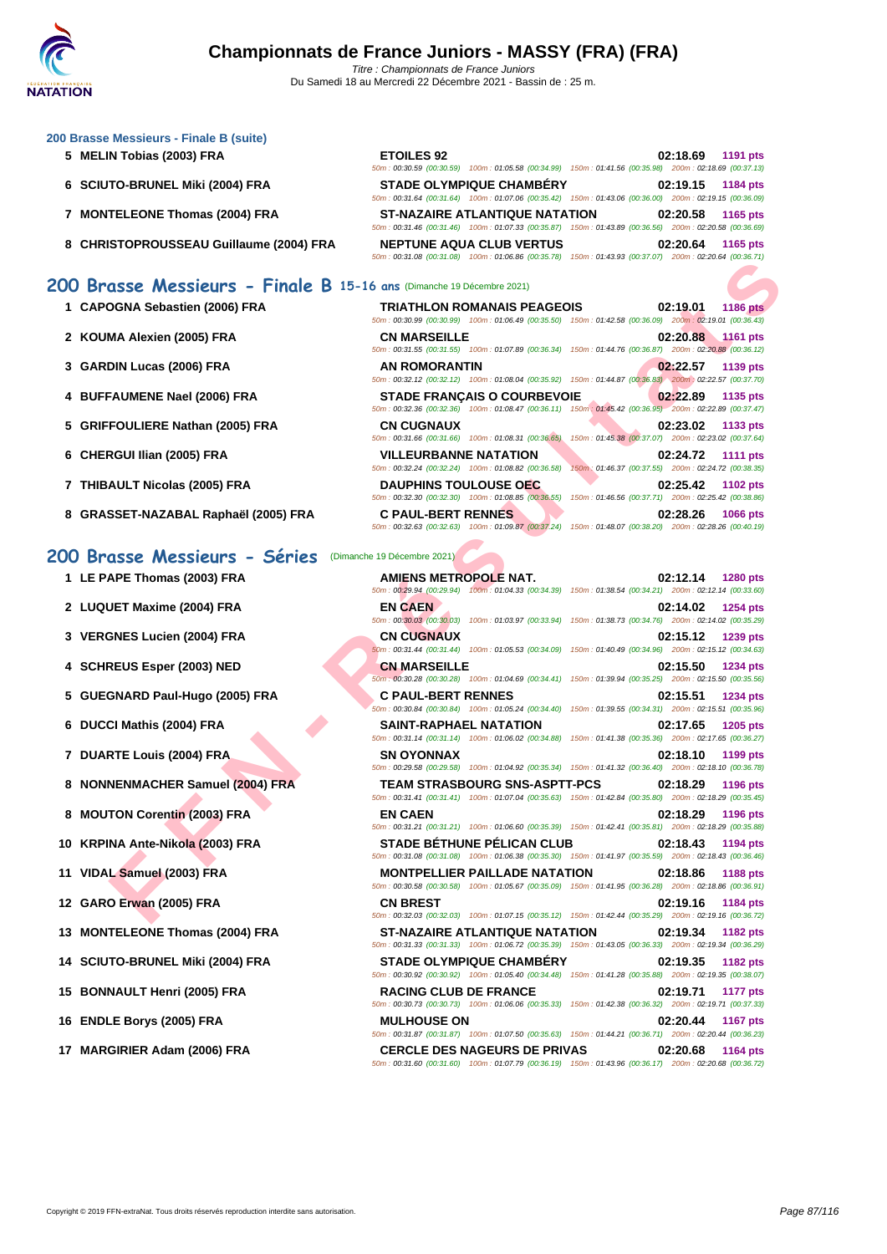### **[200 Brass](http://www.ffnatation.fr/webffn/index.php)e Messieurs - Finale B (suite)**

- **5 MELIN Tobias (2003) FRA**
- **6** SCIUTO-BRUNEL Miki (2004) FRA

- **7 MONTELEONE Thomas (2004) FRA**
- **8** CHRISTOPROUSSEAU Guillaume (2004) FRA

| <b>ETOILES 92</b> |                                                                                                        |  |          | 02:18.69 1191 pts |
|-------------------|--------------------------------------------------------------------------------------------------------|--|----------|-------------------|
|                   | 50m; 00:30.59 (00:30.59) 100m; 01:05.58 (00:34.99) 150m; 01:41.56 (00:35.98) 200m; 02:18.69 (00:37.13) |  |          |                   |
|                   | <b>STADE OLYMPIQUE CHAMBÉRY</b>                                                                        |  |          | 02:19.15 1184 pts |
|                   | 50m: 00:31.64 (00:31.64) 100m: 01:07.06 (00:35.42) 150m: 01:43.06 (00:36.00) 200m: 02:19.15 (00:36.09) |  |          |                   |
|                   | <b>ST-NAZAIRE ATLANTIQUE NATATION</b>                                                                  |  |          | 02:20.58 1165 pts |
|                   | 50m: 00:31.46 (00:31.46) 100m: 01:07.33 (00:35.87) 150m: 01:43.89 (00:36.56) 200m: 02:20.58 (00:36.69) |  |          |                   |
|                   | <b>NEPTUNE AQUA CLUB VERTUS</b>                                                                        |  | 02:20.64 | 1165 pts          |
|                   | 50m: 00:31.08 (00:31.08) 100m: 01:06.86 (00:35.78) 150m: 01:43.93 (00:37.07) 200m: 02:20.64 (00:36.71) |  |          |                   |

## **200 Brasse Messieurs - Finale B 15-16 ans** (Dimanche 19 Décembre 2021)

| 1 CAPOGNA Sebastien (2006) FRA       | <b>TRIATHLON ROMANAIS PEAGEOIS</b>                                                 | 02:19.01<br><b>1186 pts</b><br>50m: 00:30.99 (00:30.99) 100m: 01:06.49 (00:35.50) 150m: 01:42.58 (00:36.09) 200m: 02:19.01 (00:36.43) |
|--------------------------------------|------------------------------------------------------------------------------------|---------------------------------------------------------------------------------------------------------------------------------------|
| 2 KOUMA Alexien (2005) FRA           | <b>CN MARSEILLE</b><br>$50m: 00:31.55$ (00:31.55)                                  | 02:20.88<br><b>1161 pts</b><br>100m: 01:07.89 (00:36.34) 150m: 01:44.76 (00:36.87)<br>200m: 02:20.88 (00:36.12)                       |
| 3 GARDIN Lucas (2006) FRA            | <b>AN ROMORANTIN</b>                                                               | 02:22.57<br>1139 pts<br>50m: 00:32.12 (00:32.12) 100m: 01:08.04 (00:35.92) 150m: 01:44.87 (00:36.83) 200m: 02:22.57 (00:37.70)        |
| 4 BUFFAUMENE Nael (2006) FRA         | <b>STADE FRANCAIS O COURBEVOIE</b>                                                 | 02:22.89<br>1135 pts<br>50m: 00:32.36 (00:32.36) 100m: 01:08.47 (00:36.11) 150m: 01:45.42 (00:36.95) 200m: 02:22.89 (00:37.47)        |
| 5 GRIFFOULIERE Nathan (2005) FRA     | <b>CN CUGNAUX</b><br>50m: 00:31.66 (00:31.66)<br>100m: 01:08.31 (00:36.65)         | 02:23.02<br>1133 pts<br>150m: 01:45.38 (00:37.07) 200m: 02:23.02 (00:37.64)                                                           |
| 6 CHERGUI Ilian (2005) FRA           | <b>VILLEURBANNE NATATION</b><br>50m: 00:32.24 (00:32.24) 100m: 01:08.82 (00:36.58) | 02:24.72<br><b>1111 pts</b><br>150m; 01:46.37 (00:37.55) 200m; 02:24.72 (00:38.35)                                                    |
| 7 THIBAULT Nicolas (2005) FRA        | <b>DAUPHINS TOULOUSE OEC</b><br>50m: 00:32.30 (00:32.30) 100m: 01:08.85 (00:36.55) | 02:25.42<br><b>1102 pts</b><br>150m: 01:46.56 (00:37.71) 200m: 02:25.42 (00:38.86)                                                    |
| 8 GRASSET-NAZABAL Raphaël (2005) FRA | <b>C PAUL-BERT RENNES</b>                                                          | 02:28.26<br><b>1066 pts</b>                                                                                                           |

## **200 Brasse Messieurs - Séries** (Dimanche 19 Décembre 2021)

|  |  |  | 1 LE PAPE Thomas (2003) FRA |  |  |
|--|--|--|-----------------------------|--|--|
|--|--|--|-----------------------------|--|--|

- **2** LUQUET Maxime (2004) FRA
- **3 VERGNES Lucien (2004) FRA**
- **4 SCHREUS Esper (2003) NED**
- **5 GUEGNARD Paul-Hugo (2005) FRA**
- **6 DUCCI Mathis (2004) FRA SAINT-RAPHAEL NATATION 02:17.65 1205 pts**
- **7 DUARTE Louis (2004) FRA**
- **8 NONNENMACHER Samuel (2004) FRA**
- **8 MOUTON Corentin (2003) FRA**
- **10 KRPINA Ante-Nikola (2003) FRA**
- **11 VIDAL Samuel (2003) FRA**
- **12 GARO Erwan (2005) FRA**
- **13 MONTELEONE Thomas (2004) FRA**
- **14 SCIUTO-BRUNEL Miki (2004) FRA**
- **15 BONNAULT Henri (2005) FRA**
- **16 ENDLE Borys (2005) FRA**
- **17 MARGIRIER Adam (2006) FRA**

| 10 Brasse Messieurs - Finale B 15-16 ans (Dimanche 19 Décembre 2021) |                                                                                                                                                                                                                                                         |                                                                             |
|----------------------------------------------------------------------|---------------------------------------------------------------------------------------------------------------------------------------------------------------------------------------------------------------------------------------------------------|-----------------------------------------------------------------------------|
| 1 CAPOGNA Sebastien (2006) FRA                                       | <b>TRIATHLON ROMANAIS PEAGEOIS</b><br>50m : 00:30.99 (00:30.99) 100m : 01:06.49 (00:35.50) 150m : 01:42.58 (00:36.09) 200m : 02:19.01 (00:36.43)                                                                                                        | <b>1186 pts</b><br>02:19.01                                                 |
| 2 KOUMA Alexien (2005) FRA                                           | <b>CN MARSEILLE</b><br>50m: 00:31.55 (00:31.55) 100m: 01:07.89 (00:36.34) 150m: 01:44.76 (00:36.87) 200m: 02:20.88 (00:36.12)                                                                                                                           | 02:20.88<br><b>1161 pts</b>                                                 |
| 3   GARDIN Lucas (2006) FRA                                          | <b>AN ROMORANTIN</b><br>50m : 00:32.12 (00:32.12) 100m : 01:08.04 (00:35.92) 150m : 01:44.87 (00:36.83) 200m : 02:22.57 (00:37.70)                                                                                                                      | 02:22.57<br>1139 pts                                                        |
| 4   BUFFAUMENE Nael (2006) FRA                                       | <b>STADE FRANÇAIS O COURBEVOIE</b><br>50m: 00:32.36 (00:32.36) 100m: 01:08.47 (00:36.11) 150m: 01:45.42 (00:36.95) 200m: 02:22.89 (00:37.47)                                                                                                            | 02:22.89<br>1135 pts                                                        |
| 5 GRIFFOULIERE Nathan (2005) FRA                                     | <b>CN CUGNAUX</b><br>50m: 00:31.66 (00:31.66) 100m: 01:08.31 (00:36.65)                                                                                                                                                                                 | 02:23.02<br>1133 pts<br>150m: 01:45.38 (00:37.07) 200m: 02:23.02 (00:37.64) |
| 6 CHERGUI Ilian (2005) FRA                                           | <b>VILLEURBANNE NATATION</b><br>50m: 00:32.24 (00:32.24) 100m: 01:08.82 (00:36.58)                                                                                                                                                                      | 02:24.72<br>1111 pts<br>150m: 01:46.37 (00:37.55) 200m: 02:24.72 (00:38.35) |
| 7 THIBAULT Nicolas (2005) FRA                                        | <b>DAUPHINS TOULOUSE OEC</b><br>50m : 00:32.30 (00:32.30) 100m : 01:08.85 (00:36.55) 150m : 01:46.56 (00:37.71) 200m : 02:25.42 (00:38.86)                                                                                                              | 02:25.42<br><b>1102 pts</b>                                                 |
| 8 GRASSET-NAZABAL Raphaël (2005) FRA                                 | <b>C PAUL-BERT RENNES</b><br>50m: 00:32.63 (00:32.63) 100m: 01:09.87 (00:37.24) 150m: 01:48.07 (00:38.20) 200m: 02:28.26 (00:40.19)                                                                                                                     | 02:28.26<br><b>1066 pts</b>                                                 |
| 10 Brasse Messieurs - Séries                                         | (Dimanche 19 Décembre 2021)                                                                                                                                                                                                                             |                                                                             |
| 1 LE PAPE Thomas (2003) FRA                                          | <b>AMIENS METROPOLE NAT.</b><br>50m: 00:29.94 (00:29.94) 100m: 01:04.33 (00:34.39) 150m: 01:38.54 (00:34.21) 200m: 02:12.14 (00:33.60)                                                                                                                  | 02:12.14<br>1280 pts                                                        |
| 2 LUQUET Maxime (2004) FRA                                           | <b>EN CAEN</b><br>50m: 00:30.03 (00:30.03) 100m: 01:03.97 (00:33.94) 150m: 01:38.73 (00:34.76) 200m: 02:14.02 (00:35.29)                                                                                                                                | 02:14.02<br>1254 pts                                                        |
| 3   VERGNES Lucien (2004) FRA                                        | <b>CN CUGNAUX</b><br>60m : 00:31.44 (00:31.44) 100m : 01:05.53 (00:34.09) 150m : 01:40.49 (00:34.96) 200m : 02:15.12 (00:34.63)                                                                                                                         | 02:15.12<br>1239 pts                                                        |
| 4 SCHREUS Esper (2003) NED                                           | <b>CN MARSEILLE</b><br>50m : 00:30.28 (00:30.28) 100m : 01:04.69 (00:34.41) 150m : 01:39.94 (00:35.25) 200m : 02:15.50 (00:35.56)                                                                                                                       | 02:15.50<br><b>1234 pts</b>                                                 |
| 5 GUEGNARD Paul-Hugo (2005) FRA                                      | <b>C PAUL-BERT RENNES</b><br>50m: 00:30.84 (00:30.84) 100m: 01:05.24 (00:34.40) 150m: 01:39.55 (00:34.31) 200m: 02:15.51 (00:35.96)                                                                                                                     | 02:15.51<br>1234 pts                                                        |
| 6 DUCCI Mathis (2004) FRA                                            | SAINT-RAPHAEL NATATION<br>50m: 00:31.14 (00:31.14) 100m: 01:06.02 (00:34.88) 150m: 01:41.38 (00:35.36) 200m: 02:17.65 (00:36.27)                                                                                                                        | 02:17.65<br>1205 pts                                                        |
| 7 DUARTE Louis (2004) FRA                                            | <b>SN OYONNAX</b><br>50m : 00:29.58 (00:29.58) 100m : 01:04.92 (00:35.34) 150m : 01:41.32 (00:36.40) 200m : 02:18.10 (00:36.78)                                                                                                                         | 02:18.10<br>1199 pts                                                        |
| 8 NONNENMACHER Samuel (2004) FRA                                     | <b>TEAM STRASBOURG SNS-ASPTT-PCS</b><br>50m: 00:31.41 (00:31.41) 100m: 01:07.04 (00:35.63) 150m: 01:42.84 (00:35.80) 200m: 02:18.29 (00:35.45)                                                                                                          | 02:18.29<br>1196 pts                                                        |
| 8 MOUTON Corentin (2003) FRA                                         | <b>EN CAEN</b><br>50m: 00:31.21 (00:31.21) 100m: 01:06.60 (00:35.39) 150m: 01:42.41 (00:35.81) 200m: 02:18.29 (00:35.88)                                                                                                                                | 02:18.29<br>1196 pts                                                        |
| 0 KRPINA Ante-Nikola (2003) FRA                                      | <b>STADE BÉTHUNE PÉLICAN CLUB</b><br>50m: 00:31.08 (00:31.08) 100m: 01:06.38 (00:35.30) 150m: 01:41.97 (00:35.59) 200m: 02:18.43 (00:36.46)                                                                                                             | 02:18.43<br>1194 pts                                                        |
| 1 VIDAL Samuel (2003) FRA                                            | <b>MONTPELLIER PAILLADE NATATION</b><br>50m: 00:30.58 (00:30.58) 100m: 01:05.67 (00:35.09) 150m: 01:41.95 (00:36.28) 200m: 02:18.86 (00:36.91)                                                                                                          | 02:18.86<br>1188 pts                                                        |
| 2 GARO Erwan (2005) FRA                                              | <b>CN BREST</b><br>50m : 00:32.03 (00:32.03) 100m : 01:07.15 (00:35.12) 150m : 01:42.44 (00:35.29) 200m : 02:19.16 (00:36.72)                                                                                                                           | 02:19.16<br>1184 pts                                                        |
| 3 MONTELEONE Thomas (2004) FRA                                       | <b>ST-NAZAIRE ATLANTIQUE NATATION</b><br>50m: 00:31.33 (00:31.33) 100m: 01:06.72 (00:35.39) 150m: 01:43.05 (00:36.33) 200m: 02:19.34 (00:36.29)                                                                                                         | 02:19.34<br><b>1182 pts</b>                                                 |
| 4 SCIUTO-BRUNEL Miki (2004) FRA                                      | <b>STADE OLYMPIQUE CHAMBERY</b>                                                                                                                                                                                                                         | 02:19.35<br><b>1182 pts</b>                                                 |
| 5 BONNAULT Henri (2005) FRA                                          | 50m: 00:30.92 (00:30.92) 100m: 01:05.40 (00:34.48) 150m: 01:41.28 (00:35.88) 200m: 02:19.35 (00:38.07)<br><b>RACING CLUB DE FRANCE</b>                                                                                                                  | 02:19.71<br><b>1177 pts</b>                                                 |
| 6 ENDLE Borys (2005) FRA                                             | 50m: 00:30.73 (00:30.73) 100m: 01:06.06 (00:35.33) 150m: 01:42.38 (00:36.32) 200m: 02:19.71 (00:37.33)<br><b>MULHOUSE ON</b>                                                                                                                            | 02:20.44<br><b>1167 pts</b>                                                 |
| 7 MARGIRIER Adam (2006) FRA                                          | 50m: 00:31.87 (00:31.87) 100m: 01:07.50 (00:35.63) 150m: 01:44.21 (00:36.71) 200m: 02:20.44 (00:36.23)<br><b>CERCLE DES NAGEURS DE PRIVAS</b><br>50m: 00:31.60 (00:31.60) 100m: 01:07.79 (00:36.19) 150m: 01:43.96 (00:36.17) 200m: 02:20.68 (00:36.72) | 02:20.68<br><b>1164 pts</b>                                                 |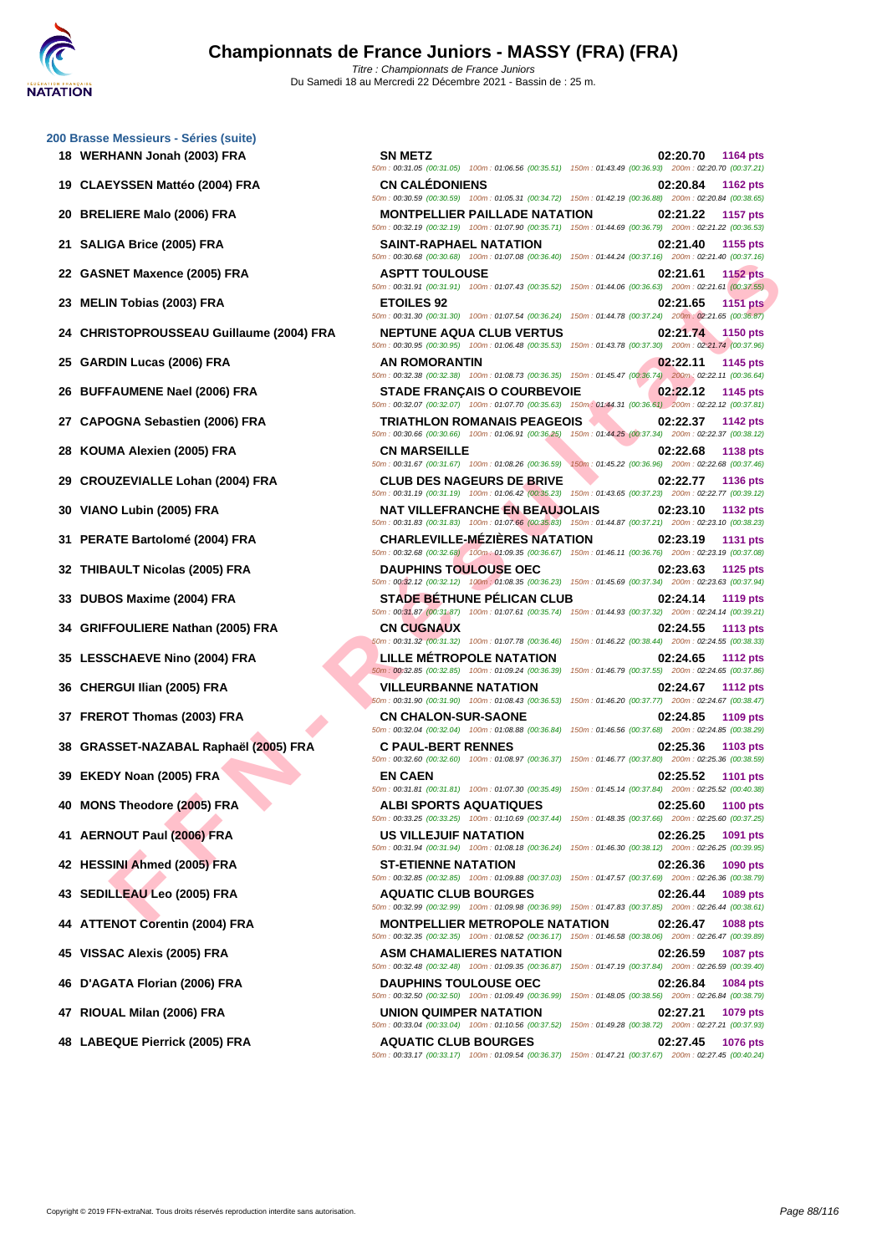| 200 Brasse Messieurs - Séries (suite)<br>18 WERHANN Jonah (2003) FRA | SN METZ                                 |
|----------------------------------------------------------------------|-----------------------------------------|
|                                                                      | 50m: 00:31.05 (00:                      |
| 19 CLAEYSSEN Mattéo (2004) FRA                                       | <b>CN CALÉD</b><br>50m: 00:30.59 (00:   |
| 20 BRELIERE Malo (2006) FRA                                          | <b>MONTPELI</b><br>50m: 00:32.19 (00:   |
| 21 SALIGA Brice (2005) FRA                                           | SAINT-RAI<br>50m: 00:30.68 (00:         |
| 22 GASNET Maxence (2005) FRA                                         | <b>ASPTT TO</b><br>50m: 00:31.91 (00:   |
| 23 MELIN Tobias (2003) FRA                                           | <b>ETOILES 9</b><br>50m: 00:31.30 (00:  |
| 24 CHRISTOPROUSSEAU Guillaume (2004) FRA                             | <b>NEPTUNE</b><br>50m: 00:30.95 (00:    |
| 25 GARDIN Lucas (2006) FRA                                           | <b>AN ROMOR</b><br>50m: 00:32.38 (00:   |
| 26 BUFFAUMENE Nael (2006) FRA                                        | STADE FR.<br>50m: 00:32.07 (00:         |
| 27 CAPOGNA Sebastien (2006) FRA                                      | <b>TRIATHLO</b><br>50m: 00:30.66 (00:   |
| 28 KOUMA Alexien (2005) FRA                                          | <b>CN MARSE</b><br>50m: 00:31.67 (00:   |
| 29 CROUZEVIALLE Lohan (2004) FRA                                     | <b>CLUB DES</b><br>50m: 00:31.19 (00:   |
| 30 VIANO Lubin (2005) FRA                                            | NAT VILLE<br>50m: 00:31.83 (00:         |
| 31 PERATE Bartolomé (2004) FRA                                       | <b>CHARLEVI</b><br>50m: 00:32.68 (00:   |
| 32 THIBAULT Nicolas (2005) FRA                                       | <b>DAUPHINS</b><br>50m: 00:32.12 (00:   |
| 33 DUBOS Maxime (2004) FRA                                           | <b>STADE BE</b><br>50m: 00:31.87 (00:   |
| 34 GRIFFOULIERE Nathan (2005) FRA                                    | CN CUGNA<br>50m: 00:31.32 (00:          |
| 35 LESSCHAEVE Nino (2004) FRA                                        | <b>LILLE MET</b><br>50m: 00:32.85 (00:  |
| 36 CHERGUI Ilian (2005) FRA                                          | <b>VILLEURB</b><br>50m : 00:31.90 (00:  |
| 37 FREROT Thomas (2003) FRA                                          | <b>CN CHALO</b><br>50m: 00:32.04 (00:   |
| 38 GRASSET-NAZABAL Raphaël (2005) FRA                                | <b>C PAUL-BE</b><br>50m : 00:32.60 (00: |
| 39 EKEDY Noan (2005) FRA                                             | <b>EN CAEN</b><br>50m: 00:31.81 (00:    |
| 40 MONS Theodore (2005) FRA                                          | <b>ALBI SPOF</b><br>50m: 00:33.25 (00:  |
| 41 AERNOUT Paul (2006) FRA                                           | <b>US VILLEJ</b><br>50m: 00:31.94 (00:  |
| 42 HESSINI Ahmed (2005) FRA                                          | <b>ST-ETIENN</b><br>50m: 00:32.85 (00:  |
| 43 SEDILLEAU Leo (2005) FRA                                          | <b>AQUATIC (</b><br>50m: 00:32.99 (00:  |
| 44 ATTENOT Corentin (2004) FRA                                       | <b>MONTPELI</b><br>50m: 00:32.35 (00:   |
| 45 VISSAC Alexis (2005) FRA                                          | <b>ASM CHAN</b><br>50m: 00:32.48 (00:   |
| 46 D'AGATA Florian (2006) FRA                                        | <b>DAUPHINS</b><br>50m: 00:32.50 (00:   |
| 47 RIOUAL Milan (2006) FRA                                           | UNION QUI<br>50m: 00:33.04 (00:         |
|                                                                      |                                         |

| 0 Brasse Messieurs - Séries (suite)      |                                                                                                                                                     |                                                                                    |
|------------------------------------------|-----------------------------------------------------------------------------------------------------------------------------------------------------|------------------------------------------------------------------------------------|
| 18 WERHANN Jonah (2003) FRA              | <b>SN METZ</b><br>50m: 00:31.05 (00:31.05) 100m: 01:06.56 (00:35.51) 150m: 01:43.49 (00:36.93) 200m: 02:20.70 (00:37.21)                            | 02:20.70<br>1164 pts                                                               |
| 19 CLAEYSSEN Mattéo (2004) FRA           | <b>CN CALEDONIENS</b><br>50m: 00:30.59 (00:30.59) 100m: 01:05.31 (00:34.72) 150m: 01:42.19 (00:36.88) 200m: 02:20.84 (00:38.65)                     | 02:20.84<br><b>1162 pts</b>                                                        |
| 20 BRELIERE Malo (2006) FRA              | <b>MONTPELLIER PAILLADE NATATION</b><br>50m: 00:32.19 (00:32.19) 100m: 01:07.90 (00:35.71) 150m: 01:44.69 (00:36.79) 200m: 02:21.22 (00:36.53)      | 02:21.22<br>1157 pts                                                               |
| 21 SALIGA Brice (2005) FRA               | SAINT-RAPHAEL NATATION<br>50m : 00:30.68 (00:30.68) 100m : 01:07.08 (00:36.40) 150m : 01:44.24 (00:37.16) 200m : 02:21.40 (00:37.16)                | 02:21.40<br>1155 pts                                                               |
| 22 GASNET Maxence (2005) FRA             | <b>ASPTT TOULOUSE</b><br>50m: 00:31.91 (00:31.91) 100m: 01:07.43 (00:35.52) 150m: 01:44.06 (00:36.63) 200m: 02:21.61 (00:37.55)                     | 02:21.61<br><b>1152 pts</b>                                                        |
| 23   MELIN Tobias (2003) FRA             | <b>ETOILES 92</b><br>50m : 00:31.30 (00:31.30) 100m : 01:07.54 (00:36.24) 150m : 01:44.78 (00:37.24) 200m : 02:21.65 (00:36.87)                     | <b>1151 pts</b><br>02:21.65                                                        |
| 24 CHRISTOPROUSSEAU Guillaume (2004) FRA | <b>NEPTUNE AQUA CLUB VERTUS</b><br>50m: 00:30.95 (00:30.95) 100m: 01:06.48 (00:35.53) 150m: 01:43.78 (00:37.30) 200m: 02:21.74 (00:37.96)           | 02:21.74<br><b>1150 pts</b>                                                        |
| 25   GARDIN Lucas (2006) FRA             | AN ROMORANTIN<br>50m: 00:32.38 (00:32.38) 100m: 01:08.73 (00:36.35) 150m: 01:45.47 (00:36.74) 200m: 02:22.11 (00:36.64)                             | 02:22.11<br>1145 pts                                                               |
| 26   BUFFAUMENE Nael (2006) FRA          | <b>STADE FRANÇAIS O COURBEVOIE</b><br>50m: 00:32.07 (00:32.07) 100m: 01:07.70 (00:35.63) 150m: 01:44.31 (00:36.61) 200m: 02:22.12 (00:37.81)        | 02:22.12<br>1145 pts                                                               |
| 27   CAPOGNA Sebastien (2006) FRA        | <b>TRIATHLON ROMANAIS PEAGEOIS</b>                                                                                                                  | 02:22.37<br>1142 pts                                                               |
| 28 KOUMA Alexien (2005) FRA              | 50m : 00:30.66 (00:30.66) 100m : 01:06.91 (00:36.25) 150m : 01:44.25 (00:37.34) 200m : 02:22.37 (00:38.12)<br><b>CN MARSEILLE</b>                   | 02:22.68<br><b>1138 pts</b>                                                        |
| 29 CROUZEVIALLE Lohan (2004) FRA         | 50m: 00:31.67 (00:31.67) 100m: 01:08.26 (00:36.59)<br><b>CLUB DES NAGEURS DE BRIVE</b>                                                              | 150m: 01:45.22 (00:36.96) 200m: 02:22.68 (00:37.46)<br>02:22.77<br><b>1136 pts</b> |
| 30 VIANO Lubin (2005) FRA                | 50m : 00:31.19 (00:31.19) 100m : 01:06.42 (00:35.23) 150m : 01:43.65 (00:37.23) 200m : 02:22.77 (00:39.12)<br><b>NAT VILLEFRANCHE EN BEAUJOLAIS</b> | 02:23.10<br>1132 pts                                                               |
| 31 PERATE Bartolomé (2004) FRA           | 50m: 00:31.83 (00:31.83) 100m: 01:07.66 (00:35.83) 150m: 01:44.87 (00:37.21) 200m: 02:23.10 (00:38.23)<br><b>CHARLEVILLE-MÉZIÈRES NATATION</b>      | 02:23.19<br>1131 pts                                                               |
| 32   THIBAULT Nicolas (2005) FRA         | 50m : 00:32.68 (00:32.68) 100m : 01:09.35 (00:36.67) 150m : 01:46.11 (00:36.76) 200m : 02:23.19 (00:37.08)<br><b>DAUPHINS TOULOUSE OEC</b>          | 02:23.63<br>1125 pts                                                               |
| 33 DUBOS Maxime (2004) FRA               | 50m : 00:32.12 (00:32.12) 100m : 01:08.35 (00:36.23) 150m : 01:45.69 (00:37.34) 200m : 02:23.63 (00:37.94)<br><b>STADE BÉTHUNE PÉLICAN CLUB</b>     | 02:24.14<br>1119 pts                                                               |
| 34 GRIFFOULIERE Nathan (2005) FRA        | 50m: 00:31.87 (00:31.87) 100m: 01:07.61 (00:35.74) 150m: 01:44.93 (00:37.32) 200m: 02:24.14 (00:39.21)<br><b>CN CUGNAUX</b>                         | 02:24.55<br><b>1113 pts</b>                                                        |
| 35   LESSCHAEVE Nino (2004) FRA          | 50m: 00:31.32 (00:31.32) 100m: 01:07.78 (00:36.46) 150m: 01:46.22 (00:38.44) 200m: 02:24.55 (00:38.33)<br><b>LILLE MÉTROPOLE NATATION</b>           | 02:24.65<br><b>1112 pts</b>                                                        |
| 36 CHERGUI Ilian (2005) FRA              | 50m: 00:32.85 (00:32.85) 100m: 01:09.24 (00:36.39) 150m: 01:46.79 (00:37.55) 200m: 02:24.65 (00:37.86)<br><b>VILLEURBANNE NATATION</b>              | 02:24.67<br><b>1112 pts</b>                                                        |
| 37 FREROT Thomas (2003) FRA              | 50m: 00:31.90 (00:31.90) 100m: 01:08.43 (00:36.53) 150m: 01:46.20 (00:37.77) 200m: 02:24.67 (00:38.47)<br><b>CN CHALON-SUR-SAONE</b>                | 02:24.85<br>1109 pts                                                               |
| 38 GRASSET-NAZABAL Raphaël (2005) FRA    | 50m: 00:32.04 (00:32.04) 100m: 01:08.88 (00:36.84) 150m: 01:46.56 (00:37.68) 200m: 02:24.85 (00:38.29)<br><b>C PAUL-BERT RENNES</b>                 | 02:25.36<br>1103 pts                                                               |
| 39 EKEDY Noan (2005) FRA                 | 50m : 00:32.60 (00:32.60) 100m : 01:08.97 (00:36.37) 150m : 01:46.77 (00:37.80) 200m : 02:25.36 (00:38.59)<br><b>EN CAEN</b>                        | 02:25.52<br>1101 pts                                                               |
| 40 MONS Theodore (2005) FRA              | 50m: 00:31.81 (00:31.81) 100m: 01:07.30 (00:35.49) 150m: 01:45.14 (00:37.84) 200m: 02:25.52 (00:40.38)<br><b>ALBI SPORTS AQUATIQUES</b>             | 02:25.60<br><b>1100 pts</b>                                                        |
| 41 AERNOUT Paul (2006) FRA               | 50m: 00:33.25 (00:33.25) 100m: 01:10.69 (00:37.44) 150m: 01:48.35 (00:37.66) 200m: 02:25.60 (00:37.25)<br>US VILLEJUIF NATATION                     | 02:26.25<br>1091 pts                                                               |
| 42 HESSINI Ahmed (2005) FRA              | 50m: 00:31.94 (00:31.94) 100m: 01:08.18 (00:36.24) 150m: 01:46.30 (00:38.12) 200m: 02:26.25 (00:39.95)<br><b>ST-ETIENNE NATATION</b>                | 02:26.36<br>1090 pts                                                               |
| 43 SEDILLEAU Leo (2005) FRA              | 50m: 00:32.85 (00:32.85) 100m: 01:09.88 (00:37.03) 150m: 01:47.57 (00:37.69) 200m: 02:26.36 (00:38.79)<br><b>AQUATIC CLUB BOURGES</b>               | 02:26.44<br>1089 pts                                                               |
| 44 ATTENOT Corentin (2004) FRA           | 50m : 00:32.99 (00:32.99) 100m : 01:09.98 (00:36.99) 150m : 01:47.83 (00:37.85) 200m : 02:26.44 (00:38.61)<br><b>MONTPELLIER METROPOLE NATATION</b> | 02:26.47<br>1088 pts                                                               |
| 45 VISSAC Alexis (2005) FRA              | 50m: 00:32.35 (00:32.35) 100m: 01:08.52 (00:36.17) 150m: 01:46.58 (00:38.06) 200m: 02:26.47 (00:39.89)<br><b>ASM CHAMALIERES NATATION</b>           | 02:26.59<br><b>1087 pts</b>                                                        |
| 46   D'AGATA Florian (2006) FRA          | 50m: 00:32.48 (00:32.48) 100m: 01:09.35 (00:36.87) 150m: 01:47.19 (00:37.84) 200m: 02:26.59 (00:39.40)<br><b>DAUPHINS TOULOUSE OEC</b>              | 02:26.84<br>1084 pts                                                               |
| 47 RIOUAL Milan (2006) FRA               | 50m : 00:32.50 (00:32.50) 100m : 01:09.49 (00:36.99) 150m : 01:48.05 (00:38.56) 200m : 02:26.84 (00:38.79)<br>UNION QUIMPER NATATION                | 02:27.21<br>1079 pts                                                               |
| 48 LABEQUE Pierrick (2005) FRA           | 50m: 00:33.04 (00:33.04) 100m: 01:10.56 (00:37.52) 150m: 01:49.28 (00:38.72) 200m: 02:27.21 (00:37.93)<br><b>AQUATIC CLUB BOURGES</b>               | 02:27.45<br><b>1076 pts</b>                                                        |
|                                          | 50m: 00:33.17 (00:33.17) 100m: 01:09.54 (00:36.37) 150m: 01:47.21 (00:37.67) 200m: 02:27.45 (00:40.24)                                              |                                                                                    |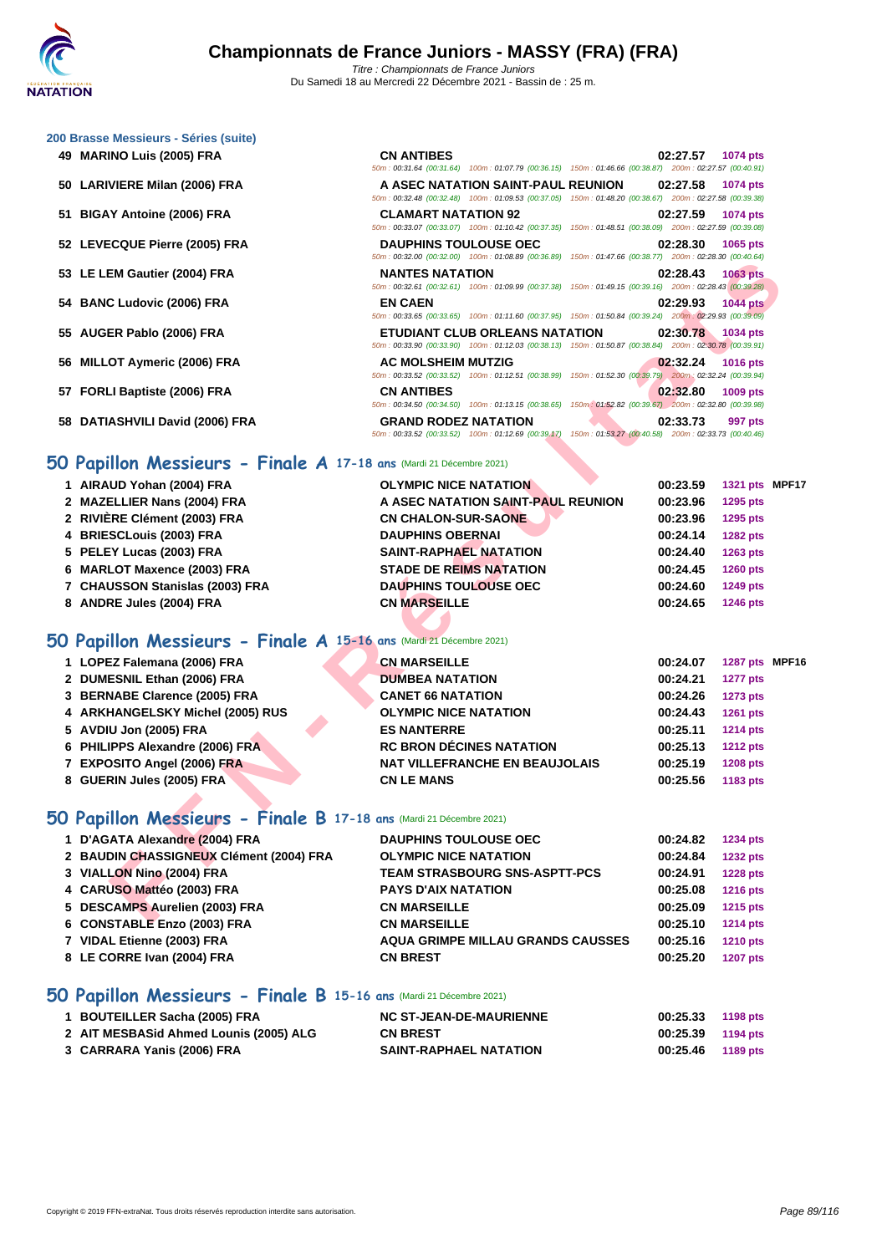|  | 200 Brasse Messieurs - Séries (suite) |  |  |
|--|---------------------------------------|--|--|
|  |                                       |  |  |

- **49 MARINO Luis (2005) FRA**
- **50 LARIVIERE Milan (2006) FRA**
- **51 BIGAY Antoine (2006) FRA CLAMART NATATION 92 02:27.59 1074 pts**
- **52 LEVECQUE Pierre (2005) FRA**
- **53 LE LEM Gautier (2004) FRA**
- **54 BANC Ludovic (2006) FRA EN CAEN 02:29.93 1044 pts**
- **55 AUGER Pablo (2006) FRA**
- **56 MILLOT Aymeric (2006) FRA**
- **57 FORLI Baptiste (2006) FRA**
- **58 DATIASHVILI David (2006) FRA**

| <b>CN ANTIBES</b>            |                                                                                                            | 02:27.57 1074 pts |                 |
|------------------------------|------------------------------------------------------------------------------------------------------------|-------------------|-----------------|
|                              | 50m: 00:31.64 (00:31.64) 100m: 01:07.79 (00:36.15) 150m: 01:46.66 (00:38.87) 200m: 02:27.57 (00:40.91)     |                   |                 |
|                              | A ASEC NATATION SAINT-PAUL REUNION 02:27.58                                                                |                   | <b>1074 pts</b> |
|                              | 50m: 00:32.48 (00:32.48) 100m: 01:09.53 (00:37.05) 150m: 01:48.20 (00:38.67) 200m: 02:27.58 (00:39.38)     |                   |                 |
| <b>CLAMART NATATION 92</b>   |                                                                                                            | 02:27.59 1074 pts |                 |
|                              | 50m: 00:33.07 (00:33.07) 100m: 01:10.42 (00:37.35) 150m: 01:48.51 (00:38.09) 200m: 02:27.59 (00:39.08)     |                   |                 |
| <b>DAUPHINS TOULOUSE OEC</b> |                                                                                                            | 02:28.30 1065 pts |                 |
|                              | 50m: 00:32.00 (00:32.00) 100m: 01:08.89 (00:36.89) 150m: 01:47.66 (00:38.77) 200m: 02:28.30 (00:40.64)     |                   |                 |
| <b>NANTES NATATION</b>       |                                                                                                            | 02:28.43 1063 pts |                 |
|                              | 50m: 00:32.61 (00:32.61) 100m: 01:09.99 (00:37.38) 150m: 01:49.15 (00:39.16) 200m: 02:28.43 (00:39.28)     |                   |                 |
| <b>EN CAEN</b>               |                                                                                                            | 02:29.93 1044 pts |                 |
|                              | 50m: 00:33.65 (00:33.65) 100m: 01:11.60 (00:37.95) 150m: 01:50.84 (00:39.24) 200m: 02:29.93 (00:39.09)     |                   |                 |
|                              |                                                                                                            |                   |                 |
|                              | <b>ETUDIANT CLUB ORLEANS NATATION 02:30.78</b> 1034 pts                                                    |                   |                 |
|                              | 50m: 00:33.90 (00:33.90) 100m: 01:12.03 (00:38.13) 150m: 01:50.87 (00:38.84) 200m: 02:30.78 (00:39.91)     |                   |                 |
| <b>AC MOLSHEIM MUTZIG</b>    |                                                                                                            | 02:32.24 1016 pts |                 |
|                              | 50m : 00:33.52 (00:33.52) 100m : 01:12.51 (00:38.99) 150m : 01:52.30 (00:39.79) 200m : 02:32.24 (00:39.94) |                   |                 |
| <b>CN ANTIBES</b>            |                                                                                                            | 02:32.80          | <b>1009 pts</b> |
|                              | 50m: 00:34.50 (00:34.50) 100m: 01:13.15 (00:38.65) 150m: 01:52.82 (00:39.67) 200m: 02:32.80 (00:39.98)     |                   |                 |
| <b>GRAND RODEZ NATATION</b>  |                                                                                                            | 02:33.73 997 pts  |                 |

## **50 Papillon Messieurs - Finale A 17-18 ans** (Mardi 21 Décembre 2021)

|                                                                     | <u>JUIT. 00.32.00 [00.32.00]</u> [00.40.09] [00.30.09] [00.30.09] [00.00] [00.30.11] 20011. 02.20.30 [00.40.04]                                 |                   |                 |  |
|---------------------------------------------------------------------|-------------------------------------------------------------------------------------------------------------------------------------------------|-------------------|-----------------|--|
| 53 LE LEM Gautier (2004) FRA                                        | <b>NANTES NATATION</b><br>50m : 00:32.61 (00:32.61) 100m : 01:09.99 (00:37.38) 150m : 01:49.15 (00:39.16) 200m : 02:28.43 (00:39.28)            | 02:28.43 1063 pts |                 |  |
| 54 BANC Ludovic (2006) FRA                                          | <b>EN CAEN</b>                                                                                                                                  | 02:29.93          | <b>1044 pts</b> |  |
|                                                                     | 50m: 00:33.65 (00:33.65) 100m: 01:11.60 (00:37.95) 150m: 01:50.84 (00:39.24) 200m: 02:29.93 (00:39.09)                                          |                   |                 |  |
| 55 AUGER Pablo (2006) FRA                                           | <b>ETUDIANT CLUB ORLEANS NATATION</b><br>50m: 00:33.90 (00:33.90) 100m: 01:12.03 (00:38.13) 150m: 01:50.87 (00:38.84) 200m: 02:30.78 (00:39.91) | 02:30.78          | 1034 pts        |  |
| 56 MILLOT Aymeric (2006) FRA                                        | <b>AC MOLSHEIM MUTZIG</b>                                                                                                                       | 02:32.24          | <b>1016 pts</b> |  |
|                                                                     | 50m: 00:33.52 (00:33.52) 100m: 01:12.51 (00:38.99) 150m: 01:52.30 (00:39.79) 200m: 02:32.24 (00:39.94)                                          |                   |                 |  |
| 57 FORLI Baptiste (2006) FRA                                        | <b>CN ANTIBES</b>                                                                                                                               | 02:32.80          | 1009 pts        |  |
|                                                                     | 50m : 00:34.50 (00:34.50) 100m : 01:13.15 (00:38.65) 150m : 01:52.82 (00:39.67) 200m : 02:32.80 (00:39.98)                                      |                   |                 |  |
| 58 DATIASHVILI David (2006) FRA                                     | <b>GRAND RODEZ NATATION</b><br>50m : 00:33.52 (00:33.52) 100m : 01:12.69 (00:39.17) 150m : 01:53.27 (00:40.58) 200m : 02:33.73 (00:40.46)       | 02:33.73          | 997 pts         |  |
|                                                                     |                                                                                                                                                 |                   |                 |  |
| 50 Papillon Messieurs - Finale A 17-18 ans (Mardi 21 Décembre 2021) |                                                                                                                                                 |                   |                 |  |
| 1 AIRAUD Yohan (2004) FRA                                           | <b>OLYMPIC NICE NATATION</b>                                                                                                                    | 00:23.59          | 1321 pts MPF17  |  |
| 2 MAZELLIER Nans (2004) FRA                                         | A ASEC NATATION SAINT-PAUL REUNION                                                                                                              | 00:23.96          | 1295 pts        |  |
| 2 RIVIÈRE Clément (2003) FRA                                        | <b>CN CHALON-SUR-SAONE</b>                                                                                                                      | 00:23.96          | 1295 pts        |  |
| 4 BRIESCLouis (2003) FRA                                            | <b>DAUPHINS OBERNAI</b>                                                                                                                         | 00:24.14          | <b>1282 pts</b> |  |
| 5 PELEY Lucas (2003) FRA                                            | <b>SAINT-RAPHAEL NATATION</b>                                                                                                                   | 00:24.40          | 1263 pts        |  |
| 6 MARLOT Maxence (2003) FRA                                         | <b>STADE DE REIMS NATATION</b>                                                                                                                  | 00:24.45          | <b>1260 pts</b> |  |
| 7 CHAUSSON Stanislas (2003) FRA                                     | <b>DAUPHINS TOULOUSE OEC</b>                                                                                                                    | 00:24.60          | <b>1249 pts</b> |  |
| 8 ANDRE Jules (2004) FRA                                            | <b>CN MARSEILLE</b>                                                                                                                             | 00:24.65          | <b>1246 pts</b> |  |
|                                                                     |                                                                                                                                                 |                   |                 |  |
| 50 Papillon Messieurs - Finale A 15-16 ans (Mardi 21 Décembre 2021) |                                                                                                                                                 |                   |                 |  |
| 1 LOPEZ Falemana (2006) FRA                                         | <b>CN MARSEILLE</b>                                                                                                                             | 00:24.07          | 1287 pts MPF16  |  |
| 2 DUMESNIL Ethan (2006) FRA                                         | <b>DUMBEA NATATION</b>                                                                                                                          | 00:24.21          | <b>1277 pts</b> |  |
| 3 BERNABE Clarence (2005) FRA                                       | <b>CANET 66 NATATION</b>                                                                                                                        | 00:24.26          | <b>1273 pts</b> |  |
| 4 ARKHANGELSKY Michel (2005) RUS                                    | <b>OLYMPIC NICE NATATION</b>                                                                                                                    | 00:24.43          | <b>1261 pts</b> |  |
| 5 AVDIU Jon (2005) FRA                                              | <b>ES NANTERRE</b>                                                                                                                              | 00:25.11          | 1214 pts        |  |
| 6 PHILIPPS Alexandre (2006) FRA                                     | <b>RC BRON DÉCINES NATATION</b>                                                                                                                 | 00:25.13          | <b>1212 pts</b> |  |
| 7 EXPOSITO Angel (2006) FRA                                         | <b>NAT VILLEFRANCHE EN BEAUJOLAIS</b>                                                                                                           | 00:25.19          | <b>1208 pts</b> |  |
| 8 GUERIN Jules (2005) FRA                                           | <b>CN LE MANS</b>                                                                                                                               | 00:25.56          | 1183 pts        |  |
|                                                                     |                                                                                                                                                 |                   |                 |  |
| 50 Papillon Messieurs - Finale B 17-18 ans (Mardi 21 Décembre 2021) |                                                                                                                                                 |                   |                 |  |
| 1 D'AGATA Alexandre (2004) FRA                                      | <b>DAUPHINS TOULOUSE OEC</b>                                                                                                                    | 00:24.82          | <b>1234 pts</b> |  |
| 2 BAUDIN CHASSIGNEUX Clément (2004) FRA                             | <b>OLYMPIC NICE NATATION</b>                                                                                                                    | 00:24.84          | <b>1232 pts</b> |  |
| 3 VIALLON Nino (2004) FRA                                           | <b>TEAM STRASBOURG SNS-ASPTT-PCS</b>                                                                                                            | 00:24.91          | <b>1228 pts</b> |  |
| 4 CARUSO Mattéo (2003) FRA                                          | <b>PAYS D'AIX NATATION</b>                                                                                                                      | 00:25.08          | <b>1216 pts</b> |  |
| 5 DESCAMPS Aurelien (2003) FRA                                      | <b>CN MARSEILLE</b>                                                                                                                             | 00:25.09          | <b>1215 pts</b> |  |
| $C$ CONCTABLE Exec (2002) EBA                                       | CH MADCELLE                                                                                                                                     |                   |                 |  |

## **50 Papillon Messieurs - Finale A 15-16 ans** (Mardi 21 Décembre 2021)

| 1 LOPEZ Falemana (2006) FRA      | <b>CN MARSEILLE</b>                   | 1287 pts MPF16<br>00:24.07  |
|----------------------------------|---------------------------------------|-----------------------------|
| 2 DUMESNIL Ethan (2006) FRA      | <b>DUMBEA NATATION</b>                | 00:24.21<br><b>1277 pts</b> |
| 3 BERNABE Clarence (2005) FRA    | <b>CANET 66 NATATION</b>              | <b>1273 pts</b><br>00:24.26 |
| 4 ARKHANGELSKY Michel (2005) RUS | <b>OLYMPIC NICE NATATION</b>          | 00:24.43<br>1261 pts        |
| 5 AVDIU Jon (2005) FRA           | <b>ES NANTERRE</b>                    | <b>1214 pts</b><br>00:25.11 |
| 6 PHILIPPS Alexandre (2006) FRA  | <b>RC BRON DÉCINES NATATION</b>       | 00:25.13<br><b>1212 pts</b> |
| 7 EXPOSITO Angel (2006) FRA      | <b>NAT VILLEFRANCHE EN BEAUJOLAIS</b> | 00:25.19<br><b>1208 pts</b> |
| 8 GUERIN Jules (2005) FRA        | <b>CN LE MANS</b>                     | 00:25.56<br>1183 pts        |

## **50 Papillon Messieurs - Finale B 17-18 ans** (Mardi 21 Décembre 2021)

| 1 D'AGATA Alexandre (2004) FRA          | <b>DAUPHINS TOULOUSE OEC</b>             | 00:24.82 | <b>1234 pts</b> |
|-----------------------------------------|------------------------------------------|----------|-----------------|
| 2 BAUDIN CHASSIGNEUX Clément (2004) FRA | <b>OLYMPIC NICE NATATION</b>             | 00:24.84 | <b>1232 pts</b> |
| 3 VIALLON Nino (2004) FRA               | <b>TEAM STRASBOURG SNS-ASPTT-PCS</b>     | 00:24.91 | <b>1228 pts</b> |
| 4 CARUSO Mattéo (2003) FRA              | <b>PAYS D'AIX NATATION</b>               | 00:25.08 | <b>1216 pts</b> |
| 5 DESCAMPS Aurelien (2003) FRA          | <b>CN MARSEILLE</b>                      | 00:25.09 | 1215 pts        |
| 6 CONSTABLE Enzo (2003) FRA             | <b>CN MARSEILLE</b>                      | 00:25.10 | <b>1214 pts</b> |
| 7 VIDAL Etienne (2003) FRA              | <b>AQUA GRIMPE MILLAU GRANDS CAUSSES</b> | 00:25.16 | <b>1210 pts</b> |
| 8 LE CORRE Ivan (2004) FRA              | <b>CN BREST</b>                          | 00:25.20 | <b>1207 pts</b> |

## **50 Papillon Messieurs - Finale B 15-16 ans** (Mardi 21 Décembre 2021)

| 1 BOUTEILLER Sacha (2005) FRA          | <b>NC ST-JEAN-DE-MAURIENNE</b> | 00:25.33          | 1198 pts |
|----------------------------------------|--------------------------------|-------------------|----------|
| 2 AIT MESBASid Ahmed Lounis (2005) ALG | <b>CN BREST</b>                | 00:25.39 1194 pts |          |
| 3 CARRARA Yanis (2006) FRA             | <b>SAINT-RAPHAEL NATATION</b>  | 00:25.46          | 1189 pts |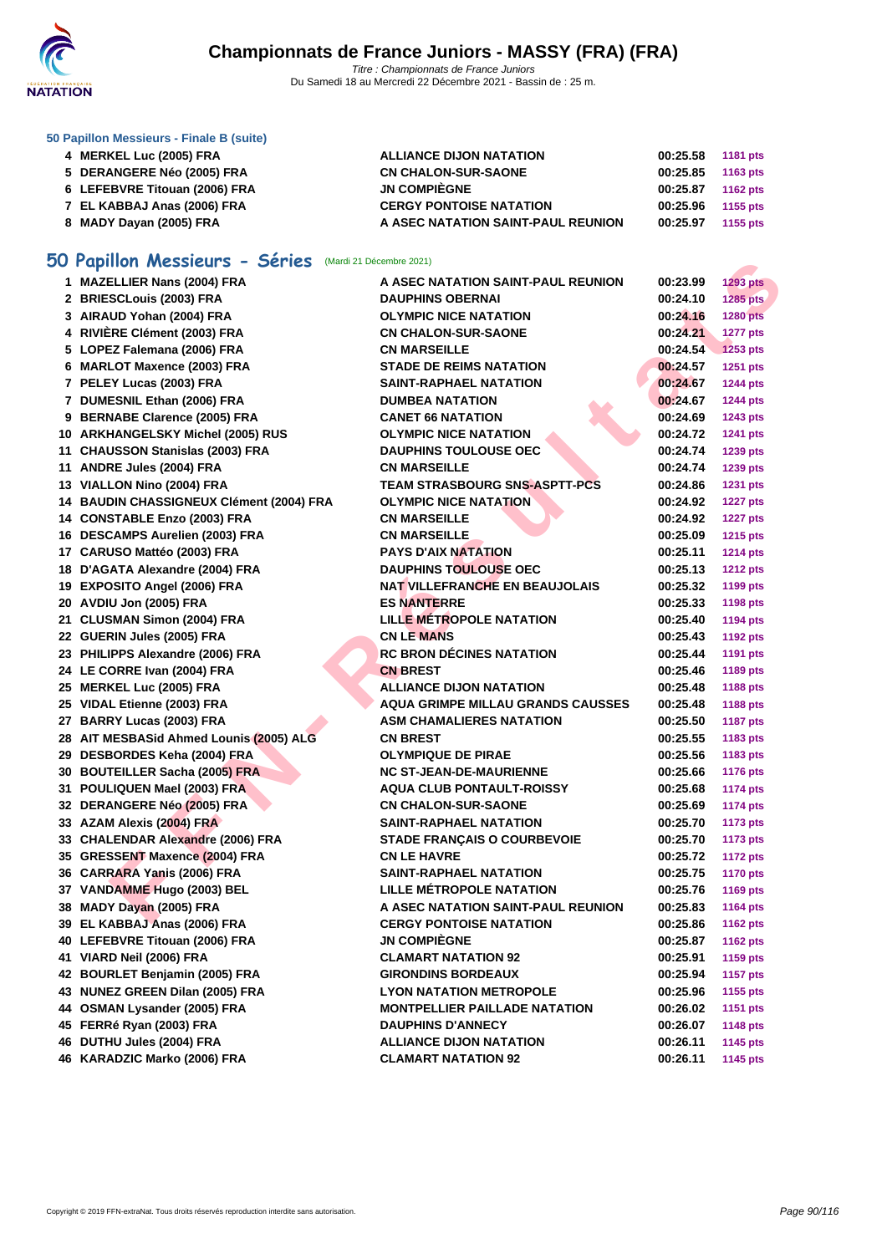

**[50 Papillo](http://www.ffnatation.fr/webffn/index.php)n Messieurs - Finale B (suite)**

| 4 MERKEL Luc (2005) FRA       | <b>ALLIANCE DIJON NATATION</b>     | 00:25.58 | 1181 pts   |
|-------------------------------|------------------------------------|----------|------------|
| 5 DERANGERE Néo (2005) FRA    | <b>CN CHALON-SUR-SAONE</b>         | 00:25.85 | 1163 $pts$ |
| 6 LEFEBVRE Titouan (2006) FRA | <b>JN COMPIÈGNE</b>                | 00:25.87 | 1162 pts   |
| 7 EL KABBAJ Anas (2006) FRA   | <b>CERGY PONTOISE NATATION</b>     | 00:25.96 | 1155 pts   |
| 8 MADY Dayan (2005) FRA       | A ASEC NATATION SAINT-PAUL REUNION | 00:25.97 | 1155 pts   |

# **50 Papillon Messieurs - Séries** (Mardi 21 Décembre 2021)

| <b>U Papillon Messieurs - Series</b> (Mardi 21 Décembre 2021) |                                          |          |                 |
|---------------------------------------------------------------|------------------------------------------|----------|-----------------|
| 1 MAZELLIER Nans (2004) FRA                                   | A ASEC NATATION SAINT-PAUL REUNION       | 00:23.99 | <b>1293 pts</b> |
| 2 BRIESCLouis (2003) FRA                                      | <b>DAUPHINS OBERNAI</b>                  | 00:24.10 | 1285 pts        |
| 3 AIRAUD Yohan (2004) FRA                                     | <b>OLYMPIC NICE NATATION</b>             | 00:24.16 | 1280 pts        |
| 4 RIVIÈRE Clément (2003) FRA                                  | <b>CN CHALON-SUR-SAONE</b>               | 00:24.21 | 1277 pts        |
| 5 LOPEZ Falemana (2006) FRA                                   | <b>CN MARSEILLE</b>                      | 00:24.54 | <b>1253 pts</b> |
| 6 MARLOT Maxence (2003) FRA                                   | <b>STADE DE REIMS NATATION</b>           | 00:24.57 | 1251 pts        |
| 7 PELEY Lucas (2003) FRA                                      | <b>SAINT-RAPHAEL NATATION</b>            | 00:24.67 | <b>1244 pts</b> |
| 7 DUMESNIL Ethan (2006) FRA                                   | <b>DUMBEA NATATION</b>                   | 00:24.67 | <b>1244 pts</b> |
| 9 BERNABE Clarence (2005) FRA                                 | <b>CANET 66 NATATION</b>                 | 00:24.69 | <b>1243 pts</b> |
| 10 ARKHANGELSKY Michel (2005) RUS                             | <b>OLYMPIC NICE NATATION</b>             | 00:24.72 | 1241 pts        |
| 11 CHAUSSON Stanislas (2003) FRA                              | <b>DAUPHINS TOULOUSE OEC</b>             | 00:24.74 | 1239 pts        |
| 11 ANDRE Jules (2004) FRA                                     | <b>CN MARSEILLE</b>                      | 00:24.74 | 1239 pts        |
| 13 VIALLON Nino (2004) FRA                                    | <b>TEAM STRASBOURG SNS-ASPTT-PCS</b>     | 00:24.86 | 1231 pts        |
| 14 BAUDIN CHASSIGNEUX Clément (2004) FRA                      | <b>OLYMPIC NICE NATATION</b>             | 00:24.92 | <b>1227 pts</b> |
| 14 CONSTABLE Enzo (2003) FRA                                  | <b>CN MARSEILLE</b>                      | 00:24.92 | <b>1227 pts</b> |
| 16 DESCAMPS Aurelien (2003) FRA                               | <b>CN MARSEILLE</b>                      | 00:25.09 | 1215 pts        |
| 17 CARUSO Mattéo (2003) FRA                                   | <b>PAYS D'AIX NATATION</b>               | 00:25.11 | <b>1214 pts</b> |
| 18 D'AGATA Alexandre (2004) FRA                               | <b>DAUPHINS TOULOUSE OEC</b>             | 00:25.13 | <b>1212 pts</b> |
| 19 EXPOSITO Angel (2006) FRA                                  | <b>NAT VILLEFRANCHE EN BEAUJOLAIS</b>    | 00:25.32 | 1199 pts        |
| 20 AVDIU Jon (2005) FRA                                       | <b>ES NANTERRE</b>                       | 00:25.33 | 1198 pts        |
| 21 CLUSMAN Simon (2004) FRA                                   | <b>LILLE MÉTROPOLE NATATION</b>          | 00:25.40 | 1194 pts        |
| 22 GUERIN Jules (2005) FRA                                    | <b>CN LE MANS</b>                        | 00:25.43 | <b>1192 pts</b> |
| 23 PHILIPPS Alexandre (2006) FRA                              | <b>RC BRON DÉCINES NATATION</b>          | 00:25.44 | 1191 pts        |
| 24 LE CORRE Ivan (2004) FRA                                   | <b>CN BREST</b>                          | 00:25.46 | 1189 pts        |
| 25 MERKEL Luc (2005) FRA                                      | <b>ALLIANCE DIJON NATATION</b>           | 00:25.48 | 1188 pts        |
| 25 VIDAL Etienne (2003) FRA                                   | <b>AQUA GRIMPE MILLAU GRANDS CAUSSES</b> | 00:25.48 | 1188 pts        |
| 27 BARRY Lucas (2003) FRA                                     | <b>ASM CHAMALIERES NATATION</b>          | 00:25.50 | <b>1187 pts</b> |
| 28 AIT MESBASid Ahmed Lounis (2005) ALG                       | <b>CN BREST</b>                          | 00:25.55 | 1183 pts        |
| 29 DESBORDES Keha (2004) FRA                                  | <b>OLYMPIQUE DE PIRAE</b>                | 00:25.56 | 1183 pts        |
| 30 BOUTEILLER Sacha (2005) FRA                                | <b>NC ST-JEAN-DE-MAURIENNE</b>           | 00:25.66 | <b>1176 pts</b> |
| 31 POULIQUEN Mael (2003) FRA                                  | <b>AQUA CLUB PONTAULT-ROISSY</b>         | 00:25.68 | <b>1174 pts</b> |
| 32 DERANGERE Néo (2005) FRA                                   | <b>CN CHALON-SUR-SAONE</b>               | 00:25.69 | <b>1174 pts</b> |
| 33 AZAM Alexis (2004) FRA                                     | <b>SAINT-RAPHAEL NATATION</b>            | 00:25.70 | <b>1173 pts</b> |
| 33 CHALENDAR Alexandre (2006) FRA                             | <b>STADE FRANÇAIS O COURBEVOIE</b>       | 00:25.70 | <b>1173 pts</b> |
| 35 GRESSENT Maxence (2004) FRA                                | <b>CN LE HAVRE</b>                       | 00:25.72 | <b>1172 pts</b> |
| 36 CARRARA Yanis (2006) FRA                                   | <b>SAINT-RAPHAEL NATATION</b>            | 00:25.75 | <b>1170 pts</b> |
| 37 VANDAMME Hugo (2003) BEL                                   | <b>LILLE MÉTROPOLE NATATION</b>          | 00:25.76 | <b>1169 pts</b> |
| 38 MADY Dayan (2005) FRA                                      | A ASEC NATATION SAINT-PAUL REUNION       | 00:25.83 | 1164 pts        |
| 39 EL KABBAJ Anas (2006) FRA                                  | <b>CERGY PONTOISE NATATION</b>           | 00:25.86 | <b>1162 pts</b> |
| 40 LEFEBVRE Titouan (2006) FRA                                | <b>JN COMPIÈGNE</b>                      | 00:25.87 | <b>1162 pts</b> |
| 41 VIARD Neil (2006) FRA                                      | <b>CLAMART NATATION 92</b>               | 00:25.91 | 1159 pts        |
| 42 BOURLET Benjamin (2005) FRA                                | <b>GIRONDINS BORDEAUX</b>                | 00:25.94 | <b>1157 pts</b> |
| 43 NUNEZ GREEN Dilan (2005) FRA                               | <b>LYON NATATION METROPOLE</b>           | 00:25.96 | 1155 pts        |
| 44 OSMAN Lysander (2005) FRA                                  | <b>MONTPELLIER PAILLADE NATATION</b>     | 00:26.02 | <b>1151 pts</b> |
| 45 FERRé Ryan (2003) FRA                                      | <b>DAUPHINS D'ANNECY</b>                 | 00:26.07 | <b>1148 pts</b> |
| 46 DUTHU Jules (2004) FRA                                     | <b>ALLIANCE DIJON NATATION</b>           | 00:26.11 | 1145 pts        |
| 46 KARADZIC Marko (2006) FRA                                  | <b>CLAMART NATATION 92</b>               | 00:26.11 | 1145 pts        |
|                                                               |                                          |          |                 |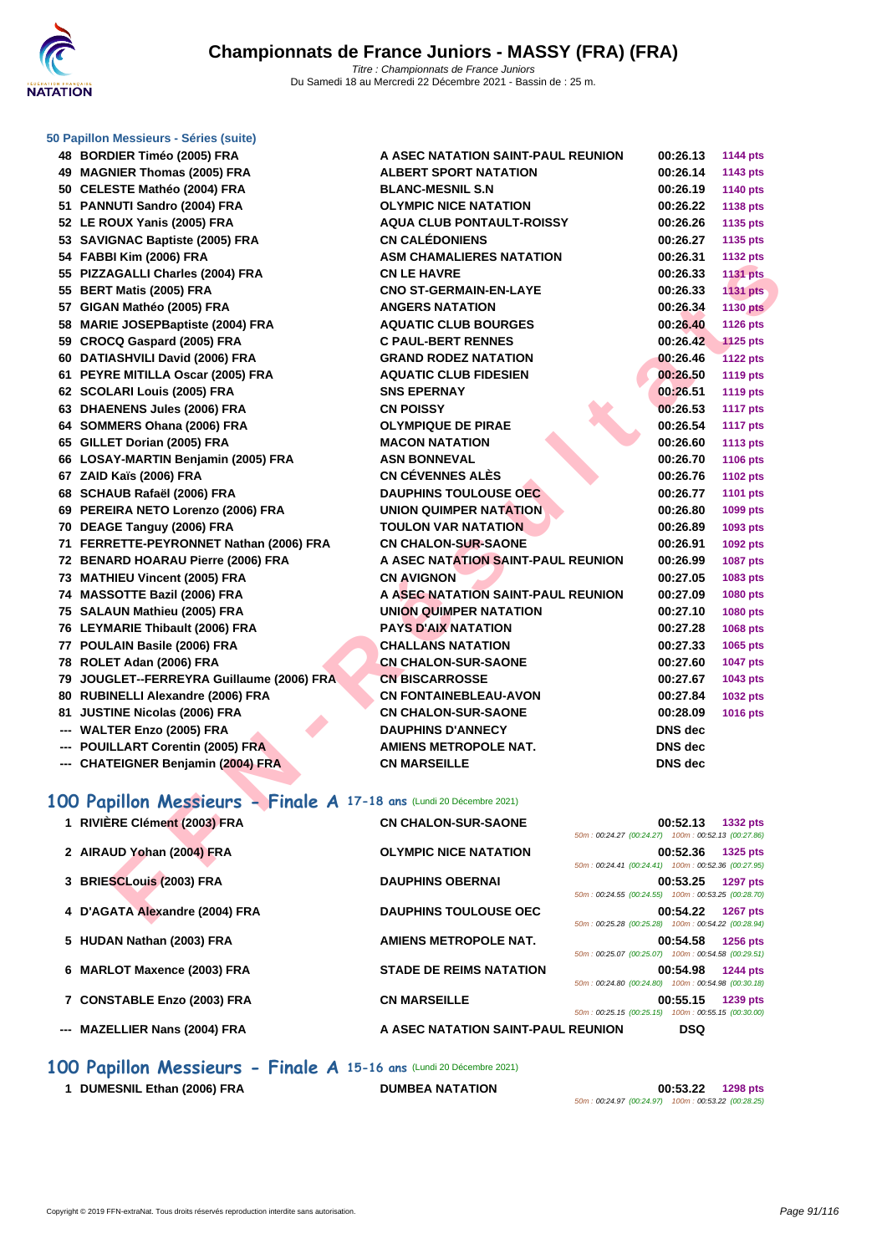

| <b>ALBERT SPORT NATATION</b><br><b>BLANC-MESNIL S.N</b> | 00:26.14<br>00:26.19 | 1143 pts        |
|---------------------------------------------------------|----------------------|-----------------|
|                                                         |                      |                 |
|                                                         |                      | 1140 pts        |
| <b>OLYMPIC NICE NATATION</b>                            | 00:26.22             | 1138 pts        |
| <b>AQUA CLUB PONTAULT-ROISSY</b>                        | 00:26.26             | 1135 pts        |
| <b>CN CALÉDONIENS</b>                                   | 00:26.27             | 1135 pts        |
| <b>ASM CHAMALIERES NATATION</b>                         | 00:26.31             | <b>1132 pts</b> |
| <b>CN LE HAVRE</b>                                      | 00:26.33             | <b>1131 pts</b> |
| <b>CNO ST-GERMAIN-EN-LAYE</b>                           | 00:26.33             | <b>1131 pts</b> |
| <b>ANGERS NATATION</b>                                  | 00:26.34             | <b>1130 pts</b> |
| <b>AQUATIC CLUB BOURGES</b>                             | 00:26.40             | <b>1126 pts</b> |
|                                                         |                      |                 |

| אזון עסטטן ווווח וטטאן די                                           | ASIW CHAMALILINES INATATION        |                                                    | 00.ZU.JI       | TIJZ PIS        |
|---------------------------------------------------------------------|------------------------------------|----------------------------------------------------|----------------|-----------------|
| 55 PIZZAGALLI Charles (2004) FRA                                    | <b>CN LE HAVRE</b>                 |                                                    | 00:26.33       | <b>1131 pts</b> |
| 55 BERT Matis (2005) FRA                                            | <b>CNO ST-GERMAIN-EN-LAYE</b>      |                                                    | 00:26.33       | <b>1131 pts</b> |
| 57 GIGAN Mathéo (2005) FRA                                          | <b>ANGERS NATATION</b>             |                                                    | 00:26.34       | <b>1130 pts</b> |
| 58 MARIE JOSEPBaptiste (2004) FRA                                   | <b>AQUATIC CLUB BOURGES</b>        |                                                    | 00:26.40       | <b>1126 pts</b> |
| 59 CROCQ Gaspard (2005) FRA                                         | <b>C PAUL-BERT RENNES</b>          |                                                    | 00:26.42       | <b>1125 pts</b> |
| 60 DATIASHVILI David (2006) FRA                                     | <b>GRAND RODEZ NATATION</b>        |                                                    | 00:26.46       | <b>1122 pts</b> |
| 61 PEYRE MITILLA Oscar (2005) FRA                                   | <b>AQUATIC CLUB FIDESIEN</b>       |                                                    | 00:26.50       | <b>1119 pts</b> |
| 62 SCOLARI Louis (2005) FRA                                         | <b>SNS EPERNAY</b>                 |                                                    | 00:26.51       | <b>1119 pts</b> |
| 63 DHAENENS Jules (2006) FRA                                        | <b>CN POISSY</b>                   |                                                    | 00:26.53       | <b>1117 pts</b> |
| 64 SOMMERS Ohana (2006) FRA                                         | <b>OLYMPIQUE DE PIRAE</b>          |                                                    | 00:26.54       | <b>1117 pts</b> |
| 65 GILLET Dorian (2005) FRA                                         | <b>MACON NATATION</b>              |                                                    | 00:26.60       | <b>1113 pts</b> |
| 66 LOSAY-MARTIN Benjamin (2005) FRA                                 | <b>ASN BONNEVAL</b>                |                                                    | 00:26.70       | 1106 pts        |
| 67 ZAID Kaïs (2006) FRA                                             | CN CÉVENNES ALÈS                   |                                                    | 00:26.76       | 1102 pts        |
| 68 SCHAUB Rafaël (2006) FRA                                         | <b>DAUPHINS TOULOUSE OEC</b>       |                                                    | 00:26.77       | 1101 pts        |
| 69 PEREIRA NETO Lorenzo (2006) FRA                                  | UNION QUIMPER NATATION             |                                                    | 00:26.80       | 1099 pts        |
| 70 DEAGE Tanguy (2006) FRA                                          | <b>TOULON VAR NATATION</b>         |                                                    | 00:26.89       | 1093 pts        |
| 71 FERRETTE-PEYRONNET Nathan (2006) FRA                             | <b>CN CHALON-SUR-SAONE</b>         |                                                    | 00:26.91       | 1092 pts        |
| 72 BENARD HOARAU Pierre (2006) FRA                                  | A ASEC NATATION SAINT-PAUL REUNION |                                                    | 00:26.99       | <b>1087 pts</b> |
| 73 MATHIEU Vincent (2005) FRA                                       | <b>CN AVIGNON</b>                  |                                                    | 00:27.05       | 1083 pts        |
| 74 MASSOTTE Bazil (2006) FRA                                        | A ASEC NATATION SAINT-PAUL REUNION |                                                    | 00:27.09       | 1080 pts        |
| 75 SALAUN Mathieu (2005) FRA                                        | UNION QUIMPER NATATION             |                                                    | 00:27.10       | 1080 pts        |
| 76 LEYMARIE Thibault (2006) FRA                                     | <b>PAYS D'AIX NATATION</b>         |                                                    | 00:27.28       | 1068 pts        |
| 77 POULAIN Basile (2006) FRA                                        | <b>CHALLANS NATATION</b>           |                                                    | 00:27.33       | 1065 pts        |
| 78 ROLET Adan (2006) FRA                                            | <b>CN CHALON-SUR-SAONE</b>         |                                                    | 00:27.60       | <b>1047 pts</b> |
| 79 JOUGLET--FERREYRA Guillaume (2006) FRA                           | <b>CN BISCARROSSE</b>              |                                                    | 00:27.67       | 1043 pts        |
| 80 RUBINELLI Alexandre (2006) FRA                                   | <b>CN FONTAINEBLEAU-AVON</b>       |                                                    | 00:27.84       | 1032 pts        |
| 81 JUSTINE Nicolas (2006) FRA                                       | <b>CN CHALON-SUR-SAONE</b>         |                                                    | 00:28.09       | 1016 pts        |
| --- WALTER Enzo (2005) FRA                                          | <b>DAUPHINS D'ANNECY</b>           |                                                    | DNS dec        |                 |
| --- POUILLART Corentin (2005) FRA                                   | AMIENS METROPOLE NAT.              |                                                    | <b>DNS</b> dec |                 |
| --- CHATEIGNER Benjamin (2004) FRA                                  | <b>CN MARSEILLE</b>                |                                                    | <b>DNS</b> dec |                 |
|                                                                     |                                    |                                                    |                |                 |
| 00 Papillon Messieurs - Finale A 17-18 ans (Lundi 20 Décembre 2021) |                                    |                                                    |                |                 |
| 1 RIVIÈRE Clément (2003) FRA                                        | <b>CN CHALON-SUR-SAONE</b>         | 50m: 00:24.27 (00:24.27) 100m: 00:52.13 (00:27.86) | 00:52.13       | <b>1332 pts</b> |
| 2 AIRAUD Yohan (2004) FRA                                           | <b>OLYMPIC NICE NATATION</b>       |                                                    | 00:52.36       | 1325 pts        |
|                                                                     |                                    | 50m: 00:24.41 (00:24.41) 100m: 00:52.36 (00:27.95) |                |                 |
| 3 BRIESCLouis (2003) FRA                                            | <b>DAUPHINS OBERNAI</b>            |                                                    | 00:53.25       | <b>1297 pts</b> |
|                                                                     |                                    | 50m: 00:24.55 (00:24.55) 100m: 00:53.25 (00:28.70) |                |                 |
| 4 D'AGATA Alexandre (2004) FRA                                      | <b>DAUPHINS TOULOUSE OEC</b>       |                                                    | 00:54.22       | 1267 pts        |
|                                                                     |                                    |                                                    |                |                 |

## **100 Papillon Messieurs - Finale A 17-18 ans** (Lundi 20 Décembre 2021)

| 1 RIVIERE Clément (2003) FRA   | <b>CN CHALON-SUR-SAONE</b>         | 00:52.13<br>1332 pts                                                              |
|--------------------------------|------------------------------------|-----------------------------------------------------------------------------------|
|                                |                                    | 50m: 00:24.27 (00:24.27) 100m: 00:52.13 (00:27.86)                                |
| 2 AIRAUD Yohan (2004) FRA      | <b>OLYMPIC NICE NATATION</b>       | 00:52.36<br>1325 pts                                                              |
|                                |                                    | 50m: 00:24.41 (00:24.41) 100m: 00:52.36 (00:27.95)                                |
| 3 BRIESCLouis (2003) FRA       | <b>DAUPHINS OBERNAI</b>            | 00:53.25<br>1297 pts                                                              |
|                                |                                    | 50m: 00:24.55 (00:24.55) 100m: 00:53.25 (00:28.70)                                |
| 4 D'AGATA Alexandre (2004) FRA | <b>DAUPHINS TOULOUSE OEC</b>       | <b>1267 pts</b><br>00:54.22<br>50m: 00:25.28 (00:25.28) 100m: 00:54.22 (00:28.94) |
| 5 HUDAN Nathan (2003) FRA      | AMIENS METROPOLE NAT.              | 00:54.58<br>1256 pts                                                              |
|                                |                                    | 50m: 00:25.07 (00:25.07) 100m: 00:54.58 (00:29.51)                                |
| 6 MARLOT Maxence (2003) FRA    | <b>STADE DE REIMS NATATION</b>     | 00:54.98<br><b>1244 pts</b>                                                       |
|                                |                                    | 50m: 00:24.80 (00:24.80) 100m: 00:54.98 (00:30.18)                                |
| 7 CONSTABLE Enzo (2003) FRA    | <b>CN MARSEILLE</b>                | 00:55.15<br>1239 pts                                                              |
|                                |                                    | 50m: 00:25.15 (00:25.15) 100m: 00:55.15 (00:30.00)                                |
| --- MAZELLIER Nans (2004) FRA  | A ASEC NATATION SAINT-PAUL REUNION | <b>DSQ</b>                                                                        |

## **100 Papillon Messieurs - Finale A 15-16 ans** (Lundi 20 Décembre 2021)

**DUMESNIL Ethan (2006) FRA DUMBEA NATATION 00:53.22 1298 pts**

50m : 00:24.97 (00:24.97) 100m : 00:53.22 (00:28.25)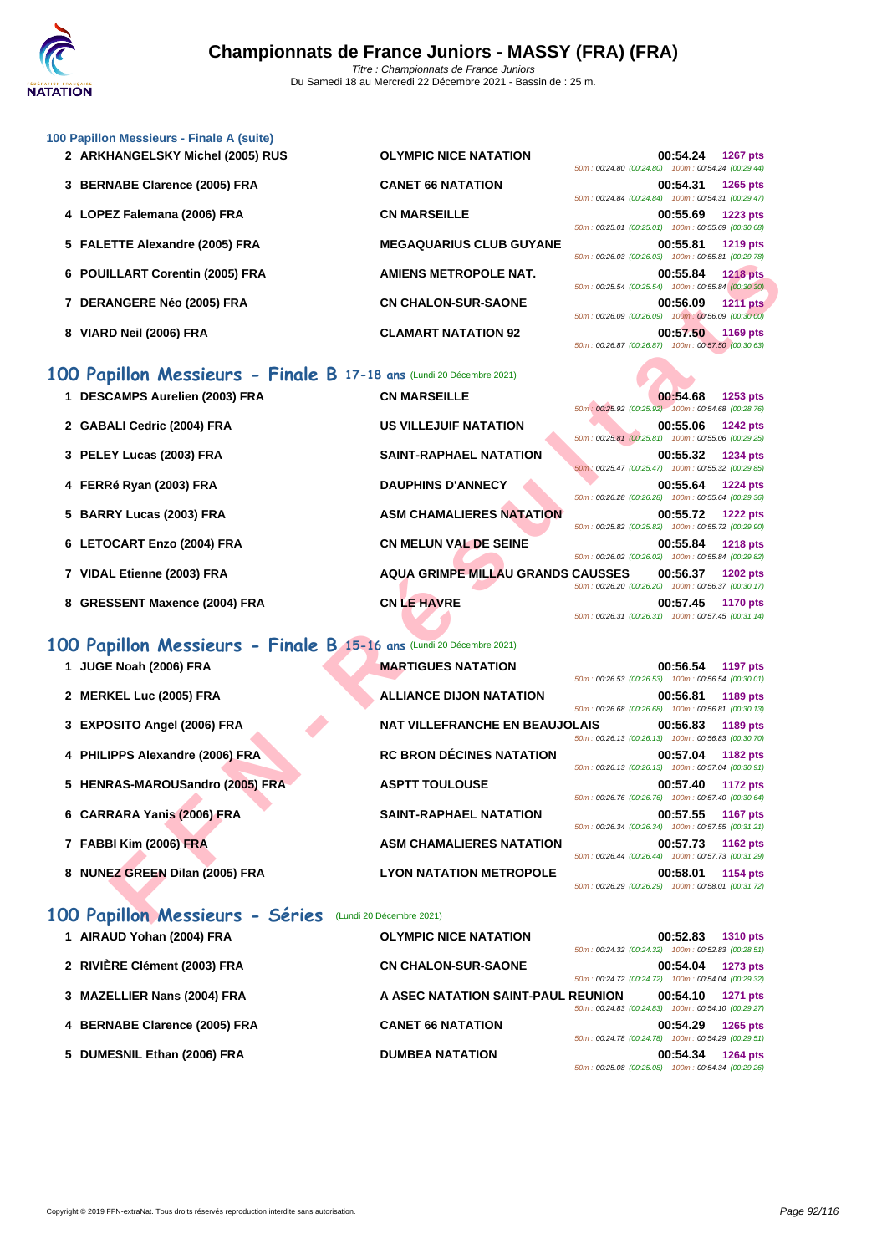

## **[100 Papil](http://www.ffnatation.fr/webffn/index.php)lon Messieurs - Finale A (suite)**

- 2 **ARKHANGELSKY Michel (2005) RUS OLYMPIC NICE NATATION**
- **3 BERNABE Clarence (2005) FRA CANET 66 NATATION 00:54.31 1265 pts**
- **4 LOPEZ Falemana (2006) FRA CN MARSEILLE 00:55.69 1223 pts**
- 5 **FALETTE Alexandre (2005) FRA MEGAQUARIUS CLUB GUYAN**
- **6 POUILLART Corentin (2005) FRA AMIENS METROPOLE NAT.**
- **7 DERANGERE Néo (2005) FRA CN CHALON-SUR-SAONE 00:56.09 1211 pts**
- **8 VIARD Neil (2006) FRA CLAMART NATATION 92 00:57.50 1169 pts**

## **100 Papillon Messieurs - Finale B 17-18 ans** (Lundi 20 Décembre 2021)

| 1 DESCAMPS Aurelien (2003) FRA | <b>CN MARSEILLE</b>           |
|--------------------------------|-------------------------------|
| 2 GABALI Cedric (2004) FRA     | US VILLEJUIF NATATION         |
| 3 PELEY Lucas (2003) FRA       | <b>SAINT-RAPHAEL NATATION</b> |

- **4 FERRé Ryan (2003) FRA DAUPHINS D'ANNECY 00:55.64 1224 pts**
- **5 BARRY Lucas (2003) FRA ASM CHAMALIERES NATATION**
- **6** LETOCART Enzo (2004) FRA **CN MELUN VAL DE SEINE**
- **7 VIDAL Etienne (2003) FRA AQUA GRIMPE MILLAU GRAND**
- **8 GRESSENT Maxence (2004) FRA CN LE HAVRE**

## **100 Papillon Messieurs - Finale B 15-16 ans** (Lundi 20 Décembre 2021)

**1 JUGE Noah (2006) FRA MARTIGUES NATATION** 

- **2 MERKEL Luc (2005) FRA ALLIANCE DIJON NATATION**
- **3 EXPOSITO Angel (2006) FRA NAT VILLEFRANCHE EN BEAUJO**
- **4 PHILIPPS Alexandre (2006) FRA RC BRON DÉCINES NATATION**
- **5 HENRAS-MAROUSandro (2005) FRA ASPTT TOULOUSE 00:57.40 1172 pts**
- **6** CARRARA Yanis (2006) FRA **SAINT-RAPHAEL NATATION**
- **7 FABBI Kim (2006) FRA ASM CHAMALIERES NATATION**
- **8 NUNEZ GREEN Dilan (2005) FRA LYON NATATION METROPOLE 00:58.01 1154 pts**

## **100 Papillon Messieurs - Séries** (Lundi 20 Décembre 2021)

| 1 AIRAUD Yohan (2004) FRA     | <b>OLYMPIC NICE NATATION</b>       |                                                    | 00:52.83 | <b>1310 pts</b> |
|-------------------------------|------------------------------------|----------------------------------------------------|----------|-----------------|
|                               |                                    | 50m: 00:24.32 (00:24.32) 100m: 00:52.83 (00:28.51) |          |                 |
| 2 RIVIÈRE Clément (2003) FRA  | <b>CN CHALON-SUR-SAONE</b>         |                                                    | 00:54.04 | <b>1273 pts</b> |
|                               |                                    | 50m: 00:24.72 (00:24.72) 100m: 00:54.04 (00:29.32) |          |                 |
| 3 MAZELLIER Nans (2004) FRA   | A ASEC NATATION SAINT-PAUL REUNION |                                                    | 00:54.10 | <b>1271 pts</b> |
|                               |                                    | 50m: 00:24.83 (00:24.83) 100m: 00:54.10 (00:29.27) |          |                 |
| 4 BERNABE Clarence (2005) FRA | <b>CANET 66 NATATION</b>           |                                                    | 00:54.29 | 1265 pts        |
|                               |                                    | 50m: 00:24.78 (00:24.78) 100m: 00:54.29 (00:29.51) |          |                 |
| 5 DUMESNIL Ethan (2006) FRA   | <b>DUMBEA NATATION</b>             |                                                    | 00:54.34 | <b>1264 pts</b> |
|                               |                                    | 50m: 00:25.08 (00:25.08) 100m: 00:54.34 (00:29.26) |          |                 |

|    | 50m: 00:24.80 (00:24.80) 100m: 00:54.24 (00:29.44) | 00:54.24 1267 pts |  |
|----|----------------------------------------------------|-------------------|--|
|    | 50m: 00:24.84 (00:24.84) 100m: 00:54.31 (00:29.47) | 00:54.31 1265 pts |  |
|    | 50m: 00:25.01 (00:25.01) 100m: 00:55.69 (00:30.68) | 00:55.69 1223 pts |  |
| ΙE | 50m: 00:26.03 (00:26.03) 100m: 00:55.81 (00:29.78) | 00:55.81 1219 pts |  |
|    | 50m: 00:25.54 (00:25.54) 100m: 00:55.84 (00:30.30) | 00:55.84 1218 pts |  |
|    | 50m: 00:26.09 (00:26.09) 100m: 00:56.09 (00:30.00) | 00:56.09 1211 pts |  |
|    | 50m: 00:26.87 (00:26.87) 100m: 00:57.50 (00:30.63) | 00:57.50 1169 pts |  |

|                                                                       |                                          | JUIN. UU. LU.UJ (UU. LU.UJ)                        |          | <u>100111. 00.00.01 [00.23.10]</u> |
|-----------------------------------------------------------------------|------------------------------------------|----------------------------------------------------|----------|------------------------------------|
| <b>ILLART Corentin (2005) FRA</b>                                     | AMIENS METROPOLE NAT.                    | 50m: 00:25.54 (00:25.54) 100m: 00:55.84 (00:30.30) | 00:55.84 | <b>1218 pts</b>                    |
| <b>ANGERE Néo (2005) FRA</b>                                          | <b>CN CHALON-SUR-SAONE</b>               | 50m: 00:26.09 (00:26.09) 100m: 00:56.09 (00:30.00) | 00:56.09 | <b>1211 pts</b>                    |
| D Neil (2006) FRA                                                     | <b>CLAMART NATATION 92</b>               | 50m: 00:26.87 (00:26.87) 100m: 00:57.50 (00:30.63) | 00:57.50 | 1169 pts                           |
| <b>Dillon Messieurs - Finale B 17-18 ans</b> (Lundi 20 Décembre 2021) |                                          |                                                    |          |                                    |
| CAMPS Aurelien (2003) FRA                                             | <b>CN MARSEILLE</b>                      | 50m: 00:25.92 (00:25.92) 100m: 00:54.68 (00:28.76) | 00:54.68 | 1253 pts                           |
| ALI Cedric (2004) FRA                                                 | <b>US VILLEJUIF NATATION</b>             | 50m: 00:25.81 (00:25.81) 100m: 00:55.06 (00:29.25) | 00:55.06 | 1242 pts                           |
| EY Lucas (2003) FRA                                                   | <b>SAINT-RAPHAEL NATATION</b>            | 50m: 00:25.47 (00:25.47) 100m: 00:55.32 (00:29.85) | 00:55.32 | 1234 pts                           |
| <b>Ré Ryan (2003) FRA</b>                                             | <b>DAUPHINS D'ANNECY</b>                 | 50m: 00:26.28 (00:26.28) 100m: 00:55.64 (00:29.36) | 00:55.64 | <b>1224 pts</b>                    |
| RY Lucas (2003) FRA                                                   | <b>ASM CHAMALIERES NATATION</b>          | 50m: 00:25.82 (00:25.82) 100m: 00:55.72 (00:29.90) | 00:55.72 | <b>1222 pts</b>                    |
| <b>DCART Enzo (2004) FRA</b>                                          | <b>CN MELUN VAL DE SEINE</b>             | 50m: 00:26.02 (00:26.02) 100m: 00:55.84 (00:29.82) | 00:55.84 | <b>1218 pts</b>                    |
| L Etienne (2003) FRA                                                  | <b>AQUA GRIMPE MILLAU GRANDS CAUSSES</b> | 50m: 00:26.20 (00:26.20) 100m: 00:56.37 (00:30.17) | 00:56.37 | <b>1202 pts</b>                    |
| SSENT Maxence (2004) FRA                                              | <b>CN LE HAVRE</b>                       | 50m: 00:26.31 (00:26.31) 100m: 00:57.45 (00:31.14) | 00:57.45 | <b>1170 pts</b>                    |
| pillon Messieurs - Finale B 15-16 ans (Lundi 20 Décembre 2021)        |                                          |                                                    |          |                                    |
| <b>E Noah (2006) FRA</b>                                              | <b>MARTIGUES NATATION</b>                | 50m: 00:26.53 (00:26.53) 100m: 00:56.54 (00:30.01) | 00:56.54 | 1197 pts                           |
| <b>KEL Luc (2005) FRA</b>                                             | <b>ALLIANCE DIJON NATATION</b>           | 50m: 00:26.68 (00:26.68) 100m: 00:56.81 (00:30.13) | 00:56.81 | 1189 pts                           |
| <b>DSITO Angel (2006) FRA</b>                                         | <b>NAT VILLEFRANCHE EN BEAUJOLAIS</b>    | 50m: 00:26.13 (00:26.13) 100m: 00:56.83 (00:30.70) | 00:56.83 | 1189 pts                           |
| IPPS Alexandre (2006) FRA                                             | <b>RC BRON DÉCINES NATATION</b>          | 50m: 00:26.13 (00:26.13) 100m: 00:57.04 (00:30.91) | 00:57.04 | 1182 pts                           |
| RAS-MAROUSandro (2005) FRA                                            | <b>ASPTT TOULOUSE</b>                    | 50m: 00:26.76 (00:26.76) 100m: 00:57.40 (00:30.64) | 00:57.40 | 1172 pts                           |
| RARA Yanis (2006) FRA                                                 | <b>SAINT-RAPHAEL NATATION</b>            | 50m: 00:26.34 (00:26.34) 100m: 00:57.55 (00:31.21) | 00:57.55 | <b>1167 pts</b>                    |
| <b>BI Kim (2006) FRA</b>                                              | <b>ASM CHAMALIERES NATATION</b>          | 50m: 00:26.44 (00:26.44) 100m: 00:57.73 (00:31.29) | 00:57.73 | <b>1162 pts</b>                    |
| EZ GREEN Dilan (2005) FRA                                             | <b>LYON NATATION METROPOLE</b>           | 50m: 00:26.29 (00:26.29) 100m: 00:58.01 (00:31.72) | 00:58.01 | 1154 pts                           |
| pillon Messieurs - Séries (Lundi 20 Décembre 2021)                    |                                          |                                                    |          |                                    |

| 50m: 00:26.53 (00:26.53) 100m: 00:56.54 (00:30.01) | 00:56.54 1197 pts |  |
|----------------------------------------------------|-------------------|--|
|                                                    | 00:56.81 1189 pts |  |
| 50m: 00:26.68 (00:26.68) 100m: 00:56.81 (00:30.13) |                   |  |
| <b>DLAIS</b>                                       | 00:56.83 1189 pts |  |
| 50m: 00:26.13 (00:26.13) 100m: 00:56.83 (00:30.70) |                   |  |
|                                                    | 00:57.04 1182 pts |  |
| 50m: 00:26.13 (00:26.13) 100m: 00:57.04 (00:30.91) |                   |  |
|                                                    | 00:57.40 1172 pts |  |
| 50m: 00:26.76 (00:26.76) 100m: 00:57.40 (00:30.64) |                   |  |
|                                                    | 00:57.55 1167 pts |  |
| 50m: 00:26.34 (00:26.34) 100m: 00:57.55 (00:31.21) |                   |  |
|                                                    | 00:57.73 1162 pts |  |
| 50m: 00:26.44 (00:26.44) 100m: 00:57.73 (00:31.29) |                   |  |
|                                                    | 00:58.01 1154 pts |  |
| 50m: 00:26.29 (00:26.29) 100m: 00:58.01 (00:31.72) |                   |  |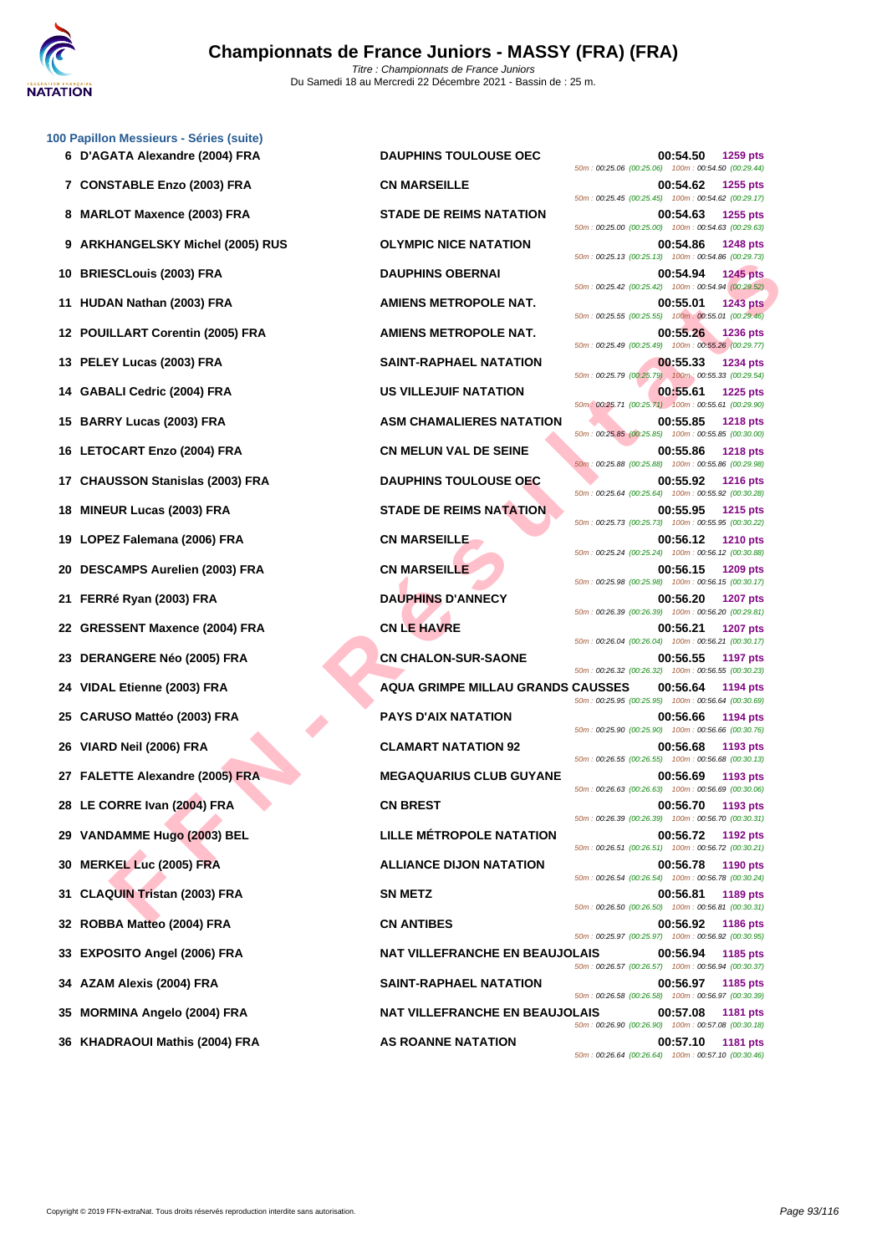

**[100 Papil](http://www.ffnatation.fr/webffn/index.php)lon Messieurs - Séries (suite)**

| 7 CONSTABLE Enzo (2003) FRA      | <b>CN MARSEILLE</b>                      | 1255 pts<br>00:54.62<br>50m: 00:25.45 (00:25.45) 100m: 00:54.62 (00:29.17)          |
|----------------------------------|------------------------------------------|-------------------------------------------------------------------------------------|
| 8 MARLOT Maxence (2003) FRA      | <b>STADE DE REIMS NATATION</b>           | 00:54.63<br>1255 pts<br>50m: 00:25.00 (00:25.00) 100m: 00:54.63 (00:29.63)          |
| 9 ARKHANGELSKY Michel (2005) RUS | <b>OLYMPIC NICE NATATION</b>             | <b>1248 pts</b><br>00:54.86<br>50m: 00:25.13 (00:25.13) 100m: 00:54.86 (00:29.73)   |
| 10 BRIESCLouis (2003) FRA        | <b>DAUPHINS OBERNAI</b>                  | 00:54.94<br><b>1245 pts</b><br>50m: 00:25.42 (00:25.42) 100m: 00:54.94 (00:29.52)   |
| 11 HUDAN Nathan (2003) FRA       | <b>AMIENS METROPOLE NAT.</b>             | 00:55.01<br><b>1243 pts</b>                                                         |
| 12 POUILLART Corentin (2005) FRA | <b>AMIENS METROPOLE NAT.</b>             | 50m: 00:25.55 (00:25.55) 100m: 00:55.01 (00:29.46)<br>00:55.26<br><b>1236 pts</b>   |
| 13 PELEY Lucas (2003) FRA        | <b>SAINT-RAPHAEL NATATION</b>            | 50m: 00:25.49 (00:25.49) 100m: 00:55.26 (00:29.77)<br>00:55.33<br>1234 pts          |
| 14 GABALI Cedric (2004) FRA      | <b>US VILLEJUIF NATATION</b>             | 50m: 00:25.79 (00:25.79) 100m: 00:55.33 (00:29.54)<br>00:55.61<br>1225 pts          |
| 15 BARRY Lucas (2003) FRA        | <b>ASM CHAMALIERES NATATION</b>          | 50m: 00:25.71 (00:25.71) 100m: 00:55.61 (00:29.90)<br>00:55.85<br><b>1218 pts</b>   |
| 16 LETOCART Enzo (2004) FRA      | <b>CN MELUN VAL DE SEINE</b>             | 50m: 00:25.85 (00:25.85) 100m: 00:55.85 (00:30.00)<br>00:55.86<br><b>1218 pts</b>   |
| 17 CHAUSSON Stanislas (2003) FRA | <b>DAUPHINS TOULOUSE OEC</b>             | 50m: 00:25.88 (00:25.88) 100m: 00:55.86 (00:29.98)<br>00:55.92<br><b>1216 pts</b>   |
| 18 MINEUR Lucas (2003) FRA       | <b>STADE DE REIMS NATATION</b>           | 50m: 00:25.64 (00:25.64) 100m: 00:55.92 (00:30.28)<br>00:55.95<br><b>1215 pts</b>   |
| 19 LOPEZ Falemana (2006) FRA     | <b>CN MARSEILLE</b>                      | 50m: 00:25.73 (00:25.73) 100m: 00:55.95 (00:30.22)<br>00:56.12<br><b>1210 pts</b>   |
| 20 DESCAMPS Aurelien (2003) FRA  | <b>CN MARSEILLE</b>                      | 50m: 00:25.24 (00:25.24) 100m: 00:56.12 (00:30.88)<br>00:56.15<br>1209 pts          |
| 21 FERRé Ryan (2003) FRA         | <b>DAUPHINS D'ANNECY</b>                 | 50m: 00:25.98 (00:25.98) 100m: 00:56.15 (00:30.17)<br>00:56.20<br>1207 pts          |
| 22 GRESSENT Maxence (2004) FRA   | <b>CN LE HAVRE</b>                       | 50m: 00:26.39 (00:26.39) 100m: 00:56.20 (00:29.81)<br>00:56.21<br><b>1207 pts</b>   |
| 23 DERANGERE Néo (2005) FRA      | <b>CN CHALON-SUR-SAONE</b>               | 50m: 00:26.04 (00:26.04) 100m: 00:56.21 (00:30.17)<br>00:56.55<br><b>1197 pts</b>   |
| 24 VIDAL Etienne (2003) FRA      | <b>AQUA GRIMPE MILLAU GRANDS CAUSSES</b> | 50m: 00:26.32 (00:26.32) 100m: 00:56.55 (00:30.23)<br>00:56.64<br>1194 pts          |
| 25 CARUSO Mattéo (2003) FRA      | <b>PAYS D'AIX NATATION</b>               | 50m: 00:25.95 (00:25.95) 100m: 00:56.64 (00:30.69)<br>00:56.66<br>1194 pts          |
| 26 VIARD Neil (2006) FRA         | <b>CLAMART NATATION 92</b>               | 50m: 00:25.90 (00:25.90) 100m: 00:56.66 (00:30.76)<br>00:56.68<br>1193 pts          |
| 27 FALETTE Alexandre (2005) FRA  | <b>MEGAQUARIUS CLUB GUYANE</b>           | 50m: 00:26.55 (00:26.55) 100m: 00:56.68 (00:30.13)<br>00:56.69<br>1193 pts          |
| 28 LE CORRE Ivan (2004) FRA      | <b>CN BREST</b>                          | 50m: 00:26.63 (00:26.63) 100m: 00:56.69 (00:30.06)<br>00:56.70<br>1193 pts          |
| 29 VANDAMME Hugo (2003) BEL      | <b>LILLE MÉTROPOLE NATATION</b>          | 50m : 00:26.39 (00:26.39) 100m : 00:56.70 (00:30.31)<br>00:56.72<br><b>1192 pts</b> |
| 30 MERKEL Luc (2005) FRA         | <b>ALLIANCE DIJON NATATION</b>           | 50m: 00:26.51 (00:26.51) 100m: 00:56.72 (00:30.21)<br>00:56.78<br>1190 pts          |
| 31 CLAQUIN Tristan (2003) FRA    | <b>SN METZ</b>                           | 50m: 00:26.54 (00:26.54) 100m: 00:56.78 (00:30.24)<br>1189 pts<br>00:56.81          |
| 32 ROBBA Matteo (2004) FRA       | <b>CN ANTIBES</b>                        | 50m : 00:26.50 (00:26.50) 100m : 00:56.81 (00:30.31)<br>00:56.92<br><b>1186 pts</b> |
| 33 EXPOSITO Angel (2006) FRA     | <b>NAT VILLEFRANCHE EN BEAUJOLAIS</b>    | 50m: 00:25.97 (00:25.97) 100m: 00:56.92 (00:30.95)<br>00:56.94<br>1185 pts          |
| 34 AZAM Alexis (2004) FRA        | <b>SAINT-RAPHAEL NATATION</b>            | 50m: 00:26.57 (00:26.57) 100m: 00:56.94 (00:30.37)<br>1185 pts<br>00:56.97          |
| 35 MORMINA Angelo (2004) FRA     | <b>NAT VILLEFRANCHE EN BEAUJOLAIS</b>    | 50m: 00:26.58 (00:26.58) 100m: 00:56.97 (00:30.39)<br>00:57.08<br>1181 pts          |
| 36 KHADRAOUI Mathis (2004) FRA   | <b>AS ROANNE NATATION</b>                | 50m: 00:26.90 (00:26.90) 100m: 00:57.08 (00:30.18)<br>00:57.10<br><b>1181 pts</b>   |

**FANDING COOSTRA CHARLES NATATION 2003 FRA**<br> **FEILLIANCE COOSTRA CLAMATER SERVER CHARLES NATATION 2003 FRA**<br> **FILLIANCE COOSTRA ARENES NATATION 2003 FRA**<br> **FILLIANCE COOSTRA ARENES NATATION 2003 FRA**<br> **FILLIANCE COOSTRA AR 6 D'AGATA Alexandre (2004) FRA DAUPHINS TOULOUSE OEC 00:54.50 1259 pts** 50m : 00:25.06 (00:25.06) 100m : 00:54.50 (00:29.44) **7 CONSTABLE Enzo (2003) FRA CN MARSEILLE 00:54.62 1255 pts** 50m : 00:25.45 (00:25.45) 100m : 00:54.62 (00:29.17) **87ADE DE REIMS NATATION 00:54.63 1255 pts** 50m : 00:25.00 (00:25.00) 100m : 00:54.63 (00:29.63) **90:54.86 1248 pts** 50m : 00:25.13 (00:25.13) 100m : 00:54.86 (00:29.73) **10 BRIESCLouis (2003) FRA DAUPHINS OBERNAI 00:54.94 1245 pts** 50m : 00:25.42 (00:25.42) 100m : 00:54.94 (00:29.52) **1243 pts 1243 pts 1243 pts** 50m : 00:25.55 (00:25.55) 100m : 00:55.01 (00:29.46) **1236 POUILLART CORPORT CONTROLLARY CONTROLLARY CONTROLLARY CONTROLLEY NAT. 00:55.26 1236 pts** 50m : 00:25.49 (00:25.49) 100m : 00:55.26 (00:29.77) **13 PELEY Lucas (2003) FRA SAINT-RAPHAEL NATATION 00:55.33 1234 pts** 50m : 00:25.79 (00:25.79) 100m : 00:55.33 (00:29.54) **141 <b>US VILLEJUIF NATATION 1225 pts** 50m : 00:25.71 (00:25.71) 100m : 00:55.61 (00:29.90) **1218 pts 1218 pts** 50m : 00:25.85 (00:25.85) 100m : 00:55.85 (00:30.00) **1218 pts 1218 pts 1218 pts** 50m : 00:25.88 (00:25.88) 100m : 00:55.86 (00:29.98) **1716 BAUPHINS TOULOUSE OEC 00:55.92 1216 pts** 50m : 00:25.64 (00:25.64) 100m : 00:55.92 (00:30.28) **1215 pts 1215 pts 1215 pts** 50m : 00:25.73 (00:25.73) 100m : 00:55.95 (00:30.22) **19 LOPEZ Falemana (2006) FRA CN MARSEILLE 00:56.12 1210 pts** 50m : 00:25.24 (00:25.24) 100m : 00:56.12 (00:30.88) **2001 BELLIEN (2003) FRANCH CN MARSEILLE 1209 pts** 50m : 00:25.98 (00:25.98) 100m : 00:56.15 (00:30.17) **21 FERRé Ryan (2003) FRA DAUPHINS D'ANNECY 00:56.20 1207 pts** 50m : 00:26.39 (00:26.39) 100m : 00:56.20 (00:29.81) **22 CN LE HAVRE 222 CN LE HAVRE 00:56.21 1207 pts** 50m : 00:26.04 (00:26.04) 100m : 00:56.21 (00:30.17) **23 CN CHALON-SUR-SAONE 00:56.55 1197 pts** 50m : 00:26.32 (00:26.32) 100m : 00:56.55 (00:30.23) **24 VIDAL Etienne (2003) FRA AQUA GRIMPE MILLAU GRANDS CAUSSES 00:56.64 1194 pts** 50m : 00:25.95 (00:25.95) 100m : 00:56.64 (00:30.69) **256.66 PAYS D'AIX NATATION 255.66 1194 pts** 50m : 00:25.90 (00:25.90) 100m : 00:56.66 (00:30.76) **26 VIARD Neil (2006) FRA CLAMART NATATION 92 00:56.68 1193 pts** 50m : 00:26.55 (00:26.55) 100m : 00:56.68 (00:30.13) **27 FALETTE Alexandre (2005) FRA MEGAQUARIUS CLUB GUYANE 00:56.69 1193 pts** 50m : 00:26.63 (00:26.63) 100m : 00:56.69 (00:30.06) **28 CN BREST 28 CN BREST 00:56.70 1193 pts** 50m : 00:26.39 (00:26.39) 100m : 00:56.70 (00:30.31) **29 VANDAMME Hugo (2003) BEL LILLE MÉTROPOLE NATATION 00:56.72 1192 pts** 50m : 00:26.51 (00:26.51) 100m : 00:56.72 (00:30.21) **30 MERKEL Luc (2005) FRA ALLIANCE DIJON NATATION 00:56.78 1190 pts** 50m : 00:26.54 (00:26.54) 100m : 00:56.78 (00:30.24) 50m : 00:26.50 (00:26.50) 100m : 00:56.81 (00:30.31) **32 ROBBA Matteo (2004) FRA CN ANTIBES 00:56.92 1186 pts** 50m : 00:25.97 (00:25.97) 100m : 00:56.92 (00:30.95) **NAT VILLEFRANCHE EN BEAUJOLAIS 00:56.94 1185 pts** 50m : 00:26.57 (00:26.57) 100m : 00:56.94 (00:30.37) **34 AZAM Alexis (2004) FRA SAINT-RAPHAEL NATATION 00:56.97 1185 pts** 50m : 00:26.58 (00:26.58) 100m : 00:56.97 (00:30.39) **NAT VILLEFRANCHE EN BEAUJOLAIS 00:57.08 1181 pts** 50m : 00:26.90 (00:26.90) 100m : 00:57.08 (00:30.18) **AS ROANNE NATATION 00:57.10 1181 pts** 50m : 00:26.64 (00:26.64) 100m : 00:57.10 (00:30.46)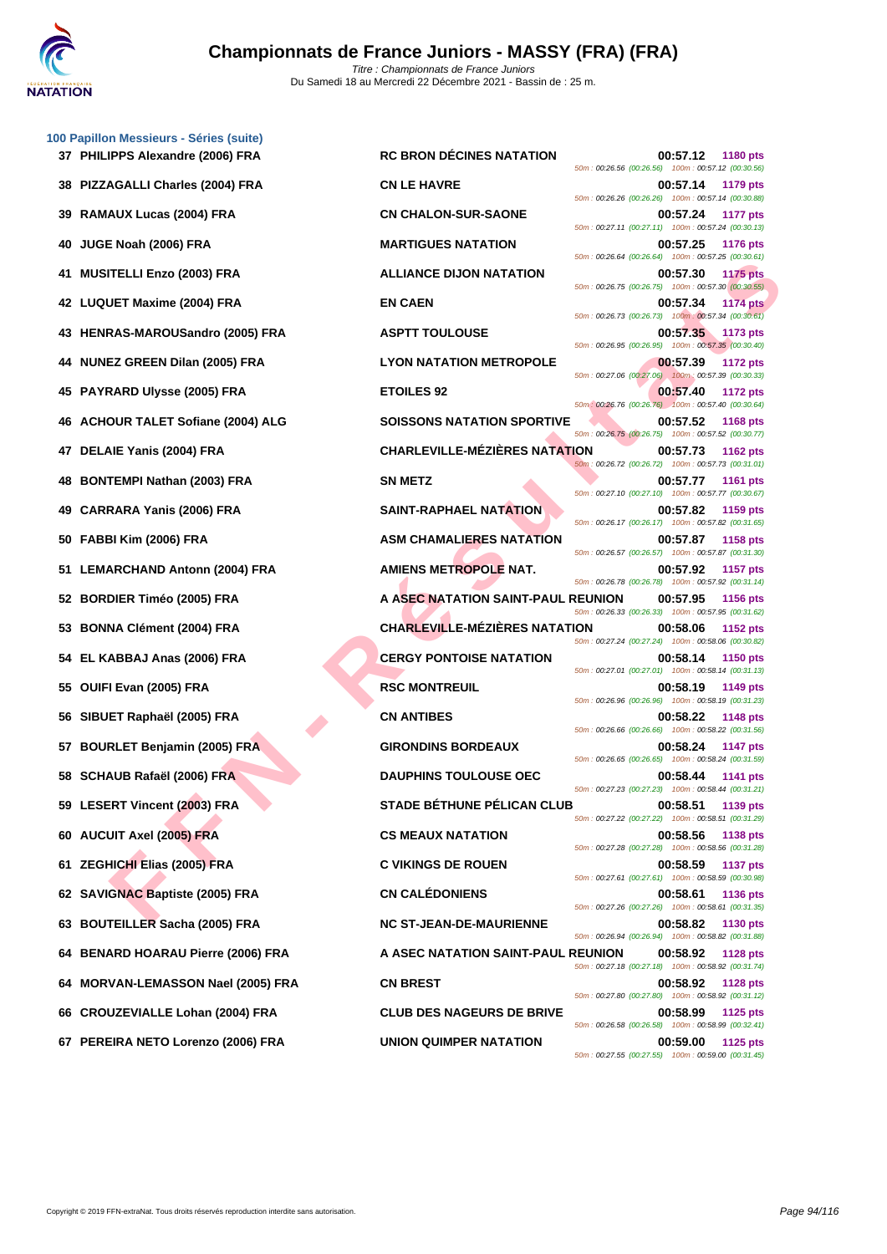

|    | 100 Papillon Messieurs - Séries (suite)<br>37 PHILIPPS Alexandre (2006) FRA |
|----|-----------------------------------------------------------------------------|
|    | 38 PIZZAGALLI Charles (2004) FRA                                            |
|    | 39 RAMAUX Lucas (2004) FRA                                                  |
| 40 | JUGE Noah (2006) FRA                                                        |
| 41 | <b>MUSITELLI Enzo (2003) FRA</b>                                            |
|    | 42 LUQUET Maxime (2004) FRA                                                 |
| 43 | HENRAS-MAROUSandro (2005) FRA                                               |
| 44 | <b>NUNEZ GREEN Dilan (2005) FRA</b>                                         |
|    | 45 PAYRARD Ulysse (2005) FRA                                                |
|    | 46 ACHOUR TALET Sofiane (2004) ALG                                          |
| 47 | DELAIE Yanis (2004) FRA                                                     |
|    | 48 BONTEMPI Nathan (2003) FRA                                               |
|    | 49 CARRARA Yanis (2006) FRA                                                 |
|    | 50 FABBI Kim (2006) FRA                                                     |
| 51 | <b>LEMARCHAND Antonn (2004) FRA</b>                                         |
|    | 52 BORDIER Timéo (2005) FRA                                                 |
|    | 53 BONNA Clément (2004) FRA                                                 |
|    | 54 EL KABBAJ Anas (2006) FRA                                                |
|    | 55 OUIFI Evan (2005) FRA                                                    |
| 56 | SIBUET Raphaël (2005) FRA                                                   |
|    | 57 BOURLET Benjamin (2005) FRA                                              |
|    | 58 SCHAUB Rafaël (2006) FRA                                                 |
|    | 59 LESERT Vincent (2003) FRA                                                |
|    | 60 AUCUIT Axel (2005) FRA                                                   |
|    | 61 ZEGHICHI Elias (2005) FRA                                                |
|    | 62 SAVIGNAC Baptiste (2005) FRA                                             |
|    | 63 BOUTEILLER Sacha (2005) FRA                                              |
|    | 64 BENARD HOARAU Pierre (2006) FRA                                          |
|    | 64 MORVAN-LEMASSON Nael (2005) FRA                                          |
|    | 66 CROUZEVIALLE Lohan (2004) FRA                                            |
|    | 67 DEDEID A NETO Loronzo (2006) ED A                                        |

TELLI ENGRICHA SOUSTAN ALLIANCE DUON NATATION<br>
JUET Maxime (2006) FRA ENCARN<br>
EX OREEN DUISING (2006) FRA ENCARN ASSEMBLY INTO TULCUSE<br>
EX OREEN DUISING (2006) FRA ENGRIC ENGRIC SOUSTANTS (2007) ALLIANCE SOUSTANTS (2007) T **RC BRON DÉCINES NATATION 00:57.12 1180 pts** 50m : 00:26.56 (00:26.56) 100m : 00:57.12 (00:30.56) **38 PIZZAGALLI Charles (2004) FRA CN LE HAVRE 00:57.14 1179 pts** 50m : 00:26.26 (00:26.26) 100m : 00:57.14 (00:30.88) **39 CN CHALON-SUR-SAONE 1177 pts** 50m : 00:27.11 (00:27.11) 100m : 00:57.24 (00:30.13) **400:57.25 1176 pts** 50m : 00:26.64 (00:26.64) 100m : 00:57.25 (00:30.61) **41 MUSITELLI Enzo (2003) FRA ALLIANCE DIJON NATATION 00:57.30 1175 pts** 50m : 00:26.75 (00:26.75) 100m : 00:57.30 (00:30.55) **42 LUCAEN 1174 pts** 50m : 00:26.73 (00:26.73) 100m : 00:57.34 (00:30.61) **43PTT TOULOUSE 1173** pts 50m : 00:26.95 (00:26.95) 100m : 00:57.35 (00:30.40) **444 <b>144 1472 <b>ANU** LYON NATATION METROPOLE 50m : 00:27.06 (00:27.06) 100m : 00:57.39 (00:30.33) **451 <b>PAYRA PAYRAMENT DISCUSSE (2005)** FRANCHILLES 92 50m : 00:26.76 (00:26.76) 100m : 00:57.40 (00:30.64) **46 ACHOUR TALET Sofiane (2004) ALG SOISSONS NATATION SPORTIVE 00:57.52 1168 pts** 50m : 00:26.75 (00:26.75) 100m : 00:57.52 (00:30.77) **47 DELAIE Yanis (2004) FRA CHARLEVILLE-MÉZIÈRES NATATION 00:57.73 1162 pts** 50m : 00:26.72 (00:26.72) 100m : 00:57.73 (00:31.01) **488 <b>BONTEMPI NATHAN (2003)** FRANCH 1161 pts 50m : 00:27.10 (00:27.10) 100m : 00:57.77 (00:30.67) **49 CARRAGEL NATATION CONSUMING 1999 1159 pts** 50m : 00:26.17 (00:26.17) 100m : 00:57.82 (00:31.65) **50 FABBI Kim (2006) FRA ASM CHAMALIERES NATATION 00:57.87 1158 pts** 50m : 00:26.57 (00:26.57) 100m : 00:57.87 (00:31.30) **51 LEMARCHAND Antonn (2004) FRA AMIENS METROPOLE NAT. 00:57.92 1157 pts** 50m : 00:26.78 (00:26.78) 100m : 00:57.92 (00:31.14) **52 BORDIER Timéo (2005) FRA A ASEC NATATION SAINT-PAUL REUNION 00:57.95 1156 pts** 50m : 00:26.33 (00:26.33) 100m : 00:57.95 (00:31.62) **CHARLEVILLE-MÉZIÈRES NATATION 00:58.06 1152 pts** 50m : 00:27.24 (00:27.24) 100m : 00:58.06 (00:30.82) **54 EL KABBAJ Anas (2006) FRA CERGY PONTOISE NATATION 00:58.14 1150 pts** 50m : 00:27.01 (00:27.01) 100m : 00:58.14 (00:31.13) **555 19 1149 pts 60:58.19 1149 pts** 50m : 00:26.96 (00:26.96) 100m : 00:58.19 (00:31.23) **56 SIBUET Raphaël (2005) FRA CN ANTIBES 00:58.22 1148 pts** 50m : 00:26.66 (00:26.66) 100m : 00:58.22 (00:31.56) **57 BOURLET Benjamin (2005) FRA GIRONDINS BORDEAUX 00:58.24 1147 pts** 50m : 00:26.65 (00:26.65) 100m : 00:58.24 (00:31.59) **EXAMPHINS TOULOUSE OEC** 00:58.44 **1141 pts** 50m : 00:27.23 (00:27.23) 100m : 00:58.44 (00:31.21) **59 LESERT Vincent (2003) FRA STADE BÉTHUNE PÉLICAN CLUB 00:58.51 1139 pts** 50m : 00:27.22 (00:27.22) 100m : 00:58.51 (00:31.29) **600:58.56 1138 pts** 50m : 00:27.28 (00:27.28) 100m : 00:58.56 (00:31.28) **61 ZEGHICHI Elias (2005) FRA C VIKINGS DE ROUEN 00:58.59 1137 pts** 50m : 00:27.61 (00:27.61) 100m : 00:58.59 (00:30.98) **62 SAVIGNAC Baptiste (2005) FRA CN CALÉDONIENS 00:58.61 1136 pts** 50m : 00:27.26 (00:27.26) 100m : 00:58.61 (00:31.35) **63 BOUTEILLER ST-JEAN-DE-MAURIENNE BOUTEILLER SETTLER SETTLER SETTLER SETTLER SETTLER SETTLER SETTLER SETTLER SETTLER SETTLER SETTLER SETTLER SETTLER SETTLER SETTLER SETTLER SETTLER SETTLER SETTLER SETTLER SETTLER SET** 50m : 00:26.94 (00:26.94) 100m : 00:58.82 (00:31.88) **64 ASEC NATATION SAINT-PAUL REUNION 00:58.92 1128 pts** 50m : 00:27.18 (00:27.18) 100m : 00:58.92 (00:31.74) **64 MORVAN-LEMASSON Nael (2005) FRA CN BREST 00:58.92 1128 pts** 50m : 00:27.80 (00:27.80) 100m : 00:58.92 (00:31.12) **666 CLUB DES NAGEURS DE BRIVE 00:58.99 1125 pts** 50m : 00:26.58 (00:26.58) 100m : 00:58.99 (00:32.41) **67 PEREIRA NETO Lorenzo (2006) FRA UNION QUIMPER NATATION 00:59.00 1125 pts** 50m : 00:27.55 (00:27.55) 100m : 00:59.00 (00:31.45)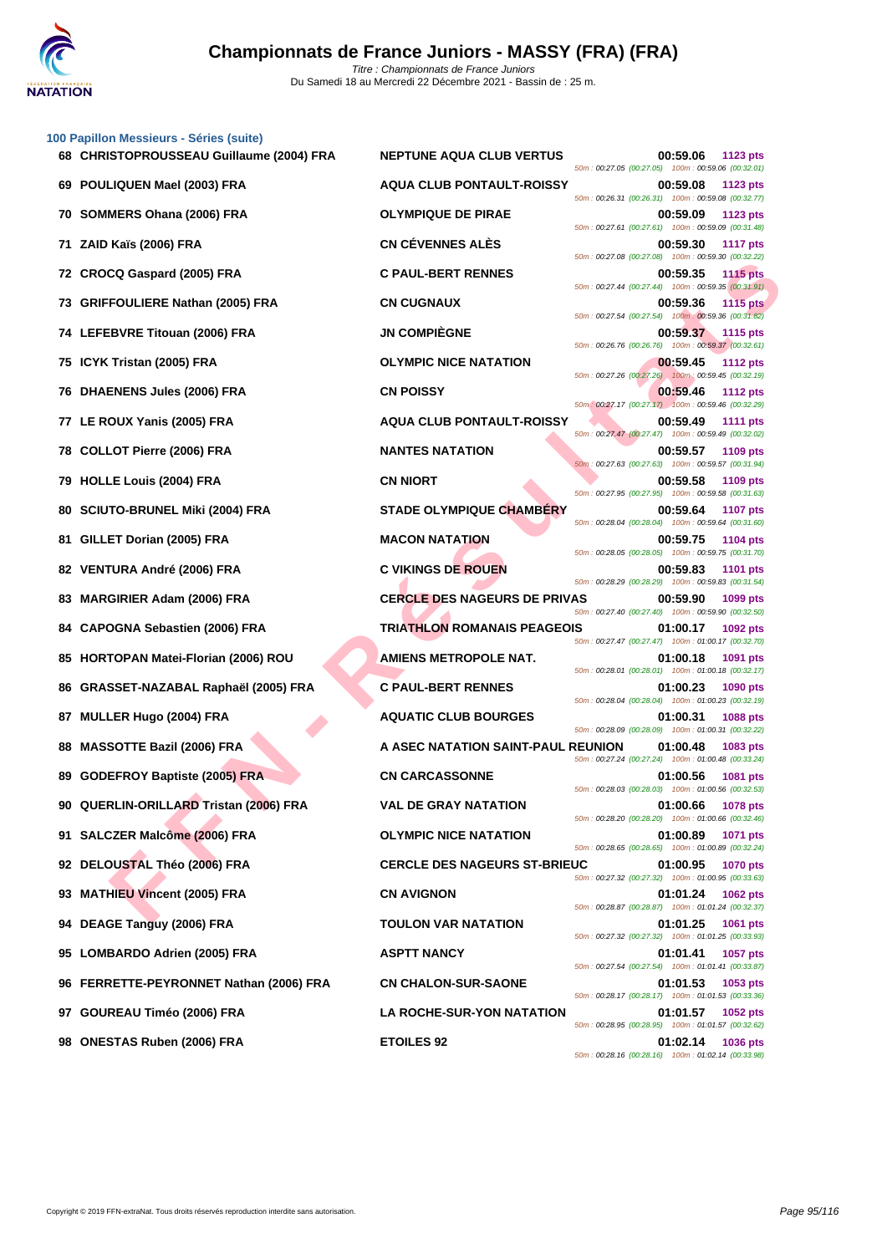

|    | 100 Papillon Messieurs - Séries (suite)<br>68 CHRISTOPROUSSEAU Guillaume (2004) FRA | <b>NEPTUNE AQUA CLUB VERTUS</b>     | 00:59.06                                                       | 1123 pts        |
|----|-------------------------------------------------------------------------------------|-------------------------------------|----------------------------------------------------------------|-----------------|
|    | 69 POULIQUEN Mael (2003) FRA                                                        | <b>AQUA CLUB PONTAULT-ROISSY</b>    | 50m: 00:27.05 (00:27.05) 100m: 00:59.06 (00:32.01)<br>00:59.08 | 1123 pts        |
|    | 70 SOMMERS Ohana (2006) FRA                                                         | <b>OLYMPIQUE DE PIRAE</b>           | 50m: 00:26.31 (00:26.31) 100m: 00:59.08 (00:32.77)<br>00:59.09 | <b>1123 pts</b> |
| 71 | ZAID Kaïs (2006) FRA                                                                | <b>CN CÉVENNES ALÈS</b>             | 50m: 00:27.61 (00:27.61) 100m: 00:59.09 (00:31.48)<br>00:59.30 | <b>1117 pts</b> |
|    | 72 CROCQ Gaspard (2005) FRA                                                         | <b>C PAUL-BERT RENNES</b>           | 50m: 00:27.08 (00:27.08) 100m: 00:59.30 (00:32.22)<br>00:59.35 | <b>1115 pts</b> |
|    | 73 GRIFFOULIERE Nathan (2005) FRA                                                   | <b>CN CUGNAUX</b>                   | 50m: 00:27.44 (00:27.44) 100m: 00:59.35 (00:31.91)<br>00:59.36 | <b>1115 pts</b> |
|    | 74 LEFEBVRE Titouan (2006) FRA                                                      | <b>JN COMPIÈGNE</b>                 | 50m: 00:27.54 (00:27.54) 100m: 00:59.36 (00:31.82)<br>00:59.37 | 1115 pts        |
|    | 75 ICYK Tristan (2005) FRA                                                          | <b>OLYMPIC NICE NATATION</b>        | 50m: 00:26.76 (00:26.76) 100m: 00:59.37 (00:32.61)<br>00:59.45 | <b>1112 pts</b> |
|    | 76 DHAENENS Jules (2006) FRA                                                        | <b>CN POISSY</b>                    | 50m: 00:27.26 (00:27.26) 100m: 00:59.45 (00:32.19)<br>00:59.46 | <b>1112 pts</b> |
| 77 | LE ROUX Yanis (2005) FRA                                                            | <b>AQUA CLUB PONTAULT-ROISSY</b>    | 50m: 00:27.17 (00:27.17) 100m: 00:59.46 (00:32.29)<br>00:59.49 | <b>1111 pts</b> |
| 78 | <b>COLLOT Pierre (2006) FRA</b>                                                     | <b>NANTES NATATION</b>              | 50m: 00:27.47 (00:27.47) 100m: 00:59.49 (00:32.02)<br>00:59.57 | 1109 pts        |
|    | 79 HOLLE Louis (2004) FRA                                                           | <b>CN NIORT</b>                     | 50m: 00:27.63 (00:27.63) 100m: 00:59.57 (00:31.94)<br>00:59.58 | 1109 pts        |
| 80 | <b>SCIUTO-BRUNEL Miki (2004) FRA</b>                                                | <b>STADE OLYMPIQUE CHAMBÉRY</b>     | 50m: 00:27.95 (00:27.95) 100m: 00:59.58 (00:31.63)<br>00:59.64 | <b>1107 pts</b> |
| 81 | GILLET Dorian (2005) FRA                                                            | <b>MACON NATATION</b>               | 50m: 00:28.04 (00:28.04) 100m: 00:59.64 (00:31.60)<br>00:59.75 | 1104 pts        |
|    | 82 VENTURA André (2006) FRA                                                         | <b>C VIKINGS DE ROUEN</b>           | 50m: 00:28.05 (00:28.05) 100m: 00:59.75 (00:31.70)<br>00:59.83 | <b>1101 pts</b> |
| 83 | <b>MARGIRIER Adam (2006) FRA</b>                                                    | <b>CERCLE DES NAGEURS DE PRIVAS</b> | 50m: 00:28.29 (00:28.29) 100m: 00:59.83 (00:31.54)<br>00:59.90 | 1099 pts        |
| 84 | <b>CAPOGNA Sebastien (2006) FRA</b>                                                 | <b>TRIATHLON ROMANAIS PEAGEOIS</b>  | 50m: 00:27.40 (00:27.40) 100m: 00:59.90 (00:32.50)<br>01:00.17 | 1092 pts        |
|    |                                                                                     | <b>AMIENS METROPOLE NAT.</b>        | 50m: 00:27.47 (00:27.47) 100m: 01:00.17 (00:32.70)             |                 |
| 85 | <b>HORTOPAN Matei-Florian (2006) ROU</b>                                            |                                     | 01:00.18<br>50m: 00:28.01 (00:28.01) 100m: 01:00.18 (00:32.17) | 1091 pts        |
|    | 86 GRASSET-NAZABAL Raphaël (2005) FRA                                               | <b>C PAUL-BERT RENNES</b>           | 01:00.23<br>50m: 00:28.04 (00:28.04) 100m: 01:00.23 (00:32.19) | 1090 pts        |
| 87 | MULLER Hugo (2004) FRA                                                              | <b>AQUATIC CLUB BOURGES</b>         | 01:00.31<br>50m: 00:28.09 (00:28.09) 100m: 01:00.31 (00:32.22) | <b>1088 pts</b> |
| 88 | <b>MASSOTTE Bazil (2006) FRA</b>                                                    | A ASEC NATATION SAINT-PAUL REUNION  | 01:00.48<br>50m: 00:27.24 (00:27.24) 100m: 01:00.48 (00:33.24) | 1083 pts        |
|    | 89 GODEFROY Baptiste (2005) FRA                                                     | <b>CN CARCASSONNE</b>               | 01:00.56<br>50m: 00:28.03 (00:28.03) 100m: 01:00.56 (00:32.53) | 1081 pts        |
|    | 90 QUERLIN-ORILLARD Tristan (2006) FRA                                              | <b>VAL DE GRAY NATATION</b>         | 01:00.66<br>50m: 00:28.20 (00:28.20) 100m: 01:00.66 (00:32.46) | <b>1078 pts</b> |
|    | 91 SALCZER Malcôme (2006) FRA                                                       | <b>OLYMPIC NICE NATATION</b>        | 01:00.89<br>50m: 00:28.65 (00:28.65) 100m: 01:00.89 (00:32.24) | 1071 pts        |
|    | 92 DELOUSTAL Théo (2006) FRA                                                        | <b>CERCLE DES NAGEURS ST-BRIEUC</b> | 01:00.95<br>50m: 00:27.32 (00:27.32) 100m: 01:00.95 (00:33.63) | <b>1070 pts</b> |
|    | 93 MATHIEU Vincent (2005) FRA                                                       | <b>CN AVIGNON</b>                   | 01:01.24<br>50m: 00:28.87 (00:28.87) 100m: 01:01.24 (00:32.37) | <b>1062 pts</b> |
|    | 94 DEAGE Tanguy (2006) FRA                                                          | <b>TOULON VAR NATATION</b>          | 01:01.25<br>50m: 00:27.32 (00:27.32) 100m: 01:01.25 (00:33.93) | 1061 pts        |
|    | 95 LOMBARDO Adrien (2005) FRA                                                       | <b>ASPTT NANCY</b>                  | 01:01.41<br>50m: 00:27.54 (00:27.54) 100m: 01:01.41 (00:33.87) | 1057 pts        |
|    | 96 FERRETTE-PEYRONNET Nathan (2006) FRA                                             | <b>CN CHALON-SUR-SAONE</b>          | 01:01.53<br>50m: 00:28.17 (00:28.17) 100m: 01:01.53 (00:33.36) | 1053 pts        |
| 97 | GOUREAU Timéo (2006) FRA                                                            | <b>LA ROCHE-SUR-YON NATATION</b>    | 01:01.57<br>50m: 00:28.95 (00:28.95) 100m: 01:01.57 (00:32.62) | 1052 pts        |
|    | 98 ONESTAS Ruben (2006) FRA                                                         | <b>ETOILES 92</b>                   | 01:02.14<br>50m: 00:28.16 (00:28.16) 100m: 01:02.14 (00:33.98) | <b>1036 pts</b> |
|    |                                                                                     |                                     |                                                                |                 |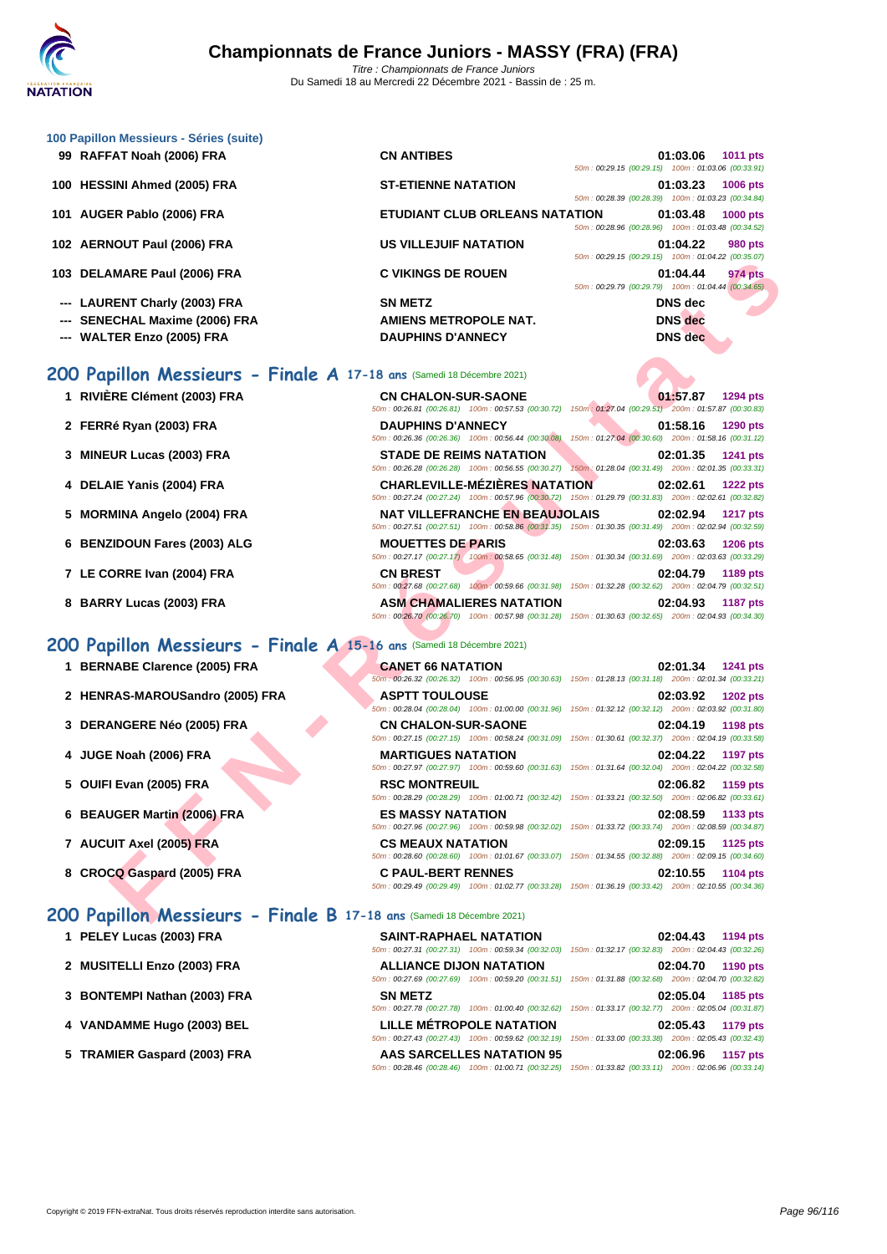

| 100 Papillon Messieurs - Séries (suite) |                                                                       |                |                                                    |
|-----------------------------------------|-----------------------------------------------------------------------|----------------|----------------------------------------------------|
| 99 RAFFAT Noah (2006) FRA               | <b>CN ANTIBES</b>                                                     | 01:03.06       | 1011 pts                                           |
|                                         |                                                                       |                | 50m: 00:29.15 (00:29.15) 100m: 01:03.06 (00:33.91) |
| 100 HESSINI Ahmed (2005) FRA            | <b>ST-ETIENNE NATATION</b>                                            | 01:03.23       | <b>1006 pts</b>                                    |
|                                         |                                                                       |                | 50m: 00:28.39 (00:28.39) 100m: 01:03.23 (00:34.84) |
| 101 AUGER Pablo (2006) FRA              | ETUDIANT CLUB ORLEANS NATATION                                        | 01:03.48       | <b>1000 pts</b>                                    |
|                                         |                                                                       |                | 50m: 00:28.96 (00:28.96) 100m: 01:03.48 (00:34.52) |
| 102 AERNOUT Paul (2006) FRA             | <b>US VILLEJUIF NATATION</b>                                          | 01:04.22       | <b>980 pts</b>                                     |
|                                         |                                                                       |                | 50m: 00:29.15 (00:29.15) 100m: 01:04.22 (00:35.07) |
| 103 DELAMARE Paul (2006) FRA            | <b>C VIKINGS DE ROUEN</b>                                             | 01:04.44       | <b>974 pts</b>                                     |
|                                         |                                                                       |                | 50m: 00:29.79 (00:29.79) 100m: 01:04.44 (00:34.65) |
| --- LAURENT Charly (2003) FRA           | <b>SN METZ</b>                                                        | <b>DNS</b> dec |                                                    |
| --- SENECHAL Maxime (2006) FRA          | AMIENS METROPOLE NAT.                                                 | <b>DNS</b> dec |                                                    |
| <b>WALTER Enzo (2005) FRA</b>           | <b>DAUPHINS D'ANNECY</b>                                              | <b>DNS</b> dec |                                                    |
|                                         |                                                                       |                |                                                    |
|                                         |                                                                       |                |                                                    |
|                                         | 200 Papillon Messieurs - Finale A 17-18 ans (Samedi 18 Décembre 2021) |                |                                                    |

| <b>AMARE Paul (2006) FRA</b>                                           | <b>C VIKINGS DE ROUEN</b>             | 01:04.44<br>974 pts<br>50m: 00:29.79 (00:29.79) 100m: 01:04.44 (00:34.65)                                                          |
|------------------------------------------------------------------------|---------------------------------------|------------------------------------------------------------------------------------------------------------------------------------|
| RENT Charly (2003) FRA                                                 | <b>SN METZ</b>                        | <b>DNS</b> dec                                                                                                                     |
| ECHAL Maxime (2006) FRA                                                | <b>AMIENS METROPOLE NAT.</b>          | <b>DNS</b> dec                                                                                                                     |
|                                                                        |                                       |                                                                                                                                    |
| TER Enzo (2005) FRA                                                    | <b>DAUPHINS D'ANNECY</b>              | <b>DNS</b> dec                                                                                                                     |
| <b>pillon Messieurs - Finale A 17-18 ans</b> (Samedi 18 Décembre 2021) |                                       |                                                                                                                                    |
| ERE Clément (2003) FRA                                                 | <b>CN CHALON-SUR-SAONE</b>            | 01:57.87<br><b>1294 pts</b>                                                                                                        |
|                                                                        |                                       | 50m: 00:26.81 (00:26.81) 100m: 00:57.53 (00:30.72) 150m: 01:27.04 (00:29.51) 200m: 01:57.87 (00:30.83)                             |
| <b>Ré Ryan (2003) FRA</b>                                              | <b>DAUPHINS D'ANNECY</b>              | 01:58.16<br>1290 pts<br>50m : 00:26.36 (00:26.36) 100m : 00:56.44 (00:30.08) 150m : 01:27.04 (00:30.60) 200m : 01:58.16 (00:31.12) |
|                                                                        |                                       |                                                                                                                                    |
| UR Lucas (2003) FRA                                                    | <b>STADE DE REIMS NATATION</b>        | 02:01.35<br>1241 pts<br>50m: 00:26.28 (00:26.28) 100m: 00:56.55 (00:30.27) 150m: 01:28.04 (00:31.49) 200m: 02:01.35 (00:33.31)     |
| <b>AIE Yanis (2004) FRA</b>                                            | <b>CHARLEVILLE-MÉZIÈRES NATATION</b>  | 02:02.61<br><b>1222 pts</b>                                                                                                        |
|                                                                        |                                       | 50m: 00:27.24 (00:27.24) 100m: 00:57.96 (00:30.72) 150m: 01:29.79 (00:31.83) 200m: 02:02.61 (00:32.82)                             |
| MINA Angelo (2004) FRA                                                 | <b>NAT VILLEFRANCHE EN BEAUJOLAIS</b> | 02:02.94<br><b>1217 pts</b>                                                                                                        |
|                                                                        |                                       | 50m: 00:27.51 (00:27.51) 100m: 00:58.86 (00:31.35) 150m: 01:30.35 (00:31.49) 200m: 02:02.94 (00:32.59)                             |
| ZIDOUN Fares (2003) ALG                                                | <b>MOUETTES DE PARIS</b>              | 02:03.63<br><b>1206 pts</b>                                                                                                        |
|                                                                        |                                       | 50m: 00:27.17 (00:27.17) 100m: 00:58.65 (00:31.48) 150m: 01:30.34 (00:31.69) 200m: 02:03.63 (00:33.29)                             |
| ORRE Ivan (2004) FRA                                                   | <b>CN BREST</b>                       | 02:04.79<br>1189 pts                                                                                                               |
|                                                                        |                                       | 50m: 00:27.68 (00:27.68) 100m: 00:59.66 (00:31.98) 150m: 01:32.28 (00:32.62) 200m: 02:04.79 (00:32.51)                             |
| RY Lucas (2003) FRA                                                    | <b>ASM CHAMALIERES NATATION</b>       | 02:04.93<br><b>1187 pts</b>                                                                                                        |
|                                                                        |                                       | 50m: 00:26.70 (00:26.70) 100m: 00:57.98 (00:31.28) 150m: 01:30.63 (00:32.65) 200m: 02:04.93 (00:34.30)                             |
| pillon Messieurs - Finale A 15-16 ans (Samedi 18 Décembre 2021)        |                                       |                                                                                                                                    |
| <b>NABE Clarence (2005) FRA</b>                                        | <b>CANET 66 NATATION</b>              | 02:01.34<br><b>1241 pts</b>                                                                                                        |
|                                                                        |                                       | 50m; 00:26.32 (00:26.32) 100m; 00:56.95 (00:30.63) 150m; 01:28.13 (00:31.18) 200m; 02:01.34 (00:33.21)                             |
| RAS-MAROUSandro (2005) FRA                                             | <b>ASPTT TOULOUSE</b>                 | 02:03.92<br><b>1202 pts</b>                                                                                                        |
|                                                                        |                                       | 50m: 00:28.04 (00:28.04) 100m: 01:00.00 (00:31.96) 150m: 01:32.12 (00:32.12) 200m: 02:03.92 (00:31.80)                             |
| <b>ANGERE Néo (2005) FRA</b>                                           | <b>CN CHALON-SUR-SAONE</b>            | 02:04.19<br><b>1198 pts</b>                                                                                                        |
|                                                                        |                                       | 50m: 00:27.15 (00:27.15) 100m: 00:58.24 (00:31.09) 150m: 01:30.61 (00:32.37) 200m: 02:04.19 (00:33.58)                             |
| E Noah (2006) FRA                                                      | <b>MARTIGUES NATATION</b>             | 02:04.22<br><b>1197 pts</b>                                                                                                        |
|                                                                        |                                       | 50m: 00:27.97 (00:27.97) 100m: 00:59.60 (00:31.63) 150m: 01:31.64 (00:32.04) 200m: 02:04.22 (00:32.58)                             |
| I Evan (2005) FRA                                                      | <b>RSC MONTREUIL</b>                  | 02:06.82<br>1159 pts<br>50m: 00:28.29 (00:28.29) 100m: 01:00.71 (00:32.42) 150m: 01:33.21 (00:32.50) 200m: 02:06.82 (00:33.61)     |
| UGER Martin (2006) FRA                                                 | <b>ES MASSY NATATION</b>              | 02:08.59                                                                                                                           |
|                                                                        |                                       | 1133 pts<br>50m: 00:27.96 (00:27.96) 100m: 00:59.98 (00:32.02) 150m: 01:33.72 (00:33.74) 200m: 02:08.59 (00:34.87)                 |
| UIT Axel (2005) FRA                                                    | <b>CS MEAUX NATATION</b>              | 02:09.15<br>1125 pts                                                                                                               |
|                                                                        |                                       | 50m: 00:28.60 (00:28.60) 100m: 01:01.67 (00:33.07) 150m: 01:34.55 (00:32.88) 200m: 02:09.15 (00:34.60)                             |
| CQ Gaspard (2005) FRA                                                  | <b>C PAUL-BERT RENNES</b>             | 02:10.55<br><b>1104 pts</b>                                                                                                        |
|                                                                        |                                       | 50m: 00:29.49 (00:29.49) 100m: 01:02.77 (00:33.28) 150m: 01:36.19 (00:33.42) 200m: 02:10.55 (00:34.36)                             |

## **200 Papillon Messieurs - Finale A 15-16 ans** (Samedi 18 Décembre 2021)

**1 BERNABE Clarence (2005) FRA CANET 66 NATATION 02:01.34 1241 pts**

**1** RIVIÈRE Clément (2003) FRA

**2 FERRé Ryan (2003) FRA DAUPHINS D'ANNECY 01:58.16 1290 pts**

**3 MINEUR Lucas (2003) FRA STADE DE REIMS NATATION 02:01.35 1241 pts**

**4 DELAIE Yanis (2004) FRA CHARLEVILLE-MÉZIÈRES NATATION 02:02.61 1222 pts**

**5 MORMINA Angelo (2004) FRA** 

**6 BENZIDOUN Fares (2003) ALG** 

**7** LE CORRE Ivan (2004) FRA

**8 BARRY Lucas (2003) FRA** 

- **2 HENRAS-MAROUSandro (2005) FRA ASPTT TOULOUSE 02:03.92 1202 pts**
- **3 DERANGERE Néo (2005) FRA CN CHALON-SUR-SAON**
- **4 JUGE Noah (2006) FRA MARTIGUES NATATION**
- **5** OUIFI Evan (2005) FRA **RSC MONTREUIL**
- **6 BEAUGER Martin (2006) FRA Les MASSY NATATION**
- **7 AUCUIT Axel (2005) FRA CS MEAUX NATATION**
- **8 CROCQ Gaspard (2005) FRA C PAUL-BERT RENNES**

## **200 Papillon Messieurs - Finale B 17-18 ans** (Samedi 18 Décembre 2021)

- **1 PELEY Lucas (2003) FRA**
- **2 MUSITELLI Enzo (2003) FRA ALLIANCE DIJON NATATION 02:04.70 1190 pts**
- **3 [BONTEMPI Nathan \(2003\) FRA](http://www.ffnatation.fr/webffn/resultats.php?idact=nat&go=epr&idcpt=72221&idepr=83)**
- **4 VANDAMME Hugo (2003) BEL LILLE MÉTROPOLE NATATION 02:05.43 1179 pts**
- **5 TRAMIER Gaspard (2003) FRA**

|                            | 50m: 00:26.32 (00:26.32) 100m: 00:56.95 (00:30.63) 150m: 01:28.13 (00:31.18) 200m: 02:01.34 (00:33.21) |                   |  |
|----------------------------|--------------------------------------------------------------------------------------------------------|-------------------|--|
| <b>ASPTT TOULOUSE</b>      |                                                                                                        | 02:03.92 1202 pts |  |
|                            | 50m: 00:28.04 (00:28.04) 100m: 01:00.00 (00:31.96) 150m: 01:32.12 (00:32.12) 200m: 02:03.92 (00:31.80) |                   |  |
| <b>CN CHALON-SUR-SAONE</b> |                                                                                                        | 02:04.19 1198 pts |  |
|                            | 50m: 00:27.15 (00:27.15) 100m: 00:58.24 (00:31.09) 150m: 01:30.61 (00:32.37) 200m: 02:04.19 (00:33.58) |                   |  |
| <b>MARTIGUES NATATION</b>  |                                                                                                        | 02:04.22 1197 pts |  |
|                            | 50m: 00:27.97 (00:27.97) 100m: 00:59.60 (00:31.63) 150m: 01:31.64 (00:32.04) 200m: 02:04.22 (00:32.58) |                   |  |
| <b>RSC MONTREUIL</b>       |                                                                                                        | 02:06.82 1159 pts |  |
|                            | 50m: 00:28.29 (00:28.29) 100m: 01:00.71 (00:32.42) 150m: 01:33.21 (00:32.50) 200m: 02:06.82 (00:33.61) |                   |  |
| <b>ES MASSY NATATION</b>   |                                                                                                        | 02:08.59 1133 pts |  |
|                            | 50m: 00:27.96 (00:27.96) 100m: 00:59.98 (00:32.02) 150m: 01:33.72 (00:33.74) 200m: 02:08.59 (00:34.87) |                   |  |
| <b>CS MEAUX NATATION</b>   |                                                                                                        | 02:09.15 1125 pts |  |
|                            | 50m: 00:28.60 (00:28.60) 100m: 01:01.67 (00:33.07) 150m: 01:34.55 (00:32.88) 200m: 02:09.15 (00:34.60) |                   |  |
| <b>C PAUL-BERT RENNES</b>  |                                                                                                        | 02:10.55 1104 pts |  |
|                            | 50m: 00:29.49 (00:29.49) 100m: 01:02.77 (00:33.28) 150m: 01:36.19 (00:33.42) 200m: 02:10.55 (00:34.36) |                   |  |

| <b>SAINT-RAPHAEL NATATION</b>                                                | 02:04.43<br><b>1194 pts</b>                                                                            |
|------------------------------------------------------------------------------|--------------------------------------------------------------------------------------------------------|
| 50m: 00:27.31 (00:27.31) 100m: 00:59.34 (00:32.03)                           | 150m: 01:32.17 (00:32.83) 200m: 02:04.43 (00:32.26)                                                    |
| <b>ALLIANCE DIJON NATATION</b>                                               | 02:04.70<br>1190 pts                                                                                   |
| 50m; 00:27.69 (00:27.69) 100m; 00:59.20 (00:31.51) 150m; 01:31.88 (00:32.68) | 200m: 02:04.70 (00:32.82)                                                                              |
| <b>SN METZ</b>                                                               | 02:05.04<br>1185 pts                                                                                   |
|                                                                              | 50m; 00:27.78 (00:27.78) 100m; 01:00.40 (00:32.62) 150m; 01:33.17 (00:32.77) 200m; 02:05.04 (00:31.87) |
| <b>LILLE MÉTROPOLE NATATION</b>                                              | 02:05.43<br>1179 pts                                                                                   |
|                                                                              | 50m: 00:27.43 (00:27.43) 100m: 00:59.62 (00:32.19) 150m: 01:33.00 (00:33.38) 200m: 02:05.43 (00:32.43) |
| <b>AAS SARCELLES NATATION 95</b>                                             | 02:06.96<br><b>1157 pts</b>                                                                            |
| 100m: 01:00.71 (00:32.25)<br>50m: 00:28.46 (00:28.46)                        | 150m: 01:33.82 (00:33.11) 200m: 02:06.96 (00:33.14)                                                    |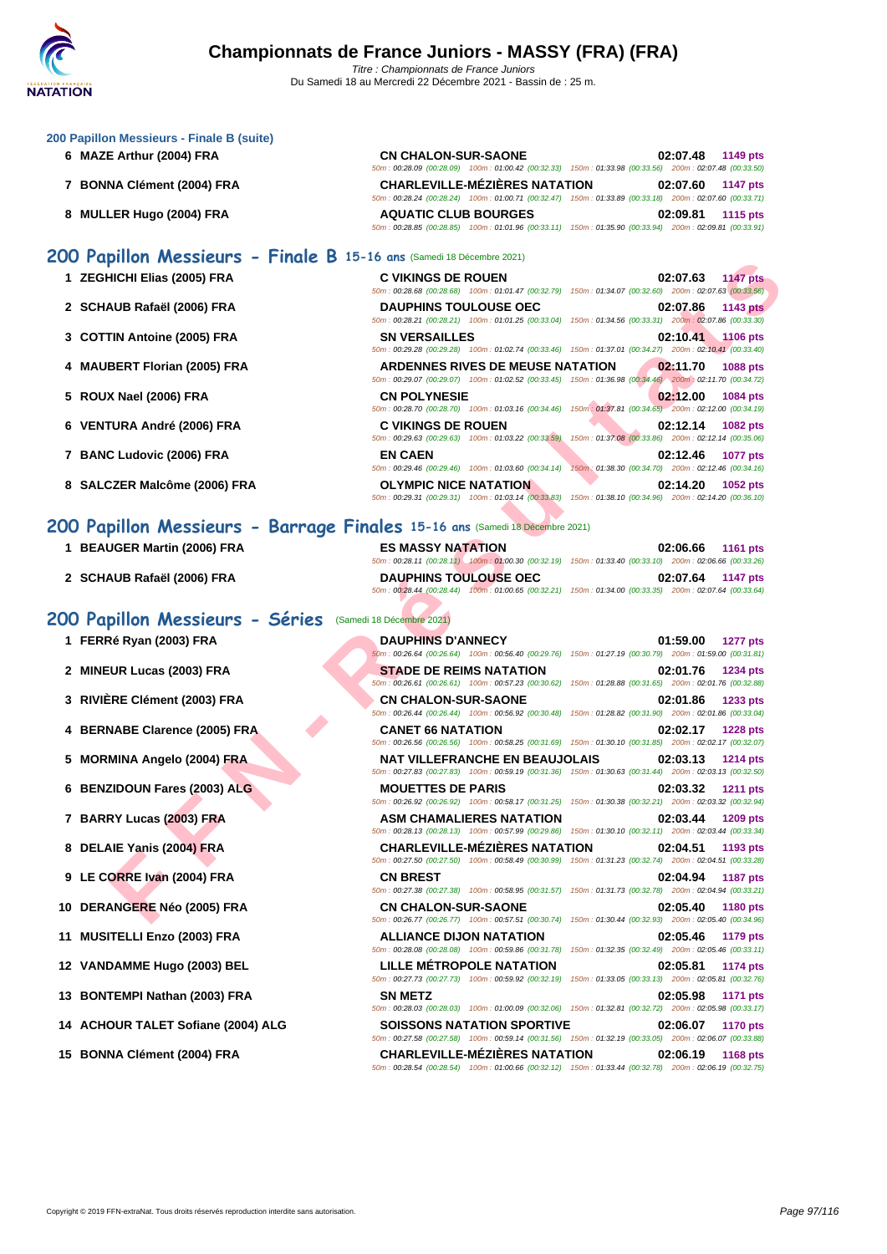| 6 MAZE Arthur (2004) FRA                                              | <b>CN CHALON-SUR-SAONE</b><br>02:07.48<br>1149 pts                                                                                                                                                                                                                                      |
|-----------------------------------------------------------------------|-----------------------------------------------------------------------------------------------------------------------------------------------------------------------------------------------------------------------------------------------------------------------------------------|
| 7 BONNA Clément (2004) FRA                                            | 50m: 00:28.09 (00:28.09) 100m: 01:00.42 (00:32.33) 150m: 01:33.98 (00:33.56) 200m: 02:07.48 (00:33.50)<br><b>CHARLEVILLE-MÉZIÈRES NATATION</b><br>02:07.60<br><b>1147 pts</b><br>50m: 00:28.24 (00:28.24) 100m: 01:00.71 (00:32.47) 150m: 01:33.89 (00:33.18) 200m: 02:07.60 (00:33.71) |
| 8 MULLER Hugo (2004) FRA                                              | <b>AQUATIC CLUB BOURGES</b><br>02:09.81<br><b>1115 pts</b><br>50m: 00:28.85 (00:28.85) 100m: 01:01.96 (00:33.11) 150m: 01:35.90 (00:33.94) 200m: 02:09.81 (00:33.91)                                                                                                                    |
| 200 Papillon Messieurs - Finale B 15-16 ans (Samedi 18 Décembre 2021) |                                                                                                                                                                                                                                                                                         |
| 1 ZEGHICHI Elias (2005) FRA                                           | <b>C VIKINGS DE ROUEN</b><br>02:07.63<br><b>1147 pts</b>                                                                                                                                                                                                                                |
| 2 SCHAUB Rafaël (2006) FRA                                            | 50m : 00:28.68 (00:28.68) 100m : 01:01.47 (00:32.79) 150m : 01:34.07 (00:32.60) 200m : 02:07.63 (00:33.56)<br><b>DAUPHINS TOULOUSE OEC</b><br>02:07.86<br><b>1143 pts</b><br>50m: 00:28.21 (00:28.21) 100m: 01:01.25 (00:33.04) 150m: 01:34.56 (00:33.31) 200m: 02:07.86 (00:33.30)     |
| 3 COTTIN Antoine (2005) FRA                                           | <b>SN VERSAILLES</b><br>02:10.41 1106 pts<br>50m: 00:29.28 (00:29.28) 100m: 01:02.74 (00:33.46) 150m: 01:37.01 (00:34.27) 200m: 02:10.41 (00:33.40)                                                                                                                                     |
| 4 MAUBERT Florian (2005) FRA                                          | <b>ARDENNES RIVES DE MEUSE NATATION</b><br>02:11.70<br><b>1088 pts</b><br>50m : 00:29.07 (00:29.07) 100m : 01:02.52 (00:33.45) 150m : 01:36.98 (00:34.46) 200m : 02:11.70 (00:34.72)                                                                                                    |
| 5 ROUX Nael (2006) FRA                                                | <b>CN POLYNESIE</b><br>02:12.00<br>1084 pts<br>50m: 00:28.70 (00:28.70) 100m: 01:03.16 (00:34.46) 150m: 01:37.81 (00:34.65) 200m: 02:12.00 (00:34.19)                                                                                                                                   |
| 6 VENTURA André (2006) FRA                                            | <b>C VIKINGS DE ROUEN</b><br>02:12.14<br>1082 pts                                                                                                                                                                                                                                       |
| 7 BANC Ludovic (2006) FRA                                             | 150m: 01:37.08 (00:33.86) 200m: 02:12.14 (00:35.06)<br>50m: 00:29.63 (00:29.63) 100m: 01:03.22 (00:33.59)<br><b>EN CAEN</b><br>02:12.46<br><b>1077 pts</b>                                                                                                                              |
| 8 SALCZER Malcôme (2006) FRA                                          | 50m: 00:29.46 (00:29.46) 100m: 01:03.60 (00:34.14)<br>150m: 01:38.30 (00:34.70) 200m: 02:12.46 (00:34.16)<br><b>OLYMPIC NICE NATATION</b><br>02:14.20<br>1052 pts<br>50m : 00:29.31 (00:29.31) 100m : 01:03.14 (00:33.83) 150m : 01:38.10 (00:34.96) 200m : 02:14.20 (00:36.10)         |
|                                                                       |                                                                                                                                                                                                                                                                                         |
| 1 BEAUGER Martin (2006) FRA                                           | 200 Papillon Messieurs - Barrage Finales 15-16 ans (Samedi 18 Décembre 2021)<br><b>ES MASSY NATATION</b><br>02:06.66<br><b>1161 pts</b>                                                                                                                                                 |
| 2 SCHAUB Rafaël (2006) FRA                                            | 50m: 00:28.11 (00:28.11) -100m: 01:00.30 (00:32.19) 150m: 01:33.40 (00:33.10) 200m: 02:06.66 (00:33.26)<br><b>DAUPHINS TOULOUSE OEC</b><br>02:07.64<br><b>1147 pts</b><br>50m: 00:28.44 (00:28.44) 100m: 01:00.65 (00:32.21) 150m: 01:34.00 (00:33.35) 200m: 02:07.64 (00:33.64)        |
|                                                                       |                                                                                                                                                                                                                                                                                         |
| 200 Papillon Messieurs - Séries                                       | (Samedi 18 Décembre 2021)                                                                                                                                                                                                                                                               |
|                                                                       |                                                                                                                                                                                                                                                                                         |
| 1 FERRé Ryan (2003) FRA                                               | <b>DAUPHINS D'ANNECY</b><br>01:59.00<br><b>1277 pts</b><br>50m : 00:26.64 (00:26.64) 100m : 00:56.40 (00:29.76) 150m : 01:27.19 (00:30.79) 200m : 01:59.00 (00:31.81)                                                                                                                   |
| 2 MINEUR Lucas (2003) FRA                                             | <b>STADE DE REIMS NATATION</b><br>02:01.76<br><b>1234 pts</b><br>50m: 00:26.61 (00:26.61) 100m: 00:57.23 (00:30.62) 150m: 01:28.88 (00:31.65) 200m: 02:01.76 (00:32.88)                                                                                                                 |
| 3 RIVIERE Clément (2003) FRA                                          | <b>CN CHALON-SUR-SAONE</b><br>02:01.86<br>1233 pts                                                                                                                                                                                                                                      |
| 4 BERNABE Clarence (2005) FRA                                         | 50m: 00:26.44 (00:26.44) 100m: 00:56.92 (00:30.48) 150m: 01:28.82 (00:31.90) 200m: 02:01.86 (00:33.04)<br><b>CANET 66 NATATION</b><br>02:02.17<br><b>1228 pts</b>                                                                                                                       |
| 5 MORMINA Angelo (2004) FRA                                           | 50m: 00:26.56 (00:26.56) 100m: 00:58.25 (00:31.69) 150m: 01:30.10 (00:31.85) 200m: 02:02.17 (00:32.07)<br><b>NAT VILLEFRANCHE EN BEAUJOLAIS</b><br>02:03.13<br>1214 pts                                                                                                                 |
| 6 BENZIDOUN Fares (2003) ALG                                          | 50m: 00:27.83 (00:27.83) 100m: 00:59.19 (00:31.36) 150m: 01:30.63 (00:31.44) 200m: 02:03.13 (00:32.50)<br><b>MOUETTES DE PARIS</b><br>02:03.32<br><b>1211 pts</b>                                                                                                                       |
| 7 BARRY Lucas (2003) FRA                                              | 50m: 00:26.92 (00:26.92) 100m: 00:58.17 (00:31.25) 150m: 01:30.38 (00:32.21) 200m: 02:03.32 (00:32.94)<br><b>ASM CHAMALIERES NATATION</b><br>02:03.44<br>1209 pts                                                                                                                       |
| 8 DELAIE Yanis (2004) FRA                                             | 50m: 00:28.13 (00:28.13) 100m: 00:57.99 (00:29.86)<br>150m: 01:30.10 (00:32.11) 200m: 02:03.44 (00:33.34)<br><b>CHARLEVILLE-MÉZIÈRES NATATION</b><br>02:04.51<br>1193 pts                                                                                                               |
| 9 LE CORRE Ivan (2004) FRA                                            | 50m: 00:27.50 (00:27.50) 100m: 00:58.49 (00:30.99)<br>150m: 01:31.23 (00:32.74) 200m: 02:04.51 (00:33.28)<br><b>CN BREST</b><br>02:04.94<br><b>1187 pts</b>                                                                                                                             |
| 10 DERANGERE Néo (2005) FRA                                           | 50m: 00:27.38 (00:27.38) 100m: 00:58.95 (00:31.57)<br>150m: 01:31.73 (00:32.78) 200m: 02:04.94 (00:33.21)<br><b>CN CHALON-SUR-SAONE</b><br>02:05.40<br><b>1180 pts</b>                                                                                                                  |
| <b>MUSITELLI Enzo (2003) FRA</b><br>11                                | 50m: 00:26.77 (00:26.77) 100m: 00:57.51 (00:30.74)<br>150m: 01:30.44 (00:32.93) 200m: 02:05.40 (00:34.96)<br><b>ALLIANCE DIJON NATATION</b><br>02:05.46<br>1179 pts                                                                                                                     |
| 12 VANDAMME Hugo (2003) BEL                                           | 50m: 00:28.08 (00:28.08) 100m: 00:59.86 (00:31.78)<br>150m: 01:32.35 (00:32.49) 200m: 02:05.46 (00:33.11)<br><b>LILLE METROPOLE NATATION</b><br>02:05.81<br>1174 pts                                                                                                                    |
| 13 BONTEMPI Nathan (2003) FRA                                         | 50m: 00:27.73 (00:27.73) 100m: 00:59.92 (00:32.19) 150m: 01:33.05 (00:33.13) 200m: 02:05.81 (00:32.76)<br><b>SN METZ</b><br>02:05.98<br>1171 pts                                                                                                                                        |
| 14 ACHOUR TALET Sofiane (2004) ALG                                    | 50m: 00:28.03 (00:28.03) 100m: 01:00.09 (00:32.06) 150m: 01:32.81 (00:32.72) 200m: 02:05.98 (00:33.17)<br><b>SOISSONS NATATION SPORTIVE</b><br>02:06.07<br><b>1170 pts</b><br>50m: 00:27.58 (00:27.58) 100m: 00:59.14 (00:31.56) 150m: 01:32.19 (00:33.05) 200m: 02:06.07 (00:33.88)    |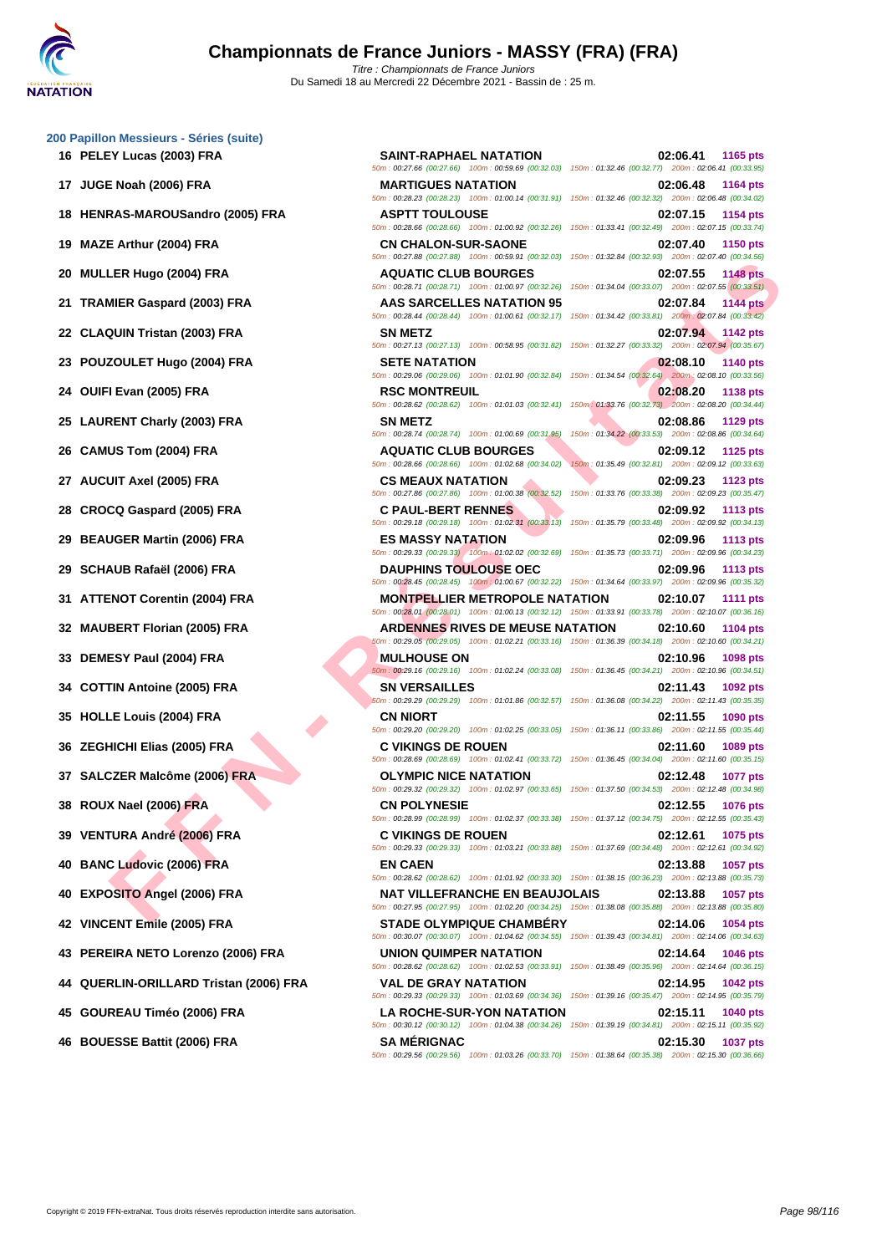| 16 PELEY Lucas (2003) FRA              | <b>SAINT-RAPHAEL NATATION</b>                                                                                                                                                                                                                 | 02:06.41<br>1165 pts                                                               |
|----------------------------------------|-----------------------------------------------------------------------------------------------------------------------------------------------------------------------------------------------------------------------------------------------|------------------------------------------------------------------------------------|
| 17 JUGE Noah (2006) FRA                | 50m: 00:27.66 (00:27.66) 100m: 00:59.69 (00:32.03) 150m: 01:32.46 (00:32.77) 200m: 02:06.41 (00:33.95)<br><b>MARTIGUES NATATION</b>                                                                                                           | 02:06.48<br>1164 pts                                                               |
| 18 HENRAS-MAROUSandro (2005) FRA       | 50m: 00:28.23 (00:28.23) 100m: 01:00.14 (00:31.91) 150m: 01:32.46 (00:32.32) 200m: 02:06.48 (00:34.02)<br><b>ASPTT TOULOUSE</b><br>50m : 00:28.66 (00:28.66) 100m : 01:00.92 (00:32.26) 150m : 01:33.41 (00:32.49) 200m : 02:07.15 (00:33.74) | 02:07.15<br>1154 pts                                                               |
| 19 MAZE Arthur (2004) FRA              | <b>CN CHALON-SUR-SAONE</b><br>50m: 00:27.88 (00:27.88) 100m: 00:59.91 (00:32.03) 150m: 01:32.84 (00:32.93) 200m: 02:07.40 (00:34.56)                                                                                                          | 02:07.40<br><b>1150 pts</b>                                                        |
| 20 MULLER Hugo (2004) FRA              | <b>AQUATIC CLUB BOURGES</b><br>50m: 00:28.71 (00:28.71) 100m: 01:00.97 (00:32.26) 150m: 01:34.04 (00:33.07) 200m: 02:07.55 (00:33.51)                                                                                                         | 02:07.55<br><b>1148 pts</b>                                                        |
| 21 TRAMIER Gaspard (2003) FRA          | AAS SARCELLES NATATION 95<br>50m: 00:28.44 (00:28.44) 100m: 01:00.61 (00:32.17) 150m: 01:34.42 (00:33.81) 200m: 02:07.84 (00:33.42)                                                                                                           | 02:07.84<br><b>1144 pts</b>                                                        |
| 22 CLAQUIN Tristan (2003) FRA          | <b>SN METZ</b><br>50m: 00:27.13 (00:27.13) 100m: 00:58.95 (00:31.82) 150m: 01:32.27 (00:33.32) 200m: 02:07.94 (00:35.67)                                                                                                                      | 02:07.94 1142 pts                                                                  |
| 23 POUZOULET Hugo (2004) FRA           | <b>SETE NATATION</b><br>50m : 00:29.06 (00:29.06) 100m : 01:01.90 (00:32.84) 150m : 01:34.54 (00:32.64) 200m : 02:08.10 (00:33.56)                                                                                                            | 02:08.10<br><b>1140 pts</b>                                                        |
| 24 OUIFI Evan (2005) FRA               | <b>RSC MONTREUIL</b><br>50m: 00:28.62 (00:28.62) 100m: 01:01.03 (00:32.41) 150m: 01:33.76 (00:32.73) 200m: 02:08.20 (00:34.44)                                                                                                                | 02:08.20<br>1138 pts                                                               |
| 25 LAURENT Charly (2003) FRA           | <b>SN METZ</b><br>50m: 00:28.74 (00:28.74) 100m: 01:00.69 (00:31.95)                                                                                                                                                                          | 02:08.86<br><b>1129 pts</b><br>150m: 01:34.22 (00:33.53) 200m: 02:08.86 (00:34.64) |
| 26 CAMUS Tom (2004) FRA                | <b>AQUATIC CLUB BOURGES</b><br>50m: 00:28.66 (00:28.66) 100m: 01:02.68 (00:34.02) 150m: 01:35.49 (00:32.81) 200m: 02:09.12 (00:33.63)                                                                                                         | 02:09.12<br>1125 pts                                                               |
| 27 AUCUIT Axel (2005) FRA              | <b>CS MEAUX NATATION</b><br>50m: 00:27.86 (00:27.86) 100m: 01:00.38 (00:32.52) 150m: 01:33.76 (00:33.38) 200m: 02:09.23 (00:35.47)                                                                                                            | 02:09.23<br><b>1123 pts</b>                                                        |
| 28 CROCQ Gaspard (2005) FRA            | <b>C PAUL-BERT RENNES</b><br>50m: 00:29.18 (00:29.18) 100m: 01:02.31 (00:33.13) 150m: 01:35.79 (00:33.48) 200m: 02:09.92 (00:34.13)                                                                                                           | 02:09.92<br><b>1113 pts</b>                                                        |
| <b>BEAUGER Martin (2006) FRA</b><br>29 | <b>ES MASSY NATATION</b><br>50m : 00:29.33 (00:29.33) 100m : 01:02.02 (00:32.69) 150m : 01:35.73 (00:33.71) 200m : 02:09.96 (00:34.23)                                                                                                        | 02:09.96<br>1113 pts                                                               |
| 29 SCHAUB Rafaël (2006) FRA            | <b>DAUPHINS TOULOUSE OEC</b><br>50m : 00:28.45 (00:28.45) 100m : 01:00.67 (00:32.22) 150m : 01:34.64 (00:33.97) 200m : 02:09.96 (00:35.32)                                                                                                    | 02:09.96<br>1113 pts                                                               |
| 31 ATTENOT Corentin (2004) FRA         | <b>MONTPELLIER METROPOLE NATATION</b><br>50m: 00:28.01 (00:28.01) 100m: 01:00.13 (00:32.12) 150m: 01:33.91 (00:33.78) 200m: 02:10.07 (00:36.16)                                                                                               | 02:10.07<br><b>1111 pts</b>                                                        |
| 32 MAUBERT Florian (2005) FRA          | <b>ARDENNES RIVES DE MEUSE NATATION</b><br>50m: 00:29.05 (00:29.05) 100m: 01:02.21 (00:33.16) 150m: 01:36.39 (00:34.18) 200m: 02:10.60 (00:34.21)                                                                                             | 02:10.60<br><b>1104 pts</b>                                                        |
| 33 DEMESY Paul (2004) FRA              | <b>MULHOUSE ON</b><br>50m: 00:29.16 (00:29.16) 100m: 01:02.24 (00:33.08) 150m: 01:36.45 (00:34.21) 200m: 02:10.96 (00:34.51)                                                                                                                  | 02:10.96<br>1098 pts                                                               |
| 34 COTTIN Antoine (2005) FRA           | <b>SN VERSAILLES</b><br>60m : 00:29.29 (00:29.29) 100m : 01:01.86 (00:32.57) 150m : 01:36.08 (00:34.22) 200m : 02:11.43 (00:35.35)                                                                                                            | 02:11.43<br>1092 pts                                                               |
| 35 HOLLE Louis (2004) FRA              | <b>CN NIORT</b><br>50m : 00:29.20 (00:29.20) 100m : 01:02.25 (00:33.05) 150m : 01:36.11 (00:33.86) 200m : 02:11.55 (00:35.44)                                                                                                                 | 02:11.55<br>1090 pts                                                               |
| 36 ZEGHICHI Elias (2005) FRA           | <b>C VIKINGS DE ROUEN</b><br>50m: 00:28.69 (00:28.69) 100m: 01:02.41 (00:33.72) 150m: 01:36.45 (00:34.04) 200m: 02:11.60 (00:35.15)                                                                                                           | 02:11.60<br>1089 pts                                                               |
| 37 SALCZER Malcôme (2006) FRA          | <b>OLYMPIC NICE NATATION</b><br>50m : 00:29.32 (00:29.32) 100m : 01:02.97 (00:33.65) 150m : 01:37.50 (00:34.53) 200m : 02:12.48 (00:34.98)                                                                                                    | 02:12.48<br>1077 pts                                                               |
| 38 ROUX Nael (2006) FRA                | <b>CN POLYNESIE</b><br>50m : 00:28.99 (00:28.99) 100m : 01:02.37 (00:33.38) 150m : 01:37.12 (00:34.75) 200m : 02:12.55 (00:35.43)                                                                                                             | 02:12.55<br>1076 pts                                                               |
| 39 VENTURA André (2006) FRA            | <b>C VIKINGS DE ROUEN</b><br>50m: 00:29.33 (00:29.33) 100m: 01:03.21 (00:33.88) 150m: 01:37.69 (00:34.48) 200m: 02:12.61 (00:34.92)                                                                                                           | 02:12.61<br>1075 pts                                                               |
| 40 BANC Ludovic (2006) FRA             | <b>EN CAEN</b><br>50m: 00:28.62 (00:28.62) 100m: 01:01.92 (00:33.30) 150m: 01:38.15 (00:36.23) 200m: 02:13.88 (00:35.73)                                                                                                                      | 02:13.88<br>1057 pts                                                               |
| 40 EXPOSITO Angel (2006) FRA           | <b>NAT VILLEFRANCHE EN BEAUJOLAIS</b><br>50m: 00:27.95 (00:27.95) 100m: 01:02.20 (00:34.25) 150m: 01:38.08 (00:35.88) 200m: 02:13.88 (00:35.80)                                                                                               | 02:13.88<br><b>1057 pts</b>                                                        |
|                                        | <b>CTADE OI VMBIOUE CHAMBÉDY</b>                                                                                                                                                                                                              | 0.2440c<br>$ADEA = 4$                                                              |

- 
- 
- 
- 
- 
- 
- 
- 
- 
- **46 BOUESSE Battit (2006) FRA SA MÉRIGNAC 02:15.30 1037 pts**

5 02:07.15 (00:33.74)  $: 02:07.40$  (00:34.56)  $: 02:07.55$  (00:33.51)  $: 02:07.84 \ (00:33.42)$ **22 CLAQUIN Tristan (2003) FRA SN METZ 02:07.94 1142 pts**  $: 02:07.94 (00:35.67)$  $50.020810$  (00:33.56) -<br>02:08.20 (00:34.44)  $: 02:08.86$  (00:34.64)  $: 02:09.12$  (00:33.63) : 02:09.23 (00:35.47)  $\frac{1}{10}$ : 02:09.92 (00:34.13) 5 02:09.96 (00:34.23) n : 02:09.96 (00:35.32) : 02:10.07 (00:36.16)  $: 02:10.60$  (00:34.21)  $: 02:10.96$  (00:34.51) .<br>200:35.35 (00:35.35) **35 HOLLE Louis (2004) FRA CN NIORT 02:11.55 1090 pts**  $: 02:11.55 (00:35.44)$ 50m : 00:28.69 (00:28.69) 100m : 01:02.41 (00:33.72) 150m : 01:36.45 (00:34.04) 200m : 02:11.60 (00:35.15) **37 SALCZER Malcôme (2006) FRA OLYMPIC NICE NATATION 02:12.48 1077 pts** 50m : 00:29.32 (00:29.32) 100m : 01:02.97 (00:33.65) 150m : 01:37.50 (00:34.53) 200m : 02:12.48 (00:34.98) **38 ROUX Nael (2006) FRA CN POLYNESIE 02:12.55 1076 pts** 50m : 00:28.99 (00:28.99) 100m : 01:02.37 (00:33.38) 150m : 01:37.12 (00:34.75) 200m : 02:12.55 (00:35.43) **39 VENTURA André (2006) FRA C VIKINGS DE ROUEN 02:12.61 1075 pts** 50m : 00:29.33 (00:29.33) 100m : 01:03.21 (00:33.88) 150m : 01:37.69 (00:34.48) 200m : 02:12.61 (00:34.92) **40 BANC Ludovic (2006) FRA EN CAEN 02:13.88 1057 pts** 50m : 00:28.62 (00:28.62) 100m : 01:01.92 (00:33.30) 150m : 01:38.15 (00:36.23) 200m : 02:13.88 (00:35.73) **40 EXPOSITO Angel (2006) FRA NAT VILLEFRANCHE EN BEAUJOLAIS 02:13.88 1057 pts** 50m : 00:27.95 (00:27.95) 100m : 01:02.20 (00:34.25) 150m : 01:38.08 (00:35.88) 200m : 02:13.88 (00:35.80) **42 VINCENT Emile (2005) FRA STADE OLYMPIQUE CHAMBÉRY 02:14.06 1054 pts** 50m : 00:30.07 (00:30.07) 100m : 01:04.62 (00:34.55) 150m : 01:39.43 (00:34.81) 200m : 02:14.06 (00:34.63) **43 PEREIRA NETO Lorenzo (2006) FRA UNION QUIMPER NATATION 02:14.64 1046 pts** 50m : 00:28.62 (00:28.62) 100m : 01:02.53 (00:33.91) 150m : 01:38.49 (00:35.96) 200m : 02:14.64 (00:36.15) **44 QUERLIN-ORILLARD Tristan (2006) FRA VAL DE GRAY NATATION 02:14.95 1042 pts** 50m : 00:29.33 (00:29.33) 100m : 01:03.69 (00:34.36) 150m : 01:39.16 (00:35.47) 200m : 02:14.95 (00:35.79) **45 GOUREAU Timéo (2006) FRA LA ROCHE-SUR-YON NATATION 02:15.11 1040 pts** 50m : 00:30.12 (00:30.12) 100m : 01:04.38 (00:34.26) 150m : 01:39.19 (00:34.81) 200m : 02:15.11 (00:35.92)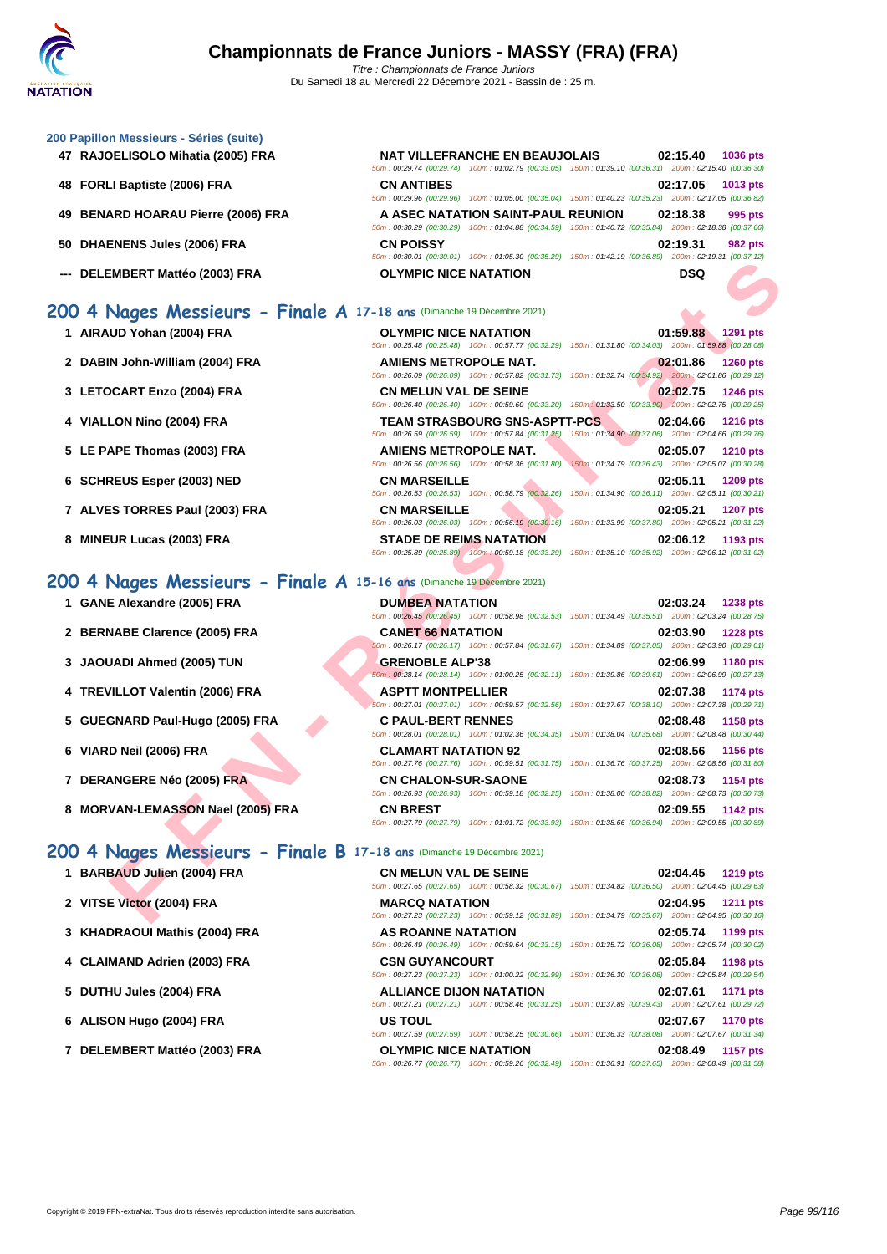| 47 RAJOELISOLO Mihatia (2005) FRA                                                                    | <b>NAT VILLEFRANCHE EN BEAUJOLAIS</b> | 02:15.40<br><b>1036 pts</b><br>50m: 00:29.74 (00:29.74) 100m: 01:02.79 (00:33.05) 150m: 01:39.10 (00:36.31) 200m: 02:15.40 (00:36.30)                                                                                                               |  |
|------------------------------------------------------------------------------------------------------|---------------------------------------|-----------------------------------------------------------------------------------------------------------------------------------------------------------------------------------------------------------------------------------------------------|--|
| 48 FORLI Baptiste (2006) FRA                                                                         | <b>CN ANTIBES</b>                     | 02:17.05<br>1013 pts<br>50m : 00:29.96 (00:29.96) 100m : 01:05.00 (00:35.04) 150m : 01:40.23 (00:35.23) 200m : 02:17.05 (00:36.82)                                                                                                                  |  |
| 49 BENARD HOARAU Pierre (2006) FRA                                                                   | A ASEC NATATION SAINT-PAUL REUNION    | 02:18.38<br>995 pts<br>50m: 00:30.29 (00:30.29) 100m: 01:04.88 (00:34.59) 150m: 01:40.72 (00:35.84) 200m: 02:18.38 (00:37.66)                                                                                                                       |  |
| 50 DHAENENS Jules (2006) FRA                                                                         | <b>CN POISSY</b>                      | 02:19.31<br><b>982 pts</b><br>50m: 00:30.01 (00:30.01) 100m: 01:05.30 (00:35.29) 150m: 01:42.19 (00:36.89) 200m: 02:19.31 (00:37.12)                                                                                                                |  |
| --- DELEMBERT Mattéo (2003) FRA                                                                      | <b>OLYMPIC NICE NATATION</b>          | <b>DSQ</b>                                                                                                                                                                                                                                          |  |
| 00 4 Nages Messieurs - Finale A 17-18 ans (Dimanche 19 Décembre 2021)                                |                                       |                                                                                                                                                                                                                                                     |  |
| 1 AIRAUD Yohan (2004) FRA                                                                            | <b>OLYMPIC NICE NATATION</b>          | 01:59.88<br>1291 pts<br>50m: 00:25.48 (00:25.48) 100m: 00:57.77 (00:32.29) 150m: 01:31.80 (00:34.03) 200m: 01:59.88 (00:28.08)                                                                                                                      |  |
| 2 DABIN John-William (2004) FRA                                                                      | <b>AMIENS METROPOLE NAT.</b>          | 02:01.86<br><b>1260 pts</b><br>50m: 00:26.09 (00:26.09) 100m: 00:57.82 (00:31.73) 150m: 01:32.74 (00:34.92) 200m: 02:01.86 (00:29.12)                                                                                                               |  |
| 3 LETOCART Enzo (2004) FRA                                                                           | <b>CN MELUN VAL DE SEINE</b>          | 02:02.75<br>1246 pts                                                                                                                                                                                                                                |  |
| 4 VIALLON Nino (2004) FRA                                                                            | <b>TEAM STRASBOURG SNS-ASPTT-PCS</b>  | 50m: 00:26.40 (00:26.40) 100m: 00:59.60 (00:33.20) 150m: 01:33.50 (00:33.90) 200m: 02:02.75 (00:29.25)<br>02:04.66<br><b>1216 pts</b><br>50m : 00:26.59 (00:26.59) 100m : 00:57.84 (00:31.25) 150m : 01:34.90 (00:37.06) 200m : 02:04.66 (00:29.76) |  |
| 5 LE PAPE Thomas (2003) FRA                                                                          | <b>AMIENS METROPOLE NAT.</b>          | 02:05.07<br><b>1210 pts</b>                                                                                                                                                                                                                         |  |
| 6 SCHREUS Esper (2003) NED                                                                           | <b>CN MARSEILLE</b>                   | 50m: 00:26.56 (00:26.56) 100m: 00:58.36 (00:31.80) 150m: 01:34.79 (00:36.43) 200m: 02:05.07 (00:30.28)<br>02:05.11<br>1209 pts                                                                                                                      |  |
| 7 ALVES TORRES Paul (2003) FRA                                                                       | <b>CN MARSEILLE</b>                   | 50m: 00:26.53 (00:26.53) 100m: 00:58.79 (00:32.26) 150m: 01:34.90 (00:36.11) 200m: 02:05.11 (00:30.21)<br>02:05.21<br>1207 pts<br>50m : 00:26.03 (00:26.03) 100m : 00:56.19 (00:30.16) 150m : 01:33.99 (00:37.80) 200m : 02:05.21 (00:31.22)        |  |
|                                                                                                      | <b>STADE DE REIMS NATATION</b>        |                                                                                                                                                                                                                                                     |  |
| 8 MINEUR Lucas (2003) FRA                                                                            |                                       | 02:06.12<br>1193 pts<br>50m : 00:25.89 (00:25.89) 100m : 00:59.18 (00:33.29) 150m : 01:35.10 (00:35.92) 200m : 02:06.12 (00:31.02)                                                                                                                  |  |
|                                                                                                      |                                       |                                                                                                                                                                                                                                                     |  |
| 00 4 Nages Messieurs - Finale A 15-16 ans (Dimanche 19 Décembre 2021)<br>1 GANE Alexandre (2005) FRA | <b>DUMBEA NATATION</b>                | 02:03.24<br><b>1238 pts</b>                                                                                                                                                                                                                         |  |
| 2 BERNABE Clarence (2005) FRA                                                                        | <b>CANET 66 NATATION</b>              | 50m: 00:26.45 (00:26.45) 100m: 00:58.98 (00:32.53) 150m: 01:34.49 (00:35.51) 200m: 02:03.24 (00:28.75)<br>02:03.90<br><b>1228 pts</b>                                                                                                               |  |
| 3 JAOUADI Ahmed (2005) TUN                                                                           | <b>GRENOBLE ALP'38</b>                | 50m: 00:26.17 (00:26.17) 100m: 00:57.84 (00:31.67) 150m: 01:34.89 (00:37.05) 200m: 02:03.90 (00:29.01)<br>02:06.99<br><b>1180 pts</b>                                                                                                               |  |
| 4 TREVILLOT Valentin (2006) FRA                                                                      | <b>ASPTT MONTPELLIER</b>              | 50m: 00:28.14 (00:28.14) 100m: 01:00.25 (00:32.11) 150m: 01:39.86 (00:39.61) 200m: 02:06.99 (00:27.13)<br>02:07.38<br><b>1174 pts</b>                                                                                                               |  |
| 5 GUEGNARD Paul-Hugo (2005) FRA                                                                      | <b>C PAUL-BERT RENNES</b>             | 50m: 00:27.01 (00:27.01) 100m: 00:59.57 (00:32.56) 150m: 01:37.67 (00:38.10) 200m: 02:07.38 (00:29.71)<br>02:08.48<br>1158 pts                                                                                                                      |  |
| 6 VIARD Neil (2006) FRA                                                                              | <b>CLAMART NATATION 92</b>            | 50m: 00:28.01 (00:28.01) 100m: 01:02.36 (00:34.35) 150m: 01:38.04 (00:35.68) 200m: 02:08.48 (00:30.44)<br>02:08.56<br>1156 pts                                                                                                                      |  |
| 7 DERANGERE Néo (2005) FRA                                                                           | <b>CN CHALON-SUR-SAONE</b>            | 50m: 00:27.76 (00:27.76) 100m: 00:59.51 (00:31.75) 150m: 01:36.76 (00:37.25) 200m: 02:08.56 (00:31.80)<br>02:08.73<br>1154 pts                                                                                                                      |  |
| 8 MORVAN-LEMASSON Nael (2005) FRA                                                                    | <b>CN BREST</b>                       | 50m : 00:26.93 (00:26.93) 100m : 00:59.18 (00:32.25) 150m : 01:38.00 (00:38.82) 200m : 02:08.73 (00:30.73)<br>02:09.55<br>1142 pts<br>50m: 00:27.79 (00:27.79) 100m: 01:01.72 (00:33.93) 150m: 01:38.66 (00:36.94) 200m: 02:09.55 (00:30.89)        |  |
| 00 4 Nages Messieurs - Finale B 17-18 ans (Dimanche 19 Décembre 2021)                                |                                       |                                                                                                                                                                                                                                                     |  |
| 1 BARBAUD Julien (2004) FRA                                                                          | <b>CN MELUN VAL DE SEINE</b>          | 02:04.45<br><b>1219 pts</b><br>50m: 00:27.65 (00:27.65) 100m: 00:58.32 (00:30.67) 150m: 01:34.82 (00:36.50) 200m: 02:04.45 (00:29.63)                                                                                                               |  |

**200 4 Nages** 

**[200 Papil](http://www.ffnatation.fr/webffn/index.php)lon Messieurs - Séries (suite)**

- **7 ALVES TORRES Paul (2003) FRA CN MARSEILLE 02:05.21 1207 pts**
- **8 MINEUR Lucas (2003) FRA STADE DE REIMS NATATION 02:06.12 1193 pts**

# **200 4 Nages Messieurs - Finale A 15-16 ans** (Dimanche 19 Décembre 2021)

- 
- 
- 
- 
- 
- **6 VIARD Neil (2006) FRA CLAMART NATATION 92 02:08.56 1156 pts**
- 
- **8** MORVAN-LEMASSON Nael (2005) FRA

# **1 BARBAUD Julien (2004) FRA**

- 
- **2 VITSE Victor (2004) FRA**
- **3 [KHADRAOUI Mathis \(2004\) FRA](http://www.ffnatation.fr/webffn/resultats.php?idact=nat&go=epr&idcpt=72221&idepr=91)**
- **4** CLAIMAND Adrien (2003) FRA
- **5 DUTHU Jules (2004) FRA**
- **6 ALISON Hugo (2004) FRA**
- **7 DELEMBERT Mattéo (2003) FRA**

| JU 4 INGGES MESSIEUPS - FINGIE A 15-16 ans (Dimanche 19 Decembre 2021) |                            |                                                                                                                                       |
|------------------------------------------------------------------------|----------------------------|---------------------------------------------------------------------------------------------------------------------------------------|
| 1 GANE Alexandre (2005) FRA                                            | <b>DUMBEA NATATION</b>     | 02:03.24<br><b>1238 pts</b><br>50m: 00:26.45 (00:26.45) 100m: 00:58.98 (00:32.53) 150m: 01:34.49 (00:35.51) 200m: 02:03.24 (00:28.75) |
| 2 BERNABE Clarence (2005) FRA                                          | <b>CANET 66 NATATION</b>   | 02:03.90<br><b>1228 pts</b><br>50m: 00:26.17 (00:26.17) 100m: 00:57.84 (00:31.67) 150m: 01:34.89 (00:37.05) 200m: 02:03.90 (00:29.01) |
| 3 JAOUADI Ahmed (2005) TUN                                             | <b>GRENOBLE ALP'38</b>     | 02:06.99<br><b>1180 pts</b><br>50m: 00:28.14 (00:28.14) 100m: 01:00.25 (00:32.11) 150m: 01:39.86 (00:39.61) 200m: 02:06.99 (00:27.13) |
| 4 TREVILLOT Valentin (2006) FRA                                        | <b>ASPTT MONTPELLIER</b>   | 02:07.38<br><b>1174 pts</b><br>50m: 00:27.01 (00:27.01) 100m: 00:59.57 (00:32.56) 150m: 01:37.67 (00:38.10) 200m: 02:07.38 (00:29.71) |
| 5 GUEGNARD Paul-Hugo (2005) FRA                                        | <b>C PAUL-BERT RENNES</b>  | 1158 pts<br>02:08.48<br>50m: 00:28.01 (00:28.01) 100m: 01:02.36 (00:34.35) 150m: 01:38.04 (00:35.68) 200m: 02:08.48 (00:30.44)        |
| 6 VIARD Neil (2006) FRA                                                | <b>CLAMART NATATION 92</b> | 02:08.56<br>1156 pts<br>50m: 00:27.76 (00:27.76) 100m: 00:59.51 (00:31.75) 150m: 01:36.76 (00:37.25) 200m: 02:08.56 (00:31.80)        |
| 7 DERANGERE Néo (2005) FRA                                             | <b>CN CHALON-SUR-SAONE</b> | <b>1154 pts</b><br>02:08.73<br>50m: 00:26.93 (00:26.93) 100m: 00:59.18 (00:32.25) 150m: 01:38.00 (00:38.82) 200m: 02:08.73 (00:30.73) |
| 8 MORVAN-LEMASSON Nael (2005) FRA                                      | <b>CN BREST</b>            | 02:09.55<br><b>1142 pts</b><br>50m; 00:27.79 (00:27.79) 100m; 01:01.72 (00:33.93) 150m; 01:38.66 (00:36.94) 200m; 02:09.55 (00:30.89) |

## **200 4 Nages Messieurs - Finale B 17-18 ans** (Dimanche 19 Décembre 2021)

| <b>CN MELUN VAL DE SEINE</b>   |                                                                                                        |  | 02:04.45 1219 pts |
|--------------------------------|--------------------------------------------------------------------------------------------------------|--|-------------------|
|                                | 50m: 00:27.65 (00:27.65) 100m: 00:58.32 (00:30.67) 150m: 01:34.82 (00:36.50) 200m: 02:04.45 (00:29.63) |  |                   |
| <b>MARCQ NATATION</b>          |                                                                                                        |  | 02:04.95 1211 pts |
|                                | 50m: 00:27.23 (00:27.23) 100m: 00:59.12 (00:31.89) 150m: 01:34.79 (00:35.67) 200m: 02:04.95 (00:30.16) |  |                   |
| <b>AS ROANNE NATATION</b>      |                                                                                                        |  | 02:05.74 1199 pts |
|                                | 50m: 00:26.49 (00:26.49) 100m: 00:59.64 (00:33.15) 150m: 01:35.72 (00:36.08) 200m: 02:05.74 (00:30.02) |  |                   |
| <b>CSN GUYANCOURT</b>          |                                                                                                        |  | 02:05.84 1198 pts |
|                                | 50m: 00:27.23 (00:27.23) 100m: 01:00.22 (00:32.99) 150m: 01:36.30 (00:36.08) 200m: 02:05.84 (00:29.54) |  |                   |
| <b>ALLIANCE DIJON NATATION</b> |                                                                                                        |  | 02:07.61 1171 pts |
|                                | 50m: 00:27.21 (00:27.21) 100m: 00:58.46 (00:31.25) 150m: 01:37.89 (00:39.43) 200m: 02:07.61 (00:29.72) |  |                   |
| <b>US TOUL</b>                 |                                                                                                        |  | 02:07.67 1170 pts |
|                                | 50m: 00:27.59 (00:27.59) 100m: 00:58.25 (00:30.66) 150m: 01:36.33 (00:38.08) 200m: 02:07.67 (00:31.34) |  |                   |
| <b>OLYMPIC NICE NATATION</b>   |                                                                                                        |  | 02:08.49 1157 pts |
|                                | 50m: 00:26.77 (00:26.77) 100m: 00:59.26 (00:32.49) 150m: 01:36.91 (00:37.65) 200m: 02:08.49 (00:31.58) |  |                   |
|                                |                                                                                                        |  |                   |

|  | 02:08.73 1154 pts<br>0m: 01:38.00 (00:38.82) 200m: 02:08.73 (00:30.73) |
|--|------------------------------------------------------------------------|
|  | 02:09.55 1142 pts                                                      |
|  | 0m: 01:38.66 (00:36.94) 200m: 02:09.55 (00:30.89)                      |
|  |                                                                        |
|  | 02:04.45 1219 pts                                                      |

|                                                     |  | $UZ:U4.45$ 1219 pts |
|-----------------------------------------------------|--|---------------------|
| 150m: 01:34.82 (00:36.50) 200m: 02:04.45 (00:29.63) |  |                     |
|                                                     |  | 02:04.95 1211 pts   |
| 150m: 01:34.79 (00:35.67) 200m: 02:04.95 (00:30.16) |  |                     |
|                                                     |  | 02:05.74 1199 pts   |
| 150m: 01:35.72 (00:36.08) 200m: 02:05.74 (00:30.02) |  |                     |
|                                                     |  | 02:05.84 1198 pts   |
| 150m: 01:36.30 (00:36.08) 200m: 02:05.84 (00:29.54) |  |                     |
|                                                     |  | 02:07.61 1171 pts   |
| 150m: 01:37.89 (00:39.43) 200m: 02:07.61 (00:29.72) |  |                     |
|                                                     |  | 02:07.67 1170 pts   |
| 150m: 01:36.33 (00:38.08) 200m: 02:07.67 (00:31.34) |  |                     |
|                                                     |  | 02:08.49 1157 pts   |
| 150m: 01:36.91 (00:37.65) 200m: 02:08.49 (00:31.58) |  |                     |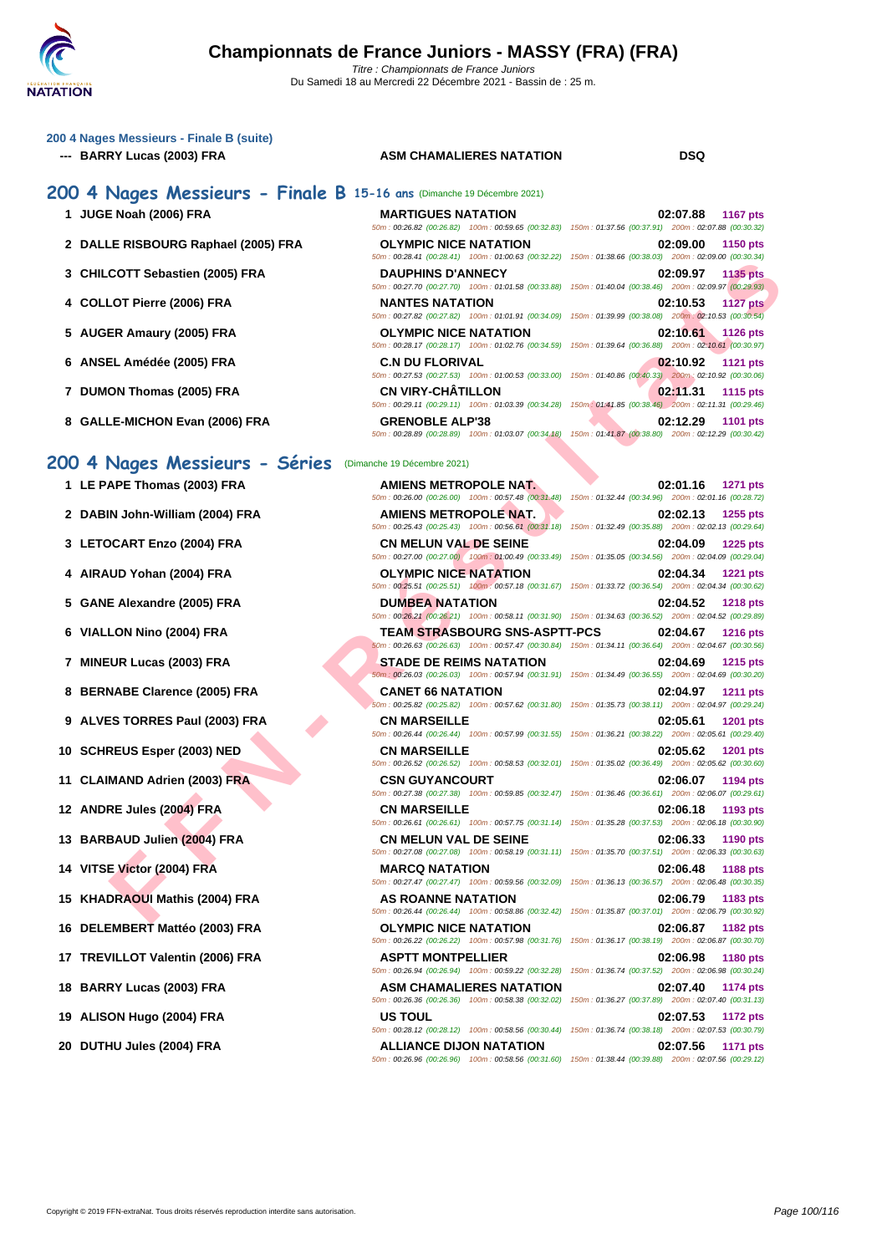## **[200 4 Nag](http://www.ffnatation.fr/webffn/index.php)es Messieurs - Finale B (suite)**

## **--- BARRY Lucas (2003) FRA ASM CHAMALIERES NATATION DSQ**

## **200 4 Nages Messieurs - Finale B 15-16 ans** (Dimanche 19 Décembre 2021)

- 
- **2 DALLE RISBOURG Raphael (2005) FRA**
- **3** CHILCOTT Sebastien (2005) FRA
- **4 COLLOT Pierre (2006) FRA NANTES NATATION 02:10.53 1127 pts**
- **5 AUGER Amaury (2005) FRA**
- **6** ANSEL Amédée (2005) FRA
- **7 DUMON Thomas (2005) FRA**
- **8 GALLE-MICHON Evan (2006) FRA**

## 200 4 Nages Messieurs - Séries <sup>(Dimanch</sup>

- 
- 
- 
- 
- 
- 
- 
- 
- 
- 
- 
- 
- 
- 
- 
- 
- 
- 
- 
- 

| <b>U T NUGLES MESSIEURS - LINUIS D</b> 15-10 ans (Dimanche 19 Decembre 2021) |                              |                                                                                                                                       |
|------------------------------------------------------------------------------|------------------------------|---------------------------------------------------------------------------------------------------------------------------------------|
| 1 JUGE Noah (2006) FRA                                                       | <b>MARTIGUES NATATION</b>    | 02:07.88<br><b>1167 pts</b><br>50m: 00:26.82 (00:26.82) 100m: 00:59.65 (00:32.83) 150m: 01:37.56 (00:37.91) 200m: 02:07.88 (00:30.32) |
| 2 DALLE RISBOURG Raphael (2005) FRA                                          | <b>OLYMPIC NICE NATATION</b> | 02:09.00<br>1150 pts<br>50m: 00:28.41 (00:28.41) 100m: 01:00.63 (00:32.22) 150m: 01:38.66 (00:38.03) 200m: 02:09.00 (00:30.34)        |
| 3 CHILCOTT Sebastien (2005) FRA                                              | <b>DAUPHINS D'ANNECY</b>     | <b>1135 pts</b><br>02:09.97<br>50m: 00:27.70 (00:27.70) 100m: 01:01.58 (00:33.88) 150m: 01:40.04 (00:38.46) 200m: 02:09.97 (00:29.93) |
| 4 COLLOT Pierre (2006) FRA                                                   | <b>NANTES NATATION</b>       | 02:10.53<br><b>1127 pts</b><br>50m: 00:27.82 (00:27.82) 100m: 01:01.91 (00:34.09) 150m: 01:39.99 (00:38.08) 200m: 02:10.53 (00:30.54) |
| 5 AUGER Amaury (2005) FRA                                                    | <b>OLYMPIC NICE NATATION</b> | 02:10.61<br><b>1126 pts</b><br>50m: 00:28.17 (00:28.17) 100m: 01:02.76 (00:34.59) 150m: 01:39.64 (00:36.88) 200m: 02:10.61 (00:30.97) |
| 6 ANSEL Amédée (2005) FRA                                                    | <b>C.N DU FLORIVAL</b>       | 02:10.92<br>1121 pts<br>50m: 00:27.53 (00:27.53) 100m: 01:00.53 (00:33.00) 150m: 01:40.86 (00:40.33) 200m: 02:10.92 (00:30.06)        |
| 7 DUMON Thomas (2005) FRA                                                    | <b>CN VIRY-CHÂTILLON</b>     | 02:11.31<br><b>1115 pts</b><br>50m: 00:29.11 (00:29.11) 100m: 01:03.39 (00:34.28) 150m: 01:41.85 (00:38.46) 200m: 02:11.31 (00:29.46) |
| 8 GALLE-MICHON Evan (2006) FRA                                               | <b>GRENOBLE ALP'38</b>       | 02:12.29<br><b>1101 pts</b><br>the contract of the contract of                                                                        |

| 3 CHILCOTT Sebastien (2005) FRA  | <b>DAUPHINS D'ANNECY</b>                                                              | 02:09.97<br><b>1135 pts</b><br>50m: 00:27.70 (00:27.70) 100m: 01:01.58 (00:33.88) 150m: 01:40.04 (00:38.46) 200m: 02:09.97 (00:29.93)                                                                                                           |
|----------------------------------|---------------------------------------------------------------------------------------|-------------------------------------------------------------------------------------------------------------------------------------------------------------------------------------------------------------------------------------------------|
| 4 COLLOT Pierre (2006) FRA       | <b>NANTES NATATION</b>                                                                | 02:10.53<br><b>1127 pts</b><br>50m: 00:27.82 (00:27.82) 100m: 01:01.91 (00:34.09) 150m: 01:39.99 (00:38.08) 200m: 02:10.53 (00:30.54)                                                                                                           |
| 5 AUGER Amaury (2005) FRA        | <b>OLYMPIC NICE NATATION</b>                                                          | 02:10.61<br><b>1126 pts</b><br>50m: 00:28.17 (00:28.17) 100m: 01:02.76 (00:34.59) 150m: 01:39.64 (00:36.88) 200m: 02:10.61 (00:30.97)                                                                                                           |
| 6 ANSEL Amédée (2005) FRA        | <b>C.N DU FLORIVAL</b>                                                                | 02:10.92<br>1121 pts<br>50m: 00:27.53 (00:27.53) 100m: 01:00.53 (00:33.00) 150m: 01:40.86 (00:40.33) 200m: 02:10.92 (00:30.06)                                                                                                                  |
| 7 DUMON Thomas (2005) FRA        | <b>CN VIRY-CHATILLON</b>                                                              | 02:11.31<br><b>1115 pts</b><br>50m: 00:29.11 (00:29.11) 100m: 01:03.39 (00:34.28) 150m: 01:41.85 (00:38.46) 200m: 02:11.31 (00:29.46)                                                                                                           |
| 8 GALLE-MICHON Evan (2006) FRA   | <b>GRENOBLE ALP'38</b>                                                                | 02:12.29<br><b>1101 pts</b><br>50m: 00:28.89 (00:28.89) 100m: 01:03.07 (00:34.18) 150m: 01:41.87 (00:38.80) 200m: 02:12.29 (00:30.42)                                                                                                           |
| 00 4 Nages Messieurs - Séries    | (Dimanche 19 Décembre 2021)                                                           |                                                                                                                                                                                                                                                 |
| 1 LE PAPE Thomas (2003) FRA      | <b>AMIENS METROPOLE NAT.</b>                                                          | 02:01.16<br><b>1271 pts</b>                                                                                                                                                                                                                     |
| 2 DABIN John-William (2004) FRA  | <b>AMIENS METROPOLE NAT.</b>                                                          | 50m : 00:26.00 (00:26.00) 100m : 00:57.48 (00:31.48) 150m : 01:32.44 (00:34.96) 200m : 02:01.16 (00:28.72)<br>02:02.13<br>1255 pts                                                                                                              |
|                                  |                                                                                       | 50m : 00:25.43 (00:25.43) 100m : 00:56.61 (00:31.18) 150m : 01:32.49 (00:35.88) 200m : 02:02.13 (00:29.64)                                                                                                                                      |
| 3 LETOCART Enzo (2004) FRA       | <b>CN MELUN VAL DE SEINE</b>                                                          | 02:04.09<br><b>1225 pts</b><br>50m : 00:27.00 (00:27.00) 100m : 01:00.49 (00:33.49) 150m : 01:35.05 (00:34.56) 200m : 02:04.09 (00:29.04)                                                                                                       |
| 4 AIRAUD Yohan (2004) FRA        | <b>OLYMPIC NICE NATATION</b>                                                          | 02:04.34<br><b>1221 pts</b><br>50m: 00:25.51 (00:25.51) 100m: 00:57.18 (00:31.67) 150m: 01:33.72 (00:36.54) 200m: 02:04.34 (00:30.62)                                                                                                           |
| 5 GANE Alexandre (2005) FRA      | <b>DUMBEA NATATION</b>                                                                | 02:04.52<br><b>1218 pts</b>                                                                                                                                                                                                                     |
| 6 VIALLON Nino (2004) FRA        | <b>TEAM STRASBOURG SNS-ASPTT-PCS</b>                                                  | 50m: 00:26.21 (00:26.21) 100m: 00:58.11 (00:31.90) 150m: 01:34.63 (00:36.52) 200m: 02:04.52 (00:29.89)<br>02:04.67<br><b>1216 pts</b><br>50m: 00:26.63 (00:26.63) 100m: 00:57.47 (00:30.84) 150m: 01:34.11 (00:36.64) 200m: 02:04.67 (00:30.56) |
| 7 MINEUR Lucas (2003) FRA        | <b>STADE DE REIMS NATATION</b>                                                        | 02:04.69<br><b>1215 pts</b><br>50m: 00:26.03 (00:26.03) 100m: 00:57.94 (00:31.91) 150m: 01:34.49 (00:36.55) 200m: 02:04.69 (00:30.20)                                                                                                           |
| 8 BERNABE Clarence (2005) FRA    | <b>CANET 66 NATATION</b>                                                              | 02:04.97<br><b>1211 pts</b><br>50m: 00:25.82 (00:25.82) 100m: 00:57.62 (00:31.80) 150m: 01:35.73 (00:38.11) 200m: 02:04.97 (00:29.24)                                                                                                           |
| 9 ALVES TORRES Paul (2003) FRA   | <b>CN MARSEILLE</b>                                                                   | 02:05.61<br>1201 pts<br>50m: 00:26.44 (00:26.44) 100m: 00:57.99 (00:31.55) 150m: 01:36.21 (00:38.22) 200m: 02:05.61 (00:29.40)                                                                                                                  |
| 10 SCHREUS Esper (2003) NED      | <b>CN MARSEILLE</b>                                                                   | 02:05.62<br><b>1201 pts</b><br>50m: 00:26.52 (00:26.52) 100m: 00:58.53 (00:32.01) 150m: 01:35.02 (00:36.49) 200m: 02:05.62 (00:30.60)                                                                                                           |
| 11 CLAIMAND Adrien (2003) FRA    | <b>CSN GUYANCOURT</b>                                                                 | 02:06.07<br>1194 pts<br>50m: 00:27.38 (00:27.38) 100m: 00:59.85 (00:32.47) 150m: 01:36.46 (00:36.61) 200m: 02:06.07 (00:29.61)                                                                                                                  |
| 12 ANDRE Jules (2004) FRA        | <b>CN MARSEILLE</b>                                                                   | 02:06.18<br>1193 pts<br>50m: 00:26.61 (00:26.61) 100m: 00:57.75 (00:31.14) 150m: 01:35.28 (00:37.53) 200m: 02:06.18 (00:30.90)                                                                                                                  |
| 13 BARBAUD Julien (2004) FRA     | <b>CN MELUN VAL DE SEINE</b>                                                          | 02:06.33<br>1190 pts<br>50m: 00:27.08 (00:27.08) 100m: 00:58.19 (00:31.11) 150m: 01:35.70 (00:37.51) 200m: 02:06.33 (00:30.63)                                                                                                                  |
| 14 VITSE Victor (2004) FRA       | <b>MARCQ NATATION</b>                                                                 | 02:06.48<br><b>1188 pts</b><br>50m: 00:27.47 (00:27.47) 100m: 00:59.56 (00:32.09) 150m: 01:36.13 (00:36.57) 200m: 02:06.48 (00:30.35)                                                                                                           |
| 15 KHADRAOUI Mathis (2004) FRA   | <b>AS ROANNE NATATION</b>                                                             | 02:06.79<br>1183 pts<br>50m : 00:26.44 (00:26.44) 100m : 00:58.86 (00:32.42) 150m : 01:35.87 (00:37.01) 200m : 02:06.79 (00:30.92)                                                                                                              |
| 16 DELEMBERT Mattéo (2003) FRA   | <b>OLYMPIC NICE NATATION</b>                                                          | 02:06.87 1182 pts<br>50m : 00:26.22 (00:26.22) 100m : 00:57.98 (00:31.76) 150m : 01:36.17 (00:38.19) 200m : 02:06.87 (00:30.70)                                                                                                                 |
| 17 TREVILLOT Valentin (2006) FRA | <b>ASPTT MONTPELLIER</b>                                                              | 02:06.98<br>1180 pts<br>50m: 00:26.94 (00:26.94) 100m: 00:59.22 (00:32.28) 150m: 01:36.74 (00:37.52) 200m: 02:06.98 (00:30.24)                                                                                                                  |
| 18 BARRY Lucas (2003) FRA        | <b>ASM CHAMALIERES NATATION</b><br>50m: 00:26.36 (00:26.36) 100m: 00:58.38 (00:32.02) | 02:07.40<br>1174 pts<br>150m: 01:36.27 (00:37.89) 200m: 02:07.40 (00:31.13)                                                                                                                                                                     |
| 19 ALISON Hugo (2004) FRA        | <b>US TOUL</b>                                                                        | 02:07.53<br>1172 pts<br>50m : 00:28.12 (00:28.12) 100m : 00:58.56 (00:30.44) 150m : 01:36.74 (00:38.18) 200m : 02:07.53 (00:30.79)                                                                                                              |
| 20 DUTHU Jules (2004) FRA        | <b>ALLIANCE DIJON NATATION</b>                                                        | 02:07.56<br>1171 pts<br>50m : 00:26.96 (00:26.96) 100m : 00:58.56 (00:31.60) 150m : 01:38.44 (00:39.88) 200m : 02:07.56 (00:29.12)                                                                                                              |
|                                  |                                                                                       |                                                                                                                                                                                                                                                 |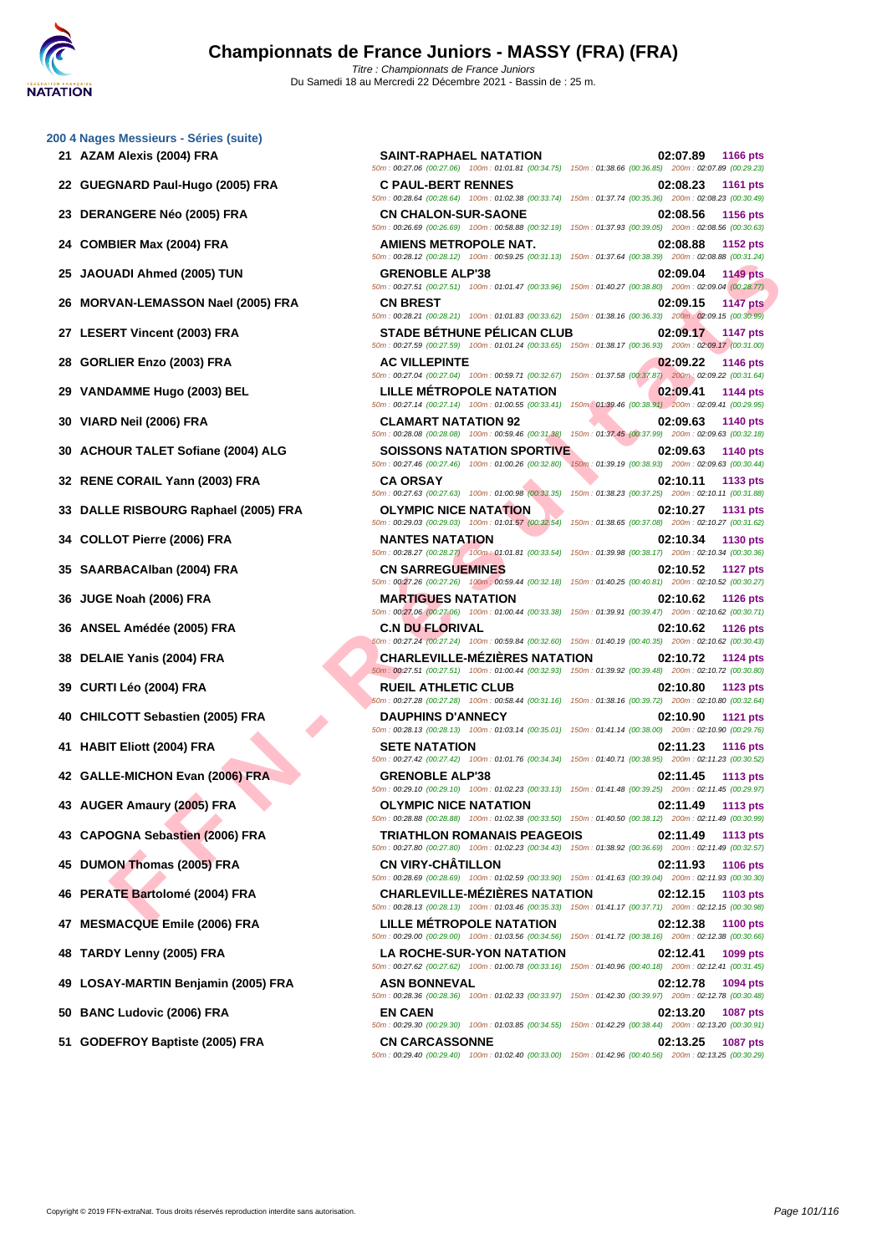|  | 200 4 Nages Messieurs - Séries (suite) |  |
|--|----------------------------------------|--|
|  |                                        |  |

- 
- 
- 
- 
- 
- 
- 
- 
- 
- 
- 
- 
- 
- 
- 
- 
- 
- 
- 
- 
- 
- 
- 
- 
- 
- 
- 
- 
- 
- 
- 

JADI Ahmed (2005) TUN<br>
IN - GRENOVER ANNERS IN APPARATION<br>
TEN THOM (2005) FRA - CHARLEY IN THE NATION CONDUCE INTERNATION CONDUCE INTERNATION CONDUCE INTERNATION CONDUCE INTERNATION CONDUCE INTERNATION CONDUCE INTERNATIO **21 AZAM Alexis (2004) FRA SAINT-RAPHAEL NATATION 02:07.89 1166 pts** 50m : 00:27.06 (00:27.06) 100m : 01:01.81 (00:34.75) 150m : 01:38.66 (00:36.85) 200m : 02:07.89 (00:29.23) **22 GUEGNARD Paul-Hugo (2005) FRA C PAUL-BERT RENNES 02:08.23 1161 pts** 50m : 00:28.64 (00:28.64) 100m : 01:02.38 (00:33.74) 150m : 01:37.74 (00:35.36) 200m : 02:08.23 (00:30.49) **23 DERANGERE Néo (2005) FRA CN CHALON-SUR-SAONE 02:08.56 1156 pts** 50m : 00:26.69 (00:26.69) 100m : 00:58.88 (00:32.19) 150m : 01:37.93 (00:39.05) 200m : 02:08.56 (00:30.63) **24 COMBIER Max (2004) FRA AMIENS METROPOLE NAT. 02:08.88 1152 pts** 50m : 00:28.12 (00:28.12) 100m : 00:59.25 (00:31.13) 150m : 01:37.64 (00:38.39) 200m : 02:08.88 (00:31.24) **25 JAOUADI Ahmed (2005) TUN GRENOBLE ALP'38 02:09.04 1149 pts** 50m : 00:27.51 (00:27.51) 100m : 01:01.47 (00:33.96) 150m : 01:40.27 (00:38.80) 200m : 02:09.04 (00:28.77) **26 MORVAN-LEMASSON Nael (2005) FRA CN BREST 02:09.15 1147 pts** 50m : 00:28.21 (00:28.21) 100m : 01:01.83 (00:33.62) 150m : 01:38.16 (00:36.33) 200m : 02:09.15 (00:30.99) **27 LESERT Vincent (2003) FRA STADE BÉTHUNE PÉLICAN CLUB 02:09.17 1147 pts** 50m : 00:27.59 (00:27.59) 100m : 01:01.24 (00:33.65) 150m : 01:38.17 (00:36.93) 200m : 02:09.17 (00:31.00) **28 GORLIER Enzo (2003) FRA AC VILLEPINTE 02:09.22 1146 pts** 50m : 00:27.04 (00:27.04) 100m : 00:59.71 (00:32.67) 150m : 01:37.58 (00:37.87) 200m : 02:09.22 (00:31.64) **29 VANDAMME Hugo (2003) BEL LILLE MÉTROPOLE NATATION 02:09.41 1144 pts** 50m : 00:27.14 (00:27.14) 100m : 01:00.55 (00:33.41) 150m : 01:39.46 (00:38.91) 200m : 02:09.41 (00:29.95) **30 VIARD Neil (2006) FRA CLAMART NATATION 92 02:09.63 1140 pts** 50m : 00:28.08 (00:28.08) 100m : 00:59.46 (00:31.38) 150m : 01:37.45 (00:37.99) 200m : 02:09.63 (00:32.18) **30 ACHOUR TALET Sofiane (2004) ALG SOISSONS NATATION SPORTIVE 02:09.63 1140 pts** 50m : 00:27.46 (00:27.46) 100m : 01:00.26 (00:32.80) 150m : 01:39.19 (00:38.93) 200m : 02:09.63 (00:30.44) **32 RENE CORAIL Yann (2003) FRA CA ORSAY 02:10.11 1133 pts** 50m : 00:27.63 (00:27.63) 100m : 01:00.98 (00:33.35) 150m : 01:38.23 (00:37.25) 200m : 02:10.11 (00:31.88) **33 DALLE RISBOURG Raphael (2005) FRA OLYMPIC NICE NATATION 02:10.27 1131 pts** 50m : 00:29.03 (00:29.03) 100m : 01:01.57 (00:32.54) 150m : 01:38.65 (00:37.08) 200m : 02:10.27 (00:31.62) **34 COLLOT Pierre (2006) FRA NANTES NATATION 02:10.34 1130 pts** 50m : 00:28.27 (00:28.27) 100m : 01:01.81 (00:33.54) 150m : 01:39.98 (00:38.17) 200m : 02:10.34 (00:30.36) **35 SAARBACAlban (2004) FRA CN SARREGUEMINES 02:10.52 1127 pts** 50m : 00:27.26 (00:27.26) 100m : 00:59.44 (00:32.18) 150m : 01:40.25 (00:40.81) 200m : 02:10.52 (00:30.27) **36 JUGE Noah (2006) FRA MARTIGUES NATATION 02:10.62 1126 pts** 50m : 00:27.06 (00:27.06) 100m : 01:00.44 (00:33.38) 150m : 01:39.91 (00:39.47) 200m : 02:10.62 (00:30.71) **36 ANSEL Amédée (2005) FRA C.N DU FLORIVAL 02:10.62 1126 pts** 50m : 00:27.24 (00:27.24) 100m : 00:59.84 (00:32.60) 150m : 01:40.19 (00:40.35) 200m : 02:10.62 (00:30.43) **38 DELAIE Yanis (2004) FRA CHARLEVILLE-MÉZIÈRES NATATION 02:10.72 1124 pts** 50m : 00:27.51 (00:27.51) 100m : 01:00.44 (00:32.93) 150m : 01:39.92 (00:39.48) 200m : 02:10.72 (00:30.80) **39 CURTI Léo (2004) FRA RUEIL ATHLETIC CLUB 02:10.80 1123 pts** 50m : 00:27.28 (00:27.28) 100m : 00:58.44 (00:31.16) 150m : 01:38.16 (00:39.72) 200m : 02:10.80 (00:32.64) **40 CHILCOTT Sebastien (2005) FRA DAUPHINS D'ANNECY 02:10.90 1121 pts** 50m : 00:28.13 (00:28.13) 100m : 01:03.14 (00:35.01) 150m : 01:41.14 (00:38.00) 200m : 02:10.90 (00:29.76) **41 HABIT Eliott (2004) FRA SETE NATATION 02:11.23 1116 pts** 50m : 00:27.42 (00:27.42) 100m : 01:01.76 (00:34.34) 150m : 01:40.71 (00:38.95) 200m : 02:11.23 (00:30.52) **42 GALLE-MICHON Evan (2006) FRA GRENOBLE ALP'38 02:11.45 1113 pts** 50m : 00:29.10 (00:29.10) 100m : 01:02.23 (00:33.13) 150m : 01:41.48 (00:39.25) 200m : 02:11.45 (00:29.97) **43 AUGER Amaury (2005) FRA OLYMPIC NICE NATATION 02:11.49 1113 pts** 50m : 00:28.88 (00:28.88) 100m : 01:02.38 (00:33.50) 150m : 01:40.50 (00:38.12) 200m : 02:11.49 (00:30.99) **43 CAPOGNA Sebastien (2006) FRA TRIATHLON ROMANAIS PEAGEOIS 02:11.49 1113 pts** 50m : 00:27.80 (00:27.80) 100m : 01:02.23 (00:34.43) 150m : 01:38.92 (00:36.69) 200m : 02:11.49 (00:32.57) **45 DUMON Thomas (2005) FRA CN VIRY-CHÂTILLON 02:11.93 1106 pts** 50m : 00:28.69 (00:28.69) 100m : 01:02.59 (00:33.90) 150m : 01:41.63 (00:39.04) 200m : 02:11.93 (00:30.30) **46 PERATE Bartolomé (2004) FRA CHARLEVILLE-MÉZIÈRES NATATION 02:12.15 1103 pts** 50m : 00:28.13 (00:28.13) 100m : 01:03.46 (00:35.33) 150m : 01:41.17 (00:37.71) 200m : 02:12.15 (00:30.98) **47 MESMACQUE Emile (2006) FRA LILLE MÉTROPOLE NATATION 02:12.38 1100 pts** 50m : 00:29.00 (00:29.00) 100m : 01:03.56 (00:34.56) 150m : 01:41.72 (00:38.16) 200m : 02:12.38 (00:30.66) **48 TARDY Lenny (2005) FRA LA ROCHE-SUR-YON NATATION 02:12.41 1099 pts** 50m : 00:27.62 (00:27.62) 100m : 01:00.78 (00:33.16) 150m : 01:40.96 (00:40.18) 200m : 02:12.41 (00:31.45) **49 LOSAY-MARTIN Benjamin (2005) FRA ASN BONNEVAL 02:12.78 1094 pts** 50m : 00:28.36 (00:28.36) 100m : 01:02.33 (00:33.97) 150m : 01:42.30 (00:39.97) 200m : 02:12.78 (00:30.48) **50 BANC Ludovic (2006) FRA EN CAEN 02:13.20 1087 pts** 50m : 00:29.30 (00:29.30) 100m : 01:03.85 (00:34.55) 150m : 01:42.29 (00:38.44) 200m : 02:13.20 (00:30.91) **51 GODEFROY Baptiste (2005) FRA CN CARCASSONNE 02:13.25 1087 pts** 50m : 00:29.40 (00:29.40) 100m : 01:02.40 (00:33.00) 150m : 01:42.96 (00:40.56) 200m : 02:13.25 (00:30.29)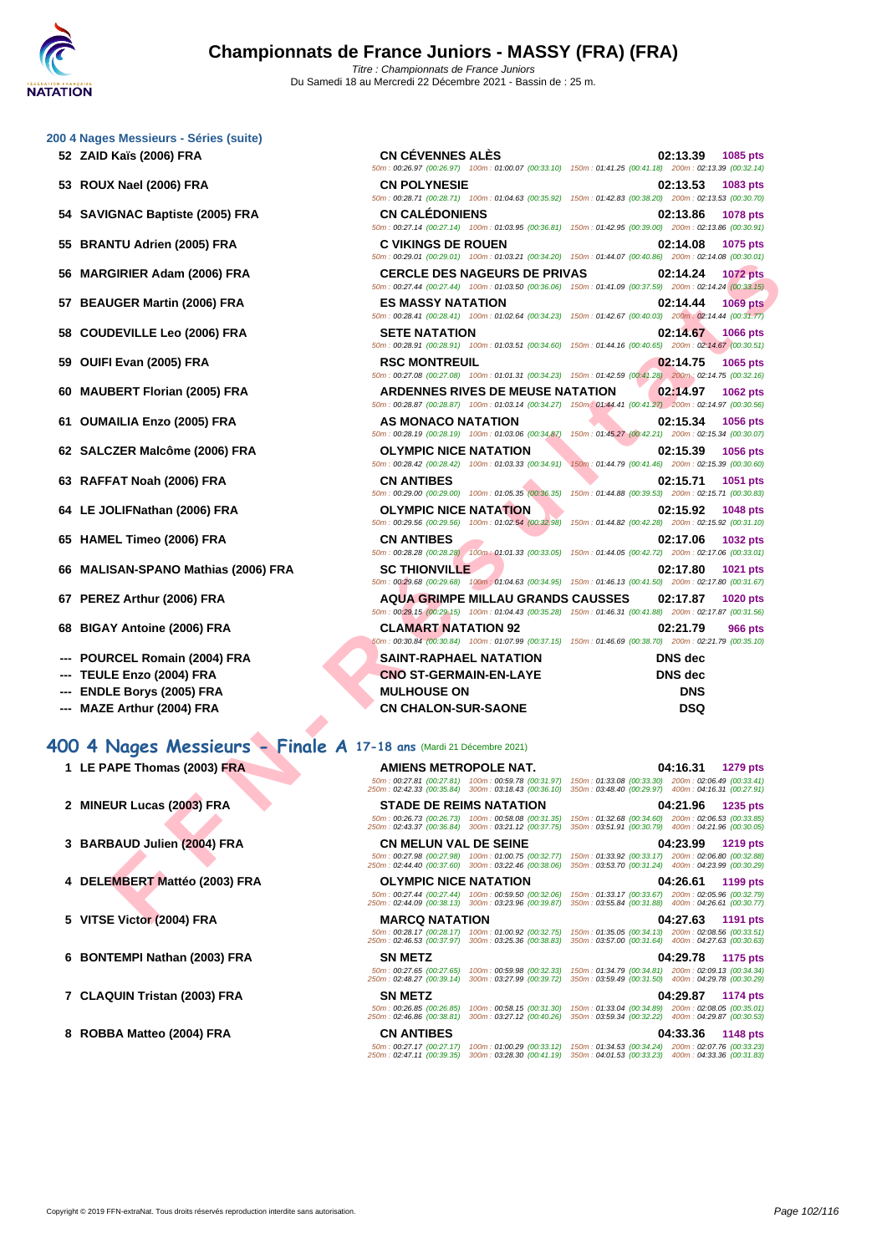| 200 4 Nages Messieurs - Séries (suite) |  |  |
|----------------------------------------|--|--|
|                                        |  |  |

- **52 ZAID Kaïs (2006) FRA CN CÉVENNES ALÈS 02:13.39 1085 pts**
- **53 ROUX Nael (2006) FRA**
- **54 SAVIGNAC Baptiste (2005) FRA**
- **55 BRANTU Adrien (2005) FRA**
- **56 MARGIRIER Adam (2006) FRA**
- **57 BEAUGER Martin (2006) FRA**
- **58 COUDEVILLE Leo (2006) FRA**
- **59 OUIFI Evan (2005) FRA**
- **60 MAUBERT Florian (2005) FRA**
- **61 OUMAILIA Enzo (2005) FRA**
- **62 SALCZER Malcôme (2006) FRA**
- **63 RAFFAT Noah (2006) FRA**
- **64** LE JOLIFNathan (2006) FRA
- **65 HAMEL Timeo (2006) FRA**
- **66 MALISAN-SPANO Mathias (2006) FRA**
- **67 PEREZ Arthur (2006) FRA**
- **68 BIGAY Antoine (2006) FRA**
- **--- POURCEL Romain (2004) FRA**
- **--- TEULE Enzo (2004) FRA**
- **--- ENDLE Borys (2005) FRA**
- **--- MAZE Arthur (2004) FRA**

# **400 4 Nages Messieurs - Finale A 17-18 ans** (Mardi 21 Décembre 2021)

- 
- **2 MINEUR Lucas (2003) FRA STADE DE REIMS NATATION 04:21.96 1235 pts**
- **3 BARBAUD Julien (2004) FRA**
- **4 DELEMBERT** Mattéo (2003) FRA
- **5 VITSE Victor (2004) FRA**
- **6 BONTEMPI Nathan (2003) FRA**
- **7** CLAQUIN Tristan (2003) FRA
- **8 ROBBA Matteo (2004) FRA**

| Kaïs (2006) FRA                                               | <b>CN CEVENNES ALES</b>                                                                                   | 02:13.39<br>1085 pts                                                                                                                     |
|---------------------------------------------------------------|-----------------------------------------------------------------------------------------------------------|------------------------------------------------------------------------------------------------------------------------------------------|
|                                                               | <b>CN POLYNESIE</b>                                                                                       | 50m: 00:26.97 (00:26.97) 100m: 01:00.07 (00:33.10) 150m: 01:41.25 (00:41.18) 200m: 02:13.39 (00:32.14)                                   |
| X Nael (2006) FRA                                             |                                                                                                           | 02:13.53<br>1083 pts<br>50m: 00:28.71 (00:28.71) 100m: 01:04.63 (00:35.92) 150m: 01:42.83 (00:38.20) 200m: 02:13.53 (00:30.70)           |
| GNAC Baptiste (2005) FRA                                      | <b>CN CALEDONIENS</b>                                                                                     | 02:13.86<br>1078 pts                                                                                                                     |
|                                                               |                                                                                                           | 50m: 00:27.14 (00:27.14) 100m: 01:03.95 (00:36.81) 150m: 01:42.95 (00:39.00) 200m: 02:13.86 (00:30.91)                                   |
| NTU Adrien (2005) FRA                                         | <b>C VIKINGS DE ROUEN</b>                                                                                 | 02:14.08<br>1075 pts                                                                                                                     |
|                                                               |                                                                                                           | 50m : 00:29.01 (00:29.01) 100m : 01:03.21 (00:34.20) 150m : 01:44.07 (00:40.86) 200m : 02:14.08 (00:30.01)                               |
| GIRIER Adam (2006) FRA                                        | <b>CERCLE DES NAGEURS DE PRIVAS</b>                                                                       | 02:14.24<br><b>1072 pts</b>                                                                                                              |
|                                                               |                                                                                                           | 50m : 00:27.44 (00:27.44) 100m : 01:03.50 (00:36.06) 150m : 01:41.09 (00:37.59) 200m : 02:14.24 (00:33.15)                               |
| UGER Martin (2006) FRA                                        | <b>ES MASSY NATATION</b>                                                                                  | <b>1069 pts</b><br>02:14.44                                                                                                              |
|                                                               |                                                                                                           | 50m: 00:28.41 (00:28.41) 100m: 01:02.64 (00:34.23) 150m: 01:42.67 (00:40.03) 200m: 02:14.44 (00:31.77)                                   |
| DEVILLE Leo (2006) FRA                                        | <b>SETE NATATION</b>                                                                                      | 02:14.67<br>1066 pts                                                                                                                     |
|                                                               |                                                                                                           | 50m: 00:28.91 (00:28.91) 100m: 01:03.51 (00:34.60) 150m: 01:44.16 (00:40.65) 200m: 02:14.67 (00:30.51)                                   |
| 'I Evan (2005) FRA                                            | <b>RSC MONTREUIL</b>                                                                                      | 02:14.75<br>1065 pts<br>50m: 00:27.08 (00:27.08) 100m: 01:01.31 (00:34.23) 150m: 01:42.59 (00:41.28) 200m: 02:14.75 (00:32.16)           |
|                                                               | <b>ARDENNES RIVES DE MEUSE NATATION</b>                                                                   |                                                                                                                                          |
| BERT Florian (2005) FRA                                       |                                                                                                           | 02:14.97<br>1062 pts<br>50m: 00:28.87 (00:28.87) 100m: 01:03.14 (00:34.27) 150m: 01:44.41 (00:41.27) 200m: 02:14.97 (00:30.56)           |
| AILIA Enzo (2005) FRA                                         | AS MONACO NATATION                                                                                        | 02:15.34<br>1056 pts                                                                                                                     |
|                                                               |                                                                                                           | 50m: 00:28.19 (00:28.19) 100m: 01:03.06 (00:34.87) 150m: 01:45.27 (00:42.21) 200m: 02:15.34 (00:30.07)                                   |
| CZER Malcôme (2006) FRA                                       | <b>OLYMPIC NICE NATATION</b>                                                                              | 02:15.39<br>1056 pts                                                                                                                     |
|                                                               |                                                                                                           | 50m : 00:28.42 (00:28.42) 100m : 01:03.33 (00:34.91) 150m : 01:44.79 (00:41.46) 200m : 02:15.39 (00:30.60)                               |
| FAT Noah (2006) FRA                                           | <b>CN ANTIBES</b>                                                                                         | 02:15.71<br>1051 pts                                                                                                                     |
|                                                               |                                                                                                           | 50m: 00:29.00 (00:29.00) 100m: 01:05.35 (00:36.35) 150m: 01:44.88 (00:39.53) 200m: 02:15.71 (00:30.83)                                   |
| OLIFNathan (2006) FRA                                         | <b>OLYMPIC NICE NATATION</b>                                                                              | 02:15.92<br>1048 pts                                                                                                                     |
|                                                               |                                                                                                           | 50m: 00:29.56 (00:29.56) 100m: 01:02.54 (00:32.98) 150m: 01:44.82 (00:42.28) 200m: 02:15.92 (00:31.10)                                   |
| EL Timeo (2006) FRA                                           | <b>CN ANTIBES</b>                                                                                         | 02:17.06<br><b>1032 pts</b>                                                                                                              |
|                                                               |                                                                                                           | 50m: 00:28.28 (00:28.28) 100m: 01:01.33 (00:33.05) 150m: 01:44.05 (00:42.72) 200m: 02:17.06 (00:33.01)                                   |
| ISAN-SPANO Mathias (2006) FRA                                 | <b>SC THIONVILLE</b>                                                                                      | 02:17.80<br>1021 pts                                                                                                                     |
|                                                               |                                                                                                           | 50m: 00:29.68 (00:29.68) 100m: 01:04.63 (00:34.95) 150m: 01:46.13 (00:41.50) 200m: 02:17.80 (00:31.67)                                   |
| EZ Arthur (2006) FRA                                          | <b>AQUA GRIMPE MILLAU GRANDS CAUSSES</b>                                                                  | 02:17.87<br>1020 pts                                                                                                                     |
|                                                               |                                                                                                           | 50m: 00:29.15 (00:29.15) 100m: 01:04.43 (00:35.28) 150m: 01:46.31 (00:41.88) 200m: 02:17.87 (00:31.56)                                   |
| Y Antoine (2006) FRA                                          | <b>CLAMART NATATION 92</b>                                                                                | 02:21.79<br><b>966 pts</b><br>50m : 00:30.84 (00:30.84) 100m : 01:07.99 (00:37.15) 150m : 01:46.69 (00:38.70) 200m : 02:21.79 (00:35.10) |
|                                                               |                                                                                                           |                                                                                                                                          |
| RCEL Romain (2004) FRA                                        | <b>SAINT-RAPHAEL NATATION</b>                                                                             | <b>DNS</b> dec                                                                                                                           |
| <b>.E Enzo (2004) FRA</b>                                     | <b>CNO ST-GERMAIN-EN-LAYE</b>                                                                             | DNS dec                                                                                                                                  |
| LE Borys (2005) FRA                                           | <b>MULHOUSE ON</b>                                                                                        | <b>DNS</b>                                                                                                                               |
| E Arthur (2004) FRA                                           | <b>CN CHALON-SUR-SAONE</b>                                                                                | <b>DSQ</b>                                                                                                                               |
|                                                               |                                                                                                           |                                                                                                                                          |
| Nages Messieurs - Finale A 17-18 ans (Mardi 21 Décembre 2021) |                                                                                                           |                                                                                                                                          |
|                                                               |                                                                                                           |                                                                                                                                          |
| APE Thomas (2003) FRA                                         | AMIENS METROPOLE NAT.                                                                                     | 04:16.31<br>1279 pts<br>50m : 00:27.81 (00:27.81) 100m : 00:59.78 (00:31.97) 150m : 01:33.08 (00:33.30) 200m : 02:06.49 (00:33.41)       |
|                                                               | 250m: 02:42.33 (00:35.84) 300m: 03:18.43 (00:36.10) 350m: 03:48.40 (00:29.97) 400m: 04:16.31 (00:27.91)   |                                                                                                                                          |
| :UR Lucas (2003) FRA                                          | <b>STADE DE REIMS NATATION</b>                                                                            | 04:21.96<br>1235 pts                                                                                                                     |
|                                                               | 50m: 00:26.73 (00:26.73) 100m: 00:58.08 (00:31.35)<br>250m: 02:43.37 (00:36.84) 300m: 03:21.12 (00:37.75) | 150m: 01:32.68 (00:34.60) 200m: 02:06.53 (00:33.85)<br>350m: 03:51.91 (00:30.79) 400m: 04:21.96 (00:30.05)                               |
|                                                               |                                                                                                           |                                                                                                                                          |
| BAUD Julien (2004) FRA                                        | <b>CN MELUN VAL DE SEINE</b><br>50m: 00:27.98 (00:27.98) 100m: 01:00.75 (00:32.77)                        | 04:23.99<br>1219 pts<br>150m: 01:33.92 (00:33.17) 200m: 02:06.80 (00:32.88)                                                              |
|                                                               | 250m: 02:44.40 (00:37.60) 300m: 03:22.46 (00:38.06)                                                       | 350m: 03:53.70 (00:31.24) 400m: 04:23.99 (00:30.29)                                                                                      |
| EMBERT Mattéo (2003) FRA                                      | <b>OLYMPIC NICE NATATION</b>                                                                              | 04:26.61<br>1199 pts                                                                                                                     |
|                                                               | 250m: 02:44.09 (00:38.13) 300m: 03:23.96 (00:39.87) 350m: 03:55.84 (00:31.88) 400m: 04:26.61 (00:30.77)   | 50m: 00:27.44 (00:27.44) 100m: 00:59.50 (00:32.06) 150m: 01:33.17 (00:33.67) 200m: 02:05.96 (00:32.79)                                   |
| E Victor (2004) FRA                                           | <b>MARCQ NATATION</b>                                                                                     | 04:27.63 1191 pts                                                                                                                        |
|                                                               |                                                                                                           |                                                                                                                                          |

| 1 LE PAPE Thomas (2003) FRA   | <b>AMIENS METROPOLE NAT.</b>                                                                                    | 04:16.31<br>1279 pts                                                                                          |
|-------------------------------|-----------------------------------------------------------------------------------------------------------------|---------------------------------------------------------------------------------------------------------------|
|                               | 50m: 00:27.81 (00:27.81) 100m: 00:59.78 (00:31.97)<br>250m: 02:42.33 (00:35.84) 300m: 03:18.43 (00:36.10)       | 150m: 01:33.08 (00:33.30) 200m: 02:06.49 (00:33.41)<br>350m: 03:48.40 (00:29.97) 400m: 04:16.31 (00:27.91)    |
| 2 MINEUR Lucas (2003) FRA     | <b>STADE DE REIMS NATATION</b>                                                                                  | 04:21.96<br><b>1235 pts</b>                                                                                   |
|                               | 100m: 00:58.08 (00:31.35)<br>50m: 00:26.73 (00:26.73)<br>300m: 03:21.12 (00:37.75)<br>250m: 02:43.37 (00:36.84) | 150m: 01:32.68 (00:34.60) 200m: 02:06.53 (00:33.85)<br>350m: 03:51.91 (00:30.79) 400m: 04:21.96 (00:30.05)    |
| 3 BARBAUD Julien (2004) FRA   | <b>CN MELUN VAL DE SEINE</b>                                                                                    | 04:23.99<br><b>1219 pts</b>                                                                                   |
|                               | 50m: 00:27.98 (00:27.98)<br>100m: 01:00.75 (00:32.77)<br>250m: 02:44.40 (00:37.60) 300m: 03:22.46 (00:38.06)    | 150m: 01:33.92 (00:33.17) 200m: 02:06.80 (00:32.88)<br>350m: 03:53.70 (00:31.24) 400m: 04:23.99 (00:30.29)    |
| 4 DELEMBERT Mattéo (2003) FRA | <b>OLYMPIC NICE NATATION</b>                                                                                    | 04:26.61<br>1199 pts                                                                                          |
|                               | 50m: 00:27.44 (00:27.44) 100m: 00:59.50 (00:32.06)<br>250m: 02:44.09 (00:38.13) 300m: 03:23.96 (00:39.87)       | 150m: 01:33.17 (00:33.67) 200m: 02:05.96 (00:32.79)<br>350m: 03:55.84 (00:31.88) 400m: 04:26.61 (00:30.77)    |
| 5 VITSE Victor (2004) FRA     | <b>MARCQ NATATION</b>                                                                                           | 04:27.63<br>1191 pts                                                                                          |
|                               | 50m: 00:28.17 (00:28.17) 100m: 01:00.92 (00:32.75)<br>250m: 02:46.53 (00:37.97) 300m: 03:25.36 (00:38.83)       | 150m: 01:35.05 (00:34.13) 200m: 02:08.56 (00:33.51)<br>350m: 03:57.00 (00:31.64) 400m: 04:27.63 (00:30.63)    |
| 6 BONTEMPI Nathan (2003) FRA  | <b>SN METZ</b>                                                                                                  | 04:29.78<br><b>1175 pts</b>                                                                                   |
|                               | 50m: 00:27.65 (00:27.65)<br>100m: 00:59.98 (00:32.33)<br>250m: 02:48.27 (00:39.14)<br>300m: 03:27.99 (00:39.72) | 150m: 01:34.79 (00:34.81) 200m: 02:09.13 (00:34.34)<br>350m: 03:59.49 (00:31.50) 400m: 04:29.78 (00:30.29)    |
| 7 CLAQUIN Tristan (2003) FRA  | <b>SN METZ</b>                                                                                                  | 04:29.87<br><b>1174 pts</b>                                                                                   |
|                               | 50m: 00:26.85 (00:26.85)<br>100m: 00:58.15 (00:31.30)<br>250m: 02:46.86 (00:38.81)<br>300m: 03:27.12 (00:40.26) | 150m: 01:33.04 (00:34.89)<br>200m: 02:08.05 (00:35.01)<br>350m: 03:59.34 (00:32.22) 400m: 04:29.87 (00:30.53) |
| 8 ROBBA Matteo (2004) FRA     | <b>CN ANTIBES</b>                                                                                               | 04:33.36<br><b>1148 pts</b>                                                                                   |
|                               | 100m: 01:00.29 (00:33.12)<br>50m: 00:27.17 (00:27.17)<br>250m: 02:47.11 (00:39.35)<br>300m: 03:28.30 (00:41.19) | 150m: 01:34.53 (00:34.24) 200m: 02:07.76 (00:33.23)<br>350m: 04:01.53 (00:33.23) 400m: 04:33.36 (00:31.83)    |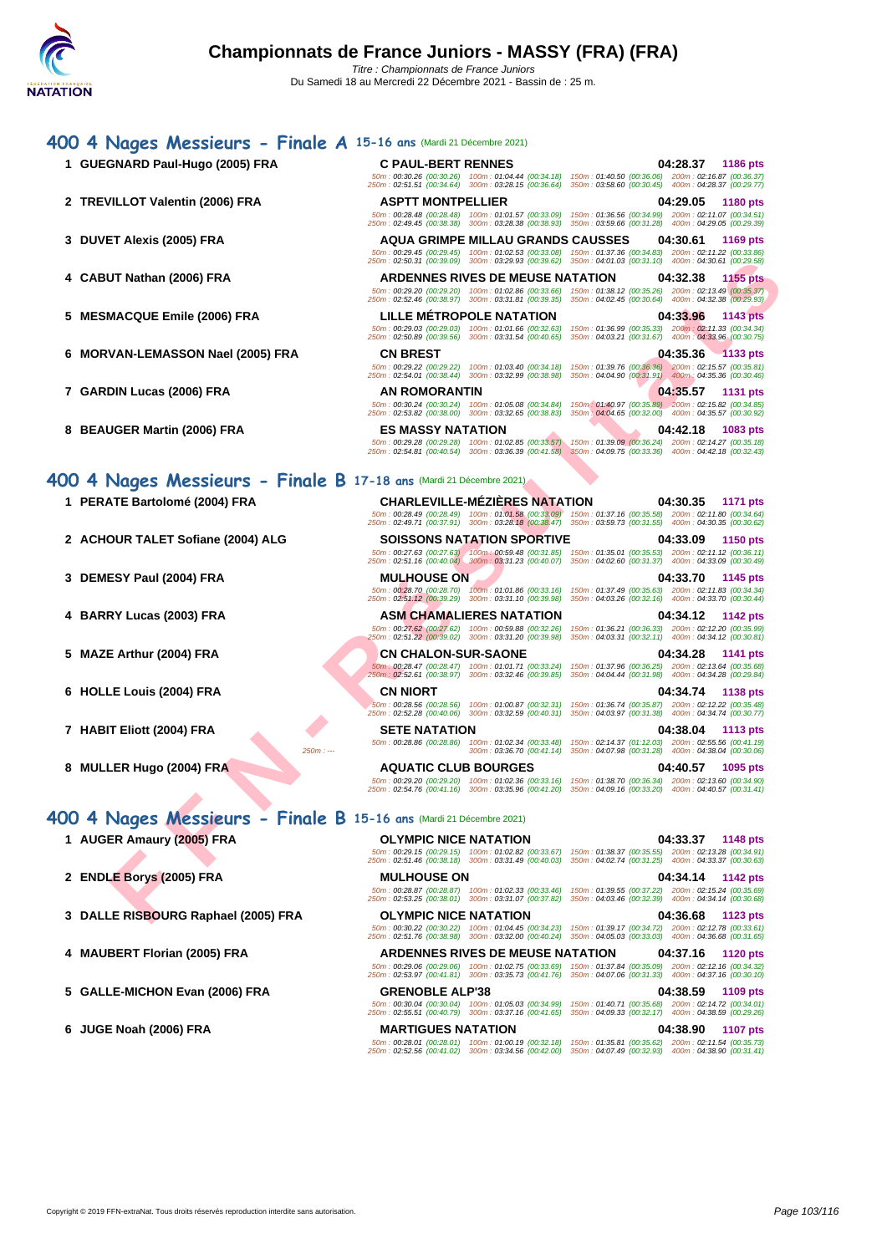| 400 4 Nages Messieurs - Finale A 15-16 ans (Mardi 21 Décembre 2021) |                                                                                                                                                                                                                                                                                                   |
|---------------------------------------------------------------------|---------------------------------------------------------------------------------------------------------------------------------------------------------------------------------------------------------------------------------------------------------------------------------------------------|
| 1 GUEGNARD Paul-Hugo (2005) FRA                                     | <b>C PAUL-BERT RENNES</b><br>04:28.37<br>1186 pts<br>50m: 00:30.26 (00:30.26) 100m: 01:04.44 (00:34.18) 150m: 01:40.50 (00:36.06) 200m: 02:16.87 (00:36.37)<br>250m: 02:51.51 (00:34.64) 300m: 03:28.15 (00:36.64) 350m: 03:58.60 (00:30.45) 400m: 04:28.37 (00:29.77)                            |
| 2 TREVILLOT Valentin (2006) FRA                                     | <b>ASPTT MONTPELLIER</b><br>04:29.05<br>1180 pts<br>50m: 00:28.48 (00:28.48) 100m: 01:01.57 (00:33.09) 150m: 01:36.56 (00:34.99) 200m: 02:11.07 (00:34.51)                                                                                                                                        |
| 3 DUVET Alexis (2005) FRA                                           | 250m: 02:49.45 (00:38.38) 300m: 03:28.38 (00:38.93) 350m: 03:59.66 (00:31.28) 400m: 04:29.05 (00:29.39)<br><b>AQUA GRIMPE MILLAU GRANDS CAUSSES</b><br>04:30.61<br>1169 pts                                                                                                                       |
|                                                                     | 50m: 00:29.45 (00:29.45) 100m: 01:02.53 (00:33.08)<br>150m: 01:37.36 (00:34.83) 200m: 02:11.22 (00:33.86)<br>250m: 02:50.31 (00:39.09) 300m: 03:29.93 (00:39.62)<br>350m: 04:01.03 (00:31.10) 400m: 04:30.61 (00:29.58)<br><b>ARDENNES RIVES DE MEUSE NATATION</b><br>04:32.38<br><b>1155 pts</b> |
| 4 CABUT Nathan (2006) FRA                                           | 50m: 00:29.20 (00:29.20) 100m: 01:02.86 (00:33.66)<br>150m: 01:38.12 (00:35.26) 200m: 02:13.49 (00:35.37)<br>250m: 02:52.46 (00:38.97) 300m: 03:31.81 (00:39.35)<br>350m: 04:02.45 (00:30.64) 400m: 04:32.38 (00:29.93)                                                                           |
| 5 MESMACQUE Emile (2006) FRA                                        | LILLE METROPOLE NATATION<br>04:33.96<br>1143 pts<br>50m: 00:29.03 (00:29.03) 100m: 01:01.66 (00:32.63)<br>150m: 01:36.99 (00:35.33) 200m: 02:11.33 (00:34.34)<br>250m: 02:50.89 (00:39.56) 300m: 03:31.54 (00:40.65) 350m: 04:03.21 (00:31.67) 400m: 04:33.96 (00:30.75)                          |
| 6 MORVAN-LEMASSON Nael (2005) FRA                                   | <b>CN BREST</b><br>04:35.36 1133 pts<br>50m : 00:29.22 (00:29.22) 100m : 01:03.40 (00:34.18) 150m : 01:39.76 (00:36.36) 200m : 02:15.57 (00:35.81)                                                                                                                                                |
| 7 GARDIN Lucas (2006) FRA                                           | 250m: 02:54.01 (00:38.44) 300m: 03:32.99 (00:38.98) 350m: 04:04.90 (00:31.91) 400m: 04:35.36 (00:30.46)<br>AN ROMORANTIN<br>04:35.57<br>1131 pts<br>50m: 00:30.24 (00:30.24) 100m: 01:05.08 (00:34.84)<br>150m: 01:40.97 (00:35.89) 200m: 02:15.82 (00:34.85)                                     |
| 8 BEAUGER Martin (2006) FRA                                         | 350m: 04:04.65 (00:32.00) 400m: 04:35.57 (00:30.92)<br>250m: 02:53.82 (00:38.00) 300m: 03:32.65 (00:38.83)<br><b>ES MASSY NATATION</b><br>04:42.18<br>1083 pts                                                                                                                                    |
|                                                                     | 50m : 00:29.28 (00:29.28) 100m : 01:02.85 (00:33.57) 150m : 01:39.09 (00:36.24) 200m : 02:14.27 (00:35.18)<br>250m: 02:54.81 (00:40.54) 300m: 03:36.39 (00:41.58) 350m: 04:09.75 (00:33.36) 400m: 04:42.18 (00:32.43)                                                                             |
| 400 4 Nages Messieurs - Finale B 17-18 ans (Mardi 21 Décembre 2021) |                                                                                                                                                                                                                                                                                                   |
| 1 PERATE Bartolomé (2004) FRA                                       | <b>CHARLEVILLE-MEZIERES NATATION</b><br>04:30.35<br><b>1171 pts</b><br>50m: 00:28.49 (00:28.49) 100m: 01:01.58 (00:33.09) 150m: 01:37.16 (00:35.58) 200m: 02:11.80 (00:34.64)<br>250m: 02:49.71 (00:37.91) 300m: 03:28.18 (00:38.47) 350m: 03:59.73 (00:31.55) 400m: 04:30.35 (00:30.62)          |
| 2 ACHOUR TALET Sofiane (2004) ALG                                   | <b>SOISSONS NATATION SPORTIVE</b><br>04:33.09<br>1150 pts<br>50m: 00:27.63 (00:27.63) 100m: 00:59.48 (00:31.85)<br>150m: 01:35.01 (00:35.53) 200m: 02:11.12 (00:36.11)                                                                                                                            |
| 3 DEMESY Paul (2004) FRA                                            | 250m: 02:51.16 (00:40.04) 300m: 03:31.23 (00:40.07)<br>350m: 04:02.60 (00:31.37) 400m: 04:33.09 (00:30.49)<br><b>MULHOUSE ON</b><br>04:33.70<br>1145 pts<br>50m: 00:28.70 (00:28.70) 100m: 01:01.86 (00:33.16)<br>150m: 01:37.49 (00:35.63) 200m: 02:11.83 (00:34.34)                             |
| 4 BARRY Lucas (2003) FRA                                            | 250m: 02:51.12 (00:39.29) 300m: 03:31.10 (00:39.98)<br>350m: 04:03.26 (00:32.16) 400m: 04:33.70 (00:30.44)<br><b>ASM CHAMALIERES NATATION</b><br>04:34.12<br>1142 pts                                                                                                                             |
| 5 MAZE Arthur (2004) FRA                                            | 50m: 00:27.62 (00:27.62) 100m: 00:59.88 (00:32.26)<br>150m: 01:36.21 (00:36.33) 200m: 02:12.20 (00:35.99)<br>250m: 02:51.22 (00:39.02) 300m: 03:31.20 (00:39.98)<br>350m: 04:03.31 (00:32.11) 400m: 04:34.12 (00:30.81)<br><b>CN CHALON-SUR-SAONE</b><br>04:34.28<br>1141 pts                     |
|                                                                     | 50m: 00:28.47 (00:28.47) 100m: 01:01.71 (00:33.24)<br>150m: 01:37.96 (00:36.25) 200m: 02:13.64 (00:35.68)<br>250m: 02:52.61 (00:38.97) 300m: 03:32.46 (00:39.85)<br>350m: 04:04.44 (00:31.98) 400m: 04:34.28 (00:29.84)                                                                           |
| 6 HOLLE Louis (2004) FRA                                            | <b>CN NIORT</b><br>04:34.74<br>1138 pts<br>50m: 00:28.56 (00:28.56) 100m: 01:00.87 (00:32.31) 150m: 01:36.74 (00:35.87) 200m: 02:12.22 (00:35.48)<br>250m: 02:52.28 (00:40.06) 300m: 03:32.59 (00:40.31) 350m: 04:03.97 (00:31.38) 400m: 04:34.74 (00:30.77)                                      |
| 7 HABIT Eliott (2004) FRA                                           | <b>SETE NATATION</b><br>04:38.04<br>1113 pts<br>100m: 01:02.34 (00:33.48) 150m: 02:14.37 (01:12.03) 200m: 02:55.56 (00:41.19)<br>50m: 00:28.86 (00:28.86)                                                                                                                                         |
| $250m: -$<br>8 MULLER Hugo (2004) FRA                               | 300m: 03:36.70 (00:41.14) 350m: 04:07.98 (00:31.28) 400m: 04:38.04 (00:30.06)<br><b>AQUATIC CLUB BOURGES</b><br>04:40.57<br>1095 pts<br>50m : 00:29.20 (00:29.20) 100m : 01:02.36 (00:33.16) 150m : 01:38.70 (00:36.34) 200m : 02:13.60 (00:34.90)                                                |
|                                                                     | 250m : 02:54.76 (00:41.16) 300m : 03:35.96 (00:41.20) 350m : 04:09.16 (00:33.20) 400m : 04:40.57 (00:31.41)                                                                                                                                                                                       |
| 400 4 Nages Messieurs - Finale B 15-16 ans (Mardi 21 Décembre 2021) |                                                                                                                                                                                                                                                                                                   |
| 1 AUGER Amaury (2005) FRA                                           | <b>OLYMPIC NICE NATATION</b><br>04:33.37<br>1148 pts<br>50m: 00:29.15 (00:29.15) 100m: 01:02.82 (00:33.67) 150m: 01:38.37 (00:35.55) 200m: 02:13.28 (00:34.91)<br>250m: 02:51.46 (00:38.18) 300m: 03:31.49 (00:40.03) 350m: 04:02.74 (00:31.25) 400m: 04:33.37 (00:30.63)                         |
| 2 ENDLE Borys (2005) FRA                                            | <b>MULHOUSE ON</b><br>04:34.14<br>1142 pts<br>50m: 00:28.87 (00:28.87) 100m: 01:02.33 (00:33.46) 150m: 01:39.55 (00:37.22) 200m: 02:15.24 (00:35.69)<br>250m: 02:53.25 (00:38.01) 300m: 03:31.07 (00:37.82) 350m: 04:03.46 (00:32.39) 400m: 04:34.14 (00:30.68)                                   |
| 3 DALLE RISBOURG Raphael (2005) FRA                                 | <b>OLYMPIC NICE NATATION</b><br>04:36.68<br>1123 pts<br>50m : 00:30.22 (00:30.22) 100m : 01:04.45 (00:34.23) 150m : 01:39.17 (00:34.72) 200m : 02:12.78 (00:33.61)                                                                                                                                |
| 4 MAUBERT Florian (2005) FRA                                        | 250m: 02:51.76 (00:38.98) 300m: 03:32.00 (00:40.24) 350m: 04:05.03 (00:33.03) 400m: 04:36.68 (00:31.65)<br><b>ARDENNES RIVES DE MEUSE NATATION</b><br>04:37.16<br><b>1120 pts</b>                                                                                                                 |
| 5 GALLE-MICHON Evan (2006) FRA                                      | 50m: 00:29.06 (00:29.06) 100m: 01:02.75 (00:33.69) 150m: 01:37.84 (00:35.09) 200m: 02:12.16 (00:34.32)<br>250m: 02:53.97 (00:41.81) 300m: 03:35.73 (00:41.76) 350m: 04:07.06 (00:31.33) 400m: 04:37.16 (00:30.10)<br><b>GRENOBLE ALP'38</b><br>04:38.59<br>1109 pts                               |
|                                                                     | 50m: 00:30.04 (00:30.04) 100m: 01:05.03 (00:34.99) 150m: 01:40.71 (00:35.68) 200m: 02:14.72 (00:34.01)<br>250m: 02:55.51 (00:40.79) 300m: 03:37.16 (00:41.65) 350m: 04:09.33 (00:32.17) 400m: 04:38.59 (00:29.26)                                                                                 |
| 6 JUGE Noah (2006) FRA                                              | <b>MARTIGUES NATATION</b><br>04:38.90<br><b>1107 pts</b><br>50m: 00:28.01 (00:28.01) 100m: 01:00.19 (00:32.18) 150m: 01:35.81 (00:35.62) 200m: 02:11.54 (00:35.73)<br>250m: 02:52.56 (00:41.02) 300m: 03:34.56 (00:42.00) 350m: 04:07.49 (00:32.93) 400m: 04:38.90 (00:31.41)                     |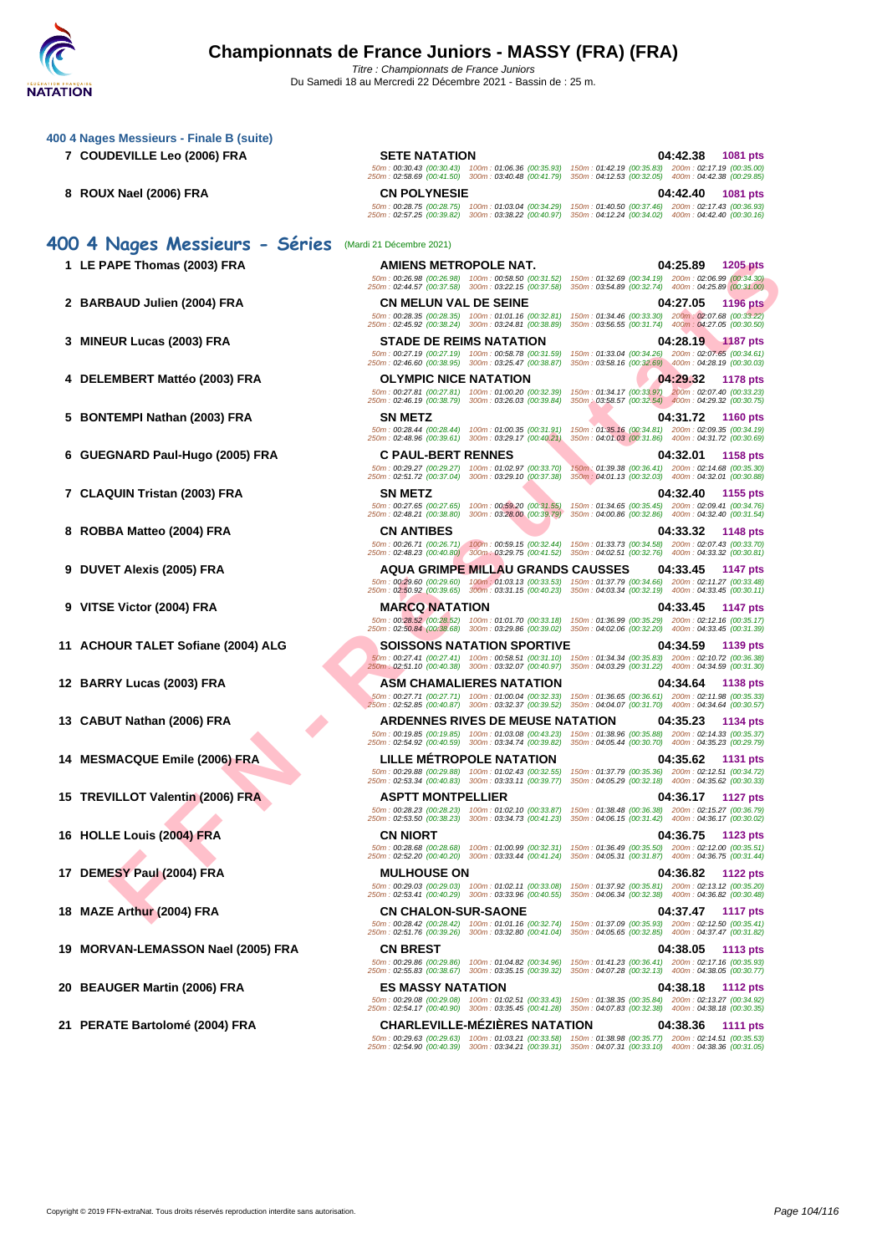**[400 4 Nag](http://www.ffnatation.fr/webffn/index.php)es Messieurs - Finale B (suite)**

- **7 COUDEVILLE Leo (2006) FRA SETE NATATION 04:42.38 1081 pts**
- **8 ROUX Nael (2006) FRA CN POLYNESIE 04:42.40 1081 pts**

## **400 4 Nages Messieurs - Séries** (Mardi 21 Décembre 2021)

- 
- 
- 
- 
- 
- 
- 
- 
- 
- 
- 
- 
- 
- 
- 
- 
- 
- **18 MAZE Arthur (2004) FRA CN CHALON-SUR-SAONE 04:37.47 1117 pts**
- **19 MORVAN-LEMASSON Nael (2005) FRA CN BREST 04:38.05 1113 pts**
- **20 BEAUGER Martin (2006) FRA ES MASSY NATATION 04:38.18 1112 pts**
- **21 PERATE Bartolomé (2004) FRA CHARLEVILLE-MÉZIÈRES NATATION 04:38.36 1111 pts**

**FRANCISCO FRANCISCO COMPRENENT AND DESCRIPTION AND DESCRIPTION AND DESCRIPTION AND DESCRIPTION AND DESCRIPTION AND DESCRIPTION AND DESCRIPTION AND DESCRIPTION AND DESCRIPTION AND DESCRIPTION AND DESCRIPTION AND DESCRIPTIO** 50m : 00:28.75 (00:28.75) 100m : 01:03.04 (00:34.29) 150m : 01:40.50 (00:37.46) 200m : 02:17.43 (00:36.93) 250m : 02:57.25 (00:39.82) 300m : 03:38.22 (00:40.97) 350m : 04:12.24 (00:34.02) 400m : 04:42.40 (00:30.16) **1 LE PAPE Thomas (2003) FRA AMIENS METROPOLE NAT. 04:25.89 1205 pts** 50m : 00:26.98 (00:26.98) 100m : 00:58.50 (00:31.52) 150m : 01:32.69 (00:34.19) 200m : 02:06.99 (00:34.30) 250m : 02:44.57 (00:37.58) 300m : 03:22.15 (00:37.58) 350m : 03:54.89 (00:32.74) 400m : 04:25.89 (00:31.00) **2 BARBAUD Julien (2004) FRA CN MELUN VAL DE SEINE 04:27.05 1196 pts** 50m : 00:28.35 (00:28.35) 100m : 01:01.16 (00:32.81) 150m : 01:34.46 (00:33.30) 200m : 02:07.68 (00:33.22) 250m : 02:45.92 (00:38.24) 300m : 03:24.81 (00:38.89) 350m : 03:56.55 (00:31.74) 400m : 04:27.05 (00:30.50) **3 MINEUR Lucas (2003) FRA STADE DE REIMS NATATION 04:28.19 1187 pts** 50m : 00:27.19 (00:27.19) 100m : 00:58.78 (00:31.59) 150m : 01:33.04 (00:34.26) 200m : 02:07.65 (00:34.61) 250m : 02:46.60 (00:38.95) 300m : 03:25.47 (00:38.87) 350m : 03:58.16 (00:32.69) 400m : 04:28.19 (00:30.03) **4 DELEMBERT Mattéo (2003) FRA OLYMPIC NICE NATATION 04:29.32 1178 pts** 50m : 00:27.81 (00:27.81) 100m : 01:00.20 (00:32.39) 150m : 01:34.17 (00:33.97) 200m : 02:07.40 (00:33.23) 250m : 02:46.19 (00:38.79) 300m : 03:26.03 (00:39.84) 350m : 03:58.57 (00:32.54) 400m : 04:29.32 (00:30.75) **5 BONTEMPI Nathan (2003) FRA SN METZ 04:31.72 1160 pts** 50m : 00:28.44 (00:28.44) 100m : 01:00.35 (00:31.91) 150m : 01:35.16 (00:34.81) 200m : 02:09.35 (00:34.19) 250m : 02:48.96 (00:39.61) 300m : 03:29.17 (00:40.21) 350m : 04:01.03 (00:31.86) 400m : 04:31.72 (00:30.69) **6 GUEGNARD Paul-Hugo (2005) FRA C PAUL-BERT RENNES 04:32.01 1158 pts** 50m : 00:29.27 (00:29.27) 100m : 01:02.97 (00:33.70) 150m : 01:39.38 (00:36.41) 200m : 02:14.68 (00:35.30) 250m : 02:51.72 (00:37.04) 300m : 03:29.10 (00:37.38) 350m : 04:01.13 (00:32.03) 400m : 04:32.01 (00:30.88) **7 CLAQUIN Tristan (2003) FRA SN METZ 04:32.40 1155 pts** 50m : 00:27.65 (00:27.65) 100m : 00:59.20 (00:31.55) 150m : 01:34.65 (00:35.45) 200m : 02:09.41 (00:34.76) 250m : 02:48.21 (00:38.80) 300m : 03:28.00 (00:39.79) 350m : 04:00.86 (00:32.86) 400m : 04:32.40 (00:31.54) 8 ROBBA Matteo (2004) FRA **118 pts**<br>260m : 02.671 / 0026.71 / 00m : 00:59.15 (00:32.44) 150m : 01:33.73 (03:34,4) 150m : 01:33.32 1148 pts<br>250m : 02:48.23 (00:40.80) 300m : 03:29.75 (00:41.52) 350m : 04:42.51 (00:32.76) 40 **9 DUVET Alexis (2005) FRA AQUA GRIMPE MILLAU GRANDS CAUSSES 04:33.45 1147 pts** 50m : 00:29.60 (00:29.60) 100m : 01:03.13 (00:33.53) 150m : 01:37.79 (00:34.66) 200m : 02:11.27 (00:33.48) 250m : 02:50.92 (00:39.65) 300m : 03:31.15 (00:40.23) 350m : 04:03.34 (00:32.19) 400m : 04:33.45 (00:30.11) **9 VITSE Victor (2004) FRA MARCQ NATATION 04:33.45 1147 pts** 50m : 00:28.52 (00:28.52) 100m : 01:01.70 (00:33.18) 150m : 01:36.99 (00:35.29) 200m : 02:12.16 (00:35.17) 250m : 02:50.84 (00:38.68) 300m : 03:29.86 (00:39.02) 350m : 04:02.06 (00:32.20) 400m : 04:33.45 (00:31.39) **11 ACHOUR TALET Sofiane (2004) ALG SOISSONS NATATION SPORTIVE 04:34.59 1139 pts** 50m : 00:27.41 (00:27.41) 100m : 00:58.51 (00:31.10) 150m : 01:34.34 (00:35.83) 200m : 02:10.72 (00:36.38) 250m : 02:51.10 (00:40.38) 300m : 03:32.07 (00:40.97) 350m : 04:03.29 (00:31.22) 400m : 04:34.59 (00:31.30) **12 BARRY Lucas (2003) FRA ASM CHAMALIERES NATATION 04:34.64 1138 pts** 50m : 00:27.71 (00:27.71) 100m : 01:00.04 (00:32.33) 150m : 01:36.65 (00:36.61) 200m : 02:11.98 (00:35.33) 250m : 02:52.85 (00:40.87) 300m : 03:32.37 (00:39.52) 350m : 04:04.07 (00:31.70) 400m : 04:34.64 (00:30.57) **13 CABUT Nathan (2006) FRA ARDENNES RIVES DE MEUSE NATATION 04:35.23 1134 pts** 50m : 00:19.85 (00:19.85) 100m : 01:03.08 (00:43.23) 150m : 01:38.96 (00:35.88) 200m : 02:14.33 (00:35.37) 250m : 02:54.92 (00:40.59) 300m : 03:34.74 (00:39.82) 350m : 04:05.44 (00:30.70) 400m : 04:35.23 (00:29.79) **14 MESMACQUE Emile (2006) FRA LILLE MÉTROPOLE NATATION 04:35.62 1131 pts**

50m : 00:30.43 (00:30.43) 100m : 01:06.36 (00:35.93) 150m : 01:42.19 (00:35.83) 200m : 02:17.19 (00:35.00) 250m : 02:58.69 (00:41.50) 300m : 03:40.48 (00:41.79) 350m : 04:12.53 (00:32.05) 400m : 04:42.38 (00:29.85)

50m : 00:29.88 (00:29.88) 100m : 01:02.43 (00:32.55) 150m : 01:37.79 (00:35.36) 200m : 02:12.51 (00:34.72) 250m : 02:53.34 (00:40.83) 300m : 03:33.11 (00:39.77) 350m : 04:05.29 (00:32.18) 400m : 04:35.62 (00:30.33) **15 TREVILLOT Valentin (2006) FRA ASPTT MONTPELLIER 04:36.17 1127 pts** 50m : 00:28.23 (00:28.23) 100m : 01:02.10 (00:33.87) 150m : 01:38.48 (00:36.38) 200m : 02:15.27 (00:36.79) 250m : 02:53.50 (00:38.23) 300m : 03:34.73 (00:41.23) 350m : 04:06.15 (00:31.42) 400m : 04:36.17 (00:30.02) **16 HOLLE Louis (2004) FRA CN NIORT 04:36.75 1123 pts** 50m : 00:28.68 (00:28.68) 100m : 01:00.99 (00:32.31) 150m : 01:36.49 (00:35.50) 200m : 02:12.00 (00:35.51) 250m : 02:52.20 (00:40.20) 300m : 03:33.44 (00:41.24) 350m : 04:05.31 (00:31.87) 400m : 04:36.75 (00:31.44)

17 DEMESY Paul (2004) FRA MULHOUSE ON 04:36.82 1122 pts<br>
50m: 02:53.41 (00:49.03) 100m : 01:02.11 (00:33.08) 150m : 01:37.92 (00:35.38) 100m : 01:37.92 (00:35.81) 200<br>(00:40.29) 300m : 04:36.82 (00:30.38) 300m : 03:33.96 (

50m : 00:28.42 (00:28.42) 100m : 01:01.16 (00:32.74) 150m : 01:37.09 (00:35.93) 200m : 02:12.50 (00:35.41) 250m : 02:51.76 (00:39.26) 300m : 03:32.80 (00:41.04) 350m : 04:05.65 (00:32.85) 400m : 04:37.47 (00:31.82)

50m : 00:29.86 (00:29.86) 100m : 01:04.82 (00:34.96) 150m : 01:41.23 (00:36.41) 200m : 02:17.16 (00:35.93) 250m : 02:55.83 (00:38.67) 300m : 03:35.15 (00:39.32) 350m : 04:07.28 (00:32.13) 400m : 04:38.05 (00:30.77)

50m : 00:29.08 (00:29.08) 100m : 01:02.51 (00:33.43) 150m : 01:38.35 (00:35.84) 200m : 02:13.27 (00:34.92) 250m : 02:54.17 (00:40.90) 300m : 03:35.45 (00:41.28) 350m : 04:07.83 (00:32.38) 400m : 04:38.18 (00:30.35)

50m : 00:29.63 (00:29.63) 100m : 01:03.21 (00:33.58) 150m : 01:38.98 (00:35.77) 200m : 02:14.51 (00:35.53) 250m : 02:54.90 (00:40.39) 300m : 03:34.21 (00:39.31) 350m : 04:07.31 (00:33.10) 400m : 04:38.36 (00:31.05)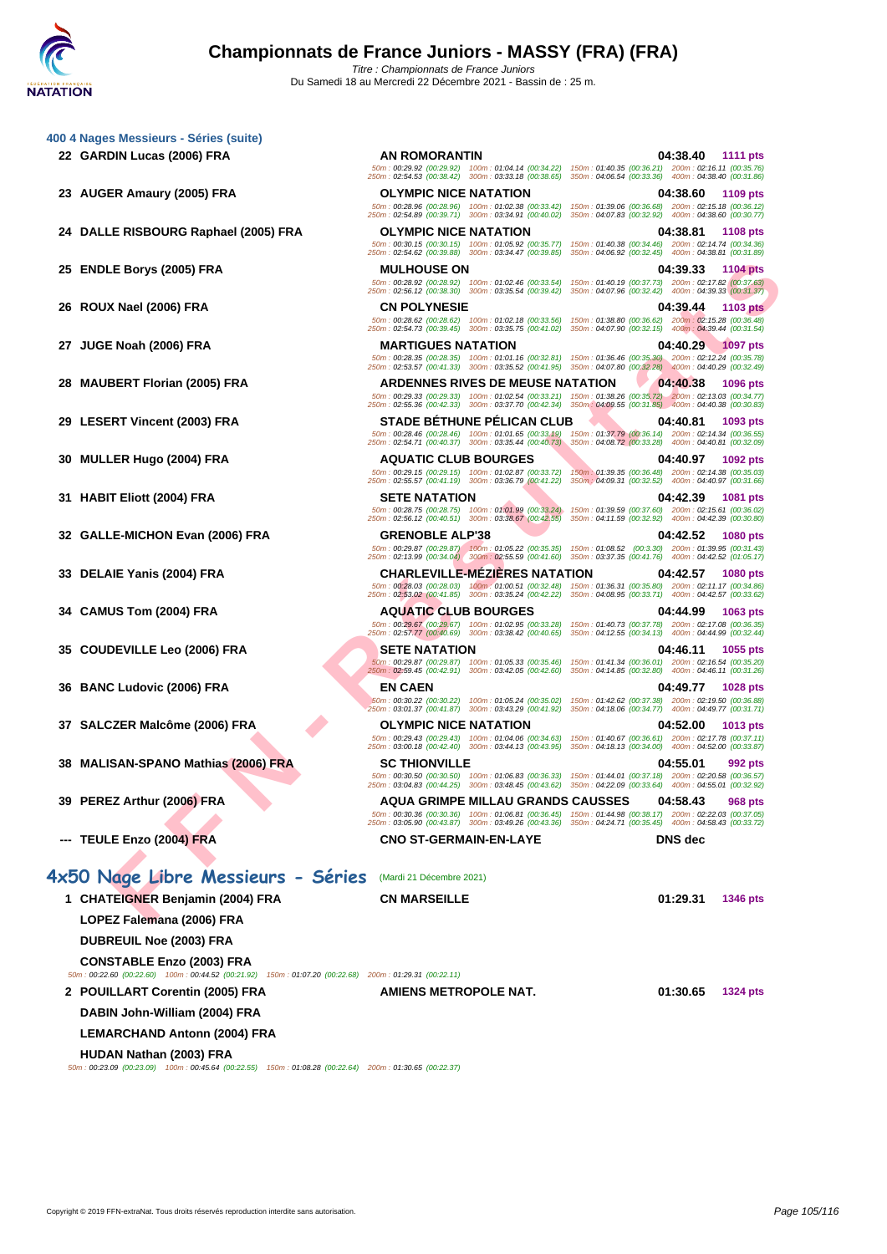|    | 400 4 Nages Messieurs - Séries (suite)                                                                                                        |                                                                                                                                                                                                                       |                                                                                                            |                             |
|----|-----------------------------------------------------------------------------------------------------------------------------------------------|-----------------------------------------------------------------------------------------------------------------------------------------------------------------------------------------------------------------------|------------------------------------------------------------------------------------------------------------|-----------------------------|
|    | 22 GARDIN Lucas (2006) FRA                                                                                                                    | <b>AN ROMORANTIN</b><br>50m : 00:29.92 (00:29.92) 100m : 01:04.14 (00:34.22) 150m : 01:40.35 (00:36.21) 200m : 02:16.11 (00:35.76)                                                                                    |                                                                                                            | 04:38.40<br>1111 pts        |
|    | 23 AUGER Amaury (2005) FRA                                                                                                                    | 250m: 02:54.53 (00:38.42) 300m: 03:33.18 (00:38.65)<br><b>OLYMPIC NICE NATATION</b>                                                                                                                                   | 350m: 04:06.54 (00:33.36) 400m: 04:38.40 (00:31.86)                                                        | 04:38.60<br>1109 pts        |
|    |                                                                                                                                               | 50m: 00:28.96 (00:28.96) 100m: 01:02.38 (00:33.42)<br>250m: 02:54.89 (00:39.71) 300m: 03:34.91 (00:40.02)                                                                                                             | 150m: 01:39.06 (00:36.68) 200m: 02:15.18 (00:36.12)<br>350m: 04:07.83 (00:32.92) 400m: 04:38.60 (00:30.77) |                             |
|    | 24 DALLE RISBOURG Raphael (2005) FRA                                                                                                          | <b>OLYMPIC NICE NATATION</b>                                                                                                                                                                                          |                                                                                                            | 04:38.81<br><b>1108 pts</b> |
|    |                                                                                                                                               | 50m: 00:30.15 (00:30.15) 100m: 01:05.92 (00:35.77) 150m: 01:40.38 (00:34.46) 200m: 02:14.74 (00:34.36)<br>250m: 02:54.62 (00:39.88) 300m: 03:34.47 (00:39.85) 350m: 04:06.92 (00:32.45) 400m: 04:38.81 (00:31.89)     |                                                                                                            |                             |
| 25 | <b>ENDLE Borys (2005) FRA</b>                                                                                                                 | <b>MULHOUSE ON</b>                                                                                                                                                                                                    |                                                                                                            | 04:39.33<br>1104 pts        |
|    |                                                                                                                                               | 50m: 00:28.92 (00:28.92) 100m: 01:02.46 (00:33.54) 150m: 01:40.19 (00:37.73) 200m: 02:17.82 (00:37.63)<br>250m: 02:56.12 (00:38.30) 300m: 03:35.54 (00:39.42) 350m: 04:07.96 (00:32.42) 400m: 04:39.33 (00:31.37)     |                                                                                                            |                             |
|    | 26 ROUX Nael (2006) FRA                                                                                                                       | <b>CN POLYNESIE</b>                                                                                                                                                                                                   |                                                                                                            | 04:39.44<br><b>1103 pts</b> |
|    |                                                                                                                                               | 50m : 00:28.62 (00:28.62) 100m : 01:02.18 (00:33.56) 150m : 01:38.80 (00:36.62) 200m : 02:15.28 (00:36.48)<br>250m: 02:54.73 (00:39.45) 300m: 03:35.75 (00:41.02) 350m: 04:07.90 (00:32.15) 400m: 04:39.44 (00:31.54) |                                                                                                            |                             |
|    | 27 JUGE Noah (2006) FRA                                                                                                                       | <b>MARTIGUES NATATION</b>                                                                                                                                                                                             |                                                                                                            | 04:40.29<br><b>1097 pts</b> |
|    |                                                                                                                                               | 50m: 00:28.35 (00:28.35) 100m: 01:01.16 (00:32.81) 150m: 01:36.46 (00:35.30) 200m: 02:12.24 (00:35.78)<br>250m: 02:53.57 (00:41.33) 300m: 03:35.52 (00:41.95) 350m: 04:07.80 (00:32,28) 400m: 04:40.29 (00:32.49)     |                                                                                                            |                             |
|    | 28 MAUBERT Florian (2005) FRA                                                                                                                 | <b>ARDENNES RIVES DE MEUSE NATATION</b>                                                                                                                                                                               |                                                                                                            | 04:40.38<br><b>1096 pts</b> |
|    |                                                                                                                                               | 50m: 00:29.33 (00:29.33) 100m: 01:02.54 (00:33.21) 150m: 01:38.26 (00:35.72) 200m: 02:13.03 (00:34.77)<br>250m: 02:55.36 (00:42.33) 300m: 03:37.70 (00:42.34) 350m: 04:09.55 (00:31.85) 400m: 04:40.38 (00:30.83)     |                                                                                                            |                             |
|    | 29 LESERT Vincent (2003) FRA                                                                                                                  | <b>STADE BETHUNE PELICAN CLUB</b><br>50m: 00:28.46 (00:28.46) 100m: 01:01.65 (00:33.19)                                                                                                                               | 150m: 01:37.79 (00:36.14) 200m: 02:14.34 (00:36.55)                                                        | 04:40.81<br>1093 pts        |
|    |                                                                                                                                               | 250m: 02:54.71 (00:40.37) 300m: 03:35.44 (00:40.73)                                                                                                                                                                   | 350m: 04:08.72 (00:33.28) 400m: 04:40.81 (00:32.09)                                                        |                             |
|    | 30   MULLER Hugo (2004) FRA                                                                                                                   | <b>AQUATIC CLUB BOURGES</b><br>50m: 00:29.15 (00:29.15) 100m: 01:02.87 (00:33.72)                                                                                                                                     | 150m: 01:39.35 (00:36.48) 200m: 02:14.38 (00:35.03)                                                        | 04:40.97<br>1092 pts        |
|    |                                                                                                                                               | 250m: 02:55.57 (00:41.19) 300m: 03:36.79 (00:41.22)                                                                                                                                                                   | 350m: 04:09.31 (00:32.52) 400m: 04:40.97 (00:31.66)                                                        |                             |
|    | <b>HABIT Eliott (2004) FRA</b>                                                                                                                | <b>SETE NATATION</b><br>50m: 00:28.75 (00:28.75) 100m: 01:01.99 (00:33.24)                                                                                                                                            | 150m: 01:39.59 (00:37.60) 200m: 02:15.61 (00:36.02)                                                        | 04:42.39<br><b>1081 pts</b> |
|    |                                                                                                                                               | 250m: 02:56.12 (00:40.51) 300m: 03:38.67 (00:42.55)                                                                                                                                                                   | 350m: 04:11.59 (00:32.92) 400m: 04:42.39 (00:30.80)                                                        |                             |
|    | 32 GALLE-MICHON Evan (2006) FRA                                                                                                               | <b>GRENOBLE ALP'38</b><br>50m : 00:29.87 (00:29.87) 100m : 01:05.22 (00:35.35) 150m : 01:08.52 (00:3.30) 200m : 01:39.95 (00:31.43) 50m : 01:39.95 (00:31.43) 50m : 01:39.95 (00:31.43)                               |                                                                                                            | 04:42.52<br><b>1080 pts</b> |
|    |                                                                                                                                               | <b>CHARLEVILLE-MEZIERES NATATION</b>                                                                                                                                                                                  |                                                                                                            |                             |
|    | 33 DELAIE Yanis (2004) FRA                                                                                                                    | 50m: 00:28.03 (00:28.03) 100m: 01:00.51 (00:32.48) 150m: 01:36.31 (00:35.80) 200m: 02:11.17 (00:34.86)                                                                                                                |                                                                                                            | 04:42.57<br>1080 pts        |
|    | 34 CAMUS Tom (2004) FRA                                                                                                                       | 250m: 02:53.02 (00:41.85) 300m: 03:35.24 (00:42.22) 350m: 04:08.95 (00:33.71) 400m: 04:42.57 (00:33.62)<br><b>AQUATIC CLUB BOURGES</b>                                                                                |                                                                                                            | 04:44.99                    |
|    |                                                                                                                                               | 50m: 00:29.67 (00:29.67) 100m: 01:02.95 (00:33.28) 150m: 01:40.73 (00:37.78) 200m: 02:17.08 (00:36.35)                                                                                                                |                                                                                                            | 1063 pts                    |
|    | 35   COUDEVILLE Leo (2006) FRA                                                                                                                | 250m: 02:57.77 (00:40.69) 300m: 03:38.42 (00:40.65) 350m: 04:12.55 (00:34.13) 400m: 04:44.99 (00:32.44)<br><b>SETE NATATION</b>                                                                                       |                                                                                                            | 04:46.11<br>1055 pts        |
|    |                                                                                                                                               | 50m: 00:29.87 (00:29.87) 100m: 01:05.33 (00:35.46) 150m: 01:41.34 (00:36.01) 200m: 02:16.54 (00:35.20)<br>250m: 02:59.45 (00:42.91) 300m: 03:42.05 (00:42.60) 350m: 04:14.85 (00:32.80) 400m: 04:46.11 (00:31.26)     |                                                                                                            |                             |
|    | 36 BANC Ludovic (2006) FRA                                                                                                                    | <b>EN CAEN</b>                                                                                                                                                                                                        |                                                                                                            | 04:49.77<br><b>1028 pts</b> |
|    |                                                                                                                                               | 50m: 00:30.22 (00:30.22) 100m: 01:05.24 (00:35.02) 150m: 01:42.62 (00:37.38) 200m: 02:19.50 (00:36.88)<br>250m: 03:01.37 (00:41.87) 300m: 03:43.29 (00:41.92) 350m: 04:18.06 (00:34.77) 400m: 04:49.77 (00:31.71)     |                                                                                                            |                             |
|    | 37   SALCZER Malcôme (2006) FRA                                                                                                               | <b>OLYMPIC NICE NATATION</b>                                                                                                                                                                                          |                                                                                                            | 04:52.00<br><b>1013 pts</b> |
|    |                                                                                                                                               | 50m: 00:29.43 (00:29.43) 100m: 01:04.06 (00:34.63)<br>250m: 03:00.18 (00:42.40) 300m: 03:44.13 (00:43.95) 350m: 04:18.13 (00:34.00) 400m: 04:52.00 (00:33.87)                                                         | 150m: 01:40.67 (00:36.61) 200m: 02:17.78 (00:37.11)                                                        |                             |
|    | 38   MALISAN-SPANO Mathias (2006) FRA                                                                                                         | <b>SC THIONVILLE</b>                                                                                                                                                                                                  |                                                                                                            | 04:55.01<br>992 pts         |
|    |                                                                                                                                               | 50m: 00:30.50 (00:30.50) 100m: 01:06.83 (00:36.33) 150m: 01:44.01 (00:37.18) 200m: 02:20.58 (00:36.57)<br>250m: 03:04.83 (00:44.25) 300m: 03:48.45 (00:43.62) 350m: 04:22.09 (00:33.64) 400m: 04:55.01 (00:32.92)     |                                                                                                            |                             |
|    | 39 PEREZ Arthur (2006) FRA                                                                                                                    | AQUA GRIMPE MILLAU GRANDS CAUSSES                                                                                                                                                                                     |                                                                                                            | 04:58.43<br>968 pts         |
|    |                                                                                                                                               | 50m: 00:30.36 (00:30.36) 100m: 01:06.81 (00:36.45) 150m: 01:44.98 (00:38.17) 200m: 02:22.03 (00:37.05)<br>250m: 03:05.90 (00:43.87) 300m: 03:49.26 (00:43.36) 350m: 04:24.71 (00:35.45) 400m: 04:58.43 (00:33.72)     |                                                                                                            |                             |
|    | --- TEULE Enzo (2004) FRA                                                                                                                     | <b>CNO ST-GERMAIN-EN-LAYE</b>                                                                                                                                                                                         |                                                                                                            | <b>DNS</b> dec              |
|    |                                                                                                                                               |                                                                                                                                                                                                                       |                                                                                                            |                             |
|    | 4x50 Nage Libre Messieurs - Séries                                                                                                            | (Mardi 21 Décembre 2021)                                                                                                                                                                                              |                                                                                                            |                             |
|    | 1 CHATEIGNER Benjamin (2004) FRA                                                                                                              | <b>CN MARSEILLE</b>                                                                                                                                                                                                   |                                                                                                            | 01:29.31<br><b>1346 pts</b> |
|    | LOPEZ Falemana (2006) FRA                                                                                                                     |                                                                                                                                                                                                                       |                                                                                                            |                             |
|    | <b>DUBREUIL Noe (2003) FRA</b>                                                                                                                |                                                                                                                                                                                                                       |                                                                                                            |                             |
|    | <b>CONSTABLE Enzo (2003) FRA</b>                                                                                                              |                                                                                                                                                                                                                       |                                                                                                            |                             |
|    | 50m : 00:22.60 (00:22.60) 100m : 00:44.52 (00:21.92) 150m : 01:07.20 (00:22.68) 200m : 01:29.31 (00:22.11)<br>2 POUILLART Corentin (2005) FRA | AMIENS METROPOLE NAT.                                                                                                                                                                                                 |                                                                                                            | 01:30.65<br><b>1324 pts</b> |
|    |                                                                                                                                               |                                                                                                                                                                                                                       |                                                                                                            |                             |
|    | DABIN John-William (2004) FRA                                                                                                                 |                                                                                                                                                                                                                       |                                                                                                            |                             |
|    | LEMARCHAND Antonn (2004) FRA                                                                                                                  |                                                                                                                                                                                                                       |                                                                                                            |                             |
|    | HUDAN Nathan (2003) FRA<br>50m : 00:23.09 (00:23.09) 100m : 00:45.64 (00:22.55) 150m : 01:08.28 (00:22.64) 200m : 01:30.65 (00:22.37)         |                                                                                                                                                                                                                       |                                                                                                            |                             |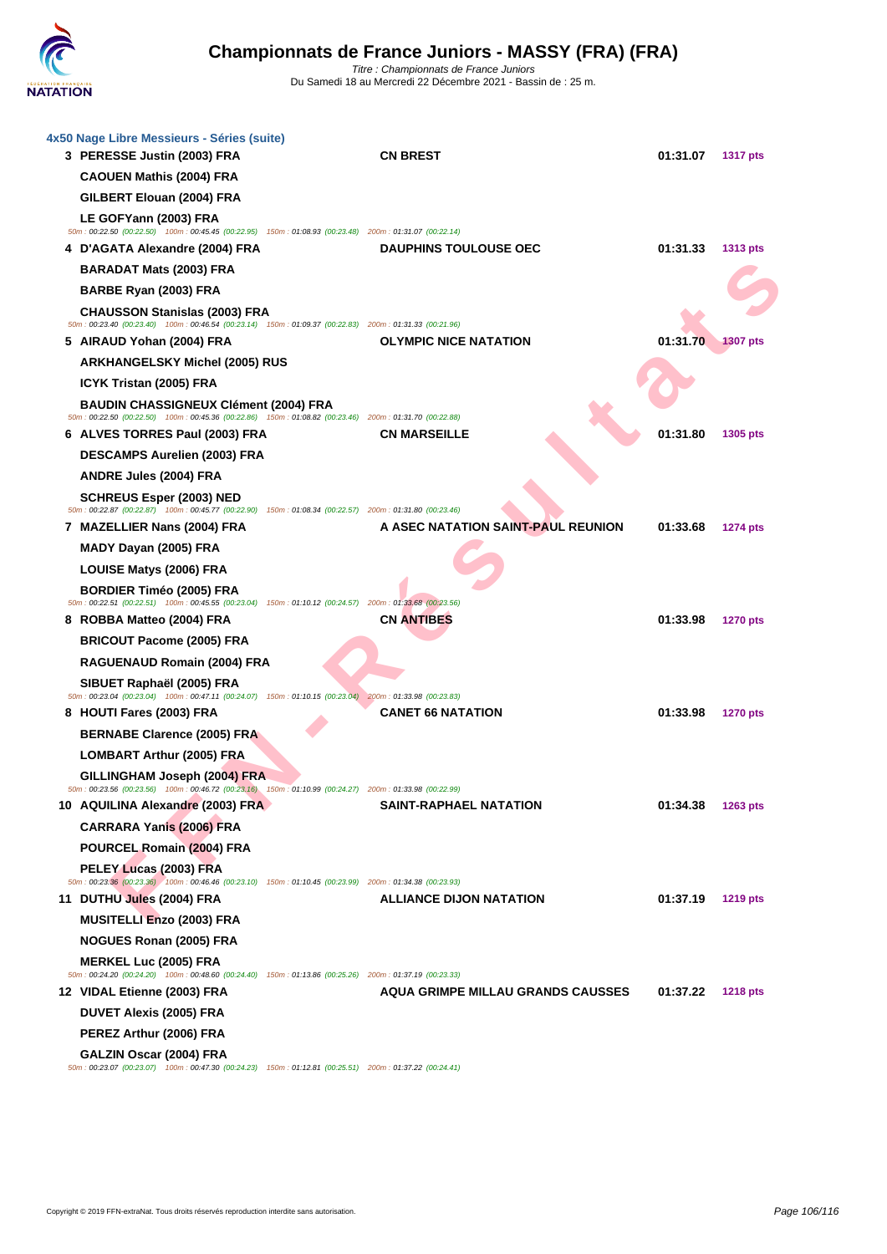

| 4x50 Nage Libre Messieurs - Séries (suite)<br>3 PERESSE Justin (2003) FRA                                                                              | <b>CN BREST</b>                    | 01:31.07 | <b>1317 pts</b> |
|--------------------------------------------------------------------------------------------------------------------------------------------------------|------------------------------------|----------|-----------------|
| <b>CAOUEN Mathis (2004) FRA</b>                                                                                                                        |                                    |          |                 |
| GILBERT Elouan (2004) FRA                                                                                                                              |                                    |          |                 |
| LE GOFYann (2003) FRA<br>50m: 00:22.50 (00:22.50) 100m: 00:45.45 (00:22.95) 150m: 01:08.93 (00:23.48) 200m: 01:31.07 (00:22.14)                        |                                    |          |                 |
| 4 D'AGATA Alexandre (2004) FRA                                                                                                                         | <b>DAUPHINS TOULOUSE OEC</b>       | 01:31.33 | <b>1313 pts</b> |
| <b>BARADAT Mats (2003) FRA</b>                                                                                                                         |                                    |          |                 |
| BARBE Ryan (2003) FRA                                                                                                                                  |                                    |          |                 |
| <b>CHAUSSON Stanislas (2003) FRA</b>                                                                                                                   |                                    |          |                 |
| 50m: 00:23.40 (00:23.40) 100m: 00:46.54 (00:23.14) 150m: 01:09.37 (00:22.83) 200m: 01:31.33 (00:21.96)                                                 |                                    |          |                 |
| 5 AIRAUD Yohan (2004) FRA                                                                                                                              | <b>OLYMPIC NICE NATATION</b>       | 01:31.70 | <b>1307 pts</b> |
| <b>ARKHANGELSKY Michel (2005) RUS</b>                                                                                                                  |                                    |          |                 |
| ICYK Tristan (2005) FRA                                                                                                                                |                                    |          |                 |
| <b>BAUDIN CHASSIGNEUX Clément (2004) FRA</b><br>50m: 00:22.50 (00:22.50) 100m: 00:45.36 (00:22.86) 150m: 01:08.82 (00:23.46) 200m: 01:31.70 (00:22.88) |                                    |          |                 |
| 6 ALVES TORRES Paul (2003) FRA                                                                                                                         | <b>CN MARSEILLE</b>                | 01:31.80 | 1305 pts        |
| <b>DESCAMPS Aurelien (2003) FRA</b>                                                                                                                    |                                    |          |                 |
| <b>ANDRE Jules (2004) FRA</b>                                                                                                                          |                                    |          |                 |
| <b>SCHREUS Esper (2003) NED</b><br>50m: 00:22.87 (00:22.87) 100m: 00:45.77 (00:22.90) 150m: 01:08.34 (00:22.57) 200m: 01:31.80 (00:23.46)              |                                    |          |                 |
| 7 MAZELLIER Nans (2004) FRA                                                                                                                            | A ASEC NATATION SAINT-PAUL REUNION | 01:33.68 | <b>1274 pts</b> |
| MADY Dayan (2005) FRA                                                                                                                                  |                                    |          |                 |
| <b>LOUISE Matys (2006) FRA</b>                                                                                                                         |                                    |          |                 |
| <b>BORDIER Timéo (2005) FRA</b>                                                                                                                        |                                    |          |                 |
| 50m: 00:22.51 (00:22.51) 100m: 00:45.55 (00:23.04) 150m: 01:10.12 (00:24.57) 200m: 01:33.68 (00:23.56)                                                 | <b>CN ANTIBES</b>                  | 01:33.98 |                 |
| 8 ROBBA Matteo (2004) FRA<br><b>BRICOUT Pacome (2005) FRA</b>                                                                                          |                                    |          | <b>1270 pts</b> |
| RAGUENAUD Romain (2004) FRA                                                                                                                            |                                    |          |                 |
|                                                                                                                                                        |                                    |          |                 |
| SIBUET Raphaël (2005) FRA<br>50m: 00:23.04 (00:23.04) 100m: 00:47.11 (00:24.07) 150m: 01:10.15 (00:23.04) 200m: 01:33.98 (00:23.83)                    |                                    |          |                 |
| 8 HOUTI Fares (2003) FRA                                                                                                                               | <b>CANET 66 NATATION</b>           | 01:33.98 | <b>1270 pts</b> |
| <b>BERNABE Clarence (2005) FRA</b>                                                                                                                     |                                    |          |                 |
| <b>LOMBART Arthur (2005) FRA</b>                                                                                                                       |                                    |          |                 |
| GILLINGHAM Joseph (2004) FRA                                                                                                                           |                                    |          |                 |
| 50m : 00:23.56 (00:23.56) 100m : 00:46.72 (00:23.16) 150m : 01:10.99 (00:24.27) 200m : 01:33.98 (00:22.99)<br>10 AQUILINA Alexandre (2003) FRA         | <b>SAINT-RAPHAEL NATATION</b>      | 01:34.38 | 1263 pts        |
| <b>CARRARA Yanis (2006) FRA</b>                                                                                                                        |                                    |          |                 |
| POURCEL Romain (2004) FRA                                                                                                                              |                                    |          |                 |
| PELEY Lucas (2003) FRA                                                                                                                                 |                                    |          |                 |
| 50m : 00:23.36 (00:23.36) 100m : 00:46.46 (00:23.10) 150m : 01:10.45 (00:23.99) 200m : 01:34.38 (00:23.93)                                             |                                    |          |                 |
| 11 DUTHU Jules (2004) FRA                                                                                                                              | <b>ALLIANCE DIJON NATATION</b>     | 01:37.19 | <b>1219 pts</b> |
| <b>MUSITELLI Enzo (2003) FRA</b>                                                                                                                       |                                    |          |                 |
| <b>NOGUES Ronan (2005) FRA</b>                                                                                                                         |                                    |          |                 |
| <b>MERKEL Luc (2005) FRA</b><br>50m : 00:24.20 (00:24.20) 100m : 00:48.60 (00:24.40) 150m : 01:13.86 (00:25.26) 200m : 01:37.19 (00:23.33)             |                                    |          |                 |
| 12 VIDAL Etienne (2003) FRA                                                                                                                            | AQUA GRIMPE MILLAU GRANDS CAUSSES  | 01:37.22 | <b>1218 pts</b> |
| <b>DUVET Alexis (2005) FRA</b>                                                                                                                         |                                    |          |                 |
| PEREZ Arthur (2006) FRA                                                                                                                                |                                    |          |                 |
| GALZIN Oscar (2004) FRA<br>50m : 00:23.07 (00:23.07) 100m : 00:47.30 (00:24.23) 150m : 01:12.81 (00:25.51) 200m : 01:37.22 (00:24.41)                  |                                    |          |                 |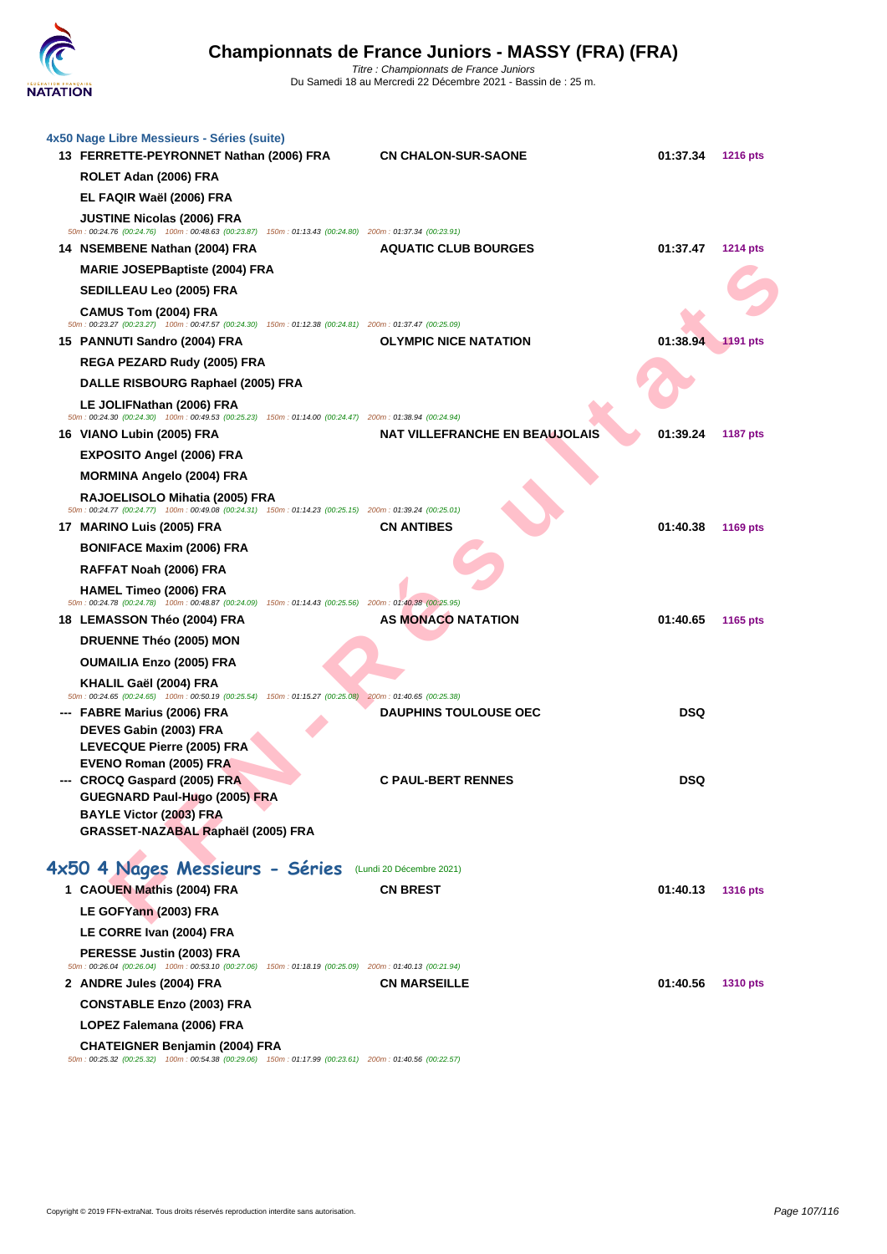

| 4x50 Nage Libre Messieurs - Séries (suite)<br>13 FERRETTE-PEYRONNET Nathan (2006) FRA                                                       | <b>CN CHALON-SUR-SAONE</b>            | 01:37.34   | <b>1216 pts</b> |
|---------------------------------------------------------------------------------------------------------------------------------------------|---------------------------------------|------------|-----------------|
| ROLET Adan (2006) FRA                                                                                                                       |                                       |            |                 |
| EL FAQIR Waël (2006) FRA                                                                                                                    |                                       |            |                 |
| <b>JUSTINE Nicolas (2006) FRA</b><br>50m: 00:24.76 (00:24.76) 100m: 00:48.63 (00:23.87) 150m: 01:13.43 (00:24.80) 200m: 01:37.34 (00:23.91) |                                       |            |                 |
| 14 NSEMBENE Nathan (2004) FRA                                                                                                               | <b>AQUATIC CLUB BOURGES</b>           | 01:37.47   | <b>1214 pts</b> |
| <b>MARIE JOSEPBaptiste (2004) FRA</b>                                                                                                       |                                       |            |                 |
| SEDILLEAU Leo (2005) FRA                                                                                                                    |                                       |            |                 |
| CAMUS Tom (2004) FRA<br>50m: 00:23.27 (00:23.27) 100m: 00:47.57 (00:24.30) 150m: 01:12.38 (00:24.81) 200m: 01:37.47 (00:25.09)              |                                       |            |                 |
| 15 PANNUTI Sandro (2004) FRA                                                                                                                | <b>OLYMPIC NICE NATATION</b>          | 01:38.94   | <b>1191 pts</b> |
| REGA PEZARD Rudy (2005) FRA                                                                                                                 |                                       |            |                 |
| DALLE RISBOURG Raphael (2005) FRA                                                                                                           |                                       |            |                 |
| LE JOLIFNathan (2006) FRA<br>50m: 00:24.30 (00:24.30) 100m: 00:49.53 (00:25.23) 150m: 01:14.00 (00:24.47) 200m: 01:38.94 (00:24.94)         |                                       |            |                 |
| 16 VIANO Lubin (2005) FRA                                                                                                                   | <b>NAT VILLEFRANCHE EN BEAUJOLAIS</b> | 01:39.24   | <b>1187 pts</b> |
| <b>EXPOSITO Angel (2006) FRA</b>                                                                                                            |                                       |            |                 |
| <b>MORMINA Angelo (2004) FRA</b>                                                                                                            |                                       |            |                 |
| RAJOELISOLO Mihatia (2005) FRA<br>50m: 00:24.77 (00:24.77) 100m: 00:49.08 (00:24.31) 150m: 01:14.23 (00:25.15) 200m: 01:39.24 (00:25.01)    |                                       |            |                 |
| 17 MARINO Luis (2005) FRA                                                                                                                   | <b>CN ANTIBES</b>                     | 01:40.38   | 1169 pts        |
| <b>BONIFACE Maxim (2006) FRA</b>                                                                                                            |                                       |            |                 |
| RAFFAT Noah (2006) FRA                                                                                                                      |                                       |            |                 |
| <b>HAMEL Timeo (2006) FRA</b>                                                                                                               |                                       |            |                 |
| 50m : 00:24.78 (00:24.78) 100m : 00:48.87 (00:24.09) 150m : 01:14.43 (00:25.56) 200m : 01:40.38 (00:25.95)<br>18 LEMASSON Théo (2004) FRA   | AS MONACO NATATION                    | 01:40.65   | 1165 pts        |
| <b>DRUENNE Théo (2005) MON</b>                                                                                                              |                                       |            |                 |
| <b>OUMAILIA Enzo (2005) FRA</b>                                                                                                             |                                       |            |                 |
| KHALIL Gaël (2004) FRA                                                                                                                      |                                       |            |                 |
| 50m : 00:24.65 (00:24.65) 100m : 00:50.19 (00:25.54) 150m : 01:15.27 (00:25.08) 200m : 01:40.65 (00:25.38)                                  |                                       |            |                 |
| --- FABRE Marius (2006) FRA                                                                                                                 | <b>DAUPHINS TOULOUSE OEC</b>          | <b>DSQ</b> |                 |
| DEVES Gabin (2003) FRA<br>LEVECQUE Pierre (2005) FRA                                                                                        |                                       |            |                 |
| EVENO Roman (2005) FRA                                                                                                                      |                                       |            |                 |
| --- CROCQ Gaspard (2005) FRA                                                                                                                | <b>C PAUL-BERT RENNES</b>             | <b>DSQ</b> |                 |
| GUEGNARD Paul-Hugo (2005) FRA                                                                                                               |                                       |            |                 |
| <b>BAYLE Victor (2003) FRA</b>                                                                                                              |                                       |            |                 |
| GRASSET-NAZABAL Raphaël (2005) FRA                                                                                                          |                                       |            |                 |
| 4x50 4 Nages Messieurs - Séries (Lundi 20 Décembre 2021)                                                                                    |                                       |            |                 |
| 1 CAOUEN Mathis (2004) FRA                                                                                                                  | <b>CN BREST</b>                       | 01:40.13   | <b>1316 pts</b> |
| LE GOFYann (2003) FRA                                                                                                                       |                                       |            |                 |
| LE CORRE Ivan (2004) FRA                                                                                                                    |                                       |            |                 |
| PERESSE Justin (2003) FRA<br>50m : 00:26.04 (00:26.04) 100m : 00:53.10 (00:27.06) 150m : 01:18.19 (00:25.09) 200m : 01:40.13 (00:21.94)     |                                       |            |                 |
| 2 ANDRE Jules (2004) FRA                                                                                                                    | <b>CN MARSEILLE</b>                   | 01:40.56   | <b>1310 pts</b> |
| <b>CONSTABLE Enzo (2003) FRA</b>                                                                                                            |                                       |            |                 |
| LOPEZ Falemana (2006) FRA                                                                                                                   |                                       |            |                 |
| <b>CHATEIGNER Benjamin (2004) FRA</b>                                                                                                       |                                       |            |                 |
| 50m : 00:25.32 (00:25.32) 100m : 00:54.38 (00:29.06) 150m : 01:17.99 (00:23.61) 200m : 01:40.56 (00:22.57)                                  |                                       |            |                 |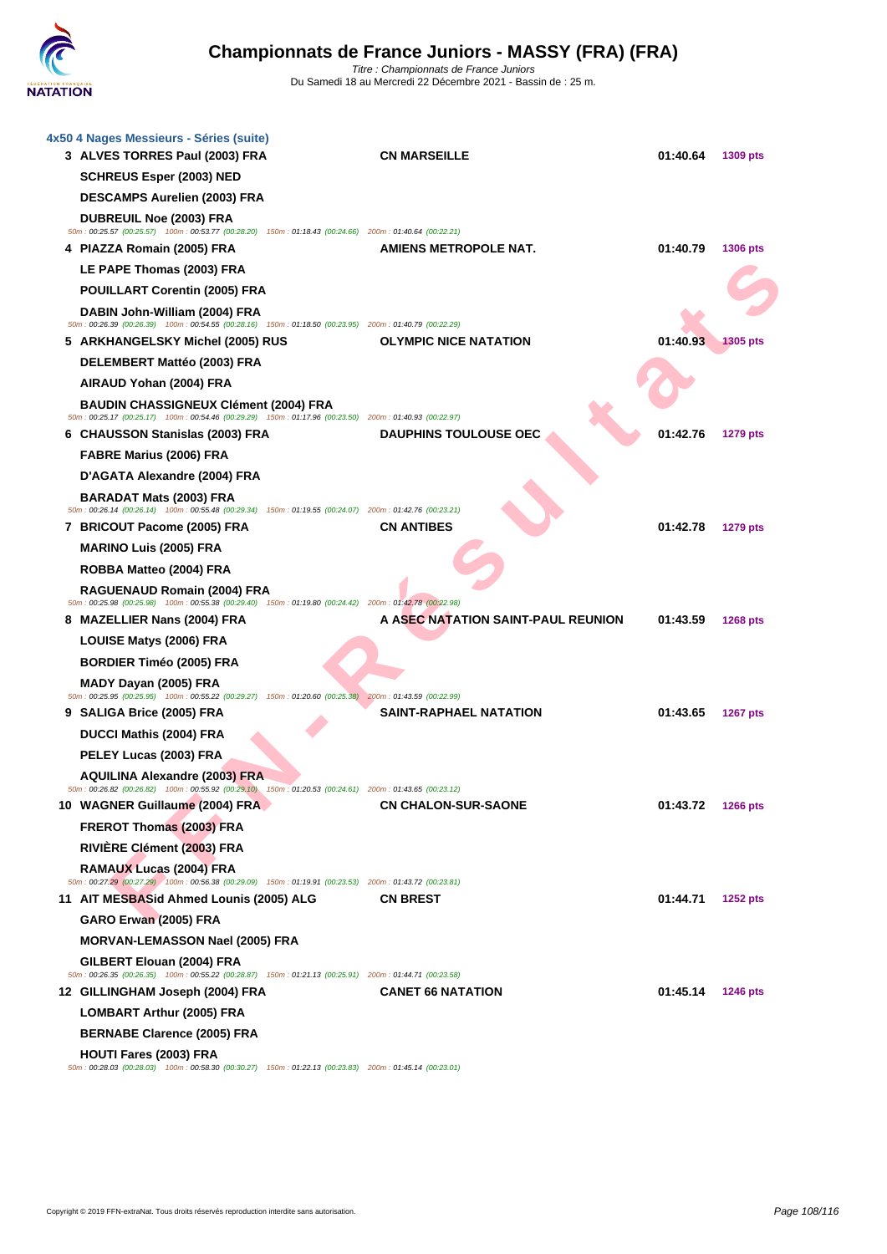

| 4x50 4 Nages Messieurs - Séries (suite)<br>3 ALVES TORRES Paul (2003) FRA                                                                              | <b>CN MARSEILLE</b>                | 01:40.64 | 1309 pts        |
|--------------------------------------------------------------------------------------------------------------------------------------------------------|------------------------------------|----------|-----------------|
| <b>SCHREUS Esper (2003) NED</b>                                                                                                                        |                                    |          |                 |
| <b>DESCAMPS Aurelien (2003) FRA</b>                                                                                                                    |                                    |          |                 |
| <b>DUBREUIL Noe (2003) FRA</b><br>50m: 00:25.57 (00:25.57) 100m: 00:53.77 (00:28.20) 150m: 01:18.43 (00:24.66) 200m: 01:40.64 (00:22.21)               |                                    |          |                 |
| 4 PIAZZA Romain (2005) FRA                                                                                                                             | AMIENS METROPOLE NAT.              | 01:40.79 | 1306 pts        |
| LE PAPE Thomas (2003) FRA                                                                                                                              |                                    |          |                 |
| <b>POUILLART Corentin (2005) FRA</b>                                                                                                                   |                                    |          |                 |
| DABIN John-William (2004) FRA<br>50m: 00:26.39 (00:26.39) 100m: 00:54.55 (00:28.16) 150m: 01:18.50 (00:23.95) 200m: 01:40.79 (00:22.29)                |                                    |          |                 |
| 5 ARKHANGELSKY Michel (2005) RUS                                                                                                                       | <b>OLYMPIC NICE NATATION</b>       | 01:40.93 | <b>1305 pts</b> |
| DELEMBERT Mattéo (2003) FRA                                                                                                                            |                                    |          |                 |
| AIRAUD Yohan (2004) FRA                                                                                                                                |                                    |          |                 |
| <b>BAUDIN CHASSIGNEUX Clément (2004) FRA</b><br>50m: 00:25.17 (00:25.17) 100m: 00:54.46 (00:29.29) 150m: 01:17.96 (00:23.50) 200m: 01:40.93 (00:22.97) |                                    |          |                 |
| 6 CHAUSSON Stanislas (2003) FRA                                                                                                                        | <b>DAUPHINS TOULOUSE OEC</b>       | 01:42.76 | 1279 pts        |
| FABRE Marius (2006) FRA                                                                                                                                |                                    |          |                 |
| D'AGATA Alexandre (2004) FRA                                                                                                                           |                                    |          |                 |
| <b>BARADAT Mats (2003) FRA</b><br>50m: 00:26.14 (00:26.14) 100m: 00:55.48 (00:29.34) 150m: 01:19.55 (00:24.07) 200m: 01:42.76 (00:23.21)               |                                    |          |                 |
| 7 BRICOUT Pacome (2005) FRA                                                                                                                            | <b>CN ANTIBES</b>                  | 01:42.78 | <b>1279 pts</b> |
| <b>MARINO Luis (2005) FRA</b>                                                                                                                          |                                    |          |                 |
| ROBBA Matteo (2004) FRA                                                                                                                                |                                    |          |                 |
| RAGUENAUD Romain (2004) FRA<br>50m: 00:25.98 (00:25.98) 100m: 00:55.38 (00:29.40) 150m: 01:19.80 (00:24.42) 200m: 01:42.78 (00:22.98)                  |                                    |          |                 |
| 8 MAZELLIER Nans (2004) FRA                                                                                                                            | A ASEC NATATION SAINT-PAUL REUNION | 01:43.59 | <b>1268 pts</b> |
| LOUISE Matys (2006) FRA                                                                                                                                |                                    |          |                 |
| <b>BORDIER Timéo (2005) FRA</b>                                                                                                                        |                                    |          |                 |
| MADY Dayan (2005) FRA                                                                                                                                  |                                    |          |                 |
| 50m: 00:25.95 (00:25.95) 100m: 00:55.22 (00:29.27) 150m: 01:20.60 (00:25.38) 200m: 01:43.59 (00:22.99)<br>9 SALIGA Brice (2005) FRA                    | <b>SAINT-RAPHAEL NATATION</b>      | 01:43.65 | <b>1267 pts</b> |
| DUCCI Mathis (2004) FRA                                                                                                                                |                                    |          |                 |
| PELEY Lucas (2003) FRA                                                                                                                                 |                                    |          |                 |
| <b>AQUILINA Alexandre (2003) FRA</b>                                                                                                                   |                                    |          |                 |
| 50m: 00:26.82 (00:26.82) 100m: 00:55.92 (00:29.10) 150m: 01:20.53 (00:24.61) 200m: 01:43.65 (00:23.12)                                                 |                                    |          |                 |
| 10 WAGNER Guillaume (2004) FRA                                                                                                                         | <b>CN CHALON-SUR-SAONE</b>         | 01:43.72 | <b>1266 pts</b> |
| FREROT Thomas (2003) FRA                                                                                                                               |                                    |          |                 |
| RIVIERE Clément (2003) FRA                                                                                                                             |                                    |          |                 |
| RAMAUX Lucas (2004) FRA<br>50m: 00:27.29 (00:27.29) 100m: 00:56.38 (00:29.09) 150m: 01:19.91 (00:23.53) 200m: 01:43.72 (00:23.81)                      |                                    |          |                 |
| 11 AIT MESBASid Ahmed Lounis (2005) ALG                                                                                                                | <b>CN BREST</b>                    | 01:44.71 | <b>1252 pts</b> |
| GARO Erwan (2005) FRA                                                                                                                                  |                                    |          |                 |
| <b>MORVAN-LEMASSON Nael (2005) FRA</b>                                                                                                                 |                                    |          |                 |
| GILBERT Elouan (2004) FRA<br>50m: 00:26.35 (00:26.35) 100m: 00:55.22 (00:28.87) 150m: 01:21.13 (00:25.91) 200m: 01:44.71 (00:23.58)                    |                                    |          |                 |
| 12 GILLINGHAM Joseph (2004) FRA                                                                                                                        | <b>CANET 66 NATATION</b>           | 01:45.14 | <b>1246 pts</b> |
| <b>LOMBART Arthur (2005) FRA</b>                                                                                                                       |                                    |          |                 |
| <b>BERNABE Clarence (2005) FRA</b>                                                                                                                     |                                    |          |                 |
| <b>HOUTI Fares (2003) FRA</b><br>50m : 00:28.03 (00:28.03) 100m : 00:58.30 (00:30.27) 150m : 01:22.13 (00:23.83) 200m : 01:45.14 (00:23.01)            |                                    |          |                 |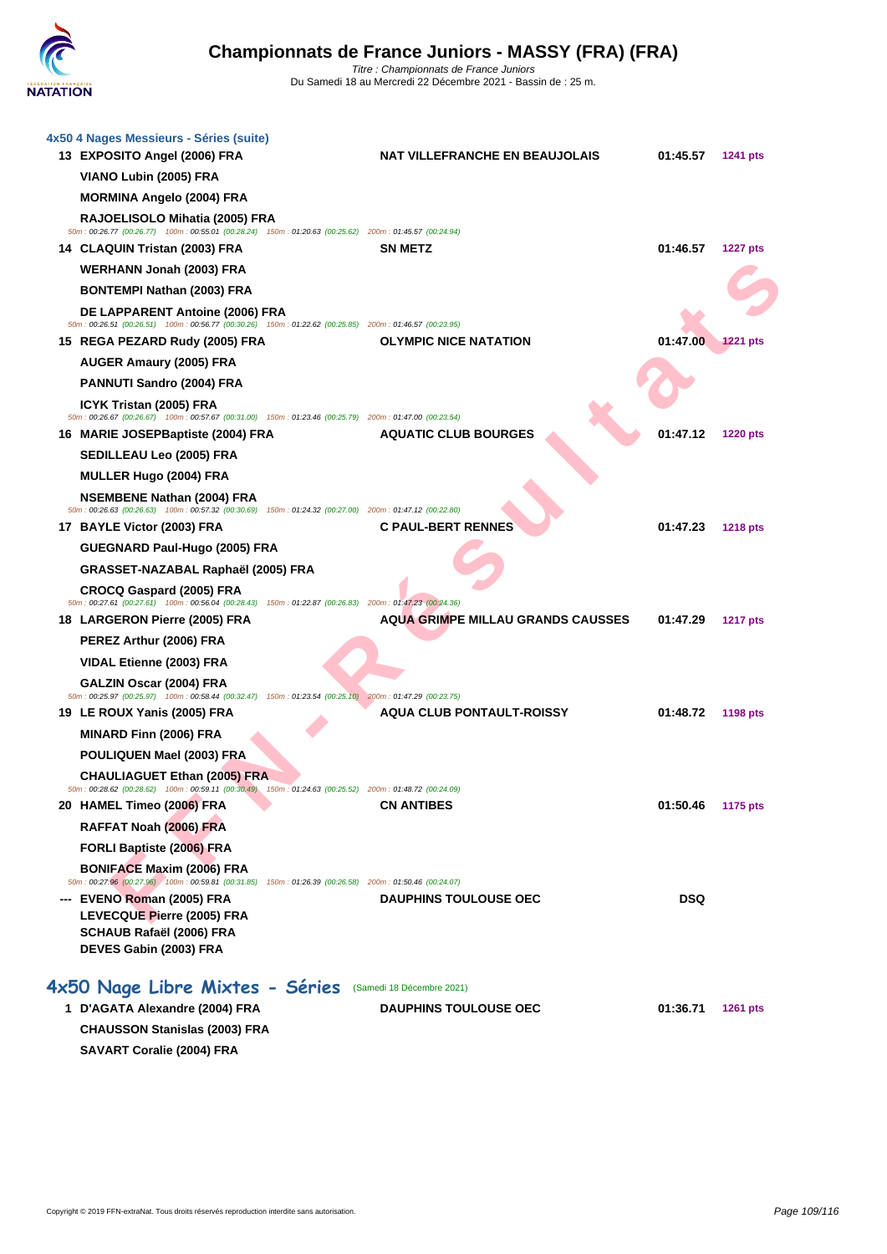

| 4x50 4 Nages Messieurs - Séries (suite)<br>13 EXPOSITO Angel (2006) FRA                                                                       | <b>NAT VILLEFRANCHE EN BEAUJOLAIS</b>    | 01:45.57   | 1241 pts        |
|-----------------------------------------------------------------------------------------------------------------------------------------------|------------------------------------------|------------|-----------------|
| VIANO Lubin (2005) FRA                                                                                                                        |                                          |            |                 |
| <b>MORMINA Angelo (2004) FRA</b>                                                                                                              |                                          |            |                 |
| RAJOELISOLO Mihatia (2005) FRA<br>50m : 00:26.77 (00:26.77) 100m : 00:55.01 (00:28.24) 150m : 01:20.63 (00:25.62) 200m : 01:45.57 (00:24.94)  |                                          |            |                 |
| 14 CLAQUIN Tristan (2003) FRA                                                                                                                 | <b>SN METZ</b>                           | 01:46.57   | <b>1227 pts</b> |
| <b>WERHANN Jonah (2003) FRA</b>                                                                                                               |                                          |            |                 |
| <b>BONTEMPI Nathan (2003) FRA</b>                                                                                                             |                                          |            |                 |
| DE LAPPARENT Antoine (2006) FRA<br>50m : 00:26.51 (00:26.51) 100m : 00:56.77 (00:30.26) 150m : 01:22.62 (00:25.85) 200m : 01:46.57 (00:23.95) |                                          |            |                 |
| 15 REGA PEZARD Rudy (2005) FRA                                                                                                                | <b>OLYMPIC NICE NATATION</b>             | 01:47.00   | <b>1221 pts</b> |
| <b>AUGER Amaury (2005) FRA</b>                                                                                                                |                                          |            |                 |
| <b>PANNUTI Sandro (2004) FRA</b>                                                                                                              |                                          |            |                 |
| ICYK Tristan (2005) FRA                                                                                                                       |                                          |            |                 |
| 50m: 00:26.67 (00:26.67) 100m: 00:57.67 (00:31.00) 150m: 01:23.46 (00:25.79) 200m: 01:47.00 (00:23.54)<br>16 MARIE JOSEPBaptiste (2004) FRA   | <b>AQUATIC CLUB BOURGES</b>              | 01:47.12   | <b>1220 pts</b> |
| SEDILLEAU Leo (2005) FRA                                                                                                                      |                                          |            |                 |
| <b>MULLER Hugo (2004) FRA</b>                                                                                                                 |                                          |            |                 |
| <b>NSEMBENE Nathan (2004) FRA</b>                                                                                                             |                                          |            |                 |
| 50m: 00:26.63 (00:26.63) 100m: 00:57.32 (00:30.69) 150m: 01:24.32 (00:27.00) 200m: 01:47.12 (00:22.80)                                        |                                          |            |                 |
| 17 BAYLE Victor (2003) FRA                                                                                                                    | <b>C PAUL-BERT RENNES</b>                | 01:47.23   | <b>1218 pts</b> |
| GUEGNARD Paul-Hugo (2005) FRA                                                                                                                 |                                          |            |                 |
| GRASSET-NAZABAL Raphaël (2005) FRA                                                                                                            |                                          |            |                 |
| <b>CROCQ Gaspard (2005) FRA</b><br>50m: 00:27.61 (00:27.61) 100m: 00:56.04 (00:28.43) 150m: 01:22.87 (00:26.83) 200m: 01:47.23 (00:24.36)     |                                          |            |                 |
| 18 LARGERON Pierre (2005) FRA                                                                                                                 | <b>AQUA GRIMPE MILLAU GRANDS CAUSSES</b> | 01:47.29   | <b>1217 pts</b> |
| PEREZ Arthur (2006) FRA                                                                                                                       |                                          |            |                 |
| VIDAL Etienne (2003) FRA                                                                                                                      |                                          |            |                 |
| GALZIN Oscar (2004) FRA<br>50m: 00:25.97 (00:25.97) 100m: 00:58.44 (00:32.47) 150m: 01:23.54 (00:25.10) 200m: 01:47.29 (00:23.75)             |                                          |            |                 |
| 19 LE ROUX Yanis (2005) FRA                                                                                                                   | <b>AQUA CLUB PONTAULT-ROISSY</b>         | 01:48.72   | 1198 pts        |
| MINARD Finn (2006) FRA                                                                                                                        |                                          |            |                 |
| POULIQUEN Mael (2003) FRA                                                                                                                     |                                          |            |                 |
| <b>CHAULIAGUET Ethan (2005) FRA</b>                                                                                                           |                                          |            |                 |
| 50m: 00:28.62 (00:28.62) 100m: 00:59.11 (00:30.49) 150m: 01:24.63 (00:25.52) 200m: 01:48.72 (00:24.09)<br>20 HAMEL Timeo (2006) FRA           | <b>CN ANTIBES</b>                        | 01:50.46   | <b>1175 pts</b> |
| RAFFAT Noah (2006) FRA                                                                                                                        |                                          |            |                 |
| FORLI Baptiste (2006) FRA                                                                                                                     |                                          |            |                 |
| <b>BONIFACE Maxim (2006) FRA</b>                                                                                                              |                                          |            |                 |
| 50m : 00:27.96 (00:27.96) 100m : 00:59.81 (00:31.85) 150m : 01:26.39 (00:26.58) 200m : 01:50.46 (00:24.07)                                    |                                          |            |                 |
| --- EVENO Roman (2005) FRA<br>LEVECQUE Pierre (2005) FRA                                                                                      | <b>DAUPHINS TOULOUSE OEC</b>             | <b>DSQ</b> |                 |
| SCHAUB Rafaël (2006) FRA                                                                                                                      |                                          |            |                 |
| DEVES Gabin (2003) FRA                                                                                                                        |                                          |            |                 |
| 4x50 Nage Libre Mixtes - Séries                                                                                                               | (Samedi 18 Décembre 2021)                |            |                 |
| 1 D'AGATA Alexandre (2004) FRA                                                                                                                | <b>DAUPHINS TOULOUSE OEC</b>             | 01:36.71   | <b>1261 pts</b> |
| <b>CHAUSSON Stanislas (2003) FRA</b>                                                                                                          |                                          |            |                 |
| <b>SAVART Coralie (2004) FRA</b>                                                                                                              |                                          |            |                 |
|                                                                                                                                               |                                          |            |                 |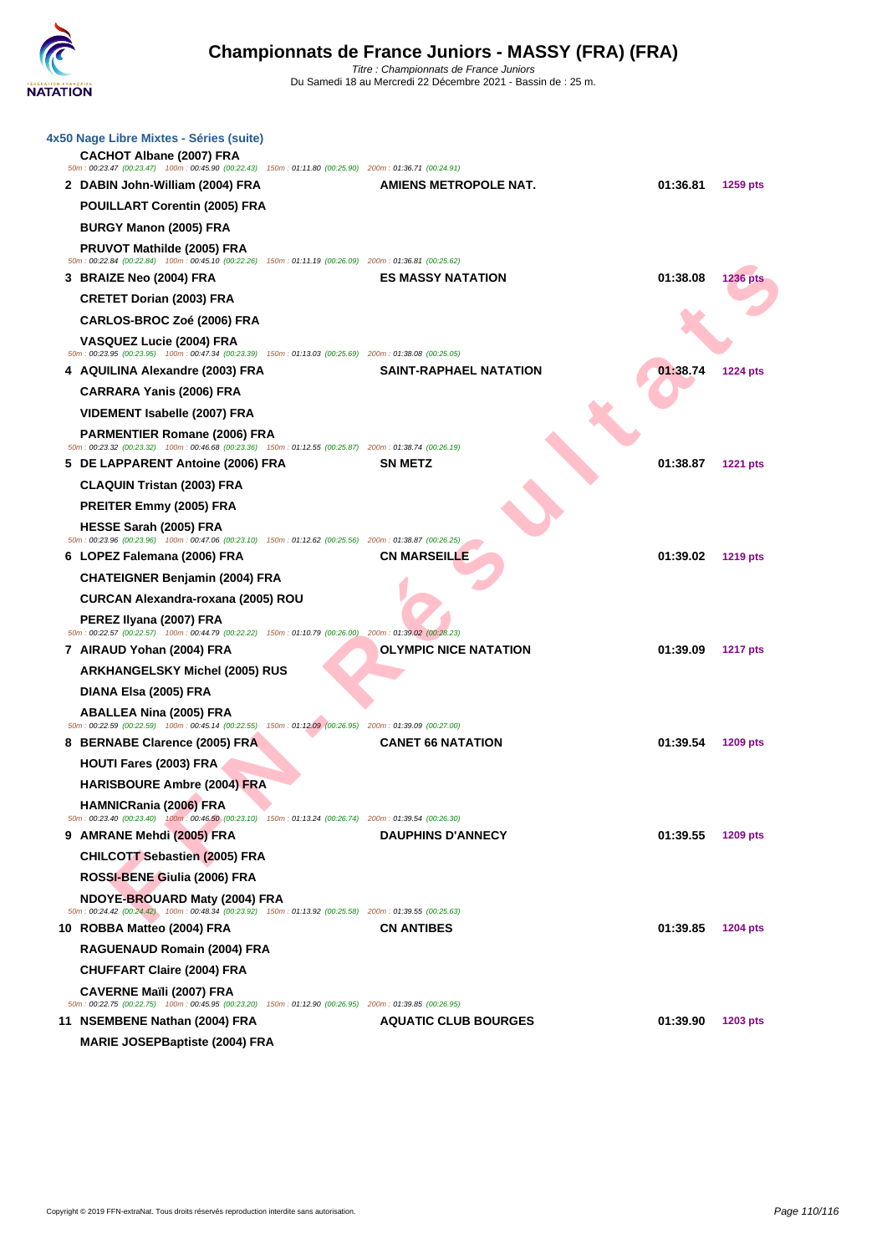| 4x50 Nage Libre Mixtes - Séries (suite)<br><b>CACHOT Albane (2007) FRA</b><br>50m: 00:23.47 (00:23.47) 100m: 00:45.90 (00:22.43) 150m: 01:11.80 (00:25.90) 200m: 01:36.71 (00:24.91) |                               |          |                 |
|--------------------------------------------------------------------------------------------------------------------------------------------------------------------------------------|-------------------------------|----------|-----------------|
| 2 DABIN John-William (2004) FRA                                                                                                                                                      | AMIENS METROPOLE NAT.         | 01:36.81 | 1259 pts        |
| POUILLART Corentin (2005) FRA                                                                                                                                                        |                               |          |                 |
| BURGY Manon (2005) FRA                                                                                                                                                               |                               |          |                 |
| <b>PRUVOT Mathilde (2005) FRA</b>                                                                                                                                                    |                               |          |                 |
| 50m: 00:22.84 (00:22.84) 100m: 00:45.10 (00:22.26) 150m: 01:11.19 (00:26.09) 200m: 01:36.81 (00:25.62)                                                                               | <b>ES MASSY NATATION</b>      | 01:38.08 |                 |
| 3 BRAIZE Neo (2004) FRA<br><b>CRETET Dorian (2003) FRA</b>                                                                                                                           |                               |          | 1236 pts        |
| CARLOS-BROC Zoé (2006) FRA                                                                                                                                                           |                               |          |                 |
| VASQUEZ Lucie (2004) FRA                                                                                                                                                             |                               |          |                 |
| 50m: 00:23.95 (00:23.95) 100m: 00:47.34 (00:23.39) 150m: 01:13.03 (00:25.69) 200m: 01:38.08 (00:25.05)                                                                               |                               |          |                 |
| 4 AQUILINA Alexandre (2003) FRA                                                                                                                                                      | <b>SAINT-RAPHAEL NATATION</b> | 01:38.74 | <b>1224 pts</b> |
| <b>CARRARA Yanis (2006) FRA</b>                                                                                                                                                      |                               |          |                 |
| VIDEMENT Isabelle (2007) FRA                                                                                                                                                         |                               |          |                 |
| <b>PARMENTIER Romane (2006) FRA</b><br>50m: 00:23.32 (00:23.32) 100m: 00:46.68 (00:23.36) 150m: 01:12.55 (00:25.87) 200m: 01:38.74 (00:26.19)                                        |                               |          |                 |
| 5 DE LAPPARENT Antoine (2006) FRA                                                                                                                                                    | <b>SN METZ</b>                | 01:38.87 | <b>1221 pts</b> |
| <b>CLAQUIN Tristan (2003) FRA</b>                                                                                                                                                    |                               |          |                 |
| PREITER Emmy (2005) FRA                                                                                                                                                              |                               |          |                 |
| <b>HESSE Sarah (2005) FRA</b><br>50m: 00:23.96 (00:23.96) 100m: 00:47.06 (00:23.10) 150m: 01:12.62 (00:25.56) 200m: 01:38.87 (00:26.25)                                              |                               |          |                 |
| 6 LOPEZ Falemana (2006) FRA                                                                                                                                                          | <b>CN MARSEILLE</b>           | 01:39.02 | <b>1219 pts</b> |
| <b>CHATEIGNER Benjamin (2004) FRA</b>                                                                                                                                                |                               |          |                 |
| CURCAN Alexandra-roxana (2005) ROU                                                                                                                                                   |                               |          |                 |
| PEREZ Ilyana (2007) FRA<br>50m: 00:22.57 (00:22.57) 100m: 00:44.79 (00:22.22) 150m: 01:10.79 (00:26.00) 200m: 01:39.02 (00:26.23)                                                    |                               |          |                 |
| 7 AIRAUD Yohan (2004) FRA                                                                                                                                                            | <b>OLYMPIC NICE NATATION</b>  | 01:39.09 | <b>1217 pts</b> |
| <b>ARKHANGELSKY Michel (2005) RUS</b>                                                                                                                                                |                               |          |                 |
| DIANA Elsa (2005) FRA                                                                                                                                                                |                               |          |                 |
| <b>ABALLEA Nina (2005) FRA</b>                                                                                                                                                       |                               |          |                 |
| 50m: 00:22.59 (00:22.59) 100m: 00:45.14 (00:22.55)<br>150m: 01:12.09 (00:26.95) 200m: 01:39.09 (00:27.00)                                                                            |                               |          |                 |
| 8 BERNABE Clarence (2005) FRA                                                                                                                                                        | <b>CANET 66 NATATION</b>      | 01:39.54 | 1209 pts        |
| HOUTI Fares (2003) FRA                                                                                                                                                               |                               |          |                 |
| <b>HARISBOURE Ambre (2004) FRA</b>                                                                                                                                                   |                               |          |                 |
| <b>HAMNICRania (2006) FRA</b><br>50m : 00:23.40 (00:23.40) 100m : 00:46.50 (00:23.10) 150m : 01:13.24 (00:26.74) 200m : 01:39.54 (00:26.30)                                          |                               |          |                 |
| 9 AMRANE Mehdi (2005) FRA                                                                                                                                                            | <b>DAUPHINS D'ANNECY</b>      | 01:39.55 | 1209 pts        |
| <b>CHILCOTT Sebastien (2005) FRA</b>                                                                                                                                                 |                               |          |                 |
| ROSSI-BENE Giulia (2006) FRA                                                                                                                                                         |                               |          |                 |
| NDOYE-BROUARD Maty (2004) FRA<br>50m : 00:24.42 (00:24.42) 100m : 00:48.34 (00:23.92) 150m : 01:13.92 (00:25.58) 200m : 01:39.55 (00:25.63)                                          |                               |          |                 |
| 10 ROBBA Matteo (2004) FRA                                                                                                                                                           | <b>CN ANTIBES</b>             | 01:39.85 | <b>1204 pts</b> |
| RAGUENAUD Romain (2004) FRA                                                                                                                                                          |                               |          |                 |
| <b>CHUFFART Claire (2004) FRA</b>                                                                                                                                                    |                               |          |                 |
| <b>CAVERNE Maïli (2007) FRA</b><br>50m: 00:22.75 (00:22.75) 100m: 00:45.95 (00:23.20) 150m: 01:12.90 (00:26.95) 200m: 01:39.85 (00:26.95)                                            |                               |          |                 |
| 11 NSEMBENE Nathan (2004) FRA                                                                                                                                                        | <b>AQUATIC CLUB BOURGES</b>   | 01:39.90 | 1203 pts        |
| <b>MARIE JOSEPBaptiste (2004) FRA</b>                                                                                                                                                |                               |          |                 |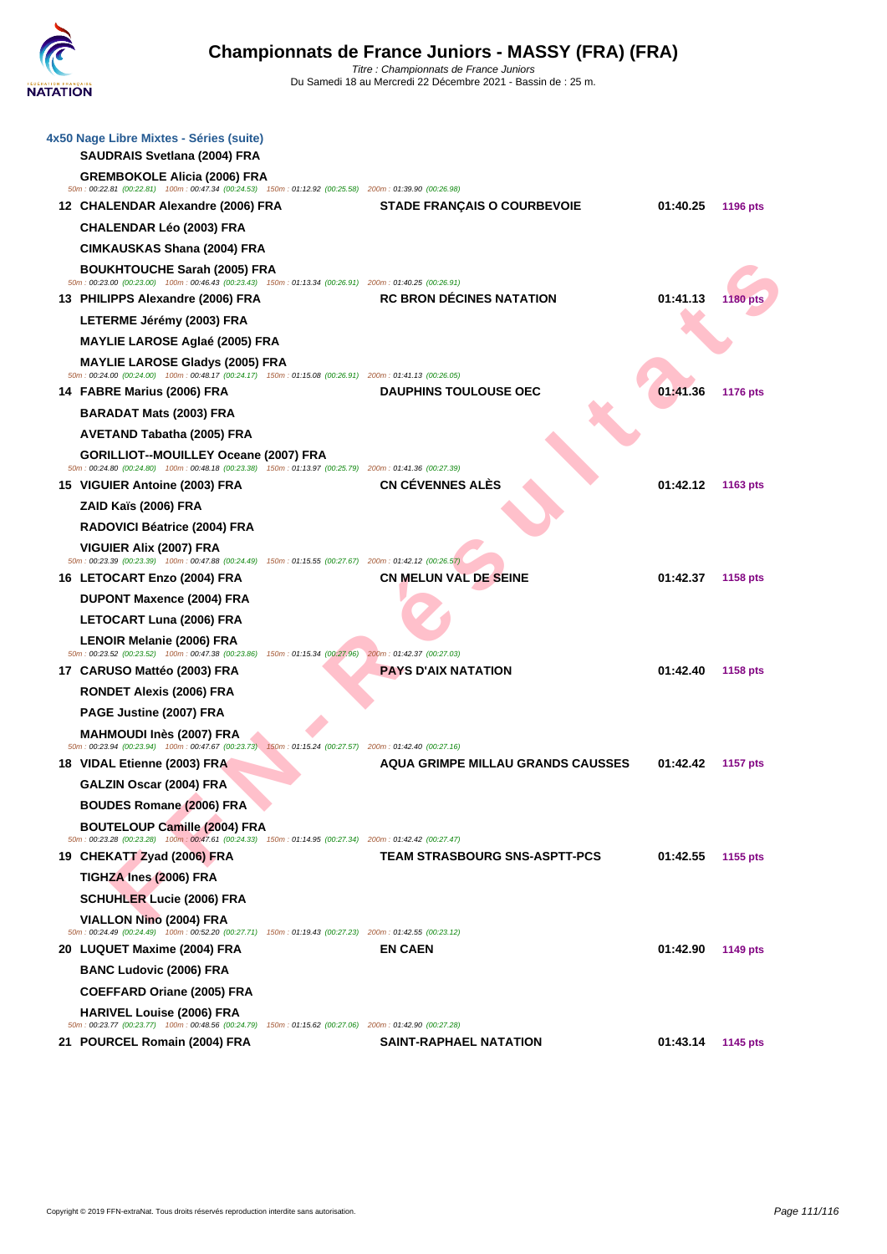| 4x50 Nage Libre Mixtes - Séries (suite)<br><b>SAUDRAIS Svetlana (2004) FRA</b>                                                                                                 |                                          |          |                 |
|--------------------------------------------------------------------------------------------------------------------------------------------------------------------------------|------------------------------------------|----------|-----------------|
| <b>GREMBOKOLE Alicia (2006) FRA</b><br>50m: 00:22.81 (00:22.81) 100m: 00:47.34 (00:24.53) 150m: 01:12.92 (00:25.58) 200m: 01:39.90 (00:26.98)                                  |                                          |          |                 |
| 12 CHALENDAR Alexandre (2006) FRA                                                                                                                                              | <b>STADE FRANÇAIS O COURBEVOIE</b>       | 01:40.25 | <b>1196 pts</b> |
| <b>CHALENDAR Léo (2003) FRA</b>                                                                                                                                                |                                          |          |                 |
| CIMKAUSKAS Shana (2004) FRA                                                                                                                                                    |                                          |          |                 |
| <b>BOUKHTOUCHE Sarah (2005) FRA</b>                                                                                                                                            |                                          |          |                 |
| 50m : 00:23.00 (00:23.00) 100m : 00:46.43 (00:23.43) 150m : 01:13.34 (00:26.91) 200m : 01:40.25 (00:26.91)<br>13 PHILIPPS Alexandre (2006) FRA                                 | <b>RC BRON DECINES NATATION</b>          | 01:41.13 | <b>1180 pts</b> |
| LETERME Jérémy (2003) FRA                                                                                                                                                      |                                          |          |                 |
| <b>MAYLIE LAROSE Aglaé (2005) FRA</b>                                                                                                                                          |                                          |          |                 |
| <b>MAYLIE LAROSE Gladys (2005) FRA</b><br>50m: 00:24.00 (00:24.00) 100m: 00:48.17 (00:24.17) 150m: 01:15.08 (00:26.91) 200m: 01:41.13 (00:26.05)                               |                                          |          |                 |
| 14 FABRE Marius (2006) FRA                                                                                                                                                     | <b>DAUPHINS TOULOUSE OEC</b>             | 01:41.36 | 1176 pts        |
| <b>BARADAT Mats (2003) FRA</b>                                                                                                                                                 |                                          |          |                 |
| AVETAND Tabatha (2005) FRA                                                                                                                                                     |                                          |          |                 |
| GORILLIOT--MOUILLEY Oceane (2007) FRA<br>50m: 00:24.80 (00:24.80) 100m: 00:48.18 (00:23.38) 150m: 01:13.97 (00:25.79) 200m: 01:41.36 (00:27.39)                                |                                          |          |                 |
| 15 VIGUIER Antoine (2003) FRA                                                                                                                                                  | <b>CN CÉVENNES ALÉS</b>                  | 01:42.12 | 1163 pts        |
| ZAID Kaïs (2006) FRA                                                                                                                                                           |                                          |          |                 |
| RADOVICI Béatrice (2004) FRA                                                                                                                                                   |                                          |          |                 |
| <b>VIGUIER Alix (2007) FRA</b><br>50m : 00:23.39 (00:23.39) 100m : 00:47.88 (00:24.49) 150m : 01:15.55 (00:27.67) 200m : 01:42.12 (00:26.57)                                   |                                          |          |                 |
| 16 LETOCART Enzo (2004) FRA                                                                                                                                                    | <b>CN MELUN VAL DE SEINE</b>             | 01:42.37 | <b>1158 pts</b> |
| <b>DUPONT Maxence (2004) FRA</b>                                                                                                                                               |                                          |          |                 |
| LETOCART Luna (2006) FRA                                                                                                                                                       |                                          |          |                 |
| LENOIR Melanie (2006) FRA<br>50m : 00:23.52 (00:23.52) 100m : 00:47.38 (00:23.86) 150m : 01:15.34 (00:27.96) 200m : 01:42.37 (00:27.03)                                        |                                          |          |                 |
| 17 CARUSO Mattéo (2003) FRA                                                                                                                                                    | <b>PAYS D'AIX NATATION</b>               | 01:42.40 | 1158 pts        |
| <b>RONDET Alexis (2006) FRA</b>                                                                                                                                                |                                          |          |                 |
| PAGE Justine (2007) FRA                                                                                                                                                        |                                          |          |                 |
| MAHMOUDI Inès (2007) FRA<br>50m : 00:23.94 (00:23.94) 100m : 00:47.67 (00:23.73) 150m : 01:15.24 (00:27.57) 200m : 01:42.40 (00:27.16)                                         |                                          |          |                 |
| 18 VIDAL Etienne (2003) FRA                                                                                                                                                    | <b>AQUA GRIMPE MILLAU GRANDS CAUSSES</b> | 01:42.42 | <b>1157 pts</b> |
| GALZIN Oscar (2004) FRA                                                                                                                                                        |                                          |          |                 |
| <b>BOUDES Romane (2006) FRA</b>                                                                                                                                                |                                          |          |                 |
| <b>BOUTELOUP Camille (2004) FRA</b>                                                                                                                                            |                                          |          |                 |
| 50m : 00:23.28 (00:23.28) 100m : 00:47.61 (00:24.33) 150m : 01:14.95 (00:27.34) 200m : 01:42.42 (00:27.47)<br>19 CHEKATT Zyad (2006) FRA                                       | <b>TEAM STRASBOURG SNS-ASPTT-PCS</b>     | 01:42.55 | 1155 pts        |
| TIGHZA Ines (2006) FRA                                                                                                                                                         |                                          |          |                 |
| <b>SCHUHLER Lucie (2006) FRA</b>                                                                                                                                               |                                          |          |                 |
| VIALLON Nino (2004) FRA<br>50m: 00:24.49 (00:24.49) 100m: 00:52.20 (00:27.71) 150m: 01:19.43 (00:27.23) 200m: 01:42.55 (00:23.12)                                              |                                          |          |                 |
| 20 LUQUET Maxime (2004) FRA                                                                                                                                                    | <b>EN CAEN</b>                           | 01:42.90 | 1149 pts        |
| <b>BANC Ludovic (2006) FRA</b>                                                                                                                                                 |                                          |          |                 |
| <b>COEFFARD Oriane (2005) FRA</b>                                                                                                                                              |                                          |          |                 |
| <b>HARIVEL Louise (2006) FRA</b><br>50m : 00:23.77 (00:23.77) 100m : 00:48.56 (00:24.79) 150m : 01:15.62 (00:27.06) 200m : 01:42.90 (00:27.28)<br>21 POURCEL Romain (2004) FRA | <b>SAINT-RAPHAEL NATATION</b>            | 01:43.14 | 1145 pts        |
|                                                                                                                                                                                |                                          |          |                 |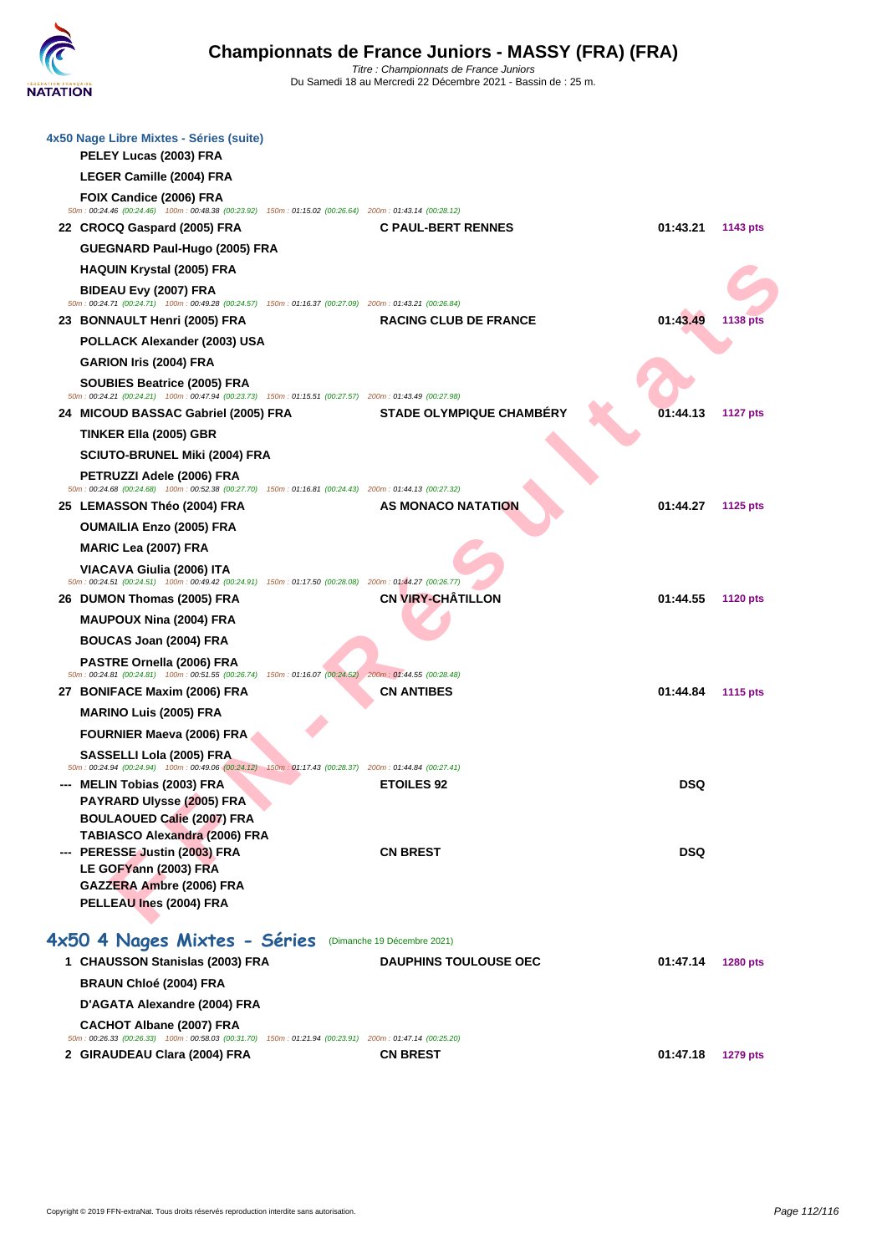| 4x50 Nage Libre Mixtes - Séries (suite)<br>PELEY Lucas (2003) FRA                                                                             |                                 |            |                 |
|-----------------------------------------------------------------------------------------------------------------------------------------------|---------------------------------|------------|-----------------|
| LEGER Camille (2004) FRA                                                                                                                      |                                 |            |                 |
| FOIX Candice (2006) FRA                                                                                                                       |                                 |            |                 |
| 50m : 00:24.46 (00:24.46) 100m : 00:48.38 (00:23.92) 150m : 01:15.02 (00:26.64) 200m : 01:43.14 (00:28.12)                                    |                                 |            |                 |
| 22 CROCQ Gaspard (2005) FRA                                                                                                                   | <b>C PAUL-BERT RENNES</b>       | 01:43.21   | 1143 pts        |
| GUEGNARD Paul-Hugo (2005) FRA                                                                                                                 |                                 |            |                 |
| <b>HAQUIN Krystal (2005) FRA</b>                                                                                                              |                                 |            |                 |
| BIDEAU Evy (2007) FRA<br>50m: 00:24.71 (00:24.71) 100m: 00:49.28 (00:24.57) 150m: 01:16.37 (00:27.09) 200m: 01:43.21 (00:26.84)               |                                 |            |                 |
| 23 BONNAULT Henri (2005) FRA                                                                                                                  | <b>RACING CLUB DE FRANCE</b>    | 01:43.49   | <b>1138 pts</b> |
| POLLACK Alexander (2003) USA                                                                                                                  |                                 |            |                 |
| GARION Iris (2004) FRA                                                                                                                        |                                 |            |                 |
| SOUBIES Beatrice (2005) FRA                                                                                                                   |                                 |            |                 |
| 50m: 00:24.21 (00:24.21) 100m: 00:47.94 (00:23.73) 150m: 01:15.51 (00:27.57) 200m: 01:43.49 (00:27.98)<br>24 MICOUD BASSAC Gabriel (2005) FRA | <b>STADE OLYMPIQUE CHAMBERY</b> | 01:44.13   | <b>1127 pts</b> |
| <b>TINKER Ella (2005) GBR</b>                                                                                                                 |                                 |            |                 |
| <b>SCIUTO-BRUNEL Miki (2004) FRA</b>                                                                                                          |                                 |            |                 |
| PETRUZZI Adele (2006) FRA                                                                                                                     |                                 |            |                 |
| 50m: 00:24.68 (00:24.68) 100m: 00:52.38 (00:27.70) 150m: 01:16.81 (00:24.43) 200m: 01:44.13 (00:27.32)                                        |                                 |            |                 |
| 25 LEMASSON Théo (2004) FRA                                                                                                                   | AS MONACO NATATION              | 01:44.27   | 1125 pts        |
| <b>OUMAILIA Enzo (2005) FRA</b>                                                                                                               |                                 |            |                 |
| <b>MARIC Lea (2007) FRA</b>                                                                                                                   |                                 |            |                 |
| VIACAVA Giulia (2006) ITA<br>50m: 00:24.51 (00:24.51) 100m: 00:49.42 (00:24.91) 150m: 01:17.50 (00:28.08) 200m: 01:44.27 (00:26.77)           |                                 |            |                 |
| 26 DUMON Thomas (2005) FRA                                                                                                                    | <b>CN VIRY-CHATILLON</b>        | 01:44.55   | <b>1120 pts</b> |
| <b>MAUPOUX Nina (2004) FRA</b>                                                                                                                |                                 |            |                 |
| <b>BOUCAS Joan (2004) FRA</b>                                                                                                                 |                                 |            |                 |
| PASTRE Ornella (2006) FRA<br>50m : 00:24.81 (00:24.81) 100m : 00:51.55 (00:26.74) 150m : 01:16.07 (00:24.52) 200m : 01:44.55 (00:28.48)       |                                 |            |                 |
| 27 BONIFACE Maxim (2006) FRA                                                                                                                  | <b>CN ANTIBES</b>               | 01:44.84   | <b>1115 pts</b> |
| <b>MARINO Luis (2005) FRA</b>                                                                                                                 |                                 |            |                 |
| <b>FOURNIER Maeva (2006) FRA</b>                                                                                                              |                                 |            |                 |
| SASSELLI Lola (2005) FRA                                                                                                                      |                                 |            |                 |
| 50m: 00:24.94 (00:24.94) 100m: 00:49.06 (00:24.12) 150m: 01:17.43 (00:28.37) 200m: 01:44.84 (00:27.41)                                        |                                 |            |                 |
| --- MELIN Tobias (2003) FRA<br>PAYRARD Ulysse (2005) FRA                                                                                      | <b>ETOILES 92</b>               | <b>DSQ</b> |                 |
| <b>BOULAOUED Calie (2007) FRA</b>                                                                                                             |                                 |            |                 |
| <b>TABIASCO Alexandra (2006) FRA</b>                                                                                                          |                                 |            |                 |
| --- PERESSE Justin (2003) FRA<br>LE GOFYann (2003) FRA                                                                                        | <b>CN BREST</b>                 | <b>DSQ</b> |                 |
| GAZZERA Ambre (2006) FRA                                                                                                                      |                                 |            |                 |
| PELLEAU Ines (2004) FRA                                                                                                                       |                                 |            |                 |
|                                                                                                                                               |                                 |            |                 |
| 4x50 4 Nages Mixtes - Séries                                                                                                                  | (Dimanche 19 Décembre 2021)     |            |                 |
| 1 CHAUSSON Stanislas (2003) FRA                                                                                                               | <b>DAUPHINS TOULOUSE OEC</b>    | 01:47.14   | 1280 pts        |
| <b>BRAUN Chloé (2004) FRA</b>                                                                                                                 |                                 |            |                 |
| D'AGATA Alexandre (2004) FRA                                                                                                                  |                                 |            |                 |
| <b>CACHOT Albane (2007) FRA</b><br>50m: 00:26.33 (00:26.33) 100m: 00:58.03 (00:31.70) 150m: 01:21.94 (00:23.91) 200m: 01:47.14 (00:25.20)     |                                 |            |                 |
| 2 GIRAUDEAU Clara (2004) FRA                                                                                                                  | <b>CN BREST</b>                 | 01:47.18   | <b>1279 pts</b> |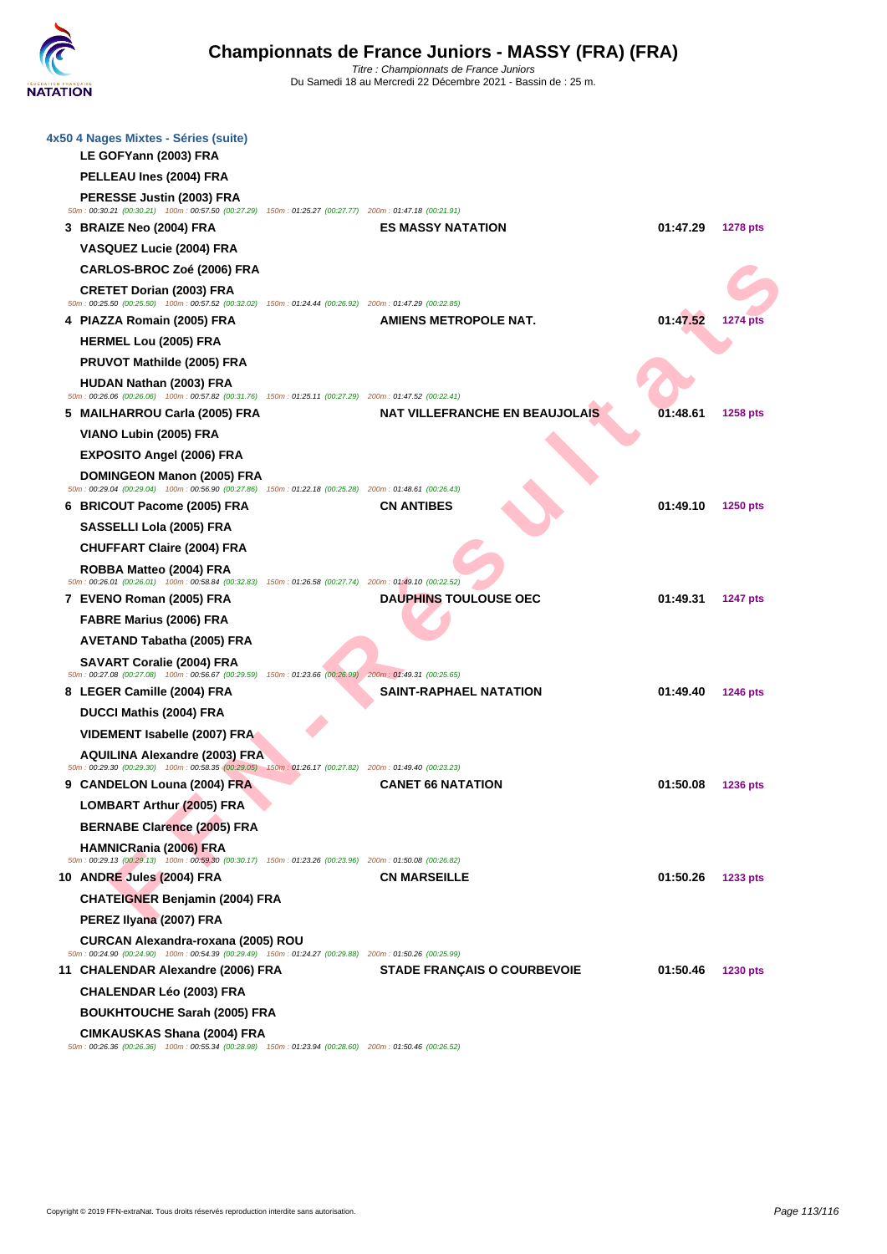| 4x50 4 Nages Mixtes - Séries (suite)<br>LE GOFYann (2003) FRA                                                                                |                                       |          |                 |
|----------------------------------------------------------------------------------------------------------------------------------------------|---------------------------------------|----------|-----------------|
| PELLEAU Ines (2004) FRA                                                                                                                      |                                       |          |                 |
| PERESSE Justin (2003) FRA<br>50m : 00:30.21 (00:30.21) 100m : 00:57.50 (00:27.29) 150m : 01:25.27 (00:27.77) 200m : 01:47.18 (00:21.91)      |                                       |          |                 |
| 3 BRAIZE Neo (2004) FRA                                                                                                                      | <b>ES MASSY NATATION</b>              | 01:47.29 | <b>1278 pts</b> |
| VASQUEZ Lucie (2004) FRA                                                                                                                     |                                       |          |                 |
| CARLOS-BROC Zoé (2006) FRA                                                                                                                   |                                       |          |                 |
| <b>CRETET Dorian (2003) FRA</b><br>50m: 00:25.50 (00:25.50) 100m: 00:57.52 (00:32.02) 150m: 01:24.44 (00:26.92) 200m: 01:47.29 (00:22.85)    |                                       |          |                 |
| 4 PIAZZA Romain (2005) FRA                                                                                                                   | <b>AMIENS METROPOLE NAT.</b>          | 01:47.52 | <b>1274 pts</b> |
| <b>HERMEL Lou (2005) FRA</b>                                                                                                                 |                                       |          |                 |
| PRUVOT Mathilde (2005) FRA                                                                                                                   |                                       |          |                 |
| <b>HUDAN Nathan (2003) FRA</b><br>50m : 00:26.06 (00:26.06) 100m : 00:57.82 (00:31.76) 150m : 01:25.11 (00:27.29) 200m : 01:47.52 (00:22.41) |                                       |          |                 |
| 5 MAILHARROU Carla (2005) FRA                                                                                                                | <b>NAT VILLEFRANCHE EN BEAUJOLAIS</b> | 01:48.61 | 1258 pts        |
| VIANO Lubin (2005) FRA                                                                                                                       |                                       |          |                 |
| <b>EXPOSITO Angel (2006) FRA</b>                                                                                                             |                                       |          |                 |
| DOMINGEON Manon (2005) FRA                                                                                                                   |                                       |          |                 |
| 50m: 00:29.04 (00:29.04) 100m: 00:56.90 (00:27.86) 150m: 01:22.18 (00:25.28) 200m: 01:48.61 (00:26.43)<br>6 BRICOUT Pacome (2005) FRA        | <b>CN ANTIBES</b>                     | 01:49.10 | 1250 pts        |
| SASSELLI Lola (2005) FRA                                                                                                                     |                                       |          |                 |
| <b>CHUFFART Claire (2004) FRA</b>                                                                                                            |                                       |          |                 |
| ROBBA Matteo (2004) FRA                                                                                                                      |                                       |          |                 |
| 50m: 00:26.01 (00:26.01) 100m: 00:58.84 (00:32.83) 150m: 01:26.58 (00:27.74) 200m: 01:49.10 (00:22.52)                                       |                                       |          |                 |
| 7 EVENO Roman (2005) FRA                                                                                                                     | <b>DAUPHINS TOULOUSE OEC</b>          | 01:49.31 | <b>1247 pts</b> |
| FABRE Marius (2006) FRA                                                                                                                      |                                       |          |                 |
| AVETAND Tabatha (2005) FRA                                                                                                                   |                                       |          |                 |
|                                                                                                                                              |                                       |          |                 |
| <b>SAVART Coralie (2004) FRA</b><br>50m: 00:27.08 (00:27.08) 100m: 00:56.67 (00:29.59) 150m: 01:23.66 (00:26.99) 200m: 01:49.31 (00:25.65)   |                                       |          |                 |
| 8 LEGER Camille (2004) FRA                                                                                                                   | <b>SAINT-RAPHAEL NATATION</b>         | 01:49.40 | 1246 pts        |
| DUCCI Mathis (2004) FRA                                                                                                                      |                                       |          |                 |
| VIDEMENT Isabelle (2007) FRA                                                                                                                 |                                       |          |                 |
| <b>AQUILINA Alexandre (2003) FRA</b>                                                                                                         |                                       |          |                 |
| 50m : 00:29.30 (00:29.30) 100m : 00:58.35 (00:29.05) 150m : 01:26.17 (00:27.82) 200m : 01:49.40 (00:23.23)                                   | <b>CANET 66 NATATION</b>              | 01:50.08 | <b>1236 pts</b> |
| 9 CANDELON Louna (2004) FRA                                                                                                                  |                                       |          |                 |
| LOMBART Arthur (2005) FRA                                                                                                                    |                                       |          |                 |
| <b>BERNABE Clarence (2005) FRA</b><br><b>HAMNICRania (2006) FRA</b>                                                                          |                                       |          |                 |
| 50m : 00:29.13 (00:29.13) 100m : 00:59.30 (00:30.17) 150m : 01:23.26 (00:23.96) 200m : 01:50.08 (00:26.82)                                   |                                       |          |                 |
| 10 ANDRE Jules (2004) FRA                                                                                                                    | <b>CN MARSEILLE</b>                   | 01:50.26 | 1233 pts        |
| <b>CHATEIGNER Benjamin (2004) FRA</b>                                                                                                        |                                       |          |                 |
| PEREZ Ilyana (2007) FRA<br>CURCAN Alexandra-roxana (2005) ROU                                                                                |                                       |          |                 |
| 50m: 00:24.90 (00:24.90) 100m: 00:54.39 (00:29.49) 150m: 01:24.27 (00:29.88) 200m: 01:50.26 (00:25.99)                                       |                                       |          |                 |
| 11 CHALENDAR Alexandre (2006) FRA                                                                                                            | <b>STADE FRANÇAIS O COURBEVOIE</b>    | 01:50.46 | <b>1230 pts</b> |
| <b>CHALENDAR Léo (2003) FRA</b>                                                                                                              |                                       |          |                 |
| <b>BOUKHTOUCHE Sarah (2005) FRA</b><br>CIMKAUSKAS Shana (2004) FRA                                                                           |                                       |          |                 |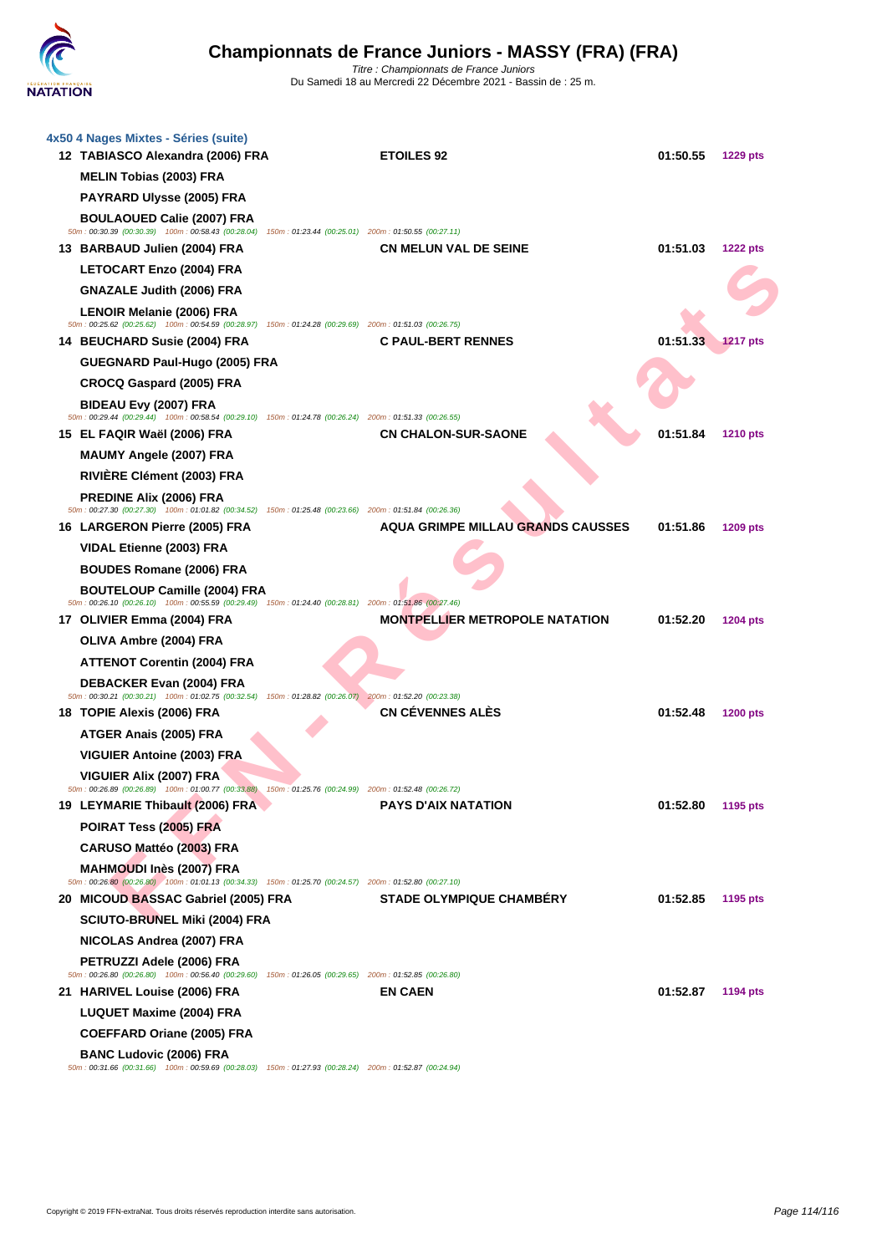

| 4x50 4 Nages Mixtes - Séries (suite)<br>12 TABIASCO Alexandra (2006) FRA                                                                        | <b>ETOILES 92</b>                        | 01:50.55 | <b>1229 pts</b> |
|-------------------------------------------------------------------------------------------------------------------------------------------------|------------------------------------------|----------|-----------------|
| <b>MELIN Tobias (2003) FRA</b>                                                                                                                  |                                          |          |                 |
| <b>PAYRARD Ulysse (2005) FRA</b>                                                                                                                |                                          |          |                 |
| <b>BOULAOUED Calie (2007) FRA</b><br>50m : 00:30.39 (00:30.39) 100m : 00:58.43 (00:28.04) 150m : 01:23.44 (00:25.01) 200m : 01:50.55 (00:27.11) |                                          |          |                 |
| 13 BARBAUD Julien (2004) FRA                                                                                                                    | <b>CN MELUN VAL DE SEINE</b>             | 01:51.03 | <b>1222 pts</b> |
| <b>LETOCART Enzo (2004) FRA</b>                                                                                                                 |                                          |          |                 |
| <b>GNAZALE Judith (2006) FRA</b>                                                                                                                |                                          |          |                 |
| <b>LENOIR Melanie (2006) FRA</b><br>50m: 00:25.62 (00:25.62) 100m: 00:54.59 (00:28.97) 150m: 01:24.28 (00:29.69) 200m: 01:51.03 (00:26.75)      |                                          |          |                 |
| 14 BEUCHARD Susie (2004) FRA                                                                                                                    | <b>C PAUL-BERT RENNES</b>                | 01:51.33 | <b>1217 pts</b> |
| GUEGNARD Paul-Hugo (2005) FRA                                                                                                                   |                                          |          |                 |
| <b>CROCQ Gaspard (2005) FRA</b>                                                                                                                 |                                          |          |                 |
| BIDEAU Evy (2007) FRA<br>50m: 00:29.44 (00:29.44) 100m: 00:58.54 (00:29.10) 150m: 01:24.78 (00:26.24) 200m: 01:51.33 (00:26.55)                 |                                          |          |                 |
| 15 EL FAQIR Waël (2006) FRA                                                                                                                     | <b>CN CHALON-SUR-SAONE</b>               | 01:51.84 | 1210 pts        |
| <b>MAUMY Angele (2007) FRA</b>                                                                                                                  |                                          |          |                 |
| RIVIÈRE Clément (2003) FRA                                                                                                                      |                                          |          |                 |
| PREDINE Alix (2006) FRA<br>50m : 00:27.30 (00:27.30) 100m : 01:01.82 (00:34.52) 150m : 01:25.48 (00:23.66) 200m : 01:51.84 (00:26.36)           |                                          |          |                 |
| 16 LARGERON Pierre (2005) FRA                                                                                                                   | <b>AQUA GRIMPE MILLAU GRANDS CAUSSES</b> | 01:51.86 | 1209 pts        |
| VIDAL Etienne (2003) FRA                                                                                                                        |                                          |          |                 |
| <b>BOUDES Romane (2006) FRA</b>                                                                                                                 |                                          |          |                 |
| <b>BOUTELOUP Camille (2004) FRA</b><br>50m: 00:26.10 (00:26.10) 100m: 00:55.59 (00:29.49) 150m: 01:24.40 (00:28.81) 200m: 01:51.86 (00:27.46)   |                                          |          |                 |
| 17 OLIVIER Emma (2004) FRA                                                                                                                      | <b>MONTPELLIER METROPOLE NATATION</b>    | 01:52.20 | <b>1204 pts</b> |
| OLIVA Ambre (2004) FRA                                                                                                                          |                                          |          |                 |
| <b>ATTENOT Corentin (2004) FRA</b>                                                                                                              |                                          |          |                 |
| <b>DEBACKER Evan (2004) FRA</b>                                                                                                                 |                                          |          |                 |
| 50m : 00:30.21 (00:30.21) 100m : 01:02.75 (00:32.54) 150m : 01:28.82 (00:26.07) 200m : 01:52.20 (00:23.38)<br>18 TOPIE Alexis (2006) FRA        | <b>CN CÉVENNES ALÉS</b>                  | 01:52.48 | <b>1200 pts</b> |
| ATGER Anais (2005) FRA                                                                                                                          |                                          |          |                 |
| <b>VIGUIER Antoine (2003) FRA</b>                                                                                                               |                                          |          |                 |
| VIGUIER Alix (2007) FRA                                                                                                                         |                                          |          |                 |
| 50m: 00:26.89 (00:26.89) 100m: 01:00.77 (00:33.88) 150m: 01:25.76 (00:24.99) 200m: 01:52.48 (00:26.72)                                          |                                          |          |                 |
| 19 LEYMARIE Thibault (2006) FRA                                                                                                                 | <b>PAYS D'AIX NATATION</b>               | 01:52.80 | 1195 pts        |
| POIRAT Tess (2005) FRA                                                                                                                          |                                          |          |                 |
| CARUSO Mattéo (2003) FRA                                                                                                                        |                                          |          |                 |
| MAHMOUDI Inès (2007) FRA<br>50m : 00:26.80 (00:26.80) 100m : 01:01.13 (00:34.33) 150m : 01:25.70 (00:24.57) 200m : 01:52.80 (00:27.10)          |                                          |          |                 |
| 20 MICOUD BASSAC Gabriel (2005) FRA                                                                                                             | STADE OLYMPIQUE CHAMBÉRY                 | 01:52.85 | 1195 pts        |
| <b>SCIUTO-BRUNEL Miki (2004) FRA</b>                                                                                                            |                                          |          |                 |
| NICOLAS Andrea (2007) FRA                                                                                                                       |                                          |          |                 |
| PETRUZZI Adele (2006) FRA<br>50m : 00:26.80 (00:26.80) 100m : 00:56.40 (00:29.60) 150m : 01:26.05 (00:29.65) 200m : 01:52.85 (00:26.80)         |                                          |          |                 |
| 21 HARIVEL Louise (2006) FRA                                                                                                                    | <b>EN CAEN</b>                           | 01:52.87 | 1194 pts        |
| <b>LUQUET Maxime (2004) FRA</b>                                                                                                                 |                                          |          |                 |
| <b>COEFFARD Oriane (2005) FRA</b>                                                                                                               |                                          |          |                 |
| <b>BANC Ludovic (2006) FRA</b><br>50m: 00:31.66 (00:31.66) 100m: 00:59.69 (00:28.03) 150m: 01:27.93 (00:28.24) 200m: 01:52.87 (00:24.94)        |                                          |          |                 |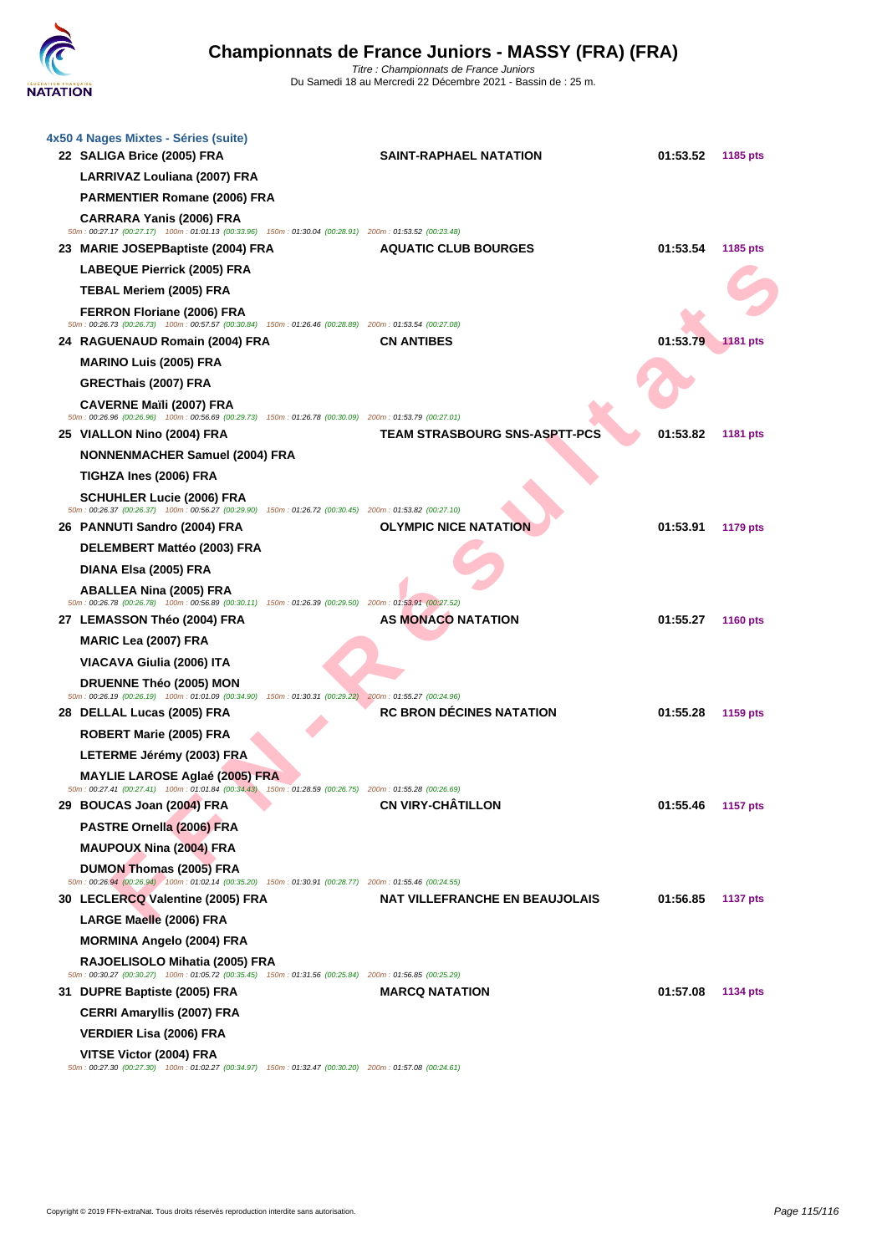

| 4x50 4 Nages Mixtes - Séries (suite)<br>22 SALIGA Brice (2005) FRA                                                                                                | <b>SAINT-RAPHAEL NATATION</b>         | 01:53.52 | 1185 pts        |
|-------------------------------------------------------------------------------------------------------------------------------------------------------------------|---------------------------------------|----------|-----------------|
| LARRIVAZ Louliana (2007) FRA                                                                                                                                      |                                       |          |                 |
| <b>PARMENTIER Romane (2006) FRA</b>                                                                                                                               |                                       |          |                 |
| <b>CARRARA Yanis (2006) FRA</b>                                                                                                                                   |                                       |          |                 |
| 50m: 00:27.17 (00:27.17) 100m: 01:01.13 (00:33.96) 150m: 01:30.04 (00:28.91) 200m: 01:53.52 (00:23.48)<br>23 MARIE JOSEPBaptiste (2004) FRA                       | <b>AQUATIC CLUB BOURGES</b>           | 01:53.54 | 1185 pts        |
| <b>LABEQUE Pierrick (2005) FRA</b>                                                                                                                                |                                       |          |                 |
| TEBAL Meriem (2005) FRA                                                                                                                                           |                                       |          |                 |
| FERRON Floriane (2006) FRA                                                                                                                                        |                                       |          |                 |
| 50m : 00:26.73 (00:26.73) 100m : 00:57.57 (00:30.84) 150m : 01:26.46 (00:28.89) 200m : 01:53.54 (00:27.08)                                                        |                                       |          |                 |
| 24 RAGUENAUD Romain (2004) FRA                                                                                                                                    | <b>CN ANTIBES</b>                     | 01:53.79 | <b>1181 pts</b> |
| <b>MARINO Luis (2005) FRA</b>                                                                                                                                     |                                       |          |                 |
| GRECThais (2007) FRA                                                                                                                                              |                                       |          |                 |
| <b>CAVERNE Maïli (2007) FRA</b><br>50m: 00:26.96 (00:26.96) 100m: 00:56.69 (00:29.73) 150m: 01:26.78 (00:30.09) 200m: 01:53.79 (00:27.01)                         |                                       |          |                 |
| 25 VIALLON Nino (2004) FRA                                                                                                                                        | <b>TEAM STRASBOURG SNS-ASPTT-PCS</b>  | 01:53.82 | 1181 pts        |
| <b>NONNENMACHER Samuel (2004) FRA</b>                                                                                                                             |                                       |          |                 |
| TIGHZA Ines (2006) FRA                                                                                                                                            |                                       |          |                 |
| <b>SCHUHLER Lucie (2006) FRA</b><br>50m: 00:26.37 (00:26.37) 100m: 00:56.27 (00:29.90) 150m: 01:26.72 (00:30.45) 200m: 01:53.82 (00:27.10)                        |                                       |          |                 |
| 26 PANNUTI Sandro (2004) FRA                                                                                                                                      | <b>OLYMPIC NICE NATATION</b>          | 01:53.91 | 1179 pts        |
| DELEMBERT Mattéo (2003) FRA                                                                                                                                       |                                       |          |                 |
| DIANA Elsa (2005) FRA                                                                                                                                             |                                       |          |                 |
| <b>ABALLEA Nina (2005) FRA</b>                                                                                                                                    |                                       |          |                 |
| 50m : 00:26.78 (00:26.78) 100m : 00:56.89 (00:30.11) 150m : 01:26.39 (00:29.50) 200m : 01:53.91 (00:27.52)<br>27 LEMASSON Théo (2004) FRA                         | <b>AS MONACO NATATION</b>             | 01:55.27 | <b>1160 pts</b> |
| <b>MARIC Lea (2007) FRA</b>                                                                                                                                       |                                       |          |                 |
| VIACAVA Giulia (2006) ITA                                                                                                                                         |                                       |          |                 |
| <b>DRUENNE Théo (2005) MON</b>                                                                                                                                    |                                       |          |                 |
| 50m: 00:26.19 (00:26.19) 100m: 01:01.09 (00:34.90) 150m: 01:30.31 (00:29.22) 200m: 01:55.27 (00:24.96)                                                            |                                       |          |                 |
| 28 DELLAL Lucas (2005) FRA                                                                                                                                        | <b>RC BRON DÉCINES NATATION</b>       | 01:55.28 | 1159 pts        |
| ROBERT Marie (2005) FRA                                                                                                                                           |                                       |          |                 |
| LETERME Jérémy (2003) FRA                                                                                                                                         |                                       |          |                 |
| <b>MAYLIE LAROSE Aglaé (2005) FRA</b>                                                                                                                             |                                       |          |                 |
| 50m : 00:27.41 (00:27.41) 100m : 01:01.84 (00:34.43) 150m : 01:28.59 (00:26.75) 200m : 01:55.28 (00:26.69)<br>BOUCAS JOAN (2004) FRA<br>29 BOUCAS Joan (2004) FRA | <b>CN VIRY-CHÂTILLON</b>              | 01:55.46 | <b>1157 pts</b> |
| PASTRE Ornella (2006) FRA                                                                                                                                         |                                       |          |                 |
| <b>MAUPOUX Nina (2004) FRA</b>                                                                                                                                    |                                       |          |                 |
| <b>DUMON Thomas (2005) FRA</b><br>50m: 00:26.94 (00:26.94) 100m: 01:02.14 (00:35.20) 150m: 01:30.91 (00:28.77) 200m: 01:55.46 (00:24.55)                          |                                       |          |                 |
| 30 LECLERCQ Valentine (2005) FRA                                                                                                                                  | <b>NAT VILLEFRANCHE EN BEAUJOLAIS</b> | 01:56.85 | <b>1137 pts</b> |
| LARGE Maelle (2006) FRA                                                                                                                                           |                                       |          |                 |
| <b>MORMINA Angelo (2004) FRA</b>                                                                                                                                  |                                       |          |                 |
| RAJOELISOLO Mihatia (2005) FRA                                                                                                                                    |                                       |          |                 |
| 50m: 00:30.27 (00:30.27) 100m: 01:05.72 (00:35.45) 150m: 01:31.56 (00:25.84) 200m: 01:56.85 (00:25.29)<br>31 DUPRE Baptiste (2005) FRA                            | <b>MARCQ NATATION</b>                 | 01:57.08 | 1134 pts        |
| <b>CERRI Amaryllis (2007) FRA</b>                                                                                                                                 |                                       |          |                 |
| <b>VERDIER Lisa (2006) FRA</b>                                                                                                                                    |                                       |          |                 |
| VITSE Victor (2004) FRA                                                                                                                                           |                                       |          |                 |
| 50m : 00:27.30 (00:27.30) 100m : 01:02.27 (00:34.97) 150m : 01:32.47 (00:30.20) 200m : 01:57.08 (00:24.61)                                                        |                                       |          |                 |